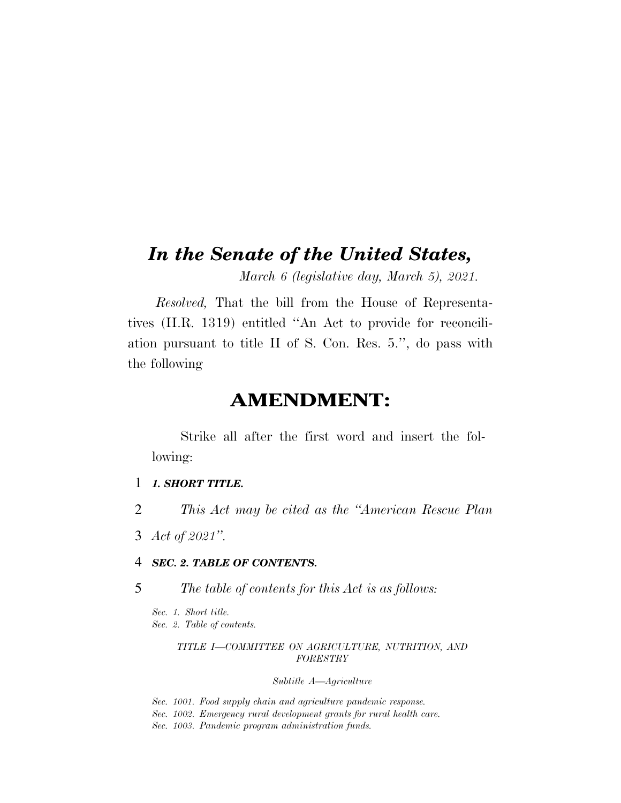# *In the Senate of the United States,*

*March 6 (legislative day, March 5), 2021.* 

*Resolved,* That the bill from the House of Representatives (H.R. 1319) entitled ''An Act to provide for reconciliation pursuant to title II of S. Con. Res. 5.'', do pass with the following

# **AMENDMENT:**

Strike all after the first word and insert the following:

- 1 *1. SHORT TITLE.*
- 2 *This Act may be cited as the ''American Rescue Plan*
- 3 *Act of 2021''.*

### 4 *SEC. 2. TABLE OF CONTENTS.*

5 *The table of contents for this Act is as follows:* 

*Sec. 1. Short title. Sec. 2. Table of contents.* 

### *TITLE I—COMMITTEE ON AGRICULTURE, NUTRITION, AND FORESTRY*

### *Subtitle A—Agriculture*

*Sec. 1001. Food supply chain and agriculture pandemic response. Sec. 1002. Emergency rural development grants for rural health care. Sec. 1003. Pandemic program administration funds.*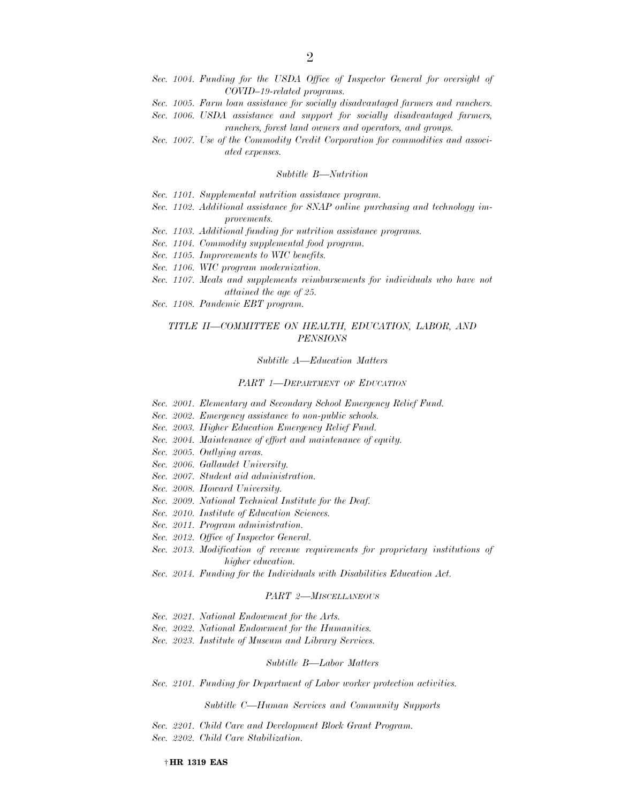- Sec. 1004. Funding for the USDA Office of Inspector General for oversight of *COVID–19-related programs.*
- *Sec. 1005. Farm loan assistance for socially disadvantaged farmers and ranchers.*
- *Sec. 1006. USDA assistance and support for socially disadvantaged farmers,*

*ranchers, forest land owners and operators, and groups.* 

*Sec. 1007. Use of the Commodity Credit Corporation for commodities and associated expenses.* 

#### *Subtitle B—Nutrition*

- *Sec. 1101. Supplemental nutrition assistance program.*
- *Sec. 1102. Additional assistance for SNAP online purchasing and technology improvements.*
- *Sec. 1103. Additional funding for nutrition assistance programs.*
- *Sec. 1104. Commodity supplemental food program.*
- *Sec. 1105. Improvements to WIC benefits.*
- *Sec. 1106. WIC program modernization.*
- *Sec. 1107. Meals and supplements reimbursements for individuals who have not attained the age of 25.*
- *Sec. 1108. Pandemic EBT program.*

#### *TITLE II—COMMITTEE ON HEALTH, EDUCATION, LABOR, AND PENSIONS*

*Subtitle A—Education Matters* 

#### *PART 1—DEPARTMENT OF EDUCATION*

- *Sec. 2001. Elementary and Secondary School Emergency Relief Fund.*
- *Sec. 2002. Emergency assistance to non-public schools.*
- *Sec. 2003. Higher Education Emergency Relief Fund.*
- *Sec. 2004. Maintenance of effort and maintenance of equity.*
- *Sec. 2005. Outlying areas.*
- *Sec. 2006. Gallaudet University.*
- *Sec. 2007. Student aid administration.*
- *Sec. 2008. Howard University.*
- *Sec. 2009. National Technical Institute for the Deaf.*
- *Sec. 2010. Institute of Education Sciences.*
- *Sec. 2011. Program administration.*
- *Sec. 2012. Office of Inspector General.*
- *Sec. 2013. Modification of revenue requirements for proprietary institutions of higher education.*
- *Sec. 2014. Funding for the Individuals with Disabilities Education Act.*

#### *PART 2—MISCELLANEOUS*

- *Sec. 2021. National Endowment for the Arts.*
- *Sec. 2022. National Endowment for the Humanities.*
- *Sec. 2023. Institute of Museum and Library Services.*

#### *Subtitle B—Labor Matters*

*Sec. 2101. Funding for Department of Labor worker protection activities.* 

*Subtitle C—Human Services and Community Supports* 

*Sec. 2201. Child Care and Development Block Grant Program.* 

*Sec. 2202. Child Care Stabilization.*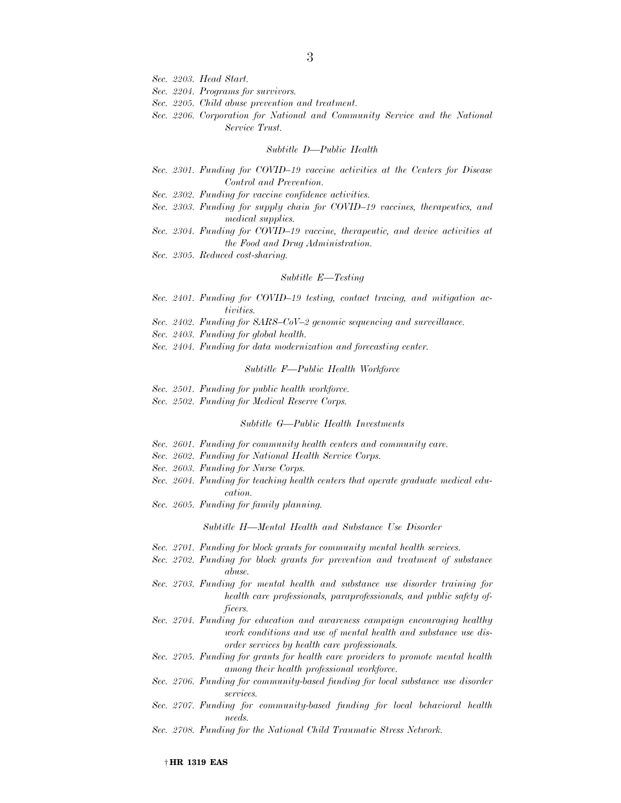- *Sec. 2203. Head Start.*
- *Sec. 2204. Programs for survivors.*
- *Sec. 2205. Child abuse prevention and treatment.*
- *Sec. 2206. Corporation for National and Community Service and the National Service Trust.*

#### *Subtitle D—Public Health*

- *Sec. 2301. Funding for COVID–19 vaccine activities at the Centers for Disease Control and Prevention.*
- *Sec. 2302. Funding for vaccine confidence activities.*
- *Sec. 2303. Funding for supply chain for COVID–19 vaccines, therapeutics, and medical supplies.*
- *Sec. 2304. Funding for COVID–19 vaccine, therapeutic, and device activities at the Food and Drug Administration.*
- *Sec. 2305. Reduced cost-sharing.*

#### *Subtitle E—Testing*

- *Sec. 2401. Funding for COVID–19 testing, contact tracing, and mitigation activities.*
- *Sec. 2402. Funding for SARS–CoV–2 genomic sequencing and surveillance.*
- *Sec. 2403. Funding for global health.*
- *Sec. 2404. Funding for data modernization and forecasting center.*

#### *Subtitle F—Public Health Workforce*

- *Sec. 2501. Funding for public health workforce.*
- *Sec. 2502. Funding for Medical Reserve Corps.*

#### *Subtitle G—Public Health Investments*

- *Sec. 2601. Funding for community health centers and community care.*
- *Sec. 2602. Funding for National Health Service Corps.*
- *Sec. 2603. Funding for Nurse Corps.*
- *Sec. 2604. Funding for teaching health centers that operate graduate medical education.*
- *Sec. 2605. Funding for family planning.*

*Subtitle H—Mental Health and Substance Use Disorder* 

- *Sec. 2701. Funding for block grants for community mental health services.*
- *Sec. 2702. Funding for block grants for prevention and treatment of substance abuse.*
- *Sec. 2703. Funding for mental health and substance use disorder training for health care professionals, paraprofessionals, and public safety officers.*
- *Sec. 2704. Funding for education and awareness campaign encouraging healthy work conditions and use of mental health and substance use disorder services by health care professionals.*
- *Sec. 2705. Funding for grants for health care providers to promote mental health among their health professional workforce.*
- *Sec. 2706. Funding for community-based funding for local substance use disorder services.*
- *Sec. 2707. Funding for community-based funding for local behavioral health needs.*
- *Sec. 2708. Funding for the National Child Traumatic Stress Network.*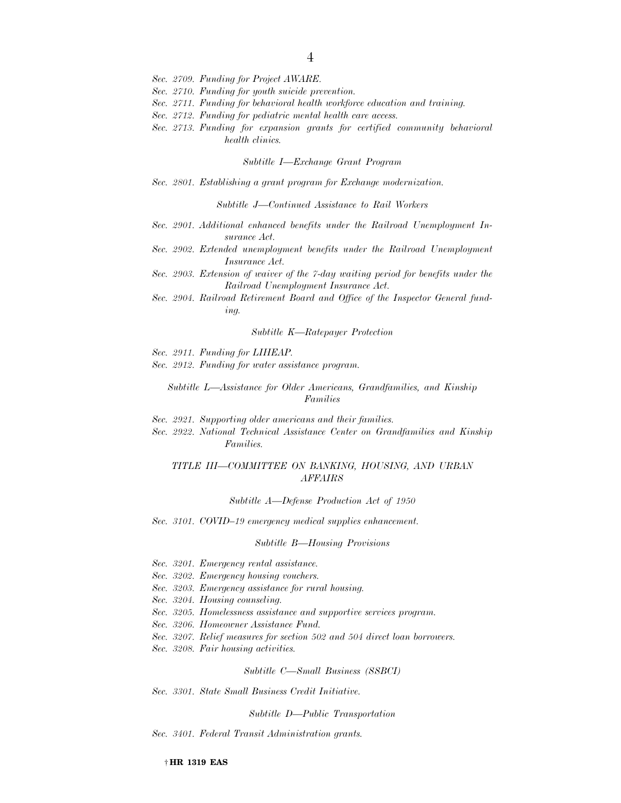- *Sec. 2710. Funding for youth suicide prevention.*
- *Sec. 2711. Funding for behavioral health workforce education and training.*
- *Sec. 2712. Funding for pediatric mental health care access.*
- *Sec. 2713. Funding for expansion grants for certified community behavioral health clinics.*

*Subtitle I—Exchange Grant Program* 

*Sec. 2801. Establishing a grant program for Exchange modernization.* 

*Subtitle J—Continued Assistance to Rail Workers* 

- *Sec. 2901. Additional enhanced benefits under the Railroad Unemployment Insurance Act.*
- Sec. 2902. Extended unemployment benefits under the Railroad Unemployment *Insurance Act.*
- *Sec. 2903. Extension of waiver of the 7-day waiting period for benefits under the Railroad Unemployment Insurance Act.*
- *Sec. 2904. Railroad Retirement Board and Office of the Inspector General funding.*

#### *Subtitle K—Ratepayer Protection*

*Sec. 2911. Funding for LIHEAP.* 

*Sec. 2912. Funding for water assistance program.* 

*Subtitle L—Assistance for Older Americans, Grandfamilies, and Kinship Families* 

- *Sec. 2921. Supporting older americans and their families.*
- *Sec. 2922. National Technical Assistance Center on Grandfamilies and Kinship Families.*

### *TITLE III—COMMITTEE ON BANKING, HOUSING, AND URBAN AFFAIRS*

*Subtitle A—Defense Production Act of 1950* 

*Sec. 3101. COVID–19 emergency medical supplies enhancement.* 

#### *Subtitle B—Housing Provisions*

- *Sec. 3201. Emergency rental assistance.*
- *Sec. 3202. Emergency housing vouchers.*
- *Sec. 3203. Emergency assistance for rural housing.*
- *Sec. 3204. Housing counseling.*
- *Sec. 3205. Homelessness assistance and supportive services program.*
- *Sec. 3206. Homeowner Assistance Fund.*
- *Sec. 3207. Relief measures for section 502 and 504 direct loan borrowers.*
- *Sec. 3208. Fair housing activities.*

*Subtitle C—Small Business (SSBCI)* 

*Sec. 3301. State Small Business Credit Initiative.* 

#### *Subtitle D—Public Transportation*

*Sec. 3401. Federal Transit Administration grants.* 

† **HR 1319 EAS**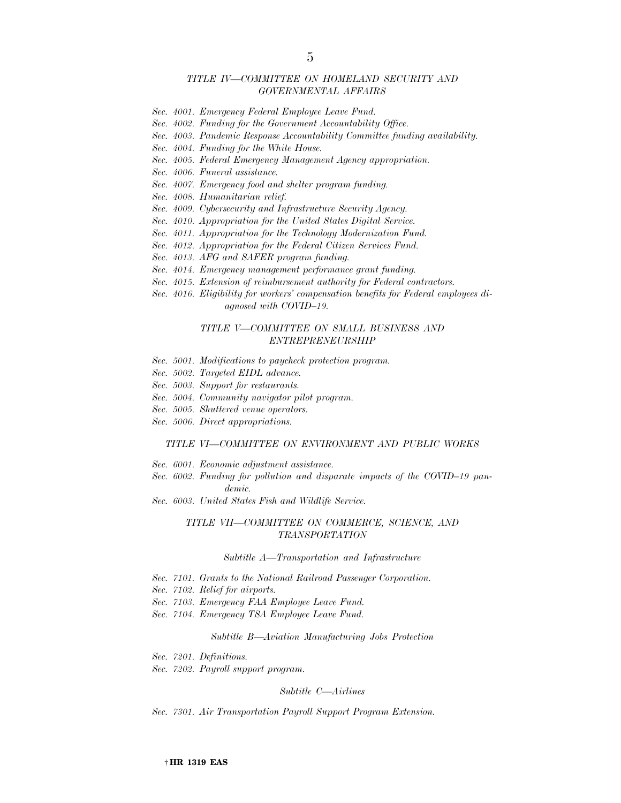### *TITLE IV—COMMITTEE ON HOMELAND SECURITY AND GOVERNMENTAL AFFAIRS*

- *Sec. 4001. Emergency Federal Employee Leave Fund.*
- *Sec. 4002. Funding for the Government Accountability Office.*
- *Sec. 4003. Pandemic Response Accountability Committee funding availability.*
- *Sec. 4004. Funding for the White House.*
- *Sec. 4005. Federal Emergency Management Agency appropriation.*
- *Sec. 4006. Funeral assistance.*
- *Sec. 4007. Emergency food and shelter program funding.*
- *Sec. 4008. Humanitarian relief.*
- *Sec. 4009. Cybersecurity and Infrastructure Security Agency.*
- *Sec. 4010. Appropriation for the United States Digital Service.*
- *Sec. 4011. Appropriation for the Technology Modernization Fund.*
- *Sec. 4012. Appropriation for the Federal Citizen Services Fund.*
- *Sec. 4013. AFG and SAFER program funding.*
- *Sec. 4014. Emergency management performance grant funding.*
- *Sec. 4015. Extension of reimbursement authority for Federal contractors.*
- *Sec. 4016. Eligibility for workers' compensation benefits for Federal employees diagnosed with COVID–19.*

#### *TITLE V—COMMITTEE ON SMALL BUSINESS AND ENTREPRENEURSHIP*

- *Sec. 5001. Modifications to paycheck protection program.*
- *Sec. 5002. Targeted EIDL advance.*
- *Sec. 5003. Support for restaurants.*
- *Sec. 5004. Community navigator pilot program.*
- *Sec. 5005. Shuttered venue operators.*
- *Sec. 5006. Direct appropriations.*

#### *TITLE VI—COMMITTEE ON ENVIRONMENT AND PUBLIC WORKS*

- *Sec. 6001. Economic adjustment assistance.*
- *Sec. 6002. Funding for pollution and disparate impacts of the COVID–19 pandemic.*
- *Sec. 6003. United States Fish and Wildlife Service.*

#### *TITLE VII—COMMITTEE ON COMMERCE, SCIENCE, AND TRANSPORTATION*

#### *Subtitle A—Transportation and Infrastructure*

- *Sec. 7101. Grants to the National Railroad Passenger Corporation.*
- *Sec. 7102. Relief for airports.*
- *Sec. 7103. Emergency FAA Employee Leave Fund.*
- *Sec. 7104. Emergency TSA Employee Leave Fund.*

#### *Subtitle B—Aviation Manufacturing Jobs Protection*

- *Sec. 7201. Definitions.*
- *Sec. 7202. Payroll support program.*

#### *Subtitle C—Airlines*

*Sec. 7301. Air Transportation Payroll Support Program Extension.*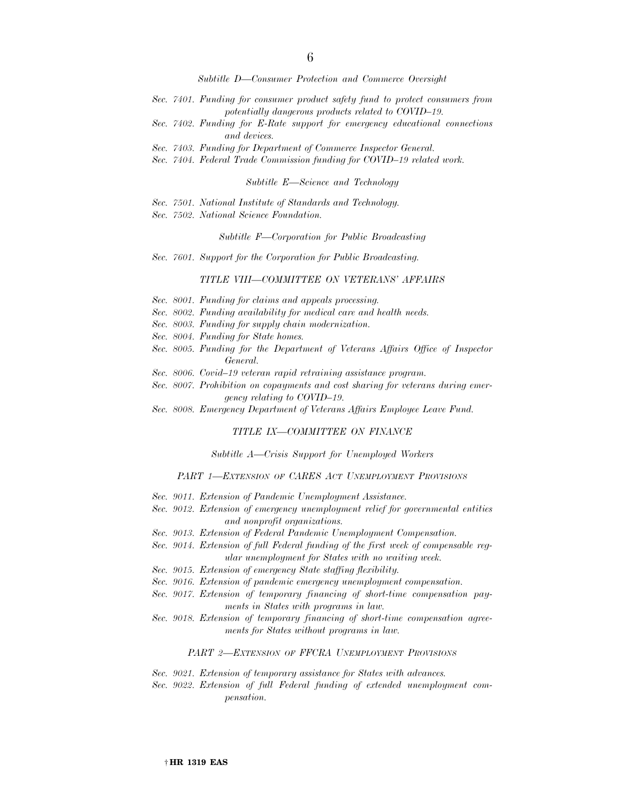*Subtitle D—Consumer Protection and Commerce Oversight* 

- *Sec. 7401. Funding for consumer product safety fund to protect consumers from potentially dangerous products related to COVID–19.*
- *Sec. 7402. Funding for E-Rate support for emergency educational connections and devices.*
- *Sec. 7403. Funding for Department of Commerce Inspector General.*
- *Sec. 7404. Federal Trade Commission funding for COVID–19 related work.*

*Subtitle E—Science and Technology* 

- *Sec. 7501. National Institute of Standards and Technology.*
- *Sec. 7502. National Science Foundation.*

#### *Subtitle F—Corporation for Public Broadcasting*

*Sec. 7601. Support for the Corporation for Public Broadcasting.* 

#### *TITLE VIII—COMMITTEE ON VETERANS' AFFAIRS*

- *Sec. 8001. Funding for claims and appeals processing.*
- *Sec. 8002. Funding availability for medical care and health needs.*
- *Sec. 8003. Funding for supply chain modernization.*
- *Sec. 8004. Funding for State homes.*
- *Sec. 8005. Funding for the Department of Veterans Affairs Office of Inspector General.*
- *Sec. 8006. Covid–19 veteran rapid retraining assistance program.*
- *Sec. 8007. Prohibition on copayments and cost sharing for veterans during emergency relating to COVID–19.*
- *Sec. 8008. Emergency Department of Veterans Affairs Employee Leave Fund.*

#### *TITLE IX—COMMITTEE ON FINANCE*

*Subtitle A—Crisis Support for Unemployed Workers* 

#### *PART 1—EXTENSION OF CARES ACT UNEMPLOYMENT PROVISIONS*

- *Sec. 9011. Extension of Pandemic Unemployment Assistance.*
- *Sec. 9012. Extension of emergency unemployment relief for governmental entities and nonprofit organizations.*
- *Sec. 9013. Extension of Federal Pandemic Unemployment Compensation.*
- *Sec. 9014. Extension of full Federal funding of the first week of compensable regular unemployment for States with no waiting week.*
- *Sec. 9015. Extension of emergency State staffing flexibility.*
- *Sec. 9016. Extension of pandemic emergency unemployment compensation.*
- *Sec. 9017. Extension of temporary financing of short-time compensation payments in States with programs in law.*
- *Sec. 9018. Extension of temporary financing of short-time compensation agreements for States without programs in law.*

#### *PART 2—EXTENSION OF FFCRA UNEMPLOYMENT PROVISIONS*

*Sec. 9021. Extension of temporary assistance for States with advances.* 

*Sec. 9022. Extension of full Federal funding of extended unemployment compensation.*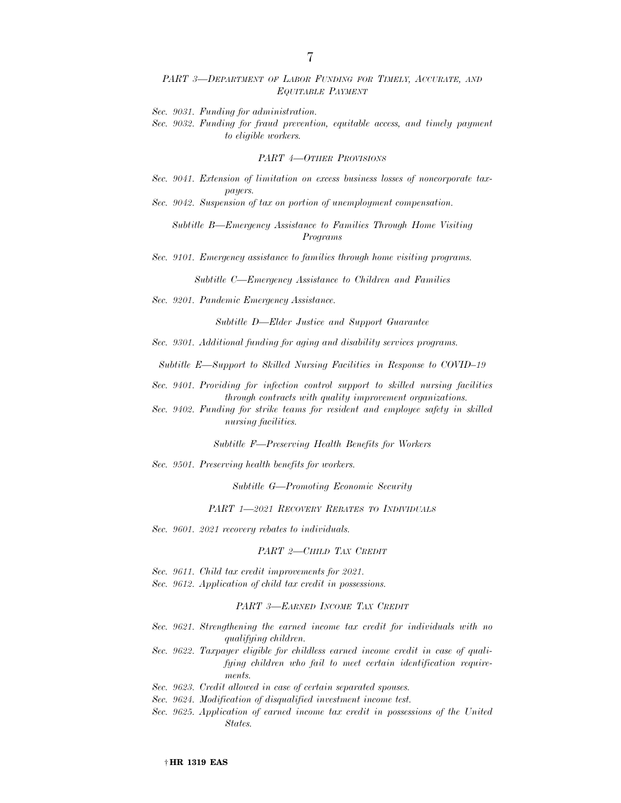#### *PART 3—DEPARTMENT OF LABOR FUNDING FOR TIMELY, ACCURATE, AND EQUITABLE PAYMENT*

*Sec. 9031. Funding for administration.* 

*Sec. 9032. Funding for fraud prevention, equitable access, and timely payment to eligible workers.* 

#### *PART 4—OTHER PROVISIONS*

*Sec. 9041. Extension of limitation on excess business losses of noncorporate taxpayers.* 

*Sec. 9042. Suspension of tax on portion of unemployment compensation.* 

*Subtitle B—Emergency Assistance to Families Through Home Visiting Programs* 

*Sec. 9101. Emergency assistance to families through home visiting programs.* 

*Subtitle C—Emergency Assistance to Children and Families* 

*Sec. 9201. Pandemic Emergency Assistance.* 

*Subtitle D—Elder Justice and Support Guarantee* 

*Sec. 9301. Additional funding for aging and disability services programs.* 

*Subtitle E—Support to Skilled Nursing Facilities in Response to COVID–19* 

- *Sec. 9401. Providing for infection control support to skilled nursing facilities through contracts with quality improvement organizations.*
- *Sec. 9402. Funding for strike teams for resident and employee safety in skilled nursing facilities.*

*Subtitle F—Preserving Health Benefits for Workers* 

*Sec. 9501. Preserving health benefits for workers.* 

*Subtitle G—Promoting Economic Security* 

*PART 1—2021 RECOVERY REBATES TO INDIVIDUALS*

*Sec. 9601. 2021 recovery rebates to individuals.* 

#### *PART 2—CHILD TAX CREDIT*

- *Sec. 9611. Child tax credit improvements for 2021.*
- *Sec. 9612. Application of child tax credit in possessions.*

#### *PART 3—EARNED INCOME TAX CREDIT*

- *Sec. 9621. Strengthening the earned income tax credit for individuals with no qualifying children.*
- *Sec. 9622. Taxpayer eligible for childless earned income credit in case of qualifying children who fail to meet certain identification requirements.*
- *Sec. 9623. Credit allowed in case of certain separated spouses.*
- *Sec. 9624. Modification of disqualified investment income test.*
- *Sec. 9625. Application of earned income tax credit in possessions of the United States.*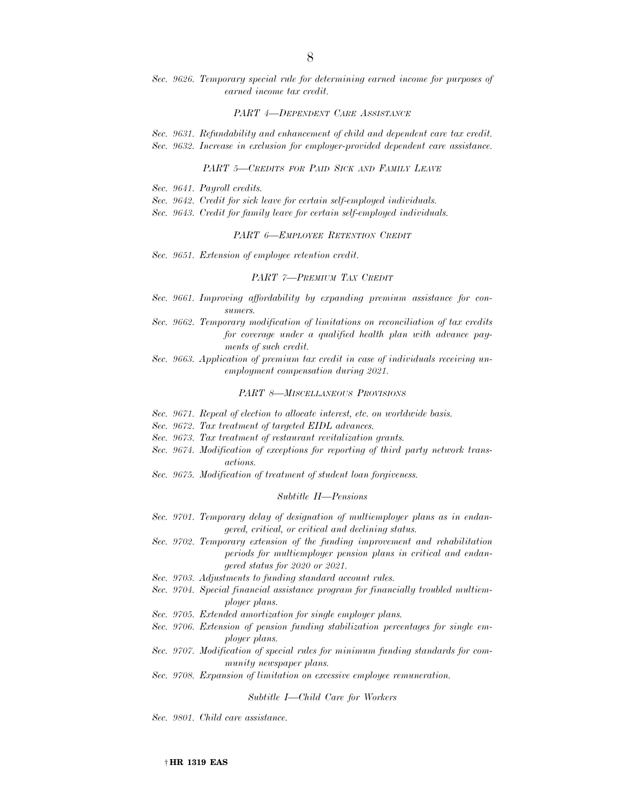*Sec. 9626. Temporary special rule for determining earned income for purposes of earned income tax credit.* 

#### *PART 4—DEPENDENT CARE ASSISTANCE*

*Sec. 9631. Refundability and enhancement of child and dependent care tax credit. Sec. 9632. Increase in exclusion for employer-provided dependent care assistance.* 

#### *PART 5—CREDITS FOR PAID SICK AND FAMILY LEAVE*

- *Sec. 9641. Payroll credits.*
- *Sec. 9642. Credit for sick leave for certain self-employed individuals.*
- *Sec. 9643. Credit for family leave for certain self-employed individuals.*

#### *PART 6—EMPLOYEE RETENTION CREDIT*

*Sec. 9651. Extension of employee retention credit.* 

#### *PART 7—PREMIUM TAX CREDIT*

- *Sec. 9661. Improving affordability by expanding premium assistance for consumers.*
- *Sec. 9662. Temporary modification of limitations on reconciliation of tax credits for coverage under a qualified health plan with advance payments of such credit.*
- *Sec. 9663. Application of premium tax credit in case of individuals receiving unemployment compensation during 2021.*

#### *PART 8—MISCELLANEOUS PROVISIONS*

- *Sec. 9671. Repeal of election to allocate interest, etc. on worldwide basis.*
- *Sec. 9672. Tax treatment of targeted EIDL advances.*
- *Sec. 9673. Tax treatment of restaurant revitalization grants.*
- *Sec. 9674. Modification of exceptions for reporting of third party network transactions.*
- *Sec. 9675. Modification of treatment of student loan forgiveness.*

#### *Subtitle H—Pensions*

- *Sec. 9701. Temporary delay of designation of multiemployer plans as in endangered, critical, or critical and declining status.*
- *Sec. 9702. Temporary extension of the funding improvement and rehabilitation periods for multiemployer pension plans in critical and endangered status for 2020 or 2021.*
- *Sec. 9703. Adjustments to funding standard account rules.*
- *Sec. 9704. Special financial assistance program for financially troubled multiemployer plans.*
- *Sec. 9705. Extended amortization for single employer plans.*
- *Sec. 9706. Extension of pension funding stabilization percentages for single employer plans.*
- *Sec. 9707. Modification of special rules for minimum funding standards for community newspaper plans.*
- *Sec. 9708. Expansion of limitation on excessive employee remuneration.*

#### *Subtitle I—Child Care for Workers*

*Sec. 9801. Child care assistance.*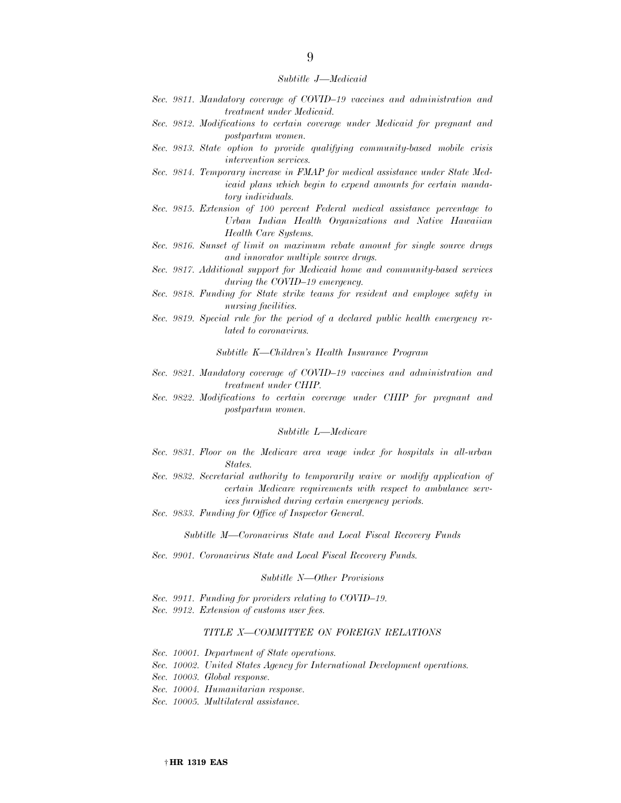#### *Subtitle J—Medicaid*

- *Sec. 9811. Mandatory coverage of COVID–19 vaccines and administration and treatment under Medicaid.*
- *Sec. 9812. Modifications to certain coverage under Medicaid for pregnant and postpartum women.*
- *Sec. 9813. State option to provide qualifying community-based mobile crisis intervention services.*
- *Sec. 9814. Temporary increase in FMAP for medical assistance under State Medicaid plans which begin to expend amounts for certain mandatory individuals.*
- *Sec. 9815. Extension of 100 percent Federal medical assistance percentage to Urban Indian Health Organizations and Native Hawaiian Health Care Systems.*
- *Sec. 9816. Sunset of limit on maximum rebate amount for single source drugs and innovator multiple source drugs.*
- *Sec. 9817. Additional support for Medicaid home and community-based services during the COVID–19 emergency.*
- *Sec. 9818. Funding for State strike teams for resident and employee safety in nursing facilities.*
- *Sec. 9819. Special rule for the period of a declared public health emergency related to coronavirus.*

*Subtitle K—Children's Health Insurance Program* 

- *Sec. 9821. Mandatory coverage of COVID–19 vaccines and administration and treatment under CHIP.*
- *Sec. 9822. Modifications to certain coverage under CHIP for pregnant and postpartum women.*

#### *Subtitle L—Medicare*

- *Sec. 9831. Floor on the Medicare area wage index for hospitals in all-urban States.*
- *Sec. 9832. Secretarial authority to temporarily waive or modify application of certain Medicare requirements with respect to ambulance services furnished during certain emergency periods.*
- *Sec. 9833. Funding for Office of Inspector General.*

*Subtitle M—Coronavirus State and Local Fiscal Recovery Funds* 

*Sec. 9901. Coronavirus State and Local Fiscal Recovery Funds.* 

#### *Subtitle N—Other Provisions*

- *Sec. 9911. Funding for providers relating to COVID–19.*
- *Sec. 9912. Extension of customs user fees.*

#### *TITLE X—COMMITTEE ON FOREIGN RELATIONS*

- *Sec. 10001. Department of State operations.*
- *Sec. 10002. United States Agency for International Development operations.*
- *Sec. 10003. Global response.*
- *Sec. 10004. Humanitarian response.*
- *Sec. 10005. Multilateral assistance.*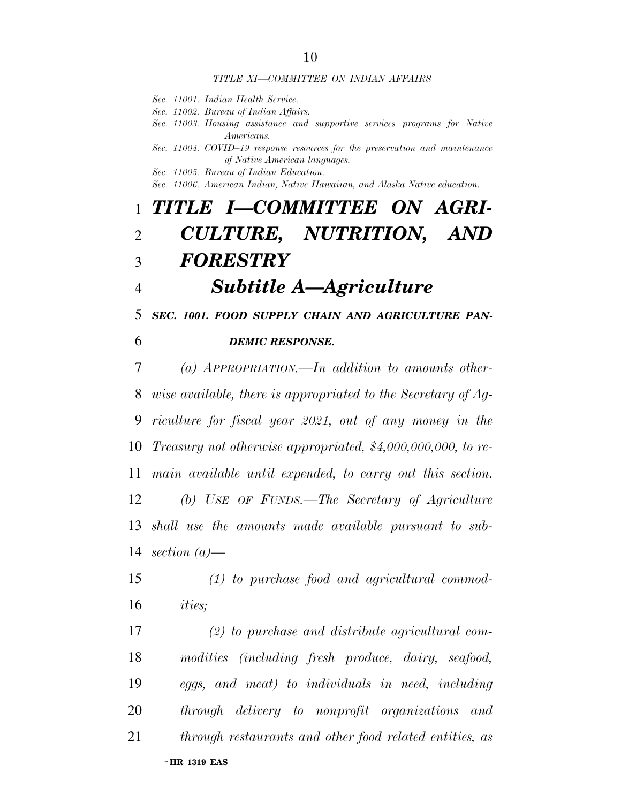#### *TITLE XI—COMMITTEE ON INDIAN AFFAIRS*

*Sec. 11001. Indian Health Service.* 

- *Sec. 11002. Bureau of Indian Affairs.*
- *Sec. 11003. Housing assistance and supportive services programs for Native Americans.*
- *Sec. 11004. COVID–19 response resources for the preservation and maintenance of Native American languages.*
- *Sec. 11005. Bureau of Indian Education.*

*Sec. 11006. American Indian, Native Hawaiian, and Alaska Native education.* 

# *TITLE I—COMMITTEE ON AGRI- CULTURE, NUTRITION, AND FORESTRY*

# *Subtitle A—Agriculture*

*SEC. 1001. FOOD SUPPLY CHAIN AND AGRICULTURE PAN-*

## *DEMIC RESPONSE.*

 *(a) APPROPRIATION.—In addition to amounts other- wise available, there is appropriated to the Secretary of Ag- riculture for fiscal year 2021, out of any money in the Treasury not otherwise appropriated, \$4,000,000,000, to re- main available until expended, to carry out this section. (b) USE OF FUNDS.—The Secretary of Agriculture shall use the amounts made available pursuant to sub-section (a)—* 

 *(1) to purchase food and agricultural commod-ities;* 

† **HR 1319 EAS**  *(2) to purchase and distribute agricultural com- modities (including fresh produce, dairy, seafood, eggs, and meat) to individuals in need, including through delivery to nonprofit organizations and through restaurants and other food related entities, as*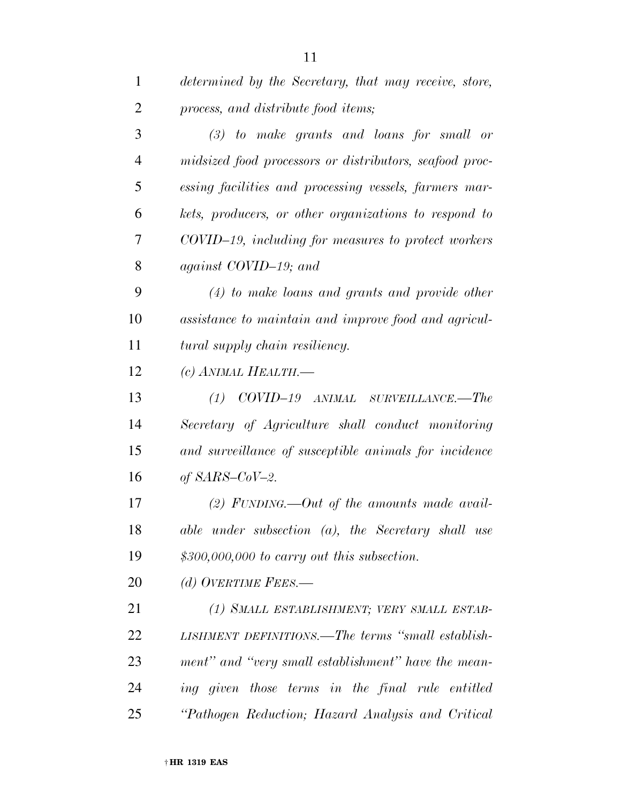| $\mathbf{1}$   | determined by the Secretary, that may receive, store,   |
|----------------|---------------------------------------------------------|
| $\overline{2}$ | process, and distribute food items;                     |
| 3              | $(3)$ to make grants and loans for small or             |
| $\overline{4}$ | midsized food processors or distributors, seafood proc- |
| 5              | essing facilities and processing vessels, farmers mar-  |
| 6              | kets, producers, or other organizations to respond to   |
| 7              | COVID-19, including for measures to protect workers     |
| 8              | against COVID-19; and                                   |
| 9              | $(4)$ to make loans and grants and provide other        |
| 10             | assistance to maintain and improve food and agricul-    |
| 11             | tural supply chain resiliency.                          |
| 12             | (c) ANIMAL HEALTH.—                                     |
| 13             | $(1)$ COVID-19 ANIMAL SURVEILLANCE.—The                 |
| 14             | Secretary of Agriculture shall conduct monitoring       |
| 15             | and surveillance of susceptible animals for incidence   |
| 16             | of $SARS$ -CoV-2.                                       |
| 17             | (2) FUNDING.—Out of the amounts made avail-             |
| 18             | $able$ under subsection $(a)$ , the Secretary shall use |
| 19             | $$300,000,000$ to carry out this subsection.            |
| 20             | (d) OVERTIME FEES.—                                     |
| 21             | (1) SMALL ESTABLISHMENT; VERY SMALL ESTAB-              |
| 22             | LISHMENT DEFINITIONS.—The terms "small establish-       |
| 23             | ment" and "very small establishment" have the mean-     |
| 24             | ing given those terms in the final rule entitled        |
| 25             | "Pathogen Reduction; Hazard Analysis and Critical       |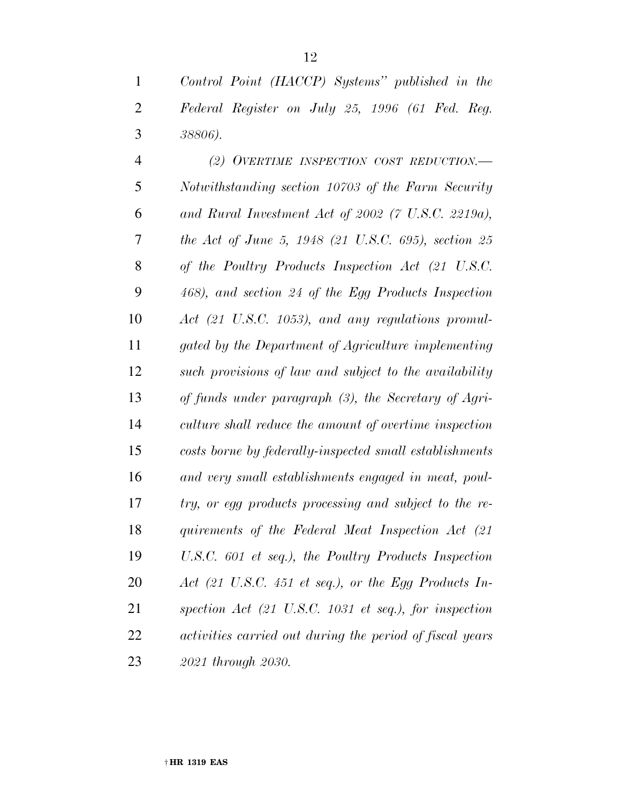*Control Point (HACCP) Systems'' published in the Federal Register on July 25, 1996 (61 Fed. Reg. 38806).* 

 *(2) OVERTIME INSPECTION COST REDUCTION.— Notwithstanding section 10703 of the Farm Security and Rural Investment Act of 2002 (7 U.S.C. 2219a), the Act of June 5, 1948 (21 U.S.C. 695), section 25 of the Poultry Products Inspection Act (21 U.S.C. 468), and section 24 of the Egg Products Inspection Act (21 U.S.C. 1053), and any regulations promul- gated by the Department of Agriculture implementing such provisions of law and subject to the availability of funds under paragraph (3), the Secretary of Agri- culture shall reduce the amount of overtime inspection costs borne by federally-inspected small establishments and very small establishments engaged in meat, poul- try, or egg products processing and subject to the re- quirements of the Federal Meat Inspection Act (21 U.S.C. 601 et seq.), the Poultry Products Inspection Act (21 U.S.C. 451 et seq.), or the Egg Products In- spection Act (21 U.S.C. 1031 et seq.), for inspection activities carried out during the period of fiscal years 2021 through 2030.*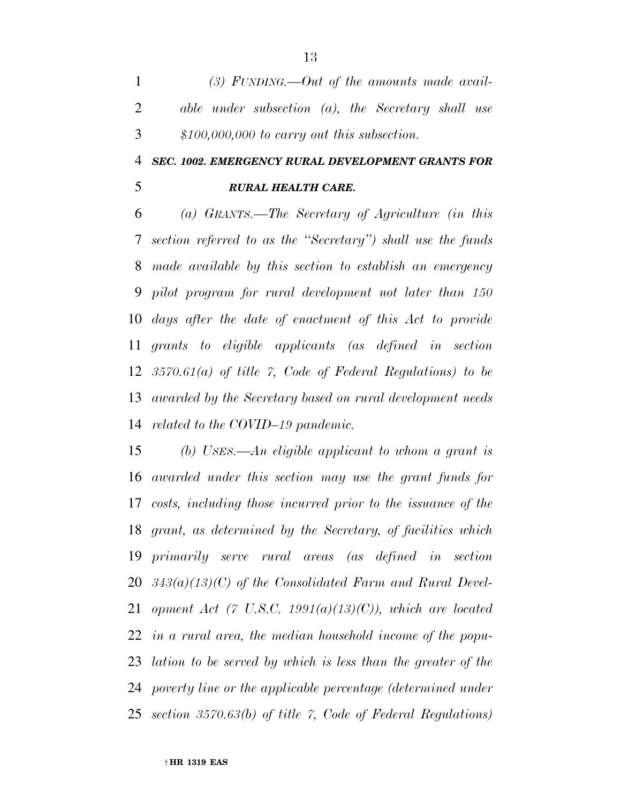*(3) FUNDING.—Out of the amounts made avail- able under subsection (a), the Secretary shall use \$100,000,000 to carry out this subsection.* 

# *SEC. 1002. EMERGENCY RURAL DEVELOPMENT GRANTS FOR*

## *RURAL HEALTH CARE.*

 *(a) GRANTS.—The Secretary of Agriculture (in this section referred to as the ''Secretary'') shall use the funds made available by this section to establish an emergency pilot program for rural development not later than 150 days after the date of enactment of this Act to provide grants to eligible applicants (as defined in section 3570.61(a) of title 7, Code of Federal Regulations) to be awarded by the Secretary based on rural development needs related to the COVID–19 pandemic.* 

 *(b) USES.—An eligible applicant to whom a grant is awarded under this section may use the grant funds for costs, including those incurred prior to the issuance of the grant, as determined by the Secretary, of facilities which primarily serve rural areas (as defined in section 343(a)(13)(C) of the Consolidated Farm and Rural Devel- opment Act (7 U.S.C. 1991(a)(13)(C)), which are located in a rural area, the median household income of the popu- lation to be served by which is less than the greater of the poverty line or the applicable percentage (determined under section 3570.63(b) of title 7, Code of Federal Regulations)*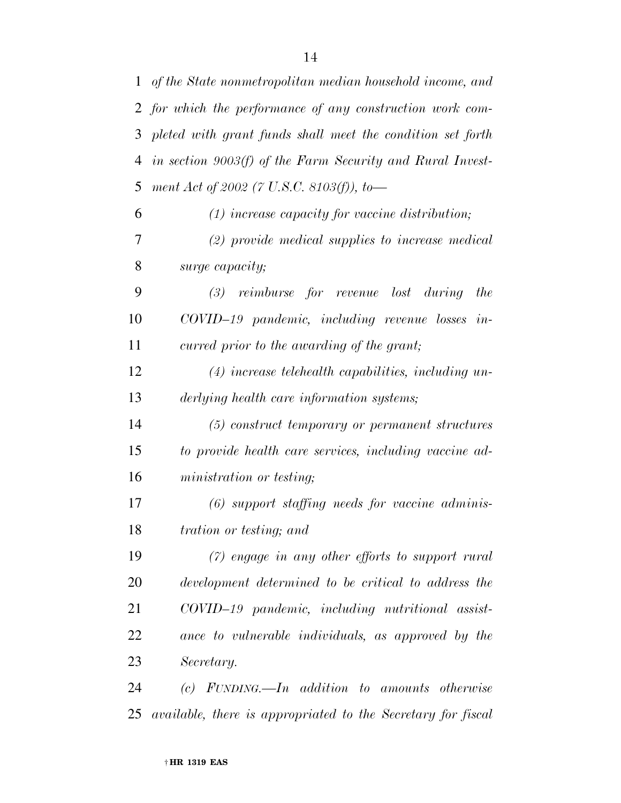| $\mathbf{1}$ | of the State nonmetropolitan median household income, and  |
|--------------|------------------------------------------------------------|
|              | 2 for which the performance of any construction work com-  |
| 3            | pleted with grant funds shall meet the condition set forth |
| 4            | in section 9003(f) of the Farm Security and Rural Invest-  |
| 5            | ment Act of 2002 (7 U.S.C. 8103(f)), to-                   |
| 6            | $(1)$ increase capacity for vaccine distribution;          |
| 7            | $(2)$ provide medical supplies to increase medical         |
| 8            | surge capacity;                                            |
| 9            | $(3)$ reimburse for revenue lost during<br>the             |
| 10           | COVID-19 pandemic, including revenue losses in-            |
| 11           | curred prior to the awarding of the grant;                 |
| 12           | $(4)$ increase telehealth capabilities, including un-      |
| 13           | derlying health care information systems;                  |
| 14           | (5) construct temporary or permanent structures            |
| 15           | to provide health care services, including vaccine ad-     |
| 16           | ministration or testing;                                   |
| 17           | $(6)$ support staffing needs for vaccine adminis-          |
| 18           | <i>tration or testing; and</i>                             |
| 19           | $(7)$ engage in any other efforts to support rural         |
| 20           | development determined to be critical to address the       |
| 21           | COVID-19 pandemic, including nutritional assist-           |
| 22           | ance to vulnerable individuals, as approved by the         |
| 23           | Secretary.                                                 |
| 24           | $(c)$ FUNDING.—In addition to amounts otherwise            |

*available, there is appropriated to the Secretary for fiscal*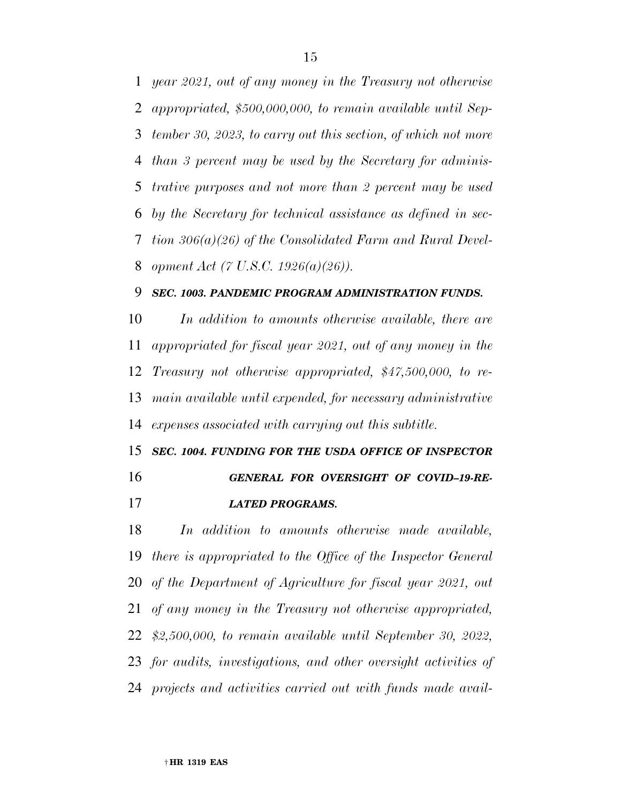*year 2021, out of any money in the Treasury not otherwise appropriated, \$500,000,000, to remain available until Sep- tember 30, 2023, to carry out this section, of which not more than 3 percent may be used by the Secretary for adminis- trative purposes and not more than 2 percent may be used by the Secretary for technical assistance as defined in sec- tion 306(a)(26) of the Consolidated Farm and Rural Devel-opment Act (7 U.S.C. 1926(a)(26)).* 

### *SEC. 1003. PANDEMIC PROGRAM ADMINISTRATION FUNDS.*

 *In addition to amounts otherwise available, there are appropriated for fiscal year 2021, out of any money in the Treasury not otherwise appropriated, \$47,500,000, to re- main available until expended, for necessary administrative expenses associated with carrying out this subtitle.* 

 *SEC. 1004. FUNDING FOR THE USDA OFFICE OF INSPECTOR GENERAL FOR OVERSIGHT OF COVID–19-RE-LATED PROGRAMS.* 

 *In addition to amounts otherwise made available, there is appropriated to the Office of the Inspector General of the Department of Agriculture for fiscal year 2021, out of any money in the Treasury not otherwise appropriated, \$2,500,000, to remain available until September 30, 2022, for audits, investigations, and other oversight activities of projects and activities carried out with funds made avail-*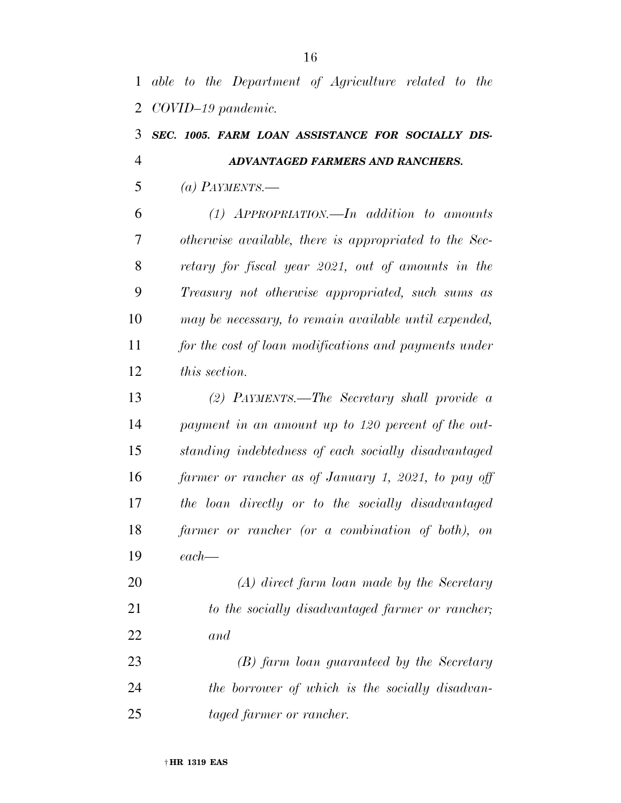# *SEC. 1005. FARM LOAN ASSISTANCE FOR SOCIALLY DIS- ADVANTAGED FARMERS AND RANCHERS. (a) PAYMENTS.— (1) APPROPRIATION.—In addition to amounts otherwise available, there is appropriated to the Sec- retary for fiscal year 2021, out of amounts in the Treasury not otherwise appropriated, such sums as may be necessary, to remain available until expended, for the cost of loan modifications and payments under this section. (2) PAYMENTS.—The Secretary shall provide a payment in an amount up to 120 percent of the out- standing indebtedness of each socially disadvantaged farmer or rancher as of January 1, 2021, to pay off the loan directly or to the socially disadvantaged farmer or rancher (or a combination of both), on each— (A) direct farm loan made by the Secretary to the socially disadvantaged farmer or rancher; and (B) farm loan guaranteed by the Secretary*

 *the borrower of which is the socially disadvan-taged farmer or rancher.*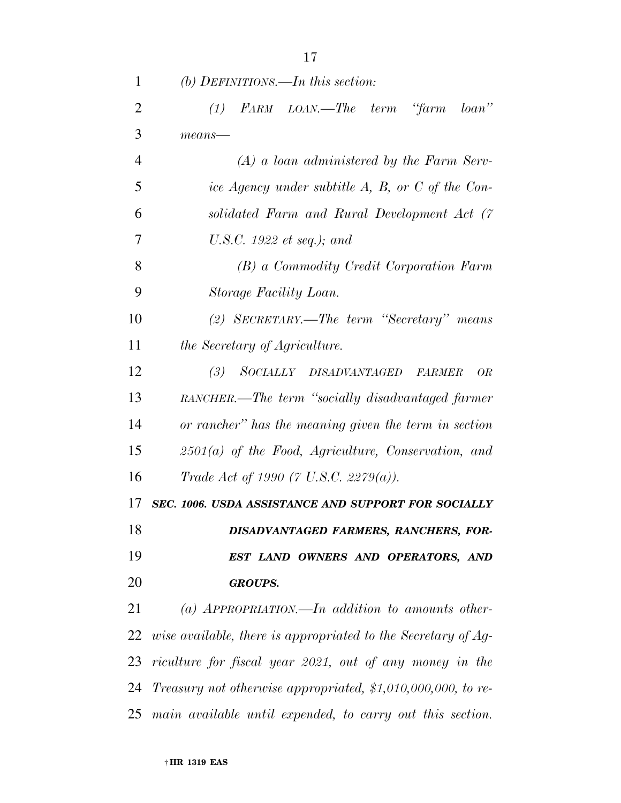| 1              | (b) DEFINITIONS.—In this section:                              |
|----------------|----------------------------------------------------------------|
| $\overline{2}$ | FARM LOAN.—The term "farm loan"<br>(1)                         |
| 3              | $means$ —                                                      |
| $\overline{4}$ | $(A)$ a loan administered by the Farm Serv-                    |
| 5              | ice Agency under subtitle A, B, or C of the Con-               |
| 6              | solidated Farm and Rural Development Act (7                    |
| 7              | U.S.C. 1922 et seq.); and                                      |
| 8              | (B) a Commodity Credit Corporation Farm                        |
| 9              | Storage Facility Loan.                                         |
| 10             | (2) SECRETARY.—The term "Secretary" means                      |
| 11             | <i>the Secretary of Agriculture.</i>                           |
| 12             | SOCIALLY DISADVANTAGED<br>(3)<br><b>FARMER</b><br><i>OR</i>    |
| 13             | RANCHER.—The term "socially disadvantaged farmer               |
| 14             | or rancher" has the meaning given the term in section          |
| 15             | $2501(a)$ of the Food, Agriculture, Conservation, and          |
| 16             | Trade Act of 1990 (7 U.S.C. 2279(a)).                          |
| 17             | SEC. 1006. USDA ASSISTANCE AND SUPPORT FOR SOCIALLY            |
| 18             | DISADVANTAGED FARMERS, RANCHERS, FOR-                          |
| 19             | EST LAND OWNERS AND OPERATORS, AND                             |
| 20             | <b>GROUPS.</b>                                                 |
| 21             | (a) APPROPRIATION.—In addition to amounts other-               |
| 22             | wise available, there is appropriated to the Secretary of Ag-  |
| 23             | riculture for fiscal year 2021, out of any money in the        |
| 24             | Treasury not otherwise appropriated, $$1,010,000,000$ , to re- |
| 25             | main available until expended, to carry out this section.      |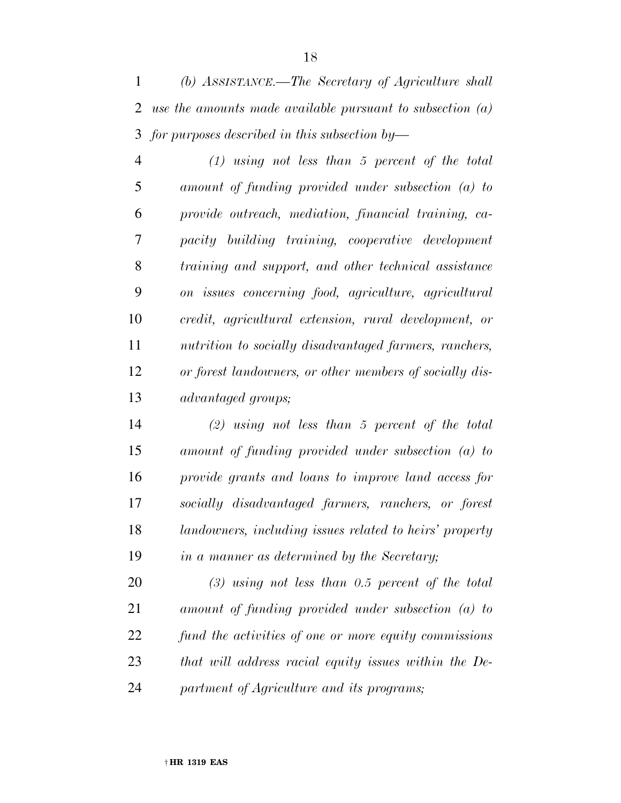*(b) ASSISTANCE.—The Secretary of Agriculture shall use the amounts made available pursuant to subsection (a) for purposes described in this subsection by—* 

 *(1) using not less than 5 percent of the total amount of funding provided under subsection (a) to provide outreach, mediation, financial training, ca- pacity building training, cooperative development training and support, and other technical assistance on issues concerning food, agriculture, agricultural credit, agricultural extension, rural development, or nutrition to socially disadvantaged farmers, ranchers, or forest landowners, or other members of socially dis-advantaged groups;* 

 *(2) using not less than 5 percent of the total amount of funding provided under subsection (a) to provide grants and loans to improve land access for socially disadvantaged farmers, ranchers, or forest landowners, including issues related to heirs' property in a manner as determined by the Secretary;* 

 *(3) using not less than 0.5 percent of the total amount of funding provided under subsection (a) to fund the activities of one or more equity commissions that will address racial equity issues within the De-partment of Agriculture and its programs;*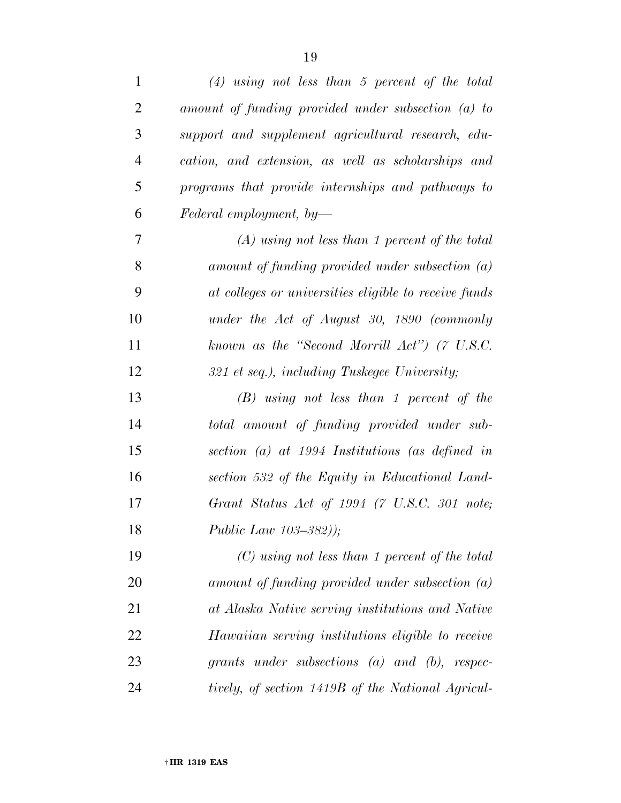| $\mathbf{1}$   | $(4)$ using not less than 5 percent of the total      |
|----------------|-------------------------------------------------------|
| $\overline{2}$ | amount of funding provided under subsection $(a)$ to  |
| 3              | support and supplement agricultural research, edu-    |
| $\overline{4}$ | cation, and extension, as well as scholarships and    |
| 5              | programs that provide internships and pathways to     |
| 6              | Federal employment, by-                               |
| 7              | $(A)$ using not less than 1 percent of the total      |
| 8              | $amount of funding provided under subsection (a)$     |
| 9              | at colleges or universities eligible to receive funds |
| 10             | under the Act of August 30, 1890 (commonly            |
| 11             | known as the "Second Morrill Act") (7 U.S.C.          |
| 12             | 321 et seq.), including Tuskegee University;          |
| 13             | $(B)$ using not less than 1 percent of the            |
| 14             | total amount of funding provided under sub-           |
| 15             | section (a) at 1994 Institutions (as defined in       |
| 16             | section 532 of the Equity in Educational Land-        |
| 17             | Grant Status Act of 1994 (7 U.S.C. 301 note;          |
| 18             | <i>Public Law 103-382))</i> ;                         |
| 19             | $(C)$ using not less than 1 percent of the total      |
| 20             | $amount of funding provided under subsection (a)$     |
| 21             | at Alaska Native serving institutions and Native      |
| 22             | Hawaiian serving institutions eligible to receive     |
| 23             | grants under subsections $(a)$ and $(b)$ , respec-    |
| 24             | tively, of section 1419B of the National Agricul-     |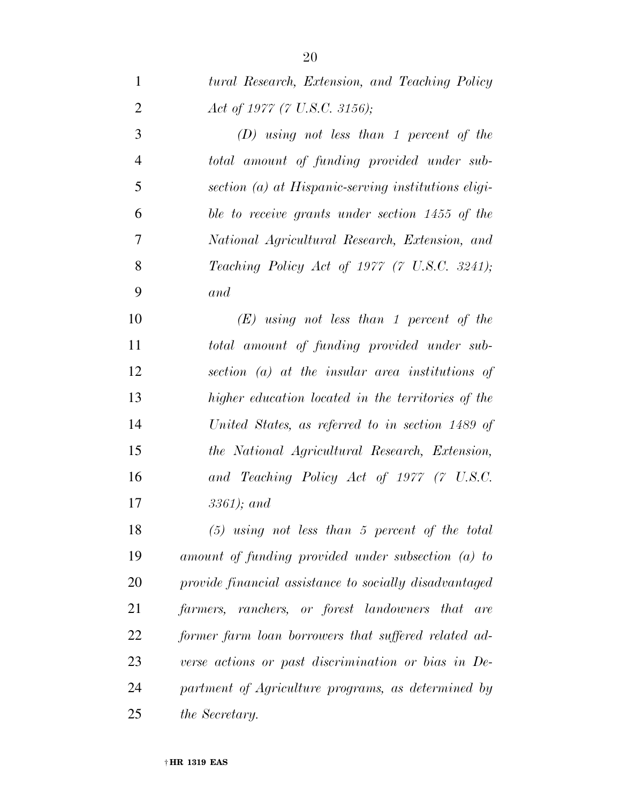*tural Research, Extension, and Teaching Policy* 

| $\overline{2}$ | Act of 1977 (7 U.S.C. 3156);                           |
|----------------|--------------------------------------------------------|
| 3              | $(D)$ using not less than 1 percent of the             |
| $\overline{4}$ | total amount of funding provided under sub-            |
| 5              | section (a) at Hispanic-serving institutions eligi-    |
| 6              | ble to receive grants under section 1455 of the        |
| 7              | National Agricultural Research, Extension, and         |
| 8              | Teaching Policy Act of 1977 (7 U.S.C. 3241);           |
| 9              | and                                                    |
| 10             | $(E)$ using not less than 1 percent of the             |
| 11             | total amount of funding provided under sub-            |
| 12             | section (a) at the insular area institutions of        |
| 13             | higher education located in the territories of the     |
| 14             | United States, as referred to in section 1489 of       |
| 15             | the National Agricultural Research, Extension,         |
| 16             | and Teaching Policy Act of 1977 (7 U.S.C.              |
| 17             | $3361$ ); and                                          |
| 18             | $(5)$ using not less than 5 percent of the total       |
| 19             | amount of funding provided under subsection (a) to     |
| 20             | provide financial assistance to socially disadvantaged |
| 21             | farmers, ranchers, or forest landowners that are       |
| 22             | former farm loan borrowers that suffered related ad-   |
| 23             | verse actions or past discrimination or bias in De-    |
| 24             | partment of Agriculture programs, as determined by     |
| 25             | the Secretary.                                         |
|                |                                                        |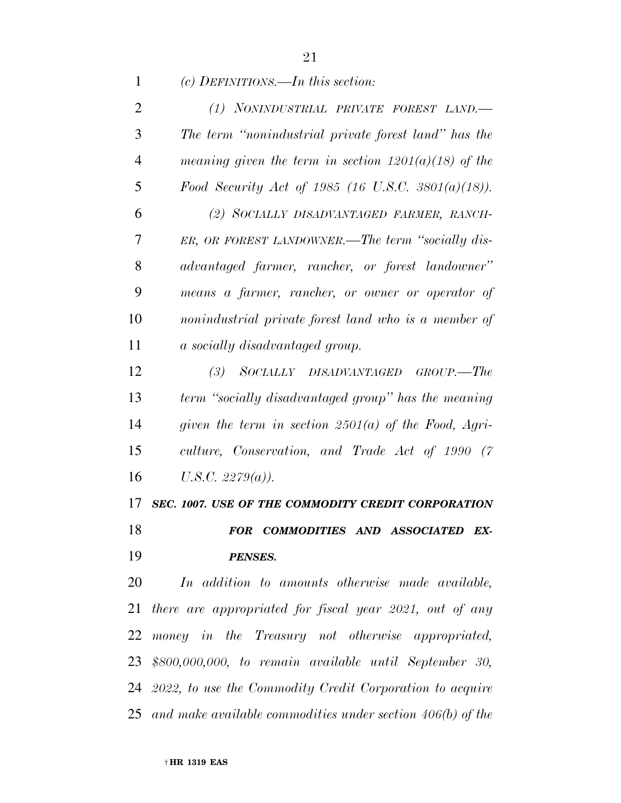*(c) DEFINITIONS.—In this section:* 

| 2              | (1) NONINDUSTRIAL PRIVATE FOREST LAND.-                     |
|----------------|-------------------------------------------------------------|
| 3              | The term "nonindustrial private forest land" has the        |
| $\overline{4}$ | meaning given the term in section $1201(a)(18)$ of the      |
| 5              | Food Security Act of 1985 (16 U.S.C. 3801(a)(18)).          |
| 6              | (2) SOCIALLY DISADVANTAGED FARMER, RANCH-                   |
| 7              | ER, OR FOREST LANDOWNER.—The term "socially dis-            |
| 8              | advantaged farmer, rancher, or forest landowner"            |
| 9              | means a farmer, rancher, or owner or operator of            |
| 10             | nonindustrial private forest land who is a member of        |
| 11             | a socially disadvantaged group.                             |
| 12             | (3)<br>SOCIALLY DISADVANTAGED GROUP.-The                    |
| 13             | term "socially disadvantaged group" has the meaning         |
| 14             | given the term in section 2501(a) of the Food, Agri-        |
| 15             | culture, Conservation, and Trade Act of 1990 (7             |
| 16             | $U.S.C. 2279(a)$ ).                                         |
| 17             | SEC. 1007. USE OF THE COMMODITY CREDIT CORPORATION          |
| 18             | COMMODITIES AND ASSOCIATED<br>EX-<br><i>FOR</i>             |
| 19             | <b>PENSES.</b>                                              |
| 20             | In addition to amounts otherwise made available,            |
| 21             | there are appropriated for fiscal year 2021, out of any     |
| 22             | money in the Treasury not otherwise appropriated,           |
|                | 23 \$800,000,000, to remain available until September 30,   |
|                | 24 2022, to use the Commodity Credit Corporation to acquire |

*and make available commodities under section 406(b) of the*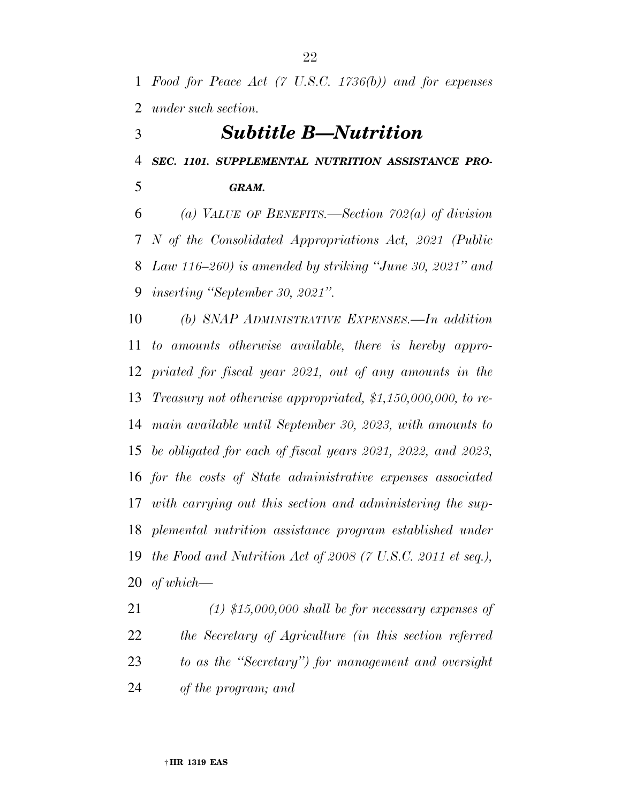*Food for Peace Act (7 U.S.C. 1736(b)) and for expenses under such section.* 

# *Subtitle B—Nutrition*

*SEC. 1101. SUPPLEMENTAL NUTRITION ASSISTANCE PRO-*

*GRAM.* 

 *(a) VALUE OF BENEFITS.—Section 702(a) of division N of the Consolidated Appropriations Act, 2021 (Public Law 116–260) is amended by striking ''June 30, 2021'' and inserting ''September 30, 2021''.* 

 *(b) SNAP ADMINISTRATIVE EXPENSES.—In addition to amounts otherwise available, there is hereby appro- priated for fiscal year 2021, out of any amounts in the Treasury not otherwise appropriated, \$1,150,000,000, to re- main available until September 30, 2023, with amounts to be obligated for each of fiscal years 2021, 2022, and 2023, for the costs of State administrative expenses associated with carrying out this section and administering the sup- plemental nutrition assistance program established under the Food and Nutrition Act of 2008 (7 U.S.C. 2011 et seq.), of which—* 

 *(1) \$15,000,000 shall be for necessary expenses of the Secretary of Agriculture (in this section referred to as the ''Secretary'') for management and oversight of the program; and*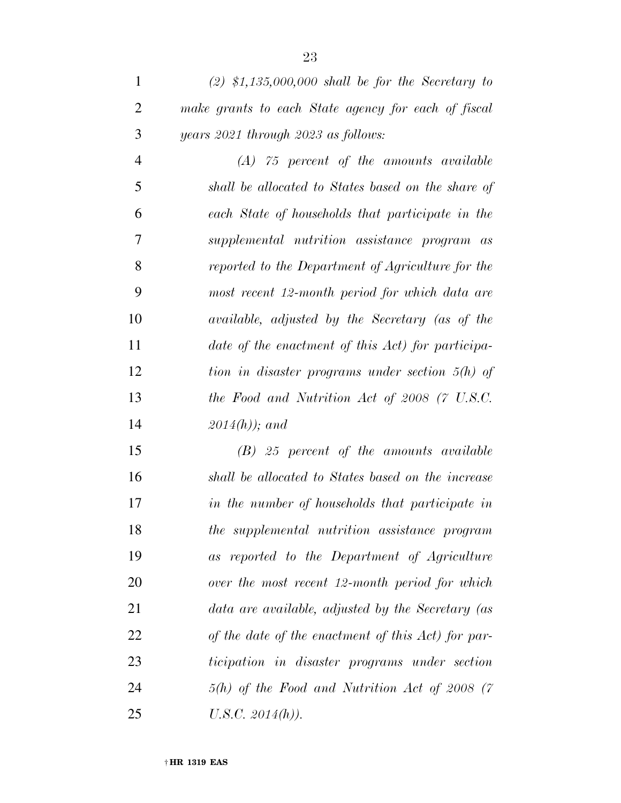*(A) 75 percent of the amounts available shall be allocated to States based on the share of each State of households that participate in the supplemental nutrition assistance program as reported to the Department of Agriculture for the most recent 12-month period for which data are available, adjusted by the Secretary (as of the date of the enactment of this Act) for participa- tion in disaster programs under section 5(h) of the Food and Nutrition Act of 2008 (7 U.S.C. 2014(h)); and* 

 *(B) 25 percent of the amounts available shall be allocated to States based on the increase in the number of households that participate in the supplemental nutrition assistance program as reported to the Department of Agriculture over the most recent 12-month period for which data are available, adjusted by the Secretary (as of the date of the enactment of this Act) for par- ticipation in disaster programs under section 5(h) of the Food and Nutrition Act of 2008 (7 U.S.C. 2014(h)).*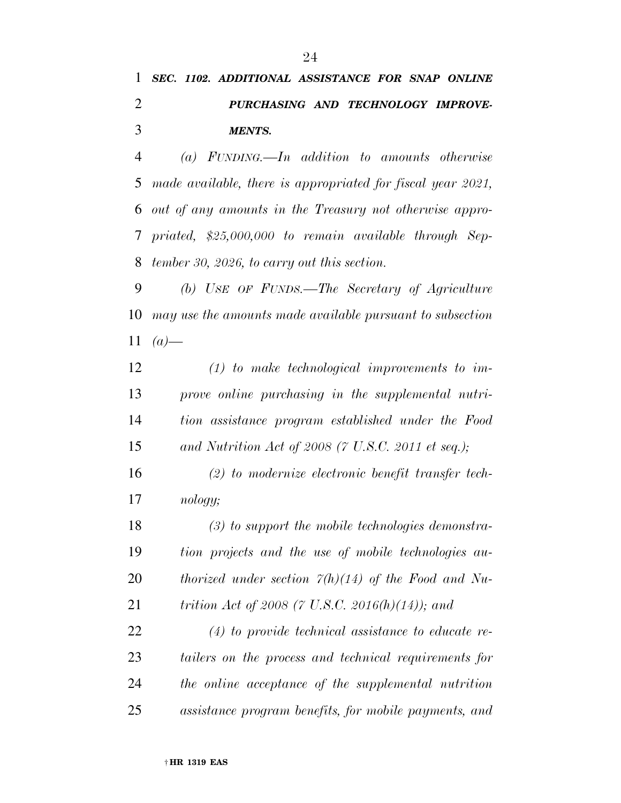# *SEC. 1102. ADDITIONAL ASSISTANCE FOR SNAP ONLINE PURCHASING AND TECHNOLOGY IMPROVE-MENTS.*

 *(a) FUNDING.—In addition to amounts otherwise made available, there is appropriated for fiscal year 2021, out of any amounts in the Treasury not otherwise appro- priated, \$25,000,000 to remain available through Sep-tember 30, 2026, to carry out this section.* 

 *(b) USE OF FUNDS.—The Secretary of Agriculture may use the amounts made available pursuant to subsection*  11  $(a)$ —

 *(1) to make technological improvements to im- prove online purchasing in the supplemental nutri- tion assistance program established under the Food and Nutrition Act of 2008 (7 U.S.C. 2011 et seq.);* 

 *(2) to modernize electronic benefit transfer tech-nology;* 

 *(3) to support the mobile technologies demonstra- tion projects and the use of mobile technologies au- thorized under section 7(h)(14) of the Food and Nu-trition Act of 2008 (7 U.S.C. 2016(h)(14)); and* 

 *(4) to provide technical assistance to educate re- tailers on the process and technical requirements for the online acceptance of the supplemental nutrition assistance program benefits, for mobile payments, and*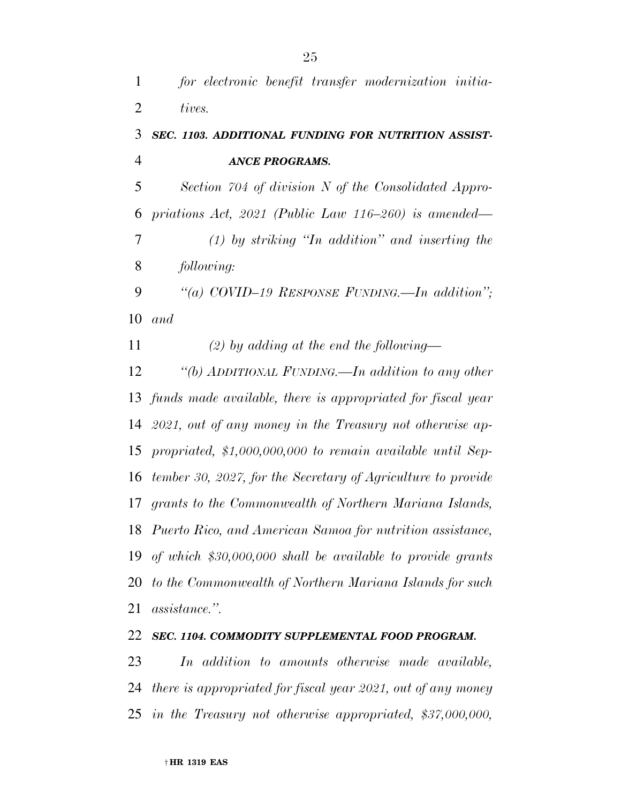*for electronic benefit transfer modernization initia-tives.* 

# *SEC. 1103. ADDITIONAL FUNDING FOR NUTRITION ASSIST-ANCE PROGRAMS.*

 *Section 704 of division N of the Consolidated Appro- priations Act, 2021 (Public Law 116–260) is amended— (1) by striking ''In addition'' and inserting the following:* 

 *''(a) COVID–19 RESPONSE FUNDING.—In addition''; and* 

*(2) by adding at the end the following—* 

 *''(b) ADDITIONAL FUNDING.—In addition to any other funds made available, there is appropriated for fiscal year 2021, out of any money in the Treasury not otherwise ap- propriated, \$1,000,000,000 to remain available until Sep- tember 30, 2027, for the Secretary of Agriculture to provide grants to the Commonwealth of Northern Mariana Islands, Puerto Rico, and American Samoa for nutrition assistance, of which \$30,000,000 shall be available to provide grants to the Commonwealth of Northern Mariana Islands for such assistance.''.* 

## *SEC. 1104. COMMODITY SUPPLEMENTAL FOOD PROGRAM.*

 *In addition to amounts otherwise made available, there is appropriated for fiscal year 2021, out of any money in the Treasury not otherwise appropriated, \$37,000,000,*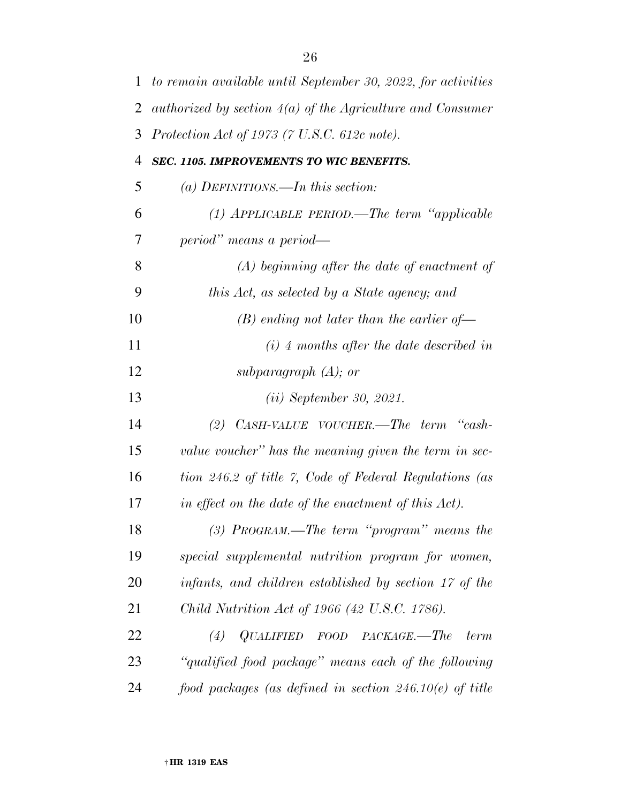| $\mathbf{1}$   | to remain available until September 30, 2022, for activities |
|----------------|--------------------------------------------------------------|
| $\overline{2}$ | authorized by section $4(a)$ of the Agriculture and Consumer |
| 3              | Protection Act of 1973 (7 U.S.C. 612c note).                 |
| 4              | SEC. 1105. IMPROVEMENTS TO WIC BENEFITS.                     |
| 5              | (a) DEFINITIONS.—In this section:                            |
| 6              | $(1)$ APPLICABLE PERIOD.—The term "applicable                |
| 7              | period" means a period—                                      |
| 8              | $(A)$ beginning after the date of enactment of               |
| 9              | this Act, as selected by a State agency; and                 |
| 10             | $(B)$ ending not later than the earlier of-                  |
| 11             | $(i)$ 4 months after the date described in                   |
| 12             | subparagraph $(A)$ ; or                                      |
| 13             | (ii) September 30, 2021.                                     |
| 14             | CASH-VALUE VOUCHER.—The term "cash-<br>(2)                   |
| 15             | value voucher" has the meaning given the term in sec-        |
| 16             | tion 246.2 of title 7, Code of Federal Regulations (as       |
| 17             | in effect on the date of the enactment of this Act).         |
| 18             | $(3)$ PROGRAM.—The term "program" means the                  |
| 19             | special supplemental nutrition program for women,            |
| 20             | infants, and children established by section 17 of the       |
| 21             | Child Nutrition Act of 1966 (42 U.S.C. 1786).                |
| 22             | (4) $QUALIFIED$ FOOD PACKAGE.—The<br>term                    |
| 23             | "qualified food package" means each of the following         |
| 24             | food packages (as defined in section $246.10(e)$ of title    |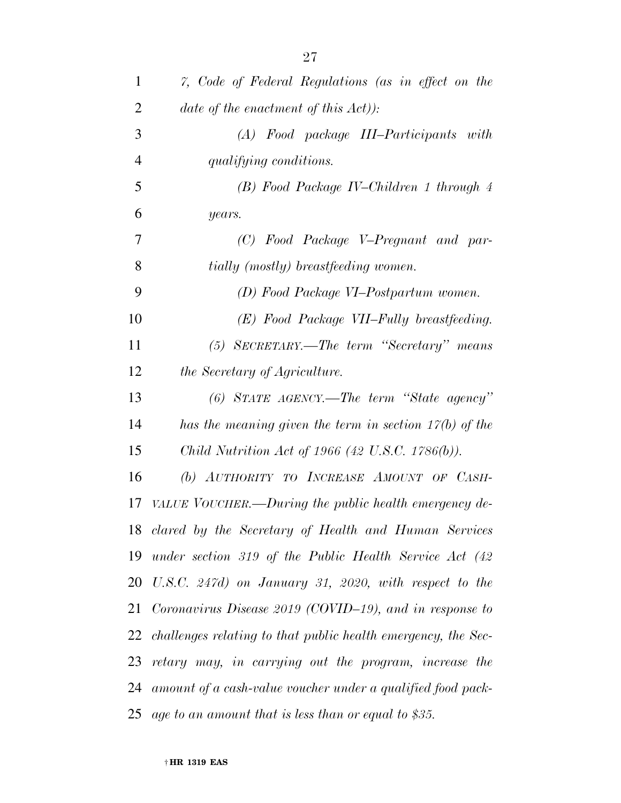| 1  | 7, Code of Federal Regulations (as in effect on the              |
|----|------------------------------------------------------------------|
| 2  | date of the enactment of this $Act)$ :                           |
| 3  | (A) Food package III-Participants with                           |
| 4  | qualifying conditions.                                           |
| 5  | (B) Food Package IV–Children 1 through 4                         |
| 6  | years.                                                           |
| 7  | (C) Food Package V-Pregnant and par-                             |
| 8  | tially (mostly) breastfeeding women.                             |
| 9  | (D) Food Package VI-Postpartum women.                            |
| 10 | (E) Food Package VII–Fully breastfeeding.                        |
| 11 | (5) SECRETARY.—The term "Secretary" means                        |
| 12 | the Secretary of Agriculture.                                    |
| 13 | $(6)$ STATE AGENCY.—The term "State agency"                      |
| 14 | has the meaning given the term in section $17(b)$ of the         |
| 15 | Child Nutrition Act of 1966 (42 U.S.C. 1786(b)).                 |
| 16 | (b) AUTHORITY TO INCREASE AMOUNT OF CASH-                        |
| 17 | VALUE VOUCHER.—During the public health emergency de-            |
|    | 18 clared by the Secretary of Health and Human Services          |
| 19 | under section 319 of the Public Health Service Act $(42)$        |
| 20 | U.S.C. 247d) on January 31, 2020, with respect to the            |
|    | 21 Coronavirus Disease 2019 (COVID–19), and in response to       |
|    | 22 challenges relating to that public health emergency, the Sec- |
| 23 | retary may, in carrying out the program, increase the            |
| 24 | amount of a cash-value voucher under a qualified food pack-      |
| 25 | age to an amount that is less than or equal to \$35.             |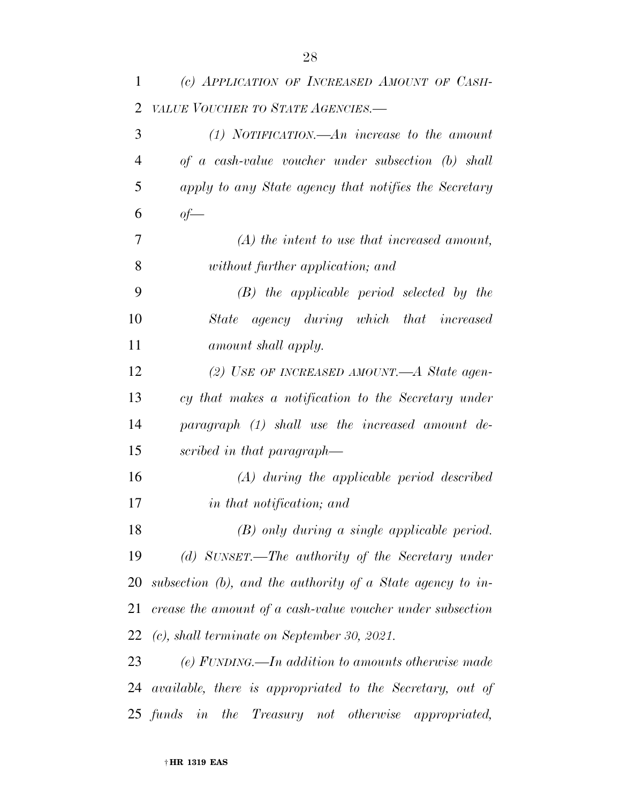| 1              | (c) APPLICATION OF INCREASED AMOUNT OF CASH-                  |
|----------------|---------------------------------------------------------------|
| $\overline{2}$ | VALUE VOUCHER TO STATE AGENCIES.-                             |
| 3              | $(1)$ NOTIFICATION.—An increase to the amount                 |
| 4              | of a cash-value voucher under subsection (b) shall            |
| 5              | apply to any State agency that notifies the Secretary         |
| 6              | $of$ —                                                        |
| 7              | $(A)$ the intent to use that increased amount,                |
| 8              | without further application; and                              |
| 9              | $(B)$ the applicable period selected by the                   |
| 10             | State agency during which that increased                      |
| 11             | amount shall apply.                                           |
| 12             | (2) USE OF INCREASED AMOUNT.—A State agen-                    |
| 13             | cy that makes a notification to the Secretary under           |
| 14             | paragraph (1) shall use the increased amount de-              |
| 15             | scribed in that paragraph—                                    |
| 16             | $(A)$ during the applicable period described                  |
| 17             | in that notification; and                                     |
| 18             | $(B)$ only during a single applicable period.                 |
| 19             | (d) SUNSET.—The authority of the Secretary under              |
| 20             | subsection $(b)$ , and the authority of a State agency to in- |
| 21             | crease the amount of a cash-value voucher under subsection    |
| 22             | $(c)$ , shall terminate on September 30, 2021.                |
| 23             | (e) FUNDING.—In addition to amounts otherwise made            |
| 24             | available, there is appropriated to the Secretary, out of     |
|                | 25 funds in the Treasury not otherwise appropriated,          |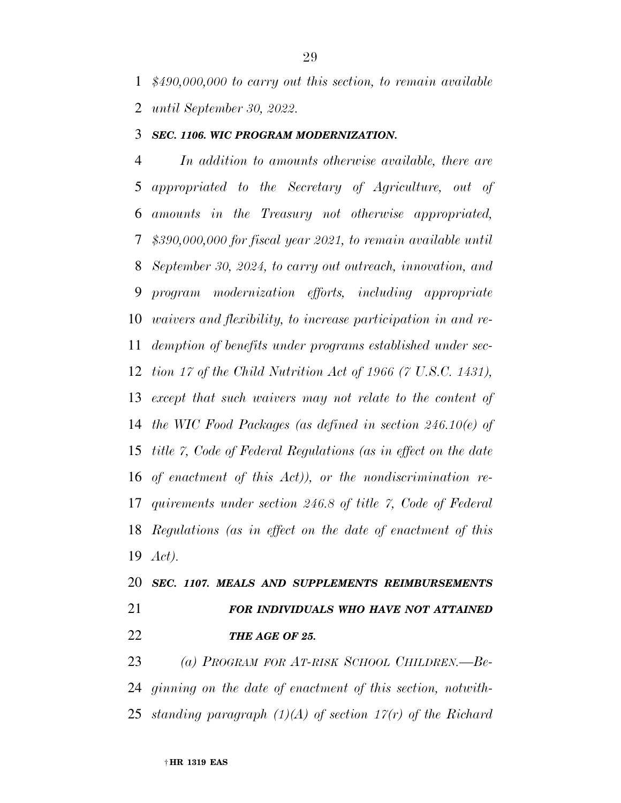*\$490,000,000 to carry out this section, to remain available until September 30, 2022.* 

### *SEC. 1106. WIC PROGRAM MODERNIZATION.*

 *In addition to amounts otherwise available, there are appropriated to the Secretary of Agriculture, out of amounts in the Treasury not otherwise appropriated, \$390,000,000 for fiscal year 2021, to remain available until September 30, 2024, to carry out outreach, innovation, and program modernization efforts, including appropriate waivers and flexibility, to increase participation in and re- demption of benefits under programs established under sec- tion 17 of the Child Nutrition Act of 1966 (7 U.S.C. 1431), except that such waivers may not relate to the content of the WIC Food Packages (as defined in section 246.10(e) of title 7, Code of Federal Regulations (as in effect on the date of enactment of this Act)), or the nondiscrimination re- quirements under section 246.8 of title 7, Code of Federal Regulations (as in effect on the date of enactment of this Act).* 

# *SEC. 1107. MEALS AND SUPPLEMENTS REIMBURSEMENTS FOR INDIVIDUALS WHO HAVE NOT ATTAINED THE AGE OF 25.*

 *(a) PROGRAM FOR AT-RISK SCHOOL CHILDREN.—Be- ginning on the date of enactment of this section, notwith-standing paragraph (1)(A) of section 17(r) of the Richard*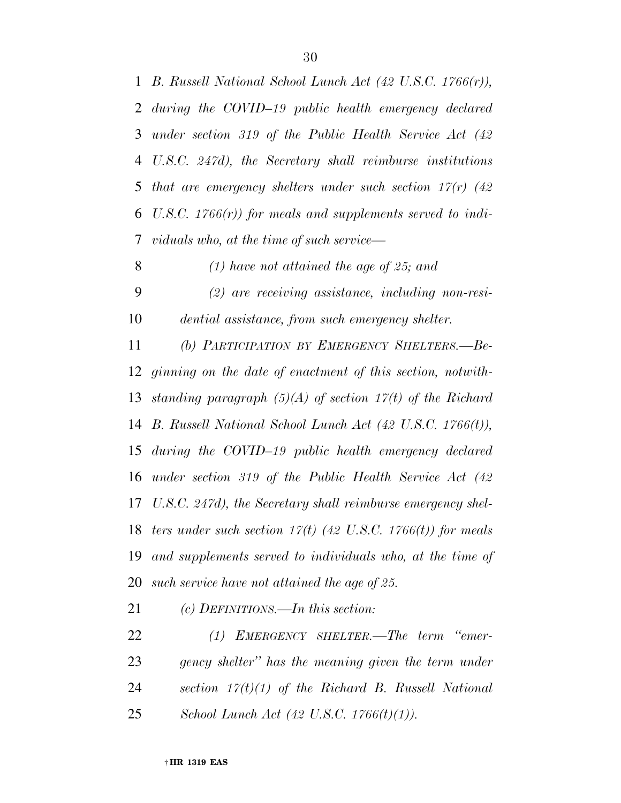*B. Russell National School Lunch Act (42 U.S.C. 1766(r)), during the COVID–19 public health emergency declared under section 319 of the Public Health Service Act (42 U.S.C. 247d), the Secretary shall reimburse institutions that are emergency shelters under such section 17(r) (42 U.S.C. 1766(r)) for meals and supplements served to indi- viduals who, at the time of such service— (1) have not attained the age of 25; and (2) are receiving assistance, including non-resi-*

*dential assistance, from such emergency shelter.* 

 *(b) PARTICIPATION BY EMERGENCY SHELTERS.—Be- ginning on the date of enactment of this section, notwith- standing paragraph (5)(A) of section 17(t) of the Richard B. Russell National School Lunch Act (42 U.S.C. 1766(t)), during the COVID–19 public health emergency declared under section 319 of the Public Health Service Act (42 U.S.C. 247d), the Secretary shall reimburse emergency shel- ters under such section 17(t) (42 U.S.C. 1766(t)) for meals and supplements served to individuals who, at the time of such service have not attained the age of 25.* 

*(c) DEFINITIONS.—In this section:* 

 *(1) EMERGENCY SHELTER.—The term ''emer- gency shelter'' has the meaning given the term under section 17(t)(1) of the Richard B. Russell National School Lunch Act (42 U.S.C. 1766(t)(1)).*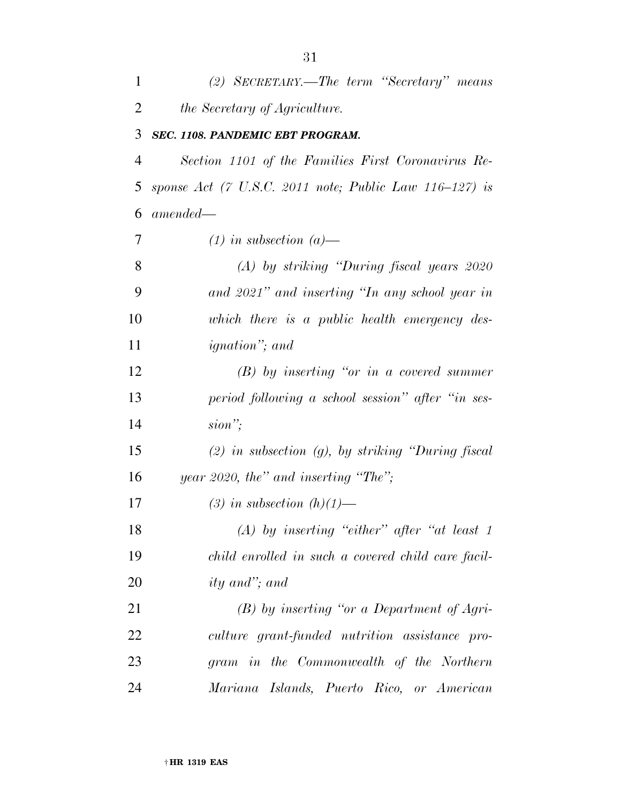| $\mathbf{1}$   | (2) SECRETARY.—The term "Secretary" means                 |
|----------------|-----------------------------------------------------------|
| $\overline{2}$ | <i>the Secretary of Agriculture.</i>                      |
| 3              | SEC. 1108. PANDEMIC EBT PROGRAM.                          |
| $\overline{4}$ | Section 1101 of the Families First Coronavirus Re-        |
| 5              | sponse Act (7 U.S.C. 2011 note; Public Law $116-127$ ) is |
| 6              | $amended-$                                                |
| 7              | $(1)$ in subsection $(a)$ —                               |
| 8              | $(A)$ by striking "During fiscal years 2020"              |
| 9              | and 2021" and inserting "In any school year in            |
| 10             | which there is a public health emergency des-             |
| 11             | <i>ignation</i> "; and                                    |
| 12             | $(B)$ by inserting "or in a covered summer"               |
| 13             | period following a school session" after "in ses-         |
| 14             | $sion$ ";                                                 |
| 15             | $(2)$ in subsection $(g)$ , by striking "During fiscal    |
| 16             | year 2020, the" and inserting "The";                      |
| 17             | (3) in subsection $(h)(1)$ —                              |
| 18             | (A) by inserting "either" after "at least $1$             |
| 19             | child enrolled in such a covered child care facil-        |
| 20             | <i>ity</i> and"; and                                      |
| 21             | $(B)$ by inserting "or a Department of Agri-              |
| 22             | culture grant-funded nutrition assistance pro-            |
| 23             | gram in the Commonwealth of the Northern                  |
| 24             | Mariana Islands, Puerto Rico, or American                 |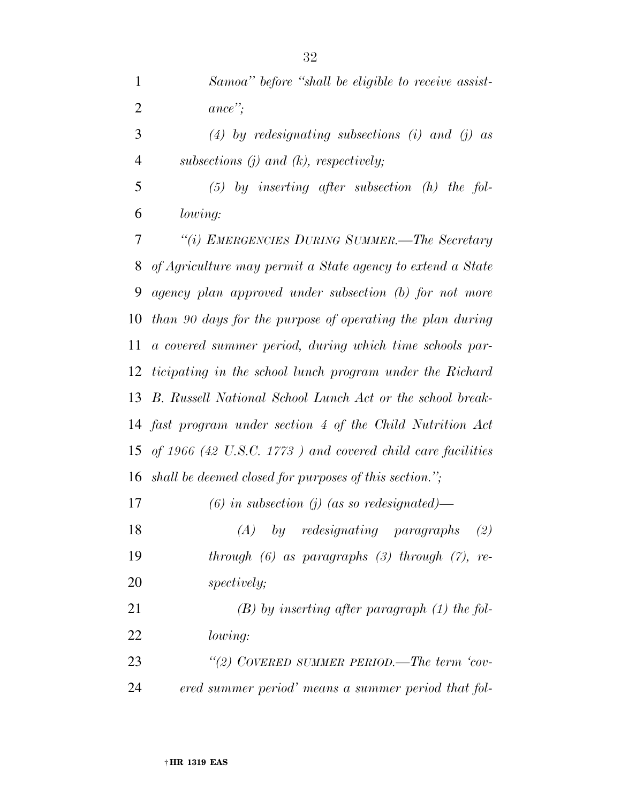*Samoa'' before ''shall be eligible to receive assist-ance'';* 

 *(4) by redesignating subsections (i) and (j) as subsections (j) and (k), respectively;* 

 *(5) by inserting after subsection (h) the fol-lowing:* 

 *''(i) EMERGENCIES DURING SUMMER.—The Secretary of Agriculture may permit a State agency to extend a State agency plan approved under subsection (b) for not more than 90 days for the purpose of operating the plan during a covered summer period, during which time schools par- ticipating in the school lunch program under the Richard B. Russell National School Lunch Act or the school break- fast program under section 4 of the Child Nutrition Act of 1966 (42 U.S.C. 1773 ) and covered child care facilities shall be deemed closed for purposes of this section.'';* 

*(6) in subsection (j) (as so redesignated)—* 

 *(A) by redesignating paragraphs (2) through (6) as paragraphs (3) through (7), re-spectively;* 

 *(B) by inserting after paragraph (1) the fol-lowing:* 

 *''(2) COVERED SUMMER PERIOD.—The term 'cov-ered summer period' means a summer period that fol-*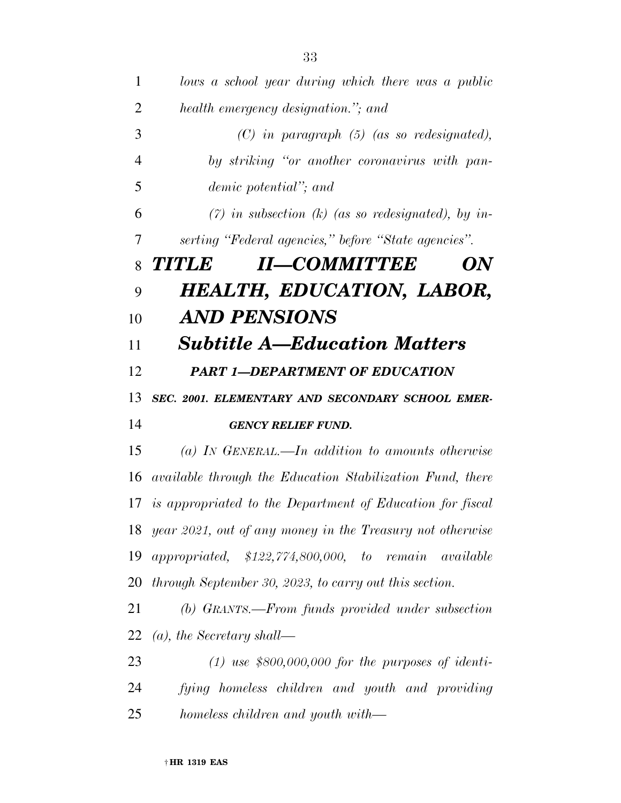| 1              | lows a school year during which there was a public               |
|----------------|------------------------------------------------------------------|
| $\overline{2}$ | health emergency designation."; and                              |
| 3              | $(C)$ in paragraph $(5)$ (as so redesignated),                   |
| $\overline{4}$ | by striking "or another coronavirus with pan-                    |
| 5              | demic potential"; and                                            |
| 6              | $(7)$ in subsection (k) (as so redesignated), by in-             |
| 7              | serting "Federal agencies," before "State agencies".             |
| 8              | <b>II-COMMITTEE</b><br><b>TITILE</b><br>ON                       |
| 9              | <b>HEALTH, EDUCATION, LABOR,</b>                                 |
| 10             | AND PENSIONS                                                     |
| 11             | <b>Subtitle A–Education Matters</b>                              |
| 12             | <b>PART 1-DEPARTMENT OF EDUCATION</b>                            |
| 13             | SEC. 2001. ELEMENTARY AND SECONDARY SCHOOL EMER-                 |
| 14             | <b>GENCY RELIEF FUND.</b>                                        |
| 15             | $(a)$ IN GENERAL.—In addition to amounts otherwise               |
| 16             | <i>available through the Education Stabilization Fund, there</i> |
| 17             | is appropriated to the Department of Education for fiscal        |
|                | 18 year 2021, out of any money in the Treasury not otherwise     |
| 19             | <i>appropriated,</i> $$122,774,800,000, to remain$<br>available  |
| 20             | through September 30, 2023, to carry out this section.           |
| 21             | (b) GRANTS.—From funds provided under subsection                 |
| 22             | $(a)$ , the Secretary shall—                                     |
| 23             | $(1)$ use \$800,000,000 for the purposes of identi-              |
| 24             | fying homeless children and youth and providing                  |
| 25             | homeless children and youth with—                                |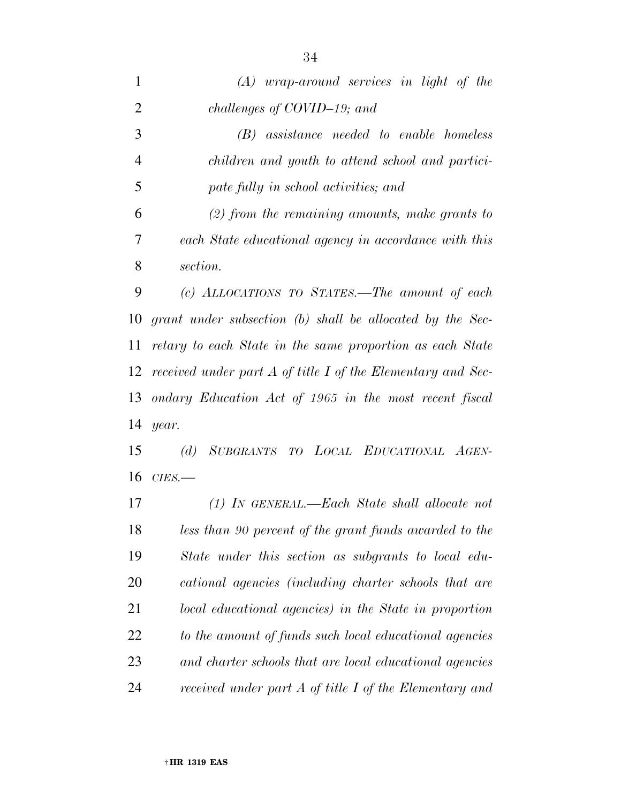| $\mathbf{1}$   | $(A)$ wrap-around services in light of the                  |
|----------------|-------------------------------------------------------------|
| $\overline{2}$ | challenges of COVID-19; and                                 |
| 3              | (B) assistance needed to enable homeless                    |
| $\overline{4}$ | children and youth to attend school and partici-            |
| 5              | pate fully in school activities; and                        |
| 6              | $(2)$ from the remaining amounts, make grants to            |
| 7              | each State educational agency in accordance with this       |
| 8              | section.                                                    |
| 9              | (c) ALLOCATIONS TO STATES.—The amount of each               |
| 10             | grant under subsection (b) shall be allocated by the Sec-   |
| 11             | retary to each State in the same proportion as each State   |
| 12             | received under part A of title I of the Elementary and Sec- |
| 13             | ondary Education Act of 1965 in the most recent fiscal      |
| 14             | year.                                                       |
| 15             | SUBGRANTS TO LOCAL EDUCATIONAL AGEN-<br>(d)                 |
| 16             | $CIES$ .                                                    |
| 17             | $(1)$ IN GENERAL.—Each State shall allocate not             |
| 18             | less than 90 percent of the grant funds awarded to the      |
| 19             | State under this section as subgrants to local edu-         |
| 20             | cational agencies (including charter schools that are       |
| 21             | local educational agencies) in the State in proportion      |
| 22             | to the amount of funds such local educational agencies      |
| 23             | and charter schools that are local educational agencies     |
| 24             | received under part A of title I of the Elementary and      |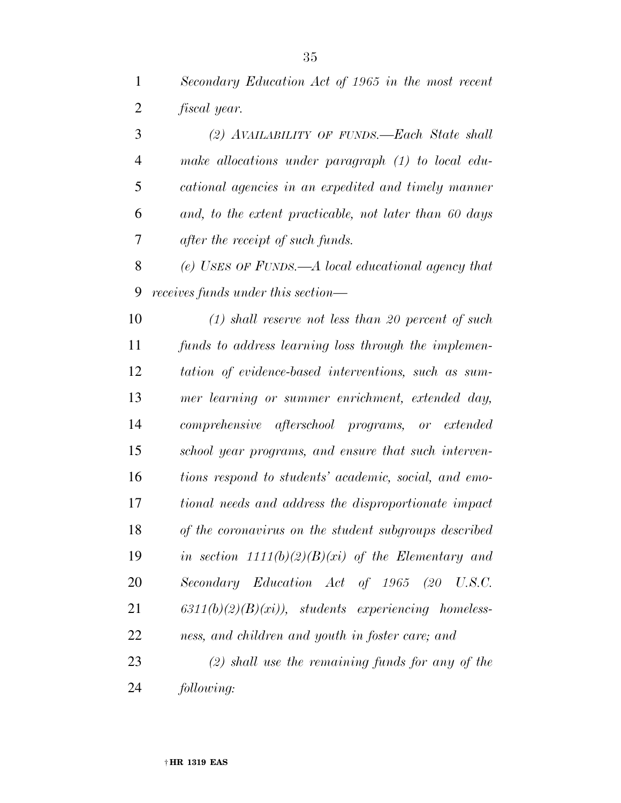*Secondary Education Act of 1965 in the most recent fiscal year.* 

 *(2) AVAILABILITY OF FUNDS.—Each State shall make allocations under paragraph (1) to local edu- cational agencies in an expedited and timely manner and, to the extent practicable, not later than 60 days after the receipt of such funds.* 

 *(e) USES OF FUNDS.—A local educational agency that receives funds under this section—* 

 *(1) shall reserve not less than 20 percent of such funds to address learning loss through the implemen- tation of evidence-based interventions, such as sum- mer learning or summer enrichment, extended day, comprehensive afterschool programs, or extended school year programs, and ensure that such interven- tions respond to students' academic, social, and emo- tional needs and address the disproportionate impact of the coronavirus on the student subgroups described in section 1111(b)(2)(B)(xi) of the Elementary and Secondary Education Act of 1965 (20 U.S.C. 6311(b)(2)(B)(xi)), students experiencing homeless-ness, and children and youth in foster care; and* 

 *(2) shall use the remaining funds for any of the following:*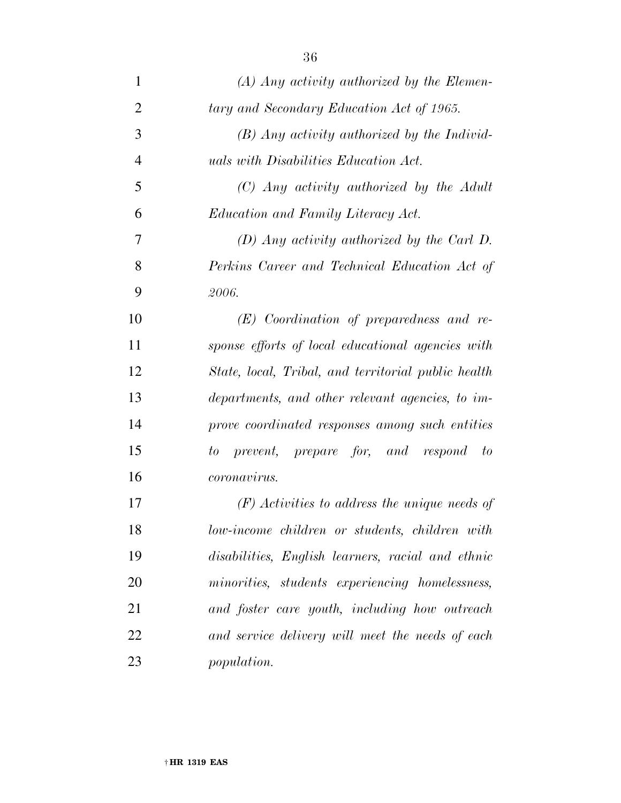| $\mathbf{1}$   | $(A)$ Any activity authorized by the Elemen-        |
|----------------|-----------------------------------------------------|
| 2              | tary and Secondary Education Act of 1965.           |
| 3              | $(B)$ Any activity authorized by the Individ-       |
| $\overline{4}$ | <i>uals with Disabilities Education Act.</i>        |
| 5              | $(C)$ Any activity authorized by the Adult          |
| 6              | <i>Education and Family Literacy Act.</i>           |
| 7              | $(D)$ Any activity authorized by the Carl D.        |
| 8              | Perkins Career and Technical Education Act of       |
| 9              | 2006.                                               |
| 10             | $(E)$ Coordination of preparedness and re-          |
| 11             | sponse efforts of local educational agencies with   |
| 12             | State, local, Tribal, and territorial public health |
| 13             | departments, and other relevant agencies, to im-    |
| 14             | prove coordinated responses among such entities     |
| 15             | prevent, prepare for, and respond to<br>to          |
| 16             | coronavirus.                                        |
| 17             | $(F)$ Activities to address the unique needs of     |
| 18             | low-income children or students, children with      |
| 19             | disabilities, English learners, racial and ethnic   |
| 20             | minorities, students experiencing homelessness,     |
| 21             | and foster care youth, including how outreach       |
| 22             | and service delivery will meet the needs of each    |
| 23             | <i>population.</i>                                  |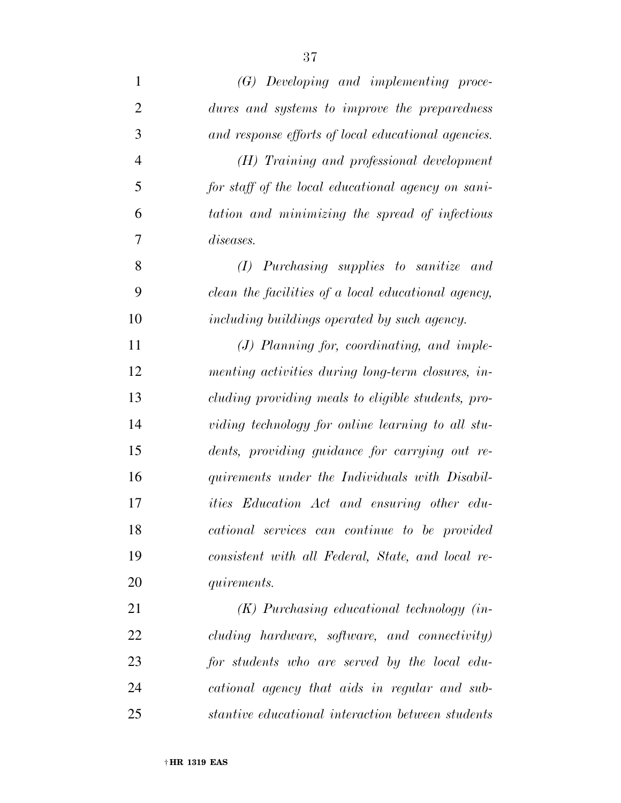| $\mathbf{1}$   | $(G)$ Developing and implementing proce-            |
|----------------|-----------------------------------------------------|
| $\overline{2}$ | dures and systems to improve the preparedness       |
| 3              | and response efforts of local educational agencies. |
| $\overline{4}$ | (H) Training and professional development           |
| 5              | for staff of the local educational agency on sani-  |
| 6              | tation and minimizing the spread of infectious      |
| 7              | <i>diseases.</i>                                    |
| 8              | $(I)$ Purchasing supplies to sanitize and           |
| 9              | clean the facilities of a local educational agency, |
| 10             | including buildings operated by such agency.        |
| 11             | $(J)$ Planning for, coordinating, and imple-        |
| 12             | menting activities during long-term closures, in-   |
| 13             | cluding providing meals to eligible students, pro-  |
| 14             | viding technology for online learning to all stu-   |
| 15             | dents, providing guidance for carrying out re-      |
| 16             | quirements under the Individuals with Disabil-      |
| 17             | <i>ities</i> Education Act and ensuring other edu-  |
| 18             | cational services can continue to be provided       |
| 19             | consistent with all Federal, State, and local re-   |
| 20             | <i>quirements.</i>                                  |
| 21             | $(K)$ Purchasing educational technology (in-        |
| 22             | cluding hardware, software, and connectivity)       |
| 23             | for students who are served by the local edu-       |
| 24             | cational agency that aids in regular and sub-       |
| 25             | stantive educational interaction between students   |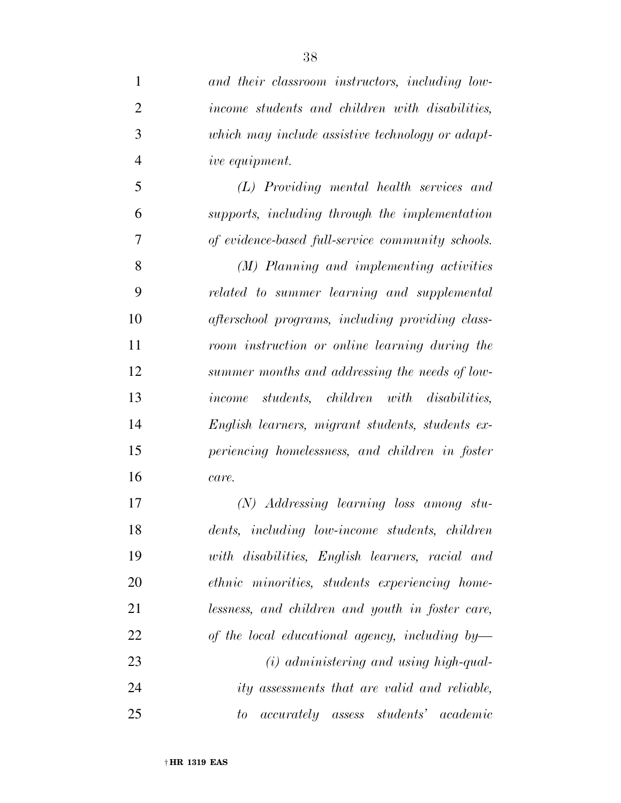| $\mathbf{1}$   | and their classroom instructors, including low-                  |
|----------------|------------------------------------------------------------------|
| $\overline{2}$ | income students and children with disabilities,                  |
| 3              | which may include assistive technology or adapt-                 |
| $\overline{4}$ | ive equipment.                                                   |
| 5              | (L) Providing mental health services and                         |
| 6              | supports, including through the implementation                   |
| 7              | of evidence-based full-service community schools.                |
| 8              | (M) Planning and implementing activities                         |
| 9              | related to summer learning and supplemental                      |
| 10             | afterschool programs, including providing class-                 |
| 11             | room instruction or online learning during the                   |
| 12             | summer months and addressing the needs of low-                   |
| 13             | income students, children with disabilities,                     |
| 14             | English learners, migrant students, students ex-                 |
| 15             | periencing homelessness, and children in foster                  |
| 16             | care.                                                            |
| 17             | $(N)$ Addressing learning loss among stu-                        |
| 18             | dents, including low-income students, children                   |
| 19             | with disabilities, English learners, racial and                  |
| 20             | ethnic minorities, students experiencing home-                   |
| 21             | lessness, and children and youth in foster care,                 |
| 22             | of the local educational agency, including by-                   |
| 23             | $(i)$ administering and using high-qual-                         |
| 24             | ity assessments that are valid and reliable,                     |
| 25             | <i>accurately assess students</i> <sup>'</sup><br>academic<br>to |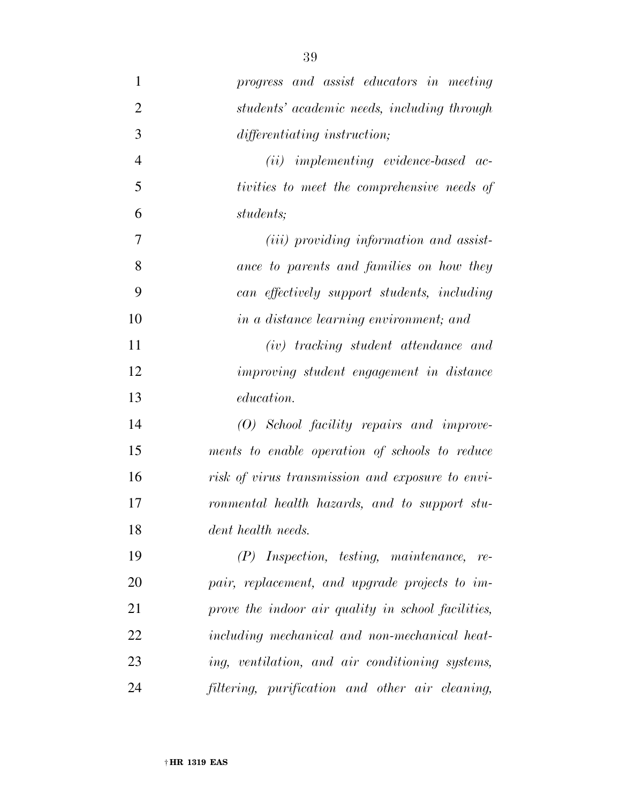*progress and assist educators in meeting students' academic needs, including through differentiating instruction; (ii) implementing evidence-based ac- tivities to meet the comprehensive needs of students; (iii) providing information and assist- ance to parents and families on how they can effectively support students, including in a distance learning environment; and (iv) tracking student attendance and improving student engagement in distance education. (O) School facility repairs and improve- ments to enable operation of schools to reduce risk of virus transmission and exposure to envi- ronmental health hazards, and to support stu- dent health needs. (P) Inspection, testing, maintenance, re- pair, replacement, and upgrade projects to im- prove the indoor air quality in school facilities, including mechanical and non-mechanical heat- ing, ventilation, and air conditioning systems, filtering, purification and other air cleaning,*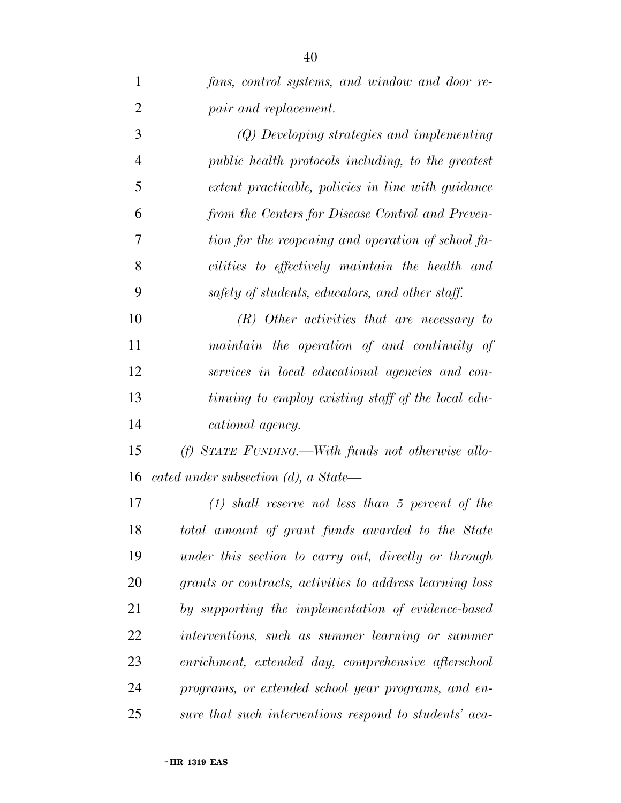| $\mathbf{1}$   | fans, control systems, and window and door re-           |
|----------------|----------------------------------------------------------|
| $\overline{2}$ | pair and replacement.                                    |
| 3              | (Q) Developing strategies and implementing               |
| $\overline{4}$ | public health protocols including, to the greatest       |
| 5              | extent practicable, policies in line with guidance       |
| 6              | from the Centers for Disease Control and Preven-         |
| 7              | tion for the reopening and operation of school fa-       |
| 8              | cilities to effectively maintain the health and          |
| 9              | safety of students, educators, and other staff.          |
| 10             | $(R)$ Other activities that are necessary to             |
| 11             | maintain the operation of and continuity of              |
| 12             | services in local educational agencies and con-          |
| 13             | tinuing to employ existing staff of the local edu-       |
| 14             | cational agency.                                         |
| 15             | $(f)$ STATE FUNDING.—With funds not otherwise allo-      |
| 16             | cated under subsection $(d)$ , a State—                  |
| 17             | $(1)$ shall reserve not less than 5 percent of the       |
| 18             | total amount of grant funds awarded to the State         |
| 19             | under this section to carry out, directly or through     |
| 20             | grants or contracts, activities to address learning loss |
| 21             | by supporting the implementation of evidence-based       |
| 22             | interventions, such as summer learning or summer         |
| 23             | enrichment, extended day, comprehensive afterschool      |
| 24             | programs, or extended school year programs, and en-      |
| 25             | sure that such interventions respond to students' aca-   |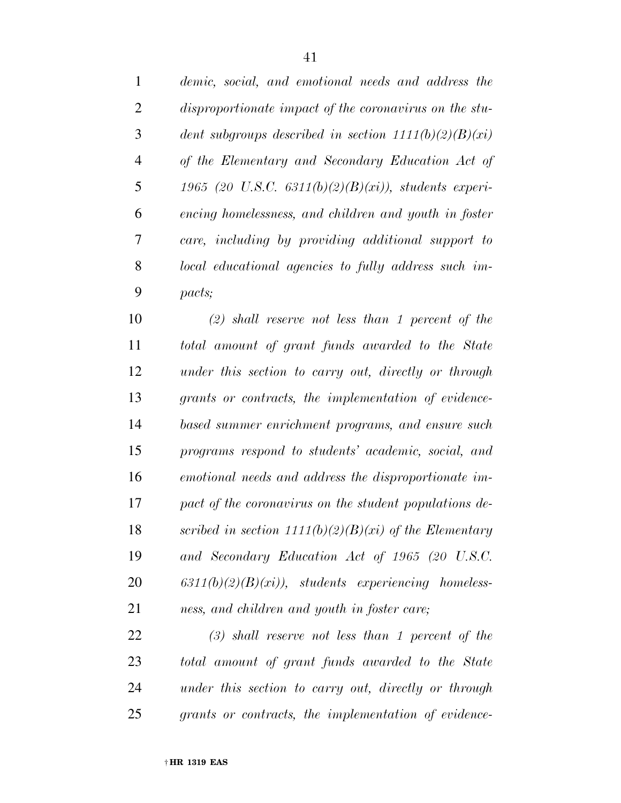| $\mathbf{1}$   | demic, social, and emotional needs and address the      |
|----------------|---------------------------------------------------------|
| 2              | disproportionate impact of the coronavirus on the stu-  |
| 3              | dent subgroups described in section $1111(b)(2)(B)(xi)$ |
| $\overline{4}$ | of the Elementary and Secondary Education Act of        |
| 5              | 1965 (20 U.S.C. 6311(b)(2)(B)(xi)), students experi-    |
| 6              | encing homelessness, and children and youth in foster   |
| 7              | care, including by providing additional support to      |
| 8              | local educational agencies to fully address such im-    |
| 9              | pacts;                                                  |

 *(2) shall reserve not less than 1 percent of the total amount of grant funds awarded to the State under this section to carry out, directly or through grants or contracts, the implementation of evidence- based summer enrichment programs, and ensure such programs respond to students' academic, social, and emotional needs and address the disproportionate im- pact of the coronavirus on the student populations de- scribed in section 1111(b)(2)(B)(xi) of the Elementary and Secondary Education Act of 1965 (20 U.S.C. 6311(b)(2)(B)(xi)), students experiencing homeless-ness, and children and youth in foster care;* 

 *(3) shall reserve not less than 1 percent of the total amount of grant funds awarded to the State under this section to carry out, directly or through grants or contracts, the implementation of evidence-*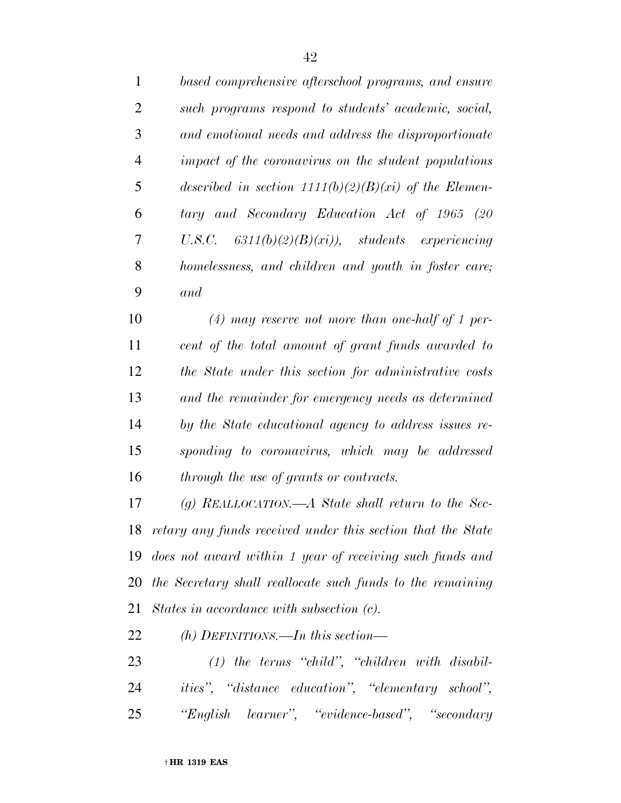| $\mathbf{1}$   | based comprehensive afterschool programs, and ensure        |
|----------------|-------------------------------------------------------------|
| 2              | such programs respond to students' academic, social,        |
| 3              | and emotional needs and address the disproportionate        |
| $\overline{4}$ | <i>impact of the coronavirus on the student populations</i> |
| 5              | described in section $1111(b)(2)(B)(xi)$ of the Elemen-     |
| 6              | tary and Secondary Education Act of 1965 (20                |
| 7              | U.S.C. $6311(b)(2)(B)(xi)$ , students experiencing          |
| 8              | homelessness, and children and youth in foster care;        |
| 9              | and                                                         |

 *(4) may reserve not more than one-half of 1 per- cent of the total amount of grant funds awarded to the State under this section for administrative costs and the remainder for emergency needs as determined by the State educational agency to address issues re- sponding to coronavirus, which may be addressed through the use of grants or contracts.* 

 *(g) REALLOCATION.—A State shall return to the Sec- retary any funds received under this section that the State does not award within 1 year of receiving such funds and the Secretary shall reallocate such funds to the remaining States in accordance with subsection (c).* 

*(h) DEFINITIONS.—In this section—* 

 *(1) the terms ''child'', ''children with disabil- ities'', ''distance education'', ''elementary school'', ''English learner'', ''evidence-based'', ''secondary*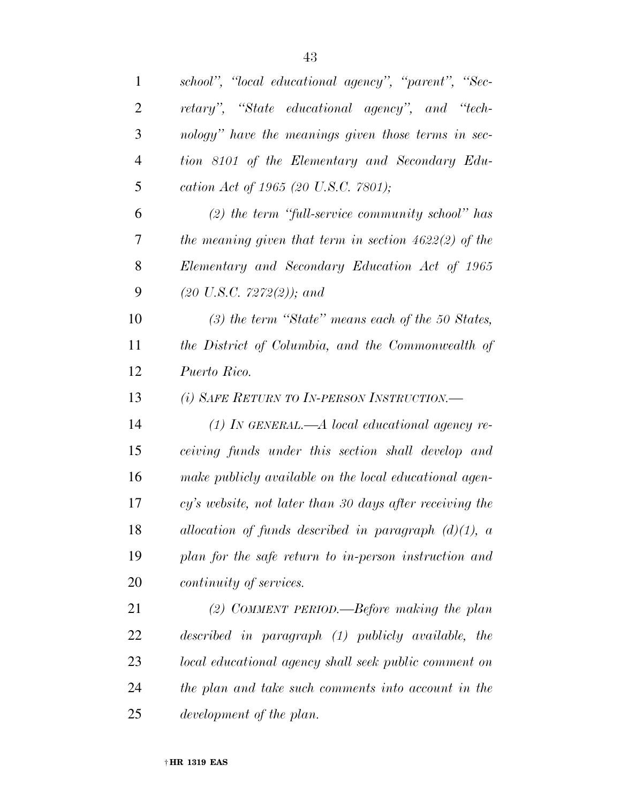| 1              | school", "local educational agency", "parent", "Sec-     |
|----------------|----------------------------------------------------------|
| $\overline{2}$ | retary", "State educational agency", and "tech-          |
| 3              | nology" have the meanings given those terms in sec-      |
| $\overline{4}$ | tion 8101 of the Elementary and Secondary Edu-           |
| 5              | cation Act of 1965 (20 U.S.C. 7801);                     |
| 6              | $(2)$ the term "full-service community school" has       |
| 7              | the meaning given that term in section $4622(2)$ of the  |
| 8              | Elementary and Secondary Education Act of 1965           |
| 9              | $(20 \text{ U.S. C. } 7272(2))$ ; and                    |
| 10             | $(3)$ the term "State" means each of the 50 States,      |
| 11             | the District of Columbia, and the Commonwealth of        |
| 12             | Puerto Rico.                                             |
| 13             | (i) SAFE RETURN TO IN-PERSON INSTRUCTION.—               |
| 14             | $(1)$ IN GENERAL.—A local educational agency re-         |
| 15             | ceiving funds under this section shall develop and       |
| 16             | make publicly available on the local educational agen-   |
| 17             | cy's website, not later than 30 days after receiving the |
| 18             | allocation of funds described in paragraph $(d)(1)$ , a  |
| 19             | plan for the safe return to in-person instruction and    |
| 20             | <i>continuity of services.</i>                           |
| 21             | (2) COMMENT PERIOD.—Before making the plan               |
| 22             | described in paragraph (1) publicly available, the       |
| 23             | local educational agency shall seek public comment on    |
| 24             | the plan and take such comments into account in the      |
| 25             | development of the plan.                                 |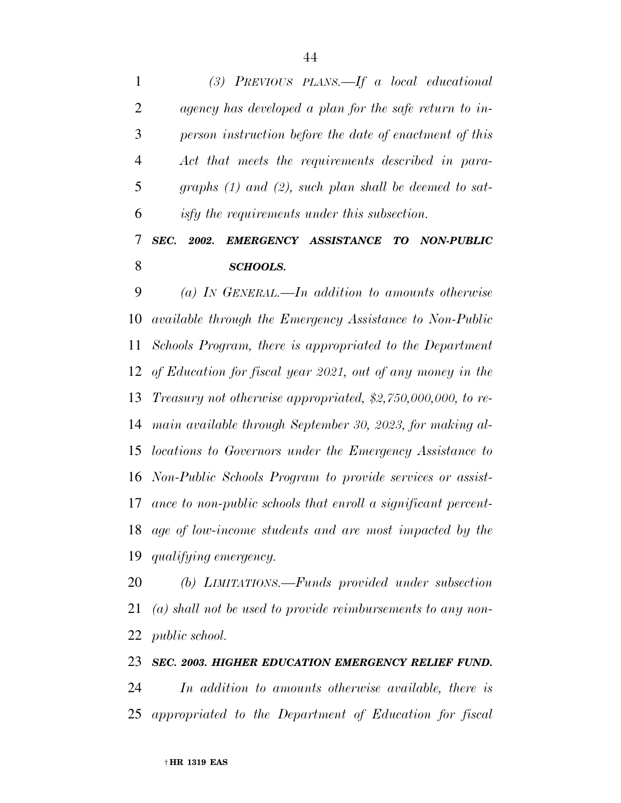*(3) PREVIOUS PLANS.—If a local educational agency has developed a plan for the safe return to in- person instruction before the date of enactment of this Act that meets the requirements described in para- graphs (1) and (2), such plan shall be deemed to sat- isfy the requirements under this subsection. SEC. 2002. EMERGENCY ASSISTANCE TO NON-PUBLIC* 

*SCHOOLS.* 

 *(a) IN GENERAL.—In addition to amounts otherwise available through the Emergency Assistance to Non-Public Schools Program, there is appropriated to the Department of Education for fiscal year 2021, out of any money in the Treasury not otherwise appropriated, \$2,750,000,000, to re- main available through September 30, 2023, for making al- locations to Governors under the Emergency Assistance to Non-Public Schools Program to provide services or assist- ance to non-public schools that enroll a significant percent- age of low-income students and are most impacted by the qualifying emergency.* 

 *(b) LIMITATIONS.—Funds provided under subsection (a) shall not be used to provide reimbursements to any non-public school.* 

# *SEC. 2003. HIGHER EDUCATION EMERGENCY RELIEF FUND. In addition to amounts otherwise available, there is appropriated to the Department of Education for fiscal*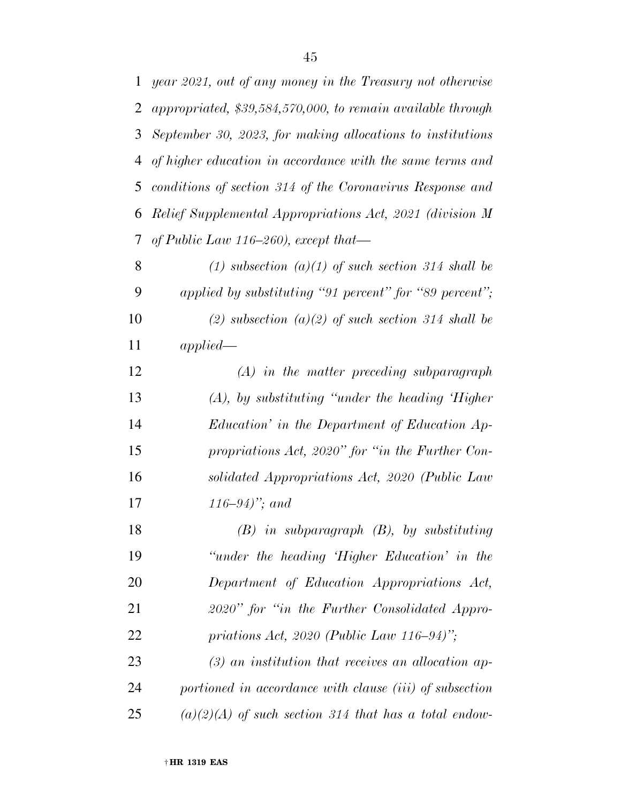| $\mathbf 1$ | year 2021, out of any money in the Treasury not otherwise   |
|-------------|-------------------------------------------------------------|
| 2           | appropriated, \$39,584,570,000, to remain available through |
| 3           | September 30, 2023, for making allocations to institutions  |
| 4           | of higher education in accordance with the same terms and   |
| 5           | conditions of section 314 of the Coronavirus Response and   |
| 6           | Relief Supplemental Appropriations Act, 2021 (division M    |
| 7           | of Public Law 116-260), except that—                        |
| 8           | (1) subsection $(a)(1)$ of such section 314 shall be        |
| 9           | applied by substituting "91 percent" for "89 percent";      |
| 10          | (2) subsection (a)(2) of such section 314 shall be          |
| 11          | applied                                                     |
| 12          | $(A)$ in the matter preceding subparagraph                  |
| 13          | $(A)$ , by substituting "under the heading Higher"          |
| 14          | Education' in the Department of Education Ap-               |
| 15          | propriations Act, 2020" for "in the Further Con-            |
| 16          | solidated Appropriations Act, 2020 (Public Law              |
| 17          | $(116-94)$ ; and                                            |
| 18          | $(B)$ in subparagraph $(B)$ , by substituting               |
| 19          | "under the heading 'Higher Education' in the                |
| 20          | Department of Education Appropriations Act,                 |
| 21          | 2020" for "in the Further Consolidated Appro-               |
| 22          | priations Act, 2020 (Public Law 116–94)";                   |
| 23          | $(3)$ an institution that receives an allocation ap-        |
| 24          | portioned in accordance with clause (iii) of subsection     |
| 25          | $(a)(2)(A)$ of such section 314 that has a total endow-     |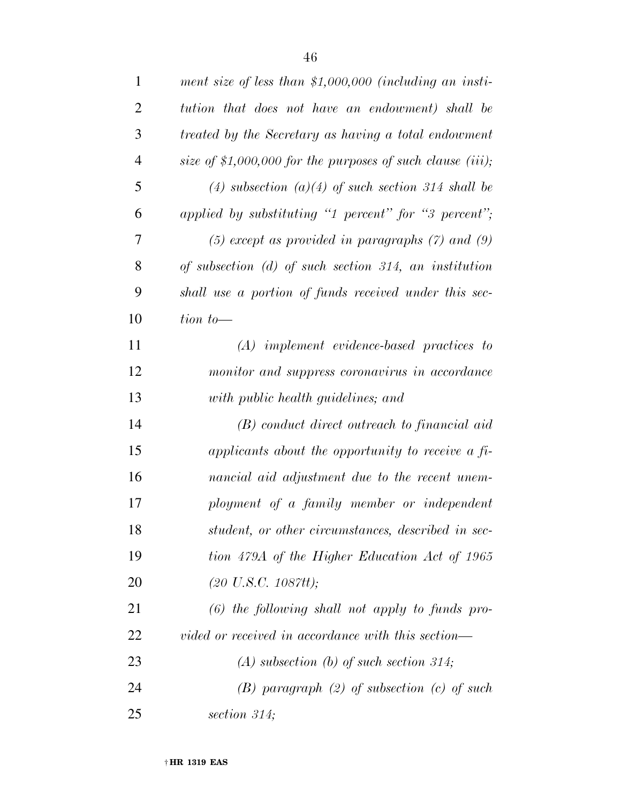| $\mathbf{1}$   | ment size of less than \$1,000,000 (including an insti-    |
|----------------|------------------------------------------------------------|
| $\overline{2}$ | tution that does not have an endowment) shall be           |
| 3              | treated by the Secretary as having a total endowment       |
| $\overline{4}$ | size of \$1,000,000 for the purposes of such clause (iii); |
| 5              | (4) subsection (a)(4) of such section 314 shall be         |
| 6              | applied by substituting "1 percent" for "3 percent";       |
| 7              | $(5)$ except as provided in paragraphs $(7)$ and $(9)$     |
| 8              | of subsection $(d)$ of such section 314, an institution    |
| 9              | shall use a portion of funds received under this sec-      |
| 10             | $tion to—$                                                 |
| 11             | $(A)$ implement evidence-based practices to                |
| 12             | monitor and suppress coronavirus in accordance             |
| 13             | with public health guidelines; and                         |
| 14             | $(B)$ conduct direct outreach to financial aid             |
| 15             | applicants about the opportunity to receive a fi-          |
| 16             | nancial aid adjustment due to the recent unem-             |
| 17             | ployment of a family member or independent                 |
| 18             | student, or other circumstances, described in sec-         |
| 19             | tion 479A of the Higher Education Act of 1965              |
| 20             | $(20 \text{ U.S.C. } 1087 \text{tt});$                     |
| 21             | $(6)$ the following shall not apply to funds pro-          |
| 22             | vided or received in accordance with this section—         |
| 23             | $(A)$ subsection $(b)$ of such section 314;                |
| 24             | $(B)$ paragraph $(2)$ of subsection $(c)$ of such          |
| 25             | section $314$ ;                                            |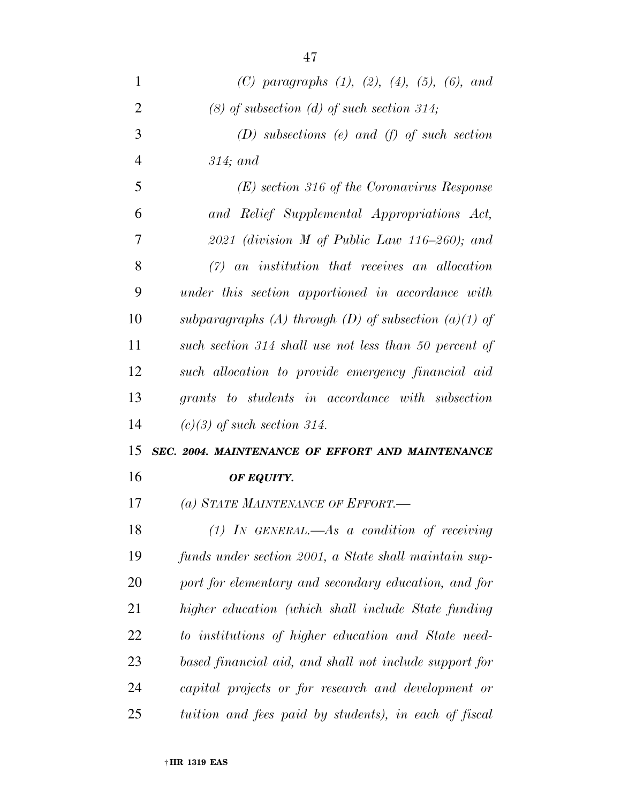| 1              | (C) paragraphs $(1)$ , $(2)$ , $(4)$ , $(5)$ , $(6)$ , and |
|----------------|------------------------------------------------------------|
| $\overline{2}$ | $(8)$ of subsection $(d)$ of such section 314;             |
| 3              | $(D)$ subsections (e) and (f) of such section              |
| $\overline{4}$ | $314$ ; and                                                |
| 5              | $(E)$ section 316 of the Coronavirus Response              |
| 6              | and Relief Supplemental Appropriations Act,                |
| 7              | 2021 (division M of Public Law 116-260); and               |
| 8              | $(7)$ an institution that receives an allocation           |
| 9              | under this section apportioned in accordance with          |
| 10             | subparagraphs (A) through (D) of subsection (a)(1) of      |
| 11             | such section 314 shall use not less than 50 percent of     |
| 12             | such allocation to provide emergency financial aid         |
| 13             | grants to students in accordance with subsection           |
| 14             | $(c)(3)$ of such section 314.                              |
| 15             | SEC. 2004. MAINTENANCE OF EFFORT AND MAINTENANCE           |
| 16             | OF EQUITY.                                                 |
| 17             | (a) STATE MAINTENANCE OF EFFORT.—                          |
| 18             | $(1)$ IN GENERAL.—As a condition of receiving              |
| 19             | funds under section 2001, a State shall maintain sup-      |
| 20             | port for elementary and secondary education, and for       |
| 21             | higher education (which shall include State funding        |
| 22             | to institutions of higher education and State need-        |
| 23             | based financial aid, and shall not include support for     |
| 24             |                                                            |
|                | capital projects or for research and development or        |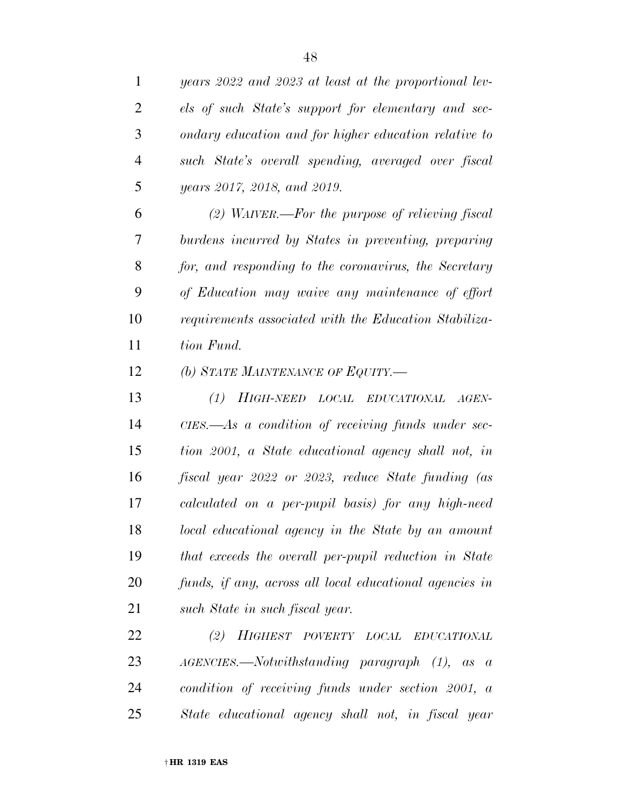*years 2022 and 2023 at least at the proportional lev- els of such State's support for elementary and sec- ondary education and for higher education relative to such State's overall spending, averaged over fiscal years 2017, 2018, and 2019. (2) WAIVER.—For the purpose of relieving fiscal burdens incurred by States in preventing, preparing for, and responding to the coronavirus, the Secretary of Education may waive any maintenance of effort requirements associated with the Education Stabiliza- tion Fund. (b) STATE MAINTENANCE OF EQUITY.— (1) HIGH-NEED LOCAL EDUCATIONAL AGEN- CIES.—As a condition of receiving funds under sec- tion 2001, a State educational agency shall not, in fiscal year 2022 or 2023, reduce State funding (as calculated on a per-pupil basis) for any high-need local educational agency in the State by an amount that exceeds the overall per-pupil reduction in State funds, if any, across all local educational agencies in such State in such fiscal year. (2) HIGHEST POVERTY LOCAL EDUCATIONAL AGENCIES.—Notwithstanding paragraph (1), as a condition of receiving funds under section 2001, a* 

*State educational agency shall not, in fiscal year*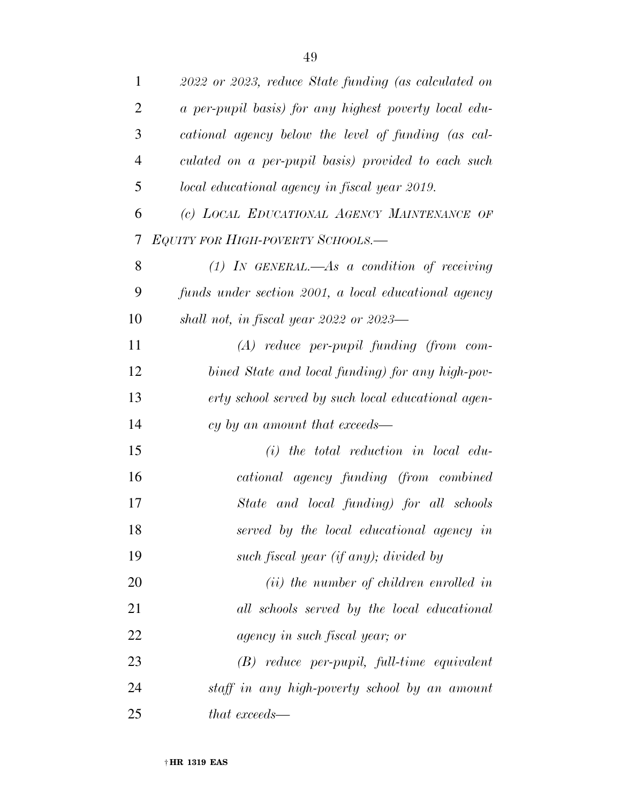| 1              | 2022 or 2023, reduce State funding (as calculated on  |
|----------------|-------------------------------------------------------|
| $\overline{2}$ | a per-pupil basis) for any highest poverty local edu- |
| 3              | cational agency below the level of funding (as cal-   |
| $\overline{4}$ | culated on a per-pupil basis) provided to each such   |
| 5              | local educational agency in fiscal year 2019.         |
| 6              | (c) LOCAL EDUCATIONAL AGENCY MAINTENANCE OF           |
| 7              | EQUITY FOR HIGH-POVERTY SCHOOLS.—                     |
| 8              | (1) IN GENERAL.—As a condition of receiving           |
| 9              | funds under section 2001, a local educational agency  |
| 10             | shall not, in fiscal year 2022 or $2023$ —            |
| 11             | $(A)$ reduce per-pupil funding (from com-             |
| 12             | bined State and local funding) for any high-pov-      |
| 13             | erty school served by such local educational agen-    |
| 14             | cy by an amount that exceeds—                         |
| 15             | $(i)$ the total reduction in local edu-               |
| 16             | cational agency funding (from combined                |
| 17             | State and local funding) for all schools              |
| 18             | served by the local educational agency in             |
| 19             | such fiscal year (if any); divided by                 |
| 20             | $(ii)$ the number of children enrolled in             |
| 21             | all schools served by the local educational           |
| 22             | agency in such fiscal year; or                        |
| 23             | $(B)$ reduce per-pupil, full-time equivalent          |
| 24             | staff in any high-poverty school by an amount         |
| 25             | that exceeds—                                         |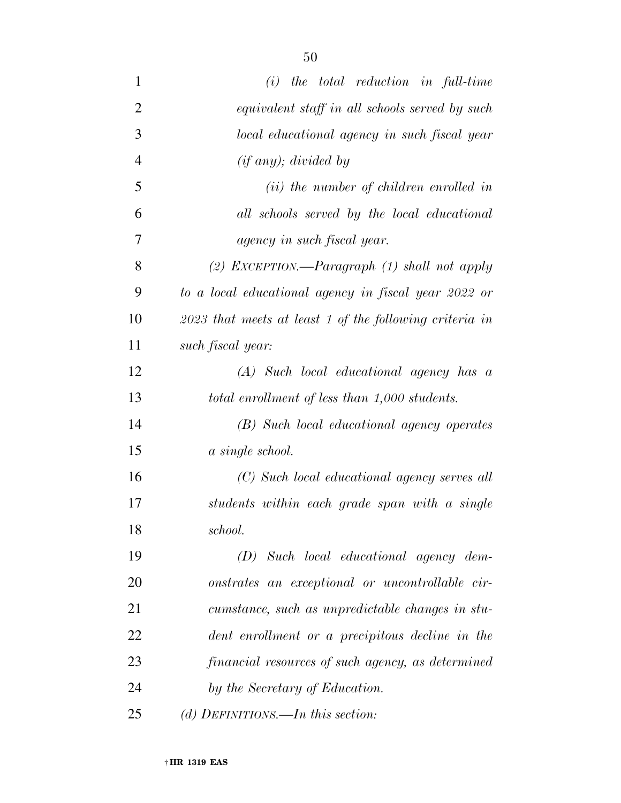| $\mathbf{1}$   | $(i)$ the total reduction in full-time                    |
|----------------|-----------------------------------------------------------|
| $\overline{2}$ | equivalent staff in all schools served by such            |
| 3              | local educational agency in such fiscal year              |
| $\overline{4}$ | (if any); divided by                                      |
| 5              | $(ii)$ the number of children enrolled in                 |
| 6              | all schools served by the local educational               |
| 7              | agency in such fiscal year.                               |
| 8              | (2) EXCEPTION.—Paragraph $(1)$ shall not apply            |
| 9              | to a local educational agency in fiscal year 2022 or      |
| 10             | $2023$ that meets at least 1 of the following criteria in |
| 11             | such fiscal year:                                         |
| 12             | (A) Such local educational agency has a                   |
| 13             | total enrollment of less than 1,000 students.             |
| 14             | (B) Such local educational agency operates                |
| 15             | a single school.                                          |
| 16             | (C) Such local educational agency serves all              |
| 17             | students within each grade span with a single             |
| 18             | school.                                                   |
| 19             | $(D)$ Such local educational agency dem-                  |
| 20             | onstrates an exceptional or uncontrollable cir-           |
| 21             | cumstance, such as unpredictable changes in stu-          |
| 22             | dent enrollment or a precipitous decline in the           |
| 23             | financial resources of such agency, as determined         |
| 24             | by the Secretary of Education.                            |
| 25             | (d) DEFINITIONS.—In this section:                         |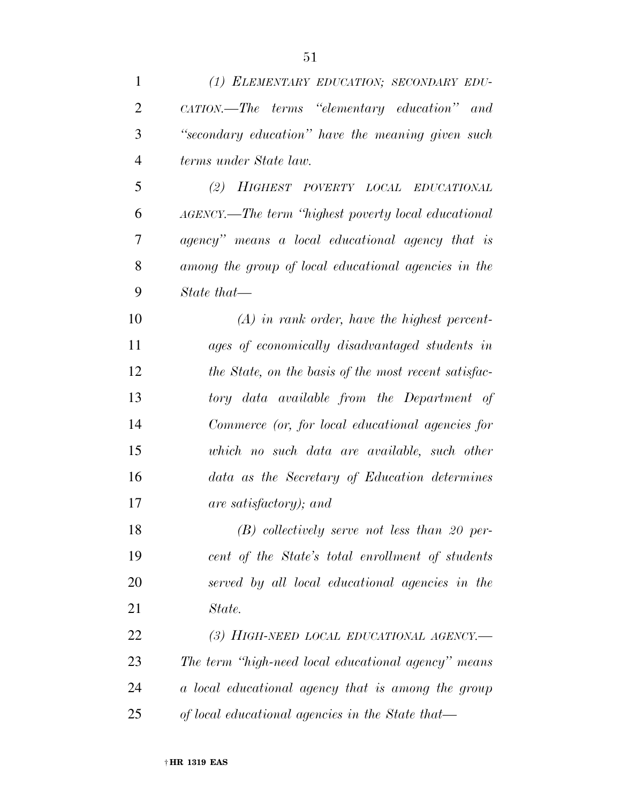| $\mathbf{1}$   | (1) ELEMENTARY EDUCATION; SECONDARY EDU-             |
|----------------|------------------------------------------------------|
| $\overline{2}$ | CATION.—The terms "elementary education" and         |
| 3              | "secondary education" have the meaning given such    |
| $\overline{4}$ | terms under State law.                               |
| 5              | (2) HIGHEST POVERTY LOCAL EDUCATIONAL                |
| 6              | AGENCY.—The term "highest poverty local educational" |
| 7              | agency" means a local educational agency that is     |
| 8              | among the group of local educational agencies in the |
| 9              | $State that \_\_$                                    |
| 10             | $(A)$ in rank order, have the highest percent-       |
| 11             | ages of economically disadvantaged students in       |
| 12             | the State, on the basis of the most recent satisfac- |
| 13             | tory data available from the Department of           |
| 14             | Commerce (or, for local educational agencies for     |
| 15             | which no such data are available, such other         |
| 16             | data as the Secretary of Education determines        |
| 17             | are satisfactory); and                               |
| 18             | $(B)$ collectively serve not less than 20 per-       |
| 19             | cent of the State's total enrollment of students     |
| 20             | served by all local educational agencies in the      |
| 21             | State.                                               |
| 22             | (3) HIGH-NEED LOCAL EDUCATIONAL AGENCY.—             |
| 23             | The term "high-need local educational agency" means  |
| 24             | a local educational agency that is among the group   |
| 25             | of local educational agencies in the State that—     |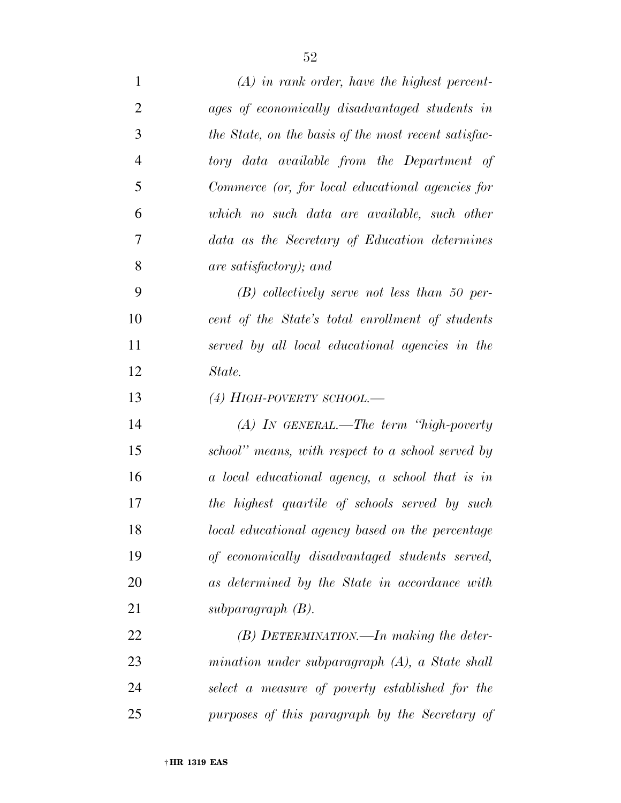| $\mathbf{1}$   | $(A)$ in rank order, have the highest percent-       |
|----------------|------------------------------------------------------|
| $\overline{2}$ | ages of economically disadvantaged students in       |
| 3              | the State, on the basis of the most recent satisfac- |
| $\overline{4}$ | tory data available from the Department of           |
| 5              | Commerce (or, for local educational agencies for     |
| 6              | which no such data are available, such other         |
| 7              | data as the Secretary of Education determines        |
| 8              | are satisfactory); and                               |
| 9              | $(B)$ collectively serve not less than 50 per-       |
| 10             | cent of the State's total enrollment of students     |
| 11             | served by all local educational agencies in the      |
| 12             | State.                                               |
| 13             | $(4)$ HIGH-POVERTY SCHOOL.—                          |
| 14             | $(A)$ In GENERAL.—The term "high-poverty"            |
| 15             | school" means, with respect to a school served by    |
| 16             | a local educational agency, a school that is in      |
| 17             | the highest quartile of schools served by such       |
| 18             | local educational agency based on the percentage     |
| 19             | of economically disadvantaged students served,       |
| 20             | as determined by the State in accordance with        |
| 21             | subparagraph $(B)$ .                                 |
| 22             | $(B)$ DETERMINATION.—In making the deter-            |
| 23             | mination under subparagraph $(A)$ , a State shall    |
| 24             | select a measure of poverty established for the      |
| 25             | purposes of this paragraph by the Secretary of       |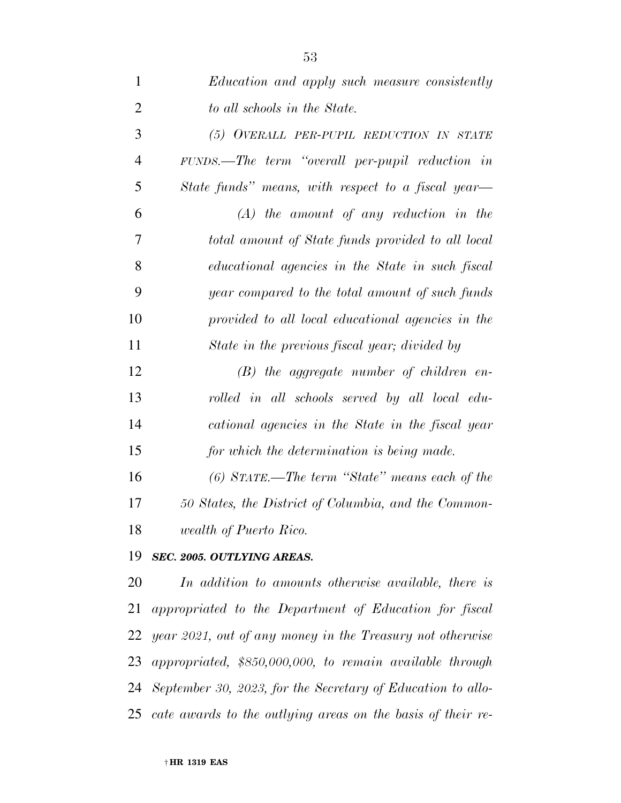| $\mathbf{1}$   | Education and apply such measure consistently                  |
|----------------|----------------------------------------------------------------|
| $\overline{2}$ | to all schools in the State.                                   |
| 3              | (5) OVERALL PER-PUPIL REDUCTION IN STATE                       |
| $\overline{4}$ | FUNDS.—The term "overall per-pupil reduction in                |
| 5              | State funds" means, with respect to a fiscal year—             |
| 6              | $(A)$ the amount of any reduction in the                       |
| 7              | total amount of State funds provided to all local              |
| 8              | educational agencies in the State in such fiscal               |
| 9              | year compared to the total amount of such funds                |
| 10             | provided to all local educational agencies in the              |
| 11             | State in the previous fiscal year; divided by                  |
| 12             | $(B)$ the aggregate number of children en-                     |
| 13             | rolled in all schools served by all local edu-                 |
| 14             | cational agencies in the State in the fiscal year              |
| 15             | for which the determination is being made.                     |
| 16             | $(6)$ STATE.—The term "State" means each of the                |
| 17             | 50 States, the District of Columbia, and the Common-           |
| 18             | wealth of Puerto Rico.                                         |
| 19             | SEC. 2005. OUTLYING AREAS.                                     |
| 20             | In addition to amounts otherwise available, there is           |
| 21             | appropriated to the Department of Education for fiscal         |
| 22             | year 2021, out of any money in the Treasury not otherwise      |
|                | 23 appropriated, \$850,000,000, to remain available through    |
|                | 24 September 30, 2023, for the Secretary of Education to allo- |

*cate awards to the outlying areas on the basis of their re-*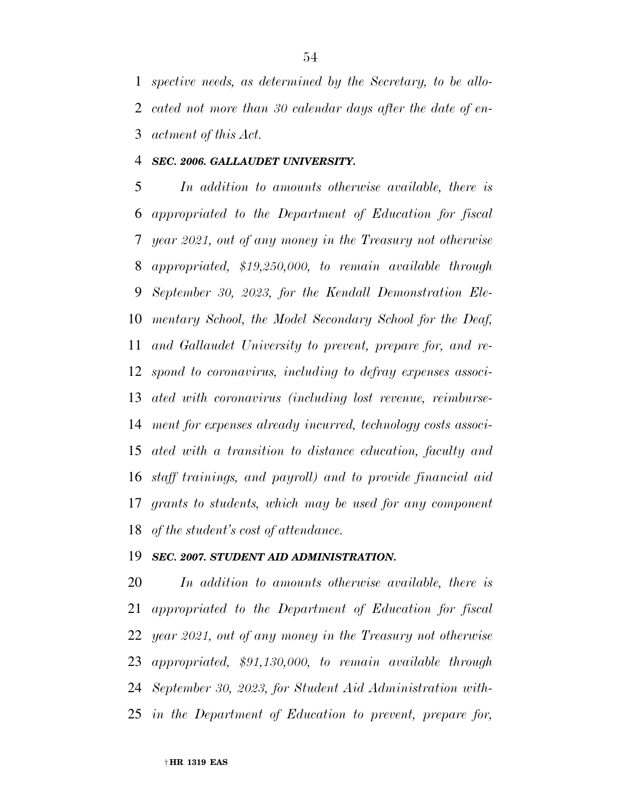*spective needs, as determined by the Secretary, to be allo- cated not more than 30 calendar days after the date of en-actment of this Act.* 

### *SEC. 2006. GALLAUDET UNIVERSITY.*

 *In addition to amounts otherwise available, there is appropriated to the Department of Education for fiscal year 2021, out of any money in the Treasury not otherwise appropriated, \$19,250,000, to remain available through September 30, 2023, for the Kendall Demonstration Ele- mentary School, the Model Secondary School for the Deaf, and Gallaudet University to prevent, prepare for, and re- spond to coronavirus, including to defray expenses associ- ated with coronavirus (including lost revenue, reimburse- ment for expenses already incurred, technology costs associ- ated with a transition to distance education, faculty and staff trainings, and payroll) and to provide financial aid grants to students, which may be used for any component of the student's cost of attendance.* 

### *SEC. 2007. STUDENT AID ADMINISTRATION.*

 *In addition to amounts otherwise available, there is appropriated to the Department of Education for fiscal year 2021, out of any money in the Treasury not otherwise appropriated, \$91,130,000, to remain available through September 30, 2023, for Student Aid Administration with-in the Department of Education to prevent, prepare for,*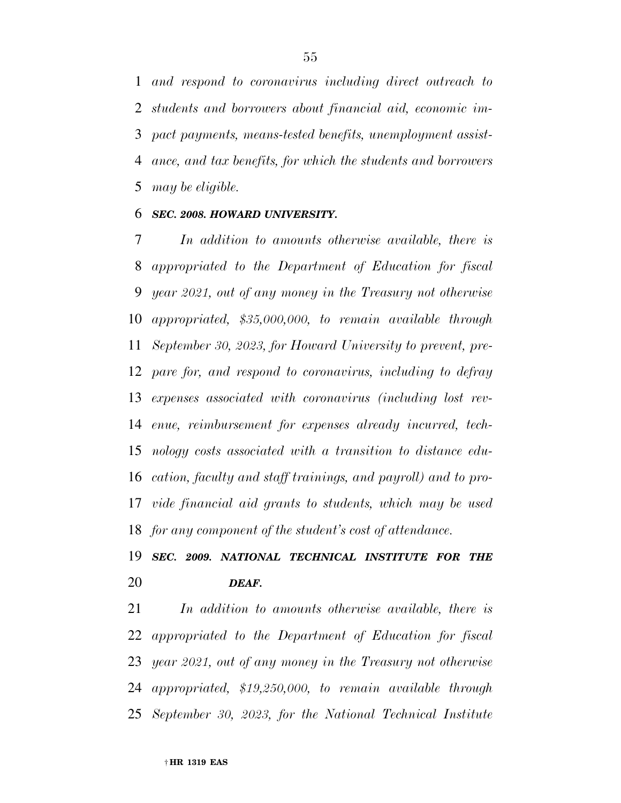*and respond to coronavirus including direct outreach to students and borrowers about financial aid, economic im- pact payments, means-tested benefits, unemployment assist- ance, and tax benefits, for which the students and borrowers may be eligible.* 

### *SEC. 2008. HOWARD UNIVERSITY.*

 *In addition to amounts otherwise available, there is appropriated to the Department of Education for fiscal year 2021, out of any money in the Treasury not otherwise appropriated, \$35,000,000, to remain available through September 30, 2023, for Howard University to prevent, pre- pare for, and respond to coronavirus, including to defray expenses associated with coronavirus (including lost rev- enue, reimbursement for expenses already incurred, tech- nology costs associated with a transition to distance edu- cation, faculty and staff trainings, and payroll) and to pro- vide financial aid grants to students, which may be used for any component of the student's cost of attendance.* 

# *SEC. 2009. NATIONAL TECHNICAL INSTITUTE FOR THE DEAF.*

 *In addition to amounts otherwise available, there is appropriated to the Department of Education for fiscal year 2021, out of any money in the Treasury not otherwise appropriated, \$19,250,000, to remain available through September 30, 2023, for the National Technical Institute*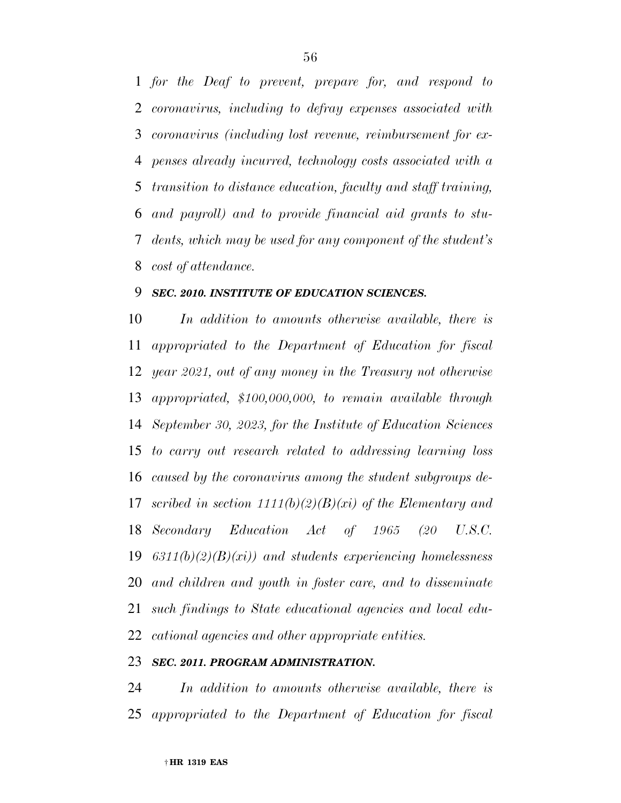*for the Deaf to prevent, prepare for, and respond to coronavirus, including to defray expenses associated with coronavirus (including lost revenue, reimbursement for ex- penses already incurred, technology costs associated with a transition to distance education, faculty and staff training, and payroll) and to provide financial aid grants to stu- dents, which may be used for any component of the student's cost of attendance.* 

## *SEC. 2010. INSTITUTE OF EDUCATION SCIENCES.*

 *In addition to amounts otherwise available, there is appropriated to the Department of Education for fiscal year 2021, out of any money in the Treasury not otherwise appropriated, \$100,000,000, to remain available through September 30, 2023, for the Institute of Education Sciences to carry out research related to addressing learning loss caused by the coronavirus among the student subgroups de- scribed in section 1111(b)(2)(B)(xi) of the Elementary and Secondary Education Act of 1965 (20 U.S.C. 6311(b)(2)(B)(xi)) and students experiencing homelessness and children and youth in foster care, and to disseminate such findings to State educational agencies and local edu-cational agencies and other appropriate entities.* 

### *SEC. 2011. PROGRAM ADMINISTRATION.*

 *In addition to amounts otherwise available, there is appropriated to the Department of Education for fiscal*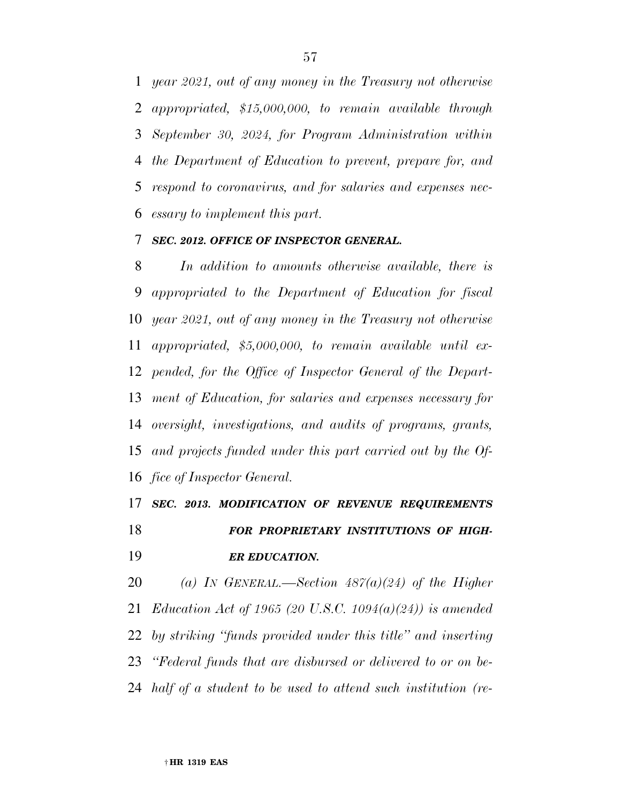*year 2021, out of any money in the Treasury not otherwise appropriated, \$15,000,000, to remain available through September 30, 2024, for Program Administration within the Department of Education to prevent, prepare for, and respond to coronavirus, and for salaries and expenses nec-essary to implement this part.* 

### *SEC. 2012. OFFICE OF INSPECTOR GENERAL.*

 *In addition to amounts otherwise available, there is appropriated to the Department of Education for fiscal year 2021, out of any money in the Treasury not otherwise appropriated, \$5,000,000, to remain available until ex- pended, for the Office of Inspector General of the Depart- ment of Education, for salaries and expenses necessary for oversight, investigations, and audits of programs, grants, and projects funded under this part carried out by the Of-fice of Inspector General.* 

# *SEC. 2013. MODIFICATION OF REVENUE REQUIREMENTS*

 *FOR PROPRIETARY INSTITUTIONS OF HIGH-ER EDUCATION.* 

 *(a) IN GENERAL.—Section 487(a)(24) of the Higher Education Act of 1965 (20 U.S.C. 1094(a)(24)) is amended by striking ''funds provided under this title'' and inserting ''Federal funds that are disbursed or delivered to or on be-half of a student to be used to attend such institution (re-*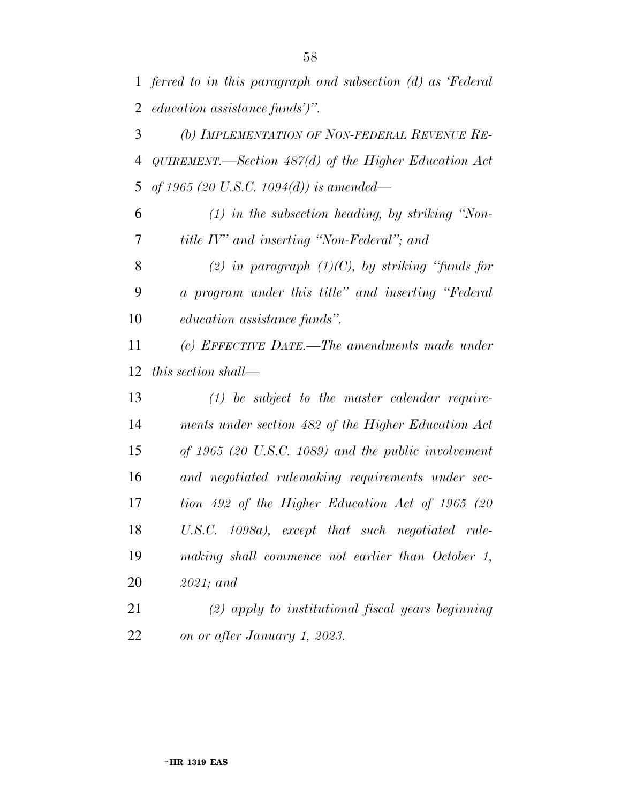*ferred to in this paragraph and subsection (d) as 'Federal education assistance funds')''.* 

 *(b) IMPLEMENTATION OF NON-FEDERAL REVENUE RE- QUIREMENT.—Section 487(d) of the Higher Education Act of 1965 (20 U.S.C. 1094(d)) is amended—* 

 *(1) in the subsection heading, by striking ''Non-title IV'' and inserting ''Non-Federal''; and* 

 *(2) in paragraph (1)(C), by striking ''funds for a program under this title'' and inserting ''Federal education assistance funds''.* 

 *(c) EFFECTIVE DATE.—The amendments made under this section shall—* 

 *(1) be subject to the master calendar require- ments under section 482 of the Higher Education Act of 1965 (20 U.S.C. 1089) and the public involvement and negotiated rulemaking requirements under sec- tion 492 of the Higher Education Act of 1965 (20 U.S.C. 1098a), except that such negotiated rule- making shall commence not earlier than October 1, 2021; and* 

 *(2) apply to institutional fiscal years beginning on or after January 1, 2023.*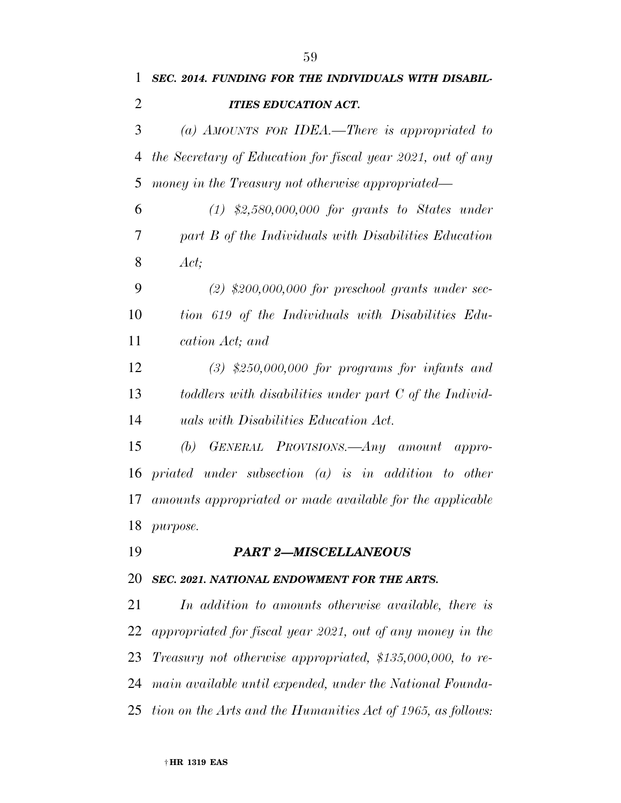| 1              | SEC. 2014. FUNDING FOR THE INDIVIDUALS WITH DISABIL-              |
|----------------|-------------------------------------------------------------------|
| $\overline{2}$ | <b>ITIES EDUCATION ACT.</b>                                       |
| 3              | (a) AMOUNTS FOR IDEA.—There is appropriated to                    |
| 4              | the Secretary of Education for fiscal year 2021, out of any       |
| 5              | money in the Treasury not otherwise appropriated—                 |
| 6              | $(1)$ \$2,580,000,000 for grants to States under                  |
| 7              | part B of the Individuals with Disabilities Education             |
| 8              | Act;                                                              |
| 9              | $(2)$ \$200,000,000 for preschool grants under sec-               |
| 10             | tion 619 of the Individuals with Disabilities Edu-                |
| 11             | cation Act; and                                                   |
| 12             | $(3)$ \$250,000,000 for programs for infants and                  |
| 13             | toddlers with disabilities under part C of the Individ-           |
| 14             | uals with Disabilities Education Act.                             |
| 15             | GENERAL PROVISIONS.—Any amount appro-<br>(b)                      |
| 16             | priated under subsection $(a)$ is in addition to other            |
| 17             | amounts appropriated or made available for the applicable         |
|                | 18 <i>purpose</i> .                                               |
| 19             | <b>PART 2-MISCELLANEOUS</b>                                       |
| 20             | SEC. 2021. NATIONAL ENDOWMENT FOR THE ARTS.                       |
| 21             | In addition to amounts otherwise available, there is              |
| 22             | appropriated for fiscal year 2021, out of any money in the        |
| 23             | <i>Treasury not otherwise appropriated, \$135,000,000, to re-</i> |
| 24             | main available until expended, under the National Founda-         |
| 25             | tion on the Arts and the Humanities Act of 1965, as follows:      |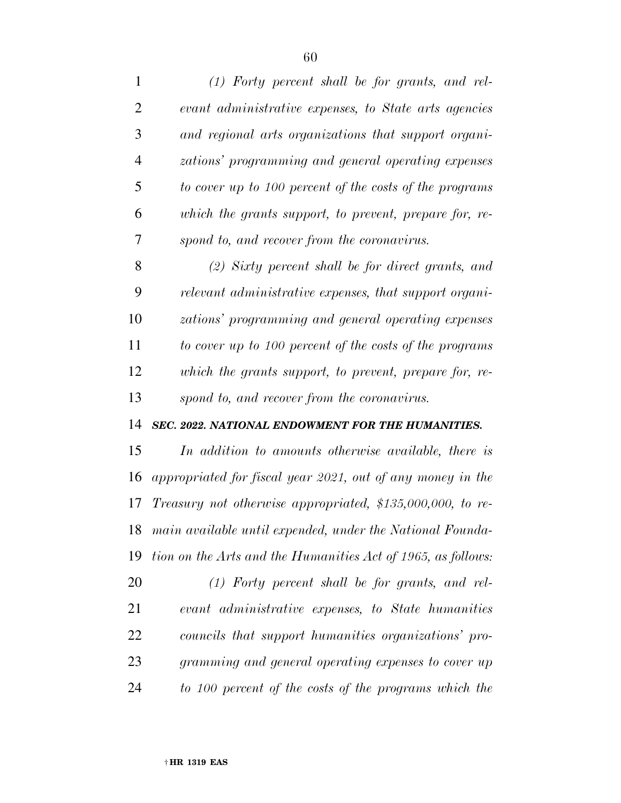| 1              | $(1)$ Forty percent shall be for grants, and rel-            |
|----------------|--------------------------------------------------------------|
| $\overline{2}$ | evant administrative expenses, to State arts agencies        |
| 3              | and regional arts organizations that support organi-         |
| $\overline{4}$ | zations' programming and general operating expenses          |
| 5              | to cover up to 100 percent of the costs of the programs      |
| 6              | which the grants support, to prevent, prepare for, re-       |
| 7              | spond to, and recover from the coronavirus.                  |
| 8              | $(2)$ Sixty percent shall be for direct grants, and          |
| 9              | relevant administrative expenses, that support organi-       |
| 10             | zations' programming and general operating expenses          |
| 11             | to cover up to 100 percent of the costs of the programs      |
| 12             | which the grants support, to prevent, prepare for, re-       |
|                |                                                              |
| 13             | spond to, and recover from the coronavirus.                  |
| 14             | SEC. 2022. NATIONAL ENDOWMENT FOR THE HUMANITIES.            |
| 15             | In addition to amounts otherwise available, there is         |
| 16             | appropriated for fiscal year 2021, out of any money in the   |
| 17             | Treasury not otherwise appropriated, $$135,000,000$ , to re- |
| 18             | main available until expended, under the National Founda-    |
| 19             | tion on the Arts and the Humanities Act of 1965, as follows: |
| 20             | $(1)$ Forty percent shall be for grants, and rel-            |
| 21             | evant administrative expenses, to State humanities           |
| 22             | councils that support humanities organizations' pro-         |
| 23             | gramming and general operating expenses to cover up          |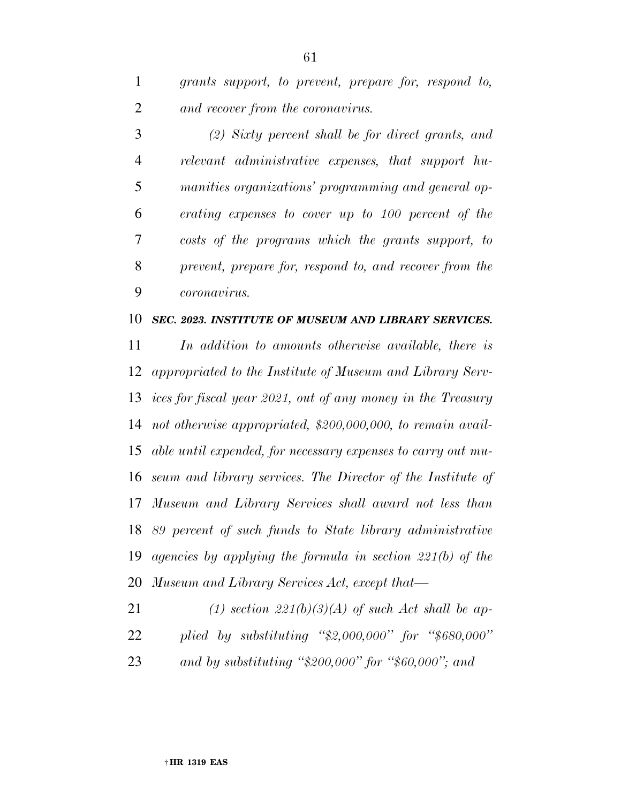*grants support, to prevent, prepare for, respond to, and recover from the coronavirus.* 

 *(2) Sixty percent shall be for direct grants, and relevant administrative expenses, that support hu- manities organizations' programming and general op- erating expenses to cover up to 100 percent of the costs of the programs which the grants support, to prevent, prepare for, respond to, and recover from the coronavirus.* 

#### *SEC. 2023. INSTITUTE OF MUSEUM AND LIBRARY SERVICES.*

 *In addition to amounts otherwise available, there is appropriated to the Institute of Museum and Library Serv- ices for fiscal year 2021, out of any money in the Treasury not otherwise appropriated, \$200,000,000, to remain avail- able until expended, for necessary expenses to carry out mu- seum and library services. The Director of the Institute of Museum and Library Services shall award not less than 89 percent of such funds to State library administrative agencies by applying the formula in section 221(b) of the Museum and Library Services Act, except that—* 

 *(1) section 221(b)(3)(A) of such Act shall be ap- plied by substituting ''\$2,000,000'' for ''\$680,000'' and by substituting ''\$200,000'' for ''\$60,000''; and*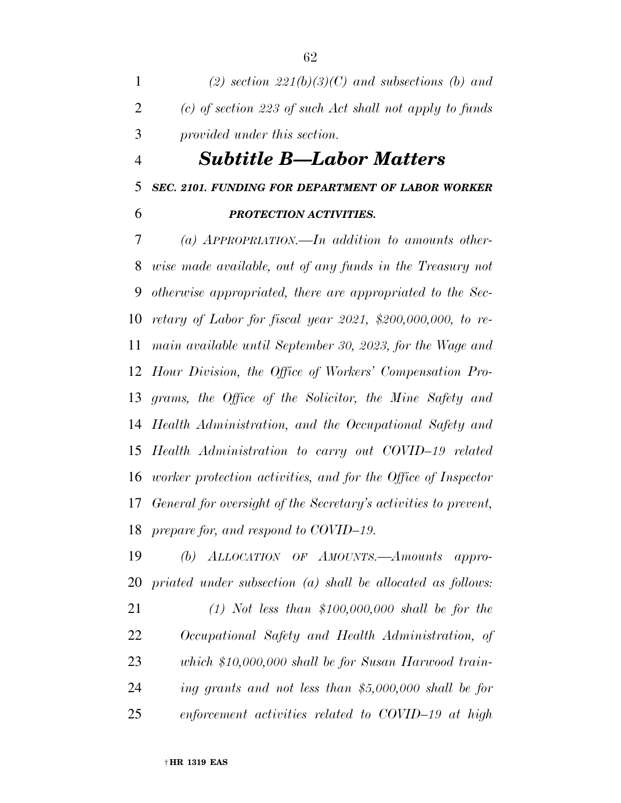*(2) section 221(b)(3)(C) and subsections (b) and (c) of section 223 of such Act shall not apply to funds provided under this section.* 

# *Subtitle B—Labor Matters*

## *SEC. 2101. FUNDING FOR DEPARTMENT OF LABOR WORKER*

## *PROTECTION ACTIVITIES.*

 *(a) APPROPRIATION.—In addition to amounts other- wise made available, out of any funds in the Treasury not otherwise appropriated, there are appropriated to the Sec- retary of Labor for fiscal year 2021, \$200,000,000, to re- main available until September 30, 2023, for the Wage and Hour Division, the Office of Workers' Compensation Pro- grams, the Office of the Solicitor, the Mine Safety and Health Administration, and the Occupational Safety and Health Administration to carry out COVID–19 related worker protection activities, and for the Office of Inspector General for oversight of the Secretary's activities to prevent, prepare for, and respond to COVID–19.* 

 *(b) ALLOCATION OF AMOUNTS.—Amounts appro-priated under subsection (a) shall be allocated as follows:* 

 *(1) Not less than \$100,000,000 shall be for the Occupational Safety and Health Administration, of which \$10,000,000 shall be for Susan Harwood train- ing grants and not less than \$5,000,000 shall be for enforcement activities related to COVID–19 at high*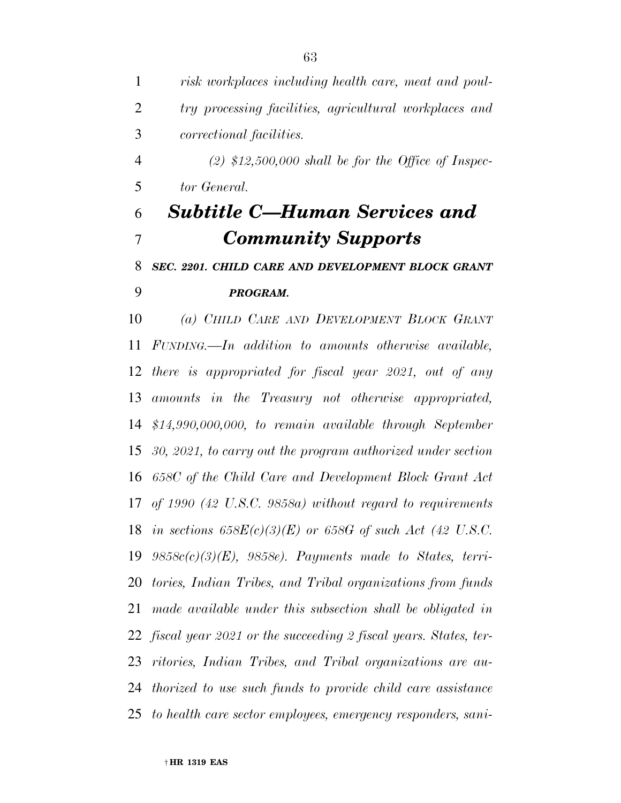*risk workplaces including health care, meat and poul- try processing facilities, agricultural workplaces and correctional facilities. (2) \$12,500,000 shall be for the Office of Inspec- tor General. Subtitle C—Human Services and Community Supports SEC. 2201. CHILD CARE AND DEVELOPMENT BLOCK GRANT PROGRAM. (a) CHILD CARE AND DEVELOPMENT BLOCK GRANT FUNDING.—In addition to amounts otherwise available, there is appropriated for fiscal year 2021, out of any amounts in the Treasury not otherwise appropriated, \$14,990,000,000, to remain available through September 30, 2021, to carry out the program authorized under section 658C of the Child Care and Development Block Grant Act of 1990 (42 U.S.C. 9858a) without regard to requirements in sections 658E(c)(3)(E) or 658G of such Act (42 U.S.C. 9858c(c)(3)(E), 9858e). Payments made to States, terri- tories, Indian Tribes, and Tribal organizations from funds made available under this subsection shall be obligated in fiscal year 2021 or the succeeding 2 fiscal years. States, ter- ritories, Indian Tribes, and Tribal organizations are au- thorized to use such funds to provide child care assistance to health care sector employees, emergency responders, sani-*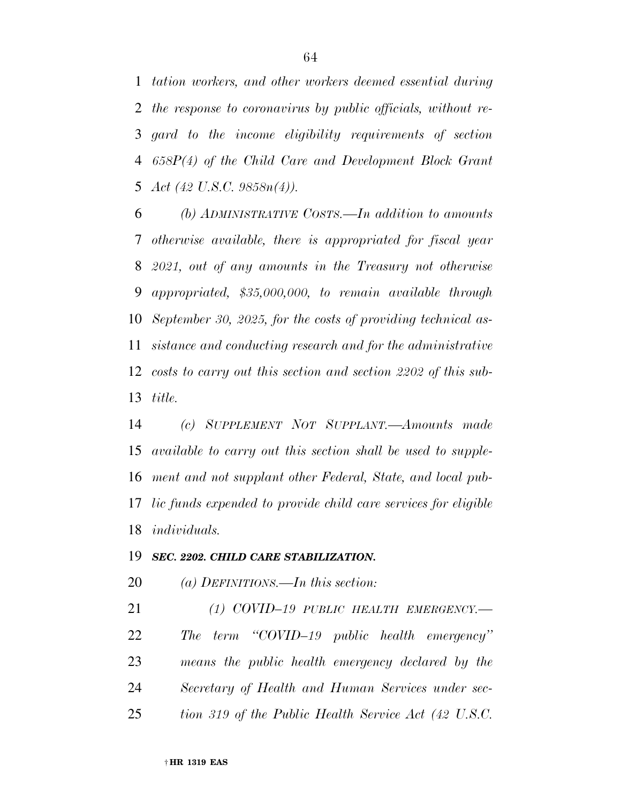*tation workers, and other workers deemed essential during the response to coronavirus by public officials, without re- gard to the income eligibility requirements of section 658P(4) of the Child Care and Development Block Grant Act (42 U.S.C. 9858n(4)).* 

 *(b) ADMINISTRATIVE COSTS.—In addition to amounts otherwise available, there is appropriated for fiscal year 2021, out of any amounts in the Treasury not otherwise appropriated, \$35,000,000, to remain available through September 30, 2025, for the costs of providing technical as- sistance and conducting research and for the administrative costs to carry out this section and section 2202 of this sub-title.* 

 *(c) SUPPLEMENT NOT SUPPLANT.—Amounts made available to carry out this section shall be used to supple- ment and not supplant other Federal, State, and local pub- lic funds expended to provide child care services for eligible individuals.* 

### *SEC. 2202. CHILD CARE STABILIZATION.*

*(a) DEFINITIONS.—In this section:* 

 *(1) COVID–19 PUBLIC HEALTH EMERGENCY.— The term ''COVID–19 public health emergency'' means the public health emergency declared by the Secretary of Health and Human Services under sec-tion 319 of the Public Health Service Act (42 U.S.C.*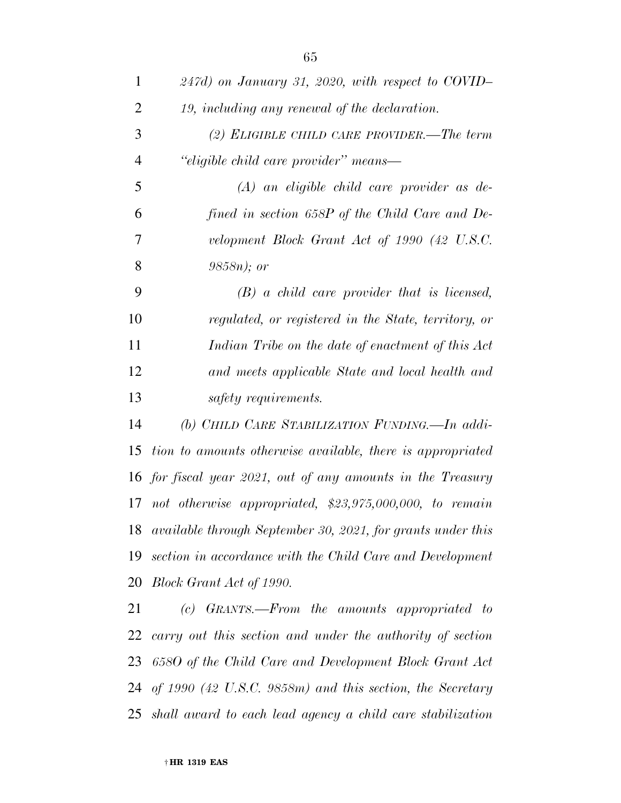| $\mathbf{1}$   | $247d$ ) on January 31, 2020, with respect to COVID-           |
|----------------|----------------------------------------------------------------|
| $\overline{2}$ | 19, including any renewal of the declaration.                  |
| 3              | (2) ELIGIBLE CHILD CARE PROVIDER.—The term                     |
| $\overline{4}$ | "eligible child care provider" means-                          |
| 5              | $(A)$ an eligible child care provider as de-                   |
| 6              | fined in section 658P of the Child Care and De-                |
| 7              | velopment Block Grant Act of 1990 (42 U.S.C.                   |
| 8              | $9858n$ ; or                                                   |
| 9              | $(B)$ a child care provider that is licensed,                  |
| 10             | regulated, or registered in the State, territory, or           |
| 11             | Indian Tribe on the date of enactment of this Act              |
| 12             | and meets applicable State and local health and                |
| 13             | safety requirements.                                           |
| 14             | (b) CHILD CARE STABILIZATION FUNDING. - In addi-               |
| 15             | tion to amounts otherwise available, there is appropriated     |
|                | 16 for fiscal year 2021, out of any amounts in the Treasury    |
|                | 17 not otherwise appropriated, $$23,975,000,000$ , to remain   |
|                | 18 available through September 30, 2021, for grants under this |
| 19             | section in accordance with the Child Care and Development      |
| 20             | Block Grant Act of 1990.                                       |
| 21             | (c) GRANTS.—From the amounts appropriated to                   |
| 22             | carry out this section and under the authority of section      |
| 23             | 6580 of the Child Care and Development Block Grant Act         |
|                | 24 of 1990 (42 U.S.C. 9858m) and this section, the Secretary   |

*shall award to each lead agency a child care stabilization*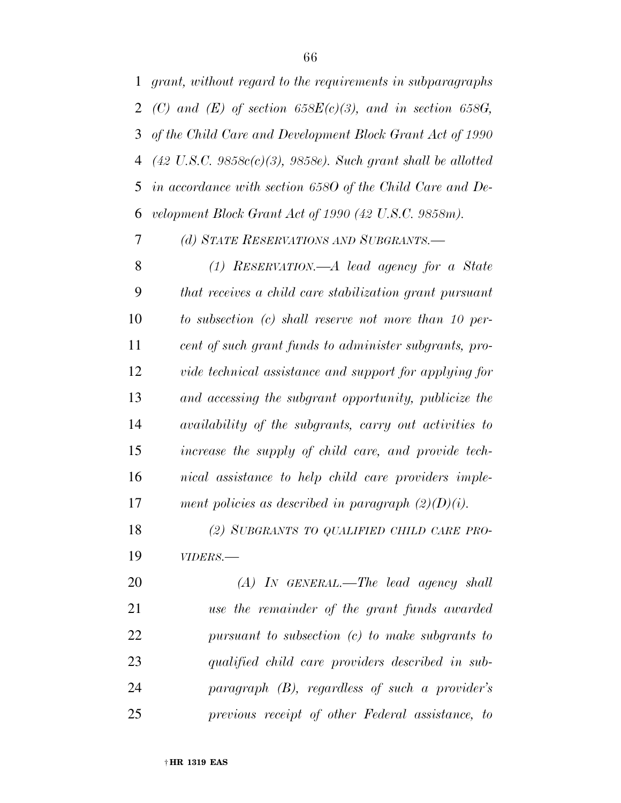*grant, without regard to the requirements in subparagraphs (C) and (E) of section 658E(c)(3), and in section 658G, of the Child Care and Development Block Grant Act of 1990 (42 U.S.C. 9858c(c)(3), 9858e). Such grant shall be allotted in accordance with section 658O of the Child Care and De-velopment Block Grant Act of 1990 (42 U.S.C. 9858m).* 

*(d) STATE RESERVATIONS AND SUBGRANTS.—* 

 *(1) RESERVATION.—A lead agency for a State that receives a child care stabilization grant pursuant to subsection (c) shall reserve not more than 10 per- cent of such grant funds to administer subgrants, pro- vide technical assistance and support for applying for and accessing the subgrant opportunity, publicize the availability of the subgrants, carry out activities to increase the supply of child care, and provide tech- nical assistance to help child care providers imple-ment policies as described in paragraph (2)(D)(i).* 

 *(2) SUBGRANTS TO QUALIFIED CHILD CARE PRO-VIDERS.—* 

 *(A) IN GENERAL.—The lead agency shall use the remainder of the grant funds awarded pursuant to subsection (c) to make subgrants to qualified child care providers described in sub- paragraph (B), regardless of such a provider's previous receipt of other Federal assistance, to*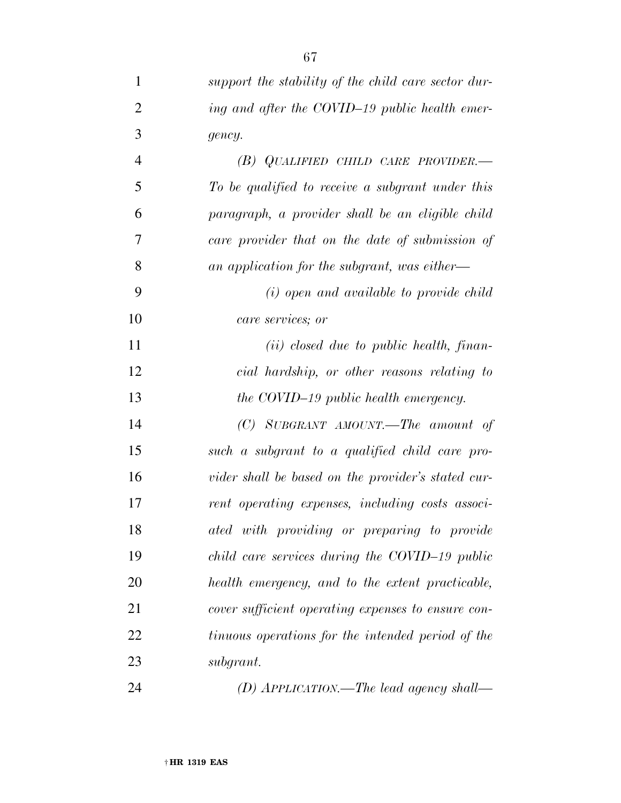| $\mathbf{1}$   | support the stability of the child care sector dur- |
|----------------|-----------------------------------------------------|
| $\overline{2}$ | ing and after the COVID-19 public health emer-      |
| 3              | gency.                                              |
| $\overline{4}$ | $(B)$ QUALIFIED CHILD CARE PROVIDER.—               |
| 5              | To be qualified to receive a subgrant under this    |
| 6              | paragraph, a provider shall be an eligible child    |
| 7              | care provider that on the date of submission of     |
| 8              | an application for the subgrant, was either—        |
| 9              | (i) open and available to provide child             |
| 10             | care services; or                                   |
| 11             | $(ii) closed due to public health, finan-$          |
| 12             | cial hardship, or other reasons relating to         |
| 13             | the COVID-19 public health emergency.               |
| 14             | $(C)$ SUBGRANT AMOUNT.—The amount of                |
| 15             | such a subgrant to a qualified child care pro-      |
| 16             | vider shall be based on the provider's stated cur-  |
| 17             | rent operating expenses, including costs associ-    |
| 18             | ated with providing or preparing to provide         |
| 19             | child care services during the COVID-19 public      |
| 20             | health emergency, and to the extent practicable,    |
| 21             | cover sufficient operating expenses to ensure con-  |
| 22             | tinuous operations for the intended period of the   |
| 23             | subgrant.                                           |
| 24             | (D) APPLICATION.—The lead agency shall—             |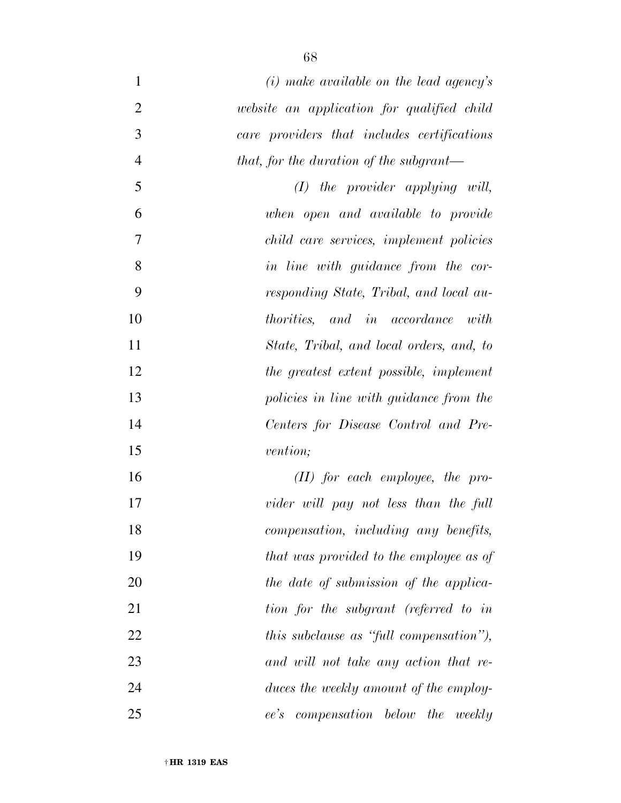| $\mathbf{1}$   | $(i)$ make available on the lead agency's   |
|----------------|---------------------------------------------|
| $\overline{2}$ | website an application for qualified child  |
| 3              | care providers that includes certifications |
| $\overline{4}$ | that, for the duration of the subgrant—     |
| 5              | $(I)$ the provider applying will,           |
| 6              | when open and available to provide          |
| 7              | child care services, implement policies     |
| 8              | in line with guidance from the cor-         |
| 9              | responding State, Tribal, and local au-     |
| 10             | <i>thorities</i> , and in accordance with   |
| 11             | State, Tribal, and local orders, and, to    |
| 12             | the greatest extent possible, implement     |
| 13             | policies in line with guidance from the     |
| 14             | Centers for Disease Control and Pre-        |
| 15             | <i>vention</i> ;                            |
| 16             | $(II)$ for each employee, the pro-          |
| 17             | vider will pay not less than the full       |
| 18             | compensation, including any benefits,       |
| 19             | that was provided to the employee as of     |
| 20             | the date of submission of the applica-      |
| 21             | tion for the subgrant (referred to in       |
| 22             | this subclause as "full compensation"),     |
| 23             | and will not take any action that re-       |
| 24             | duces the weekly amount of the employ-      |
| 25             | compensation below the weekly<br>ee's       |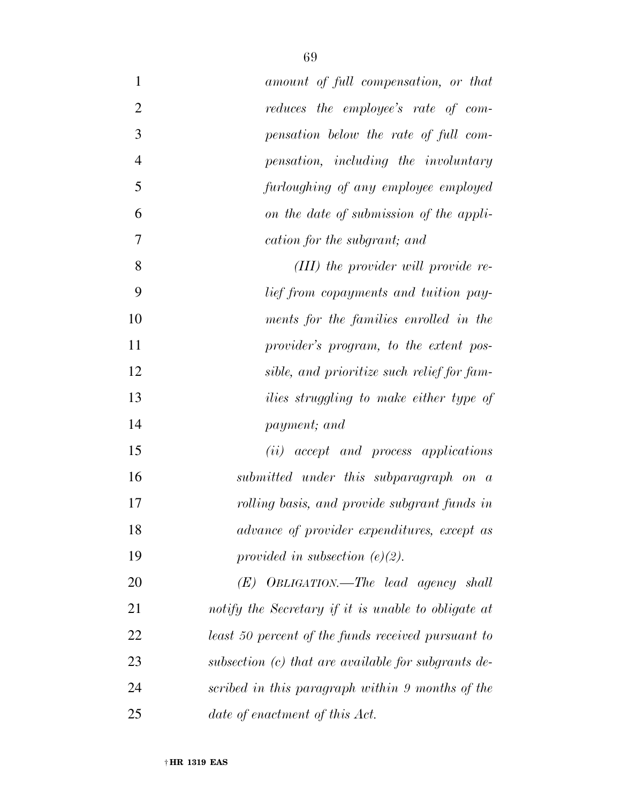| $\mathbf{1}$   | amount of full compensation, or that                  |
|----------------|-------------------------------------------------------|
| $\overline{2}$ | reduces the employee's rate of com-                   |
| 3              | pensation below the rate of full com-                 |
| $\overline{4}$ | pensation, including the involuntary                  |
| 5              | furloughing of any employee employed                  |
| 6              | on the date of submission of the appli-               |
| 7              | cation for the subgrant; and                          |
| 8              | (III) the provider will provide re-                   |
| 9              | <i>lief from copayments and tuition pay-</i>          |
| 10             | ments for the families enrolled in the                |
| 11             | provider's program, to the extent pos-                |
| 12             | sible, and prioritize such relief for fam-            |
| 13             | <i>ilies struggling to make either type of</i>        |
| 14             | payment; and                                          |
| 15             | (ii) accept and process applications                  |
| 16             | submitted under this subparagraph on a                |
| 17             | rolling basis, and provide subgrant funds in          |
| 18             | advance of provider expenditures, except as           |
| 19             | provided in subsection $(e)(2)$ .                     |
| 20             | $(E)$ OBLIGATION.—The lead agency shall               |
| 21             | notify the Secretary if it is unable to obligate at   |
| 22             | least 50 percent of the funds received pursuant to    |
| 23             | subsection $(c)$ that are available for subgrants de- |
| 24             | scribed in this paragraph within 9 months of the      |
| 25             | date of enactment of this Act.                        |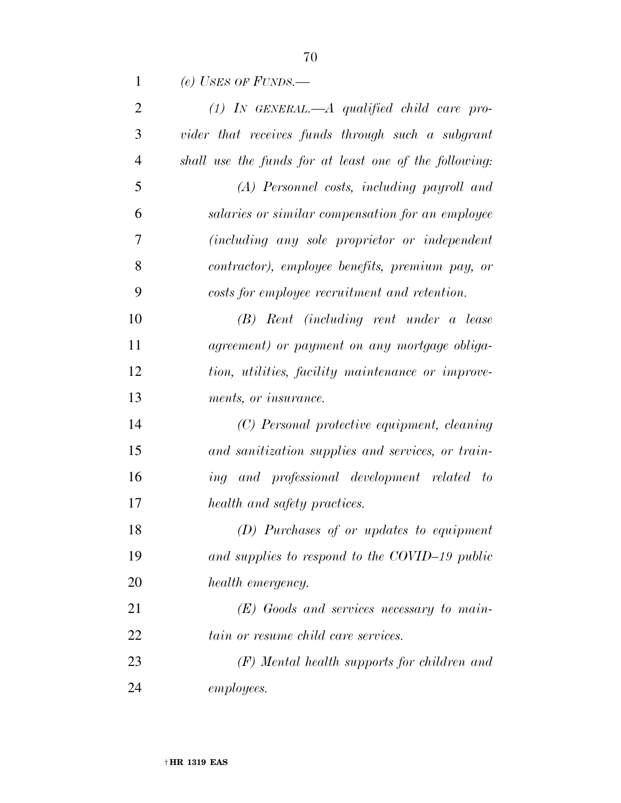| $\mathbf{1}$   | (e) USES OF FUNDS.—                                    |
|----------------|--------------------------------------------------------|
| $\overline{2}$ | $(1)$ IN GENERAL.—A qualified child care pro-          |
| 3              | vider that receives funds through such a subgrant      |
| $\overline{4}$ | shall use the funds for at least one of the following: |
| 5              | (A) Personnel costs, including payroll and             |
| 6              | salaries or similar compensation for an employee       |
| 7              | (including any sole proprietor or independent          |
| 8              | contractor), employee benefits, premium pay, or        |
| 9              | costs for employee recruitment and retention.          |
| 10             | (B) Rent (including rent under a lease                 |
| 11             | agreement) or payment on any mortgage obliga-          |
| 12             | tion, utilities, facility maintenance or improve-      |
| 13             | ments, or insurance.                                   |
| 14             | (C) Personal protective equipment, cleaning            |
| 15             | and sanitization supplies and services, or train-      |
| 16             | ing and professional development related to            |
| 17             | health and safety practices.                           |
| 18             | (D) Purchases of or updates to equipment               |
| 19             | and supplies to respond to the COVID-19 public         |
| 20             | health emergency.                                      |
| 21             | $(E)$ Goods and services necessary to main-            |
| 22             | tain or resume child care services.                    |
| 23             | $(F)$ Mental health supports for children and          |
| 24             | <i>employees.</i>                                      |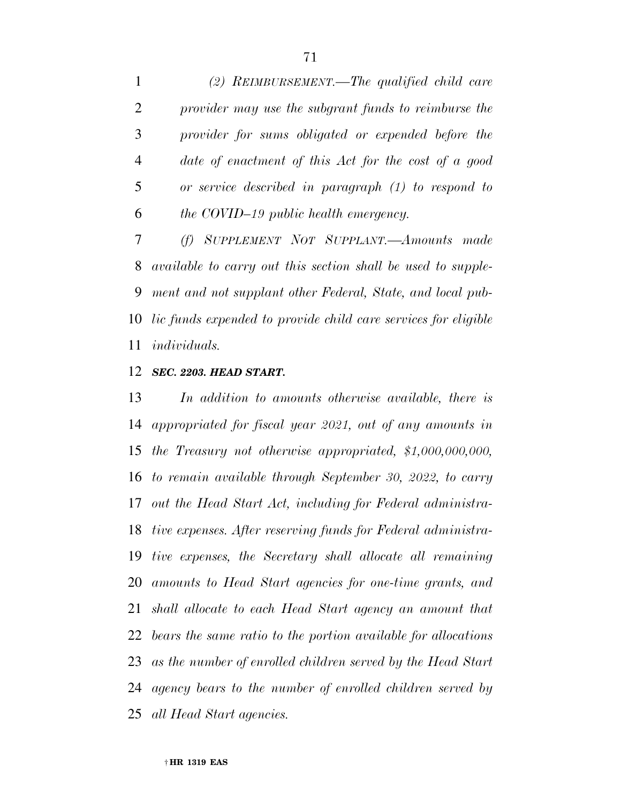*(2) REIMBURSEMENT.—The qualified child care provider may use the subgrant funds to reimburse the provider for sums obligated or expended before the date of enactment of this Act for the cost of a good or service described in paragraph (1) to respond to the COVID–19 public health emergency.* 

 *(f) SUPPLEMENT NOT SUPPLANT.—Amounts made available to carry out this section shall be used to supple- ment and not supplant other Federal, State, and local pub- lic funds expended to provide child care services for eligible individuals.* 

### *SEC. 2203. HEAD START.*

 *In addition to amounts otherwise available, there is appropriated for fiscal year 2021, out of any amounts in the Treasury not otherwise appropriated, \$1,000,000,000, to remain available through September 30, 2022, to carry out the Head Start Act, including for Federal administra- tive expenses. After reserving funds for Federal administra- tive expenses, the Secretary shall allocate all remaining amounts to Head Start agencies for one-time grants, and shall allocate to each Head Start agency an amount that bears the same ratio to the portion available for allocations as the number of enrolled children served by the Head Start agency bears to the number of enrolled children served by all Head Start agencies.*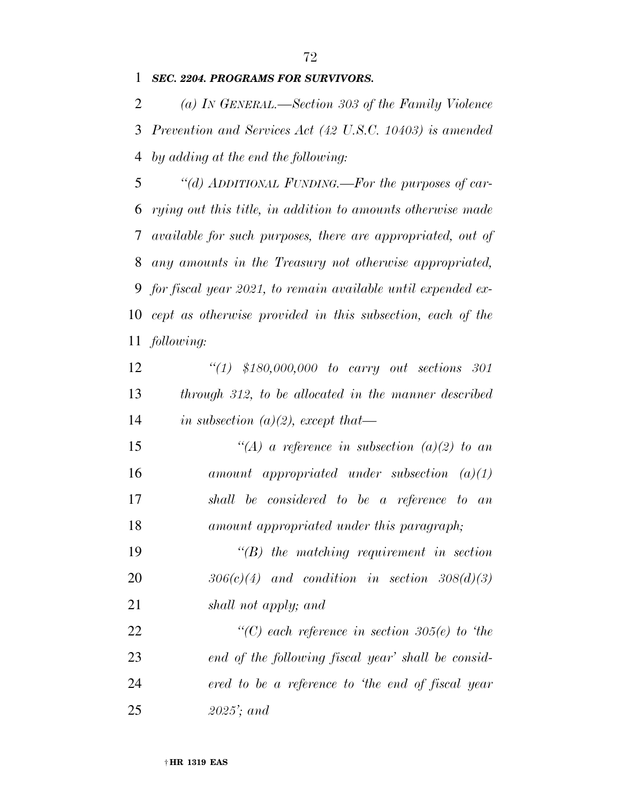*SEC. 2204. PROGRAMS FOR SURVIVORS.* 

 *(a) IN GENERAL.—Section 303 of the Family Violence Prevention and Services Act (42 U.S.C. 10403) is amended by adding at the end the following:* 

 *''(d) ADDITIONAL FUNDING.—For the purposes of car- rying out this title, in addition to amounts otherwise made available for such purposes, there are appropriated, out of any amounts in the Treasury not otherwise appropriated, for fiscal year 2021, to remain available until expended ex- cept as otherwise provided in this subsection, each of the following:* 

 *''(1) \$180,000,000 to carry out sections 301 through 312, to be allocated in the manner described in subsection (a)(2), except that—* 

 *''(A) a reference in subsection (a)(2) to an amount appropriated under subsection (a)(1) shall be considered to be a reference to an amount appropriated under this paragraph;* 

 *''(B) the matching requirement in section 306(c)(4) and condition in section 308(d)(3) shall not apply; and* 

 *''(C) each reference in section 305(e) to 'the end of the following fiscal year' shall be consid- ered to be a reference to 'the end of fiscal year 2025'; and*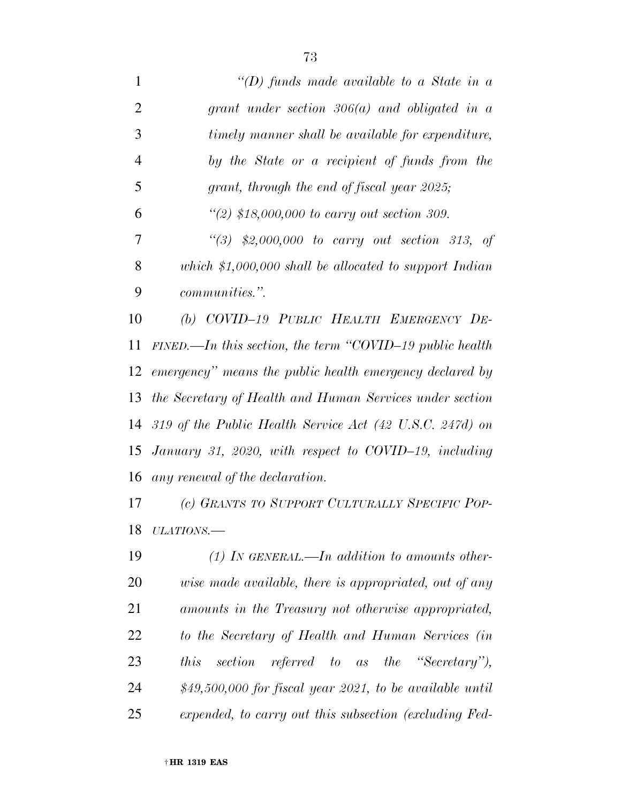*''(D) funds made available to a State in a grant under section 306(a) and obligated in a timely manner shall be available for expenditure, by the State or a recipient of funds from the grant, through the end of fiscal year 2025; ''(2) \$18,000,000 to carry out section 309. ''(3) \$2,000,000 to carry out section 313, of which \$1,000,000 shall be allocated to support Indian communities.''. (b) COVID–19 PUBLIC HEALTH EMERGENCY DE- FINED.—In this section, the term ''COVID–19 public health emergency'' means the public health emergency declared by the Secretary of Health and Human Services under section 319 of the Public Health Service Act (42 U.S.C. 247d) on January 31, 2020, with respect to COVID–19, including any renewal of the declaration. (c) GRANTS TO SUPPORT CULTURALLY SPECIFIC POP-*

*ULATIONS.—* 

 *(1) IN GENERAL.—In addition to amounts other- wise made available, there is appropriated, out of any amounts in the Treasury not otherwise appropriated, to the Secretary of Health and Human Services (in this section referred to as the ''Secretary''), \$49,500,000 for fiscal year 2021, to be available until expended, to carry out this subsection (excluding Fed-*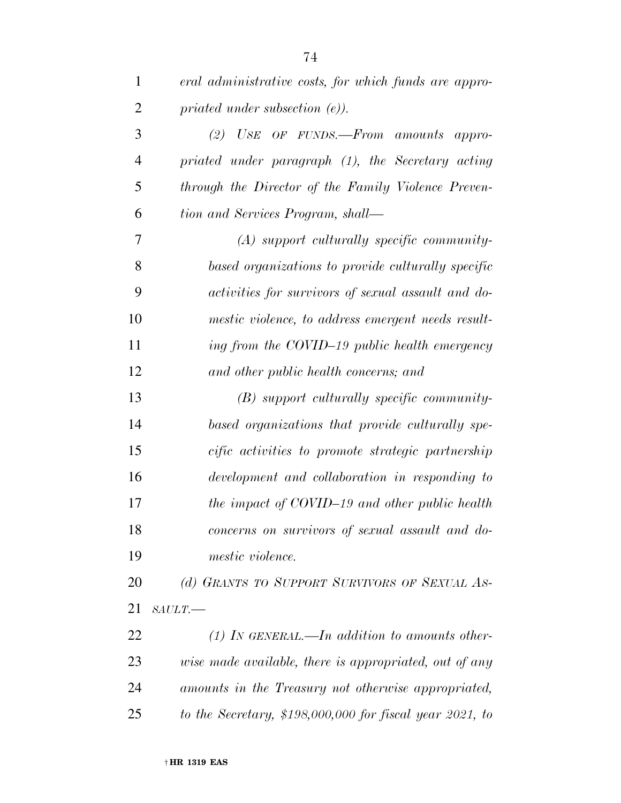| 1              | eral administrative costs, for which funds are appro-     |
|----------------|-----------------------------------------------------------|
| $\overline{2}$ | priated under subsection $(e)$ ).                         |
| 3              | $(2)$ USE OF FUNDS. From amounts appro-                   |
| $\overline{4}$ | priated under paragraph (1), the Secretary acting         |
| 5              | through the Director of the Family Violence Preven-       |
| 6              | tion and Services Program, shall—                         |
| 7              | $(A)$ support culturally specific community-              |
| 8              | based organizations to provide culturally specific        |
| 9              | <i>activities for survivors of sexual assault and do-</i> |
| 10             | mestic violence, to address emergent needs result-        |
| 11             | ing from the COVID-19 public health emergency             |
| 12             | and other public health concerns; and                     |
| 13             | $(B)$ support culturally specific community-              |
| 14             | based organizations that provide culturally spe-          |
| 15             | cific activities to promote strategic partnership         |
| 16             | development and collaboration in responding to            |
| 17             | the impact of COVID-19 and other public health            |
| 18             | concerns on survivors of sexual assault and do-           |
| 19             | mestic violence.                                          |
| 20             | (d) GRANTS TO SUPPORT SURVIVORS OF SEXUAL AS-             |
| 21             | $SALLT$ .                                                 |
| 22             | (1) In GENERAL.—In addition to amounts other-             |
| 23             | wise made available, there is appropriated, out of any    |
| 24             | amounts in the Treasury not otherwise appropriated,       |
| 25             | to the Secretary, $$198,000,000$ for fiscal year 2021, to |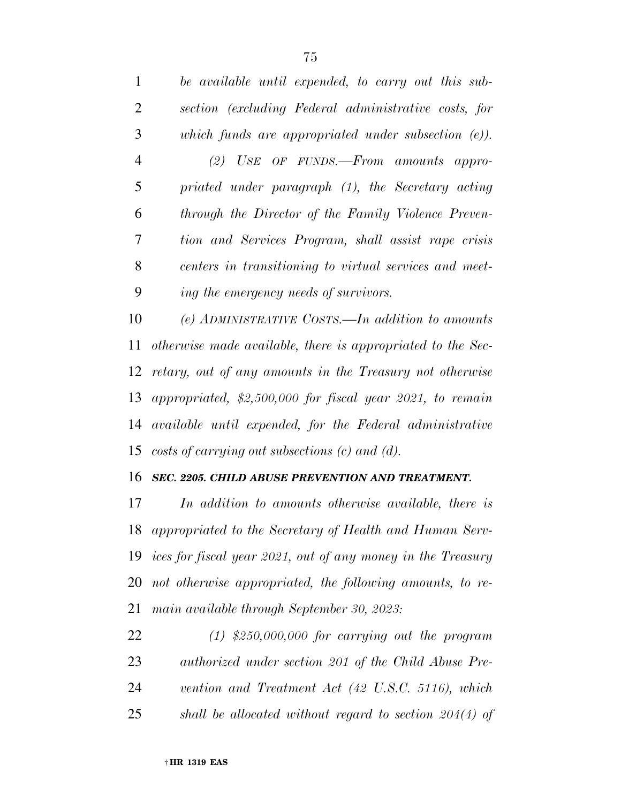| $\mathbf{1}$   | be available until expended, to carry out this sub-    |
|----------------|--------------------------------------------------------|
| 2              | section (excluding Federal administrative costs, for   |
| 3              | which funds are appropriated under subsection $(e)$ ). |
| $\overline{4}$ | $(2)$ USE OF FUNDS.—From amounts appro-                |
| 5              | priated under paragraph (1), the Secretary acting      |
| 6              | through the Director of the Family Violence Preven-    |
| 7              | tion and Services Program, shall assist rape crisis    |
| 8              | centers in transitioning to virtual services and meet- |
| 9              | ing the emergency needs of survivors.                  |
|                |                                                        |

 *(e) ADMINISTRATIVE COSTS.—In addition to amounts otherwise made available, there is appropriated to the Sec- retary, out of any amounts in the Treasury not otherwise appropriated, \$2,500,000 for fiscal year 2021, to remain available until expended, for the Federal administrative costs of carrying out subsections (c) and (d).* 

#### *SEC. 2205. CHILD ABUSE PREVENTION AND TREATMENT.*

 *In addition to amounts otherwise available, there is appropriated to the Secretary of Health and Human Serv- ices for fiscal year 2021, out of any money in the Treasury not otherwise appropriated, the following amounts, to re-main available through September 30, 2023:* 

 *(1) \$250,000,000 for carrying out the program authorized under section 201 of the Child Abuse Pre- vention and Treatment Act (42 U.S.C. 5116), which shall be allocated without regard to section 204(4) of*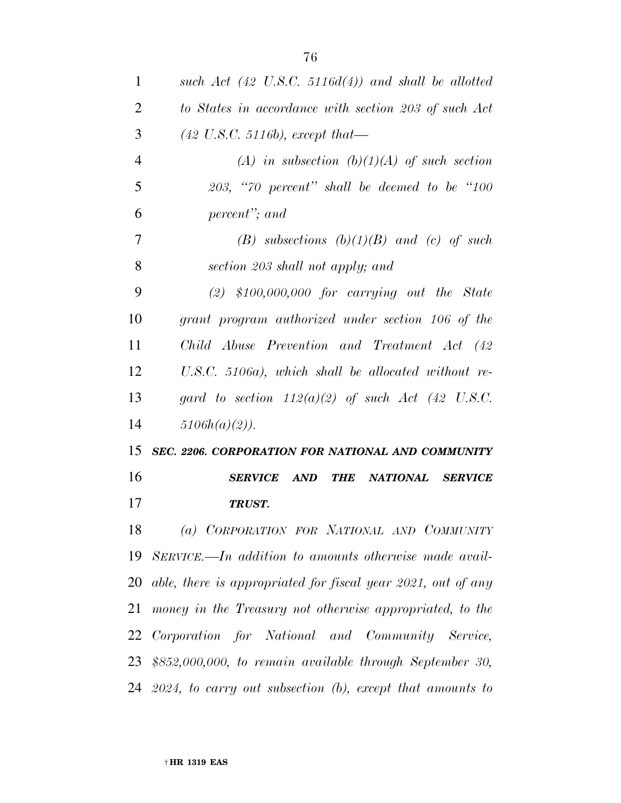| 1              | such Act $(42 \text{ U.S.C. } 5116d(4))$ and shall be allotted         |
|----------------|------------------------------------------------------------------------|
| 2              | to States in accordance with section 203 of such Act                   |
| 3              | $(42 \text{ U.S.C. } 5116b), except that$                              |
| $\overline{4}$ | (A) in subsection (b)(1)(A) of such section                            |
| 5              | $203,$ "70 percent" shall be deemed to be "100                         |
| 6              | percent"; and                                                          |
| 7              | (B) subsections $(b)(1)(B)$ and (c) of such                            |
| 8              | section 203 shall not apply; and                                       |
| 9              | $(2)$ \$100,000,000 for carrying out the State                         |
| 10             | grant program authorized under section 106 of the                      |
| 11             | Child Abuse Prevention and Treatment Act (42                           |
| 12             | $U.S.C. 5106a$ , which shall be allocated without re-                  |
| 13             | gard to section $112(a)(2)$ of such Act (42 U.S.C.                     |
| 14             | $5106h(a)(2)$ ).                                                       |
|                |                                                                        |
| 15             | SEC. 2206. CORPORATION FOR NATIONAL AND COMMUNITY                      |
| 16             | <b>SERVICE</b><br>$\boldsymbol{AND}$<br>NATIONAL SERVICE<br><b>THE</b> |
| 17             | TRUST.                                                                 |
| 18             | (a) CORPORATION FOR NATIONAL AND COMMUNITY                             |
| 19             | SERVICE.—In addition to amounts otherwise made avail-                  |
| 20             | able, there is appropriated for fiscal year 2021, out of any           |
| 21             | money in the Treasury not otherwise appropriated, to the               |
| 22             | Corporation for National and Community Service,                        |
|                | 23 \$852,000,000, to remain available through September 30,            |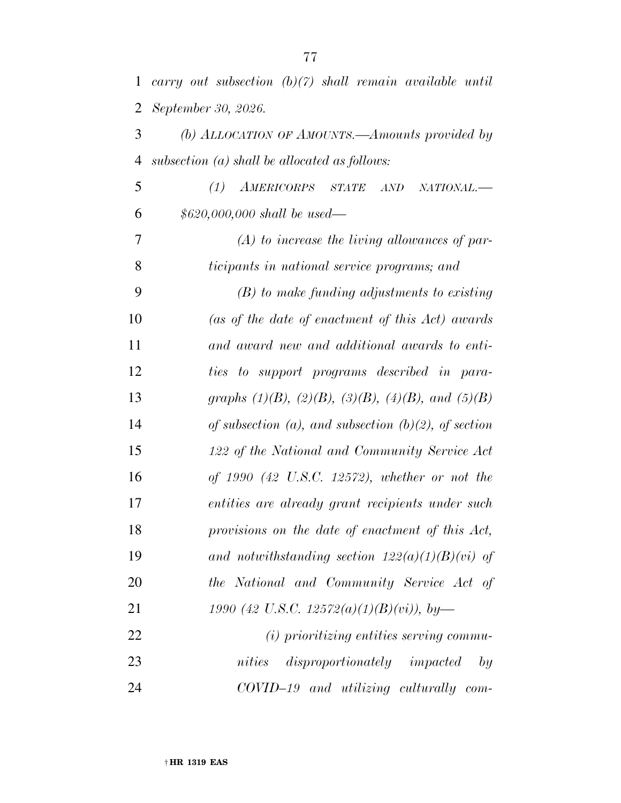| $\mathbf{1}$   | carry out subsection $(b)(7)$ shall remain available until      |
|----------------|-----------------------------------------------------------------|
| $\overline{2}$ | September 30, 2026.                                             |
| 3              | (b) ALLOCATION OF AMOUNTS.—Amounts provided by                  |
| $\overline{4}$ | subsection $(a)$ shall be allocated as follows:                 |
| 5              | AMERICORPS STATE<br>(1)<br>AND<br>NATIONAL.-                    |
| 6              | $$620,000,000$ shall be used—                                   |
| 7              | $(A)$ to increase the living allowances of par-                 |
| 8              | ticipants in national service programs; and                     |
| 9              | $(B)$ to make funding adjustments to existing                   |
| 10             | (as of the date of enactment of this Act) awards                |
| 11             | and award new and additional awards to enti-                    |
| 12             | ties to support programs described in para-                     |
| 13             | graphs $(1)(B)$ , $(2)(B)$ , $(3)(B)$ , $(4)(B)$ , and $(5)(B)$ |
| 14             | of subsection (a), and subsection (b)(2), of section            |
| 15             | 122 of the National and Community Service Act                   |
| 16             | of $1990$ (42 U.S.C. 12572), whether or not the                 |
| 17             | entities are already grant recipients under such                |
| 18             | provisions on the date of enactment of this Act,                |
| 19             | and notwithstanding section $122(a)(1)(B)(vi)$ of               |
| 20             | the National and Community Service Act of                       |
| 21             | 1990 (42 U.S.C. 12572(a)(1)(B)(vi)), by-                        |
| 22             | (i) prioritizing entities serving commu-                        |
| 23             | disproportionately impacted<br>nities<br>by                     |
| 24             | COVID-19 and utilizing culturally com-                          |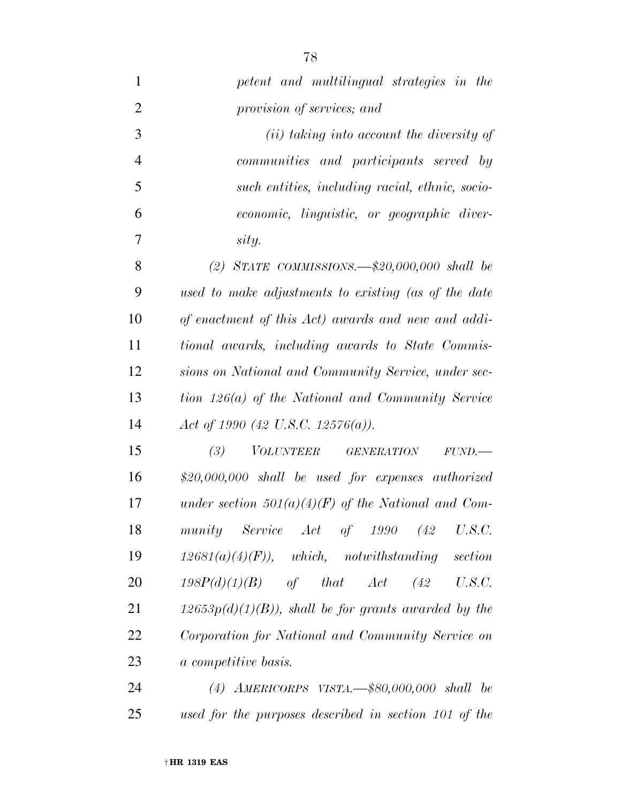| $\mathbf{1}$   | petent and multilingual strategies in the              |
|----------------|--------------------------------------------------------|
| $\overline{2}$ | provision of services; and                             |
| 3              | ( <i>ii</i> ) taking into account the diversity of     |
| $\overline{4}$ | communities and participants served by                 |
| 5              | such entities, including racial, ethnic, socio-        |
| 6              | economic, linguistic, or geographic diver-             |
| 7              | sity.                                                  |
| 8              | (2) STATE COMMISSIONS. $-\$20,000,000$ shall be        |
| 9              | used to make adjustments to existing (as of the date   |
| 10             | of enactment of this Act) awards and new and addi-     |
| 11             | tional awards, including awards to State Commis-       |
| 12             | sions on National and Community Service, under sec-    |
| 13             | tion 126(a) of the National and Community Service      |
| 14             | Act of 1990 (42 U.S.C. 12576(a)).                      |
| 15             | (3)<br><i>VOLUNTEER GENERATION</i><br>FUND.            |
| 16             | $$20,000,000$ shall be used for expenses authorized    |
| 17             | under section $501(a)(4)(F)$ of the National and Com-  |
| 18             | munity Service Act of 1990 (42 U.S.C.                  |
| 19             | $12681(a)(4)(F)$ , which, notwithstanding section      |
| 20             | $198P(d)(1)(B)$ of that $Act$ (42 U.S.C.               |
| 21             | $12653p(d)(1)(B)$ , shall be for grants awarded by the |
| 22             | Corporation for National and Community Service on      |
| 23             | a competitive basis.                                   |
| 24             | (4) AMERICORPS VISTA. $-$ \$80,000,000 shall be        |
| 25             | used for the purposes described in section 101 of the  |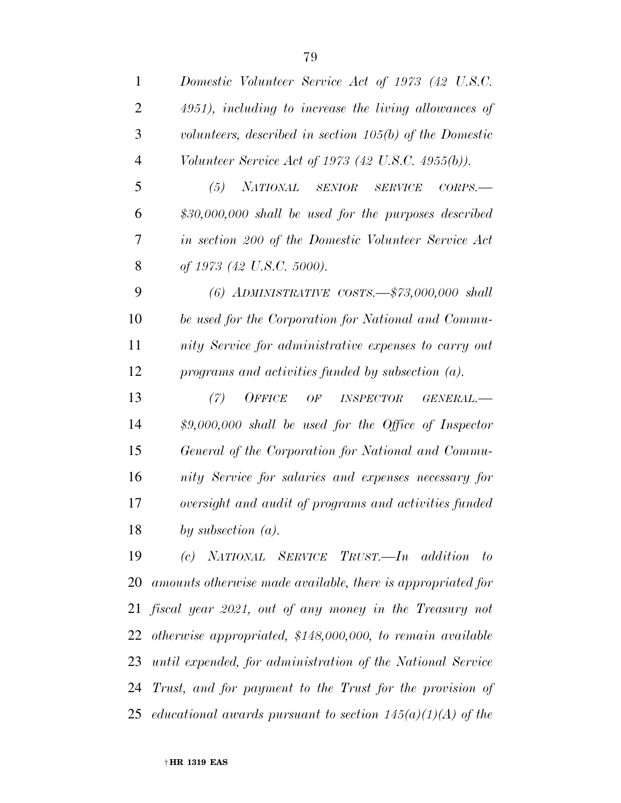| $\mathbf{1}$   | Domestic Volunteer Service Act of 1973 (42 U.S.C.                  |
|----------------|--------------------------------------------------------------------|
| 2              | 4951), including to increase the living allowances of              |
| 3              | volunteers, described in section $105(b)$ of the Domestic          |
| $\overline{4}$ | Volunteer Service Act of 1973 (42 U.S.C. 4955(b)).                 |
| 5              | (5)<br><b>NATIONAL</b><br>SENIOR<br><b>SERVICE</b><br>CORPS.       |
| 6              | $$30,000,000$ shall be used for the purposes described             |
| 7              | in section 200 of the Domestic Volunteer Service Act               |
| 8              | of 1973 (42 U.S.C. 5000).                                          |
| 9              | $(6)$ ADMINISTRATIVE COSTS. $\frac{1}{5}$ 73,000,000 shall         |
| 10             | be used for the Corporation for National and Commu-                |
| 11             | nity Service for administrative expenses to carry out              |
| 12             | programs and activities funded by subsection $(a)$ .               |
| 13             | <b>OFFICE</b><br>(7)<br>OF<br>$\it INSPECTOR$<br>$\it GENERAL$ .—– |
| 14             | $$9,000,000$ shall be used for the Office of Inspector             |
| 15             | General of the Corporation for National and Commu-                 |
| 16             | nity Service for salaries and expenses necessary for               |
| 17             | oversight and audit of programs and activities funded              |
| 18             | by subsection $(a)$ .                                              |
| 19             | (c) NATIONAL SERVICE TRUST.—In addition<br>$- to$                  |
| 20             | amounts otherwise made available, there is appropriated for        |
| 21             | fiscal year 2021, out of any money in the Treasury not             |
| 22             | otherwise appropriated, \$148,000,000, to remain available         |
| 23             | until expended, for administration of the National Service         |
| 24             | Trust, and for payment to the Trust for the provision of           |
| 25             | educational awards pursuant to section $145(a)(1)(A)$ of the       |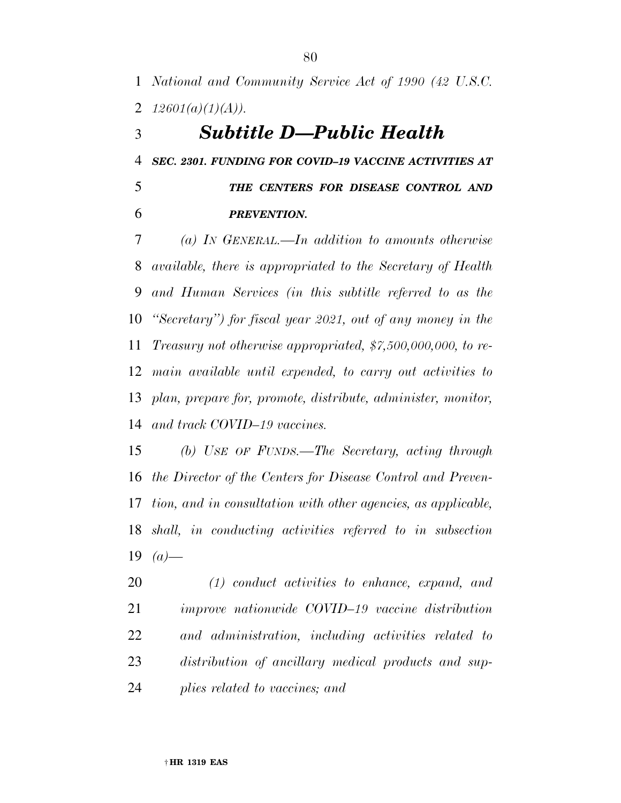*National and Community Service Act of 1990 (42 U.S.C.*  2  $12601(a)(1)(A)$ .

### *Subtitle D—Public Health*

*SEC. 2301. FUNDING FOR COVID–19 VACCINE ACTIVITIES AT* 

 *THE CENTERS FOR DISEASE CONTROL AND PREVENTION.* 

 *(a) IN GENERAL.—In addition to amounts otherwise available, there is appropriated to the Secretary of Health and Human Services (in this subtitle referred to as the ''Secretary'') for fiscal year 2021, out of any money in the Treasury not otherwise appropriated, \$7,500,000,000, to re- main available until expended, to carry out activities to plan, prepare for, promote, distribute, administer, monitor, and track COVID–19 vaccines.* 

 *(b) USE OF FUNDS.—The Secretary, acting through the Director of the Centers for Disease Control and Preven- tion, and in consultation with other agencies, as applicable, shall, in conducting activities referred to in subsection (a)—* 

 *(1) conduct activities to enhance, expand, and improve nationwide COVID–19 vaccine distribution and administration, including activities related to distribution of ancillary medical products and sup-plies related to vaccines; and*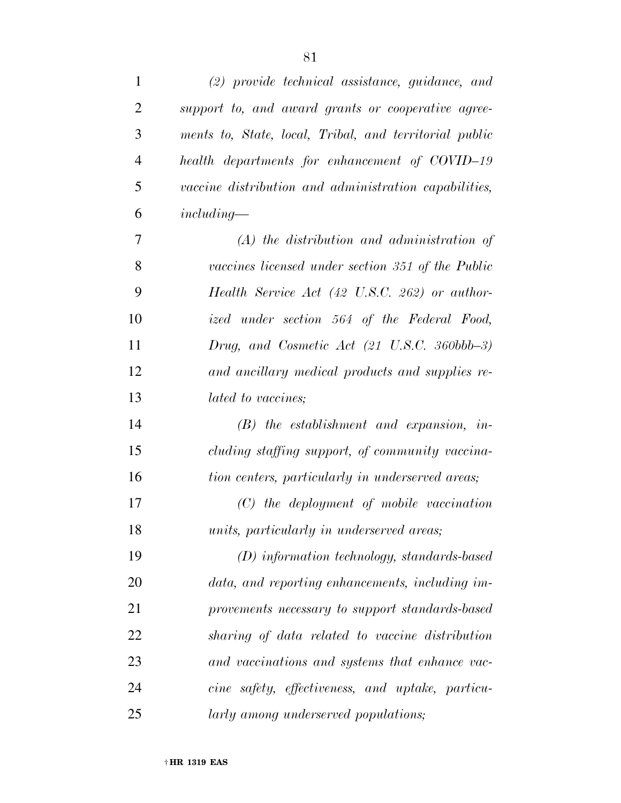| $\mathbf{1}$   | $(2)$ provide technical assistance, guidance, and        |
|----------------|----------------------------------------------------------|
| $\overline{2}$ | support to, and award grants or cooperative agree-       |
| 3              | ments to, State, local, Tribal, and territorial public   |
| $\overline{4}$ | health departments for enhancement of COVID-19           |
| 5              | vaccine distribution and administration capabilities,    |
| 6              | $including-$                                             |
| 7              | $(A)$ the distribution and administration of             |
| 8              | vaccines licensed under section 351 of the Public        |
| 9              | Health Service Act (42 U.S.C. 262) or author-            |
| 10             | ized under section 564 of the Federal Food,              |
| 11             | Drug, and Cosmetic Act $(21 \text{ U.S.C. } 360bbb{-}3)$ |
| 12             | and ancillary medical products and supplies re-          |
| 13             | lated to vaccines;                                       |
| 14             | $(B)$ the establishment and expansion, in-               |
| 15             | cluding staffing support, of community vaccina-          |
| 16             | tion centers, particularly in underserved areas;         |
| 17             | $(C)$ the deployment of mobile vaccination               |
| 18             | units, particularly in underserved areas;                |
| 19             | $(D)$ information technology, standards-based            |
| 20             | data, and reporting enhancements, including im-          |
| 21             | provements necessary to support standards-based          |
| 22             | sharing of data related to vaccine distribution          |
| 23             | and vaccinations and systems that enhance vac-           |
| 24             | cine safety, effectiveness, and uptake, particu-         |
| 25             | larly among underserved populations;                     |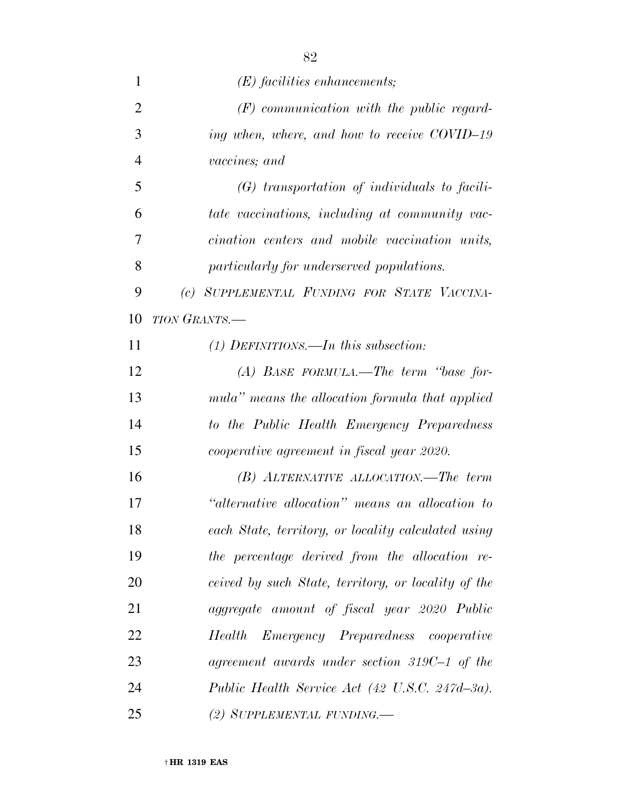| 1              | $(E)$ facilities enhancements;                      |
|----------------|-----------------------------------------------------|
| $\overline{2}$ | $(F)$ communication with the public regard-         |
| 3              | ing when, where, and how to receive COVID-19        |
| $\overline{4}$ | vaccines; and                                       |
| 5              | $(G)$ transportation of individuals to facili-      |
| 6              | tate vaccinations, including at community vac-      |
| 7              | cination centers and mobile vaccination units,      |
| 8              | particularly for underserved populations.           |
| 9              | (c) SUPPLEMENTAL FUNDING FOR STATE VACCINA-         |
| 10             | TION GRANTS.-                                       |
| 11             | $(1)$ DEFINITIONS.—In this subsection:              |
| 12             | $(A)$ BASE FORMULA.—The term "base for-             |
| 13             | mula" means the allocation formula that applied     |
| 14             | to the Public Health Emergency Preparedness         |
| 15             | cooperative agreement in fiscal year 2020.          |
| 16             | $(B)$ ALTERNATIVE ALLOCATION.—The term              |
| 17             | "alternative allocation" means an allocation to     |
| 18             | each State, territory, or locality calculated using |
| 19             | the percentage derived from the allocation re-      |
| 20             | ceived by such State, territory, or locality of the |
| 21             | aggregate amount of fiscal year 2020 Public         |
| 22             | Emergency Preparedness cooperative<br>Health        |
| 23             | agreement awards under section $319C-1$ of the      |
| 24             | Public Health Service Act (42 U.S.C. 247d-3a).      |
| 25             | (2) SUPPLEMENTAL FUNDING.—                          |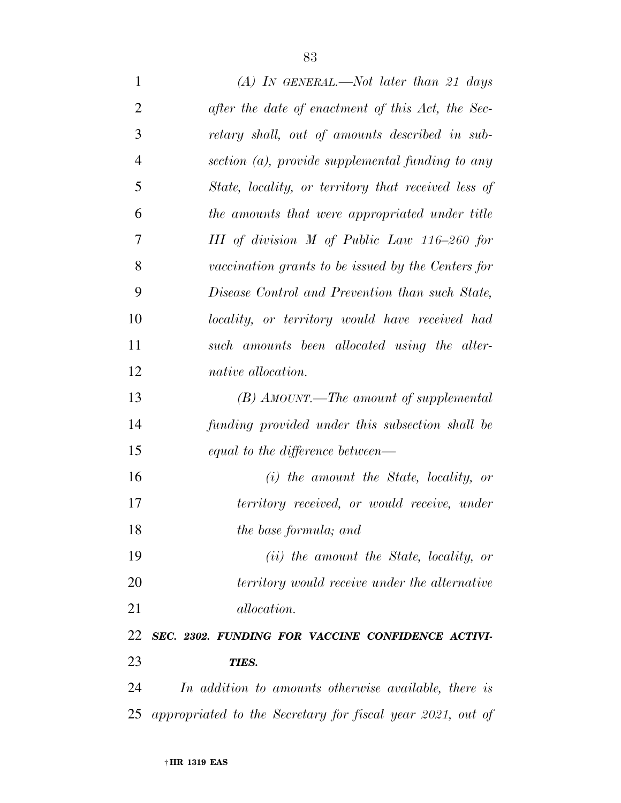*(A) IN GENERAL.—Not later than 21 days after the date of enactment of this Act, the Sec- retary shall, out of amounts described in sub- section (a), provide supplemental funding to any State, locality, or territory that received less of the amounts that were appropriated under title III of division M of Public Law 116–260 for vaccination grants to be issued by the Centers for Disease Control and Prevention than such State, locality, or territory would have received had such amounts been allocated using the alter- native allocation. (B) AMOUNT.—The amount of supplemental funding provided under this subsection shall be equal to the difference between— (i) the amount the State, locality, or territory received, or would receive, under the base formula; and (ii) the amount the State, locality, or* 

 *territory would receive under the alternative allocation.* 

 *SEC. 2302. FUNDING FOR VACCINE CONFIDENCE ACTIVI-TIES.* 

 *In addition to amounts otherwise available, there is appropriated to the Secretary for fiscal year 2021, out of*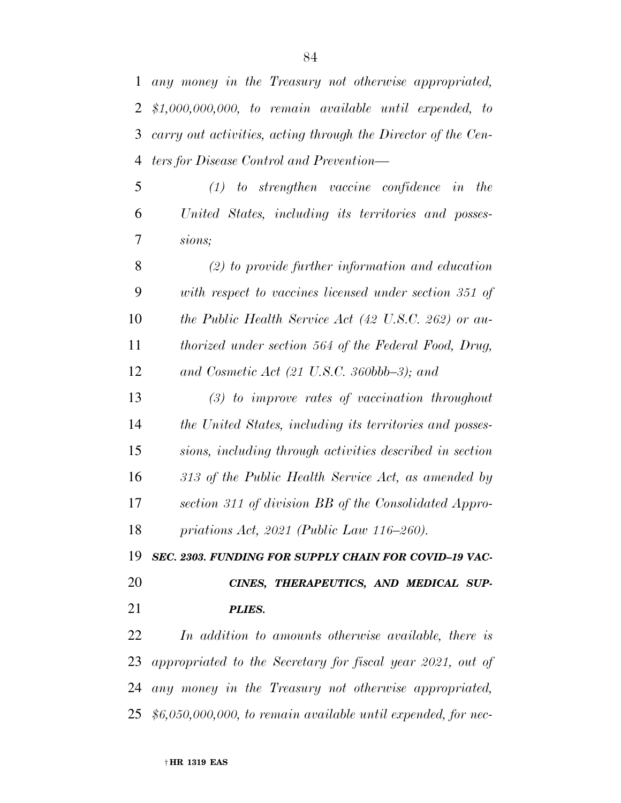*any money in the Treasury not otherwise appropriated, \$1,000,000,000, to remain available until expended, to carry out activities, acting through the Director of the Cen-ters for Disease Control and Prevention—* 

 *(1) to strengthen vaccine confidence in the United States, including its territories and posses-sions;* 

 *(2) to provide further information and education with respect to vaccines licensed under section 351 of the Public Health Service Act (42 U.S.C. 262) or au- thorized under section 564 of the Federal Food, Drug, and Cosmetic Act (21 U.S.C. 360bbb–3); and* 

 *(3) to improve rates of vaccination throughout the United States, including its territories and posses- sions, including through activities described in section 313 of the Public Health Service Act, as amended by section 311 of division BB of the Consolidated Appro-priations Act, 2021 (Public Law 116–260).* 

*SEC. 2303. FUNDING FOR SUPPLY CHAIN FOR COVID–19 VAC-*

# *CINES, THERAPEUTICS, AND MEDICAL SUP-PLIES.*

 *In addition to amounts otherwise available, there is appropriated to the Secretary for fiscal year 2021, out of any money in the Treasury not otherwise appropriated, \$6,050,000,000, to remain available until expended, for nec-*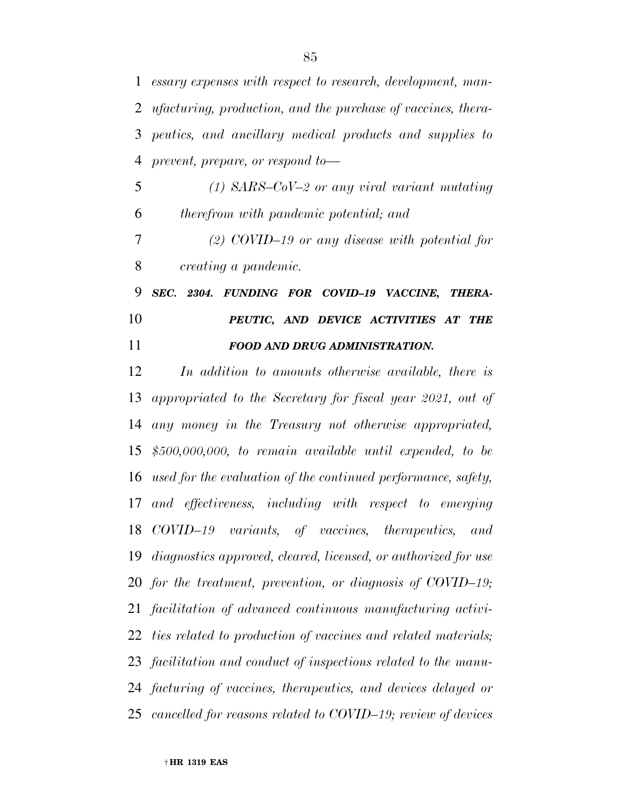*essary expenses with respect to research, development, man- ufacturing, production, and the purchase of vaccines, thera- peutics, and ancillary medical products and supplies to prevent, prepare, or respond to—* 

 *(1) SARS–CoV–2 or any viral variant mutating therefrom with pandemic potential; and (2) COVID–19 or any disease with potential for* 

*creating a pandemic.* 

 *SEC. 2304. FUNDING FOR COVID–19 VACCINE, THERA- PEUTIC, AND DEVICE ACTIVITIES AT THE FOOD AND DRUG ADMINISTRATION.* 

 *In addition to amounts otherwise available, there is appropriated to the Secretary for fiscal year 2021, out of any money in the Treasury not otherwise appropriated, \$500,000,000, to remain available until expended, to be used for the evaluation of the continued performance, safety, and effectiveness, including with respect to emerging COVID–19 variants, of vaccines, therapeutics, and diagnostics approved, cleared, licensed, or authorized for use for the treatment, prevention, or diagnosis of COVID–19; facilitation of advanced continuous manufacturing activi- ties related to production of vaccines and related materials; facilitation and conduct of inspections related to the manu- facturing of vaccines, therapeutics, and devices delayed or cancelled for reasons related to COVID–19; review of devices*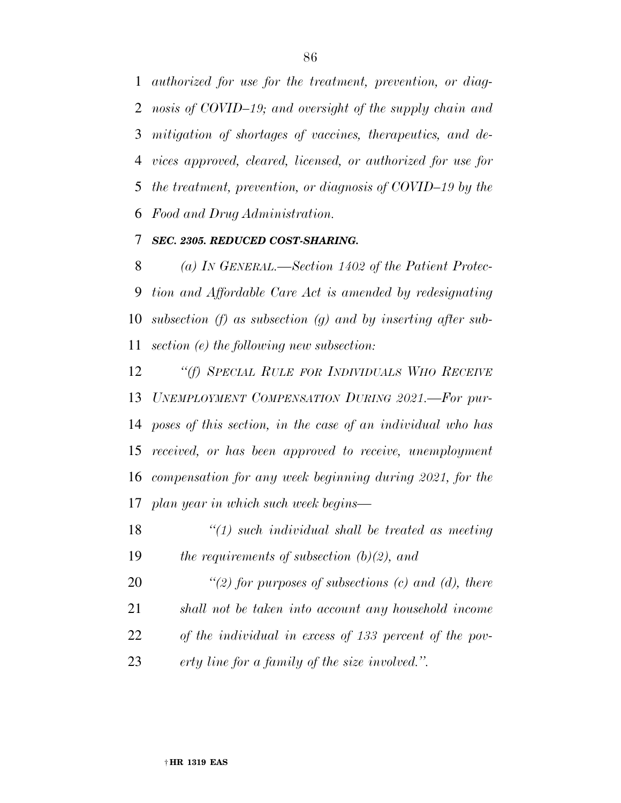*authorized for use for the treatment, prevention, or diag- nosis of COVID–19; and oversight of the supply chain and mitigation of shortages of vaccines, therapeutics, and de- vices approved, cleared, licensed, or authorized for use for the treatment, prevention, or diagnosis of COVID–19 by the Food and Drug Administration.* 

### *SEC. 2305. REDUCED COST-SHARING.*

 *(a) IN GENERAL.—Section 1402 of the Patient Protec- tion and Affordable Care Act is amended by redesignating subsection (f) as subsection (g) and by inserting after sub-section (e) the following new subsection:* 

 *''(f) SPECIAL RULE FOR INDIVIDUALS WHO RECEIVE UNEMPLOYMENT COMPENSATION DURING 2021.—For pur- poses of this section, in the case of an individual who has received, or has been approved to receive, unemployment compensation for any week beginning during 2021, for the plan year in which such week begins—* 

 *''(1) such individual shall be treated as meeting the requirements of subsection (b)(2), and* 

 *''(2) for purposes of subsections (c) and (d), there shall not be taken into account any household income of the individual in excess of 133 percent of the pov-erty line for a family of the size involved.''.*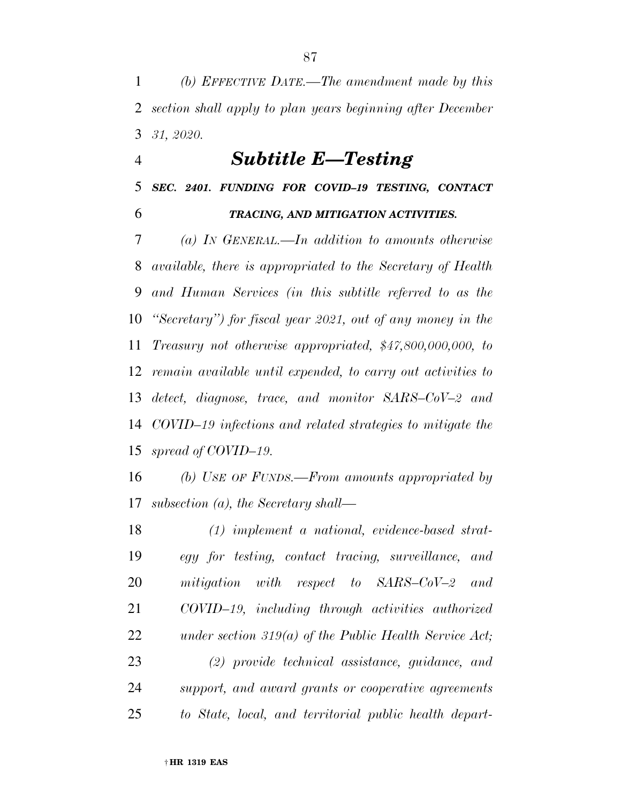*(b) EFFECTIVE DATE.—The amendment made by this section shall apply to plan years beginning after December 31, 2020.* 

### *Subtitle E—Testing*

*SEC. 2401. FUNDING FOR COVID–19 TESTING, CONTACT* 

### *TRACING, AND MITIGATION ACTIVITIES.*

 *(a) IN GENERAL.—In addition to amounts otherwise available, there is appropriated to the Secretary of Health and Human Services (in this subtitle referred to as the ''Secretary'') for fiscal year 2021, out of any money in the Treasury not otherwise appropriated, \$47,800,000,000, to remain available until expended, to carry out activities to detect, diagnose, trace, and monitor SARS–CoV–2 and COVID–19 infections and related strategies to mitigate the spread of COVID–19.* 

 *(b) USE OF FUNDS.—From amounts appropriated by subsection (a), the Secretary shall—* 

 *(1) implement a national, evidence-based strat- egy for testing, contact tracing, surveillance, and mitigation with respect to SARS–CoV–2 and COVID–19, including through activities authorized under section 319(a) of the Public Health Service Act; (2) provide technical assistance, guidance, and support, and award grants or cooperative agreements to State, local, and territorial public health depart-*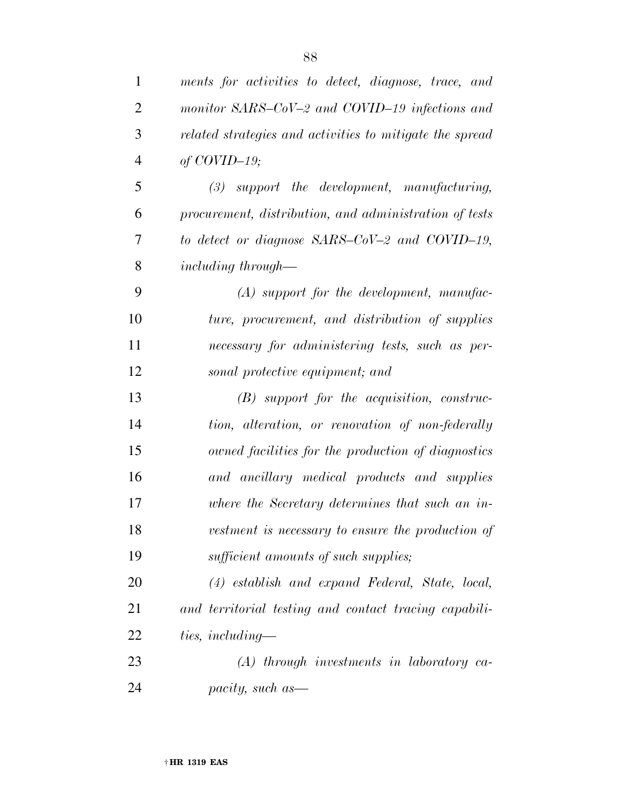| $\mathbf{1}$   | ments for activities to detect, diagnose, trace, and     |
|----------------|----------------------------------------------------------|
| $\overline{2}$ | monitor SARS-CoV-2 and COVID-19 infections and           |
| 3              | related strategies and activities to mitigate the spread |
| $\overline{4}$ | of $COVID-19$ ;                                          |
| 5              | $(3)$ support the development, manufacturing,            |
| 6              | procurement, distribution, and administration of tests   |
| 7              | to detect or diagnose SARS-CoV-2 and COVID-19,           |
| 8              | <i>including through—</i>                                |
| 9              | $(A)$ support for the development, manufac-              |
| 10             | ture, procurement, and distribution of supplies          |
| 11             | necessary for administering tests, such as per-          |
| 12             | sonal protective equipment; and                          |
| 13             | $(B)$ support for the acquisition, construc-             |
| 14             | tion, alteration, or renovation of non-federally         |
| 15             | owned facilities for the production of diagnostics       |
| 16             | and ancillary medical products and supplies              |
| 17             | where the Secretary determines that such an in-          |
| 18             | vestment is necessary to ensure the production of        |
| 19             | sufficient amounts of such supplies;                     |
| 20             | $(4)$ establish and expand Federal, State, local,        |
| 21             | and territorial testing and contact tracing capabili-    |
| 22             | ties, including—                                         |
| 23             | $(A)$ through investments in laboratory ca-              |
| 24             | pacity, such as—                                         |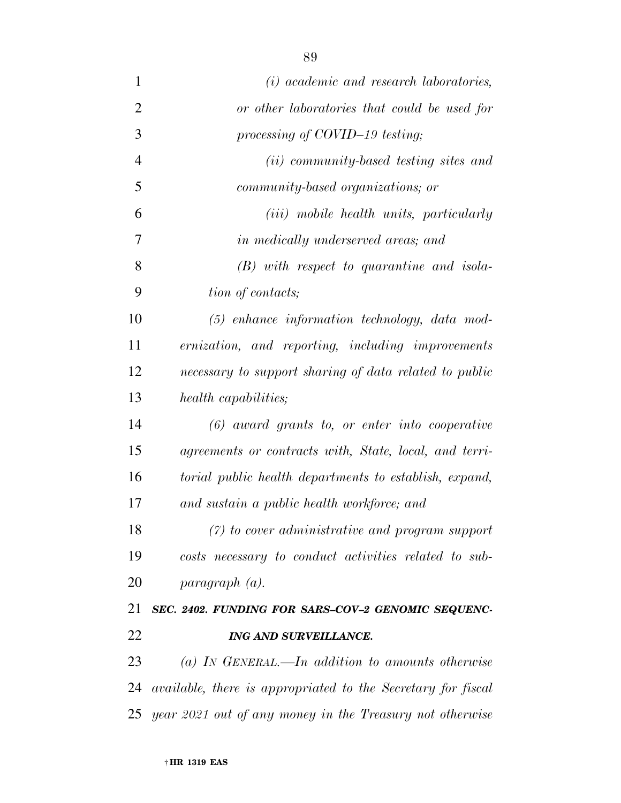*(i) academic and research laboratories, or other laboratories that could be used for processing of COVID–19 testing; (ii) community-based testing sites and community-based organizations; or (iii) mobile health units, particularly in medically underserved areas; and (B) with respect to quarantine and isola-tion of contacts;* 

 *(5) enhance information technology, data mod- ernization, and reporting, including improvements necessary to support sharing of data related to public health capabilities;* 

 *(6) award grants to, or enter into cooperative agreements or contracts with, State, local, and terri- torial public health departments to establish, expand, and sustain a public health workforce; and* 

 *(7) to cover administrative and program support costs necessary to conduct activities related to sub-paragraph (a).* 

# *SEC. 2402. FUNDING FOR SARS–COV–2 GENOMIC SEQUENC-ING AND SURVEILLANCE.*

 *(a) IN GENERAL.—In addition to amounts otherwise available, there is appropriated to the Secretary for fiscal year 2021 out of any money in the Treasury not otherwise*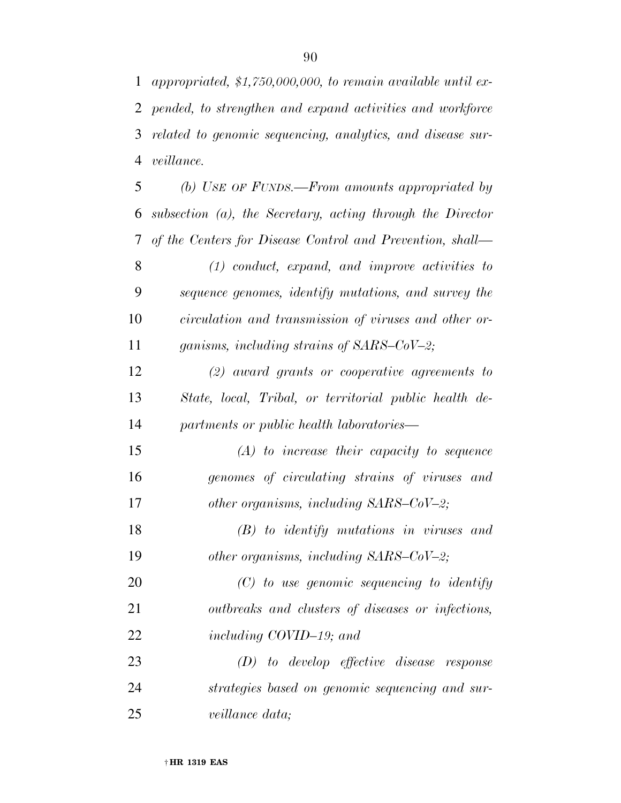*appropriated, \$1,750,000,000, to remain available until ex- pended, to strengthen and expand activities and workforce related to genomic sequencing, analytics, and disease sur-veillance.* 

 *(b) USE OF FUNDS.—From amounts appropriated by subsection (a), the Secretary, acting through the Director of the Centers for Disease Control and Prevention, shall— (1) conduct, expand, and improve activities to sequence genomes, identify mutations, and survey the circulation and transmission of viruses and other or- ganisms, including strains of SARS–CoV–2; (2) award grants or cooperative agreements to State, local, Tribal, or territorial public health de- partments or public health laboratories— (A) to increase their capacity to sequence genomes of circulating strains of viruses and other organisms, including SARS–CoV–2; (B) to identify mutations in viruses and other organisms, including SARS–CoV–2; (C) to use genomic sequencing to identify outbreaks and clusters of diseases or infections, including COVID–19; and (D) to develop effective disease response strategies based on genomic sequencing and sur-veillance data;*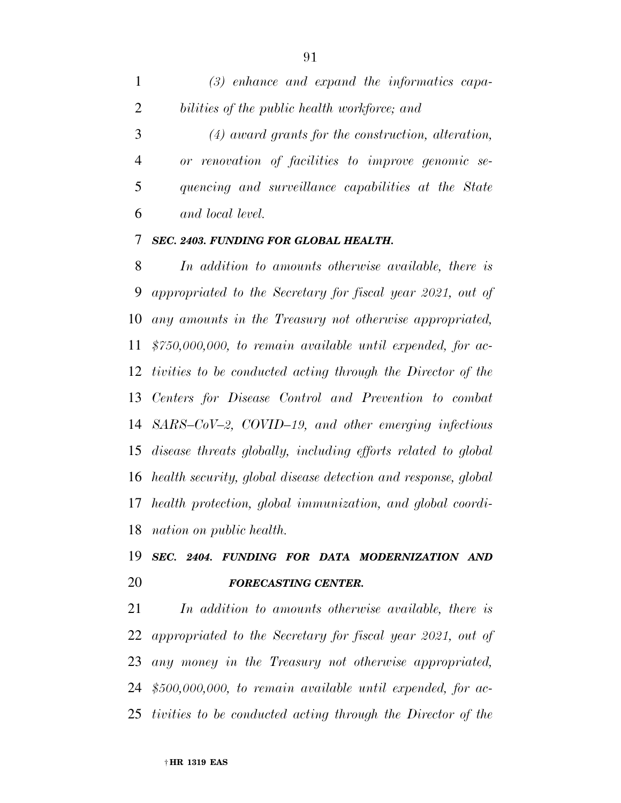*(3) enhance and expand the informatics capa- bilities of the public health workforce; and (4) award grants for the construction, alteration, or renovation of facilities to improve genomic se-*

 *quencing and surveillance capabilities at the State and local level.* 

### *SEC. 2403. FUNDING FOR GLOBAL HEALTH.*

 *In addition to amounts otherwise available, there is appropriated to the Secretary for fiscal year 2021, out of any amounts in the Treasury not otherwise appropriated, \$750,000,000, to remain available until expended, for ac- tivities to be conducted acting through the Director of the Centers for Disease Control and Prevention to combat SARS–CoV–2, COVID–19, and other emerging infectious disease threats globally, including efforts related to global health security, global disease detection and response, global health protection, global immunization, and global coordi-nation on public health.* 

# *SEC. 2404. FUNDING FOR DATA MODERNIZATION AND FORECASTING CENTER.*

 *In addition to amounts otherwise available, there is appropriated to the Secretary for fiscal year 2021, out of any money in the Treasury not otherwise appropriated, \$500,000,000, to remain available until expended, for ac-tivities to be conducted acting through the Director of the*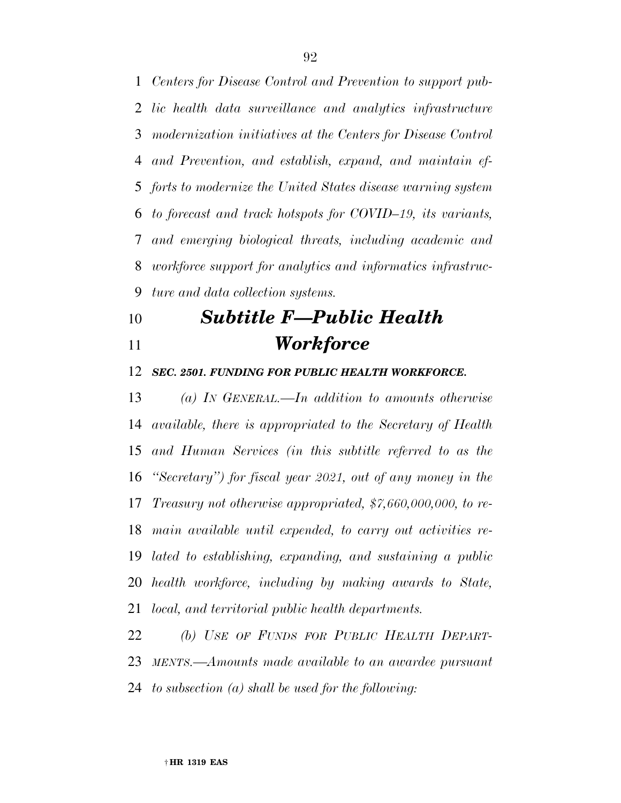*Centers for Disease Control and Prevention to support pub- lic health data surveillance and analytics infrastructure modernization initiatives at the Centers for Disease Control and Prevention, and establish, expand, and maintain ef- forts to modernize the United States disease warning system to forecast and track hotspots for COVID–19, its variants, and emerging biological threats, including academic and workforce support for analytics and informatics infrastruc-ture and data collection systems.* 

# *Subtitle F—Public Health Workforce*

*SEC. 2501. FUNDING FOR PUBLIC HEALTH WORKFORCE.* 

 *(a) IN GENERAL.—In addition to amounts otherwise available, there is appropriated to the Secretary of Health and Human Services (in this subtitle referred to as the ''Secretary'') for fiscal year 2021, out of any money in the Treasury not otherwise appropriated, \$7,660,000,000, to re- main available until expended, to carry out activities re- lated to establishing, expanding, and sustaining a public health workforce, including by making awards to State, local, and territorial public health departments.* 

 *(b) USE OF FUNDS FOR PUBLIC HEALTH DEPART- MENTS.—Amounts made available to an awardee pursuant to subsection (a) shall be used for the following:*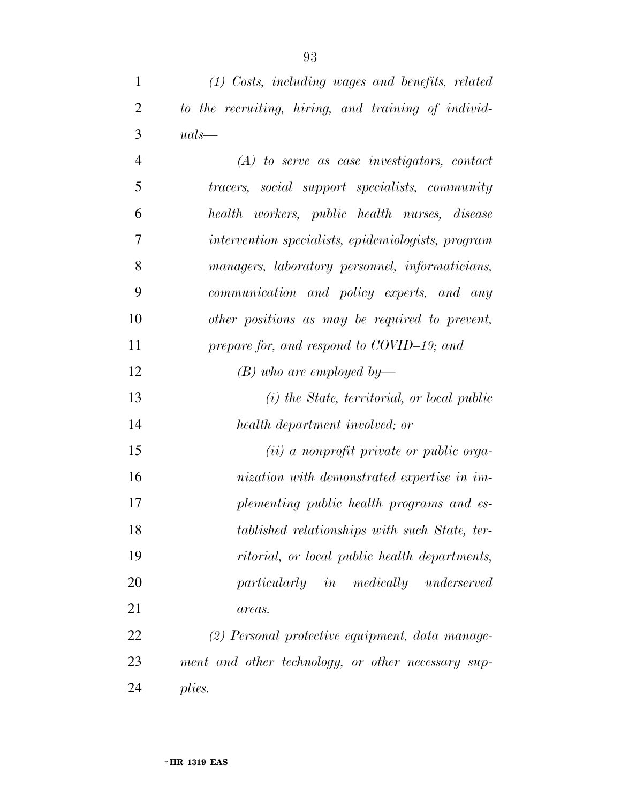| $\mathbf{1}$   | (1) Costs, including wages and benefits, related      |
|----------------|-------------------------------------------------------|
| $\overline{2}$ | to the recruiting, hiring, and training of individ-   |
| 3              | $uals$ —                                              |
| $\overline{4}$ | $(A)$ to serve as case investigators, contact         |
| 5              | <i>tracers, social support specialists, community</i> |
| 6              | health workers, public health nurses, disease         |
| 7              | intervention specialists, epidemiologists, program    |
| 8              | managers, laboratory personnel, informaticians,       |
| 9              | communication and policy experts, and any             |
| 10             | other positions as may be required to prevent,        |
| 11             | prepare for, and respond to COVID-19; and             |
| 12             | $(B)$ who are employed by—                            |
| 13             | (i) the State, territorial, or local public           |
| 14             | health department involved; or                        |

 *(ii) a nonprofit private or public orga- nization with demonstrated expertise in im- plementing public health programs and es- tablished relationships with such State, ter- ritorial, or local public health departments, particularly in medically underserved areas.* 

 *(2) Personal protective equipment, data manage- ment and other technology, or other necessary sup-plies.*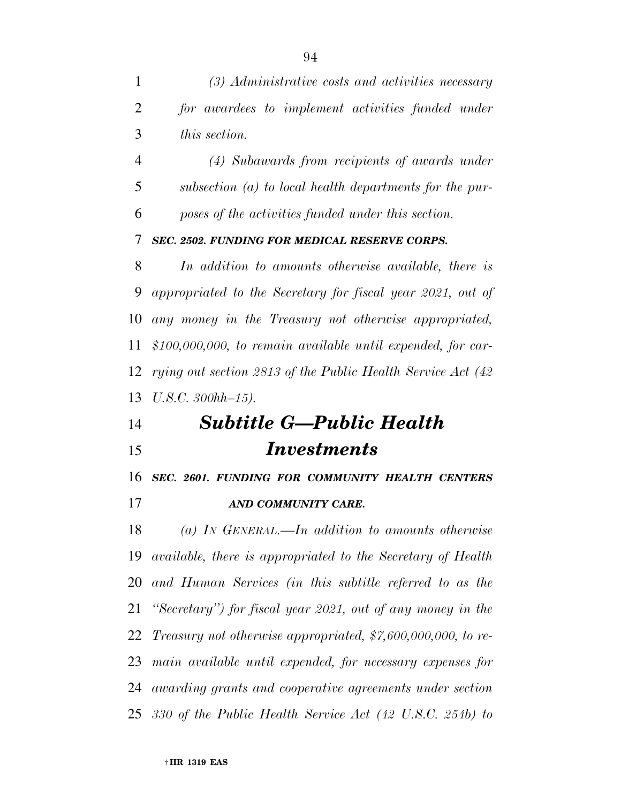*(3) Administrative costs and activities necessary for awardees to implement activities funded under this section.* 

 *(4) Subawards from recipients of awards under subsection (a) to local health departments for the pur-poses of the activities funded under this section.* 

### *SEC. 2502. FUNDING FOR MEDICAL RESERVE CORPS.*

 *In addition to amounts otherwise available, there is appropriated to the Secretary for fiscal year 2021, out of any money in the Treasury not otherwise appropriated, \$100,000,000, to remain available until expended, for car- rying out section 2813 of the Public Health Service Act (42 U.S.C. 300hh–15).* 

# *Subtitle G—Public Health Investments*

*SEC. 2601. FUNDING FOR COMMUNITY HEALTH CENTERS* 

*AND COMMUNITY CARE.* 

 *(a) IN GENERAL.—In addition to amounts otherwise available, there is appropriated to the Secretary of Health and Human Services (in this subtitle referred to as the ''Secretary'') for fiscal year 2021, out of any money in the Treasury not otherwise appropriated, \$7,600,000,000, to re- main available until expended, for necessary expenses for awarding grants and cooperative agreements under section 330 of the Public Health Service Act (42 U.S.C. 254b) to*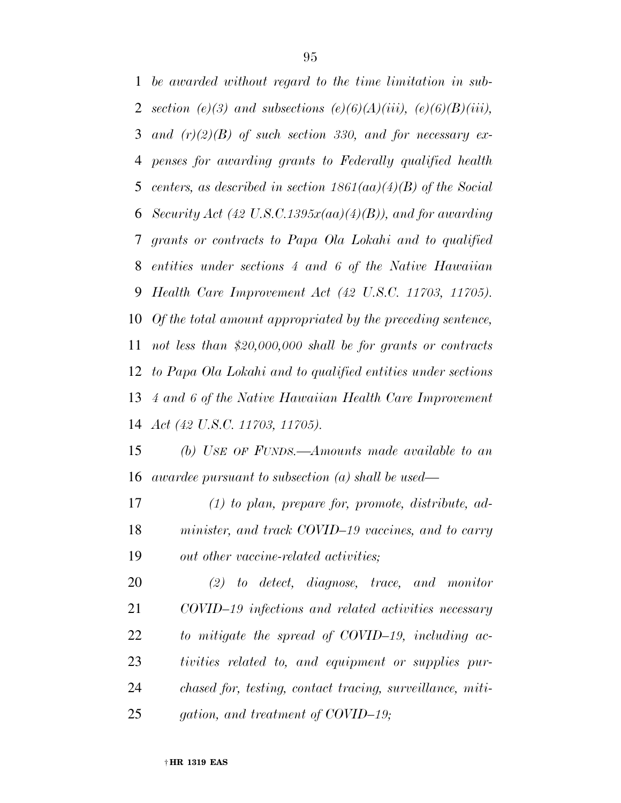*be awarded without regard to the time limitation in sub-section* (e)(3) and subsections (e)(6)(A)(iii), (e)(6)(B)(iii), *and (r)(2)(B) of such section 330, and for necessary ex- penses for awarding grants to Federally qualified health centers, as described in section 1861(aa)(4)(B) of the Social Security Act (42 U.S.C.1395x(aa)(4)(B)), and for awarding grants or contracts to Papa Ola Lokahi and to qualified entities under sections 4 and 6 of the Native Hawaiian Health Care Improvement Act (42 U.S.C. 11703, 11705). Of the total amount appropriated by the preceding sentence, not less than \$20,000,000 shall be for grants or contracts to Papa Ola Lokahi and to qualified entities under sections 4 and 6 of the Native Hawaiian Health Care Improvement Act (42 U.S.C. 11703, 11705).* 

 *(b) USE OF FUNDS.—Amounts made available to an awardee pursuant to subsection (a) shall be used—* 

 *(1) to plan, prepare for, promote, distribute, ad- minister, and track COVID–19 vaccines, and to carry out other vaccine-related activities;* 

 *(2) to detect, diagnose, trace, and monitor COVID–19 infections and related activities necessary to mitigate the spread of COVID–19, including ac- tivities related to, and equipment or supplies pur- chased for, testing, contact tracing, surveillance, miti-gation, and treatment of COVID–19;*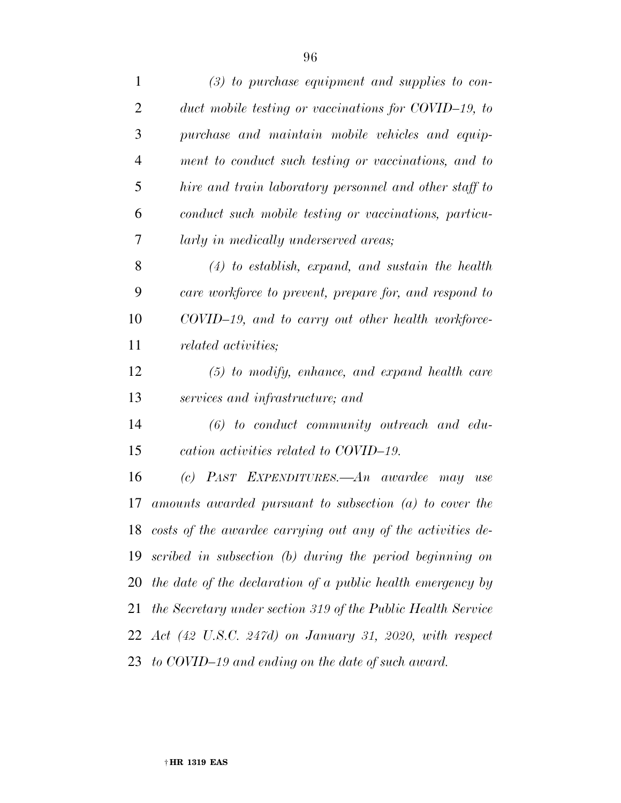| $\mathbf{1}$   | $(3)$ to purchase equipment and supplies to con-                     |
|----------------|----------------------------------------------------------------------|
| $\overline{2}$ | duct mobile testing or vaccinations for COVID-19, to                 |
| 3              | purchase and maintain mobile vehicles and equip-                     |
| $\overline{4}$ | ment to conduct such testing or vaccinations, and to                 |
| 5              | hire and train laboratory personnel and other staff to               |
| 6              | conduct such mobile testing or vaccinations, particu-                |
| 7              | larly in medically underserved areas;                                |
| 8              | $(4)$ to establish, expand, and sustain the health                   |
| 9              | care workforce to prevent, prepare for, and respond to               |
| 10             | COVID-19, and to carry out other health workforce-                   |
| 11             | <i>related activities</i> ;                                          |
| 12             | $(5)$ to modify, enhance, and expand health care                     |
| 13             | services and infrastructure; and                                     |
| 14             | $(6)$ to conduct community outreach and edu-                         |
| 15             | cation activities related to COVID-19.                               |
| 16             | (c) PAST EXPENDITURES.—An awardee may<br>use                         |
| 17             | amounts awarded pursuant to subsection $(a)$ to cover the            |
|                | 18 costs of the awardee carrying out any of the activities de-       |
| 19             | scribed in subsection (b) during the period beginning on             |
| 20             | the date of the declaration of a public health emergency by          |
| 21             | the Secretary under section 319 of the Public Health Service         |
|                | 22 Act $(42 \text{ U.S.C. } 247d)$ on January 31, 2020, with respect |
| 23             | to COVID-19 and ending on the date of such award.                    |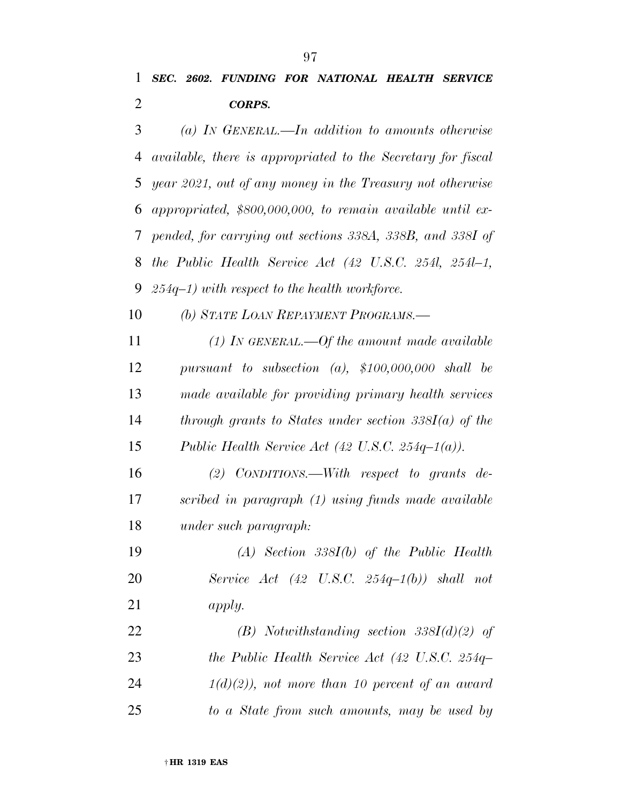*(a) IN GENERAL.—In addition to amounts otherwise available, there is appropriated to the Secretary for fiscal year 2021, out of any money in the Treasury not otherwise appropriated, \$800,000,000, to remain available until ex- pended, for carrying out sections 338A, 338B, and 338I of the Public Health Service Act (42 U.S.C. 254l, 254l–1, 254q–1) with respect to the health workforce.* 

*(b) STATE LOAN REPAYMENT PROGRAMS.—* 

 *(1) IN GENERAL.—Of the amount made available pursuant to subsection (a), \$100,000,000 shall be made available for providing primary health services through grants to States under section 338I(a) of the Public Health Service Act (42 U.S.C. 254q–1(a)).* 

 *(2) CONDITIONS.—With respect to grants de- scribed in paragraph (1) using funds made available under such paragraph:* 

 *(A) Section 338I(b) of the Public Health Service Act (42 U.S.C. 254q–1(b)) shall not apply.* 

 *(B) Notwithstanding section 338I(d)(2) of the Public Health Service Act (42 U.S.C. 254q– 1(d)(2)), not more than 10 percent of an award to a State from such amounts, may be used by*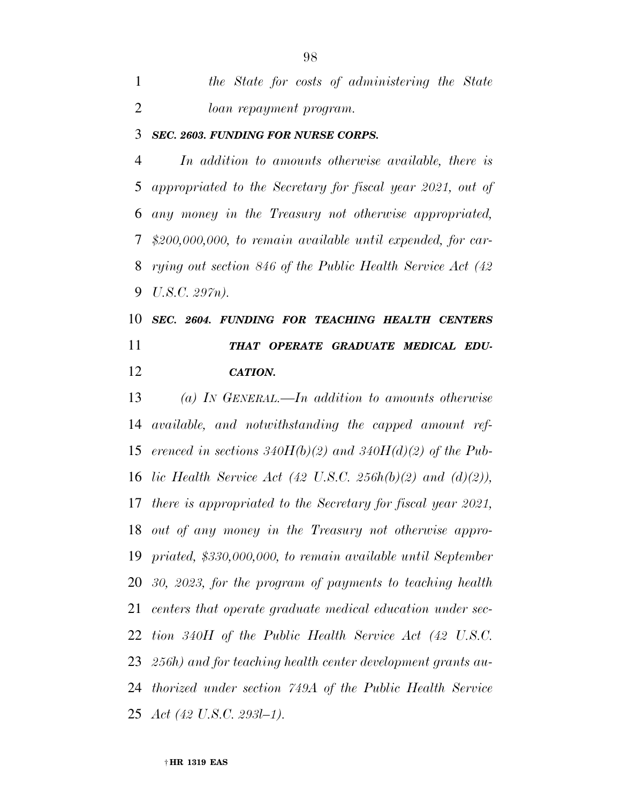*the State for costs of administering the State loan repayment program.* 

#### *SEC. 2603. FUNDING FOR NURSE CORPS.*

 *In addition to amounts otherwise available, there is appropriated to the Secretary for fiscal year 2021, out of any money in the Treasury not otherwise appropriated, \$200,000,000, to remain available until expended, for car- rying out section 846 of the Public Health Service Act (42 U.S.C. 297n).* 

# *SEC. 2604. FUNDING FOR TEACHING HEALTH CENTERS THAT OPERATE GRADUATE MEDICAL EDU-CATION.*

 *(a) IN GENERAL.—In addition to amounts otherwise available, and notwithstanding the capped amount ref- erenced in sections 340H(b)(2) and 340H(d)(2) of the Pub- lic Health Service Act (42 U.S.C. 256h(b)(2) and (d)(2)), there is appropriated to the Secretary for fiscal year 2021, out of any money in the Treasury not otherwise appro- priated, \$330,000,000, to remain available until September 30, 2023, for the program of payments to teaching health centers that operate graduate medical education under sec- tion 340H of the Public Health Service Act (42 U.S.C. 256h) and for teaching health center development grants au- thorized under section 749A of the Public Health Service Act (42 U.S.C. 293l–1).*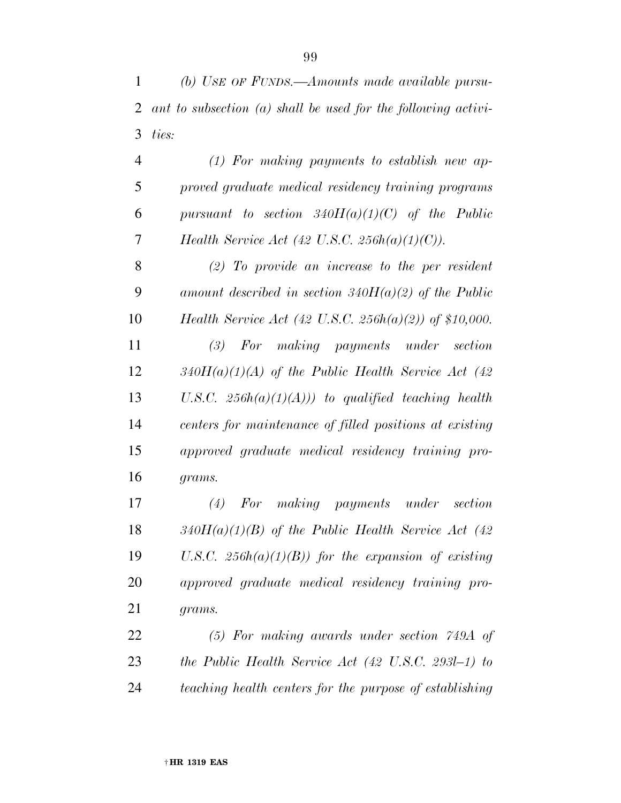*(b) USE OF FUNDS.—Amounts made available pursu- ant to subsection (a) shall be used for the following activi-ties:* 

 *(1) For making payments to establish new ap- proved graduate medical residency training programs pursuant to section 340H(a)(1)(C) of the Public Health Service Act (42 U.S.C. 256h(a)(1)(C)).* 

 *(2) To provide an increase to the per resident amount described in section 340H(a)(2) of the Public Health Service Act (42 U.S.C. 256h(a)(2)) of \$10,000.* 

 *(3) For making payments under section 340H(a)(1)(A) of the Public Health Service Act (42 U.S.C. 256h(a)(1)(A))) to qualified teaching health centers for maintenance of filled positions at existing approved graduate medical residency training pro-grams.* 

 *(4) For making payments under section 340H(a)(1)(B) of the Public Health Service Act (42 U.S.C. 256h(a)(1)(B)) for the expansion of existing approved graduate medical residency training pro-grams.* 

 *(5) For making awards under section 749A of the Public Health Service Act (42 U.S.C. 293l–1) to teaching health centers for the purpose of establishing*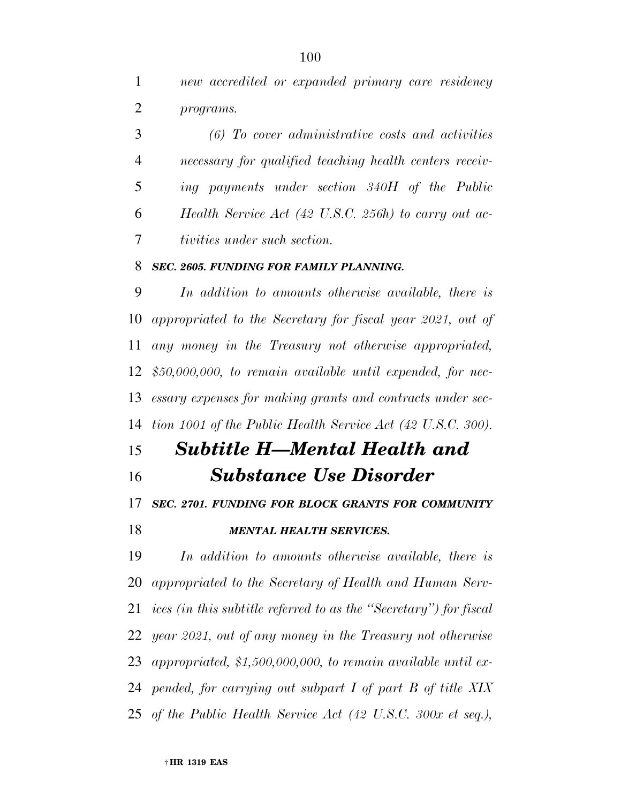*new accredited or expanded primary care residency programs.* 

 *(6) To cover administrative costs and activities necessary for qualified teaching health centers receiv- ing payments under section 340H of the Public Health Service Act (42 U.S.C. 256h) to carry out ac-tivities under such section.* 

#### *SEC. 2605. FUNDING FOR FAMILY PLANNING.*

 *In addition to amounts otherwise available, there is appropriated to the Secretary for fiscal year 2021, out of any money in the Treasury not otherwise appropriated, \$50,000,000, to remain available until expended, for nec- essary expenses for making grants and contracts under sec-tion 1001 of the Public Health Service Act (42 U.S.C. 300).* 

# *Subtitle H—Mental Health and*

*Substance Use Disorder* 

### *SEC. 2701. FUNDING FOR BLOCK GRANTS FOR COMMUNITY*

### *MENTAL HEALTH SERVICES.*

 *In addition to amounts otherwise available, there is appropriated to the Secretary of Health and Human Serv- ices (in this subtitle referred to as the ''Secretary'') for fiscal year 2021, out of any money in the Treasury not otherwise appropriated, \$1,500,000,000, to remain available until ex- pended, for carrying out subpart I of part B of title XIX of the Public Health Service Act (42 U.S.C. 300x et seq.),*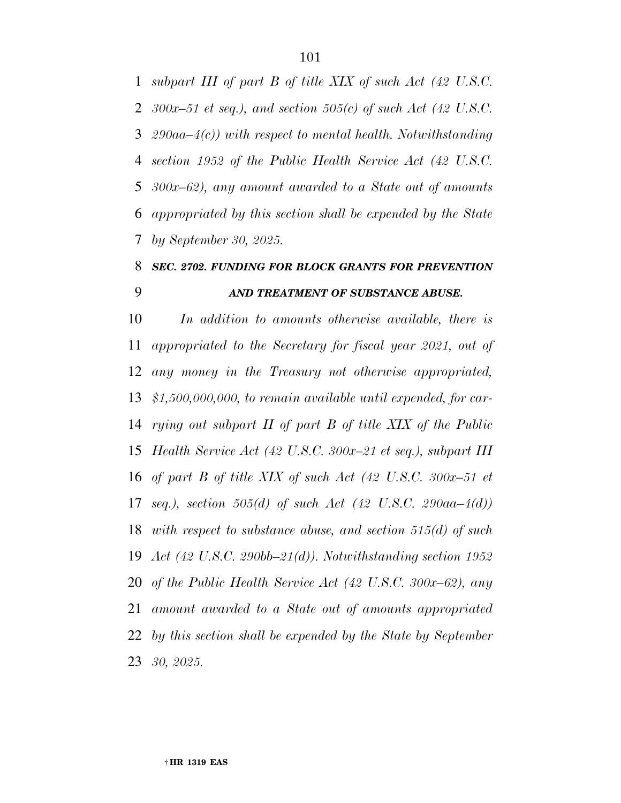*subpart III of part B of title XIX of such Act (42 U.S.C. 300x–51 et seq.), and section 505(c) of such Act (42 U.S.C. 290aa–4(c)) with respect to mental health. Notwithstanding section 1952 of the Public Health Service Act (42 U.S.C. 300x–62), any amount awarded to a State out of amounts appropriated by this section shall be expended by the State by September 30, 2025.* 

# *SEC. 2702. FUNDING FOR BLOCK GRANTS FOR PREVENTION AND TREATMENT OF SUBSTANCE ABUSE.*

 *In addition to amounts otherwise available, there is appropriated to the Secretary for fiscal year 2021, out of any money in the Treasury not otherwise appropriated, \$1,500,000,000, to remain available until expended, for car- rying out subpart II of part B of title XIX of the Public Health Service Act (42 U.S.C. 300x–21 et seq.), subpart III of part B of title XIX of such Act (42 U.S.C. 300x–51 et seq.), section 505(d) of such Act (42 U.S.C. 290aa–4(d)) with respect to substance abuse, and section 515(d) of such Act (42 U.S.C. 290bb–21(d)). Notwithstanding section 1952 of the Public Health Service Act (42 U.S.C. 300x–62), any amount awarded to a State out of amounts appropriated by this section shall be expended by the State by September 30, 2025.*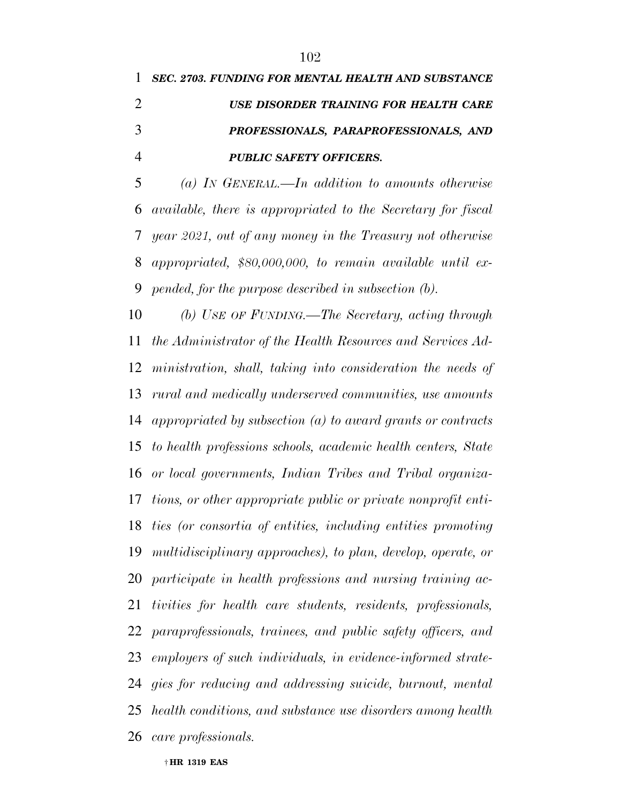*SEC. 2703. FUNDING FOR MENTAL HEALTH AND SUBSTANCE USE DISORDER TRAINING FOR HEALTH CARE PROFESSIONALS, PARAPROFESSIONALS, AND PUBLIC SAFETY OFFICERS.* 

 *(a) IN GENERAL.—In addition to amounts otherwise available, there is appropriated to the Secretary for fiscal year 2021, out of any money in the Treasury not otherwise appropriated, \$80,000,000, to remain available until ex-pended, for the purpose described in subsection (b).* 

 *(b) USE OF FUNDING.—The Secretary, acting through the Administrator of the Health Resources and Services Ad- ministration, shall, taking into consideration the needs of rural and medically underserved communities, use amounts appropriated by subsection (a) to award grants or contracts to health professions schools, academic health centers, State or local governments, Indian Tribes and Tribal organiza- tions, or other appropriate public or private nonprofit enti- ties (or consortia of entities, including entities promoting multidisciplinary approaches), to plan, develop, operate, or participate in health professions and nursing training ac- tivities for health care students, residents, professionals, paraprofessionals, trainees, and public safety officers, and employers of such individuals, in evidence-informed strate- gies for reducing and addressing suicide, burnout, mental health conditions, and substance use disorders among health care professionals.* 

† **HR 1319 EAS**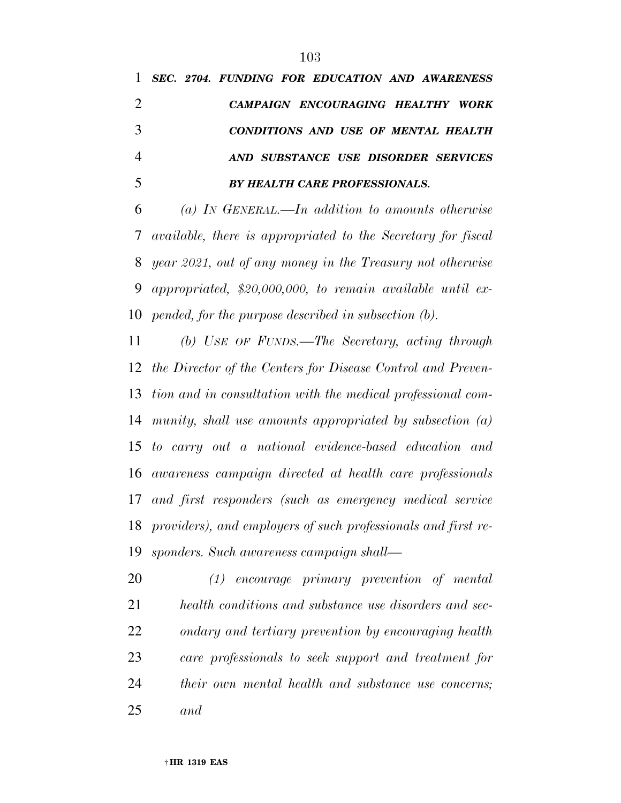*SEC. 2704. FUNDING FOR EDUCATION AND AWARENESS CAMPAIGN ENCOURAGING HEALTHY WORK CONDITIONS AND USE OF MENTAL HEALTH AND SUBSTANCE USE DISORDER SERVICES BY HEALTH CARE PROFESSIONALS.* 

 *(a) IN GENERAL.—In addition to amounts otherwise available, there is appropriated to the Secretary for fiscal year 2021, out of any money in the Treasury not otherwise appropriated, \$20,000,000, to remain available until ex-pended, for the purpose described in subsection (b).* 

 *(b) USE OF FUNDS.—The Secretary, acting through the Director of the Centers for Disease Control and Preven- tion and in consultation with the medical professional com- munity, shall use amounts appropriated by subsection (a) to carry out a national evidence-based education and awareness campaign directed at health care professionals and first responders (such as emergency medical service providers), and employers of such professionals and first re-sponders. Such awareness campaign shall—* 

 *(1) encourage primary prevention of mental health conditions and substance use disorders and sec- ondary and tertiary prevention by encouraging health care professionals to seek support and treatment for their own mental health and substance use concerns; and*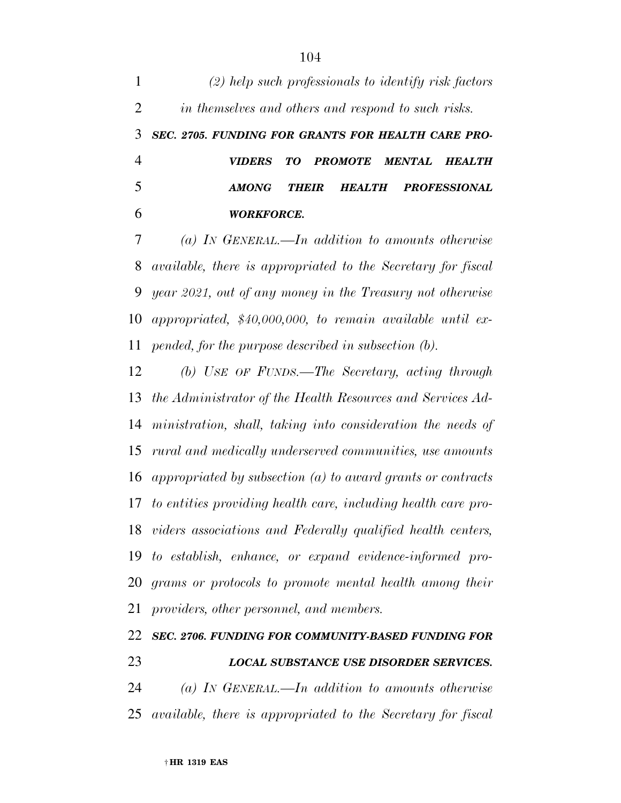*(2) help such professionals to identify risk factors in themselves and others and respond to such risks. SEC. 2705. FUNDING FOR GRANTS FOR HEALTH CARE PRO- VIDERS TO PROMOTE MENTAL HEALTH AMONG THEIR HEALTH PROFESSIONAL WORKFORCE. (a) IN GENERAL.—In addition to amounts otherwise* 

 *available, there is appropriated to the Secretary for fiscal year 2021, out of any money in the Treasury not otherwise appropriated, \$40,000,000, to remain available until ex-pended, for the purpose described in subsection (b).* 

 *(b) USE OF FUNDS.—The Secretary, acting through the Administrator of the Health Resources and Services Ad- ministration, shall, taking into consideration the needs of rural and medically underserved communities, use amounts appropriated by subsection (a) to award grants or contracts to entities providing health care, including health care pro- viders associations and Federally qualified health centers, to establish, enhance, or expand evidence-informed pro- grams or protocols to promote mental health among their providers, other personnel, and members.* 

# *SEC. 2706. FUNDING FOR COMMUNITY-BASED FUNDING FOR LOCAL SUBSTANCE USE DISORDER SERVICES.*

 *(a) IN GENERAL.—In addition to amounts otherwise available, there is appropriated to the Secretary for fiscal*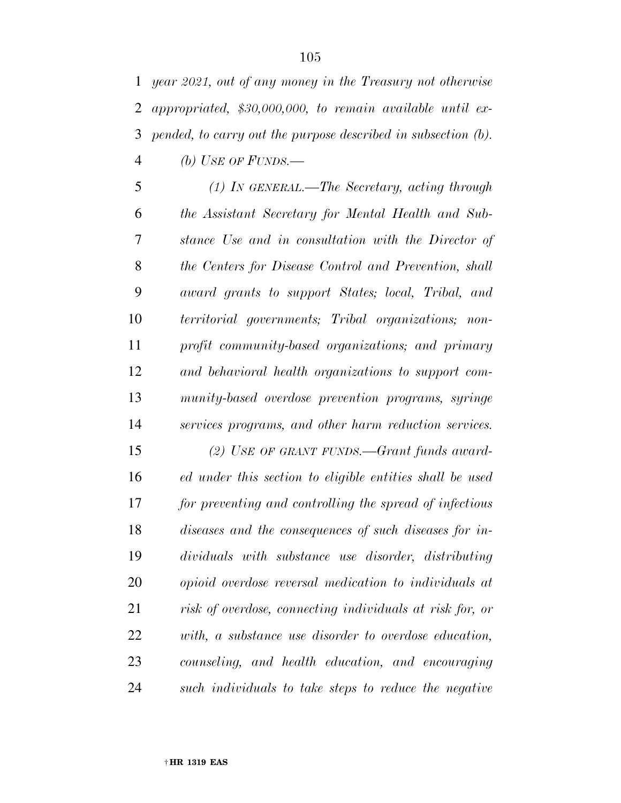*year 2021, out of any money in the Treasury not otherwise appropriated, \$30,000,000, to remain available until ex- pended, to carry out the purpose described in subsection (b). (b) USE OF FUNDS.—* 

 *(1) IN GENERAL.—The Secretary, acting through the Assistant Secretary for Mental Health and Sub- stance Use and in consultation with the Director of the Centers for Disease Control and Prevention, shall award grants to support States; local, Tribal, and territorial governments; Tribal organizations; non- profit community-based organizations; and primary and behavioral health organizations to support com- munity-based overdose prevention programs, syringe services programs, and other harm reduction services.* 

 *(2) USE OF GRANT FUNDS.—Grant funds award- ed under this section to eligible entities shall be used for preventing and controlling the spread of infectious diseases and the consequences of such diseases for in- dividuals with substance use disorder, distributing opioid overdose reversal medication to individuals at risk of overdose, connecting individuals at risk for, or with, a substance use disorder to overdose education, counseling, and health education, and encouraging such individuals to take steps to reduce the negative*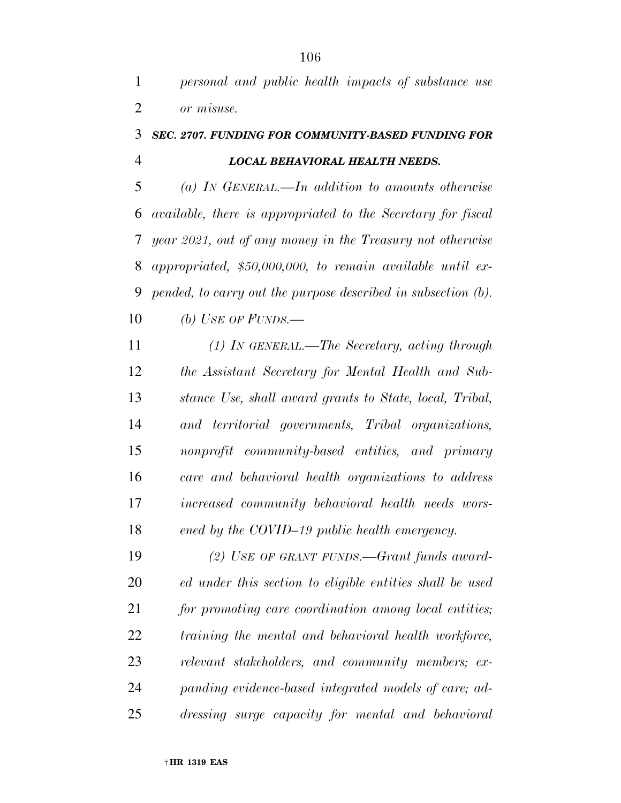*personal and public health impacts of substance use or misuse.* 

### *SEC. 2707. FUNDING FOR COMMUNITY-BASED FUNDING FOR LOCAL BEHAVIORAL HEALTH NEEDS.*

 *(a) IN GENERAL.—In addition to amounts otherwise available, there is appropriated to the Secretary for fiscal year 2021, out of any money in the Treasury not otherwise appropriated, \$50,000,000, to remain available until ex- pended, to carry out the purpose described in subsection (b). (b) USE OF FUNDS.—* 

 *(1) IN GENERAL.—The Secretary, acting through the Assistant Secretary for Mental Health and Sub- stance Use, shall award grants to State, local, Tribal, and territorial governments, Tribal organizations, nonprofit community-based entities, and primary care and behavioral health organizations to address increased community behavioral health needs wors-ened by the COVID–19 public health emergency.* 

 *(2) USE OF GRANT FUNDS.—Grant funds award- ed under this section to eligible entities shall be used for promoting care coordination among local entities; training the mental and behavioral health workforce, relevant stakeholders, and community members; ex- panding evidence-based integrated models of care; ad-dressing surge capacity for mental and behavioral*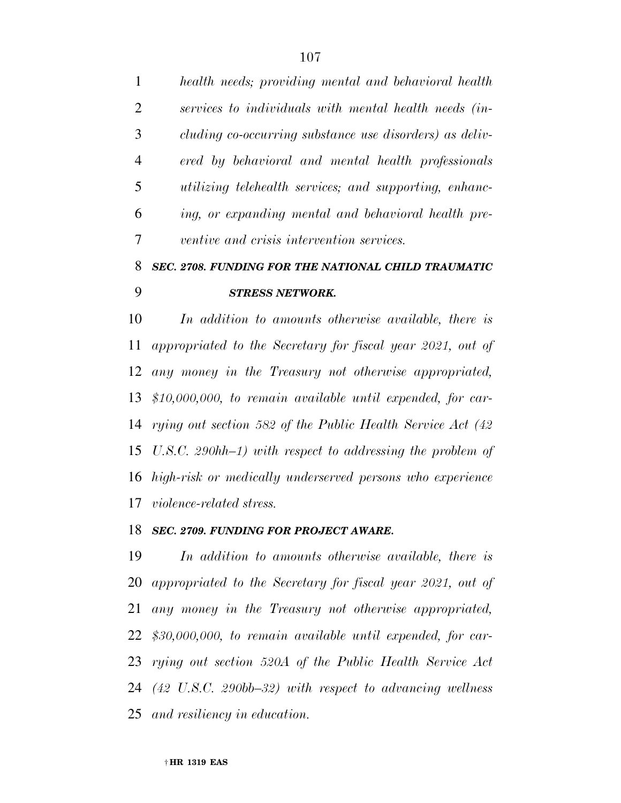*health needs; providing mental and behavioral health services to individuals with mental health needs (in- cluding co-occurring substance use disorders) as deliv- ered by behavioral and mental health professionals utilizing telehealth services; and supporting, enhanc- ing, or expanding mental and behavioral health pre-ventive and crisis intervention services.* 

## *SEC. 2708. FUNDING FOR THE NATIONAL CHILD TRAUMATIC STRESS NETWORK.*

 *In addition to amounts otherwise available, there is appropriated to the Secretary for fiscal year 2021, out of any money in the Treasury not otherwise appropriated, \$10,000,000, to remain available until expended, for car- rying out section 582 of the Public Health Service Act (42 U.S.C. 290hh–1) with respect to addressing the problem of high-risk or medically underserved persons who experience violence-related stress.* 

#### *SEC. 2709. FUNDING FOR PROJECT AWARE.*

 *In addition to amounts otherwise available, there is appropriated to the Secretary for fiscal year 2021, out of any money in the Treasury not otherwise appropriated, \$30,000,000, to remain available until expended, for car- rying out section 520A of the Public Health Service Act (42 U.S.C. 290bb–32) with respect to advancing wellness and resiliency in education.*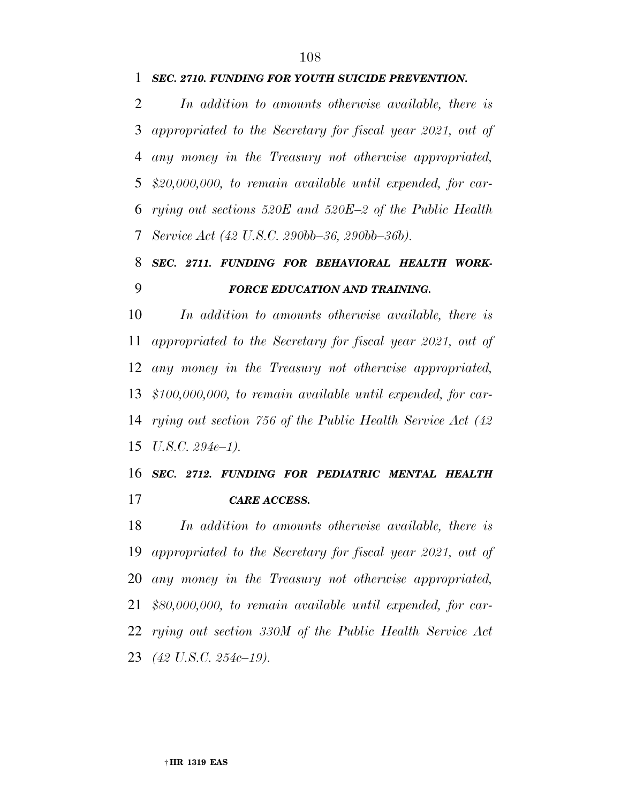*In addition to amounts otherwise available, there is appropriated to the Secretary for fiscal year 2021, out of any money in the Treasury not otherwise appropriated, \$20,000,000, to remain available until expended, for car- rying out sections 520E and 520E–2 of the Public Health Service Act (42 U.S.C. 290bb–36, 290bb–36b).* 

# *SEC. 2711. FUNDING FOR BEHAVIORAL HEALTH WORK-FORCE EDUCATION AND TRAINING.*

 *In addition to amounts otherwise available, there is appropriated to the Secretary for fiscal year 2021, out of any money in the Treasury not otherwise appropriated, \$100,000,000, to remain available until expended, for car- rying out section 756 of the Public Health Service Act (42 U.S.C. 294e–1).* 

### *SEC. 2712. FUNDING FOR PEDIATRIC MENTAL HEALTH CARE ACCESS.*

 *In addition to amounts otherwise available, there is appropriated to the Secretary for fiscal year 2021, out of any money in the Treasury not otherwise appropriated, \$80,000,000, to remain available until expended, for car- rying out section 330M of the Public Health Service Act (42 U.S.C. 254c–19).*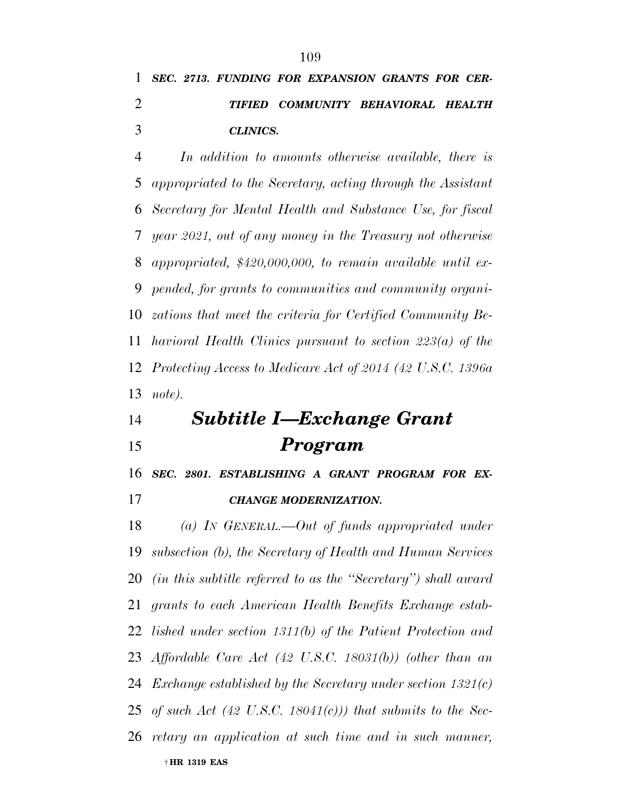*CLINICS.* 

 *In addition to amounts otherwise available, there is appropriated to the Secretary, acting through the Assistant Secretary for Mental Health and Substance Use, for fiscal year 2021, out of any money in the Treasury not otherwise appropriated, \$420,000,000, to remain available until ex- pended, for grants to communities and community organi- zations that meet the criteria for Certified Community Be- havioral Health Clinics pursuant to section 223(a) of the Protecting Access to Medicare Act of 2014 (42 U.S.C. 1396a note).* 

# *Subtitle I—Exchange Grant Program*

*SEC. 2801. ESTABLISHING A GRANT PROGRAM FOR EX-*

| 17 | <b>CHANGE MODERNIZATION.</b> |
|----|------------------------------|
|    |                              |

† **HR 1319 EAS**  *(a) IN GENERAL.—Out of funds appropriated under subsection (b), the Secretary of Health and Human Services (in this subtitle referred to as the ''Secretary'') shall award grants to each American Health Benefits Exchange estab- lished under section 1311(b) of the Patient Protection and Affordable Care Act (42 U.S.C. 18031(b)) (other than an Exchange established by the Secretary under section 1321(c) of such Act (42 U.S.C. 18041(c))) that submits to the Sec-retary an application at such time and in such manner,*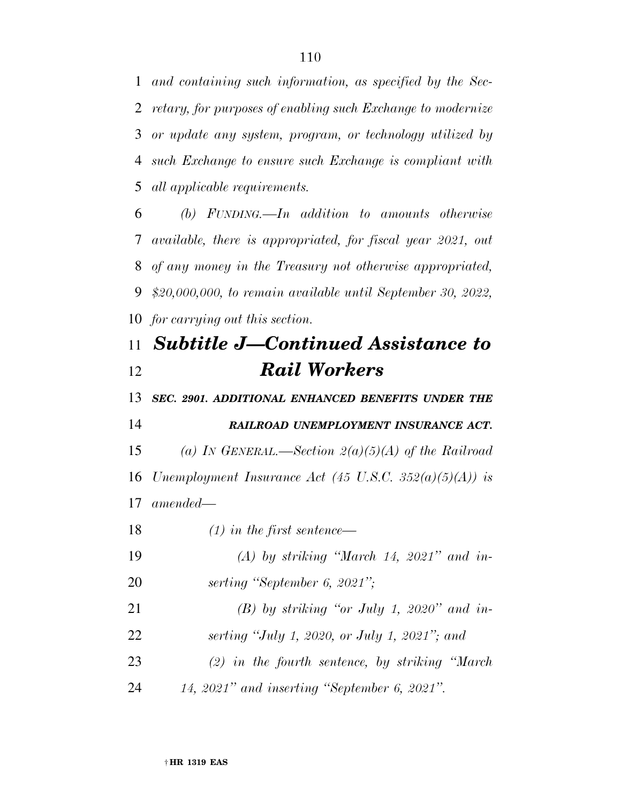*and containing such information, as specified by the Sec- retary, for purposes of enabling such Exchange to modernize or update any system, program, or technology utilized by such Exchange to ensure such Exchange is compliant with all applicable requirements.* 

 *(b) FUNDING.—In addition to amounts otherwise available, there is appropriated, for fiscal year 2021, out of any money in the Treasury not otherwise appropriated, \$20,000,000, to remain available until September 30, 2022, for carrying out this section.* 

## *Subtitle J—Continued Assistance to Rail Workers*

 *SEC. 2901. ADDITIONAL ENHANCED BENEFITS UNDER THE RAILROAD UNEMPLOYMENT INSURANCE ACT. (a) IN GENERAL.—Section 2(a)(5)(A) of the Railroad Unemployment Insurance Act (45 U.S.C. 352(a)(5)(A)) is amended—* 

*(1) in the first sentence—* 

- *(A) by striking ''March 14, 2021'' and in-serting ''September 6, 2021'';*
- *(B) by striking ''or July 1, 2020'' and in-serting ''July 1, 2020, or July 1, 2021''; and*
- *(2) in the fourth sentence, by striking ''March*
- *14, 2021'' and inserting ''September 6, 2021''.*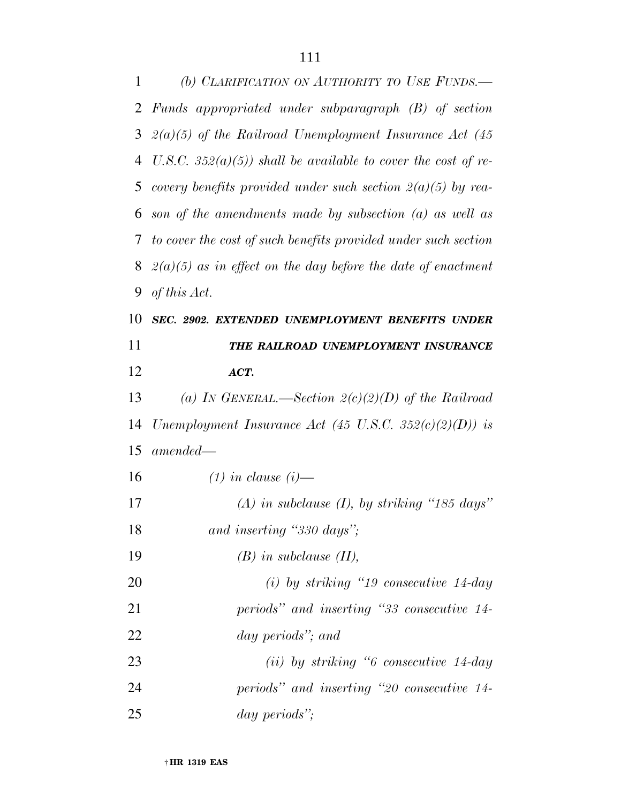| 1  | (b) CLARIFICATION ON AUTHORITY TO USE FUNDS.                   |
|----|----------------------------------------------------------------|
|    | 2 Funds appropriated under subparagraph (B) of section         |
| 3  | $2(a)(5)$ of the Railroad Unemployment Insurance Act (45)      |
| 4  | U.S.C. 352(a)(5)) shall be available to cover the cost of re-  |
| 5  | covery benefits provided under such section $2(a)(5)$ by rea-  |
| 6  | son of the amendments made by subsection $(a)$ as well as      |
| 7  | to cover the cost of such benefits provided under such section |
| 8  | $2(a)(5)$ as in effect on the day before the date of enactment |
| 9  | of this Act.                                                   |
| 10 | SEC. 2902. EXTENDED UNEMPLOYMENT BENEFITS UNDER                |
| 11 | THE RAILROAD UNEMPLOYMENT INSURANCE                            |
| 12 | ACT.                                                           |
| 13 | (a) IN GENERAL.—Section $2(c)(2)(D)$ of the Railroad           |
| 14 | Unemployment Insurance Act (45 U.S.C. 352 $(c)(2)(D)$ ) is     |
| 15 | $amended -$                                                    |
| 16 | $(1)$ in clause $(i)$ —                                        |
| 17 | (A) in subclause (I), by striking "185 days"                   |
| 18 | and inserting "330 days";                                      |
| 19 | $(B)$ in subclause $(II)$ ,                                    |
| 20 | $(i)$ by striking "19 consecutive 14-day"                      |
| 21 | periods" and inserting "33 consecutive 14-                     |
| 22 | day periods"; and                                              |
| 23 | $(ii)$ by striking "6 consecutive 14-day                       |
| 24 | periods" and inserting "20 consecutive 14-                     |
| 25 | day periods";                                                  |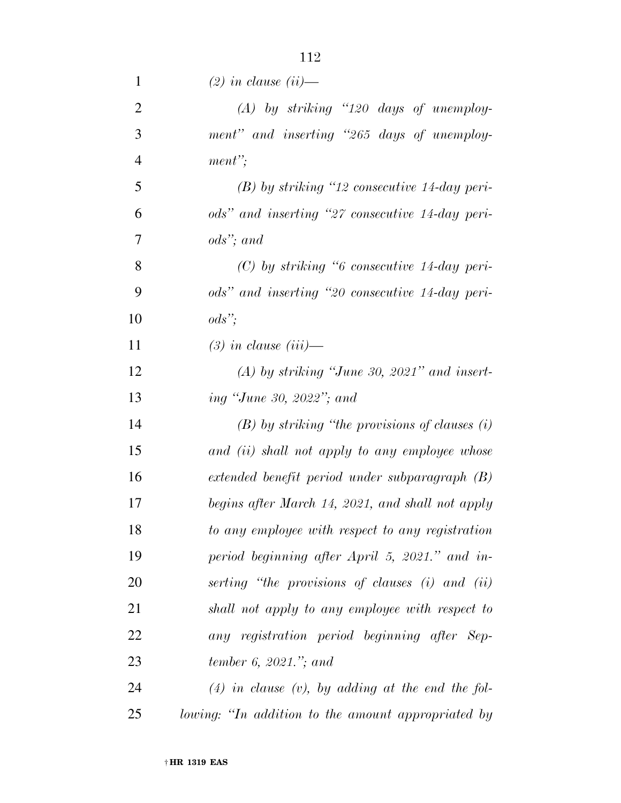| $\mathbf{1}$   | $(2)$ in clause $(ii)$ —                                                  |
|----------------|---------------------------------------------------------------------------|
| $\overline{2}$ | $(A)$ by striking "120 days of unemploy-                                  |
| 3              | ment" and inserting "265 days of unemploy-                                |
| $\overline{4}$ | $ment$ ";                                                                 |
| 5              | $(B)$ by striking "12 consecutive 14-day peri-                            |
| 6              | ods" and inserting "27 consecutive 14-day peri-                           |
| $\tau$         | ods"; and                                                                 |
| 8              | $(C)$ by striking "6 consecutive 14-day peri-                             |
| 9              | ods" and inserting "20 consecutive 14-day peri-                           |
| 10             | $\textit{ods}$ ";                                                         |
| 11             | $(3)$ in clause $(iii)$ —                                                 |
| 12             | $(A)$ by striking "June 30, 2021" and insert-                             |
| 13             | ing "June 30, 2022"; and                                                  |
| 14             | $(B)$ by striking "the provisions of clauses $(i)$                        |
| 15             | and (ii) shall not apply to any employee whose                            |
| 16             | $extended\,\,\, benefit\,\,\, period\,\,\, under\,\,subparagnoph\,\, (B)$ |
| 17             | begins after March 14, 2021, and shall not apply                          |
| 18             | to any employee with respect to any registration                          |
| 19             | period beginning after April 5, 2021." and in-                            |
| 20             | serting "the provisions of clauses (i) and (ii)                           |
| 21             | shall not apply to any employee with respect to                           |
| 22             | any registration period beginning after Sep-                              |
| 23             | tember 6, 2021."; and                                                     |
| 24             | $(4)$ in clause $(v)$ , by adding at the end the fol-                     |
| 25             | lowing: "In addition to the amount appropriated by                        |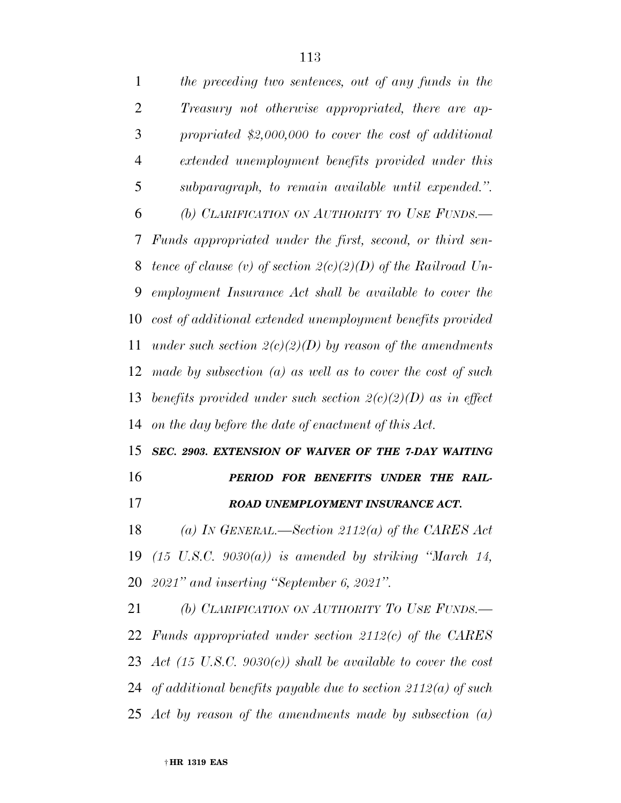| $\overline{2}$ | Treasury not otherwise appropriated, there are ap-                         |
|----------------|----------------------------------------------------------------------------|
| 3              | propriated $$2,000,000$ to cover the cost of additional                    |
| $\overline{4}$ | extended unemployment benefits provided under this                         |
| 5              | subparagraph, to remain available until expended.".                        |
| 6              | (b) CLARIFICATION ON AUTHORITY TO USE FUNDS.                               |
| 7              | Funds appropriated under the first, second, or third sen-                  |
| 8              | tence of clause (v) of section $2(c)(2)(D)$ of the Railroad Un-            |
| 9              | employment Insurance Act shall be available to cover the                   |
| 10             | cost of additional extended unemployment benefits provided                 |
| 11             | under such section $2(c)(2)(D)$ by reason of the amendments                |
| 12             | made by subsection $(a)$ as well as to cover the cost of such              |
| 13             | benefits provided under such section $2(c)(2)(D)$ as in effect             |
| 14             | on the day before the date of enactment of this Act.                       |
| 15             | SEC. 2903. EXTENSION OF WAIVER OF THE 7-DAY WAITING                        |
| 16             | PERIOD FOR BENEFITS UNDER THE RAIL-                                        |
| 17             | ROAD UNEMPLOYMENT INSURANCE ACT.                                           |
| 18             | (a) In GENERAL.—Section 2112(a) of the CARES Act                           |
| 19             | $(15 \text{ U.S.C. } 9030(a))$ is amended by striking "March 14,           |
| 20             | $2021$ " and inserting "September 6, 2021".                                |
| 21             | (b) CLARIFICATION ON AUTHORITY TO USE FUNDS.                               |
|                | 22 Funds appropriated under section $2112(c)$ of the CARES                 |
|                | 23 Act $(15 \text{ U.S.C. } 9030(c))$ shall be available to cover the cost |
|                | 24 of additional benefits payable due to section $2112(a)$ of such         |

*Act by reason of the amendments made by subsection (a)* 

*the preceding two sentences, out of any funds in the*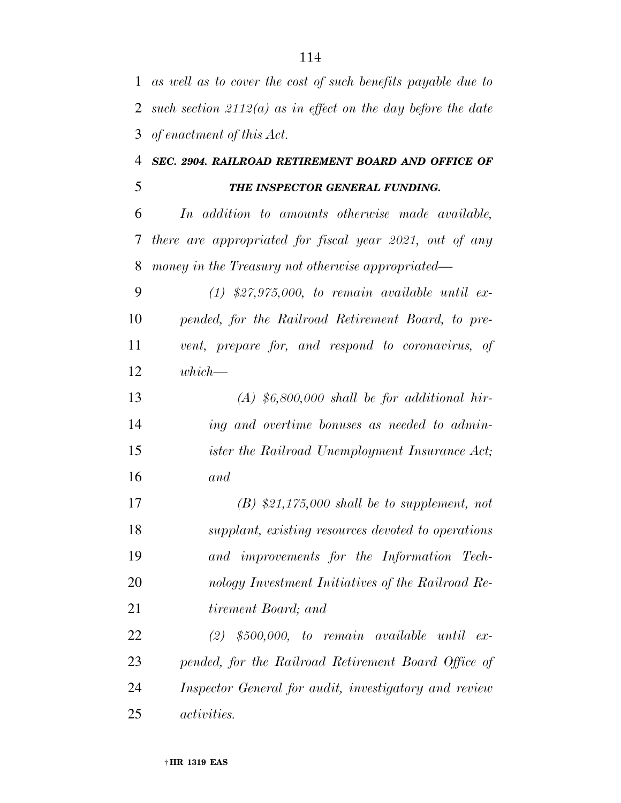| $\mathbf{1}$ | as well as to cover the cost of such benefits payable due to   |
|--------------|----------------------------------------------------------------|
| 2            | such section $2112(a)$ as in effect on the day before the date |
| 3            | of enactment of this Act.                                      |
| 4            | SEC. 2904. RAILROAD RETIREMENT BOARD AND OFFICE OF             |
| 5            | THE INSPECTOR GENERAL FUNDING.                                 |
| 6            | In addition to amounts otherwise made available,               |
| 7            | there are appropriated for fiscal year 2021, out of any        |
| 8            | money in the Treasury not otherwise appropriated—              |
| 9            | $(1)$ \$27,975,000, to remain available until ex-              |
| 10           | pended, for the Railroad Retirement Board, to pre-             |
| 11           | vent, prepare for, and respond to coronavirus, of              |
| 12           | which—                                                         |
| 13           | $(A)$ \$6,800,000 shall be for additional hir-                 |
| 14           | ing and overtime bonuses as needed to admin-                   |
| 15           | ister the Railroad Unemployment Insurance Act;                 |
| 16           | and                                                            |
| 17           | $(B)$ \$21,175,000 shall be to supplement, not                 |
| 18           | supplant, existing resources devoted to operations             |
| 19           | and improvements for the Information Tech-                     |
| 20           | nology Investment Initiatives of the Railroad Re-              |
| 21           | tirement Board; and                                            |
| 22           | $(2)$ \$500,000, to remain available until ex-                 |
| 23           | pended, for the Railroad Retirement Board Office of            |
| 24           | Inspector General for audit, investigatory and review          |
| 25           | <i>activities.</i>                                             |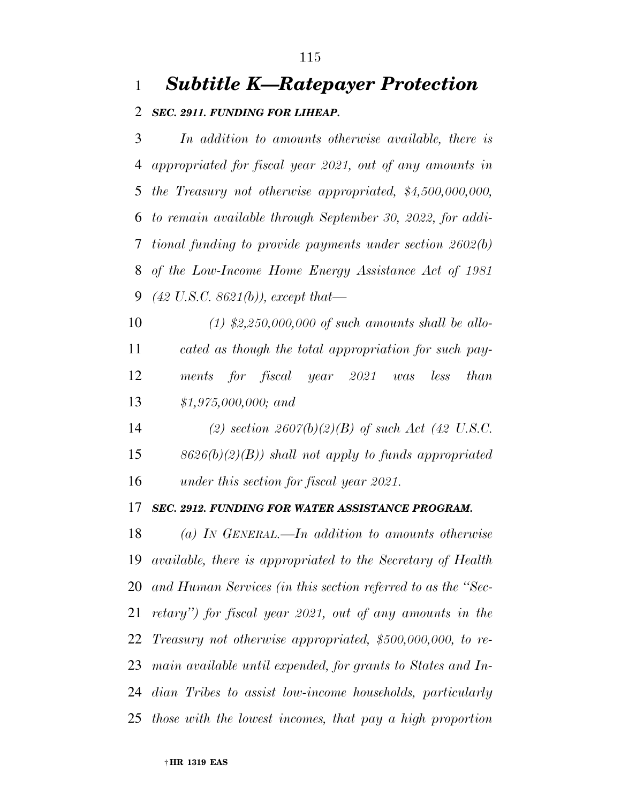### *Subtitle K—Ratepayer Protection*

#### *SEC. 2911. FUNDING FOR LIHEAP.*

 *In addition to amounts otherwise available, there is appropriated for fiscal year 2021, out of any amounts in the Treasury not otherwise appropriated, \$4,500,000,000, to remain available through September 30, 2022, for addi- tional funding to provide payments under section 2602(b) of the Low-Income Home Energy Assistance Act of 1981 (42 U.S.C. 8621(b)), except that—* 

 *(1) \$2,250,000,000 of such amounts shall be allo- cated as though the total appropriation for such pay- ments for fiscal year 2021 was less than \$1,975,000,000; and* 

 *(2) section 2607(b)(2)(B) of such Act (42 U.S.C. 8626(b)(2)(B)) shall not apply to funds appropriated under this section for fiscal year 2021.* 

#### *SEC. 2912. FUNDING FOR WATER ASSISTANCE PROGRAM.*

 *(a) IN GENERAL.—In addition to amounts otherwise available, there is appropriated to the Secretary of Health and Human Services (in this section referred to as the ''Sec- retary'') for fiscal year 2021, out of any amounts in the Treasury not otherwise appropriated, \$500,000,000, to re- main available until expended, for grants to States and In- dian Tribes to assist low-income households, particularly those with the lowest incomes, that pay a high proportion*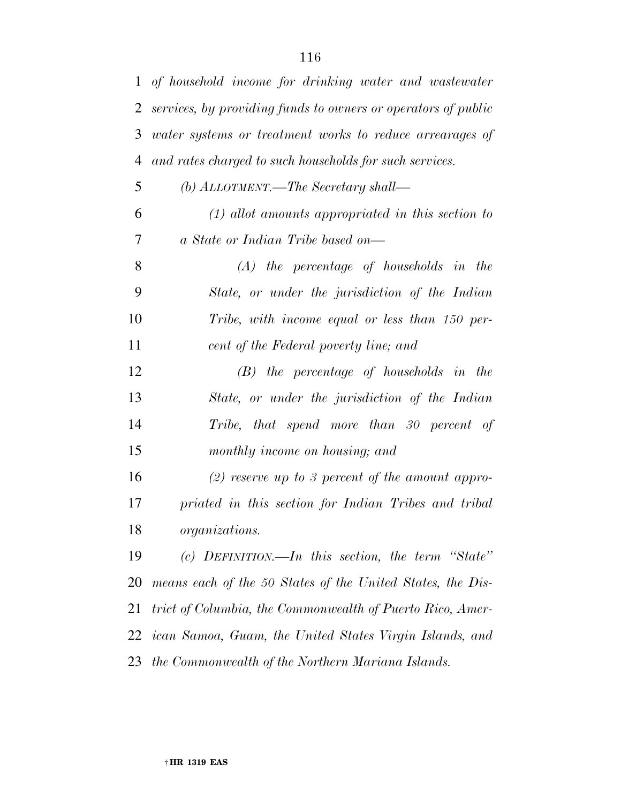| $\mathbf{1}$ | of household income for drinking water and wastewater         |
|--------------|---------------------------------------------------------------|
| 2            | services, by providing funds to owners or operators of public |
| 3            | water systems or treatment works to reduce arrearages of      |
| 4            | and rates charged to such households for such services.       |
| 5            | (b) $ALLOTMENT$ . The Secretary shall—                        |
| 6            | $(1)$ allot amounts appropriated in this section to           |
| 7            | a State or Indian Tribe based on—                             |
| 8            | $(A)$ the percentage of households in the                     |
| 9            | State, or under the jurisdiction of the Indian                |
| 10           | Tribe, with income equal or less than 150 per-                |
| 11           | cent of the Federal poverty line; and                         |
| 12           | $(B)$ the percentage of households in the                     |
| 13           | State, or under the jurisdiction of the Indian                |
| 14           | Tribe, that spend more than 30 percent of                     |
| 15           | monthly income on housing; and                                |
| 16           | (2) reserve up to 3 percent of the amount appro-              |
| 17           | priated in this section for Indian Tribes and tribal          |
| 18           | organizations.                                                |
| 19           | (c) DEFINITION.—In this section, the term "State"             |
| 20           | means each of the 50 States of the United States, the Dis-    |
| 21           | trict of Columbia, the Commonwealth of Puerto Rico, Amer-     |
| 22           | ican Samoa, Guam, the United States Virgin Islands, and       |
| 23           | the Commonwealth of the Northern Mariana Islands.             |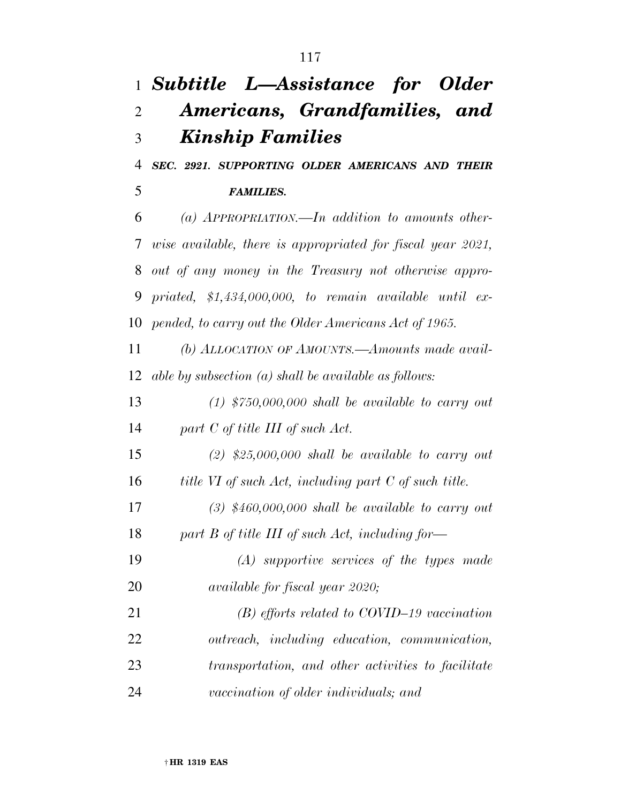# *Subtitle L—Assistance for Older Americans, Grandfamilies, and Kinship Families*

 *SEC. 2921. SUPPORTING OLDER AMERICANS AND THEIR FAMILIES.* 

 *(a) APPROPRIATION.—In addition to amounts other- wise available, there is appropriated for fiscal year 2021, out of any money in the Treasury not otherwise appro- priated, \$1,434,000,000, to remain available until ex-pended, to carry out the Older Americans Act of 1965.* 

 *(b) ALLOCATION OF AMOUNTS.—Amounts made avail-able by subsection (a) shall be available as follows:* 

 *(1) \$750,000,000 shall be available to carry out part C of title III of such Act.* 

 *(2) \$25,000,000 shall be available to carry out title VI of such Act, including part C of such title.* 

 *(3) \$460,000,000 shall be available to carry out part B of title III of such Act, including for—* 

 *(A) supportive services of the types made available for fiscal year 2020;* 

 *(B) efforts related to COVID–19 vaccination outreach, including education, communication, transportation, and other activities to facilitate vaccination of older individuals; and*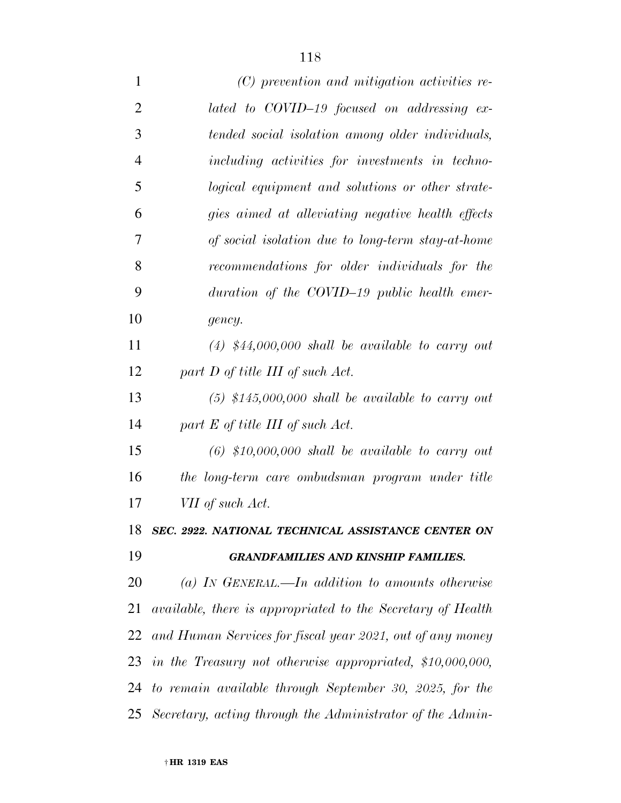| 1              | (C) prevention and mitigation activities re-                 |
|----------------|--------------------------------------------------------------|
| $\overline{2}$ | lated to COVID-19 focused on addressing ex-                  |
| 3              | tended social isolation among older individuals,             |
| $\overline{4}$ | including activities for investments in techno-              |
| 5              | logical equipment and solutions or other strate-             |
| 6              | gies aimed at alleviating negative health effects            |
| 7              | of social isolation due to long-term stay-at-home            |
| 8              | recommendations for older individuals for the                |
| 9              | duration of the COVID-19 public health emer-                 |
| 10             | gency.                                                       |
| 11             | $(4)$ \$44,000,000 shall be available to carry out           |
| 12             | part D of title III of such Act.                             |
| 13             | $(5)$ \$145,000,000 shall be available to carry out          |
| 14             | part $E$ of title III of such Act.                           |
| 15             | $(6)$ \$10,000,000 shall be available to carry out           |
| 16             | the long-term care ombudsman program under title             |
| 17             | VII of such Act.                                             |
| 18             | SEC. 2922. NATIONAL TECHNICAL ASSISTANCE CENTER ON           |
| 19             | <b>GRANDFAMILIES AND KINSHIP FAMILIES.</b>                   |
| 20             | (a) IN GENERAL.—In addition to amounts otherwise             |
| 21             | available, there is appropriated to the Secretary of Health  |
|                | 22 and Human Services for fiscal year 2021, out of any money |
|                | 23 in the Treasury not otherwise appropriated, \$10,000,000, |
|                | 24 to remain available through September 30, 2025, for the   |
|                | 25 Secretary, acting through the Administrator of the Admin- |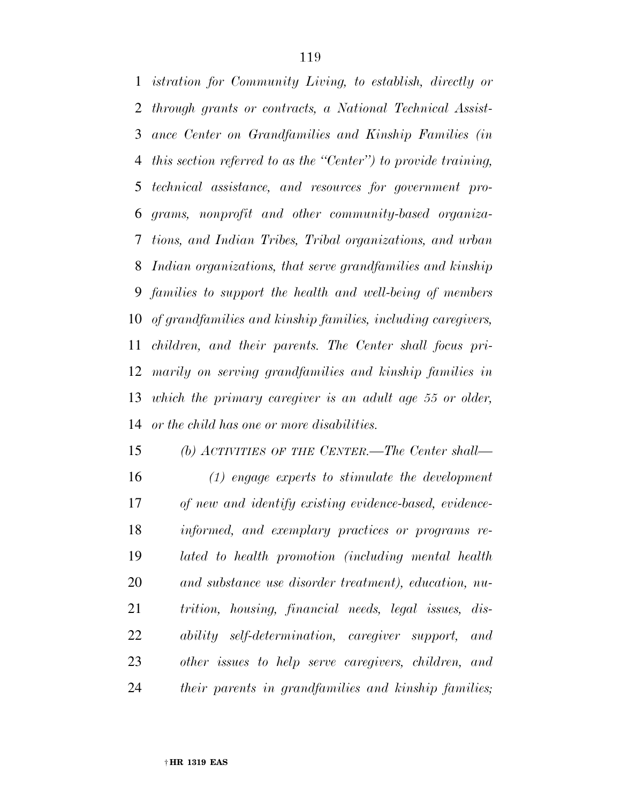*istration for Community Living, to establish, directly or through grants or contracts, a National Technical Assist- ance Center on Grandfamilies and Kinship Families (in this section referred to as the ''Center'') to provide training, technical assistance, and resources for government pro- grams, nonprofit and other community-based organiza- tions, and Indian Tribes, Tribal organizations, and urban Indian organizations, that serve grandfamilies and kinship families to support the health and well-being of members of grandfamilies and kinship families, including caregivers, children, and their parents. The Center shall focus pri- marily on serving grandfamilies and kinship families in which the primary caregiver is an adult age 55 or older, or the child has one or more disabilities.* 

 *(b) ACTIVITIES OF THE CENTER.—The Center shall— (1) engage experts to stimulate the development of new and identify existing evidence-based, evidence- informed, and exemplary practices or programs re- lated to health promotion (including mental health and substance use disorder treatment), education, nu- trition, housing, financial needs, legal issues, dis- ability self-determination, caregiver support, and other issues to help serve caregivers, children, and their parents in grandfamilies and kinship families;*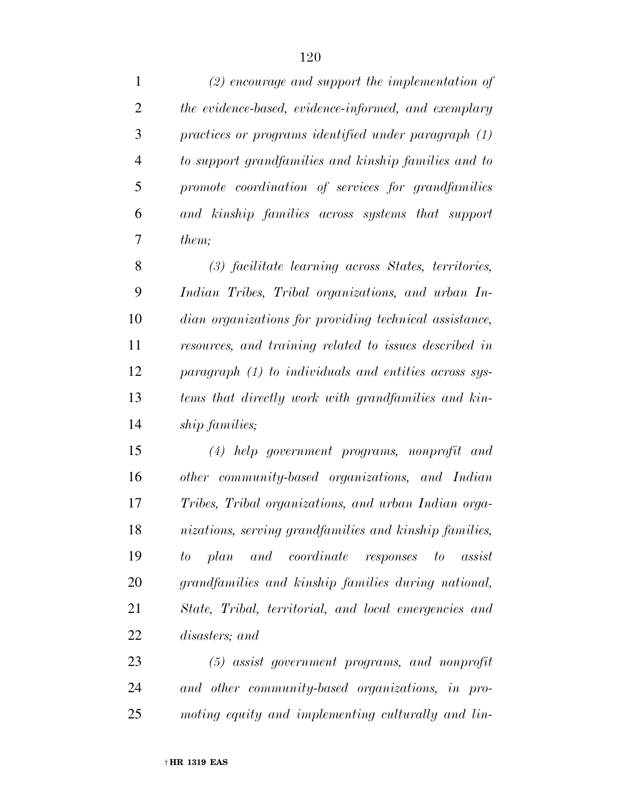| $\mathbf{1}$   | $(2)$ encourage and support the implementation of        |
|----------------|----------------------------------------------------------|
| $\overline{2}$ | the evidence-based, evidence-informed, and exemplary     |
| 3              | practices or programs identified under paragraph (1)     |
| $\overline{4}$ | to support grandfamilies and kinship families and to     |
| 5              | promote coordination of services for grandfamilies       |
| 6              | and kinship families across systems that support         |
| 7              | them;                                                    |
| 8              | (3) facilitate learning across States, territories,      |
| 9              | Indian Tribes, Tribal organizations, and urban In-       |
| 10             | dian organizations for providing technical assistance,   |
| 11             | resources, and training related to issues described in   |
| 12             | paragraph (1) to individuals and entities across sys-    |
| 13             | tems that directly work with grandfamilies and kin-      |
| 14             | ship families;                                           |
| 15             | $(4)$ help government programs, nonprofit and            |
| 16             | other community-based organizations, and Indian          |
| 17             | Tribes, Tribal organizations, and urban Indian orga-     |
| 18             | nizations, serving grandfamilies and kinship families,   |
| 19             | and coordinate responses to<br>to<br>plan<br>$\,$ assist |
| 20             | grandfamilies and kinship families during national,      |
| 21             | State, Tribal, territorial, and local emergencies and    |
| 22             | disasters; and                                           |
| 23             | $(5)$ assist government programs, and nonprofit          |
| 24             | and other community-based organizations, in pro-         |

*moting equity and implementing culturally and lin-*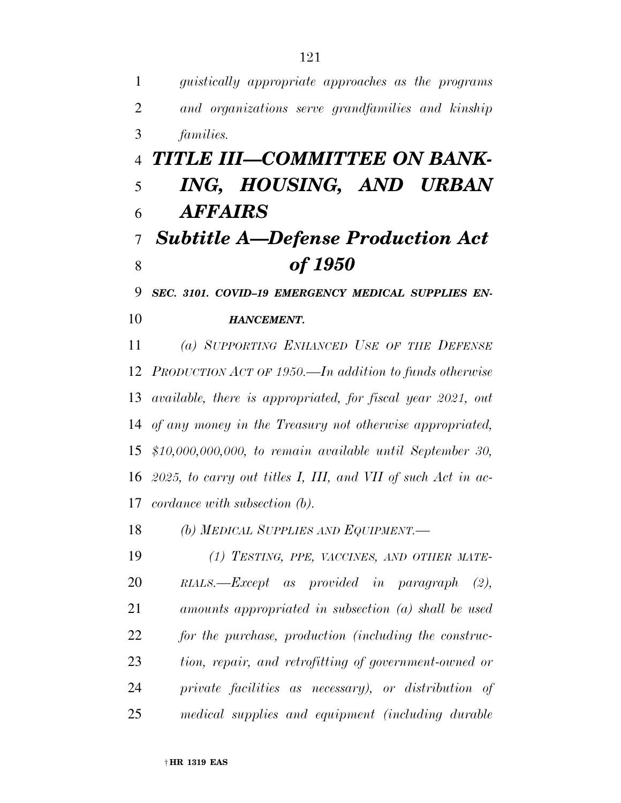*guistically appropriate approaches as the programs and organizations serve grandfamilies and kinship families. TITLE III—COMMITTEE ON BANK- ING, HOUSING, AND URBAN AFFAIRS Subtitle A—Defense Production Act of 1950 SEC. 3101. COVID–19 EMERGENCY MEDICAL SUPPLIES EN- HANCEMENT. (a) SUPPORTING ENHANCED USE OF THE DEFENSE PRODUCTION ACT OF 1950.—In addition to funds otherwise available, there is appropriated, for fiscal year 2021, out of any money in the Treasury not otherwise appropriated, \$10,000,000,000, to remain available until September 30, 2025, to carry out titles I, III, and VII of such Act in ac- cordance with subsection (b). (b) MEDICAL SUPPLIES AND EQUIPMENT.— (1) TESTING, PPE, VACCINES, AND OTHER MATE- RIALS.—Except as provided in paragraph (2), amounts appropriated in subsection (a) shall be used for the purchase, production (including the construc- tion, repair, and retrofitting of government-owned or private facilities as necessary), or distribution of medical supplies and equipment (including durable*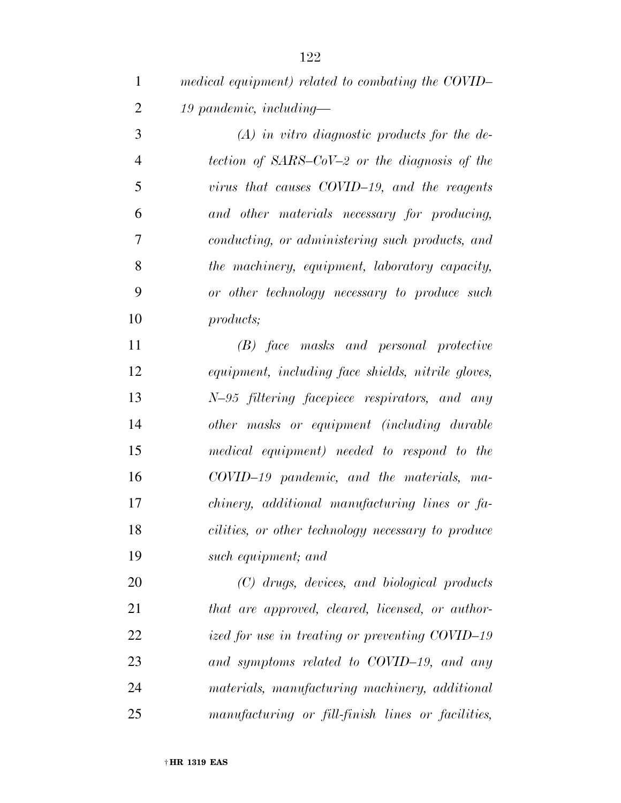*medical equipment) related to combating the COVID– 19 pandemic, including—* 

 *(A) in vitro diagnostic products for the de- tection of SARS–CoV–2 or the diagnosis of the virus that causes COVID–19, and the reagents and other materials necessary for producing, conducting, or administering such products, and the machinery, equipment, laboratory capacity, or other technology necessary to produce such products;* 

 *(B) face masks and personal protective equipment, including face shields, nitrile gloves, N–95 filtering facepiece respirators, and any other masks or equipment (including durable medical equipment) needed to respond to the COVID–19 pandemic, and the materials, ma- chinery, additional manufacturing lines or fa- cilities, or other technology necessary to produce such equipment; and* 

 *(C) drugs, devices, and biological products that are approved, cleared, licensed, or author- ized for use in treating or preventing COVID–19 and symptoms related to COVID–19, and any materials, manufacturing machinery, additional manufacturing or fill-finish lines or facilities,*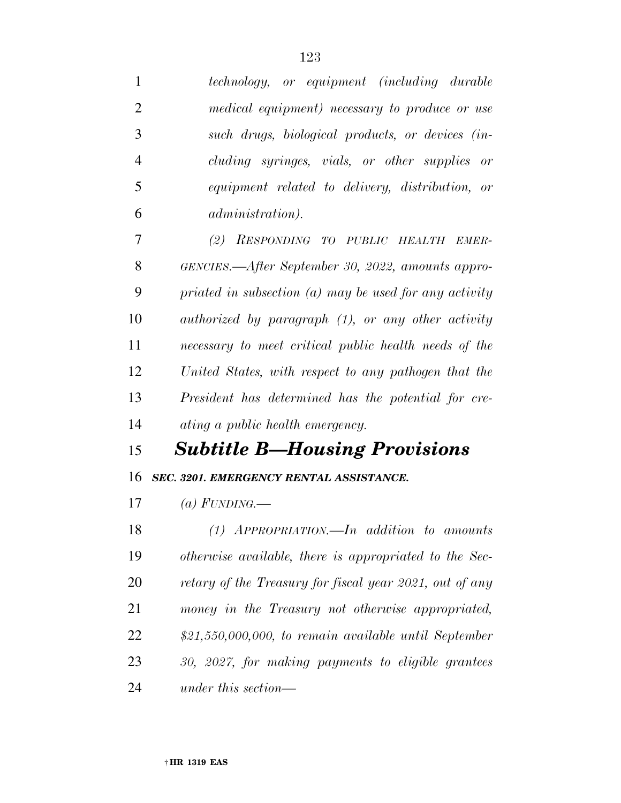| 1              | technology, or equipment (including durable              |
|----------------|----------------------------------------------------------|
| $\overline{2}$ | medical equipment) necessary to produce or use           |
| 3              | such drugs, biological products, or devices (in-         |
| $\overline{4}$ | cluding syringes, vials, or other supplies or            |
| 5              | equipment related to delivery, distribution, or          |
| 6              | <i>administration</i> ).                                 |
| 7              | (2) RESPONDING TO PUBLIC HEALTH EMER-                    |
| 8              | GENCIES.—After September 30, 2022, amounts appro-        |
| 9              | priated in subsection $(a)$ may be used for any activity |
| 10             | authorized by paragraph (1), or any other activity       |
| 11             | necessary to meet critical public health needs of the    |
| 12             | United States, with respect to any pathogen that the     |
|                |                                                          |
| 13             | President has determined has the potential for cre-      |
|                | ating a public health emergency.                         |
| 14<br>15       | <b>Subtitle B—Housing Provisions</b>                     |
| 16             | SEC. 3201. EMERGENCY RENTAL ASSISTANCE.                  |
| 17             | (a) FUNDING.—                                            |
| 18             | $(1)$ APPROPRIATION.—In addition to amounts              |
| 19             | otherwise available, there is appropriated to the Sec-   |
| 20             | retary of the Treasury for fiscal year 2021, out of any  |
| 21             | money in the Treasury not otherwise appropriated,        |
| 22             | $$21,550,000,000,$ to remain available until September   |
| 23             | 30, 2027, for making payments to eligible grantees       |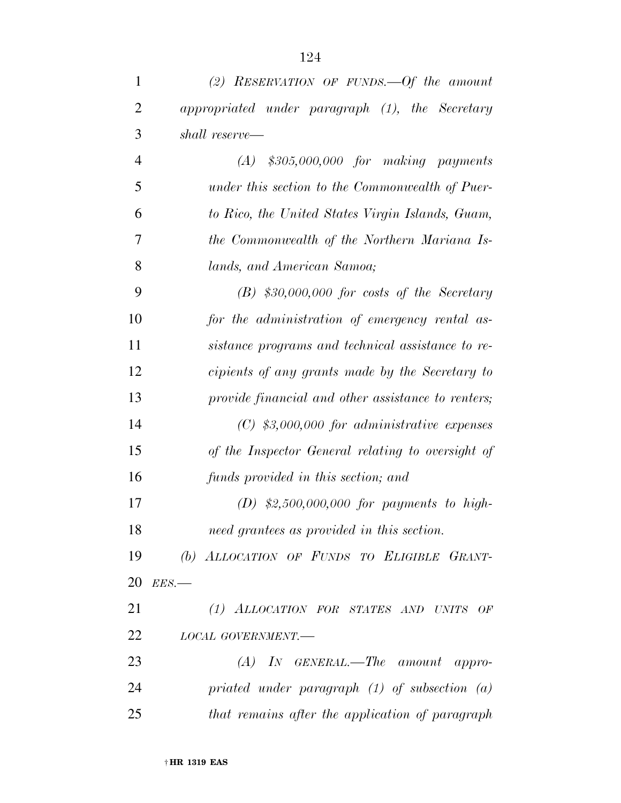| $\mathbf{1}$   | (2) RESERVATION OF FUNDS. $-0f$ the amount         |
|----------------|----------------------------------------------------|
| $\overline{2}$ | appropriated under paragraph (1), the Secretary    |
| 3              | shall reserve—                                     |
| $\overline{4}$ | $(A)$ \$305,000,000 for making payments            |
| 5              | under this section to the Commonwealth of Puer-    |
| 6              | to Rico, the United States Virgin Islands, Guam,   |
| 7              | the Commonwealth of the Northern Mariana Is-       |
| 8              | lands, and American Samoa;                         |
| 9              | $(B)$ \$30,000,000 for costs of the Secretary      |
| 10             | for the administration of emergency rental as-     |
| 11             | sistance programs and technical assistance to re-  |
| 12             | cipients of any grants made by the Secretary to    |
| 13             | provide financial and other assistance to renters; |
| 14             | $(C)$ \$3,000,000 for administrative expenses      |
| 15             | of the Inspector General relating to oversight of  |
| 16             | funds provided in this section; and                |
| 17             | (D) $$2,500,000,000$ for payments to high-         |
| 18             | need grantees as provided in this section.         |
| 19             | (b) ALLOCATION OF FUNDS TO ELIGIBLE GRANT-         |
| 20             | $EES$ .                                            |
| 21             | (1) ALLOCATION FOR STATES AND UNITS OF             |
| 22             | LOCAL GOVERNMENT.-                                 |
| 23             | $(A)$ In GENERAL.—The amount appro-                |
| 24             | priated under paragraph $(1)$ of subsection $(a)$  |
| 25             | that remains after the application of paragraph    |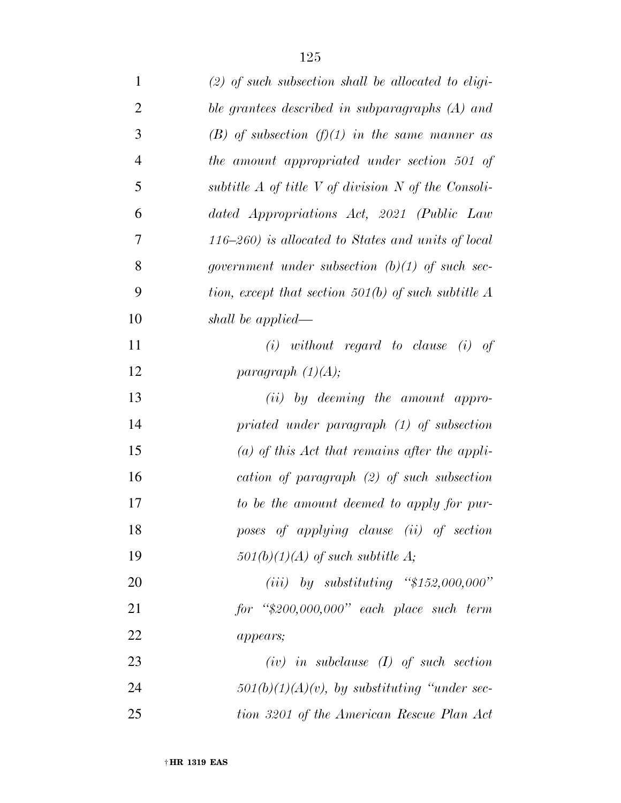| $\mathbf{1}$   | $(2)$ of such subsection shall be allocated to eligi-     |
|----------------|-----------------------------------------------------------|
| $\overline{2}$ | ble grantees described in subparagraphs (A) and           |
| 3              | (B) of subsection (f)(1) in the same manner as            |
| $\overline{4}$ | the amount appropriated under section 501 of              |
| 5              | subtitle $A$ of title $V$ of division $N$ of the Consoli- |
| 6              | dated Appropriations Act, 2021 (Public Law                |
| 7              | $(116-260)$ is allocated to States and units of local     |
| 8              | government under subsection $(b)(1)$ of such sec-         |
| 9              | tion, except that section 501(b) of such subtitle $A$     |
| 10             | shall be applied—                                         |
| 11             | $(i)$ without regard to clause $(i)$ of                   |
| 12             | paragraph $(1)(A);$                                       |
| 13             | $(ii)$ by deeming the amount appro-                       |
| 14             | priated under paragraph (1) of subsection                 |
| 15             | (a) of this Act that remains after the appli-             |
| 16             | cation of paragraph $(2)$ of such subsection              |
| 17             | to be the amount deemed to apply for pur-                 |
| 18             | poses of applying clause (ii) of section                  |
| 19             | $501(b)(1)(A)$ of such subtitle A;                        |
| 20             | (iii) by substituting " $$152,000,000"$ "                 |
| 21             | $for$ "\$200,000,000" each place such term                |
| 22             | appears;                                                  |
| 23             | $(iv)$ in subclause $(I)$ of such section                 |
| 24             | $501(b)(1)(A)(v)$ , by substituting "under sec-           |
| 25             | tion 3201 of the American Rescue Plan Act                 |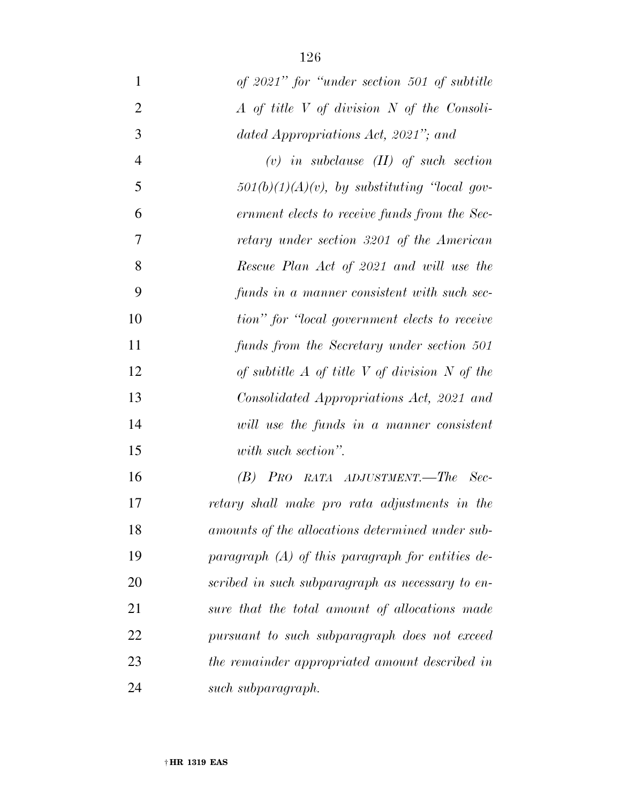| $\mathbf{1}$   | of 2021" for "under section 501 of subtitle        |
|----------------|----------------------------------------------------|
| $\overline{2}$ | $A$ of title V of division N of the Consoli-       |
| 3              | dated Appropriations Act, 2021"; and               |
| $\overline{4}$ | $(v)$ in subclause $(II)$ of such section          |
| 5              | $501(b)(1)(A)(v)$ , by substituting 'local gov-    |
| 6              | ernment elects to receive funds from the Sec-      |
| 7              | retary under section 3201 of the American          |
| 8              | Rescue Plan Act of 2021 and will use the           |
| 9              | funds in a manner consistent with such sec-        |
| 10             | tion" for "local government elects to receive      |
| 11             | funds from the Secretary under section 501         |
| 12             | of subtitle $A$ of title V of division N of the    |
| 13             | Consolidated Appropriations Act, 2021 and          |
| 14             | will use the funds in a manner consistent          |
| 15             | with such section".                                |
| 16             | $(B)$ Pro rata adjustment.—The Sec-                |
| 17             | retary shall make pro rata adjustments in the      |
| 18             | amounts of the allocations determined under sub-   |
| 19             | paragraph $(A)$ of this paragraph for entities de- |
| 20             | scribed in such subparagraph as necessary to en-   |
| 21             | sure that the total amount of allocations made     |
| 22             | pursuant to such subparagraph does not exceed      |
| 23             | the remainder appropriated amount described in     |
| 24             | such subparagraph.                                 |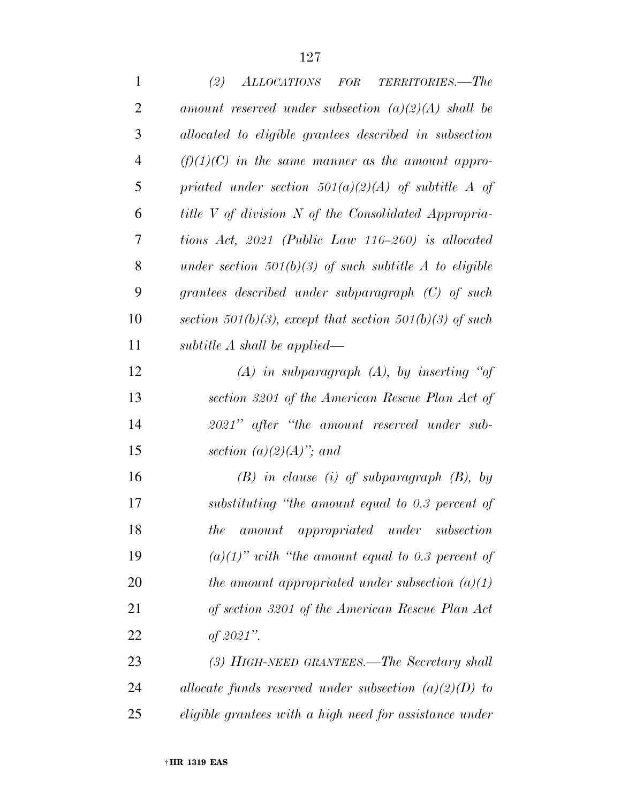| $\mathbf{1}$   | (2)<br>ALLOCATIONS FOR TERRITORIES.-The                  |
|----------------|----------------------------------------------------------|
| $\overline{2}$ | amount reserved under subsection $(a)(2)(A)$ shall be    |
| 3              | allocated to eligible grantees described in subsection   |
| $\overline{4}$ | $(f)(1)(C)$ in the same manner as the amount appro-      |
| 5              | priated under section $501(a)(2)(A)$ of subtitle A of    |
| 6              | title V of division N of the Consolidated Appropria-     |
| 7              | tions Act, $2021$ (Public Law 116-260) is allocated      |
| 8              | under section $501(b)(3)$ of such subtitle A to eligible |
| 9              | grantees described under subparagraph $(C)$ of such      |
| 10             | section 501(b)(3), except that section 501(b)(3) of such |
| 11             | subtitle $A$ shall be applied—                           |
| 12             | $(A)$ in subparagraph $(A)$ , by inserting "of           |
| 13             | section 3201 of the American Rescue Plan Act of          |
| 14             | 2021" after "the amount reserved under sub-              |
| 15             | section $(a)(2)(A)$ "; and                               |
| 16             | $(B)$ in clause (i) of subparagraph $(B)$ , by           |
| 17             | substituting "the amount equal to 0.3 percent of         |
| 18             | amount appropriated under subsection<br><i>the</i>       |
| 19             | $(a)(1)$ " with "the amount equal to 0.3 percent of      |
| <b>20</b>      | the amount appropriated under subsection $(a)(1)$        |
| 21             | of section 3201 of the American Rescue Plan Act          |
| 22             | of $2021$ ".                                             |
| 23             | (3) HIGH-NEED GRANTEES.—The Secretary shall              |
| 24             | allocate funds reserved under subsection $(a)(2)(D)$ to  |
| 25             | eligible grantees with a high need for assistance under  |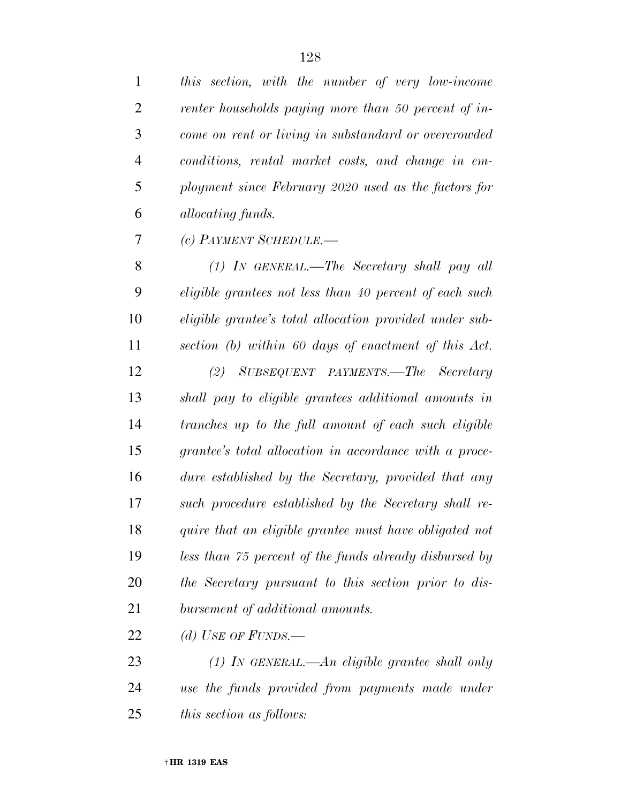| $\mathbf{1}$   | this section, with the number of very low-income        |
|----------------|---------------------------------------------------------|
| $\overline{2}$ | renter households paying more than 50 percent of in-    |
| 3              | come on rent or living in substandard or overcrowded    |
| $\overline{4}$ | conditions, rental market costs, and change in em-      |
| 5              | ployment since February 2020 used as the factors for    |
| 6              | <i>allocating funds.</i>                                |
| 7              | (c) PAYMENT SCHEDULE.-                                  |
| 8              | (1) IN GENERAL.—The Secretary shall pay all             |
| 9              | eligible grantees not less than 40 percent of each such |
| 10             | eligible grantee's total allocation provided under sub- |
| 11             | section (b) within 60 days of enactment of this Act.    |
| 12             | (2) SUBSEQUENT PAYMENTS.—The Secretary                  |
| 13             | shall pay to eligible grantees additional amounts in    |
| 14             | tranches up to the full amount of each such eligible    |
| 15             | grantee's total allocation in accordance with a proce-  |
| 16             | dure established by the Secretary, provided that any    |
| 17             | such procedure established by the Secretary shall re-   |
| 18             | quire that an eligible grantee must have obligated not  |
| 19             | less than 75 percent of the funds already disbursed by  |
| 20             | the Secretary pursuant to this section prior to dis-    |
| 21             | bursement of additional amounts.                        |
| 22             | (d) USE OF FUNDS.—                                      |
| 23             | $(1)$ In GENERAL.—An eligible grantee shall only        |
| 24             | use the funds provided from payments made under         |
| 25             | <i>this section as follows:</i>                         |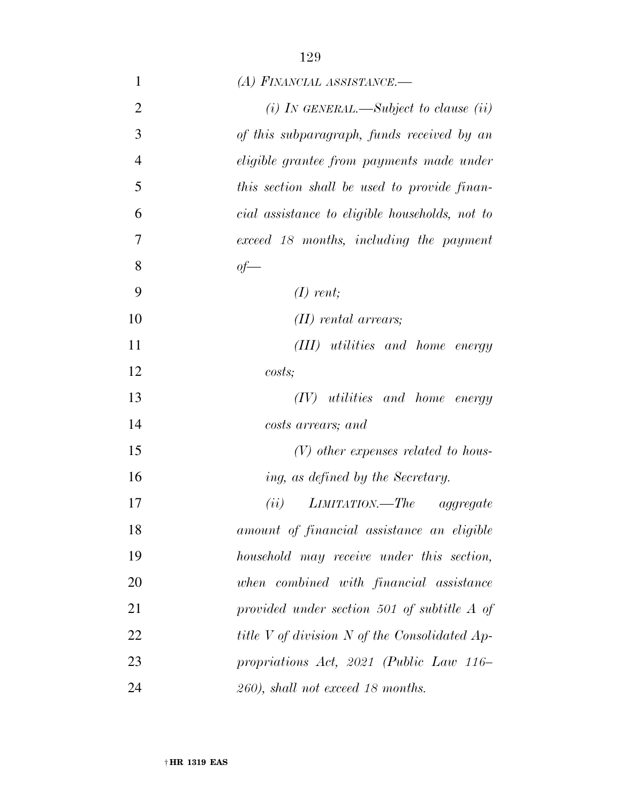| $\mathbf{1}$   | (A) FINANCIAL ASSISTANCE.-                     |
|----------------|------------------------------------------------|
| $\overline{2}$ | (i) In GENERAL.—Subject to clause (ii)         |
| 3              | of this subparagraph, funds received by an     |
| $\overline{4}$ | eligible grantee from payments made under      |
| 5              | this section shall be used to provide finan-   |
| 6              | cial assistance to eligible households, not to |
| 7              | exceed 18 months, including the payment        |
| 8              | $of$ —                                         |
| 9              | $(I)$ rent;                                    |
| 10             | $(II)$ rental arrears;                         |
| 11             | (III) utilities and home energy                |
| 12             | costs                                          |
| 13             | $(IV)$ utilities and home energy               |
| 14             | costs arrears; and                             |
| 15             | $(V)$ other expenses related to hous-          |
| 16             | ing, as defined by the Secretary.              |
| 17             | $LIMITATION. - The$ aggregate<br>(ii)          |
| 18             | amount of financial assistance an eligible     |
| 19             | household may receive under this section,      |
| 20             | when combined with financial assistance        |
| 21             | provided under section 501 of subtitle A of    |
| 22             | title V of division N of the Consolidated Ap-  |
| 23             | propriations Act, 2021 (Public Law 116–        |
| 24             | 260), shall not exceed 18 months.              |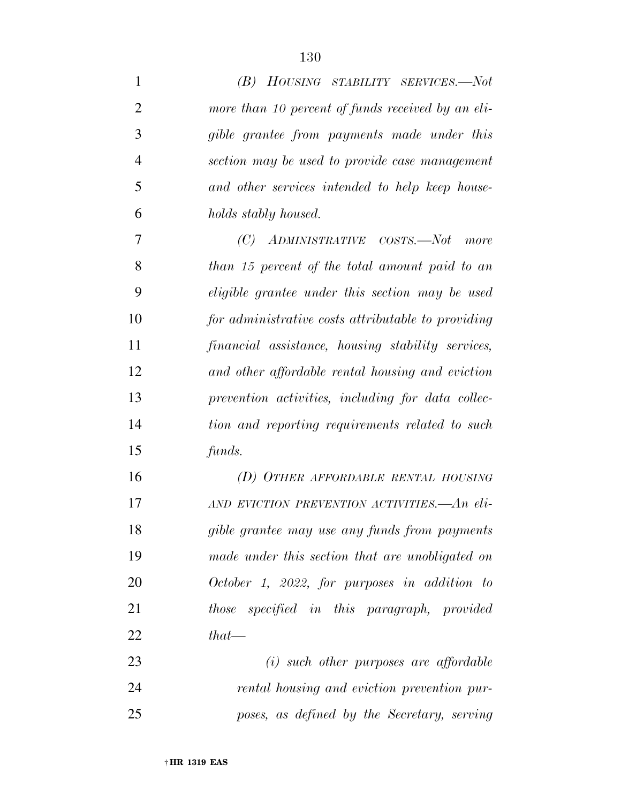| 1              | (B) HOUSING STABILITY SERVICES.-Not                |
|----------------|----------------------------------------------------|
| $\overline{2}$ | more than 10 percent of funds received by an eli-  |
| 3              | gible grantee from payments made under this        |
| $\overline{4}$ | section may be used to provide case management     |
| 5              | and other services intended to help keep house-    |
| 6              | holds stably housed.                               |
| 7              | (C)<br>ADMINISTRATIVE COSTS.-Not<br>more           |
| 8              | than 15 percent of the total amount paid to an     |
| 9              | eligible grantee under this section may be used    |
| 10             | for administrative costs attributable to providing |
| 11             | financial assistance, housing stability services,  |
| 12             | and other affordable rental housing and eviction   |
| 13             | prevention activities, including for data collec-  |
| 14             | tion and reporting requirements related to such    |
| 15             | funds.                                             |
| 16             | (D) OTHER AFFORDABLE RENTAL HOUSING                |
| 17             | AND EVICTION PREVENTION ACTIVITIES.—An eli-        |
| 18             | gible grantee may use any funds from payments      |
| 19             | made under this section that are unobligated on    |
| 20             | October 1, 2022, for purposes in addition to       |
| 21             | those specified in this paragraph, provided        |
| 22             | $that$ —                                           |
| 23             | $(i)$ such other purposes are affordable           |
| 24             | rental housing and eviction prevention pur-        |
| 25             | poses, as defined by the Secretary, serving        |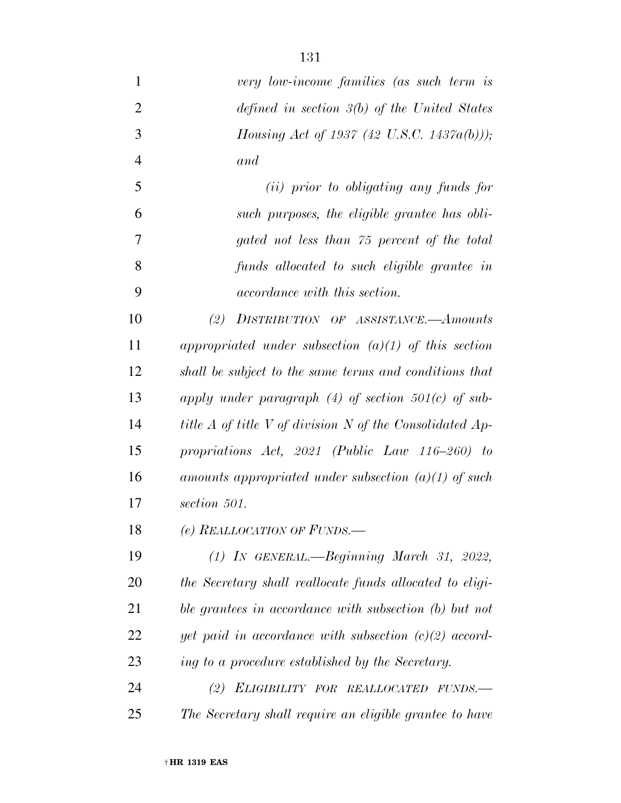| $\mathbf{1}$   | very low-income families (as such term is                      |
|----------------|----------------------------------------------------------------|
| $\overline{2}$ | defined in section $3(b)$ of the United States                 |
| 3              | Housing Act of 1937 (42 U.S.C. 1437a(b)));                     |
| $\overline{4}$ | and                                                            |
| 5              | (ii) prior to obligating any funds for                         |
| 6              | such purposes, the eligible grantee has obli-                  |
| 7              | gated not less than 75 percent of the total                    |
| 8              | funds allocated to such eligible grantee in                    |
| 9              | <i>accordance with this section.</i>                           |
| 10             | (2)<br>DISTRIBUTION OF ASSISTANCE.—Amounts                     |
| 11             | appropriated under subsection $(a)(1)$ of this section         |
| 12             | shall be subject to the same terms and conditions that         |
| 13             | apply under paragraph $(4)$ of section 501 $(c)$ of sub-       |
| 14             | title $A$ of title $V$ of division $N$ of the Consolidated Ap- |
| 15             | propriations $Act, 2021$ (Public Law 116-260) to               |
| 16             | amounts appropriated under subsection $(a)(1)$ of such         |
| 17             | section 501.                                                   |
| 18             | (e) REALLOCATION OF FUNDS.                                     |
| 19             | $(1)$ IN GENERAL.—Beginning March 31, 2022,                    |
| 20             | the Secretary shall reallocate funds allocated to eligi-       |
| 21             | ble grantees in accordance with subsection (b) but not         |
| 22             | yet paid in accordance with subsection $(c)(2)$ accord-        |
| 23             | ing to a procedure established by the Secretary.               |
| 24             | (2) ELIGIBILITY FOR REALLOCATED FUNDS.-                        |
| 25             | The Secretary shall require an eligible grantee to have        |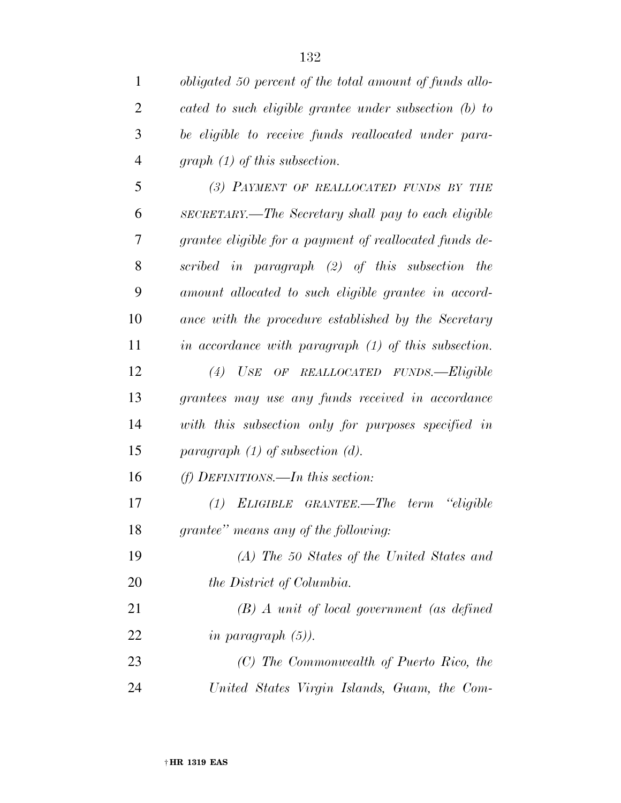| $\mathbf{1}$   | obligated 50 percent of the total amount of funds allo- |
|----------------|---------------------------------------------------------|
| $\overline{2}$ | cated to such eligible grantee under subsection (b) to  |
| 3              | be eligible to receive funds reallocated under para-    |
| $\overline{4}$ | $graph (1)$ of this subsection.                         |
| 5              | (3) PAYMENT OF REALLOCATED FUNDS BY THE                 |
| 6              | SECRETARY.—The Secretary shall pay to each eligible     |
| 7              | grantee eligible for a payment of reallocated funds de- |
| 8              | scribed in paragraph (2) of this subsection the         |
| 9              | amount allocated to such eligible grantee in accord-    |
| 10             | ance with the procedure established by the Secretary    |
| 11             | in accordance with paragraph $(1)$ of this subsection.  |
| 12             | (4) USE OF REALLOCATED FUNDS.-Eligible                  |
| 13             | grantees may use any funds received in accordance       |
| 14             | with this subsection only for purposes specified in     |
| 15             | paragraph $(1)$ of subsection $(d)$ .                   |
| 16             | $(f)$ DEFINITIONS.—In this section:                     |
| 17             | ELIGIBLE GRANTEE.—The term<br><i>eligible</i><br>(1)    |
| 18             | grantee" means any of the following:                    |
| 19             | (A) The 50 States of the United States and              |
| 20             | the District of Columbia.                               |
| 21             | $(B)$ A unit of local government (as defined            |
| 22             | in paragraph $(5)$ ).                                   |
| 23             | (C) The Commonwealth of Puerto Rico, the                |
| 24             | United States Virgin Islands, Guam, the Com-            |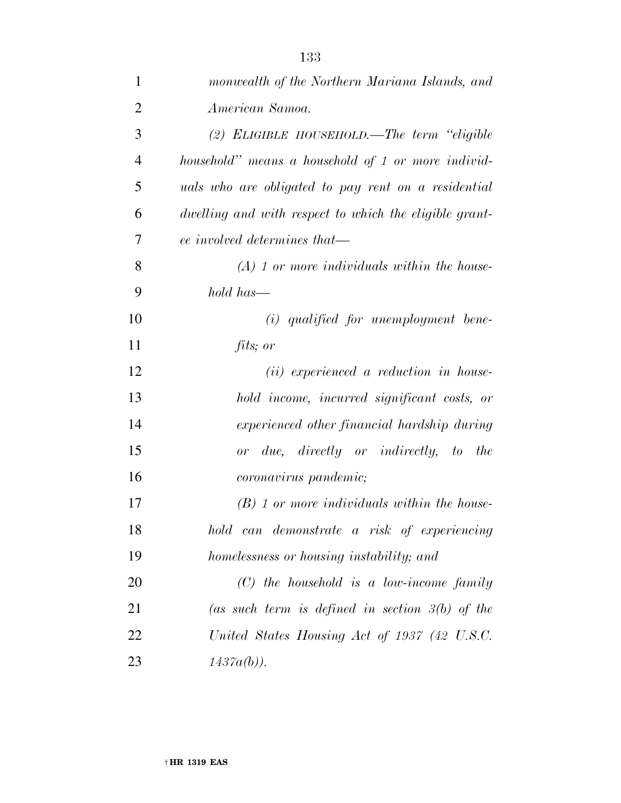| 1              | monwealth of the Northern Mariana Islands, and         |
|----------------|--------------------------------------------------------|
| $\overline{2}$ | American Samoa.                                        |
| 3              | $(2)$ ELIGIBLE HOUSEHOLD.—The term "eligible           |
| $\overline{4}$ | household" means a household of 1 or more individ-     |
| 5              | uals who are obligated to pay rent on a residential    |
| 6              | dwelling and with respect to which the eligible grant- |
| 7              | ee involved determines that—                           |
| 8              | $(A)$ 1 or more individuals within the house-          |
| 9              | hold has-                                              |
| 10             | $(i)$ qualified for unemployment bene-                 |
| 11             | fits; or                                               |
| 12             | $(ii)$ experienced a reduction in house-               |
| 13             | hold income, incurred significant costs, or            |
| 14             | experienced other financial hardship during            |
| 15             | or due, directly or indirectly, to the                 |
| 16             | <i>coronavirus pandemic</i> ;                          |
| 17             | $(B)$ 1 or more individuals within the house-          |
| 18             | hold can demonstrate a risk of experiencing            |
| 19             | homelessness or housing instability; and               |
| 20             | $(C)$ the household is a low-income family             |
| 21             | (as such term is defined in section $3(b)$ of the      |
| 22             | United States Housing Act of 1937 (42 U.S.C.           |
| 23             | $1437a(b)$ ).                                          |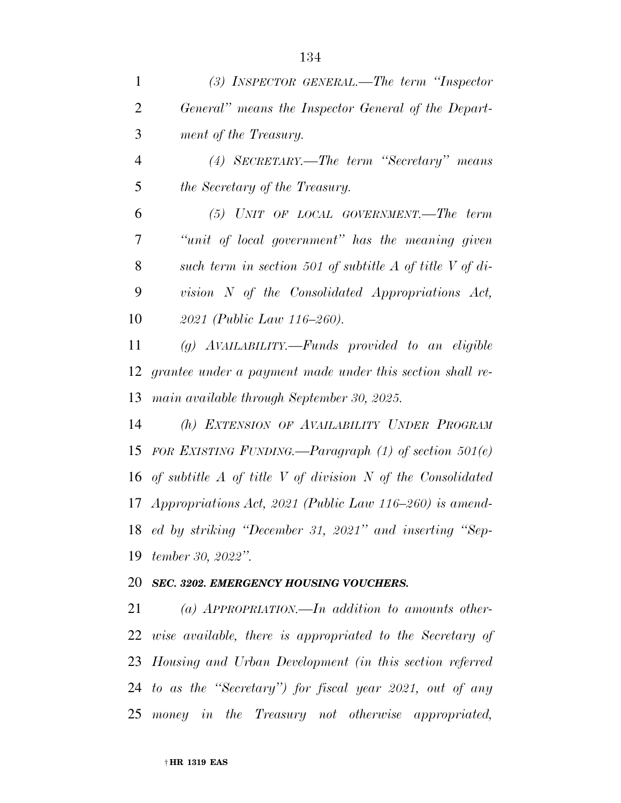| 1              | $(3)$ INSPECTOR GENERAL.—The term "Inspector"                       |
|----------------|---------------------------------------------------------------------|
| $\overline{2}$ | General" means the Inspector General of the Depart-                 |
| 3              | ment of the Treasury.                                               |
| $\overline{4}$ | (4) SECRETARY.—The term "Secretary" means                           |
| 5              | the Secretary of the Treasury.                                      |
| 6              | $(5)$ UNIT OF LOCAL GOVERNMENT.—The term                            |
| 7              | "unit of local government" has the meaning given                    |
| 8              | such term in section 501 of subtitle $A$ of title $V$ of di-        |
| 9              | vision N of the Consolidated Appropriations Act,                    |
| 10             | 2021 (Public Law 116–260).                                          |
| 11             | $(g)$ AVAILABILITY.—Funds provided to an eligible                   |
| 12             | grantee under a payment made under this section shall re-           |
| 13             | main available through September 30, 2025.                          |
| 14             | (h) EXTENSION OF AVAILABILITY UNDER PROGRAM                         |
| 15             | FOR EXISTING FUNDING.—Paragraph $(1)$ of section $501(e)$           |
|                | 16 of subtitle $A$ of title $V$ of division $N$ of the Consolidated |
|                | 17 Appropriations Act, 2021 (Public Law 116–260) is amend-          |
|                | 18 ed by striking "December 31, 2021" and inserting "Sep-           |
| 19             | tember 30, 2022".                                                   |
|                | 20 SEC. 3202. EMERGENCY HOUSING VOUCHERS.                           |
| 21             | (a) APPROPRIATION.—In addition to amounts other-                    |
|                | 22 wise available, there is appropriated to the Secretary of        |
|                | 23 Housing and Urban Development (in this section referred          |
|                | 24 to as the "Secretary") for fiscal year 2021, out of any          |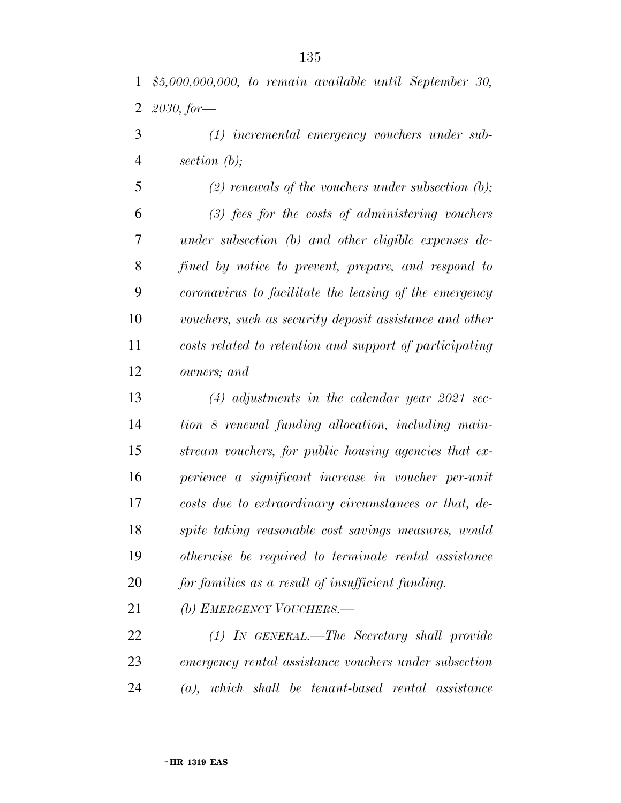*(1) incremental emergency vouchers under sub-section (b);* 

 *(2) renewals of the vouchers under subsection (b); (3) fees for the costs of administering vouchers under subsection (b) and other eligible expenses de- fined by notice to prevent, prepare, and respond to coronavirus to facilitate the leasing of the emergency vouchers, such as security deposit assistance and other costs related to retention and support of participating owners; and* 

 *(4) adjustments in the calendar year 2021 sec- tion 8 renewal funding allocation, including main- stream vouchers, for public housing agencies that ex- perience a significant increase in voucher per-unit costs due to extraordinary circumstances or that, de- spite taking reasonable cost savings measures, would otherwise be required to terminate rental assistance for families as a result of insufficient funding.* 

*(b) EMERGENCY VOUCHERS.—* 

 *(1) IN GENERAL.—The Secretary shall provide emergency rental assistance vouchers under subsection (a), which shall be tenant-based rental assistance*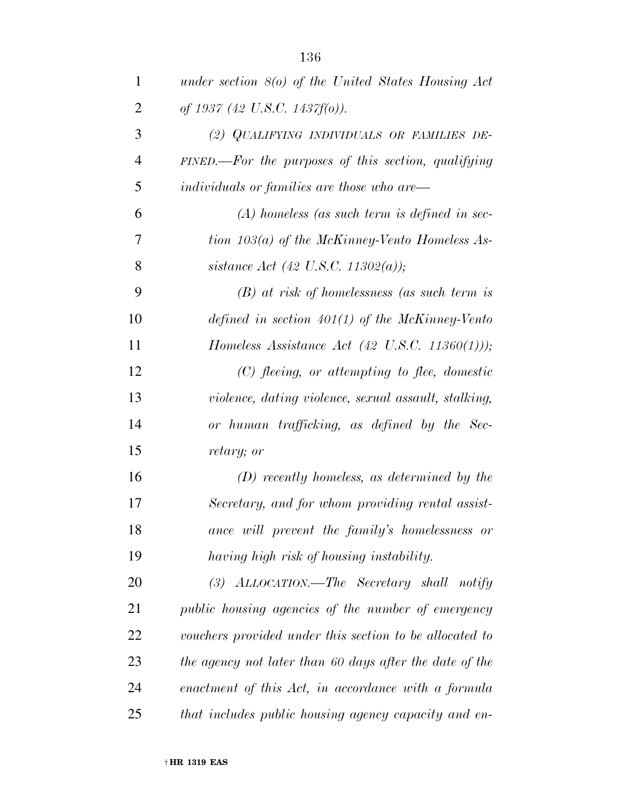| 1              | under section $8(0)$ of the United States Housing Act   |
|----------------|---------------------------------------------------------|
| $\overline{2}$ | of 1937 (42 U.S.C. 1437 $f(0)$ ).                       |
| 3              | (2) QUALIFYING INDIVIDUALS OR FAMILIES DE-              |
| $\overline{4}$ | $FINED$ . For the purposes of this section, qualifying  |
| 5              | individuals or families are those who are—              |
| 6              | $(A)$ homeless (as such term is defined in sec-         |
| 7              | tion $103(a)$ of the McKinney-Vento Homeless As-        |
| 8              | sistance Act (42 U.S.C. 11302(a));                      |
| 9              | $(B)$ at risk of homelessness (as such term is          |
| 10             | defined in section $401(1)$ of the McKinney-Vento       |
| 11             | Homeless Assistance Act (42 U.S.C. 11360(1)));          |
| 12             | $(C)$ fleeing, or attempting to flee, domestic          |
| 13             | violence, dating violence, sexual assault, stalking,    |
| 14             | or human trafficking, as defined by the Sec-            |
| 15             | retary; or                                              |
| 16             | $(D)$ recently homeless, as determined by the           |
| 17             | Secretary, and for whom providing rental assist-        |
| 18             | ance will prevent the family's homelessness or          |
| 19             | having high risk of housing instability.                |
| 20             | (3) ALLOCATION.—The Secretary shall notify              |
| 21             | public housing agencies of the number of emergency      |
| 22             | vouchers provided under this section to be allocated to |
| 23             | the agency not later than 60 days after the date of the |
| 24             | enactment of this Act, in accordance with a formula     |
| 25             | that includes public housing agency capacity and en-    |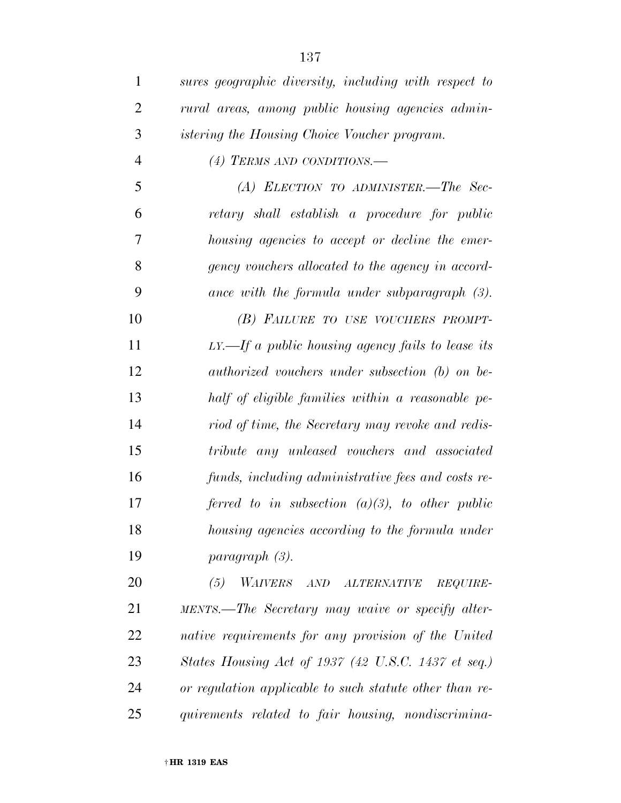| $\mathbf{1}$   | sures geographic diversity, including with respect to   |
|----------------|---------------------------------------------------------|
| $\overline{2}$ | rural areas, among public housing agencies admin-       |
| 3              | <i>istering the Housing Choice Voucher program.</i>     |
| $\overline{4}$ | (4) TERMS AND CONDITIONS.—                              |
| 5              | $(A)$ ELECTION TO ADMINISTER.—The Sec-                  |
| 6              | retary shall establish a procedure for public           |
| 7              | housing agencies to accept or decline the emer-         |
| 8              | gency vouchers allocated to the agency in accord-       |
| 9              | ance with the formula under subparagraph $(3)$ .        |
| 10             | (B) FAILURE TO USE VOUCHERS PROMPT-                     |
| 11             | $LY. -If a public housing agency fails to lease its$    |
| 12             | authorized vouchers under subsection (b) on be-         |
| 13             | half of eligible families within a reasonable pe-       |
| 14             | riod of time, the Secretary may revoke and redis-       |
| 15             | tribute any unleased vouchers and associated            |
| 16             | funds, including administrative fees and costs re-      |
| 17             | ferred to in subsection $(a)(3)$ , to other public      |
| 18             | housing agencies according to the formula under         |
| 19             | paragraph (3).                                          |
| 20             | (5)<br>WAIVERS AND ALTERNATIVE REQUIRE-                 |
| 21             | MENTS.—The Secretary may waive or specify alter-        |
| 22             | native requirements for any provision of the United     |
| 23             | States Housing Act of 1937 (42 U.S.C. 1437 et seq.)     |
| 24             | or regulation applicable to such statute other than re- |
| 25             | quirements related to fair housing, nondiscrimina-      |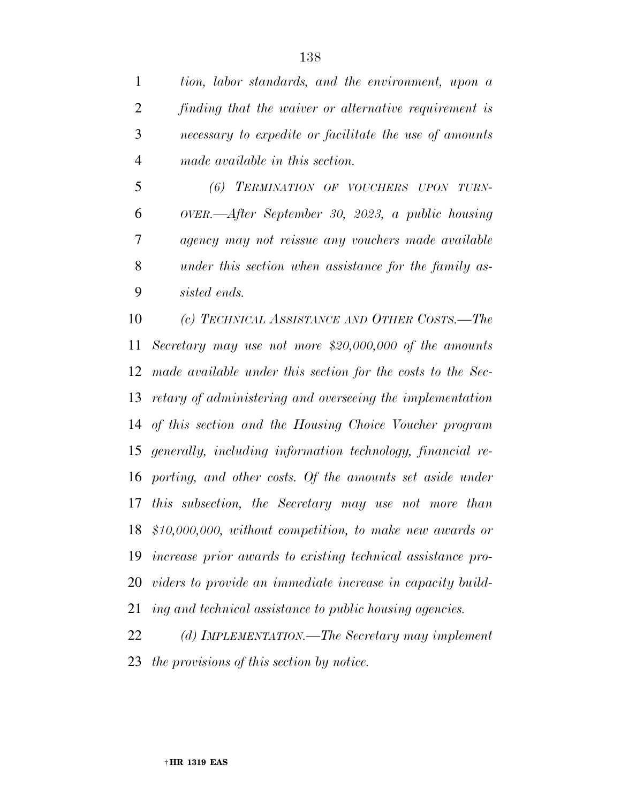*tion, labor standards, and the environment, upon a finding that the waiver or alternative requirement is necessary to expedite or facilitate the use of amounts made available in this section.* 

 *(6) TERMINATION OF VOUCHERS UPON TURN- OVER.—After September 30, 2023, a public housing agency may not reissue any vouchers made available under this section when assistance for the family as-sisted ends.* 

 *(c) TECHNICAL ASSISTANCE AND OTHER COSTS.—The Secretary may use not more \$20,000,000 of the amounts made available under this section for the costs to the Sec- retary of administering and overseeing the implementation of this section and the Housing Choice Voucher program generally, including information technology, financial re- porting, and other costs. Of the amounts set aside under this subsection, the Secretary may use not more than \$10,000,000, without competition, to make new awards or increase prior awards to existing technical assistance pro- viders to provide an immediate increase in capacity build-ing and technical assistance to public housing agencies.* 

 *(d) IMPLEMENTATION.—The Secretary may implement the provisions of this section by notice.*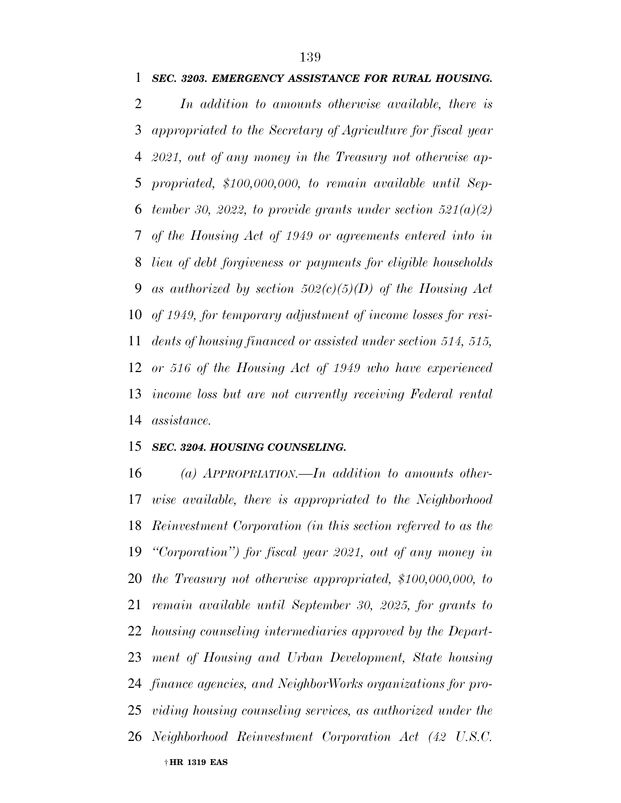*SEC. 3203. EMERGENCY ASSISTANCE FOR RURAL HOUSING.* 

 *In addition to amounts otherwise available, there is appropriated to the Secretary of Agriculture for fiscal year 2021, out of any money in the Treasury not otherwise ap- propriated, \$100,000,000, to remain available until Sep- tember 30, 2022, to provide grants under section 521(a)(2) of the Housing Act of 1949 or agreements entered into in lieu of debt forgiveness or payments for eligible households as authorized by section 502(c)(5)(D) of the Housing Act of 1949, for temporary adjustment of income losses for resi- dents of housing financed or assisted under section 514, 515, or 516 of the Housing Act of 1949 who have experienced income loss but are not currently receiving Federal rental assistance.* 

#### *SEC. 3204. HOUSING COUNSELING.*

† **HR 1319 EAS**  *(a) APPROPRIATION.—In addition to amounts other- wise available, there is appropriated to the Neighborhood Reinvestment Corporation (in this section referred to as the ''Corporation'') for fiscal year 2021, out of any money in the Treasury not otherwise appropriated, \$100,000,000, to remain available until September 30, 2025, for grants to housing counseling intermediaries approved by the Depart- ment of Housing and Urban Development, State housing finance agencies, and NeighborWorks organizations for pro- viding housing counseling services, as authorized under the Neighborhood Reinvestment Corporation Act (42 U.S.C.*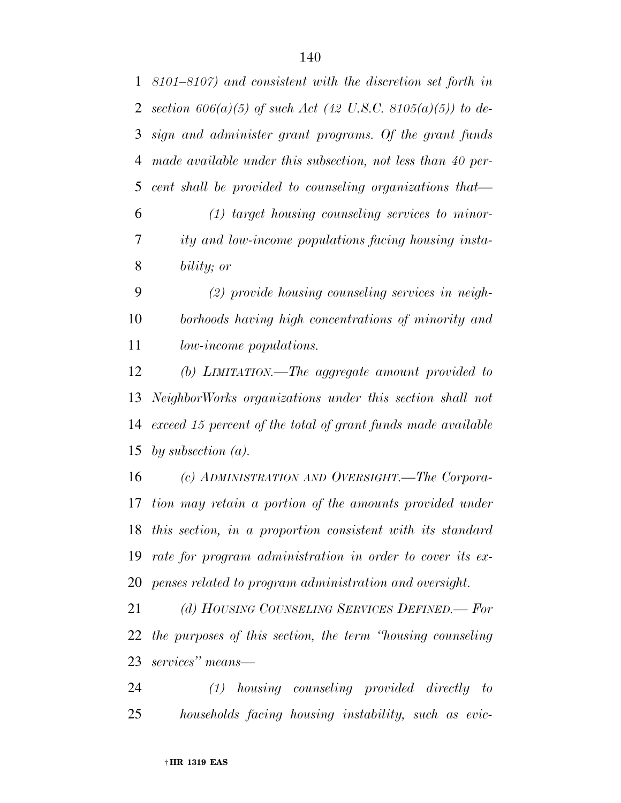|    | 1 8101–8107) and consistent with the discretion set forth in    |
|----|-----------------------------------------------------------------|
|    | 2 section $606(a)(5)$ of such Act (42 U.S.C. 8105(a)(5)) to de- |
|    | 3 sign and administer grant programs. Of the grant funds        |
| 4  | made available under this subsection, not less than 40 per-     |
| 5  | cent shall be provided to counseling organizations that         |
| 6  | $(1)$ target housing counseling services to minor-              |
| 7  | ity and low-income populations facing housing insta-            |
| 8  | bility; or                                                      |
| 9  | $(2)$ provide housing counseling services in neigh-             |
| 10 | borhoods having high concentrations of minority and             |
| 11 | <i>low-income populations.</i>                                  |
| 12 | (b) LIMITATION.—The aggregate amount provided to                |
| 13 | NeighborWorks organizations under this section shall not        |

 *exceed 15 percent of the total of grant funds made available by subsection (a).* 

 *(c) ADMINISTRATION AND OVERSIGHT.—The Corpora- tion may retain a portion of the amounts provided under this section, in a proportion consistent with its standard rate for program administration in order to cover its ex-penses related to program administration and oversight.* 

 *(d) HOUSING COUNSELING SERVICES DEFINED.— For the purposes of this section, the term ''housing counseling services'' means—* 

 *(1) housing counseling provided directly to households facing housing instability, such as evic-*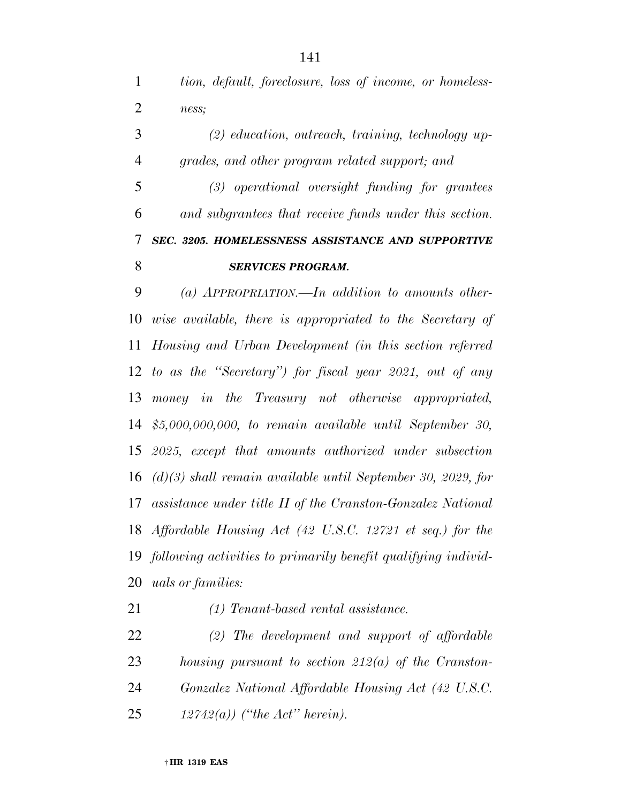*tion, default, foreclosure, loss of income, or homeless-ness;* 

 *(2) education, outreach, training, technology up-grades, and other program related support; and* 

 *(3) operational oversight funding for grantees and subgrantees that receive funds under this section. SEC. 3205. HOMELESSNESS ASSISTANCE AND SUPPORTIVE*  **SERVICES PROGRAM.** 

 *(a) APPROPRIATION.—In addition to amounts other- wise available, there is appropriated to the Secretary of Housing and Urban Development (in this section referred to as the ''Secretary'') for fiscal year 2021, out of any money in the Treasury not otherwise appropriated, \$5,000,000,000, to remain available until September 30, 2025, except that amounts authorized under subsection (d)(3) shall remain available until September 30, 2029, for assistance under title II of the Cranston-Gonzalez National Affordable Housing Act (42 U.S.C. 12721 et seq.) for the following activities to primarily benefit qualifying individ-uals or families:* 

*(1) Tenant-based rental assistance.* 

 *(2) The development and support of affordable housing pursuant to section 212(a) of the Cranston- Gonzalez National Affordable Housing Act (42 U.S.C. 12742(a)) (''the Act'' herein).*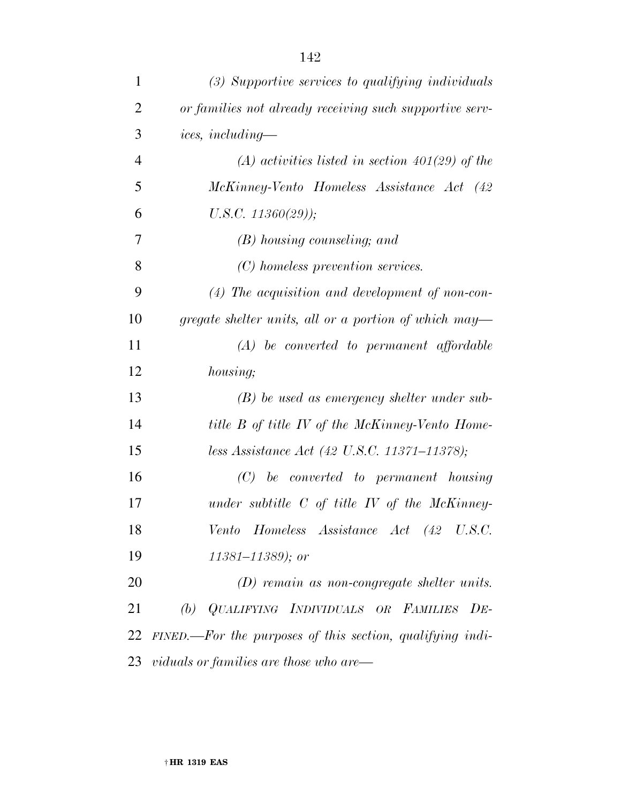| 1              | (3) Supportive services to qualifying individuals         |
|----------------|-----------------------------------------------------------|
| $\overline{2}$ | or families not already receiving such supportive serv-   |
| 3              | <i>ices, including—</i>                                   |
| $\overline{4}$ | $(A)$ activities listed in section 401(29) of the         |
| 5              | McKinney-Vento Homeless Assistance Act (42                |
| 6              | $U.S.C. 11360(29)$ );                                     |
| 7              | (B) housing counseling; and                               |
| 8              | (C) homeless prevention services.                         |
| 9              | $(4)$ The acquisition and development of non-con-         |
| 10             | gregate shelter units, all or a portion of which may—     |
| 11             | $(A)$ be converted to permanent affordable                |
| 12             | <i>housing</i> ;                                          |
| 13             | $(B)$ be used as emergency shelter under sub-             |
| 14             | title B of title IV of the McKinney-Vento Home-           |
| 15             | less Assistance Act (42 U.S.C. 11371–11378);              |
| 16             | $(C)$ be converted to permanent housing                   |
| 17             | under subtitle $C$ of title $IV$ of the McKinney-         |
| 18             | Vento Homeless Assistance Act (42 U.S.C.                  |
| 19             | $11381 - 11389$ ; or                                      |
| 20             | $(D)$ remain as non-congregate shelter units.             |
| 21             | (b) QUALIFYING INDIVIDUALS OR FAMILIES DE-                |
| 22             | FINED.—For the purposes of this section, qualifying indi- |
|                | $23 \;$ viduals or families are those who are—            |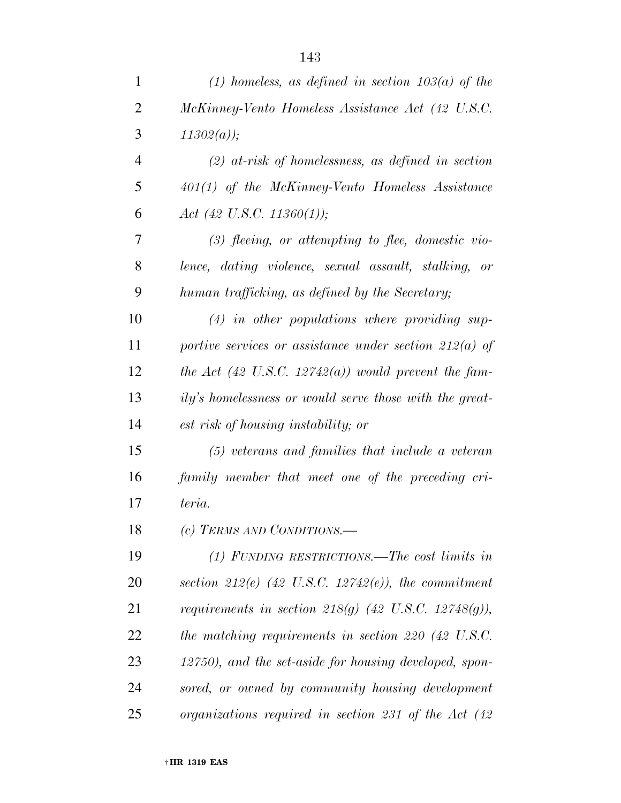| $\mathbf{1}$   | (1) homeless, as defined in section $103(a)$ of the             |
|----------------|-----------------------------------------------------------------|
| $\overline{2}$ | McKinney-Vento Homeless Assistance Act (42 U.S.C.               |
| 3              | $11302(a)$ ;                                                    |
| $\overline{4}$ | $(2)$ at-risk of homelessness, as defined in section            |
| 5              | $401(1)$ of the McKinney-Vento Homeless Assistance              |
| 6              | Act (42 U.S.C. 11360(1));                                       |
| 7              | $(3)$ fleeing, or attempting to flee, domestic vio-             |
| 8              | lence, dating violence, sexual assault, stalking, or            |
| 9              | human trafficking, as defined by the Secretary;                 |
| 10             | $(4)$ in other populations where providing sup-                 |
| 11             | portive services or assistance under section $212(a)$ of        |
| 12             | the Act (42 U.S.C. 12742(a)) would prevent the fam-             |
| 13             | ily's homelessness or would serve those with the great-         |
| 14             | est risk of housing instability; or                             |
| 15             | $(5)$ veterans and families that include a veteran              |
| 16             | family member that meet one of the preceding cri-               |
| 17             | teria.                                                          |
| 18             | (c) TERMS AND CONDITIONS.-                                      |
| 19             | (1) FUNDING RESTRICTIONS.—The cost limits in                    |
| 20             | section 212(e) $(42 \text{ U.S.C. } 12742(e))$ , the commitment |
| 21             | requirements in section 218(g) $(42 \text{ U.S.C. } 12748(g)),$ |
| 22             | the matching requirements in section 220 $(42 \text{ U.S.C.})$  |
| 23             | 12750), and the set-aside for housing developed, spon-          |
| 24             | sored, or owned by community housing development                |
| 25             | organizations required in section 231 of the Act $(42)$         |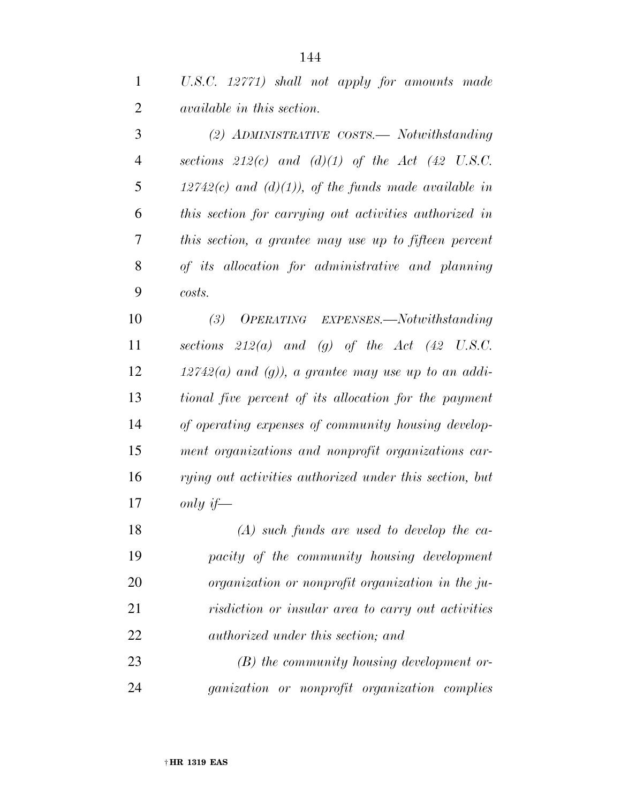*U.S.C. 12771) shall not apply for amounts made available in this section.* 

 *(2) ADMINISTRATIVE COSTS.— Notwithstanding sections 212(c) and (d)(1) of the Act (42 U.S.C. 12742(c) and (d)(1)), of the funds made available in this section for carrying out activities authorized in this section, a grantee may use up to fifteen percent of its allocation for administrative and planning costs.* 

 *(3) OPERATING EXPENSES.—Notwithstanding sections 212(a) and (g) of the Act (42 U.S.C. 12742(a) and (g)), a grantee may use up to an addi- tional five percent of its allocation for the payment of operating expenses of community housing develop- ment organizations and nonprofit organizations car- rying out activities authorized under this section, but only if—* 

 *(A) such funds are used to develop the ca- pacity of the community housing development organization or nonprofit organization in the ju- risdiction or insular area to carry out activities authorized under this section; and* 

 *(B) the community housing development or-ganization or nonprofit organization complies*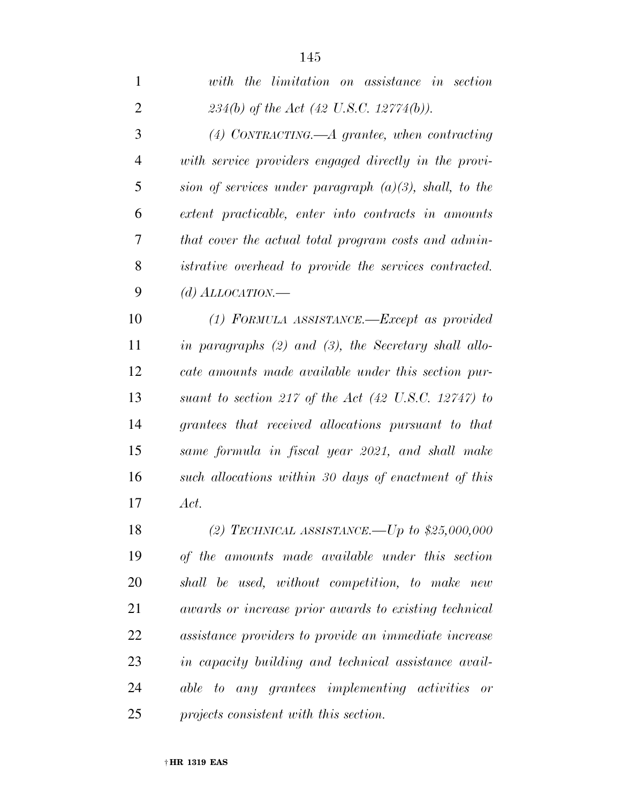| 1              | with the limitation on assistance in section                    |
|----------------|-----------------------------------------------------------------|
| $\overline{2}$ | 234(b) of the Act (42 U.S.C. 12774(b)).                         |
| 3              | $(4)$ CONTRACTING.—A grantee, when contracting                  |
| 4              | with service providers engaged directly in the provi-           |
| 5              | sion of services under paragraph $(a)(3)$ , shall, to the       |
| 6              | extent practicable, enter into contracts in amounts             |
| 7              | that cover the actual total program costs and admin-            |
| 8              | <i>istrative overhead to provide the services contracted.</i>   |
| 9              | (d) $ALLOCATION$ .                                              |
| 10             | (1) FORMULA ASSISTANCE.—Except as provided                      |
| 11             | in paragraphs $(2)$ and $(3)$ , the Secretary shall allo-       |
| 12             | cate amounts made available under this section pur-             |
| 13             | suant to section 217 of the Act $(42 \text{ U.S.C. } 12747)$ to |
| 14             | grantees that received allocations pursuant to that             |
| 15             | same formula in fiscal year 2021, and shall make                |
| 16             | such allocations within 30 days of enactment of this            |
| 17             | Act.                                                            |
| 18             | (2) TECHNICAL ASSISTANCE.—Up to $$25,000,000$                   |
| 19             | of the amounts made available under this section                |
| 20             | shall be used, without competition, to make new                 |
| 21             | awards or increase prior awards to existing technical           |
| 22             | assistance providers to provide an immediate increase           |

 *in capacity building and technical assistance avail- able to any grantees implementing activities or projects consistent with this section.*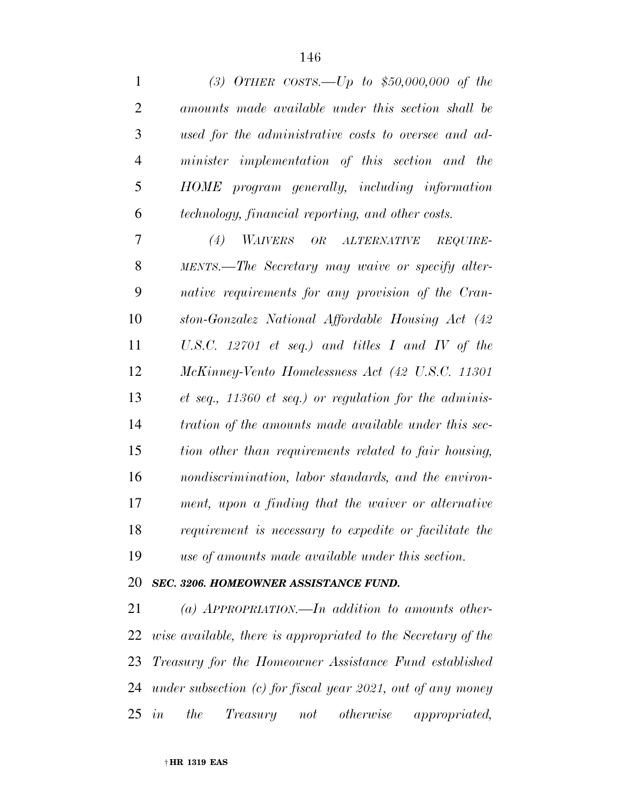| $\mathbf{1}$   | (3) OTHER COSTS.—Up to $$50,000,000$ of the                       |
|----------------|-------------------------------------------------------------------|
| $\overline{2}$ | amounts made available under this section shall be                |
| 3              | used for the administrative costs to oversee and ad-              |
| 4              | minister implementation of this section and the                   |
| 5              | HOME program generally, including information                     |
| 6              | technology, financial reporting, and other costs.                 |
| 7              | WAIVERS OR ALTERNATIVE<br>(4)<br>REQUIRE-                         |
| 8              | MENTS.—The Secretary may waive or specify alter-                  |
| 9              | native requirements for any provision of the Cran-                |
| 10             | ston-Gonzalez National Affordable Housing Act (42)                |
| 11             | U.S.C. 12701 et seq.) and titles I and IV of the                  |
| 12             | McKinney-Vento Homelessness Act (42 U.S.C. 11301                  |
| 13             | $et\ seq.,\ 11360\ et\ seq.)\ or\ regulation\ for\ the\ adminis-$ |
| 14             | tration of the amounts made available under this sec-             |
| 15             | tion other than requirements related to fair housing,             |
| 16             | nondiscrimination, labor standards, and the environ-              |
| 17             | ment, upon a finding that the waiver or alternative               |
| 18             | requirement is necessary to expedite or facilitate the            |
| 19             | use of amounts made available under this section.                 |
| 20             | <b>SEC. 3206. HOMEOWNER ASSISTANCE FUND.</b>                      |
| 21             | (a) APPROPRIATION.—In addition to amounts other-                  |

 *wise available, there is appropriated to the Secretary of the Treasury for the Homeowner Assistance Fund established under subsection (c) for fiscal year 2021, out of any money in the Treasury not otherwise appropriated,*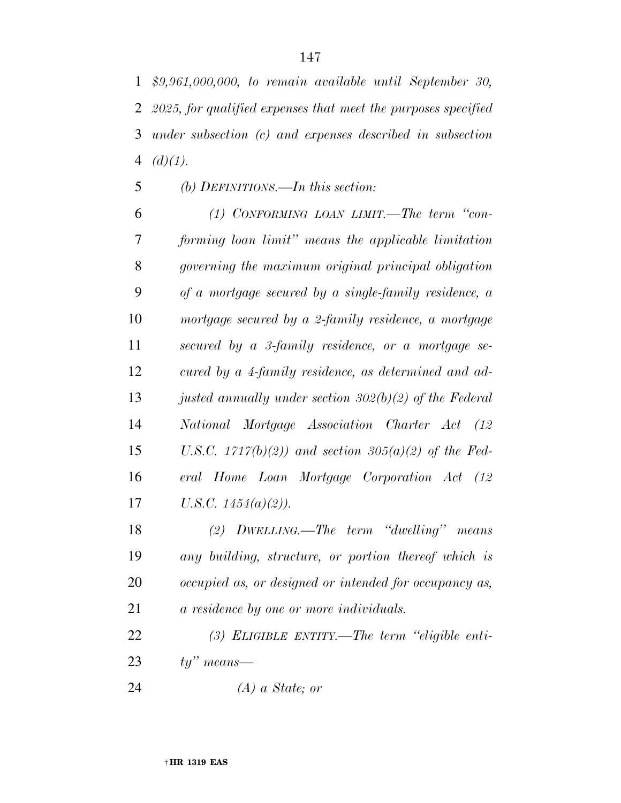*\$9,961,000,000, to remain available until September 30, 2025, for qualified expenses that meet the purposes specified under subsection (c) and expenses described in subsection (d)(1).* 

## *(b) DEFINITIONS.—In this section:*

 *(1) CONFORMING LOAN LIMIT.—The term ''con- forming loan limit'' means the applicable limitation governing the maximum original principal obligation of a mortgage secured by a single-family residence, a mortgage secured by a 2-family residence, a mortgage secured by a 3-family residence, or a mortgage se- cured by a 4-family residence, as determined and ad- justed annually under section 302(b)(2) of the Federal National Mortgage Association Charter Act (12 U.S.C. 1717(b)(2)) and section 305(a)(2) of the Fed- eral Home Loan Mortgage Corporation Act (12 U.S.C. 1454(a)(2)).* 

 *(2) DWELLING.—The term ''dwelling'' means any building, structure, or portion thereof which is occupied as, or designed or intended for occupancy as, a residence by one or more individuals.* 

 *(3) ELIGIBLE ENTITY.—The term ''eligible enti-ty'' means—* 

*(A) a State; or*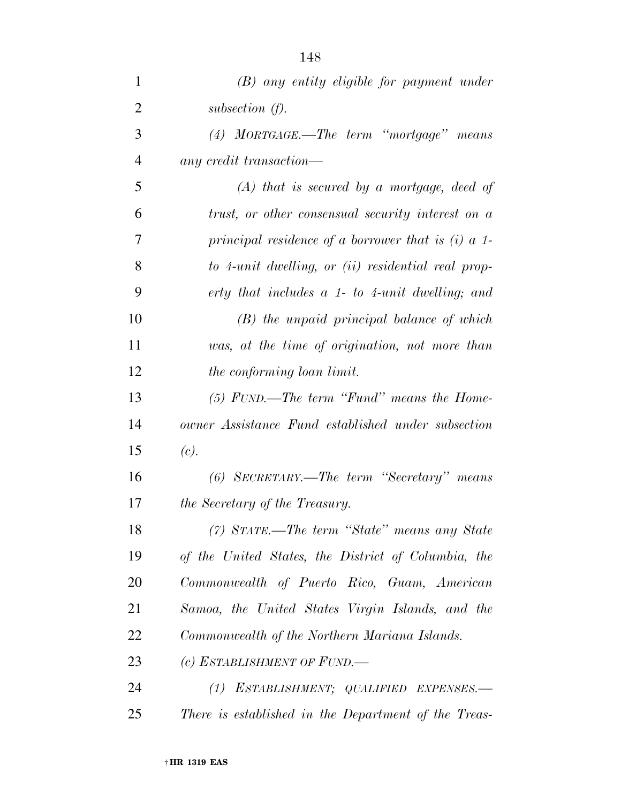| $\mathbf{1}$   | $(B)$ any entity eligible for payment under          |
|----------------|------------------------------------------------------|
| $\overline{2}$ | subsection $(f)$ .                                   |
| 3              | $(4)$ MORTGAGE.—The term "mortgage" means            |
| $\overline{4}$ | any credit transaction—                              |
| 5              | $(A)$ that is secured by a mortgage, deed of         |
| 6              | trust, or other consensual security interest on a    |
| 7              | principal residence of a borrower that is $(i)$ a 1- |
| 8              | to 4-unit dwelling, or (ii) residential real prop-   |
| 9              | erty that includes a 1- to 4-unit dwelling; and      |
| 10             | $(B)$ the unpaid principal balance of which          |
| 11             | was, at the time of origination, not more than       |
| 12             | the conforming loan limit.                           |
| 13             | $(5)$ FUND.—The term "Fund" means the Home-          |
| 14             | owner Assistance Fund established under subsection   |
| 15             | (c).                                                 |
| 16             | (6) SECRETARY.—The term "Secretary" means            |
| 17             | the Secretary of the Treasury.                       |
| 18             | (7) STATE.—The term "State" means any State          |
| 19             | of the United States, the District of Columbia, the  |
| 20             | Commonwealth of Puerto Rico, Guam, American          |
| 21             | Samoa, the United States Virgin Islands, and the     |
| 22             | Commonwealth of the Northern Mariana Islands.        |
| 23             | (c) ESTABLISHMENT OF FUND.—                          |
| 24             | (1) ESTABLISHMENT; QUALIFIED EXPENSES.-              |
| 25             | There is established in the Department of the Treas- |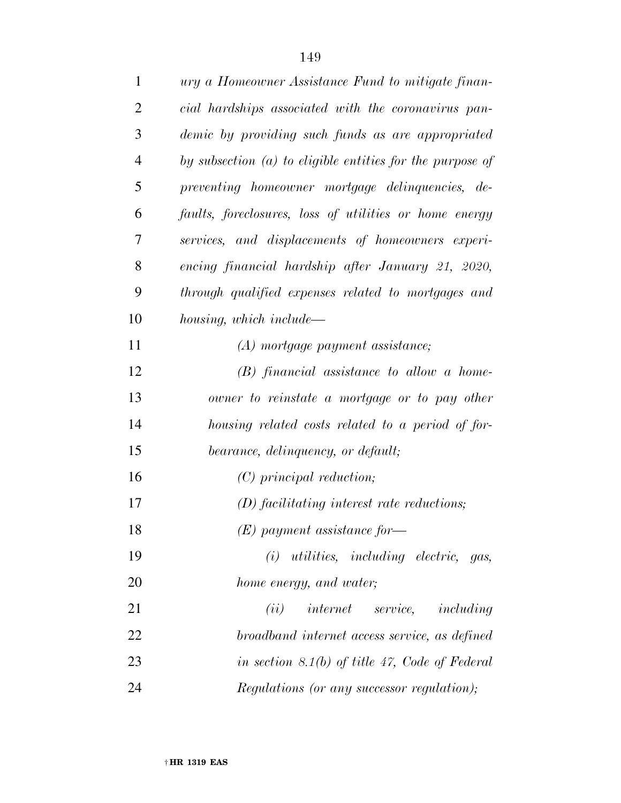| $\mathbf{1}$   | ury a Homeowner Assistance Fund to mitigate finan-          |
|----------------|-------------------------------------------------------------|
| $\overline{2}$ | cial hardships associated with the coronavirus pan-         |
| 3              | demic by providing such funds as are appropriated           |
| $\overline{4}$ | by subsection $(a)$ to eligible entities for the purpose of |
| 5              | preventing homeowner mortgage delinquencies, de-            |
| 6              | faults, foreclosures, loss of utilities or home energy      |
| 7              | services, and displacements of homeowners experi-           |
| 8              | encing financial hardship after January 21, 2020,           |
| 9              | through qualified expenses related to mortgages and         |
| 10             | housing, which include—                                     |
| 11             | (A) mortgage payment assistance;                            |
| 12             | $(B)$ financial assistance to allow a home-                 |
| 13             | owner to reinstate a mortgage or to pay other               |
| 14             | housing related costs related to a period of for-           |
| 15             | bearance, delinquency, or default;                          |
| 16             | $(C)$ principal reduction;                                  |
| 17             | $(D)$ facilitating interest rate reductions;                |
| 18             | $(E)$ payment assistance for-                               |
| 19             | $(i)$ utilities, including electric, gas,                   |
| 20             | home energy, and water;                                     |
| 21             | $(ii)$ internet service, including                          |
| 22             | broadband internet access service, as defined               |
| 23             | in section 8.1(b) of title 47, Code of Federal              |
| 24             | Regulations (or any successor regulation);                  |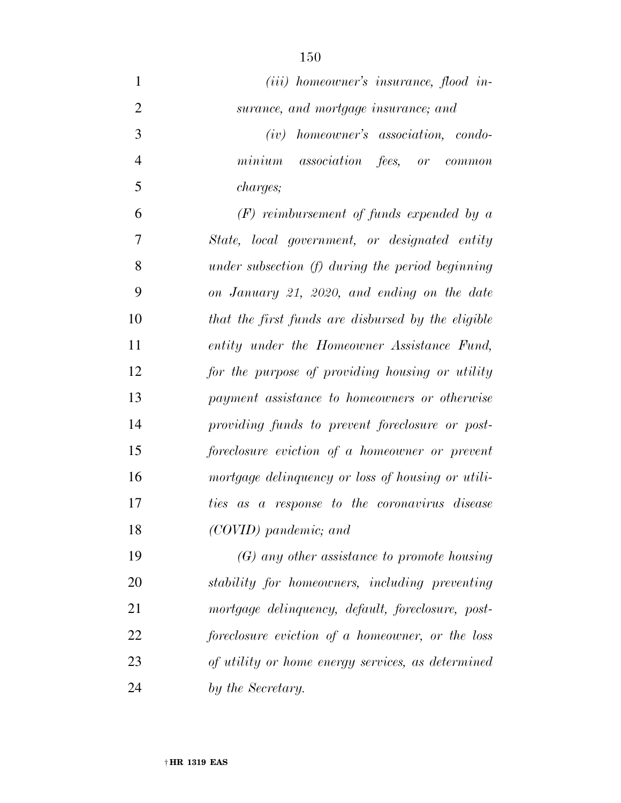| $\mathbf{1}$   | $(iii)$ homeowner's insurance, flood in-           |
|----------------|----------------------------------------------------|
| $\overline{2}$ | surance, and mortgage insurance; and               |
| 3              | homeowner's association, condo-<br>(iv)            |
| $\overline{4}$ | minimum<br><i>association fees, or common</i>      |
| 5              | <i>charges</i> ;                                   |
| 6              | $(F)$ reimbursement of funds expended by a         |
| 7              | State, local government, or designated entity      |
| 8              | under subsection $(f)$ during the period beginning |
| 9              | on January 21, 2020, and ending on the date        |
| 10             | that the first funds are disbursed by the eligible |
| 11             | entity under the Homeowner Assistance Fund,        |
| 12             | for the purpose of providing housing or utility    |
| 13             | payment assistance to homeowners or otherwise      |
| 14             | providing funds to prevent foreclosure or post-    |
| 15             | foreclosure eviction of a homeowner or prevent     |
| 16             | mortgage delinquency or loss of housing or utili-  |
| 17             | a response to the coronavirus disease<br>ties as   |
| 18             | (COVID) pandemic; and                              |
| 19             | $(G)$ any other assistance to promote housing      |
| 20             | stability for homeowners, including preventing     |
| 21             | mortgage delinquency, default, foreclosure, post-  |
| 22             | foreclosure eviction of a homeowner, or the loss   |
| 23             | of utility or home energy services, as determined  |
| 24             | by the Secretary.                                  |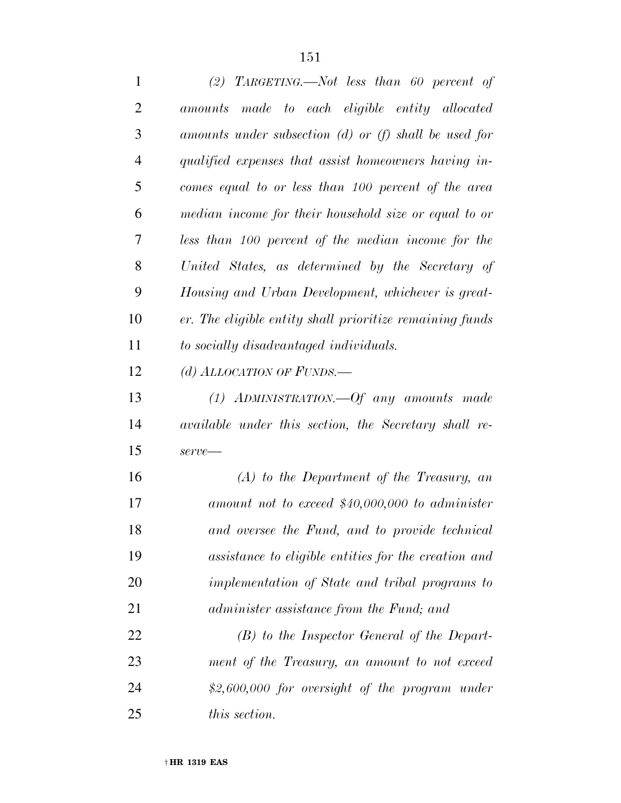| 1              | (2) TARGETING.—Not less than 60 percent of               |
|----------------|----------------------------------------------------------|
| $\overline{2}$ | amounts made to each eligible entity allocated           |
| 3              | amounts under subsection (d) or (f) shall be used for    |
| $\overline{4}$ | qualified expenses that assist homeowners having in-     |
| 5              | comes equal to or less than 100 percent of the area      |
| 6              | median income for their household size or equal to or    |
| 7              | less than 100 percent of the median income for the       |
| 8              | United States, as determined by the Secretary of         |
| 9              | Housing and Urban Development, whichever is great-       |
| 10             | er. The eligible entity shall prioritize remaining funds |
| 11             | to socially disadvantaged individuals.                   |
| 12             | (d) ALLOCATION OF FUNDS.—                                |
| 13             | $(1)$ ADMINISTRATION.—Of any amounts made                |
| 14             | available under this section, the Secretary shall re-    |
| 15             | $serve$ —                                                |
| 16             | $(A)$ to the Department of the Treasury, an              |
| 17             | amount not to exceed $$40,000,000$ to administer         |
| 18             | and oversee the Fund, and to provide technical           |
| 19             | assistance to eligible entities for the creation and     |
| 20             | implementation of State and tribal programs to           |
| 21             | administer assistance from the Fund; and                 |
| 22             | $(B)$ to the Inspector General of the Depart-            |
| 23             | ment of the Treasury, an amount to not exceed            |
| 24             | $$2,600,000$ for oversight of the program under          |
| 25             | this section.                                            |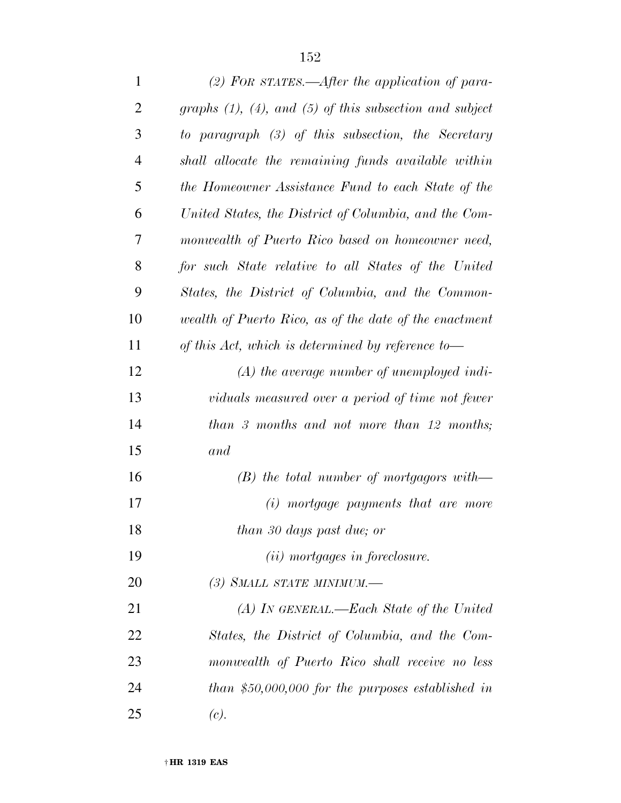| $\mathbf{1}$   | (2) FOR STATES.—After the application of para-                  |
|----------------|-----------------------------------------------------------------|
| $\overline{2}$ | graphs $(1)$ , $(4)$ , and $(5)$ of this subsection and subject |
| 3              | to paragraph $(3)$ of this subsection, the Secretary            |
| $\overline{4}$ | shall allocate the remaining funds available within             |
| 5              | the Homeowner Assistance Fund to each State of the              |
| 6              | United States, the District of Columbia, and the Com-           |
| 7              | monwealth of Puerto Rico based on homeowner need,               |
| 8              | for such State relative to all States of the United             |
| 9              | States, the District of Columbia, and the Common-               |
| 10             | wealth of Puerto Rico, as of the date of the enactment          |
| 11             | of this Act, which is determined by reference to-               |
| 12             | $(A)$ the average number of unemployed indi-                    |
| 13             | viduals measured over a period of time not fewer                |
| 14             | than 3 months and not more than 12 months;                      |
| 15             | and                                                             |
| 16             | $(B)$ the total number of mortgagors with—                      |
| 17             | (i) mortgage payments that are more                             |
| 18             | than 30 days past due; or                                       |
| 19             | $(ii)$ mortgages in foreclosure.                                |
| 20             | (3) SMALL STATE MINIMUM.-                                       |
| 21             | $(A)$ In GENERAL.—Each State of the United                      |
| 22             | States, the District of Columbia, and the Com-                  |
| 23             | monwealth of Puerto Rico shall receive no less                  |
| 24             | than \$50,000,000 for the purposes established in               |
| 25             | (c).                                                            |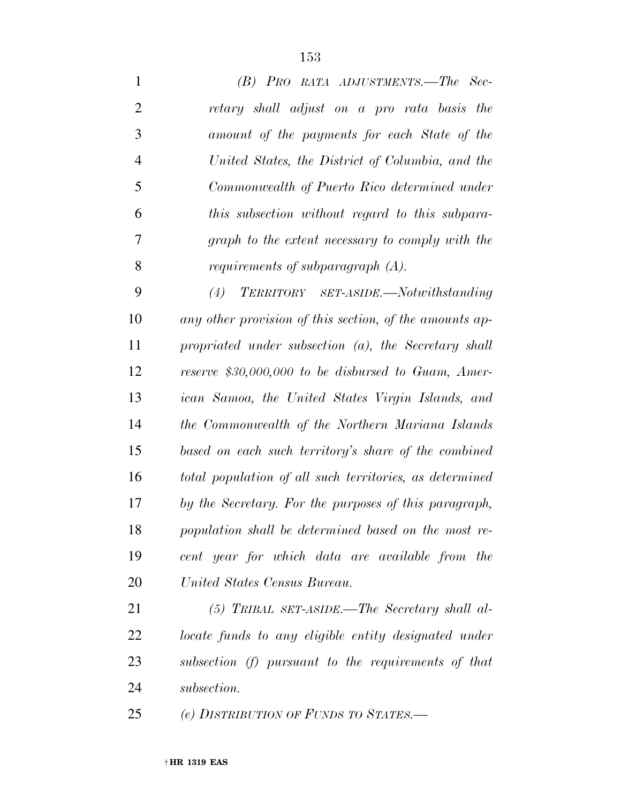| $\mathbf{1}$   | (B) PRO RATA ADJUSTMENTS.—The Sec-                      |
|----------------|---------------------------------------------------------|
| $\overline{2}$ | retary shall adjust on a pro rata basis the             |
| 3              | amount of the payments for each State of the            |
| $\overline{4}$ | United States, the District of Columbia, and the        |
| 5              | Commonwealth of Puerto Rico determined under            |
| 6              | this subsection without regard to this subpara-         |
| 7              | graph to the extent necessary to comply with the        |
| 8              | requirements of subparagraph $(A)$ .                    |
| 9              | (4)<br>TERRITORY SET-ASIDE.—Notwithstanding             |
| 10             | any other provision of this section, of the amounts ap- |
| 11             | propriated under subsection $(a)$ , the Secretary shall |
| 12             | reserve \$30,000,000 to be disbursed to Guam, Amer-     |
| 13             | ican Samoa, the United States Virgin Islands, and       |
| 14             | the Commonwealth of the Northern Mariana Islands        |
| 15             | based on each such territory's share of the combined    |
| 16             | total population of all such territories, as determined |
| 17             | by the Secretary. For the purposes of this paragraph,   |
| 18             | population shall be determined based on the most re-    |
| 19             | cent year for which data are available from the         |
| 20             | United States Census Bureau.                            |
| 21             | $(5)$ TRIBAL SET-ASIDE.—The Secretary shall al-         |
| 22             | locate funds to any eligible entity designated under    |
| 23             | subsection (f) pursuant to the requirements of that     |
| 24             | subsection.                                             |
| 25             | (e) DISTRIBUTION OF FUNDS TO STATES.—                   |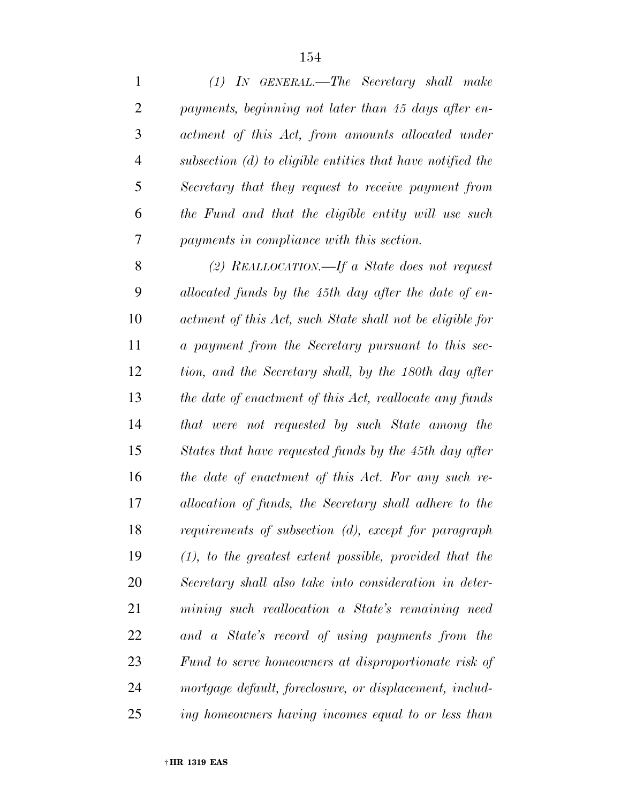| $\mathbf{1}$   | $(1)$ In GENERAL.—The Secretary shall make                   |
|----------------|--------------------------------------------------------------|
| $\overline{2}$ | payments, beginning not later than 45 days after en-         |
| 3              | actment of this Act, from amounts allocated under            |
| 4              | subsection $(d)$ to eligible entities that have notified the |
| 5              | Secretary that they request to receive payment from          |
| 6              | the Fund and that the eligible entity will use such          |
| 7              | payments in compliance with this section.                    |
| 8              | (2) REALLOCATION.—If a State does not request                |
| 9              | allocated funds by the 45th day after the date of en-        |
| 10             | actment of this Act, such State shall not be eligible for    |
| 11             | a payment from the Secretary pursuant to this sec-           |
| 12             | tion, and the Secretary shall, by the 180th day after        |
| 13             | the date of enactment of this Act, reallocate any funds      |
| 14             | that were not requested by such State among the              |
| 15             | States that have requested funds by the 45th day after       |
| 16             | the date of enactment of this Act. For any such re-          |
| 17             | allocation of funds, the Secretary shall adhere to the       |
| 18             | requirements of subsection (d), except for paragraph         |
| 19             | $(1)$ , to the greatest extent possible, provided that the   |
| 20             | Secretary shall also take into consideration in deter-       |
| 21             | mining such reallocation a State's remaining need            |
| 22             | and a State's record of using payments from the              |
| 23             | Fund to serve homeowners at disproportionate risk of         |
| 24             | mortgage default, foreclosure, or displacement, includ-      |
| 25             | ing homeowners having incomes equal to or less than          |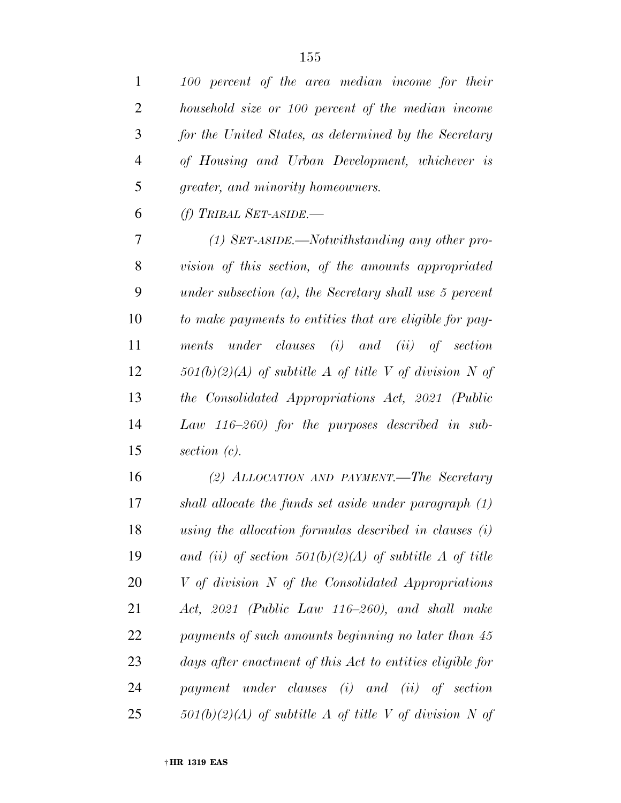| $\mathbf{1}$   | 100 percent of the area median income for their                 |
|----------------|-----------------------------------------------------------------|
| $\overline{2}$ | household size or 100 percent of the median income              |
| 3              | for the United States, as determined by the Secretary           |
| $\overline{4}$ | of Housing and Urban Development, whichever is                  |
| 5              | greater, and minority homeowners.                               |
| 6              | $(f)$ TRIBAL SET-ASIDE.-                                        |
| 7              | $(1)$ SET-ASIDE.—Notwithstanding any other pro-                 |
| 8              | vision of this section, of the amounts appropriated             |
| 9              | under subsection $(a)$ , the Secretary shall use 5 percent      |
| 10             | to make payments to entities that are eligible for pay-         |
| 11             | ments under clauses $(i)$ and $(ii)$ of section                 |
| 12             | $501(b)(2)(A)$ of subtitle A of title V of division N of        |
| 13             | the Consolidated Appropriations Act, 2021 (Public               |
| 14             | Law $116-260$ for the purposes described in sub-                |
| 15             | section $(c)$ .                                                 |
| 16             | (2) ALLOCATION AND PAYMENT.—The Secretary                       |
| 17             | $\phi$ shall allocate the funds set aside under paragraph $(1)$ |

 *shall allocate the funds set aside under paragraph (1) using the allocation formulas described in clauses (i) and (ii) of section 501(b)(2)(A) of subtitle A of title V of division N of the Consolidated Appropriations Act, 2021 (Public Law 116–260), and shall make payments of such amounts beginning no later than 45 days after enactment of this Act to entities eligible for payment under clauses (i) and (ii) of section 501(b)(2)(A) of subtitle A of title V of division N of*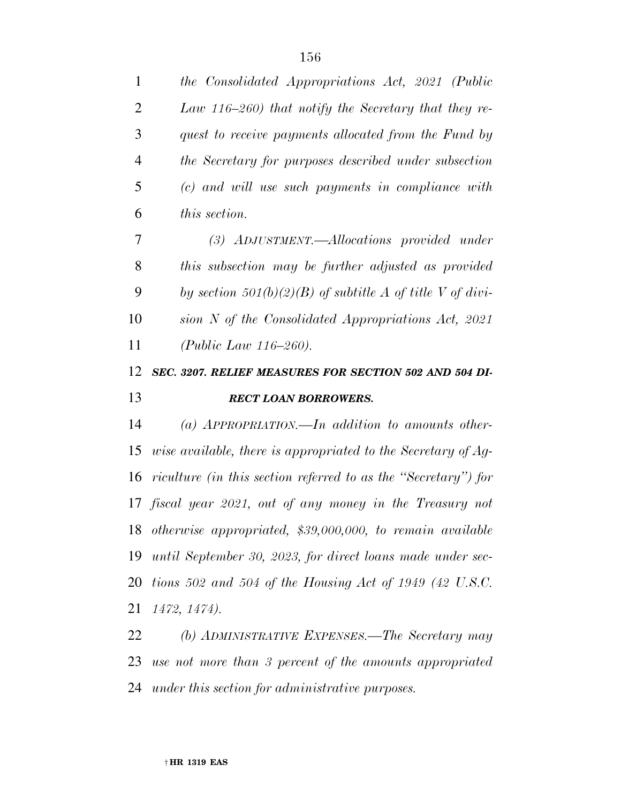| $\mathbf{1}$   | the Consolidated Appropriations Act, 2021 (Public              |
|----------------|----------------------------------------------------------------|
| $\overline{2}$ | Law 116–260) that notify the Secretary that they re-           |
| 3              | quest to receive payments allocated from the Fund by           |
| $\overline{4}$ | the Secretary for purposes described under subsection          |
| 5              | (c) and will use such payments in compliance with              |
| 6              | <i>this section.</i>                                           |
| 7              | (3) ADJUSTMENT.—Allocations provided under                     |
| 8              | this subsection may be further adjusted as provided            |
| 9              | by section 501(b)(2)(B) of subtitle A of title V of divi-      |
| 10             | sion $N$ of the Consolidated Appropriations Act, 2021          |
| 11             | ( <i>Public Law 116–260</i> ).                                 |
| 12             | SEC. 3207. RELIEF MEASURES FOR SECTION 502 AND 504 DI-         |
| 13             | <b>RECT LOAN BORROWERS.</b>                                    |
| 14             | (a) APPROPRIATION.—In addition to amounts other-               |
| 15             | wise available, there is appropriated to the Secretary of Aq-  |
| 16             | riculture (in this section referred to as the "Secretary") for |
|                | 17 fiscal year 2021, out of any money in the Treasury not      |
|                | 18 otherwise appropriated, \$39,000,000, to remain available   |
| 19             | until September 30, 2023, for direct loans made under sec-     |
| 20             |                                                                |
|                | tions 502 and 504 of the Housing Act of 1949 (42 U.S.C.        |

 *(b) ADMINISTRATIVE EXPENSES.—The Secretary may use not more than 3 percent of the amounts appropriated under this section for administrative purposes.*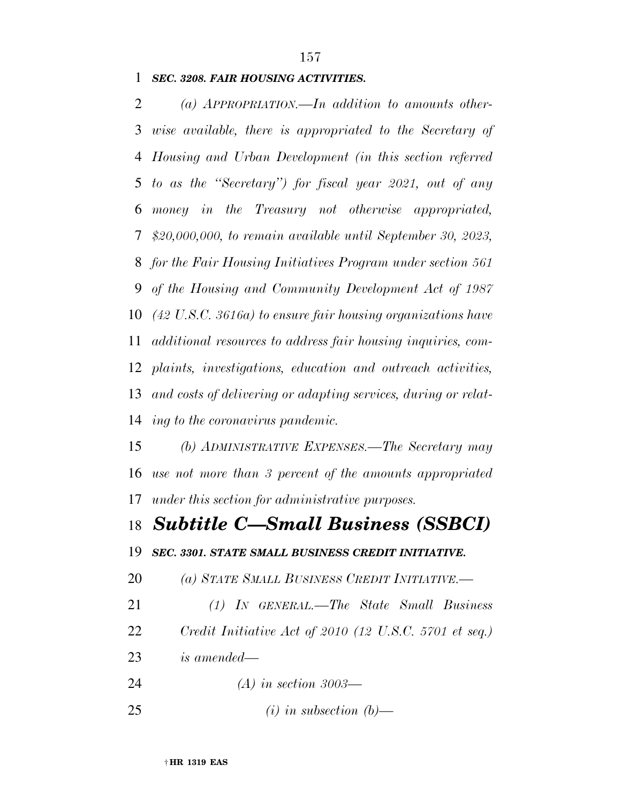## *SEC. 3208. FAIR HOUSING ACTIVITIES.*

 *(a) APPROPRIATION.—In addition to amounts other- wise available, there is appropriated to the Secretary of Housing and Urban Development (in this section referred to as the ''Secretary'') for fiscal year 2021, out of any money in the Treasury not otherwise appropriated, \$20,000,000, to remain available until September 30, 2023, for the Fair Housing Initiatives Program under section 561 of the Housing and Community Development Act of 1987 (42 U.S.C. 3616a) to ensure fair housing organizations have additional resources to address fair housing inquiries, com- plaints, investigations, education and outreach activities, and costs of delivering or adapting services, during or relat- ing to the coronavirus pandemic. (b) ADMINISTRATIVE EXPENSES.—The Secretary may use not more than 3 percent of the amounts appropriated under this section for administrative purposes. Subtitle C—Small Business (SSBCI) SEC. 3301. STATE SMALL BUSINESS CREDIT INITIATIVE. (a) STATE SMALL BUSINESS CREDIT INITIATIVE.— (1) IN GENERAL.—The State Small Business Credit Initiative Act of 2010 (12 U.S.C. 5701 et seq.) is amended— (A) in section 3003—* 

*(i) in subsection (b)—*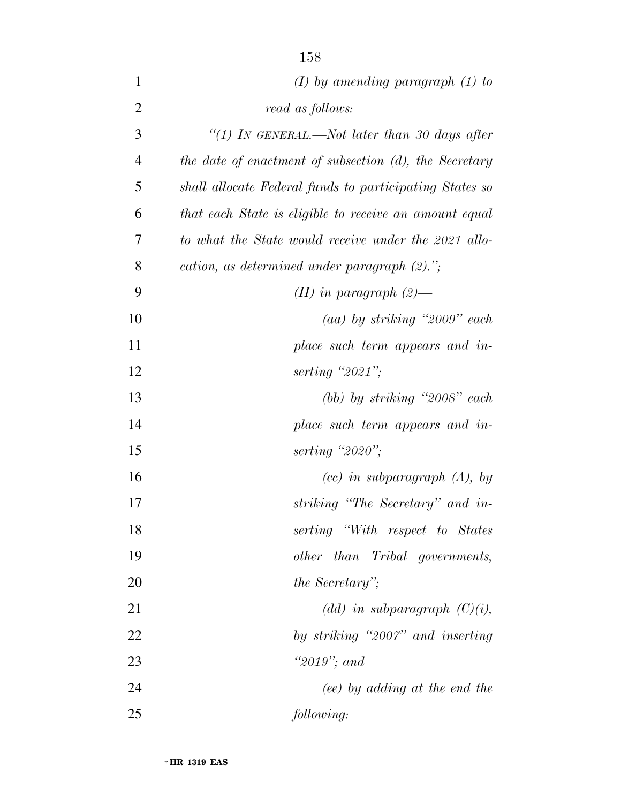| $\mathbf{1}$   | $(I)$ by amending paragraph $(I)$ to                    |
|----------------|---------------------------------------------------------|
| $\overline{2}$ | read as follows:                                        |
| 3              | "(1) IN GENERAL.—Not later than 30 days after           |
| $\overline{4}$ | the date of enactment of subsection (d), the Secretary  |
| 5              | shall allocate Federal funds to participating States so |
| 6              | that each State is eligible to receive an amount equal  |
| 7              | to what the State would receive under the 2021 allo-    |
| 8              | cation, as determined under paragraph (2).";            |
| 9              | $(II)$ in paragraph $(2)$ —                             |
| 10             | $(aa)$ by striking "2009" each                          |
| 11             | place such term appears and in-                         |
| 12             | serting "2021";                                         |
| 13             | (bb) by striking " $2008"$ each                         |
| 14             | place such term appears and in-                         |
| 15             | serting " $2020$ ";                                     |
| 16             | $(cc)$ in subparagraph $(A)$ , by                       |
| 17             | striking "The Secretary" and in-                        |
| 18             | serting "With respect to States"                        |
| 19             | other than Tribal governments,                          |
| 20             | the Secretary";                                         |
| 21             | $(dd)$ in subparagraph $(C)(i)$ ,                       |
| 22             | by striking "2007" and inserting                        |
| 23             | "2019"; and                                             |
| 24             | (ee) by adding at the end the                           |
| 25             | following:                                              |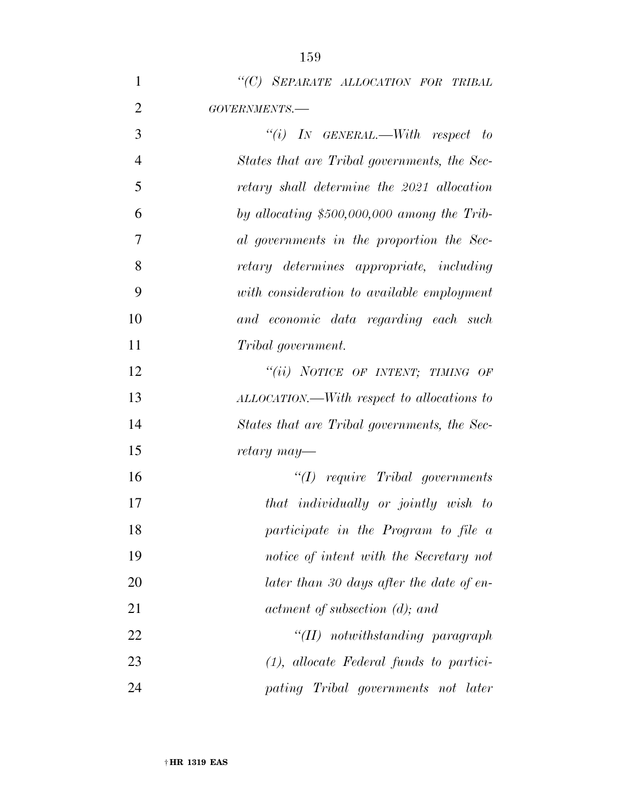| $\mathbf{1}$   | "(C) SEPARATE ALLOCATION FOR TRIBAL          |
|----------------|----------------------------------------------|
| $\overline{2}$ | GOVERNMENTS.-                                |
| 3              | "(i) IN GENERAL.—With respect to             |
| $\overline{4}$ | States that are Tribal governments, the Sec- |
| 5              | retary shall determine the 2021 allocation   |
| 6              | by allocating \$500,000,000 among the Trib-  |
| 7              | al governments in the proportion the Sec-    |
| 8              | retary determines appropriate, including     |
| 9              | with consideration to available employment   |
| 10             | and economic data regarding each such        |
| 11             | Tribal government.                           |
| 12             | "(ii) NOTICE OF INTENT; TIMING OF            |
| 13             | ALLOCATION.—With respect to allocations to   |
| 14             | States that are Tribal governments, the Sec- |
| 15             | retary may—                                  |
| 16             | $\lq (I)$ require Tribal governments         |
| 17             | that individually or jointly wish to         |
| 18             | participate in the Program to file a         |
| 19             | notice of intent with the Secretary not      |
| 20             | later than 30 days after the date of en-     |
| 21             | actment of subsection (d); and               |
| 22             | $``(II)$ notwithstanding paragraph           |
| 23             | $(1)$ , allocate Federal funds to partici-   |
| 24             | pating Tribal governments not later          |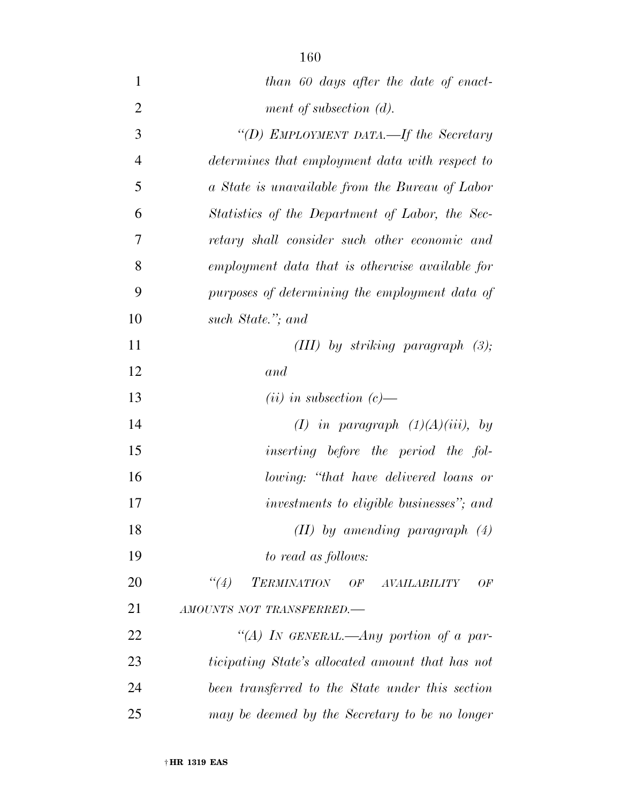- *than 60 days after the date of enact- ment of subsection (d). ''(D) EMPLOYMENT DATA.—If the Secretary determines that employment data with respect to a State is unavailable from the Bureau of Labor Statistics of the Department of Labor, the Sec-retary shall consider such other economic and*
- *employment data that is otherwise available for purposes of determining the employment data of such State.''; and*
- *(III) by striking paragraph (3); and*
- *(ii) in subsection (c)—*
- *(I) in paragraph (1)(A)(iii), by*
- *inserting before the period the fol- lowing: ''that have delivered loans or investments to eligible businesses''; and (II) by amending paragraph (4)*
- *to read as follows:*
- *''(4) TERMINATION OF AVAILABILITY OF AMOUNTS NOT TRANSFERRED.—*
- *''(A) IN GENERAL.—Any portion of a par- ticipating State's allocated amount that has not been transferred to the State under this section may be deemed by the Secretary to be no longer*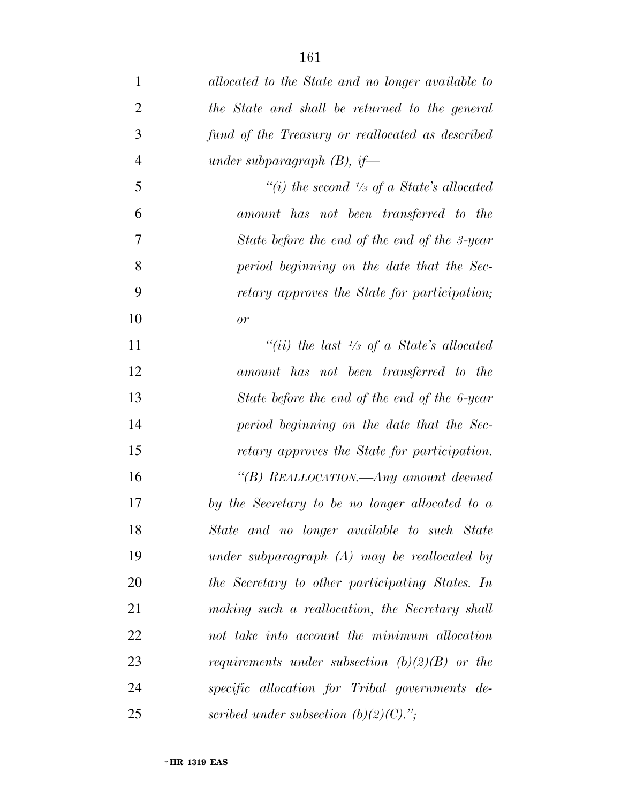| $\mathbf{1}$   | allocated to the State and no longer available to    |
|----------------|------------------------------------------------------|
| $\overline{2}$ | the State and shall be returned to the general       |
| 3              | fund of the Treasury or reallocated as described     |
| $\overline{4}$ | under subparagraph $(B)$ , if—                       |
| 5              | "(i) the second $\frac{1}{3}$ of a State's allocated |
| 6              | amount has not been transferred to the               |
| 7              | State before the end of the end of the 3-year        |
| 8              | period beginning on the date that the Sec-           |
| 9              | retary approves the State for participation;         |
| 10             | or                                                   |
| 11             | "(ii) the last $\frac{1}{3}$ of a State's allocated  |
| 12             | amount has not been transferred to the               |
| 13             | State before the end of the end of the 6-year        |
| 14             | period beginning on the date that the Sec-           |
| 15             | retary approves the State for participation.         |
| 16             | "(B) REALLOCATION.—Any amount deemed                 |
| 17             | by the Secretary to be no longer allocated to a      |
| 18             | State and no longer available to such State          |
| 19             | under subparagraph $(A)$ may be reallocated by       |
| 20             | the Secretary to other participating States. In      |
| 21             | making such a reallocation, the Secretary shall      |
| 22             | not take into account the minimum allocation         |
| 23             | requirements under subsection $(b)(2)(B)$ or the     |
| 24             | specific allocation for Tribal governments de-       |
| 25             | scribed under subsection $(b)(2)(C)$ .";             |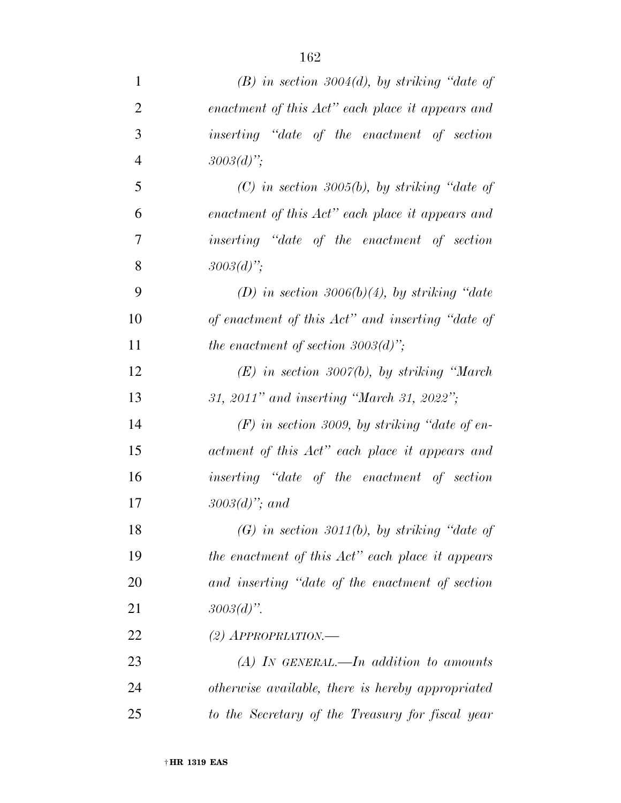| $\mathbf{1}$   | $(B)$ in section 3004(d), by striking "date of      |
|----------------|-----------------------------------------------------|
| $\overline{2}$ | enactment of this Act" each place it appears and    |
| 3              | <i>inserting</i> "date of the enactment of section" |
| $\overline{4}$ | $3003(d)$ ";                                        |
| 5              | $(C)$ in section 3005(b), by striking "date of      |
| 6              | enactment of this Act" each place it appears and    |
| 7              | inserting "date of the enactment of section         |
| 8              | $3003(d)$ ";                                        |
| 9              | (D) in section 3006(b)(4), by striking "date        |
| 10             | of enactment of this Act" and inserting "date of    |
| 11             | the enactment of section $3003(d)$ ";               |
| 12             | $(E)$ in section 3007(b), by striking "March"       |
| 13             | 31, 2011" and inserting "March 31, 2022";           |
| 14             | $(F)$ in section 3009, by striking "date of en-     |
| 15             | actment of this Act" each place it appears and      |
| 16             | inserting "date of the enactment of section         |
| 17             | $3003(d)$ "; and                                    |
| 18             | $(G)$ in section 3011(b), by striking "date of      |
| 19             | the enactment of this Act" each place it appears    |
| 20             | and inserting "date of the enactment of section     |
| 21             | $3003(d)$ ".                                        |
| 22             | $(2)$ APPROPRIATION.—                               |
| 23             | $(A)$ In GENERAL.—In addition to amounts            |
| 24             | otherwise available, there is hereby appropriated   |
| 25             | to the Secretary of the Treasury for fiscal year    |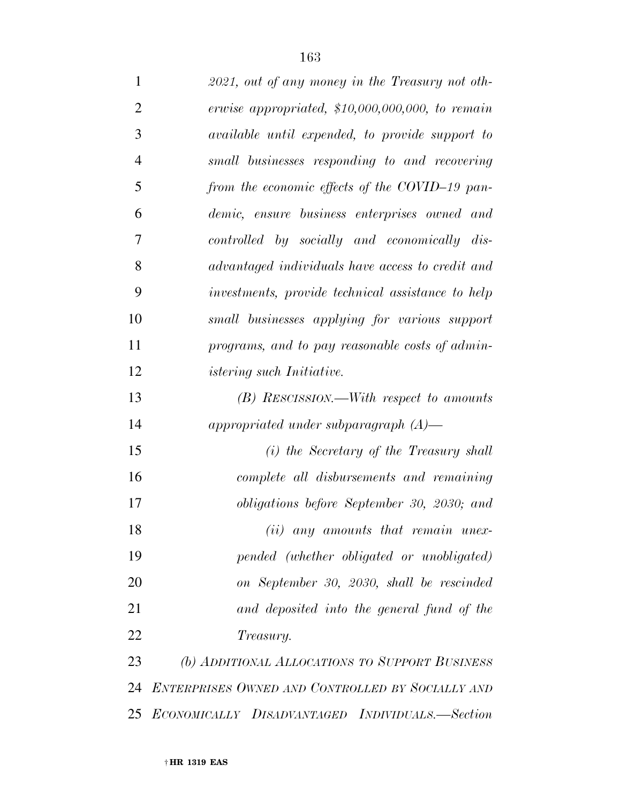| $\mathbf{1}$   | 2021, out of any money in the Treasury not oth-        |
|----------------|--------------------------------------------------------|
| $\overline{2}$ | erwise appropriated, $$10,000,000,000,$ to remain      |
| 3              | <i>available until expended, to provide support to</i> |
| $\overline{4}$ | small businesses responding to and recovering          |
| 5              | from the economic effects of the COVID-19 pan-         |
| 6              | demic, ensure business enterprises owned and           |
| 7              | controlled by socially and economically dis-           |
| 8              | advantaged individuals have access to credit and       |
| 9              | investments, provide technical assistance to help      |
| 10             | small businesses applying for various support          |
| 11             | programs, and to pay reasonable costs of admin-        |
| 12             | istering such Initiative.                              |
| 13             | (B) RESCISSION.—With respect to amounts                |
| 14             | appropriated under subparagraph $(A)$ —                |
| 15             | $(i)$ the Secretary of the Treasury shall              |
| 16             | complete all disbursements and remaining               |
| 17             | <i>obligations before September 30, 2030; and</i>      |
| 18             | $(ii)$ any amounts that remain unex-                   |
| 19             | pended (whether obligated or unobligated)              |
| 20             | on September 30, 2030, shall be rescinded              |
| 21             | and deposited into the general fund of the             |
| 22             | <i>Treasury.</i>                                       |
| 23             | (b) ADDITIONAL ALLOCATIONS TO SUPPORT BUSINESS         |
| 24             | ENTERPRISES OWNED AND CONTROLLED BY SOCIALLY AND       |
| 25             | ECONOMICALLY DISADVANTAGED INDIVIDUALS.-Section        |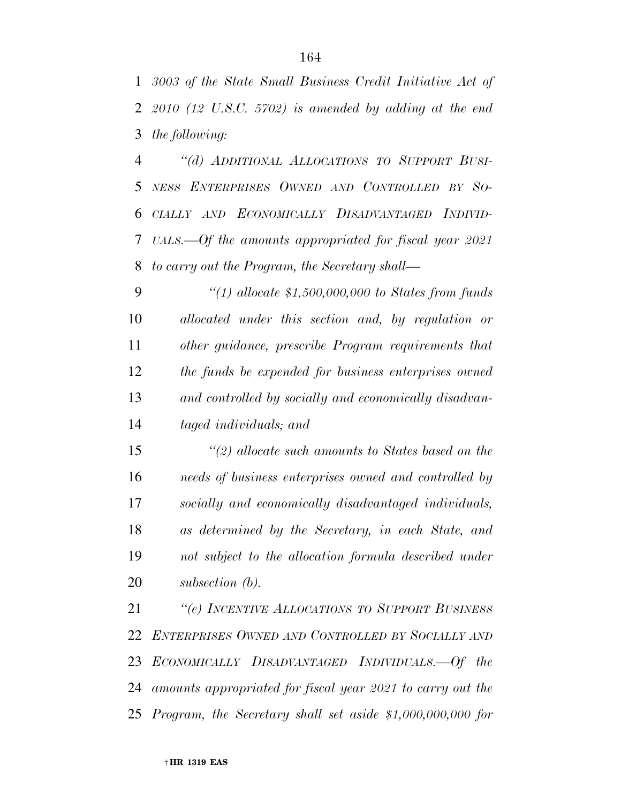*3003 of the State Small Business Credit Initiative Act of 2010 (12 U.S.C. 5702) is amended by adding at the end the following:* 

 *''(d) ADDITIONAL ALLOCATIONS TO SUPPORT BUSI- NESS ENTERPRISES OWNED AND CONTROLLED BY SO- CIALLY AND ECONOMICALLY DISADVANTAGED INDIVID- UALS.—Of the amounts appropriated for fiscal year 2021 to carry out the Program, the Secretary shall—* 

 *''(1) allocate \$1,500,000,000 to States from funds allocated under this section and, by regulation or other guidance, prescribe Program requirements that the funds be expended for business enterprises owned and controlled by socially and economically disadvan-taged individuals; and* 

 *''(2) allocate such amounts to States based on the needs of business enterprises owned and controlled by socially and economically disadvantaged individuals, as determined by the Secretary, in each State, and not subject to the allocation formula described under subsection (b).* 

 *''(e) INCENTIVE ALLOCATIONS TO SUPPORT BUSINESS ENTERPRISES OWNED AND CONTROLLED BY SOCIALLY AND ECONOMICALLY DISADVANTAGED INDIVIDUALS.—Of the amounts appropriated for fiscal year 2021 to carry out the Program, the Secretary shall set aside \$1,000,000,000 for*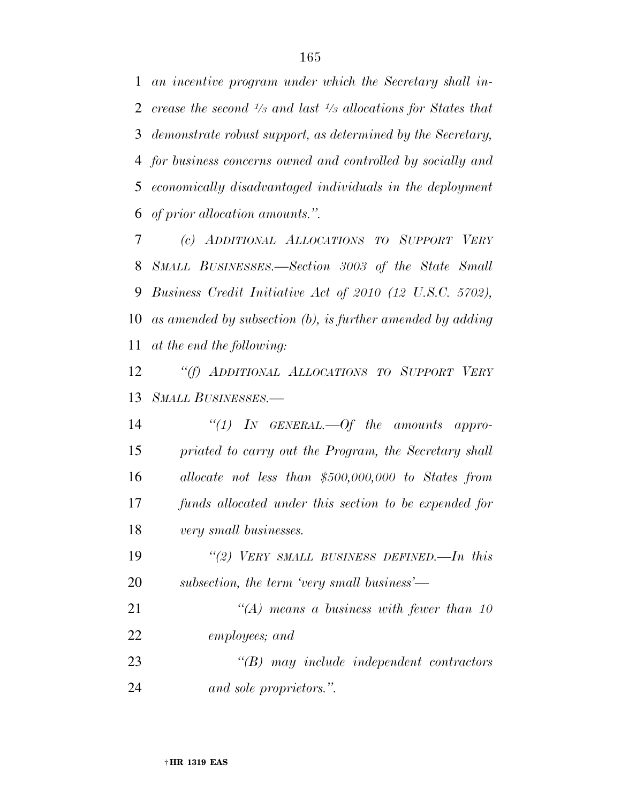*an incentive program under which the Secretary shall increase the second <sup>1</sup>/<sub>3</sub> and last <sup>1</sup>/<sub>3</sub> allocations for States that demonstrate robust support, as determined by the Secretary, for business concerns owned and controlled by socially and economically disadvantaged individuals in the deployment of prior allocation amounts.''.* 

 *(c) ADDITIONAL ALLOCATIONS TO SUPPORT VERY SMALL BUSINESSES.—Section 3003 of the State Small Business Credit Initiative Act of 2010 (12 U.S.C. 5702), as amended by subsection (b), is further amended by adding at the end the following:* 

 *''(f) ADDITIONAL ALLOCATIONS TO SUPPORT VERY SMALL BUSINESSES.—* 

 *''(1) IN GENERAL.—Of the amounts appro- priated to carry out the Program, the Secretary shall allocate not less than \$500,000,000 to States from funds allocated under this section to be expended for very small businesses.* 

 *''(2) VERY SMALL BUSINESS DEFINED.—In this subsection, the term 'very small business'—* 

 *''(A) means a business with fewer than 10 employees; and* 

 *''(B) may include independent contractors and sole proprietors.''.*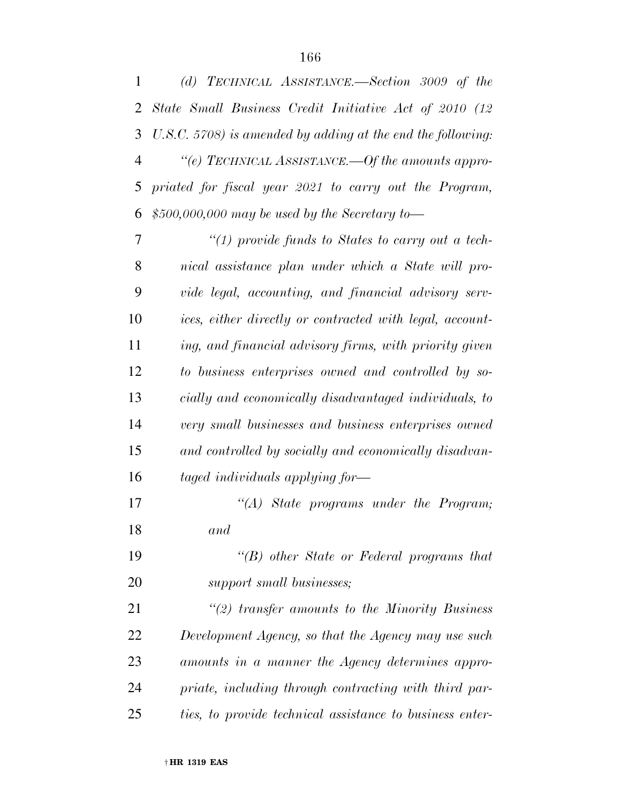| $\mathbf{1}$ | (d) TECHNICAL ASSISTANCE.—Section 3009 of the                  |
|--------------|----------------------------------------------------------------|
| 2            | State Small Business Credit Initiative Act of 2010 (12         |
| 3            | $U.S.C. 5708$ ) is amended by adding at the end the following: |
| 4            | "(e) TECHNICAL ASSISTANCE.—Of the amounts appro-               |
| 5            | priated for fiscal year 2021 to carry out the Program,         |
| 6            | $$500,000,000$ may be used by the Secretary to-                |
| 7            | "(1) provide funds to States to carry out a tech-              |
| 8            | nical assistance plan under which a State will pro-            |
| 9            | vide legal, accounting, and financial advisory serv-           |
| 10           | ices, either directly or contracted with legal, account-       |
| 11           | ing, and financial advisory firms, with priority given         |
| 12           | to business enterprises owned and controlled by so-            |
| 13           | cially and economically disadvantaged individuals, to          |
| 14           | very small businesses and business enterprises owned           |
| 15           | and controlled by socially and economically disadvan-          |
| 16           | taged individuals applying for-                                |
| 17           | $\lq (A)$ State programs under the Program;                    |
| 18           | and                                                            |
| 19           | $\lq\lq(B)$ other State or Federal programs that               |
| 20           | support small businesses;                                      |
| 21           | $\lq(2)$ transfer amounts to the Minority Business             |
| 22           | Development Agency, so that the Agency may use such            |
| 23           | amounts in a manner the Agency determines appro-               |
| 24           | priate, including through contracting with third par-          |
| 25           | ties, to provide technical assistance to business enter-       |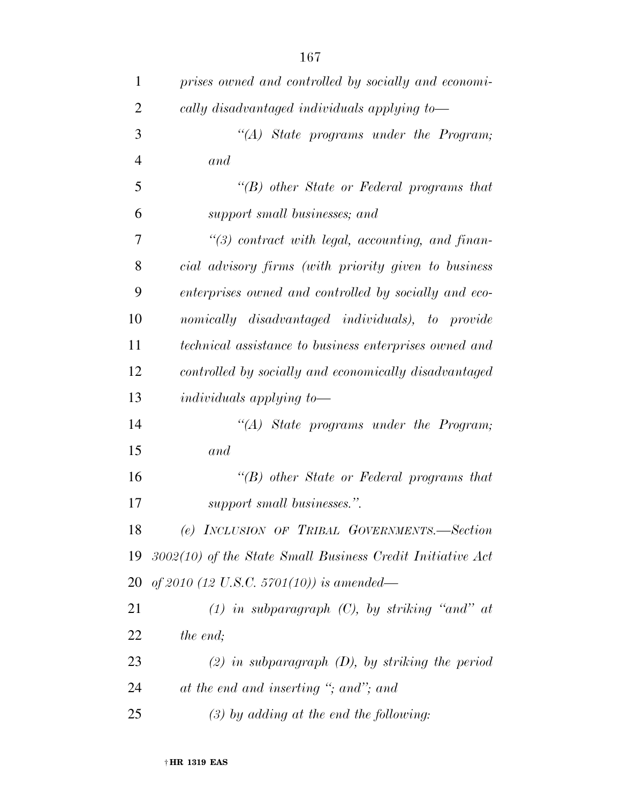| $\mathbf{1}$   | prises owned and controlled by socially and economi-          |
|----------------|---------------------------------------------------------------|
| $\overline{2}$ | cally disadvantaged individuals applying to-                  |
| 3              | "(A) State programs under the Program;                        |
| $\overline{4}$ | and                                                           |
| 5              | $\lq\lq(B)$ other State or Federal programs that              |
| 6              | support small businesses; and                                 |
| 7              | $\lq(3)$ contract with legal, accounting, and finan-          |
| 8              | cial advisory firms (with priority given to business          |
| 9              | enterprises owned and controlled by socially and eco-         |
| 10             | nomically disadvantaged individuals), to provide              |
| 11             | technical assistance to business enterprises owned and        |
| 12             | controlled by socially and economically disadvantaged         |
| 13             | individuals applying to-                                      |
| 14             | $\lq (A)$ State programs under the Program;                   |
| 15             | and                                                           |
| 16             | $\lq\lq(B)$ other State or Federal programs that              |
| 17             | support small businesses.".                                   |
| 18             | (e) INCLUSION OF TRIBAL GOVERNMENTS.—Section                  |
|                | 19 3002(10) of the State Small Business Credit Initiative Act |
|                | 20 of 2010 (12 U.S.C. 5701(10)) is amended—                   |
| 21             | $(1)$ in subparagraph $(C)$ , by striking "and" at            |
| 22             | <i>the end;</i>                                               |
| 23             | $(2)$ in subparagraph $(D)$ , by striking the period          |
| 24             | at the end and inserting "; and"; and                         |
| 25             | $(3)$ by adding at the end the following:                     |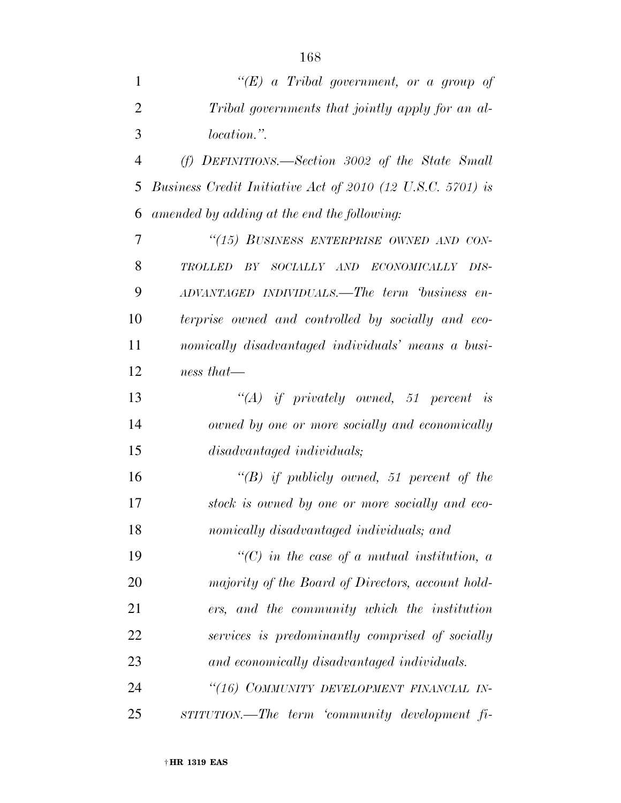| $\mathbf{1}$   | " $(E)$ a Tribal government, or a group of                 |
|----------------|------------------------------------------------------------|
| $\overline{2}$ | Tribal governments that jointly apply for an al-           |
| 3              | <i>location.</i> "                                         |
| $\overline{4}$ | (f) DEFINITIONS.—Section 3002 of the State Small           |
| 5              | Business Credit Initiative Act of 2010 (12 U.S.C. 5701) is |
| 6              | amended by adding at the end the following:                |
| 7              | "(15) BUSINESS ENTERPRISE OWNED AND CON-                   |
| 8              | TROLLED BY SOCIALLY AND<br>ECONOMICALLY DIS-               |
| 9              | ADVANTAGED INDIVIDUALS.—The term business en-              |
| 10             | terprise owned and controlled by socially and eco-         |
| 11             | nomically disadvantaged individuals' means a busi-         |
| 12             | $ness that$ —                                              |
| 13             | $\lq\lq (A)$ if privately owned, 51 percent is             |
| 14             | owned by one or more socially and economically             |
| 15             | disadvantaged individuals;                                 |
| 16             | $\lq\lq B$ if publicly owned, 51 percent of the            |
| 17             | stock is owned by one or more socially and eco-            |
| 18             | nomically disadvantaged individuals; and                   |
| 19             | $\lq\lq C$ in the case of a mutual institution, a          |
| 20             | majority of the Board of Directors, account hold-          |
| 21             | ers, and the community which the institution               |
| 22             | services is predominantly comprised of socially            |
| 23             | and economically disadvantaged individuals.                |
| 24             | "(16) COMMUNITY DEVELOPMENT FINANCIAL IN-                  |
| 25             | STITUTION.—The term 'community development fi-             |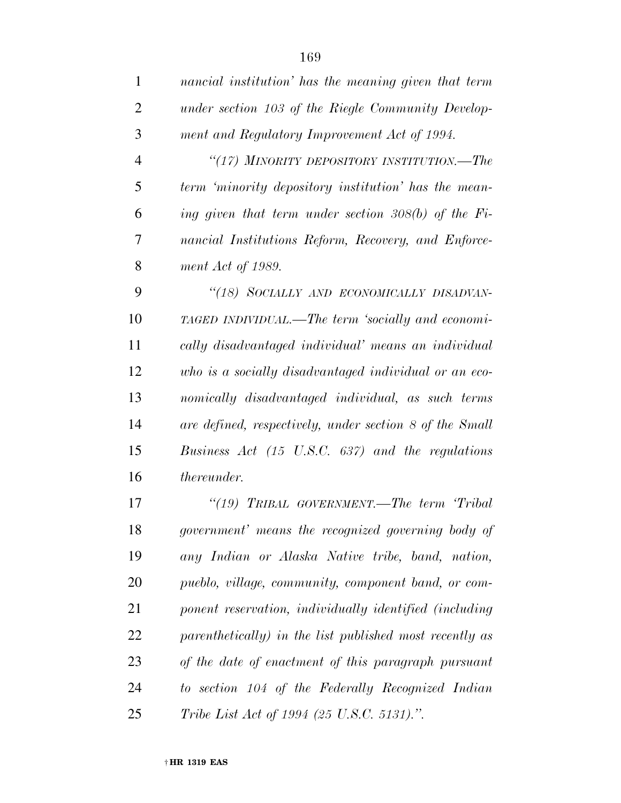| $\mathbf{1}$   | nancial institution' has the meaning given that term    |
|----------------|---------------------------------------------------------|
| $\overline{2}$ | under section 103 of the Riegle Community Develop-      |
| 3              | ment and Regulatory Improvement Act of 1994.            |
| $\overline{4}$ | "(17) MINORITY DEPOSITORY INSTITUTION.—The              |
| 5              | term 'minority depository institution' has the mean-    |
| 6              | ing given that term under section $308(b)$ of the Fi-   |
| 7              | nancial Institutions Reform, Recovery, and Enforce-     |
| 8              | ment Act of 1989.                                       |
| 9              | "(18) SOCIALLY AND ECONOMICALLY DISADVAN-               |
| 10             | TAGED INDIVIDUAL.—The term 'socially and economi-       |
| 11             | cally disadvantaged individual' means an individual     |
| 12             | who is a socially disadvantaged individual or an eco-   |
| 13             | nomically disadvantaged individual, as such terms       |
| 14             | are defined, respectively, under section 8 of the Small |
| 15             | Business $Act$ (15 U.S.C. 637) and the regulations      |
| 16             | thereunder.                                             |
| 17             | "(19) TRIBAL GOVERNMENT.—The term 'Tribal               |
| 18             | government' means the recognized governing body of      |
| 19             | any Indian or Alaska Native tribe, band, nation,        |
| 20             | pueblo, village, community, component band, or com-     |
| 21             | ponent reservation, individually identified (including  |
| 22             | parenthetically) in the list published most recently as |
| 23             | of the date of enactment of this paragraph pursuant     |
| 24             | to section 104 of the Federally Recognized Indian       |
| 25             | Tribe List Act of 1994 (25 U.S.C. 5131).".              |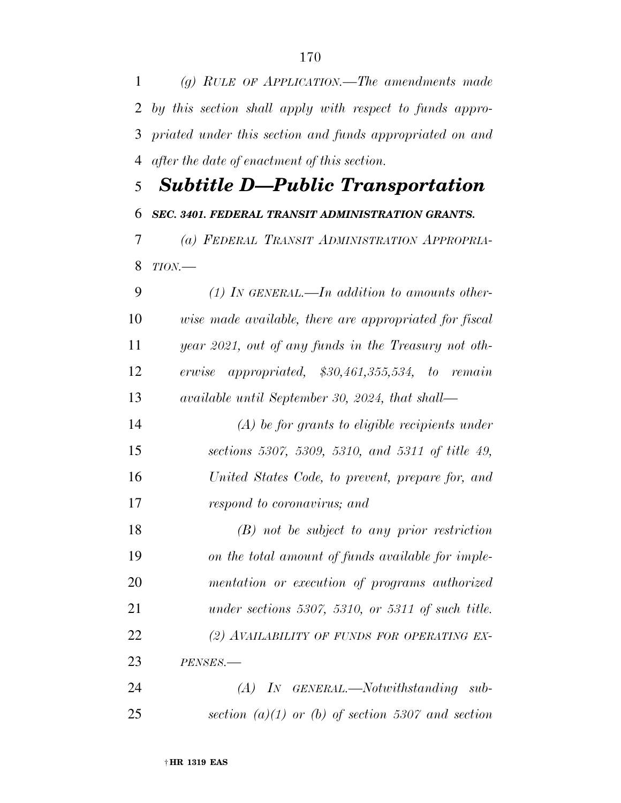*(g) RULE OF APPLICATION.—The amendments made by this section shall apply with respect to funds appro- priated under this section and funds appropriated on and after the date of enactment of this section.* 

## *Subtitle D—Public Transportation SEC. 3401. FEDERAL TRANSIT ADMINISTRATION GRANTS. (a) FEDERAL TRANSIT ADMINISTRATION APPROPRIA-*

- *TION.—*
- *(1) IN GENERAL.—In addition to amounts other- wise made available, there are appropriated for fiscal year 2021, out of any funds in the Treasury not oth- erwise appropriated, \$30,461,355,534, to remain available until September 30, 2024, that shall—*
- *(A) be for grants to eligible recipients under sections 5307, 5309, 5310, and 5311 of title 49, United States Code, to prevent, prepare for, and respond to coronavirus; and*

 *(B) not be subject to any prior restriction on the total amount of funds available for imple- mentation or execution of programs authorized under sections 5307, 5310, or 5311 of such title. (2) AVAILABILITY OF FUNDS FOR OPERATING EX-PENSES.—* 

 *(A) IN GENERAL.—Notwithstanding sub-section (a)(1) or (b) of section 5307 and section*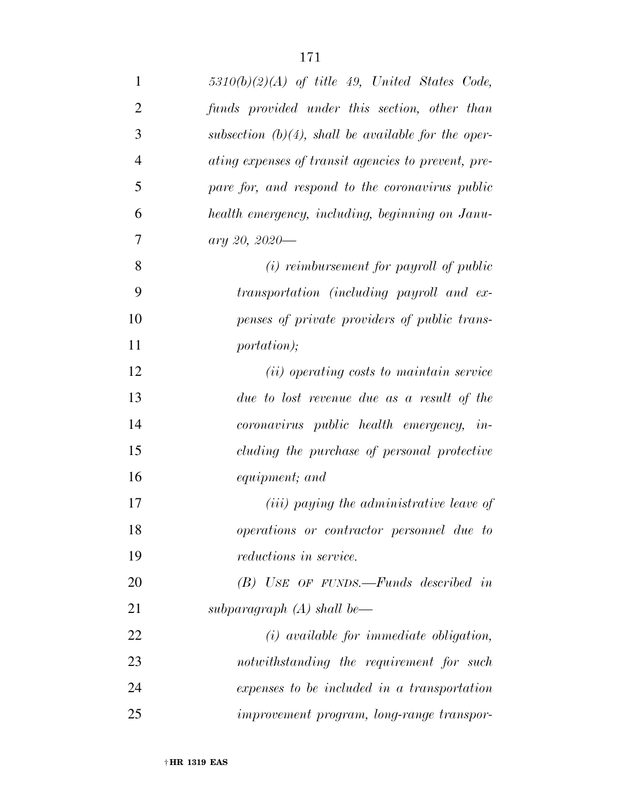| $\mathbf{1}$   | $5310(b)(2)(A)$ of title 49, United States Code,       |
|----------------|--------------------------------------------------------|
| $\overline{2}$ | funds provided under this section, other than          |
| 3              | subsection $(b)(4)$ , shall be available for the oper- |
| $\overline{4}$ | ating expenses of transit agencies to prevent, pre-    |
| 5              | pare for, and respond to the coronavirus public        |
| 6              | health emergency, including, beginning on Janu-        |
| 7              | ary 20, 2020-                                          |
| 8              | $(i)$ reimbursement for payroll of public              |
| 9              | transportation (including payroll and ex-              |
| 10             | penses of private providers of public trans-           |
| 11             | <i>portation</i> );                                    |
| 12             | ( <i>ii</i> ) operating costs to maintain service      |
| 13             | due to lost revenue due as a result of the             |
| 14             | coronavirus public health emergency, in-               |
| 15             | cluding the purchase of personal protective            |
| 16             | equipment; and                                         |
| 17             | (iii) paying the administrative leave of               |
| 18             | operations or contractor personnel due to              |
| 19             | reductions in service.                                 |
| 20             | $(B)$ USE OF FUNDS.—Funds described in                 |
| 21             | subparagraph $(A)$ shall be—                           |
| 22             | $(i)$ available for immediate obligation,              |
| 23             | notwithstanding the requirement for such               |
| 24             | expenses to be included in a transportation            |
| 25             | improvement program, long-range transpor-              |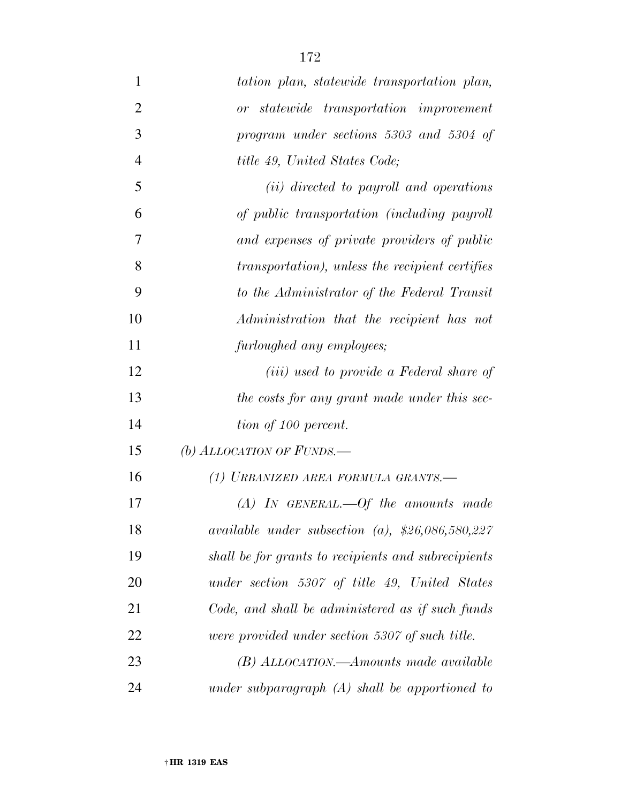| $\mathbf{1}$   | tation plan, statewide transportation plan,             |
|----------------|---------------------------------------------------------|
| $\overline{2}$ | or statewide transportation improvement                 |
| 3              | program under sections 5303 and 5304 of                 |
| $\overline{4}$ | <i>title 49, United States Code;</i>                    |
| 5              | ( <i>ii</i> ) directed to payroll and operations        |
| 6              | of public transportation (including payroll             |
| 7              | and expenses of private providers of public             |
| 8              | <i>transportation</i> ), unless the recipient certifies |
| 9              | to the Administrator of the Federal Transit             |
| 10             | Administration that the recipient has not               |
| 11             | furloughed any employees;                               |
| 12             | ( <i>iii</i> ) used to provide a Federal share of       |
| 13             | the costs for any grant made under this sec-            |
| 14             | tion of 100 percent.                                    |
| 15             | (b) ALLOCATION OF FUNDS.—                               |
| 16             | (1) URBANIZED AREA FORMULA GRANTS.—                     |
| 17             | $(A)$ IN GENERAL.—Of the amounts made                   |
| 18             | available under subsection (a), $$26,086,580,227$       |
| 19             | shall be for grants to recipients and subrecipients     |
| 20             | under section 5307 of title 49, United States           |
| 21             | Code, and shall be administered as if such funds        |
| 22             | were provided under section 5307 of such title.         |
| 23             | $(B)$ ALLOCATION.—Amounts made available                |
| 24             | under subparagraph $(A)$ shall be apportioned to        |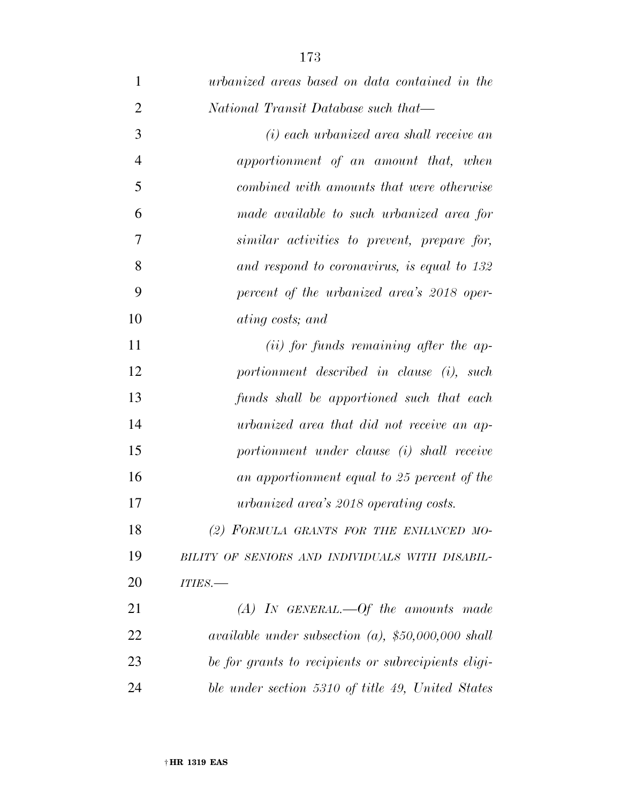| $\mathbf{1}$   | urbanized areas based on data contained in the                         |
|----------------|------------------------------------------------------------------------|
| $\overline{2}$ | National Transit Database such that—                                   |
| 3              | (i) each urbanized area shall receive an                               |
| $\overline{4}$ | apportionment of an amount that, when                                  |
| 5              | combined with amounts that were otherwise                              |
| 6              | made available to such urbanized area for                              |
| 7              | similar activities to prevent, prepare for,                            |
| 8              | and respond to coronavirus, is equal to 132                            |
| 9              | percent of the urbanized area's 2018 oper-                             |
| 10             | ating costs; and                                                       |
| 11             | ( <i>ii</i> ) for funds remaining after the ap-                        |
| 12             | portionment described in clause (i), such                              |
| 13             | funds shall be apportioned such that each                              |
| 14             | urbanized area that did not receive an ap-                             |
| 15             | portionment under clause (i) shall receive                             |
| 16             | an apportionment equal to 25 percent of the                            |
| 17             | urbanized area's 2018 operating costs.                                 |
| 18             | (2) FORMULA GRANTS FOR THE ENHANCED MO-                                |
| 19             | BILITY OF SENIORS AND INDIVIDUALS WITH DISABIL-                        |
| 20             | ITIES.-                                                                |
| 21             | $(A)$ IN GENERAL.—Of the amounts made                                  |
| 22             | <i>available under subsection (a), <math>\$50,000,000</math> shall</i> |
| 23             | be for grants to recipients or subrecipients eligi-                    |
| 24             | ble under section 5310 of title 49, United States                      |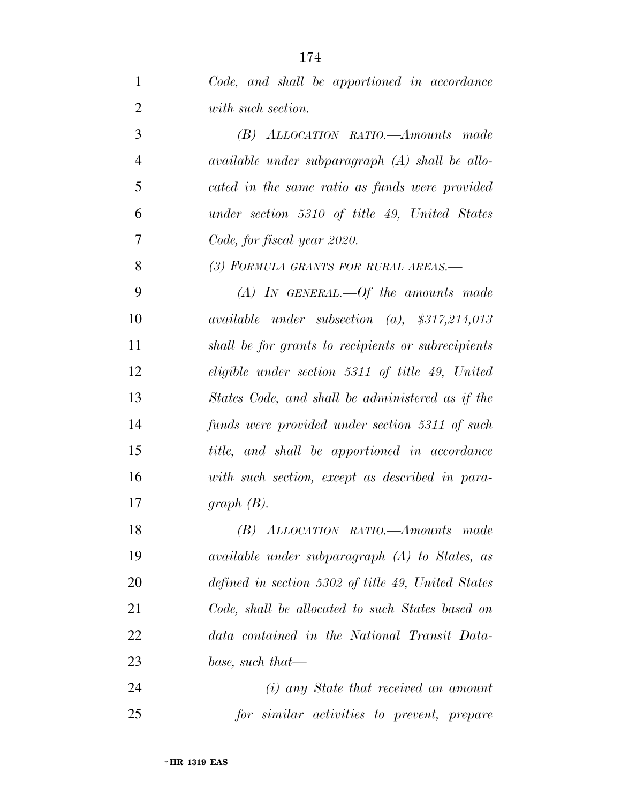*with such section. (B) ALLOCATION RATIO.—Amounts made available under subparagraph (A) shall be allo- cated in the same ratio as funds were provided under section 5310 of title 49, United States Code, for fiscal year 2020. (3) FORMULA GRANTS FOR RURAL AREAS.— (A) IN GENERAL.—Of the amounts made available under subsection (a), \$317,214,013 shall be for grants to recipients or subrecipients eligible under section 5311 of title 49, United States Code, and shall be administered as if the funds were provided under section 5311 of such title, and shall be apportioned in accordance with such section, except as described in para-graph (B).* 

 *(B) ALLOCATION RATIO.—Amounts made available under subparagraph (A) to States, as defined in section 5302 of title 49, United States Code, shall be allocated to such States based on data contained in the National Transit Data-base, such that—* 

 *(i) any State that received an amount for similar activities to prevent, prepare*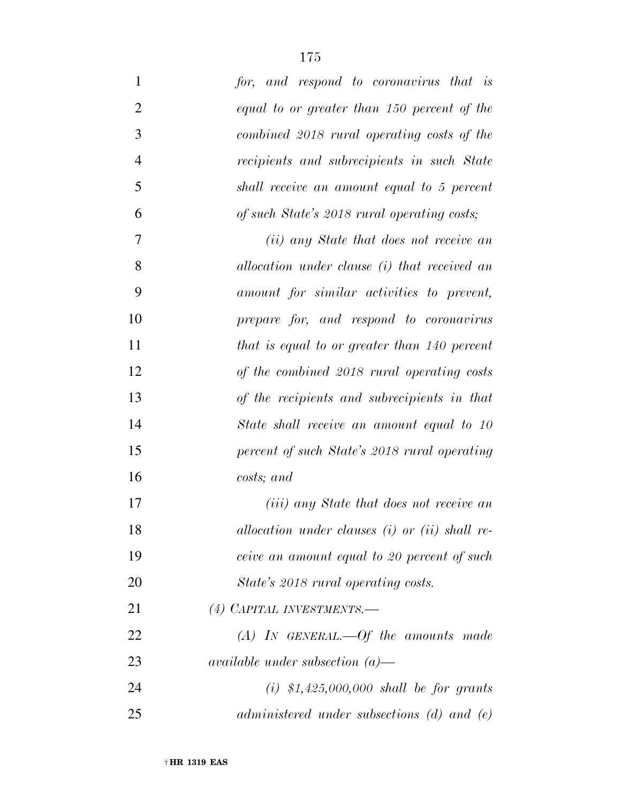| $\mathbf{1}$   | for, and respond to coronavirus that is            |
|----------------|----------------------------------------------------|
| $\overline{2}$ | equal to or greater than 150 percent of the        |
| 3              | combined 2018 rural operating costs of the         |
| $\overline{4}$ | recipients and subrecipients in such State         |
| 5              | shall receive an amount equal to 5 percent         |
| 6              | of such State's 2018 rural operating costs;        |
| 7              | (ii) any State that does not receive an            |
| 8              | allocation under clause (i) that received an       |
| 9              | amount for similar activities to prevent,          |
| 10             | prepare for, and respond to coronavirus            |
| 11             | that is equal to or greater than 140 percent       |
| 12             | of the combined 2018 rural operating costs         |
| 13             | of the recipients and subrecipients in that        |
| 14             | State shall receive an amount equal to 10          |
| 15             | percent of such State's 2018 rural operating       |
| 16             | costs; and                                         |
| 17             | ( <i>iii</i> ) any State that does not receive an  |
| 18             | allocation under clauses $(i)$ or $(ii)$ shall re- |
| 19             | ceive an amount equal to 20 percent of such        |
| 20             | State's 2018 rural operating costs.                |
| 21             | (4) CAPITAL INVESTMENTS.-                          |
| 22             | $(A)$ IN GENERAL.—Of the amounts made              |
| 23             | available under subsection $(a)$ —                 |
| 24             | (i) $$1,425,000,000$ shall be for grants           |
| 25             | administered under subsections $(d)$ and $(e)$     |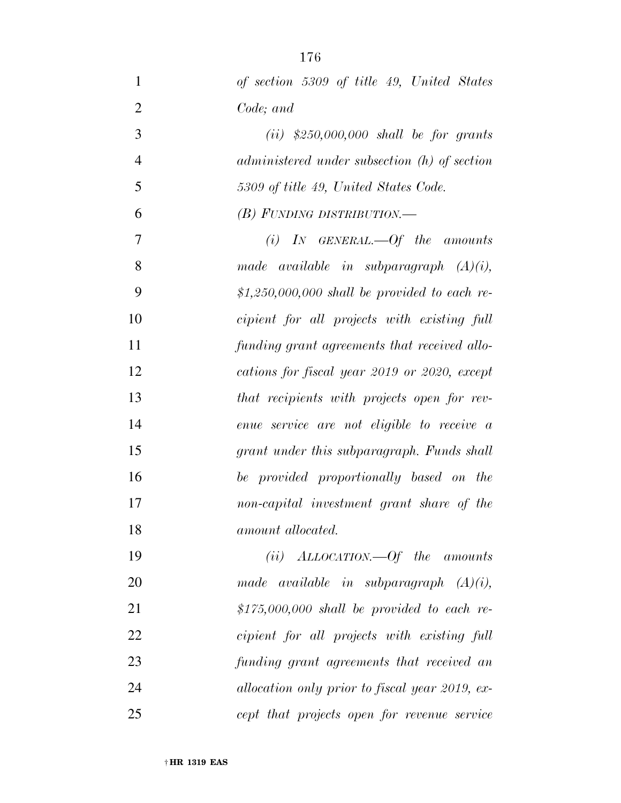| $\mathbf{1}$   | of section 5309 of title 49, United States     |
|----------------|------------------------------------------------|
| $\overline{2}$ | Code; and                                      |
| 3              | $(ii)$ \$250,000,000 shall be for grants       |
| $\overline{4}$ | administered under subsection (h) of section   |
| 5              | 5309 of title 49, United States Code.          |
| 6              | $(B)$ FUNDING DISTRIBUTION.—                   |
| $\overline{7}$ | $(i)$ IN GENERAL.—Of the amounts               |
| 8              | made available in subparagraph $(A)(i)$ ,      |
| 9              | $$1,250,000,000$ shall be provided to each re- |
| 10             | cipient for all projects with existing full    |
| 11             | funding grant agreements that received allo-   |
| 12             | cations for fiscal year 2019 or 2020, except   |
| 13             | that recipients with projects open for rev-    |
| 14             | enue service are not eligible to receive a     |
| 15             | grant under this subparagraph. Funds shall     |
| 16             | be provided proportionally based on the        |
| 17             | non-capital investment grant share of the      |
| 18             | amount allocated.                              |
| 19             | $(ii) ALLOCATION.$ $Of$ the amounts            |
| 20             | made available in subparagraph $(A)(i)$ ,      |
| 21             | $$175,000,000$ shall be provided to each re-   |
| 22             | cipient for all projects with existing full    |
| 23             | funding grant agreements that received an      |
| 24             | allocation only prior to fiscal year 2019, ex- |
| 25             | cept that projects open for revenue service    |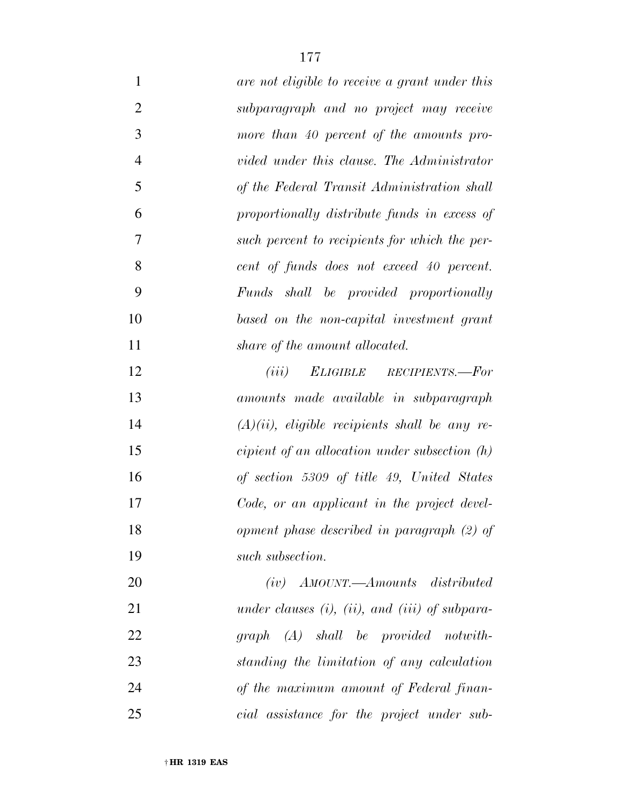| $\mathbf{1}$   | are not eligible to receive a grant under this         |
|----------------|--------------------------------------------------------|
| $\overline{2}$ | subparagraph and no project may receive                |
| 3              | more than 40 percent of the amounts pro-               |
| $\overline{4}$ | vided under this clause. The Administrator             |
| 5              | of the Federal Transit Administration shall            |
| 6              | proportionally distribute funds in excess of           |
| 7              | such percent to recipients for which the per-          |
| 8              | cent of funds does not exceed 40 percent.              |
| 9              | Funds shall be provided proportionally                 |
| 10             | based on the non-capital investment grant              |
| 11             | share of the amount allocated.                         |
| 12             | ELIGIBLE RECIPIENTS.—For<br>(iii)                      |
| 13             | amounts made available in subparagraph                 |
| 14             | $(A)(ii)$ , eligible recipients shall be any re-       |
| 15             | cipient of an allocation under subsection $(h)$        |
| 16             | of section 5309 of title 49, United States             |
| 17             | Code, or an applicant in the project devel-            |
| 18             | opment phase described in paragraph (2) of             |
| 19             | such subsection.                                       |
| 20             | $(iv)$ AMOUNT.—Amounts distributed                     |
| 21             | under clauses $(i)$ , $(ii)$ , and $(iii)$ of subpara- |
| 22             | $graph (A)$ shall be provided notwith-                 |
| 23             | standing the limitation of any calculation             |
| 24             | of the maximum amount of Federal finan-                |
| 25             | cial assistance for the project under sub-             |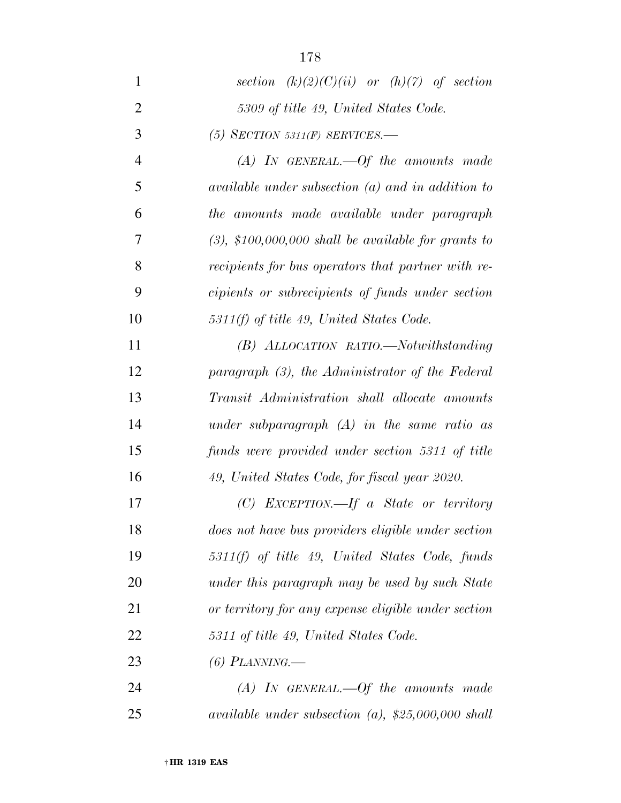| $\mathbf{1}$   | section $(k)(2)(C)(ii)$ or $(h)(7)$ of section            |
|----------------|-----------------------------------------------------------|
| $\overline{2}$ | 5309 of title 49, United States Code.                     |
| 3              | (5) SECTION 5311(F) SERVICES.—                            |
| $\overline{4}$ | $(A)$ IN GENERAL.—Of the amounts made                     |
| 5              | $available$ under subsection $(a)$ and in addition to     |
| 6              | the amounts made available under paragraph                |
| 7              | $(3)$ , \$100,000,000 shall be available for grants to    |
| 8              | recipients for bus operators that partner with re-        |
| 9              | cipients or subrecipients of funds under section          |
| 10             | $5311(f)$ of title 49, United States Code.                |
| 11             | (B) ALLOCATION RATIO.—Notwithstanding                     |
| 12             | paragraph (3), the Administrator of the Federal           |
| 13             | Transit Administration shall allocate amounts             |
| 14             | under subparagraph $(A)$ in the same ratio as             |
| 15             | funds were provided under section 5311 of title           |
| 16             | 49, United States Code, for fiscal year 2020.             |
| 17             | $(C)$ EXCEPTION.—If a State or territory                  |
| 18             | does not have bus providers eligible under section        |
| 19             | $5311(f)$ of title 49, United States Code, funds          |
| 20             | under this paragraph may be used by such State            |
| 21             | or territory for any expense eligible under section       |
| 22             | 5311 of title 49, United States Code.                     |
| 23             | $(6)$ PLANNING.—                                          |
| 24             | $(A)$ IN GENERAL.—Of the amounts made                     |
| 25             | <i>available under subsection (a), \$25,000,000 shall</i> |

† **HR 1319 EAS**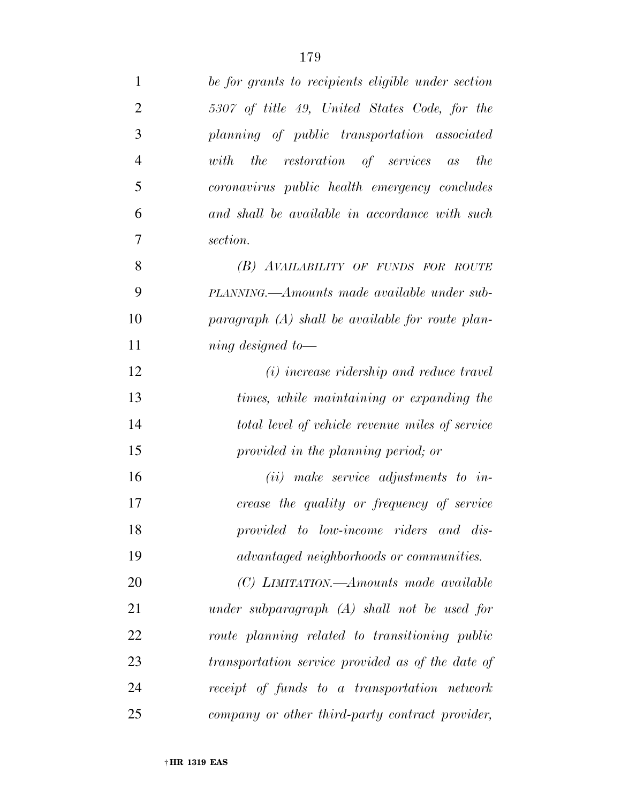| $\mathbf{1}$   | be for grants to recipients eligible under section |
|----------------|----------------------------------------------------|
| $\overline{2}$ | 5307 of title 49, United States Code, for the      |
| 3              | planning of public transportation associated       |
| $\overline{4}$ | with the restoration of services as<br>the         |
| 5              | coronavirus public health emergency concludes      |
| 6              | and shall be available in accordance with such     |
| 7              | section.                                           |
| 8              | (B) AVAILABILITY OF FUNDS FOR ROUTE                |
| 9              | PLANNING.—Amounts made available under sub-        |
| 10             | $paragnph$ (A) shall be available for route plan-  |
| 11             | $\dot{m}$ and designed to $\dot{m}$                |
| 12             | (i) increase ridership and reduce travel           |
| 13             | times, while maintaining or expanding the          |
| 14             | total level of vehicle revenue miles of service    |
| 15             | provided in the planning period; or                |
| 16             | $(ii)$ make service adjustments to in-             |
| 17             | crease the quality or frequency of service         |
| 18             | provided to low-income riders and dis-             |
| 19             | <i>advantaged neighborhoods or communities.</i>    |
| 20             | (C) LIMITATION.—Amounts made available             |
| 21             | under subparagraph $(A)$ shall not be used for     |
| 22             | route planning related to transitioning public     |
| 23             | transportation service provided as of the date of  |
| 24             | receipt of funds to a transportation network       |
| 25             | company or other third-party contract provider,    |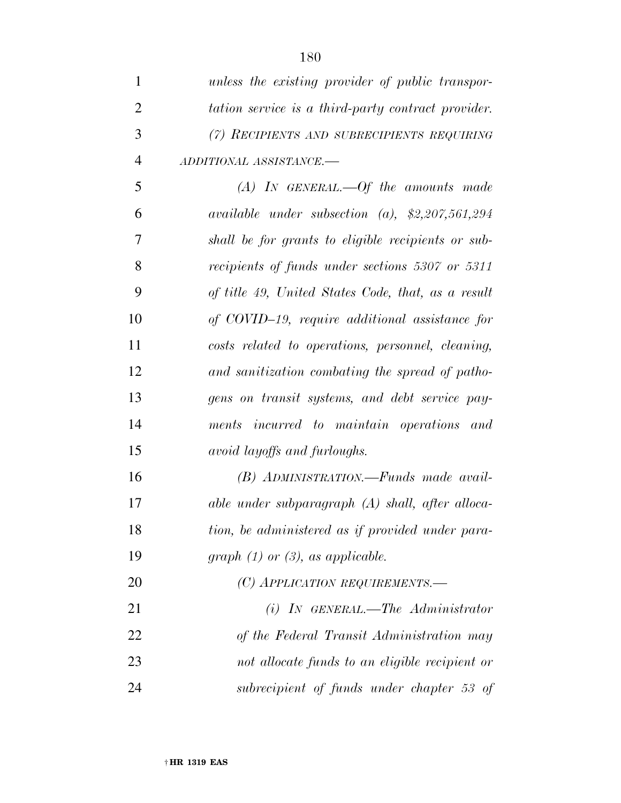| 1              | unless the existing provider of public transpor-   |
|----------------|----------------------------------------------------|
| $\overline{2}$ | tation service is a third-party contract provider. |
| 3              | (7) RECIPIENTS AND SUBRECIPIENTS REQUIRING         |
| $\overline{4}$ | ADDITIONAL ASSISTANCE.-                            |
| 5              | $(A)$ IN GENERAL.—Of the amounts made              |
| 6              | available under subsection (a), $$2,207,561,294$   |
| 7              | shall be for grants to eligible recipients or sub- |
| 8              | recipients of funds under sections 5307 or 5311    |
| 9              | of title 49, United States Code, that, as a result |
| 10             | of COVID-19, require additional assistance for     |
| 11             | costs related to operations, personnel, cleaning,  |
| 12             | and sanitization combating the spread of patho-    |
| 13             | gens on transit systems, and debt service pay-     |
| 14             | ments incurred to maintain operations and          |
| 15             | <i>avoid layoffs and furloughs.</i>                |
| 16             | (B) ADMINISTRATION.—Funds made avail-              |
| 17             | able under subparagraph $(A)$ shall, after alloca- |
| 18             | tion, be administered as if provided under para-   |
| 19             | graph $(1)$ or $(3)$ , as applicable.              |
| 20             | (C) APPLICATION REQUIREMENTS.—                     |
| 21             | $(i)$ IN GENERAL.—The Administrator                |
| 22             | of the Federal Transit Administration may          |

 *not allocate funds to an eligible recipient or subrecipient of funds under chapter 53 of*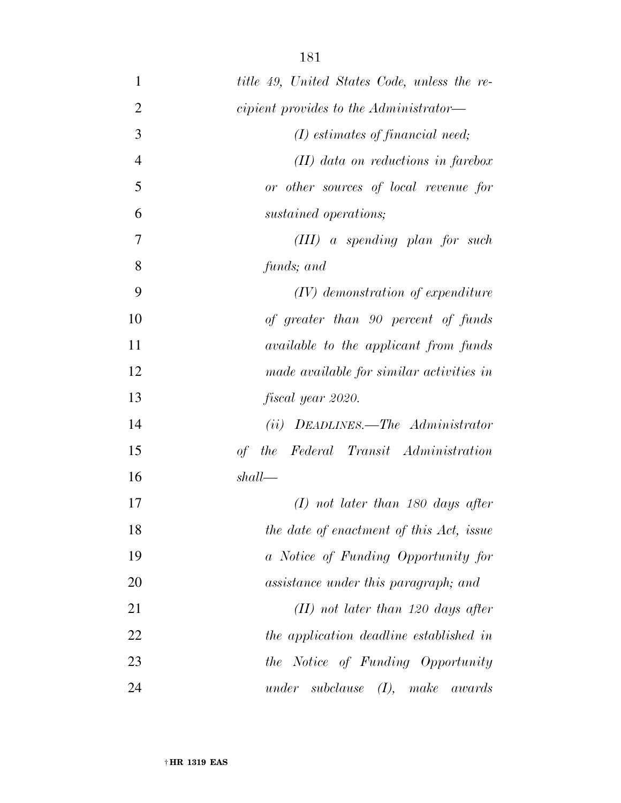| $\mathbf{1}$   | title 49, United States Code, unless the re-   |
|----------------|------------------------------------------------|
| $\overline{2}$ | <i>cipient provides to the Administrator—</i>  |
| 3              | $(I)$ estimates of financial need;             |
| $\overline{4}$ | $(II)$ data on reductions in farebox           |
| 5              | or other sources of local revenue for          |
| 6              | sustained operations;                          |
| 7              | $(III)$ a spending plan for such               |
| 8              | funds; and                                     |
| 9              | $(IV)$ demonstration of expenditure            |
| 10             | of greater than 90 percent of funds            |
| 11             | <i>available to the applicant from funds</i>   |
| 12             | made available for similar activities in       |
| 13             | fiscal year 2020.                              |
| 14             | DEADLINES.—The Administrator<br>(ii)           |
| 15             | of the Federal Transit Administration          |
| 16             | shall                                          |
| 17             | $(I)$ not later than 180 days after            |
| 18             | the date of enactment of this Act, issue       |
| 19             | a Notice of Funding Opportunity for            |
| 20             | assistance under this paragraph; and           |
| 21             | $(II)$ not later than 120 days after           |
| 22             | the application deadline established in        |
| 23             | the Notice of Funding Opportunity              |
| 24             | $under \; subclause \; (I), \; make$<br>awards |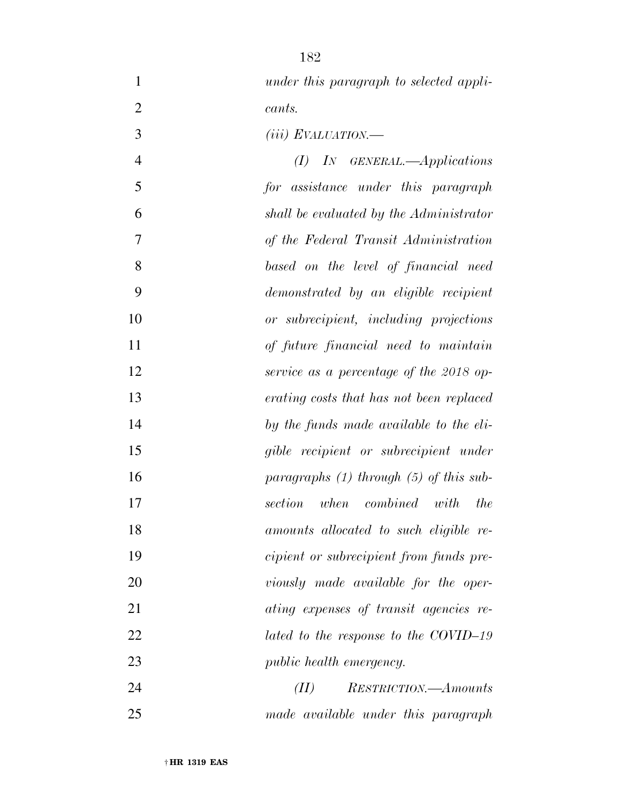| $\mathbf{1}$   | under this paragraph to selected appli-     |
|----------------|---------------------------------------------|
| $\overline{2}$ | cants.                                      |
| 3              | $(iii)$ EVALUATION.—                        |
| $\overline{4}$ | IN GENERAL.—Applications<br>(I)             |
| 5              | for assistance under this paragraph         |
| 6              | shall be evaluated by the Administrator     |
| 7              | of the Federal Transit Administration       |
| 8              | based on the level of financial need        |
| 9              | demonstrated by an eligible recipient       |
| 10             | or subrecipient, including projections      |
| 11             | of future financial need to maintain        |
| 12             | service as a percentage of the 2018 op-     |
| 13             | erating costs that has not been replaced    |
| 14             | by the funds made available to the eli-     |
| 15             | gible recipient or subrecipient under       |
| 16             | paragraphs $(1)$ through $(5)$ of this sub- |
| 17             | when combined with<br>section<br><i>the</i> |
| 18             | amounts allocated to such eligible re-      |
| 19             | cipient or subrecipient from funds pre-     |
| 20             | viously made available for the oper-        |
| 21             | ating expenses of transit agencies re-      |
| 22             | lated to the response to the COVID-19       |
| 23             | public health emergency.                    |
| 24             | (II)<br><i>RESTRICTION.—Amounts</i>         |
| 25             | made available under this paragraph         |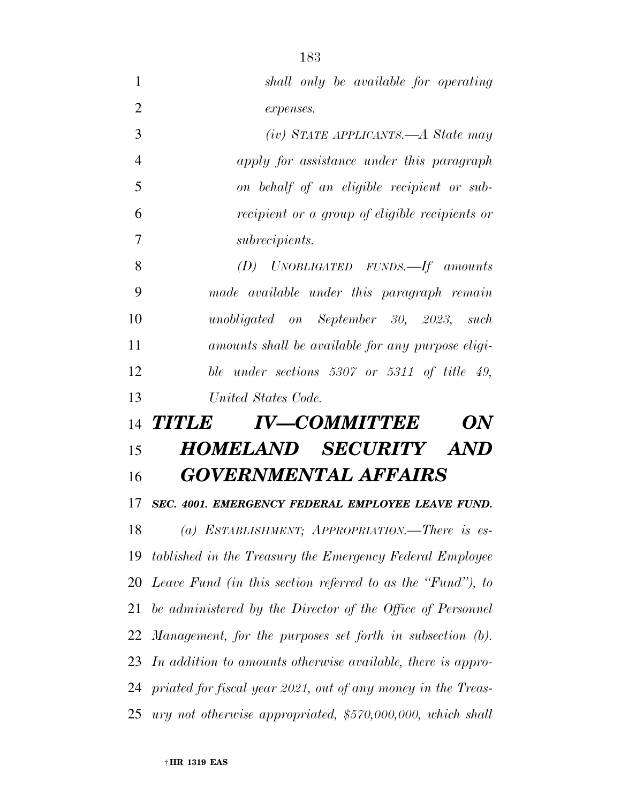| 1              | shall only be available for operating                        |
|----------------|--------------------------------------------------------------|
| $\overline{2}$ | expenses.                                                    |
| 3              | $(iv)$ STATE APPLICANTS.—A State may                         |
| $\overline{4}$ | apply for assistance under this paragraph                    |
| 5              | on behalf of an eligible recipient or sub-                   |
| 6              | <i>recipient or a group of eligible recipients or</i>        |
| 7              | <i>subrecipients.</i>                                        |
| 8              | $(D)$ UNOBLIGATED FUNDS. If amounts                          |
| 9              | made available under this paragraph remain                   |
| 10             | unobligated on September 30, 2023, such                      |
| 11             | amounts shall be available for any purpose eligi-            |
| 12             | ble under sections $5307$ or $5311$ of title 49,             |
| 13             | United States Code.                                          |
| 14             | <b>IV-COMMITTEE</b><br><b>TITLE</b><br>$\boldsymbol{U}$      |
| 15             | HOMELAND SECURITY AND                                        |
| 16             | <b>GOVERNMENTAL AFFAIRS</b>                                  |
| 17             | SEC. 4001. EMERGENCY FEDERAL EMPLOYEE LEAVE FUND.            |
| 18             | (a) ESTABLISHMENT; APPROPRIATION.—There is es-               |
| 19             | tablished in the Treasury the Emergency Federal Employee     |
| 20             | Leave Fund (in this section referred to as the "Fund"), to   |
| 21             | be administered by the Director of the Office of Personnel   |
| 22             |                                                              |
| 23             | Management, for the purposes set forth in subsection (b).    |
|                | In addition to amounts otherwise available, there is appro-  |
| 24             | priated for fiscal year 2021, out of any money in the Treas- |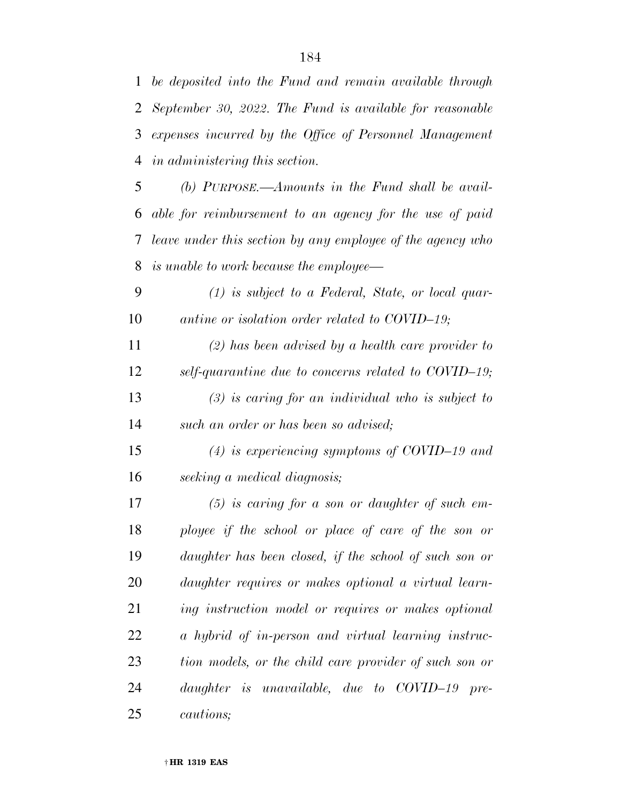*September 30, 2022. The Fund is available for reasonable expenses incurred by the Office of Personnel Management in administering this section.* 

 *(b) PURPOSE.—Amounts in the Fund shall be avail- able for reimbursement to an agency for the use of paid leave under this section by any employee of the agency who is unable to work because the employee—* 

 *(1) is subject to a Federal, State, or local quar-antine or isolation order related to COVID–19;* 

 *(2) has been advised by a health care provider to self-quarantine due to concerns related to COVID–19; (3) is caring for an individual who is subject to* 

*such an order or has been so advised;* 

 *(4) is experiencing symptoms of COVID–19 and seeking a medical diagnosis;* 

 *(5) is caring for a son or daughter of such em- ployee if the school or place of care of the son or daughter has been closed, if the school of such son or daughter requires or makes optional a virtual learn- ing instruction model or requires or makes optional a hybrid of in-person and virtual learning instruc- tion models, or the child care provider of such son or daughter is unavailable, due to COVID–19 pre-cautions;*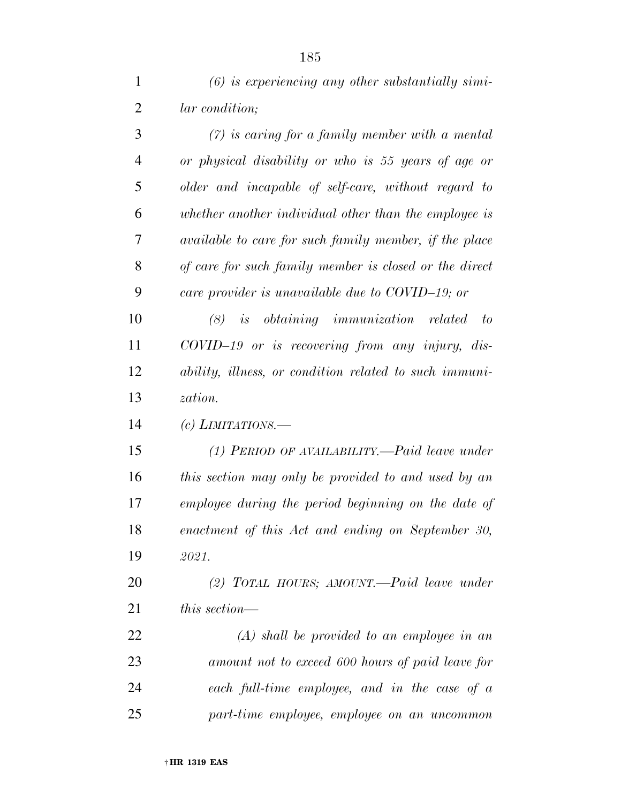| $\mathbf{1}$   | $(6)$ is experiencing any other substantially simi-    |
|----------------|--------------------------------------------------------|
| $\overline{2}$ | <i>lar</i> condition;                                  |
| 3              | $(7)$ is caring for a family member with a mental      |
| 4              | or physical disability or who is 55 years of age or    |
| 5              | older and incapable of self-care, without regard to    |
| 6              | whether another individual other than the employee is  |
| 7              | available to care for such family member, if the place |
| 8              | of care for such family member is closed or the direct |
| 9              | care provider is unavailable due to COVID-19; or       |
| 10             | $(8)$ is obtaining immunization related to             |
| 11             | $COVID-19$ or is recovering from any injury, dis-      |
| 12             | ability, illness, or condition related to such immuni- |
| 13             | zation.                                                |
| 14             | (c) LIMITATIONS.—                                      |
| 15             | (1) PERIOD OF AVAILABILITY.—Paid leave under           |
| 16             | this section may only be provided to and used by an    |
| 17             | employee during the period beginning on the date of    |
| 18             | enactment of this Act and ending on September 30,      |
| 19             | 2021.                                                  |
| <b>20</b>      | (2) TOTAL HOURS; AMOUNT.— $Paid$ leave under           |
| 21             | this section—                                          |
| 22             | $(A)$ shall be provided to an employee in an           |
| 23             | amount not to exceed 600 hours of paid leave for       |

*part-time employee, employee on an uncommon* 

*each full-time employee, and in the case of a*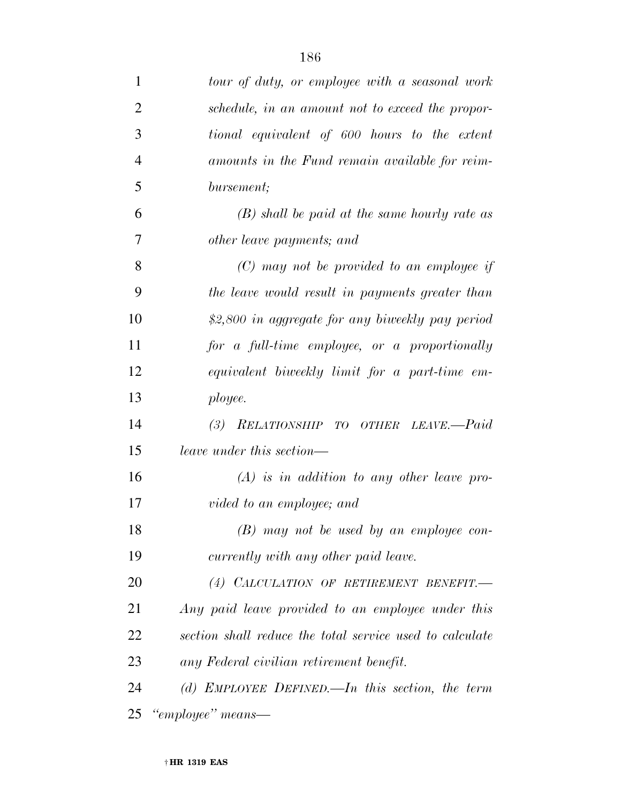| $\mathbf{1}$   | tour of duty, or employee with a seasonal work           |
|----------------|----------------------------------------------------------|
| $\overline{2}$ | schedule, in an amount not to exceed the propor-         |
| 3              | tional equivalent of 600 hours to the extent             |
| $\overline{4}$ | amounts in the Fund remain available for reim-           |
| 5              | bursement;                                               |
| 6              | $(B)$ shall be paid at the same hourly rate as           |
| 7              | other leave payments; and                                |
| 8              | $(C)$ may not be provided to an employee if              |
| 9              | the leave would result in payments greater than          |
| 10             | \$2,800 in aggregate for any biweekly pay period         |
| 11             | for a full-time employee, or a proportionally            |
| 12             | equivalent biweekly limit for a part-time em-            |
| 13             | ployee.                                                  |
| 14             | (3) RELATIONSHIP TO OTHER LEAVE.-Paid                    |
| 15             | leave under this section—                                |
| 16             | $(A)$ is in addition to any other leave pro-             |
| 17             | vided to an employee; and                                |
| 18             | $(B)$ may not be used by an employee con-                |
| 19             | currently with any other paid leave.                     |
| 20             | (4) CALCULATION OF RETIREMENT BENEFIT.                   |
| 21             | Any paid leave provided to an employee under this        |
| 22             | section shall reduce the total service used to calculate |
| 23             | any Federal civilian retirement benefit.                 |
| 24             | (d) EMPLOYEE DEFINED.—In this section, the term          |
| 25             | "employee" means—                                        |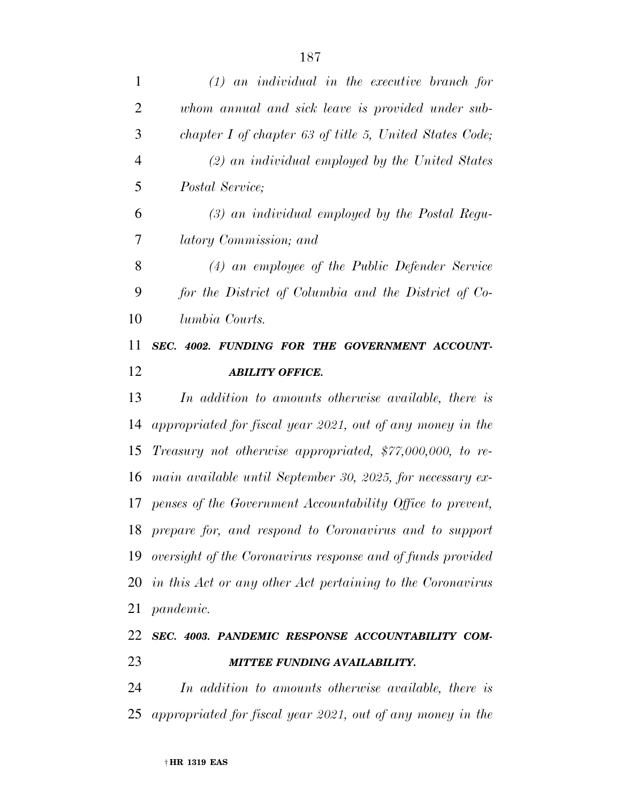| $\mathbf{1}$   | $(1)$ an individual in the executive branch for               |
|----------------|---------------------------------------------------------------|
| $\overline{2}$ | whom annual and sick leave is provided under sub-             |
| 3              | chapter I of chapter 63 of title 5, United States Code;       |
| $\overline{4}$ | $(2)$ an individual employed by the United States             |
| 5              | Postal Service;                                               |
| 6              | $(3)$ an individual employed by the Postal Regu-              |
| 7              | latory Commission; and                                        |
| 8              | (4) an employee of the Public Defender Service                |
| 9              | for the District of Columbia and the District of Co-          |
| 10             | lumbia Courts.                                                |
| 11             | SEC. 4002. FUNDING FOR THE GOVERNMENT ACCOUNT-                |
| 12             | <b>ABILITY OFFICE.</b>                                        |
| 13             | In addition to amounts otherwise available, there is          |
| 14             | appropriated for fiscal year 2021, out of any money in the    |
| 15             | Treasury not otherwise appropriated, $$77,000,000, to re-$    |
| 16             | main available until September 30, 2025, for necessary ex-    |
|                | 17 penses of the Government Accountability Office to prevent, |
|                | 18 prepare for, and respond to Coronavirus and to support     |
| 19             | oversight of the Coronavirus response and of funds provided   |
|                | 20 in this Act or any other Act pertaining to the Coronavirus |
| 21             | pandemic.                                                     |
| 22             | SEC. 4003. PANDEMIC RESPONSE ACCOUNTABILITY COM-              |
| 23             | MITTEE FUNDING AVAILABILITY.                                  |
| 24             | In addition to amounts otherwise available, there is          |

*appropriated for fiscal year 2021, out of any money in the*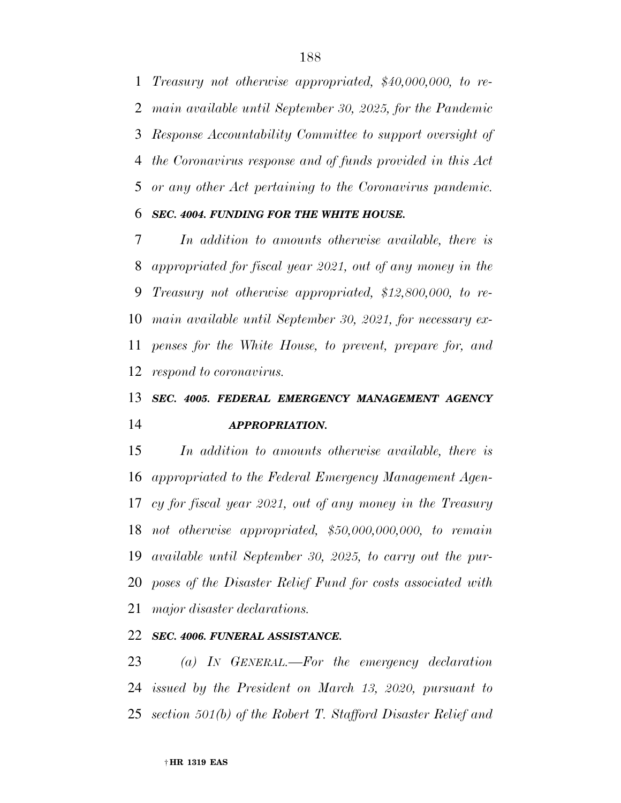*Treasury not otherwise appropriated, \$40,000,000, to re- main available until September 30, 2025, for the Pandemic Response Accountability Committee to support oversight of the Coronavirus response and of funds provided in this Act or any other Act pertaining to the Coronavirus pandemic.* 

#### *SEC. 4004. FUNDING FOR THE WHITE HOUSE.*

 *In addition to amounts otherwise available, there is appropriated for fiscal year 2021, out of any money in the Treasury not otherwise appropriated, \$12,800,000, to re- main available until September 30, 2021, for necessary ex- penses for the White House, to prevent, prepare for, and respond to coronavirus.* 

## *SEC. 4005. FEDERAL EMERGENCY MANAGEMENT AGENCY APPROPRIATION.*

 *In addition to amounts otherwise available, there is appropriated to the Federal Emergency Management Agen- cy for fiscal year 2021, out of any money in the Treasury not otherwise appropriated, \$50,000,000,000, to remain available until September 30, 2025, to carry out the pur- poses of the Disaster Relief Fund for costs associated with major disaster declarations.* 

### *SEC. 4006. FUNERAL ASSISTANCE.*

 *(a) IN GENERAL.—For the emergency declaration issued by the President on March 13, 2020, pursuant to section 501(b) of the Robert T. Stafford Disaster Relief and*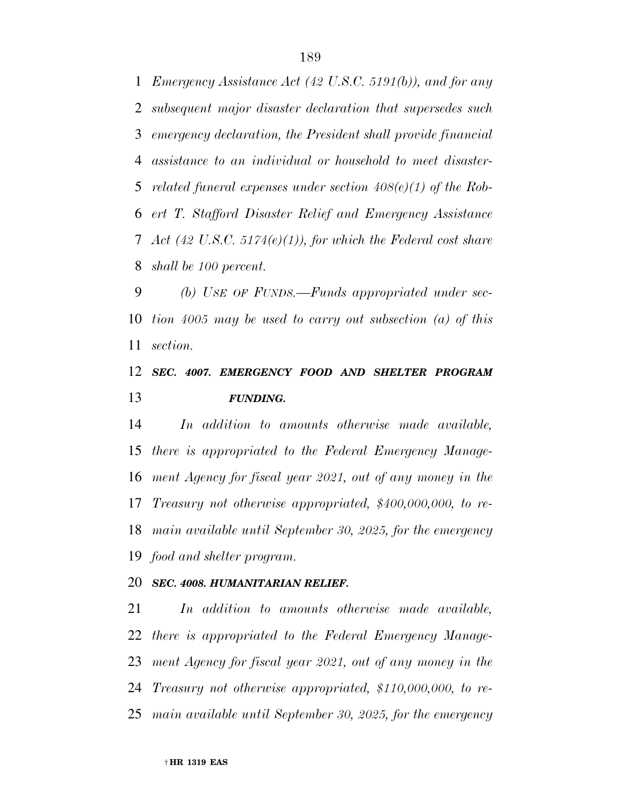*Emergency Assistance Act (42 U.S.C. 5191(b)), and for any subsequent major disaster declaration that supersedes such emergency declaration, the President shall provide financial assistance to an individual or household to meet disaster- related funeral expenses under section 408(e)(1) of the Rob- ert T. Stafford Disaster Relief and Emergency Assistance Act (42 U.S.C. 5174(e)(1)), for which the Federal cost share shall be 100 percent.* 

 *(b) USE OF FUNDS.—Funds appropriated under sec- tion 4005 may be used to carry out subsection (a) of this section.* 

### *SEC. 4007. EMERGENCY FOOD AND SHELTER PROGRAM FUNDING.*

 *In addition to amounts otherwise made available, there is appropriated to the Federal Emergency Manage- ment Agency for fiscal year 2021, out of any money in the Treasury not otherwise appropriated, \$400,000,000, to re- main available until September 30, 2025, for the emergency food and shelter program.* 

#### *SEC. 4008. HUMANITARIAN RELIEF.*

 *In addition to amounts otherwise made available, there is appropriated to the Federal Emergency Manage- ment Agency for fiscal year 2021, out of any money in the Treasury not otherwise appropriated, \$110,000,000, to re-main available until September 30, 2025, for the emergency*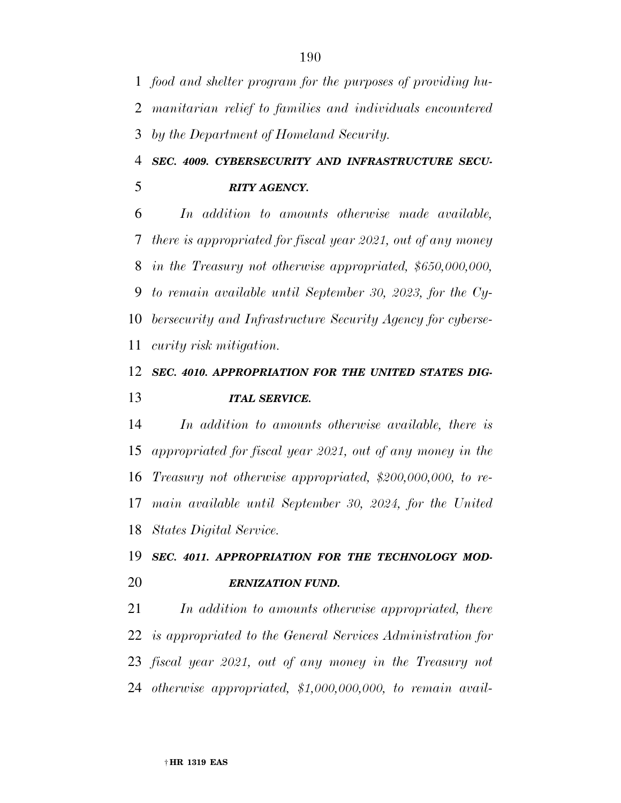*food and shelter program for the purposes of providing hu- manitarian relief to families and individuals encountered by the Department of Homeland Security.* 

 *SEC. 4009. CYBERSECURITY AND INFRASTRUCTURE SECU-RITY AGENCY.* 

 *In addition to amounts otherwise made available, there is appropriated for fiscal year 2021, out of any money in the Treasury not otherwise appropriated, \$650,000,000, to remain available until September 30, 2023, for the Cy- bersecurity and Infrastructure Security Agency for cyberse-curity risk mitigation.* 

### *SEC. 4010. APPROPRIATION FOR THE UNITED STATES DIG-ITAL SERVICE.*

 *In addition to amounts otherwise available, there is appropriated for fiscal year 2021, out of any money in the Treasury not otherwise appropriated, \$200,000,000, to re- main available until September 30, 2024, for the United States Digital Service.* 

## *SEC. 4011. APPROPRIATION FOR THE TECHNOLOGY MOD-ERNIZATION FUND.*

 *In addition to amounts otherwise appropriated, there is appropriated to the General Services Administration for fiscal year 2021, out of any money in the Treasury not otherwise appropriated, \$1,000,000,000, to remain avail-*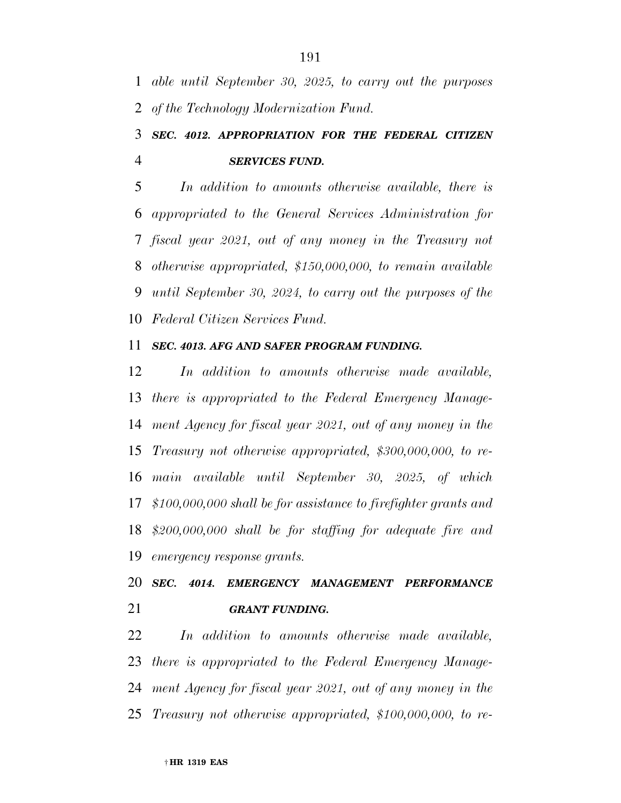*able until September 30, 2025, to carry out the purposes of the Technology Modernization Fund.* 

## *SEC. 4012. APPROPRIATION FOR THE FEDERAL CITIZEN SERVICES FUND.*

 *In addition to amounts otherwise available, there is appropriated to the General Services Administration for fiscal year 2021, out of any money in the Treasury not otherwise appropriated, \$150,000,000, to remain available until September 30, 2024, to carry out the purposes of the Federal Citizen Services Fund.* 

### *SEC. 4013. AFG AND SAFER PROGRAM FUNDING.*

 *In addition to amounts otherwise made available, there is appropriated to the Federal Emergency Manage- ment Agency for fiscal year 2021, out of any money in the Treasury not otherwise appropriated, \$300,000,000, to re- main available until September 30, 2025, of which \$100,000,000 shall be for assistance to firefighter grants and \$200,000,000 shall be for staffing for adequate fire and emergency response grants.* 

 *SEC. 4014. EMERGENCY MANAGEMENT PERFORMANCE GRANT FUNDING.* 

 *In addition to amounts otherwise made available, there is appropriated to the Federal Emergency Manage- ment Agency for fiscal year 2021, out of any money in the Treasury not otherwise appropriated, \$100,000,000, to re-*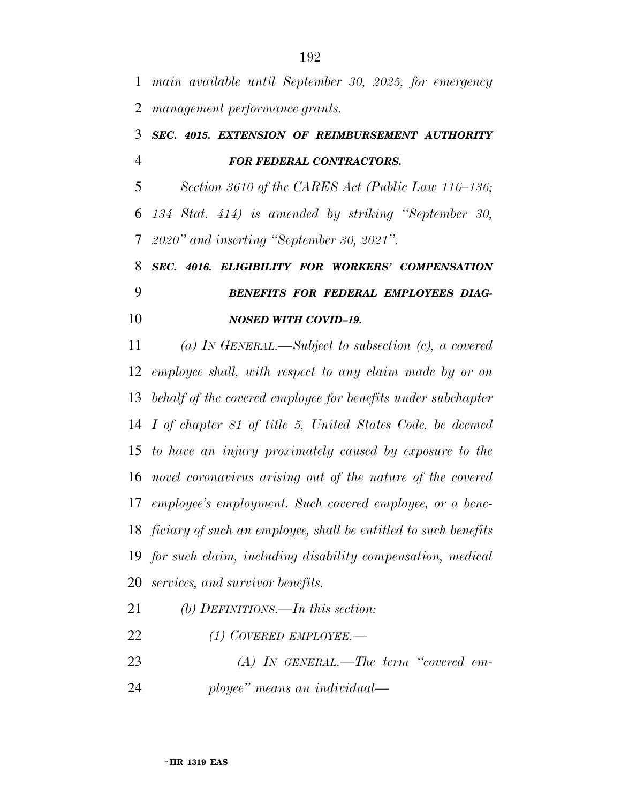*main available until September 30, 2025, for emergency management performance grants.* 

### *SEC. 4015. EXTENSION OF REIMBURSEMENT AUTHORITY FOR FEDERAL CONTRACTORS.*

 *Section 3610 of the CARES Act (Public Law 116–136; 134 Stat. 414) is amended by striking ''September 30, 2020'' and inserting ''September 30, 2021''.* 

# *SEC. 4016. ELIGIBILITY FOR WORKERS' COMPENSATION BENEFITS FOR FEDERAL EMPLOYEES DIAG-NOSED WITH COVID–19.*

 *(a) IN GENERAL.—Subject to subsection (c), a covered employee shall, with respect to any claim made by or on behalf of the covered employee for benefits under subchapter I of chapter 81 of title 5, United States Code, be deemed to have an injury proximately caused by exposure to the novel coronavirus arising out of the nature of the covered employee's employment. Such covered employee, or a bene- ficiary of such an employee, shall be entitled to such benefits for such claim, including disability compensation, medical services, and survivor benefits.* 

- *(b) DEFINITIONS.—In this section:*
- *(1) COVERED EMPLOYEE.—*
- *(A) IN GENERAL.—The term ''covered em-*
- *ployee'' means an individual—*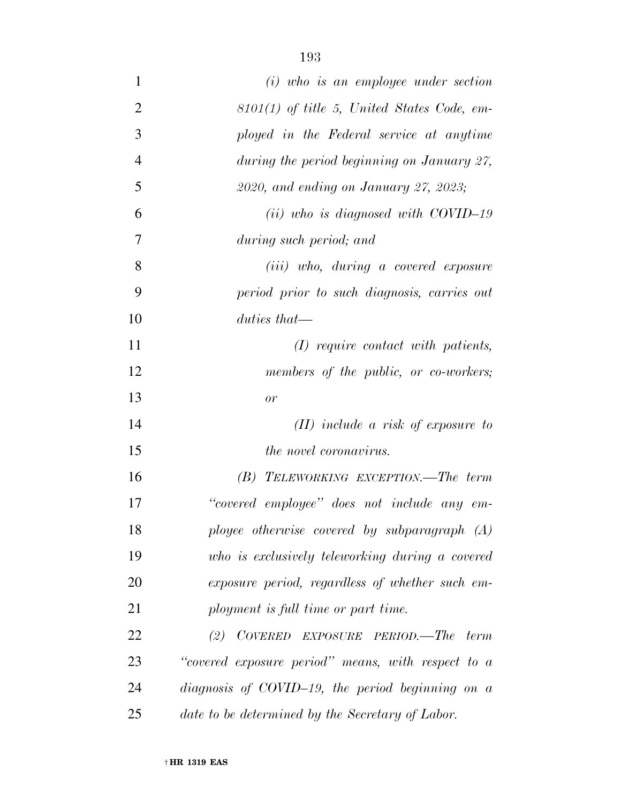| $\mathbf{1}$   | $(i)$ who is an employee under section             |
|----------------|----------------------------------------------------|
| $\overline{2}$ | $8101(1)$ of title 5, United States Code, em-      |
| 3              | ployed in the Federal service at anytime           |
| $\overline{4}$ | during the period beginning on January 27,         |
| 5              | 2020, and ending on January 27, 2023;              |
| 6              | $(ii)$ who is diagnosed with COVID-19              |
| 7              | during such period; and                            |
| 8              | (iii) who, during a covered exposure               |
| 9              | period prior to such diagnosis, carries out        |
| 10             | $duties that$ —                                    |
| 11             | $(I)$ require contact with patients,               |
| 12             | members of the public, or co-workers;              |
| 13             | or                                                 |
| 14             | $(II)$ include a risk of exposure to               |
| 15             | <i>the novel coronavirus.</i>                      |
| 16             | $(B)$ TELEWORKING EXCEPTION.—The term              |
| 17             | "covered employee" does not include any em-        |
| 18             | ployee otherwise covered by subparagraph (A)       |
| 19             | who is exclusively teleworking during a covered    |
| 20             | exposure period, regardless of whether such em-    |
| 21             | ployment is full time or part time.                |
| 22             | COVERED EXPOSURE PERIOD.—The<br>(2)<br>term        |
| 23             | "covered exposure period" means, with respect to a |
| 24             | diagnosis of COVID-19, the period beginning on $a$ |
| 25             | date to be determined by the Secretary of Labor.   |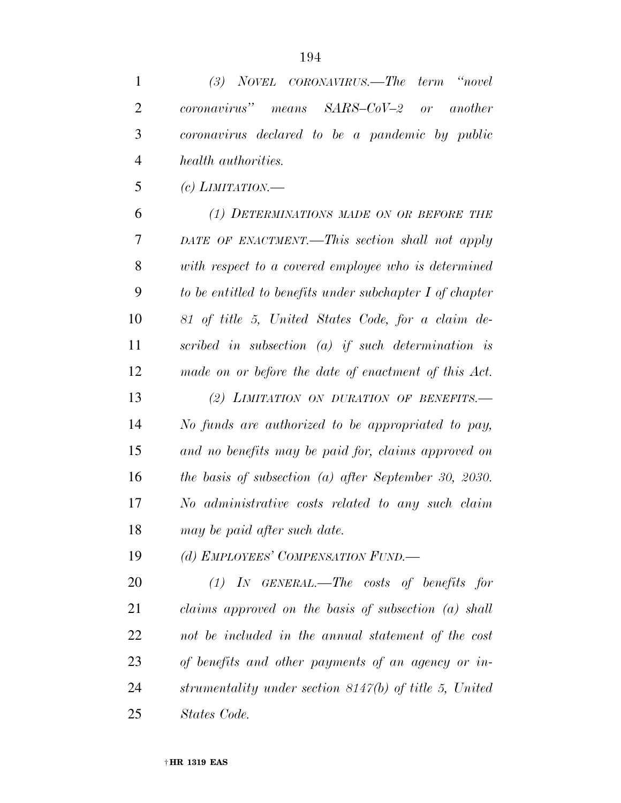*(3) NOVEL CORONAVIRUS.—The term ''novel* 

*coronavirus'' means SARS–CoV–2 or another* 

| coronavirus declared to be a pandemic by public          |
|----------------------------------------------------------|
| health authorities.                                      |
| (c) LIMITATION.—                                         |
| (1) DETERMINATIONS MADE ON OR BEFORE THE                 |
| DATE OF ENACTMENT.—This section shall not apply          |
| with respect to a covered employee who is determined     |
| to be entitled to benefits under subchapter I of chapter |
| 81 of title 5, United States Code, for a claim de-       |
| scribed in subsection $(a)$ if such determination is     |
| made on or before the date of enactment of this Act.     |
| (2) LIMITATION ON DURATION OF BENEFITS.-                 |
| No funds are authorized to be appropriated to pay,       |
| and no benefits may be paid for, claims approved on      |
| the basis of subsection $(a)$ after September 30, 2030.  |
| No administrative costs related to any such claim        |
| may be paid after such date.                             |
| (d) EMPLOYEES' COMPENSATION FUND.-                       |
| $(1)$ IN GENERAL.—The costs of benefits for              |
| claims approved on the basis of subsection $(a)$ shall   |
| not be included in the annual statement of the cost      |
| of benefits and other payments of an agency or in-       |
| strumentality under section 8147(b) of title 5, United   |
| States Code.                                             |
|                                                          |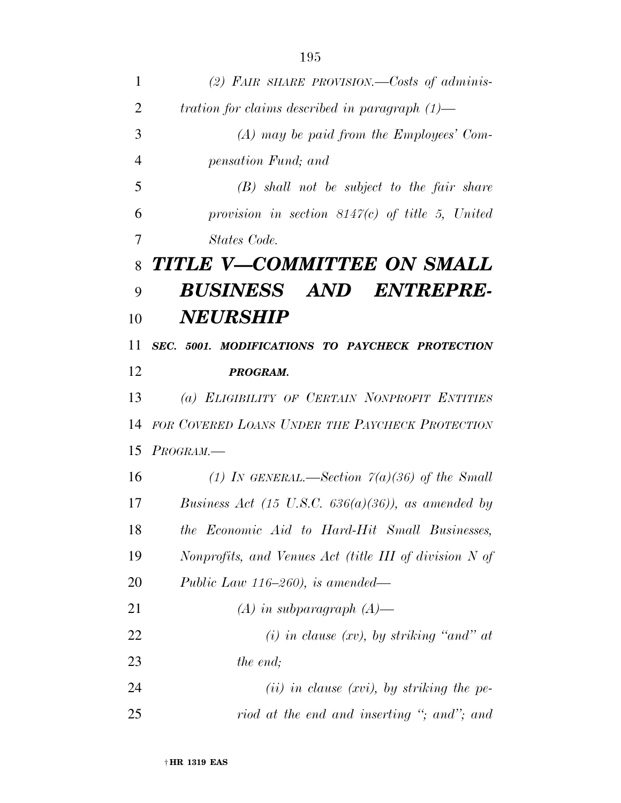*(2) FAIR SHARE PROVISION.—Costs of adminis- tration for claims described in paragraph (1)— (A) may be paid from the Employees' Com- pensation Fund; and (B) shall not be subject to the fair share provision in section 8147(c) of title 5, United States Code. TITLE V—COMMITTEE ON SMALL BUSINESS AND ENTREPRE- NEURSHIP SEC. 5001. MODIFICATIONS TO PAYCHECK PROTECTION PROGRAM. (a) ELIGIBILITY OF CERTAIN NONPROFIT ENTITIES FOR COVERED LOANS UNDER THE PAYCHECK PROTECTION PROGRAM.— (1) IN GENERAL.—Section 7(a)(36) of the Small Business Act (15 U.S.C. 636(a)(36)), as amended by the Economic Aid to Hard-Hit Small Businesses, Nonprofits, and Venues Act (title III of division N of Public Law 116–260), is amended— (A) in subparagraph (A)— (i) in clause (xv), by striking ''and'' at the end; (ii) in clause (xvi), by striking the pe-riod at the end and inserting ''; and''; and*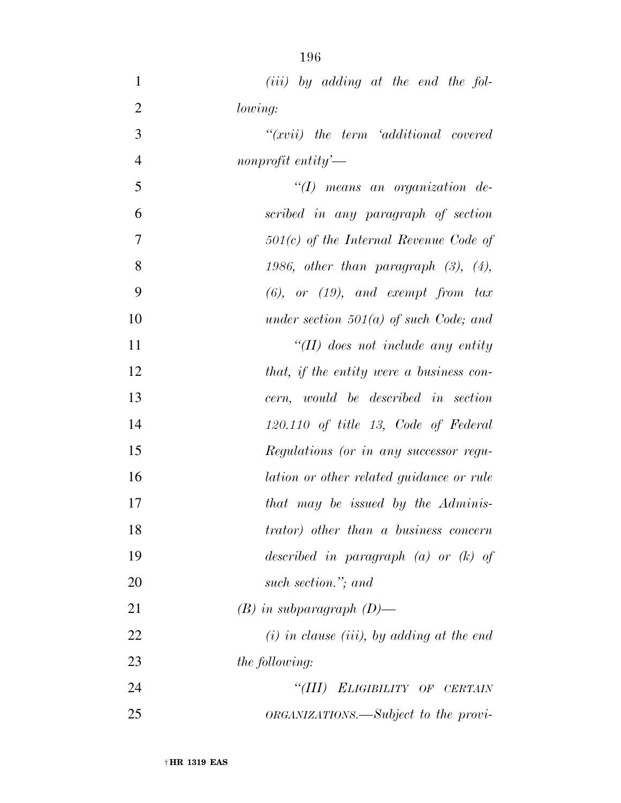| $\mathbf{1}$   | $(iii)$ by adding at the end the fol-                |
|----------------|------------------------------------------------------|
| $\overline{2}$ | lowing:                                              |
| 3              | $``(xvii)$ the term $`additional$ covered            |
| $\overline{4}$ | nonprofit entity'—                                   |
| 5              | $\lq (I)$ means an organization de-                  |
| 6              | scribed in any paragraph of section                  |
| 7              | $501(c)$ of the Internal Revenue Code of             |
| 8              | 1986, other than paragraph $(3)$ , $(4)$ ,           |
| 9              | $(6)$ , or $(19)$ , and exempt from tax              |
| 10             | under section $501(a)$ of such Code; and             |
| 11             | "(II) does not include any entity                    |
| 12             | that, if the entity were a business con-             |
| 13             | cern, would be described in section                  |
| 14             | $120.110$ of title 13, Code of Federal               |
| 15             | Regulations (or in any successor regu-               |
| 16             | lation or other related guidance or rule             |
| 17             | that may be issued by the Adminis-                   |
| 18             | <i>trator</i> ) <i>other than a business concern</i> |
| 19             | described in paragraph $(a)$ or $(k)$ of             |
| 20             | such section."; and                                  |
| 21             | $(B)$ in subparagraph $(D)$ —                        |
| 22             | $(i)$ in clause (iii), by adding at the end          |
| 23             | <i>the following:</i>                                |
| 24             | "(III) ELIGIBILITY OF CERTAIN                        |
| 25             | <i>ORGANIZATIONS.—Subject to the provi-</i>          |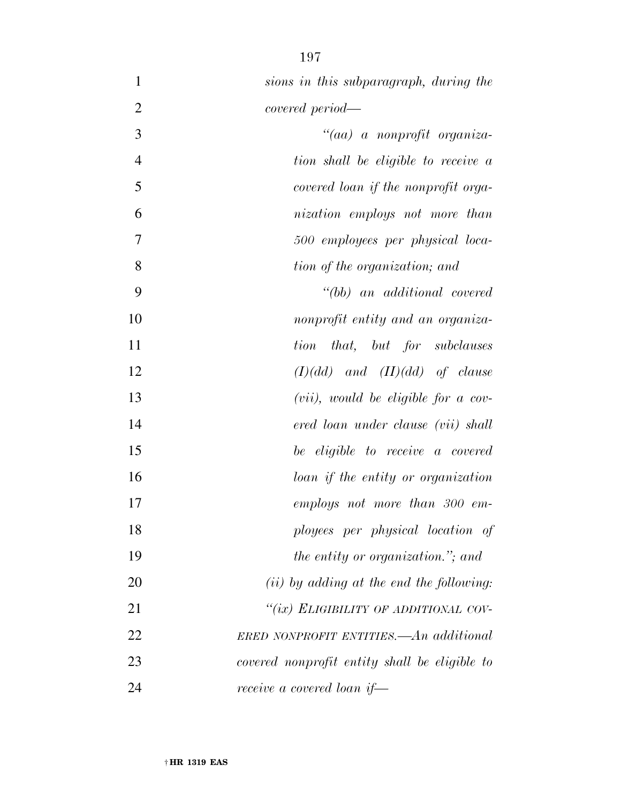| $\mathbf{1}$   | sions in this subparagraph, during the          |
|----------------|-------------------------------------------------|
| $\overline{2}$ | covered period—                                 |
| 3              | "(aa) a nonprofit organiza-                     |
| $\overline{4}$ | tion shall be eligible to receive a             |
| 5              | covered loan if the nonprofit orga-             |
| 6              | nization employs not more than                  |
| $\tau$         | 500 employees per physical loca-                |
| 8              | tion of the organization; and                   |
| 9              | $" (bb)$ an additional covered                  |
| 10             | nonprofit entity and an organiza-               |
| 11             | <i>that</i> , <i>but for subclauses</i><br>tion |
| 12             | $(I)(dd)$ and $(II)(dd)$ of clause              |
| 13             | $(vii)$ , would be eligible for a cov-          |
| 14             | ered loan under clause (vii) shall              |
| 15             | be eligible to receive a covered                |
| 16             | loan if the entity or organization              |
| 17             | employs not more than 300 em-                   |
| 18             | ployees per physical location of                |
| 19             | the entity or organization."; and               |
| 20             | $(ii)$ by adding at the end the following:      |
| 21             | "(ix) ELIGIBILITY OF ADDITIONAL COV-            |
| 22             | ERED NONPROFIT ENTITIES.—An additional          |
| 23             | covered nonprofit entity shall be eligible to   |
| 24             | receive a covered loan if—                      |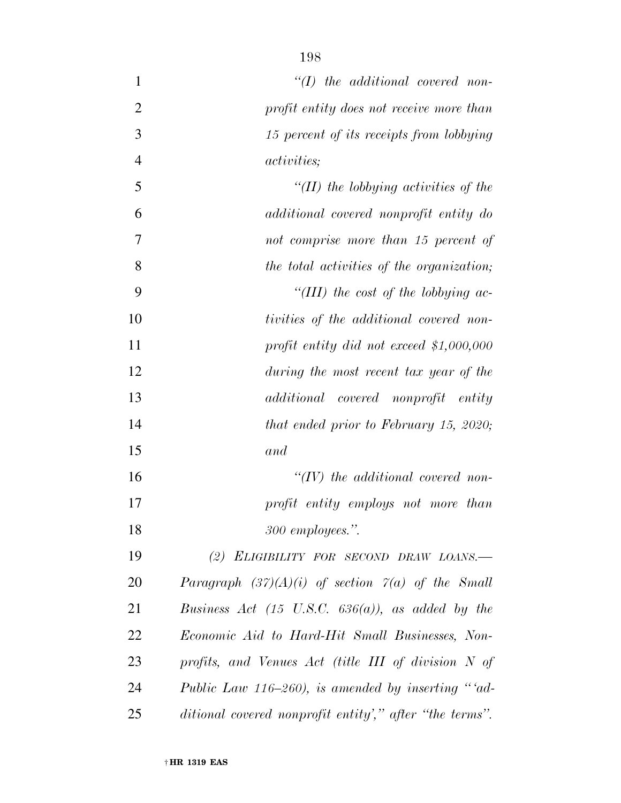| $\mathbf{1}$   | $"(I)$ the additional covered non-                      |
|----------------|---------------------------------------------------------|
| $\overline{2}$ | profit entity does not receive more than                |
| 3              | 15 percent of its receipts from lobbying                |
| $\overline{4}$ | <i>activities</i> ;                                     |
| 5              | "(II) the lobbying activities of the                    |
| 6              | additional covered nonprofit entity do                  |
| 7              | not comprise more than 15 percent of                    |
| 8              | the total activities of the organization;               |
| 9              | "(III) the cost of the lobbying ac-                     |
| 10             | tivities of the additional covered non-                 |
| 11             | profit entity did not exceed $$1,000,000$               |
| 12             | during the most recent tax year of the                  |
| 13             | additional covered nonprofit entity                     |
| 14             | that ended prior to February 15, 2020;                  |
| 15             | and                                                     |
| 16             | $\lq (IV)$ the additional covered non-                  |
| 17             | profit entity employs not more than                     |
| 18             | 300 employees.".                                        |
| 19             | (2) ELIGIBILITY FOR SECOND DRAW LOANS.                  |
| 20             | Paragraph $(37)(A)(i)$ of section $7(a)$ of the Small   |
| 21             | Business Act (15 U.S.C. $636(a)$ ), as added by the     |
| 22             | Economic Aid to Hard-Hit Small Businesses, Non-         |
| 23             | profits, and Venues Act (title III of division N of     |
| 24             | Public Law 116–260), is amended by inserting "ad-       |
| 25             | ditional covered nonprofit entity'," after "the terms". |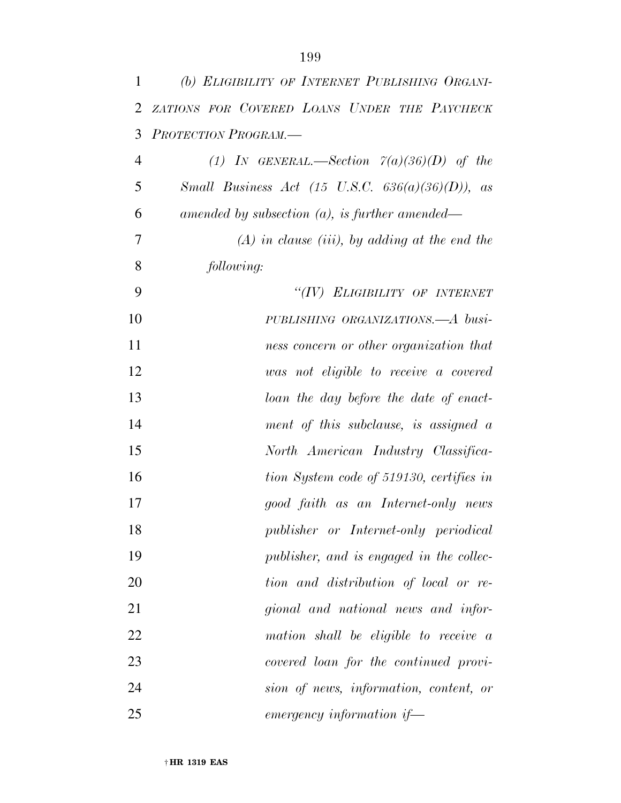| 1              | (b) ELIGIBILITY OF INTERNET PUBLISHING ORGANI-            |
|----------------|-----------------------------------------------------------|
| 2              | ZATIONS FOR COVERED LOANS UNDER THE PAYCHECK              |
| 3              | PROTECTION PROGRAM.                                       |
| $\overline{4}$ | (1) IN GENERAL.—Section $\tilde{\gamma}(a)(36)(D)$ of the |
| 5              | Small Business Act (15 U.S.C. $636(a)(36)(D)$ ), as       |
| 6              | amended by subsection $(a)$ , is further amended—         |
| 7              | $(A)$ in clause (iii), by adding at the end the           |
| 8              | following:                                                |
| 9              | "(IV) ELIGIBILITY OF INTERNET                             |
| 10             | PUBLISHING ORGANIZATIONS.—A busi-                         |
| 11             | ness concern or other organization that                   |
| 12             | was not eligible to receive a covered                     |
| 13             | loan the day before the date of enact-                    |
| 14             | ment of this subclause, is assigned $\alpha$              |
| 15             | North American Industry Classifica-                       |
| 16             | tion System code of 519130, certifies in                  |
| 17             | good faith as an Internet-only news                       |
| 18             | publisher or Internet-only periodical                     |
| 19             | publisher, and is engaged in the collec-                  |
| 20             | tion and distribution of local or re-                     |
| 21             | gional and national news and infor-                       |
| 22             | mation shall be eligible to receive a                     |
| 23             | covered loan for the continued provi-                     |
| 24             | sion of news, information, content, or                    |
| 25             | $emergency$ information if-                               |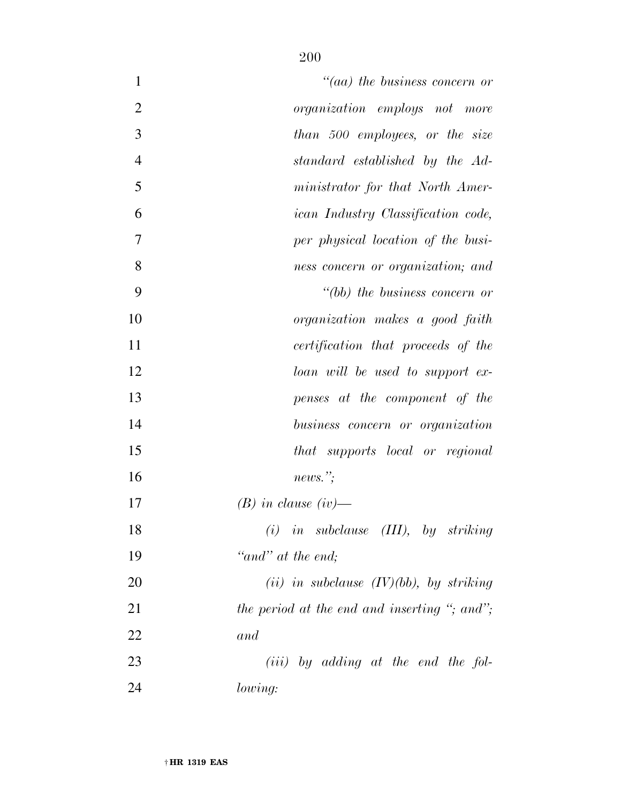| $\mathbf{1}$   | $\mathcal{C}(aa)$ the business concern or    |
|----------------|----------------------------------------------|
| $\overline{2}$ | organization employs not more                |
| 3              | than 500 employees, or the size              |
| $\overline{4}$ | standard established by the Ad-              |
| 5              | ministrator for that North Amer-             |
| 6              | <i>ican Industry Classification code,</i>    |
| 7              | per physical location of the busi-           |
| 8              | ness concern or organization; and            |
| 9              | $" (bb)$ the business concern or             |
| 10             | organization makes a good faith              |
| 11             | certification that proceeds of the           |
| 12             | loan will be used to support ex-             |
| 13             | penses at the component of the               |
| 14             | business concern or organization             |
| 15             | that supports local or regional              |
| 16             | news.":                                      |
| 17             | $(B)$ in clause (iv)—                        |
| 18             | $(i)$ in subclause $(III)$ , by striking     |
| 19             | "and" at the end;                            |
| 20             | (ii) in subclause $(IV)(bb)$ , by striking   |
| 21             | the period at the end and inserting "; and"; |
| 22             | and                                          |
| 23             | $(iii)$ by adding at the end the fol-        |
| 24             | lowing:                                      |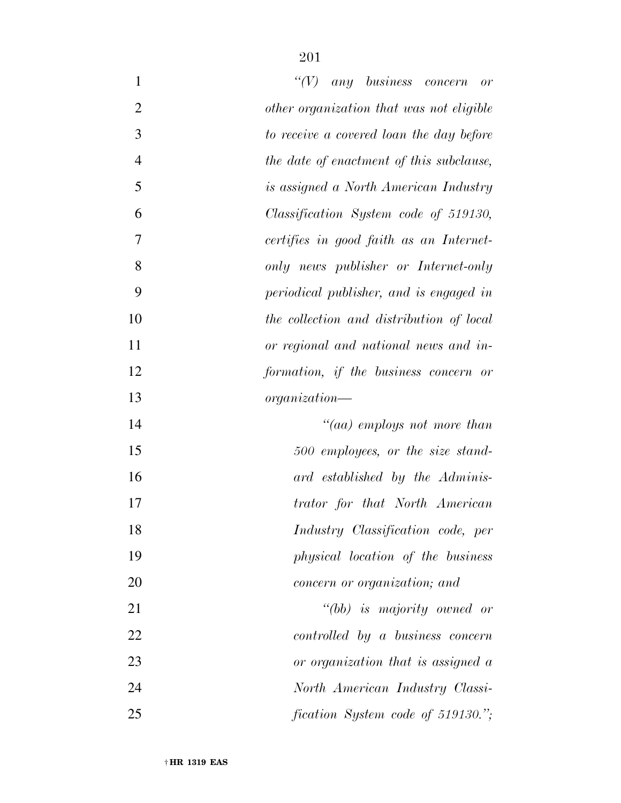| $\mathbf{1}$   | $\lq\lq(V)$<br>any business concern<br>or |
|----------------|-------------------------------------------|
| $\overline{2}$ | other organization that was not eligible  |
| 3              | to receive a covered loan the day before  |
| $\overline{4}$ | the date of enactment of this subclause,  |
| 5              | is assigned a North American Industry     |
| 6              | Classification System code of 519130,     |
| $\overline{7}$ | certifies in good faith as an Internet-   |
| 8              | only news publisher or Internet-only      |
| 9              | periodical publisher, and is engaged in   |
| 10             | the collection and distribution of local  |
| 11             | or regional and national news and in-     |
| 12             | formation, if the business concern or     |
| 13             | $organization-$                           |
| 14             | "(aa) employs not more than               |
| 15             | 500 employees, or the size stand-         |
| 16             | ard established by the Adminis-           |
| 17             | trator for that North American            |
| 18             | Industry Classification code, per         |
| 19             | physical location of the business         |
| 20             | concern or organization; and              |
| 21             | $"(bb)$ is majority owned or              |
| 22             | controlled by a business concern          |
| 23             | or organization that is assigned a        |
| 24             | North American Industry Classi-           |
| 25             | fication System code of 519130.";         |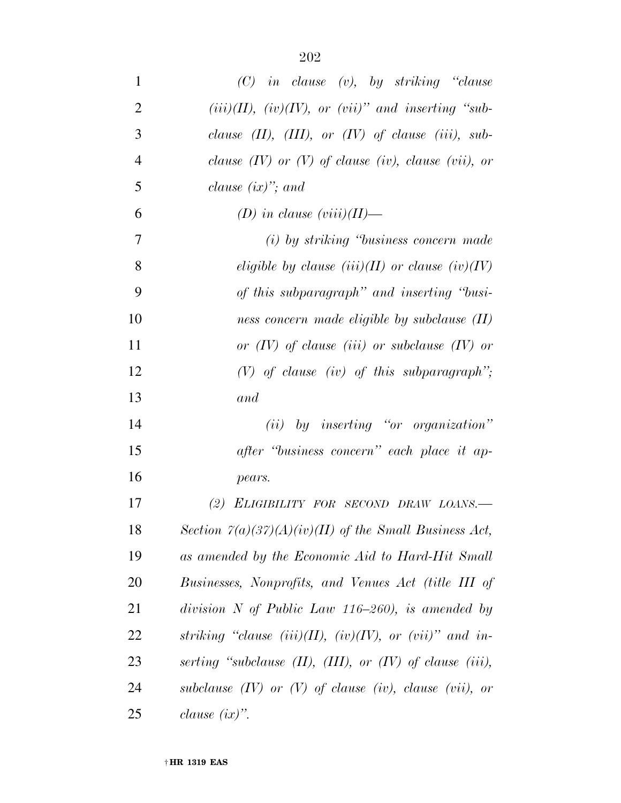| 1              | $(C)$ in clause (v), by striking "clause                            |
|----------------|---------------------------------------------------------------------|
| $\overline{2}$ | $(iii)(II)$ , $(iv)(IV)$ , or $(vii)$ " and inserting "sub-         |
| 3              | clause $(II)$ , $(III)$ , or $(IV)$ of clause $(iii)$ , sub-        |
| $\overline{4}$ | clause $(IV)$ or $(V)$ of clause (iv), clause (vii), or             |
| 5              | clause $(ix)$ "; and                                                |
| 6              | (D) in clause $(viii)(II)$ —                                        |
| $\overline{7}$ | (i) by striking "business concern made"                             |
| 8              | eligible by clause $(iii)(II)$ or clause $(iv)(IV)$                 |
| 9              | of this subparagraph" and inserting "busi-                          |
| 10             | ness concern made eligible by subclause (II)                        |
| 11             | or $(IV)$ of clause (iii) or subclause $(IV)$ or                    |
| 12             | $(V)$ of clause (iv) of this subparagraph";                         |
| 13             | and                                                                 |
| 14             | $(ii)$ by inserting "or organization"                               |
| 15             | after "business concern" each place it ap-                          |
| 16             | pears.                                                              |
| 17             | (2) ELIGIBILITY FOR SECOND DRAW LOANS.-                             |
| 18             | Section $\Gamma(a)(37)(A)(iv)(II)$ of the Small Business Act,       |
| 19             | as amended by the Economic Aid to Hard-Hit Small                    |
| 20             | Businesses, Nonprofits, and Venues Act (title III of                |
| 21             | division N of Public Law $116-260$ , is amended by                  |
| 22             | striking "clause (iii)(II), (iv)(IV), or (vii)" and in-             |
| 23             | serting "subclause $(II)$ , $(III)$ , or $(IV)$ of clause $(iii)$ , |
| 24             | subclause $(IV)$ or $(V)$ of clause $(iv)$ , clause $(vii)$ , or    |
| 25             | clause $(ix)$ ".                                                    |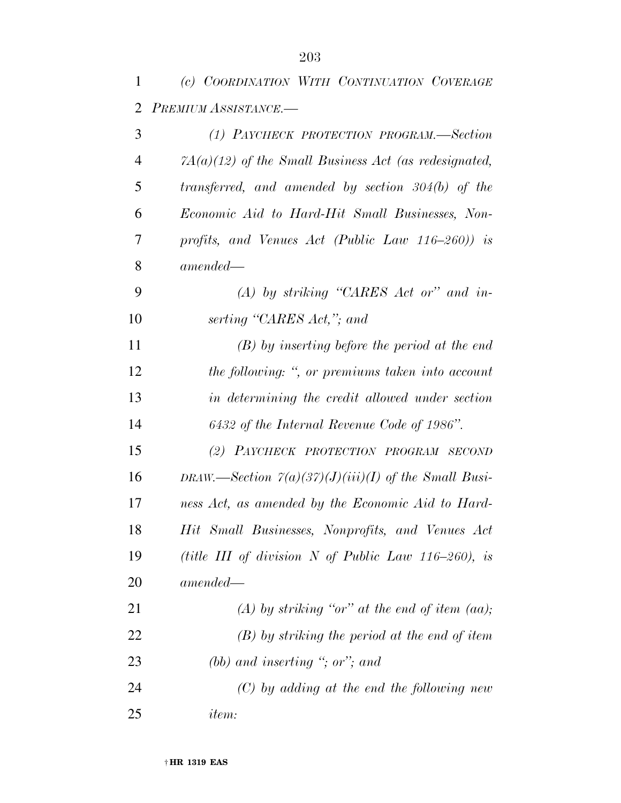| 1              | (c) COORDINATION WITH CONTINUATION COVERAGE                                |
|----------------|----------------------------------------------------------------------------|
| $\overline{2}$ | PREMIUM ASSISTANCE.-                                                       |
| 3              | (1) PAYCHECK PROTECTION PROGRAM.—Section                                   |
| $\overline{4}$ | $7A(a)(12)$ of the Small Business Act (as redesignated,                    |
| 5              | transferred, and amended by section 304(b) of the                          |
| 6              | Economic Aid to Hard-Hit Small Businesses, Non-                            |
| 7              | profits, and Venues Act (Public Law $116-260$ )) is                        |
| 8              | $amended -$                                                                |
| 9              | $(A)$ by striking "CARES Act or" and in-                                   |
| 10             | serting "CARES Act,"; and                                                  |
| 11             | $(B)$ by inserting before the period at the end                            |
| 12             | the following: ", or premiums taken into account                           |
| 13             | in determining the credit allowed under section                            |
| 14             | 6432 of the Internal Revenue Code of 1986".                                |
| 15             | (2) PAYCHECK PROTECTION PROGRAM SECOND                                     |
| 16             | DRAW.—Section $\mathcal{V}(a)(3\mathcal{V})(J)(iii)(I)$ of the Small Busi- |
| 17             | ness Act, as amended by the Economic Aid to Hard-                          |
| 18             | Hit Small Businesses, Nonprofits, and Venues Act                           |
| 19             | (title III of division N of Public Law $116-260$ ), is                     |
| 20             | $amended-$                                                                 |
| 21             | (A) by striking "or" at the end of item (aa);                              |
| 22             | $(B)$ by striking the period at the end of item                            |
| 23             | (bb) and inserting "; or"; and                                             |
| 24             | $(C)$ by adding at the end the following new                               |
| 25             | <i>item:</i>                                                               |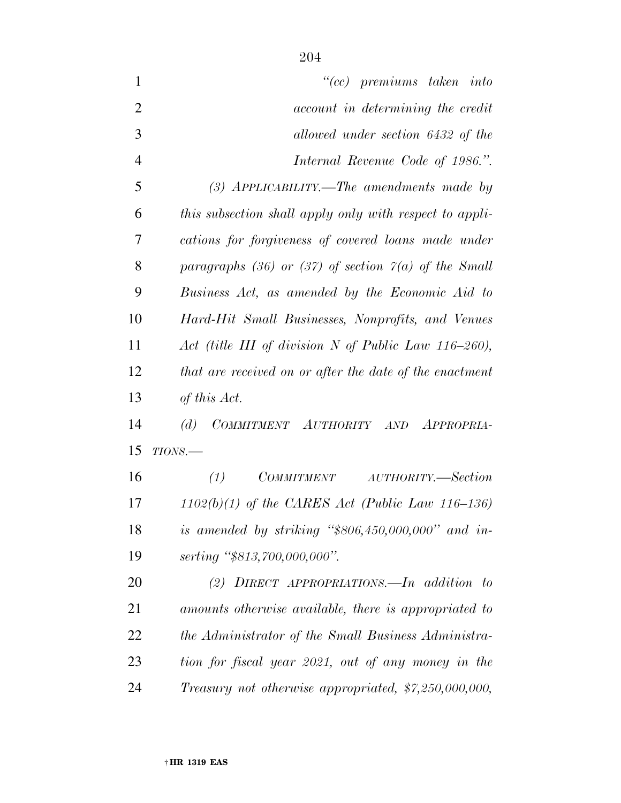| $\mathbf{1}$   | $``(cc)$ premiums taken into                            |
|----------------|---------------------------------------------------------|
| $\overline{2}$ | account in determining the credit                       |
| 3              | allowed under section 6432 of the                       |
| $\overline{4}$ | Internal Revenue Code of 1986.".                        |
| 5              | (3) APPLICABILITY.—The amendments made by               |
| 6              | this subsection shall apply only with respect to appli- |
| 7              | cations for forgiveness of covered loans made under     |
| 8              | paragraphs (36) or (37) of section $7(a)$ of the Small  |
| 9              | Business Act, as amended by the Economic Aid to         |
| 10             | Hard-Hit Small Businesses, Nonprofits, and Venues       |
| 11             | Act (title III of division N of Public Law 116-260),    |
| 12             | that are received on or after the date of the enactment |
| 13             | of this Act.                                            |
| 14             | COMMITMENT AUTHORITY AND APPROPRIA-<br>(d)              |
| 15             | $TIONS$ .                                               |
| 16             | <i>COMMITMENT</i><br>AUTHORITY.—Section<br>(1)          |
| 17             | $1102(b)(1)$ of the CARES Act (Public Law 116–136)      |
| 18             | is amended by striking " $$806,450,000,000"$ and in-    |
| 19             | serting "\$813,700,000,000".                            |
| 20             | (2) DIRECT APPROPRIATIONS. $\Box$ In addition to        |
| 21             | amounts otherwise available, there is appropriated to   |
| 22             | the Administrator of the Small Business Administra-     |
| 23             | tion for fiscal year 2021, out of any money in the      |
| 24             | Treasury not otherwise appropriated, \$7,250,000,000,   |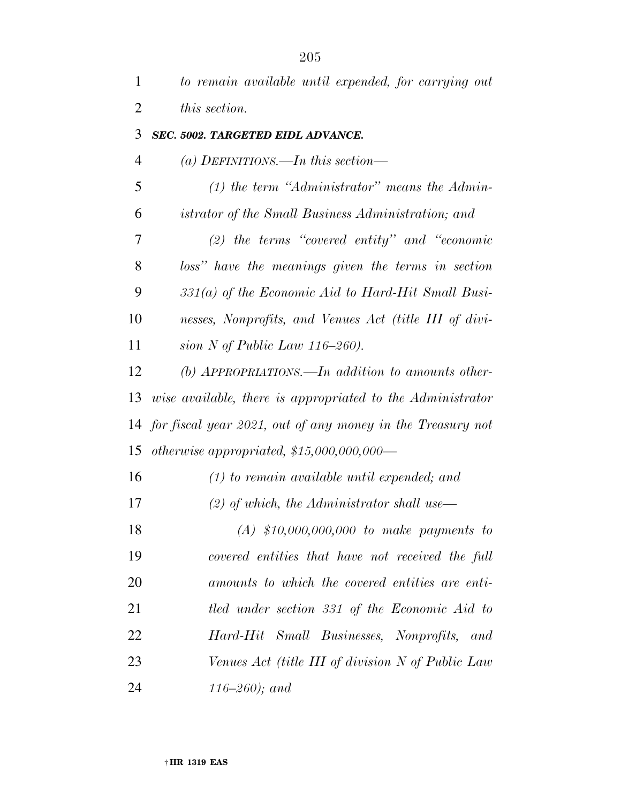| 1              | to remain available until expended, for carrying out          |
|----------------|---------------------------------------------------------------|
| $\overline{2}$ | this section.                                                 |
| 3              | SEC. 5002. TARGETED EIDL ADVANCE.                             |
| $\overline{4}$ | (a) DEFINITIONS.—In this section—                             |
| 5              | $(1)$ the term "Administrator" means the Admin-               |
| 6              | istrator of the Small Business Administration; and            |
| 7              | (2) the terms "covered entity" and "economic                  |
| 8              | loss" have the meanings given the terms in section            |
| 9              | $331(a)$ of the Economic Aid to Hard-Hit Small Busi-          |
| 10             | nesses, Nonprofits, and Venues Act (title III of divi-        |
| 11             | sion N of Public Law $116-260$ ).                             |
| 12             | $(b)$ APPROPRIATIONS.—In addition to amounts other-           |
| 13             | wise available, there is appropriated to the Administrator    |
|                | 14 for fiscal year 2021, out of any money in the Treasury not |
| 15             | otherwise appropriated, $$15,000,000,000$ —                   |
| 16             | $(1)$ to remain available until expended; and                 |
| 17             | $(2)$ of which, the Administrator shall use—                  |
| 18             | $(A)$ \$10,000,000,000 to make payments to                    |
| 19             | covered entities that have not received the full              |
| 20             | amounts to which the covered entities are enti-               |
| 21             | tled under section 331 of the Economic Aid to                 |
| 22             | Hard-Hit Small Businesses, Nonprofits, and                    |
| 23             | Venues Act (title III of division N of Public Law             |
| 24             | $116 - 260$ ); and                                            |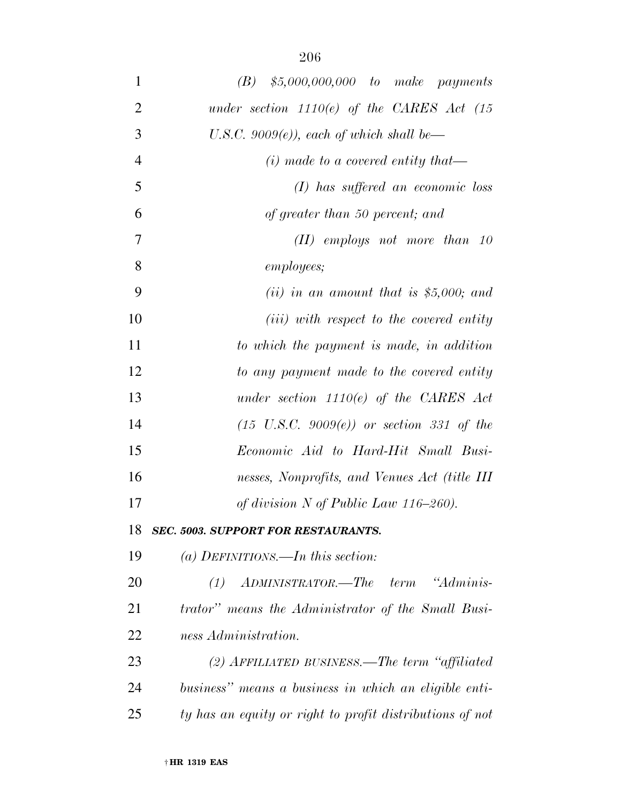| $\mathbf{1}$   | $$5,000,000,000$ to make payments<br>(B)                 |
|----------------|----------------------------------------------------------|
| $\overline{2}$ | under section $1110(e)$ of the CARES Act $(15$           |
| 3              | U.S.C. 9009 $(e)$ ), each of which shall be—             |
| $\overline{4}$ | $(i)$ made to a covered entity that—                     |
| 5              | $(I)$ has suffered an economic loss                      |
| 6              | of greater than 50 percent; and                          |
| 7              | $(II)$ employs not more than 10                          |
| 8              | <i>employees</i> ;                                       |
| 9              | (ii) in an amount that is \$5,000; and                   |
| 10             | ( <i>iii</i> ) with respect to the covered entity        |
| 11             | to which the payment is made, in addition                |
| 12             | to any payment made to the covered entity                |
| 13             | under section $1110(e)$ of the CARES Act                 |
| 14             | $(15 \text{ U.S.C. } 9009(e))$ or section 331 of the     |
| 15             | <i>Economic Aid to Hard-Hit Small Busi-</i>              |
| 16             | nesses, Nonprofits, and Venues Act (title III            |
| 17             | of division $N$ of Public Law 116–260).                  |
| 18             | <b>SEC. 5003. SUPPORT FOR RESTAURANTS.</b>               |
| 19             | (a) DEFINITIONS.—In this section:                        |
| <b>20</b>      | "Adminis-<br>$(1)$ ADMINISTRATOR.—The term               |
| 21             | trator" means the Administrator of the Small Busi-       |
| 22             | ness Administration.                                     |
| 23             | (2) AFFILIATED BUSINESS.—The term "affiliated"           |
| 24             | business" means a business in which an eligible enti-    |
| 25             | ty has an equity or right to profit distributions of not |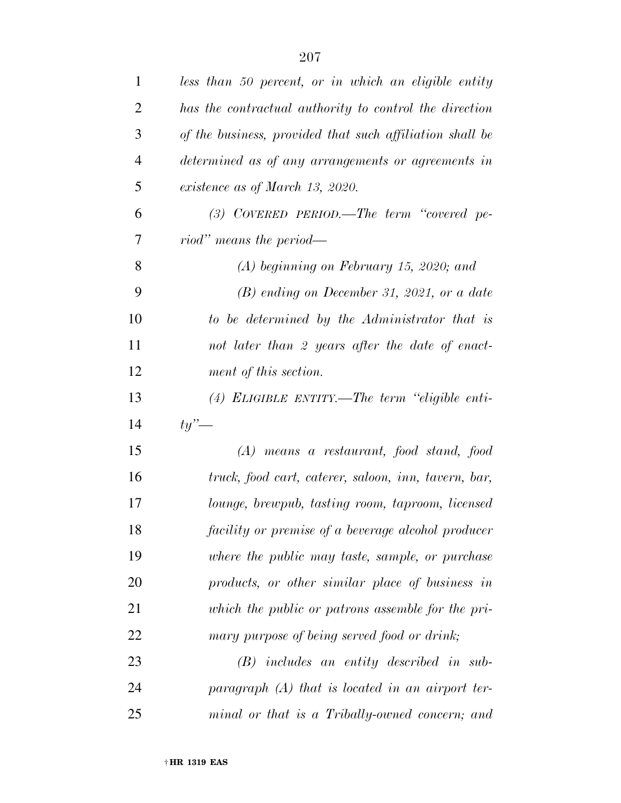| $\mathbf{1}$   | less than 50 percent, or in which an eligible entity     |
|----------------|----------------------------------------------------------|
| $\overline{2}$ | has the contractual authority to control the direction   |
| 3              | of the business, provided that such affiliation shall be |
| $\overline{4}$ | determined as of any arrangements or agreements in       |
| 5              | existence as of March 13, 2020.                          |
| 6              | $(3)$ COVERED PERIOD.—The term "covered pe-              |
| 7              | riod" means the period—                                  |
| 8              | $(A)$ beginning on February 15, 2020; and                |
| 9              | $(B)$ ending on December 31, 2021, or a date             |
| 10             | to be determined by the Administrator that is            |
| 11             | not later than 2 years after the date of enact-          |
| 12             | ment of this section.                                    |
| 13             | $(4)$ ELIGIBLE ENTITY.—The term "eligible enti-          |
| 14             | $t\nu'$                                                  |
| 15             | $(A)$ means a restaurant, food stand, food               |
| 16             | truck, food cart, caterer, saloon, inn, tavern, bar,     |
| 17             | lounge, brewpub, tasting room, taproom, licensed         |
| 18             | facility or premise of a beverage alcohol producer       |
| 19             | where the public may taste, sample, or purchase          |
| 20             | products, or other similar place of business in          |
| 21             | which the public or patrons assemble for the pri-        |
| 22             | mary purpose of being served food or drink;              |
| 23             | $(B)$ includes an entity described in sub-               |
| 24             | paragraph $(A)$ that is located in an airport ter-       |
| 25             | minal or that is a Tribally-owned concern; and           |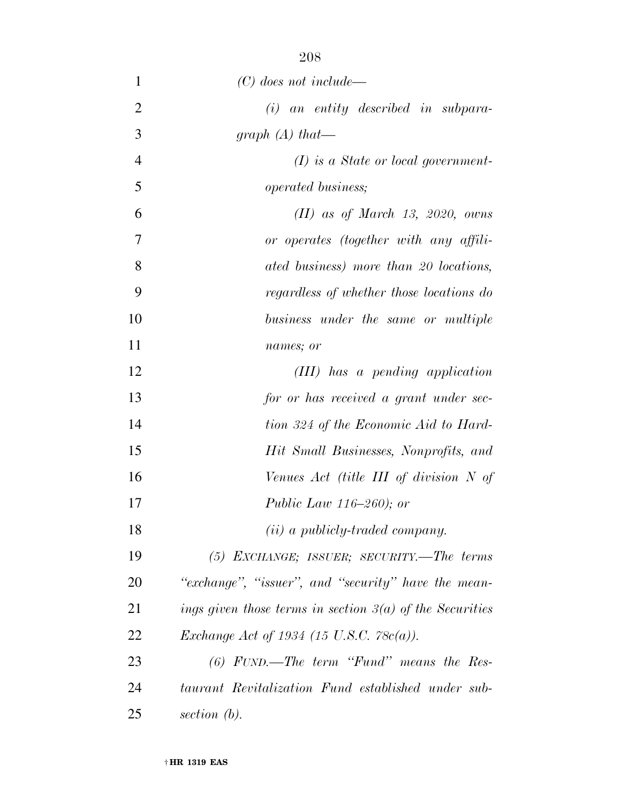| 1              | $(C)$ does not include—                                    |
|----------------|------------------------------------------------------------|
| $\overline{2}$ | $(i)$ an entity described in subpara-                      |
| 3              | graph $(A)$ that—                                          |
| $\overline{4}$ | $(I)$ is a State or local government-                      |
| 5              | <i>operated business;</i>                                  |
| 6              | $(II)$ as of March 13, 2020, owns                          |
| 7              | or operates (together with any affili-                     |
| 8              | ated business) more than 20 locations,                     |
| 9              | regardless of whether those locations do                   |
| 10             | business under the same or multiple                        |
| 11             | names; or                                                  |
| 12             | (III) has a pending application                            |
| 13             | for or has received a grant under sec-                     |
| 14             | tion 324 of the Economic Aid to Hard-                      |
| 15             | Hit Small Businesses, Nonprofits, and                      |
| 16             | Venues Act (title III of division N of                     |
| 17             | <i>Public Law 116–260)</i> ; <i>or</i>                     |
| 18             | (ii) a publicly-traded company.                            |
| 19             | $(5)$ EXCHANGE; ISSUER; SECURITY.—The terms                |
| 20             | "exchange", "issuer", and "security" have the mean-        |
| 21             | ings given those terms in section $3(a)$ of the Securities |
| 22             | <i>Exchange Act of 1934 (15 U.S.C. 78c(a)).</i>            |
| 23             | $(6)$ FUND.—The term "Fund" means the Res-                 |
| 24             | taurant Revitalization Fund established under sub-         |
| 25             | section $(b)$ .                                            |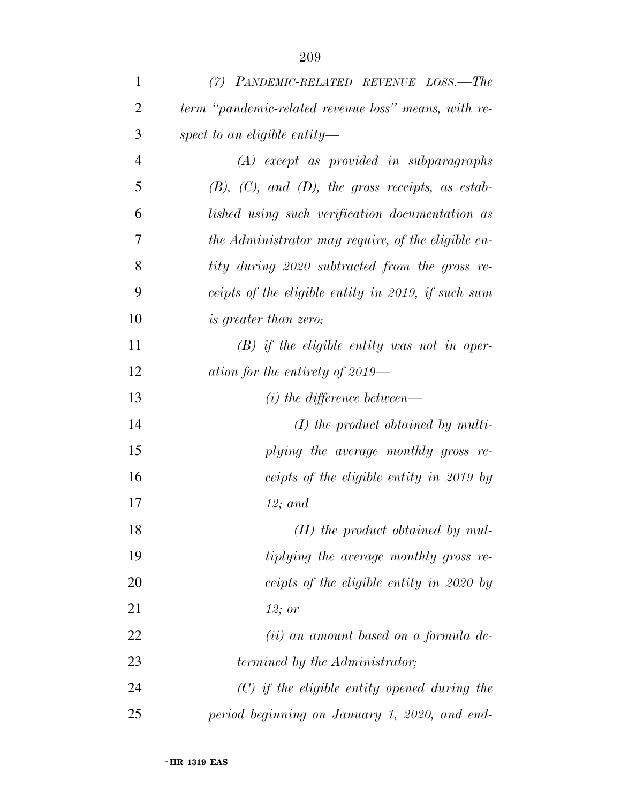| 1              | (7) PANDEMIC-RELATED REVENUE LOSS.—The                    |
|----------------|-----------------------------------------------------------|
| 2              | term "pandemic-related revenue loss" means, with re-      |
| 3              | spect to an eligible entity—                              |
| $\overline{4}$ | $(A)$ except as provided in subparagraphs                 |
| 5              | $(B)$ , $(C)$ , and $(D)$ , the gross receipts, as estab- |
| 6              | lished using such verification documentation as           |
| 7              | the Administrator may require, of the eligible en-        |
| 8              | tity during 2020 subtracted from the gross re-            |
| 9              | ceipts of the eligible entity in 2019, if such sum        |
| 10             | <i>is greater than zero;</i>                              |
| 11             | $(B)$ if the eligible entity was not in oper-             |
| 12             | ation for the entirety of $2019-$                         |
| 13             | $(i)$ the difference between—                             |
| 14             | $(I)$ the product obtained by multi-                      |
| 15             | plying the average monthly gross re-                      |
| 16             | ceipts of the eligible entity in 2019 by                  |
| 17             | $12;$ and                                                 |
| 18             | $(II)$ the product obtained by mul-                       |
| 19             | tiplying the average monthly gross re-                    |
| 20             | ceipts of the eligible entity in 2020 by                  |
| 21             | 12; or                                                    |
| 22             | (ii) an amount based on a formula de-                     |
| 23             | termined by the Administrator;                            |
| 24             | $(C)$ if the eligible entity opened during the            |
| 25             | period beginning on January 1, 2020, and end-             |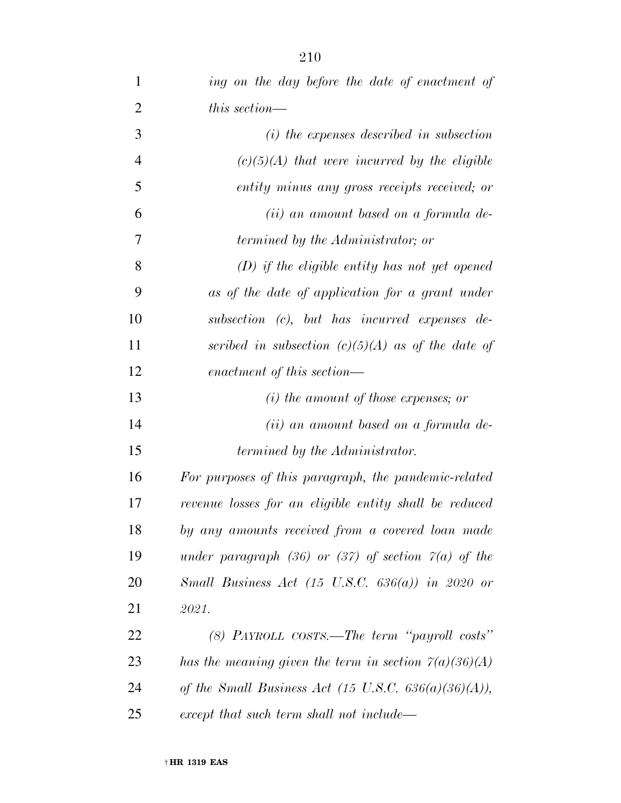| $\mathbf{1}$   | ing on the day before the date of enactment of                     |
|----------------|--------------------------------------------------------------------|
| $\overline{2}$ | this section—                                                      |
| 3              | $(i)$ the expenses described in subsection                         |
| $\overline{4}$ | $(c)(5)(A)$ that were incurred by the eligible                     |
| 5              | entity minus any gross receipts received; or                       |
| 6              | (ii) an amount based on a formula de-                              |
| 7              | <i>termined by the Administrator; or</i>                           |
| 8              | $(D)$ if the eligible entity has not yet opened                    |
| 9              | as of the date of application for a grant under                    |
| 10             | subsection (c), but has incurred expenses de-                      |
| 11             | scribed in subsection $(c)(5)(A)$ as of the date of                |
| 12             | enactment of this section—                                         |
| 13             | $(i)$ the amount of those expenses; or                             |
| 14             | (ii) an amount based on a formula de-                              |
| 15             | termined by the Administrator.                                     |
| 16             | For purposes of this paragraph, the pandemic-related               |
| 17             | revenue losses for an eligible entity shall be reduced             |
| 18             | by any amounts received from a covered loan made                   |
| 19             | under paragraph (36) or (37) of section $\tilde{\gamma}(a)$ of the |
| 20             | Small Business Act (15 U.S.C. $636(a)$ ) in 2020 or                |
| 21             | 2021.                                                              |
| 22             | (8) PAYROLL COSTS.—The term "payroll costs"                        |
| 23             | has the meaning given the term in section $\Gamma(a)(36)(A)$       |
| 24             | of the Small Business Act (15 U.S.C. $636(a)(36)(A)$ ),            |
| 25             | except that such term shall not include—                           |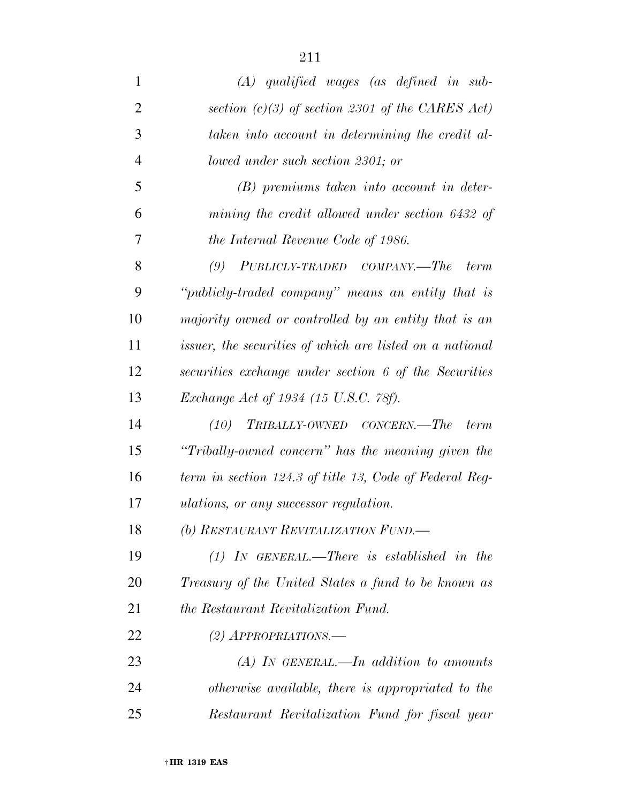| $\mathbf{1}$   | $(A)$ qualified wages (as defined in sub-                       |
|----------------|-----------------------------------------------------------------|
| $\overline{2}$ | section (c)(3) of section 2301 of the CARES Act)                |
| 3              | taken into account in determining the credit al-                |
| $\overline{4}$ | lowed under such section 2301; or                               |
| 5              | $(B)$ premiums taken into account in deter-                     |
| 6              | mining the credit allowed under section 6432 of                 |
| 7              | the Internal Revenue Code of 1986.                              |
| 8              | PUBLICLY-TRADED COMPANY.—The<br>(9)<br><i>term</i>              |
| 9              | "publicly-traded company" means an entity that is               |
| 10             | majority owned or controlled by an entity that is an            |
| 11             | <i>issuer, the securities of which are listed on a national</i> |
| 12             | securities exchange under section 6 of the Securities           |
| 13             | Exchange Act of 1934 (15 U.S.C. 78f).                           |
| 14             | TRIBALLY-OWNED CONCERN.—The<br>(10)<br>term                     |
| 15             | "Tribally-owned concern" has the meaning given the              |
| 16             | term in section 124.3 of title 13, Code of Federal Reg-         |
| 17             | <i>ulations, or any successor regulation.</i>                   |
| 18             | (b) RESTAURANT REVITALIZATION FUND.                             |
| 19             | $(1)$ IN GENERAL.—There is established in the                   |
| 20             | Treasury of the United States a fund to be known as             |
| 21             | <i>the Restaurant Revitalization Fund.</i>                      |
| 22             | $(2)$ APPROPRIATIONS.—                                          |
| 23             | $(A)$ In GENERAL.—In addition to amounts                        |
| 24             | otherwise available, there is appropriated to the               |
| 25             | Restaurant Revitalization Fund for fiscal year                  |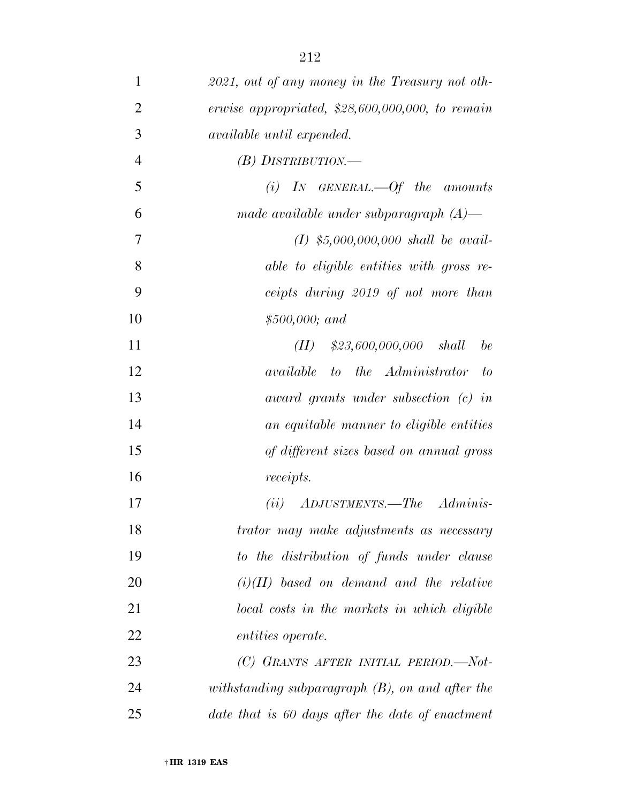| $\mathbf{1}$   | 2021, out of any money in the Treasury not oth-    |
|----------------|----------------------------------------------------|
| $\overline{2}$ | erwise appropriated, $$28,600,000,000$ , to remain |
| 3              | <i>available until expended.</i>                   |
| $\overline{4}$ | $(B)$ DISTRIBUTION.—                               |
| 5              | (i) IN GENERAL.—Of the amounts                     |
| 6              | made available under subparagraph $(A)$ —          |
| 7              | $(I)$ \$5,000,000,000 shall be avail-              |
| 8              | able to eligible entities with gross re-           |
| 9              | ceipts during 2019 of not more than                |
| 10             | $$500,000;$ and                                    |
| 11             | $$23,600,000,000$ shall<br>be<br>(II)              |
| 12             | <i>available</i> to the Administrator<br>$-to$     |
| 13             | award grants under subsection (c) in               |
| 14             | an equitable manner to eligible entities           |
| 15             | of different sizes based on annual gross           |
| 16             | receipts.                                          |
| 17             | $(ii)$ ADJUSTMENTS.—The Adminis-                   |
| 18             | trator may make adjustments as necessary           |
| 19             | to the distribution of funds under clause          |
| 20             | $(i)(II)$ based on demand and the relative         |
| 21             | local costs in the markets in which eligible       |
| 22             | <i>entities operate.</i>                           |
| 23             | (C) GRANTS AFTER INITIAL PERIOD.-Not-              |
| 24             | withstanding subparagraph $(B)$ , on and after the |
| 25             | date that is 60 days after the date of enactment   |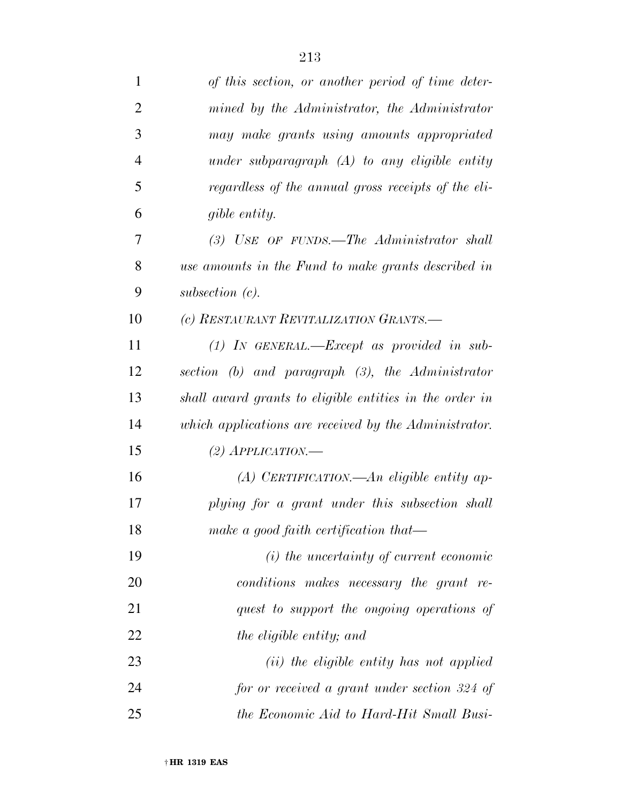| $\mathbf{1}$   | of this section, or another period of time deter-       |
|----------------|---------------------------------------------------------|
| $\overline{2}$ | mined by the Administrator, the Administrator           |
| 3              | may make grants using amounts appropriated              |
| $\overline{4}$ | under subparagraph $(A)$ to any eligible entity         |
| 5              | regardless of the annual gross receipts of the eli-     |
| 6              | gible entity.                                           |
| 7              | $(3)$ USE OF FUNDS.—The Administrator shall             |
| 8              | use amounts in the Fund to make grants described in     |
| 9              | subsection $(c)$ .                                      |
| 10             | (c) RESTAURANT REVITALIZATION GRANTS.-                  |
| 11             | $(1)$ IN GENERAL.—Except as provided in sub-            |
| 12             | section (b) and paragraph $(3)$ , the Administrator     |
| 13             | shall award grants to eligible entities in the order in |
| 14             | which applications are received by the Administrator.   |
| 15             | (2) $APPLICATION$ .                                     |
| 16             | (A) CERTIFICATION.—An eligible entity ap-               |
| 17             | plying for a grant under this subsection shall          |
| 18             | make a good faith certification that—                   |
| 19             | $(i)$ the uncertainty of current economic               |
| 20             | conditions makes necessary the grant re-                |
| 21             | quest to support the ongoing operations of              |
| 22             | the eligible entity; and                                |
| 23             | ( <i>ii</i> ) the eligible entity has not applied       |
| 24             | for or received a grant under section 324 of            |
| 25             | the Economic Aid to Hard-Hit Small Busi-                |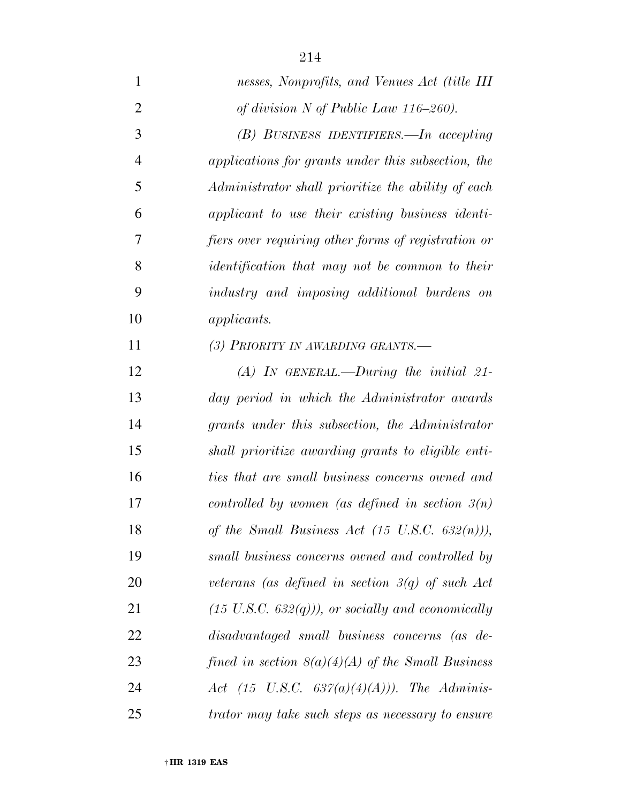| $\mathbf{1}$   | nesses, Nonprofits, and Venues Act (title III                |
|----------------|--------------------------------------------------------------|
| $\overline{2}$ | of division $N$ of Public Law 116-260).                      |
| 3              | (B) BUSINESS IDENTIFIERS.—In accepting                       |
| $\overline{4}$ | applications for grants under this subsection, the           |
| 5              | Administrator shall prioritize the ability of each           |
| 6              | applicant to use their existing business identi-             |
| 7              | fiers over requiring other forms of registration or          |
| 8              | <i>identification that may not be common to their</i>        |
| 9              | industry and imposing additional burdens on                  |
| 10             | <i>applicants.</i>                                           |
| 11             | (3) PRIORITY IN AWARDING GRANTS.-                            |
| 12             | $(A)$ In GENERAL.—During the initial 21-                     |
| 13             | day period in which the Administrator awards                 |
| 14             | grants under this subsection, the Administrator              |
| 15             | shall prioritize awarding grants to eligible enti-           |
| 16             | ties that are small business concerns owned and              |
| 17             | controlled by women (as defined in section $\mathfrak{Z}(n)$ |
| 18             | of the Small Business Act $(15 \text{ U.S.C. } 632(n))$ ),   |
| 19             | small business concerns owned and controlled by              |
| 20             | veterans (as defined in section $3(q)$ of such Act           |
| 21             | $(15 \text{ U.S.C. } 632(q))$ , or socially and economically |
| 22             | disadvantaged small business concerns (as de-                |
| 23             | fined in section $8(a)(4)(A)$ of the Small Business          |
| 24             | Act (15 U.S.C. $637(a)(4)(A))$ ). The Adminis-               |
| 25             | trator may take such steps as necessary to ensure            |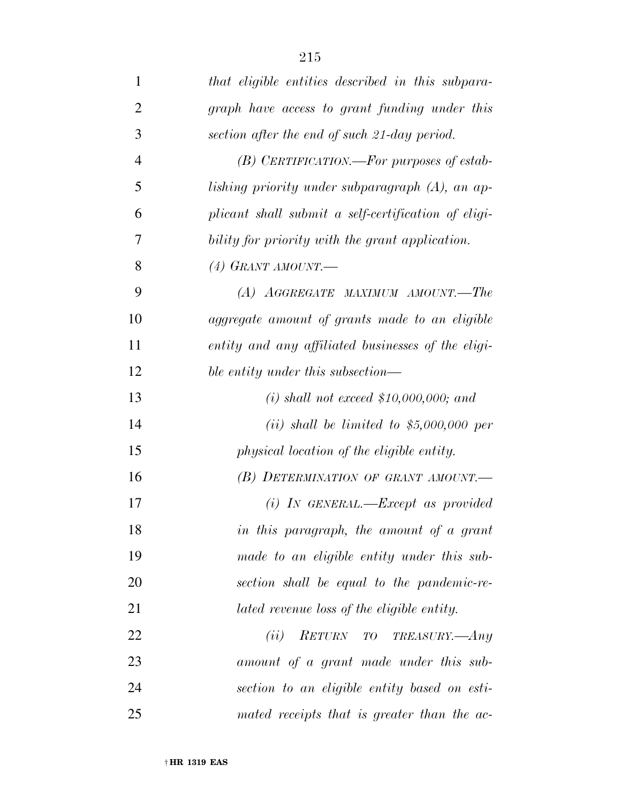| 1              | that eligible entities described in this subpara-   |
|----------------|-----------------------------------------------------|
| $\overline{2}$ | graph have access to grant funding under this       |
| 3              | section after the end of such 21-day period.        |
| $\overline{4}$ | $(B)$ CERTIFICATION.—For purposes of estab-         |
| 5              | lishing priority under subparagraph (A), an ap-     |
| 6              | plicant shall submit a self-certification of eligi- |
| 7              | bility for priority with the grant application.     |
| 8              | $(4)$ GRANT AMOUNT.                                 |
| 9              | (A) AGGREGATE MAXIMUM AMOUNT.—The                   |
| 10             | aggregate amount of grants made to an eligible      |
| 11             | entity and any affiliated businesses of the eligi-  |
| 12             | ble entity under this subsection—                   |
| 13             | (i) shall not exceed $$10,000,000;$ and             |
| 14             | (ii) shall be limited to $$5,000,000$ per           |
| 15             | physical location of the eligible entity.           |
| 16             | (B) DETERMINATION OF GRANT AMOUNT.                  |
| 17             | $(i)$ IN GENERAL.—Except as provided                |
| 18             | in this paragraph, the amount of a grant            |
| 19             | made to an eligible entity under this sub-          |
| 20             | section shall be equal to the pandemic-re-          |
| 21             | lated revenue loss of the eligible entity.          |
| 22             | (ii)<br>RETURN TO TREASURY.—Any                     |
| 23             | amount of a grant made under this sub-              |
| 24             | section to an eligible entity based on esti-        |
| 25             | mated receipts that is greater than the ac-         |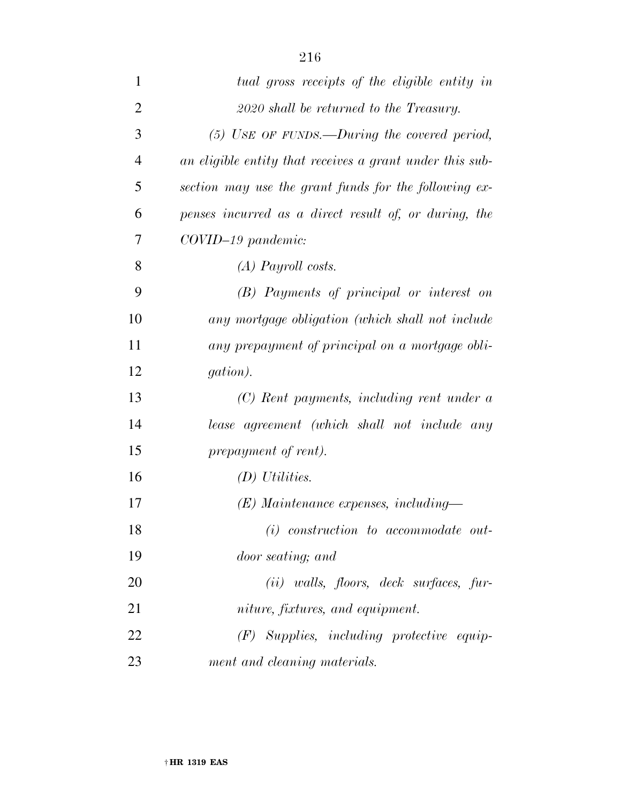| $\mathbf{1}$   | tual gross receipts of the eligible entity in            |
|----------------|----------------------------------------------------------|
| $\overline{2}$ | 2020 shall be returned to the Treasury.                  |
| 3              | $(5)$ USE OF FUNDS.—During the covered period,           |
| $\overline{4}$ | an eligible entity that receives a grant under this sub- |
| 5              | section may use the grant funds for the following ex-    |
| 6              | penses incurred as a direct result of, or during, the    |
| 7              | COVID-19 pandemic:                                       |
| 8              | $(A)$ Payroll costs.                                     |
| 9              | (B) Payments of principal or interest on                 |
| 10             | any mortgage obligation (which shall not include         |
| 11             | any prepayment of principal on a mortgage obli-          |
| 12             | <i>gation</i> ).                                         |
| 13             | (C) Rent payments, including rent under a                |
| 14             | lease agreement (which shall not include any             |
| 15             | prepayment of rent).                                     |
| 16             | $(D)$ Utilities.                                         |
| 17             | $(E)$ Maintenance expenses, including—                   |
| 18             | $(i)$ construction to accommodate out-                   |
| 19             | door seating; and                                        |
| 20             | $(ii)$ walls, floors, deck surfaces, fur-                |
| 21             | niture, fixtures, and equipment.                         |
| 22             | $(F)$ Supplies, including protective equip-              |
| 23             | ment and cleaning materials.                             |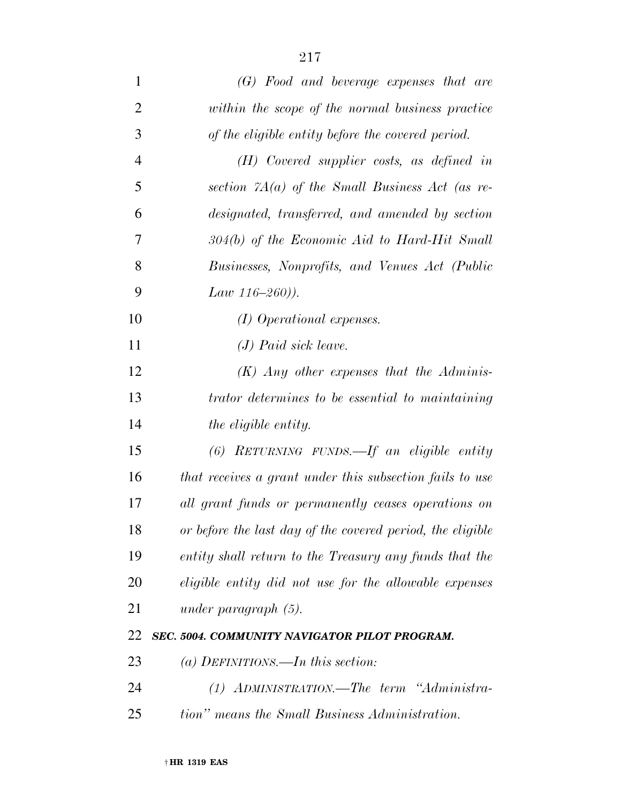| $\mathbf{1}$   | (G) Food and beverage expenses that are                    |
|----------------|------------------------------------------------------------|
| $\overline{2}$ | within the scope of the normal business practice           |
| 3              | of the eligible entity before the covered period.          |
| $\overline{4}$ | $(H)$ Covered supplier costs, as defined in                |
| 5              | section $7A(a)$ of the Small Business Act (as re-          |
| 6              | designated, transferred, and amended by section            |
| 7              | $304(b)$ of the Economic Aid to Hard-Hit Small             |
| 8              | Businesses, Nonprofits, and Venues Act (Public             |
| 9              | Law 116-260)).                                             |
| 10             | (I) Operational expenses.                                  |
| 11             | $(J)$ Paid sick leave.                                     |
| 12             | $(K)$ Any other expenses that the Adminis-                 |
| 13             | <i>trator determines to be essential to maintaining</i>    |
| 14             | <i>the eligible entity.</i>                                |
| 15             | $(6)$ RETURNING FUNDS.—If an eligible entity               |
| 16             | that receives a grant under this subsection fails to use   |
| 17             | all grant funds or permanently ceases operations on        |
| 18             | or before the last day of the covered period, the eligible |
| 19             | entity shall return to the Treasury any funds that the     |
| 20             | eligible entity did not use for the allowable expenses     |
| 21             | under paragraph $(5)$ .                                    |
| 22             | SEC. 5004. COMMUNITY NAVIGATOR PILOT PROGRAM.              |
| 23             | (a) DEFINITIONS.—In this section:                          |
| 24             | (1) ADMINISTRATION.—The term "Administra-                  |
| 25             | tion" means the Small Business Administration.             |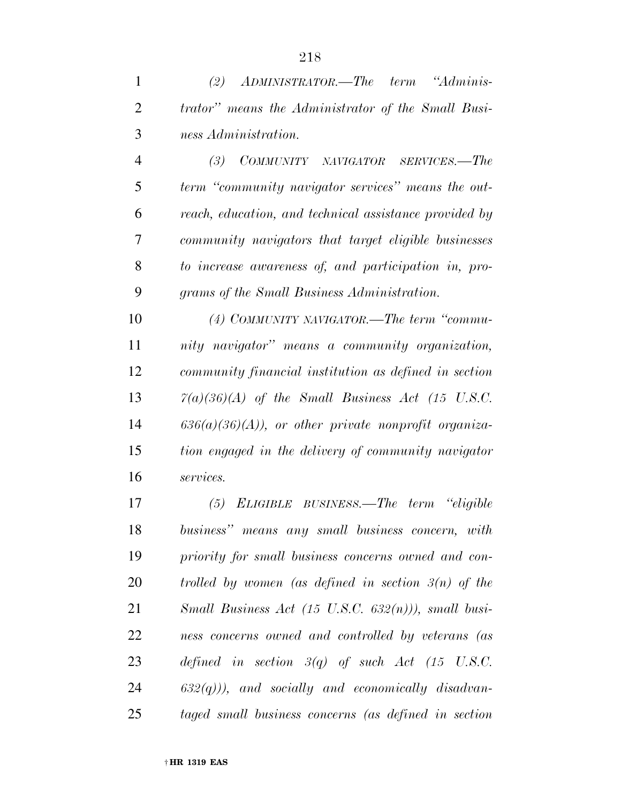| $\overline{1}$ | $(2)$ ADMINISTRATOR.—The term "Adminis-                    |
|----------------|------------------------------------------------------------|
| 2              | <i>trator</i> " means the Administrator of the Small Busi- |
| $\mathcal{E}$  | ness Administration.                                       |

 *(3) COMMUNITY NAVIGATOR SERVICES.—The term ''community navigator services'' means the out- reach, education, and technical assistance provided by community navigators that target eligible businesses to increase awareness of, and participation in, pro-grams of the Small Business Administration.* 

 *(4) COMMUNITY NAVIGATOR.—The term ''commu- nity navigator'' means a community organization, community financial institution as defined in section 7(a)(36)(A) of the Small Business Act (15 U.S.C. 636(a)(36)(A)), or other private nonprofit organiza- tion engaged in the delivery of community navigator services.* 

 *(5) ELIGIBLE BUSINESS.—The term ''eligible business'' means any small business concern, with priority for small business concerns owned and con- trolled by women (as defined in section 3(n) of the Small Business Act (15 U.S.C. 632(n))), small busi- ness concerns owned and controlled by veterans (as defined in section 3(q) of such Act (15 U.S.C. 632(q))), and socially and economically disadvan-taged small business concerns (as defined in section*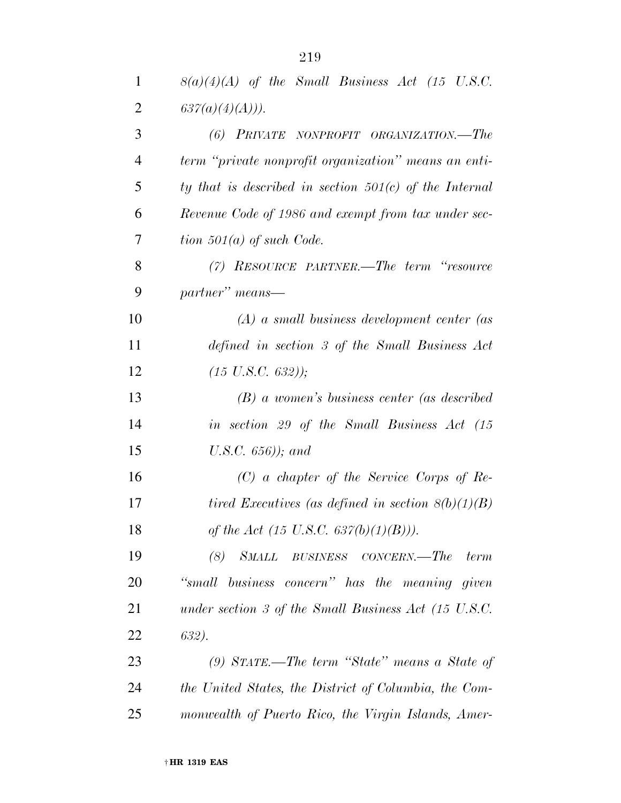| $\mathbf{1}$   | $8(a)(4)(A)$ of the Small Business Act (15 U.S.C.                |
|----------------|------------------------------------------------------------------|
| $\overline{2}$ | 637(a)(4)(A))).                                                  |
| 3              | (6) PRIVATE NONPROFIT ORGANIZATION.—The                          |
| $\overline{4}$ | term "private nonprofit organization" means an enti-             |
| 5              | ty that is described in section $501(c)$ of the Internal         |
| 6              | Revenue Code of 1986 and exempt from tax under sec-              |
| 7              | tion $501(a)$ of such Code.                                      |
| 8              | $(7)$ RESOURCE PARTNER.—The term "resource"                      |
| 9              | partner" means-                                                  |
| 10             | $(A)$ a small business development center (as                    |
| 11             | defined in section 3 of the Small Business Act                   |
| 12             | $(15 \text{ U.S.C. } 632)$ );                                    |
| 13             | $(B)$ a women's business center (as described                    |
| 14             | in section 29 of the Small Business Act (15                      |
| 15             | U.S.C. $656$ )); and                                             |
| 16             | $(C)$ a chapter of the Service Corps of Re-                      |
| 17             | tired Executives (as defined in section $8(b)(1)(B)$ )           |
| 18             | of the Act (15 U.S.C. 637(b)(1)(B))).                            |
| 19             | SMALL<br>BUSINESS CONCERN.—The<br>(8)<br>term                    |
| 20             | "small business concern" has the meaning given                   |
| 21             | under section 3 of the Small Business Act $(15 \text{ U.S. C.})$ |
| 22             | 632).                                                            |
| 23             | $(9)$ STATE.—The term "State" means a State of                   |
| 24             | the United States, the District of Columbia, the Com-            |
| 25             | monwealth of Puerto Rico, the Virgin Islands, Amer-              |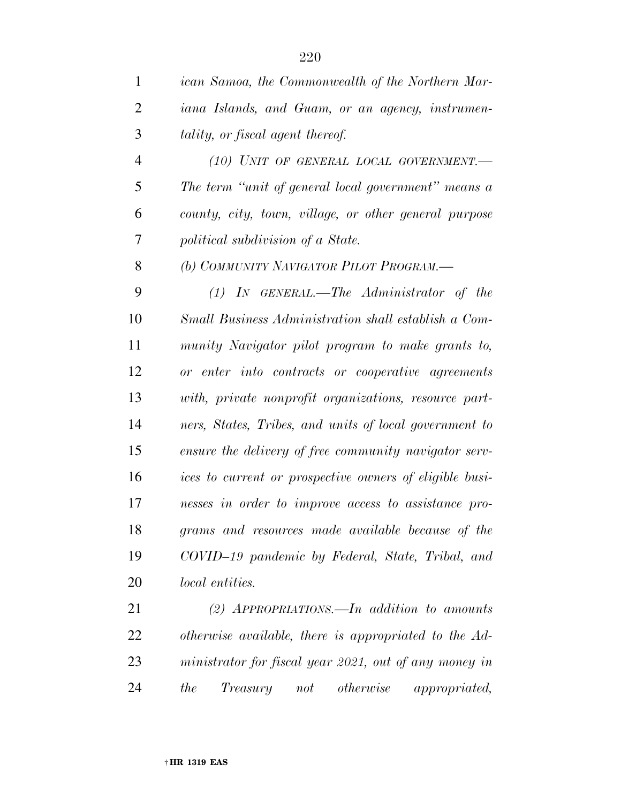| $\mathbf 1$    | ican Samoa, the Commonwealth of the Northern Mar-       |
|----------------|---------------------------------------------------------|
| $\overline{2}$ | iana Islands, and Guam, or an agency, instrumen-        |
| 3              | tality, or fiscal agent thereof.                        |
| $\overline{4}$ | (10) UNIT OF GENERAL LOCAL GOVERNMENT.-                 |
| 5              | The term "unit of general local government" means a     |
| 6              | county, city, town, village, or other general purpose   |
| 7              | political subdivision of a State.                       |
| 8              | (b) COMMUNITY NAVIGATOR PILOT PROGRAM.-                 |
| 9              | $(1)$ IN GENERAL.—The Administrator of the              |
| 10             | Small Business Administration shall establish a Com-    |
| 11             | munity Navigator pilot program to make grants to,       |
| 12             | or enter into contracts or cooperative agreements       |
| 13             | with, private nonprofit organizations, resource part-   |
| 14             | ners, States, Tribes, and units of local government to  |
| 15             | ensure the delivery of free community navigator serv-   |
| 16             | ices to current or prospective owners of eligible busi- |
| 17             | nesses in order to improve access to assistance pro-    |
| 18             | grams and resources made available because of the       |
| 19             | COVID-19 pandemic by Federal, State, Tribal, and        |
| 20             | <i>local entities.</i>                                  |
| 21             | (2) $APPROPRIATIONS.$ In addition to amounts            |
| 22             | otherwise available, there is appropriated to the Ad-   |
| 23             | ministrator for fiscal year 2021, out of any money in   |

*the Treasury not otherwise appropriated,*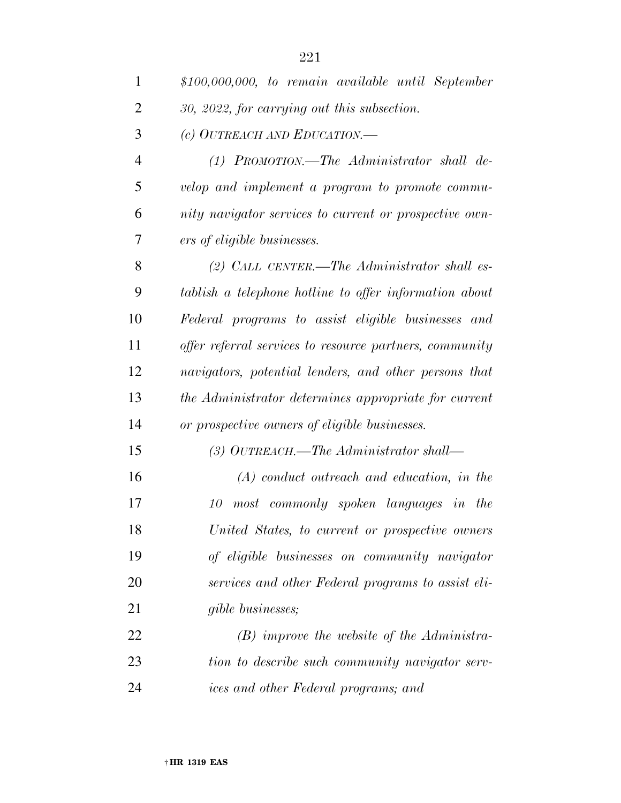| $\mathbf{1}$   | $$100,000,000, to remain available until September$     |
|----------------|---------------------------------------------------------|
| $\overline{2}$ | 30, 2022, for carrying out this subsection.             |
| 3              | (c) OUTREACH AND EDUCATION.—                            |
| $\overline{4}$ | $(1)$ PROMOTION.—The Administrator shall de-            |
| 5              | velop and implement a program to promote commu-         |
| 6              | nity navigator services to current or prospective own-  |
| 7              | ers of eligible businesses.                             |
| 8              | (2) CALL CENTER.—The Administrator shall es-            |
| 9              | tablish a telephone hotline to offer information about  |
| 10             | Federal programs to assist eligible businesses and      |
| 11             | offer referral services to resource partners, community |
| 12             | navigators, potential lenders, and other persons that   |
| 13             | the Administrator determines appropriate for current    |
| 14             | or prospective owners of eligible businesses.           |
| 15             | (3) OUTREACH.—The Administrator shall—                  |
| 16             | $(A)$ conduct outreach and education, in the            |
| 17             | most commonly spoken languages in the<br>10             |
| 18             | United States, to current or prospective owners         |
| 19             | of eligible businesses on community navigator           |
| 20             | services and other Federal programs to assist eli-      |
| 21             | <i>gible businesses;</i>                                |
| 22             | $(B)$ improve the website of the Administra-            |
| 23             | tion to describe such community navigator serv-         |
| 24             | ices and other Federal programs; and                    |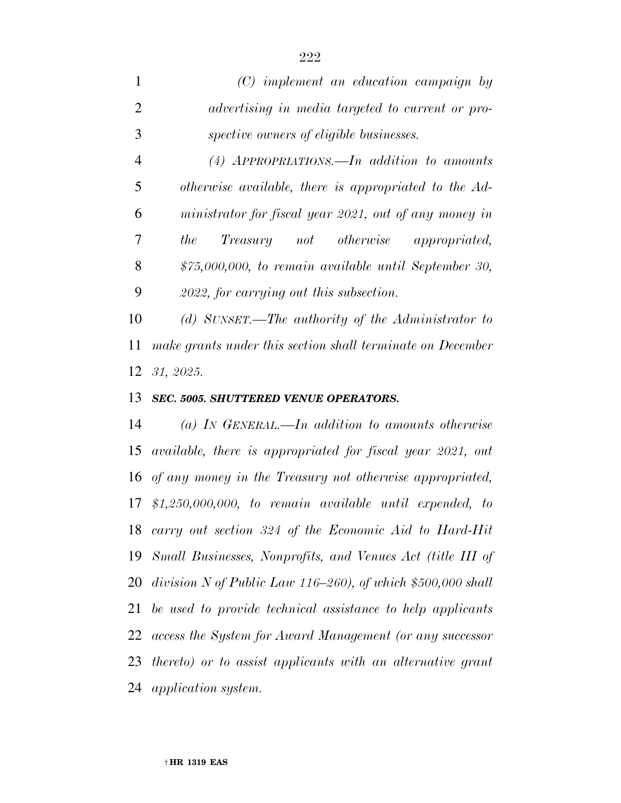|                | $(C)$ implement an education campaign by              |
|----------------|-------------------------------------------------------|
|                | advertising in media targeted to current or pro-      |
|                | spective owners of eligible businesses.               |
| $\overline{4}$ | $(4)$ APPROPRIATIONS.—In addition to amounts          |
|                | otherwise available, there is appropriated to the Ad- |

 *ministrator for fiscal year 2021, out of any money in the Treasury not otherwise appropriated, \$75,000,000, to remain available until September 30, 2022, for carrying out this subsection.* 

 *(d) SUNSET.—The authority of the Administrator to make grants under this section shall terminate on December 31, 2025.* 

#### *SEC. 5005. SHUTTERED VENUE OPERATORS.*

 *(a) IN GENERAL.—In addition to amounts otherwise available, there is appropriated for fiscal year 2021, out of any money in the Treasury not otherwise appropriated, \$1,250,000,000, to remain available until expended, to carry out section 324 of the Economic Aid to Hard-Hit Small Businesses, Nonprofits, and Venues Act (title III of division N of Public Law 116–260), of which \$500,000 shall be used to provide technical assistance to help applicants access the System for Award Management (or any successor thereto) or to assist applicants with an alternative grant application system.*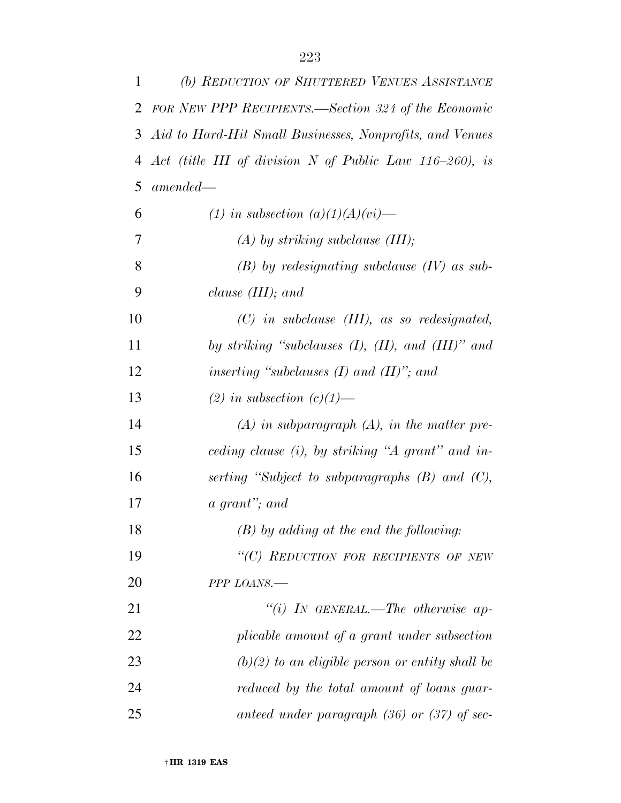| 1  | (b) REDUCTION OF SHUTTERED VENUES ASSISTANCE               |
|----|------------------------------------------------------------|
| 2  | FOR NEW PPP RECIPIENTS.—Section 324 of the Economic        |
| 3  | Aid to Hard-Hit Small Businesses, Nonprofits, and Venues   |
| 4  | Act (title III of division N of Public Law 116-260), is    |
| 5  | $amended-$                                                 |
| 6  | (1) in subsection $(a)(1)(A)(vi)$ —                        |
| 7  | $(A)$ by striking subclause (III);                         |
| 8  | $(B)$ by redesignating subclause $(IV)$ as sub-            |
| 9  | clause $(III)$ ; and                                       |
| 10 | $(C)$ in subclause $(III)$ , as so redesignated,           |
| 11 | by striking "subclauses $(I)$ , $(II)$ , and $(III)$ " and |
| 12 | inserting "subclauses $(I)$ and $(II)$ "; and              |
| 13 | (2) in subsection $(c)(1)$ —                               |
| 14 | $(A)$ in subparagraph $(A)$ , in the matter pre-           |
| 15 | ceding clause (i), by striking "A grant" and in-           |
| 16 | serting "Subject to subparagraphs (B) and (C),             |
| 17 | a grant"; and                                              |
| 18 | $(B)$ by adding at the end the following:                  |
| 19 | "(C) REDUCTION FOR RECIPIENTS OF NEW                       |
| 20 | PPP LOANS.-                                                |
| 21 | "(i) IN GENERAL.—The otherwise ap-                         |
| 22 | plicable amount of a grant under subsection                |
| 23 | $(b)(2)$ to an eligible person or entity shall be          |
| 24 | reduced by the total amount of loans guar-                 |
| 25 | anteed under paragraph $(36)$ or $(37)$ of sec-            |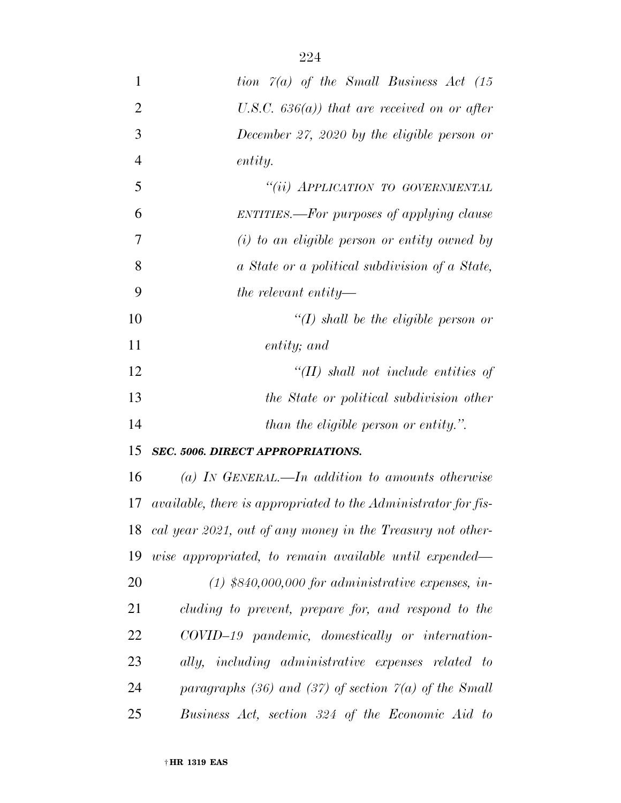| 1              | tion $\Gamma(a)$ of the Small Business Act (15                 |
|----------------|----------------------------------------------------------------|
| $\overline{2}$ | U.S.C. $636(a)$ ) that are received on or after                |
| 3              | December 27, 2020 by the eligible person or                    |
| $\overline{4}$ | entity.                                                        |
| 5              | "(ii) APPLICATION TO GOVERNMENTAL                              |
| 6              | ENTITIES.—For purposes of applying clause                      |
| $\overline{7}$ | $(i)$ to an eligible person or entity owned by                 |
| 8              | a State or a political subdivision of a State,                 |
| 9              | the relevant entity—                                           |
| 10             | $\lq (I)$ shall be the eligible person or                      |
| 11             | entity; and                                                    |
| 12             | $H(H)$ shall not include entities of                           |
| 13             | the State or political subdivision other                       |
| 14             | than the eligible person or entity.".                          |
| 15             | <b>SEC. 5006. DIRECT APPROPRIATIONS.</b>                       |
| 16             | (a) IN GENERAL.—In addition to amounts otherwise               |
| 17             | available, there is appropriated to the Administrator for fis- |
| 18             | cal year 2021, out of any money in the Treasury not other-     |
| 19             | wise appropriated, to remain available until expended—         |
| 20             | $(1)$ \$840,000,000 for administrative expenses, in-           |
| 21             | cluding to prevent, prepare for, and respond to the            |
| 22             | COVID-19 pandemic, domestically or internation-                |
| 23             | ally, including administrative expenses related to             |
| 24             | paragraphs (36) and (37) of section $7(a)$ of the Small        |
| 25             | Business Act, section 324 of the Economic Aid to               |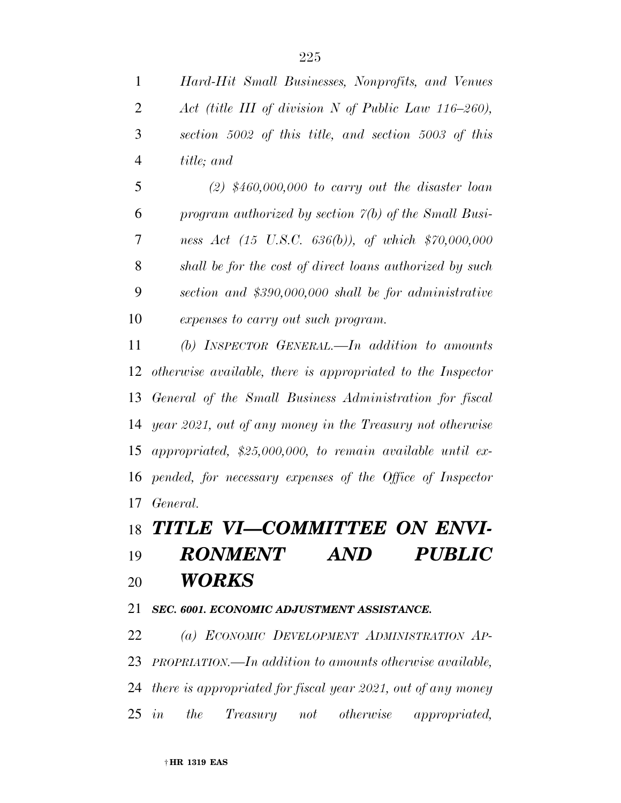*Hard-Hit Small Businesses, Nonprofits, and Venues Act (title III of division N of Public Law 116–260), section 5002 of this title, and section 5003 of this title; and* 

 *(2) \$460,000,000 to carry out the disaster loan program authorized by section 7(b) of the Small Busi- ness Act (15 U.S.C. 636(b)), of which \$70,000,000 shall be for the cost of direct loans authorized by such section and \$390,000,000 shall be for administrative expenses to carry out such program.* 

 *(b) INSPECTOR GENERAL.—In addition to amounts otherwise available, there is appropriated to the Inspector General of the Small Business Administration for fiscal year 2021, out of any money in the Treasury not otherwise appropriated, \$25,000,000, to remain available until ex- pended, for necessary expenses of the Office of Inspector General.* 

## *TITLE VI—COMMITTEE ON ENVI-*

# *RONMENT AND PUBLIC WORKS*

#### *SEC. 6001. ECONOMIC ADJUSTMENT ASSISTANCE.*

 *(a) ECONOMIC DEVELOPMENT ADMINISTRATION AP- PROPRIATION.—In addition to amounts otherwise available, there is appropriated for fiscal year 2021, out of any money in the Treasury not otherwise appropriated,*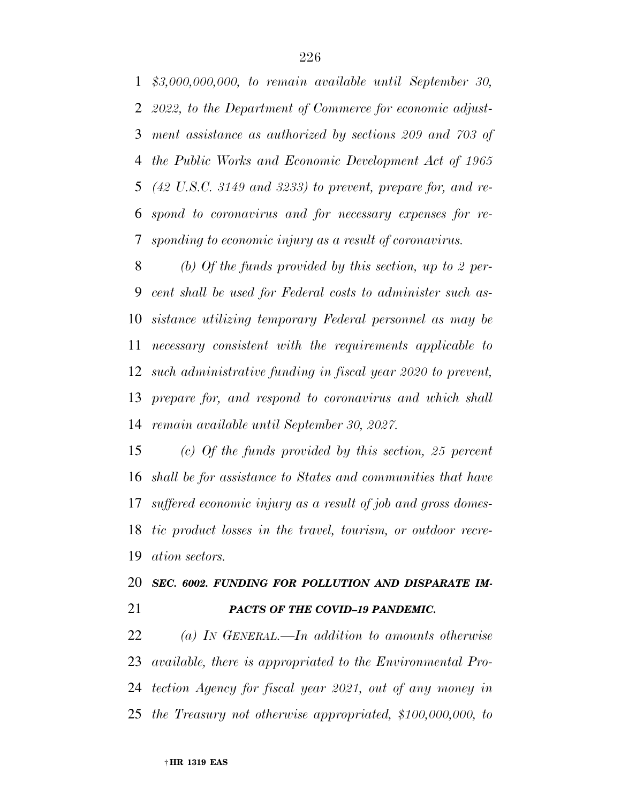*\$3,000,000,000, to remain available until September 30, 2022, to the Department of Commerce for economic adjust- ment assistance as authorized by sections 209 and 703 of the Public Works and Economic Development Act of 1965 (42 U.S.C. 3149 and 3233) to prevent, prepare for, and re- spond to coronavirus and for necessary expenses for re-sponding to economic injury as a result of coronavirus.* 

 *(b) Of the funds provided by this section, up to 2 per- cent shall be used for Federal costs to administer such as- sistance utilizing temporary Federal personnel as may be necessary consistent with the requirements applicable to such administrative funding in fiscal year 2020 to prevent, prepare for, and respond to coronavirus and which shall remain available until September 30, 2027.* 

 *(c) Of the funds provided by this section, 25 percent shall be for assistance to States and communities that have suffered economic injury as a result of job and gross domes- tic product losses in the travel, tourism, or outdoor recre-ation sectors.* 

## *SEC. 6002. FUNDING FOR POLLUTION AND DISPARATE IM-PACTS OF THE COVID–19 PANDEMIC.*

 *(a) IN GENERAL.—In addition to amounts otherwise available, there is appropriated to the Environmental Pro- tection Agency for fiscal year 2021, out of any money in the Treasury not otherwise appropriated, \$100,000,000, to*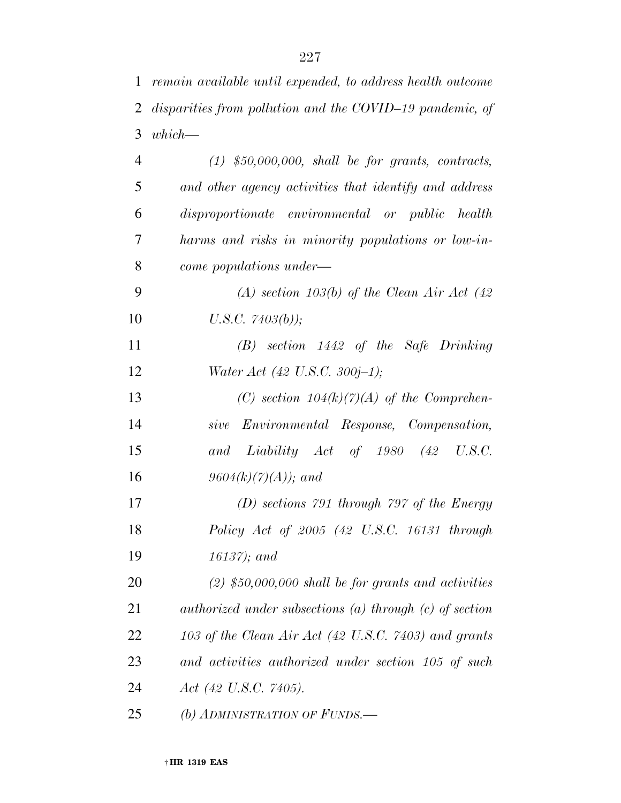*remain available until expended, to address health outcome* 

| 2  | disparities from pollution and the COVID-19 pandemic, of    |
|----|-------------------------------------------------------------|
| 3  | $which -$                                                   |
| 4  | $(1)$ \$50,000,000, shall be for grants, contracts,         |
| 5  | and other agency activities that identify and address       |
| 6  | disproportionate environmental or public health             |
| 7  | harms and risks in minority populations or low-in-          |
| 8  | come populations under—                                     |
| 9  | (A) section 103(b) of the Clean Air Act (42)                |
| 10 | U.S.C. $7403(b)$ );                                         |
| 11 | $(B)$ section 1442 of the Safe Drinking                     |
| 12 | Water Act (42 U.S.C. 300j-1);                               |
| 13 | (C) section $104(k)(7)(A)$ of the Comprehen-                |
| 14 | sive Environmental Response, Compensation,                  |
| 15 | and Liability Act of 1980 (42<br>U.S.C.                     |
| 16 | $9604(k)(7)(A)$ ; and                                       |
| 17 | $(D)$ sections 791 through 797 of the Energy                |
| 18 | Policy Act of $2005$ (42 U.S.C. 16131 through               |
| 19 | $16137$ ); and                                              |
| 20 | $(2)$ \$50,000,000 shall be for grants and activities       |
| 21 | authorized under subsections $(a)$ through $(c)$ of section |
| 22 | 103 of the Clean Air Act (42 U.S.C. 7403) and grants        |
| 23 | and activities authorized under section 105 of such         |
| 24 | Act (42 U.S.C. 7405).                                       |
| 25 | (b) ADMINISTRATION OF FUNDS.                                |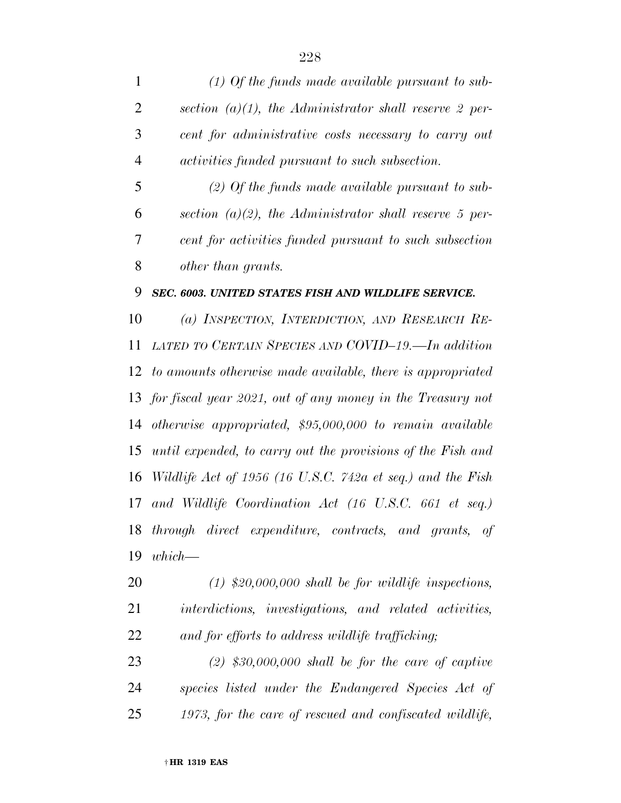| $\mathbf{1}$   | $(1)$ Of the funds made available pursuant to sub-             |
|----------------|----------------------------------------------------------------|
| $\overline{2}$ | section (a)(1), the Administrator shall reserve 2 per-         |
| 3              | cent for administrative costs necessary to carry out           |
| $\overline{4}$ | <i>activities funded pursuant to such subsection.</i>          |
| 5              | $(2)$ Of the funds made available pursuant to sub-             |
| 6              | section (a)(2), the Administrator shall reserve 5 per-         |
| 7              | cent for activities funded pursuant to such subsection         |
| 8              | other than grants.                                             |
| 9              | SEC. 6003. UNITED STATES FISH AND WILDLIFE SERVICE.            |
| 10             | (a) INSPECTION, INTERDICTION, AND RESEARCH RE-                 |
| 11             | LATED TO CERTAIN SPECIES AND COVID-19.—In addition             |
|                | 12 to amounts otherwise made available, there is appropriated  |
|                | 13 for fiscal year 2021, out of any money in the Treasury not  |
|                | 14 otherwise appropriated, \$95,000,000 to remain available    |
|                | 15 until expended, to carry out the provisions of the Fish and |

 *Wildlife Act of 1956 (16 U.S.C. 742a et seq.) and the Fish and Wildlife Coordination Act (16 U.S.C. 661 et seq.) through direct expenditure, contracts, and grants, of which—* 

 *(1) \$20,000,000 shall be for wildlife inspections, interdictions, investigations, and related activities, and for efforts to address wildlife trafficking;* 

 *(2) \$30,000,000 shall be for the care of captive species listed under the Endangered Species Act of 1973, for the care of rescued and confiscated wildlife,*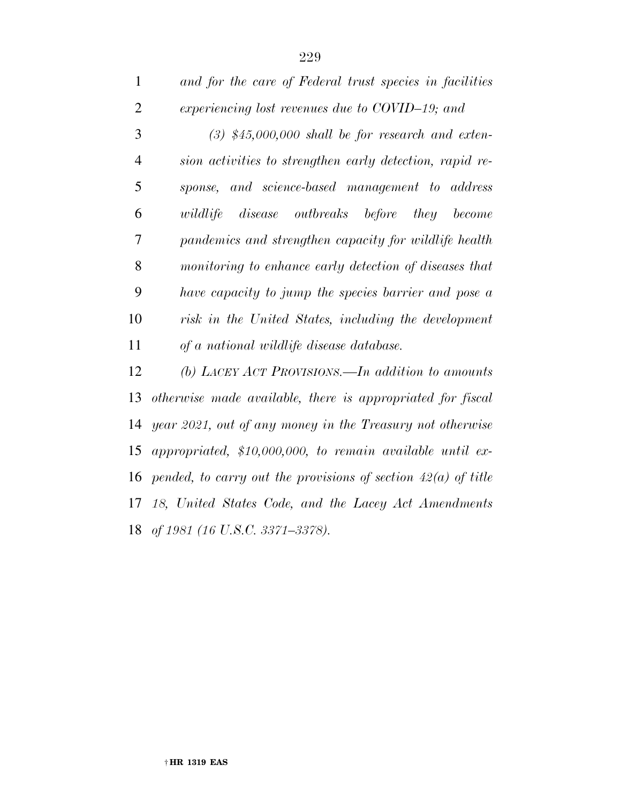| $\mathbf{1}$   | and for the care of Federal trust species in facilities         |
|----------------|-----------------------------------------------------------------|
| $\overline{2}$ | experiencing lost revenues due to COVID-19; and                 |
| 3              | $(3)$ \$45,000,000 shall be for research and exten-             |
| $\overline{4}$ | sion activities to strengthen early detection, rapid re-        |
| 5              | sponse, and science-based management to address                 |
| 6              | $disease$ $outbreaks$ $before$<br>wildlife<br>they<br>become    |
| 7              | pandemics and strengthen capacity for wildlife health           |
| 8              | monitoring to enhance early detection of diseases that          |
| 9              | have capacity to jump the species barrier and pose a            |
| 10             | risk in the United States, including the development            |
| 11             | of a national wildlife disease database.                        |
| 12             | (b) LACEY ACT PROVISIONS.—In addition to amounts                |
| 13             | otherwise made available, there is appropriated for fiscal      |
| 14             | year 2021, out of any money in the Treasury not otherwise       |
| 15             | appropriated, $$10,000,000$ , to remain available until ex-     |
| 16             | pended, to carry out the provisions of section $42(a)$ of title |
| 17             | 18, United States Code, and the Lacey Act Amendments            |
| 18             | of 1981 (16 U.S.C. 3371–3378).                                  |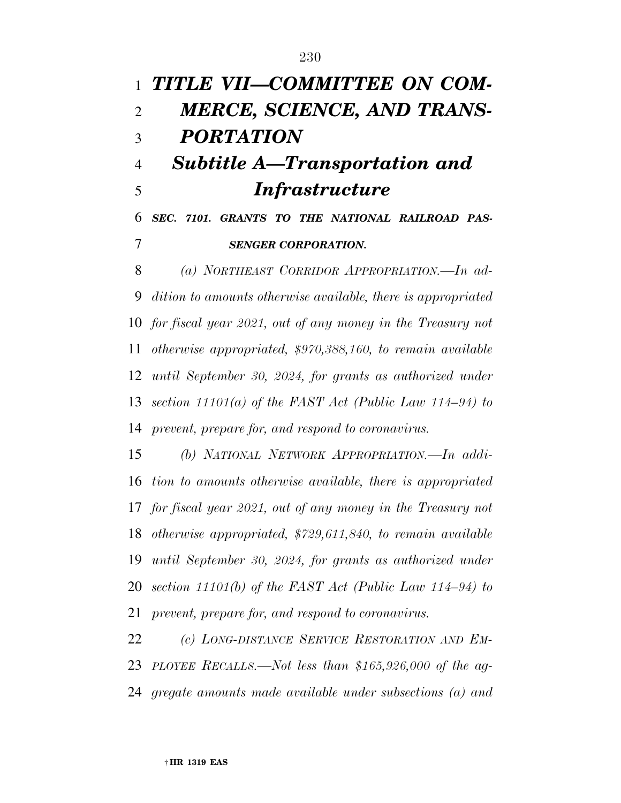*TITLE VII—COMMITTEE ON COM- MERCE, SCIENCE, AND TRANS- PORTATION Subtitle A—Transportation and Infrastructure SEC. 7101. GRANTS TO THE NATIONAL RAILROAD PAS-SENGER CORPORATION.* 

 *(a) NORTHEAST CORRIDOR APPROPRIATION.—In ad- dition to amounts otherwise available, there is appropriated for fiscal year 2021, out of any money in the Treasury not otherwise appropriated, \$970,388,160, to remain available until September 30, 2024, for grants as authorized under section 11101(a) of the FAST Act (Public Law 114–94) to prevent, prepare for, and respond to coronavirus.* 

 *(b) NATIONAL NETWORK APPROPRIATION.—In addi- tion to amounts otherwise available, there is appropriated for fiscal year 2021, out of any money in the Treasury not otherwise appropriated, \$729,611,840, to remain available until September 30, 2024, for grants as authorized under section 11101(b) of the FAST Act (Public Law 114–94) to prevent, prepare for, and respond to coronavirus.* 

 *(c) LONG-DISTANCE SERVICE RESTORATION AND EM- PLOYEE RECALLS.—Not less than \$165,926,000 of the ag-gregate amounts made available under subsections (a) and*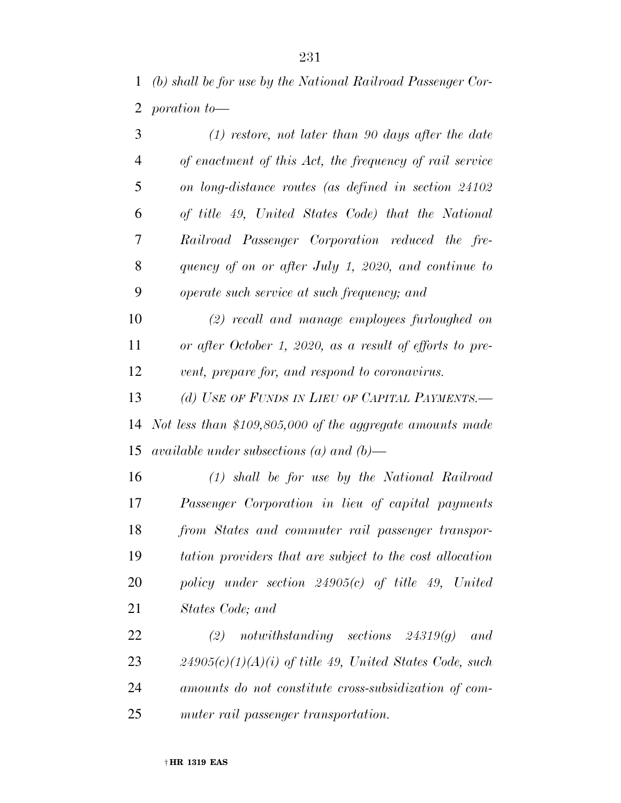*(b) shall be for use by the National Railroad Passenger Cor-poration to—* 

| 3              | $(1)$ restore, not later than 90 days after the date      |
|----------------|-----------------------------------------------------------|
| $\overline{4}$ | of enactment of this Act, the frequency of rail service   |
| 5              | on long-distance routes (as defined in section 24102      |
| 6              | of title 49, United States Code) that the National        |
| 7              | Railroad Passenger Corporation reduced the fre-           |
| 8              | quency of on or after July 1, 2020, and continue to       |
| 9              | operate such service at such frequency; and               |
| 10             | (2) recall and manage employees furloughed on             |
| 11             | or after October 1, 2020, as a result of efforts to pre-  |
| 12             | vent, prepare for, and respond to coronavirus.            |
| 13             | (d) USE OF FUNDS IN LIEU OF CAPITAL PAYMENTS.-            |
| 14             | Not less than \$109,805,000 of the aggregate amounts made |
| 15             | available under subsections (a) and (b)—                  |
| 16             | $(1)$ shall be for use by the National Railroad           |
| 17             | Passenger Corporation in lieu of capital payments         |
| 18             | from States and commuter rail passenger transpor-         |
| 19             | tation providers that are subject to the cost allocation  |
| 20             | policy under section $24905(c)$ of title 49, United       |
| 21             | States Code; and                                          |
| 22             | (2)<br>notwithstanding sections $24319(q)$<br>and         |
|                |                                                           |

 *24905(c)(1)(A)(i) of title 49, United States Code, such amounts do not constitute cross-subsidization of com-muter rail passenger transportation.*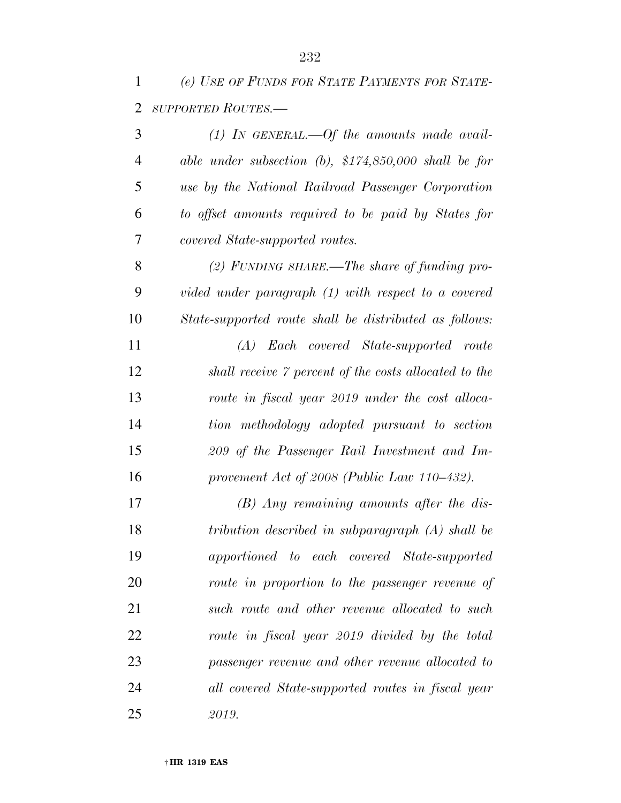*(e) USE OF FUNDS FOR STATE PAYMENTS FOR STATE-SUPPORTED ROUTES.—* 

| 3              | $(1)$ IN GENERAL.—Of the amounts made avail-             |
|----------------|----------------------------------------------------------|
| $\overline{4}$ | able under subsection $(b)$ , \$174,850,000 shall be for |
| 5              | use by the National Railroad Passenger Corporation       |
| 6              | to offset amounts required to be paid by States for      |
| 7              | covered State-supported routes.                          |
| 8              | (2) FUNDING SHARE.—The share of funding pro-             |
| 9              | vided under paragraph (1) with respect to a covered      |
| 10             | State-supported route shall be distributed as follows:   |
| 11             | (A) Each covered State-supported route                   |
| 12             | shall receive 7 percent of the costs allocated to the    |
| 13             | route in fiscal year 2019 under the cost alloca-         |
| 14             | tion methodology adopted pursuant to section             |
| 15             | 209 of the Passenger Rail Investment and Im-             |
| 16             | provement Act of 2008 (Public Law $110-432$ ).           |
| 17             | $(B)$ Any remaining amounts after the dis-               |
| 18             | tribution described in subparagraph (A) shall be         |
| 19             | apportioned to each covered State-supported              |
| 20             | route in proportion to the passenger revenue of          |
| 21             | such route and other revenue allocated to such           |
| 22             | route in fiscal year 2019 divided by the total           |
| 23             | passenger revenue and other revenue allocated to         |
| 24             | all covered State-supported routes in fiscal year        |
| 25             | 2019.                                                    |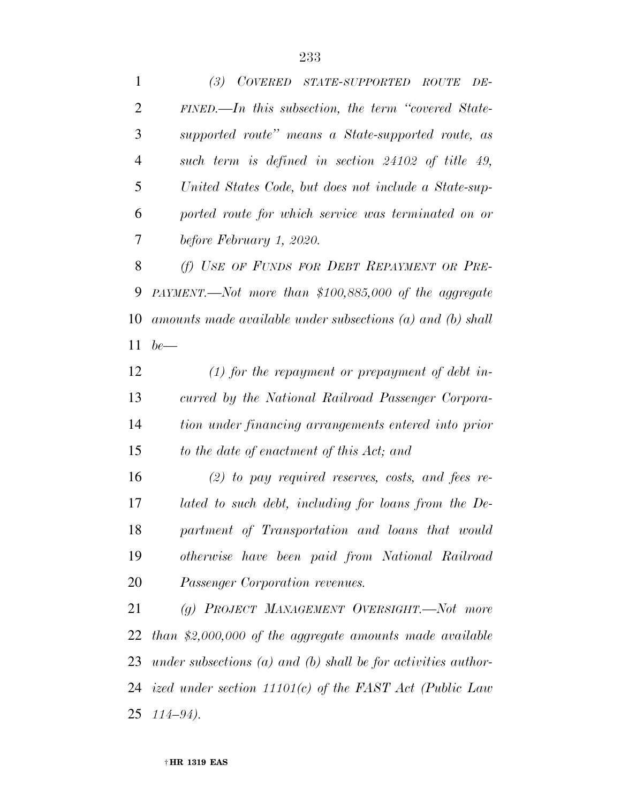*(3) COVERED STATE-SUPPORTED ROUTE DE- FINED.—In this subsection, the term ''covered State- supported route'' means a State-supported route, as such term is defined in section 24102 of title 49, United States Code, but does not include a State-sup- ported route for which service was terminated on or before February 1, 2020. (f) USE OF FUNDS FOR DEBT REPAYMENT OR PRE- PAYMENT.—Not more than \$100,885,000 of the aggregate amounts made available under subsections (a) and (b) shall be— (1) for the repayment or prepayment of debt in- curred by the National Railroad Passenger Corpora- tion under financing arrangements entered into prior to the date of enactment of this Act; and (2) to pay required reserves, costs, and fees re- lated to such debt, including for loans from the De- partment of Transportation and loans that would otherwise have been paid from National Railroad Passenger Corporation revenues. (g) PROJECT MANAGEMENT OVERSIGHT.—Not more than \$2,000,000 of the aggregate amounts made available under subsections (a) and (b) shall be for activities author-ized under section 11101(c) of the FAST Act (Public Law* 

† **HR 1319 EAS** 

*114–94).*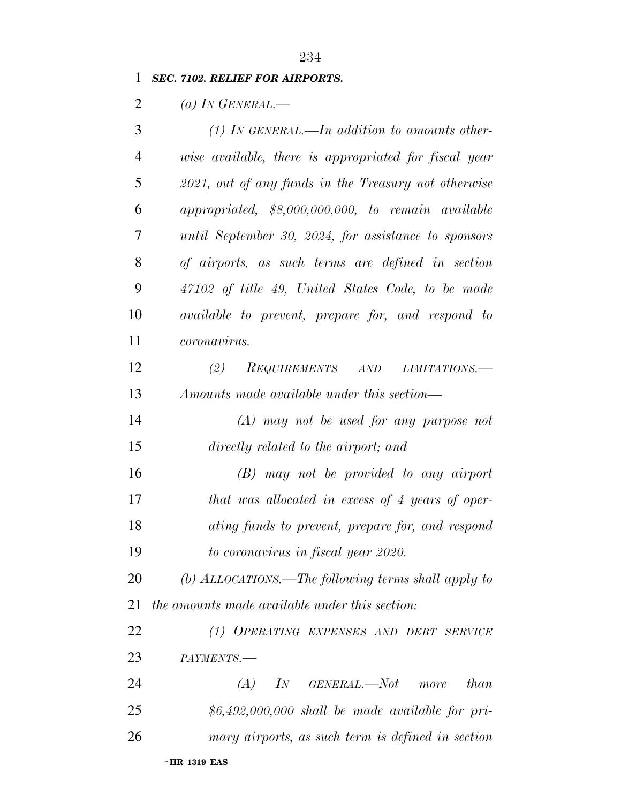### *SEC. 7102. RELIEF FOR AIRPORTS.*

*(a) IN GENERAL.—* 

| 3              | (1) IN GENERAL.—In addition to amounts other-            |
|----------------|----------------------------------------------------------|
| $\overline{4}$ | wise available, there is appropriated for fiscal year    |
| 5              | 2021, out of any funds in the Treasury not otherwise     |
| 6              | appropriated, \$8,000,000,000, to remain available       |
| 7              | until September 30, 2024, for assistance to sponsors     |
| 8              | of airports, as such terms are defined in section        |
| 9              | 47102 of title 49, United States Code, to be made        |
| 10             | <i>available to prevent, prepare for, and respond to</i> |
| 11             | <i>coronavirus.</i>                                      |
| 12             | (2)<br>REQUIREMENTS AND<br>LIMITATIONS.-                 |
| 13             | Amounts made available under this section—               |
| 14             | $(A)$ may not be used for any purpose not                |
| 15             | directly related to the airport; and                     |
| 16             | $(B)$ may not be provided to any airport                 |
| 17             | that was allocated in excess of 4 years of oper-         |
| 18             | ating funds to prevent, prepare for, and respond         |
| 19             | to coronavirus in fiscal year 2020.                      |
| 20             | (b) ALLOCATIONS.—The following terms shall apply to      |
| 21             | the amounts made available under this section:           |
| 22             | (1) OPERATING EXPENSES AND DEBT SERVICE                  |
| 23             | PAYMENTS.-                                               |
| 24             | $(A)$ IN GENERAL.—Not more<br>than                       |
| 25             | $$6,492,000,000$ shall be made available for pri-        |
| 26             | mary airports, as such term is defined in section        |
|                | † HR 1319 EAS                                            |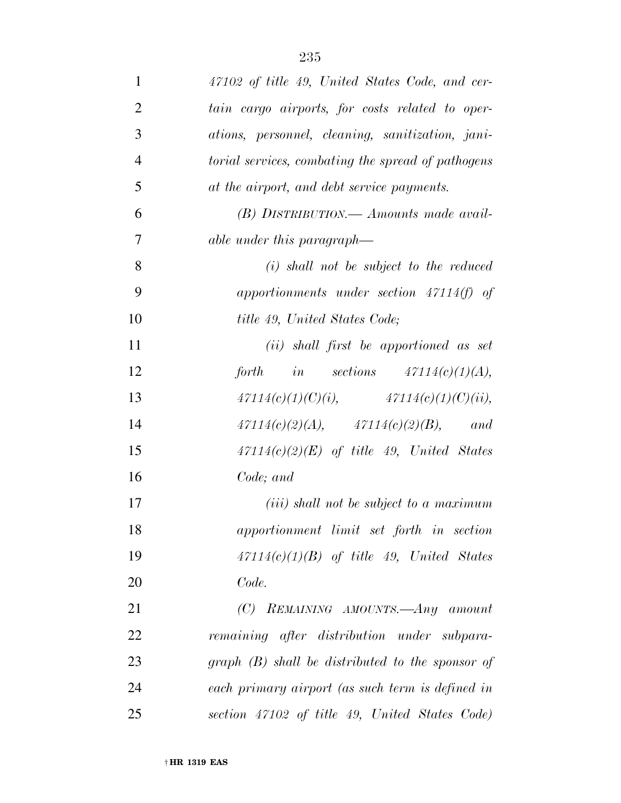| 1              | 47102 of title 49, United States Code, and cer-           |
|----------------|-----------------------------------------------------------|
| $\overline{2}$ | tain cargo airports, for costs related to oper-           |
| 3              | ations, personnel, cleaning, sanitization, jani-          |
| $\overline{4}$ | <i>torial services, combating the spread of pathogens</i> |
| 5              | at the airport, and debt service payments.                |
| 6              | $(B)$ DISTRIBUTION.— Amounts made avail-                  |
| 7              | able under this paragraph—                                |
| 8              | $(i)$ shall not be subject to the reduced                 |
| 9              | apportionments under section $47114(f)$ of                |
| 10             | title 49, United States Code;                             |
| 11             | (ii) shall first be apportioned as set                    |
| 12             | forth in sections $47114(c)(1)(A),$                       |
| 13             | $47114(c)(1)(C)(i),$ $47114(c)(1)(C)(ii),$                |
| 14             | $47114(c)(2)(A),$ $47114(c)(2)(B),$ and                   |
| 15             | $47114(c)(2)(E)$ of title 49, United States               |
| 16             | Code; and                                                 |
| 17             | $(iii)$ shall not be subject to a maximum                 |
| 18             | apportionment limit set forth in section                  |
| 19             | $47114(c)(1)(B)$ of title 49, United States               |
| 20             | Code.                                                     |
| 21             | (C) REMAINING AMOUNTS.—Any amount                         |
| 22             | remaining after distribution under subpara-               |
| 23             | $graph$ (B) shall be distributed to the sponsor of        |
| 24             | each primary airport (as such term is defined in          |
| 25             | section 47102 of title 49, United States Code)            |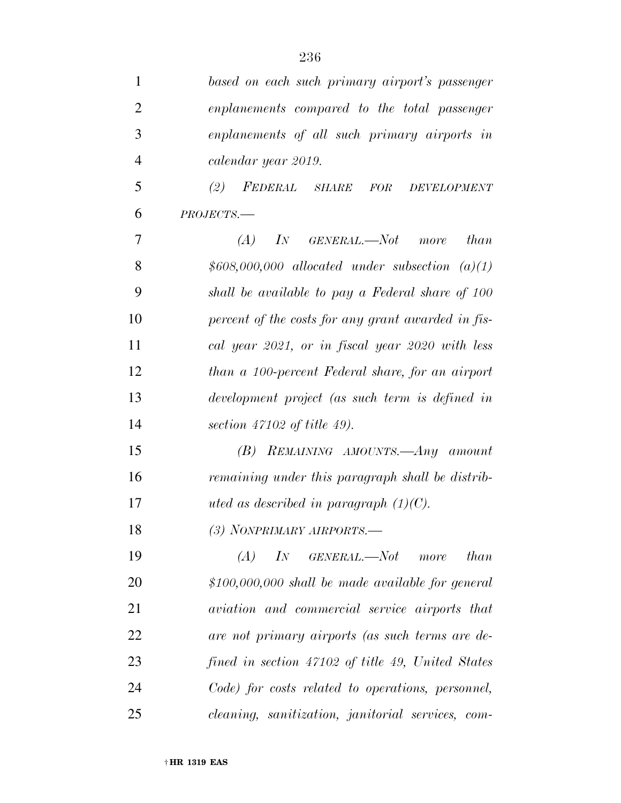| 1              | based on each such primary airport's passenger           |
|----------------|----------------------------------------------------------|
| $\overline{2}$ | enplanements compared to the total passenger             |
| 3              | enplanements of all such primary airports in             |
| $\overline{4}$ | calendar year 2019.                                      |
| 5              | (2)<br>FEDERAL SHARE<br>FOR<br>DEVELOPMENT               |
| 6              | $PROJECTS$ .                                             |
| 7              | (A)<br>$\overline{I}N$<br>GENERAL.—Not more<br>than      |
| 8              | $$608,000,000$ allocated under subsection $(a)(1)$       |
| 9              | shall be available to pay a Federal share of 100         |
| 10             | percent of the costs for any grant awarded in fis-       |
| 11             | cal year 2021, or in fiscal year 2020 with less          |
| 12             | than a 100-percent Federal share, for an airport         |
| 13             | development project (as such term is defined in          |
| 14             | section $47102$ of title 49).                            |
| 15             | (B) REMAINING AMOUNTS.—Any amount                        |
| 16             | remaining under this paragraph shall be distrib-         |
| 17             | uted as described in paragraph $(1)(C)$ .                |
| 18             | (3) NONPRIMARY AIRPORTS.-                                |
| 19             | IN GENERAL.—Not more<br>than<br>(A)                      |
| 20             | $$100,000,000$ shall be made available for general       |
| 21             | aviation and commercial service airports that            |
| 22             | are not primary airports (as such terms are de-          |
| 23             | fined in section 47102 of title 49, United States        |
| 24             | Code) for costs related to operations, personnel,        |
| 25             | <i>cleaning, sanitization, janitorial services, com-</i> |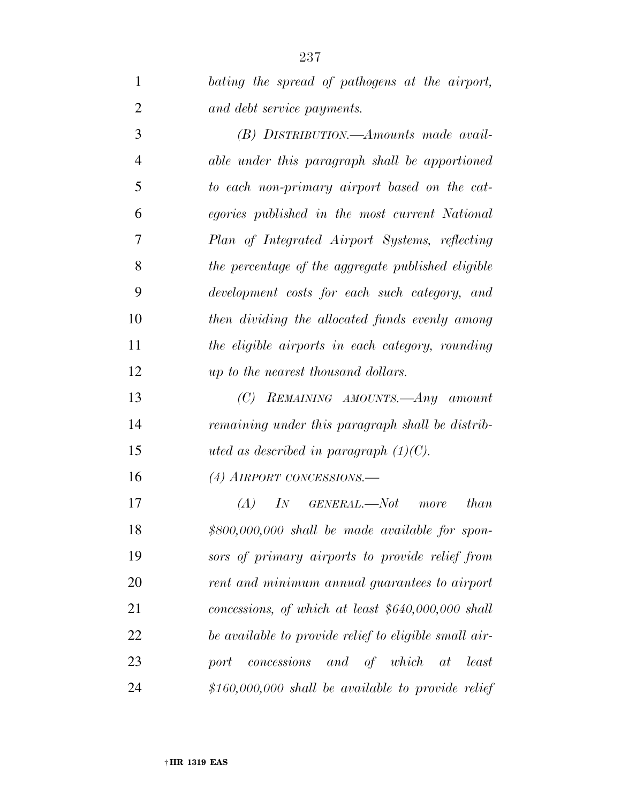| $\mathbf{1}$   | bating the spread of pathogens at the airport,        |
|----------------|-------------------------------------------------------|
| $\overline{2}$ | and debt service payments.                            |
| 3              | (B) DISTRIBUTION.—Amounts made avail-                 |
| $\overline{4}$ | able under this paragraph shall be apportioned        |
| 5              | to each non-primary airport based on the cat-         |
| 6              | egories published in the most current National        |
| 7              | Plan of Integrated Airport Systems, reflecting        |
| 8              | the percentage of the aggregate published eligible    |
| 9              | development costs for each such category, and         |
| 10             | then dividing the allocated funds evenly among        |
| 11             | the eligible airports in each category, rounding      |
| 12             | up to the nearest thousand dollars.                   |
| 13             | $(C)$ REMAINING AMOUNTS.—Any amount                   |
| 14             | remaining under this paragraph shall be distrib-      |
| 15             | uted as described in paragraph $(1)(C)$ .             |
| 16             | $(4)$ AIRPORT CONCESSIONS.—                           |
| 17             | IN GENERAL,—Not more<br>than<br>(A)                   |
| 18             | $$800,000,000$ shall be made available for spon-      |
| 19             | sors of primary airports to provide relief from       |
| 20             | rent and minimum annual guarantees to airport         |
| 21             | concessions, of which at least $$640,000,000$ shall   |
| 22             | be available to provide relief to eligible small air- |
| 23             | concessions and of which<br>least<br>port<br>at       |
| 24             | $$160,000,000$ shall be available to provide relief   |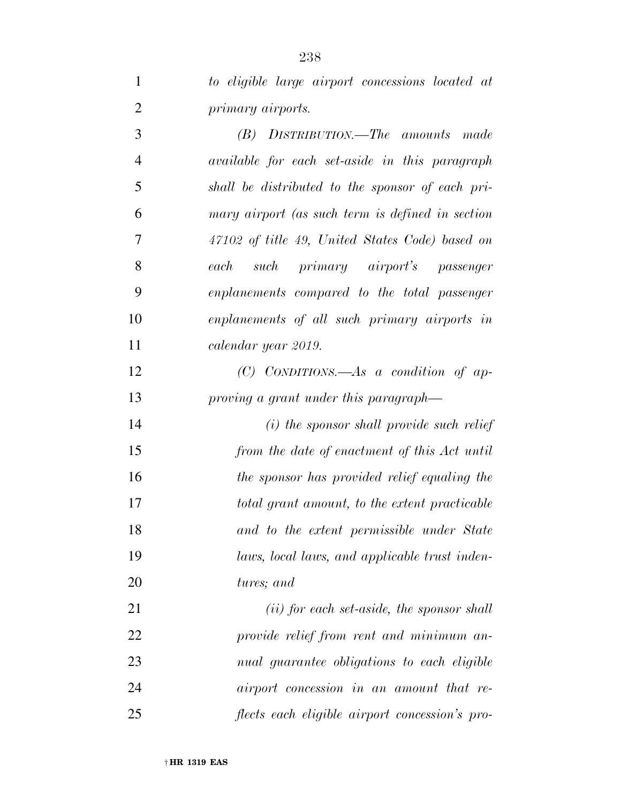| $\mathbf{1}$   | to eligible large airport concessions located at |
|----------------|--------------------------------------------------|
| $\overline{2}$ | primary airports.                                |
| 3              | (B) DISTRIBUTION.—The amounts made               |
| $\overline{4}$ | available for each set-aside in this paragraph   |
| 5              | shall be distributed to the sponsor of each pri- |
| 6              | mary airport (as such term is defined in section |
| 7              | 47102 of title 49, United States Code) based on  |
| 8              | such primary airport's passenger<br>each         |
| 9              | enplanements compared to the total passenger     |
| 10             | enplanements of all such primary airports in     |
| 11             | calendar year 2019.                              |
| 12             | $(C)$ CONDITIONS.—As a condition of ap-          |
| 13             | proving a grant under this paragraph—            |
| 14             | (i) the sponsor shall provide such relief        |
| 15             | from the date of enactment of this Act until     |
| 16             | the sponsor has provided relief equaling the     |
| 17             | total grant amount, to the extent practicable    |
| 18             | and to the extent permissible under State        |
| 19             | laws, local laws, and applicable trust inden-    |
| 20             | tures; and                                       |
| 21             | $(ii)$ for each set-aside, the sponsor shall     |
| 22             | provide relief from rent and minimum an-         |
| 23             | nual guarantee obligations to each eligible      |
| 24             | airport concession in an amount that re-         |
| 25             | flects each eligible airport concession's pro-   |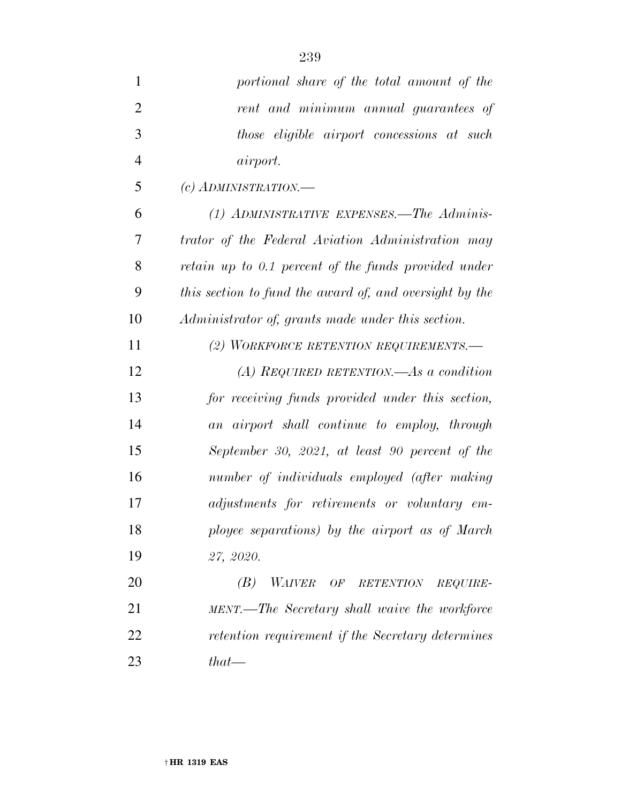| $\mathbf{1}$   | portional share of the total amount of the              |
|----------------|---------------------------------------------------------|
| $\overline{2}$ | rent and minimum annual guarantees of                   |
| 3              | those eligible airport concessions at such              |
| $\overline{4}$ | <i>airport.</i>                                         |
| 5              | $(c)$ ADMINISTRATION.—                                  |
| 6              | (1) ADMINISTRATIVE EXPENSES.—The Adminis-               |
| 7              | trator of the Federal Aviation Administration may       |
| 8              | retain up to 0.1 percent of the funds provided under    |
| 9              | this section to fund the award of, and oversight by the |
| 10             | Administrator of, grants made under this section.       |
| 11             | (2) WORKFORCE RETENTION REQUIREMENTS.                   |
| 12             | (A) REQUIRED RETENTION.—As a condition                  |
| 13             | for receiving funds provided under this section,        |
| 14             | an airport shall continue to employ, through            |
| 15             | September 30, 2021, at least 90 percent of the          |
| 16             | number of individuals employed (after making            |
| 17             | adjustments for retirements or voluntary em-            |
| 18             | ployee separations) by the airport as of March          |
| 19             | 27, 2020.                                               |
| 20             | (B)<br>WAIVER OF RETENTION REQUIRE-                     |
| 21             | MENT.—The Secretary shall waive the workforce           |
| 22             | retention requirement if the Secretary determines       |
| 23             | $that$ —                                                |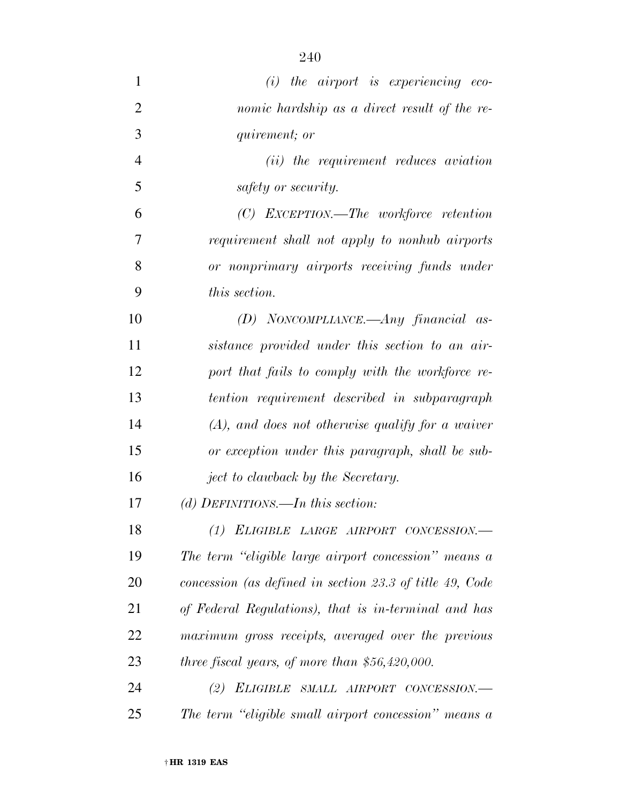| 1              | $(i)$ the airport is experiencing eco-                   |
|----------------|----------------------------------------------------------|
| $\overline{2}$ | nomic hardship as a direct result of the re-             |
| 3              | <i>quirement</i> ; <i>or</i>                             |
| $\overline{4}$ | ( <i>ii</i> ) the requirement reduces aviation           |
| 5              | safety or security.                                      |
| 6              | $(C)$ EXCEPTION.—The workforce retention                 |
| 7              | requirement shall not apply to nonhub airports           |
| 8              | or nonprimary airports receiving funds under             |
| 9              | <i>this section.</i>                                     |
| 10             | (D) NONCOMPLIANCE.—Any financial as-                     |
| 11             | sistance provided under this section to an air-          |
| 12             | port that fails to comply with the workforce re-         |
| 13             | tention requirement described in subparagraph            |
| 14             | $(A)$ , and does not otherwise qualify for a waiver      |
| 15             | or exception under this paragraph, shall be sub-         |
| 16             | ject to clawback by the Secretary.                       |
| 17             | (d) DEFINITIONS.—In this section:                        |
| 18             | (1) ELIGIBLE LARGE AIRPORT CONCESSION.-                  |
| 19             | The term "eligible large airport concession" means a     |
| 20             | concession (as defined in section 23.3 of title 49, Code |
| 21             | of Federal Regulations), that is in-terminal and has     |
| 22             | maximum gross receipts, averaged over the previous       |
| 23             | three fiscal years, of more than $$56,420,000$ .         |
| 24             | (2) ELIGIBLE SMALL AIRPORT CONCESSION.-                  |
| 25             | The term "eligible small airport concession" means a     |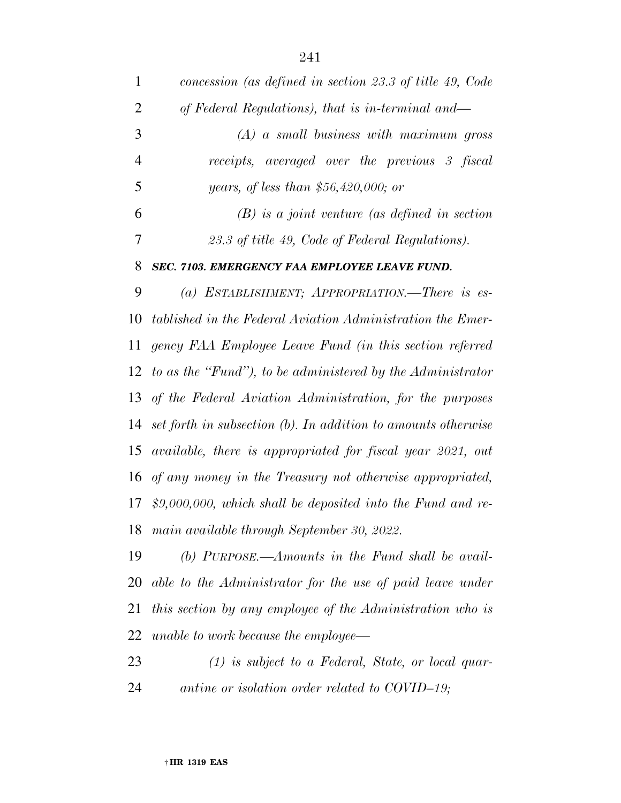| $\mathbf{1}$   | concession (as defined in section 23.3 of title 49, Code      |
|----------------|---------------------------------------------------------------|
| 2              | of Federal Regulations), that is in-terminal and—             |
| 3              | $(A)$ a small business with maximum gross                     |
| $\overline{4}$ | receipts, averaged over the previous 3 fiscal                 |
| 5              | <i>years, of less than</i> $$56,420,000;$ or                  |
| 6              | $(B)$ is a joint venture (as defined in section               |
| 7              | 23.3 of title 49, Code of Federal Regulations).               |
| 8              | SEC. 7103. EMERGENCY FAA EMPLOYEE LEAVE FUND.                 |
| 9              | (a) ESTABLISHMENT; APPROPRIATION.—There is es-                |
| 10             | tablished in the Federal Aviation Administration the Emer-    |
| 11             | gency FAA Employee Leave Fund (in this section referred       |
| 12             | to as the "Fund"), to be administered by the Administrator    |
|                | 13 of the Federal Aviation Administration, for the purposes   |
| 14             | set forth in subsection (b). In addition to amounts otherwise |
| 15             | available, there is appropriated for fiscal year 2021, out    |
| 16             | of any money in the Treasury not otherwise appropriated,      |
| 17             | $$9,000,000, which shall be deposited into the Fund and re-$  |
|                | 18 main available through September 30, 2022.                 |
| 19             | (b) PURPOSE.—Amounts in the Fund shall be avail-              |
| 20             | able to the Administrator for the use of paid leave under     |
| 21             | this section by any employee of the Administration who is     |
| 22             | unable to work because the employee—                          |

 *(1) is subject to a Federal, State, or local quar-antine or isolation order related to COVID–19;*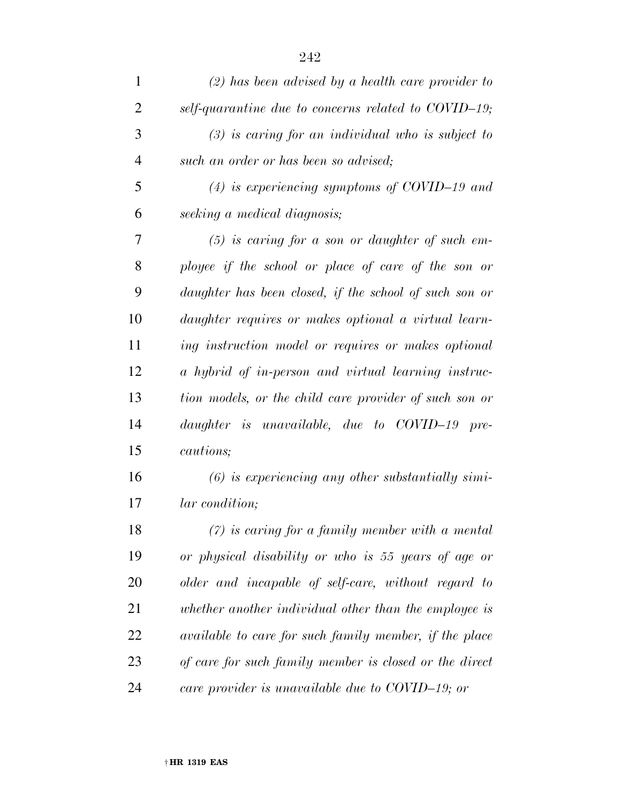| $\mathbf{1}$ | $(2)$ has been advised by a health care provider to    |
|--------------|--------------------------------------------------------|
| 2            | self-quarantine due to concerns related to COVID-19;   |
| 3            | $(3)$ is caring for an individual who is subject to    |
| 4            | such an order or has been so advised;                  |
| 5            | $(4)$ is experiencing symptoms of COVID-19 and         |
| 6            | seeking a medical diagnosis;                           |
| 7            | $(5)$ is caring for a son or daughter of such em-      |
| 8            | ployee if the school or place of care of the son or    |
| 9            | daughter has been closed, if the school of such son or |
| 10           | daughter requires or makes optional a virtual learn-   |
| 11           | ing instruction model or requires or makes optional    |
| 12           | a hybrid of in-person and virtual learning instruc-    |
| 13           | tion models, or the child care provider of such son or |
| 14           | daughter is unavailable, due to COVID-19 pre-          |
| 15           | cautions;                                              |
| 16           | $(6)$ is experiencing any other substantially simi-    |
| 17           | <i>lar</i> condition;                                  |
| 18           | $(7)$ is caring for a family member with a mental      |
| 19           | or physical disability or who is 55 years of age or    |
| 20           | older and incapable of self-care, without regard to    |
| 21           | whether another individual other than the employee is  |
| 22           | available to care for such family member, if the place |
| 23           | of care for such family member is closed or the direct |
| 24           | care provider is unavailable due to COVID-19; or       |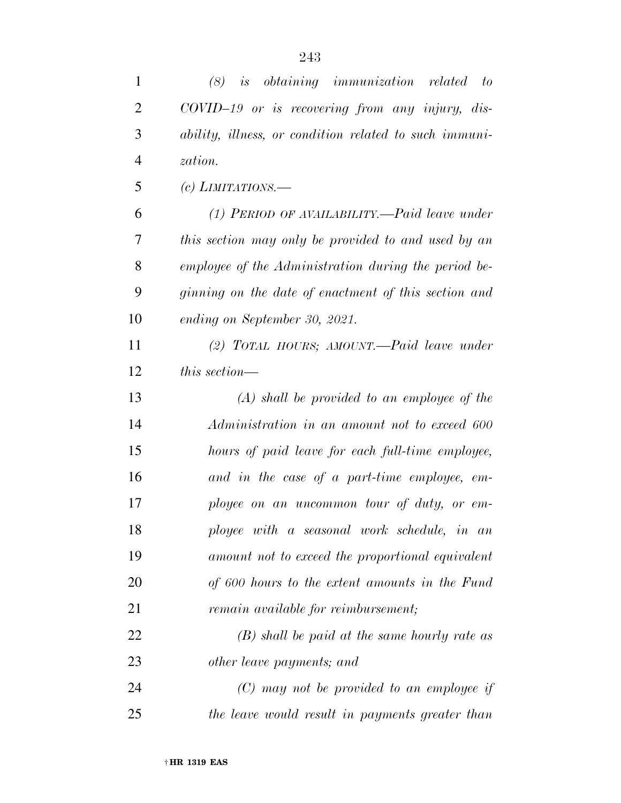| $\mathbf{1}$   | <i>is obtaining immunization related</i><br>(8)<br>to  |
|----------------|--------------------------------------------------------|
| $\overline{2}$ | COVID-19 or is recovering from any injury, dis-        |
| 3              | ability, illness, or condition related to such immuni- |
| $\overline{4}$ | zation.                                                |
| 5              | (c) LIMITATIONS.—                                      |
| 6              | $(1)$ PERIOD OF AVAILABILITY.—Paid leave under         |
| 7              | this section may only be provided to and used by an    |
| 8              | employee of the Administration during the period be-   |
| 9              | ginning on the date of enactment of this section and   |
| 10             | ending on September 30, 2021.                          |
| 11             | (2) TOTAL HOURS; AMOUNT.—Paid leave under              |
| 12             | this section—                                          |
| 13             | $(A)$ shall be provided to an employee of the          |
| 14             | Administration in an amount not to exceed 600          |
| 15             | hours of paid leave for each full-time employee,       |
| 16             | and in the case of a part-time employee, em-           |
| 17             | ployee on an uncommon tour of duty, or em-             |
| 18             | ployee with a seasonal work schedule, in an            |
| 19             | amount not to exceed the proportional equivalent       |
| 20             | of 600 hours to the extent amounts in the Fund         |
| 21             | <i>remain available for reimbursement;</i>             |
| 22             | $(B)$ shall be paid at the same hourly rate as         |
| 23             | other leave payments; and                              |
| 24             | $(C)$ may not be provided to an employee if            |
| 25             | the leave would result in payments greater than        |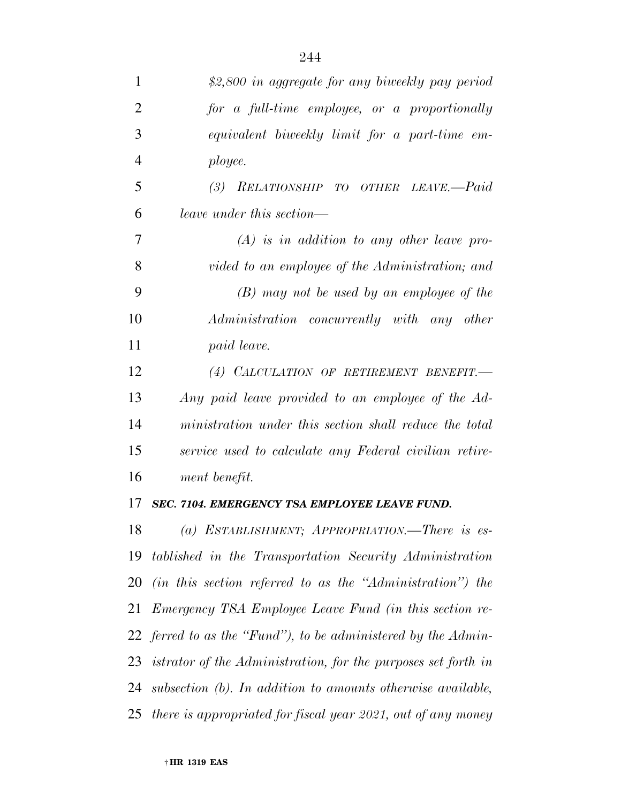| $\mathbf{1}$   | \$2,800 in aggregate for any biweekly pay period              |
|----------------|---------------------------------------------------------------|
| $\overline{2}$ | for a full-time employee, or a proportionally                 |
| 3              | equivalent biweekly limit for a part-time em-                 |
| $\overline{4}$ | ployee.                                                       |
| 5              | RELATIONSHIP TO OTHER LEAVE.-Paid<br>(3)                      |
| 6              | leave under this section—                                     |
| 7              | $(A)$ is in addition to any other leave pro-                  |
| 8              | vided to an employee of the Administration; and               |
| 9              | $(B)$ may not be used by an employee of the                   |
| 10             | Administration concurrently with any other                    |
| 11             | paid leave.                                                   |
| 12             | (4) CALCULATION OF RETIREMENT BENEFIT.                        |
| 13             | Any paid leave provided to an employee of the Ad-             |
| 14             | ministration under this section shall reduce the total        |
| 15             | service used to calculate any Federal civilian retire-        |
| 16             | ment benefit.                                                 |
| 17             | <b>SEC. 7104. EMERGENCY TSA EMPLOYEE LEAVE FUND.</b>          |
| 18             | (a) ESTABLISHMENT; APPROPRIATION.—There is es-                |
| 19             | tablished in the Transportation Security Administration       |
| 20             | (in this section referred to as the "Administration") the     |
| 21             | <i>Emergency TSA Employee Leave Fund (in this section re-</i> |
|                | 22 ferred to as the "Fund"), to be administered by the Admin- |
| 23             | istrator of the Administration, for the purposes set forth in |
| 24             | subsection (b). In addition to amounts otherwise available,   |
| 25             | there is appropriated for fiscal year 2021, out of any money  |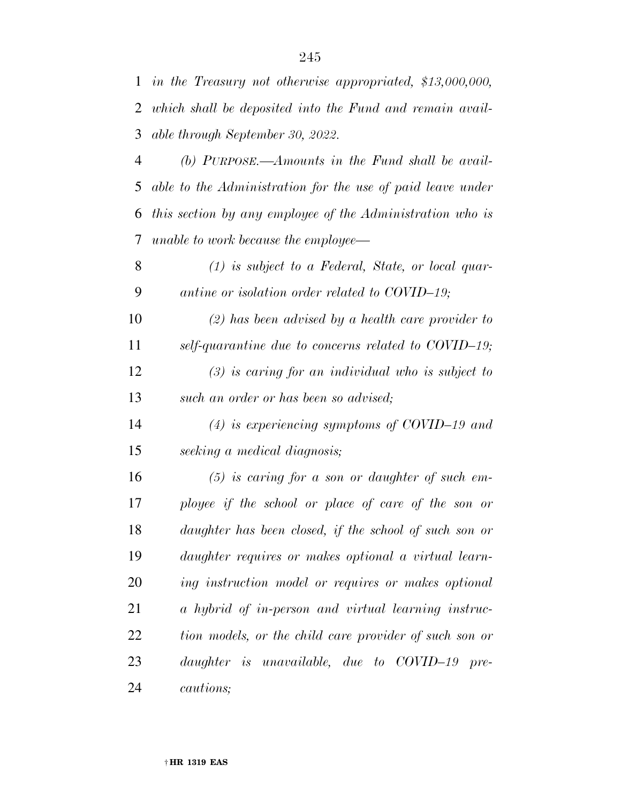*in the Treasury not otherwise appropriated, \$13,000,000,* 

*which shall be deposited into the Fund and remain avail-*

| 3  | able through September 30, 2022.                           |
|----|------------------------------------------------------------|
| 4  | (b) $P_{URPOSE.}$ —Amounts in the Fund shall be avail-     |
| 5  | able to the Administration for the use of paid leave under |
| 6  | this section by any employee of the Administration who is  |
| 7  | unable to work because the employee—                       |
| 8  | $(1)$ is subject to a Federal, State, or local quar-       |
| 9  | antine or isolation order related to COVID-19;             |
| 10 | $(2)$ has been advised by a health care provider to        |
| 11 | self-quarantine due to concerns related to COVID-19;       |
| 12 | $(3)$ is caring for an individual who is subject to        |
| 13 | such an order or has been so advised;                      |
| 14 | $(4)$ is experiencing symptoms of COVID-19 and             |
| 15 | seeking a medical diagnosis;                               |
| 16 | $(5)$ is caring for a son or daughter of such em-          |
| 17 | ployee if the school or place of care of the son or        |
| 18 | daughter has been closed, if the school of such son or     |
| 19 | daughter requires or makes optional a virtual learn-       |
| 20 | ing instruction model or requires or makes optional        |
| 21 | a hybrid of in-person and virtual learning instruc-        |
| 22 | tion models, or the child care provider of such son or     |
| 23 | daughter is unavailable, due to COVID-19 pre-              |
| 24 | <i>cautions</i> ;                                          |
|    |                                                            |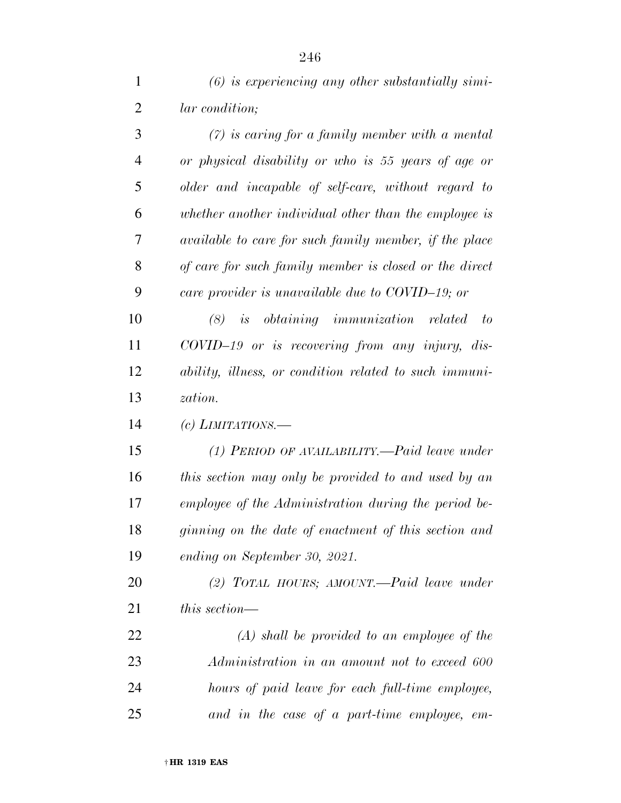| $\mathbf{1}$   | $(6)$ is experiencing any other substantially simi-    |
|----------------|--------------------------------------------------------|
| $\overline{2}$ | <i>lar</i> condition;                                  |
| 3              | $(7)$ is caring for a family member with a mental      |
| 4              | or physical disability or who is 55 years of age or    |
| 5              | older and incapable of self-care, without regard to    |
| 6              | whether another individual other than the employee is  |
| 7              | available to care for such family member, if the place |
| 8              | of care for such family member is closed or the direct |
| 9              | care provider is unavailable due to COVID-19; or       |
| 10             | $(8)$ is obtaining immunization related<br>to          |
| 11             | $COVID-19$ or is recovering from any injury, dis-      |
| 12             | ability, illness, or condition related to such immuni- |
| 13             | zation.                                                |
| 14             | (c) LIMITATIONS.—                                      |
| 15             | (1) PERIOD OF AVAILABILITY.—Paid leave under           |
| 16             | this section may only be provided to and used by an    |
| 17             | employee of the Administration during the period be-   |
| 18             | ginning on the date of enactment of this section and   |
| 19             | ending on September 30, 2021.                          |
| <b>20</b>      | (2) TOTAL HOURS; AMOUNT.—Paid leave under              |
| 21             | this section—                                          |
| 22             | $(A)$ shall be provided to an employee of the          |
| 23             | Administration in an amount not to exceed 600          |

*and in the case of a part-time employee, em-*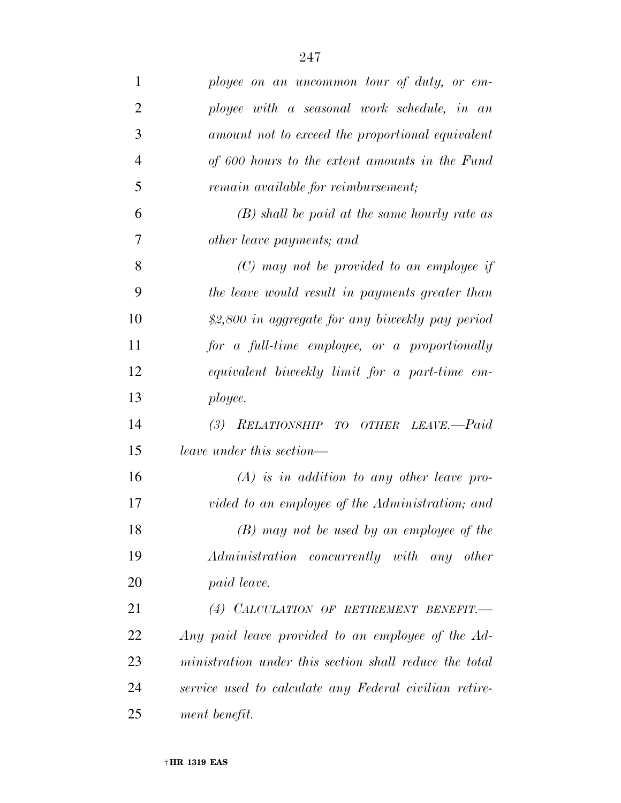| $\mathbf{1}$   | ployee on an uncommon tour of duty, or em-             |
|----------------|--------------------------------------------------------|
| $\overline{2}$ | ployee with a seasonal work schedule, in an            |
| 3              | amount not to exceed the proportional equivalent       |
| $\overline{4}$ | of 600 hours to the extent amounts in the Fund         |
| 5              | remain available for reimbursement;                    |
| 6              | $(B)$ shall be paid at the same hourly rate as         |
| 7              | other leave payments; and                              |
| 8              | $(C)$ may not be provided to an employee if            |
| 9              | the leave would result in payments greater than        |
| 10             | \$2,800 in aggregate for any biweekly pay period       |
| 11             | for a full-time employee, or a proportionally          |
| 12             | equivalent biweekly limit for a part-time em-          |
| 13             | ployee.                                                |
| 14             | (3) RELATIONSHIP TO OTHER LEAVE.-Paid                  |
| 15             | leave under this section—                              |
| 16             | $(A)$ is in addition to any other leave pro-           |
| 17             | vided to an employee of the Administration; and        |
| 18             | $(B)$ may not be used by an employee of the            |
| 19             | Administration concurrently with any other             |
| 20             | paid leave.                                            |
| 21             | (4) CALCULATION OF RETIREMENT BENEFIT.                 |
| 22             | Any paid leave provided to an employee of the Ad-      |
| 23             | ministration under this section shall reduce the total |
| 24             | service used to calculate any Federal civilian retire- |
| 25             | ment benefit.                                          |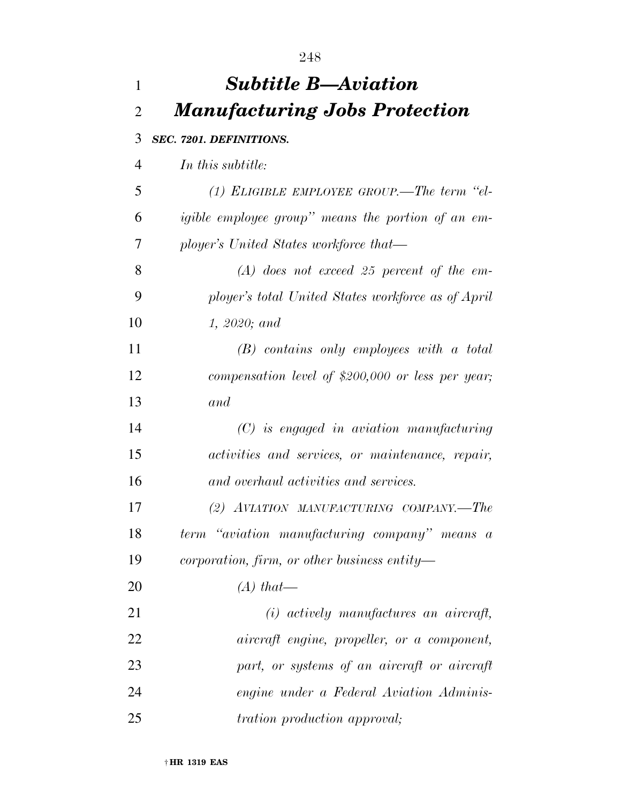| 1              | <b>Subtitle B—Aviation</b>                                 |
|----------------|------------------------------------------------------------|
| $\overline{2}$ | <b>Manufacturing Jobs Protection</b>                       |
| 3              | SEC. 7201. DEFINITIONS.                                    |
| $\overline{4}$ | In this subtitle:                                          |
| 5              | (1) ELIGIBLE EMPLOYEE GROUP.—The term "el-                 |
| 6              | <i>igible employee group</i> " means the portion of an em- |
| 7              | ployer's United States workforce that—                     |
| 8              | $(A)$ does not exceed 25 percent of the em-                |
| 9              | ployer's total United States workforce as of April         |
| 10             | 1, 2020; and                                               |
| 11             | $(B)$ contains only employees with a total                 |
| 12             | compensation level of \$200,000 or less per year;          |
| 13             | and                                                        |
| 14             | $(C)$ is engaged in aviation manufacturing                 |
| 15             | activities and services, or maintenance, repair,           |
| 16             | and overhaul activities and services.                      |
| 17             | (2) AVIATION MANUFACTURING COMPANY.—The                    |
| 18             | term "aviation manufacturing company" means a              |
| 19             | corporation, firm, or other business entity—               |
| 20             | $(A)$ that—                                                |
| 21             | $(i)$ actively manufactures an aircraft,                   |
| 22             | aircraft engine, propeller, or a component,                |
| 23             | part, or systems of an aircraft or aircraft                |
| 24             | engine under a Federal Aviation Adminis-                   |
| 25             | <i>tration production approval;</i>                        |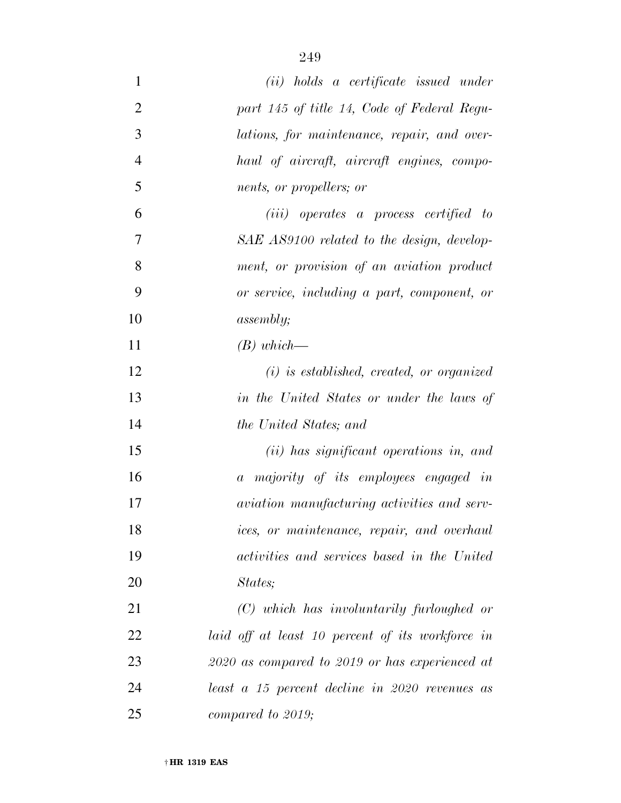| $\mathbf{1}$   | (ii) holds a certificate issued under              |
|----------------|----------------------------------------------------|
| $\overline{2}$ | part 145 of title 14, Code of Federal Regu-        |
| 3              | lations, for maintenance, repair, and over-        |
| $\overline{4}$ | haul of aircraft, aircraft engines, compo-         |
| 5              | nents, or propellers; or                           |
| 6              | ( <i>iii</i> ) operates a process certified to     |
| 7              | SAE AS9100 related to the design, develop-         |
| 8              | ment, or provision of an aviation product          |
| 9              | or service, including a part, component, or        |
| 10             | <i>assembly</i> ;                                  |
| 11             | $(B)$ which—                                       |
| 12             | $(i)$ is established, created, or organized        |
| 13             | in the United States or under the laws of          |
| 14             | <i>the United States; and</i>                      |
| 15             | (ii) has significant operations in, and            |
| 16             | a majority of its employees engaged in             |
| 17             | <i>aviation manufacturing activities and serv-</i> |
| 18             | ices, or maintenance, repair, and overhaul         |
| 19             | activities and services based in the United        |
| 20             | States;                                            |
| 21             | $(C)$ which has involuntarily furloughed or        |
| 22             | laid off at least 10 percent of its workforce in   |
| 23             | 2020 as compared to 2019 or has experienced at     |
| 24             | least a 15 percent decline in 2020 revenues as     |
| 25             | compared to 2019;                                  |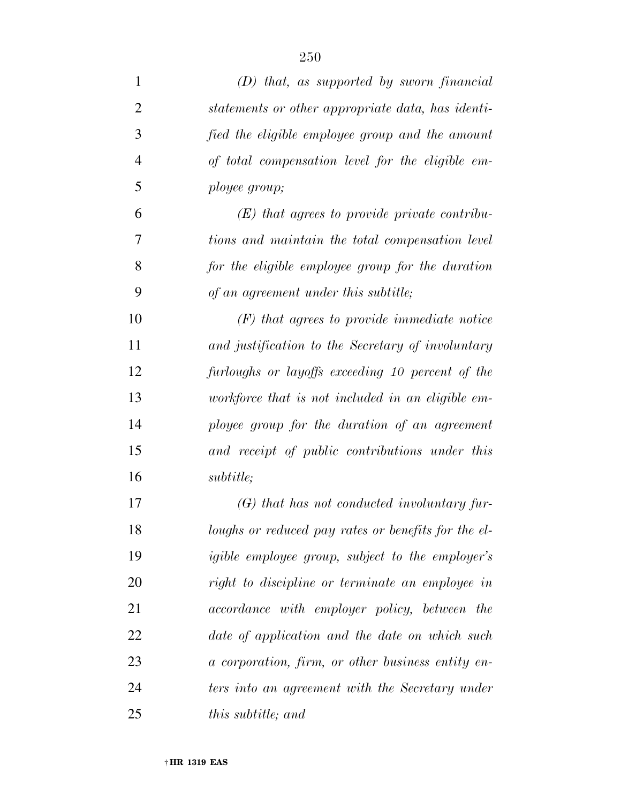| 1              | $(D)$ that, as supported by sworn financial             |
|----------------|---------------------------------------------------------|
| $\overline{2}$ | statements or other appropriate data, has identi-       |
| 3              | fied the eligible employee group and the amount         |
| $\overline{4}$ | of total compensation level for the eligible em-        |
| 5              | ployee group;                                           |
| 6              | $(E)$ that agrees to provide private contribu-          |
| 7              | tions and maintain the total compensation level         |
| 8              | for the eligible employee group for the duration        |
| 9              | of an agreement under this subtitle;                    |
| 10             | $(F)$ that agrees to provide immediate notice           |
| 11             | and justification to the Secretary of involuntary       |
| 12             | furloughs or layoffs exceeding 10 percent of the        |
| 13             | workforce that is not included in an eligible em-       |
| 14             | ployee group for the duration of an agreement           |
| 15             | and receipt of public contributions under this          |
| 16             | <i>subtitle:</i>                                        |
| 17             | $(G)$ that has not conducted involuntary fur-           |
| 18             | loughs or reduced pay rates or benefits for the el-     |
| 19             | <i>igible employee group, subject to the employer's</i> |
| 20             | right to discipline or terminate an employee in         |
| 21             | accordance with employer policy, between the            |
| 22             | date of application and the date on which such          |
| 23             | a corporation, firm, or other business entity en-       |
| 24             | ters into an agreement with the Secretary under         |
| 25             | <i>this subtitle; and</i>                               |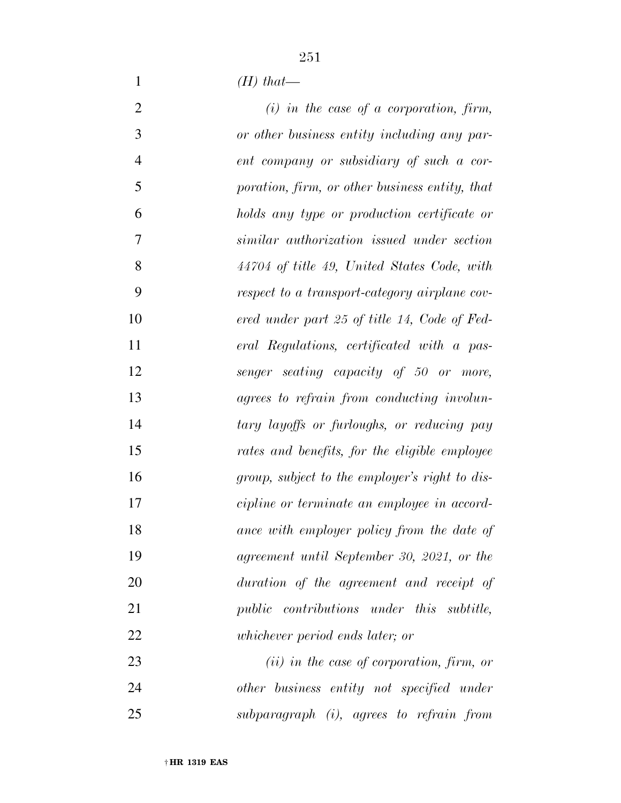*(H) that—* 

| $\overline{2}$ | $(i)$ in the case of a corporation, firm,      |
|----------------|------------------------------------------------|
| 3              | or other business entity including any par-    |
| $\overline{4}$ | ent company or subsidiary of such a cor-       |
| 5              | poration, firm, or other business entity, that |
| 6              | holds any type or production certificate or    |
| 7              | similar authorization issued under section     |
| 8              | 44704 of title 49, United States Code, with    |
| 9              | respect to a transport-category airplane cov-  |
| 10             | ered under part 25 of title 14, Code of Fed-   |
| 11             | eral Regulations, certificated with a pas-     |
| 12             | senger seating capacity of 50 or more,         |
| 13             | agrees to refrain from conducting involun-     |
| 14             | tary layoffs or furloughs, or reducing pay     |
| 15             | rates and benefits, for the eligible employee  |
| 16             | group, subject to the employer's right to dis- |
| 17             | cipline or terminate an employee in accord-    |
| 18             | ance with employer policy from the date of     |
| 19             | agreement until September 30, 2021, or the     |
| 20             | duration of the agreement and receipt of       |
| 21             | public contributions under this subtitle,      |
| 22             | whichever period ends later; or                |
| 23             | $(ii)$ in the case of corporation, firm, or    |
| 24             | other business entity not specified under      |

*subparagraph (i), agrees to refrain from*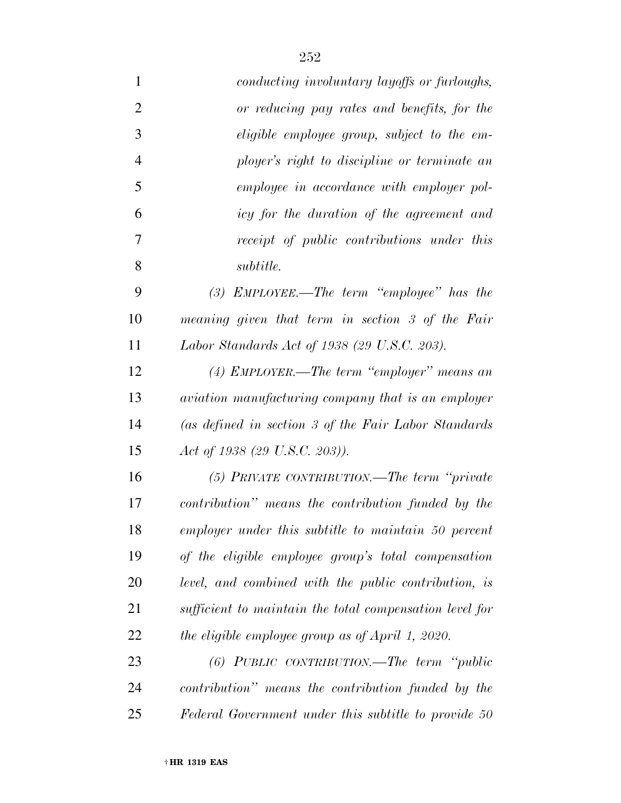| $\mathbf{1}$   | conducting involuntary layoffs or furloughs,            |
|----------------|---------------------------------------------------------|
| $\overline{2}$ | or reducing pay rates and benefits, for the             |
| 3              | eligible employee group, subject to the em-             |
| $\overline{4}$ | ployer's right to discipline or terminate an            |
| 5              | employee in accordance with employer pol-               |
| 6              | icy for the duration of the agreement and               |
| 7              | receipt of public contributions under this              |
| 8              | <i>subtitle.</i>                                        |
| 9              | $(3)$ EMPLOYEE.—The term "employee" has the             |
| 10             | meaning given that term in section 3 of the Fair        |
| 11             | Labor Standards Act of 1938 (29 U.S.C. 203).            |
| 12             | (4) EMPLOYER.—The term "employer" means an              |
| 13             | aviation manufacturing company that is an employer      |
| 14             | (as defined in section 3 of the Fair Labor Standards    |
| 15             | Act of 1938 (29 U.S.C. 203)).                           |
| 16             | $(5)$ PRIVATE CONTRIBUTION.—The term "private"          |
| 17             | contribution" means the contribution funded by the      |
| 18             | employer under this subtitle to maintain 50 percent     |
| 19             | of the eligible employee group's total compensation     |
| 20             | level, and combined with the public contribution, is    |
| 21             | sufficient to maintain the total compensation level for |
| 22             | the eligible employee group as of April 1, 2020.        |
| 23             | $(6)$ PUBLIC CONTRIBUTION.—The term "public"            |
| 24             | contribution" means the contribution funded by the      |
| 25             | Federal Government under this subtitle to provide 50    |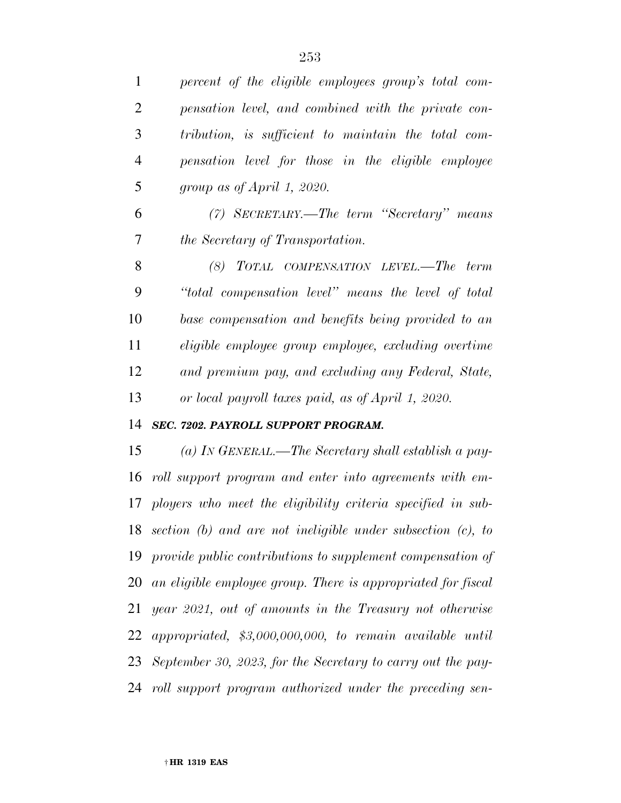*percent of the eligible employees group's total com-*

 *pensation level, and combined with the private con- tribution, is sufficient to maintain the total com- pensation level for those in the eligible employee group as of April 1, 2020. (7) SECRETARY.—The term ''Secretary'' means the Secretary of Transportation. (8) TOTAL COMPENSATION LEVEL.—The term ''total compensation level'' means the level of total base compensation and benefits being provided to an eligible employee group employee, excluding overtime and premium pay, and excluding any Federal, State, or local payroll taxes paid, as of April 1, 2020. SEC. 7202. PAYROLL SUPPORT PROGRAM. (a) IN GENERAL.—The Secretary shall establish a pay- roll support program and enter into agreements with em- ployers who meet the eligibility criteria specified in sub- section (b) and are not ineligible under subsection (c), to provide public contributions to supplement compensation of an eligible employee group. There is appropriated for fiscal year 2021, out of amounts in the Treasury not otherwise appropriated, \$3,000,000,000, to remain available until September 30, 2023, for the Secretary to carry out the pay-roll support program authorized under the preceding sen-*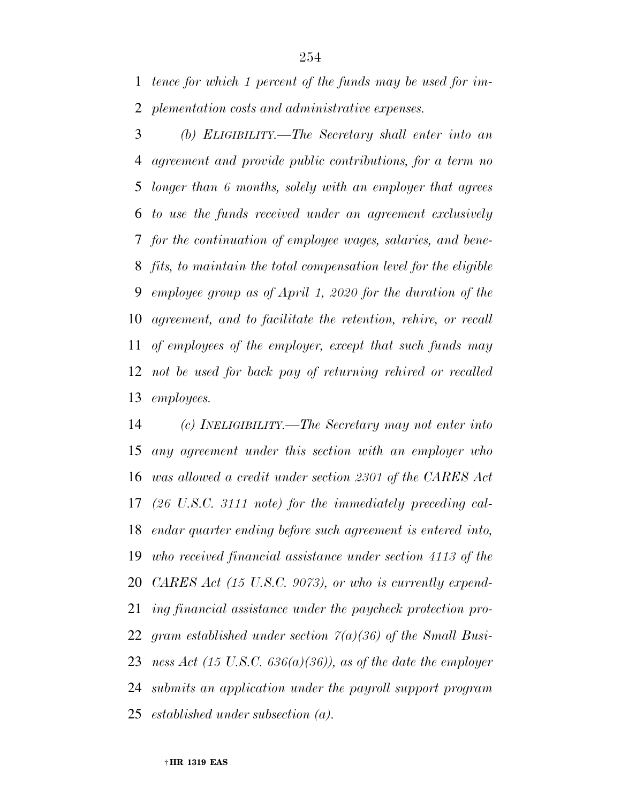*tence for which 1 percent of the funds may be used for im-plementation costs and administrative expenses.* 

 *(b) ELIGIBILITY.—The Secretary shall enter into an agreement and provide public contributions, for a term no longer than 6 months, solely with an employer that agrees to use the funds received under an agreement exclusively for the continuation of employee wages, salaries, and bene- fits, to maintain the total compensation level for the eligible employee group as of April 1, 2020 for the duration of the agreement, and to facilitate the retention, rehire, or recall of employees of the employer, except that such funds may not be used for back pay of returning rehired or recalled employees.* 

 *(c) INELIGIBILITY.—The Secretary may not enter into any agreement under this section with an employer who was allowed a credit under section 2301 of the CARES Act (26 U.S.C. 3111 note) for the immediately preceding cal- endar quarter ending before such agreement is entered into, who received financial assistance under section 4113 of the CARES Act (15 U.S.C. 9073), or who is currently expend- ing financial assistance under the paycheck protection pro- gram established under section 7(a)(36) of the Small Busi- ness Act (15 U.S.C. 636(a)(36)), as of the date the employer submits an application under the payroll support program established under subsection (a).*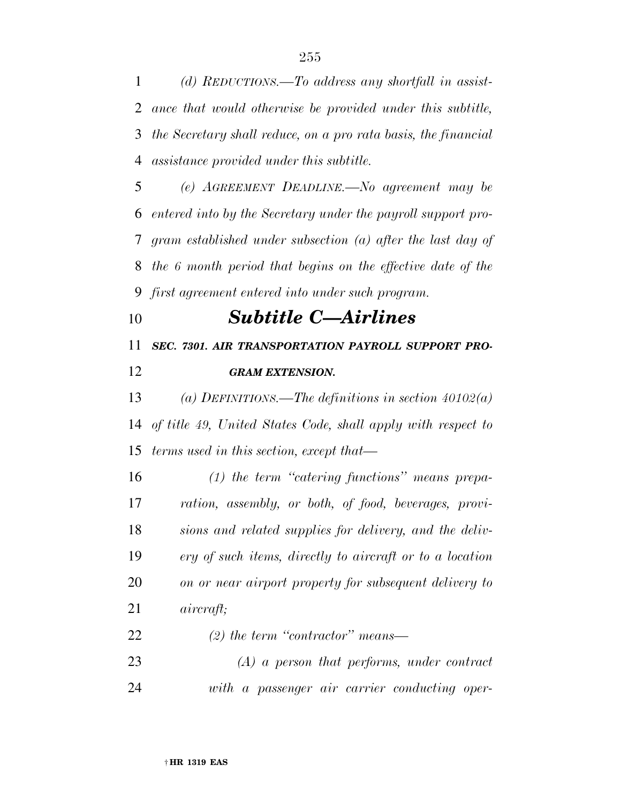*(d) REDUCTIONS.—To address any shortfall in assist- ance that would otherwise be provided under this subtitle, the Secretary shall reduce, on a pro rata basis, the financial assistance provided under this subtitle.* 

 *(e) AGREEMENT DEADLINE.—No agreement may be entered into by the Secretary under the payroll support pro- gram established under subsection (a) after the last day of the 6 month period that begins on the effective date of the first agreement entered into under such program.* 

*Subtitle C—Airlines* 

*SEC. 7301. AIR TRANSPORTATION PAYROLL SUPPORT PRO-*

### *GRAM EXTENSION.*

 *(a) DEFINITIONS.—The definitions in section 40102(a) of title 49, United States Code, shall apply with respect to terms used in this section, except that—* 

 *(1) the term ''catering functions'' means prepa- ration, assembly, or both, of food, beverages, provi- sions and related supplies for delivery, and the deliv- ery of such items, directly to aircraft or to a location on or near airport property for subsequent delivery to aircraft;* 

*(2) the term ''contractor'' means—* 

 *(A) a person that performs, under contract with a passenger air carrier conducting oper-*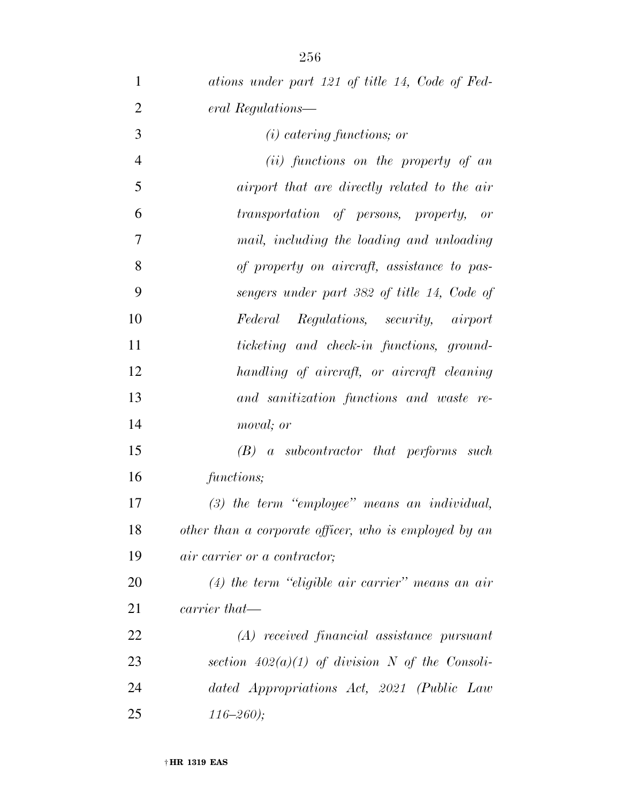| $\mathbf{1}$   | ations under part 121 of title 14, Code of Fed-       |
|----------------|-------------------------------------------------------|
| $\overline{2}$ | eral Regulations—                                     |
| 3              | $(i)$ catering functions; or                          |
| $\overline{4}$ | $(ii)$ functions on the property of an                |
| 5              | airport that are directly related to the air          |
| 6              | transportation of persons, property, or               |
| 7              | mail, including the loading and unloading             |
| 8              | of property on aircraft, assistance to pas-           |
| 9              | sengers under part 382 of title 14, Code of           |
| 10             | Federal Regulations, security, airport                |
| 11             | ticketing and check-in functions, ground-             |
| 12             | handling of aircraft, or aircraft cleaning            |
| 13             | and sanitization functions and waste re-              |
| 14             | moval; or                                             |
| 15             | $(B)$ a subcontractor that performs such              |
| 16             | functions;                                            |
| 17             | $(3)$ the term "employee" means an individual,        |
| 18             | other than a corporate officer, who is employed by an |
| 19             | <i>air carrier or a contractor</i> ;                  |
| 20             | $(4)$ the term "eligible air carrier" means an air    |
| 21             | carrier that—                                         |
| 22             | (A) received financial assistance pursuant            |
| 23             | section $402(a)(1)$ of division N of the Consoli-     |
| 24             | dated Appropriations Act, 2021 (Public Law            |
| 25             | $116 - 260$ ;                                         |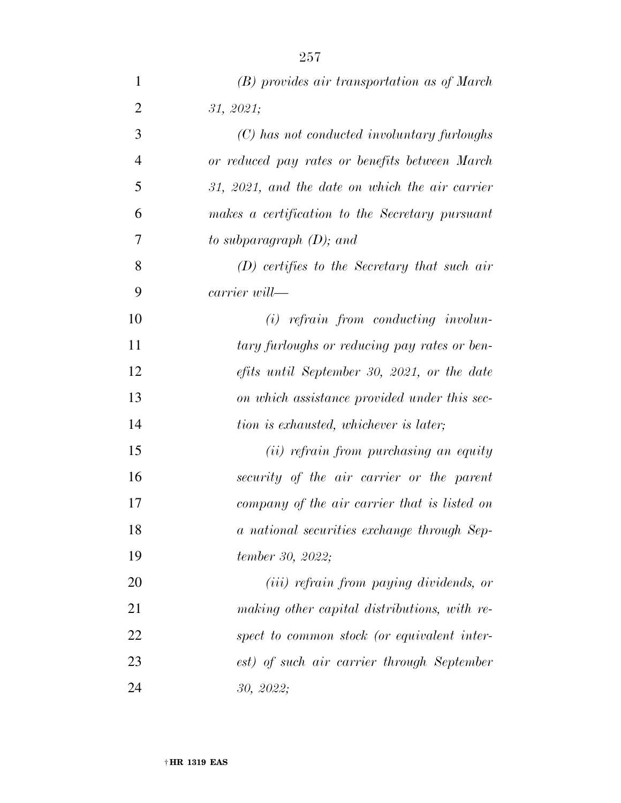| $\mathbf{1}$   | (B) provides air transportation as of March      |
|----------------|--------------------------------------------------|
| $\overline{2}$ | 31, 2021;                                        |
| 3              | (C) has not conducted involuntary furloughs      |
| $\overline{4}$ | or reduced pay rates or benefits between March   |
| 5              | 31, 2021, and the date on which the air carrier  |
| 6              | makes a certification to the Secretary pursuant  |
| 7              | to subparagraph $(D)$ ; and                      |
| 8              | $(D)$ certifies to the Secretary that such air   |
| 9              | carrier will—                                    |
| 10             | $(i)$ refrain from conducting involun-           |
| 11             | tary furloughs or reducing pay rates or ben-     |
| 12             | efits until September 30, 2021, or the date      |
| 13             | on which assistance provided under this sec-     |
| 14             | tion is exhausted, whichever is later;           |
| 15             | (ii) refrain from purchasing an equity           |
| 16             | security of the air carrier or the parent        |
| 17             | company of the air carrier that is listed on     |
| 18             | a national securities exchange through Sep-      |
| 19             | tember 30, 2022;                                 |
| 20             | ( <i>iii</i> ) refrain from paying dividends, or |
| 21             | making other capital distributions, with re-     |
| 22             | spect to common stock (or equivalent inter-      |
| 23             | est) of such air carrier through September       |
| 24             | 30, 2022;                                        |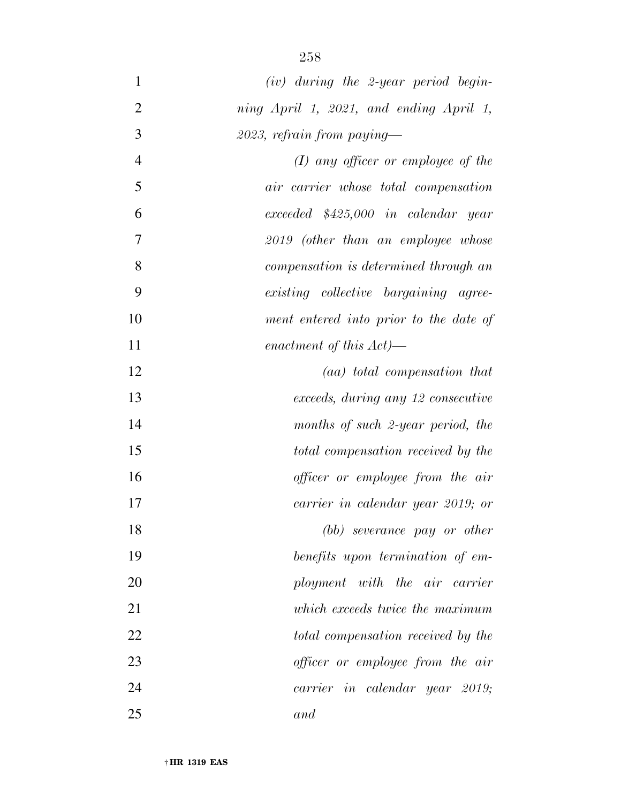| $\mathbf{1}$   | $(iv)$ during the 2-year period begin-  |
|----------------|-----------------------------------------|
| $\overline{2}$ | ning April 1, 2021, and ending April 1, |
| 3              | $2023$ , refrain from paying—           |
| $\overline{4}$ | $(I)$ any officer or employee of the    |
| 5              | air carrier whose total compensation    |
| 6              | $exceeded$ $$425,000$ in calendar year  |
| 7              | 2019 (other than an employee whose      |
| 8              | compensation is determined through an   |
| 9              | existing collective bargaining agree-   |
| 10             | ment entered into prior to the date of  |
| 11             | enactment of this $Act$ )—              |
| 12             | (aa) total compensation that            |
| 13             | exceeds, during any 12 consecutive      |
| 14             | months of such 2-year period, the       |
| 15             | total compensation received by the      |
| 16             | officer or employee from the air        |
| 17             | carrier in calendar year 2019; or       |
| 18             | (bb) severance pay or other             |
| 19             | benefits upon termination of em-        |
| 20             | ployment with the air carrier           |
| 21             | which exceeds twice the maximum         |
| 22             | total compensation received by the      |
| 23             | officer or employee from the air        |
| 24             | carrier in calendar year 2019;          |
| 25             | and                                     |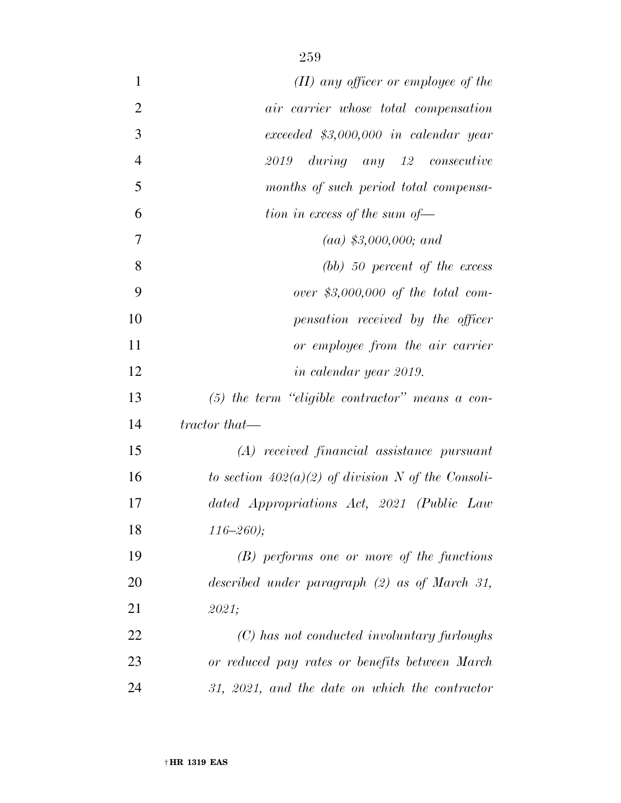| $\mathbf{1}$   | $(II)$ any officer or employee of the                |
|----------------|------------------------------------------------------|
| $\overline{2}$ | air carrier whose total compensation                 |
| 3              | $exceeded$ \$3,000,000 in calendar year              |
| $\overline{4}$ | $during$ $any$ $12$ $consecutive$<br>2019            |
| 5              | months of such period total compensa-                |
| 6              | tion in excess of the sum of-                        |
| 7              | $(aa)$ \$3,000,000; and                              |
| 8              | $(bb)$ 50 percent of the excess                      |
| 9              | over \$3,000,000 of the total com-                   |
| 10             | pensation received by the officer                    |
| 11             | or employee from the air carrier                     |
| 12             | in calendar year 2019.                               |
| 13             | $(5)$ the term "eligible contractor" means a con-    |
| 14             | tractor that—                                        |
| 15             | (A) received financial assistance pursuant           |
| 16             | to section $402(a)(2)$ of division N of the Consoli- |
| 17             | dated Appropriations Act, 2021 (Public Law           |
| 18             | $116 - 260$ ;                                        |
| 19             | $(B)$ performs one or more of the functions          |
| 20             | described under paragraph (2) as of March 31,        |
| 21             | 2021;                                                |
| 22             | (C) has not conducted involuntary furloughs          |
| 23             | or reduced pay rates or benefits between March       |
| 24             | $31, 2021,$ and the date on which the contractor     |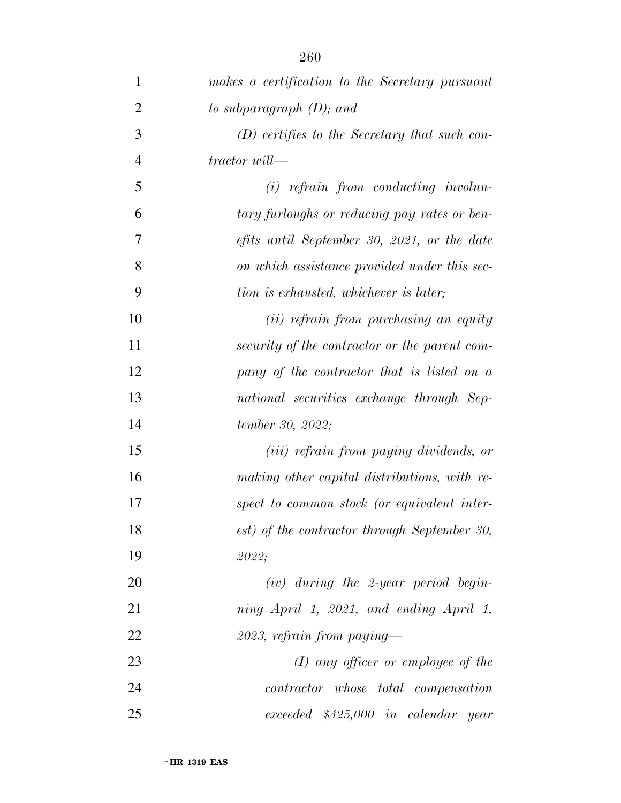| $\mathbf{1}$   | makes a certification to the Secretary pursuant  |
|----------------|--------------------------------------------------|
| $\overline{2}$ | to subparagraph $(D)$ ; and                      |
| 3              | $(D)$ certifies to the Secretary that such con-  |
| $\overline{4}$ | $\emph{tractor will}$                            |
| 5              | $(i)$ refrain from conducting involun-           |
| 6              | tary furloughs or reducing pay rates or ben-     |
| 7              | efits until September 30, 2021, or the date      |
| 8              | on which assistance provided under this sec-     |
| 9              | tion is exhausted, whichever is later;           |
| 10             | (ii) refrain from purchasing an equity           |
| 11             | security of the contractor or the parent com-    |
| 12             | pany of the contractor that is listed on a       |
| 13             | national securities exchange through Sep-        |
| 14             | tember 30, 2022;                                 |
| 15             | ( <i>iii</i> ) refrain from paying dividends, or |
| 16             | making other capital distributions, with re-     |
| 17             | spect to common stock (or equivalent inter-      |
| 18             | est) of the contractor through September 30,     |
| 19             | 2022;                                            |
| 20             | $(iv)$ during the 2-year period begin-           |
| 21             | ning April 1, 2021, and ending April 1,          |
| 22             | $2023$ , refrain from paying—                    |
| 23             | $(I)$ any officer or employee of the             |
| 24             | <i>contractor</i> whose total compensation       |
| 25             | exceeded \$425,000 in calendar year              |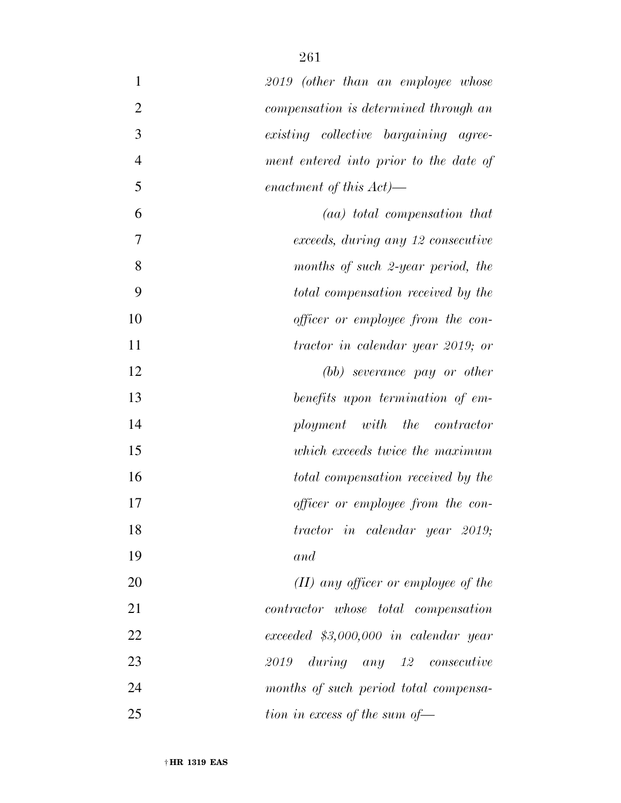| $\mathbf{1}$   | 2019 (other than an employee whose      |
|----------------|-----------------------------------------|
| $\overline{2}$ | compensation is determined through an   |
| 3              | existing collective bargaining agree-   |
| $\overline{4}$ | ment entered into prior to the date of  |
| 5              | enactment of this $Act$ )—              |
| 6              | (aa) total compensation that            |
| 7              | exceeds, during any 12 consecutive      |
| 8              | months of such 2-year period, the       |
| 9              | total compensation received by the      |
| 10             | officer or employee from the con-       |
| 11             | tractor in calendar year 2019; or       |
| 12             | (bb) severance pay or other             |
| 13             | benefits upon termination of em-        |
| 14             | ployment with the contractor            |
| 15             | which exceeds twice the maximum         |
| 16             | total compensation received by the      |
| 17             | officer or employee from the con-       |
| 18             | tractor in calendar year 2019;          |
| 19             | and                                     |
| 20             | $(II)$ any officer or employee of the   |
| 21             | contractor whose total compensation     |
| 22             | $exceeded$ \$3,000,000 in calendar year |
| 23             | during any 12 consecutive<br>2019       |
| 24             | months of such period total compensa-   |
| 25             | tion in excess of the sum of-           |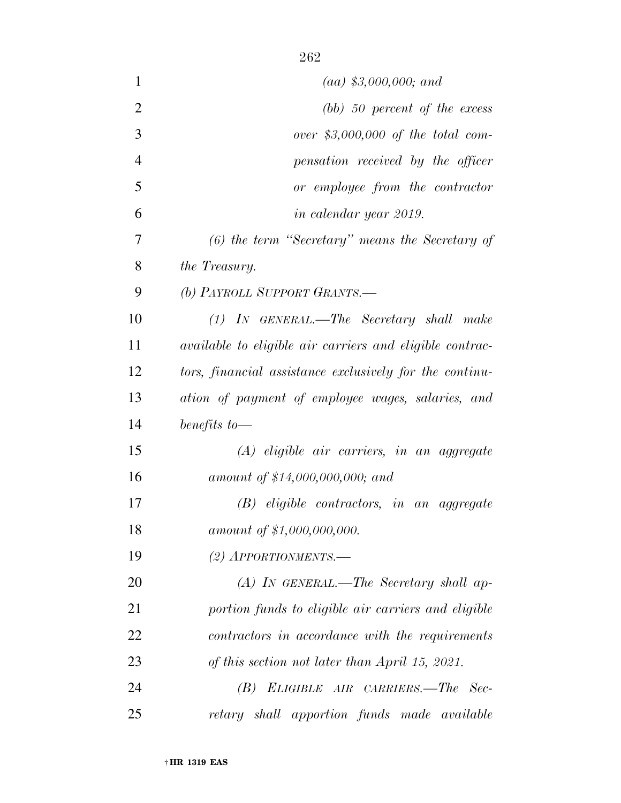| $\mathbf{1}$   | $(aa)$ \$3,000,000; and                                         |
|----------------|-----------------------------------------------------------------|
| $\overline{2}$ | $(bb)$ 50 percent of the excess                                 |
| 3              | over $$3,000,000$ of the total com-                             |
| $\overline{4}$ | pensation received by the officer                               |
| 5              | or employee from the contractor                                 |
| 6              | in calendar year 2019.                                          |
| 7              | $(6)$ the term "Secretary" means the Secretary of               |
| 8              | the Treasury.                                                   |
| 9              | (b) PAYROLL SUPPORT GRANTS.—                                    |
| 10             | $(1)$ IN GENERAL.—The Secretary shall make                      |
| 11             | <i>available to eligible air carriers and eligible contrac-</i> |
| 12             | tors, financial assistance exclusively for the continu-         |
| 13             | ation of payment of employee wages, salaries, and               |
| 14             | benefits to $-$                                                 |
| 15             | $(A)$ eligible air carriers, in an aggregate                    |
| 16             | amount of \$14,000,000,000; and                                 |
| 17             | $(B)$ eligible contractors, in an aggregate                     |
| 18             | amount of \$1,000,000,000.                                      |
| 19             | $(2)$ APPORTIONMENTS.—                                          |
| 20             | $(A)$ In GENERAL.—The Secretary shall ap-                       |
| 21             | portion funds to eligible air carriers and eligible             |
| 22             | contractors in accordance with the requirements                 |
| 23             | of this section not later than April 15, 2021.                  |
| 24             | ELIGIBLE AIR CARRIERS.—The Sec-<br>(B)                          |
| 25             | retary shall apportion funds made available                     |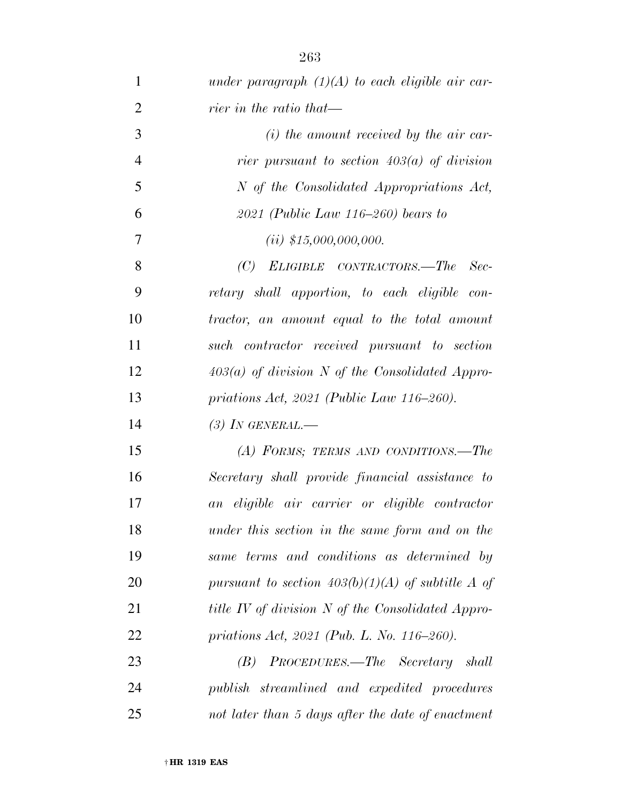| $\mathbf{1}$   | under paragraph $(1)(A)$ to each eligible air car-       |
|----------------|----------------------------------------------------------|
| $\overline{2}$ | rier in the ratio that—                                  |
| 3              | $(i)$ the amount received by the air car-                |
| $\overline{4}$ | rier pursuant to section $403(a)$ of division            |
| 5              | N of the Consolidated Appropriations Act,                |
| 6              | 2021 (Public Law 116–260) bears to                       |
| $\overline{7}$ | $(ii)$ \$15,000,000,000.                                 |
| 8              | (C)<br>ELIGIBLE CONTRACTORS.—The<br>$Sec-$               |
| 9              | retary shall apportion, to each eligible con-            |
| 10             | tractor, an amount equal to the total amount             |
| 11             | such contractor received pursuant to section             |
| 12             | $403(a)$ of division N of the Consolidated Appro-        |
| 13             | priations Act, $2021$ (Public Law 116–260).              |
| 14             | $(3)$ In GENERAL.—                                       |
| 15             | (A) FORMS; TERMS AND CONDITIONS.-The                     |
| 16             | Secretary shall provide financial assistance to          |
| 17             | an eligible air carrier or eligible contractor           |
| 18             | under this section in the same form and on the           |
| 19             | same terms and conditions as determined by               |
| <b>20</b>      | pursuant to section $403(b)(1)(A)$ of subtitle A of      |
| 21             | <i>title IV of division N of the Consolidated Appro-</i> |
| 22             | priations Act, 2021 (Pub. L. No. 116–260).               |
| 23             | PROCEDURES.—The Secretary shall<br>(B)                   |
| 24             | publish streamlined and expedited procedures             |
| 25             | not later than 5 days after the date of enactment        |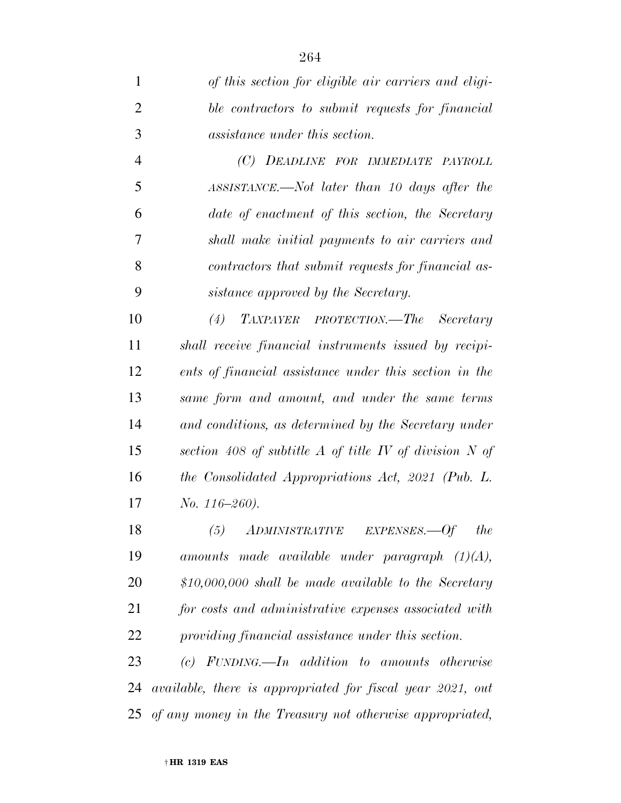*of this section for eligible air carriers and eligi- ble contractors to submit requests for financial assistance under this section.* 

 *(C) DEADLINE FOR IMMEDIATE PAYROLL ASSISTANCE.—Not later than 10 days after the date of enactment of this section, the Secretary shall make initial payments to air carriers and contractors that submit requests for financial as-sistance approved by the Secretary.* 

 *(4) TAXPAYER PROTECTION.—The Secretary shall receive financial instruments issued by recipi- ents of financial assistance under this section in the same form and amount, and under the same terms and conditions, as determined by the Secretary under section 408 of subtitle A of title IV of division N of the Consolidated Appropriations Act, 2021 (Pub. L. No. 116–260).* 

 *(5) ADMINISTRATIVE EXPENSES.—Of the amounts made available under paragraph (1)(A), \$10,000,000 shall be made available to the Secretary for costs and administrative expenses associated with providing financial assistance under this section.* 

 *(c) FUNDING.—In addition to amounts otherwise available, there is appropriated for fiscal year 2021, out of any money in the Treasury not otherwise appropriated,*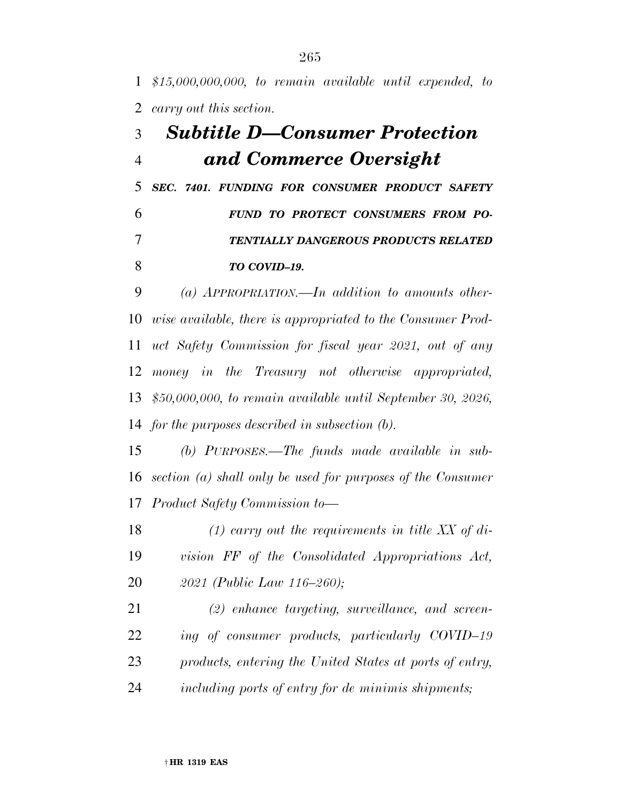*\$15,000,000,000, to remain available until expended, to carry out this section.* 

## *Subtitle D—Consumer Protection and Commerce Oversight*

 *SEC. 7401. FUNDING FOR CONSUMER PRODUCT SAFETY FUND TO PROTECT CONSUMERS FROM PO- TENTIALLY DANGEROUS PRODUCTS RELATED TO COVID–19.* 

 *(a) APPROPRIATION.—In addition to amounts other- wise available, there is appropriated to the Consumer Prod- uct Safety Commission for fiscal year 2021, out of any money in the Treasury not otherwise appropriated, \$50,000,000, to remain available until September 30, 2026, for the purposes described in subsection (b).* 

 *(b) PURPOSES.—The funds made available in sub- section (a) shall only be used for purposes of the Consumer Product Safety Commission to—* 

 *(1) carry out the requirements in title XX of di- vision FF of the Consolidated Appropriations Act, 2021 (Public Law 116–260);* 

 *(2) enhance targeting, surveillance, and screen- ing of consumer products, particularly COVID–19 products, entering the United States at ports of entry, including ports of entry for de minimis shipments;*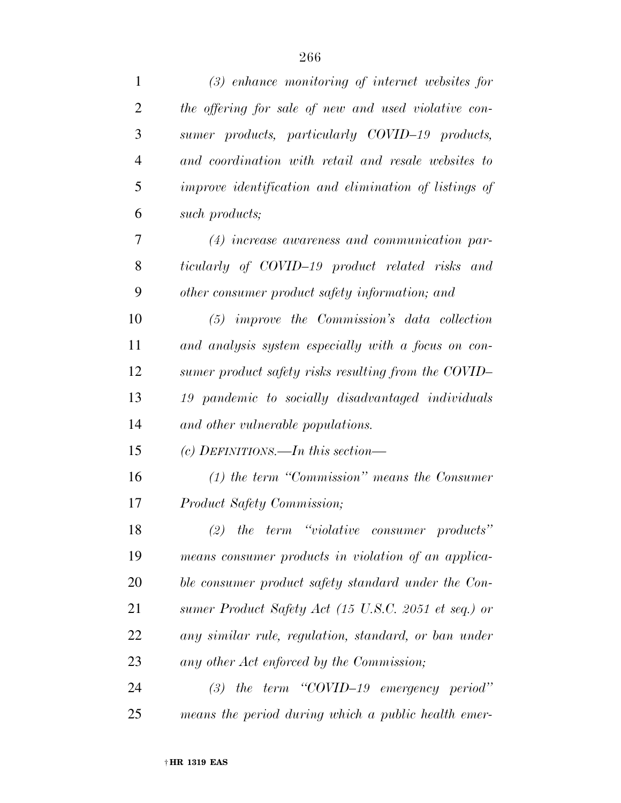| $\mathbf{1}$   | $(3)$ enhance monitoring of internet websites for     |
|----------------|-------------------------------------------------------|
| $\overline{2}$ | the offering for sale of new and used violative con-  |
| 3              | sumer products, particularly COVID-19 products,       |
| $\overline{4}$ | and coordination with retail and resale websites to   |
| 5              | improve identification and elimination of listings of |
| 6              | such products;                                        |
| 7              | $(4)$ increase awareness and communication par-       |
| 8              | ticularly of COVID-19 product related risks and       |
| 9              | other consumer product safety information; and        |
| 10             | $(5)$ improve the Commission's data collection        |
| 11             | and analysis system especially with a focus on con-   |
| 12             | sumer product safety risks resulting from the COVID-  |
| 13             | 19 pandemic to socially disadvantaged individuals     |
| 14             | and other vulnerable populations.                     |
| 15             | (c) DEFINITIONS.—In this section—                     |
| 16             | $(1)$ the term "Commission" means the Consumer        |
| 17             | <i>Product Safety Commission;</i>                     |
| 18             | $(2)$ the term "violative consumer products"          |
| 19             | means consumer products in violation of an applica-   |
| 20             | ble consumer product safety standard under the Con-   |
| 21             | sumer Product Safety Act (15 U.S.C. 2051 et seq.) or  |
| 22             | any similar rule, regulation, standard, or ban under  |
| 23             | any other Act enforced by the Commission;             |
| 24             | $(3)$ the term "COVID-19 emergency period"            |
| 25             | means the period during which a public health emer-   |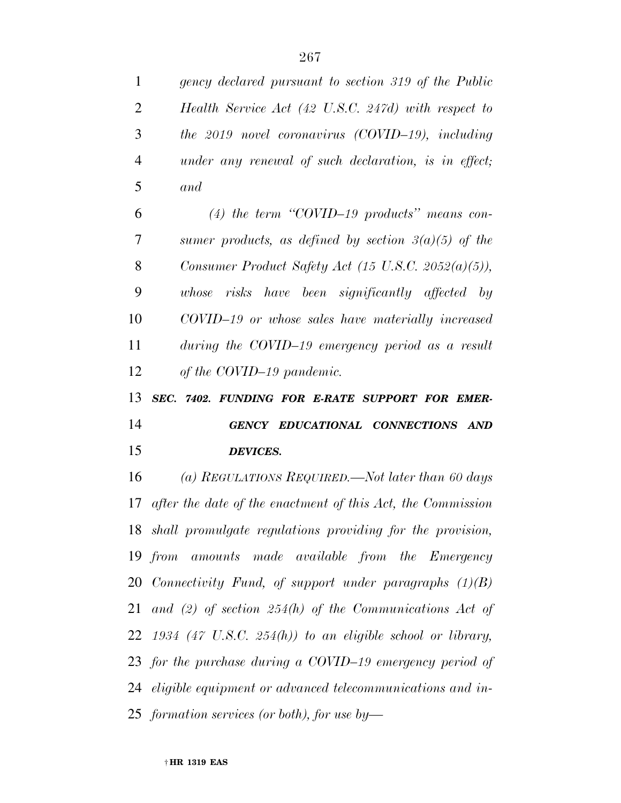| $\mathbf{1}$   | gency declared pursuant to section 319 of the Public           |
|----------------|----------------------------------------------------------------|
| $\overline{2}$ | Health Service Act (42 U.S.C. 247d) with respect to            |
| 3              | the 2019 novel coronavirus (COVID-19), including               |
| $\overline{4}$ | under any renewal of such declaration, is in effect;           |
| 5              | and                                                            |
| 6              | (4) the term "COVID-19 products" means con-                    |
| 7              | sumer products, as defined by section $3(a)(5)$ of the         |
| 8              | Consumer Product Safety Act (15 U.S.C. 2052(a)(5)),            |
| 9              | whose risks have been significantly affected by                |
| 10             | COVID-19 or whose sales have materially increased              |
| 11             | during the COVID-19 emergency period as a result               |
| 12             | of the COVID-19 pandemic.                                      |
|                |                                                                |
| 13             | SEC. 7402. FUNDING FOR E-RATE SUPPORT FOR EMER-                |
| 14             | GENCY EDUCATIONAL CONNECTIONS AND                              |
| 15             | <b>DEVICES.</b>                                                |
| 16             | (a) REGULATIONS REQUIRED.—Not later than 60 days               |
| 17             | after the date of the enactment of this Act, the Commission    |
|                | 18 shall promulgate regulations providing for the provision,   |
|                | 19 from amounts made available from the Emergency              |
|                | 20 Connectivity Fund, of support under paragraphs (1)(B)       |
|                | 21 and (2) of section $254(h)$ of the Communications Act of    |
|                | $22$ 1934 (47 U.S.C. 254(h)) to an eligible school or library, |
|                | 23 for the purchase during a COVID-19 emergency period of      |
|                | 24 eligible equipment or advanced telecommunications and in-   |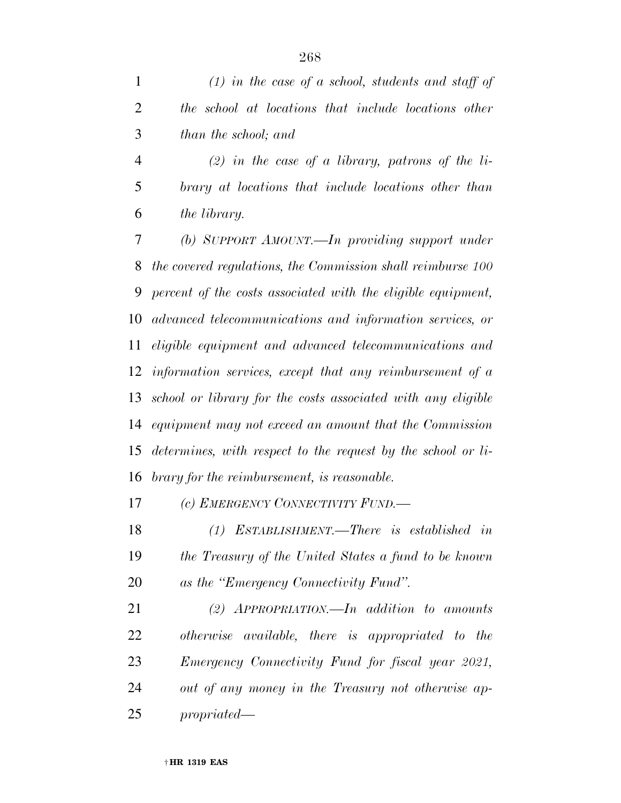|   | $(1)$ in the case of a school, students and staff of |
|---|------------------------------------------------------|
|   | the school at locations that include locations other |
| 3 | than the school; and                                 |

 *(2) in the case of a library, patrons of the li- brary at locations that include locations other than the library.* 

 *(b) SUPPORT AMOUNT.—In providing support under the covered regulations, the Commission shall reimburse 100 percent of the costs associated with the eligible equipment, advanced telecommunications and information services, or eligible equipment and advanced telecommunications and information services, except that any reimbursement of a school or library for the costs associated with any eligible equipment may not exceed an amount that the Commission determines, with respect to the request by the school or li-brary for the reimbursement, is reasonable.* 

*(c) EMERGENCY CONNECTIVITY FUND.—* 

 *(1) ESTABLISHMENT.—There is established in the Treasury of the United States a fund to be known as the ''Emergency Connectivity Fund''.* 

 *(2) APPROPRIATION.—In addition to amounts otherwise available, there is appropriated to the Emergency Connectivity Fund for fiscal year 2021, out of any money in the Treasury not otherwise ap-propriated—*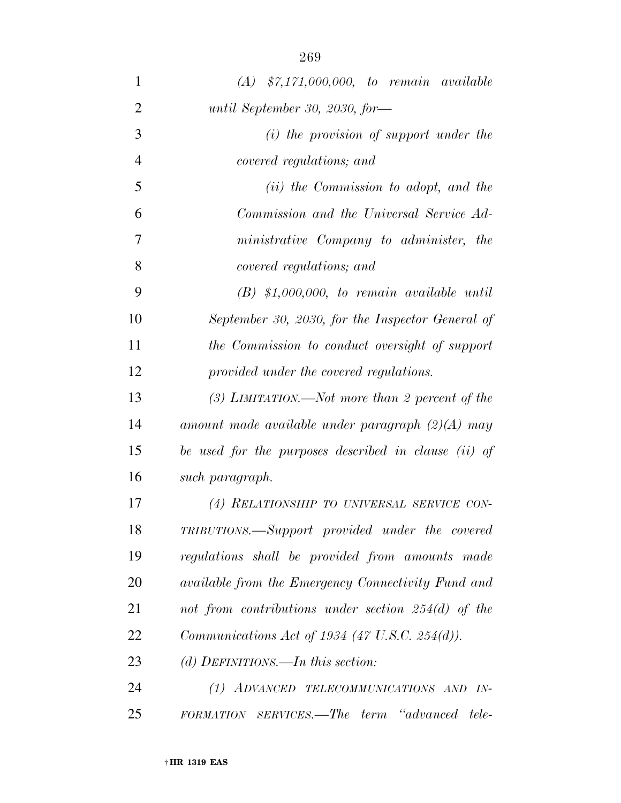| $\mathbf{1}$   | $(A)$ \$7,171,000,000, to remain available            |
|----------------|-------------------------------------------------------|
| $\overline{2}$ | until September 30, 2030, for-                        |
| 3              | $(i)$ the provision of support under the              |
| $\overline{4}$ | covered regulations; and                              |
| 5              | (ii) the Commission to adopt, and the                 |
| 6              | Commission and the Universal Service Ad-              |
| 7              | ministrative Company to administer, the               |
| 8              | covered regulations; and                              |
| 9              | $(B)$ \$1,000,000, to remain available until          |
| 10             | September 30, 2030, for the Inspector General of      |
| 11             | the Commission to conduct oversight of support        |
| 12             | provided under the covered regulations.               |
| 13             | (3) LIMITATION.—Not more than 2 percent of the        |
| 14             | amount made available under paragraph $(2)(A)$ may    |
| 15             | be used for the purposes described in clause (ii) of  |
| 16             | such paragraph.                                       |
| 17             | (4) RELATIONSHIP TO UNIVERSAL SERVICE CON-            |
| 18             | TRIBUTIONS.—Support provided under the covered        |
| 19             | regulations shall be provided from amounts made       |
| 20             | available from the Emergency Connectivity Fund and    |
| 21             | not from contributions under section $254(d)$ of the  |
| 22             | <i>Communications Act of 1934 (47 U.S.C. 254(d)).</i> |
| 23             | (d) DEFINITIONS.—In this section:                     |
| 24             | (1) ADVANCED TELECOMMUNICATIONS AND<br>$IN-$          |
| 25             | FORMATION SERVICES.—The term "advanced"<br>tele-      |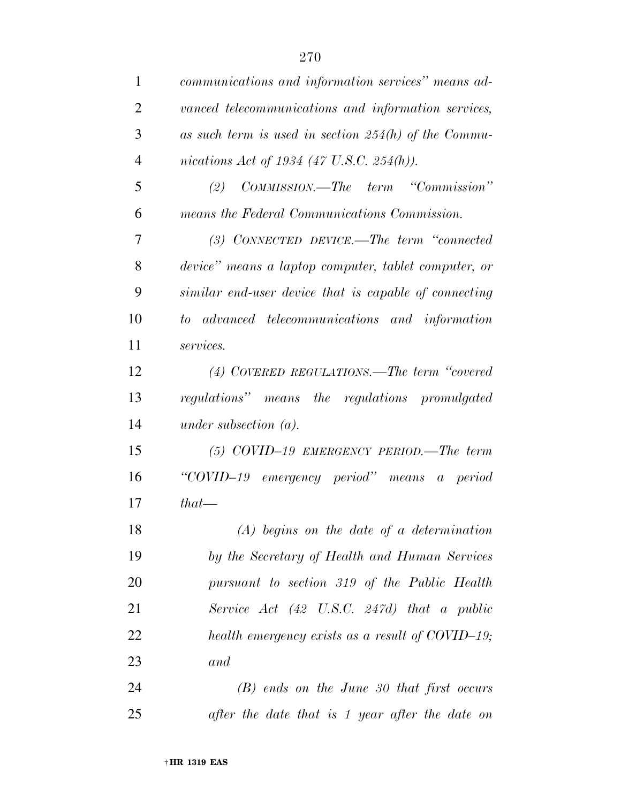| $\mathbf{1}$   | communications and information services" means ad-         |
|----------------|------------------------------------------------------------|
| $\overline{2}$ | vanced telecommunications and information services,        |
| 3              | as such term is used in section $254(h)$ of the Commu-     |
| $\overline{4}$ | nications Act of 1934 (47 U.S.C. 254(h)).                  |
| 5              | COMMISSION.—The term "Commission"<br>(2)                   |
| 6              | means the Federal Communications Commission.               |
| 7              | $(3)$ CONNECTED DEVICE.—The term "connected"               |
| 8              | device" means a laptop computer, tablet computer, or       |
| 9              | similar end-user device that is capable of connecting      |
| 10             | to advanced telecommunications and information             |
| 11             | services.                                                  |
| 12             | (4) COVERED REGULATIONS.—The term "covered                 |
| 13             | regulations" means the regulations promulgated             |
| 14             | under subsection $(a)$ .                                   |
| 15             | $(5)$ COVID-19 EMERGENCY PERIOD.—The term                  |
| 16             | "COVID-19 emergency period" means a period                 |
| 17             | $that$ —                                                   |
| 18             | $(A)$ begins on the date of a determination                |
| 19             | by the Secretary of Health and Human Services              |
| 20             | pursuant to section 319 of the Public Health               |
| 21             | Service Act $(42 \text{ U.S.C. } 247d)$ that a public      |
| 22             | health emergency exists as a result of $\text{COVID-19}$ ; |
| 23             | and                                                        |
| 24             | $(B)$ ends on the June 30 that first occurs                |
| 25             | after the date that is 1 year after the date on            |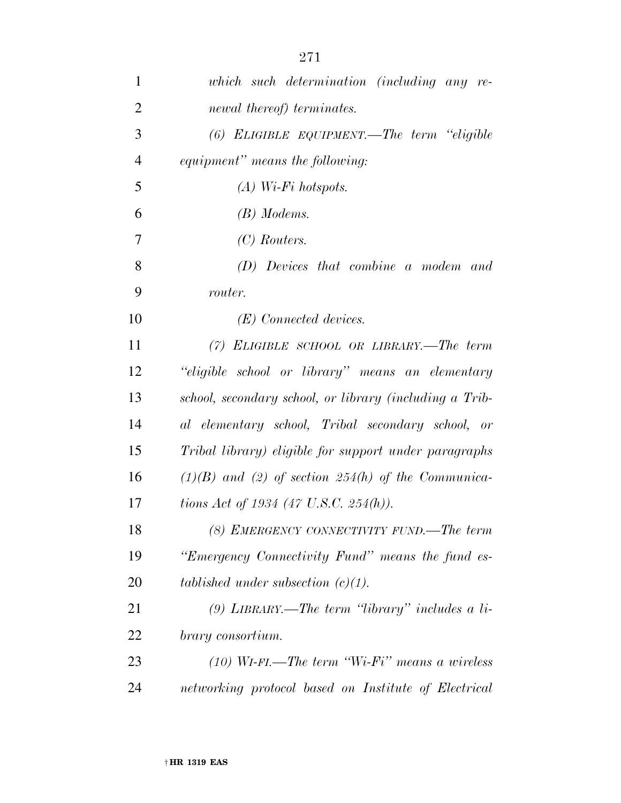| 1              | which such determination (including any re-             |
|----------------|---------------------------------------------------------|
| $\overline{2}$ | newal thereof) terminates.                              |
| 3              | $(6)$ ELIGIBLE EQUIPMENT.—The term "eligible            |
| $\overline{4}$ | equipment" means the following:                         |
| 5              | $(A)$ Wi-Fi hotspots.                                   |
| 6              | $(B)$ Modems.                                           |
| 7              | $(C)$ Routers.                                          |
| 8              | (D) Devices that combine a modem and                    |
| 9              | router.                                                 |
| 10             | (E) Connected devices.                                  |
| 11             | $(7)$ ELIGIBLE SCHOOL OR LIBRARY.—The term              |
| 12             | "eligible school or library" means an elementary        |
| 13             | school, secondary school, or library (including a Trib- |
| 14             | al elementary school, Tribal secondary school, or       |
| 15             | Tribal library) eligible for support under paragraphs   |
| 16             | $(1)(B)$ and (2) of section 254(h) of the Communica-    |
| 17             | tions Act of 1934 (47 U.S.C. 254(h)).                   |
| 18             | (8) EMERGENCY CONNECTIVITY FUND.—The term               |
| 19             | "Emergency Connectivity Fund" means the fund es-        |
| 20             | tablished under subsection $(c)(1)$ .                   |
| 21             | $(9)$ LIBRARY.—The term "library" includes a li-        |
| 22             | brary consortium.                                       |
| 23             | $(10)$ WI-FI.—The term "Wi-Fi" means a wireless         |
| 24             | networking protocol based on Institute of Electrical    |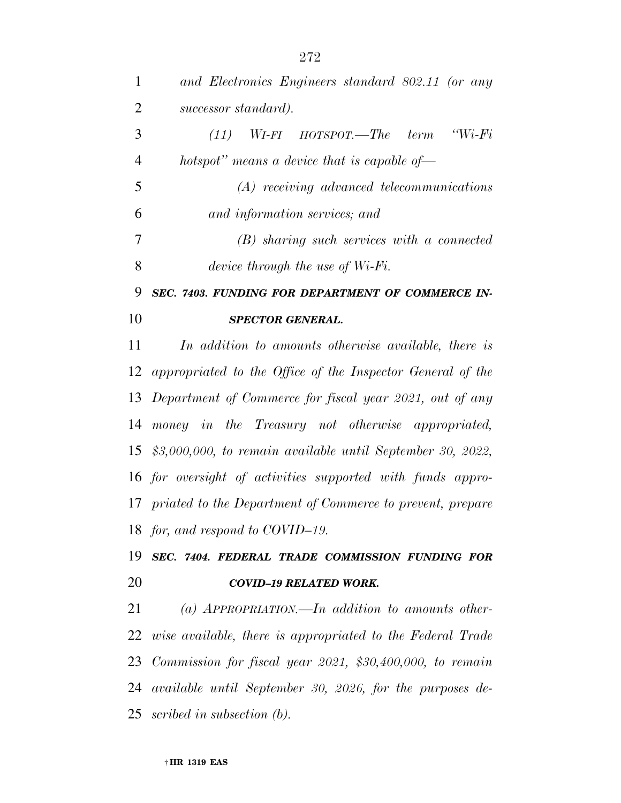| $\mathbf{1}$   | and Electronics Engineers standard 802.11 (or any             |
|----------------|---------------------------------------------------------------|
| $\overline{2}$ | successor standard).                                          |
| 3              | $W_i-F_i$<br>$WI$ -FI HOTSPOT.—The<br>term<br>(11)            |
| $\overline{4}$ | hotspot" means a device that is capable of-                   |
| 5              | $(A)$ receiving advanced telecommunications                   |
| 6              | and information services; and                                 |
| 7              | $(B)$ sharing such services with a connected                  |
| 8              | device through the use of $Wi$ - $Fi$ .                       |
| 9              | SEC. 7403. FUNDING FOR DEPARTMENT OF COMMERCE IN-             |
| 10             | SPECTOR GENERAL.                                              |
| 11             | In addition to amounts otherwise available, there is          |
|                | 12 appropriated to the Office of the Inspector General of the |
|                | 13 Department of Commerce for fiscal year 2021, out of any    |
| 14             | money in the Treasury not otherwise appropriated,             |
| 15             | $$3,000,000,$ to remain available until September 30, 2022,   |
|                | 16 for oversight of activities supported with funds appro-    |
|                | 17 priated to the Department of Commerce to prevent, prepare  |
|                | 18 for, and respond to COVID-19.                              |
| 19             | SEC. 7404. FEDERAL TRADE COMMISSION FUNDING FOR               |
| 20             | <b>COVID-19 RELATED WORK.</b>                                 |
| 21             | (a) APPROPRIATION.—In addition to amounts other-              |
|                | 22 wise available, there is appropriated to the Federal Trade |
|                |                                                               |

 *available until September 30, 2026, for the purposes de-scribed in subsection (b).* 

*Commission for fiscal year 2021, \$30,400,000, to remain*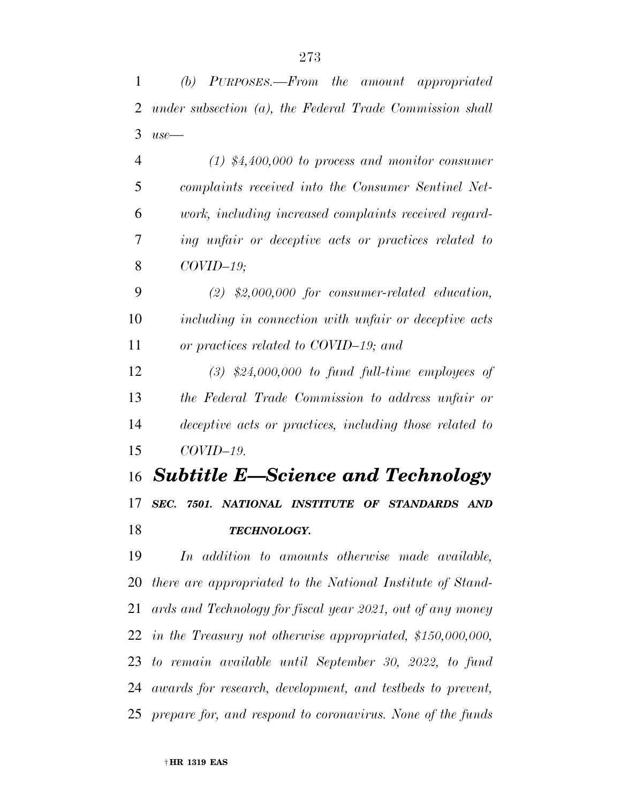*(b) PURPOSES.—From the amount appropriated* 

 *under subsection (a), the Federal Trade Commission shall use— (1) \$4,400,000 to process and monitor consumer complaints received into the Consumer Sentinel Net- work, including increased complaints received regard- ing unfair or deceptive acts or practices related to COVID–19; (2) \$2,000,000 for consumer-related education, including in connection with unfair or deceptive acts or practices related to COVID–19; and (3) \$24,000,000 to fund full-time employees of the Federal Trade Commission to address unfair or deceptive acts or practices, including those related to COVID–19. Subtitle E—Science and Technology SEC. 7501. NATIONAL INSTITUTE OF STANDARDS AND TECHNOLOGY. In addition to amounts otherwise made available, there are appropriated to the National Institute of Stand- ards and Technology for fiscal year 2021, out of any money in the Treasury not otherwise appropriated, \$150,000,000, to remain available until September 30, 2022, to fund awards for research, development, and testbeds to prevent, prepare for, and respond to coronavirus. None of the funds*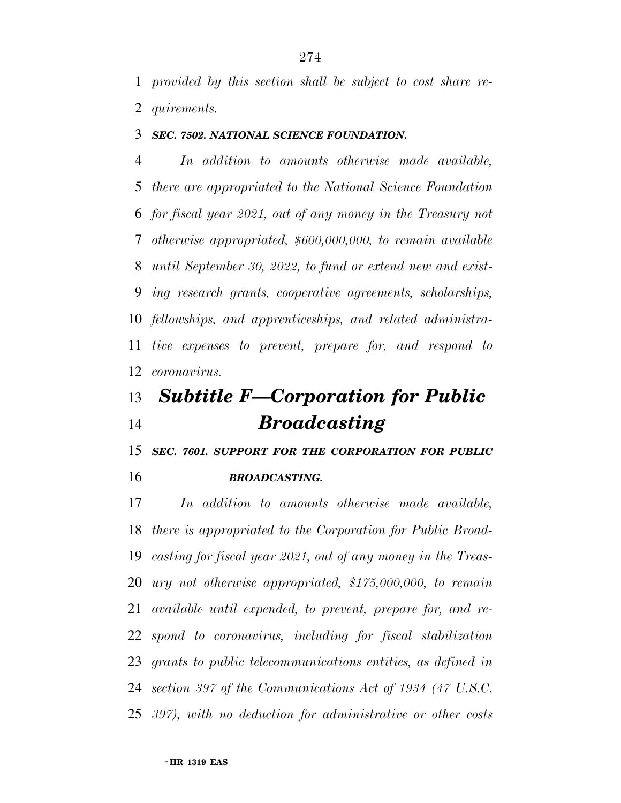*provided by this section shall be subject to cost share re-quirements.* 

#### *SEC. 7502. NATIONAL SCIENCE FOUNDATION.*

 *In addition to amounts otherwise made available, there are appropriated to the National Science Foundation for fiscal year 2021, out of any money in the Treasury not otherwise appropriated, \$600,000,000, to remain available until September 30, 2022, to fund or extend new and exist- ing research grants, cooperative agreements, scholarships, fellowships, and apprenticeships, and related administra- tive expenses to prevent, prepare for, and respond to coronavirus.* 

# *Subtitle F—Corporation for Public Broadcasting*

*SEC. 7601. SUPPORT FOR THE CORPORATION FOR PUBLIC* 

*BROADCASTING.* 

 *In addition to amounts otherwise made available, there is appropriated to the Corporation for Public Broad- casting for fiscal year 2021, out of any money in the Treas- ury not otherwise appropriated, \$175,000,000, to remain available until expended, to prevent, prepare for, and re- spond to coronavirus, including for fiscal stabilization grants to public telecommunications entities, as defined in section 397 of the Communications Act of 1934 (47 U.S.C. 397), with no deduction for administrative or other costs*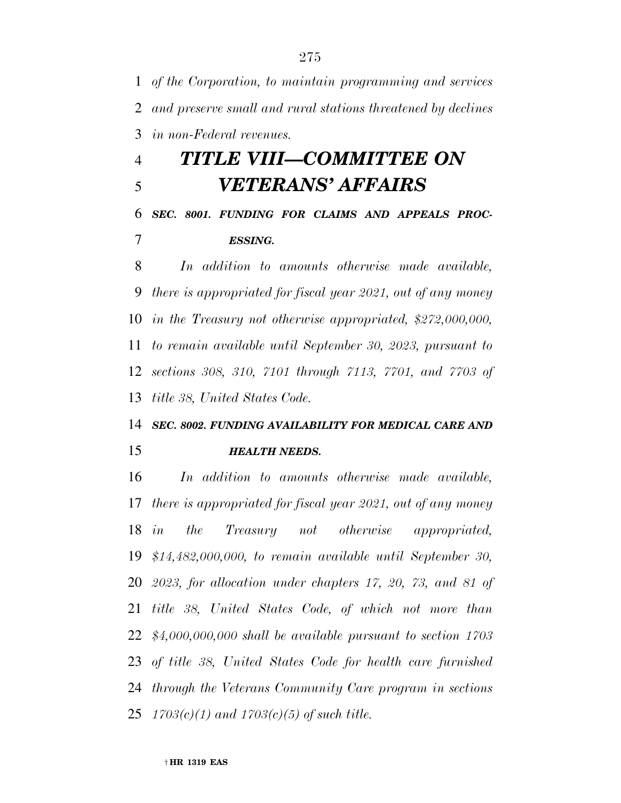*of the Corporation, to maintain programming and services and preserve small and rural stations threatened by declines in non-Federal revenues.* 

# *TITLE VIII—COMMITTEE ON VETERANS' AFFAIRS*

### *SEC. 8001. FUNDING FOR CLAIMS AND APPEALS PROC-ESSING.*

 *In addition to amounts otherwise made available, there is appropriated for fiscal year 2021, out of any money in the Treasury not otherwise appropriated, \$272,000,000, to remain available until September 30, 2023, pursuant to sections 308, 310, 7101 through 7113, 7701, and 7703 of title 38, United States Code.* 

### *SEC. 8002. FUNDING AVAILABILITY FOR MEDICAL CARE AND*

### *HEALTH NEEDS.*

 *In addition to amounts otherwise made available, there is appropriated for fiscal year 2021, out of any money in the Treasury not otherwise appropriated, \$14,482,000,000, to remain available until September 30, 2023, for allocation under chapters 17, 20, 73, and 81 of title 38, United States Code, of which not more than \$4,000,000,000 shall be available pursuant to section 1703 of title 38, United States Code for health care furnished through the Veterans Community Care program in sections 1703(c)(1) and 1703(c)(5) of such title.*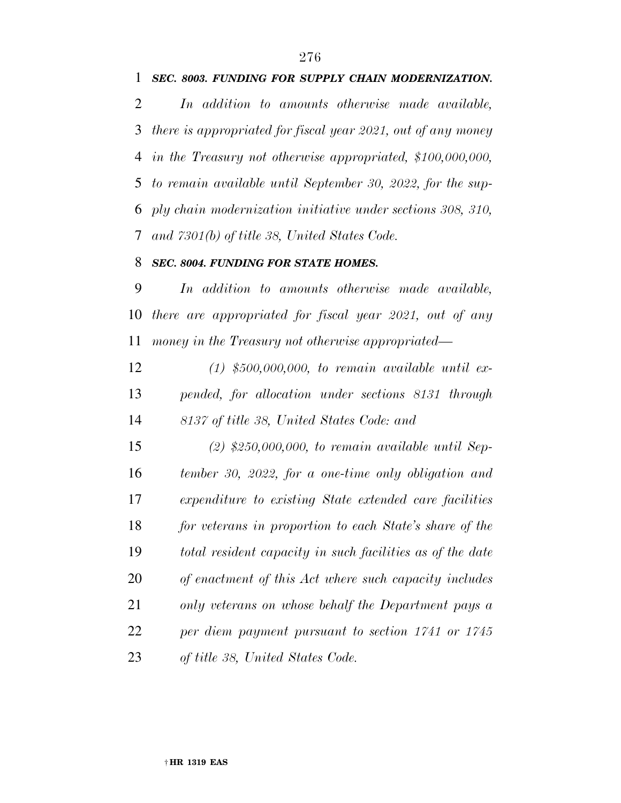#### *SEC. 8003. FUNDING FOR SUPPLY CHAIN MODERNIZATION.*

 *In addition to amounts otherwise made available, there is appropriated for fiscal year 2021, out of any money in the Treasury not otherwise appropriated, \$100,000,000, to remain available until September 30, 2022, for the sup- ply chain modernization initiative under sections 308, 310, and 7301(b) of title 38, United States Code.* 

#### *SEC. 8004. FUNDING FOR STATE HOMES.*

 *In addition to amounts otherwise made available, there are appropriated for fiscal year 2021, out of any money in the Treasury not otherwise appropriated—* 

 *(1) \$500,000,000, to remain available until ex- pended, for allocation under sections 8131 through 8137 of title 38, United States Code: and* 

 *(2) \$250,000,000, to remain available until Sep- tember 30, 2022, for a one-time only obligation and expenditure to existing State extended care facilities for veterans in proportion to each State's share of the total resident capacity in such facilities as of the date of enactment of this Act where such capacity includes only veterans on whose behalf the Department pays a per diem payment pursuant to section 1741 or 1745 of title 38, United States Code.*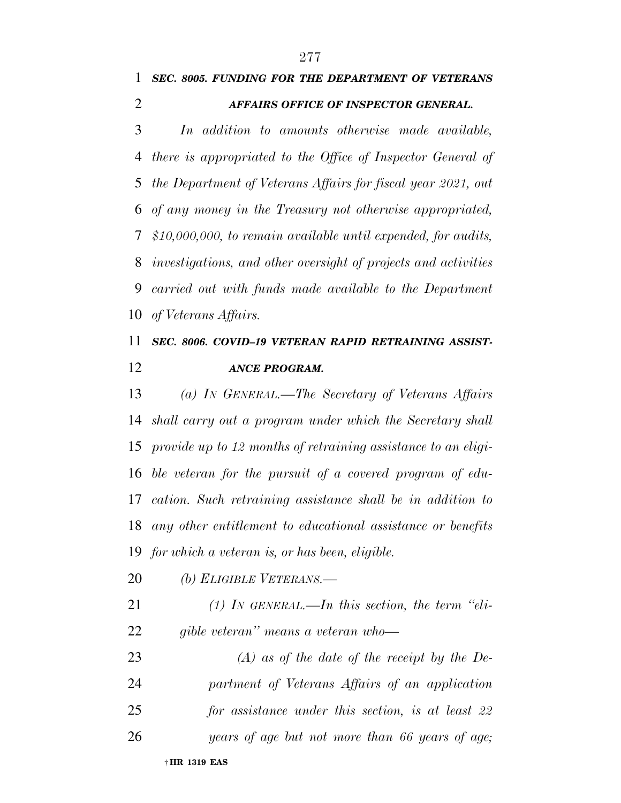*SEC. 8005. FUNDING FOR THE DEPARTMENT OF VETERANS* 

*AFFAIRS OFFICE OF INSPECTOR GENERAL.* 

 *In addition to amounts otherwise made available, there is appropriated to the Office of Inspector General of the Department of Veterans Affairs for fiscal year 2021, out of any money in the Treasury not otherwise appropriated, \$10,000,000, to remain available until expended, for audits, investigations, and other oversight of projects and activities carried out with funds made available to the Department of Veterans Affairs.* 

### *SEC. 8006. COVID–19 VETERAN RAPID RETRAINING ASSIST-ANCE PROGRAM.*

 *(a) IN GENERAL.—The Secretary of Veterans Affairs shall carry out a program under which the Secretary shall provide up to 12 months of retraining assistance to an eligi- ble veteran for the pursuit of a covered program of edu- cation. Such retraining assistance shall be in addition to any other entitlement to educational assistance or benefits for which a veteran is, or has been, eligible.* 

- *(b) ELIGIBLE VETERANS.—*
- *(1) IN GENERAL.—In this section, the term ''eli-gible veteran'' means a veteran who—*

 *(A) as of the date of the receipt by the De- partment of Veterans Affairs of an application for assistance under this section, is at least 22 years of age but not more than 66 years of age;*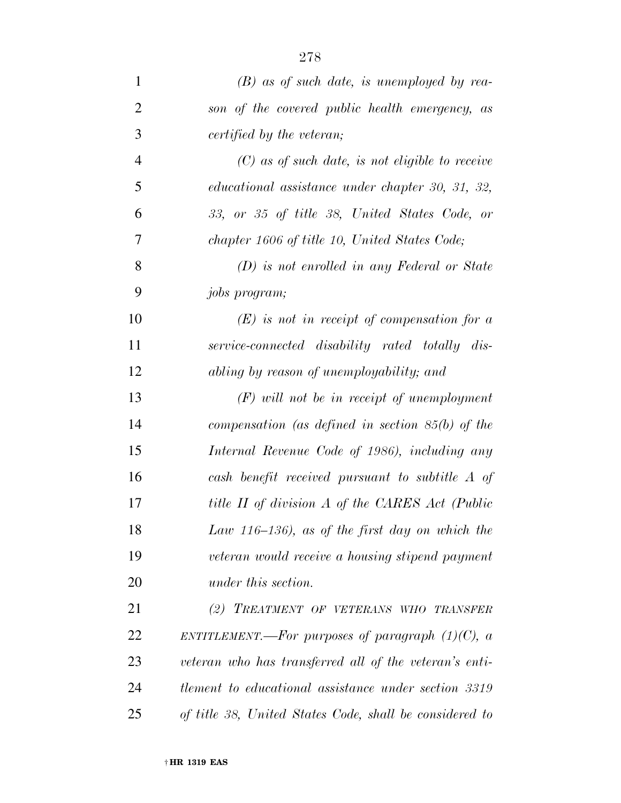| $\mathbf{1}$   | $(B)$ as of such date, is unemployed by rea-                |
|----------------|-------------------------------------------------------------|
| $\overline{2}$ | son of the covered public health emergency, as              |
| 3              | certified by the veteran;                                   |
| $\overline{4}$ | $(C)$ as of such date, is not eligible to receive           |
| 5              | educational assistance under chapter 30, 31, 32,            |
| 6              | 33, or 35 of title 38, United States Code, or               |
| 7              | chapter 1606 of title 10, United States Code;               |
| 8              | $(D)$ is not enrolled in any Federal or State               |
| 9              | <i>jobs program;</i>                                        |
| 10             | $(E)$ is not in receipt of compensation for a               |
| 11             | service-connected disability rated totally dis-             |
| 12             | abling by reason of unemployability; and                    |
| 13             | $(F)$ will not be in receipt of unemployment                |
| 14             | compensation (as defined in section $85(b)$ of the          |
| 15             | Internal Revenue Code of 1986), including any               |
| 16             | cash benefit received pursuant to subtitle A of             |
| 17             | title II of division A of the CARES Act (Public             |
| 18             | Law 116–136), as of the first day on which the              |
| 19             | veteran would receive a housing stipend payment             |
| 20             | under this section.                                         |
| 21             | (2) TREATMENT OF VETERANS WHO TRANSFER                      |
| 22             | ENTITLEMENT.—For purposes of paragraph $(1)(C)$ , a         |
| 23             | veteran who has transferred all of the veteran's enti-      |
| 24             | <i>tlement to educational assistance under section 3319</i> |
| 25             | of title 38, United States Code, shall be considered to     |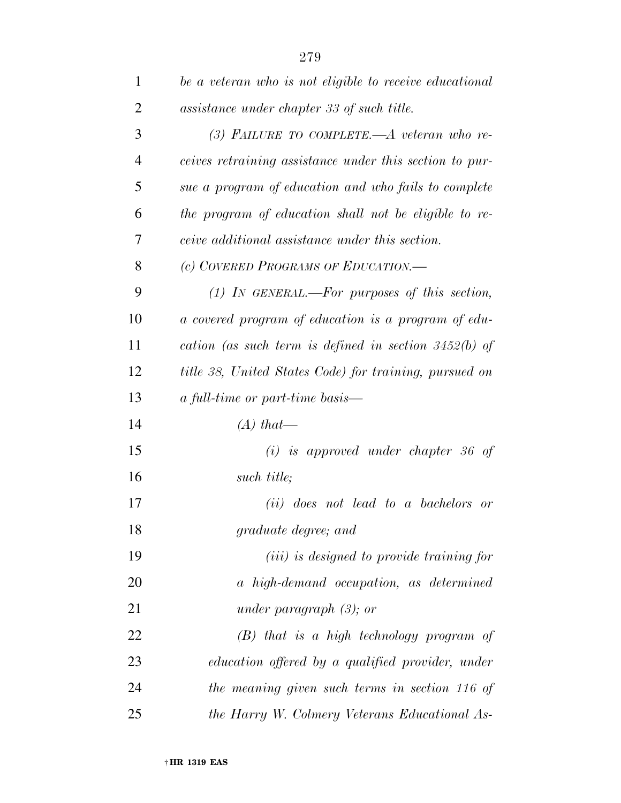| $\mathbf{1}$   | be a veteran who is not eligible to receive educational |
|----------------|---------------------------------------------------------|
| $\overline{2}$ | assistance under chapter 33 of such title.              |
| 3              | $(3)$ FAILURE TO COMPLETE.— $A$ veteran who re-         |
| $\overline{4}$ | ceives retraining assistance under this section to pur- |
| 5              | sue a program of education and who fails to complete    |
| 6              | the program of education shall not be eligible to re-   |
| 7              | ceive additional assistance under this section.         |
| 8              | (c) COVERED PROGRAMS OF EDUCATION.                      |
| 9              | $(1)$ IN GENERAL.—For purposes of this section,         |
| 10             | a covered program of education is a program of edu-     |
| 11             | cation (as such term is defined in section $3452(b)$ of |
| 12             | title 38, United States Code) for training, pursued on  |
| 13             | <i>a full-time or part-time basis—</i>                  |
| 14             | $(A)$ that—                                             |
| 15             | $(i)$ is approved under chapter 36 of                   |
| 16             | such title;                                             |
| 17             | ( <i>ii</i> ) does not lead to a bachelors or           |
| 18             | graduate degree; and                                    |
| 19             | ( <i>iii</i> ) is designed to provide training for      |
| 20             | a high-demand occupation, as determined                 |
| 21             | under paragraph $(3)$ ; or                              |
| 22             | $(B)$ that is a high technology program of              |
| 23             | education offered by a qualified provider, under        |
| 24             | the meaning given such terms in section 116 of          |
| 25             | the Harry W. Colmery Veterans Educational As-           |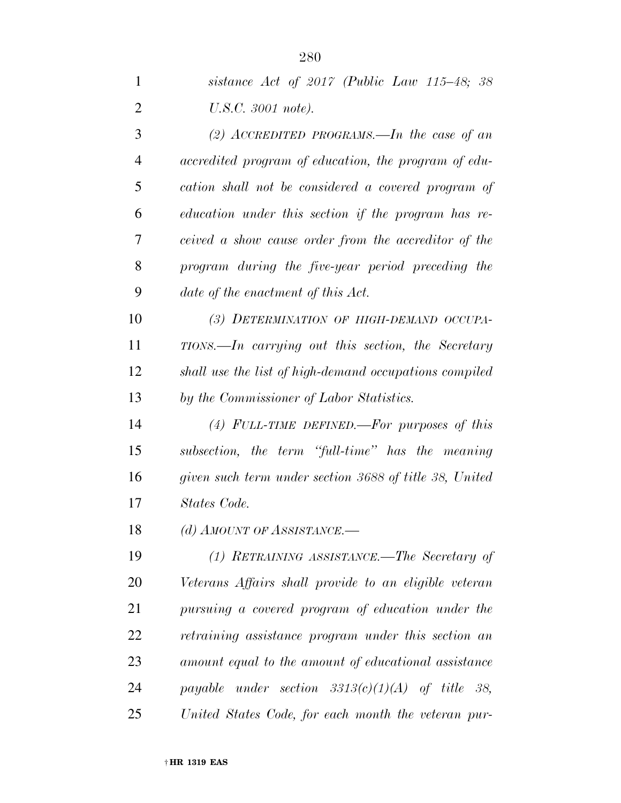| 1  | sistance Act of $2017$ (Public Law 115–48; 38          |
|----|--------------------------------------------------------|
| 2  | U.S.C. 3001 note).                                     |
| 3  | (2) ACCREDITED PROGRAMS.—In the case of an             |
| 4  | accredited program of education, the program of edu-   |
| 5  | cation shall not be considered a covered program of    |
| 6  | education under this section if the program has re-    |
| 7  | ceived a show cause order from the accreditor of the   |
| 8  | program during the five-year period preceding the      |
| 9  | date of the enactment of this Act.                     |
| 10 | (3) DETERMINATION OF HIGH-DEMAND OCCUPA-               |
| 11 | $TIONS. - In carrying out this section, the Secretary$ |
| 12 | shall use the list of high-demand occupations compiled |
| 13 | by the Commissioner of Labor Statistics.               |
| 14 | (4) FULL-TIME DEFINED.—For purposes of this            |
| 15 | subsection, the term "full-time" has the meaning       |
| 16 | given such term under section 3688 of title 38, United |
| 17 | States Code.                                           |
| 18 | (d) AMOUNT OF ASSISTANCE.-                             |
| 19 | (1) RETRAINING ASSISTANCE.—The Secretary of            |
| 20 | Veterans Affairs shall provide to an eligible veteran  |
| 21 | pursuing a covered program of education under the      |
| 22 | retraining assistance program under this section an    |
| 23 | amount equal to the amount of educational assistance   |
| 24 | payable under section $3313(c)(1)(A)$ of title 38,     |
| 25 | United States Code, for each month the veteran pur-    |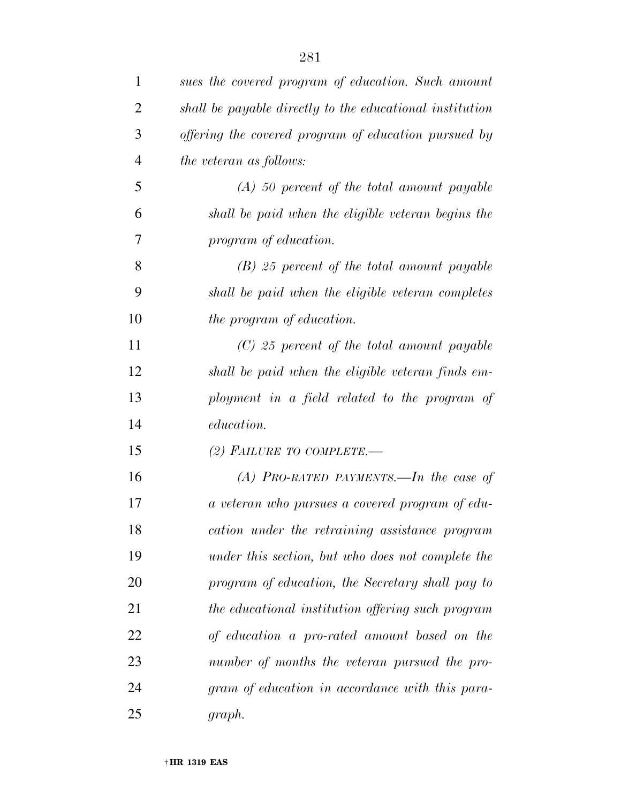| $\mathbf{1}$   | sues the covered program of education. Such amount       |
|----------------|----------------------------------------------------------|
| $\overline{2}$ | shall be payable directly to the educational institution |
| 3              | offering the covered program of education pursued by     |
| $\overline{4}$ | the veteran as follows:                                  |
| 5              | $(A)$ 50 percent of the total amount payable             |
| 6              | shall be paid when the eligible veteran begins the       |
| 7              | program of education.                                    |
| 8              | $(B)$ 25 percent of the total amount payable             |
| 9              | shall be paid when the eligible veteran completes        |
| 10             | the program of education.                                |
| 11             | $(C)$ 25 percent of the total amount payable             |
| 12             | shall be paid when the eligible veteran finds em-        |
| 13             | ployment in a field related to the program of            |
| 14             | education.                                               |
| 15             | (2) FAILURE TO COMPLETE.—                                |
| 16             | $(A)$ PRO-RATED PAYMENTS.—In the case of                 |
| 17             | a veteran who pursues a covered program of edu-          |
| 18             | cation under the retraining assistance program           |
| 19             | under this section, but who does not complete the        |
| 20             | program of education, the Secretary shall pay to         |
| 21             | the educational institution offering such program        |
| 22             | of education a pro-rated amount based on the             |
| 23             | number of months the veteran pursued the pro-            |
| 24             | gram of education in accordance with this para-          |
| 25             | graph.                                                   |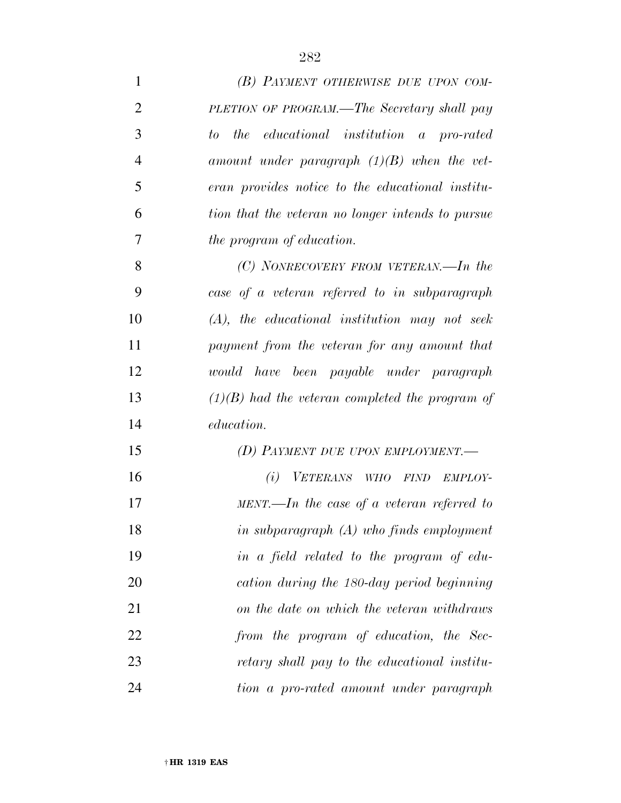| $\mathbf{1}$   | (B) PAYMENT OTHERWISE DUE UPON COM-                     |
|----------------|---------------------------------------------------------|
| $\overline{2}$ | PLETION OF PROGRAM.—The Secretary shall pay             |
| 3              | educational institution a pro-rated<br><i>the</i><br>to |
| $\overline{4}$ | amount under paragraph $(1)(B)$ when the vet-           |
| 5              | eran provides notice to the educational institu-        |
| 6              | tion that the veteran no longer intends to pursue       |
| 7              | the program of education.                               |
| 8              | $(C)$ NONRECOVERY FROM VETERAN.—In the                  |
| 9              | case of a veteran referred to in subparagraph           |
| 10             | $(A)$ , the educational institution may not seek        |
| 11             | payment from the veteran for any amount that            |
| 12             | would have been payable under paragraph                 |
| 13             | $(1)(B)$ had the veteran completed the program of       |
| 14             | <i>education.</i>                                       |
| 15             | (D) PAYMENT DUE UPON EMPLOYMENT.—                       |
| 16             | (i)<br>VETERANS WHO FIND<br>EMPLOY-                     |
| 17             | $MENT.$ —In the case of a veteran referred to           |
| 18             | in subparagraph $(A)$ who finds employment              |
| 19             | in a field related to the program of edu-               |
| 20             | cation during the 180-day period beginning              |
| 21             | on the date on which the veteran withdraws              |
| 22             | from the program of education, the Sec-                 |
| 23             | retary shall pay to the educational institu-            |
| 24             | tion a pro-rated amount under paragraph                 |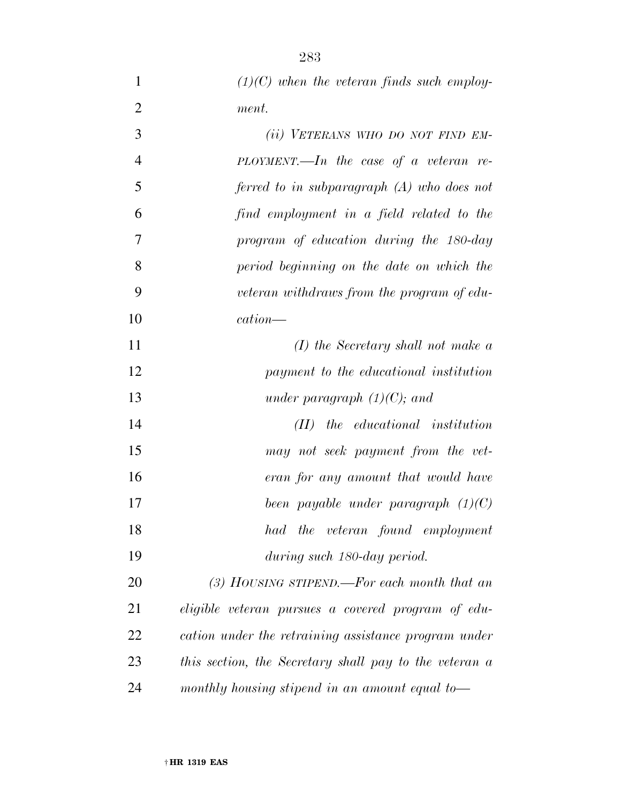|                | $(1)(C)$ when the veteran finds such employ- |
|----------------|----------------------------------------------|
| 2              | ment.                                        |
| 3              | (ii) VETERANS WHO DO NOT FIND EM-            |
| $\overline{4}$ | $PLOYMENT.$ The case of a veteran re-        |
| 5              | ferred to in subparagraph $(A)$ who does not |
| 6              | find employment in a field related to the    |
| 7              | program of education during the 180-day      |
| 8              | period beginning on the date on which the    |

- *veteran withdraws from the program of edu-cation—*
- *(I) the Secretary shall not make a payment to the educational institution under paragraph (1)(C); and*
- *(II) the educational institution may not seek payment from the vet- eran for any amount that would have been payable under paragraph (1)(C) had the veteran found employment during such 180-day period.*

 *(3) HOUSING STIPEND.—For each month that an eligible veteran pursues a covered program of edu- cation under the retraining assistance program under this section, the Secretary shall pay to the veteran a monthly housing stipend in an amount equal to—*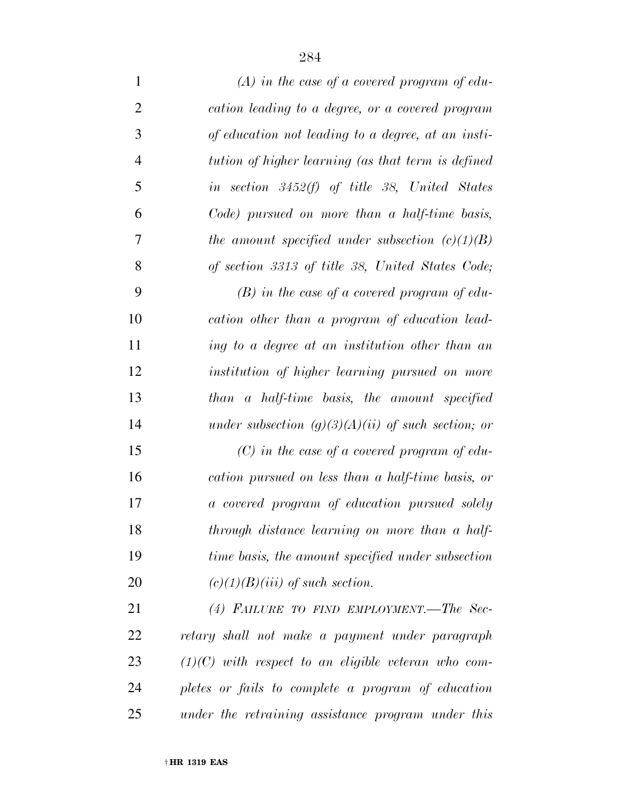| $\mathbf{1}$   | $(A)$ in the case of a covered program of edu-        |
|----------------|-------------------------------------------------------|
| $\overline{2}$ | cation leading to a degree, or a covered program      |
| 3              | of education not leading to a degree, at an insti-    |
| $\overline{4}$ | tution of higher learning (as that term is defined    |
| 5              | in section $3452(f)$ of title 38, United States       |
| 6              | Code) pursued on more than a half-time basis,         |
| 7              | the amount specified under subsection $(c)(1)(B)$     |
| 8              | of section 3313 of title 38, United States Code;      |
| 9              | $(B)$ in the case of a covered program of edu-        |
| 10             | cation other than a program of education lead-        |
| 11             | ing to a degree at an institution other than an       |
| 12             | institution of higher learning pursued on more        |
| 13             | than a half-time basis, the amount specified          |
| 14             | under subsection $(g)(3)(A)(ii)$ of such section; or  |
| 15             | $(C)$ in the case of a covered program of edu-        |
| 16             | cation pursued on less than a half-time basis, or     |
| 17             | a covered program of education pursued solely         |
| 18             | through distance learning on more than a half-        |
| 19             | time basis, the amount specified under subsection     |
| 20             | $(c)(1)(B)(iii)$ of such section.                     |
| 21             | (4) FAILURE TO FIND EMPLOYMENT.-The Sec-              |
| 22             | retary shall not make a payment under paragraph       |
| 23             | $(1)(C)$ with respect to an eligible veteran who com- |
| 24             | pletes or fails to complete a program of education    |

*under the retraining assistance program under this*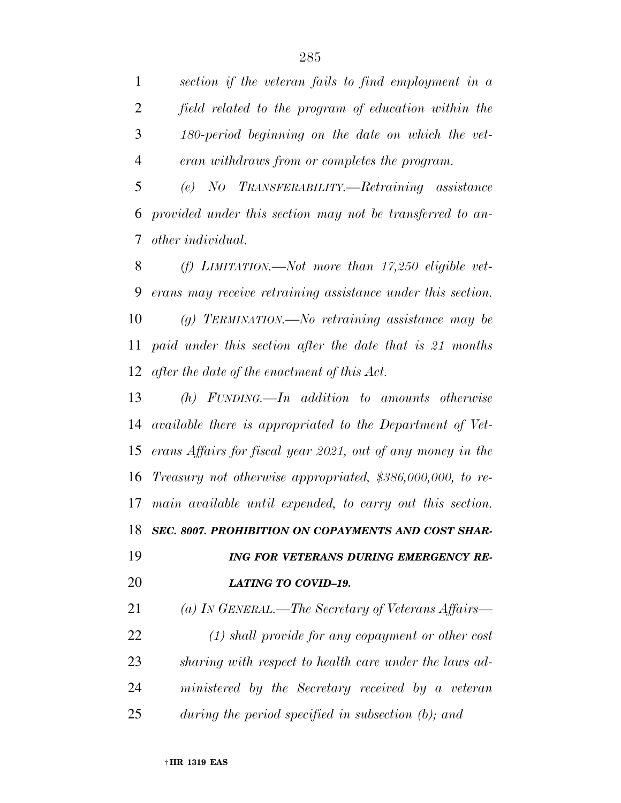*section if the veteran fails to find employment in a field related to the program of education within the 180-period beginning on the date on which the vet-eran withdraws from or completes the program.* 

 *(e) NO TRANSFERABILITY.—Retraining assistance provided under this section may not be transferred to an-other individual.* 

 *(f) LIMITATION.—Not more than 17,250 eligible vet- erans may receive retraining assistance under this section. (g) TERMINATION.—No retraining assistance may be paid under this section after the date that is 21 months after the date of the enactment of this Act.* 

 *(h) FUNDING.—In addition to amounts otherwise available there is appropriated to the Department of Vet- erans Affairs for fiscal year 2021, out of any money in the Treasury not otherwise appropriated, \$386,000,000, to re- main available until expended, to carry out this section. SEC. 8007. PROHIBITION ON COPAYMENTS AND COST SHAR-*

 *ING FOR VETERANS DURING EMERGENCY RE-LATING TO COVID–19.* 

 *(a) IN GENERAL.—The Secretary of Veterans Affairs— (1) shall provide for any copayment or other cost sharing with respect to health care under the laws ad- ministered by the Secretary received by a veteran during the period specified in subsection (b); and*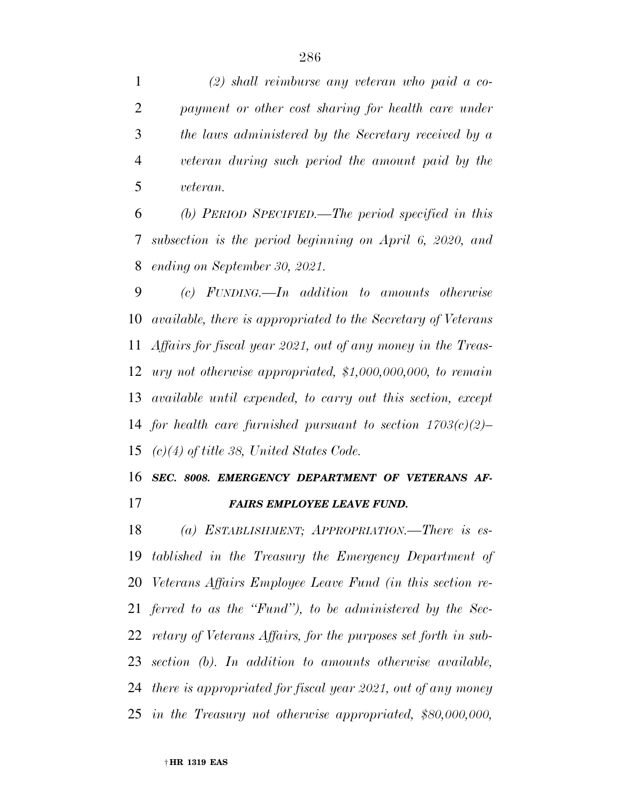*(2) shall reimburse any veteran who paid a co- payment or other cost sharing for health care under the laws administered by the Secretary received by a veteran during such period the amount paid by the veteran.* 

 *(b) PERIOD SPECIFIED.—The period specified in this subsection is the period beginning on April 6, 2020, and ending on September 30, 2021.* 

 *(c) FUNDING.—In addition to amounts otherwise available, there is appropriated to the Secretary of Veterans Affairs for fiscal year 2021, out of any money in the Treas- ury not otherwise appropriated, \$1,000,000,000, to remain available until expended, to carry out this section, except for health care furnished pursuant to section 1703(c)(2)– (c)(4) of title 38, United States Code.* 

## *SEC. 8008. EMERGENCY DEPARTMENT OF VETERANS AF-*

*FAIRS EMPLOYEE LEAVE FUND.* 

 *(a) ESTABLISHMENT; APPROPRIATION.—There is es- tablished in the Treasury the Emergency Department of Veterans Affairs Employee Leave Fund (in this section re- ferred to as the ''Fund''), to be administered by the Sec- retary of Veterans Affairs, for the purposes set forth in sub- section (b). In addition to amounts otherwise available, there is appropriated for fiscal year 2021, out of any money in the Treasury not otherwise appropriated, \$80,000,000,*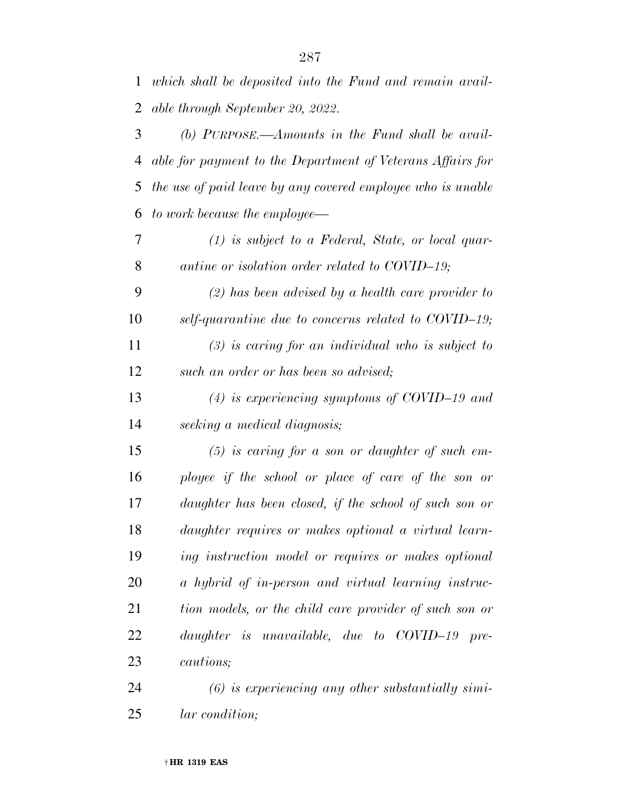*which shall be deposited into the Fund and remain avail-able through September 20, 2022.* 

 *(b) PURPOSE.—Amounts in the Fund shall be avail- able for payment to the Department of Veterans Affairs for the use of paid leave by any covered employee who is unable to work because the employee—* 

 *(1) is subject to a Federal, State, or local quar-antine or isolation order related to COVID–19;* 

 *(2) has been advised by a health care provider to self-quarantine due to concerns related to COVID–19; (3) is caring for an individual who is subject to such an order or has been so advised;* 

*(4) is experiencing symptoms of COVID–19 and* 

*seeking a medical diagnosis;* 

 *(5) is caring for a son or daughter of such em- ployee if the school or place of care of the son or daughter has been closed, if the school of such son or daughter requires or makes optional a virtual learn- ing instruction model or requires or makes optional a hybrid of in-person and virtual learning instruc- tion models, or the child care provider of such son or daughter is unavailable, due to COVID–19 pre-cautions;* 

 *(6) is experiencing any other substantially simi-lar condition;*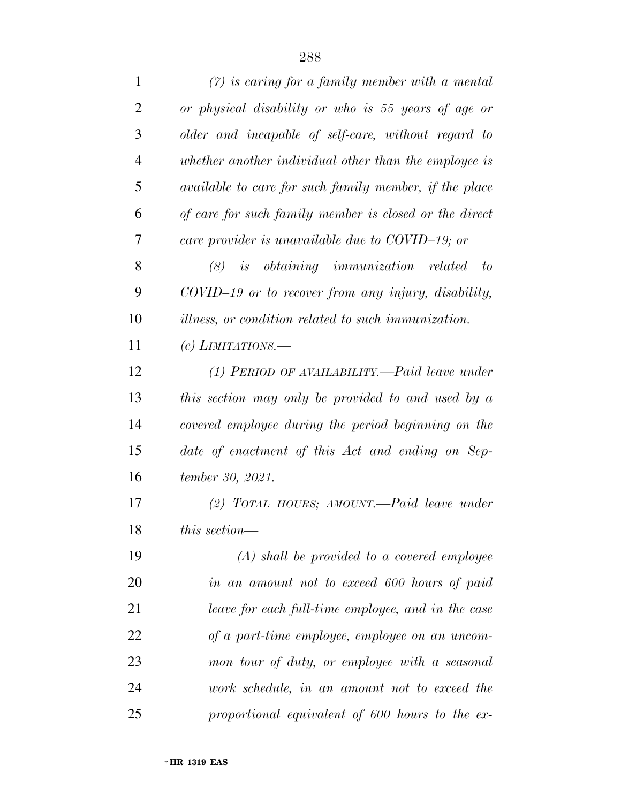| $\mathbf{1}$   | $(7)$ is caring for a family member with a mental          |
|----------------|------------------------------------------------------------|
| $\overline{2}$ | or physical disability or who is 55 years of age or        |
| 3              | older and incapable of self-care, without regard to        |
| $\overline{4}$ | whether another individual other than the employee is      |
| 5              | available to care for such family member, if the place     |
| 6              | of care for such family member is closed or the direct     |
| 7              | care provider is unavailable due to COVID-19; or           |
| 8              | $(8)$ is obtaining immunization related to                 |
| 9              | COVID-19 or to recover from any injury, disability,        |
| 10             | <i>illness, or condition related to such immunization.</i> |
| 11             | (c) LIMITATIONS.—                                          |
| 12             | $(1)$ PERIOD OF AVAILABILITY.—Paid leave under             |
| 13             | this section may only be provided to and used by a         |
| 14             | covered employee during the period beginning on the        |
| 15             | date of enactment of this Act and ending on Sep-           |
| 16             | tember 30, 2021.                                           |
| 17             | $(2)$ TOTAL HOURS; AMOUNT.—Paid leave under                |
| 18             | this section—                                              |
| 19             | $(A)$ shall be provided to a covered employee              |
| 20             | in an amount not to exceed 600 hours of paid               |
| 21             | leave for each full-time employee, and in the case         |
| 22             | of a part-time employee, employee on an uncom-             |
| 23             | mon tour of duty, or employee with a seasonal              |
| 24             | work schedule, in an amount not to exceed the              |
| 25             | proportional equivalent of 600 hours to the ex-            |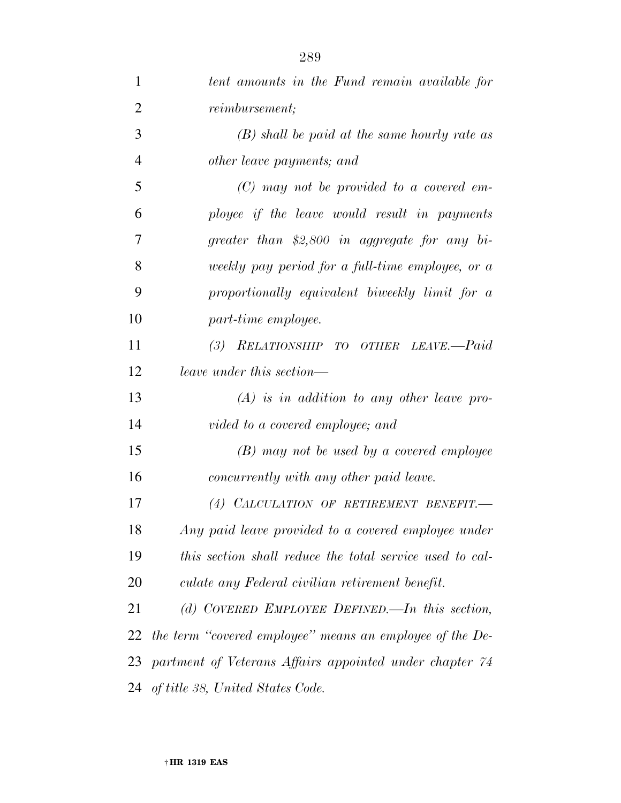| 1              | tent amounts in the Fund remain available for            |
|----------------|----------------------------------------------------------|
| $\overline{2}$ | <i>reimbursement</i> ;                                   |
| 3              | $(B)$ shall be paid at the same hourly rate as           |
| $\overline{4}$ | other leave payments; and                                |
| 5              | $(C)$ may not be provided to a covered em-               |
| 6              | ployee if the leave would result in payments             |
| 7              | greater than \$2,800 in aggregate for any bi-            |
| 8              | weekly pay period for a full-time employee, or a         |
| 9              | proportionally equivalent biweekly limit for a           |
| 10             | part-time employee.                                      |
| 11             | (3)<br>RELATIONSHIP TO OTHER LEAVE.-Paid                 |
| 12             | leave under this section—                                |
| 13             | $(A)$ is in addition to any other leave pro-             |
| 14             | vided to a covered employee; and                         |
| 15             | (B) may not be used by a covered employee                |
| 16             | concurrently with any other paid leave.                  |
| 17             | (4) CALCULATION OF RETIREMENT BENEFIT.                   |
| 18             | Any paid leave provided to a covered employee under      |
| 19             | this section shall reduce the total service used to cal- |
| 20             | culate any Federal civilian retirement benefit.          |
| 21             | (d) COVERED EMPLOYEE DEFINED.—In this section,           |
| 22             | the term "covered employee" means an employee of the De- |
| 23             | partment of Veterans Affairs appointed under chapter 74  |
|                | 24 of title 38, United States Code.                      |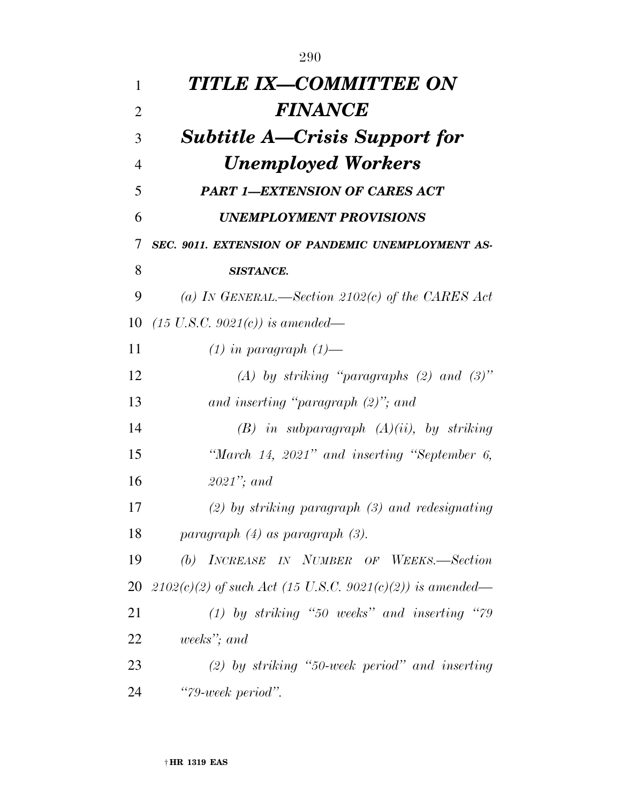| 1              | TITLE IX—COMMITTEE ON                                       |
|----------------|-------------------------------------------------------------|
| $\overline{2}$ | <b>FINANCE</b>                                              |
| 3              | <b>Subtitle A—Crisis Support for</b>                        |
| $\overline{4}$ | <b>Unemployed Workers</b>                                   |
| 5              | <b>PART 1-EXTENSION OF CARES ACT</b>                        |
| 6              | <b>UNEMPLOYMENT PROVISIONS</b>                              |
| 7              | SEC. 9011. EXTENSION OF PANDEMIC UNEMPLOYMENT AS-           |
| 8              | <b>SISTANCE.</b>                                            |
| 9              | (a) IN GENERAL.—Section 2102(c) of the CARES Act            |
| 10             | $(15 \text{ U.S.C. } 9021(c))$ is amended—                  |
| 11             | $(1)$ in paragraph $(1)$ —                                  |
| 12             | (A) by striking "paragraphs (2) and $(3)$ "                 |
| 13             | and inserting "paragraph $(2)$ "; and                       |
| 14             | $(B)$ in subparagraph $(A)(ii)$ , by striking               |
| 15             | "March $14$ , $2021$ " and inserting "September 6,          |
| 16             | $2021$ "; and                                               |
| 17             | $(2)$ by striking paragraph $(3)$ and redesignating         |
| 18             | paragraph $(4)$ as paragraph $(3)$ .                        |
| 19             | INCREASE IN NUMBER OF WEEKS.-Section<br>(b)                 |
| 20             | $2102(c)(2)$ of such Act (15 U.S.C. 9021(c)(2)) is amended— |
| 21             | $(1)$ by striking "50 weeks" and inserting "79              |
| 22             | weeks"; and                                                 |
| 23             | $(2)$ by striking "50-week period" and inserting            |
| 24             | "79-week period".                                           |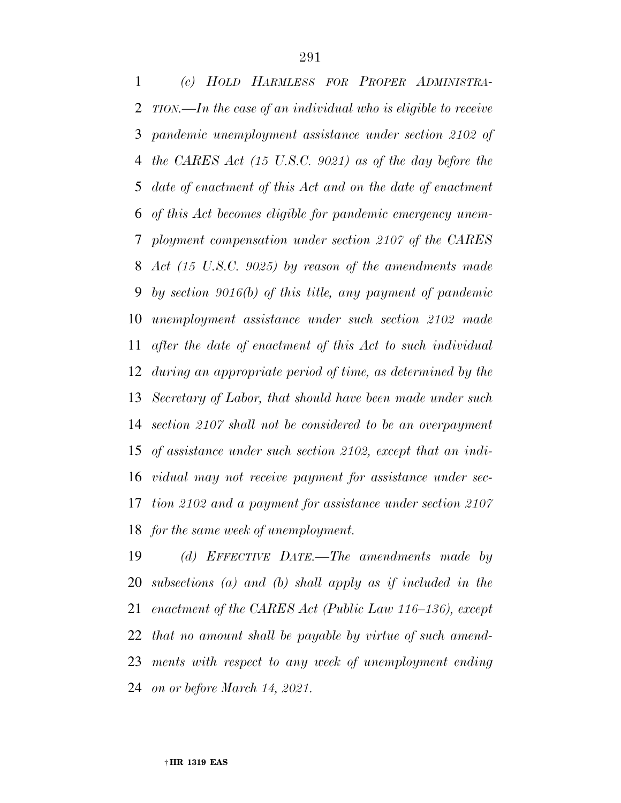*(c) HOLD HARMLESS FOR PROPER ADMINISTRA- TION.—In the case of an individual who is eligible to receive pandemic unemployment assistance under section 2102 of the CARES Act (15 U.S.C. 9021) as of the day before the date of enactment of this Act and on the date of enactment of this Act becomes eligible for pandemic emergency unem- ployment compensation under section 2107 of the CARES Act (15 U.S.C. 9025) by reason of the amendments made by section 9016(b) of this title, any payment of pandemic unemployment assistance under such section 2102 made after the date of enactment of this Act to such individual during an appropriate period of time, as determined by the Secretary of Labor, that should have been made under such section 2107 shall not be considered to be an overpayment of assistance under such section 2102, except that an indi- vidual may not receive payment for assistance under sec- tion 2102 and a payment for assistance under section 2107 for the same week of unemployment.* 

 *(d) EFFECTIVE DATE.—The amendments made by subsections (a) and (b) shall apply as if included in the enactment of the CARES Act (Public Law 116–136), except that no amount shall be payable by virtue of such amend- ments with respect to any week of unemployment ending on or before March 14, 2021.*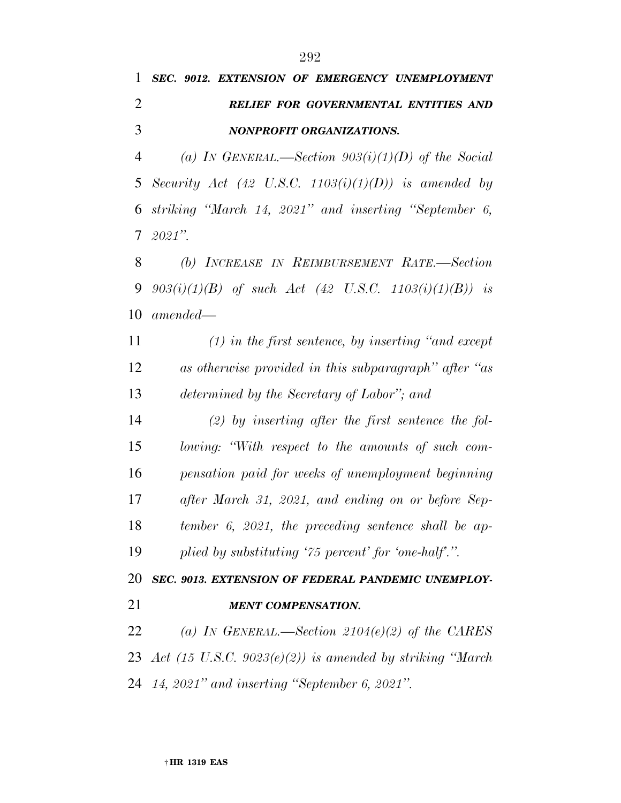## *SEC. 9012. EXTENSION OF EMERGENCY UNEMPLOYMENT RELIEF FOR GOVERNMENTAL ENTITIES AND NONPROFIT ORGANIZATIONS.*

 *(a) IN GENERAL.—Section 903(i)(1)(D) of the Social Security Act (42 U.S.C. 1103(i)(1)(D)) is amended by striking ''March 14, 2021'' and inserting ''September 6, 2021''.* 

 *(b) INCREASE IN REIMBURSEMENT RATE.—Section 903(i)(1)(B) of such Act (42 U.S.C. 1103(i)(1)(B)) is amended—* 

 *(1) in the first sentence, by inserting ''and except as otherwise provided in this subparagraph'' after ''as determined by the Secretary of Labor''; and* 

 *(2) by inserting after the first sentence the fol- lowing: ''With respect to the amounts of such com- pensation paid for weeks of unemployment beginning after March 31, 2021, and ending on or before Sep- tember 6, 2021, the preceding sentence shall be ap-plied by substituting '75 percent' for 'one-half'.''.* 

*SEC. 9013. EXTENSION OF FEDERAL PANDEMIC UNEMPLOY-*

*MENT COMPENSATION.* 

 *(a) IN GENERAL.—Section 2104(e)(2) of the CARES Act (15 U.S.C. 9023(e)(2)) is amended by striking ''March 14, 2021'' and inserting ''September 6, 2021''.*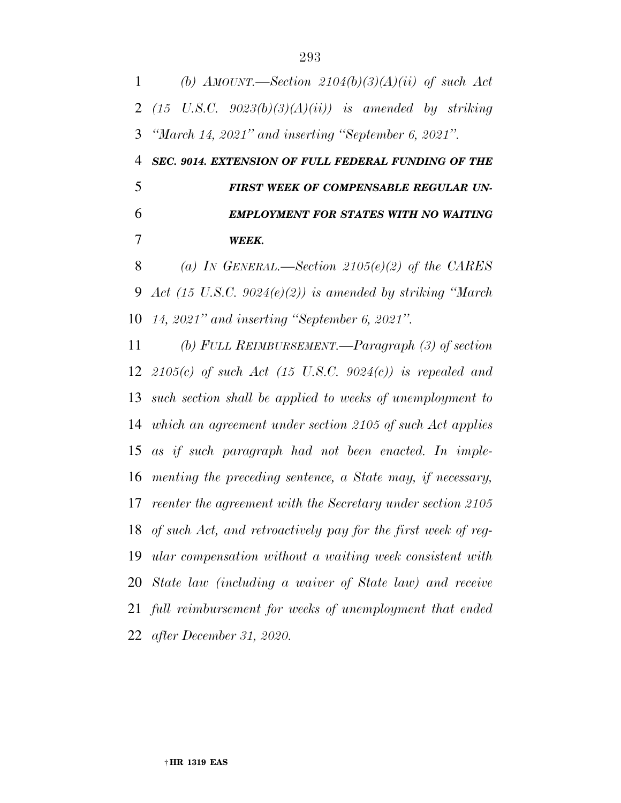*(b) AMOUNT.—Section 2104(b)(3)(A)(ii) of such Act (15 U.S.C. 9023(b)(3)(A)(ii)) is amended by striking ''March 14, 2021'' and inserting ''September 6, 2021''.* 

 *SEC. 9014. EXTENSION OF FULL FEDERAL FUNDING OF THE FIRST WEEK OF COMPENSABLE REGULAR UN- EMPLOYMENT FOR STATES WITH NO WAITING WEEK.* 

 *(a) IN GENERAL.—Section 2105(e)(2) of the CARES Act (15 U.S.C. 9024(e)(2)) is amended by striking ''March 14, 2021'' and inserting ''September 6, 2021''.* 

 *(b) FULL REIMBURSEMENT.—Paragraph (3) of section 2105(c) of such Act (15 U.S.C. 9024(c)) is repealed and such section shall be applied to weeks of unemployment to which an agreement under section 2105 of such Act applies as if such paragraph had not been enacted. In imple- menting the preceding sentence, a State may, if necessary, reenter the agreement with the Secretary under section 2105 of such Act, and retroactively pay for the first week of reg- ular compensation without a waiting week consistent with State law (including a waiver of State law) and receive full reimbursement for weeks of unemployment that ended after December 31, 2020.*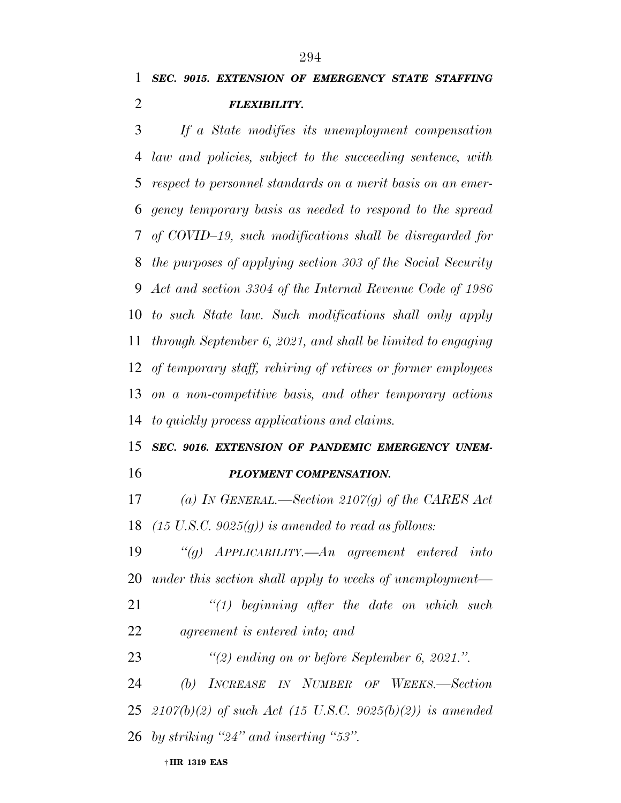*If a State modifies its unemployment compensation law and policies, subject to the succeeding sentence, with respect to personnel standards on a merit basis on an emer- gency temporary basis as needed to respond to the spread of COVID–19, such modifications shall be disregarded for the purposes of applying section 303 of the Social Security Act and section 3304 of the Internal Revenue Code of 1986 to such State law. Such modifications shall only apply through September 6, 2021, and shall be limited to engaging of temporary staff, rehiring of retirees or former employees on a non-competitive basis, and other temporary actions to quickly process applications and claims.* 

## *SEC. 9016. EXTENSION OF PANDEMIC EMERGENCY UNEM-*

*PLOYMENT COMPENSATION.* 

 *(a) IN GENERAL.—Section 2107(g) of the CARES Act (15 U.S.C. 9025(g)) is amended to read as follows:* 

 *''(g) APPLICABILITY.—An agreement entered into under this section shall apply to weeks of unemployment—* 

 *''(1) beginning after the date on which such agreement is entered into; and* 

*''(2) ending on or before September 6, 2021.''.* 

 *(b) INCREASE IN NUMBER OF WEEKS.—Section 2107(b)(2) of such Act (15 U.S.C. 9025(b)(2)) is amended by striking ''24'' and inserting ''53''.*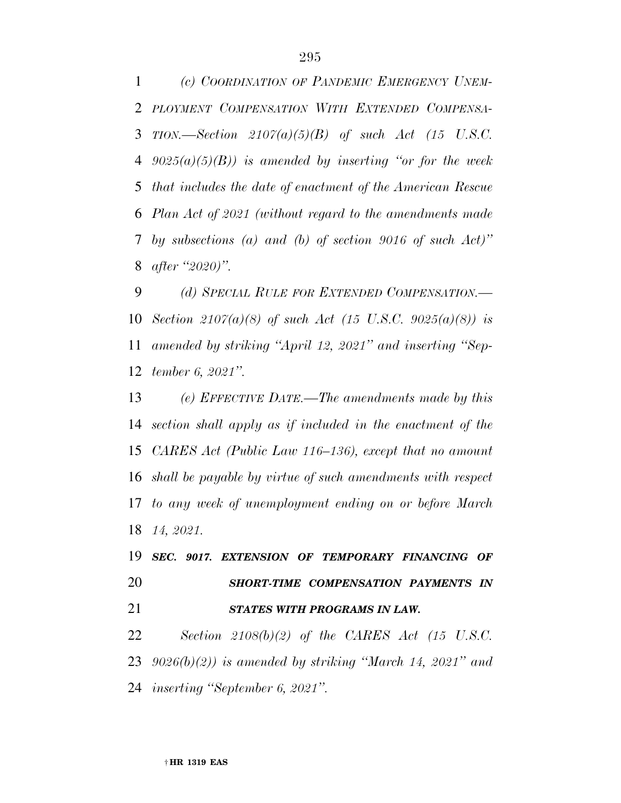*(c) COORDINATION OF PANDEMIC EMERGENCY UNEM- PLOYMENT COMPENSATION WITH EXTENDED COMPENSA- TION.—Section 2107(a)(5)(B) of such Act (15 U.S.C. 9025(a)(5)(B)) is amended by inserting ''or for the week that includes the date of enactment of the American Rescue Plan Act of 2021 (without regard to the amendments made by subsections (a) and (b) of section 9016 of such Act)'' after ''2020)''.* 

 *(d) SPECIAL RULE FOR EXTENDED COMPENSATION.— Section 2107(a)(8) of such Act (15 U.S.C. 9025(a)(8)) is amended by striking ''April 12, 2021'' and inserting ''Sep-tember 6, 2021''.* 

 *(e) EFFECTIVE DATE.—The amendments made by this section shall apply as if included in the enactment of the CARES Act (Public Law 116–136), except that no amount shall be payable by virtue of such amendments with respect to any week of unemployment ending on or before March 14, 2021.* 

 *SEC. 9017. EXTENSION OF TEMPORARY FINANCING OF SHORT-TIME COMPENSATION PAYMENTS IN STATES WITH PROGRAMS IN LAW.* 

 *Section 2108(b)(2) of the CARES Act (15 U.S.C. 9026(b)(2)) is amended by striking ''March 14, 2021'' and inserting ''September 6, 2021''.*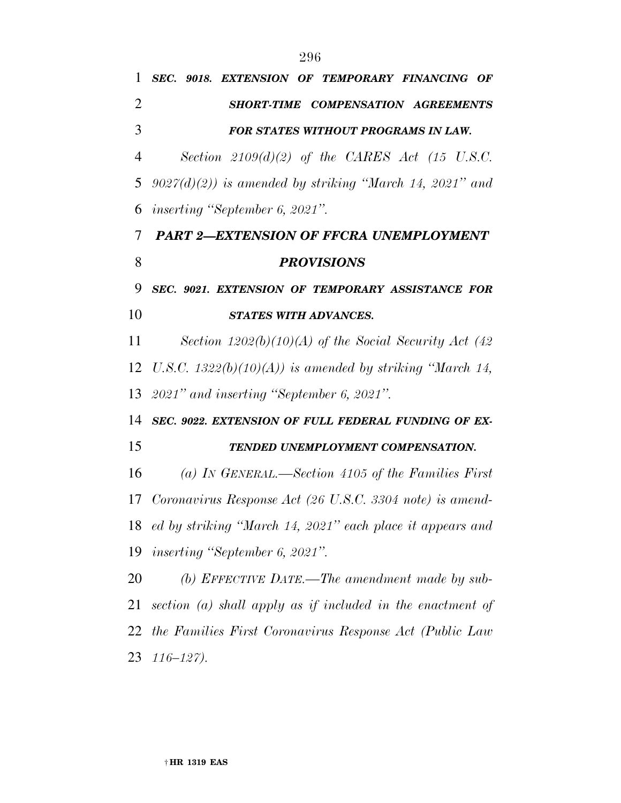| 1              | SEC. 9018. EXTENSION OF TEMPORARY FINANCING OF               |
|----------------|--------------------------------------------------------------|
| $\overline{2}$ | SHORT-TIME COMPENSATION AGREEMENTS                           |
| 3              | <b>FOR STATES WITHOUT PROGRAMS IN LAW.</b>                   |
| 4              | Section $2109(d)(2)$ of the CARES Act (15 U.S.C.             |
| 5              | $9027(d)(2)$ is amended by striking "March 14, 2021" and     |
| 6              | <i>inserting</i> "September 6, 2021".                        |
| 7              | <b>PART 2-EXTENSION OF FFCRA UNEMPLOYMENT</b>                |
| 8              | <b>PROVISIONS</b>                                            |
| 9              | SEC. 9021. EXTENSION OF TEMPORARY ASSISTANCE FOR             |
| 10             | STATES WITH ADVANCES.                                        |
| 11             | Section $1202(b)(10)(A)$ of the Social Security Act (42)     |
| 12             | U.S.C. 1322(b)(10)(A)) is amended by striking "March 14,     |
|                | 13 2021" and inserting "September 6, 2021".                  |
| 14             | SEC. 9022. EXTENSION OF FULL FEDERAL FUNDING OF EX-          |
| 15             | TENDED UNEMPLOYMENT COMPENSATION.                            |
| 16             | (a) IN GENERAL.—Section 4105 of the Families First           |
| 17             | Coronavirus Response Act (26 U.S.C. 3304 note) is amend-     |
|                | 18 ed by striking "March 14, 2021" each place it appears and |
|                | 19 inserting "September 6, 2021".                            |
| 20             | (b) EFFECTIVE DATE.—The amendment made by sub-               |
| 21             | section (a) shall apply as if included in the enactment of   |
|                | 22 the Families First Coronavirus Response Act (Public Law   |
|                |                                                              |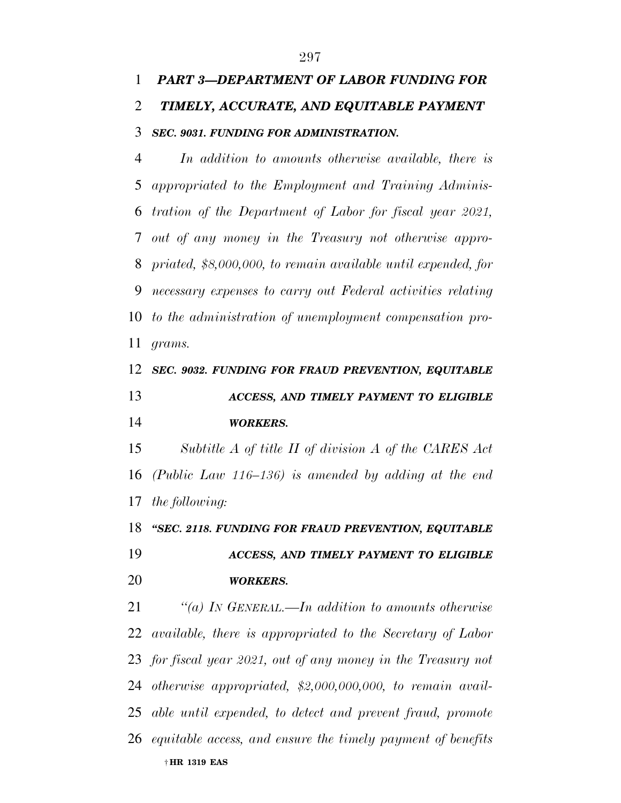## *PART 3—DEPARTMENT OF LABOR FUNDING FOR TIMELY, ACCURATE, AND EQUITABLE PAYMENT SEC. 9031. FUNDING FOR ADMINISTRATION.*

 *In addition to amounts otherwise available, there is appropriated to the Employment and Training Adminis- tration of the Department of Labor for fiscal year 2021, out of any money in the Treasury not otherwise appro- priated, \$8,000,000, to remain available until expended, for necessary expenses to carry out Federal activities relating to the administration of unemployment compensation pro-grams.* 

### *SEC. 9032. FUNDING FOR FRAUD PREVENTION, EQUITABLE ACCESS, AND TIMELY PAYMENT TO ELIGIBLE WORKERS.*

 *Subtitle A of title II of division A of the CARES Act (Public Law 116–136) is amended by adding at the end the following:* 

 *''SEC. 2118. FUNDING FOR FRAUD PREVENTION, EQUITABLE ACCESS, AND TIMELY PAYMENT TO ELIGIBLE WORKERS.* 

† **HR 1319 EAS**  *''(a) IN GENERAL.—In addition to amounts otherwise available, there is appropriated to the Secretary of Labor for fiscal year 2021, out of any money in the Treasury not otherwise appropriated, \$2,000,000,000, to remain avail- able until expended, to detect and prevent fraud, promote equitable access, and ensure the timely payment of benefits*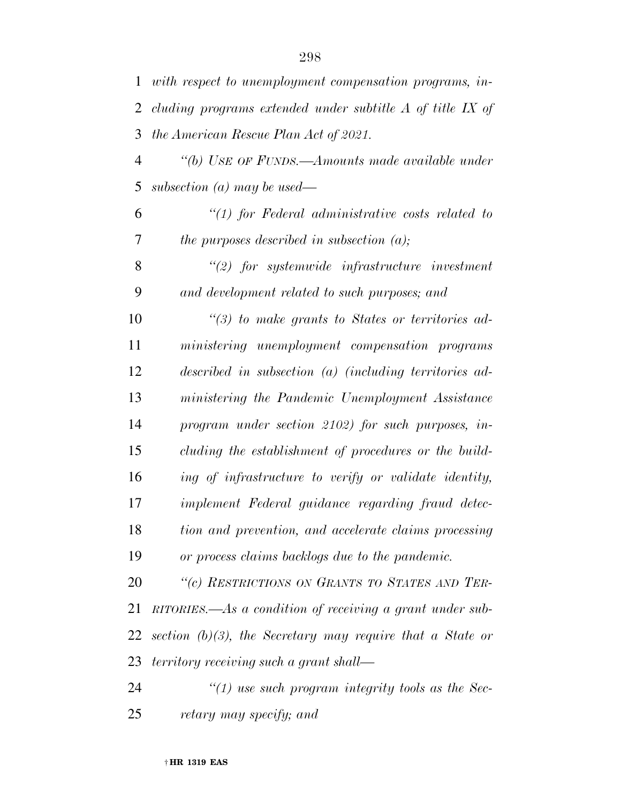*with respect to unemployment compensation programs, in- cluding programs extended under subtitle A of title IX of the American Rescue Plan Act of 2021.* 

 *''(b) USE OF FUNDS.—Amounts made available under subsection (a) may be used—* 

 *''(1) for Federal administrative costs related to the purposes described in subsection (a);* 

 *''(2) for systemwide infrastructure investment and development related to such purposes; and* 

 *''(3) to make grants to States or territories ad- ministering unemployment compensation programs described in subsection (a) (including territories ad- ministering the Pandemic Unemployment Assistance program under section 2102) for such purposes, in- cluding the establishment of procedures or the build- ing of infrastructure to verify or validate identity, implement Federal guidance regarding fraud detec- tion and prevention, and accelerate claims processing or process claims backlogs due to the pandemic.* 

 *''(c) RESTRICTIONS ON GRANTS TO STATES AND TER- RITORIES.—As a condition of receiving a grant under sub- section (b)(3), the Secretary may require that a State or territory receiving such a grant shall—* 

 *''(1) use such program integrity tools as the Sec-retary may specify; and*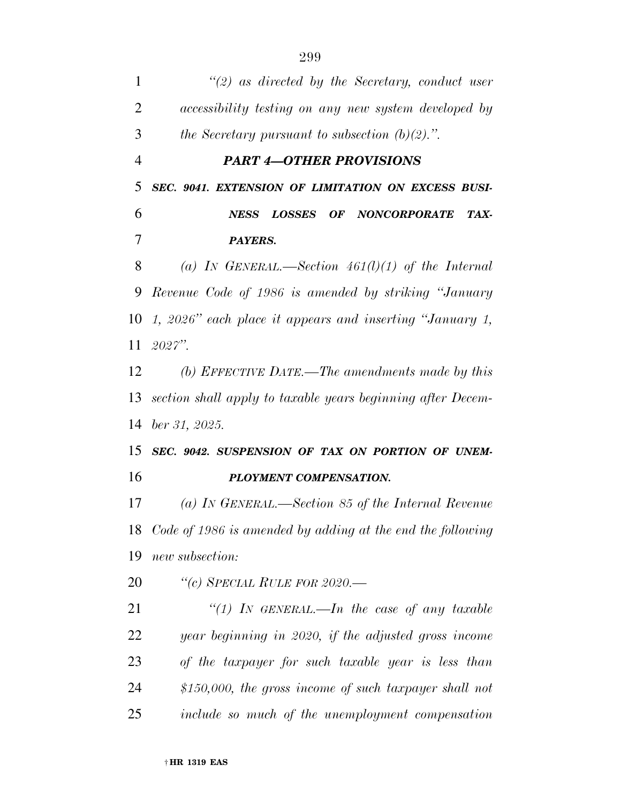*''(2) as directed by the Secretary, conduct user accessibility testing on any new system developed by the Secretary pursuant to subsection (b)(2).''. PART 4—OTHER PROVISIONS SEC. 9041. EXTENSION OF LIMITATION ON EXCESS BUSI- NESS LOSSES OF NONCORPORATE TAX- PAYERS. (a) IN GENERAL.—Section 461(l)(1) of the Internal Revenue Code of 1986 is amended by striking ''January 1, 2026'' each place it appears and inserting ''January 1, 2027''. (b) EFFECTIVE DATE.—The amendments made by this section shall apply to taxable years beginning after Decem- ber 31, 2025. SEC. 9042. SUSPENSION OF TAX ON PORTION OF UNEM- PLOYMENT COMPENSATION. (a) IN GENERAL.—Section 85 of the Internal Revenue Code of 1986 is amended by adding at the end the following new subsection: ''(c) SPECIAL RULE FOR 2020.— ''(1) IN GENERAL.—In the case of any taxable year beginning in 2020, if the adjusted gross income of the taxpayer for such taxable year is less than \$150,000, the gross income of such taxpayer shall not include so much of the unemployment compensation*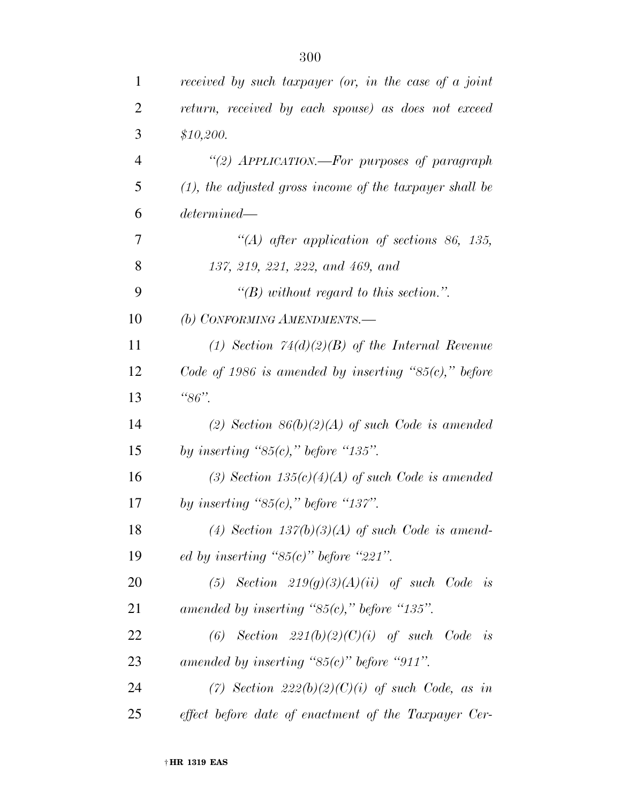| $\mathbf{1}$   | received by such taxpayer (or, in the case of a joint      |
|----------------|------------------------------------------------------------|
| $\overline{2}$ | return, received by each spouse) as does not exceed        |
| 3              | \$10,200.                                                  |
| $\overline{4}$ | "(2) APPLICATION.—For purposes of paragraph                |
| 5              | $(1)$ , the adjusted gross income of the taxpayer shall be |
| 6              | determined                                                 |
| 7              | "(A) after application of sections 86, 135,                |
| 8              | 137, 219, 221, 222, and 469, and                           |
| 9              | "(B) without regard to this section.".                     |
| 10             | (b) CONFORMING AMENDMENTS.-                                |
| 11             | (1) Section $74(d)(2)(B)$ of the Internal Revenue          |
| 12             | Code of 1986 is amended by inserting " $85(c)$ ," before   |
| 13             | " $86"$ .                                                  |
| 14             | (2) Section $86(b)(2)(A)$ of such Code is amended          |
| 15             | by inserting " $85(c)$ ," before "135".                    |
| 16             | (3) Section $135(c)(4)(A)$ of such Code is amended         |
| 17             | by inserting " $85(c)$ ," before "137".                    |
| 18             | (4) Section $137(b)(3)(A)$ of such Code is amend-          |
| 19             | ed by inserting " $85(c)$ " before "221".                  |
| 20             | (5) Section $219(g)(3)(A)(ii)$ of such Code is             |
| 21             | amended by inserting " $85(c)$ ," before "135".            |
| 22             | (6) Section $221(b)(2)(C)(i)$ of such Code is              |
| 23             | amended by inserting " $85(c)$ " before "911".             |
| 24             | (7) Section $222(b)(2)(C)(i)$ of such Code, as in          |
| 25             | effect before date of enactment of the Taxpayer Cer-       |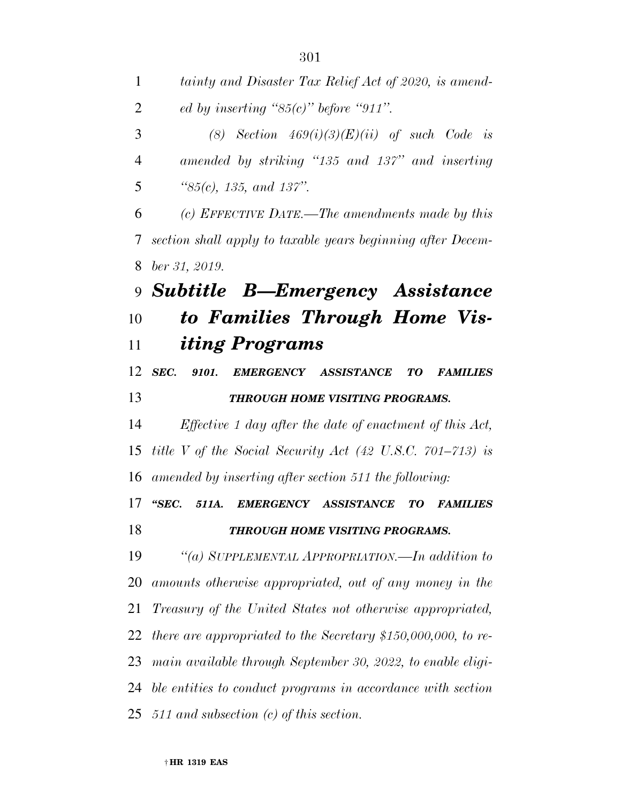| 1              | tainty and Disaster Tax Relief Act of 2020, is amend-                |
|----------------|----------------------------------------------------------------------|
| $\overline{2}$ | ed by inserting " $85(c)$ " before "911".                            |
| 3              | (8) Section $469(i)(3)(E)(ii)$ of such Code is                       |
| $\overline{4}$ | amended by striking "135 and 137" and inserting                      |
| 5              | " $85(c)$ , 135, and 137".                                           |
| 6              | (c) EFFECTIVE DATE.—The amendments made by this                      |
| 7              | section shall apply to taxable years beginning after Decem-          |
| 8              | $ber\,31,\,2019.$                                                    |
|                | 9 Subtitle B—Emergency Assistance                                    |
| 10             | to Families Through Home Vis-                                        |
| 11             | <i>iting Programs</i>                                                |
| 12             | SEC.<br>9101. EMERGENCY ASSISTANCE<br>TO<br><b>FAMILIES</b>          |
| 13             | THROUGH HOME VISITING PROGRAMS.                                      |
| 14             | <i>Effective 1 day after the date of enactment of this Act,</i>      |
| 15             | title V of the Social Security Act $(42 \text{ U.S.C. } 701-713)$ is |
| 16             | amended by inserting after section 511 the following:                |
| 17             | "SEC.<br>EMERGENCY ASSISTANCE<br>511A.<br>TО<br><b>FAMILIES</b>      |
| 18             | THROUGH HOME VISITING PROGRAMS.                                      |
| 19             | "(a) SUPPLEMENTAL APPROPRIATION.—In addition to                      |
| 20             | amounts otherwise appropriated, out of any money in the              |
| 21             | Treasury of the United States not otherwise appropriated,            |
| 22             | there are appropriated to the Secretary $$150,000,000,$ to re-       |
| 23             | main available through September 30, 2022, to enable eligi-          |
| 24             | ble entities to conduct programs in accordance with section          |
| 25             | 511 and subsection $(c)$ of this section.                            |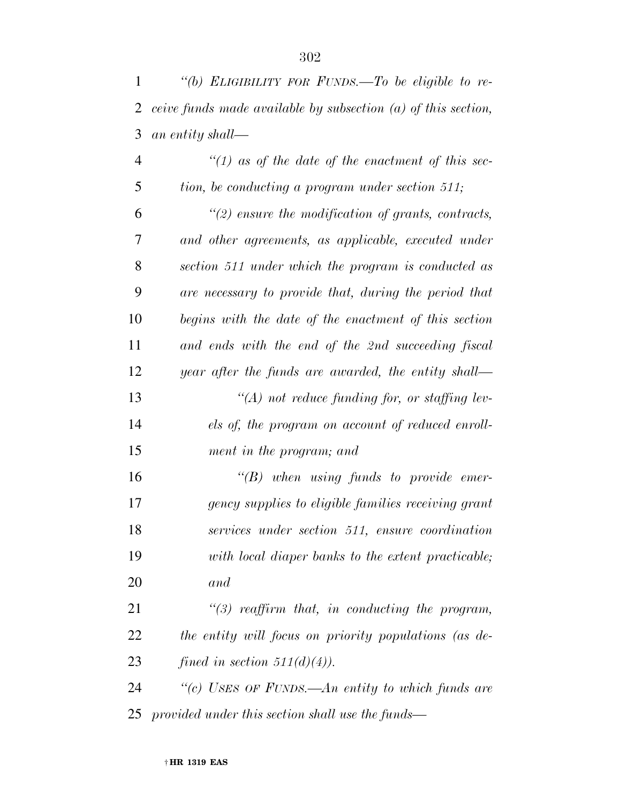| 1              | "(b) ELIGIBILITY FOR FUNDS.—To be eligible to re-               |
|----------------|-----------------------------------------------------------------|
| 2              | ceive funds made available by subsection $(a)$ of this section, |
| 3              | an entity shall—                                                |
| $\overline{4}$ | $\lq(1)$ as of the date of the enactment of this sec-           |
| 5              | tion, be conducting a program under section 511;                |
| 6              | $\lq(2)$ ensure the modification of grants, contracts,          |
| 7              | and other agreements, as applicable, executed under             |
| 8              | section 511 under which the program is conducted as             |
| 9              | are necessary to provide that, during the period that           |
| 10             | begins with the date of the enactment of this section           |
| 11             | and ends with the end of the 2nd succeeding fiscal              |
| 12             | year after the funds are awarded, the entity shall—             |
| 13             | $\lq (A)$ not reduce funding for, or staffing lev-              |
| 14             | els of, the program on account of reduced enroll-               |
| 15             | ment in the program; and                                        |
| 16             | $\lq\lq B$ when using funds to provide emer-                    |
| 17             | gency supplies to eligible families receiving grant             |
| 18             | services under section 511, ensure coordination                 |
| 19             | with local diaper banks to the extent practicable;              |
| 20             | and                                                             |
| 21             | $\lq(3)$ reaffirm that, in conducting the program,              |
| 22             | the entity will focus on priority populations (as de-           |
| 23             | fined in section $511(d)(4)$ .                                  |
| 24             | "(c) USES OF FUNDS.—An entity to which funds are                |
| 25             | provided under this section shall use the funds—                |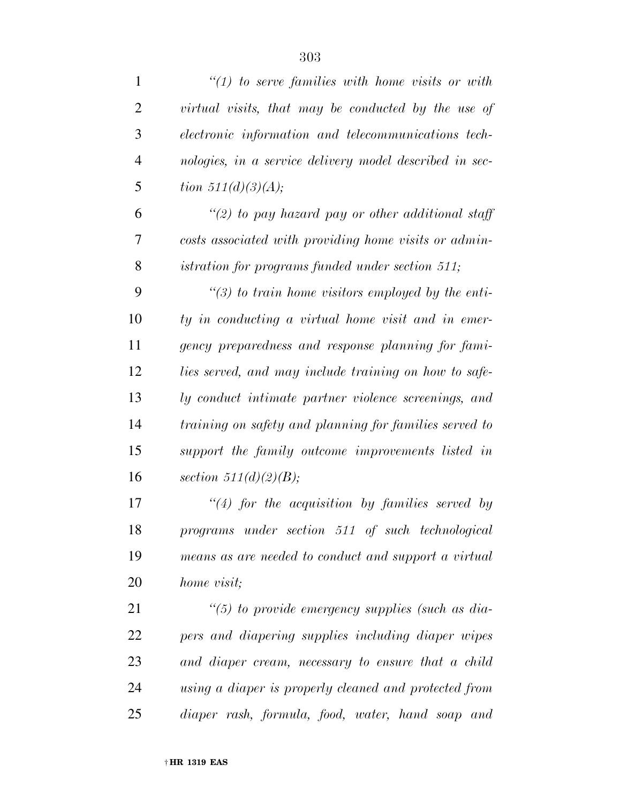| $\mathbf{1}$   | $\lq(1)$ to serve families with home visits or with     |
|----------------|---------------------------------------------------------|
| $\overline{2}$ | virtual visits, that may be conducted by the use of     |
| 3              | electronic information and telecommunications tech-     |
| $\overline{4}$ | nologies, in a service delivery model described in sec- |
| 5              | <i>tion</i> $511(d)(3)(A);$                             |
| 6              | "(2) to pay hazard pay or other additional staff        |
| 7              | costs associated with providing home visits or admin-   |
| 8              | istration for programs funded under section 511;        |
| 9              | $\lq(3)$ to train home visitors employed by the enti-   |
| 10             | ty in conducting a virtual home visit and in emer-      |
| 11             | gency preparedness and response planning for fami-      |
| 12             | lies served, and may include training on how to safe-   |
| 13             | ly conduct intimate partner violence screenings, and    |
| 14             | training on safety and planning for families served to  |
| 15             | support the family outcome improvements listed in       |
| 16             | section $511(d)(2)(B)$ ;                                |
| 17             | $\lq(4)$ for the acquisition by families served by      |
| 18             | programs under section 511 of such technological        |
| 19             | means as are needed to conduct and support a virtual    |
| 20             | home visit;                                             |
| 21             | $\lq(5)$ to provide emergency supplies (such as dia-    |
| 22             | pers and diapering supplies including diaper wipes      |
| 23             | and diaper cream, necessary to ensure that a child      |
| 24             | using a diaper is properly cleaned and protected from   |
| 25             | diaper rash, formula, food, water, hand soap and        |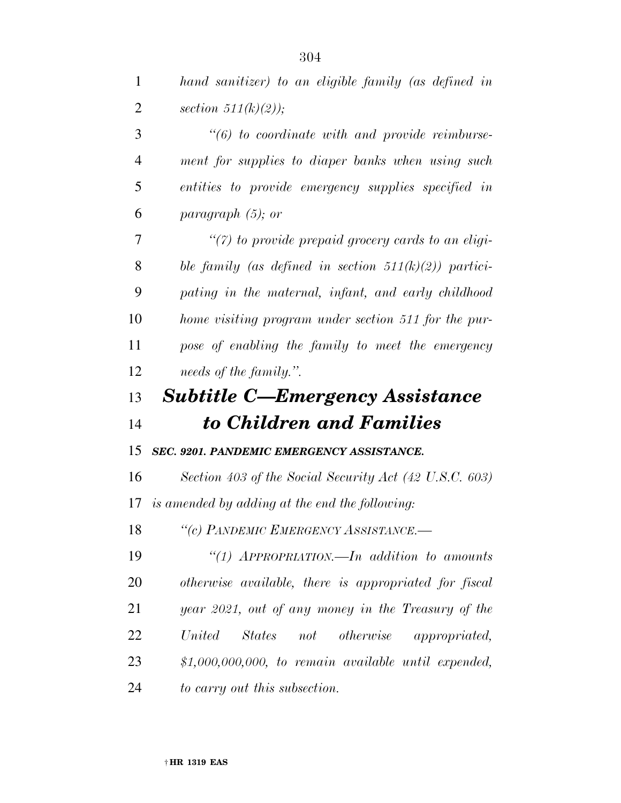| $\mathbf{1}$   | hand sanitizer) to an eligible family (as defined in     |
|----------------|----------------------------------------------------------|
| $\overline{2}$ | section $511(k)(2)$ );                                   |
| 3              | $\lq(6)$ to coordinate with and provide reimburse-       |
| $\overline{4}$ | ment for supplies to diaper banks when using such        |
| 5              | entities to provide emergency supplies specified in      |
| 6              | paragraph $(5)$ ; or                                     |
| 7              | $\lq(7)$ to provide prepaid grocery cards to an eligi-   |
| 8              | ble family (as defined in section $511(k)(2)$ ) partici- |
| 9              | pating in the maternal, infant, and early childhood      |
| 10             | home visiting program under section 511 for the pur-     |
| 11             | pose of enabling the family to meet the emergency        |
| 12             | needs of the family.".                                   |
|                |                                                          |
| 13             | <b>Subtitle C-Emergency Assistance</b>                   |
| 14             | to Children and Families                                 |
| 15             | SEC. 9201. PANDEMIC EMERGENCY ASSISTANCE.                |
| 16             | Section 403 of the Social Security Act (42 U.S.C. 603)   |
| 17             | is amended by adding at the end the following:           |
| 18             | "(c) PANDEMIC EMERGENCY ASSISTANCE.                      |
| 19             | "(1) $APPROPRIATION$ . In addition to amounts            |
| 20             | otherwise available, there is appropriated for fiscal    |
| 21             | year 2021, out of any money in the Treasury of the       |
| 22             | States not otherwise appropriated,<br>United             |
| 23             | $$1,000,000,000,$ to remain available until expended,    |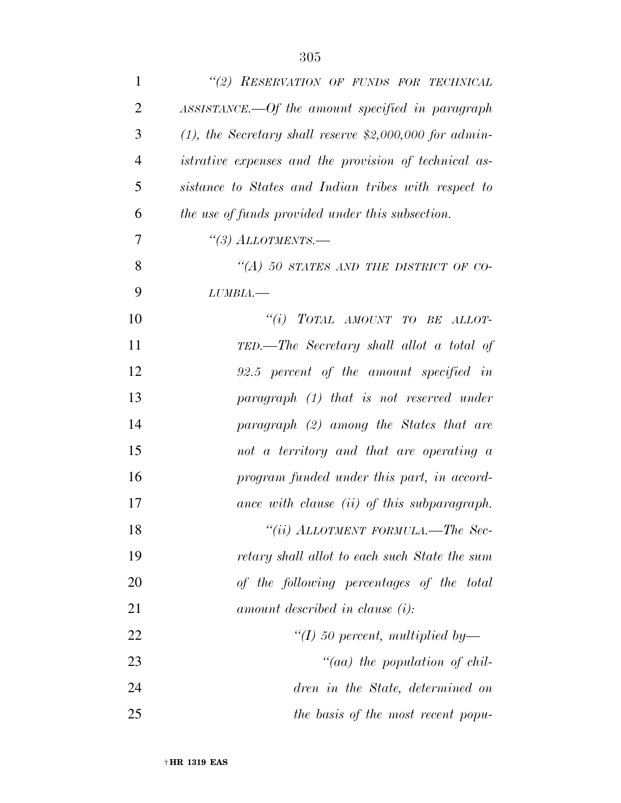| $\mathbf{1}$   | "(2) RESERVATION OF FUNDS FOR TECHNICAL                      |
|----------------|--------------------------------------------------------------|
| $\overline{2}$ | ASSISTANCE.—Of the amount specified in paragraph             |
| 3              | $(1)$ , the Secretary shall reserve \$2,000,000 for admin-   |
| $\overline{4}$ | <i>istrative expenses and the provision of technical as-</i> |
| 5              | sistance to States and Indian tribes with respect to         |
| 6              | the use of funds provided under this subsection.             |
| 7              |                                                              |
| 8              | "(A) 50 STATES AND THE DISTRICT OF CO-                       |
| 9              | $LUMBIA$ ,                                                   |
| 10             | "(i) TOTAL AMOUNT TO BE ALLOT-                               |
| 11             | TED.—The Secretary shall allot a total of                    |
| 12             | 92.5 percent of the amount specified in                      |
| 13             | paragraph $(1)$ that is not reserved under                   |
| 14             | paragraph (2) among the States that are                      |
| 15             | not a territory and that are operating a                     |
| 16             | program funded under this part, in accord-                   |
| 17             | ance with clause (ii) of this subparagraph.                  |
| 18             | $``(ii) ALLOTMENT FORMULA. - The Sec-$                       |
| 19             | retary shall allot to each such State the sum                |
| 20             | of the following percentages of the total                    |
| 21             | amount described in clause $(i)$ :                           |
| 22             | "(I) 50 percent, multiplied by—                              |
| 23             | "(aa) the population of chil-                                |
| 24             | dren in the State, determined on                             |
| 25             | the basis of the most recent popu-                           |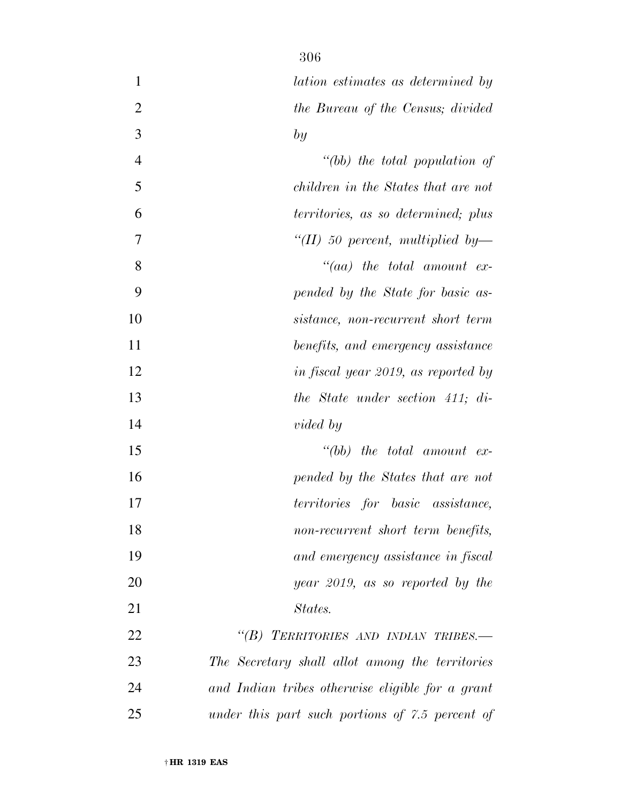| $\mathbf{1}$   | lation estimates as determined by                |
|----------------|--------------------------------------------------|
| $\overline{2}$ | the Bureau of the Census; divided                |
| 3              | by                                               |
| $\overline{4}$ | $" (bb)$ the total population of                 |
| 5              | children in the States that are not              |
| 6              | territories, as so determined; plus              |
| 7              | $\lq (II)$ 50 percent, multiplied by—            |
| 8              | $``(aa)$ the total amount ex-                    |
| 9              | pended by the State for basic as-                |
| 10             | sistance, non-recurrent short term               |
| 11             | benefits, and emergency assistance               |
| 12             | in fiscal year 2019, as reported by              |
| 13             | the State under section 411; di-                 |
| 14             | <i>vided</i> by                                  |
| 15             | $``(bb)$ the total amount ex-                    |
| 16             | pended by the States that are not                |
| 17             | territories for basic assistance,                |
| 18             | non-recurrent short term benefits,               |
| 19             | and emergency assistance in fiscal               |
| 20             | year 2019, as so reported by the                 |
| 21             | States.                                          |
| 22             | "(B) TERRITORIES AND INDIAN TRIBES.-             |
| 23             | The Secretary shall allot among the territories  |
| 24             | and Indian tribes otherwise eligible for a grant |
| 25             | under this part such portions of 7.5 percent of  |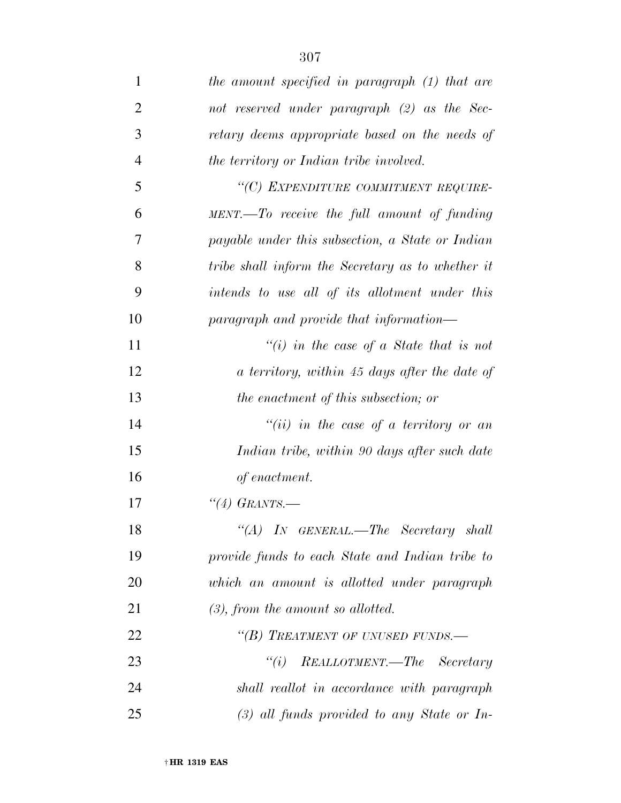| 1              | the amount specified in paragraph (1) that are    |
|----------------|---------------------------------------------------|
| $\overline{2}$ | not reserved under paragraph (2) as the Sec-      |
| 3              | retary deems appropriate based on the needs of    |
| $\overline{4}$ | the territory or Indian tribe involved.           |
| 5              | "(C) EXPENDITURE COMMITMENT REQUIRE-              |
| 6              | $MENT. - To receive the full amount of funding$   |
| 7              | payable under this subsection, a State or Indian  |
| 8              | tribe shall inform the Secretary as to whether it |
| 9              | intends to use all of its allotment under this    |
| 10             | paragraph and provide that information—           |
| 11             | "(i) in the case of a State that is not           |
| 12             | a territory, within 45 days after the date of     |
| 13             | the enactment of this subsection; or              |
| 14             | $``(ii)$ in the case of a territory or an         |
| 15             | Indian tribe, within 90 days after such date      |
| 16             | of enactment.                                     |
| 17             | "(4) GRANTS.                                      |
| 18             | "(A) IN GENERAL.—The Secretary shall              |
| 19             | provide funds to each State and Indian tribe to   |
| 20             | which an amount is allotted under paragraph       |
| 21             | $(3)$ , from the amount so allotted.              |
| 22             | "(B) TREATMENT OF UNUSED FUNDS.-                  |
| 23             | REALLOTMENT.—The Secretary<br>``(i)               |
| 24             | shall reallot in accordance with paragraph        |
| 25             | $(3)$ all funds provided to any State or In-      |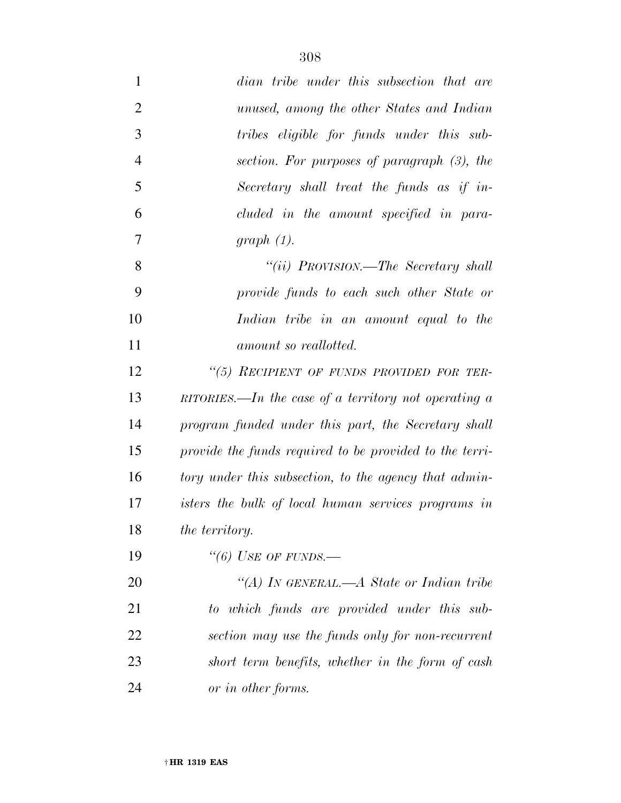| $\mathbf{1}$   | dian tribe under this subsection that are                   |
|----------------|-------------------------------------------------------------|
| $\overline{2}$ | unused, among the other States and Indian                   |
| 3              | tribes eligible for funds under this sub-                   |
| $\overline{4}$ | section. For purposes of paragraph $(3)$ , the              |
| 5              | Secretary shall treat the funds as if in-                   |
| 6              | cluded in the amount specified in para-                     |
| 7              | graph(1).                                                   |
| 8              | "(ii) PROVISION.—The Secretary shall                        |
| 9              | provide funds to each such other State or                   |
| 10             | Indian tribe in an amount equal to the                      |
| 11             | amount so reallotted.                                       |
| 12             | "(5) RECIPIENT OF FUNDS PROVIDED FOR TER-                   |
| 13             | RITORIES.—In the case of a territory not operating $\alpha$ |
| 14             | program funded under this part, the Secretary shall         |
| 15             | provide the funds required to be provided to the terri-     |
| 16             | tory under this subsection, to the agency that admin-       |
| 17             | isters the bulk of local human services programs in         |
| 18             | the territory.                                              |
| 19             | "(6) USE OF FUNDS.—                                         |
| 20             | "(A) In GENERAL.—A State or Indian tribe                    |
| 21             | to which funds are provided under this sub-                 |
| 22             | section may use the funds only for non-recurrent            |
| 23             | short term benefits, whether in the form of cash            |
| 24             | or in other forms.                                          |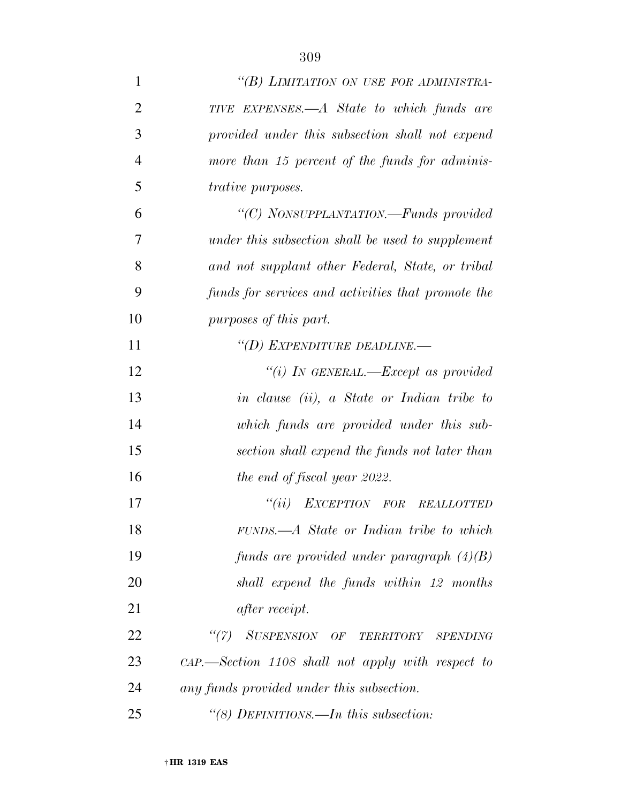| $\mathbf{1}$   | "(B) LIMITATION ON USE FOR ADMINISTRA-                 |
|----------------|--------------------------------------------------------|
| $\overline{2}$ | TIVE EXPENSES.—A State to which funds are              |
| 3              | provided under this subsection shall not expend        |
| $\overline{4}$ | more than 15 percent of the funds for adminis-         |
| 5              | <i>trative purposes.</i>                               |
| 6              | "(C) NONSUPPLANTATION.—Funds provided                  |
| 7              | under this subsection shall be used to supplement      |
| 8              | and not supplant other Federal, State, or tribal       |
| 9              | funds for services and activities that promote the     |
| 10             | purposes of this part.                                 |
| 11             | "(D) EXPENDITURE DEADLINE.-                            |
| 12             | "(i) IN GENERAL.—Except as provided                    |
| 13             | in clause (ii), a State or Indian tribe to             |
| 14             | which funds are provided under this sub-               |
| 15             | section shall expend the funds not later than          |
| 16             | the end of fiscal year 2022.                           |
| 17             | "(ii) EXCEPTION FOR REALLOTTED                         |
| 18             | FUNDS.—A State or Indian tribe to which                |
| 19             | funds are provided under paragraph $(4)(B)$            |
| 20             | shall expend the funds within 12 months                |
| 21             | <i>after receipt.</i>                                  |
| 22             | "(7) SUSPENSION OF TERRITORY SPENDING                  |
| 23             | $\alpha$ -Section 1108 shall not apply with respect to |
| 24             | any funds provided under this subsection.              |
| 25             | "(8) DEFINITIONS.—In this subsection:                  |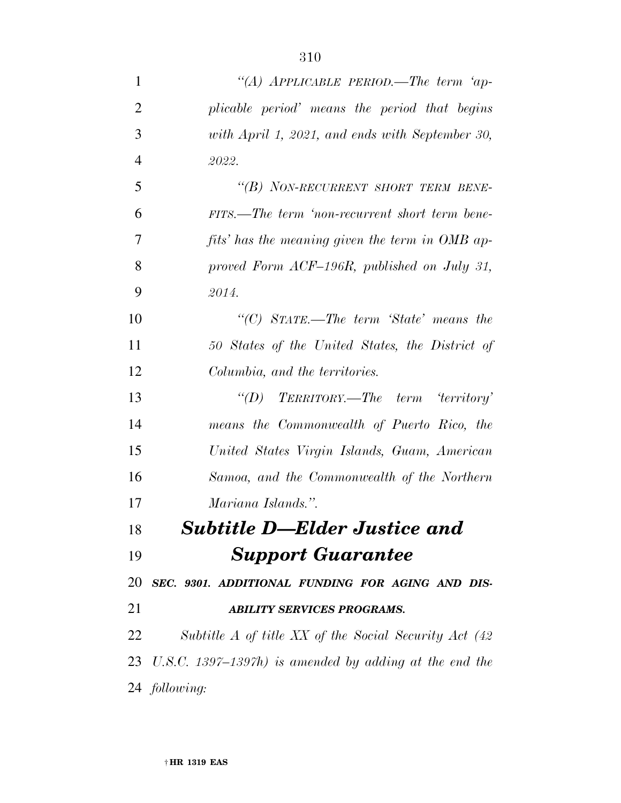| $\mathbf{1}$   | "(A) APPLICABLE PERIOD.—The term 'ap-                     |
|----------------|-----------------------------------------------------------|
| $\overline{2}$ | plicable period' means the period that begins             |
| 3              | with April 1, 2021, and ends with September 30,           |
| $\overline{4}$ | 2022.                                                     |
| 5              | "(B) NON-RECURRENT SHORT TERM BENE-                       |
| 6              | FITS.—The term 'non-recurrent short term bene-            |
| 7              | fits' has the meaning given the term in OMB ap-           |
| 8              | proved Form ACF-196R, published on July 31,               |
| 9              | 2014.                                                     |
| 10             | "(C) $STATE$ —The term 'State' means the                  |
| 11             | 50 States of the United States, the District of           |
| 12             | Columbia, and the territories.                            |
| 13             | $\lq\lq(D)$ TERRITORY.—The term 'territory'               |
| 14             | means the Commonwealth of Puerto Rico, the                |
| 15             | United States Virgin Islands, Guam, American              |
| 16             | Samoa, and the Commonwealth of the Northern               |
| 17             | Mariana Islands.".                                        |
| 18             | <b>Subtitle D–Elder Justice and</b>                       |
| 19             | <b>Support Guarantee</b>                                  |
| 20             | SEC. 9301. ADDITIONAL FUNDING FOR AGING AND DIS-          |
| 21             | <b>ABILITY SERVICES PROGRAMS.</b>                         |
| 22             | Subtitle $A$ of title XX of the Social Security Act (42)  |
|                | 23 U.S.C. 1397–1397h) is amended by adding at the end the |
|                | 24 following:                                             |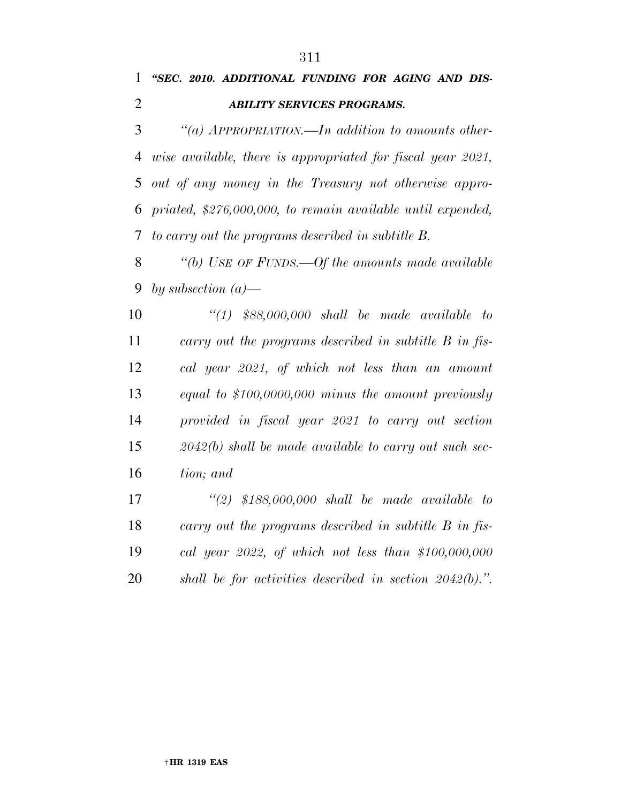#### *''SEC. 2010. ADDITIONAL FUNDING FOR AGING AND DIS-ABILITY SERVICES PROGRAMS.*

 *''(a) APPROPRIATION.—In addition to amounts other- wise available, there is appropriated for fiscal year 2021, out of any money in the Treasury not otherwise appro- priated, \$276,000,000, to remain available until expended, to carry out the programs described in subtitle B.* 

 *''(b) USE OF FUNDS.—Of the amounts made available by subsection (a)—* 

 *''(1) \$88,000,000 shall be made available to carry out the programs described in subtitle B in fis- cal year 2021, of which not less than an amount equal to \$100,0000,000 minus the amount previously provided in fiscal year 2021 to carry out section 2042(b) shall be made available to carry out such sec-tion; and* 

 *''(2) \$188,000,000 shall be made available to carry out the programs described in subtitle B in fis- cal year 2022, of which not less than \$100,000,000 shall be for activities described in section 2042(b).''.*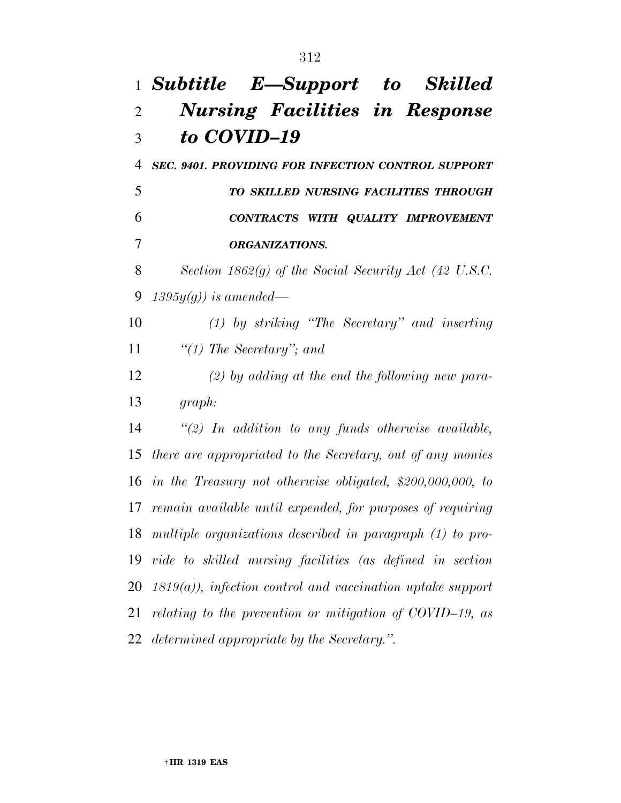## *Subtitle E—Support to Skilled Nursing Facilities in Response to COVID–19*

 *SEC. 9401. PROVIDING FOR INFECTION CONTROL SUPPORT TO SKILLED NURSING FACILITIES THROUGH CONTRACTS WITH QUALITY IMPROVEMENT ORGANIZATIONS.* 

 *Section 1862(g) of the Social Security Act (42 U.S.C. 1395y(g)) is amended—* 

 *(1) by striking ''The Secretary'' and inserting ''(1) The Secretary''; and* 

 *(2) by adding at the end the following new para-graph:* 

 *''(2) In addition to any funds otherwise available, there are appropriated to the Secretary, out of any monies in the Treasury not otherwise obligated, \$200,000,000, to remain available until expended, for purposes of requiring multiple organizations described in paragraph (1) to pro- vide to skilled nursing facilities (as defined in section 1819(a)), infection control and vaccination uptake support relating to the prevention or mitigation of COVID–19, as determined appropriate by the Secretary.''.*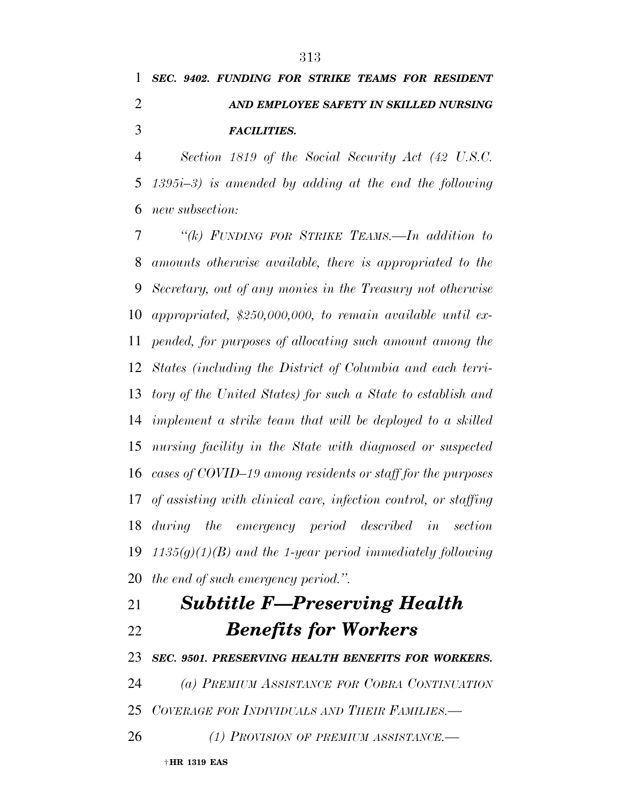## *SEC. 9402. FUNDING FOR STRIKE TEAMS FOR RESIDENT AND EMPLOYEE SAFETY IN SKILLED NURSING FACILITIES.*

 *Section 1819 of the Social Security Act (42 U.S.C. 1395i–3) is amended by adding at the end the following new subsection:* 

 *''(k) FUNDING FOR STRIKE TEAMS.—In addition to amounts otherwise available, there is appropriated to the Secretary, out of any monies in the Treasury not otherwise appropriated, \$250,000,000, to remain available until ex- pended, for purposes of allocating such amount among the States (including the District of Columbia and each terri- tory of the United States) for such a State to establish and implement a strike team that will be deployed to a skilled nursing facility in the State with diagnosed or suspected cases of COVID–19 among residents or staff for the purposes of assisting with clinical care, infection control, or staffing during the emergency period described in section 1135(g)(1)(B) and the 1-year period immediately following the end of such emergency period.''.* 

# *Subtitle F—Preserving Health Benefits for Workers*

*SEC. 9501. PRESERVING HEALTH BENEFITS FOR WORKERS.* 

*(a) PREMIUM ASSISTANCE FOR COBRA CONTINUATION*

*COVERAGE FOR INDIVIDUALS AND THEIR FAMILIES.—* 

*(1) PROVISION OF PREMIUM ASSISTANCE.—*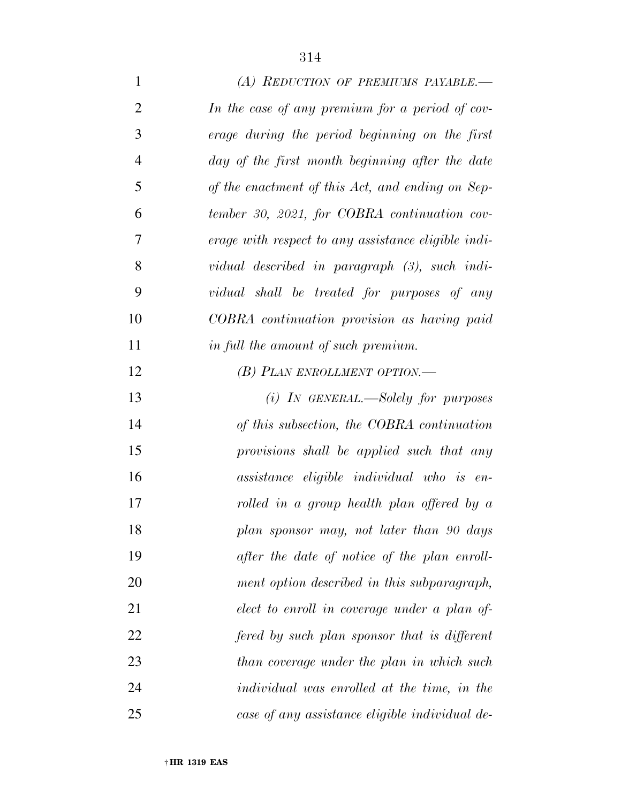| $\mathbf{1}$   | (A) REDUCTION OF PREMIUMS PAYABLE.—                 |
|----------------|-----------------------------------------------------|
| $\overline{2}$ | In the case of any premium for a period of cov-     |
| 3              | erage during the period beginning on the first      |
| $\overline{4}$ | day of the first month beginning after the date     |
| 5              | of the enactment of this Act, and ending on Sep-    |
| 6              | tember 30, 2021, for COBRA continuation cov-        |
| 7              | erage with respect to any assistance eligible indi- |
| 8              | vidual described in paragraph (3), such indi-       |
| 9              | vidual shall be treated for purposes of any         |
| 10             | COBRA continuation provision as having paid         |
| 11             | in full the amount of such premium.                 |
| 12             | (B) PLAN ENROLLMENT OPTION.—                        |
| 13             | $(i)$ IN GENERAL.—Solely for purposes               |
| 14             | of this subsection, the COBRA continuation          |
| 15             | provisions shall be applied such that any           |
| 16             | assistance eligible individual who is en-           |
| 17             | rolled in a group health plan offered by a          |
| 18             | plan sponsor may, not later than 90 days            |
| 19             | after the date of notice of the plan enroll-        |
| 20             | ment option described in this subparagraph,         |
| 21             | elect to enroll in coverage under a plan of-        |
| 22             | fered by such plan sponsor that is different        |
| 23             | than coverage under the plan in which such          |
| 24             | individual was enrolled at the time, in the         |
| 25             | case of any assistance eligible individual de-      |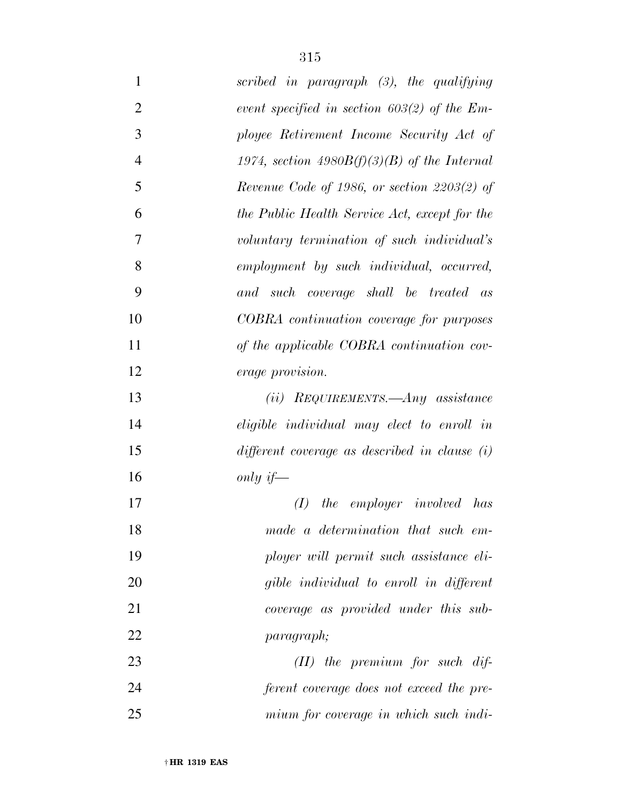| $\mathbf 1$    | scribed in paragraph (3), the qualifying        |
|----------------|-------------------------------------------------|
| $\overline{2}$ | event specified in section $603(2)$ of the Em-  |
| 3              | ployee Retirement Income Security Act of        |
| $\overline{4}$ | 1974, section 4980 $B(f)(3)(B)$ of the Internal |
| 5              | Revenue Code of 1986, or section $2203(2)$ of   |
| 6              | the Public Health Service Act, except for the   |
| 7              | voluntary termination of such individual's      |
| 8              | employment by such individual, occurred,        |
| 9              | and such coverage shall be treated as           |
| 10             | COBRA continuation coverage for purposes        |
| 11             | of the applicable COBRA continuation cov-       |
| 12             | <i>erage provision.</i>                         |
| 13             | $(ii)$ REQUIREMENTS.—Any assistance             |
| 14             | eligible individual may elect to enroll in      |
| 15             | different coverage as described in clause $(i)$ |
| 16             | only if—                                        |
| 17             | the employer involved has<br>(I)                |
| 18             | made a determination that such em-              |
| 19             | ployer will permit such assistance eli-         |
| 20             | gible individual to enroll in different         |
| 21             | coverage as provided under this sub-            |
| 22             | <i>paragraph</i> ;                              |
| 23             | $(II)$ the premium for such dif-                |
| 24             | ferent coverage does not exceed the pre-        |
| 25             | mium for coverage in which such indi-           |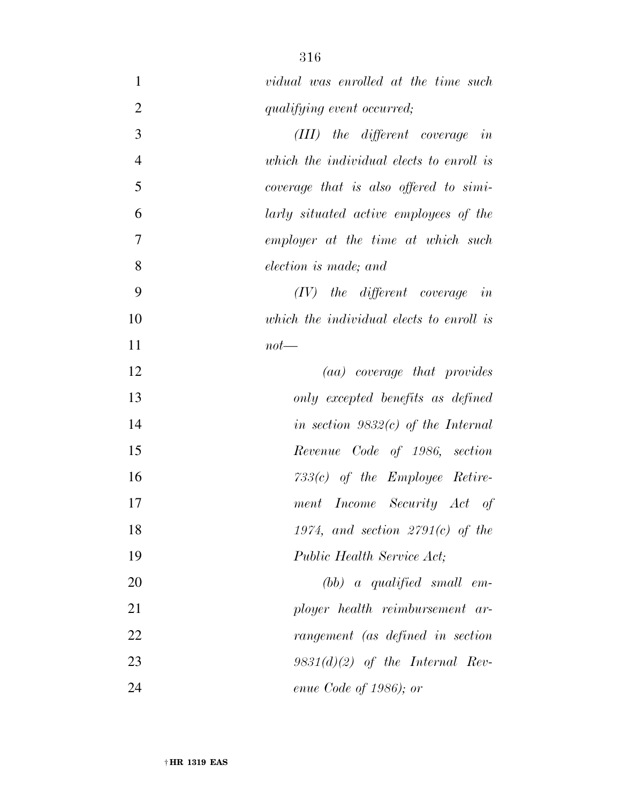| $\mathbf{1}$   | vidual was enrolled at the time such     |
|----------------|------------------------------------------|
| $\overline{2}$ | qualifying event occurred;               |
| 3              | $(III)$ the different coverage in        |
| $\overline{4}$ | which the individual elects to enroll is |
| 5              | coverage that is also offered to simi-   |
| 6              | larly situated active employees of the   |
| 7              | employer at the time at which such       |
| 8              | election is made; and                    |
| 9              | $(IV)$ the different coverage in         |
| 10             | which the individual elects to enroll is |
| 11             | $not$ —                                  |
| 12             | (aa) coverage that provides              |
| 13             | only excepted benefits as defined        |
| 14             | in section $9832(c)$ of the Internal     |
| 15             | Revenue Code of 1986, section            |
| 16             | $733(c)$ of the Employee Retire-         |
| 17             | ment Income Security Act of              |
| 18             | 1974, and section $2791(c)$ of the       |
| 19             | Public Health Service Act;               |
| 20             | $(bb)$ a qualified small em-             |
| 21             | ployer health reimbursement ar-          |
| 22             | rangement (as defined in section         |
| 23             | $9831(d)(2)$ of the Internal Rev-        |
| 24             | enue Code of 1986); or                   |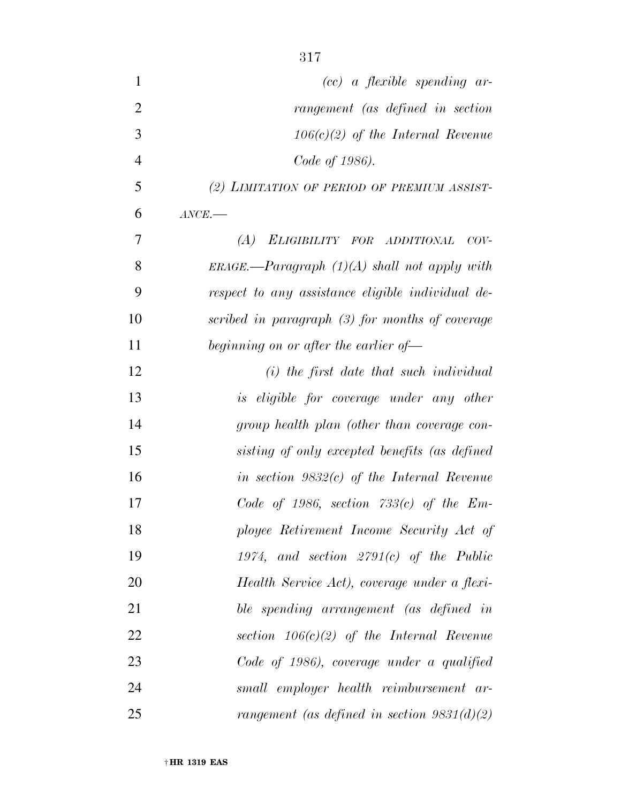| $\mathbf{1}$   | $(cc)$ a flexible spending ar-                    |
|----------------|---------------------------------------------------|
| $\overline{2}$ | rangement (as defined in section                  |
| 3              | $106(c)(2)$ of the Internal Revenue               |
| $\overline{4}$ | Code of 1986).                                    |
| 5              | (2) LIMITATION OF PERIOD OF PREMIUM ASSIST-       |
| 6              | $\textit{ANCE}$ .                                 |
| 7              | ELIGIBILITY FOR ADDITIONAL<br>(A)<br>$COV-$       |
| 8              | $ERAGE$ —Paragraph $(1)(A)$ shall not apply with  |
| 9              | respect to any assistance eligible individual de- |
| 10             | scribed in paragraph (3) for months of coverage   |
| 11             | beginning on or after the earlier of—             |
| 12             | $(i)$ the first date that such individual         |
| 13             | is eligible for coverage under any other          |
| 14             | group health plan (other than coverage con-       |
| 15             | sisting of only excepted benefits (as defined     |
| 16             | in section $9832(c)$ of the Internal Revenue      |
| 17             | Code of 1986, section $733(c)$ of the Em-         |
| 18             | ployee Retirement Income Security Act of          |
| 19             | 1974, and section $2791(c)$ of the Public         |
| 20             | Health Service Act), coverage under a flexi-      |
| 21             | ble spending arrangement (as defined in           |
| 22             | section $106(c)(2)$ of the Internal Revenue       |
| 23             | Code of 1986), coverage under a qualified         |
| 24             | small employer health reimbursement ar-           |
| 25             | rangement (as defined in section $9831(d)(2)$ )   |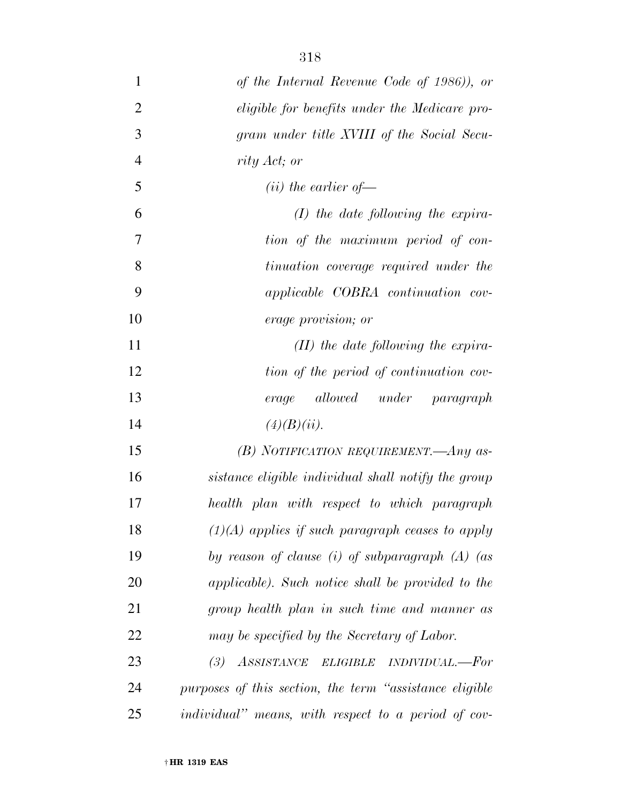| $\mathbf{1}$   | of the Internal Revenue Code of 1986)), or                  |
|----------------|-------------------------------------------------------------|
| $\overline{2}$ | eligible for benefits under the Medicare pro-               |
| 3              | gram under title XVIII of the Social Secu-                  |
| $\overline{4}$ | rity Act; or                                                |
| 5              | $(ii)$ the earlier of —                                     |
| 6              | $(I)$ the date following the expira-                        |
| $\overline{7}$ | tion of the maximum period of con-                          |
| 8              | tinuation coverage required under the                       |
| 9              | <i>applicable COBRA continuation cov-</i>                   |
| 10             | <i>erage provision; or</i>                                  |
| 11             | $(II)$ the date following the expira-                       |
| 12             | tion of the period of continuation cov-                     |
| 13             | allowed under paragraph<br>erage                            |
| 14             | (4)(B)(ii).                                                 |
| 15             | (B) NOTIFICATION REQUIREMENT. $-Any$ as-                    |
| 16             | sistance eligible individual shall notify the group         |
| 17             | health plan with respect to which paragraph                 |
| 18             | $(1)(A)$ applies if such paragraph ceases to apply          |
| 19             | by reason of clause (i) of subparagraph $(A)$ (as           |
| <b>20</b>      | applicable). Such notice shall be provided to the           |
| 21             | group health plan in such time and manner as                |
| 22             | may be specified by the Secretary of Labor.                 |
| 23             | (3) ASSISTANCE ELIGIBLE INDIVIDUAL.--For                    |
| 24             | purposes of this section, the term "assistance eligible"    |
| 25             | <i>individual</i> " means, with respect to a period of cov- |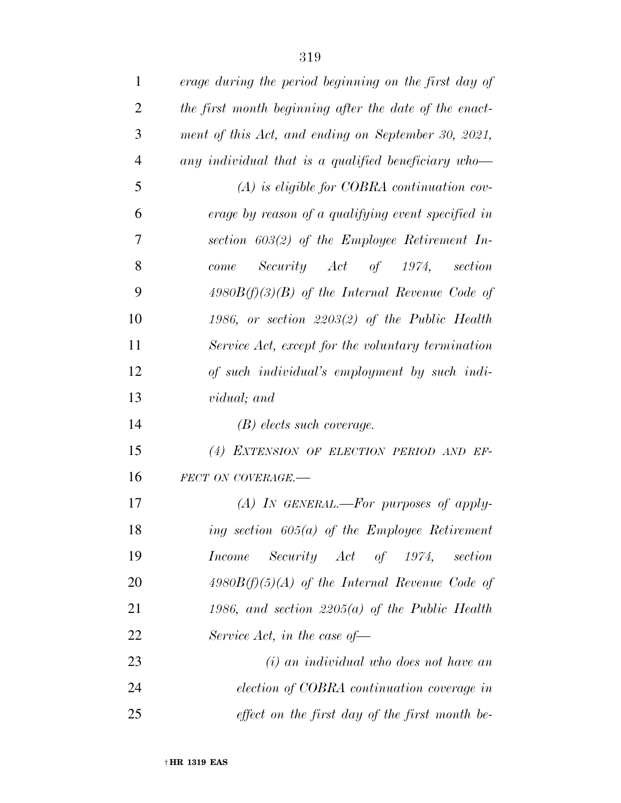| $\mathbf{1}$   | erage during the period beginning on the first day of  |
|----------------|--------------------------------------------------------|
| $\overline{2}$ | the first month beginning after the date of the enact- |
| 3              | ment of this Act, and ending on September 30, 2021,    |
| $\overline{4}$ | any individual that is a qualified beneficiary who-    |
| 5              | $(A)$ is eligible for COBRA continuation cov-          |
| 6              | erage by reason of a qualifying event specified in     |
| 7              | section $603(2)$ of the Employee Retirement In-        |
| 8              | Security Act of 1974,<br>section<br>come               |
| 9              | $4980B(f)(3)(B)$ of the Internal Revenue Code of       |
| 10             | 1986, or section $2203(2)$ of the Public Health        |
| 11             | Service Act, except for the voluntary termination      |
| 12             | of such individual's employment by such indi-          |
| 13             | <i>vidual</i> ; and                                    |
| 14             | $(B)$ elects such coverage.                            |
| 15             | (4) EXTENSION OF ELECTION PERIOD AND EF-               |
| 16             | FECT ON COVERAGE.-                                     |
| 17             | $(A)$ In GENERAL.—For purposes of apply-               |
| 18             | ing section $605(a)$ of the Employee Retirement        |
| 19             | Security Act of 1974, section<br><i>Income</i>         |
| 20             | $4980B(f)(5)(A)$ of the Internal Revenue Code of       |
| 21             | 1986, and section 2205(a) of the Public Health         |
| 22             | Service Act, in the case of $-$                        |
| 23             | (i) an individual who does not have an                 |
| 24             | election of COBRA continuation coverage in             |
| 25             | effect on the first day of the first month be-         |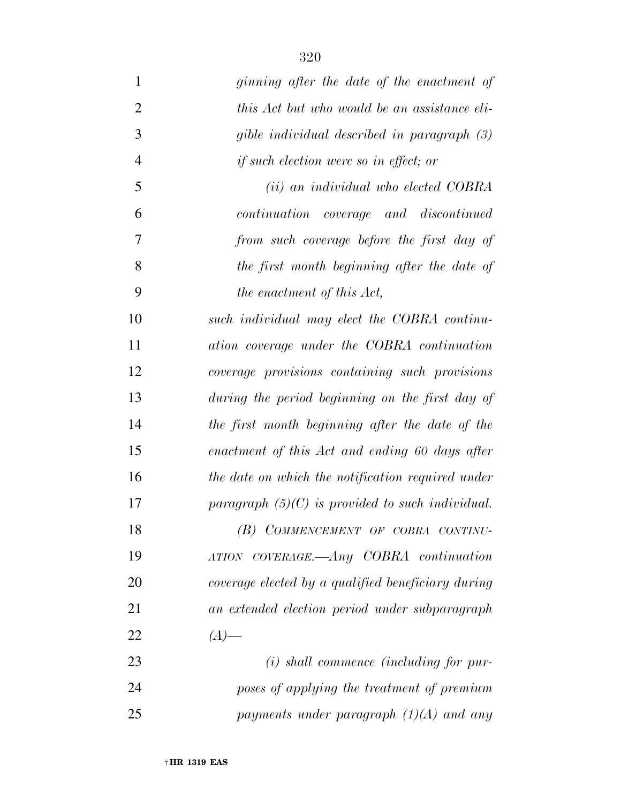| $\mathbf{1}$   | ginning after the date of the enactment of         |
|----------------|----------------------------------------------------|
| $\overline{2}$ | this Act but who would be an assistance eli-       |
| 3              | gible individual described in paragraph (3)        |
| $\overline{4}$ | if such election were so in effect; or             |
| 5              | ( <i>ii</i> ) an individual who elected COBRA      |
| 6              | continuation coverage and discontinued             |
| 7              | from such coverage before the first day of         |
| 8              | the first month beginning after the date of        |
| 9              | the enactment of this Act,                         |
| 10             | such individual may elect the COBRA continu-       |
| 11             | ation coverage under the COBRA continuation        |
| 12             | coverage provisions containing such provisions     |
| 13             | during the period beginning on the first day of    |
| 14             | the first month beginning after the date of the    |
| 15             | enactment of this Act and ending 60 days after     |
| 16             | the date on which the notification required under  |
| 17             | paragraph $(5)(C)$ is provided to such individual. |
| 18             | (B) COMMENCEMENT OF COBRA CONTINU-                 |
| 19             | ATION COVERAGE.—Any COBRA continuation             |
| 20             | coverage elected by a qualified beneficiary during |
| 21             | an extended election period under subparagraph     |
| 22             | $(A)$ —                                            |
| 23             | $(i)$ shall commence (including for pur-           |
| 24             | poses of applying the treatment of premium         |
| 25             | payments under paragraph $(1)(A)$ and any          |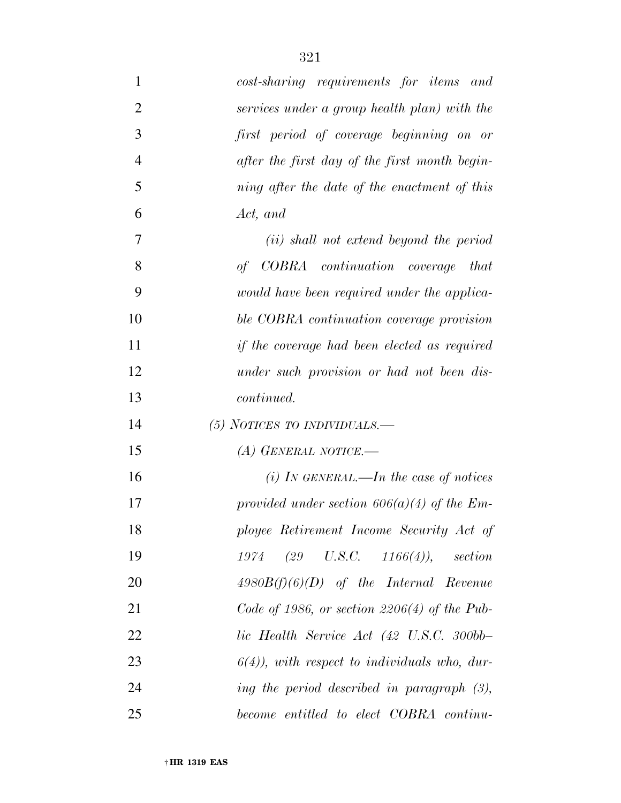| $\mathbf{1}$   | cost-sharing requirements for items and                  |
|----------------|----------------------------------------------------------|
| $\overline{2}$ | services under a group health plan) with the             |
| 3              | first period of coverage beginning on or                 |
| $\overline{4}$ | after the first day of the first month begin-            |
| 5              | ning after the date of the enactment of this             |
| 6              | Act, and                                                 |
| 7              | ( <i>ii</i> ) shall not extend beyond the period         |
| 8              | of COBRA continuation coverage that                      |
| 9              | would have been required under the applica-              |
| 10             | ble COBRA continuation coverage provision                |
| 11             | if the coverage had been elected as required             |
| 12             | under such provision or had not been dis-                |
| 13             | <i>continued.</i>                                        |
| 14             | $(5)$ NOTICES TO INDIVIDUALS.—                           |
| 15             | (A) GENERAL NOTICE.—                                     |
| 16             | (i) In GENERAL.—In the case of notices                   |
| 17             | provided under section $606(a)(4)$ of the Em-            |
| 18             | ployee Retirement Income Security Act of                 |
| 19             | $(29 \quad U.S.C. \quad 1166(4)), \quad section$<br>1974 |
| 20             | $4980B(f)(6)(D)$ of the Internal Revenue                 |
| 21             | Code of 1986, or section $2206(4)$ of the Pub-           |
| 22             | lic Health Service Act (42 U.S.C. 300bb-                 |
| 23             | $6(4)$ , with respect to individuals who, dur-           |
| 24             | ing the period described in paragraph $(3)$ ,            |
| 25             | become entitled to elect COBRA continu-                  |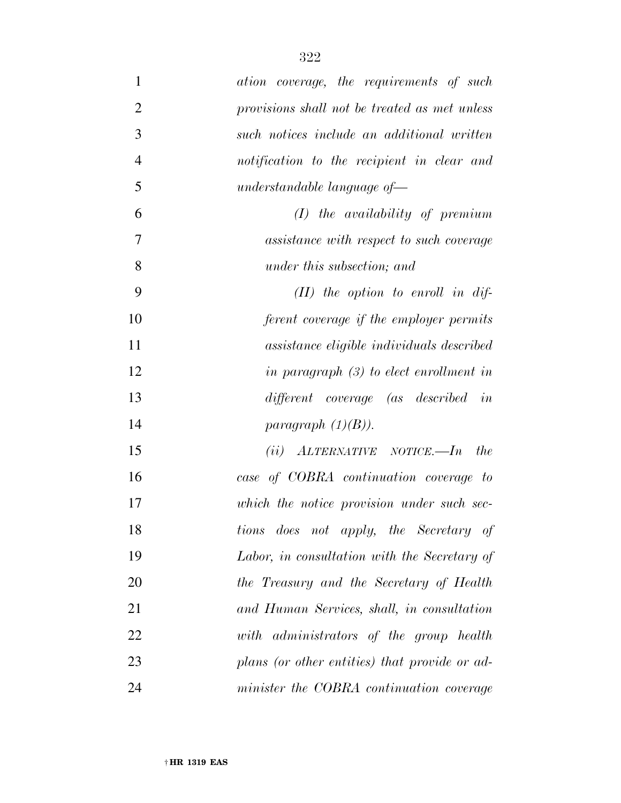| $\mathbf{1}$   | ation coverage, the requirements of such      |
|----------------|-----------------------------------------------|
| $\overline{2}$ | provisions shall not be treated as met unless |
| 3              | such notices include an additional written    |
| $\overline{4}$ | notification to the recipient in clear and    |
| 5              | $understandable$ language of-                 |
| 6              | $(I)$ the availability of premium             |
| $\overline{7}$ | assistance with respect to such coverage      |
| 8              | under this subsection; and                    |
| 9              | $(II)$ the option to enroll in dif-           |
| 10             | ferent coverage if the employer permits       |
| 11             | assistance eligible individuals described     |
| 12             | in paragraph $(3)$ to elect enrollment in     |
| 13             | different coverage (as described in           |
| 14             | paragraph $(1)(B)$ ).                         |
| 15             | $(ii)$ ALTERNATIVE NOTICE.—In<br><i>the</i>   |
| 16             | case of COBRA continuation coverage to        |
| 17             | which the notice provision under such sec-    |
| 18             | tions does not apply, the Secretary of        |
| 19             | Labor, in consultation with the Secretary of  |
| 20             | the Treasury and the Secretary of Health      |
| 21             | and Human Services, shall, in consultation    |
| 22             | with administrators of the group health       |
| 23             | plans (or other entities) that provide or ad- |
| 24             | minister the COBRA continuation coverage      |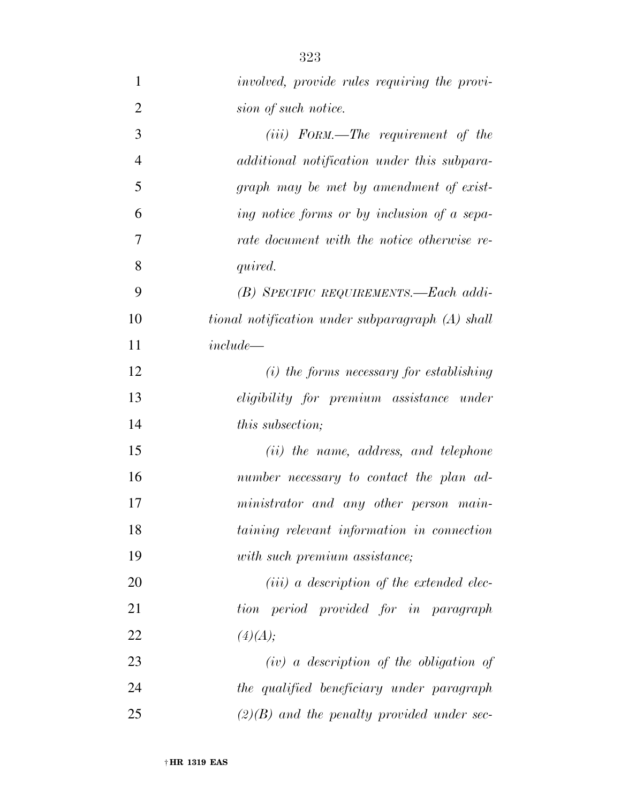| $\mathbf{1}$   | <i>involved, provide rules requiring the provi-</i> |
|----------------|-----------------------------------------------------|
| $\overline{2}$ | sion of such notice.                                |
| 3              | $(iii)$ FORM.—The requirement of the                |
| $\overline{4}$ | additional notification under this subpara-         |
| 5              | graph may be met by amendment of exist-             |
| 6              | ing notice forms or by inclusion of a sepa-         |
| 7              | rate document with the notice otherwise re-         |
| 8              | quired.                                             |
| 9              | (B) SPECIFIC REQUIREMENTS.-Each addi-               |
| 10             | tional notification under subparagraph (A) shall    |
| 11             | $include -$                                         |
| 12             | $(i)$ the forms necessary for establishing          |
| 13             | eligibility for premium assistance under            |
| 14             | <i>this subsection;</i>                             |
| 15             | (ii) the name, address, and telephone               |
| 16             | number necessary to contact the plan ad-            |
| 17             | ministrator and any other person main-              |
| 18             | taining relevant information in connection          |
| 19             | with such premium assistance;                       |
| 20             | $(iii)$ a description of the extended elec-         |
| 21             | tion period provided for in paragraph               |
| 22             | (4)(A);                                             |
| 23             | $(iv)$ a description of the obligation of           |
| 24             | the qualified beneficiary under paragraph           |
| 25             | $(2)(B)$ and the penalty provided under sec-        |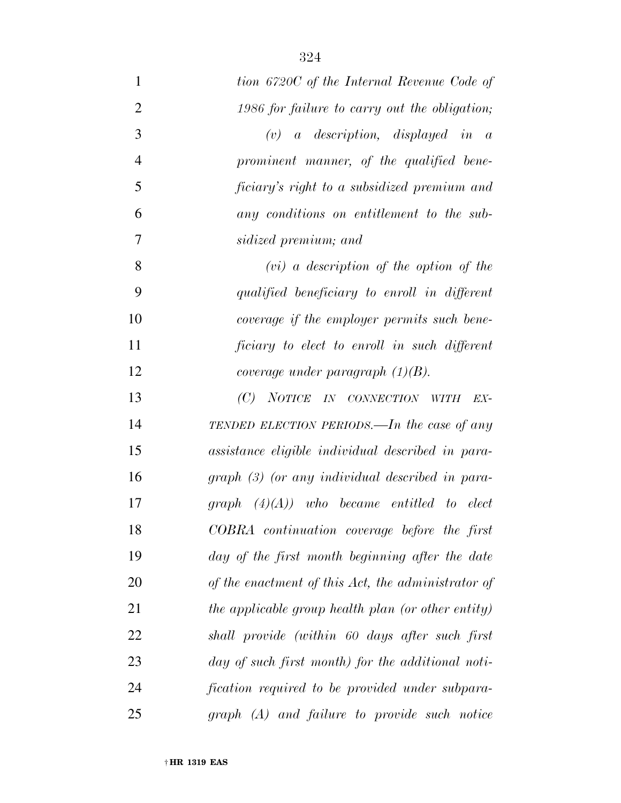| 1              | tion 6720C of the Internal Revenue Code of         |
|----------------|----------------------------------------------------|
| $\overline{2}$ | 1986 for failure to carry out the obligation,      |
| 3              | <i>a</i> description, displayed in a<br>(v)        |
| $\overline{4}$ | prominent manner, of the qualified bene-           |
| 5              | ficiary's right to a subsidized premium and        |
| 6              | any conditions on entitlement to the sub-          |
| 7              | sidized premium; and                               |
| 8              | $(vi)$ a description of the option of the          |
| 9              | qualified beneficiary to enroll in different       |
| 10             | coverage if the employer permits such bene-        |
| 11             | ficiary to elect to enroll in such different       |
| 12             | coverage under paragraph $(1)(B)$ .                |
| 13             | (C)<br>NOTICE IN CONNECTION WITH<br>EX-            |
| 14             | TENDED ELECTION PERIODS.—In the case of any        |
| 15             | assistance eligible individual described in para-  |
| 16             | $graph (3)$ (or any individual described in para-  |
| 17             | $graph (4)(A))$ who became entitled to elect       |
| 18             | COBRA continuation coverage before the first       |
| 19             | day of the first month beginning after the date    |
| 20             | of the enactment of this Act, the administrator of |
| 21             | the applicable group health plan (or other entity) |
| 22             | shall provide (within 60 days after such first     |
| 23             | day of such first month) for the additional noti-  |
| 24             | fication required to be provided under subpara-    |
| 25             | graph (A) and failure to provide such notice       |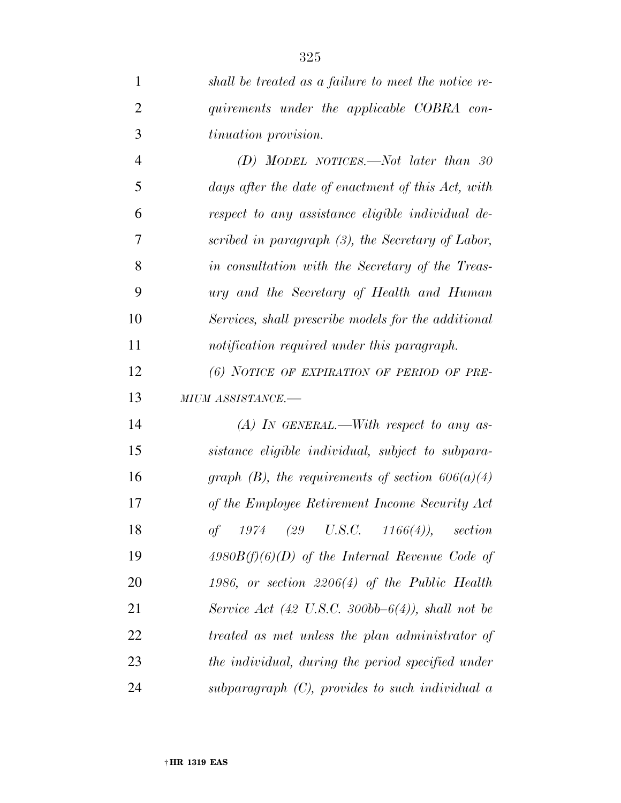| $\mathbf{1}$   | shall be treated as a failure to meet the notice re- |
|----------------|------------------------------------------------------|
| $\overline{2}$ | quirements under the applicable COBRA con-           |
| 3              | tinuation provision.                                 |
| $\overline{4}$ | (D) MODEL NOTICES.—Not later than 30                 |
| 5              | days after the date of enactment of this Act, with   |
| 6              | respect to any assistance eligible individual de-    |
| 7              | scribed in paragraph $(3)$ , the Secretary of Labor, |
| 8              | in consultation with the Secretary of the Treas-     |
| 9              | ury and the Secretary of Health and Human            |
| 10             | Services, shall prescribe models for the additional  |
| 11             | notification required under this paragraph.          |
| 12             | (6) NOTICE OF EXPIRATION OF PERIOD OF PRE-           |
|                |                                                      |
| 13             | MIUM ASSISTANCE.-                                    |
| 14             | $(A)$ In GENERAL.—With respect to any as-            |
| 15             | sistance eligible individual, subject to subpara-    |
| 16             | graph (B), the requirements of section $606(a)(4)$   |
| 17             | of the Employee Retirement Income Security Act       |
| 18             | of<br>$1974$ (29 U.S.C. 1166(4)), section            |
| 19             | $4980B(f)(6)(D)$ of the Internal Revenue Code of     |
| 20             | 1986, or section $2206(4)$ of the Public Health      |
| 21             | Service Act (42 U.S.C. 300bb-6(4)), shall not be     |
| 22             | treated as met unless the plan administrator of      |
| 23             | the individual, during the period specified under    |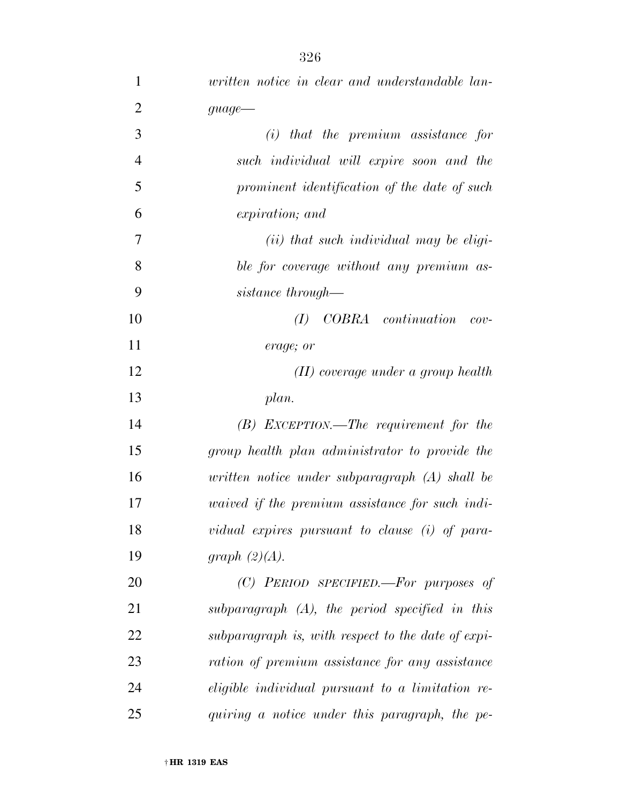| 1              | written notice in clear and understandable lan-        |
|----------------|--------------------------------------------------------|
| $\overline{2}$ | $guage$ —                                              |
| 3              | $(i)$ that the premium assistance for                  |
| $\overline{4}$ | such individual will expire soon and the               |
| 5              | prominent identification of the date of such           |
| 6              | expiration; and                                        |
| 7              | $(ii)$ that such individual may be eligi-              |
| 8              | ble for coverage without any premium as-               |
| 9              | sistance through—                                      |
| 10             | COBRA continuation<br>(I)<br>$cov-$                    |
| 11             | erage; or                                              |
| 12             | $(II)$ coverage under a group health                   |
| 13             | plan.                                                  |
| 14             | $(B)$ EXCEPTION.—The requirement for the               |
| 15             | group health plan administrator to provide the         |
| 16             | written notice under subparagraph $(A)$ shall be       |
| 17             | <i>uaived if the premium assistance for such indi-</i> |
| 18             | vidual expires pursuant to clause $(i)$ of para-       |
| 19             | graph $(2)(A)$ .                                       |
| 20             | $(C)$ PERIOD SPECIFIED.—For purposes of                |
| 21             | $subparagnph$ $(A)$ , the period specified in this     |
| 22             | subparagraph is, with respect to the date of expi-     |
| 23             | ration of premium assistance for any assistance        |
| 24             | eligible individual pursuant to a limitation re-       |
| 25             | quiring a notice under this paragraph, the pe-         |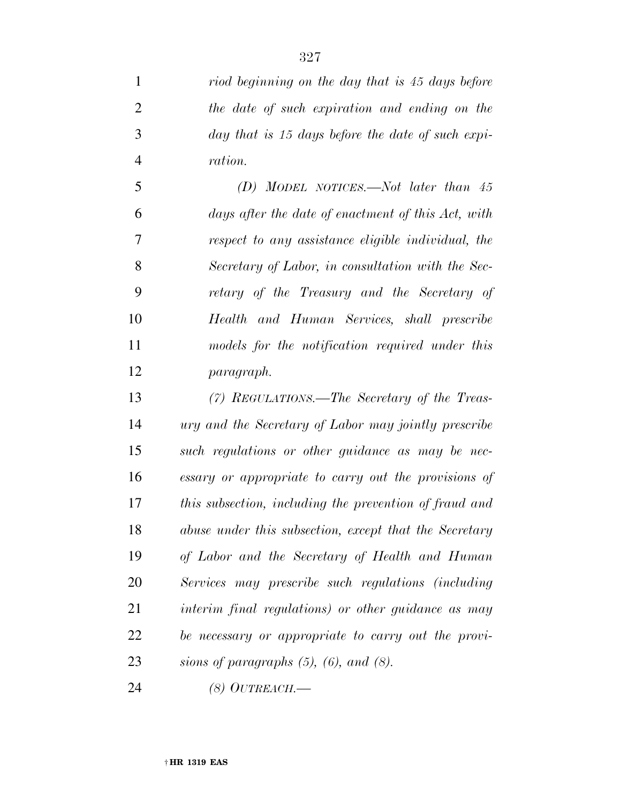*riod beginning on the day that is 45 days before the date of such expiration and ending on the day that is 15 days before the date of such expi-ration.* 

 *(D) MODEL NOTICES.—Not later than 45 days after the date of enactment of this Act, with respect to any assistance eligible individual, the Secretary of Labor, in consultation with the Sec- retary of the Treasury and the Secretary of Health and Human Services, shall prescribe models for the notification required under this paragraph.* 

 *(7) REGULATIONS.—The Secretary of the Treas- ury and the Secretary of Labor may jointly prescribe such regulations or other guidance as may be nec- essary or appropriate to carry out the provisions of this subsection, including the prevention of fraud and abuse under this subsection, except that the Secretary of Labor and the Secretary of Health and Human Services may prescribe such regulations (including interim final regulations) or other guidance as may be necessary or appropriate to carry out the provi-sions of paragraphs (5), (6), and (8).* 

*(8) OUTREACH.—*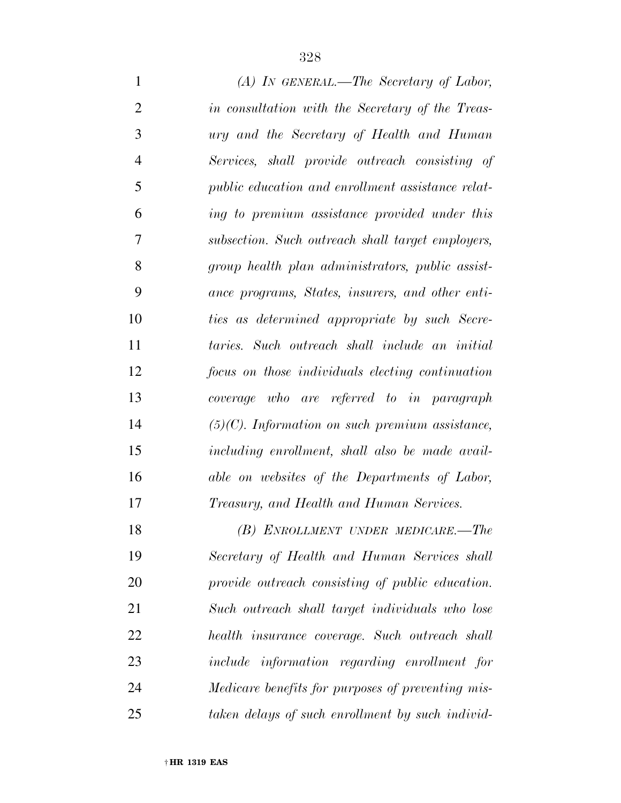| $\mathbf{1}$   | $(A)$ In GENERAL.—The Secretary of Labor,                |
|----------------|----------------------------------------------------------|
| $\overline{2}$ | in consultation with the Secretary of the Treas-         |
| 3              | ury and the Secretary of Health and Human                |
| $\overline{4}$ | Services, shall provide outreach consisting of           |
| 5              | <i>public education and enrollment assistance relat-</i> |
| 6              | ing to premium assistance provided under this            |
| $\overline{7}$ | subsection. Such outreach shall target employers,        |
| 8              | group health plan administrators, public assist-         |
| 9              | ance programs, States, insurers, and other enti-         |
| 10             | ties as determined appropriate by such Secre-            |
| 11             | taries. Such outreach shall include an initial           |
| 12             | focus on those individuals electing continuation         |
| 13             | coverage who are referred to in paragraph                |
| 14             | $(5)(C)$ . Information on such premium assistance,       |
| 15             | including enrollment, shall also be made avail-          |
| 16             | able on websites of the Departments of Labor,            |
| 17             | <i>Treasury, and Health and Human Services.</i>          |
| 18             | (B) ENROLLMENT UNDER MEDICARE.-The                       |
| 19             | Secretary of Health and Human Services shall             |
| 20             | provide outreach consisting of public education.         |
| 21             | Such outreach shall target individuals who lose          |
| 22             | health insurance coverage. Such outreach shall           |
| 23             | <i>include information regarding enrollment for</i>      |
| 24             | Medicare benefits for purposes of preventing mis-        |
| 25             | taken delays of such enrollment by such individ-         |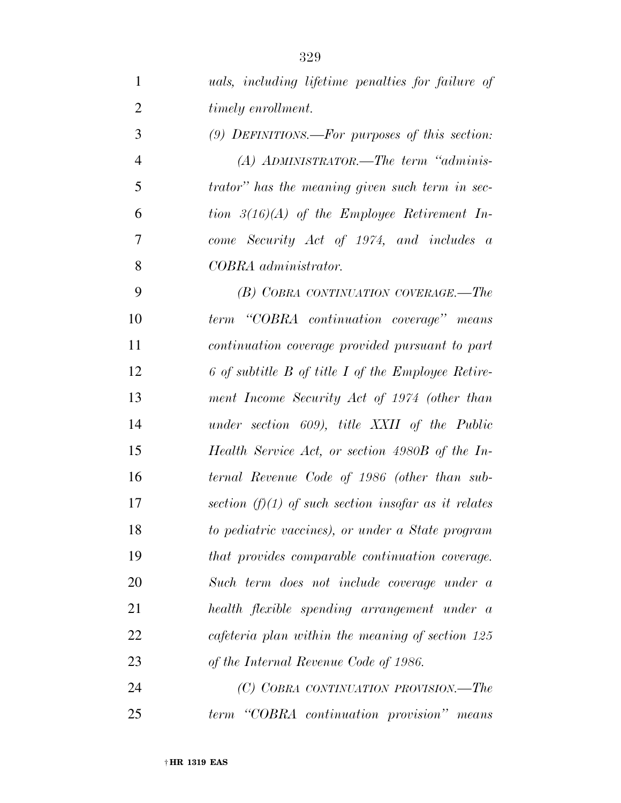| 1              | <i>uals, including lifetime penalties for failure of</i> |
|----------------|----------------------------------------------------------|
| $\overline{2}$ | timely enrollment.                                       |
| 3              | $(9)$ DEFINITIONS.—For purposes of this section:         |
| $\overline{4}$ | $(A)$ ADMINISTRATOR.—The term "adminis-                  |
| 5              | trator" has the meaning given such term in sec-          |
| 6              | tion $3(16)(A)$ of the Employee Retirement In-           |
| 7              | come Security Act of 1974, and includes a                |
| 8              | COBRA administrator.                                     |
| 9              | (B) COBRA CONTINUATION COVERAGE.—The                     |
| 10             | term "COBRA continuation coverage" means                 |
| 11             | continuation coverage provided pursuant to part          |
| 12             | 6 of subtitle B of title I of the Employee Retire-       |
| 13             | ment Income Security Act of 1974 (other than             |
| 14             | under section 609), title XXII of the Public             |
| 15             | Health Service Act, or section 4980B of the In-          |
| 16             | ternal Revenue Code of 1986 (other than sub-             |
| 17             | section $(f)(1)$ of such section insofar as it relates   |
| 18             | to pediatric vaccines), or under a State program         |
| 19             | that provides comparable continuation coverage.          |
| 20             | Such term does not include coverage under a              |
| 21             | health flexible spending arrangement under a             |
| 22             | cafeteria plan within the meaning of section 125         |
| 23             | of the Internal Revenue Code of 1986.                    |
| 24             | (C) COBRA CONTINUATION PROVISION.—The                    |
| 25             | term "COBRA continuation provision" means                |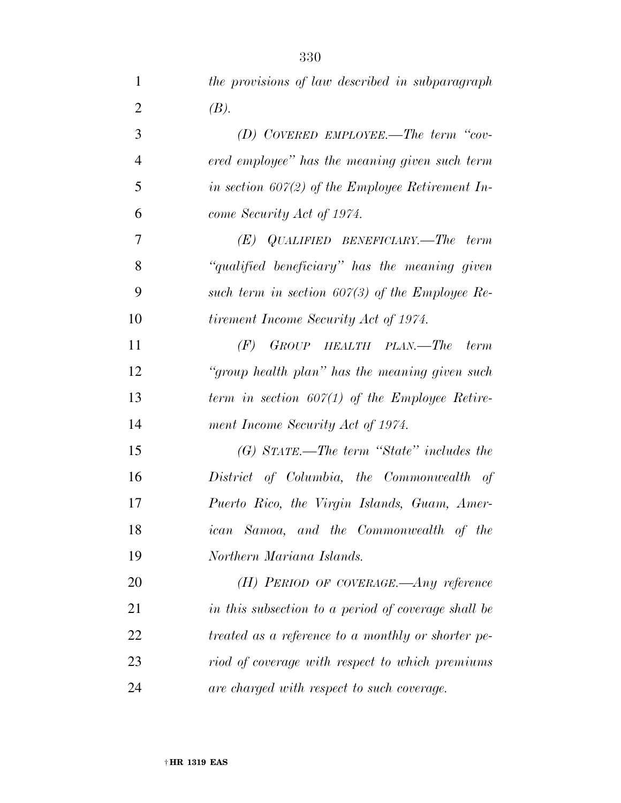| 1              | the provisions of law described in subparagraph     |
|----------------|-----------------------------------------------------|
| $\overline{2}$ | (B).                                                |
| 3              | (D) COVERED EMPLOYEE.—The term "cov-                |
| $\overline{4}$ | ered employee" has the meaning given such term      |
| 5              | in section $607(2)$ of the Employee Retirement In-  |
| 6              | come Security Act of 1974.                          |
| 7              | $(E)$ QUALIFIED BENEFICIARY.—The term               |
| 8              | "qualified beneficiary" has the meaning given       |
| 9              | such term in section $607(3)$ of the Employee Re-   |
| 10             | tirement Income Security Act of 1974.               |
| 11             | (F)<br>GROUP HEALTH PLAN.—The<br>term               |
| 12             | "group health plan" has the meaning given such      |
| 13             | term in section $607(1)$ of the Employee Retire-    |
| 14             | ment Income Security Act of 1974.                   |
| 15             | $(G)$ STATE.—The term "State" includes the          |
| 16             | District of Columbia, the Commonwealth of           |
| 17             | Puerto Rico, the Virgin Islands, Guam, Amer-        |
| 18             | ican Samoa, and the Commonwealth of the             |
| 19             | Northern Mariana Islands.                           |
| 20             | $(H)$ PERIOD OF COVERAGE.—Any reference             |
| 21             | in this subsection to a period of coverage shall be |
| 22             | treated as a reference to a monthly or shorter pe-  |
| 23             | riod of coverage with respect to which premiums     |
| 24             | are charged with respect to such coverage.          |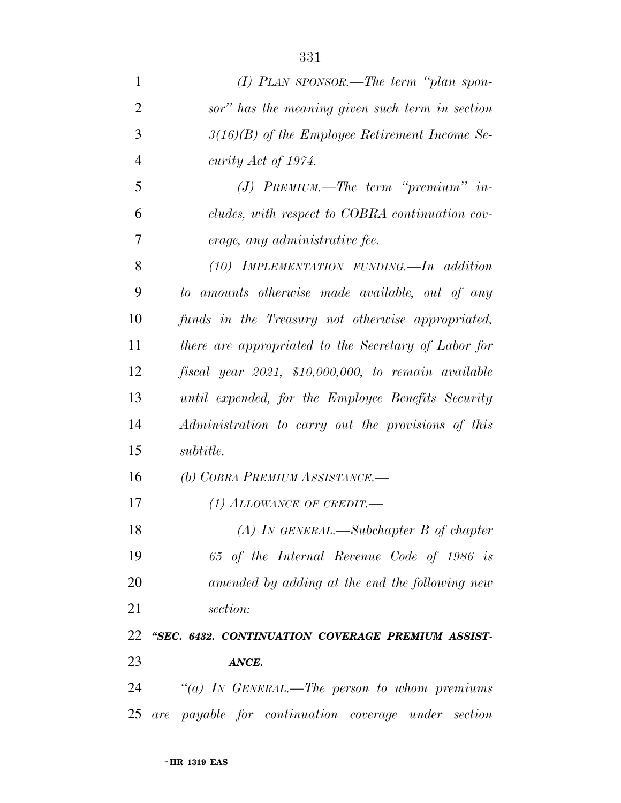| $\mathbf{1}$   | $(I)$ PLAN SPONSOR.—The term "plan spon-                |
|----------------|---------------------------------------------------------|
| $\overline{2}$ | sor" has the meaning given such term in section         |
| 3              | $3(16)(B)$ of the Employee Retirement Income Se-        |
| $\overline{4}$ | curity Act of 1974.                                     |
| 5              | $(J)$ PREMIUM.—The term "premium" in-                   |
| 6              | cludes, with respect to COBRA continuation cov-         |
| 7              | erage, any administrative fee.                          |
| 8              | $(10)$ IMPLEMENTATION FUNDING. In addition              |
| 9              | to amounts otherwise made available, out of any         |
| 10             | funds in the Treasury not otherwise appropriated,       |
| 11             | there are appropriated to the Secretary of Labor for    |
| 12             | $f is cal$ year 2021, \$10,000,000, to remain available |
| 13             | until expended, for the Employee Benefits Security      |
| 14             | Administration to carry out the provisions of this      |
| 15             | <i>subtitle.</i>                                        |
| 16             | (b) COBRA PREMIUM ASSISTANCE.—                          |
| 17             | (1) ALLOWANCE OF CREDIT.—                               |
| 18             | $(A)$ IN GENERAL.—Subchapter B of chapter               |
| 19             | 65 of the Internal Revenue Code of 1986 is              |
| 20             | amended by adding at the end the following new          |
| 21             | section:                                                |
| 22             | "SEC. 6432. CONTINUATION COVERAGE PREMIUM ASSIST-       |
| 23             | ANCE.                                                   |
| 24             | "(a) IN GENERAL.—The person to whom premiums            |
| 25             | are payable for continuation coverage under<br>section  |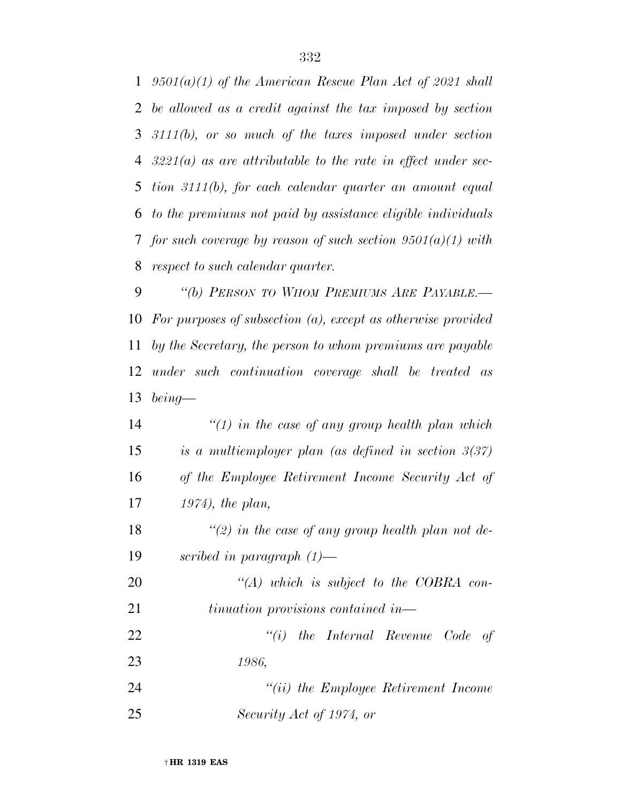*9501(a)(1) of the American Rescue Plan Act of 2021 shall be allowed as a credit against the tax imposed by section 3111(b), or so much of the taxes imposed under section 3221(a) as are attributable to the rate in effect under sec- tion 3111(b), for each calendar quarter an amount equal to the premiums not paid by assistance eligible individuals for such coverage by reason of such section 9501(a)(1) with respect to such calendar quarter.* 

 *''(b) PERSON TO WHOM PREMIUMS ARE PAYABLE.— For purposes of subsection (a), except as otherwise provided by the Secretary, the person to whom premiums are payable under such continuation coverage shall be treated as being—* 

 *''(1) in the case of any group health plan which is a multiemployer plan (as defined in section 3(37) of the Employee Retirement Income Security Act of 1974), the plan, ''(2) in the case of any group health plan not de- scribed in paragraph (1)— ''(A) which is subject to the COBRA con- tinuation provisions contained in— ''(i) the Internal Revenue Code of 1986, ''(ii) the Employee Retirement Income* 

*Security Act of 1974, or*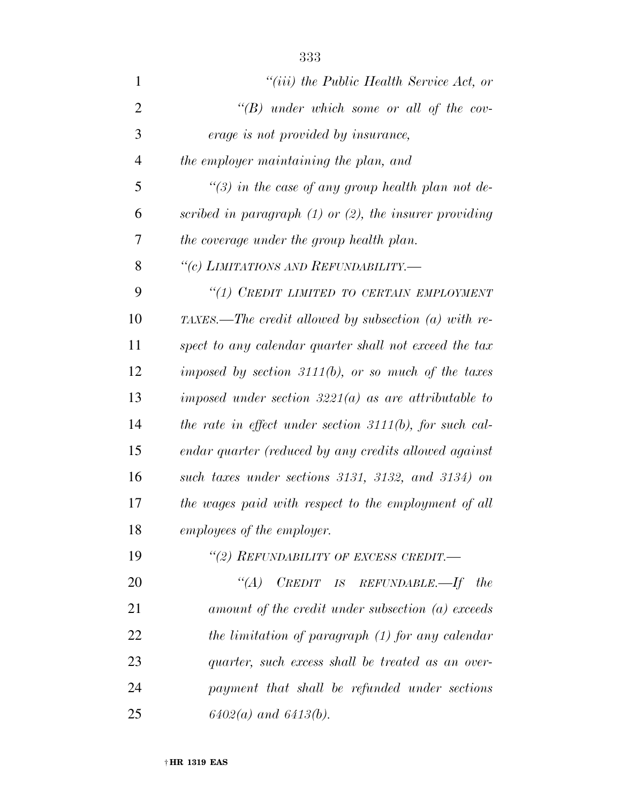| $\mathbf{1}$   | $``(iii)$ the Public Health Service Act, or                 |
|----------------|-------------------------------------------------------------|
| $\overline{2}$ | " $(B)$ under which some or all of the cov-                 |
| 3              | erage is not provided by insurance,                         |
| $\overline{4}$ | the employer maintaining the plan, and                      |
| 5              | "(3) in the case of any group health plan not de-           |
| 6              | scribed in paragraph $(1)$ or $(2)$ , the insurer providing |
| 7              | the coverage under the group health plan.                   |
| 8              | "(c) LIMITATIONS AND REFUNDABILITY.-                        |
| 9              | "(1) CREDIT LIMITED TO CERTAIN EMPLOYMENT                   |
| 10             | TAXES.—The credit allowed by subsection (a) with re-        |
| 11             | spect to any calendar quarter shall not exceed the tax      |
| 12             | imposed by section $3111(b)$ , or so much of the taxes      |
| 13             | imposed under section $3221(a)$ as are attributable to      |
| 14             | the rate in effect under section $3111(b)$ , for such cal-  |
| 15             | endar quarter (reduced by any credits allowed against       |
| 16             | such taxes under sections 3131, 3132, and 3134) on          |
| 17             | the wages paid with respect to the employment of all        |
| 18             | employees of the employer.                                  |
| 19             | "(2) REFUNDABILITY OF EXCESS CREDIT.-                       |
| 20             | "(A) CREDIT IS REFUNDABLE.—If the                           |
| 21             | amount of the credit under subsection (a) exceeds           |
| 22             | the limitation of paragraph (1) for any calendar            |
| 23             | quarter, such excess shall be treated as an over-           |
| 24             | payment that shall be refunded under sections               |
| 25             | $6402(a)$ and $6413(b)$ .                                   |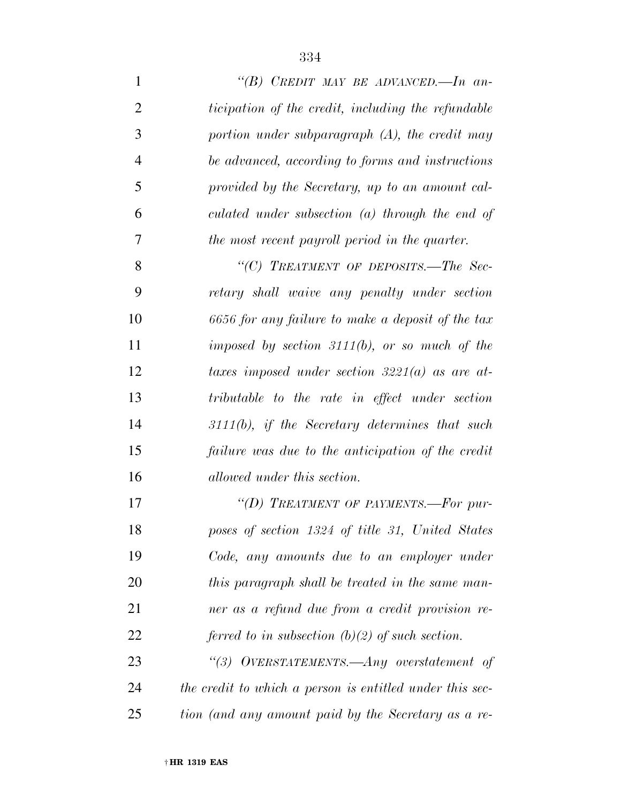| $\mathbf{1}$   | "(B) CREDIT MAY BE ADVANCED.—In an-                      |
|----------------|----------------------------------------------------------|
| $\overline{2}$ | ticipation of the credit, including the refundable       |
| 3              | portion under subparagraph $(A)$ , the credit may        |
| $\overline{4}$ | be advanced, according to forms and instructions         |
| 5              | provided by the Secretary, up to an amount cal-          |
| 6              | culated under subsection $(a)$ through the end of        |
| 7              | the most recent payroll period in the quarter.           |
| 8              | "(C) TREATMENT OF DEPOSITS.—The Sec-                     |
| 9              | retary shall waive any penalty under section             |
| 10             | 6656 for any failure to make a deposit of the tax        |
| 11             | imposed by section $3111(b)$ , or so much of the         |
| 12             | taxes imposed under section $3221(a)$ as are at-         |
| 13             | tributable to the rate in effect under section           |
| 14             | $3111(b)$ , if the Secretary determines that such        |
| 15             | failure was due to the anticipation of the credit        |
| 16             | allowed under this section.                              |
| 17             | "(D) TREATMENT OF PAYMENTS.-For pur-                     |
| 18             | poses of section 1324 of title 31, United States         |
| 19             | Code, any amounts due to an employer under               |
| 20             | this paragraph shall be treated in the same man-         |
| 21             | ner as a refund due from a credit provision re-          |
| 22             | ferred to in subsection $(b)(2)$ of such section.        |
| 23             | "(3) OVERSTATEMENTS.— $Any$ overstatement of             |
| 24             | the credit to which a person is entitled under this sec- |
| 25             | tion (and any amount paid by the Secretary as a re-      |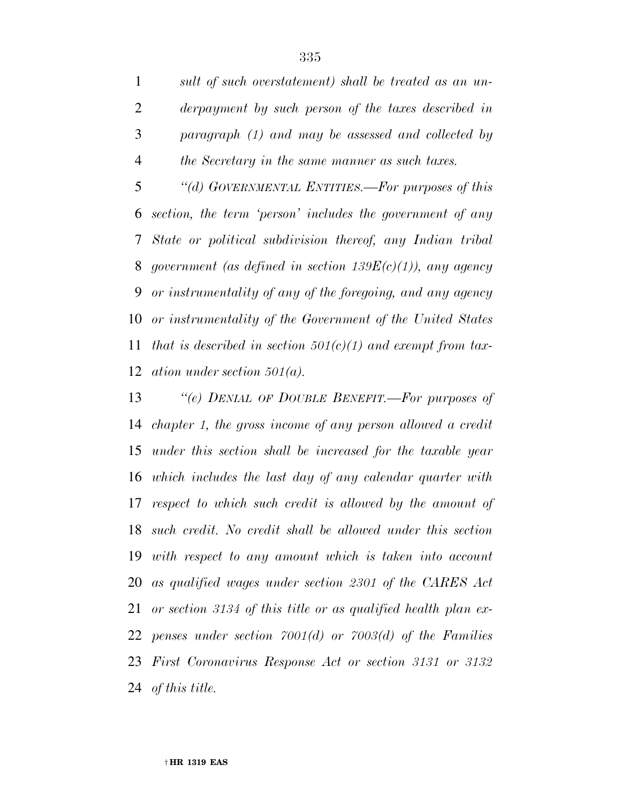*sult of such overstatement) shall be treated as an un- derpayment by such person of the taxes described in paragraph (1) and may be assessed and collected by the Secretary in the same manner as such taxes.* 

 *''(d) GOVERNMENTAL ENTITIES.—For purposes of this section, the term 'person' includes the government of any State or political subdivision thereof, any Indian tribal government (as defined in section 139E(c)(1)), any agency or instrumentality of any of the foregoing, and any agency or instrumentality of the Government of the United States that is described in section 501(c)(1) and exempt from tax-ation under section 501(a).* 

 *''(e) DENIAL OF DOUBLE BENEFIT.—For purposes of chapter 1, the gross income of any person allowed a credit under this section shall be increased for the taxable year which includes the last day of any calendar quarter with respect to which such credit is allowed by the amount of such credit. No credit shall be allowed under this section with respect to any amount which is taken into account as qualified wages under section 2301 of the CARES Act or section 3134 of this title or as qualified health plan ex- penses under section 7001(d) or 7003(d) of the Families First Coronavirus Response Act or section 3131 or 3132 of this title.*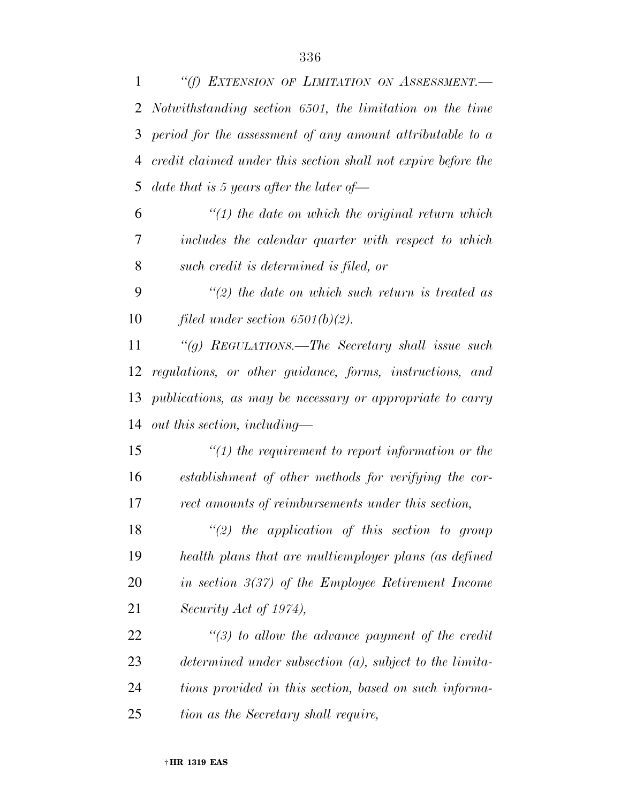| $\mathbf{1}$ | "(f) EXTENSION OF LIMITATION ON ASSESSMENT.-                  |
|--------------|---------------------------------------------------------------|
| 2            | Notwithstanding section 6501, the limitation on the time      |
| 3            | period for the assessment of any amount attributable to a     |
| 4            | credit claimed under this section shall not expire before the |
| 5            | date that is 5 years after the later of $\equiv$              |
| 6            | $\lq(1)$ the date on which the original return which          |
| 7            | includes the calendar quarter with respect to which           |
| 8            | such credit is determined is filed, or                        |
| 9            | $\lq(2)$ the date on which such return is treated as          |
| 10           | filed under section $6501(b)(2)$ .                            |
| 11           | "(g) REGULATIONS.—The Secretary shall issue such              |
| 12           | regulations, or other guidance, forms, instructions, and      |
| 13           | publications, as may be necessary or appropriate to carry     |
| 14           | out this section, including—                                  |
| 15           | $\lq(1)$ the requirement to report information or the         |
| 16           | establishment of other methods for verifying the cor-         |
| 17           | rect amounts of reimbursements under this section,            |
| 18           | $\lq(2)$ the application of this section to group             |
| 19           | health plans that are multiemployer plans (as defined         |
| 20           | in section $3(37)$ of the Employee Retirement Income          |
| 21           | Security Act of 1974),                                        |
| 22           | $\lq(3)$ to allow the advance payment of the credit           |
| 23           | determined under subsection $(a)$ , subject to the limita-    |
| 24           | tions provided in this section, based on such informa-        |
| 25           | tion as the Secretary shall require,                          |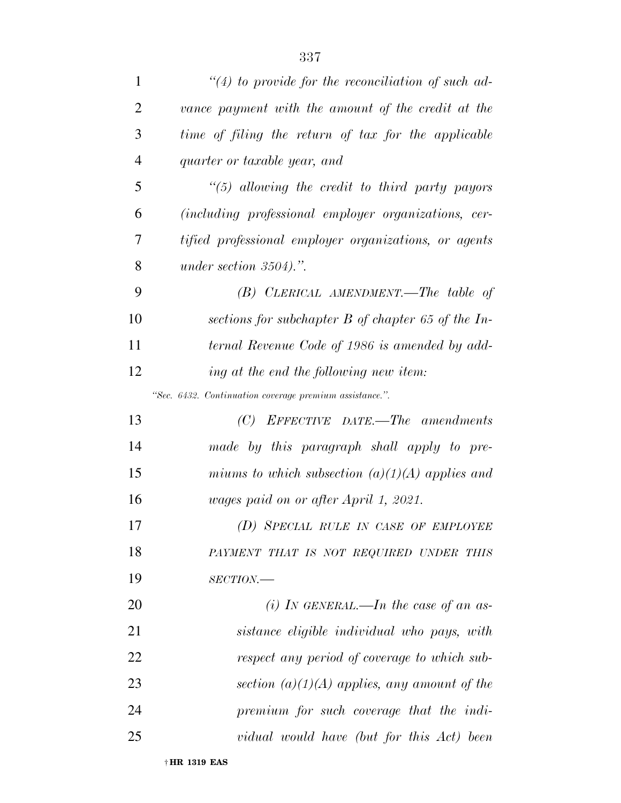| 1              | $\lq(4)$ to provide for the reconciliation of such ad-  |
|----------------|---------------------------------------------------------|
| $\overline{2}$ | vance payment with the amount of the credit at the      |
| 3              | time of filing the return of tax for the applicable     |
| $\overline{4}$ | quarter or taxable year, and                            |
| 5              | $\lq(5)$ allowing the credit to third party payors      |
| 6              | (including professional employer organizations, cer-    |
| 7              | tified professional employer organizations, or agents   |
| 8              | under section $3504$ .".                                |
| 9              | $(B)$ CLERICAL AMENDMENT.—The table of                  |
| 10             | sections for subchapter $B$ of chapter 65 of the In-    |
| 11             | ternal Revenue Code of 1986 is amended by add-          |
| 12             | ing at the end the following new item:                  |
|                | "Sec. 6432. Continuation coverage premium assistance.". |
| 13             | $(C)$ EFFECTIVE DATE.—The amendments                    |
| 14             | made by this paragraph shall apply to pre-              |
| 15             | miums to which subsection $(a)(1)(A)$ applies and       |
| 16             | wages paid on or after April 1, 2021.                   |
| 17             | (D) SPECIAL RULE IN CASE OF EMPLOYEE                    |
| 18             | PAYMENT THAT IS NOT REQUIRED UNDER THIS                 |
| 19             | $SECTION$ —                                             |
| 20             | (i) In GENERAL.—In the case of an as-                   |
| 21             | sistance eligible individual who pays, with             |
| 22             | respect any period of coverage to which sub-            |
| 23             | section $(a)(1)(A)$ applies, any amount of the          |
| 24             | premium for such coverage that the indi-                |
| 25             | vidual would have (but for this Act) been               |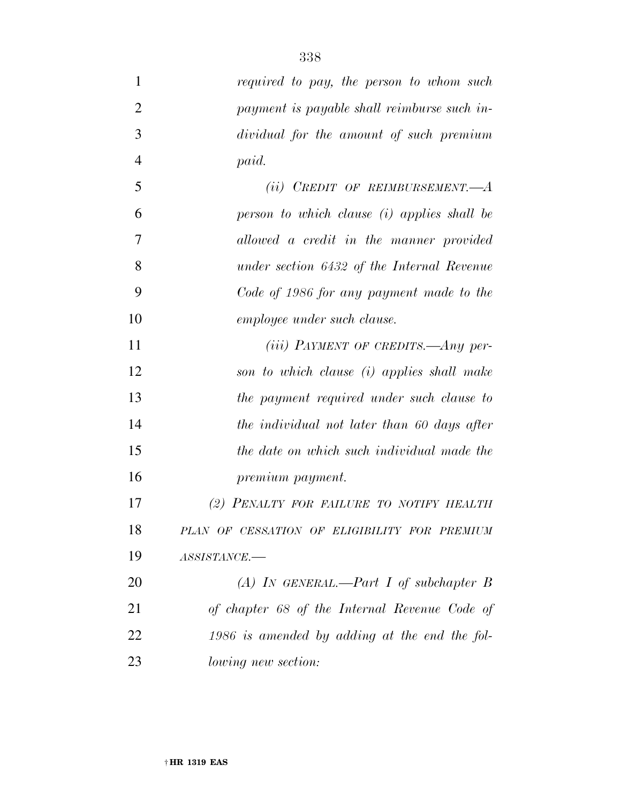| $\mathbf{1}$   | required to pay, the person to whom such        |
|----------------|-------------------------------------------------|
| $\overline{2}$ | payment is payable shall reimburse such in-     |
| 3              | dividual for the amount of such premium         |
| $\overline{4}$ | paid.                                           |
| 5              | (ii) CREDIT OF REIMBURSEMENT.— $A$              |
| 6              | person to which clause (i) applies shall be     |
| 7              | allowed a credit in the manner provided         |
| 8              | under section 6432 of the Internal Revenue      |
| 9              | Code of 1986 for any payment made to the        |
| 10             | employee under such clause.                     |
| 11             | $(iii)$ PAYMENT OF CREDITS.—Any per-            |
| 12             | son to which clause (i) applies shall make      |
| 13             | the payment required under such clause to       |
| 14             | the individual not later than 60 days after     |
| 15             | the date on which such individual made the      |
| 16             | premium payment.                                |
| 17             | (2) PENALTY FOR FAILURE TO NOTIFY HEALTH        |
| 18             | PLAN OF CESSATION OF ELIGIBILITY FOR PREMIUM    |
| 19             | ASSISTANCE.-                                    |
| 20             | (A) IN GENERAL.—Part I of subchapter B          |
| 21             | of chapter 68 of the Internal Revenue Code of   |
| 22             | $1986$ is amended by adding at the end the fol- |
| 23             | <i>lowing new section:</i>                      |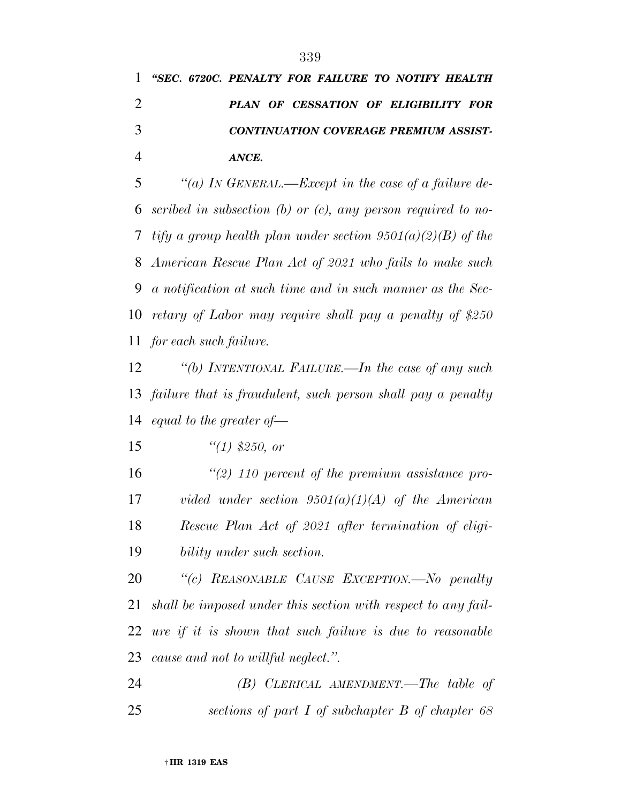## *''SEC. 6720C. PENALTY FOR FAILURE TO NOTIFY HEALTH PLAN OF CESSATION OF ELIGIBILITY FOR CONTINUATION COVERAGE PREMIUM ASSIST-ANCE.*

 *''(a) IN GENERAL.—Except in the case of a failure de- scribed in subsection (b) or (c), any person required to no- tify a group health plan under section 9501(a)(2)(B) of the American Rescue Plan Act of 2021 who fails to make such a notification at such time and in such manner as the Sec- retary of Labor may require shall pay a penalty of \$250 for each such failure.* 

 *''(b) INTENTIONAL FAILURE.—In the case of any such failure that is fraudulent, such person shall pay a penalty equal to the greater of—* 

*''(1) \$250, or* 

 *''(2) 110 percent of the premium assistance pro- vided under section 9501(a)(1)(A) of the American Rescue Plan Act of 2021 after termination of eligi-bility under such section.* 

 *''(c) REASONABLE CAUSE EXCEPTION.—No penalty shall be imposed under this section with respect to any fail- ure if it is shown that such failure is due to reasonable cause and not to willful neglect.''.* 

 *(B) CLERICAL AMENDMENT.—The table of sections of part I of subchapter B of chapter 68*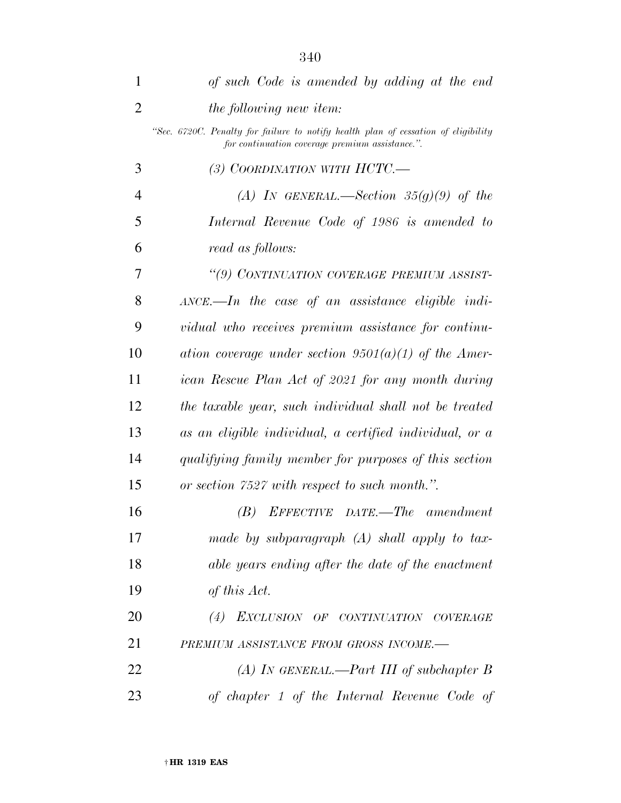| 1              | of such Code is amended by adding at the end                                                                                          |
|----------------|---------------------------------------------------------------------------------------------------------------------------------------|
| $\overline{2}$ | the following new item:                                                                                                               |
|                | "Sec. 6720C. Penalty for failure to notify health plan of cessation of eligibility<br>for continuation coverage premium assistance.". |
| 3              | (3) COORDINATION WITH $HCTC$ .                                                                                                        |
| $\overline{4}$ | (A) IN GENERAL.—Section 35(g)(9) of the                                                                                               |
| 5              | Internal Revenue Code of 1986 is amended to                                                                                           |
| 6              | read as follows:                                                                                                                      |
| 7              | "(9) CONTINUATION COVERAGE PREMIUM ASSIST-                                                                                            |
| 8              | $\Delta NCE$ . In the case of an assistance eligible indi-                                                                            |
| 9              | vidual who receives premium assistance for continu-                                                                                   |
| 10             | ation coverage under section $9501(a)(1)$ of the Amer-                                                                                |
| 11             | ican Rescue Plan Act of 2021 for any month during                                                                                     |
| 12             | the taxable year, such individual shall not be treated                                                                                |
| 13             | as an eligible individual, a certified individual, or a                                                                               |
| 14             | qualifying family member for purposes of this section                                                                                 |
| 15             | or section 7527 with respect to such month.".                                                                                         |
| 16             | EFFECTIVE DATE.—The amendment<br>(B)                                                                                                  |
| 17             | made by subparagraph $(A)$ shall apply to tax-                                                                                        |
| 18             | able years ending after the date of the enactment                                                                                     |
| 19             | of this Act.                                                                                                                          |
| 20             | (4) EXCLUSION OF CONTINUATION COVERAGE                                                                                                |
| 21             | PREMIUM ASSISTANCE FROM GROSS INCOME.-                                                                                                |
| 22             | (A) IN GENERAL.—Part III of subchapter B                                                                                              |
| 23             | of chapter 1 of the Internal Revenue Code of                                                                                          |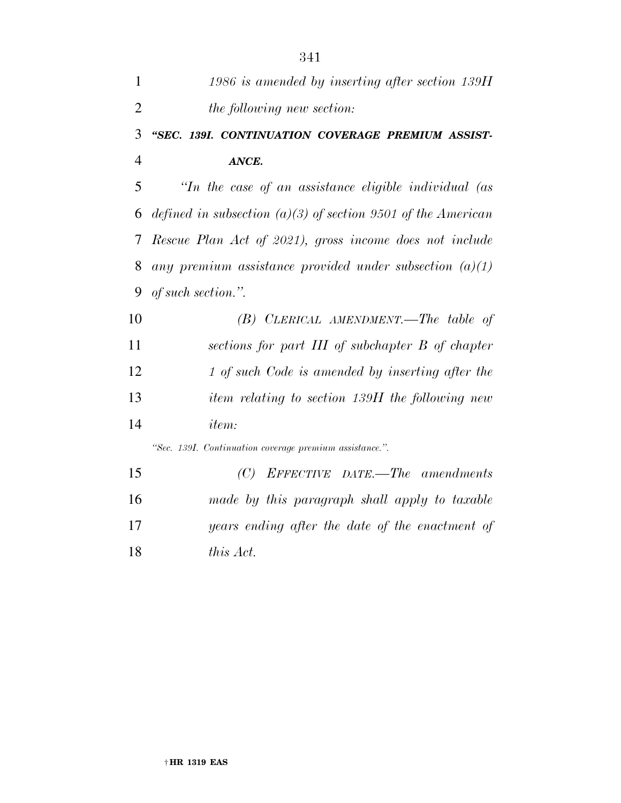| $\mathbf{1}$   | 1986 is amended by inserting after section 139H              |
|----------------|--------------------------------------------------------------|
| $\overline{2}$ | the following new section:                                   |
| 3              | "SEC. 139I. CONTINUATION COVERAGE PREMIUM ASSIST-            |
| $\overline{4}$ | ANCE.                                                        |
| 5              | "In the case of an assistance eligible individual (as        |
| 6              | defined in subsection (a)(3) of section 9501 of the American |
| 7              | Rescue Plan Act of 2021), gross income does not include      |
| 8              | any premium assistance provided under subsection $(a)(1)$    |
| 9              | of such section.".                                           |
| 10             | $(B)$ CLERICAL AMENDMENT.—The table of                       |
| 11             | sections for part III of subchapter B of chapter             |
| 12             | 1 of such Code is amended by inserting after the             |
| 13             | item relating to section 139H the following new              |
| 14             | <i>item:</i>                                                 |
|                | "Sec. 139I. Continuation coverage premium assistance.".      |
| 15             | (C)<br>EFFECTIVE DATE.—The amendments                        |
| 16             | made by this paragraph shall apply to taxable                |
| 17             | years ending after the date of the enactment of              |

*this Act.*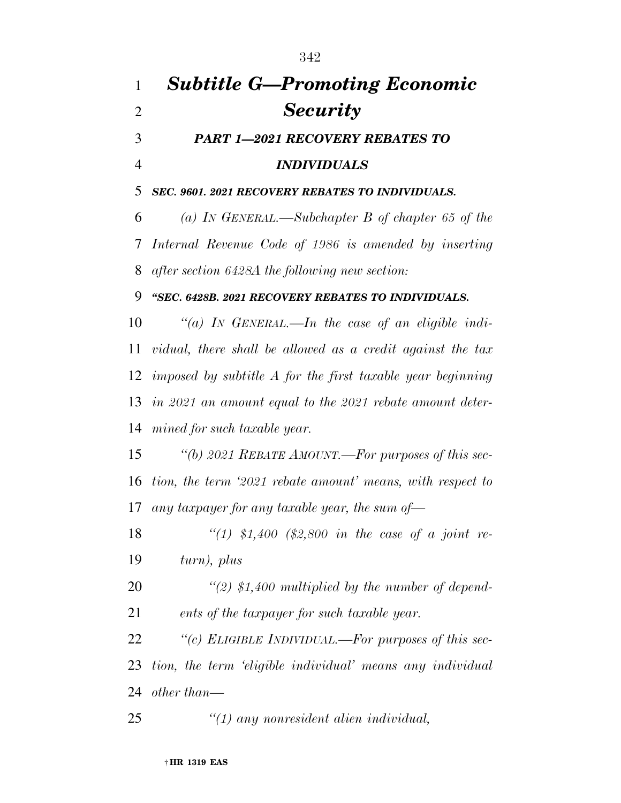## *Subtitle G—Promoting Economic Security PART 1—2021 RECOVERY REBATES TO INDIVIDUALS SEC. 9601. 2021 RECOVERY REBATES TO INDIVIDUALS. (a) IN GENERAL.—Subchapter B of chapter 65 of the Internal Revenue Code of 1986 is amended by inserting after section 6428A the following new section: ''SEC. 6428B. 2021 RECOVERY REBATES TO INDIVIDUALS. ''(a) IN GENERAL.—In the case of an eligible indi- vidual, there shall be allowed as a credit against the tax imposed by subtitle A for the first taxable year beginning in 2021 an amount equal to the 2021 rebate amount deter- mined for such taxable year. ''(b) 2021 REBATE AMOUNT.—For purposes of this sec- tion, the term '2021 rebate amount' means, with respect to any taxpayer for any taxable year, the sum of— ''(1) \$1,400 (\$2,800 in the case of a joint re- turn), plus ''(2) \$1,400 multiplied by the number of depend- ents of the taxpayer for such taxable year. ''(c) ELIGIBLE INDIVIDUAL.—For purposes of this sec- tion, the term 'eligible individual' means any individual other than— ''(1) any nonresident alien individual,*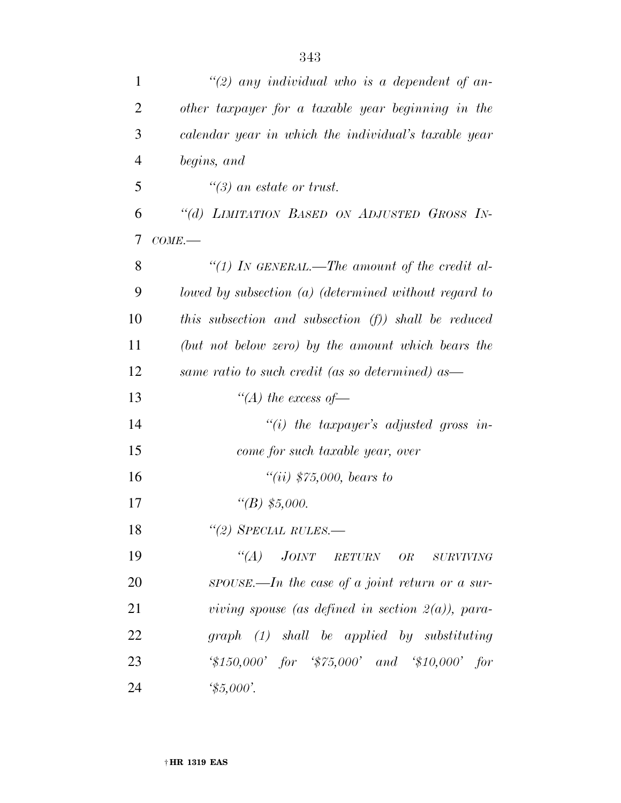| $\mathbf{1}$   | "(2) any individual who is a dependent of an-                                                             |
|----------------|-----------------------------------------------------------------------------------------------------------|
| $\overline{2}$ | other taxpayer for a taxable year beginning in the                                                        |
| 3              | calendar year in which the individual's taxable year                                                      |
| $\overline{4}$ | begins, and                                                                                               |
| 5              | $\lq(3)$ an estate or trust.                                                                              |
| 6              | "(d) LIMITATION BASED ON ADJUSTED GROSS IN-                                                               |
| 7              | COME.                                                                                                     |
| 8              | "(1) In GENERAL.—The amount of the credit al-                                                             |
| 9              | lowed by subsection $(a)$ (determined without regard to                                                   |
| 10             | this subsection and subsection $(f)$ ) shall be reduced                                                   |
| 11             | (but not below zero) by the amount which bears the                                                        |
| 12             | same ratio to such credit (as so determined) as—                                                          |
| 13             | "(A) the excess of $-$                                                                                    |
| 14             | "(i) the taxpayer's adjusted gross in-                                                                    |
| 15             | come for such taxable year, over                                                                          |
| 16             | $``(ii)$ \$75,000, bears to                                                                               |
| 17             | "(B) $$5,000$ .                                                                                           |
| 18             | $\lq(2)$ SPECIAL RULES.—                                                                                  |
| 19             | $``(A)$ JOINT RETURN OR<br>$\small \textit{SURVIVING}$                                                    |
| 20             | $SPOUSE$ —In the case of a joint return or a sur-                                                         |
| 21             | viving spouse (as defined in section $2(a)$ ), para-                                                      |
| 22             | $graph (1)$ shall be applied by substituting                                                              |
| 23             | $\text{\textdegree{*}}150,000'$ for $\text{\textdegree{*}}75,000'$ and $\text{\textdegree{*}}10,000'$ for |
| 24             | $\frac{4}{5,000}.$                                                                                        |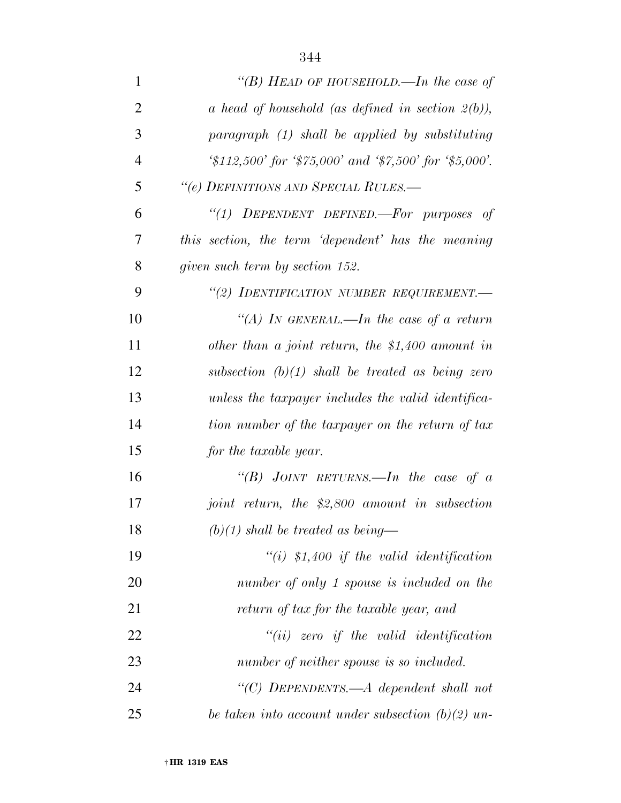| $\mathbf{1}$   | "(B) HEAD OF HOUSEHOLD.—In the case of                                                      |
|----------------|---------------------------------------------------------------------------------------------|
| $\overline{2}$ | a head of household (as defined in section $2(b)$ ),                                        |
| 3              | paragraph (1) shall be applied by substituting                                              |
| $\overline{4}$ | $\frac{1}{2}12,500$ for $\frac{1}{2}75,000$ and $\frac{1}{2}7,500$ for $\frac{1}{2}5,000$ . |
| 5              | "(e) DEFINITIONS AND SPECIAL RULES.—                                                        |
| 6              | "(1) DEPENDENT DEFINED.-For purposes of                                                     |
| 7              | this section, the term 'dependent' has the meaning                                          |
| 8              | given such term by section 152.                                                             |
| 9              | "(2) IDENTIFICATION NUMBER REQUIREMENT.-                                                    |
| 10             | "(A) In GENERAL.—In the case of a return                                                    |
| 11             | other than a joint return, the $$1,400$ amount in                                           |
| 12             | subsection $(b)(1)$ shall be treated as being zero                                          |
| 13             | unless the taxpayer includes the valid identifica-                                          |
| 14             | tion number of the taxpayer on the return of tax                                            |
| 15             | for the taxable year.                                                                       |
| 16             | "(B) JOINT RETURNS.—In the case of a                                                        |
| 17             | joint return, the \$2,800 amount in subsection                                              |
| 18             | $(b)(1)$ shall be treated as being—                                                         |
| 19             | $``(i)$ \$1,400 if the valid identification                                                 |
| 20             | number of only 1 spouse is included on the                                                  |
| 21             | return of tax for the taxable year, and                                                     |
| 22             | $``(ii)$ zero if the valid identification                                                   |
| 23             | number of neither spouse is so included.                                                    |
| 24             | "(C) DEPENDENTS.—A dependent shall not                                                      |
| 25             | be taken into account under subsection $(b)(2)$ un-                                         |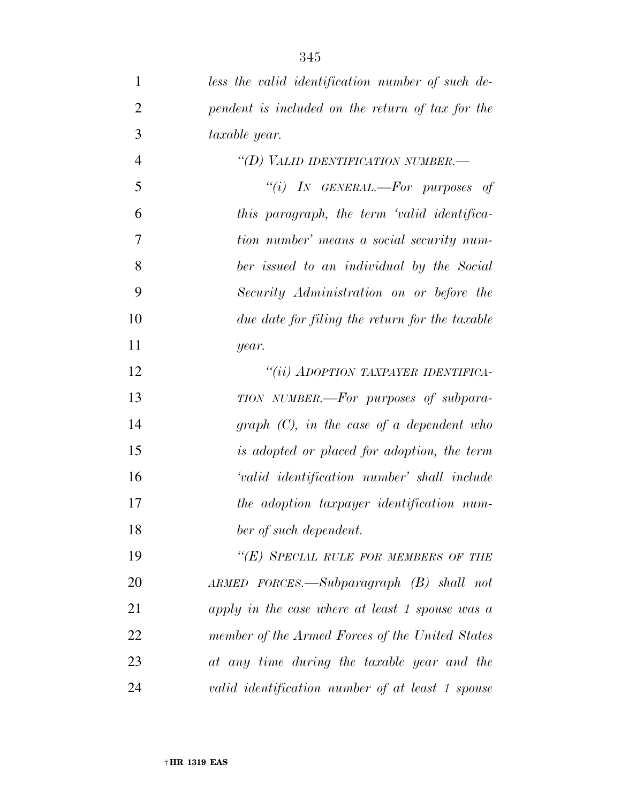| $\mathbf{1}$   | less the valid identification number of such de- |
|----------------|--------------------------------------------------|
| $\overline{2}$ | pendent is included on the return of tax for the |
| 3              | taxable year.                                    |
| $\overline{4}$ | "(D) VALID IDENTIFICATION NUMBER.-               |
| 5              | "(i) IN GENERAL.—For purposes of                 |
| 6              | this paragraph, the term 'valid identifica-      |
| 7              | tion number' means a social security num-        |
| 8              | ber issued to an individual by the Social        |
| 9              | Security Administration on or before the         |
| 10             | due date for filing the return for the taxable   |
| 11             | year.                                            |
| 12             | "(ii) ADOPTION TAXPAYER IDENTIFICA-              |
| 13             | TION NUMBER.—For purposes of subpara-            |
| 14             | graph $(C)$ , in the case of a dependent who     |
| 15             | is adopted or placed for adoption, the term      |
| 16             | 'valid identification number' shall include      |
| 17             | the adoption taxpayer identification num-        |
| 18             | ber of such dependent.                           |
| 19             | "(E) SPECIAL RULE FOR MEMBERS OF THE             |
| 20             | ARMED FORCES.—Subparagraph (B) shall not         |
| 21             | apply in the case where at least 1 spouse was a  |
| 22             | member of the Armed Forces of the United States  |
| 23             | at any time during the taxable year and the      |
| 24             | valid identification number of at least 1 spouse |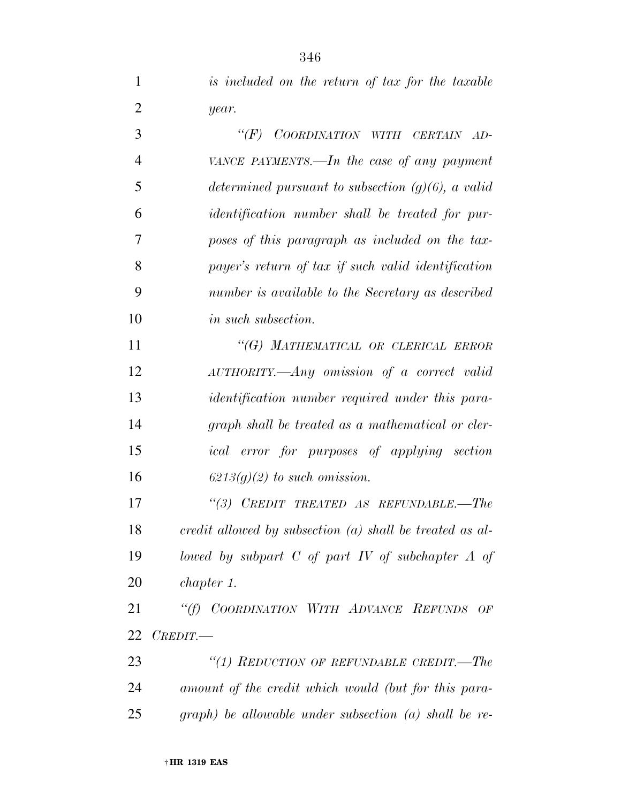|   | is included on the return of tax for the taxable |  |  |
|---|--------------------------------------------------|--|--|
| 2 | year.                                            |  |  |

 *''(F) COORDINATION WITH CERTAIN AD- VANCE PAYMENTS.—In the case of any payment determined pursuant to subsection (g)(6), a valid identification number shall be treated for pur- poses of this paragraph as included on the tax- payer's return of tax if such valid identification number is available to the Secretary as described in such subsection. ''(G) MATHEMATICAL OR CLERICAL ERROR AUTHORITY.—Any omission of a correct valid identification number required under this para- graph shall be treated as a mathematical or cler- ical error for purposes of applying section 6213(g)(2) to such omission. ''(3) CREDIT TREATED AS REFUNDABLE.—The credit allowed by subsection (a) shall be treated as al- lowed by subpart C of part IV of subchapter A of chapter 1. ''(f) COORDINATION WITH ADVANCE REFUNDS OF CREDIT.—* 

 *''(1) REDUCTION OF REFUNDABLE CREDIT.—The amount of the credit which would (but for this para-graph) be allowable under subsection (a) shall be re-*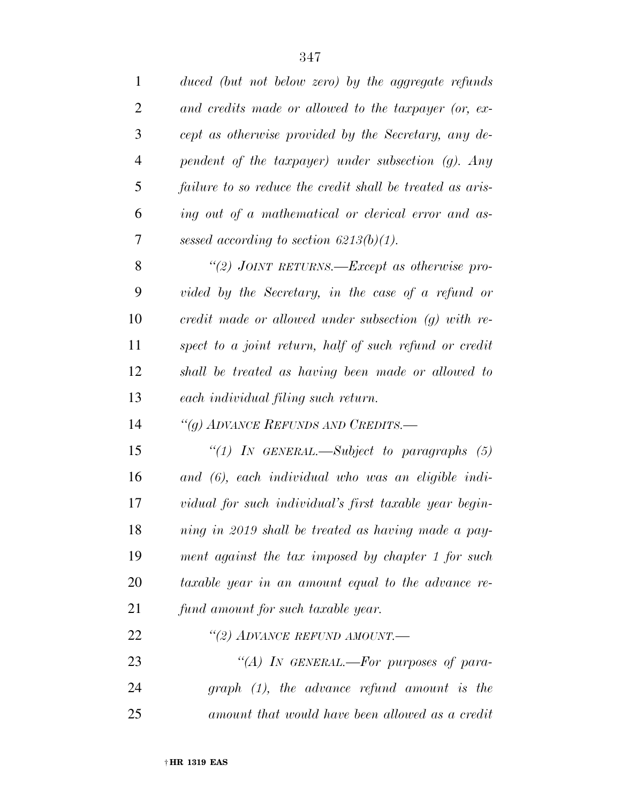| $\mathbf{1}$ | duced (but not below zero) by the aggregate refunds       |
|--------------|-----------------------------------------------------------|
| 2            | and credits made or allowed to the taxpayer (or, ex-      |
| 3            | cept as otherwise provided by the Secretary, any de-      |
| 4            | pendent of the taxpayer) under subsection $(g)$ . Any     |
| 5            | failure to so reduce the credit shall be treated as aris- |
| 6            | ing out of a mathematical or clerical error and as-       |
| 7            | sessed according to section $6213(b)(1)$ .                |
| 8            | "(2) JOINT RETURNS.—Except as otherwise pro-              |
| 9            | vided by the Secretary, in the case of a refund or        |
| 10           | credit made or allowed under subsection $(g)$ with re-    |
| 11           | spect to a joint return, half of such refund or credit    |
| 12           | shall be treated as having been made or allowed to        |
| 13           | each individual filing such return.                       |
| 14           | "(g) ADVANCE REFUNDS AND CREDITS.-                        |
| 15           | "(1) IN GENERAL.—Subject to paragraphs $(5)$              |
| 16           | and (6), each individual who was an eligible indi-        |
| 17           | vidual for such individual's first taxable year begin-    |
| 18           | ning in 2019 shall be treated as having made a pay-       |
| 19           | ment against the tax imposed by chapter 1 for such        |
| 20           | taxable year in an amount equal to the advance re-        |
| 21           | fund amount for such taxable year.                        |
| 22           | "(2) ADVANCE REFUND AMOUNT.—                              |
| 23           | "(A) IN GENERAL.—For purposes of para-                    |
| 24           | $graph (1)$ , the advance refund amount is the            |
| 25           | amount that would have been allowed as a credit           |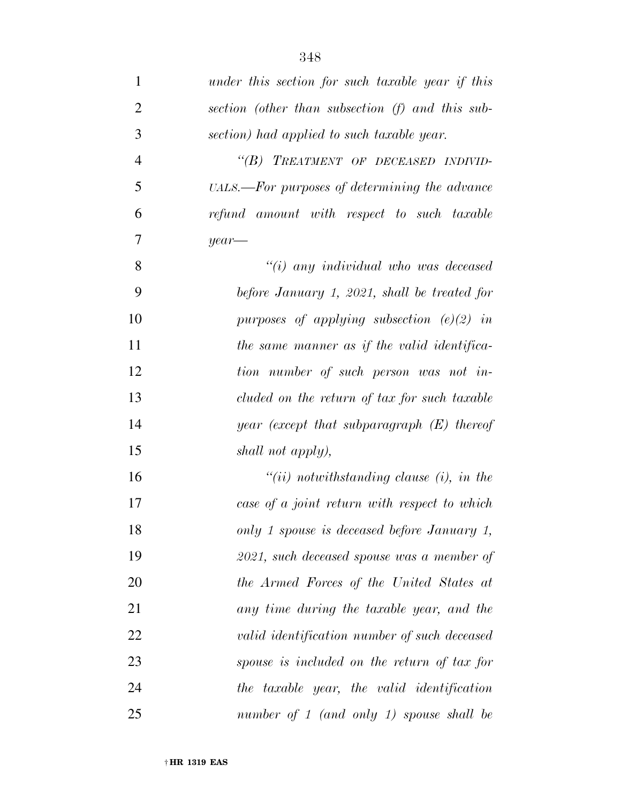| $\mathbf{1}$   | under this section for such taxable year if this |
|----------------|--------------------------------------------------|
| $\overline{2}$ | section (other than subsection (f) and this sub- |
| 3              | section) had applied to such taxable year.       |
| $\overline{4}$ | "(B) TREATMENT OF DECEASED INDIVID-              |
| 5              | UALS.—For purposes of determining the advance    |
| 6              | refund amount with respect to such taxable       |
| 7              | $year-$                                          |
| 8              | $"(i)$ any individual who was deceased           |
| 9              | before January 1, 2021, shall be treated for     |
| 10             | purposes of applying subsection $(e)(2)$ in      |
| 11             | the same manner as if the valid identifica-      |
| 12             | tion number of such person was not in-           |
| 13             | cluded on the return of tax for such taxable     |
| 14             | year (except that subparagraph $(E)$ thereof     |
| 15             | shall not apply),                                |
| 16             | $``(ii)$ notwithstanding clause (i), in the      |
| 17             | case of a joint return with respect to which     |
| 18             | only 1 spouse is deceased before January 1,      |
| 19             | 2021, such deceased spouse was a member of       |
| 20             | the Armed Forces of the United States at         |
| 21             | any time during the taxable year, and the        |
| 22             | valid identification number of such deceased     |
| 23             | spouse is included on the return of tax for      |
| 24             | the taxable year, the valid identification       |
| 25             | number of $1$ (and only $1$ ) spouse shall be    |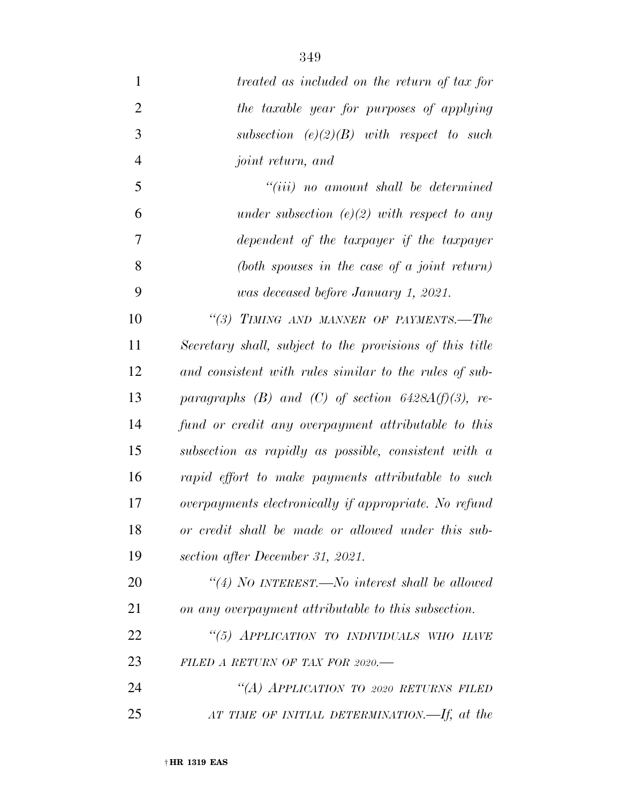| $\mathbf{1}$   | treated as included on the return of tax for             |
|----------------|----------------------------------------------------------|
| $\overline{2}$ | the taxable year for purposes of applying                |
| 3              | subsection $(e)(2)(B)$ with respect to such              |
| $\overline{4}$ | joint return, and                                        |
| 5              | $``(iii)$ no amount shall be determined                  |
| 6              | under subsection $(e)(2)$ with respect to any            |
| 7              | dependent of the taxpayer if the taxpayer                |
| 8              | (both spouses in the case of a joint return)             |
| 9              | was deceased before January 1, 2021.                     |
| 10             | "(3) TIMING AND MANNER OF PAYMENTS.-The                  |
| 11             | Secretary shall, subject to the provisions of this title |
| 12             | and consistent with rules similar to the rules of sub-   |
| 13             | paragraphs (B) and (C) of section $6428A(f)(3)$ , re-    |
| 14             | fund or credit any overpayment attributable to this      |
| 15             | subsection as rapidly as possible, consistent with a     |
| 16             | rapid effort to make payments attributable to such       |
| 17             | overpayments electronically if appropriate. No refund    |
| 18             | or credit shall be made or allowed under this sub-       |
| 19             | section after December 31, 2021.                         |
| 20             | "(4) NO INTEREST.—No interest shall be allowed           |
| 21             | on any overpayment attributable to this subsection.      |
| 22             | "(5) APPLICATION TO INDIVIDUALS WHO HAVE                 |
| 23             | FILED A RETURN OF TAX FOR 2020.-                         |
| 24             | "(A) APPLICATION TO 2020 RETURNS FILED                   |
| 25             | AT TIME OF INITIAL DETERMINATION.—If, at the             |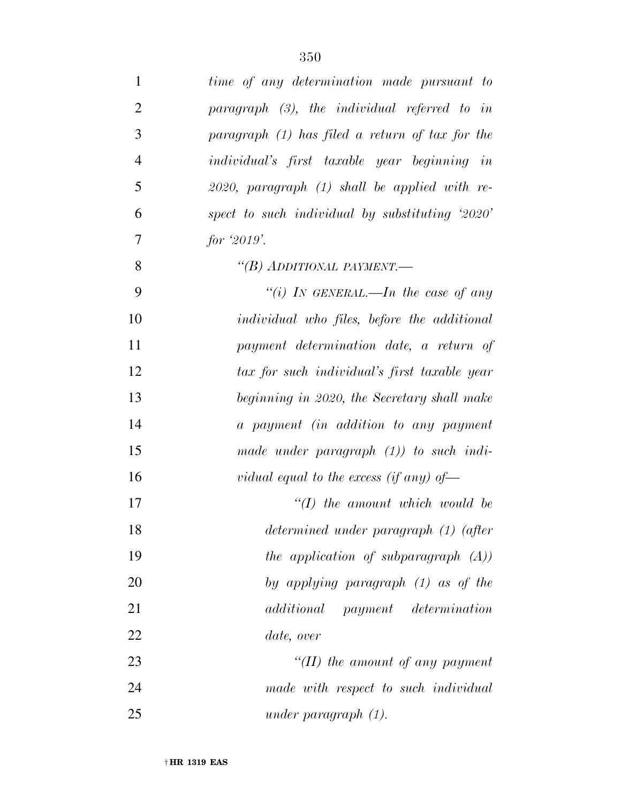| $\mathbf{1}$   | time of any determination made pursuant to         |
|----------------|----------------------------------------------------|
| $\overline{2}$ | paragraph $(3)$ , the individual referred to in    |
| 3              | paragraph $(1)$ has filed a return of tax for the  |
| $\overline{4}$ | individual's first taxable year beginning in       |
| 5              | $2020$ , paragraph $(1)$ shall be applied with re- |
| 6              | spect to such individual by substituting $2020'$   |
| 7              | for $2019$ .                                       |
| 8              | "(B) ADDITIONAL PAYMENT.—                          |
| 9              | "(i) IN GENERAL.—In the case of any                |
| 10             | individual who files, before the additional        |
| 11             | payment determination date, a return of            |
| 12             | tax for such individual's first taxable year       |
| 13             | beginning in 2020, the Secretary shall make        |
| 14             | a payment (in addition to any payment              |
| 15             | made under paragraph $(1)$ ) to such indi-         |
| 16             | vidual equal to the excess (if any) of $-$         |
| 17             | $\lq (I)$ the amount which would be                |
| 18             | determined under paragraph (1) (after              |
| 19             | the application of subparagraph $(A)$ )            |
| 20             | by applying paragraph (1) as of the                |
| 21             | additional<br><i>payment determination</i>         |
| 22             | date, over                                         |
| 23             | $H(H)$ the amount of any payment                   |
| 24             | made with respect to such individual               |
| 25             | under paragraph $(1)$ .                            |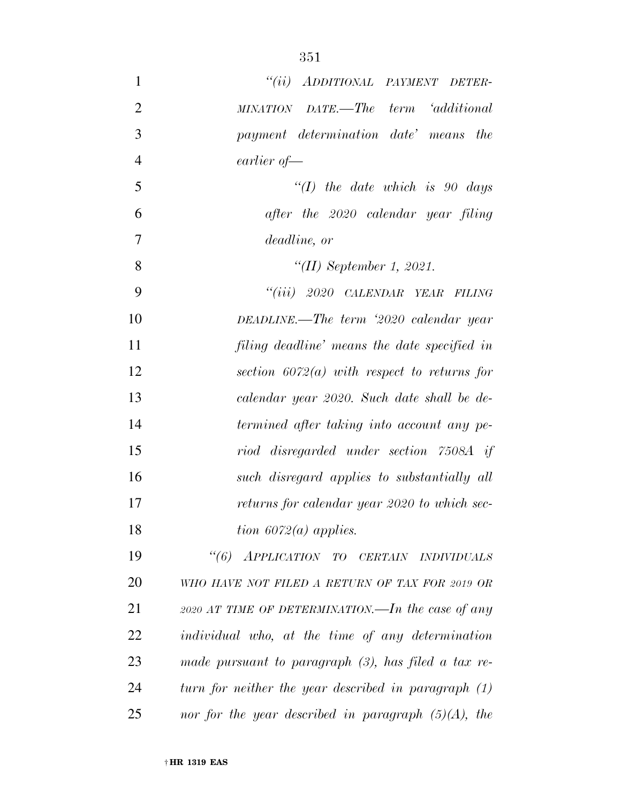| $\mathbf{1}$   | "(ii) ADDITIONAL PAYMENT DETER-                        |
|----------------|--------------------------------------------------------|
| $\overline{2}$ | MINATION DATE.—The term 'additional                    |
| 3              | payment determination date' means the                  |
| $\overline{4}$ | earlier of-                                            |
| 5              | $\lq (I)$ the date which is 90 days                    |
| 6              | after the 2020 calendar year filing                    |
| 7              | deadline, or                                           |
| 8              | "(II) September 1, 2021.                               |
| 9              | "(iii) 2020 CALENDAR YEAR FILING                       |
| 10             | DEADLINE.—The term $2020$ calendar year                |
| 11             | filing deadline' means the date specified in           |
| 12             | section $6072(a)$ with respect to returns for          |
| 13             | calendar year 2020. Such date shall be de-             |
| 14             | termined after taking into account any pe-             |
| 15             | riod disregarded under section 7508A if                |
| 16             | such disregard applies to substantially all            |
| 17             | returns for calendar year 2020 to which sec-           |
| 18             | tion $6072(a)$ applies.                                |
| 19             | "(6) APPLICATION TO CERTAIN INDIVIDUALS                |
| 20             | WHO HAVE NOT FILED A RETURN OF TAX FOR 2019 OR         |
| 21             | 2020 AT TIME OF DETERMINATION.—In the case of any      |
| 22             | individual who, at the time of any determination       |
| 23             | made pursuant to paragraph $(3)$ , has filed a tax re- |
| 24             | turn for neither the year described in paragraph $(1)$ |
| 25             | nor for the year described in paragraph $(5)(A)$ , the |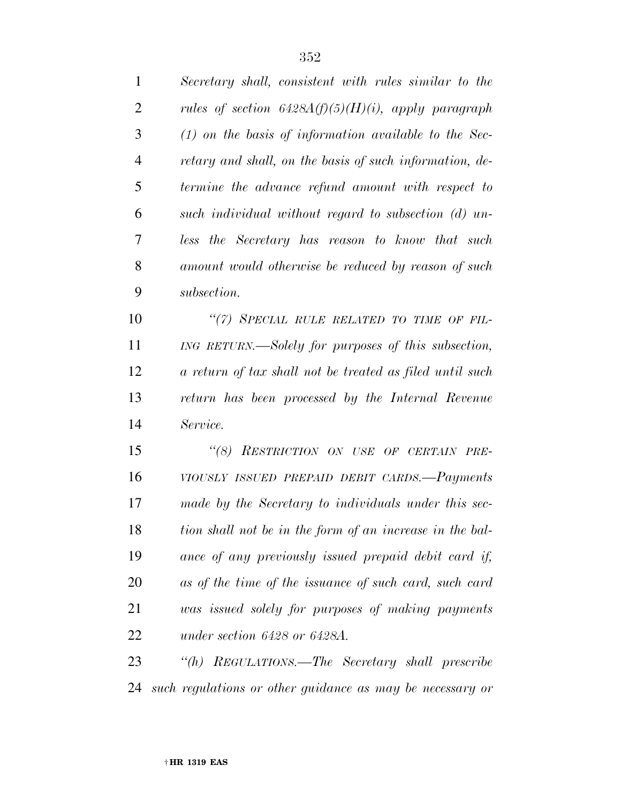| $\mathbf{1}$   | Secretary shall, consistent with rules similar to the     |
|----------------|-----------------------------------------------------------|
| $\overline{2}$ | rules of section $6428A(f)(5)(H)(i)$ , apply paragraph    |
| 3              | $(1)$ on the basis of information available to the Sec-   |
| $\overline{4}$ | retary and shall, on the basis of such information, de-   |
| 5              | termine the advance refund amount with respect to         |
| 6              | such individual without regard to subsection (d) un-      |
| 7              | less the Secretary has reason to know that such           |
| 8              | amount would otherwise be reduced by reason of such       |
| 9              | subsection.                                               |
| 10             | "(7) SPECIAL RULE RELATED TO TIME OF FIL-                 |
| 11             | ING RETURN.—Solely for purposes of this subsection,       |
| 12             | a return of tax shall not be treated as filed until such  |
| 13             | return has been processed by the Internal Revenue         |
| 14             | Service.                                                  |
| 15             | RESTRICTION ON USE OF CERTAIN PRE-<br>``(8)               |
| 16             | VIOUSLY ISSUED PREPAID DEBIT CARDS.-Payments              |
| 17             | made by the Secretary to individuals under this sec-      |
| 18             | tion shall not be in the form of an increase in the bal-  |
| 19             | ance of any previously issued prepaid debit card if,      |
| 20             | as of the time of the issuance of such card, such card    |
| 21             | was issued solely for purposes of making payments         |
| 22             | under section 6428 or 6428A.                              |
| 23             | "(h) REGULATIONS.—The Secretary shall prescribe           |
| 24             | such regulations or other guidance as may be necessary or |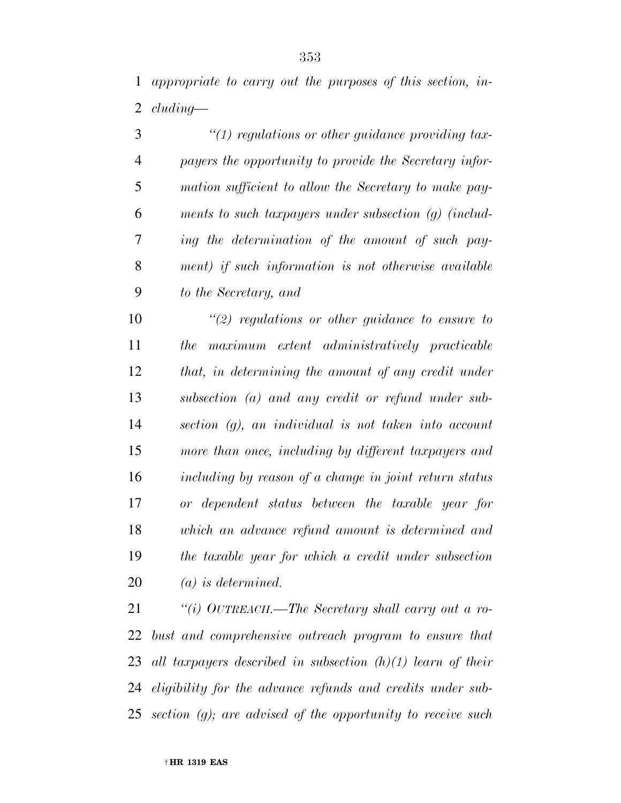| 3              | $\lq(1)$ regulations or other guidance providing tax-   |
|----------------|---------------------------------------------------------|
| $\overline{4}$ | payers the opportunity to provide the Secretary infor-  |
| 5              | mation sufficient to allow the Secretary to make pay-   |
| 6              | ments to such taxpayers under subsection $(q)$ (includ- |
| 7              | ing the determination of the amount of such pay-        |
| 8              | ment) if such information is not otherwise available    |
| 9              | to the Secretary, and                                   |

 *''(2) regulations or other guidance to ensure to the maximum extent administratively practicable that, in determining the amount of any credit under subsection (a) and any credit or refund under sub- section (g), an individual is not taken into account more than once, including by different taxpayers and including by reason of a change in joint return status or dependent status between the taxable year for which an advance refund amount is determined and the taxable year for which a credit under subsection (a) is determined.* 

 *''(i) OUTREACH.—The Secretary shall carry out a ro- bust and comprehensive outreach program to ensure that all taxpayers described in subsection (h)(1) learn of their eligibility for the advance refunds and credits under sub-section (g); are advised of the opportunity to receive such*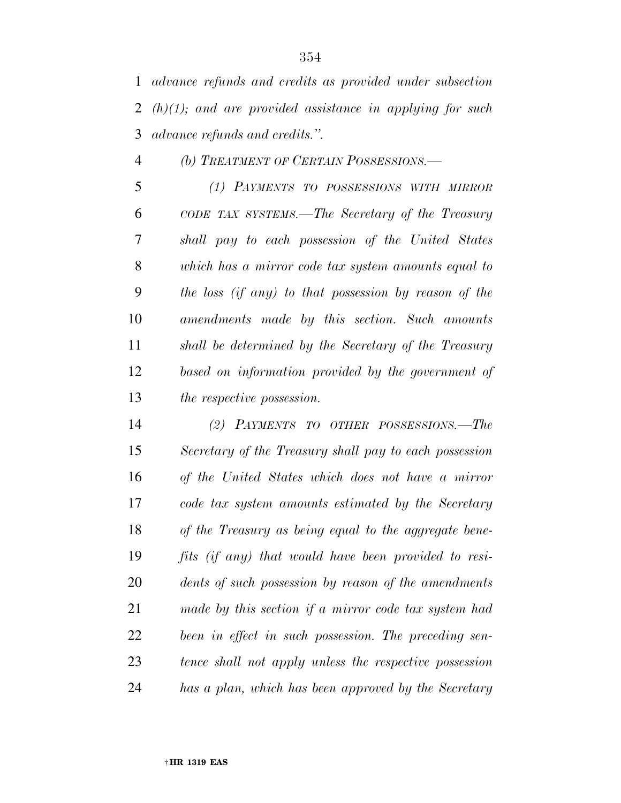*advance refunds and credits as provided under subsection (h)(1); and are provided assistance in applying for such advance refunds and credits.''.* 

*(b) TREATMENT OF CERTAIN POSSESSIONS.—* 

 *(1) PAYMENTS TO POSSESSIONS WITH MIRROR CODE TAX SYSTEMS.—The Secretary of the Treasury shall pay to each possession of the United States which has a mirror code tax system amounts equal to the loss (if any) to that possession by reason of the amendments made by this section. Such amounts shall be determined by the Secretary of the Treasury based on information provided by the government of the respective possession.* 

 *(2) PAYMENTS TO OTHER POSSESSIONS.—The Secretary of the Treasury shall pay to each possession of the United States which does not have a mirror code tax system amounts estimated by the Secretary of the Treasury as being equal to the aggregate bene- fits (if any) that would have been provided to resi- dents of such possession by reason of the amendments made by this section if a mirror code tax system had been in effect in such possession. The preceding sen- tence shall not apply unless the respective possession has a plan, which has been approved by the Secretary*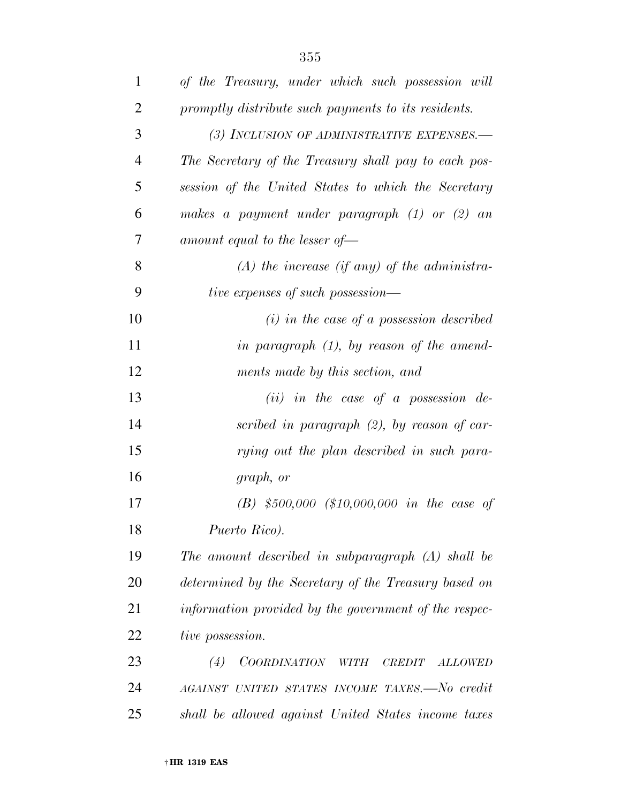| $\mathbf{1}$   | of the Treasury, under which such possession will     |
|----------------|-------------------------------------------------------|
| $\overline{2}$ | promptly distribute such payments to its residents.   |
| 3              | (3) INCLUSION OF ADMINISTRATIVE EXPENSES.-            |
| $\overline{4}$ | The Secretary of the Treasury shall pay to each pos-  |
| 5              | session of the United States to which the Secretary   |
| 6              | makes a payment under paragraph $(1)$ or $(2)$ an     |
| 7              | amount equal to the lesser of $\equiv$                |
| 8              | $(A)$ the increase (if any) of the administra-        |
| 9              | tive expenses of such possession—                     |
| 10             | $(i)$ in the case of a possession described           |
| 11             | in paragraph $(1)$ , by reason of the amend-          |
| 12             | ments made by this section, and                       |
| 13             | (ii) in the case of a possession de-                  |
| 14             | scribed in paragraph $(2)$ , by reason of car-        |
| 15             | rying out the plan described in such para-            |
| 16             | graph, or                                             |
| 17             | $(B)$ \$500,000 (\$10,000,000 in the case of          |
| 18             | Puerto Rico).                                         |
| 19             | The amount described in subparagraph $(A)$ shall be   |
| 20             | determined by the Secretary of the Treasury based on  |
| 21             | information provided by the government of the respec- |
| 22             | tive possession.                                      |
| 23             | COORDINATION WITH<br>(4)<br>CREDIT<br><b>ALLOWED</b>  |
| 24             | AGAINST UNITED STATES INCOME TAXES.-No credit         |
| 25             | shall be allowed against United States income taxes   |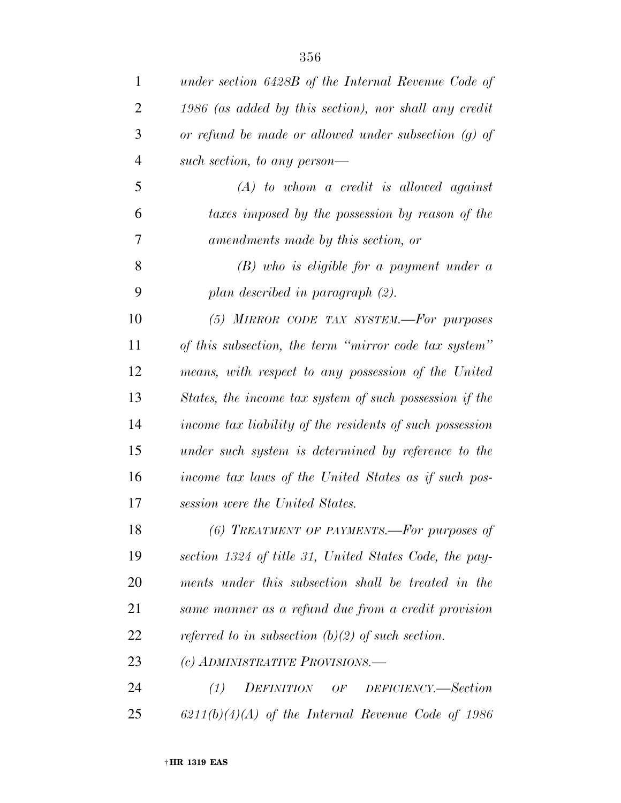| $\mathbf{1}$   | under section 6428B of the Internal Revenue Code of      |
|----------------|----------------------------------------------------------|
| 2              | 1986 (as added by this section), nor shall any credit    |
| 3              | or refund be made or allowed under subsection $(g)$ of   |
| $\overline{4}$ | such section, to any person-                             |
| 5              | $(A)$ to whom a credit is allowed against                |
| 6              | taxes imposed by the possession by reason of the         |
| 7              | amendments made by this section, or                      |
| 8              | $(B)$ who is eligible for a payment under a              |
| 9              | plan described in paragraph $(2)$ .                      |
| 10             | (5) MIRROR CODE TAX SYSTEM.-For purposes                 |
| 11             | of this subsection, the term "mirror code tax system"    |
| 12             | means, with respect to any possession of the United      |
| 13             | States, the income tax system of such possession if the  |
| 14             | income tax liability of the residents of such possession |
| 15             | under such system is determined by reference to the      |
| 16             | income tax laws of the United States as if such pos-     |
| 17             | session were the United States.                          |
| 18             | (6) TREATMENT OF PAYMENTS.—For purposes of               |
| 19             | section 1324 of title 31, United States Code, the pay-   |
| 20             | ments under this subsection shall be treated in the      |
| 21             | same manner as a refund due from a credit provision      |
| 22             | referred to in subsection (b)(2) of such section.        |
| 23             | (c) ADMINISTRATIVE PROVISIONS.—                          |
| 24             | (1)<br>DEFINITION OF<br>DEFICIENCY.—Section              |
| 25             | $6211(b)(4)(A)$ of the Internal Revenue Code of 1986     |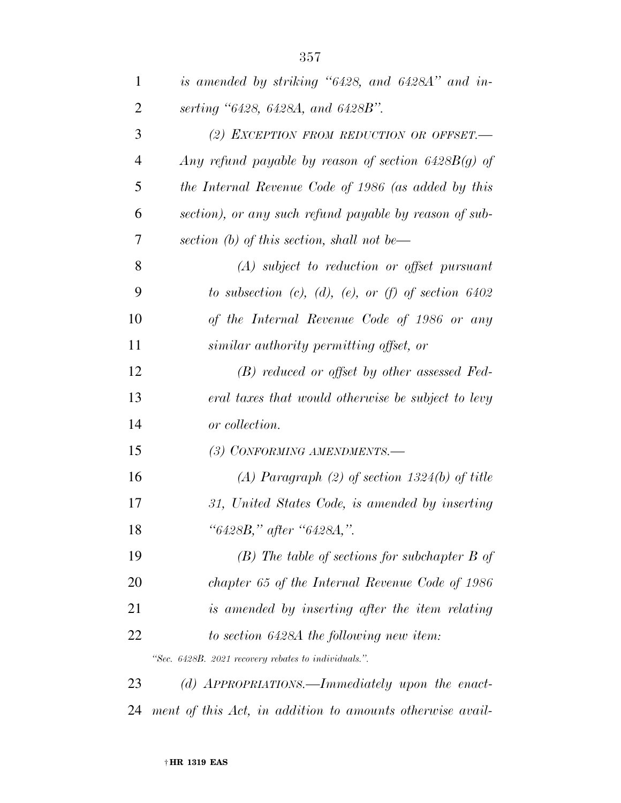| $\mathbf{1}$   | is amended by striking "6428, and 6428A" and in-               |
|----------------|----------------------------------------------------------------|
| $\overline{2}$ | serting "6428, 6428A, and 6428B".                              |
| 3              | (2) EXCEPTION FROM REDUCTION OR OFFSET.                        |
| $\overline{4}$ | Any refund payable by reason of section $6428B(g)$ of          |
| 5              | the Internal Revenue Code of 1986 (as added by this            |
| 6              | section), or any such refund payable by reason of sub-         |
| 7              | section (b) of this section, shall not be—                     |
| 8              | $(A)$ subject to reduction or offset pursuant                  |
| 9              | to subsection $(c)$ , $(d)$ , $(e)$ , or $(f)$ of section 6402 |
| 10             | of the Internal Revenue Code of 1986 or any                    |
| 11             | similar authority permitting offset, or                        |
| 12             | $(B)$ reduced or offset by other assessed Fed-                 |
| 13             | eral taxes that would otherwise be subject to levy             |
| 14             | or collection.                                                 |
| 15             | (3) CONFORMING AMENDMENTS.-                                    |
| 16             | (A) Paragraph (2) of section $1324(b)$ of title                |
| 17             | 31, United States Code, is amended by inserting                |
| 18             | "6428B," after "6428A,".                                       |
| 19             | $(B)$ The table of sections for subchapter $B$ of              |
| 20             | chapter 65 of the Internal Revenue Code of 1986                |
| 21             | is amended by inserting after the item relating                |
| 22             | to section 6428A the following new item:                       |
|                | "Sec. 6428B. 2021 recovery rebates to individuals.".           |
| 23             | (d) APPROPRIATIONS.—Immediately upon the enact-                |

*ment of this Act, in addition to amounts otherwise avail-*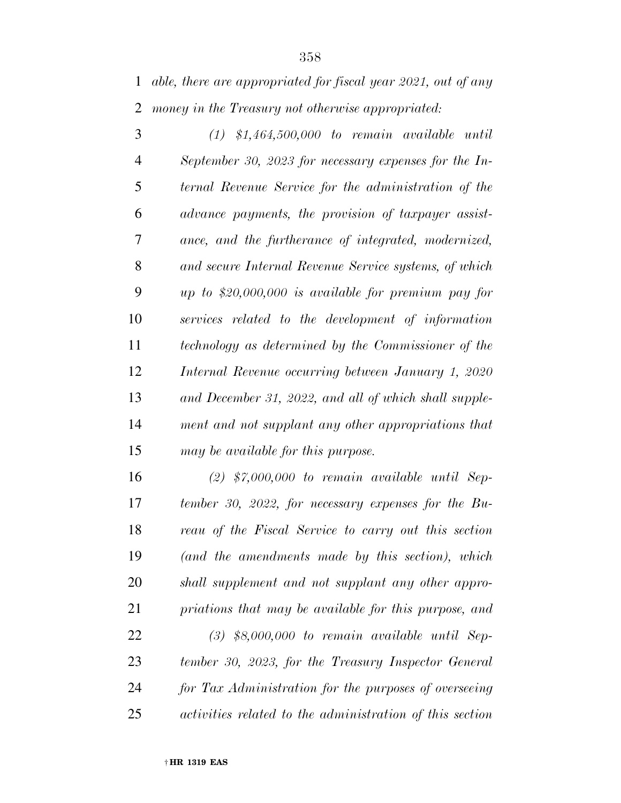*able, there are appropriated for fiscal year 2021, out of any money in the Treasury not otherwise appropriated:* 

 *(1) \$1,464,500,000 to remain available until September 30, 2023 for necessary expenses for the In- ternal Revenue Service for the administration of the advance payments, the provision of taxpayer assist- ance, and the furtherance of integrated, modernized, and secure Internal Revenue Service systems, of which up to \$20,000,000 is available for premium pay for services related to the development of information technology as determined by the Commissioner of the Internal Revenue occurring between January 1, 2020 and December 31, 2022, and all of which shall supple- ment and not supplant any other appropriations that may be available for this purpose.* 

 *(2) \$7,000,000 to remain available until Sep- tember 30, 2022, for necessary expenses for the Bu- reau of the Fiscal Service to carry out this section (and the amendments made by this section), which shall supplement and not supplant any other appro- priations that may be available for this purpose, and (3) \$8,000,000 to remain available until Sep- tember 30, 2023, for the Treasury Inspector General for Tax Administration for the purposes of overseeing activities related to the administration of this section*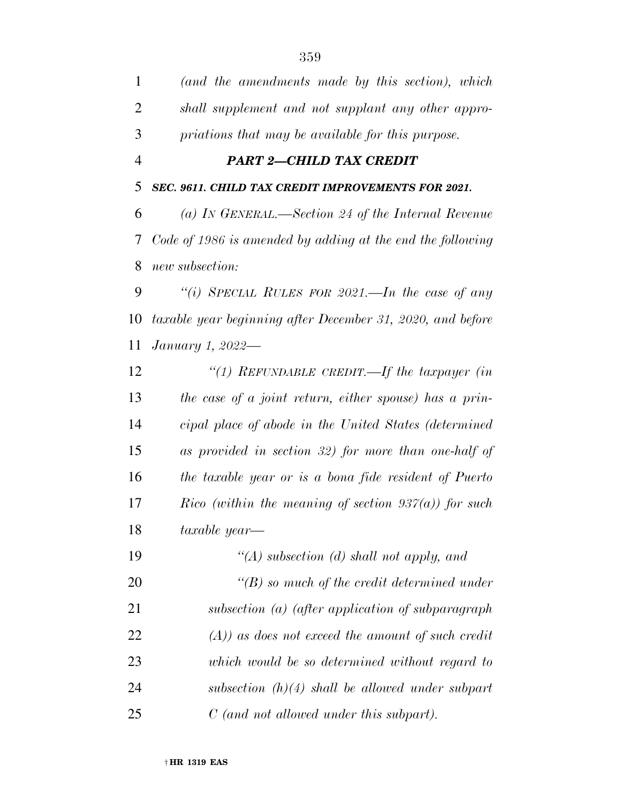| $\mathbf{1}$   | (and the amendments made by this section), which           |
|----------------|------------------------------------------------------------|
| $\overline{2}$ | shall supplement and not supplant any other appro-         |
| 3              | priations that may be available for this purpose.          |
| $\overline{4}$ | <b>PART 2-CHILD TAX CREDIT</b>                             |
| 5              | SEC. 9611. CHILD TAX CREDIT IMPROVEMENTS FOR 2021.         |
| 6              | (a) IN GENERAL.—Section 24 of the Internal Revenue         |
| 7              | Code of 1986 is amended by adding at the end the following |
| 8              | new subsection:                                            |
| 9              | "(i) SPECIAL RULES FOR 2021.—In the case of any            |
| 10             | taxable year beginning after December 31, 2020, and before |
| 11             | January 1, 2022—                                           |
| 12             | "(1) REFUNDABLE CREDIT.—If the taxpayer (in                |
| 13             | the case of a joint return, either spouse) has a prin-     |
| 14             | cipal place of abode in the United States (determined      |
| 15             | as provided in section 32) for more than one-half of       |
| 16             | the taxable year or is a bona fide resident of Puerto      |
| 17             | Rico (within the meaning of section $937(a)$ ) for such    |
| 18             | taxable year—                                              |
| 19             | "(A) subsection (d) shall not apply, and                   |
| 20             | $\lq\lq(B)$ so much of the credit determined under         |
| 21             | subsection $(a)$ (after application of subparagraph        |
| 22             | $(A)$ ) as does not exceed the amount of such credit       |
| 23             | which would be so determined without regard to             |
| 24             | subsection $(h)(4)$ shall be allowed under subpart         |
| 25             | $C$ (and not allowed under this subpart).                  |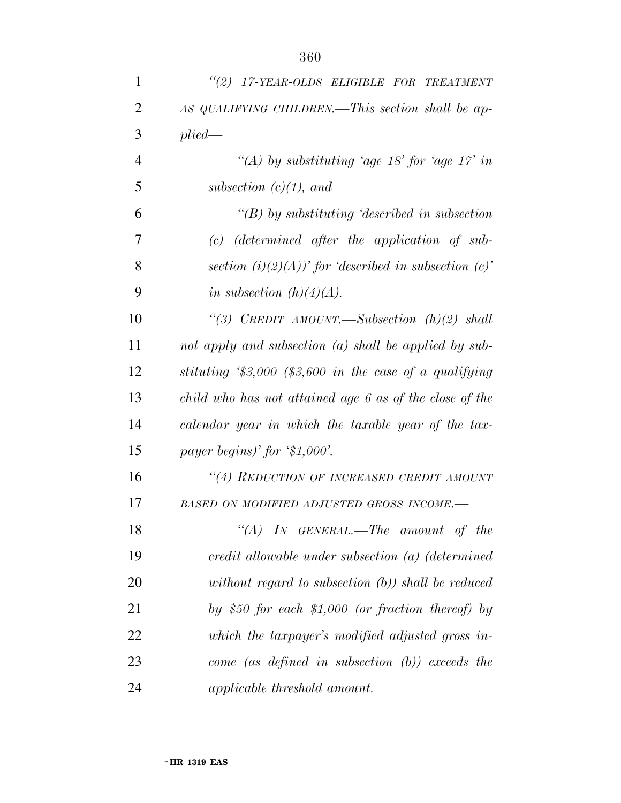| $\mathbf{1}$   | "(2) 17-YEAR-OLDS ELIGIBLE FOR TREATMENT                 |
|----------------|----------------------------------------------------------|
| $\overline{2}$ | AS QUALIFYING CHILDREN.—This section shall be ap-        |
| 3              | plied                                                    |
| $\overline{4}$ | "(A) by substituting 'age 18' for 'age 17' in            |
| 5              | subsection $(c)(1)$ , and                                |
| 6              | "(B) by substituting 'described in subsection            |
| 7              | $(c)$ (determined after the application of sub-          |
| 8              | section (i)(2)(A))' for 'described in subsection (c)'    |
| 9              | in subsection $(h)(4)(A)$ .                              |
| 10             | "(3) CREDIT AMOUNT.—Subsection $(h)(2)$ shall            |
| 11             | not apply and subsection (a) shall be applied by sub-    |
| 12             | stituting $\$3,000$ (\$3,600 in the case of a qualifying |
| 13             | child who has not attained age 6 as of the close of the  |
| 14             | calendar year in which the taxable year of the tax-      |
| 15             | payer begins)' for $$1,000$ '.                           |
| 16             | "(4) REDUCTION OF INCREASED CREDIT AMOUNT                |
| 17             | BASED ON MODIFIED ADJUSTED GROSS INCOME.-                |
| 18             | "(A) IN GENERAL.—The amount of the                       |
| 19             | credit allowable under subsection $(a)$ (determined      |
| 20             | without regard to subsection $(b)$ ) shall be reduced    |
| 21             | by \$50 for each \$1,000 (or fraction thereof) by        |
| 22             | which the taxpayer's modified adjusted gross in-         |
| 23             | come (as defined in subsection $(b)$ ) exceeds the       |
| 24             | applicable threshold amount.                             |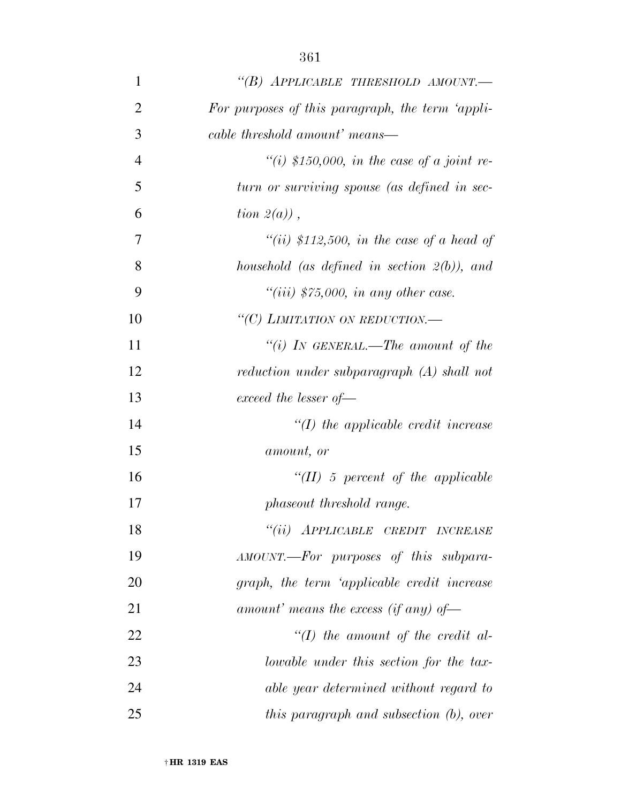| 1              | "(B) APPLICABLE THRESHOLD AMOUNT.                |
|----------------|--------------------------------------------------|
| $\overline{2}$ | For purposes of this paragraph, the term 'appli- |
| 3              | cable threshold amount' means—                   |
| $\overline{4}$ | "(i) \$150,000, in the case of a joint re-       |
| 5              | turn or surviving spouse (as defined in sec-     |
| 6              | tion $2(a)$ ,                                    |
| 7              | "(ii) \$112,500, in the case of a head of        |
| 8              | household (as defined in section $2(b)$ ), and   |
| 9              | "(iii) $$75,000$ , in any other case.            |
| 10             | "(C) LIMITATION ON REDUCTION.-                   |
| 11             | "(i) IN GENERAL.—The amount of the               |
| 12             | reduction under subparagraph (A) shall not       |
| 13             | exceed the lesser of $-$                         |
| 14             | $\lq (I)$ the applicable credit increase         |
| 15             | amount, or                                       |
| 16             | $\lq (II)$ 5 percent of the applicable           |
| 17             | phaseout threshold range.                        |
| 18             | "(ii) APPLICABLE CREDIT INCREASE                 |
| 19             | AMOUNT.-For purposes of this subpara-            |
| 20             | graph, the term 'applicable credit increase      |
| 21             | amount' means the excess (if any) of-            |
| 22             | $\lq (I)$ the amount of the credit al-           |
| 23             | lowable under this section for the tax-          |
| 24             | able year determined without regard to           |
| 25             | this paragraph and subsection (b), over          |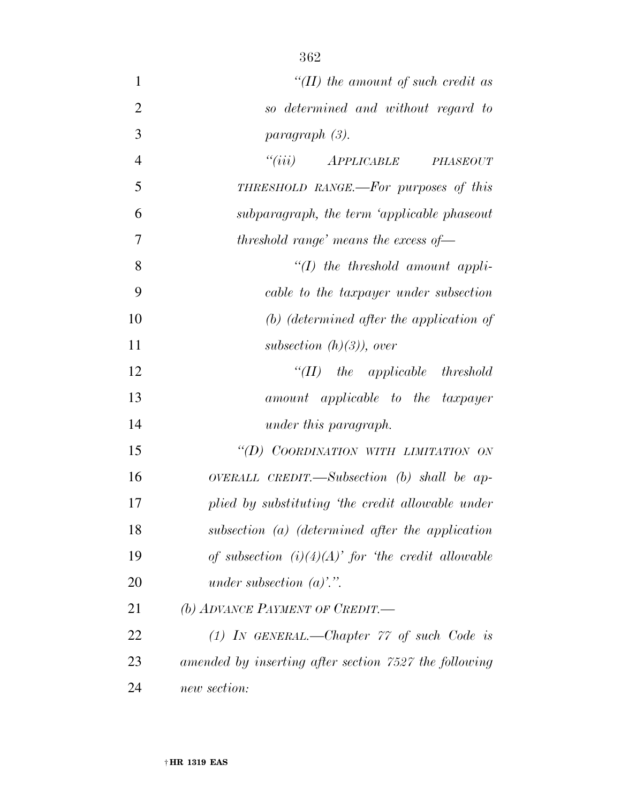| $\mathbf{1}$   | "(II) the amount of such credit as                    |
|----------------|-------------------------------------------------------|
| $\overline{2}$ | so determined and without regard to                   |
| 3              | paragraph (3).                                        |
| $\overline{4}$ | "(iii) APPLICABLE PHASEOUT                            |
| 5              | THRESHOLD RANGE.—For purposes of this                 |
| 6              | subparagraph, the term 'applicable phaseout           |
| 7              | threshold range' means the excess of $-$              |
| 8              | $H(f)$ the threshold amount appli-                    |
| 9              | cable to the taxpayer under subsection                |
| 10             | $(b)$ (determined after the application of            |
| 11             | subsection $(h)(3)$ , over                            |
| 12             | $``(II)$ the applicable threshold                     |
| 13             | amount applicable to the taxpayer                     |
| 14             | under this paragraph.                                 |
| 15             | "(D) COORDINATION WITH LIMITATION ON                  |
| 16             | OVERALL CREDIT.—Subsection $(b)$ shall be ap-         |
| 17             | plied by substituting 'the credit allowable under     |
| 18             | subsection $(a)$ (determined after the application    |
| 19             | of subsection $(i)(4)(A)'$ for 'the credit allowable  |
| 20             | under subsection $(a)$ .".                            |
| 21             | (b) ADVANCE PAYMENT OF CREDIT.                        |
| 22             | $(1)$ IN GENERAL.—Chapter $77$ of such Code is        |
| 23             | amended by inserting after section 7527 the following |
| 24             | new section:                                          |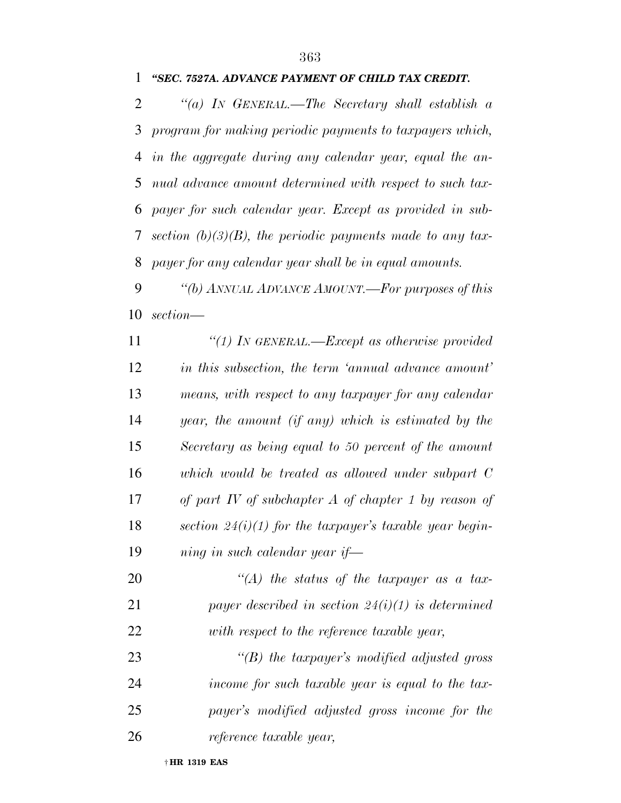## *''SEC. 7527A. ADVANCE PAYMENT OF CHILD TAX CREDIT.*

 *''(a) IN GENERAL.—The Secretary shall establish a program for making periodic payments to taxpayers which, in the aggregate during any calendar year, equal the an- nual advance amount determined with respect to such tax- payer for such calendar year. Except as provided in sub- section (b)(3)(B), the periodic payments made to any tax-payer for any calendar year shall be in equal amounts.* 

 *''(b) ANNUAL ADVANCE AMOUNT.—For purposes of this section—* 

 *''(1) IN GENERAL.—Except as otherwise provided in this subsection, the term 'annual advance amount' means, with respect to any taxpayer for any calendar year, the amount (if any) which is estimated by the Secretary as being equal to 50 percent of the amount which would be treated as allowed under subpart C of part IV of subchapter A of chapter 1 by reason of section 24(i)(1) for the taxpayer's taxable year begin-ning in such calendar year if—* 

 *''(A) the status of the taxpayer as a tax- payer described in section 24(i)(1) is determined with respect to the reference taxable year,* 

 *''(B) the taxpayer's modified adjusted gross income for such taxable year is equal to the tax- payer's modified adjusted gross income for the reference taxable year,*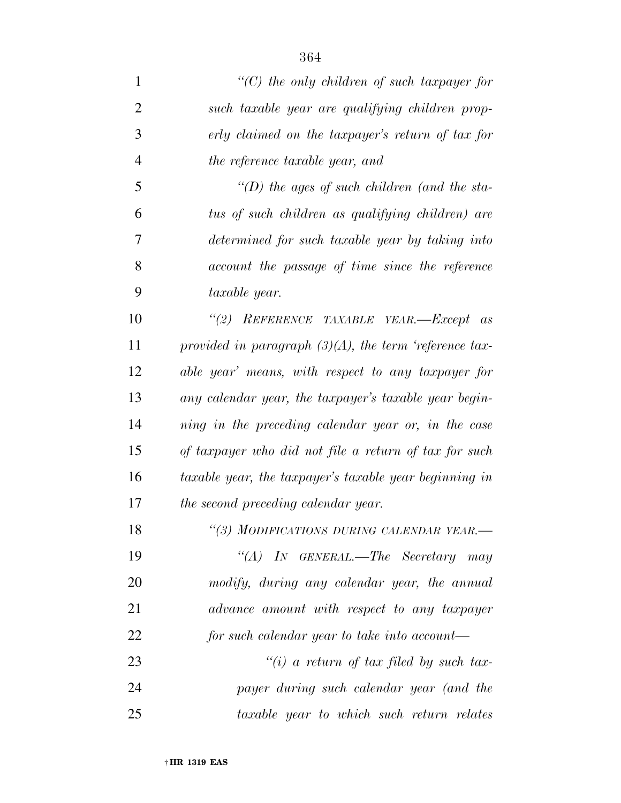*''(C) the only children of such taxpayer for such taxable year are qualifying children prop- erly claimed on the taxpayer's return of tax for the reference taxable year, and ''(D) the ages of such children (and the sta- tus of such children as qualifying children) are determined for such taxable year by taking into account the passage of time since the reference taxable year. ''(2) REFERENCE TAXABLE YEAR.—Except as provided in paragraph (3)(A), the term 'reference tax- able year' means, with respect to any taxpayer for any calendar year, the taxpayer's taxable year begin- ning in the preceding calendar year or, in the case of taxpayer who did not file a return of tax for such taxable year, the taxpayer's taxable year beginning in the second preceding calendar year. ''(3) MODIFICATIONS DURING CALENDAR YEAR.— ''(A) IN GENERAL.—The Secretary may modify, during any calendar year, the annual advance amount with respect to any taxpayer for such calendar year to take into account— ''(i) a return of tax filed by such tax- payer during such calendar year (and the taxable year to which such return relates*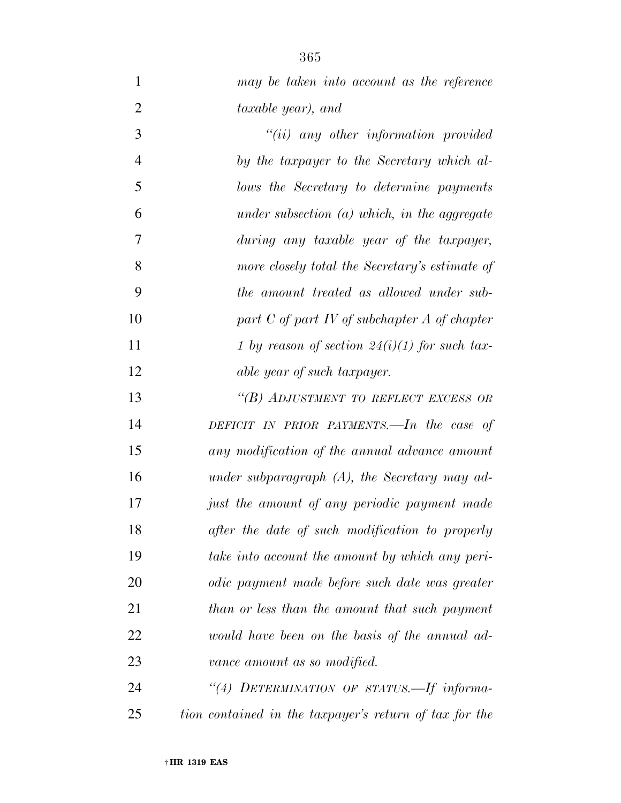*may be taken into account as the reference taxable year), and* 

 *''(ii) any other information provided by the taxpayer to the Secretary which al- lows the Secretary to determine payments under subsection (a) which, in the aggregate during any taxable year of the taxpayer, more closely total the Secretary's estimate of the amount treated as allowed under sub- part C of part IV of subchapter A of chapter 1 by reason of section 24(i)(1) for such tax-able year of such taxpayer.* 

 *''(B) ADJUSTMENT TO REFLECT EXCESS OR DEFICIT IN PRIOR PAYMENTS.—In the case of any modification of the annual advance amount under subparagraph (A), the Secretary may ad- just the amount of any periodic payment made after the date of such modification to properly take into account the amount by which any peri- odic payment made before such date was greater than or less than the amount that such payment would have been on the basis of the annual ad-vance amount as so modified.* 

 *''(4) DETERMINATION OF STATUS.—If informa-tion contained in the taxpayer's return of tax for the*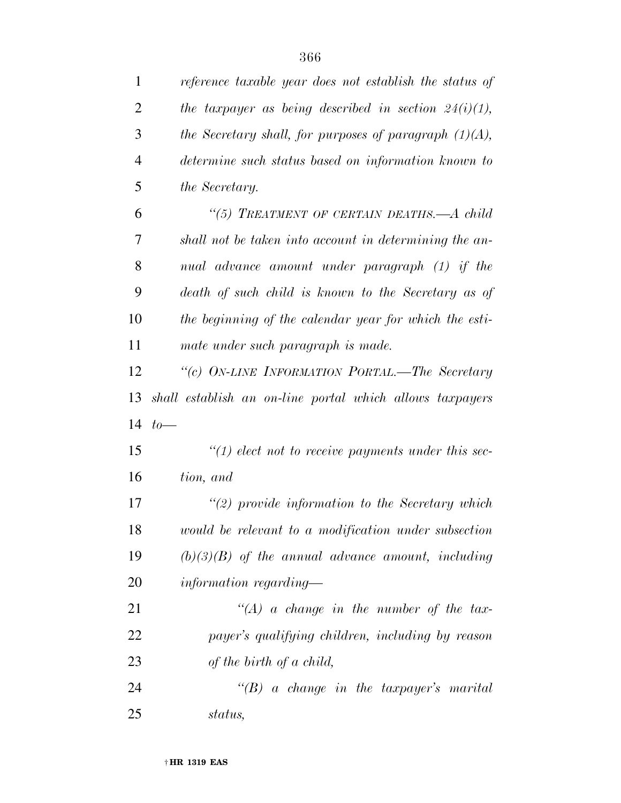| $\mathbf{1}$   | reference taxable year does not establish the status of   |
|----------------|-----------------------------------------------------------|
| $\overline{2}$ | the taxpayer as being described in section $24(i)(1)$ ,   |
| 3              | the Secretary shall, for purposes of paragraph $(1)(A)$ , |
| $\overline{4}$ | determine such status based on information known to       |
| 5              | the Secretary.                                            |
| 6              | "(5) TREATMENT OF CERTAIN DEATHS.—A child                 |
| 7              | shall not be taken into account in determining the an-    |
| 8              | nual advance amount under paragraph (1) if the            |
| 9              | death of such child is known to the Secretary as of       |
| 10             | the beginning of the calendar year for which the esti-    |
| 11             | mate under such paragraph is made.                        |
| 12             | "(c) ON-LINE INFORMATION PORTAL.—The Secretary            |
| 13             | shall establish an on-line portal which allows taxpayers  |
| 14             | $to-$                                                     |
| 15             | $\lq(1)$ elect not to receive payments under this sec-    |
| 16             | tion, and                                                 |
| 17             | $\lq(2)$ provide information to the Secretary which       |
| 18             | would be relevant to a modification under subsection      |
| 19             | $(b)(3)(B)$ of the annual advance amount, including       |
| 20             | information regarding—                                    |
| 21             | $\lq (A)$ a change in the number of the tax-              |
| 22             | payer's qualifying children, including by reason          |
| 23             | of the birth of a child,                                  |
| 24             | $\lq\lq B$ a change in the taxpayer's marital             |
| 25             | status,                                                   |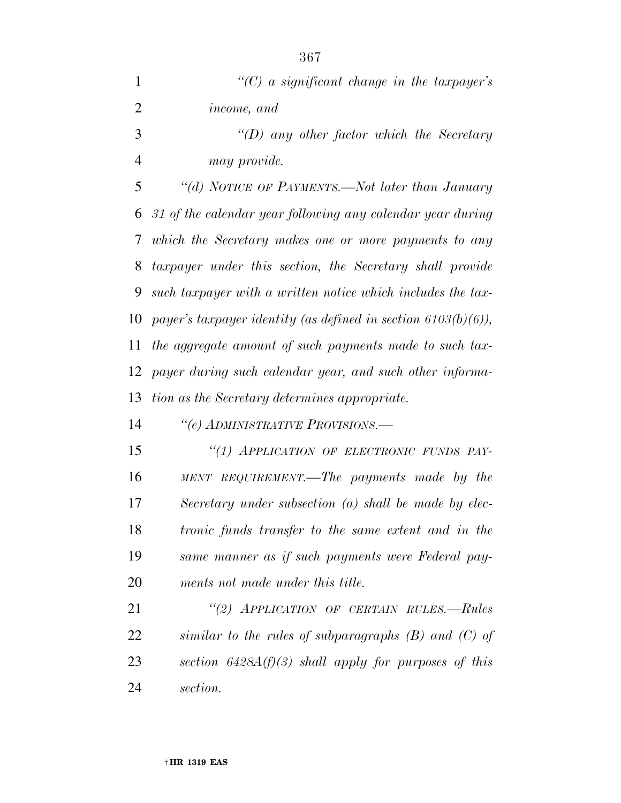| 1              | $C(C)$ a significant change in the taxpayer's                    |
|----------------|------------------------------------------------------------------|
| $\overline{2}$ | <i>income, and</i>                                               |
| 3              | "(D) any other factor which the Secretary                        |
| 4              | may provide.                                                     |
| 5              | "(d) NOTICE OF PAYMENTS.—Not later than January                  |
| 6              | 31 of the calendar year following any calendar year during       |
| 7              | which the Secretary makes one or more payments to any            |
| 8              | taxpayer under this section, the Secretary shall provide         |
| 9              | such taxpayer with a written notice which includes the tax-      |
| 10             | payer's taxpayer identity (as defined in section $6103(b)(6)$ ), |
| 11             | the aggregate amount of such payments made to such tax-          |
| 12             | payer during such calendar year, and such other informa-         |
| 13             | tion as the Secretary determines appropriate.                    |
| 14             | "(e) ADMINISTRATIVE PROVISIONS.—                                 |
| 15             | "(1) APPLICATION OF ELECTRONIC FUNDS PAY-                        |
| 16             | MENT REQUIREMENT.—The payments made by the                       |
| 17             | Secretary under subsection $(a)$ shall be made by elec-          |
| 18             | tronic funds transfer to the same extent and in the              |
| 19             | same manner as if such payments were Federal pay-                |
| 20             | ments not made under this title.                                 |
| 21             | "(2) APPLICATION OF CERTAIN RULES.-Rules                         |

 *similar to the rules of subparagraphs (B) and (C) of section 6428A(f)(3) shall apply for purposes of this section.*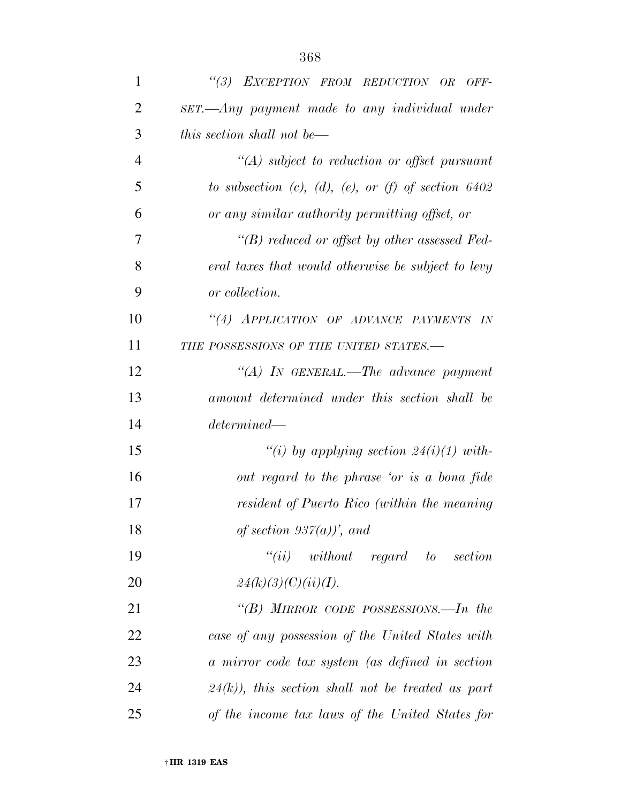| 1              | "(3) EXCEPTION FROM REDUCTION OR<br>$OFF-$            |
|----------------|-------------------------------------------------------|
| $\overline{2}$ | $SET.$ Any payment made to any individual under       |
| 3              | this section shall not be—                            |
| $\overline{4}$ | $\lq (A)$ subject to reduction or offset pursuant     |
| 5              | to subsection (c), (d), (e), or (f) of section $6402$ |
| 6              | or any similar authority permitting offset, or        |
| 7              | $\lq\lq(B)$ reduced or offset by other assessed Fed-  |
| 8              | eral taxes that would otherwise be subject to levy    |
| 9              | or collection.                                        |
| 10             | "(4) APPLICATION OF ADVANCE PAYMENTS IN               |
| 11             | THE POSSESSIONS OF THE UNITED STATES.-                |
| 12             | "(A) IN GENERAL.—The advance payment                  |
| 13             | amount determined under this section shall be         |
| 14             | determined                                            |
| 15             | "(i) by applying section $24(i)(1)$ with-             |
| 16             | out regard to the phrase 'or is a bona fide           |
| 17             | resident of Puerto Rico (within the meaning           |
| 18             | of section $937(a)$ , and                             |
| 19             | $``(ii)$ without regard to section                    |
| 20             | 24(k)(3)(C)(ii)(I).                                   |
| 21             | "(B) MIRROR CODE POSSESSIONS.—In the                  |
| 22             | case of any possession of the United States with      |
| 23             | a mirror code tax system (as defined in section       |
| 24             | $(24(k))$ , this section shall not be treated as part |
| 25             | of the income tax laws of the United States for       |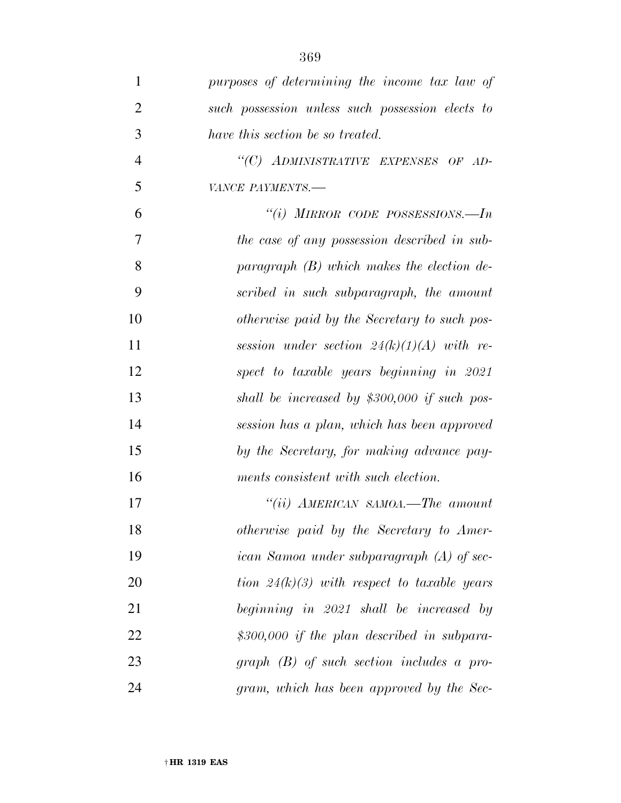| $\mathbf{1}$   | purposes of determining the income tax law of    |
|----------------|--------------------------------------------------|
| $\overline{2}$ | such possession unless such possession elects to |
| 3              | have this section be so treated.                 |
| $\overline{4}$ | "(C) ADMINISTRATIVE EXPENSES OF AD-              |
| 5              | VANCE PAYMENTS.-                                 |
| 6              | "(i) MIRROR CODE POSSESSIONS.—In                 |
| $\overline{7}$ | the case of any possession described in sub-     |
| 8              | paragraph $(B)$ which makes the election de-     |
| 9              | scribed in such subparagraph, the amount         |
| 10             | otherwise paid by the Secretary to such pos-     |
| 11             | session under section $24(k)(1)(A)$ with re-     |
| 12             | spect to taxable years beginning in 2021         |
| 13             | shall be increased by $$300,000$ if such pos-    |
| 14             | session has a plan, which has been approved      |
| 15             | by the Secretary, for making advance pay-        |
| 16             | ments consistent with such election.             |
| 17             | "(ii) $AMERICAN$ SAMOA.—The amount               |
| 18             | otherwise paid by the Secretary to Amer-         |
| 19             | ican Samoa under subparagraph (A) of sec-        |
| 20             | tion $24(k)(3)$ with respect to taxable years    |
| 21             | beginning in 2021 shall be increased by          |
| 22             | $$300,000$ if the plan described in subpara-     |
| 23             | $graph$ (B) of such section includes a pro-      |
| 24             | gram, which has been approved by the Sec-        |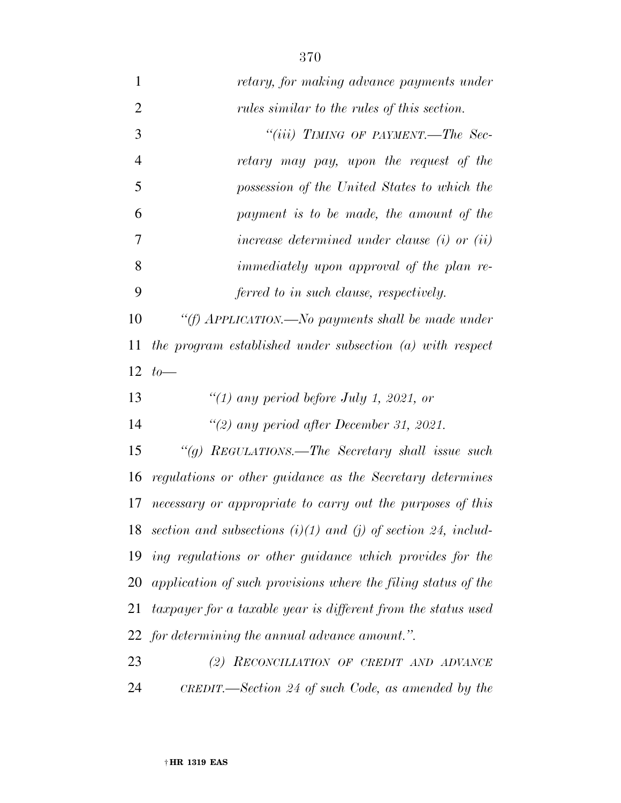| 1              | retary, for making advance payments under                         |
|----------------|-------------------------------------------------------------------|
| $\overline{2}$ | rules similar to the rules of this section.                       |
| $\mathfrak{Z}$ | "(iii) TIMING OF PAYMENT.—The Sec-                                |
| $\overline{4}$ | retary may pay, upon the request of the                           |
| 5              | possession of the United States to which the                      |
| 6              | payment is to be made, the amount of the                          |
| 7              | increase determined under clause $(i)$ or $(ii)$                  |
| 8              | <i>immediately upon approval of the plan re-</i>                  |
| 9              | ferred to in such clause, respectively.                           |
| 10             | "(f) APPLICATION.—No payments shall be made under                 |
| 11             | the program established under subsection (a) with respect         |
| 12             | $to-$                                                             |
|                |                                                                   |
| 13             | "(1) any period before July 1, 2021, or                           |
| 14             | "(2) any period after December 31, 2021.                          |
| 15             | "(g) REGULATIONS.—The Secretary shall issue such                  |
| 16             | regulations or other guidance as the Secretary determines         |
| 17             | necessary or appropriate to carry out the purposes of this        |
| 18             | section and subsections $(i)(1)$ and $(j)$ of section 24, includ- |
| 19             | ing regulations or other guidance which provides for the          |
| 20             | application of such provisions where the filing status of the     |
| 21             | taxpayer for a taxable year is different from the status used     |
|                | 22 for determining the annual advance amount.".                   |
| 23             | (2) RECONCILIATION OF CREDIT AND ADVANCE                          |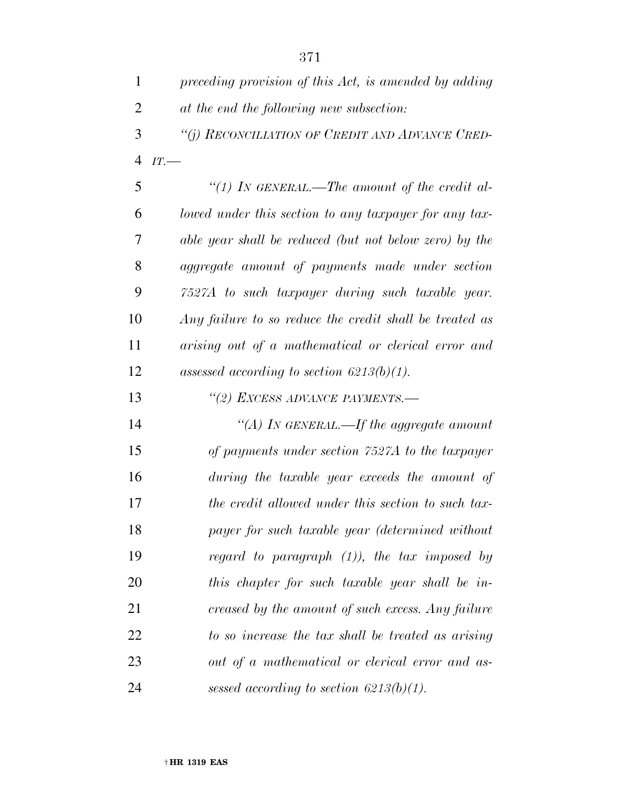| $\mathbf{1}$   | preceding provision of this Act, is amended by adding   |
|----------------|---------------------------------------------------------|
| $\overline{2}$ | at the end the following new subsection:                |
| 3              | "(i) RECONCILIATION OF CREDIT AND ADVANCE CRED-         |
| $\overline{4}$ | IT.                                                     |
| 5              | "(1) IN GENERAL.—The amount of the credit al-           |
| 6              | lowed under this section to any taxpayer for any tax-   |
| 7              | able year shall be reduced (but not below zero) by the  |
| 8              | aggregate amount of payments made under section         |
| 9              | 7527A to such taxpayer during such taxable year.        |
| 10             | Any failure to so reduce the credit shall be treated as |
| 11             | arising out of a mathematical or clerical error and     |
| 12             | assessed according to section $6213(b)(1)$ .            |
| 13             | "(2) EXCESS ADVANCE PAYMENTS.-                          |
| 14             | "(A) In GENERAL.—If the aggregate amount                |
| 15             | of payments under section 7527A to the taxpayer         |
| 16             | during the taxable year exceeds the amount of           |
| 17             | the credit allowed under this section to such tax-      |
| 18             | payer for such taxable year (determined without         |
| 19             | regard to paragraph $(1)$ ), the tax imposed by         |
| 20             | this chapter for such taxable year shall be in-         |
| 21             | creased by the amount of such excess. Any failure       |
| 22             | to so increase the tax shall be treated as arising      |
| 23             | out of a mathematical or clerical error and as-         |
| 24             | sessed according to section $6213(b)(1)$ .              |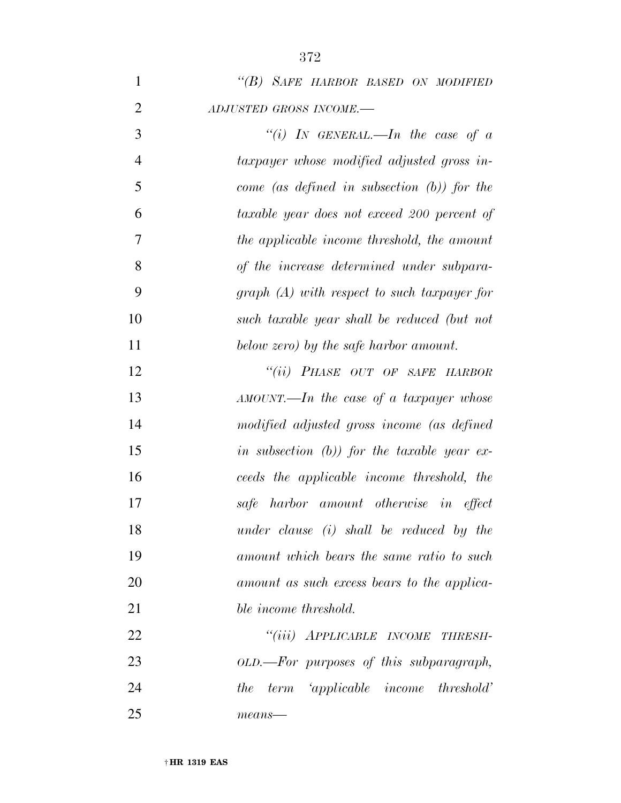| "(B) SAFE HARBOR BASED ON MODIFIED |
|------------------------------------|
| ADJUSTED GROSS INCOME.-            |
| "(i) IN GENERAL.—In the case of a  |

| $\overline{4}$ | taxpayer whose modified adjusted gross in-     |
|----------------|------------------------------------------------|
| 5              | come (as defined in subsection $(b)$ ) for the |
| 6              | taxable year does not exceed 200 percent of    |
| 7              | the applicable income threshold, the amount    |
| 8              | of the increase determined under subpara-      |
| 9              | $graph(A)$ with respect to such taxpayer for   |
| 10             | such taxable year shall be reduced (but not    |
| 11             | below zero) by the safe harbor amount.         |

 *''(ii) PHASE OUT OF SAFE HARBOR AMOUNT.—In the case of a taxpayer whose modified adjusted gross income (as defined in subsection (b)) for the taxable year ex- ceeds the applicable income threshold, the safe harbor amount otherwise in effect under clause (i) shall be reduced by the amount which bears the same ratio to such amount as such excess bears to the applica-ble income threshold.* 

 *''(iii) APPLICABLE INCOME THRESH- OLD.—For purposes of this subparagraph, the term 'applicable income threshold' means—* 

† **HR 1319 EAS**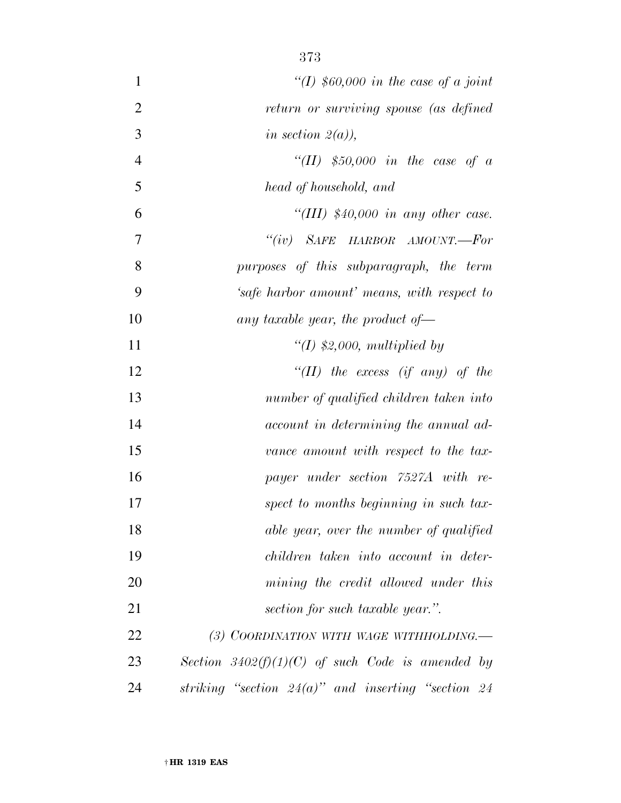| $\mathbf{1}$   | "(I) $$60,000$ in the case of a joint                 |
|----------------|-------------------------------------------------------|
| $\overline{2}$ | return or surviving spouse (as defined                |
| 3              | in section $2(a)$ ),                                  |
| $\overline{4}$ | "(II) $$50,000$ in the case of a                      |
| 5              | head of household, and                                |
| 6              | "(III) $$40,000$ in any other case.                   |
| 7              | "(iv) SAFE HARBOR AMOUNT.—For                         |
| 8              | purposes of this subparagraph, the term               |
| 9              | 'safe harbor amount' means, with respect to           |
| 10             | any taxable year, the product of $-$                  |
| 11             | "(I) $$2,000$ , multiplied by                         |
| 12             | "(II) the excess (if any) of the                      |
| 13             | number of qualified children taken into               |
| 14             | account in determining the annual ad-                 |
| 15             | vance amount with respect to the tax-                 |
| 16             | payer under section 7527A with re-                    |
| 17             | spect to months beginning in such tax-                |
| 18             | able year, over the number of qualified               |
| 19             | children taken into account in deter-                 |
| 20             | mining the credit allowed under this                  |
| 21             | section for such taxable year.".                      |
| 22             | (3) COORDINATION WITH WAGE WITHHOLDING.—              |
| 23             | Section $3402(f)(1)(C)$ of such Code is amended by    |
| 24             | striking "section $24(a)$ " and inserting "section 24 |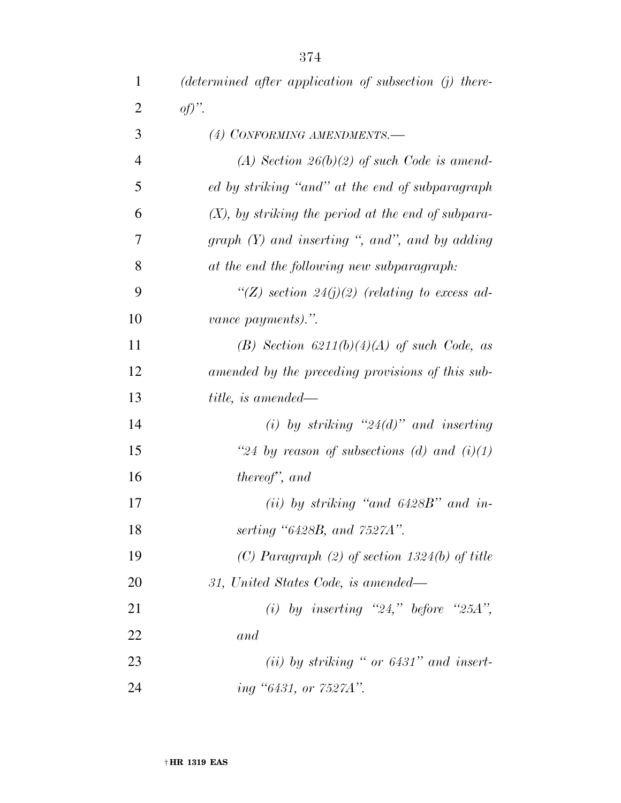| $\mathbf{1}$   | $(determined\ after\ application\ of\ subsection\ (j)\ there$ |
|----------------|---------------------------------------------------------------|
| $\overline{2}$ | $of)$ ".                                                      |
| 3              | (4) CONFORMING AMENDMENTS.-                                   |
| $\overline{4}$ | (A) Section $26(b)(2)$ of such Code is amend-                 |
| 5              | ed by striking "and" at the end of subparagraph               |
| 6              | $(X)$ , by striking the period at the end of subpara-         |
| 7              | graph $(Y)$ and inserting ", and", and by adding              |
| 8              | at the end the following new subparagraph:                    |
| 9              | "(Z) section 24(j)(2) (relating to excess ad-                 |
| 10             | vance payments).".                                            |
| 11             | (B) Section $6211(b)(4)(A)$ of such Code, as                  |
| 12             | amended by the preceding provisions of this sub-              |
| 13             | title, is amended—                                            |
| 14             | (i) by striking " $24(d)$ " and inserting                     |
| 15             | "24 by reason of subsections (d) and $(i)(1)$                 |
| 16             | thereof", and                                                 |
| 17             | (ii) by striking "and $6428B$ " and in-                       |
| 18             | serting "6428B, and 7527A".                                   |
| 19             | (C) Paragraph (2) of section $1324(b)$ of title               |
| 20             | 31, United States Code, is amended—                           |
| 21             | (i) by inserting "24," before "25A",                          |
| 22             | and                                                           |
| 23             | $(ii)$ by striking " or 6431" and insert-                     |
| 24             | ing "6431, or 7527A".                                         |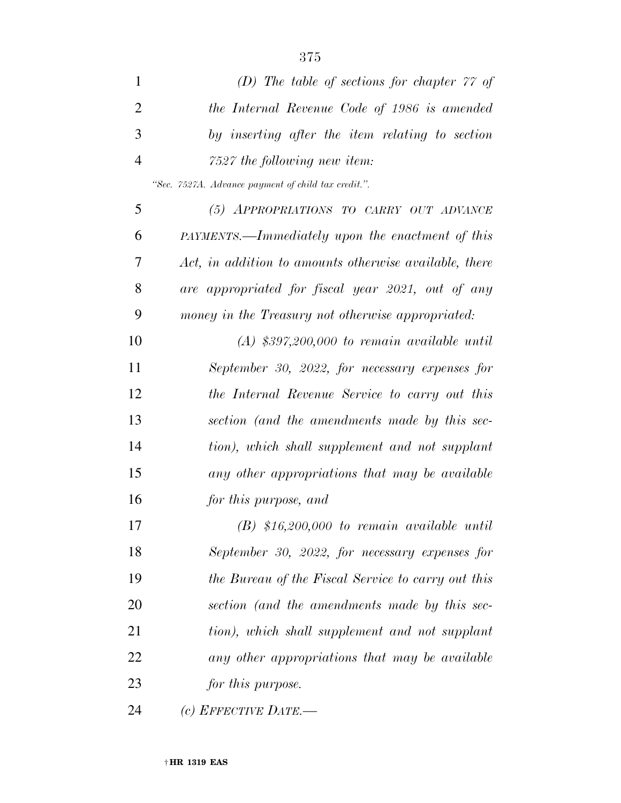| $\mathbf{1}$   | (D) The table of sections for chapter $77$ of          |
|----------------|--------------------------------------------------------|
| $\overline{2}$ | the Internal Revenue Code of 1986 is amended           |
| 3              | by inserting after the item relating to section        |
| $\overline{4}$ | 7527 the following new item:                           |
|                | "Sec. 7527A. Advance payment of child tax credit.".    |
| 5              | (5) APPROPRIATIONS TO CARRY OUT ADVANCE                |
| 6              | PAYMENTS.—Immediately upon the enactment of this       |
| 7              | Act, in addition to amounts otherwise available, there |
| 8              | are appropriated for fiscal year 2021, out of any      |
| 9              | money in the Treasury not otherwise appropriated:      |
| 10             | $(A)$ \$397,200,000 to remain available until          |
| 11             | September 30, 2022, for necessary expenses for         |
| 12             | the Internal Revenue Service to carry out this         |
| 13             | section (and the amendments made by this sec-          |
| 14             | tion), which shall supplement and not supplant         |
| 15             | any other appropriations that may be available         |
| 16             | for this purpose, and                                  |
| 17             | $(B)$ \$16,200,000 to remain available until           |
| 18             | September 30, 2022, for necessary expenses for         |
| 19             | the Bureau of the Fiscal Service to carry out this     |
| 20             | section (and the amendments made by this sec-          |
| 21             | tion), which shall supplement and not supplant         |
| 22             | any other appropriations that may be available         |
| 23             | for this purpose.                                      |
| 24             | (c) EFFECTIVE DATE.—                                   |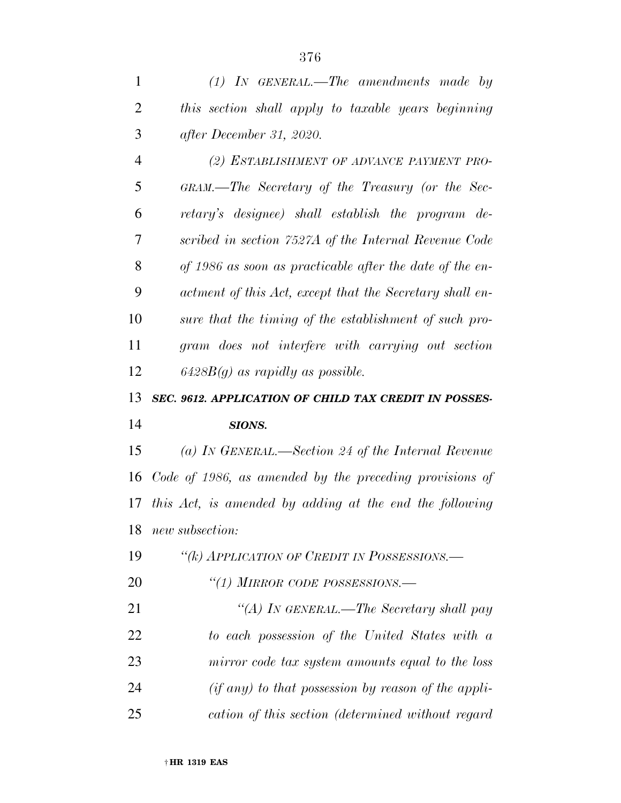*(1) IN GENERAL.—The amendments made by* 

| $\overline{2}$ | this section shall apply to taxable years beginning      |
|----------------|----------------------------------------------------------|
| 3              | after December 31, 2020.                                 |
| $\overline{4}$ | (2) ESTABLISHMENT OF ADVANCE PAYMENT PRO-                |
| 5              | GRAM.—The Secretary of the Treasury (or the Sec-         |
| 6              | retary's designee) shall establish the program de-       |
| 7              | scribed in section 7527A of the Internal Revenue Code    |
| 8              | of 1986 as soon as practicable after the date of the en- |
| 9              | actment of this Act, except that the Secretary shall en- |
| 10             | sure that the timing of the establishment of such pro-   |
| 11             | gram does not interfere with carrying out section        |
| 12             | $6428B(g)$ as rapidly as possible.                       |
| 13             | SEC. 9612. APPLICATION OF CHILD TAX CREDIT IN POSSES-    |
| 14             | SIONS.                                                   |
| 15             | (a) IN GENERAL.—Section 24 of the Internal Revenue       |
| 16             | Code of 1986, as amended by the preceding provisions of  |
| 17             | this Act, is amended by adding at the end the following  |
| 18             | new subsection:                                          |
| 19             | "(k) APPLICATION OF CREDIT IN POSSESSIONS.—              |
| 20             | "(1) MIRROR CODE POSSESSIONS.-                           |
| 21             | "(A) IN GENERAL.—The Secretary shall pay                 |
| 22             | to each possession of the United States with a           |
| 23             | mirror code tax system amounts equal to the loss         |
| 24             | $(if any) to that possession by reason of the appli-$    |
| 25             | cation of this section (determined without regard        |
|                | 1910 FAC                                                 |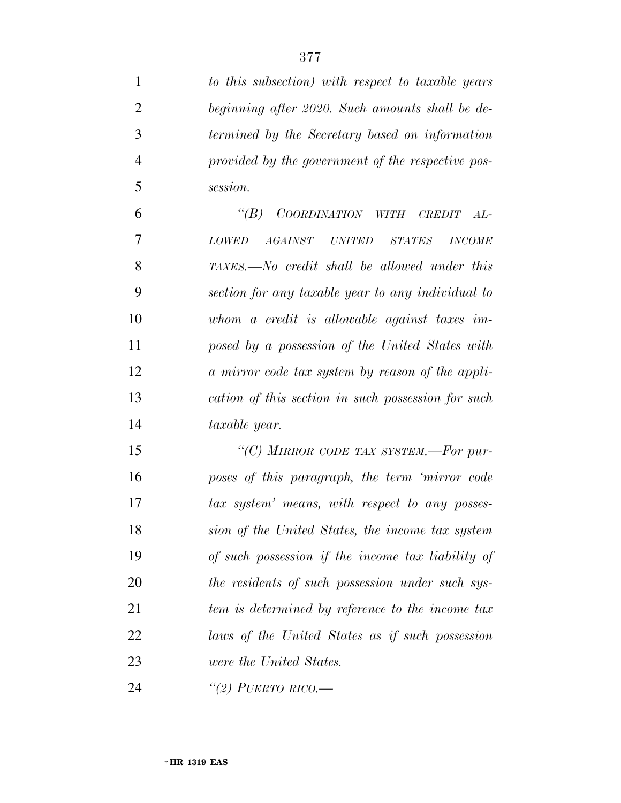| $\mathbf{1}$   | to this subsection) with respect to taxable years                       |
|----------------|-------------------------------------------------------------------------|
| $\overline{2}$ | beginning after 2020. Such amounts shall be de-                         |
| 3              | termined by the Secretary based on information                          |
| $\overline{4}$ | provided by the government of the respective pos-                       |
| 5              | session.                                                                |
| 6              | $\lq(B)$<br>COORDINATION WITH CREDIT<br>$AL^-$                          |
| 7              | <i>AGAINST UNITED</i><br><b>STATES</b><br><b>LOWED</b><br><b>INCOME</b> |
| 8              | TAXES.—No credit shall be allowed under this                            |
| 9              | section for any taxable year to any individual to                       |
| 10             | whom a credit is allowable against taxes im-                            |
| 11             | posed by a possession of the United States with                         |
| 12             | a mirror code tax system by reason of the appli-                        |
| 13             | cation of this section in such possession for such                      |
| 14             | taxable year.                                                           |
| 15             | "(C) MIRROR CODE TAX SYSTEM.—For pur-                                   |
| 16             | poses of this paragraph, the term 'mirror code                          |
| 17             | tax system' means, with respect to any posses-                          |
| 18             | sion of the United States, the income tax system                        |
| 19             | of such possession if the income tax liability of                       |
| 20             | the residents of such possession under such sys-                        |
| 21             | tem is determined by reference to the income tax                        |
| 22             | laws of the United States as if such possession                         |
| 23             | were the United States.                                                 |
| 24             | "(2) PUERTO RICO.—                                                      |

† **HR 1319 EAS**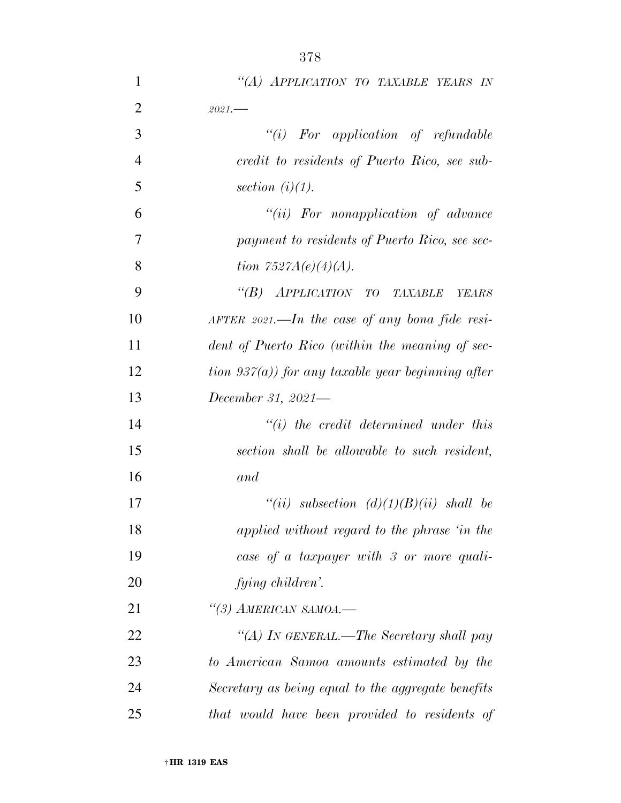| 1              | "(A) APPLICATION TO TAXABLE YEARS IN                        |
|----------------|-------------------------------------------------------------|
| $\overline{2}$ | $2021 -$                                                    |
| 3              | $``(i)$ For application of refundable                       |
| $\overline{4}$ | credit to residents of Puerto Rico, see sub-                |
| 5              | section $(i)(1)$ .                                          |
| 6              | $``(ii)$ For nonapplication of advance                      |
| 7              | payment to residents of Puerto Rico, see sec-               |
| 8              | tion $7527A(e)(4)(A)$ .                                     |
| 9              | "(B) APPLICATION TO TAXABLE<br>YEARS                        |
| 10             | $A \text{FTER } 2021. - In$ the case of any bona fide resi- |
| 11             | dent of Puerto Rico (within the meaning of sec-             |
| 12             | tion $937(a)$ ) for any taxable year beginning after        |
| 13             | December 31, 2021—                                          |
| 14             | $``(i)$ the credit determined under this                    |
| 15             | section shall be allowable to such resident,                |
| 16             | and                                                         |
| 17             | "(ii) subsection $(d)(1)(B)(ii)$ shall be                   |
| 18             | applied without regard to the phrase 'in the                |
| 19             | case of a taxpayer with 3 or more quali-                    |
| 20             | fying children'.                                            |
| 21             | $\lq(3)$ AMERICAN SAMOA.—                                   |
| 22             | "(A) In GENERAL.—The Secretary shall pay                    |
| 23             | to American Samoa amounts estimated by the                  |
| 24             | Secretary as being equal to the aggregate benefits          |
| 25             | that would have been provided to residents of               |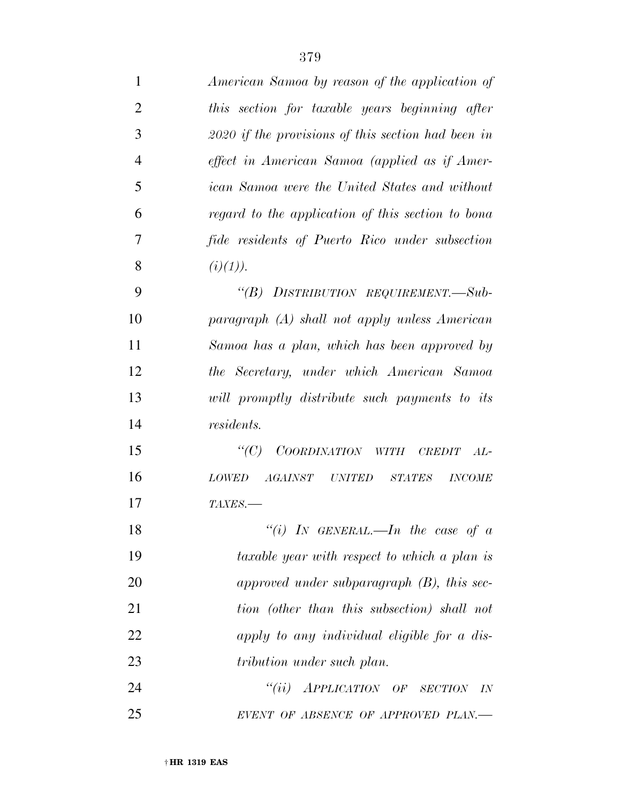| 1              | American Samoa by reason of the application of                   |
|----------------|------------------------------------------------------------------|
| $\overline{2}$ | this section for taxable years beginning after                   |
| 3              | $2020$ if the provisions of this section had been in             |
| $\overline{4}$ | effect in American Samoa (applied as if Amer-                    |
| 5              | <i>ican Samoa were the United States and without</i>             |
| 6              | regard to the application of this section to bona                |
| 7              | fide residents of Puerto Rico under subsection                   |
| 8              | (i)(1)).                                                         |
| 9              | "(B) DISTRIBUTION REQUIREMENT.-Sub-                              |
| 10             | paragraph (A) shall not apply unless American                    |
| 11             | Samoa has a plan, which has been approved by                     |
| 12             | the Secretary, under which American Samoa                        |
| 13             | will promptly distribute such payments to its                    |
| 14             | <i>residents.</i>                                                |
| 15             | $\lq C$ )<br>COORDINATION WITH CREDIT<br>$AL-$                   |
| 16             | <i>AGAINST UNITED</i><br><b>LOWED</b><br>STATES<br><b>INCOME</b> |
| 17             | TAXES.-                                                          |
| 18             | "(i) IN GENERAL.—In the case of a                                |
| 19             | taxable year with respect to which a plan is                     |
| 20             | approved under subparagraph $(B)$ , this sec-                    |
| 21             | tion (other than this subsection) shall not                      |
| 22             | apply to any individual eligible for a dis-                      |
| 23             | tribution under such plan.                                       |
| 24             | ``(ii)<br>APPLICATION OF SECTION IN                              |
| 25             | EVENT OF ABSENCE OF APPROVED PLAN.—                              |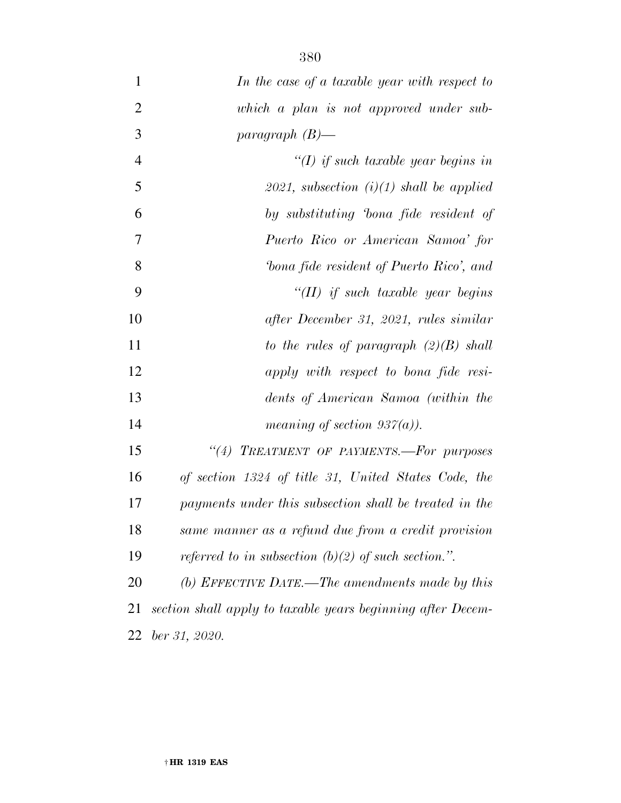| 1              | In the case of a taxable year with respect to               |
|----------------|-------------------------------------------------------------|
| $\overline{2}$ | which a plan is not approved under sub-                     |
| 3              | paragraph $(B)$ —                                           |
| $\overline{4}$ | "(I) if such taxable year begins in                         |
| 5              | 2021, subsection $(i)(1)$ shall be applied                  |
| 6              | by substituting bona fide resident of                       |
| 7              | Puerto Rico or American Samoa' for                          |
| 8              | bona fide resident of Puerto Rico', and                     |
| 9              | $H(II)$ if such taxable year begins                         |
| 10             | after December 31, 2021, rules similar                      |
| 11             | to the rules of paragraph $(2)(B)$ shall                    |
| 12             | apply with respect to bona fide resi-                       |
| 13             | dents of American Samoa (within the                         |
| 14             | meaning of section $937(a)$ ).                              |
| 15             | "(4) TREATMENT OF PAYMENTS.-For purposes                    |
| 16             | of section 1324 of title 31, United States Code, the        |
| 17             | payments under this subsection shall be treated in the      |
| 18             | same manner as a refund due from a credit provision         |
| 19             | referred to in subsection (b)(2) of such section.".         |
| 20             | (b) EFFECTIVE DATE.—The amendments made by this             |
| 21             | section shall apply to taxable years beginning after Decem- |
| 22             | ber 31, 2020.                                               |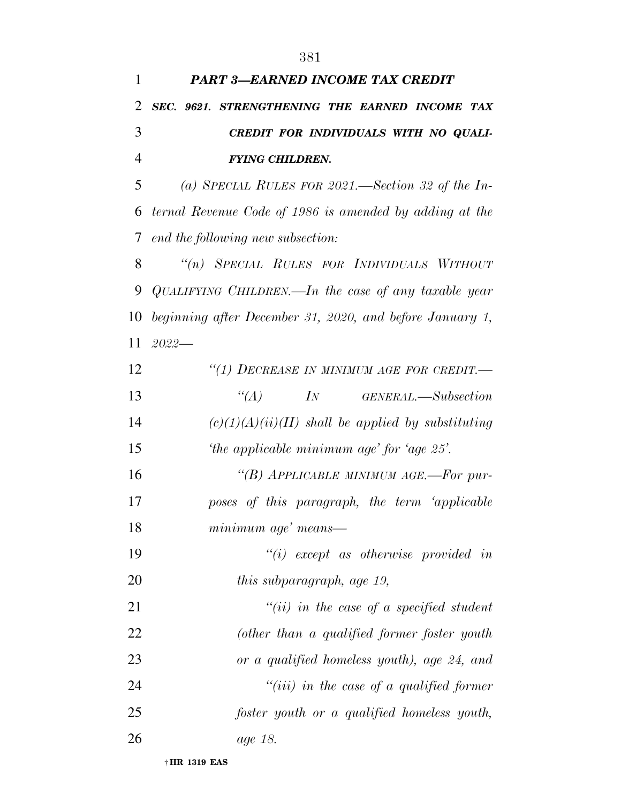| $\mathbf{1}$   | <b>PART 3-EARNED INCOME TAX CREDIT</b>                   |
|----------------|----------------------------------------------------------|
| $\overline{2}$ | SEC. 9621. STRENGTHENING THE EARNED INCOME TAX           |
| 3              | CREDIT FOR INDIVIDUALS WITH NO QUALI-                    |
| $\overline{4}$ | <b>FYING CHILDREN.</b>                                   |
| 5              | (a) SPECIAL RULES FOR 2021.—Section 32 of the In-        |
| 6              | ternal Revenue Code of 1986 is amended by adding at the  |
| 7              | end the following new subsection:                        |
| 8              | "(n) SPECIAL RULES FOR INDIVIDUALS WITHOUT               |
| 9              | QUALIFYING CHILDREN.—In the case of any taxable year     |
| 10             | beginning after December 31, 2020, and before January 1, |
| 11             | $2022-$                                                  |
| 12             | "(1) DECREASE IN MINIMUM AGE FOR CREDIT.-                |
| 13             | $\lq (A)$<br><i>IN GENERAL</i> .—Subsection              |
| 14             | $(c)(1)(A)(ii)(II)$ shall be applied by substituting     |
| 15             | 'the applicable minimum age' for 'age $25'$ .            |
| 16             | "(B) APPLICABLE MINIMUM AGE.-For pur-                    |
| 17             | poses of this paragraph, the term 'applicable            |
| 18             | minimum age' means—                                      |
| 19             | $``(i)$ except as otherwise provided in                  |
| 20             | <i>this subparagraph, age 19,</i>                        |
| 21             | $``(ii)$ in the case of a specified student              |
| 22             | (other than a qualified former foster youth              |
| 23             | or a qualified homeless youth), age 24, and              |
| 24             | $``(iii)$ in the case of a qualified former              |
| 25             | foster youth or a qualified homeless youth,              |
| 26             | age 18.                                                  |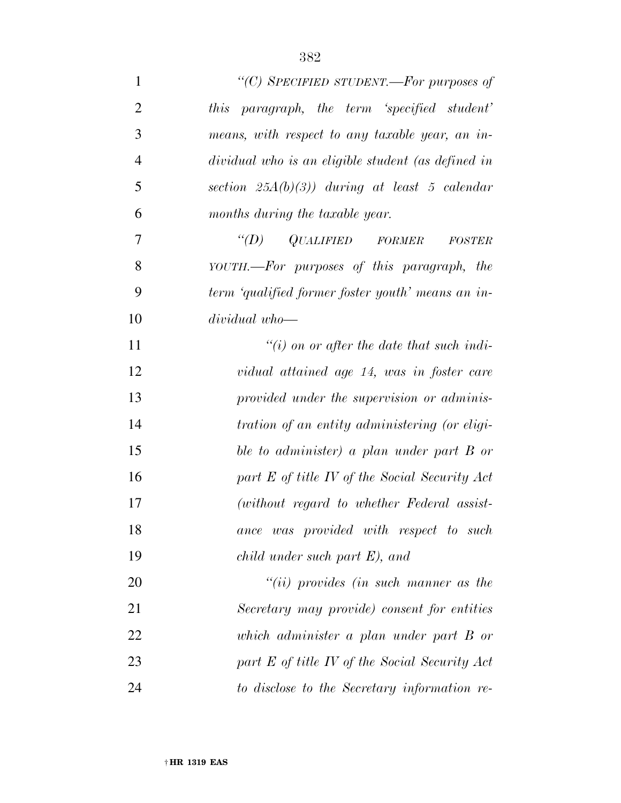| $\mathbf{1}$   | "(C) SPECIFIED STUDENT.—For purposes of            |
|----------------|----------------------------------------------------|
| $\overline{2}$ | this paragraph, the term 'specified student'       |
| 3              | means, with respect to any taxable year, an in-    |
| $\overline{4}$ | dividual who is an eligible student (as defined in |
| 5              | section $25A(b)(3)$ ) during at least 5 calendar   |
| 6              | months during the taxable year.                    |
| $\tau$         | $\lq (D)$<br>QUALIFIED FORMER<br><b>FOSTER</b>     |
| 8              | YOUTH.—For purposes of this paragraph, the         |
| 9              | term 'qualified former foster youth' means an in-  |
| 10             | dividual who-                                      |
| 11             | $\lq\lq(i)$ on or after the date that such indi-   |
| 12             | vidual attained age 14, was in foster care         |
| 13             | provided under the supervision or adminis-         |
| 14             | tration of an entity administering (or eligi-      |
| 15             | ble to administer) a plan under part B or          |
| 16             | part E of title IV of the Social Security Act      |
| 17             | (without regard to whether Federal assist-         |
| 18             | ance was provided with respect to such             |
| 19             | $child$ under such part $E$ ), and                 |
| 20             | $``(ii)$ provides (in such manner as the           |
| 21             | Secretary may provide) consent for entities        |
| 22             | which administer a plan under part B or            |
| 23             | part E of title IV of the Social Security Act      |
| 24             | to disclose to the Secretary information re-       |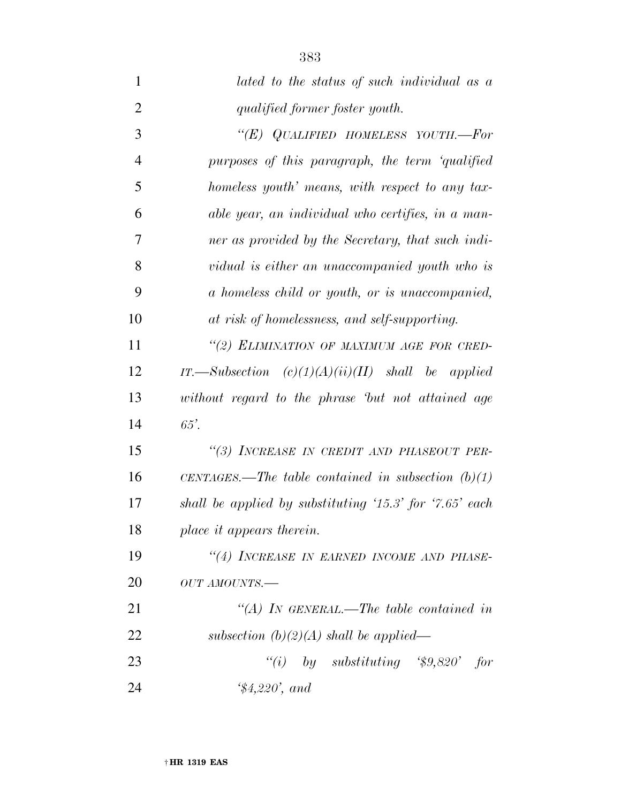| $\mathbf{1}$   | lated to the status of such individual as a                                             |
|----------------|-----------------------------------------------------------------------------------------|
| $\overline{2}$ | qualified former foster youth.                                                          |
| 3              | "(E) QUALIFIED HOMELESS YOUTH.-For                                                      |
| $\overline{4}$ | purposes of this paragraph, the term 'qualified                                         |
| 5              | homeless youth' means, with respect to any tax-                                         |
| 6              | able year, an individual who certifies, in a man-                                       |
| 7              | ner as provided by the Secretary, that such indi-                                       |
| 8              | vidual is either an unaccompanied youth who is                                          |
| 9              | a homeless child or youth, or is unaccompanied,                                         |
| 10             | at risk of homelessness, and self-supporting.                                           |
| 11             | "(2) ELIMINATION OF MAXIMUM AGE FOR CRED-                                               |
| 12             | IT.—Subsection $(c)(1)(A)(ii)(II)$ shall be applied                                     |
| 13             | without regard to the phrase 'but not attained age                                      |
| 14             | $65^\prime$ .                                                                           |
| 15             | "(3) INCREASE IN CREDIT AND PHASEOUT PER-                                               |
| 16             | CENTAGES.—The table contained in subsection $(b)(1)$                                    |
| 17             | shall be applied by substituting $\langle 15.3 \rangle$ for $\langle 7.65 \rangle$ each |
| 18             | place it appears therein.                                                               |
| 19             | "(4) INCREASE IN EARNED INCOME AND PHASE-                                               |
| 20             | OUT AMOUNTS.-                                                                           |
| 21             | "(A) IN GENERAL.—The table contained in                                                 |
| 22             | subsection $(b)(2)(A)$ shall be applied—                                                |
| 23             | "(i) by substituting $\degree$ \$9,820' for                                             |
| 24             | $\$4,220$ , and                                                                         |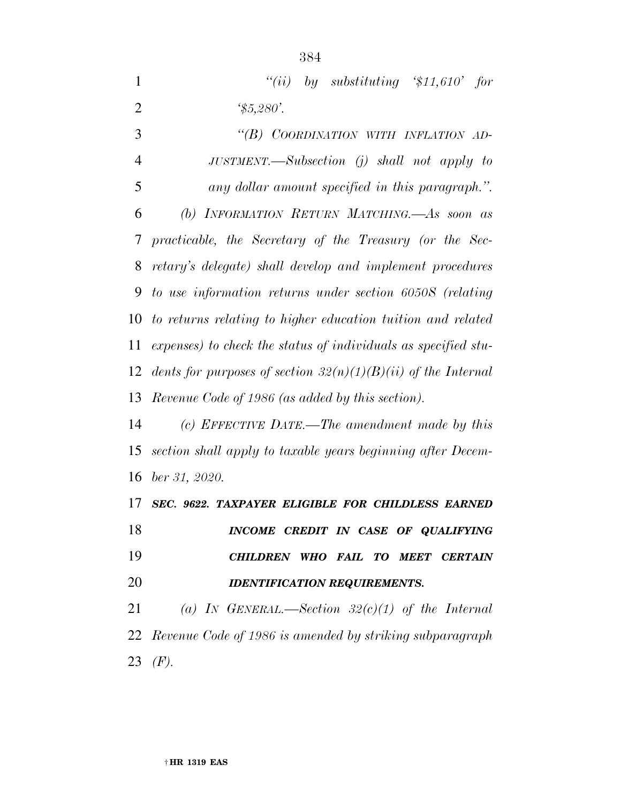| 1              | "(ii) by substituting '\$11,610' for                            |
|----------------|-----------------------------------------------------------------|
| $\overline{2}$ | $\frac{45,280}{.}$                                              |
| 3              | "(B) COORDINATION WITH INFLATION AD-                            |
| 4              | JUSTMENT.—Subsection $(j)$ shall not apply to                   |
| 5              | any dollar amount specified in this paragraph.".                |
| 6              | (b) INFORMATION RETURN MATCHING. As soon as                     |
| 7              | practicable, the Secretary of the Treasury (or the Sec-         |
| 8              | retary's delegate) shall develop and implement procedures       |
| 9              | to use information returns under section 6050S (relating        |
| 10             | to returns relating to higher education tuition and related     |
| 11             | expenses) to check the status of individuals as specified stu-  |
| 12             | dents for purposes of section $32(n)(1)(B)(ii)$ of the Internal |
|                | 13 Revenue Code of 1986 (as added by this section).             |
| 14             | (c) EFFECTIVE DATE.—The amendment made by this                  |
| 15             | section shall apply to taxable years beginning after Decem-     |
|                |                                                                 |

*ber 31, 2020.* 

## *SEC. 9622. TAXPAYER ELIGIBLE FOR CHILDLESS EARNED*

 *INCOME CREDIT IN CASE OF QUALIFYING CHILDREN WHO FAIL TO MEET CERTAIN IDENTIFICATION REQUIREMENTS.* 

 *(a) IN GENERAL.—Section 32(c)(1) of the Internal Revenue Code of 1986 is amended by striking subparagraph (F).*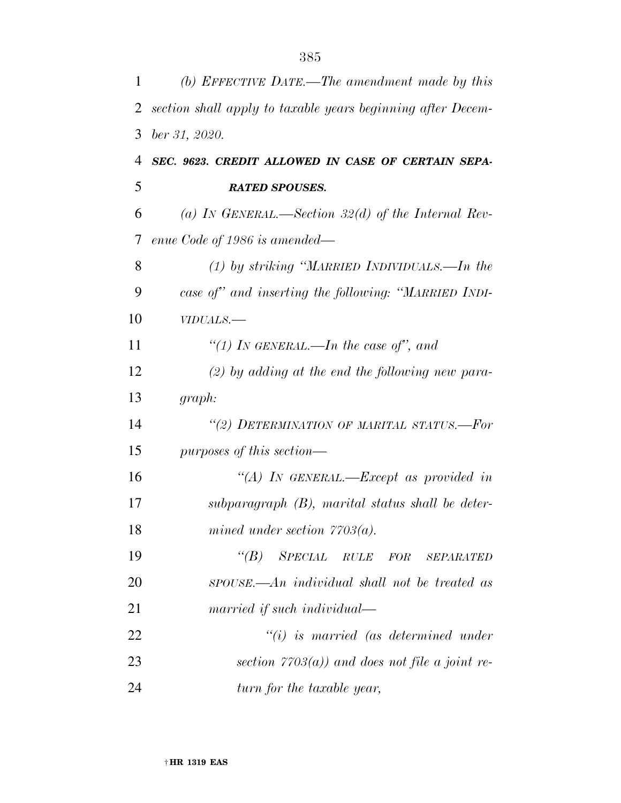| 1  | (b) EFFECTIVE DATE.—The amendment made by this              |
|----|-------------------------------------------------------------|
| 2  | section shall apply to taxable years beginning after Decem- |
| 3  | ber 31, 2020.                                               |
| 4  | SEC. 9623. CREDIT ALLOWED IN CASE OF CERTAIN SEPA-          |
| 5  | <b>RATED SPOUSES.</b>                                       |
| 6  | (a) IN GENERAL.—Section 32(d) of the Internal Rev-          |
| 7  | enue Code of 1986 is amended—                               |
| 8  | $(1)$ by striking "MARRIED INDIVIDUALS.—In the              |
| 9  | case of" and inserting the following: "MARRIED INDI-        |
| 10 | VIDUALS.-                                                   |
| 11 | "(1) IN GENERAL.—In the case of", and                       |
| 12 | $(2)$ by adding at the end the following new para-          |
| 13 | graph:                                                      |
| 14 | "(2) DETERMINATION OF MARITAL STATUS.-For                   |
| 15 | purposes of this section—                                   |
| 16 | "(A) IN GENERAL.—Except as provided in                      |
| 17 | $subparagnph$ (B), marital status shall be deter-           |
| 18 | mined under section $7703(a)$ .                             |
| 19 | $\lq\lq B$ SPECIAL<br>$RULE$ $FOR$<br><b>SEPARATED</b>      |
| 20 | spouse.—An individual shall not be treated as               |
| 21 | married if such individual—                                 |
| 22 | $"(i)$ is married (as determined under                      |
| 23 | section $7703(a)$ and does not file a joint re-             |
| 24 | turn for the taxable year,                                  |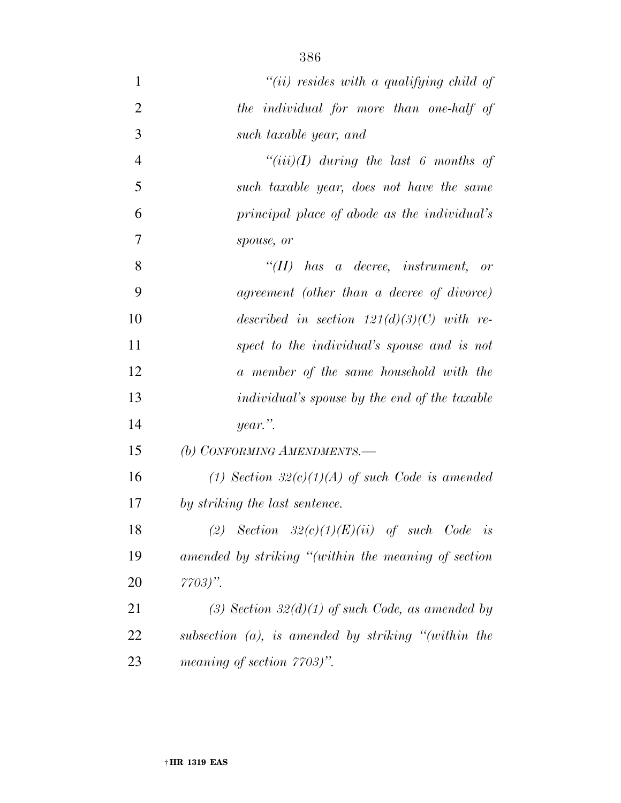| $\mathbf{1}$   | "(ii) resides with a qualifying child of               |
|----------------|--------------------------------------------------------|
| $\overline{2}$ | the individual for more than one-half of               |
| 3              | such taxable year, and                                 |
| $\overline{4}$ | $``(iii)(I)$ during the last 6 months of               |
| 5              | such taxable year, does not have the same              |
| 6              | principal place of abode as the individual's           |
| 7              | spouse, or                                             |
| 8              | $``(II)$ has a decree, instrument, or                  |
| 9              | agreement (other than a decree of divorce)             |
| 10             | described in section $121(d)(3)(C)$ with re-           |
| 11             | spect to the individual's spouse and is not            |
| 12             | a member of the same household with the                |
| 13             | <i>individual's spouse by the end of the taxable</i>   |
| 14             | year.".                                                |
| 15             | (b) CONFORMING AMENDMENTS.-                            |
| 16             | (1) Section $32(c)(1)(A)$ of such Code is amended      |
| 17             | by striking the last sentence.                         |
| 18             | (2) Section $32(c)(1)(E)(ii)$ of such Code is          |
| 19             | amended by striking "(within the meaning of section    |
| 20             | $7703)$ ".                                             |
| 21             | (3) Section $32(d)(1)$ of such Code, as amended by     |
| 22             | subsection $(a)$ , is amended by striking "(within the |
| 23             | meaning of section $7703$ .                            |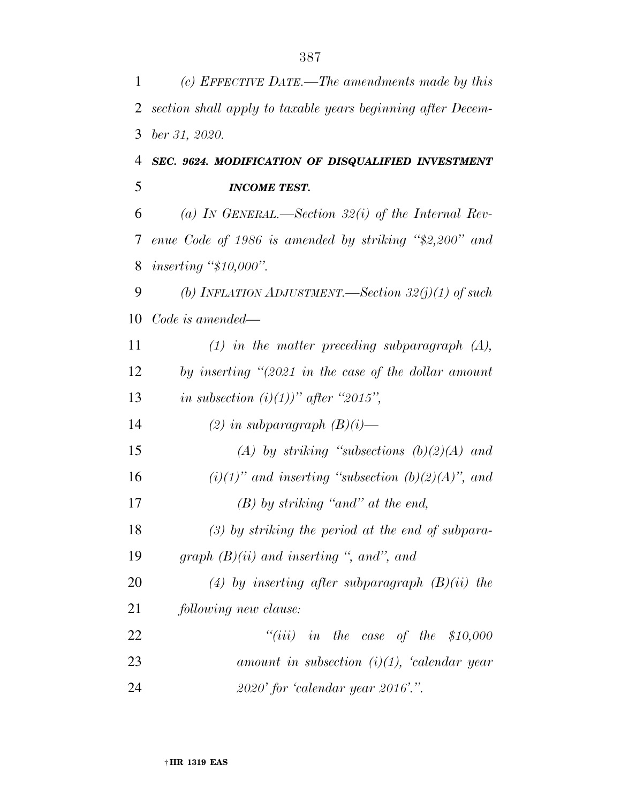| 1  | (c) EFFECTIVE DATE.—The amendments made by this               |
|----|---------------------------------------------------------------|
| 2  | section shall apply to taxable years beginning after Decem-   |
| 3  | ber 31, 2020.                                                 |
| 4  | SEC. 9624. MODIFICATION OF DISQUALIFIED INVESTMENT            |
| 5  | <b>INCOME TEST.</b>                                           |
| 6  | (a) IN GENERAL.—Section 32(i) of the Internal Rev-            |
| 7  | enue Code of 1986 is amended by striking "\$2,200" and        |
| 8  | inserting " $$10,000$ ".                                      |
| 9  | (b) INFLATION ADJUSTMENT.—Section $32(j)(1)$ of such          |
| 10 | Code is amended—                                              |
| 11 | $(1)$ in the matter preceding subparagraph $(A)$ ,            |
| 12 | by inserting $\degree$ (2021 in the case of the dollar amount |
| 13 | in subsection $(i)(1)$ " after "2015",                        |
| 14 | (2) in subparagraph $(B)(i)$ —                                |
| 15 | (A) by striking "subsections $(b)(2)(A)$ and                  |
| 16 | $(i)(1)$ " and inserting "subsection $(b)(2)(A)$ ", and       |
| 17 | $(B)$ by striking "and" at the end,                           |
| 18 | $(3)$ by striking the period at the end of subpara-           |
| 19 | graph $(B)(ii)$ and inserting ", and", and                    |
| 20 | (4) by inserting after subparagraph $(B)(ii)$ the             |
| 21 | following new clause:                                         |
| 22 | "(iii) in the case of the $$10,000$                           |
| 23 | amount in subsection $(i)(1)$ , 'calendar year                |
| 24 | $2020'$ for 'calendar year $2016'$ .".                        |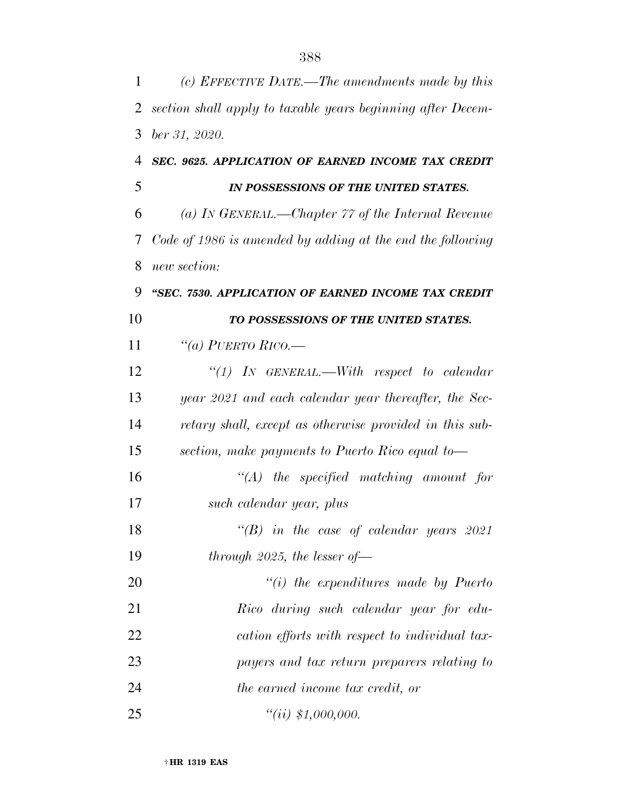| 1  | (c) EFFECTIVE DATE.—The amendments made by this             |
|----|-------------------------------------------------------------|
| 2  | section shall apply to taxable years beginning after Decem- |
| 3  | ber 31, 2020.                                               |
| 4  | SEC. 9625. APPLICATION OF EARNED INCOME TAX CREDIT          |
| 5  | IN POSSESSIONS OF THE UNITED STATES.                        |
| 6  | (a) In GENERAL.—Chapter $77$ of the Internal Revenue        |
| 7  | Code of 1986 is amended by adding at the end the following  |
| 8  | new section:                                                |
| 9  | "SEC. 7530. APPLICATION OF EARNED INCOME TAX CREDIT         |
| 10 | TO POSSESSIONS OF THE UNITED STATES.                        |
| 11 | "(a) PUERTO RICO.—                                          |
| 12 | "(1) IN GENERAL.—With respect to calendar                   |
| 13 | year 2021 and each calendar year thereafter, the Sec-       |
| 14 | retary shall, except as otherwise provided in this sub-     |
| 15 | section, make payments to Puerto Rico equal to-             |
| 16 | $\lq (A)$ the specified matching amount for                 |
| 17 | such calendar year, plus                                    |
| 18 | $\lq\lq(B)$ in the case of calendar years 2021              |
| 19 | through 2025, the lesser of $-$                             |
| 20 | $"(i)$ the expenditures made by Puerto                      |
| 21 | Rico during such calendar year for edu-                     |
| 22 | cation efforts with respect to individual tax-              |
| 23 | payers and tax return preparers relating to                 |
| 24 | the earned income tax credit, or                            |
| 25 | ``(ii) \$1,000,000.                                         |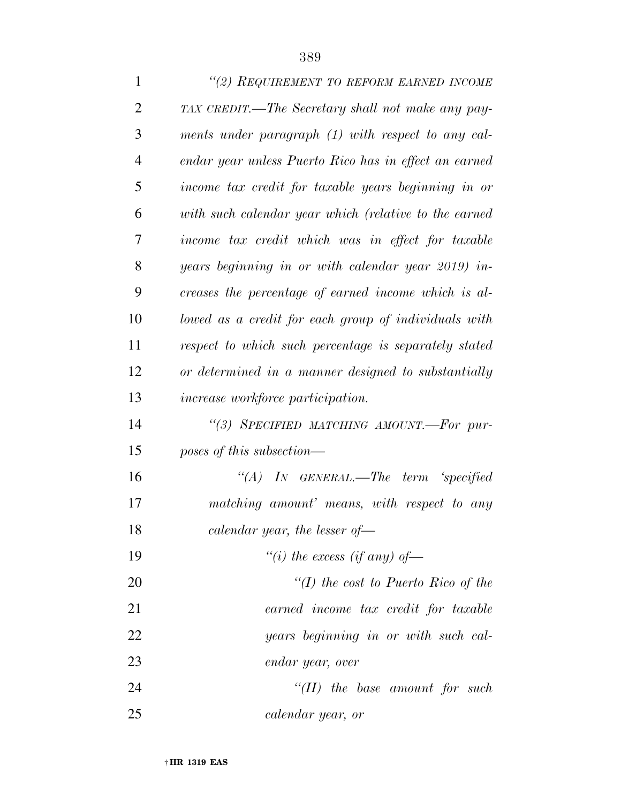| $\mathbf{1}$   | "(2) REQUIREMENT TO REFORM EARNED INCOME              |
|----------------|-------------------------------------------------------|
| $\overline{2}$ | TAX CREDIT.—The Secretary shall not make any pay-     |
| 3              | ments under paragraph (1) with respect to any cal-    |
| $\overline{4}$ | endar year unless Puerto Rico has in effect an earned |
| 5              | income tax credit for taxable years beginning in or   |
| 6              | with such calendar year which (relative to the earned |
| 7              | income tax credit which was in effect for taxable     |
| 8              | years beginning in or with calendar year 2019) in-    |
| 9              | creases the percentage of earned income which is al-  |
| 10             | lowed as a credit for each group of individuals with  |
| 11             | respect to which such percentage is separately stated |
| 12             | or determined in a manner designed to substantially   |
| 13             | <i>increase workforce participation.</i>              |
| 14             | "(3) SPECIFIED MATCHING AMOUNT.-For pur-              |
| 15             | poses of this subsection—                             |
| 16             | "(A) IN GENERAL.—The term 'specified                  |
| 17             | matching amount' means, with respect to any           |
| 18             | calendar year, the lesser of-                         |
| 19             | "(i) the excess (if any) of-                          |
| 20             | "(I) the cost to Puerto Rico of the                   |
| 21             | earned income tax credit for taxable                  |
| 22             | years beginning in or with such cal-                  |
| 23             | endar year, over                                      |
| 24             | $``(II)$ the base amount for such                     |
| 25             | calendar year, or                                     |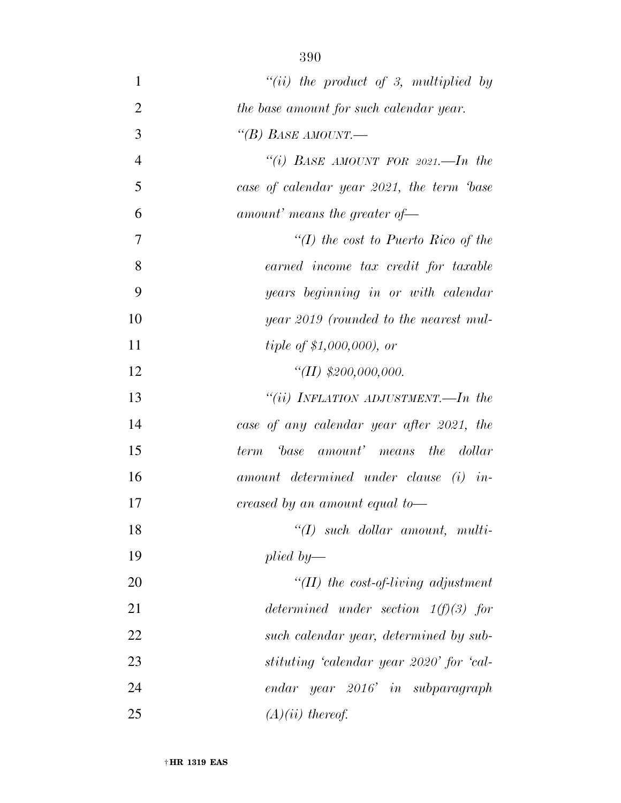| $\mathbf{1}$   | "(ii) the product of 3, multiplied by     |
|----------------|-------------------------------------------|
| $\overline{2}$ | the base amount for such calendar year.   |
| 3              | "(B) BASE AMOUNT.—                        |
| $\overline{4}$ | "(i) BASE AMOUNT FOR $2021$ . In the      |
| 5              | case of calendar year 2021, the term base |
| 6              | amount' means the greater of $-$          |
| $\overline{7}$ | "(I) the cost to Puerto Rico of the       |
| 8              | earned income tax credit for taxable      |
| 9              | years beginning in or with calendar       |
| 10             | year 2019 (rounded to the nearest mul-    |
| 11             | <i>tiple of \$1,000,000), or</i>          |
| 12             | "(II) $$200,000,000$ .                    |
| 13             | "(ii) INFLATION ADJUSTMENT.—In the        |
| 14             | case of any calendar year after 2021, the |
| 15             | base amount' means the dollar<br>term     |
| 16             | amount determined under clause (i) in-    |
| 17             | creased by an amount equal to—            |
| 18             | $``(I)$ such dollar amount, multi-        |
| 19             | plied by—                                 |
| 20             | $\lq (II)$ the cost-of-living adjustment  |
| 21             | determined under section $1(f)(3)$ for    |
| 22             | such calendar year, determined by sub-    |
| 23             | stituting 'calendar year 2020' for 'cal-  |
| 24             | endar year 2016' in subparagraph          |
| 25             | $(A)(ii)$ thereof.                        |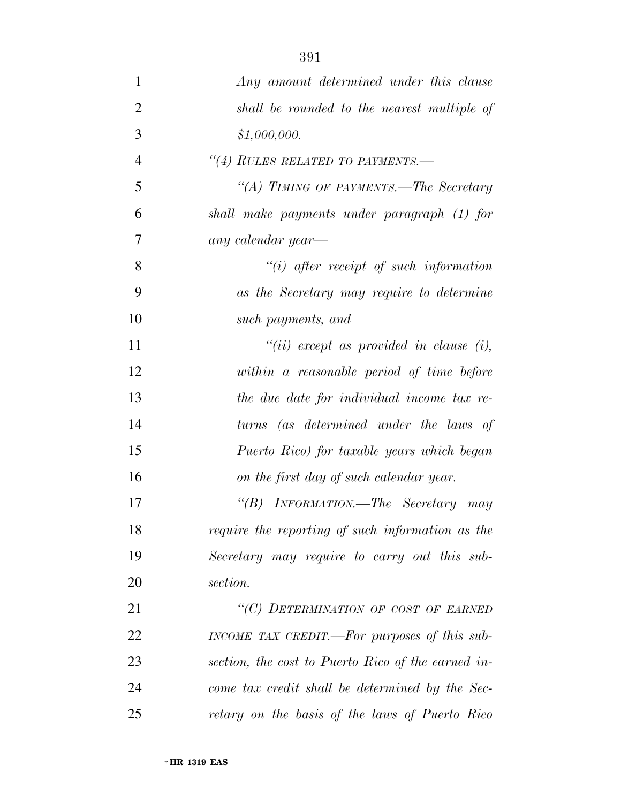| $\mathbf{1}$   | Any amount determined under this clause            |
|----------------|----------------------------------------------------|
| $\overline{2}$ | shall be rounded to the nearest multiple of        |
| 3              | \$1,000,000.                                       |
| $\overline{4}$ | "(4) RULES RELATED TO PAYMENTS.-                   |
| 5              | "(A) TIMING OF PAYMENTS.—The Secretary             |
| 6              | shall make payments under paragraph (1) for        |
| 7              | any calendar year-                                 |
| 8              | $``(i)$ after receipt of such information          |
| 9              | as the Secretary may require to determine          |
| 10             | such payments, and                                 |
| 11             | $``(ii)$ except as provided in clause (i),         |
| 12             | within a reasonable period of time before          |
| 13             | the due date for individual income tax re-         |
| 14             | turns (as determined under the laws of             |
| 15             | Puerto Rico) for taxable years which began         |
| 16             | on the first day of such calendar year.            |
| 17             | "(B) INFORMATION.—The Secretary may                |
| 18             | require the reporting of such information as the   |
| 19             | Secretary may require to carry out this sub-       |
| 20             | section.                                           |
| 21             | "(C) DETERMINATION OF COST OF EARNED               |
| 22             | INCOME TAX CREDIT.—For purposes of this sub-       |
| 23             | section, the cost to Puerto Rico of the earned in- |
| 24             | come tax credit shall be determined by the Sec-    |
|                |                                                    |

*retary on the basis of the laws of Puerto Rico*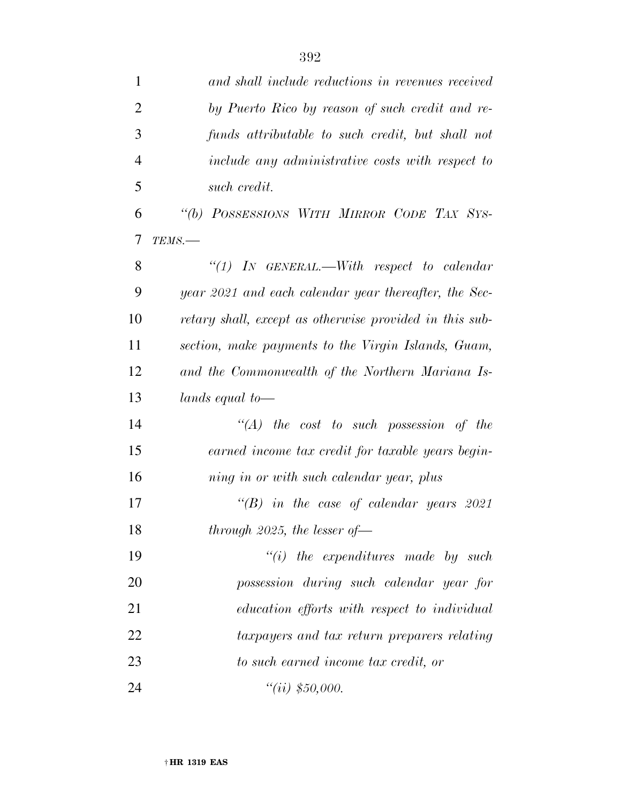| $\mathbf{1}$   | and shall include reductions in revenues received       |
|----------------|---------------------------------------------------------|
| $\overline{2}$ | by Puerto Rico by reason of such credit and re-         |
| 3              | funds attributable to such credit, but shall not        |
| $\overline{4}$ | include any administrative costs with respect to        |
| 5              | such credit.                                            |
| 6              | "(b) POSSESSIONS WITH MIRROR CODE TAX SYS-              |
| 7              | TEMS.                                                   |
| 8              | "(1) IN GENERAL.—With respect to calendar               |
| 9              | year 2021 and each calendar year thereafter, the Sec-   |
| 10             | retary shall, except as otherwise provided in this sub- |
| 11             | section, make payments to the Virgin Islands, Guam,     |
| 12             | and the Commonwealth of the Northern Mariana Is-        |
| 13             | lands equal to—                                         |
| 14             | $\lq (A)$ the cost to such possession of the            |
| 15             | earned income tax credit for taxable years begin-       |
| 16             | ning in or with such calendar year, plus                |
| 17             | $\lq\lq(B)$ in the case of calendar years 2021          |
| 18             | through $2025$ , the lesser of-                         |
| 19             | $"(i)$ the expenditures made by such                    |
| 20             | possession during such calendar year for                |
| 21             | education efforts with respect to individual            |
| 22             | taxpayers and tax return preparers relating             |
| 23             | to such earned income tax credit, or                    |
| 24             | "(ii) $$50,000.$                                        |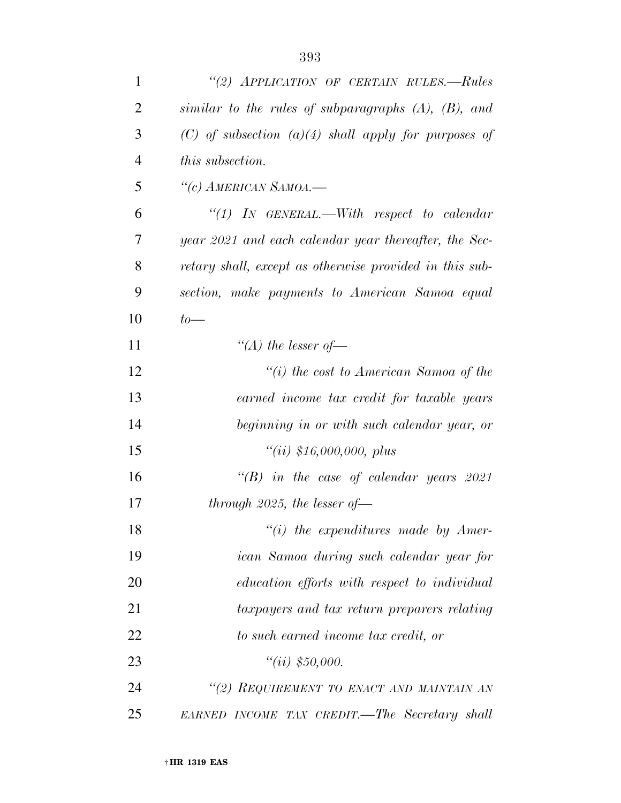| $\mathbf{1}$   | "(2) APPLICATION OF CERTAIN RULES.—Rules                  |
|----------------|-----------------------------------------------------------|
| $\overline{2}$ | similar to the rules of subparagraphs $(A)$ , $(B)$ , and |
| 3              | $(C)$ of subsection $(a)(4)$ shall apply for purposes of  |
| $\overline{4}$ | <i>this subsection.</i>                                   |
| 5              | "(c) AMERICAN SAMOA.—                                     |
| 6              | "(1) IN GENERAL.—With respect to calendar                 |
| 7              | year 2021 and each calendar year thereafter, the Sec-     |
| 8              | retary shall, except as otherwise provided in this sub-   |
| 9              | section, make payments to American Samoa equal            |
| 10             | $to-$                                                     |
| 11             | "(A) the lesser of $-$                                    |
| 12             | "(i) the cost to American Samoa of the                    |
| 13             | earned income tax credit for taxable years                |
| 14             | beginning in or with such calendar year, or               |
| 15             | ``(ii) \$16,000,000, plus                                 |
| 16             | $\lq\lq(B)$ in the case of calendar years 2021            |
| 17             | through 2025, the lesser of $-$                           |
| 18             | $\lq\lq(i)$ the expenditures made by Amer-                |
| 19             | ican Samoa during such calendar year for                  |
| 20             | education efforts with respect to individual              |
| 21             | taxpayers and tax return preparers relating               |
| 22             | to such earned income tax credit, or                      |
| 23             | "(ii) $$50,000.$                                          |
| 24             | "(2) REQUIREMENT TO ENACT AND MAINTAIN AN                 |
| 25             | EARNED INCOME TAX CREDIT.—The Secretary shall             |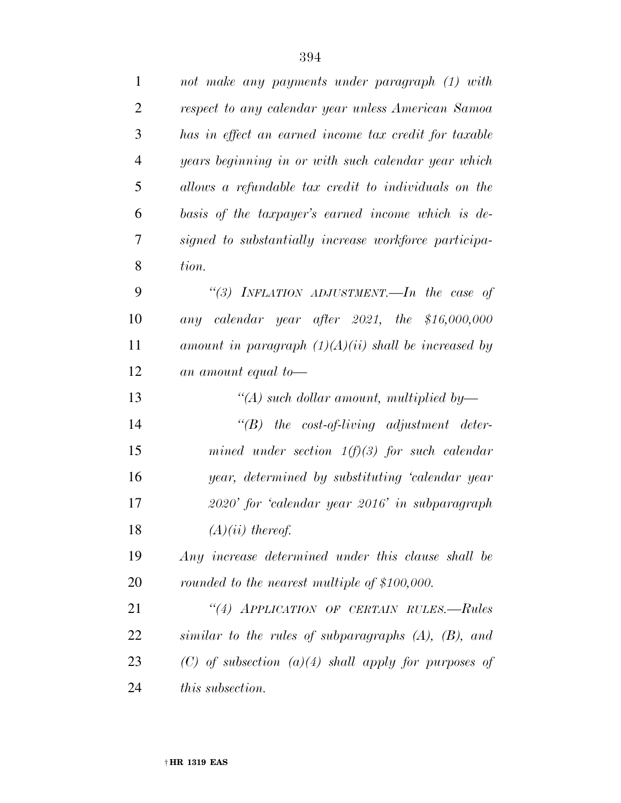| $\mathbf{1}$   | not make any payments under paragraph (1) with            |
|----------------|-----------------------------------------------------------|
| $\overline{2}$ | respect to any calendar year unless American Samoa        |
| 3              | has in effect an earned income tax credit for taxable     |
| $\overline{4}$ | years beginning in or with such calendar year which       |
| 5              | allows a refundable tax credit to individuals on the      |
| 6              | basis of the taxpayer's earned income which is de-        |
| 7              | signed to substantially increase workforce participa-     |
| 8              | tion.                                                     |
| 9              | "(3) INFLATION ADJUSTMENT.—In the case of                 |
| 10             | any calendar year after 2021, the $$16,000,000$           |
| 11             | amount in paragraph $(1)(A)(ii)$ shall be increased by    |
| 12             | an amount equal to-                                       |
| 13             | "(A) such dollar amount, multiplied by—                   |
| 14             | $\lq\lq B$ the cost-of-living adjustment deter-           |
| 15             | mined under section $1(f)(3)$ for such calendar           |
| 16             | year, determined by substituting 'calendar year           |
| 17             | 2020' for 'calendar year 2016' in subparagraph            |
| 18             | $(A)(ii)$ thereof.                                        |
| 19             | Any increase determined under this clause shall be        |
| 20             | rounded to the nearest multiple of \$100,000.             |
| 21             | "(4) APPLICATION OF CERTAIN RULES.-Rules                  |
| 22             | similar to the rules of subparagraphs $(A)$ , $(B)$ , and |
| 23             | $(C)$ of subsection $(a)(4)$ shall apply for purposes of  |
| 24             | <i>this subsection.</i>                                   |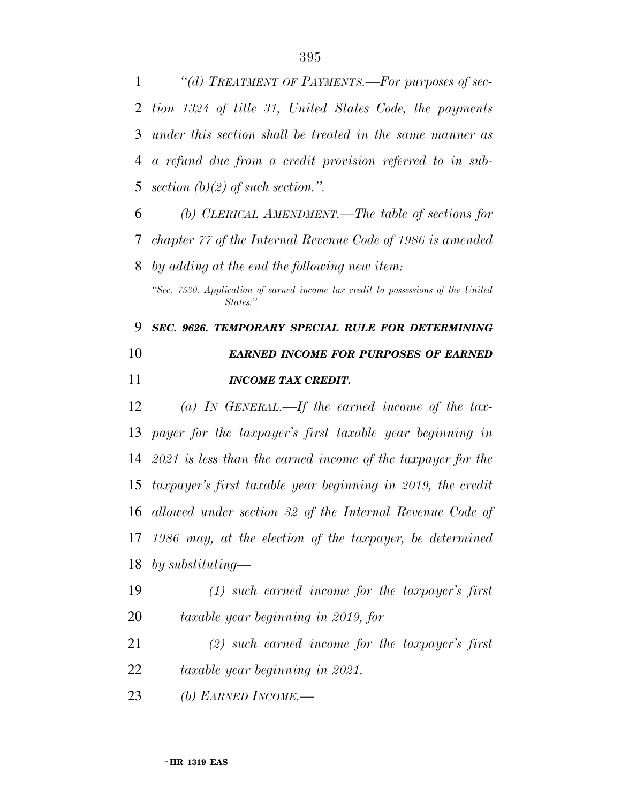*''(d) TREATMENT OF PAYMENTS.—For purposes of sec- tion 1324 of title 31, United States Code, the payments under this section shall be treated in the same manner as a refund due from a credit provision referred to in sub-section (b)(2) of such section.''.* 

 *(b) CLERICAL AMENDMENT.—The table of sections for chapter 77 of the Internal Revenue Code of 1986 is amended by adding at the end the following new item:* 

*''Sec. 7530. Application of earned income tax credit to possessions of the United States.''.* 

 *SEC. 9626. TEMPORARY SPECIAL RULE FOR DETERMINING EARNED INCOME FOR PURPOSES OF EARNED INCOME TAX CREDIT.* 

 *(a) IN GENERAL.—If the earned income of the tax- payer for the taxpayer's first taxable year beginning in 2021 is less than the earned income of the taxpayer for the taxpayer's first taxable year beginning in 2019, the credit allowed under section 32 of the Internal Revenue Code of 1986 may, at the election of the taxpayer, be determined by substituting—* 

 *(1) such earned income for the taxpayer's first taxable year beginning in 2019, for* 

 *(2) such earned income for the taxpayer's first taxable year beginning in 2021.* 

*(b) EARNED INCOME.—*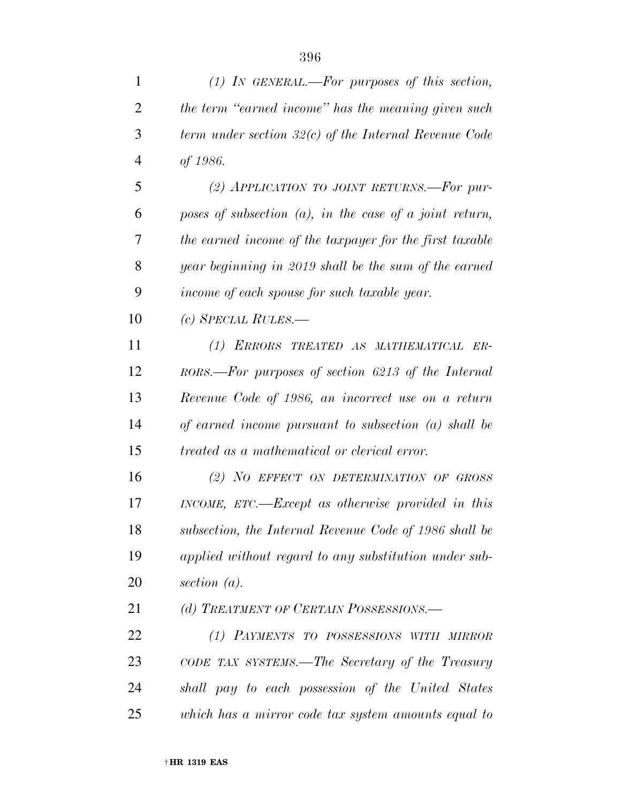| $\mathbf{1}$   | $(1)$ IN GENERAL.—For purposes of this section,            |
|----------------|------------------------------------------------------------|
| $\overline{2}$ | the term "earned income" has the meaning given such        |
| 3              | term under section $32(c)$ of the Internal Revenue Code    |
| $\overline{4}$ | of 1986.                                                   |
| 5              | (2) APPLICATION TO JOINT RETURNS.-For pur-                 |
| 6              | poses of subsection $(a)$ , in the case of a joint return, |
| 7              | the earned income of the taxpayer for the first taxable    |
| 8              | year beginning in 2019 shall be the sum of the earned      |
| 9              | income of each spouse for such taxable year.               |
| 10             | $(c)$ SPECIAL RULES.—                                      |
| 11             | (1) ERRORS TREATED AS MATHEMATICAL ER-                     |
| 12             | RORS.—For purposes of section 6213 of the Internal         |
| 13             | Revenue Code of 1986, an incorrect use on a return         |
| 14             | of earned income pursuant to subsection (a) shall be       |
| 15             | <i>treated as a mathematical or clerical error.</i>        |
| 16             | (2) NO EFFECT ON DETERMINATION OF GROSS                    |
| 17             | INCOME, ETC.—Except as otherwise provided in this          |
| 18             | subsection, the Internal Revenue Code of 1986 shall be     |
| 19             | applied without regard to any substitution under sub-      |
| 20             | section $(a)$ .                                            |
| 21             | (d) TREATMENT OF CERTAIN POSSESSIONS.—                     |
| 22             | (1) PAYMENTS TO POSSESSIONS WITH MIRROR                    |
| 23             | CODE TAX SYSTEMS.—The Secretary of the Treasury            |
| 24             | shall pay to each possession of the United States          |
| 25             | which has a mirror code tax system amounts equal to        |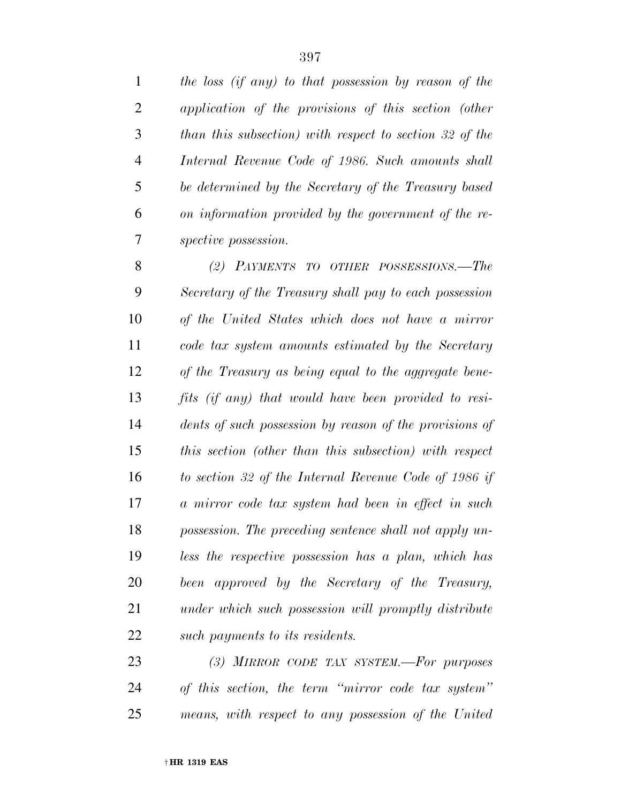*the loss (if any) to that possession by reason of the application of the provisions of this section (other than this subsection) with respect to section 32 of the Internal Revenue Code of 1986. Such amounts shall be determined by the Secretary of the Treasury based on information provided by the government of the re-spective possession.* 

 *(2) PAYMENTS TO OTHER POSSESSIONS.—The Secretary of the Treasury shall pay to each possession of the United States which does not have a mirror code tax system amounts estimated by the Secretary of the Treasury as being equal to the aggregate bene- fits (if any) that would have been provided to resi- dents of such possession by reason of the provisions of this section (other than this subsection) with respect to section 32 of the Internal Revenue Code of 1986 if a mirror code tax system had been in effect in such possession. The preceding sentence shall not apply un- less the respective possession has a plan, which has been approved by the Secretary of the Treasury, under which such possession will promptly distribute such payments to its residents.* 

 *(3) MIRROR CODE TAX SYSTEM.—For purposes of this section, the term ''mirror code tax system'' means, with respect to any possession of the United*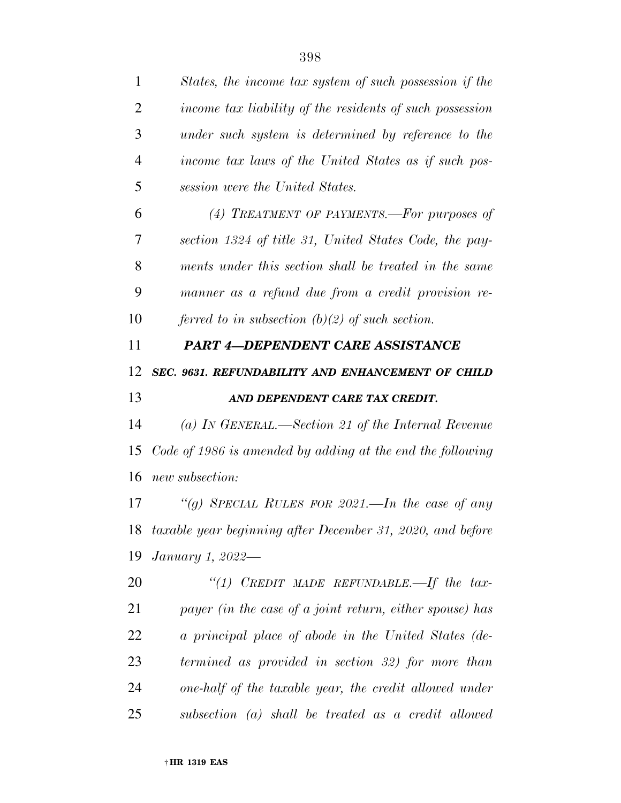| 1              | States, the income tax system of such possession if the       |
|----------------|---------------------------------------------------------------|
| $\overline{2}$ | income tax liability of the residents of such possession      |
| 3              | under such system is determined by reference to the           |
| $\overline{4}$ | income tax laws of the United States as if such pos-          |
| 5              | session were the United States.                               |
| 6              | (4) TREATMENT OF PAYMENTS.—For purposes of                    |
| 7              | section 1324 of title 31, United States Code, the pay-        |
| 8              | ments under this section shall be treated in the same         |
| 9              | manner as a refund due from a credit provision re-            |
| 10             | ferred to in subsection $(b)(2)$ of such section.             |
| 11             | <b>PART 4-DEPENDENT CARE ASSISTANCE</b>                       |
| 12             | SEC. 9631. REFUNDABILITY AND ENHANCEMENT OF CHILD             |
| 13             | AND DEPENDENT CARE TAX CREDIT.                                |
| 14             | (a) IN GENERAL.—Section 21 of the Internal Revenue            |
| 15             | Code of 1986 is amended by adding at the end the following    |
| 16             | new subsection:                                               |
| 17             | "(g) SPECIAL RULES FOR 2021.—In the case of any               |
|                | 18 taxable year beginning after December 31, 2020, and before |
| 19             | January 1, 2022—                                              |
| 20             | "(1) CREDIT MADE REFUNDABLE.—If the tax-                      |
| 21             | payer (in the case of a joint return, either spouse) has      |
| 22             | a principal place of abode in the United States (de-          |
| 23             | termined as provided in section 32) for more than             |
| 24             | one-half of the taxable year, the credit allowed under        |
| 25             | subsection (a) shall be treated as a credit allowed           |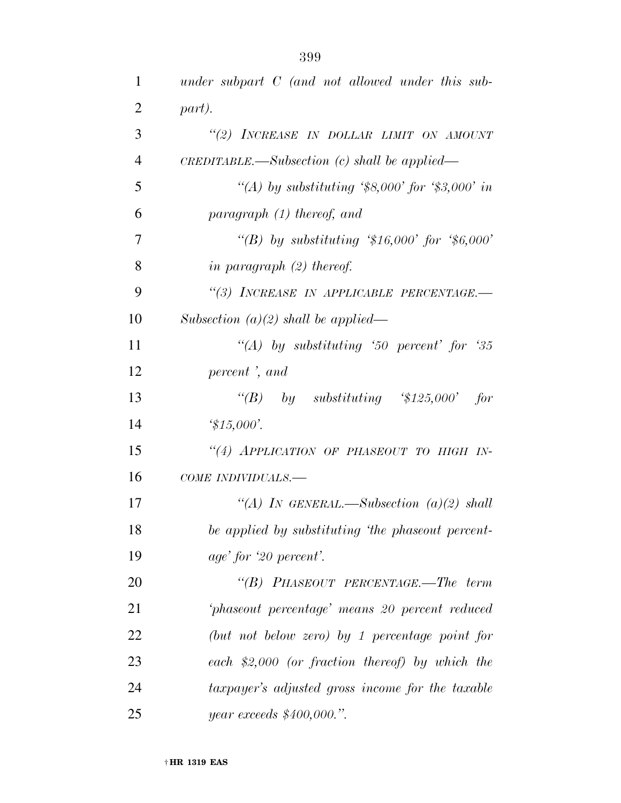| $\mathbf{1}$   | under subpart $C$ (and not allowed under this sub- |
|----------------|----------------------------------------------------|
| $\overline{2}$ | part).                                             |
| 3              | "(2) INCREASE IN DOLLAR LIMIT ON AMOUNT            |
| $\overline{4}$ | $CREDITABLE.$ Subsection (c) shall be applied—     |
| 5              | "(A) by substituting '\$8,000' for '\$3,000' in    |
| 6              | paragraph $(1)$ thereof, and                       |
| $\overline{7}$ | "(B) by substituting '\$16,000' for '\$6,000'      |
| 8              | in paragraph $(2)$ thereof.                        |
| 9              | "(3) INCREASE IN APPLICABLE PERCENTAGE.-           |
| 10             | Subsection $(a)(2)$ shall be applied—              |
| 11             | "(A) by substituting '50 percent' for '35          |
| 12             | percent, and                                       |
| 13             | "(B) by substituting $$125,000$ ' for              |
| 14             | $\frac{4}{3}15,000'.$                              |
| 15             | "(4) APPLICATION OF PHASEOUT TO HIGH IN-           |
| 16             | COME INDIVIDUALS.-                                 |
| 17             | "(A) IN GENERAL.—Subsection $(a)(2)$ shall         |
| 18             | be applied by substituting 'the phaseout percent-  |
| 19             | age' for '20 percent'.                             |
| 20             | "(B) PHASEOUT PERCENTAGE.—The term                 |
| 21             | phaseout percentage' means 20 percent reduced      |
| 22             | (but not below zero) by 1 percentage point for     |
| 23             | each $$2,000$ (or fraction thereof) by which the   |
| 24             | taxpayer's adjusted gross income for the taxable   |
| 25             | year exceeds \$400,000.".                          |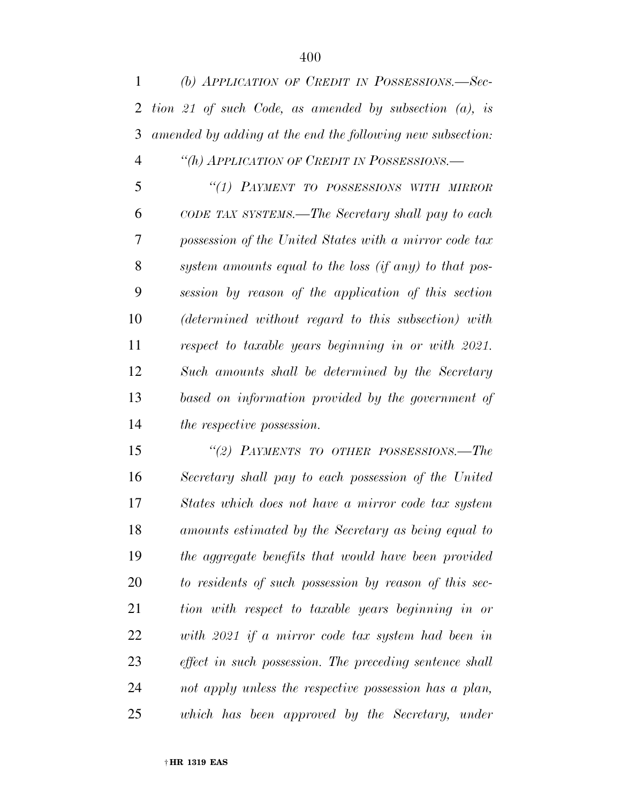| $\mathbf{1}$   | (b) APPLICATION OF CREDIT IN POSSESSIONS.-Sec-                                                                                                                                                                                                                                                                                            |
|----------------|-------------------------------------------------------------------------------------------------------------------------------------------------------------------------------------------------------------------------------------------------------------------------------------------------------------------------------------------|
| $\overline{2}$ | tion 21 of such Code, as amended by subsection $(a)$ , is                                                                                                                                                                                                                                                                                 |
| 3              | amended by adding at the end the following new subsection:                                                                                                                                                                                                                                                                                |
| $\overline{4}$ | "(h) APPLICATION OF CREDIT IN POSSESSIONS.-                                                                                                                                                                                                                                                                                               |
| 5              | "(1) PAYMENT TO POSSESSIONS WITH MIRROR                                                                                                                                                                                                                                                                                                   |
| 6              | CODE TAX SYSTEMS.—The Secretary shall pay to each                                                                                                                                                                                                                                                                                         |
| 7              | possession of the United States with a mirror code tax                                                                                                                                                                                                                                                                                    |
| 8              | system amounts equal to the loss (if any) to that pos-                                                                                                                                                                                                                                                                                    |
| 9              | session by reason of the application of this section                                                                                                                                                                                                                                                                                      |
| 10             | (determined without regard to this subsection) with                                                                                                                                                                                                                                                                                       |
| 11             | respect to taxable years beginning in or with 2021.                                                                                                                                                                                                                                                                                       |
| 12             | Such amounts shall be determined by the Secretary                                                                                                                                                                                                                                                                                         |
| 13             | based on information provided by the government of                                                                                                                                                                                                                                                                                        |
| 14             | <i>the respective possession.</i>                                                                                                                                                                                                                                                                                                         |
| 15             | "(2) PAYMENTS TO OTHER POSSESSIONS.-The                                                                                                                                                                                                                                                                                                   |
| 16             | Secretary shall pay to each possession of the United                                                                                                                                                                                                                                                                                      |
| 17             | States which does not have a mirror code tax system                                                                                                                                                                                                                                                                                       |
| 18             | amounts estimated by the Secretary as being equal to                                                                                                                                                                                                                                                                                      |
| 19             | the aggregate benefits that would have been provided                                                                                                                                                                                                                                                                                      |
| nη             | $\mathbf{1}$ , $\mathbf{1}$ , $\mathbf{1}$ , $\mathbf{1}$ , $\mathbf{1}$ , $\mathbf{1}$ , $\mathbf{1}$ , $\mathbf{1}$ , $\mathbf{1}$ , $\mathbf{1}$ , $\mathbf{1}$ , $\mathbf{1}$ , $\mathbf{1}$ , $\mathbf{1}$ , $\mathbf{1}$ , $\mathbf{1}$ , $\mathbf{1}$ , $\mathbf{1}$ , $\mathbf{1}$ , $\mathbf{1}$ , $\mathbf{1}$ , $\mathbf{1}$ , |

 *to residents of such possession by reason of this sec- tion with respect to taxable years beginning in or with 2021 if a mirror code tax system had been in effect in such possession. The preceding sentence shall not apply unless the respective possession has a plan, which has been approved by the Secretary, under*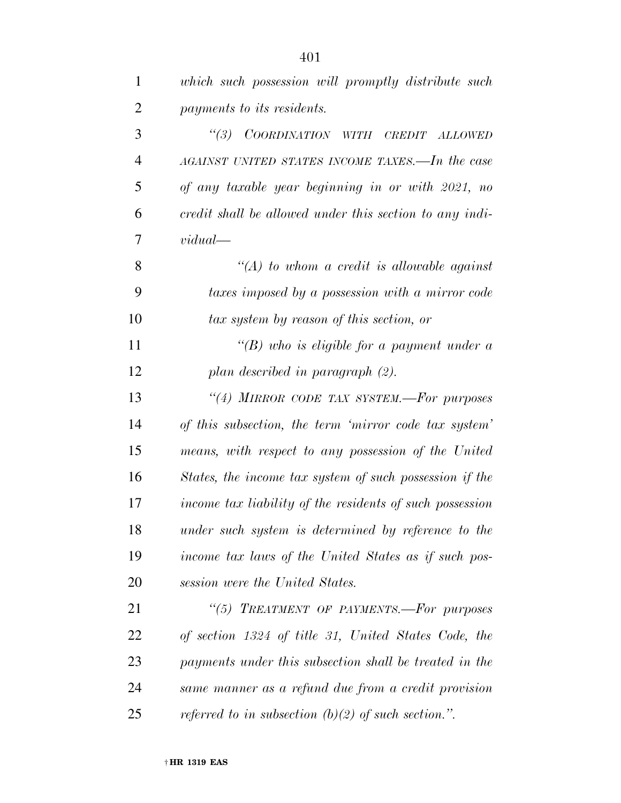| $\mathbf{1}$   | which such possession will promptly distribute such      |
|----------------|----------------------------------------------------------|
| $\overline{2}$ | payments to its residents.                               |
| 3              | (3)<br>COORDINATION WITH<br>CREDIT ALLOWED               |
| $\overline{4}$ | AGAINST UNITED STATES INCOME TAXES.—In the case          |
| 5              | of any taxable year beginning in or with 2021, no        |
| 6              | credit shall be allowed under this section to any indi-  |
| 7              | vidual                                                   |
| 8              | $\lq (A)$ to whom a credit is allowable against          |
| 9              | taxes imposed by a possession with a mirror code         |
| 10             | tax system by reason of this section, or                 |
| 11             | "(B) who is eligible for a payment under a               |
| 12             | plan described in paragraph (2).                         |
| 13             | "(4) MIRROR CODE TAX SYSTEM.-For purposes                |
| 14             | of this subsection, the term 'mirror code tax system'    |
| 15             | means, with respect to any possession of the United      |
| 16             | States, the income tax system of such possession if the  |
| 17             | income tax liability of the residents of such possession |
| 18             | under such system is determined by reference to the      |
| 19             | income tax laws of the United States as if such pos-     |
| 20             | session were the United States.                          |
| 21             | "(5) TREATMENT OF PAYMENTS.-For purposes                 |
| 22             | of section 1324 of title 31, United States Code, the     |
| 23             | payments under this subsection shall be treated in the   |
| 24             | same manner as a refund due from a credit provision      |
| 25             | referred to in subsection $(b)(2)$ of such section.".    |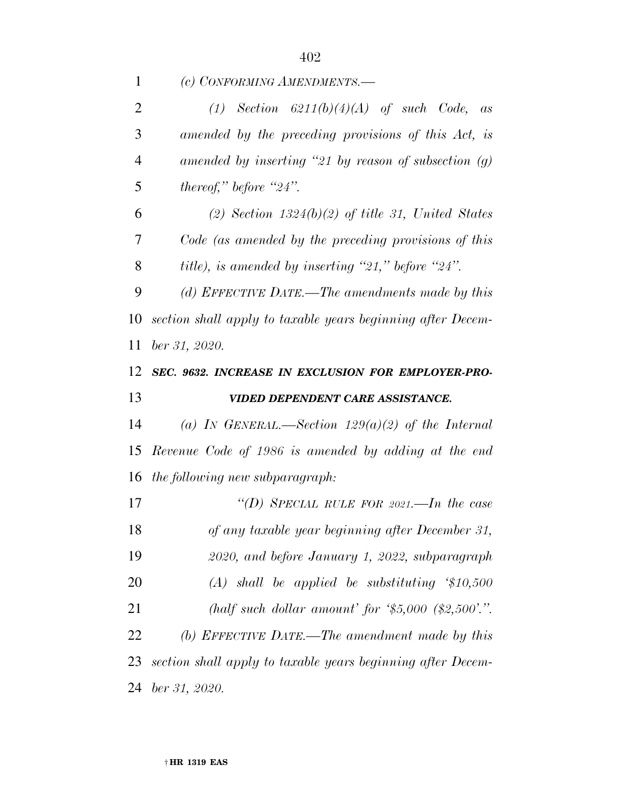*(c) CONFORMING AMENDMENTS.—* 

| $\overline{2}$       | $(1)$ Section 6211(b)(4)(A) of such Code, as                |
|----------------------|-------------------------------------------------------------|
| 3                    | amended by the preceding provisions of this Act, is         |
| $\overline{4}$       | amended by inserting "21 by reason of subsection $(q)$      |
| 5                    | thereof," before "24".                                      |
| 6                    | $(2)$ Section 1324 $(b)(2)$ of title 31, United States      |
| 7                    | Code (as amended by the preceding provisions of this        |
| 8                    | title), is amended by inserting "21," before "24".          |
| 9                    | (d) EFFECTIVE DATE.—The amendments made by this             |
| 10                   | section shall apply to taxable years beginning after Decem- |
| 11                   | ber 31, 2020.                                               |
| 12                   | SEC. 9632. INCREASE IN EXCLUSION FOR EMPLOYER-PRO-          |
|                      |                                                             |
|                      | VIDED DEPENDENT CARE ASSISTANCE.                            |
|                      | (a) IN GENERAL.—Section $129(a)(2)$ of the Internal         |
|                      | Revenue Code of 1986 is amended by adding at the end        |
| 13<br>14<br>15<br>16 | the following new subparagraph:                             |
| 17                   | "(D) SPECIAL RULE FOR 2021.—In the case                     |
| 18                   | of any taxable year beginning after December 31,            |
| 19                   | 2020, and before January 1, 2022, subparagraph              |
| 20                   | $(A)$ shall be applied be substituting $$10,500$            |
| 21                   | (half such dollar amount' for $\$5,000$ $\$2,500$ '.".      |
| 22                   | (b) EFFECTIVE DATE.—The amendment made by this              |
| 23                   | section shall apply to taxable years beginning after Decem- |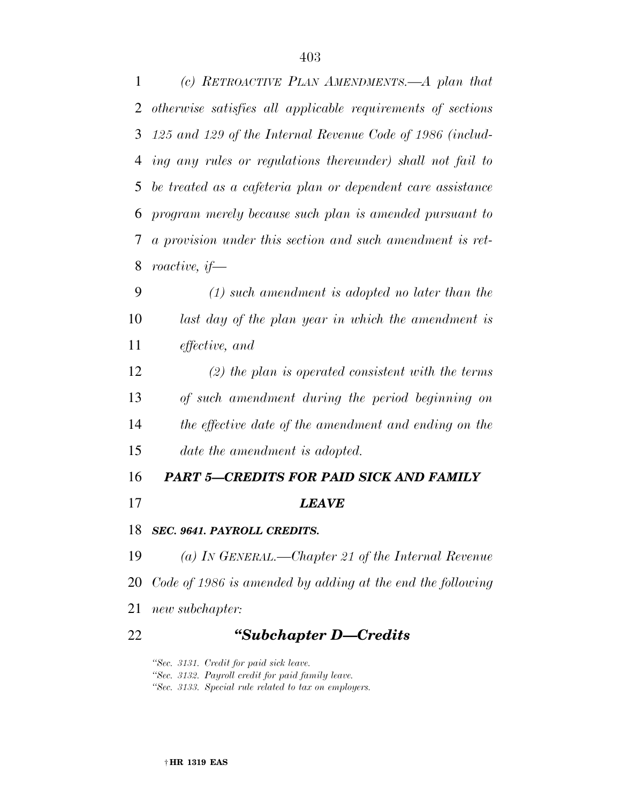*125 and 129 of the Internal Revenue Code of 1986 (includ- ing any rules or regulations thereunder) shall not fail to be treated as a cafeteria plan or dependent care assistance program merely because such plan is amended pursuant to a provision under this section and such amendment is ret-roactive, if—* 

 *(1) such amendment is adopted no later than the last day of the plan year in which the amendment is effective, and* 

 *(2) the plan is operated consistent with the terms of such amendment during the period beginning on the effective date of the amendment and ending on the date the amendment is adopted.* 

## *PART 5—CREDITS FOR PAID SICK AND FAMILY*

- *LEAVE*
- *SEC. 9641. PAYROLL CREDITS.*

 *(a) IN GENERAL.—Chapter 21 of the Internal Revenue Code of 1986 is amended by adding at the end the following new subchapter:* 

*''Subchapter D—Credits* 

*''Sec. 3131. Credit for paid sick leave. ''Sec. 3132. Payroll credit for paid family leave. ''Sec. 3133. Special rule related to tax on employers.*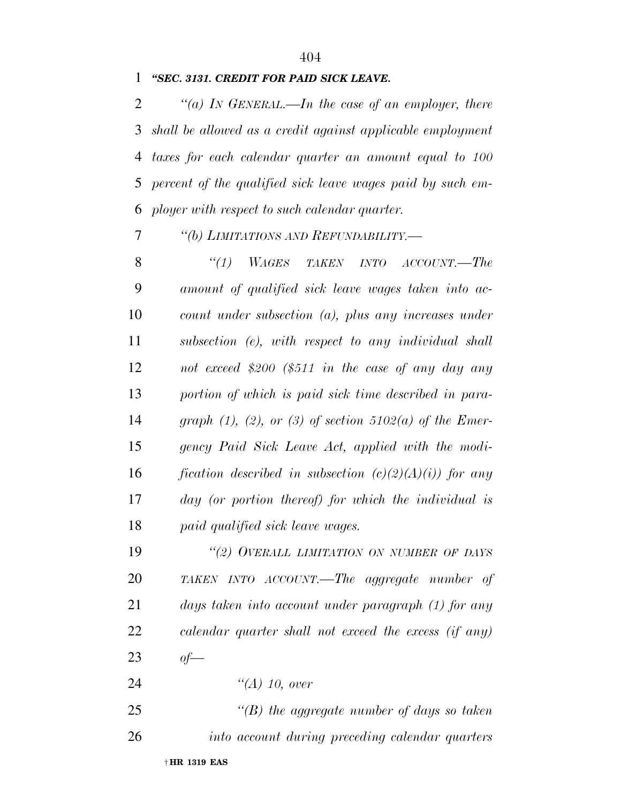### *''SEC. 3131. CREDIT FOR PAID SICK LEAVE.*

 *''(a) IN GENERAL.—In the case of an employer, there shall be allowed as a credit against applicable employment taxes for each calendar quarter an amount equal to 100 percent of the qualified sick leave wages paid by such em-ployer with respect to such calendar quarter.* 

*''(b) LIMITATIONS AND REFUNDABILITY.—* 

 *''(1) WAGES TAKEN INTO ACCOUNT.—The amount of qualified sick leave wages taken into ac- count under subsection (a), plus any increases under subsection (e), with respect to any individual shall not exceed \$200 (\$511 in the case of any day any portion of which is paid sick time described in para- graph (1), (2), or (3) of section 5102(a) of the Emer- gency Paid Sick Leave Act, applied with the modi- fication described in subsection (c)(2)(A)(i)) for any day (or portion thereof) for which the individual is paid qualified sick leave wages.* 

 *''(2) OVERALL LIMITATION ON NUMBER OF DAYS TAKEN INTO ACCOUNT.—The aggregate number of days taken into account under paragraph (1) for any calendar quarter shall not exceed the excess (if any) of—* 

*''(A) 10, over* 

 *''(B) the aggregate number of days so taken into account during preceding calendar quarters*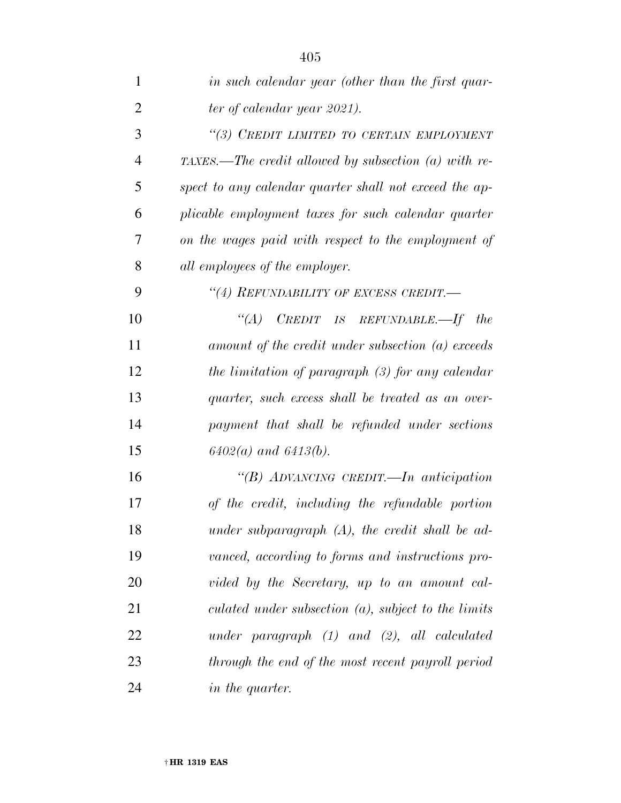| $\mathbf{1}$   | in such calendar year (other than the first quar-        |
|----------------|----------------------------------------------------------|
| $\overline{2}$ | ter of calendar year 2021).                              |
| 3              | "(3) CREDIT LIMITED TO CERTAIN EMPLOYMENT                |
| $\overline{4}$ | $TAXES$ .—The credit allowed by subsection (a) with re-  |
| 5              | spect to any calendar quarter shall not exceed the ap-   |
| 6              | plicable employment taxes for such calendar quarter      |
| 7              | on the wages paid with respect to the employment of      |
| 8              | all employees of the employer.                           |
| 9              | "(4) REFUNDABILITY OF EXCESS CREDIT.-                    |
| 10             | $CREDIT$ IS REFUNDABLE.—If the<br>$\lq(A)$               |
| 11             | amount of the credit under subsection (a) exceeds        |
| 12             | the limitation of paragraph (3) for any calendar         |
| 13             | quarter, such excess shall be treated as an over-        |
| 14             | payment that shall be refunded under sections            |
| 15             | $6402(a)$ and $6413(b)$ .                                |
| 16             | "(B) ADVANCING CREDIT.—In anticipation                   |
| 17             | of the credit, including the refundable portion          |
| 18             | under subparagraph $(A)$ , the credit shall be ad-       |
| 19             | vanced, according to forms and instructions pro-         |
| 20             | vided by the Secretary, up to an amount cal-             |
| 21             | $culated$ under subsection $(a)$ , subject to the limits |
| 22             | $under\ paragraph\ (1)\ and\ (2),\ all\ calculated$      |
| 23             | through the end of the most recent payroll period        |
| 24             | <i>in the quarter.</i>                                   |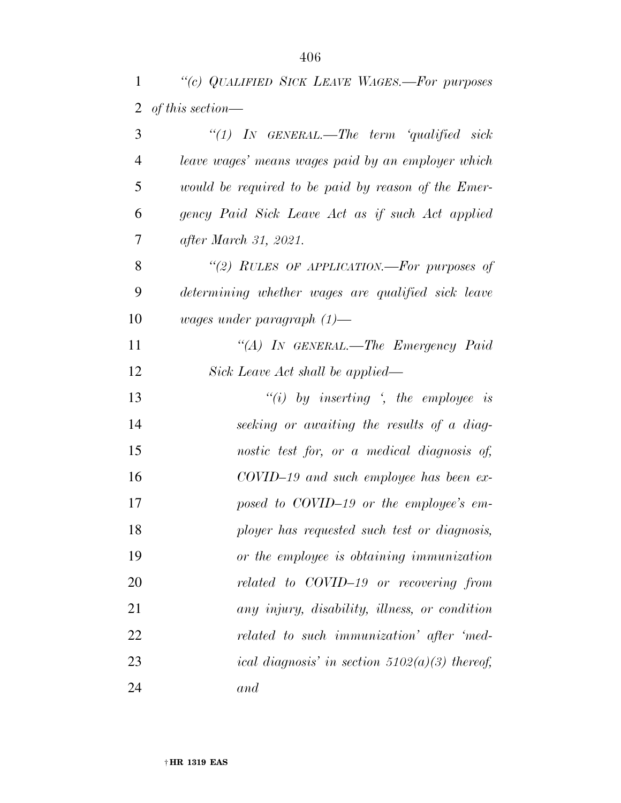*''(c) QUALIFIED SICK LEAVE WAGES.—For purposes of this section—* 

| 3              | "(1) IN GENERAL.—The term 'qualified sick           |
|----------------|-----------------------------------------------------|
| $\overline{4}$ | leave wages' means wages paid by an employer which  |
| 5              | would be required to be paid by reason of the Emer- |
| 6              | gency Paid Sick Leave Act as if such Act applied    |
| 7              | after March 31, 2021.                               |
| 8              | "(2) RULES OF APPLICATION.—For purposes of          |
| 9              | determining whether wages are qualified sick leave  |
| 10             | wages under paragraph $(1)$ —                       |
| 11             | "(A) IN GENERAL.—The Emergency Paid                 |
| 12             | Sick Leave Act shall be applied—                    |
| 13             | "(i) by inserting $\zeta$ , the employee is         |
| 14             | seeking or awaiting the results of a diag-          |
| 15             | nostic test for, or a medical diagnosis of,         |
| 16             | $COVID-19$ and such employee has been ex-           |
| 17             | posed to COVID-19 or the employee's em-             |
| 18             | ployer has requested such test or diagnosis,        |
| 19             | or the employee is obtaining immunization           |
| 20             | related to COVID-19 or recovering from              |
| 21             | any injury, disability, illness, or condition       |
| 22             | related to such immunization' after 'med-           |
| 23             | ical diagnosis' in section $5102(a)(3)$ thereof,    |
| 24             | and                                                 |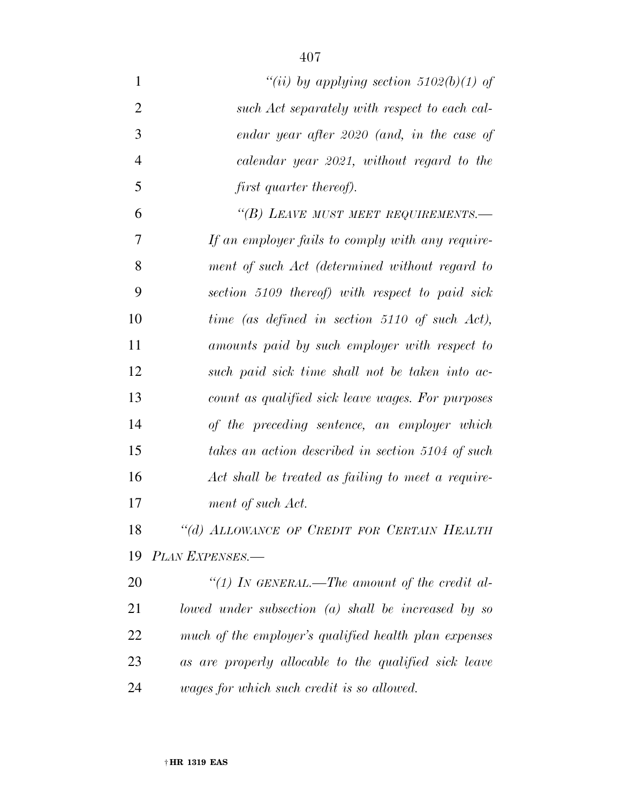| $\mathbf{1}$   | "(ii) by applying section $5102(b)(1)$ of             |
|----------------|-------------------------------------------------------|
| $\overline{2}$ | such Act separately with respect to each cal-         |
| 3              | endar year after 2020 (and, in the case of            |
| $\overline{4}$ | calendar year 2021, without regard to the             |
| 5              | first quarter thereof).                               |
| 6              | "(B) LEAVE MUST MEET REQUIREMENTS.-                   |
| 7              | If an employer fails to comply with any require-      |
| 8              | ment of such Act (determined without regard to        |
| 9              | section 5109 thereof) with respect to paid sick       |
| 10             | time (as defined in section 5110 of such Act),        |
| 11             | amounts paid by such employer with respect to         |
| 12             | such paid sick time shall not be taken into ac-       |
| 13             | count as qualified sick leave wages. For purposes     |
| 14             | of the preceding sentence, an employer which          |
| 15             | takes an action described in section 5104 of such     |
| 16             | Act shall be treated as failing to meet a require-    |
| 17             | ment of such Act.                                     |
| 18             | "(d) ALLOWANCE OF CREDIT FOR CERTAIN HEALTH           |
| 19             | PLAN EXPENSES.-                                       |
| 20             | "(1) In GENERAL.—The amount of the credit al-         |
| 21             | lowed under subsection (a) shall be increased by so   |
| 22             | much of the employer's qualified health plan expenses |
| 23             | as are properly allocable to the qualified sick leave |
| 24             | wages for which such credit is so allowed.            |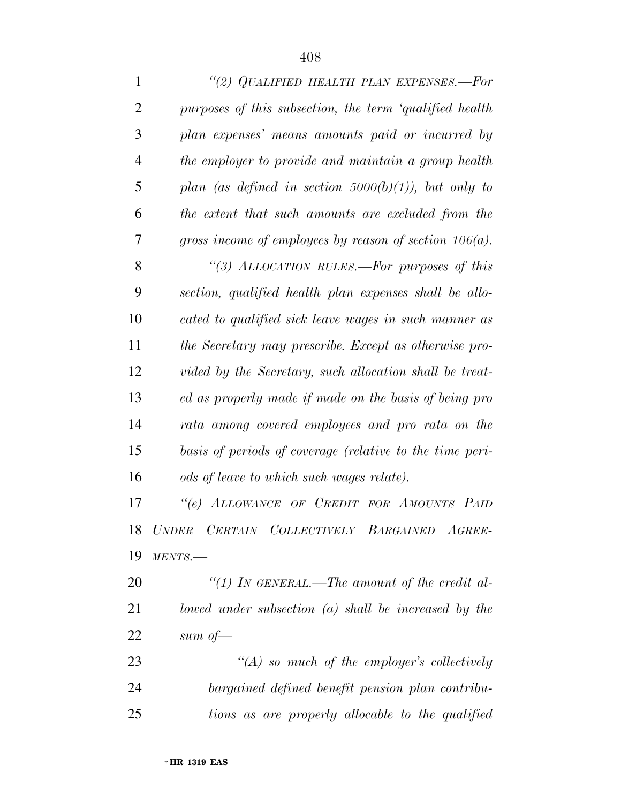| $\mathbf{1}$   | "(2) QUALIFIED HEALTH PLAN EXPENSES.-For                  |
|----------------|-----------------------------------------------------------|
| $\overline{2}$ | purposes of this subsection, the term 'qualified health   |
| 3              | plan expenses' means amounts paid or incurred by          |
| 4              | the employer to provide and maintain a group health       |
| 5              | plan (as defined in section $5000(b)(1)$ ), but only to   |
| 6              | the extent that such amounts are excluded from the        |
| 7              | gross income of employees by reason of section $106(a)$ . |
| 8              | "(3) ALLOCATION RULES.—For purposes of this               |
| 9              | section, qualified health plan expenses shall be allo-    |
| 10             | cated to qualified sick leave wages in such manner as     |
| 11             | the Secretary may prescribe. Except as otherwise pro-     |
| 12             | vided by the Secretary, such allocation shall be treat-   |
| 13             | ed as properly made if made on the basis of being pro     |
| 14             | rata among covered employees and pro rata on the          |
| 15             | basis of periods of coverage (relative to the time peri-  |
| 16             | ods of leave to which such wages relate).                 |
| 17             | "(e) ALLOWANCE OF CREDIT FOR AMOUNTS PAID                 |
| 18             | UNDER CERTAIN COLLECTIVELY BARGAINED<br>$AGREE-$          |
| 19             | MENTS.                                                    |
| <b>20</b>      | "(1) IN GENERAL.—The amount of the credit al-             |
| 21             | lowed under subsection $(a)$ shall be increased by the    |
| 22             | sum of $-$                                                |
| 23             | $\lq (A)$ so much of the employer's collectively          |
| 24             | bargained defined benefit pension plan contribu-          |
| 25             | tions as are properly allocable to the qualified          |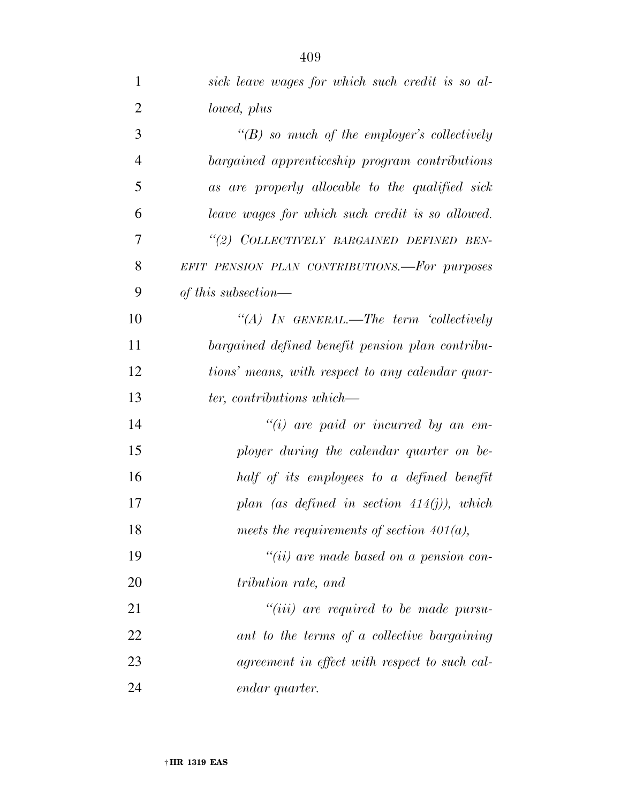| $\mathbf{1}$   | sick leave wages for which such credit is so al-   |
|----------------|----------------------------------------------------|
| $\overline{2}$ | lowed, plus                                        |
| 3              | $\lq\lq(B)$ so much of the employer's collectively |
| $\overline{4}$ | bargained apprenticeship program contributions     |
| 5              | as are properly allocable to the qualified sick    |
| 6              | leave wages for which such credit is so allowed.   |
| 7              | "(2) COLLECTIVELY BARGAINED DEFINED BEN-           |
| 8              | EFIT PENSION PLAN CONTRIBUTIONS.-For purposes      |
| 9              | of this subsection—                                |
| 10             | "(A) IN GENERAL.—The term 'collectively            |
| 11             | bargained defined benefit pension plan contribu-   |
| 12             | tions' means, with respect to any calendar quar-   |
| 13             | ter, contributions which—                          |
| 14             | $``(i)$ are paid or incurred by an em-             |
| 15             | ployer during the calendar quarter on be-          |
| 16             | half of its employees to a defined benefit         |
| 17             | plan (as defined in section $414(j)$ ), which      |
| 18             | meets the requirements of section $401(a)$ ,       |
| 19             | $``(ii)$ are made based on a pension con-          |
| 20             | tribution rate, and                                |
| 21             | $``(iii)$ are required to be made pursu-           |
| 22             | ant to the terms of a collective bargaining        |
| 23             | agreement in effect with respect to such cal-      |
| 24             | endar quarter.                                     |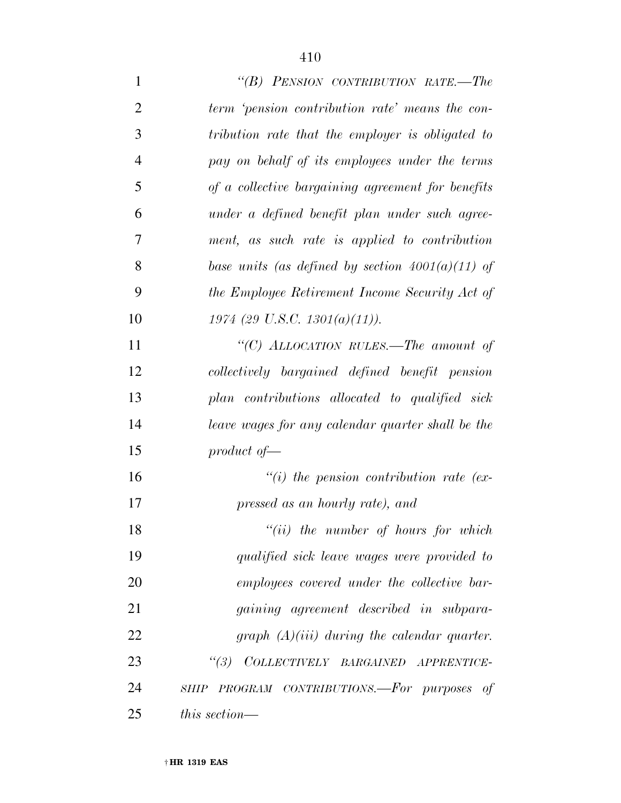| $\mathbf{1}$   | "(B) PENSION CONTRIBUTION RATE.—The                |
|----------------|----------------------------------------------------|
| $\overline{2}$ | term 'pension contribution rate' means the con-    |
| 3              | tribution rate that the employer is obligated to   |
| 4              | pay on behalf of its employees under the terms     |
| 5              | of a collective bargaining agreement for benefits  |
| 6              | under a defined benefit plan under such agree-     |
| 7              | ment, as such rate is applied to contribution      |
| 8              | base units (as defined by section $4001(a)(11)$ of |
| 9              | the Employee Retirement Income Security Act of     |
| 10             | $1974$ (29 U.S.C. 1301(a)(11)).                    |
| 11             | "(C) ALLOCATION RULES.—The amount of               |
| 12             | collectively bargained defined benefit pension     |
| 13             | plan contributions allocated to qualified sick     |
| 14             | leave wages for any calendar quarter shall be the  |
| 15             | product of $-$                                     |
| 16             | $\lq\lq(i)$ the pension contribution rate (ex-     |
| 17             | pressed as an hourly rate), and                    |
| 18             | $``(ii)$ the number of hours for which             |
| 19             | qualified sick leave wages were provided to        |
| 20             | employees covered under the collective bar-        |
| 21             | <i>gaining agreement described in subpara-</i>     |
| 22             | graph $(A)(iii)$ during the calendar quarter.      |
| 23             | COLLECTIVELY BARGAINED APPRENTICE-<br>(3)          |
| 24             | SHIP PROGRAM CONTRIBUTIONS.—For purposes of        |
| 25             | this section—                                      |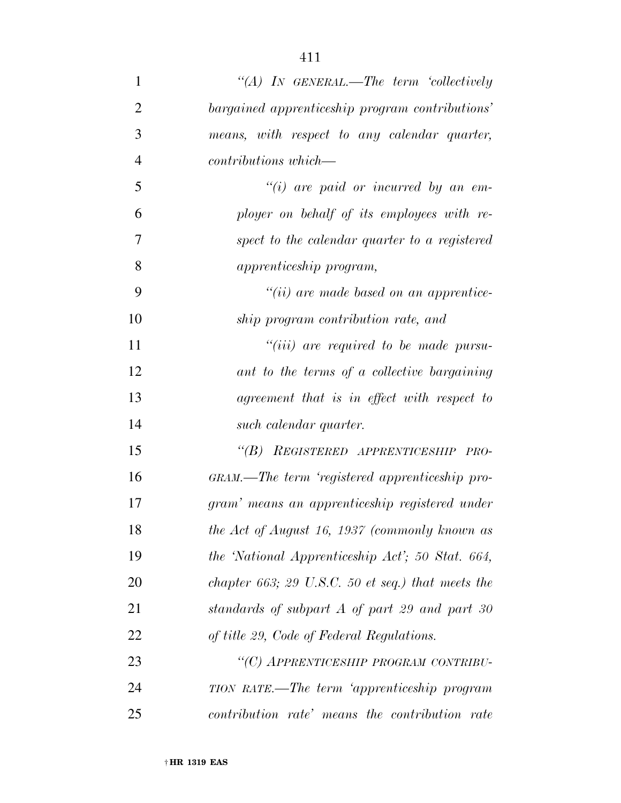| $\mathbf 1$    | "(A) IN GENERAL.—The term 'collectively           |
|----------------|---------------------------------------------------|
| $\overline{2}$ | bargained apprenticeship program contributions'   |
| 3              | means, with respect to any calendar quarter,      |
| $\overline{4}$ | $contributions which$ —                           |
| 5              | $``(i)$ are paid or incurred by an em-            |
| 6              | ployer on behalf of its employees with re-        |
| 7              | spect to the calendar quarter to a registered     |
| 8              | <i>apprenticeship program,</i>                    |
| 9              | $``(ii)$ are made based on an apprentice-         |
| 10             | ship program contribution rate, and               |
| 11             | $``(iii)$ are required to be made pursu-          |
| 12             | ant to the terms of a collective bargaining       |
| 13             | agreement that is in effect with respect to       |
| 14             | such calendar quarter.                            |
| 15             | "(B) REGISTERED APPRENTICESHIP PRO-               |
| 16             | GRAM.—The term 'registered apprenticeship pro-    |
| 17             | gram' means an apprenticeship registered under    |
| 18             | the Act of August 16, 1937 (commonly known as     |
| 19             | the 'National Apprenticeship Act'; 50 Stat. 664,  |
| 20             | chapter 663; 29 U.S.C. 50 et seq.) that meets the |
| 21             | standards of subpart A of part 29 and part 30     |
| 22             | of title 29, Code of Federal Regulations.         |
| 23             | "(C) APPRENTICESHIP PROGRAM CONTRIBU-             |
| 24             | TION RATE.—The term 'apprenticeship program       |
| 25             | contribution rate' means the contribution rate    |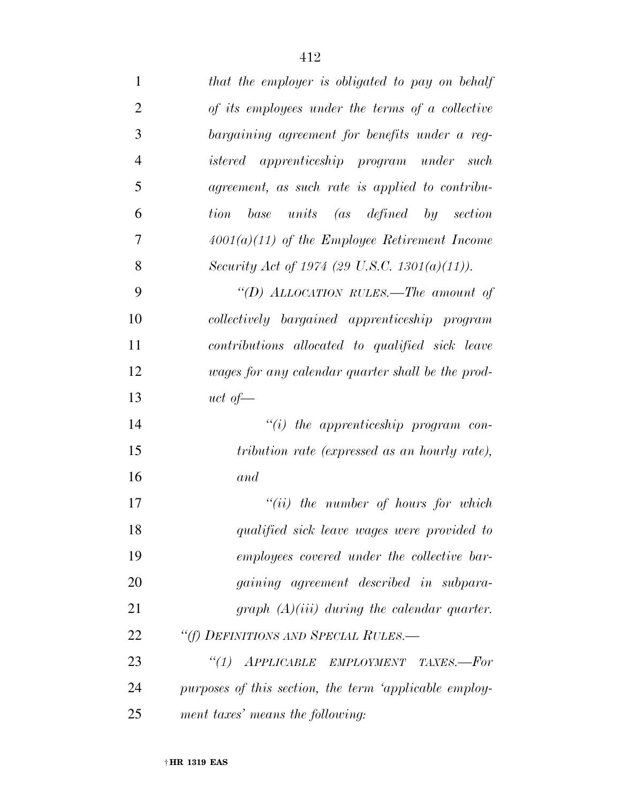| $\mathbf{1}$   | that the employer is obligated to pay on behalf        |
|----------------|--------------------------------------------------------|
| $\overline{2}$ | of its employees under the terms of a collective       |
| 3              | bargaining agreement for benefits under a reg-         |
| $\overline{4}$ | istered apprenticeship program under such              |
| 5              | agreement, as such rate is applied to contribu-        |
| 6              | tion base units (as defined by section                 |
| 7              | $4001(a)(11)$ of the Employee Retirement Income        |
| 8              | Security Act of 1974 (29 U.S.C. 1301(a)(11)).          |
| 9              | "(D) ALLOCATION RULES.—The amount of                   |
| 10             | collectively bargained apprenticeship program          |
| 11             | contributions allocated to qualified sick leave        |
| 12             | wages for any calendar quarter shall be the prod-      |
| 13             | uct of                                                 |
| 14             | $``(i)$ the apprenticeship program con-                |
| 15             | tribution rate (expressed as an hourly rate),          |
| 16             | and                                                    |
| 17             | $"(ii)$ the number of hours for which                  |
| 18             | qualified sick leave wages were provided to            |
| 19             | employees covered under the collective bar-            |
| 20             | <i>gaining agreement described in subpara-</i>         |
| 21             | graph $(A)(iii)$ during the calendar quarter.          |
| 22             | "(f) DEFINITIONS AND SPECIAL RULES.—                   |
| 23             | "(1) APPLICABLE EMPLOYMENT TAXES.-For                  |
| 24             | purposes of this section, the term 'applicable employ- |
| 25             | ment taxes' means the following:                       |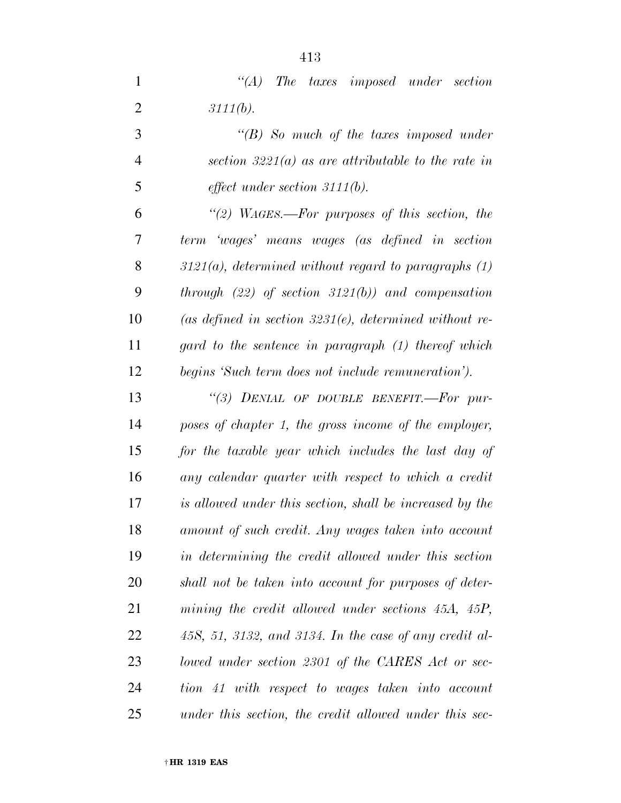*''(B) So much of the taxes imposed under section 3221(a) as are attributable to the rate in effect under section 3111(b).* 

 *''(2) WAGES.—For purposes of this section, the term 'wages' means wages (as defined in section 3121(a), determined without regard to paragraphs (1) through (22) of section 3121(b)) and compensation (as defined in section 3231(e), determined without re- gard to the sentence in paragraph (1) thereof which begins 'Such term does not include remuneration').* 

 *''(3) DENIAL OF DOUBLE BENEFIT.—For pur- poses of chapter 1, the gross income of the employer, for the taxable year which includes the last day of any calendar quarter with respect to which a credit is allowed under this section, shall be increased by the amount of such credit. Any wages taken into account in determining the credit allowed under this section shall not be taken into account for purposes of deter- mining the credit allowed under sections 45A, 45P, 45S, 51, 3132, and 3134. In the case of any credit al- lowed under section 2301 of the CARES Act or sec- tion 41 with respect to wages taken into account under this section, the credit allowed under this sec-*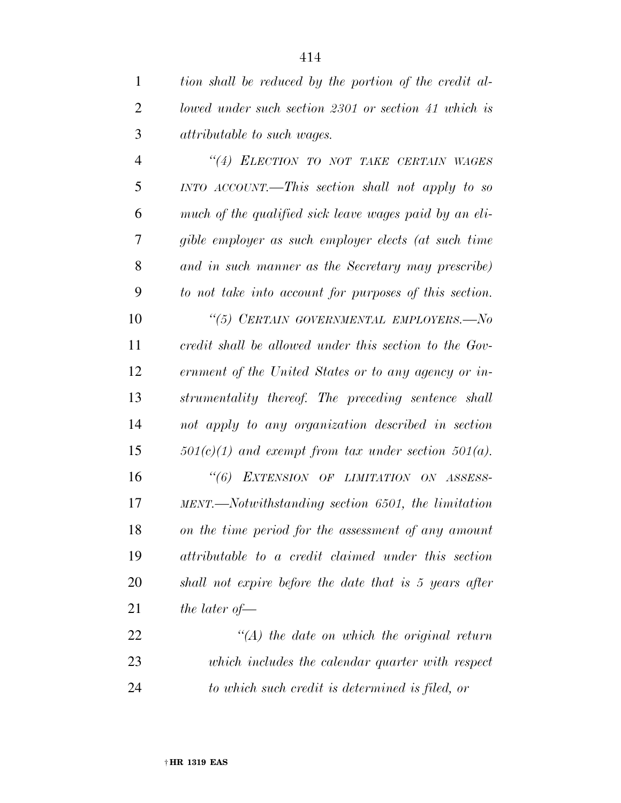| $\mathbf{1}$   | tion shall be reduced by the portion of the credit al-   |
|----------------|----------------------------------------------------------|
| $\overline{2}$ | lowed under such section 2301 or section 41 which is     |
| 3              | <i>attributable to such wages.</i>                       |
| $\overline{4}$ | "(4) ELECTION TO NOT TAKE CERTAIN WAGES                  |
| 5              | $INTO$ $ACCOUNT$ . This section shall not apply to so    |
| 6              | much of the qualified sick leave wages paid by an eli-   |
| 7              | gible employer as such employer elects (at such time     |
| 8              | and in such manner as the Secretary may prescribe)       |
| 9              | to not take into account for purposes of this section.   |
| 10             | "(5) CERTAIN GOVERNMENTAL EMPLOYERS.-No                  |
| 11             | credit shall be allowed under this section to the Gov-   |
| 12             | ernment of the United States or to any agency or in-     |
| 13             | strumentality thereof. The preceding sentence shall      |
| 14             | not apply to any organization described in section       |
| 15             | $501(c)(1)$ and exempt from tax under section $501(a)$ . |
| 16             | "(6) EXTENSION OF LIMITATION ON ASSESS-                  |
| 17             | MENT.—Notwithstanding section 6501, the limitation       |
| 18             | on the time period for the assessment of any amount      |
| 19             | attributable to a credit claimed under this section      |
| <b>20</b>      | shall not expire before the date that is 5 years after   |
| 21             | the later of $-$                                         |
| 22             | $\lq (A)$ the date on which the original return          |
| 23             | which includes the calendar quarter with respect         |
| 24             | to which such credit is determined is filed, or          |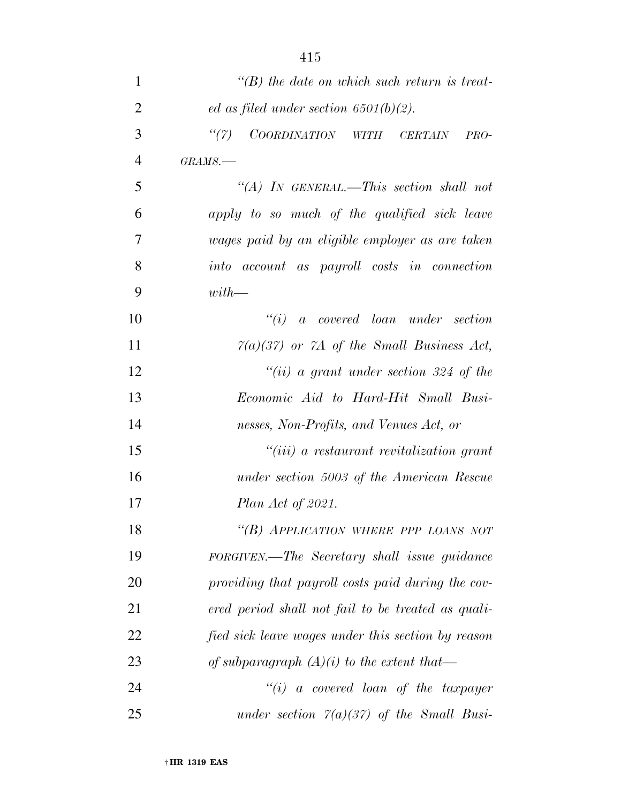| $\mathbf{1}$   | $\lq\lq(B)$ the date on which such return is treat- |
|----------------|-----------------------------------------------------|
| $\overline{2}$ | ed as filed under section $6501(b)(2)$ .            |
| 3              | ``(7)<br>COORDINATION WITH CERTAIN<br>PRO-          |
| 4              | $GRAMS$ .                                           |
| 5              | "(A) IN GENERAL.—This section shall not             |
| 6              | apply to so much of the qualified sick leave        |
| 7              | wages paid by an eligible employer as are taken     |
| 8              | into account as payroll costs in connection         |
| 9              | $with$ —                                            |
| 10             | ``(i)<br>a covered loan under section               |
| 11             | $7(a)(37)$ or 7A of the Small Business Act,         |
| 12             | "(ii) a grant under section 324 of the              |
| 13             | Economic Aid to Hard-Hit Small Busi-                |
| 14             | nesses, Non-Profits, and Venues Act, or             |
| 15             | $``(iii)$ a restaurant revitalization grant         |
| 16             | under section 5003 of the American Rescue           |
| 17             | <i>Plan Act of 2021.</i>                            |
| 18             | "(B) APPLICATION WHERE PPP LOANS NOT                |
| 19             | FORGIVEN.—The Secretary shall issue guidance        |
| 20             | providing that payroll costs paid during the cov-   |
| 21             | ered period shall not fail to be treated as quali-  |
| 22             | fied sick leave wages under this section by reason  |
| 23             | of subparagraph $(A)(i)$ to the extent that—        |
| 24             | $``(i)$ a covered loan of the taxpayer              |
| 25             | under section $7(a)(37)$ of the Small Busi-         |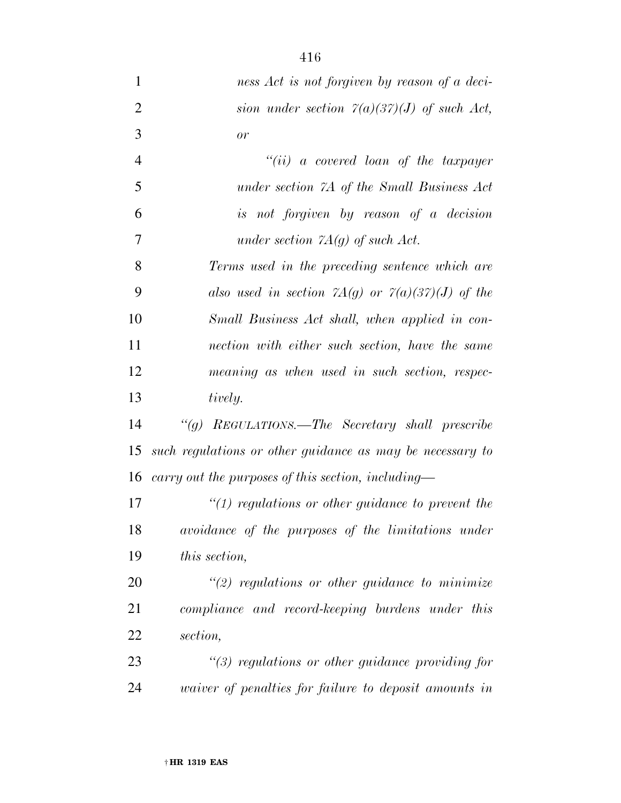| $\mathbf{1}$   | ness Act is not forgiven by reason of a deci-                                                          |
|----------------|--------------------------------------------------------------------------------------------------------|
| $\overline{2}$ | sion under section $7(a)(37)(J)$ of such Act,                                                          |
| 3              | or                                                                                                     |
| $\overline{4}$ | $``(ii)$ a covered loan of the taxpayer                                                                |
| 5              | under section 7A of the Small Business Act                                                             |
| 6              | is not forgiven by reason of a decision                                                                |
| 7              | under section $7A(g)$ of such Act.                                                                     |
| 8              | Terms used in the preceding sentence which are                                                         |
| 9              | also used in section $7A(g)$ or $7(a)(37)(J)$ of the                                                   |
| 10             | Small Business Act shall, when applied in con-                                                         |
| 11             | nection with either such section, have the same                                                        |
| 12             | meaning as when used in such section, respec-                                                          |
| 13             | tively.                                                                                                |
| 14             | "(g) REGULATIONS.—The Secretary shall prescribe                                                        |
| 15             | such regulations or other guidance as may be necessary to                                              |
| 16             | carry out the purposes of this section, including—                                                     |
| 17             | $\lq(1)$ regulations or other guidance to prevent the                                                  |
| 18             | avoidance of the purposes of the limitations under                                                     |
| 19             | this section,                                                                                          |
| nη             | $\cdot$ 7 $\cdot$ 1 $\cdot$ $\cdot$ $\cdot$<br>$\mathcal{U}(\alpha)$ 1 $\mathbf{I}^*$ 1 $\mathbf{I}^*$ |

 *''(2) regulations or other guidance to minimize compliance and record-keeping burdens under this section,* 

 *''(3) regulations or other guidance providing for waiver of penalties for failure to deposit amounts in*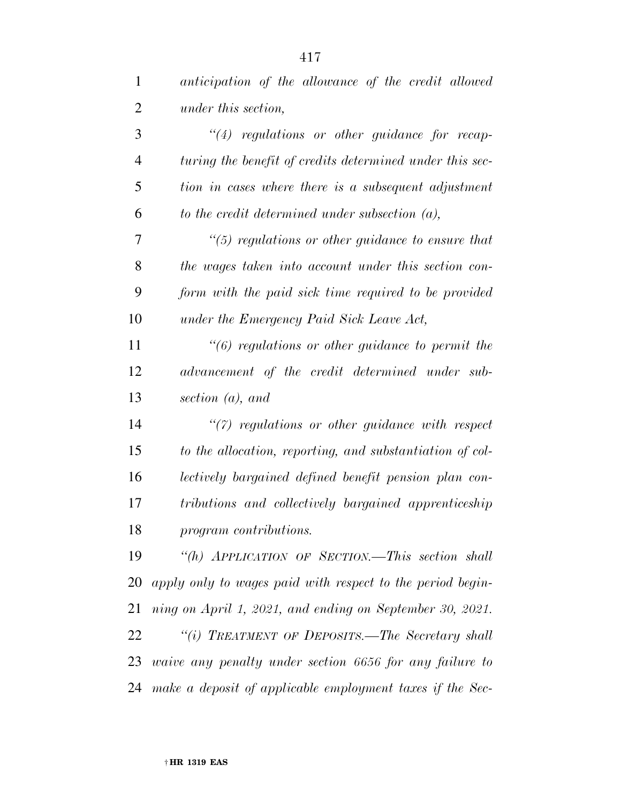| $\mathbf{1}$   | anticipation of the allowance of the credit allowed        |
|----------------|------------------------------------------------------------|
| 2              | under this section,                                        |
| 3              | $``(4)$ regulations or other guidance for recap-           |
| $\overline{4}$ | turing the benefit of credits determined under this sec-   |
| 5              | tion in cases where there is a subsequent adjustment       |
| 6              | to the credit determined under subsection $(a)$ ,          |
| 7              | $\lq(5)$ regulations or other guidance to ensure that      |
| 8              | the wages taken into account under this section con-       |
| 9              | form with the paid sick time required to be provided       |
| 10             | under the Emergency Paid Sick Leave Act,                   |
| 11             | $\lq(6)$ regulations or other guidance to permit the       |
| 12             | advancement of the credit determined under sub-            |
| 13             | section $(a)$ , and                                        |
| 14             | $\lq(7)$ regulations or other guidance with respect        |
| 15             | to the allocation, reporting, and substantiation of col-   |
| 16             | lectively bargained defined benefit pension plan con-      |
| 17             | tributions and collectively bargained apprenticeship       |
| 18             | program contributions.                                     |
| 19             | "(h) APPLICATION OF SECTION.—This section shall            |
| 20             | apply only to wages paid with respect to the period begin- |
| 21             | ning on April 1, 2021, and ending on September 30, 2021.   |
| 22             | "(i) TREATMENT OF DEPOSITS.—The Secretary shall            |
| 23             | waive any penalty under section 6656 for any failure to    |
| 24             | make a deposit of applicable employment taxes if the Sec-  |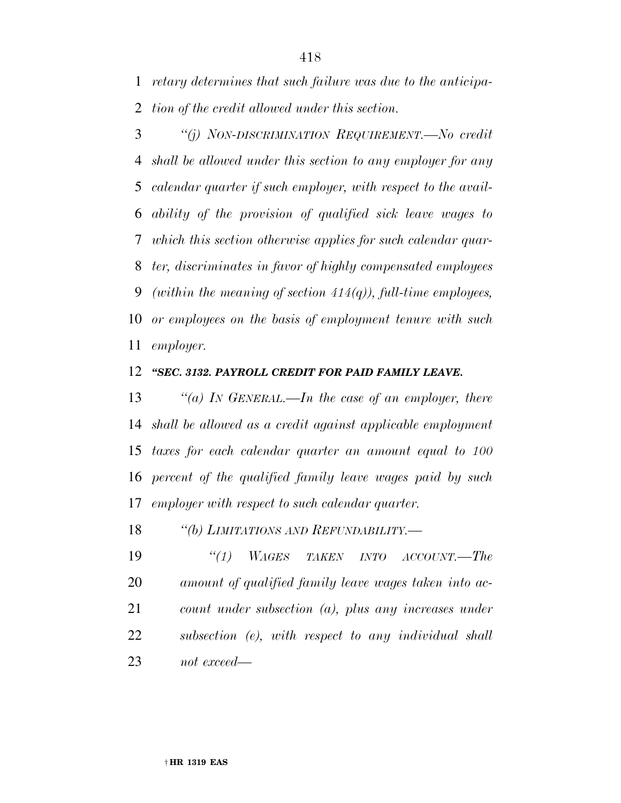*retary determines that such failure was due to the anticipa-tion of the credit allowed under this section.* 

 *''(j) NON-DISCRIMINATION REQUIREMENT.—No credit shall be allowed under this section to any employer for any calendar quarter if such employer, with respect to the avail- ability of the provision of qualified sick leave wages to which this section otherwise applies for such calendar quar- ter, discriminates in favor of highly compensated employees (within the meaning of section 414(q)), full-time employees, or employees on the basis of employment tenure with such employer.* 

#### *''SEC. 3132. PAYROLL CREDIT FOR PAID FAMILY LEAVE.*

 *''(a) IN GENERAL.—In the case of an employer, there shall be allowed as a credit against applicable employment taxes for each calendar quarter an amount equal to 100 percent of the qualified family leave wages paid by such employer with respect to such calendar quarter.* 

*''(b) LIMITATIONS AND REFUNDABILITY.—* 

 *''(1) WAGES TAKEN INTO ACCOUNT.—The amount of qualified family leave wages taken into ac- count under subsection (a), plus any increases under subsection (e), with respect to any individual shall not exceed—*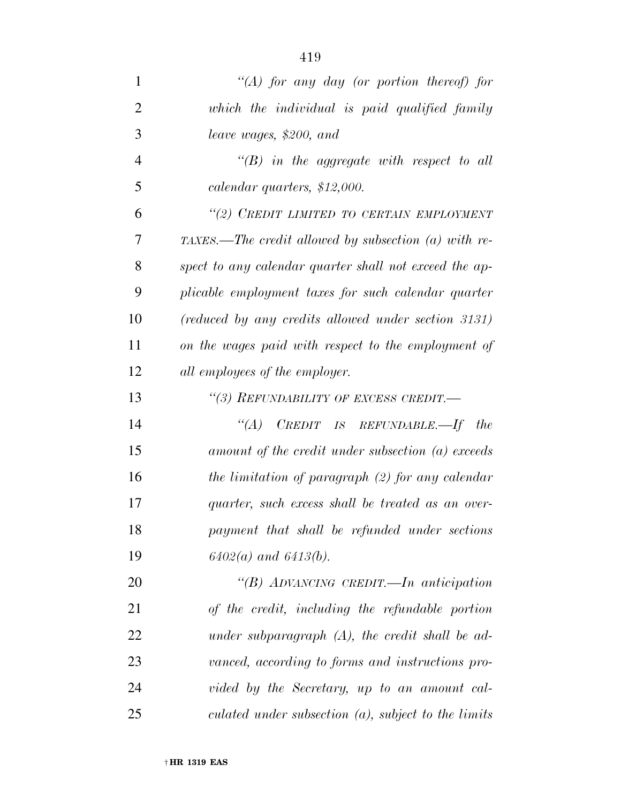| 1              | "(A) for any day (or portion thereof) for              |
|----------------|--------------------------------------------------------|
| $\overline{2}$ | which the individual is paid qualified family          |
| 3              | leave wages, \$200, and                                |
| $\overline{4}$ | $\lq\lq B$ in the aggregate with respect to all        |
| 5              | calendar quarters, \$12,000.                           |
| 6              | "(2) CREDIT LIMITED TO CERTAIN EMPLOYMENT              |
| 7              | TAXES.—The credit allowed by subsection (a) with re-   |
| 8              | spect to any calendar quarter shall not exceed the ap- |
| 9              | plicable employment taxes for such calendar quarter    |
| 10             | (reduced by any credits allowed under section 3131)    |
| 11             | on the wages paid with respect to the employment of    |
| 12             | all employees of the employer.                         |
| 13             | "(3) REFUNDABILITY OF EXCESS CREDIT.-                  |
| 14             | $C$ REDIT IS REFUNDABLE.—If the<br>$\lq(A)$            |
| 15             | amount of the credit under subsection (a) exceeds      |
| 16             | the limitation of paragraph $(2)$ for any calendar     |
| 17             | quarter, such excess shall be treated as an over-      |
| 18             | payment that shall be refunded under sections          |
| 19             | $6402(a)$ and $6413(b)$ .                              |
| 20             | "(B) ADVANCING CREDIT.—In anticipation                 |
| 21             | of the credit, including the refundable portion        |
| 22             | under subparagraph $(A)$ , the credit shall be ad-     |
| 23             | vanced, according to forms and instructions pro-       |
| 24             | vided by the Secretary, up to an amount cal-           |
| 25             | culated under subsection $(a)$ , subject to the limits |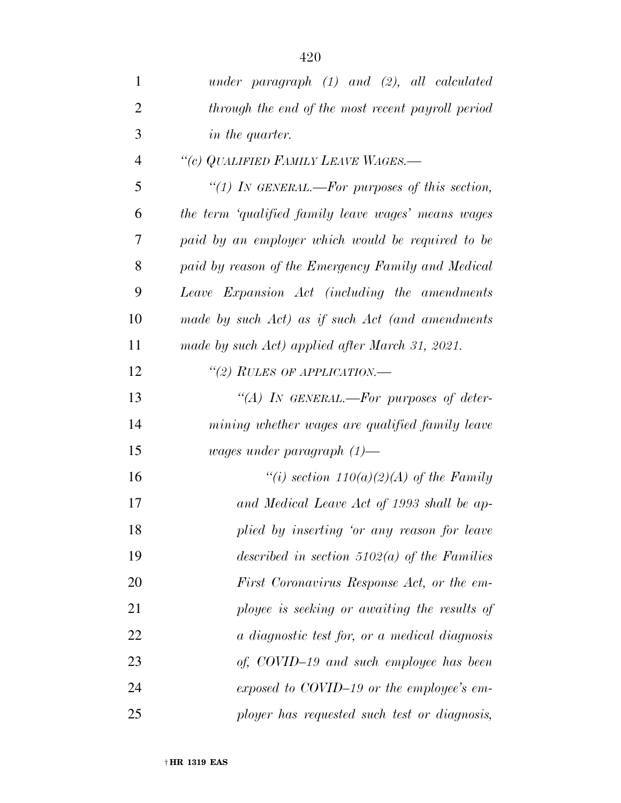| $\mathbf{1}$   | under paragraph $(1)$ and $(2)$ , all calculated    |
|----------------|-----------------------------------------------------|
| $\overline{2}$ | through the end of the most recent payroll period   |
| 3              | in the quarter.                                     |
| $\overline{4}$ | "(c) QUALIFIED FAMILY LEAVE WAGES.-                 |
| 5              | "(1) In GENERAL.—For purposes of this section,      |
| 6              | the term 'qualified family leave wages' means wages |
| 7              | paid by an employer which would be required to be   |
| 8              | paid by reason of the Emergency Family and Medical  |
| 9              | Leave Expansion Act (including the amendments       |
| 10             | made by such Act) as if such Act (and amendments    |
| 11             | made by such Act) applied after March 31, 2021.     |
| 12             | "(2) RULES OF APPLICATION.—                         |
| 13             | "(A) IN GENERAL.—For purposes of deter-             |
| 14             | mining whether wages are qualified family leave     |
| 15             | wages under paragraph $(1)$ —                       |
| 16             | "(i) section $110(a)(2)(A)$ of the Family           |
| 17             | and Medical Leave Act of 1993 shall be ap-          |
| 18             | plied by inserting 'or any reason for leave         |
| 19             | described in section $5102(a)$ of the Families      |
| 20             | First Coronavirus Response Act, or the em-          |
| 21             | ployee is seeking or awaiting the results of        |
| 22             | a diagnostic test for, or a medical diagnosis       |
| 23             | of, COVID-19 and such employee has been             |
| 24             | exposed to COVID-19 or the employee's em-           |
| 25             | ployer has requested such test or diagnosis,        |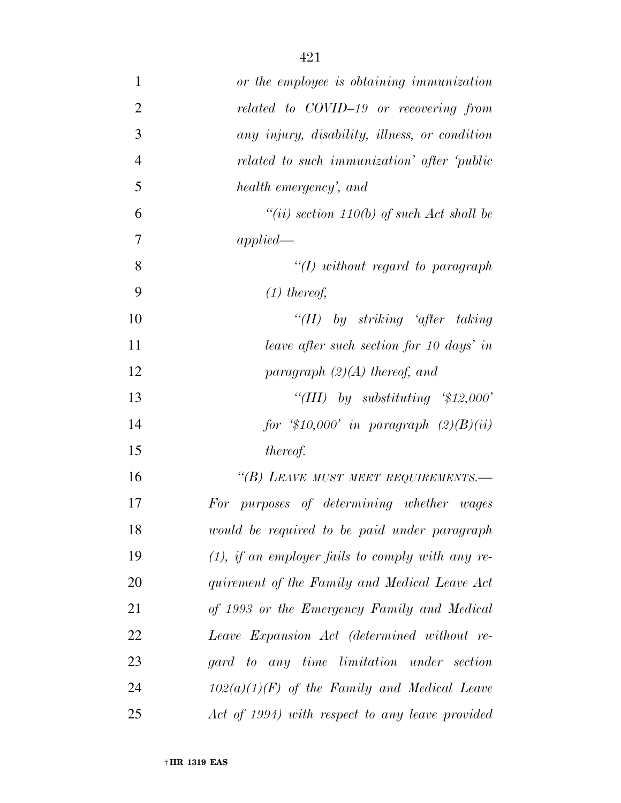| $\mathbf{1}$   | or the employee is obtaining immunization           |
|----------------|-----------------------------------------------------|
| $\overline{2}$ | related to COVID-19 or recovering from              |
| 3              | any injury, disability, illness, or condition       |
| $\overline{4}$ | related to such immunization' after 'public         |
| 5              | health emergency', and                              |
| 6              | "(ii) section $110(b)$ of such Act shall be         |
| 7              | applied                                             |
| 8              | $\lq (I)$ without regard to paragraph               |
| 9              | $(1)$ thereof,                                      |
| 10             | "(II) by striking 'after taking                     |
| 11             | leave after such section for 10 days' in            |
| 12             | paragraph $(2)(A)$ thereof, and                     |
| 13             | "(III) by substituting $$12,000"$                   |
| 14             | for $$10,000'$ in paragraph $(2)(B)(ii)$            |
| 15             | <i>thereof.</i>                                     |
| 16             | "(B) LEAVE MUST MEET REQUIREMENTS.-                 |
| 17             | For purposes of determining whether wages           |
| 18             | would be required to be paid under paragraph        |
| 19             | $(1)$ , if an employer fails to comply with any re- |
| 20             | quirement of the Family and Medical Leave Act       |
| 21             | of 1993 or the Emergency Family and Medical         |
| 22             | Leave Expansion Act (determined without re-         |
| 23             | gard to any time limitation under section           |
| 24             | $102(a)(1)(F)$ of the Family and Medical Leave      |
| 25             | Act of 1994) with respect to any leave provided     |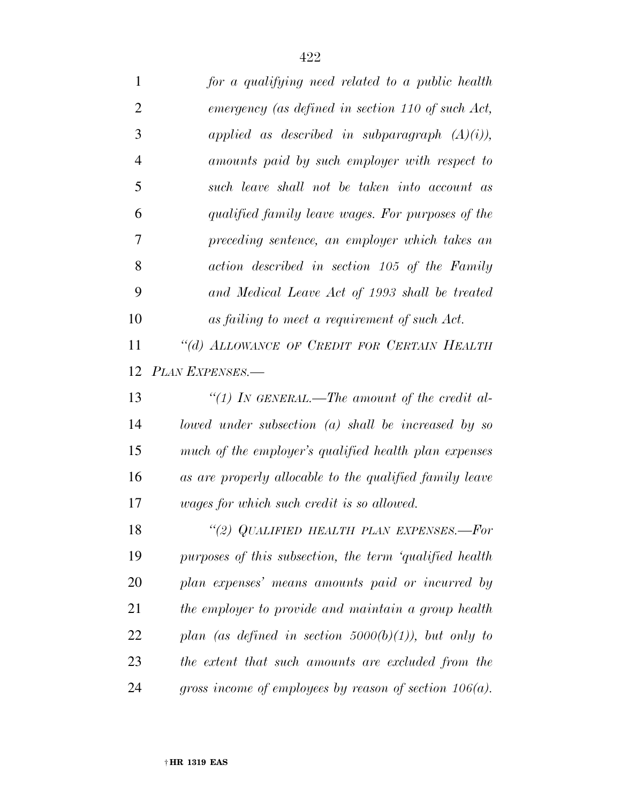| $\mathbf{1}$   | for a qualifying need related to a public health          |
|----------------|-----------------------------------------------------------|
| $\overline{2}$ | emergency (as defined in section 110 of such Act,         |
| 3              | applied as described in subparagraph $(A)(i)$ ,           |
| $\overline{4}$ | amounts paid by such employer with respect to             |
| 5              | such leave shall not be taken into account as             |
| 6              | qualified family leave wages. For purposes of the         |
| 7              | preceding sentence, an employer which takes an            |
| 8              | action described in section 105 of the Family             |
| 9              | and Medical Leave Act of 1993 shall be treated            |
| 10             | as failing to meet a requirement of such Act.             |
| 11             | "(d) ALLOWANCE OF CREDIT FOR CERTAIN HEALTH               |
| 12             | PLAN EXPENSES.-                                           |
| 13             | "(1) IN GENERAL.—The amount of the credit al-             |
| 14             | lowed under subsection $(a)$ shall be increased by so     |
| 15             | much of the employer's qualified health plan expenses     |
| 16             | as are properly allocable to the qualified family leave   |
| 17             | wages for which such credit is so allowed.                |
| 18             | "(2) QUALIFIED HEALTH PLAN EXPENSES.—For                  |
| 19             | purposes of this subsection, the term 'qualified health   |
| 20             | plan expenses' means amounts paid or incurred by          |
| 21             | the employer to provide and maintain a group health       |
| 22             | plan (as defined in section $5000(b)(1)$ ), but only to   |
| 23             | the extent that such amounts are excluded from the        |
| 24             | gross income of employees by reason of section $106(a)$ . |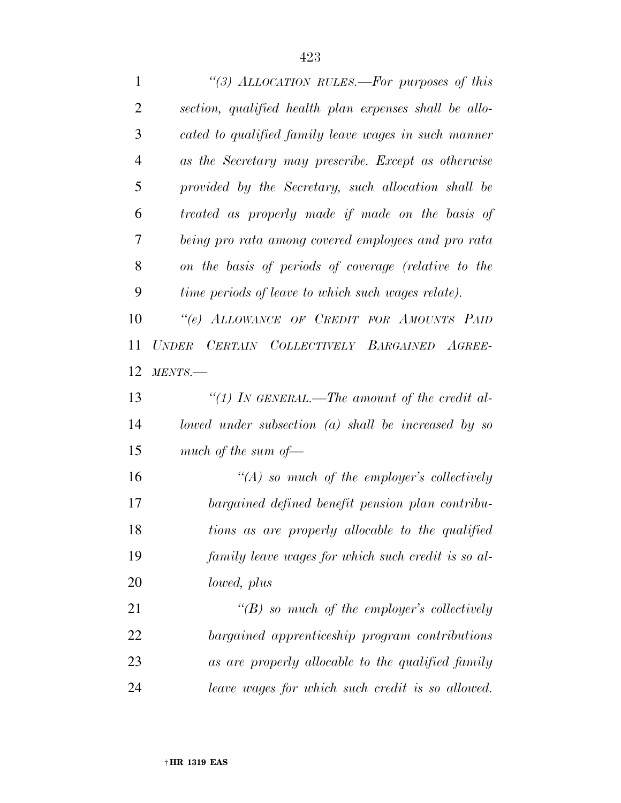| $\mathbf{1}$   | "(3) ALLOCATION RULES.—For purposes of this              |
|----------------|----------------------------------------------------------|
| $\overline{2}$ | section, qualified health plan expenses shall be allo-   |
| 3              | cated to qualified family leave wages in such manner     |
| $\overline{4}$ | as the Secretary may prescribe. Except as otherwise      |
| 5              | provided by the Secretary, such allocation shall be      |
| 6              | treated as properly made if made on the basis of         |
| 7              | being pro rata among covered employees and pro rata      |
| 8              | on the basis of periods of coverage (relative to the     |
| 9              | time periods of leave to which such wages relate).       |
| 10             | "(e) ALLOWANCE OF CREDIT FOR AMOUNTS PAID                |
| 11             | UNDER CERTAIN COLLECTIVELY BARGAINED AGREE-              |
| 12             | MENTS.                                                   |
| 13             | "(1) In GENERAL.—The amount of the credit al-            |
| 14             | $I$ owed under subsection $(a)$ shall be increased by so |
| 15             | much of the sum of $-$                                   |
| 16             | $\lq (A)$ so much of the employer's collectively         |
| 17             | bargained defined benefit pension plan contribu-         |
| 18             | tions as are properly allocable to the qualified         |
| 19             | family leave wages for which such credit is so al-       |
| 20             | lowed, plus                                              |
| 21             | $\lq\lq(B)$ so much of the employer's collectively       |
| 22             | bargained apprenticeship program contributions           |
| 23             | as are properly allocable to the qualified family        |
| 24             | leave wages for which such credit is so allowed.         |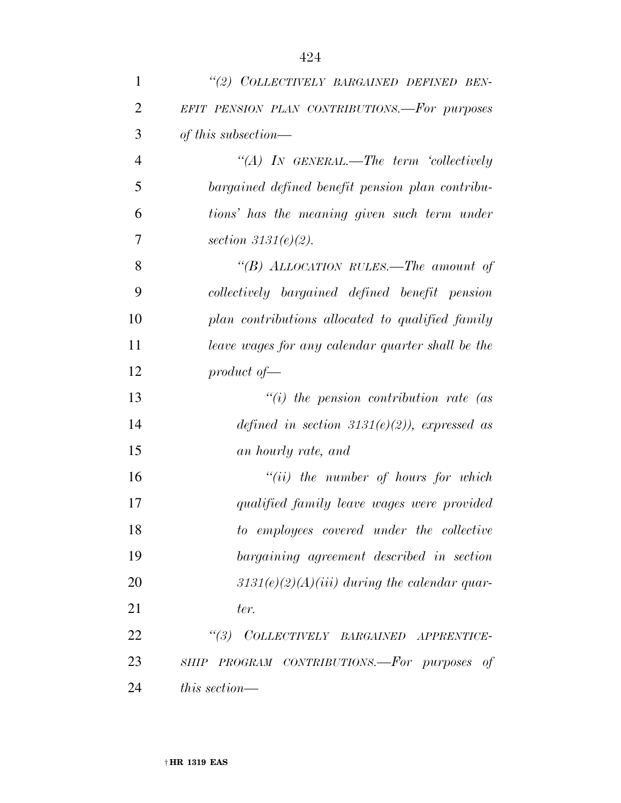| 1              | "(2) COLLECTIVELY BARGAINED DEFINED BEN-            |
|----------------|-----------------------------------------------------|
| $\overline{2}$ | EFIT PENSION PLAN CONTRIBUTIONS.-For purposes       |
| 3              | of this subsection—                                 |
| $\overline{4}$ | "(A) IN GENERAL.—The term 'collectively             |
| 5              | bargained defined benefit pension plan contribu-    |
| 6              | tions' has the meaning given such term under        |
| 7              | section $3131(e)(2)$ .                              |
| 8              | "(B) ALLOCATION RULES.—The amount of                |
| 9              | collectively bargained defined benefit pension      |
| 10             | plan contributions allocated to qualified family    |
| 11             | leave wages for any calendar quarter shall be the   |
| 12             | product of $-$                                      |
| 13             | $``(i)$ the pension contribution rate (as           |
| 14             | defined in section 3131(e)(2)), expressed as        |
| 15             | an hourly rate, and                                 |
| 16             | $``(ii)$ the number of hours for which              |
| 17             | qualified family leave wages were provided          |
| 18             | to employees covered under the collective           |
| 19             | bargaining agreement described in section           |
| 20             | $3131(e)(2)(A)(iii)$ during the calendar quar-      |
| 21             | ter.                                                |
| 22             | $\frac{1}{3}$<br>COLLECTIVELY BARGAINED APPRENTICE- |
| 23             | SHIP PROGRAM CONTRIBUTIONS.-For purposes of         |
| 24             | this section—                                       |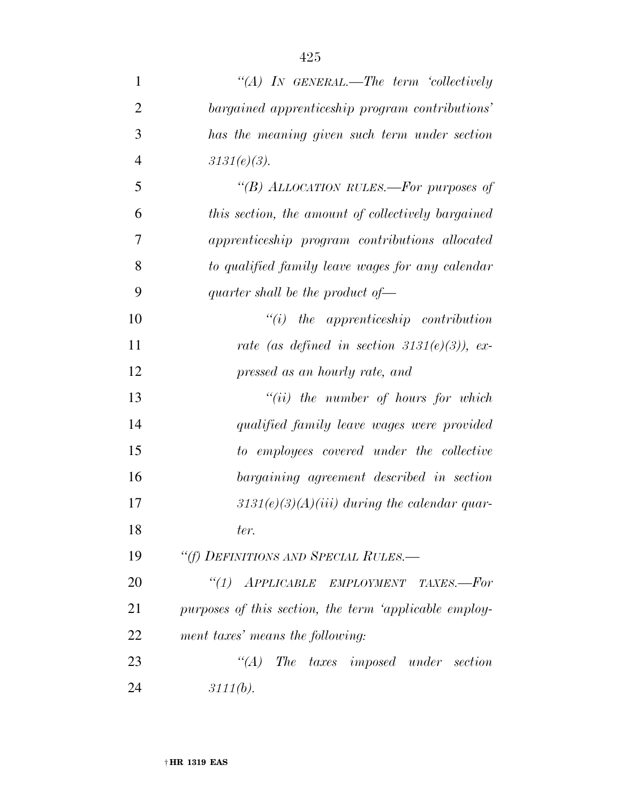| $\mathbf{1}$   | "(A) IN GENERAL.—The term 'collectively                |
|----------------|--------------------------------------------------------|
| $\overline{2}$ | bargained apprenticeship program contributions'        |
| 3              | has the meaning given such term under section          |
| $\overline{4}$ | $3131(e)(3)$ .                                         |
| 5              | "(B) ALLOCATION RULES.—For purposes of                 |
| 6              | this section, the amount of collectively bargained     |
| 7              | apprenticeship program contributions allocated         |
| 8              | to qualified family leave wages for any calendar       |
| 9              | quarter shall be the product of $\rightarrow$          |
| 10             | $"(i)$ the apprenticeship contribution                 |
| 11             | rate (as defined in section $3131(e)(3)$ ), ex-        |
| 12             | pressed as an hourly rate, and                         |
| 13             | $``(ii)$ the number of hours for which                 |
| 14             | qualified family leave wages were provided             |
| 15             | to employees covered under the collective              |
| 16             | bargaining agreement described in section              |
| 17             | $3131(e)(3)(A)(iii)$ during the calendar quar-         |
| 18             | ter.                                                   |
| 19             | "(f) DEFINITIONS AND SPECIAL RULES.-                   |
| 20             | "(1) APPLICABLE EMPLOYMENT TAXES.-For                  |
| 21             | purposes of this section, the term 'applicable employ- |
| 22             | ment taxes' means the following:                       |
| 23             | $\lq\lq (A)$ The taxes imposed under section           |
| 24             | 3111(b).                                               |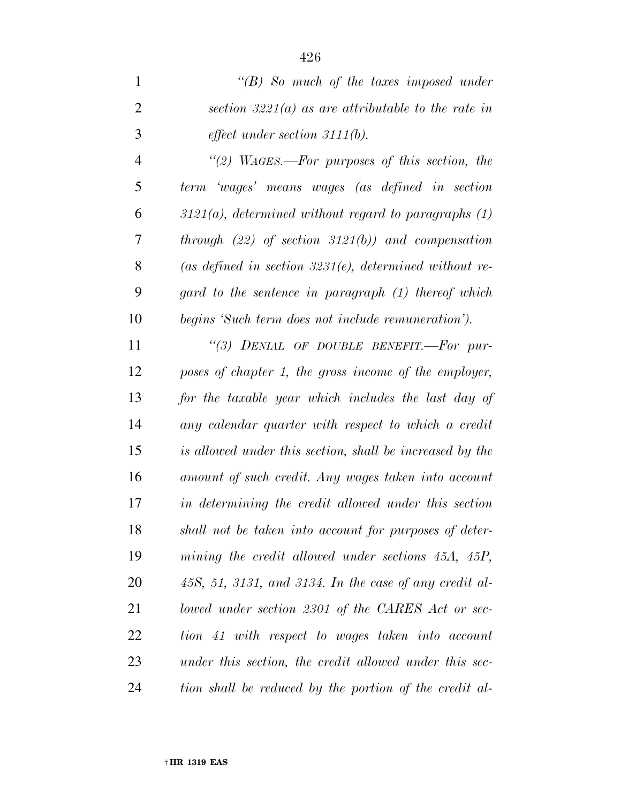*''(B) So much of the taxes imposed under section 3221(a) as are attributable to the rate in effect under section 3111(b).* 

 *''(2) WAGES.—For purposes of this section, the term 'wages' means wages (as defined in section 3121(a), determined without regard to paragraphs (1) through (22) of section 3121(b)) and compensation (as defined in section 3231(e), determined without re- gard to the sentence in paragraph (1) thereof which begins 'Such term does not include remuneration').* 

 *''(3) DENIAL OF DOUBLE BENEFIT.—For pur- poses of chapter 1, the gross income of the employer, for the taxable year which includes the last day of any calendar quarter with respect to which a credit is allowed under this section, shall be increased by the amount of such credit. Any wages taken into account in determining the credit allowed under this section shall not be taken into account for purposes of deter- mining the credit allowed under sections 45A, 45P, 45S, 51, 3131, and 3134. In the case of any credit al- lowed under section 2301 of the CARES Act or sec- tion 41 with respect to wages taken into account under this section, the credit allowed under this sec-tion shall be reduced by the portion of the credit al-*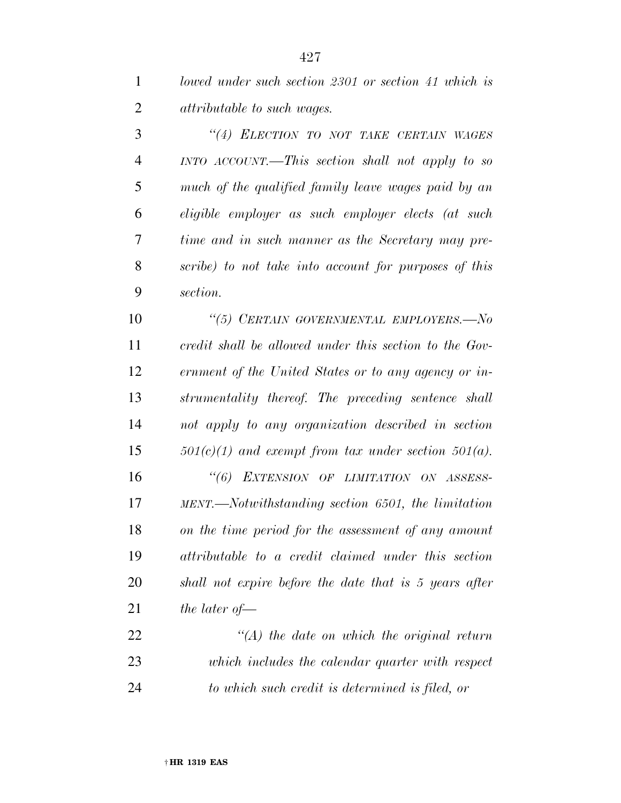*lowed under such section 2301 or section 41 which is attributable to such wages.* 

 *''(4) ELECTION TO NOT TAKE CERTAIN WAGES INTO ACCOUNT.—This section shall not apply to so much of the qualified family leave wages paid by an eligible employer as such employer elects (at such time and in such manner as the Secretary may pre- scribe) to not take into account for purposes of this section.* 

 *''(5) CERTAIN GOVERNMENTAL EMPLOYERS.—No credit shall be allowed under this section to the Gov- ernment of the United States or to any agency or in- strumentality thereof. The preceding sentence shall not apply to any organization described in section 501(c)(1) and exempt from tax under section 501(a).* 

 *''(6) EXTENSION OF LIMITATION ON ASSESS- MENT.—Notwithstanding section 6501, the limitation on the time period for the assessment of any amount attributable to a credit claimed under this section shall not expire before the date that is 5 years after the later of—* 

 *''(A) the date on which the original return which includes the calendar quarter with respect to which such credit is determined is filed, or*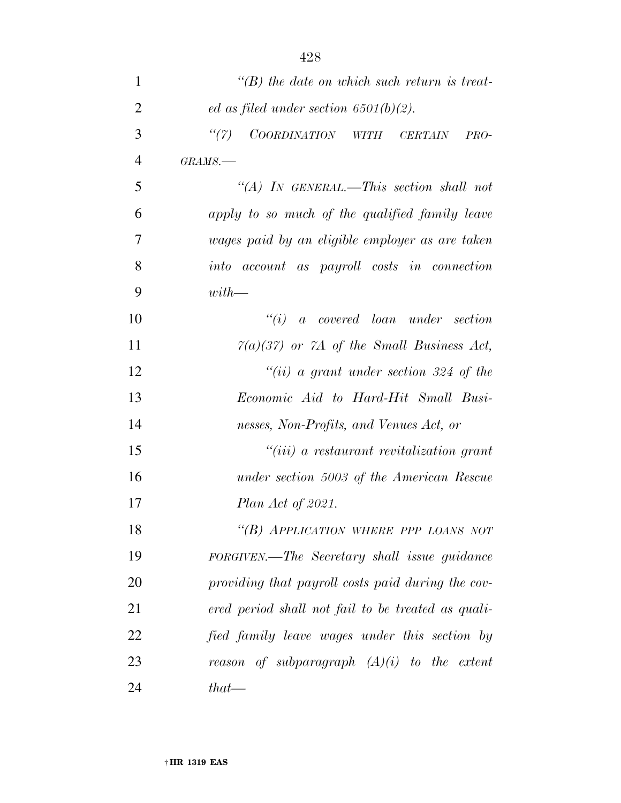| $\mathbf{1}$   | $\lq (B)$ the date on which such return is treat-     |
|----------------|-------------------------------------------------------|
| $\overline{2}$ | ed as filed under section $6501(b)(2)$ .              |
| 3              | ``(7)<br>COORDINATION WITH CERTAIN<br>$PRO-$          |
| $\overline{4}$ | $GRAMS$ .                                             |
| 5              | "(A) IN GENERAL.—This section shall not               |
| 6              | apply to so much of the qualified family leave        |
| 7              | wages paid by an eligible employer as are taken       |
| 8              | <i>account as payroll costs in connection</i><br>into |
| 9              | $with$ —                                              |
| 10             | $``(i)$ a covered loan under section                  |
| 11             | $7(a)(37)$ or $7A$ of the Small Business Act,         |
| 12             | "(ii) a grant under section 324 of the                |
| 13             | Economic Aid to Hard-Hit Small Busi-                  |
| 14             | nesses, Non-Profits, and Venues Act, or               |
| 15             | $``(iii)$ a restaurant revitalization grant           |
| 16             | under section 5003 of the American Rescue             |
| 17             | Plan Act of 2021.                                     |
| 18             | "(B) APPLICATION WHERE PPP LOANS NOT                  |
| 19             | FORGIVEN.—The Secretary shall issue guidance          |
| 20             | providing that payroll costs paid during the cov-     |
| 21             | ered period shall not fail to be treated as quali-    |
| 22             | fied family leave wages under this section by         |
| 23             | reason of subparagraph $(A)(i)$ to the extent         |
| 24             | $that$ —                                              |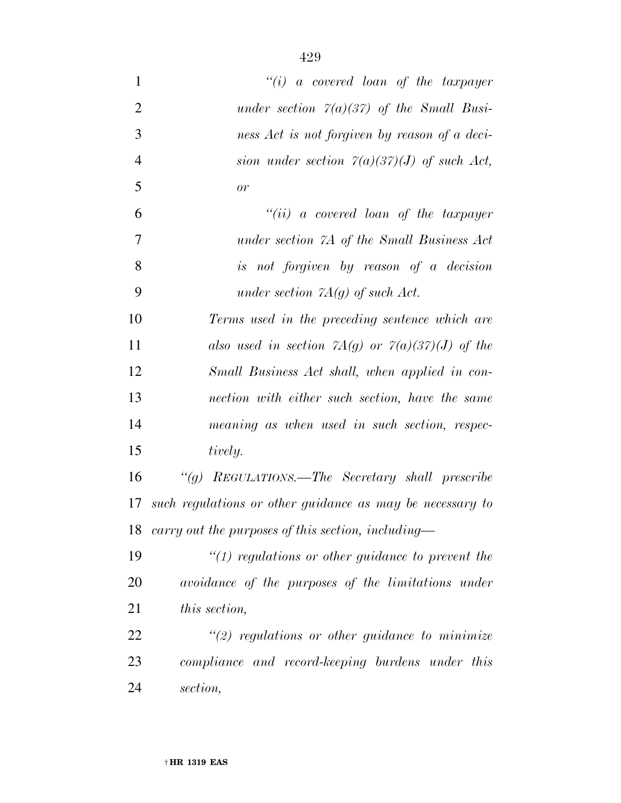| $\mathbf{1}$   | $``(i)$ a covered loan of the taxpayer                            |
|----------------|-------------------------------------------------------------------|
| $\overline{2}$ | under section $7(a)(37)$ of the Small Busi-                       |
| 3              | ness Act is not forgiven by reason of a deci-                     |
| $\overline{4}$ | sion under section $\mathcal{T}(a)(3\mathcal{T})(J)$ of such Act, |
| 5              | or                                                                |
| 6              | $``(ii)$ a covered loan of the taxpayer                           |
| 7              | under section 7A of the Small Business Act                        |
| 8              | is not forgiven by reason of a decision                           |
| 9              | under section $7A(g)$ of such Act.                                |
| 10             | Terms used in the preceding sentence which are                    |
| 11             | also used in section $7A(g)$ or $7(a)(37)(J)$ of the              |
| 12             | Small Business Act shall, when applied in con-                    |
| 13             | nection with either such section, have the same                   |
| 14             | meaning as when used in such section, respec-                     |
| 15             | tively.                                                           |
| 16             | "(g) REGULATIONS.—The Secretary shall prescribe                   |
| 17             | such regulations or other guidance as may be necessary to         |
| 18             | carry out the purposes of this section, including—                |
| 19             | $\lq(1)$ regulations or other guidance to prevent the             |
| 20             | avoidance of the purposes of the limitations under                |
| 21             | this section,                                                     |
| 22             | $\lq(2)$ regulations or other guidance to minimize                |
| 23             | compliance and record-keeping burdens under this                  |
| 24             | section,                                                          |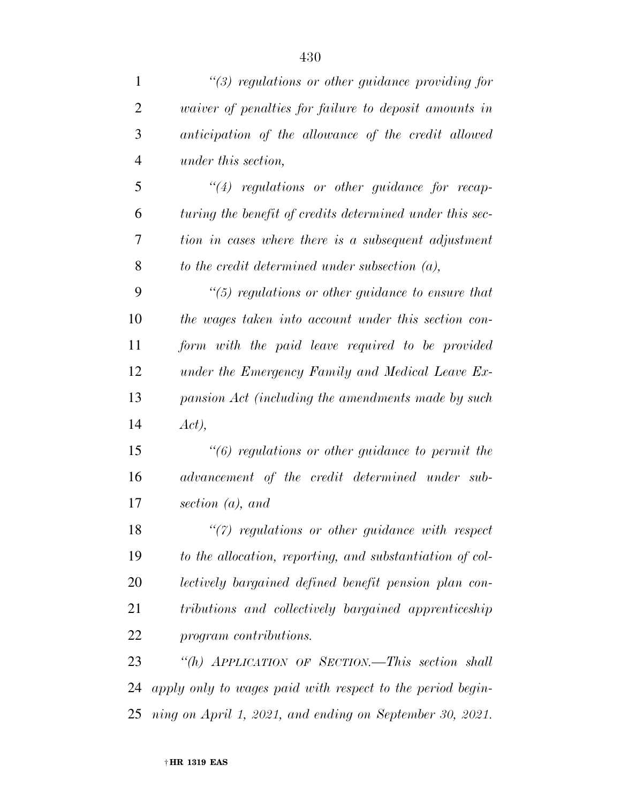| $\mathbf{1}$   | $\lq(3)$ regulations or other guidance providing for         |
|----------------|--------------------------------------------------------------|
| $\overline{2}$ | <i>vaiver of penalties for failure to deposit amounts in</i> |
| 3              | anticipation of the allowance of the credit allowed          |
| $\overline{4}$ | under this section,                                          |
| 5              | $\lq(4)$ regulations or other guidance for recap-            |
| 6              | turing the benefit of credits determined under this sec-     |
| 7              | tion in cases where there is a subsequent adjustment         |
| 8              | to the credit determined under subsection $(a)$ ,            |
| 9              | $\lq(5)$ regulations or other guidance to ensure that        |
| 10             | the wages taken into account under this section con-         |
| 11             | form with the paid leave required to be provided             |
| 12             | under the Emergency Family and Medical Leave Ex-             |
| 13             | pansion Act (including the amendments made by such           |
| 14             | Act),                                                        |
| 15             | $"(6)$ regulations or other guidance to permit the           |
| 16             | advancement of the credit determined under sub-              |
| 17             | section $(a)$ , and                                          |
| 18             | $\lq(7)$ regulations or other guidance with respect          |
| 19             | to the allocation, reporting, and substantiation of col-     |
| 20             | lectively bargained defined benefit pension plan con-        |
| 21             | tributions and collectively bargained apprenticeship         |
| 22             | program contributions.                                       |
| 23             | "(h) APPLICATION OF SECTION.—This section shall              |
| 24             | apply only to wages paid with respect to the period begin-   |
| 25             | ning on April 1, 2021, and ending on September 30, 2021.     |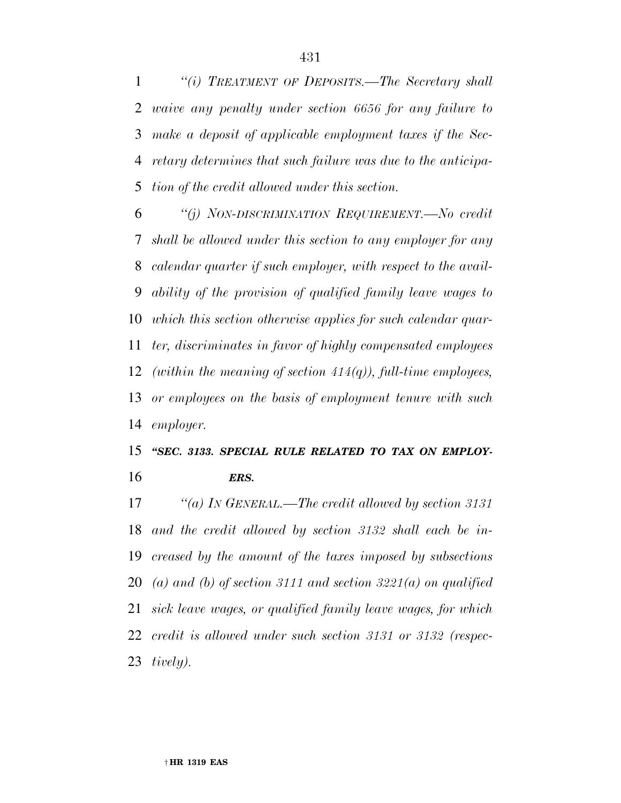*''(i) TREATMENT OF DEPOSITS.—The Secretary shall waive any penalty under section 6656 for any failure to make a deposit of applicable employment taxes if the Sec- retary determines that such failure was due to the anticipa-tion of the credit allowed under this section.* 

 *''(j) NON-DISCRIMINATION REQUIREMENT.—No credit shall be allowed under this section to any employer for any calendar quarter if such employer, with respect to the avail- ability of the provision of qualified family leave wages to which this section otherwise applies for such calendar quar- ter, discriminates in favor of highly compensated employees (within the meaning of section 414(q)), full-time employees, or employees on the basis of employment tenure with such employer.* 

## *''SEC. 3133. SPECIAL RULE RELATED TO TAX ON EMPLOY-ERS.*

 *''(a) IN GENERAL.—The credit allowed by section 3131 and the credit allowed by section 3132 shall each be in- creased by the amount of the taxes imposed by subsections (a) and (b) of section 3111 and section 3221(a) on qualified sick leave wages, or qualified family leave wages, for which credit is allowed under such section 3131 or 3132 (respec-tively).*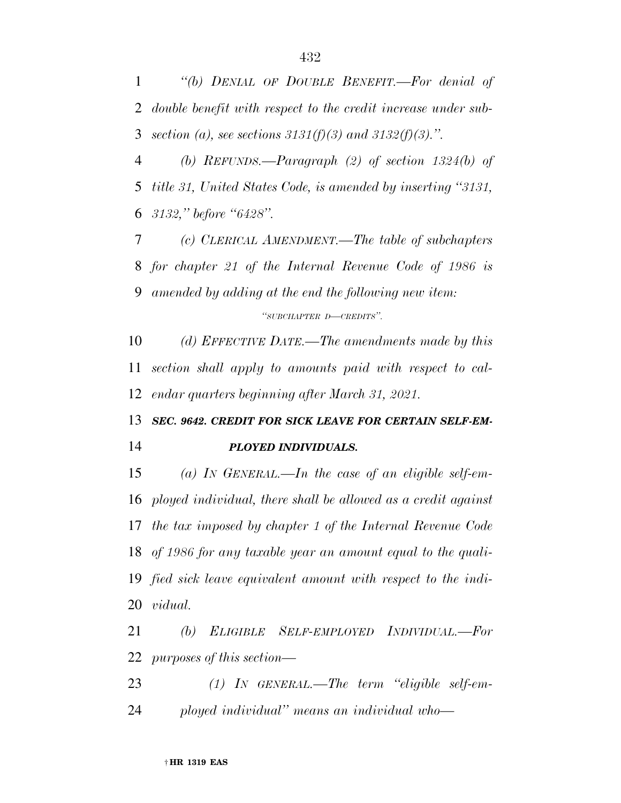*''(b) DENIAL OF DOUBLE BENEFIT.—For denial of double benefit with respect to the credit increase under sub-section (a), see sections 3131(f)(3) and 3132(f)(3).''.* 

 *(b) REFUNDS.—Paragraph (2) of section 1324(b) of title 31, United States Code, is amended by inserting ''3131, 3132,'' before ''6428''.* 

 *(c) CLERICAL AMENDMENT.—The table of subchapters for chapter 21 of the Internal Revenue Code of 1986 is amended by adding at the end the following new item: ''SUBCHAPTER D—CREDITS''.* 

 *(d) EFFECTIVE DATE.—The amendments made by this section shall apply to amounts paid with respect to cal-endar quarters beginning after March 31, 2021.* 

# *SEC. 9642. CREDIT FOR SICK LEAVE FOR CERTAIN SELF-EM-PLOYED INDIVIDUALS.*

 *(a) IN GENERAL.—In the case of an eligible self-em- ployed individual, there shall be allowed as a credit against the tax imposed by chapter 1 of the Internal Revenue Code of 1986 for any taxable year an amount equal to the quali- fied sick leave equivalent amount with respect to the indi-vidual.* 

 *(b) ELIGIBLE SELF-EMPLOYED INDIVIDUAL.—For purposes of this section—* 

 *(1) IN GENERAL.—The term ''eligible self-em-ployed individual'' means an individual who—*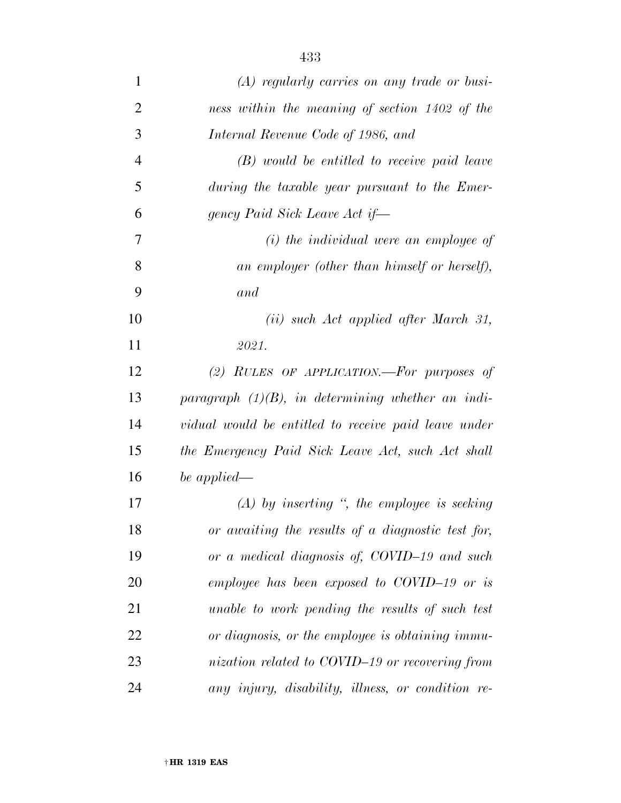| $\mathbf{1}$   | $(A)$ regularly carries on any trade or busi-        |
|----------------|------------------------------------------------------|
| $\overline{2}$ | ness within the meaning of section 1402 of the       |
| 3              | Internal Revenue Code of 1986, and                   |
| $\overline{4}$ | $(B)$ would be entitled to receive paid leave        |
| 5              | during the taxable year pursuant to the Emer-        |
| 6              | gency Paid Sick Leave Act if-                        |
| 7              | (i) the individual were an employee of               |
| 8              | an employer (other than himself or herself),         |
| 9              | and                                                  |
| 10             | (ii) such Act applied after March 31,                |
| 11             | 2021.                                                |
| 12             | (2) RULES OF APPLICATION.—For purposes of            |
| 13             | paragraph $(1)(B)$ , in determining whether an indi- |
| 14             | vidual would be entitled to receive paid leave under |
| 15             | the Emergency Paid Sick Leave Act, such Act shall    |
| 16             | be applied—                                          |
| 17             | $(A)$ by inserting ", the employee is seeking        |
| 18             | or awaiting the results of a diagnostic test for,    |
| 19             | or a medical diagnosis of, COVID-19 and such         |
| 20             | employee has been exposed to COVID-19 or is          |
| 21             | unable to work pending the results of such test      |
| 22             | or diagnosis, or the employee is obtaining immu-     |
| 23             | nization related to COVID-19 or recovering from      |
| 24             | any injury, disability, illness, or condition re-    |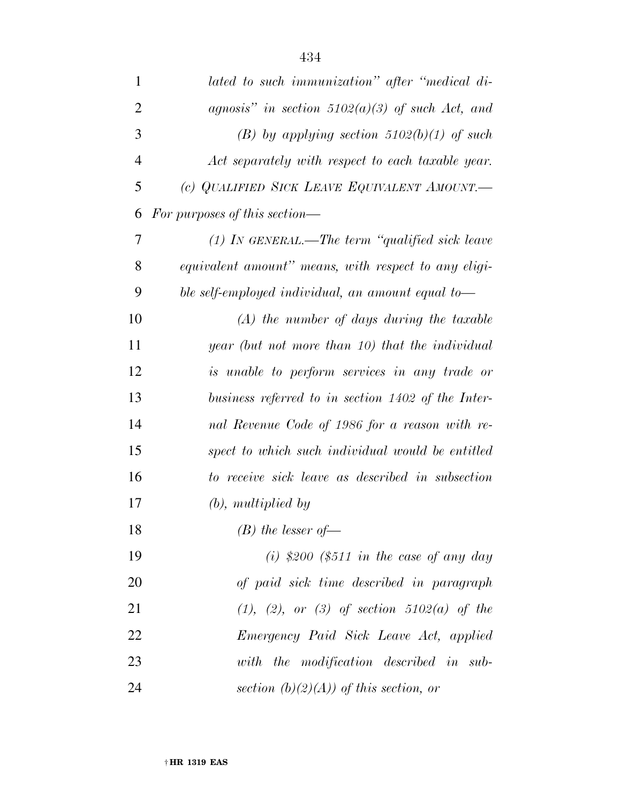| $\mathbf{1}$   | lated to such immunization" after "medical di-       |
|----------------|------------------------------------------------------|
| $\overline{2}$ | agnosis" in section $5102(a)(3)$ of such Act, and    |
| 3              | (B) by applying section $5102(b)(1)$ of such         |
| $\overline{4}$ | Act separately with respect to each taxable year.    |
| 5              | (c) QUALIFIED SICK LEAVE EQUIVALENT AMOUNT.          |
| 6              | For purposes of this section—                        |
| 7              | $(1)$ IN GENERAL.—The term "qualified sick leave     |
| 8              | equivalent amount" means, with respect to any eligi- |
| 9              | ble self-employed individual, an amount equal to-    |
| 10             | $(A)$ the number of days during the taxable          |
| 11             | year (but not more than 10) that the individual      |
| 12             | is unable to perform services in any trade or        |
| 13             | business referred to in section 1402 of the Inter-   |
| 14             | nal Revenue Code of 1986 for a reason with re-       |
| 15             | spect to which such individual would be entitled     |
| 16             | to receive sick leave as described in subsection     |
| 17             | $(b)$ , multiplied by                                |
| 18             | $(B)$ the lesser of-                                 |
| 19             | (i) \$200 (\$511 in the case of any day              |
| 20             | of paid sick time described in paragraph             |
| 21             | $(1), (2), or (3)$ of section 5102(a) of the         |
| 22             | Emergency Paid Sick Leave Act, applied               |
| 23             | with the modification described in sub-              |
| 24             | section $(b)(2)(A))$ of this section, or             |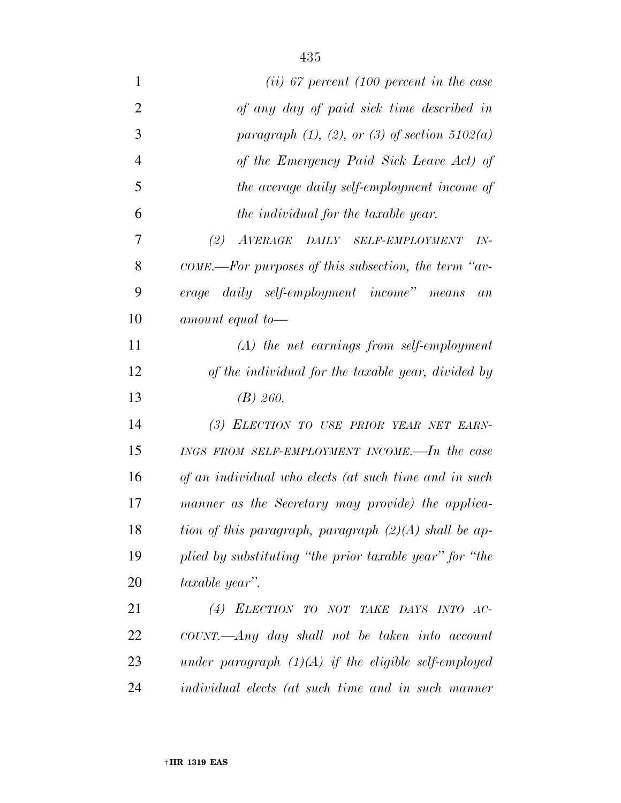| $\mathbf{1}$   | $(ii)$ 67 percent (100 percent in the case                |
|----------------|-----------------------------------------------------------|
| $\overline{2}$ | of any day of paid sick time described in                 |
| 3              | paragraph $(1)$ , $(2)$ , or $(3)$ of section $5102(a)$   |
| $\overline{4}$ | of the Emergency Paid Sick Leave Act) of                  |
| 5              | the average daily self-employment income of               |
| 6              | the individual for the taxable year.                      |
| 7              | (2)<br>AVERAGE DAILY SELF-EMPLOYMENT<br>$IN-$             |
| 8              | $COME.$ —For purposes of this subsection, the term "av-   |
| 9              | erage daily self-employment income" means<br>an           |
| 10             | amount equal to-                                          |
| 11             | $(A)$ the net earnings from self-employment               |
| 12             | of the individual for the taxable year, divided by        |
| 13             | $(B)$ 260.                                                |
| 14             | (3) ELECTION TO USE PRIOR YEAR NET EARN-                  |
| 15             | INGS FROM SELF-EMPLOYMENT INCOME.—In the case             |
| 16             | of an individual who elects (at such time and in such     |
| 17             | manner as the Secretary may provide) the applica-         |
| 18             | tion of this paragraph, paragraph $(2)(A)$ shall be ap-   |
| 19             | plied by substituting "the prior taxable year" for "the   |
| 20             | taxable year".                                            |
| 21             | (4) ELECTION TO NOT TAKE DAYS INTO AC-                    |
| 22             | $COUNT.$ —Any day shall not be taken into account         |
| 23             | under paragraph $(1)(A)$ if the eligible self-employed    |
| 24             | <i>individual elects (at such time and in such manner</i> |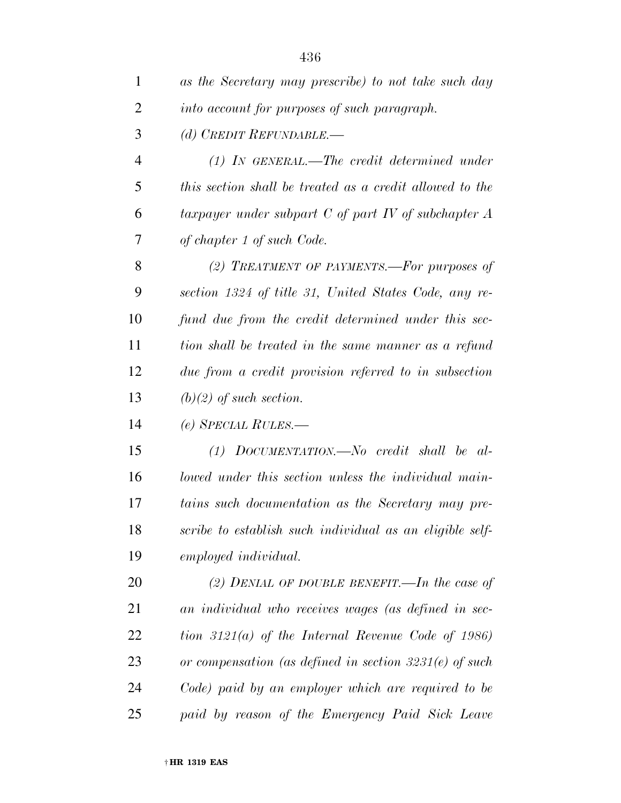| 1              | as the Secretary may prescribe) to not take such day      |
|----------------|-----------------------------------------------------------|
| 2              | into account for purposes of such paragraph.              |
| 3              | (d) CREDIT REFUNDABLE.—                                   |
| $\overline{4}$ | $(1)$ IN GENERAL.—The credit determined under             |
| 5              | this section shall be treated as a credit allowed to the  |
| 6              | taxpayer under subpart $C$ of part $IV$ of subchapter $A$ |
| 7              | of chapter 1 of such Code.                                |
| 8              | (2) TREATMENT OF PAYMENTS.—For purposes of                |
| 9              | section 1324 of title 31, United States Code, any re-     |
| 10             | fund due from the credit determined under this sec-       |
| 11             | tion shall be treated in the same manner as a refund      |
| 12             | due from a credit provision referred to in subsection     |
| 13             | $(b)(2)$ of such section.                                 |
| 14             | $(e)$ SPECIAL RULES.—                                     |
| 15             | $(1)$ DOCUMENTATION.—No credit shall be al-               |
| 16             | lowed under this section unless the individual main-      |
| 17             | tains such documentation as the Secretary may pre-        |
| 18             | scribe to establish such individual as an eligible self-  |
| 19             | employed individual.                                      |
| 20             | (2) DENIAL OF DOUBLE BENEFIT.—In the case of              |
| 21             | an individual who receives wages (as defined in sec-      |
| 22             | tion $3121(a)$ of the Internal Revenue Code of 1986)      |
| 23             | or compensation (as defined in section $3231(e)$ of such  |
| 24             | Code) paid by an employer which are required to be        |
| 25             | paid by reason of the Emergency Paid Sick Leave           |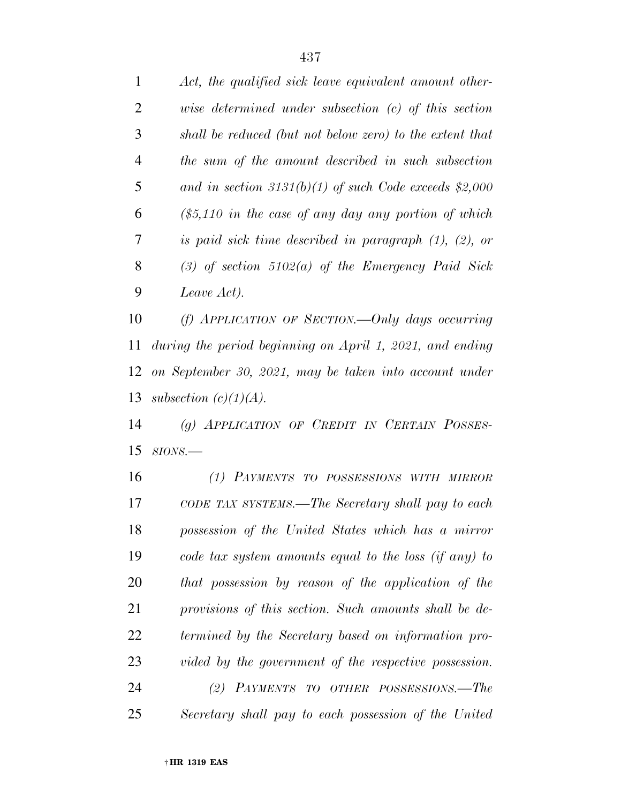| $\mathbf{1}$ | Act, the qualified sick leave equivalent amount other-      |
|--------------|-------------------------------------------------------------|
| 2            | wise determined under subsection $(c)$ of this section      |
| 3            | shall be reduced (but not below zero) to the extent that    |
| 4            | the sum of the amount described in such subsection          |
| 5            | and in section 3131(b)(1) of such Code exceeds $$2,000$     |
| 6            | $($5,110$ in the case of any day any portion of which$      |
| 7            | is paid sick time described in paragraph $(1)$ , $(2)$ , or |
| 8            | (3) of section $5102(a)$ of the Emergency Paid Sick         |
| 9            | Leave Act).                                                 |
|              |                                                             |

 *(f) APPLICATION OF SECTION.—Only days occurring during the period beginning on April 1, 2021, and ending on September 30, 2021, may be taken into account under subsection (c)(1)(A).* 

 *(g) APPLICATION OF CREDIT IN CERTAIN POSSES-SIONS.—* 

 *(1) PAYMENTS TO POSSESSIONS WITH MIRROR CODE TAX SYSTEMS.—The Secretary shall pay to each possession of the United States which has a mirror code tax system amounts equal to the loss (if any) to that possession by reason of the application of the provisions of this section. Such amounts shall be de- termined by the Secretary based on information pro-vided by the government of the respective possession.* 

 *(2) PAYMENTS TO OTHER POSSESSIONS.—The Secretary shall pay to each possession of the United*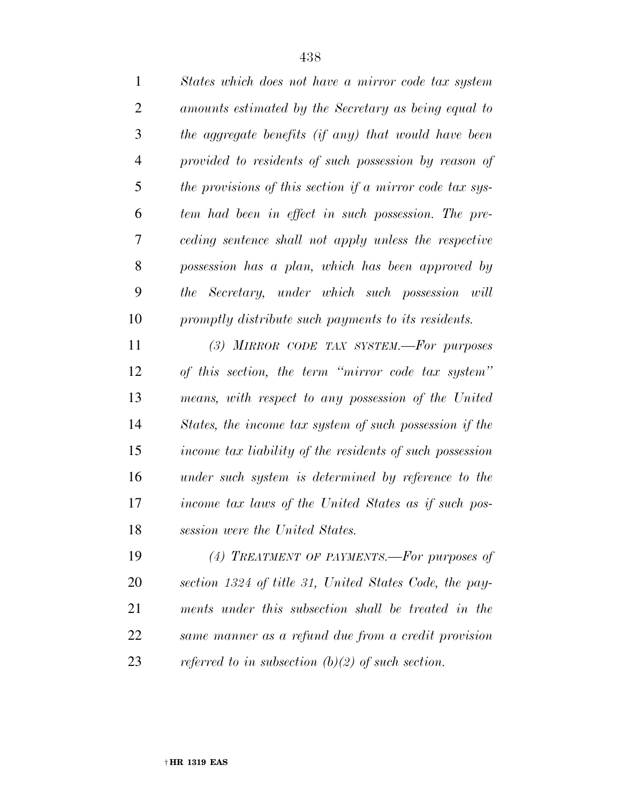| States which does not have a mirror code tax system      |
|----------------------------------------------------------|
| amounts estimated by the Secretary as being equal to     |
| the aggregate benefits (if any) that would have been     |
| provided to residents of such possession by reason of    |
| the provisions of this section if a mirror code tax sys- |
| tem had been in effect in such possession. The pre-      |
| ceding sentence shall not apply unless the respective    |
| possession has a plan, which has been approved by        |
| the Secretary, under which such possession will          |
| promptly distribute such payments to its residents.      |
|                                                          |

 *(3) MIRROR CODE TAX SYSTEM.—For purposes of this section, the term ''mirror code tax system'' means, with respect to any possession of the United States, the income tax system of such possession if the income tax liability of the residents of such possession under such system is determined by reference to the income tax laws of the United States as if such pos-session were the United States.* 

 *(4) TREATMENT OF PAYMENTS.—For purposes of section 1324 of title 31, United States Code, the pay- ments under this subsection shall be treated in the same manner as a refund due from a credit provision referred to in subsection (b)(2) of such section.*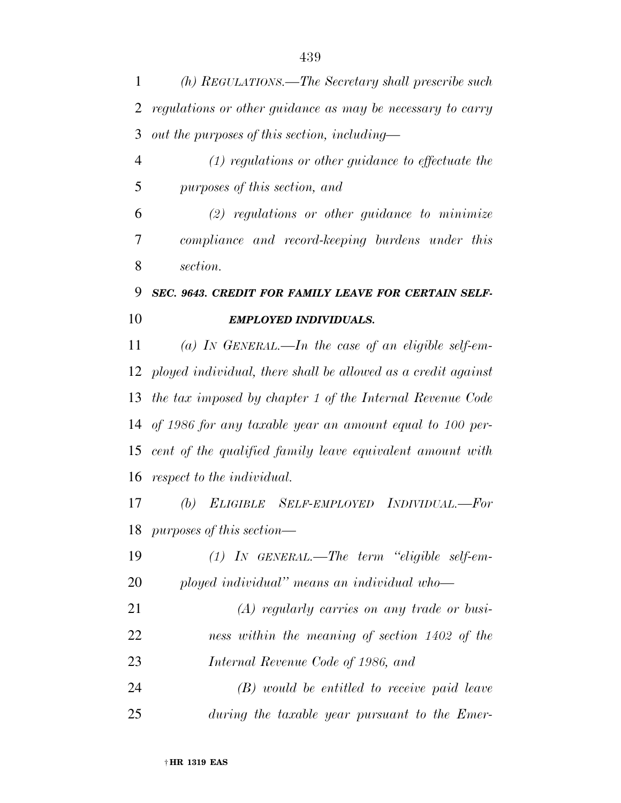*(h) REGULATIONS.—The Secretary shall prescribe such regulations or other guidance as may be necessary to carry out the purposes of this section, including—* 

 *(1) regulations or other guidance to effectuate the purposes of this section, and* 

 *(2) regulations or other guidance to minimize compliance and record-keeping burdens under this section.* 

## *SEC. 9643. CREDIT FOR FAMILY LEAVE FOR CERTAIN SELF-EMPLOYED INDIVIDUALS.*

 *(a) IN GENERAL.—In the case of an eligible self-em- ployed individual, there shall be allowed as a credit against the tax imposed by chapter 1 of the Internal Revenue Code of 1986 for any taxable year an amount equal to 100 per- cent of the qualified family leave equivalent amount with respect to the individual.* 

 *(b) ELIGIBLE SELF-EMPLOYED INDIVIDUAL.—For purposes of this section—* 

 *(1) IN GENERAL.—The term ''eligible self-em-ployed individual'' means an individual who—* 

 *(A) regularly carries on any trade or busi- ness within the meaning of section 1402 of the Internal Revenue Code of 1986, and* 

 *(B) would be entitled to receive paid leave during the taxable year pursuant to the Emer-*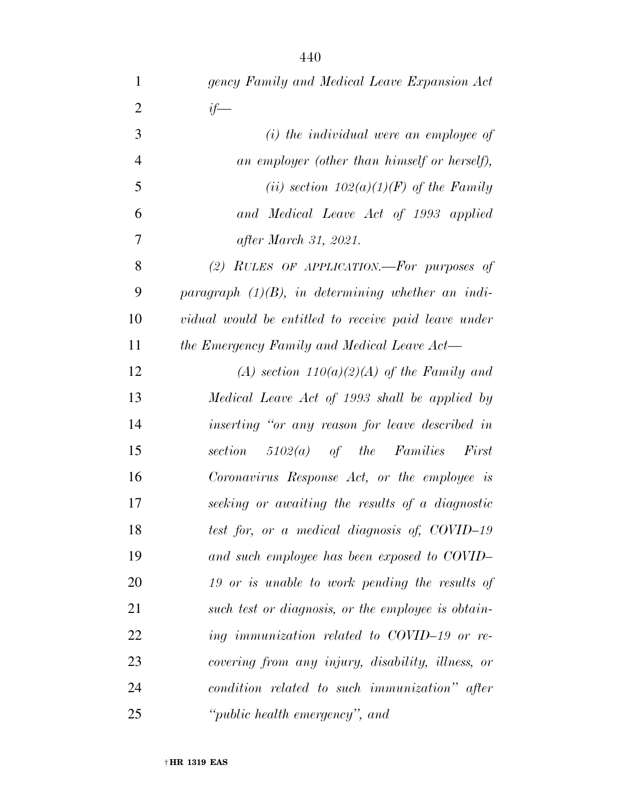| $\mathbf{1}$   | gency Family and Medical Leave Expansion Act         |
|----------------|------------------------------------------------------|
| $\overline{2}$ | $if-$                                                |
| 3              | $(i)$ the individual were an employee of             |
| $\overline{4}$ | an employer (other than himself or herself),         |
| 5              | (ii) section $102(a)(1)(F)$ of the Family            |
| 6              | and Medical Leave Act of 1993 applied                |
| 7              | after March 31, 2021.                                |
| 8              | (2) RULES OF APPLICATION.—For purposes of            |
| 9              | paragraph $(1)(B)$ , in determining whether an indi- |
| 10             | vidual would be entitled to receive paid leave under |
| 11             | the Emergency Family and Medical Leave Act-          |
| 12             | (A) section $110(a)(2)(A)$ of the Family and         |
| 13             | Medical Leave Act of 1993 shall be applied by        |
| 14             | inserting "or any reason for leave described in      |
| 15             | section $5102(a)$ of the Families<br>First           |
| 16             | Coronavirus Response Act, or the employee is         |
| 17             | seeking or awaiting the results of a diagnostic      |
| 18             | test for, or a medical diagnosis of, COVID-19        |
| 19             | and such employee has been exposed to COVID-         |
| 20             | 19 or is unable to work pending the results of       |
| 21             | such test or diagnosis, or the employee is obtain-   |
| 22             | ing immunization related to COVID-19 or re-          |
| 23             | covering from any injury, disability, illness, or    |
| 24             | condition related to such immunization" after        |
| 25             | "public health emergency", and                       |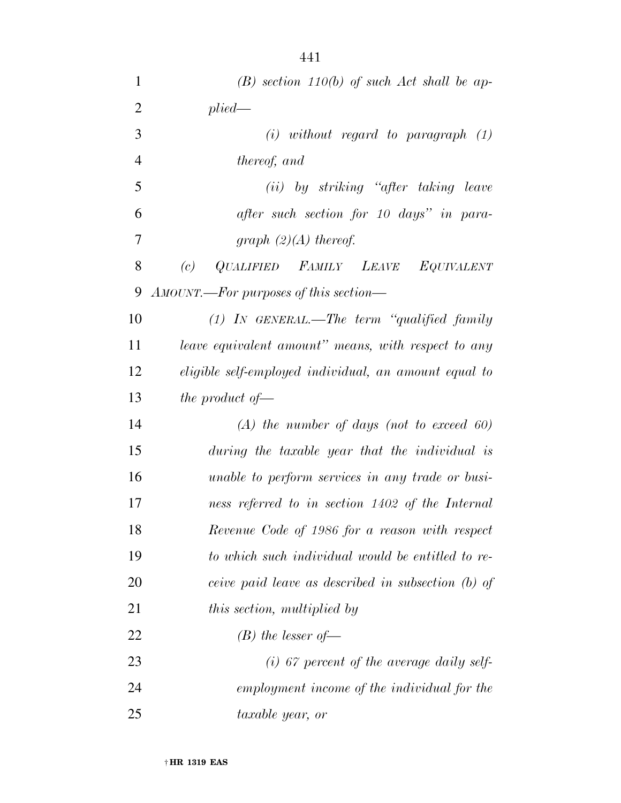| $\mathbf{1}$   | $(B)$ section 110(b) of such Act shall be ap-         |
|----------------|-------------------------------------------------------|
| $\overline{2}$ | plied                                                 |
| 3              | $(i)$ without regard to paragraph $(1)$               |
| $\overline{4}$ | thereof, and                                          |
| 5              | (ii) by striking "after taking leave                  |
| 6              | after such section for 10 days" in para-              |
| 7              | graph $(2)(A)$ thereof.                               |
| 8              | QUALIFIED FAMILY LEAVE EQUIVALENT<br>(c)              |
| 9              | AMOUNT.—For purposes of this section—                 |
| 10             | $(1)$ IN GENERAL.—The term "qualified family          |
| 11             | leave equivalent amount" means, with respect to any   |
| 12             | eligible self-employed individual, an amount equal to |
| 13             | the product of $-$                                    |
| 14             | $(A)$ the number of days (not to exceed 60)           |
| 15             | during the taxable year that the individual is        |
| 16             | unable to perform services in any trade or busi-      |
| 17             | ness referred to in section 1402 of the Internal      |
| 18             | Revenue Code of 1986 for a reason with respect        |
| 19             | to which such individual would be entitled to re-     |
| 20             | ceive paid leave as described in subsection (b) of    |
| 21             | this section, multiplied by                           |
| 22             | $(B)$ the lesser of-                                  |
| 23             | $(i)$ 67 percent of the average daily self-           |
| 24             | employment income of the individual for the           |
| 25             | taxable year, or                                      |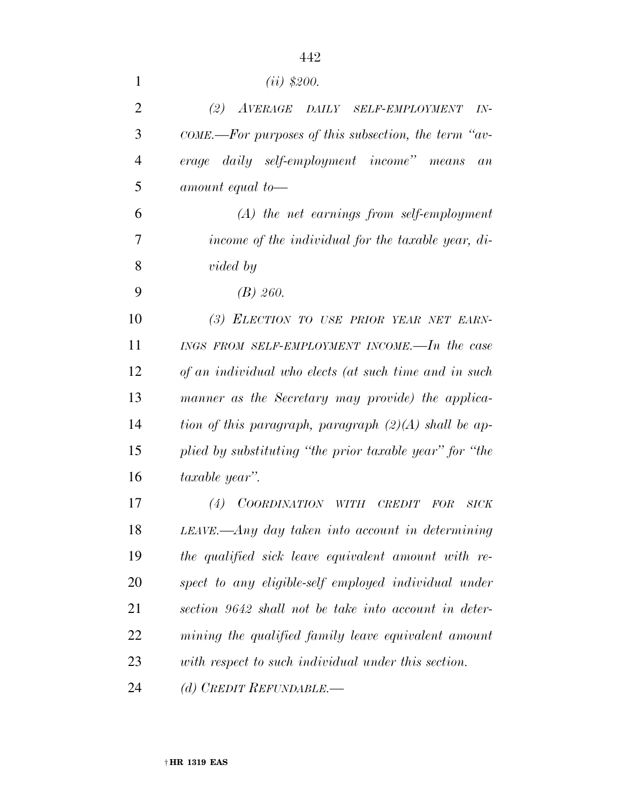| 1              | $(ii)$ \$200.                                           |
|----------------|---------------------------------------------------------|
| $\overline{2}$ | (2) AVERAGE DAILY SELF-EMPLOYMENT<br>$IN-$              |
| 3              | $COME.$ —For purposes of this subsection, the term "av- |
| $\overline{4}$ | erage daily self-employment income" means<br>an         |
| 5              | amount equal to-                                        |
| 6              | $(A)$ the net earnings from self-employment             |
| 7              | income of the individual for the taxable year, di-      |
| 8              | <i>vided</i> by                                         |
| 9              | $(B)$ 260.                                              |
| 10             | (3) ELECTION TO USE PRIOR YEAR NET EARN-                |
| 11             | INGS FROM SELF-EMPLOYMENT INCOME.—In the case           |
| 12             | of an individual who elects (at such time and in such   |
| 13             | manner as the Secretary may provide) the applica-       |
| 14             | tion of this paragraph, paragraph $(2)(A)$ shall be ap- |
| 15             | plied by substituting "the prior taxable year" for "the |
| 16             | taxable year".                                          |
| 17             | (4)<br>COORDINATION WITH<br>CREDIT<br>FOR<br>SICK       |
| 18             | $LEAVE.$ Any day taken into account in determining      |
| 19             | the qualified sick leave equivalent amount with re-     |
| 20             | spect to any eligible-self employed individual under    |
| 21             | section 9642 shall not be take into account in deter-   |
| 22             | mining the qualified family leave equivalent amount     |
| 23             | with respect to such individual under this section.     |
| 24             | (d) CREDIT REFUNDABLE.—                                 |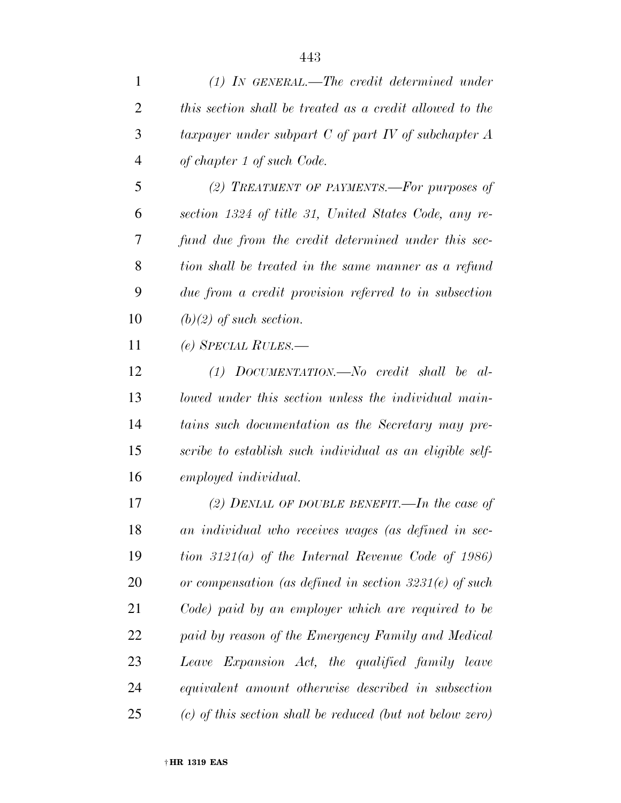| 1              | $(1)$ IN GENERAL.—The credit determined under               |
|----------------|-------------------------------------------------------------|
| $\overline{2}$ | this section shall be treated as a credit allowed to the    |
| 3              | taxpayer under subpart $C$ of part $IV$ of subchapter $A$   |
| $\overline{4}$ | of chapter 1 of such Code.                                  |
| 5              | (2) TREATMENT OF PAYMENTS.—For purposes of                  |
| 6              | section 1324 of title 31, United States Code, any re-       |
| 7              | fund due from the credit determined under this sec-         |
| 8              | tion shall be treated in the same manner as a refund        |
| 9              | due from a credit provision referred to in subsection       |
| 10             | $(b)(2)$ of such section.                                   |
| 11             | $(e)$ SPECIAL RULES.—                                       |
| 12             | $(1)$ DOCUMENTATION.—No credit shall be al-                 |
| 13             | lowed under this section unless the individual main-        |
| 14             | tains such documentation as the Secretary may pre-          |
| 15             | scribe to establish such individual as an eligible self-    |
| 16             | employed individual.                                        |
| 17             | (2) DENIAL OF DOUBLE BENEFIT.—In the case of                |
| 18             | an individual who receives wages (as defined in sec-        |
| 19             | tion $3121(a)$ of the Internal Revenue Code of 1986)        |
| 20             | or compensation (as defined in section $3231(e)$ of such    |
| 21             | Code) paid by an employer which are required to be          |
| 22             | paid by reason of the Emergency Family and Medical          |
| 23             | Leave Expansion Act, the qualified family leave             |
| 24             | equivalent amount otherwise described in subsection         |
| 25             | $(c)$ of this section shall be reduced (but not below zero) |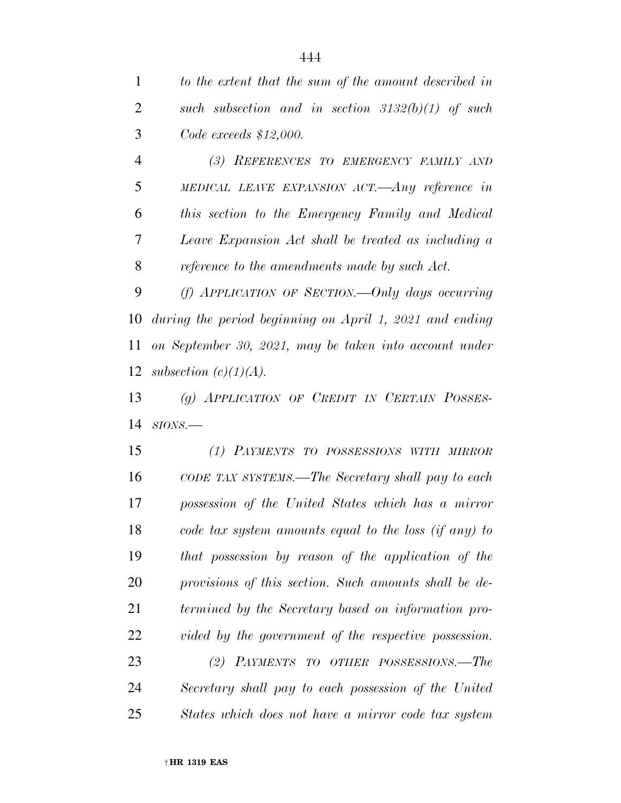*to the extent that the sum of the amount described in such subsection and in section 3132(b)(1) of such Code exceeds \$12,000.* 

 *(3) REFERENCES TO EMERGENCY FAMILY AND MEDICAL LEAVE EXPANSION ACT.—Any reference in this section to the Emergency Family and Medical Leave Expansion Act shall be treated as including a reference to the amendments made by such Act.* 

 *(f) APPLICATION OF SECTION.—Only days occurring during the period beginning on April 1, 2021 and ending on September 30, 2021, may be taken into account under subsection (c)(1)(A).* 

 *(g) APPLICATION OF CREDIT IN CERTAIN POSSES-SIONS.—* 

 *(1) PAYMENTS TO POSSESSIONS WITH MIRROR CODE TAX SYSTEMS.—The Secretary shall pay to each possession of the United States which has a mirror code tax system amounts equal to the loss (if any) to that possession by reason of the application of the provisions of this section. Such amounts shall be de- termined by the Secretary based on information pro- vided by the government of the respective possession. (2) PAYMENTS TO OTHER POSSESSIONS.—The* 

 *Secretary shall pay to each possession of the United States which does not have a mirror code tax system*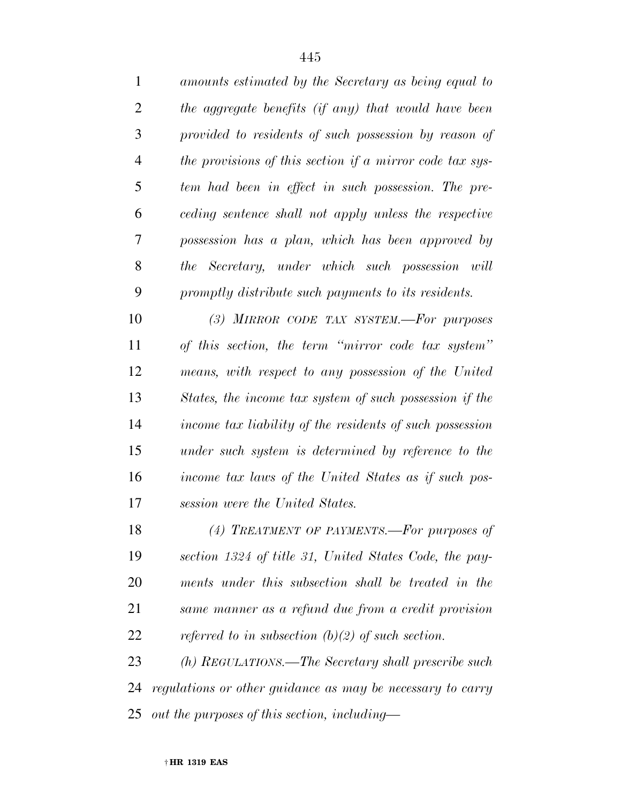| 1              | amounts estimated by the Secretary as being equal to       |
|----------------|------------------------------------------------------------|
| $\overline{2}$ | the aggregate benefits (if any) that would have been       |
| 3              | provided to residents of such possession by reason of      |
| $\overline{4}$ | the provisions of this section if a mirror code tax sys-   |
| 5              | tem had been in effect in such possession. The pre-        |
| 6              | ceding sentence shall not apply unless the respective      |
| 7              | possession has a plan, which has been approved by          |
| 8              | the Secretary, under which such possession will            |
| 9              | promptly distribute such payments to its residents.        |
| 10             | (3) MIRROR CODE TAX SYSTEM.-For purposes                   |
| 11             | of this section, the term "mirror code tax system"         |
| 12             | means, with respect to any possession of the United        |
| 13             | States, the income tax system of such possession if the    |
| 14             | income tax liability of the residents of such possession   |
| 15             | under such system is determined by reference to the        |
| 16             | income tax laws of the United States as if such pos-       |
| 17             | session were the United States.                            |
| 18             | (4) TREATMENT OF PAYMENTS.—For purposes of                 |
| 19             | section 1324 of title 31, United States Code, the pay-     |
| 20             | ments under this subsection shall be treated in the        |
| 21             | same manner as a refund due from a credit provision        |
| 22             | referred to in subsection (b)(2) of such section.          |
| 23             | (h) REGULATIONS.—The Secretary shall prescribe such        |
| 24             | regulations or other guidance as may be necessary to carry |
| 25             | out the purposes of this section, including—               |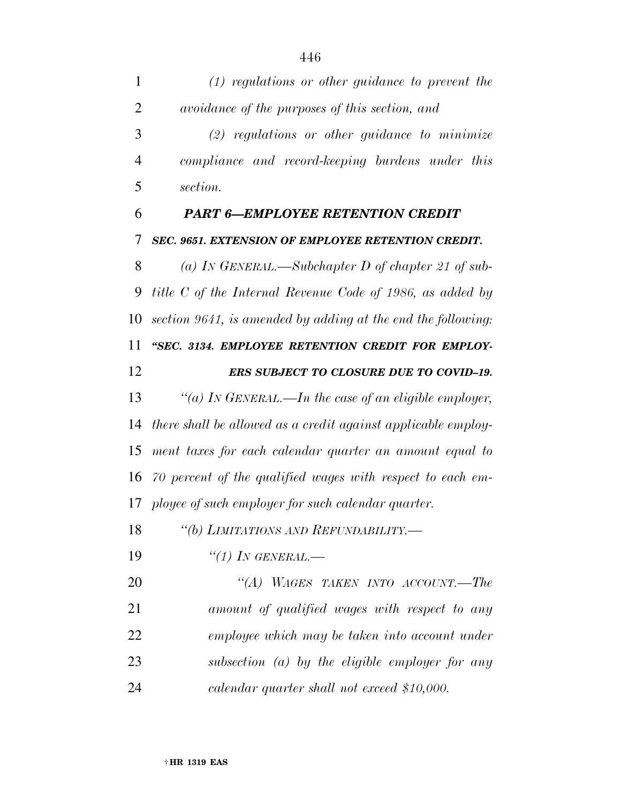*(1) regulations or other guidance to prevent the avoidance of the purposes of this section, and (2) regulations or other guidance to minimize compliance and record-keeping burdens under this section. PART 6—EMPLOYEE RETENTION CREDIT SEC. 9651. EXTENSION OF EMPLOYEE RETENTION CREDIT. (a) IN GENERAL.—Subchapter D of chapter 21 of sub- title C of the Internal Revenue Code of 1986, as added by section 9641, is amended by adding at the end the following: ''SEC. 3134. EMPLOYEE RETENTION CREDIT FOR EMPLOY- ERS SUBJECT TO CLOSURE DUE TO COVID–19. ''(a) IN GENERAL.—In the case of an eligible employer, there shall be allowed as a credit against applicable employ- ment taxes for each calendar quarter an amount equal to 70 percent of the qualified wages with respect to each em- ployee of such employer for such calendar quarter. ''(b) LIMITATIONS AND REFUNDABILITY.— ''(1) IN GENERAL.— ''(A) WAGES TAKEN INTO ACCOUNT.—The amount of qualified wages with respect to any employee which may be taken into account under subsection (a) by the eligible employer for any calendar quarter shall not exceed \$10,000.*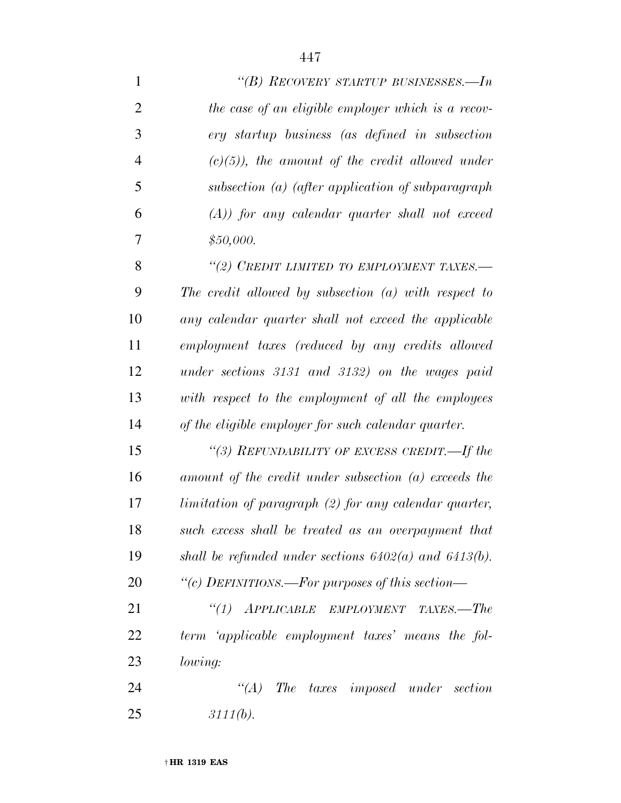| 1              | "(B) RECOVERY STARTUP BUSINESSES.—In                       |
|----------------|------------------------------------------------------------|
| $\overline{2}$ | the case of an eligible employer which is a recov-         |
| 3              | ery startup business (as defined in subsection             |
| $\overline{4}$ | $(c)(5)$ , the amount of the credit allowed under          |
| 5              | subsection (a) (after application of subparagraph          |
| 6              | $(A)$ ) for any calendar quarter shall not exceed          |
| 7              | \$50,000.                                                  |
| 8              | "(2) CREDIT LIMITED TO EMPLOYMENT TAXES.-                  |
| 9              | The credit allowed by subsection $(a)$ with respect to     |
| 10             | any calendar quarter shall not exceed the applicable       |
| 11             | employment taxes (reduced by any credits allowed           |
| 12             | under sections 3131 and 3132) on the wages paid            |
| 13             | with respect to the employment of all the employees        |
| 14             | of the eligible employer for such calendar quarter.        |
| 15             | "(3) REFUNDABILITY OF EXCESS CREDIT.—If the                |
| 16             | amount of the credit under subsection (a) exceeds the      |
| 17             | limitation of paragraph (2) for any calendar quarter,      |
| 18             | such excess shall be treated as an overpayment that        |
| 19             | shall be refunded under sections $6402(a)$ and $6413(b)$ . |
| 20             | "(c) DEFINITIONS.—For purposes of this section—            |
| 21             | "(1) APPLICABLE EMPLOYMENT TAXES.—The                      |
| 22             | term 'applicable employment taxes' means the fol-          |
| 23             | lowing:                                                    |
| 24             | $\lq\lq (A)$<br>The taxes imposed under section            |
| 25             | 3111(b).                                                   |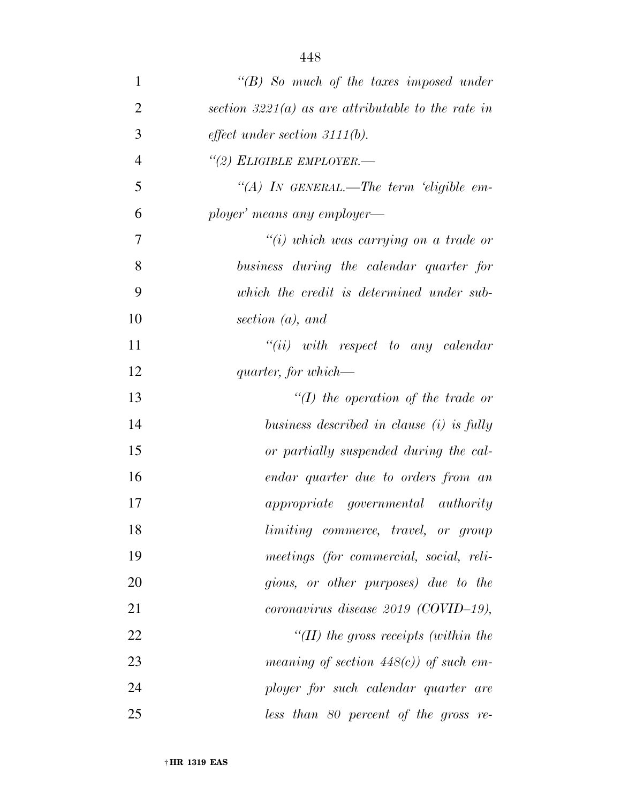| $\mathbf{1}$   | $\lq\lq B$ So much of the taxes imposed under        |
|----------------|------------------------------------------------------|
| $\overline{2}$ | section $3221(a)$ as are attributable to the rate in |
| 3              | effect under section $3111(b)$ .                     |
| $\overline{4}$ | "(2) ELIGIBLE EMPLOYER.—                             |
| 5              | "(A) IN GENERAL.—The term 'eligible em-              |
| 6              | ployer' means any employer—                          |
| 7              | $\tilde{f}(i)$ which was carrying on a trade or      |
| 8              | business during the calendar quarter for             |
| 9              | which the credit is determined under sub-            |
| 10             | section $(a)$ , and                                  |
| 11             | $``(ii)$ with respect to any calendar                |
| 12             | quarter, for which—                                  |
| 13             | $\lq (I)$ the operation of the trade or              |
| 14             | business described in clause (i) is fully            |
| 15             | or partially suspended during the cal-               |
| 16             | endar quarter due to orders from an                  |
| 17             | <i>appropriate</i> governmental authority            |
| 18             | limiting commerce, travel, or group                  |
| 19             | meetings (for commercial, social, reli-              |
| 20             | gious, or other purposes) due to the                 |
| 21             | coronavirus disease $2019$ (COVID-19),               |
| 22             | "(II) the gross receipts (within the                 |
| 23             | meaning of section $448(c)$ of such em-              |
| 24             | ployer for such calendar quarter are                 |
| 25             | $less$ than 80 percent of the gross re-              |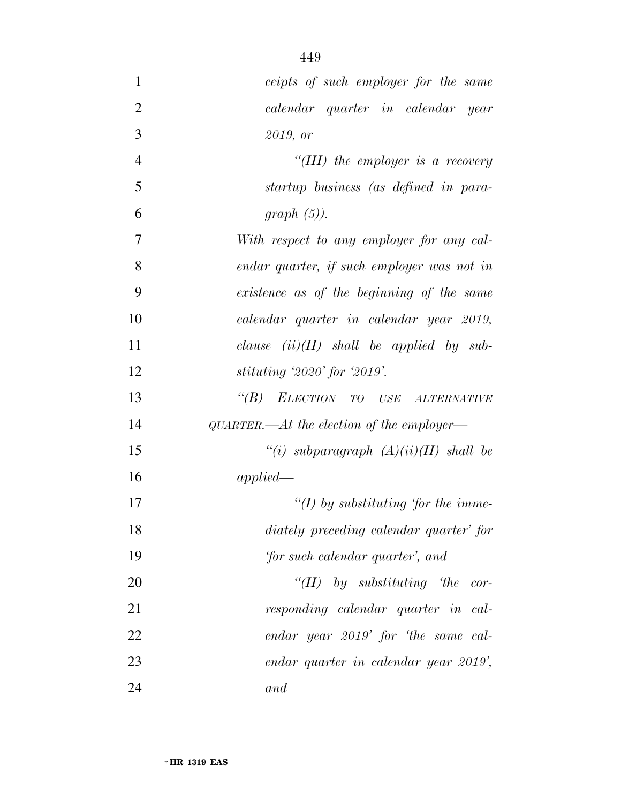| $\mathbf{1}$   | ceipts of such employer for the same       |
|----------------|--------------------------------------------|
| $\overline{2}$ | calendar quarter in calendar year          |
| 3              | 2019, or                                   |
| $\overline{4}$ | "(III) the employer is a recovery          |
| 5              | startup business (as defined in para-      |
| 6              | $graph(5)$ ).                              |
| 7              | With respect to any employer for any cal-  |
| 8              | endar quarter, if such employer was not in |
| 9              | existence as of the beginning of the same  |
| 10             | calendar quarter in calendar year 2019,    |
| 11             | clause $(ii)(II)$ shall be applied by sub- |
| 12             | stituting '2020' for '2019'.               |
| 13             | "(B) ELECTION TO USE ALTERNATIVE           |
| 14             | QUARTER.—At the election of the employer—  |
| 15             | "(i) subparagraph $(A)(ii)(II)$ shall be   |
| 16             | applied                                    |
| 17             | "(I) by substituting 'for the imme-        |
| 18             | diately preceding calendar quarter' for    |
| 19             | 'for such calendar quarter', and           |
| 20             | "(II) by substituting 'the cor-            |
| 21             | responding calendar quarter in cal-        |
| 22             | endar year 2019' for 'the same cal-        |
| 23             | endar quarter in calendar year 2019',      |
| 24             | and                                        |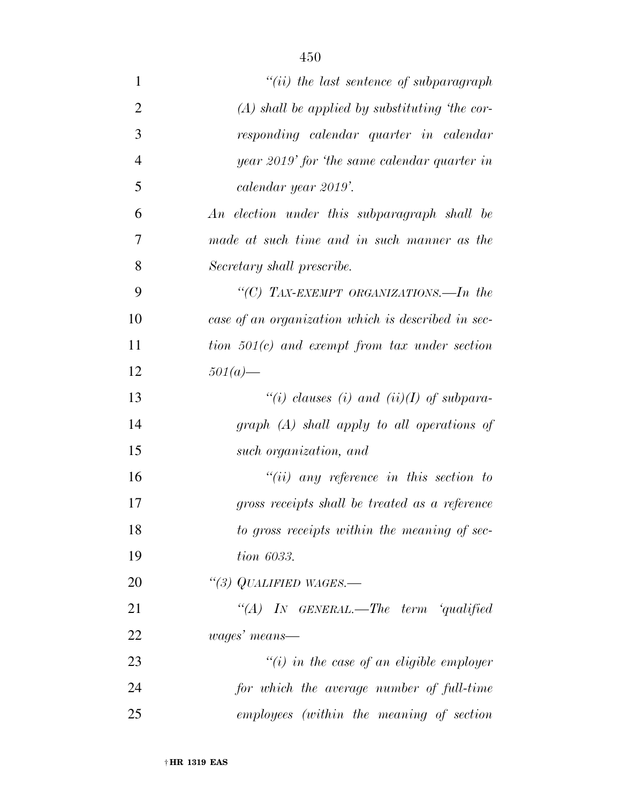| $\mathbf{1}$   | $``(ii)$ the last sentence of subparagraph         |
|----------------|----------------------------------------------------|
| $\overline{2}$ | $(A)$ shall be applied by substituting 'the cor-   |
| $\mathfrak{Z}$ | responding calendar quarter in calendar            |
| $\overline{4}$ | year 2019' for 'the same calendar quarter in       |
| 5              | calendar year 2019'.                               |
| 6              | An election under this subparagraph shall be       |
| $\tau$         | made at such time and in such manner as the        |
| 8              | Secretary shall prescribe.                         |
| 9              | "(C) TAX-EXEMPT ORGANIZATIONS.—In the              |
| 10             | case of an organization which is described in sec- |
| 11             | tion $501(c)$ and exempt from tax under section    |
| 12             | $501(a)$ —                                         |
| 13             | "(i) clauses (i) and (ii)(I) of subpara-           |
| 14             | $graph$ $(A)$ shall apply to all operations of     |
| 15             | such organization, and                             |
| 16             | $``(ii)$ any reference in this section to          |
| 17             | gross receipts shall be treated as a reference     |
| 18             | to gross receipts within the meaning of sec-       |
| 19             | tion 6033.                                         |
| 20             | "(3) QUALIFIED WAGES.—                             |
| 21             | "(A) IN GENERAL.—The term 'qualified               |
| 22             | wages' means—                                      |
| 23             | $\tilde{f}(i)$ in the case of an eligible employer |
| 24             | for which the average number of full-time          |
| 25             | employees (within the meaning of section           |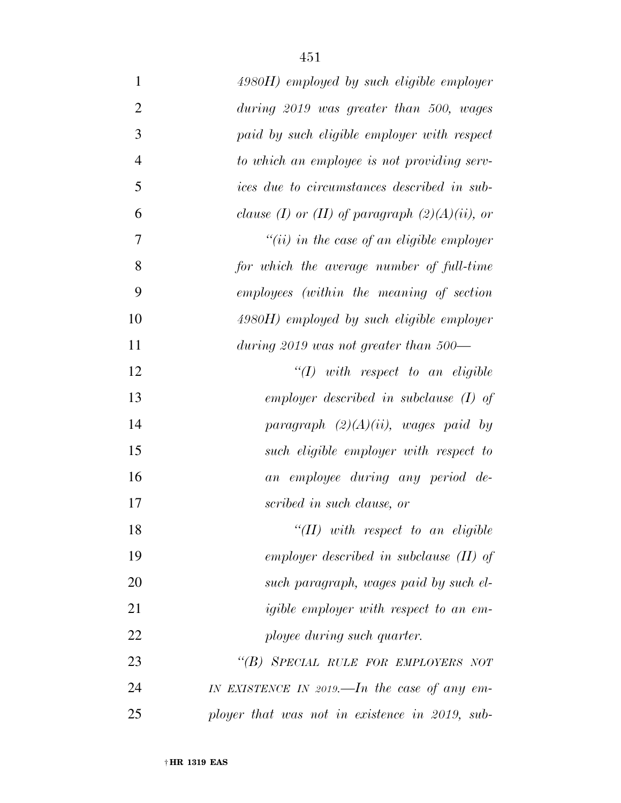| $\mathbf{1}$   | $4980H$ ) employed by such eligible employer       |
|----------------|----------------------------------------------------|
| $\overline{2}$ | during 2019 was greater than 500, wages            |
| 3              | paid by such eligible employer with respect        |
| $\overline{4}$ | to which an employee is not providing serv-        |
| 5              | <i>ices due to circumstances described in sub-</i> |
| 6              | clause (I) or (II) of paragraph $(2)(A)(ii)$ , or  |
| $\overline{7}$ | "(ii) in the case of an eligible employer          |
| 8              | for which the average number of full-time          |
| 9              | employees (within the meaning of section           |
| 10             | $4980H$ ) employed by such eligible employer       |
| 11             | during 2019 was not greater than $500-$            |
| 12             | $``(1)$ with respect to an eligible                |
| 13             | employer described in subclause $(I)$ of           |
| 14             | paragraph $(2)(A)(ii)$ , wages paid by             |
| 15             | such eligible employer with respect to             |
| 16             | an employee during any period de-                  |
| 17             | scribed in such clause, or                         |
| 18             | $``(II)$ with respect to an eligible               |
| 19             | employer described in subclause $(II)$ of          |
| 20             | such paragraph, wages paid by such el-             |
| 21             | <i>igible employer with respect to an em-</i>      |
| 22             | ployee during such quarter.                        |
| 23             | "(B) SPECIAL RULE FOR EMPLOYERS NOT                |
| 24             | IN EXISTENCE IN 2019.—In the case of any em-       |
| 25             | ployer that was not in existence in 2019, sub-     |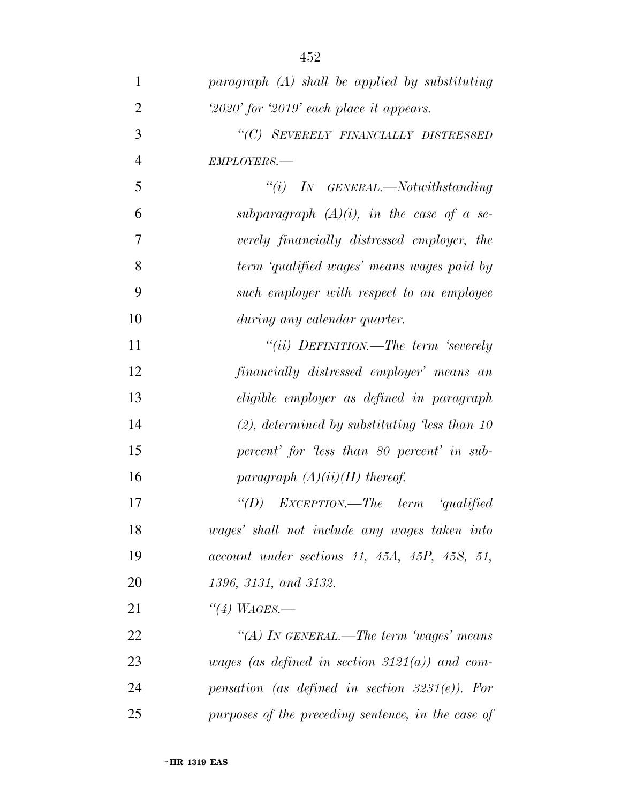| $\mathbf{1}$   | $paramph (A) shall be applied by substituting$     |
|----------------|----------------------------------------------------|
| $\overline{2}$ | $2020'$ for $2019'$ each place it appears.         |
| 3              | "(C) SEVERELY FINANCIALLY DISTRESSED               |
| $\overline{4}$ | EMPLOYERS.-                                        |
| 5              | $``(i)$ IN GENERAL.—Notwithstanding                |
| 6              | subparagraph $(A)(i)$ , in the case of a se-       |
| 7              | verely financially distressed employer, the        |
| 8              | term 'qualified wages' means wages paid by         |
| 9              | such employer with respect to an employee          |
| 10             | during any calendar quarter.                       |
| 11             | "(ii) DEFINITION.—The term 'severely               |
| 12             | financially distressed employer' means an          |
| 13             | eligible employer as defined in paragraph          |
| 14             | $(2)$ , determined by substituting less than 10    |
| 15             | percent' for 'less than 80 percent' in sub-        |
| 16             | paragraph $(A)(ii)(II)$ thereof.                   |
| 17             | "(D) $EXCEPTION.$ —The term 'qualified             |
| 18             | wages' shall not include any wages taken into      |
| 19             | $account$ under sections 41, 45A, 45P, 45S, 51,    |
| 20             | 1396, 3131, and 3132.                              |
| 21             | $\lq(4)$ WAGES.—                                   |
| 22             | "(A) In GENERAL.—The term 'wages' means            |
| 23             | wages (as defined in section $3121(a)$ ) and com-  |
| 24             | pensation (as defined in section $3231(e)$ ). For  |
| 25             | purposes of the preceding sentence, in the case of |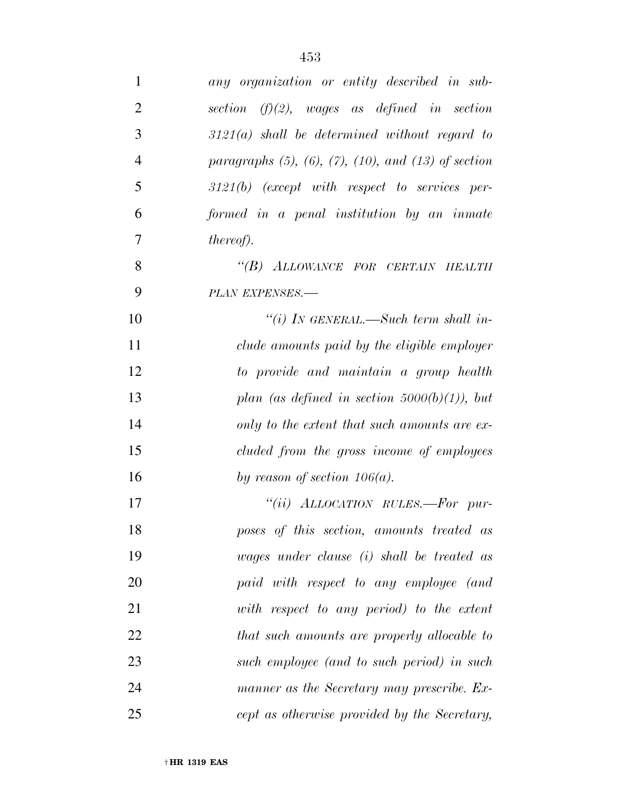| $\mathbf{1}$   | any organization or entity described in sub-                      |
|----------------|-------------------------------------------------------------------|
| $\overline{2}$ | section $(f)(2)$ , wages as defined in section                    |
| 3              | $3121(a)$ shall be determined without regard to                   |
| $\overline{4}$ | paragraphs $(5)$ , $(6)$ , $(7)$ , $(10)$ , and $(13)$ of section |
| 5              | $3121(b)$ (except with respect to services per-                   |
| 6              | formed in a penal institution by an inmate                        |
| 7              | <i>thereof</i> ).                                                 |
| 8              | "(B) ALLOWANCE FOR CERTAIN HEALTH                                 |
| 9              | PLAN EXPENSES.-                                                   |
| 10             | "(i) IN GENERAL.—Such term shall in-                              |
| 11             | clude amounts paid by the eligible employer                       |
| 12             | to provide and maintain a group health                            |
| 13             | plan (as defined in section $5000(b)(1)$ ), but                   |
| 14             | only to the extent that such amounts are ex-                      |
| 15             | cluded from the gross income of employees                         |
| 16             | by reason of section $106(a)$ .                                   |
| 17             | "(ii) ALLOCATION RULES.—For pur-                                  |
| 18             | poses of this section, amounts treated as                         |
| 19             | wages under clause $(i)$ shall be treated as                      |
| 20             | paid with respect to any employee (and                            |
| 21             | with respect to any period) to the extent                         |
| 22             | that such amounts are properly allocable to                       |
| 23             | such employee (and to such period) in such                        |
| 24             | manner as the Secretary may prescribe. Ex-                        |
| 25             | cept as otherwise provided by the Secretary,                      |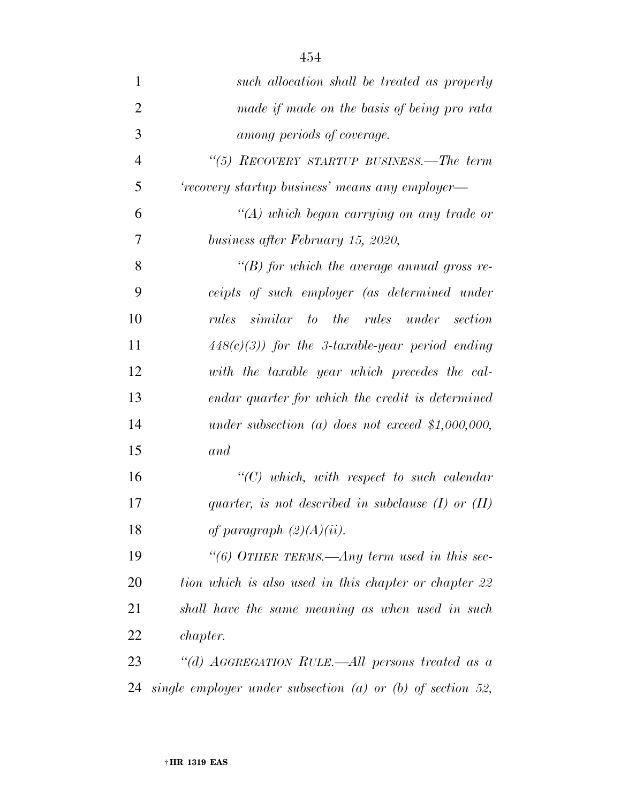| $\mathbf{1}$   | such allocation shall be treated as properly                   |
|----------------|----------------------------------------------------------------|
| $\overline{2}$ | made if made on the basis of being pro rata                    |
| 3              | among periods of coverage.                                     |
| $\overline{4}$ | "(5) RECOVERY STARTUP BUSINESS.—The term                       |
| 5              | 'recovery startup business' means any employer—                |
| 6              | $\lq (A)$ which began carrying on any trade or                 |
| 7              | business after February 15, 2020,                              |
| 8              | " $(B)$ for which the average annual gross re-                 |
| 9              | ceipts of such employer (as determined under                   |
| 10             | similar to the rules under section<br>rules                    |
| 11             | $448(c)(3)$ for the 3-taxable-year period ending               |
| 12             | with the taxable year which precedes the cal-                  |
| 13             | endar quarter for which the credit is determined               |
| 14             | under subsection (a) does not exceed \$1,000,000,              |
| 15             | and                                                            |
| 16             | $\lq\lq C$ ) which, with respect to such calendar              |
| 17             | quarter, is not described in subclause $(I)$ or $(II)$         |
| 18             | of paragraph $(2)(A)(ii)$ .                                    |
| 19             | "(6) OTHER TERMS.—Any term used in this sec-                   |
| 20             | tion which is also used in this chapter or chapter 22          |
| 21             | shall have the same meaning as when used in such               |
| 22             | <i>chapter.</i>                                                |
| 23             | "(d) AGGREGATION RULE.—All persons treated as a                |
| 24             | single employer under subsection $(a)$ or $(b)$ of section 52, |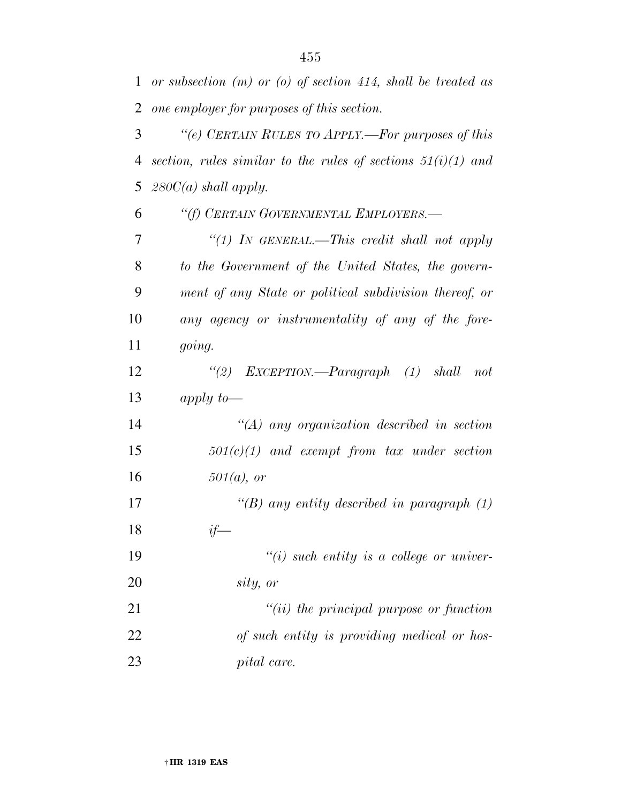*or subsection (m) or (o) of section 414, shall be treated as one employer for purposes of this section.* 

 *''(e) CERTAIN RULES TO APPLY.—For purposes of this section, rules similar to the rules of sections 51(i)(1) and 280C(a) shall apply.* 

 *''(f) CERTAIN GOVERNMENTAL EMPLOYERS.— ''(1) IN GENERAL.—This credit shall not apply to the Government of the United States, the govern- ment of any State or political subdivision thereof, or any agency or instrumentality of any of the fore-going.* 

 *''(2) EXCEPTION.—Paragraph (1) shall not apply to—* 

 *''(A) any organization described in section 501(c)(1) and exempt from tax under section 501(a), or* 

 *''(B) any entity described in paragraph (1) if—* 

 *''(i) such entity is a college or univer-sity, or* 

 *''(ii) the principal purpose or function of such entity is providing medical or hos-pital care.*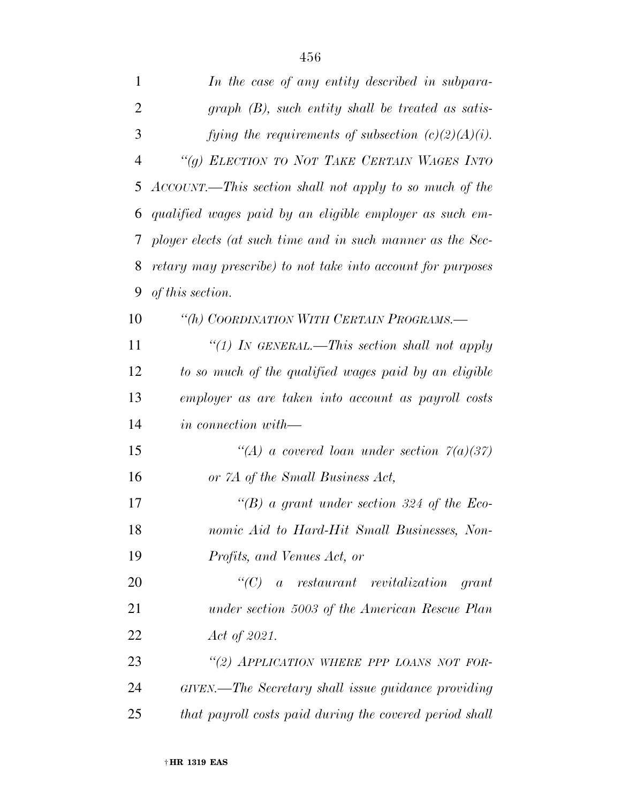| $\mathbf{1}$   | In the case of any entity described in subpara-             |
|----------------|-------------------------------------------------------------|
| $\overline{2}$ | $graph$ (B), such entity shall be treated as satis-         |
| 3              | fying the requirements of subsection $(c)(2)(A)(i)$ .       |
| 4              | "(g) ELECTION TO NOT TAKE CERTAIN WAGES INTO                |
| 5              | ACCOUNT.—This section shall not apply to so much of the     |
| 6              | qualified wages paid by an eligible employer as such em-    |
| 7              | ployer elects (at such time and in such manner as the Sec-  |
| 8              | retary may prescribe) to not take into account for purposes |
| 9              | of this section.                                            |
| 10             | "(h) COORDINATION WITH CERTAIN PROGRAMS.-                   |
| 11             | "(1) In GENERAL.—This section shall not apply               |
| 12             | to so much of the qualified wages paid by an eligible       |
| 13             | employer as are taken into account as payroll costs         |
| 14             | <i>in connection with</i> —                                 |
| 15             | "(A) a covered loan under section $7(a)(37)$                |
| 16             | or 7A of the Small Business Act,                            |
| 17             | "(B) a grant under section 324 of the Eco-                  |
| 18             | nomic Aid to Hard-Hit Small Businesses, Non-                |
| 19             | Profits, and Venues Act, or                                 |
| <b>20</b>      | $\lq\lq C$ a restaurant revitalization grant                |
| 21             | under section 5003 of the American Rescue Plan              |
| 22             | Act of 2021.                                                |
| 23             | "(2) APPLICATION WHERE PPP LOANS NOT FOR-                   |
| 24             | GIVEN.—The Secretary shall issue guidance providing         |
| 25             | that payroll costs paid during the covered period shall     |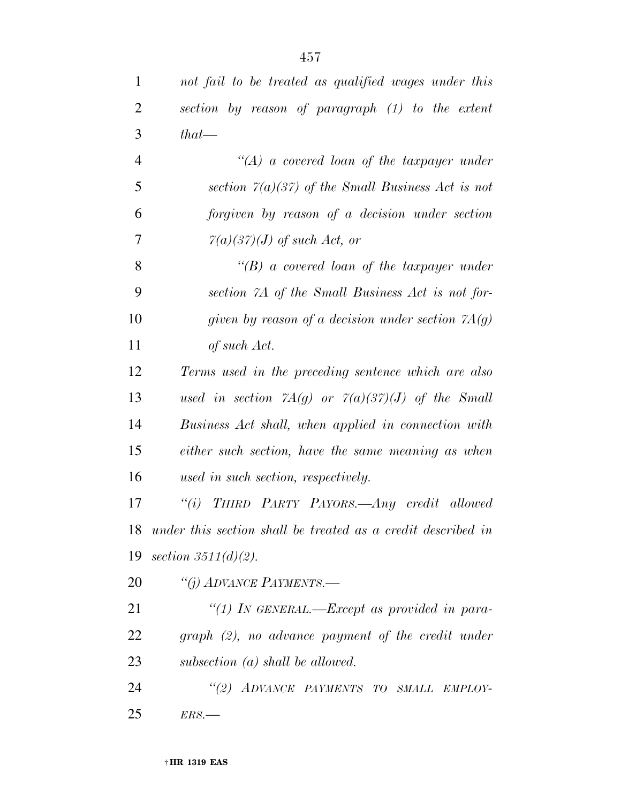| not fail to be treated as qualified wages under this                               |  |  |
|------------------------------------------------------------------------------------|--|--|
| section by reason of paragraph (1) to the extent                                   |  |  |
| $that$ —                                                                           |  |  |
| $\lq (A)$ a covered loan of the taxpayer under                                     |  |  |
| section $7(a)(37)$ of the Small Business Act is not                                |  |  |
| forgiven by reason of a decision under section                                     |  |  |
| $7(a)(37)(J)$ of such Act, or                                                      |  |  |
| $\lq\lq(B)$ a covered loan of the taxpayer under                                   |  |  |
| section 7A of the Small Business Act is not for-                                   |  |  |
| given by reason of a decision under section $7A(g)$                                |  |  |
| of such Act.                                                                       |  |  |
| Terms used in the preceding sentence which are also                                |  |  |
| used in section $\mathcal{A}(g)$ or $\mathcal{A}(a)(3\mathcal{C})(J)$ of the Small |  |  |
| Business Act shall, when applied in connection with                                |  |  |
| either such section, have the same meaning as when                                 |  |  |
| used in such section, respectively.                                                |  |  |
| "(i) THIRD PARTY PAYORS.—Any credit allowed                                        |  |  |
| 18 under this section shall be treated as a credit described in                    |  |  |
| 19 section $3511(d)(2)$ .                                                          |  |  |
| "(j) ADVANCE PAYMENTS.—                                                            |  |  |
| "(1) IN GENERAL.—Except as provided in para-                                       |  |  |
| $graph$ (2), no advance payment of the credit under                                |  |  |
| subsection $(a)$ shall be allowed.                                                 |  |  |
| "(2) ADVANCE PAYMENTS TO SMALL EMPLOY-                                             |  |  |
| ERS.                                                                               |  |  |
|                                                                                    |  |  |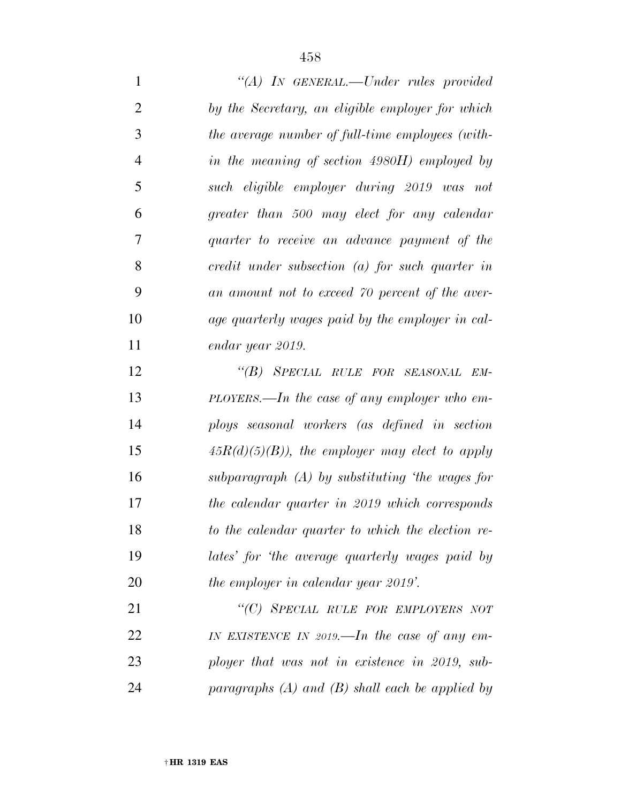*''(A) IN GENERAL.—Under rules provided by the Secretary, an eligible employer for which the average number of full-time employees (with- in the meaning of section 4980H) employed by such eligible employer during 2019 was not greater than 500 may elect for any calendar quarter to receive an advance payment of the credit under subsection (a) for such quarter in an amount not to exceed 70 percent of the aver- age quarterly wages paid by the employer in cal- endar year 2019. ''(B) SPECIAL RULE FOR SEASONAL EM- PLOYERS.—In the case of any employer who em- ploys seasonal workers (as defined in section 45R(d)(5)(B)), the employer may elect to apply subparagraph (A) by substituting 'the wages for the calendar quarter in 2019 which corresponds to the calendar quarter to which the election re-lates' for 'the average quarterly wages paid by* 

 *''(C) SPECIAL RULE FOR EMPLOYERS NOT IN EXISTENCE IN 2019.—In the case of any em- ployer that was not in existence in 2019, sub-paragraphs (A) and (B) shall each be applied by* 

*the employer in calendar year 2019'.*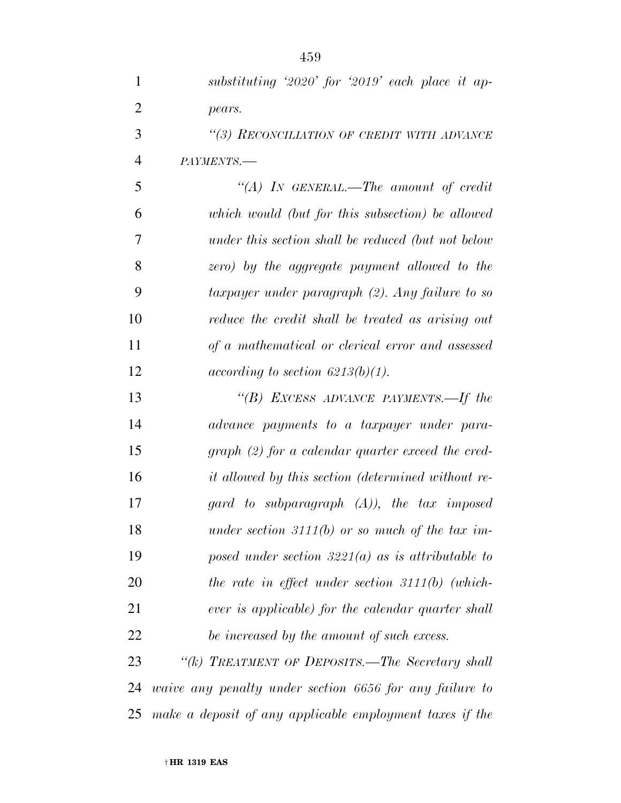| $\mathbf{1}$   | substituting '2020' for '2019' each place it ap-          |
|----------------|-----------------------------------------------------------|
| $\overline{2}$ | pears.                                                    |
| 3              | "(3) RECONCILIATION OF CREDIT WITH ADVANCE                |
| 4              | PAYMENTS.-                                                |
| 5              | "(A) IN GENERAL.—The amount of credit                     |
| 6              | which would (but for this subsection) be allowed          |
| 7              | under this section shall be reduced (but not below        |
| 8              | zero) by the aggregate payment allowed to the             |
| 9              | taxpayer under paragraph (2). Any failure to so           |
| 10             | reduce the credit shall be treated as arising out         |
| 11             | of a mathematical or clerical error and assessed          |
| 12             | $according\ to\ section\ 6213(b)(1).$                     |
| 13             | "(B) EXCESS ADVANCE PAYMENTS.—If the                      |
| 14             | advance payments to a taxpayer under para-                |
| 15             | $graph (2)$ for a calendar quarter exceed the cred-       |
| 16             | <i>it allowed by this section (determined without re-</i> |
| 17             | gard to subparagraph $(A)$ ), the tax imposed             |
| 18             | under section 3111(b) or so much of the tax im-           |
| 19             | posed under section 3221(a) as is attributable to         |
| 20             | the rate in effect under section $3111(b)$ (which-        |
| 21             | ever is applicable) for the calendar quarter shall        |
| 22             | be increased by the amount of such excess.                |
| 23             | "(k) TREATMENT OF DEPOSITS.—The Secretary shall           |
| 24             | waive any penalty under section 6656 for any failure to   |

*make a deposit of any applicable employment taxes if the*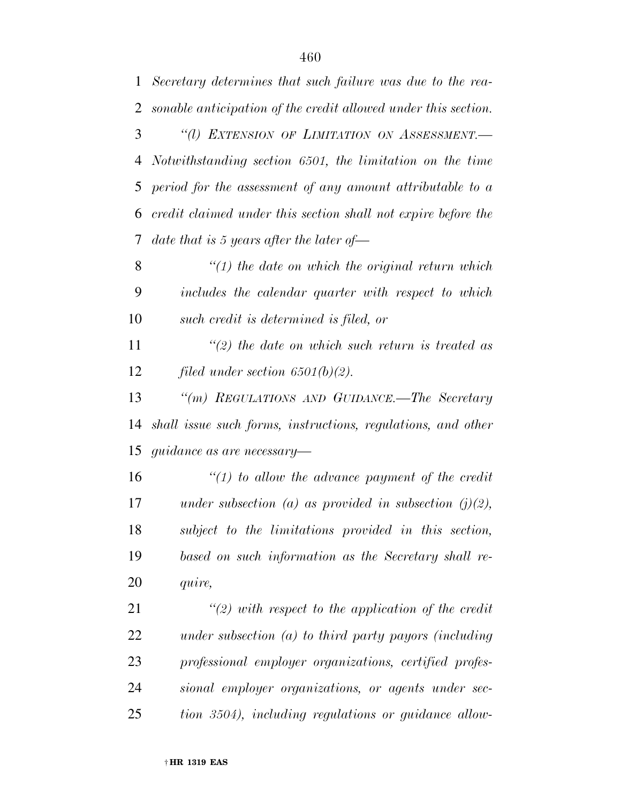*Secretary determines that such failure was due to the rea-sonable anticipation of the credit allowed under this section.* 

 *''(l) EXTENSION OF LIMITATION ON ASSESSMENT.— Notwithstanding section 6501, the limitation on the time period for the assessment of any amount attributable to a credit claimed under this section shall not expire before the date that is 5 years after the later of—* 

 *''(1) the date on which the original return which includes the calendar quarter with respect to which such credit is determined is filed, or* 

 *''(2) the date on which such return is treated as filed under section 6501(b)(2).* 

 *''(m) REGULATIONS AND GUIDANCE.—The Secretary shall issue such forms, instructions, regulations, and other guidance as are necessary—* 

 *''(1) to allow the advance payment of the credit under subsection (a) as provided in subsection (j)(2), subject to the limitations provided in this section, based on such information as the Secretary shall re-quire,* 

 *''(2) with respect to the application of the credit under subsection (a) to third party payors (including professional employer organizations, certified profes- sional employer organizations, or agents under sec-tion 3504), including regulations or guidance allow-*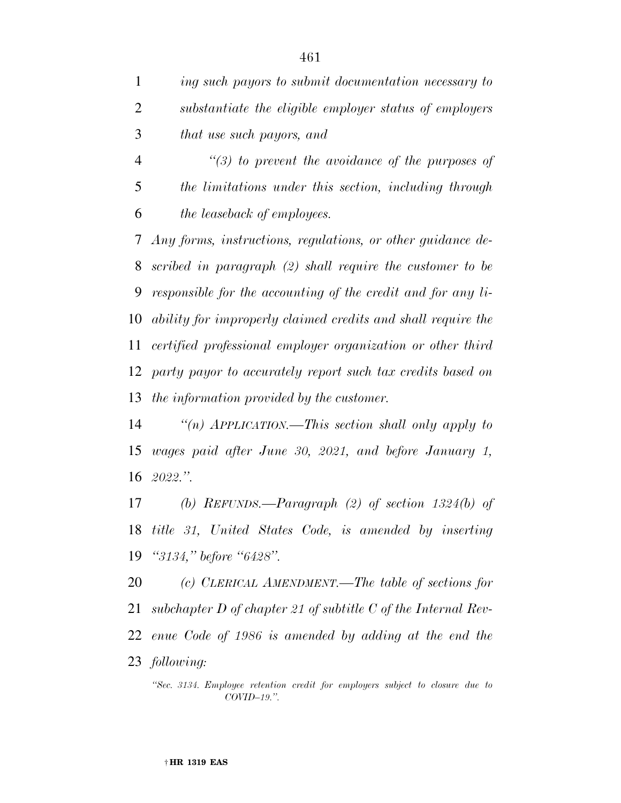*ing such payors to submit documentation necessary to substantiate the eligible employer status of employers that use such payors, and ''(3) to prevent the avoidance of the purposes of the limitations under this section, including through the leaseback of employees. Any forms, instructions, regulations, or other guidance de- scribed in paragraph (2) shall require the customer to be responsible for the accounting of the credit and for any li- ability for improperly claimed credits and shall require the certified professional employer organization or other third party payor to accurately report such tax credits based on the information provided by the customer.* 

 *''(n) APPLICATION.—This section shall only apply to wages paid after June 30, 2021, and before January 1, 2022.''.* 

 *(b) REFUNDS.—Paragraph (2) of section 1324(b) of title 31, United States Code, is amended by inserting ''3134,'' before ''6428''.* 

 *(c) CLERICAL AMENDMENT.—The table of sections for subchapter D of chapter 21 of subtitle C of the Internal Rev- enue Code of 1986 is amended by adding at the end the following:* 

*''Sec. 3134. Employee retention credit for employers subject to closure due to COVID–19.''.*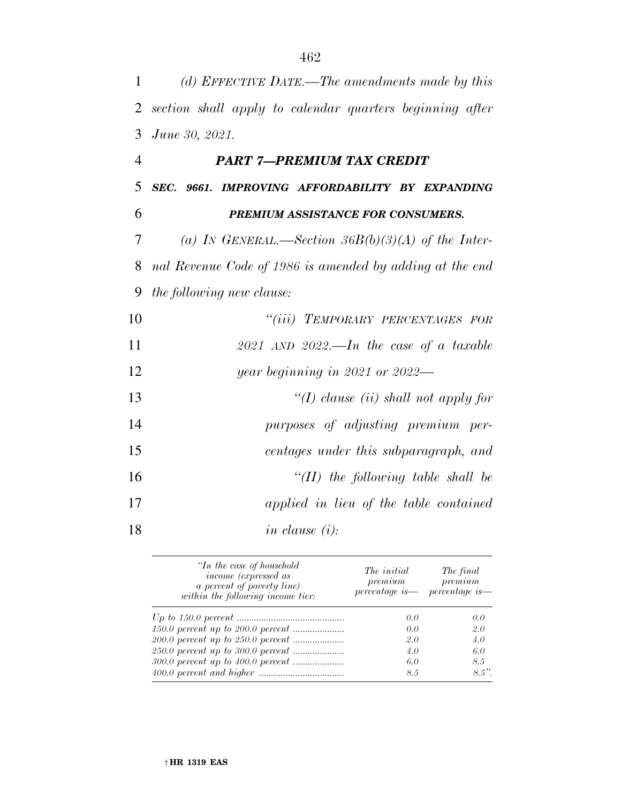| 1              | (d) EFFECTIVE DATE.—The amendments made by this          |
|----------------|----------------------------------------------------------|
| $\overline{2}$ | section shall apply to calendar quarters beginning after |
| 3              | June 30, 2021.                                           |
| $\overline{4}$ | PART 7-PREMIUM TAX CREDIT                                |
| 5              | SEC. 9661. IMPROVING AFFORDABILITY BY EXPANDING          |
| 6              | PREMIUM ASSISTANCE FOR CONSUMERS.                        |
| 7              | (a) IN GENERAL.—Section $36B(b)(3)(A)$ of the Inter-     |
| 8              | nal Revenue Code of 1986 is amended by adding at the end |
| 9              | the following new clause:                                |
| 10             | "(iii) TEMPORARY PERCENTAGES FOR                         |
| 11             | $2021$ AND $2022$ . In the case of a taxable             |
| 12             | $year$ beginning in 2021 or 2022—                        |
| 13             | "(I) clause (ii) shall not apply for                     |
| 14             | purposes of adjusting premium per-                       |
| 15             | centages under this subparagraph, and                    |
| 16             | "(II) the following table shall be                       |
| 17             | applied in lieu of the table contained                   |
| 18             | in clause $(i)$ :                                        |

| "In the case of household"<br>income (expressed as<br><i>a percent of poverty line</i> )<br>within the following income tier: | The <i>initial</i><br>premium | The final<br>premium<br>percentage is - percentage is - |
|-------------------------------------------------------------------------------------------------------------------------------|-------------------------------|---------------------------------------------------------|
| $Up\ to\ 150.0\ percent\ \dots$                                                                                               | 0.0                           | 0.0                                                     |
|                                                                                                                               | 0.0                           | 2.0                                                     |
|                                                                                                                               | 2.0                           | 4.0                                                     |
|                                                                                                                               | 4.0                           | 6.0                                                     |
|                                                                                                                               | 6.0                           | 8.5                                                     |
|                                                                                                                               | 8.5                           | $8.5$ "                                                 |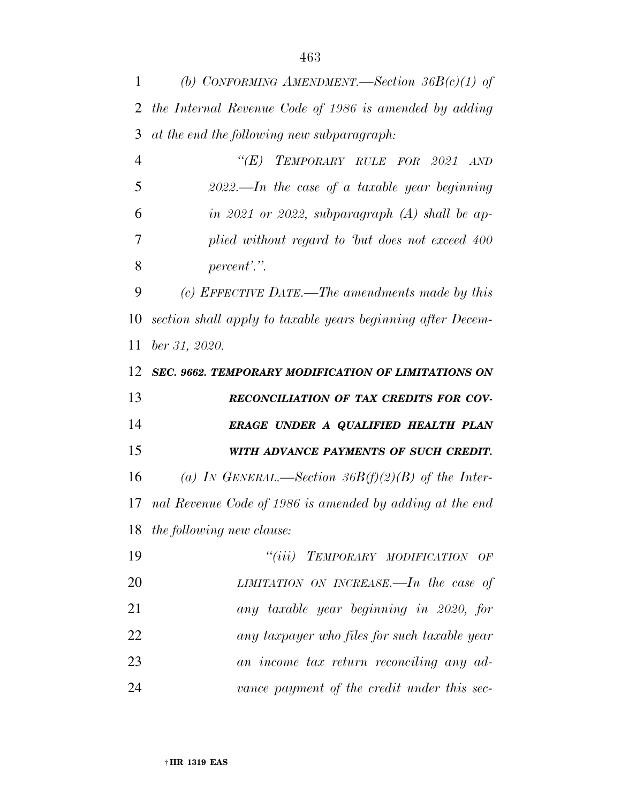| 1              | (b) CONFORMING AMENDMENT.—Section $36B(c)(1)$ of            |
|----------------|-------------------------------------------------------------|
| 2              | the Internal Revenue Code of 1986 is amended by adding      |
| 3              | at the end the following new subparagraph:                  |
| $\overline{4}$ | $\lq(E)$<br>TEMPORARY RULE FOR 2021<br>AND                  |
| 5              | $2022$ —In the case of a taxable year beginning             |
| 6              | in 2021 or 2022, subparagraph $(A)$ shall be ap-            |
| 7              | plied without regard to but does not exceed 400             |
| 8              | percent'.".                                                 |
| 9              | (c) EFFECTIVE DATE.—The amendments made by this             |
| 10             | section shall apply to taxable years beginning after Decem- |
| 11             | ber 31, 2020.                                               |
| 12             | <b>SEC. 9662. TEMPORARY MODIFICATION OF LIMITATIONS ON</b>  |
|                |                                                             |
| 13             | RECONCILIATION OF TAX CREDITS FOR COV-                      |
| 14             | ERAGE UNDER A QUALIFIED HEALTH PLAN                         |
| 15             | WITH ADVANCE PAYMENTS OF SUCH CREDIT.                       |
| 16             | (a) IN GENERAL.—Section 36B(f)(2)(B) of the Inter-          |
| 17             | nal Revenue Code of 1986 is amended by adding at the end    |
| 18             | the following new clause:                                   |
| 19             | "(iii) TEMPORARY MODIFICATION OF                            |
| 20             | LIMITATION ON INCREASE.—In the case of                      |
| 21             | any taxable year beginning in 2020, for                     |
| 22             | any taxpayer who files for such taxable year                |
| 23             | an income tax return reconciling any ad-                    |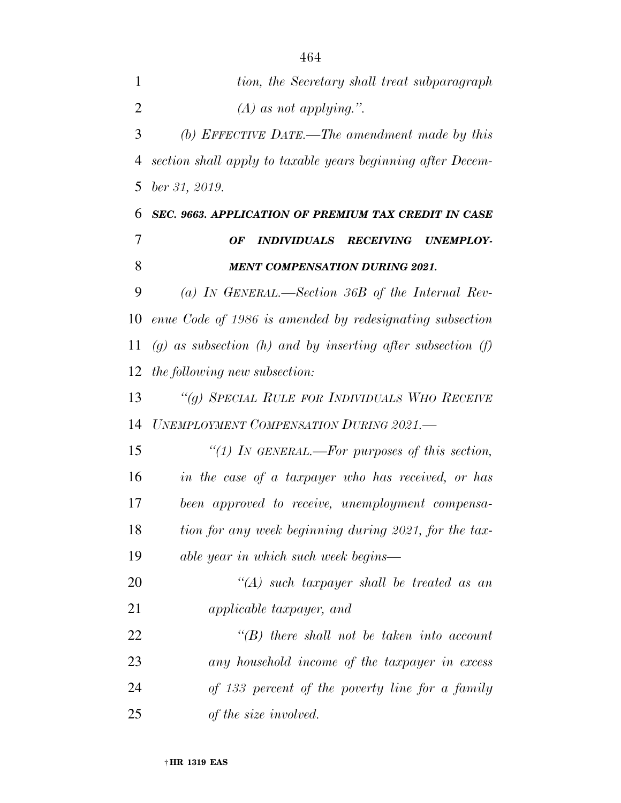| 1              | tion, the Secretary shall treat subparagraph                     |
|----------------|------------------------------------------------------------------|
| $\overline{2}$ | $(A)$ as not applying.".                                         |
| 3              | (b) EFFECTIVE DATE.—The amendment made by this                   |
| 4              | section shall apply to taxable years beginning after Decem-      |
| 5              | ber 31, 2019.                                                    |
| 6              | SEC. 9663. APPLICATION OF PREMIUM TAX CREDIT IN CASE             |
| 7              | <i><b>INDIVIDUALS</b></i><br><b>RECEIVING</b><br>OF<br>UNEMPLOY- |
| 8              | <b>MENT COMPENSATION DURING 2021.</b>                            |
| 9              | (a) In GENERAL.—Section 36B of the Internal Rev-                 |
| 10             | enue Code of 1986 is amended by redesignating subsection         |
| 11             | $(g)$ as subsection (h) and by inserting after subsection (f)    |
| 12             | the following new subsection:                                    |
| 13             | "(g) SPECIAL RULE FOR INDIVIDUALS WHO RECEIVE                    |
| 14             | UNEMPLOYMENT COMPENSATION DURING 2021.-                          |
| 15             | "(1) In GENERAL.—For purposes of this section,                   |
| 16             | in the case of a taxpayer who has received, or has               |
| 17             | been approved to receive, unemployment compensa-                 |
| 18             | tion for any week beginning during 2021, for the tax-            |
| 19             | able year in which such week begins—                             |
| 20             | $\lq (A)$ such taxpayer shall be treated as an                   |
| 21             | <i>applicable taxpayer, and</i>                                  |
| 22             | $\lq\lq B$ there shall not be taken into account                 |
| 23             | any household income of the taxpayer in excess                   |
| 24             | of 133 percent of the poverty line for a family                  |
| 25             | of the size involved.                                            |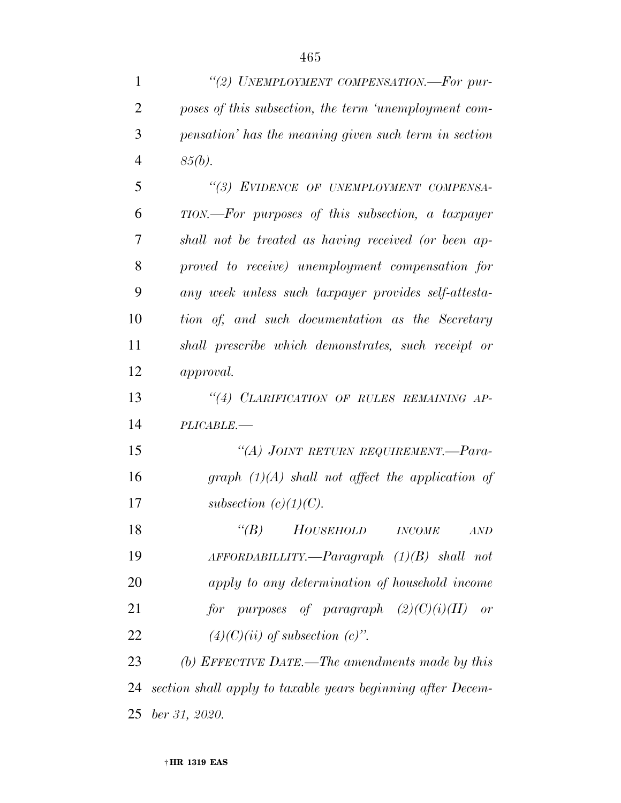| 1              | "(2) UNEMPLOYMENT COMPENSATION.—For pur-                    |
|----------------|-------------------------------------------------------------|
| $\overline{2}$ | poses of this subsection, the term 'unemployment com-       |
| 3              | pensation' has the meaning given such term in section       |
| $\overline{4}$ | $85(b)$ .                                                   |
| 5              | "(3) EVIDENCE OF UNEMPLOYMENT COMPENSA-                     |
| 6              | TION.—For purposes of this subsection, a taxpayer           |
| 7              | shall not be treated as having received (or been ap-        |
| 8              | proved to receive) unemployment compensation for            |
| 9              | any week unless such taxpayer provides self-attesta-        |
| 10             | tion of, and such documentation as the Secretary            |
| 11             | shall prescribe which demonstrates, such receipt or         |
| 12             | <i>approval.</i>                                            |
| 13             | "(4) CLARIFICATION OF RULES REMAINING AP-                   |
| 14             | PLICABLE.-                                                  |
| 15             | "(A) JOINT RETURN REQUIREMENT.—Para-                        |
| 16             | graph $(1)(A)$ shall not affect the application of          |
| 17             | subsection $(c)(1)(C)$ .                                    |
| 18             | $\lq(B)$<br>HOUSEHOLD<br>$INCOME$<br>AND                    |
| 19             | $AFFORDABILITY. \text{—} Paragraph (1)(B) shall not$        |
| 20             | apply to any determination of household income              |
| 21             | for purposes of paragraph $(2)(C)(i)(II)$ or                |
| 22             | $(4)(C)(ii)$ of subsection $(c)$ ".                         |
| 23             | (b) EFFECTIVE DATE.—The amendments made by this             |
| 24             | section shall apply to taxable years beginning after Decem- |
| 25             | $ber\,31, \,2020.$                                          |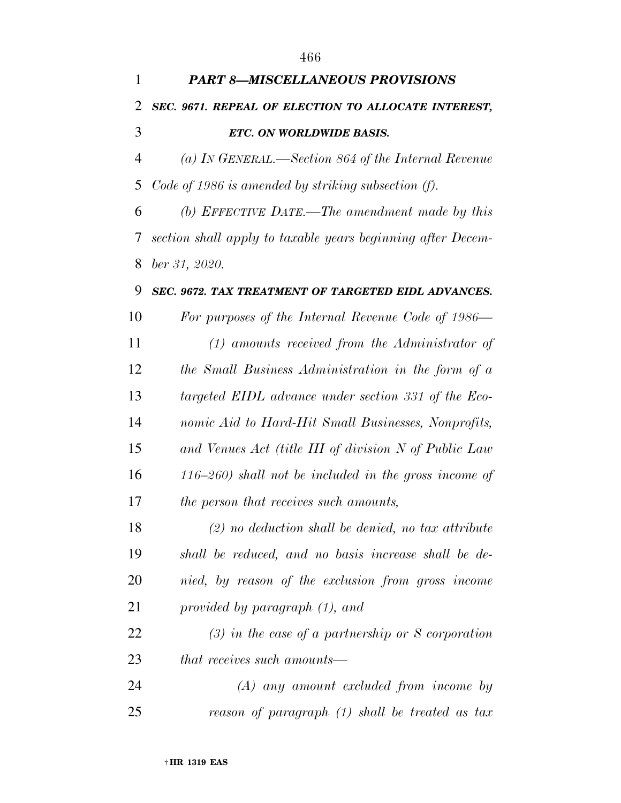| 1  | <b>PART 8-MISCELLANEOUS PROVISIONS</b>                      |
|----|-------------------------------------------------------------|
| 2  | SEC. 9671. REPEAL OF ELECTION TO ALLOCATE INTEREST,         |
| 3  | ETC. ON WORLDWIDE BASIS.                                    |
| 4  | (a) In GENERAL.—Section 864 of the Internal Revenue         |
| 5  | Code of 1986 is amended by striking subsection $(f)$ .      |
| 6  | (b) EFFECTIVE DATE.—The amendment made by this              |
| 7  | section shall apply to taxable years beginning after Decem- |
| 8  | ber 31, 2020.                                               |
| 9  | SEC. 9672. TAX TREATMENT OF TARGETED EIDL ADVANCES.         |
| 10 | For purposes of the Internal Revenue Code of 1986—          |
| 11 | $(1)$ amounts received from the Administrator of            |
| 12 | the Small Business Administration in the form of a          |
| 13 | targeted EIDL advance under section 331 of the Eco-         |
| 14 | nomic Aid to Hard-Hit Small Businesses, Nonprofits,         |
| 15 | and Venues Act (title III of division N of Public Law       |
| 16 | $(116-260)$ shall not be included in the gross income of    |
| 17 | the person that receives such amounts,                      |
| 18 | $(2)$ no deduction shall be denied, no tax attribute        |
| 19 | shall be reduced, and no basis increase shall be de-        |
| 20 | nied, by reason of the exclusion from gross income          |
| 21 | provided by paragraph (1), and                              |
| 22 | $(3)$ in the case of a partnership or S corporation         |
| 23 | <i>that receives such amounts—</i>                          |
| 24 | $(A)$ any amount excluded from income by                    |
| 25 | reason of paragraph (1) shall be treated as tax             |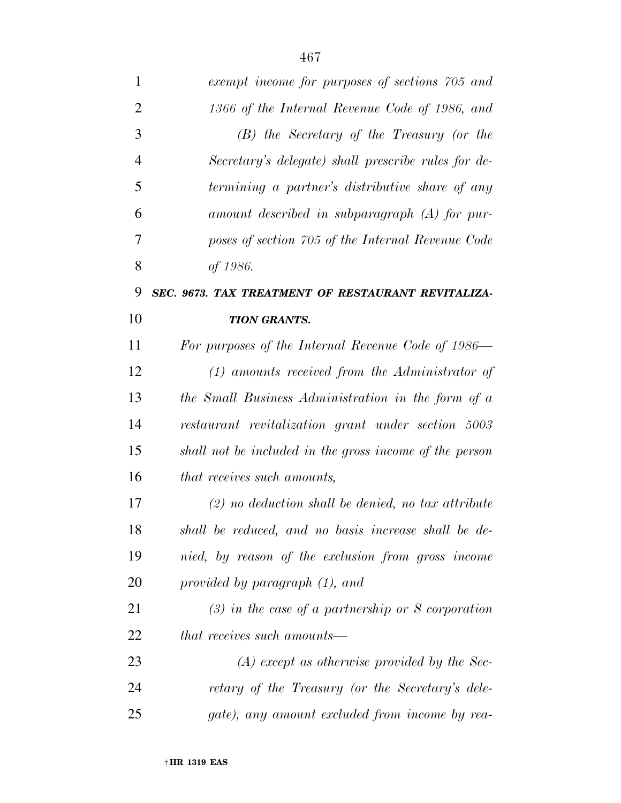| 1              | exempt income for purposes of sections 705 and          |
|----------------|---------------------------------------------------------|
| $\overline{2}$ | 1366 of the Internal Revenue Code of 1986, and          |
| 3              | $(B)$ the Secretary of the Treasury (or the             |
| $\overline{4}$ | Secretary's delegate) shall prescribe rules for de-     |
| 5              | termining a partner's distributive share of any         |
| 6              | amount described in subparagraph $(A)$ for pur-         |
| 7              | poses of section 705 of the Internal Revenue Code       |
| 8              | of 1986.                                                |
| 9              | SEC. 9673. TAX TREATMENT OF RESTAURANT REVITALIZA-      |
| 10             | <b>TION GRANTS.</b>                                     |
| 11             | For purposes of the Internal Revenue Code of 1986—      |
| 12             | $(1)$ amounts received from the Administrator of        |
| 13             | the Small Business Administration in the form of a      |
| 14             | restaurant revitalization grant under section 5003      |
| 15             | shall not be included in the gross income of the person |
| 16             | that receives such amounts,                             |
| 17             | $(2)$ no deduction shall be denied, no tax attribute    |
| 18             | shall be reduced, and no basis increase shall be de-    |
| 19             | nied, by reason of the exclusion from gross income      |
| 20             | provided by paragraph (1), and                          |
| 21             | $(3)$ in the case of a partnership or S corporation     |
| 22             | <i>that receives such amounts—</i>                      |
| 23             | $(A)$ except as otherwise provided by the Sec-          |
| 24             | retary of the Treasury (or the Secretary's dele-        |
| 25             | gate), any amount excluded from income by rea-          |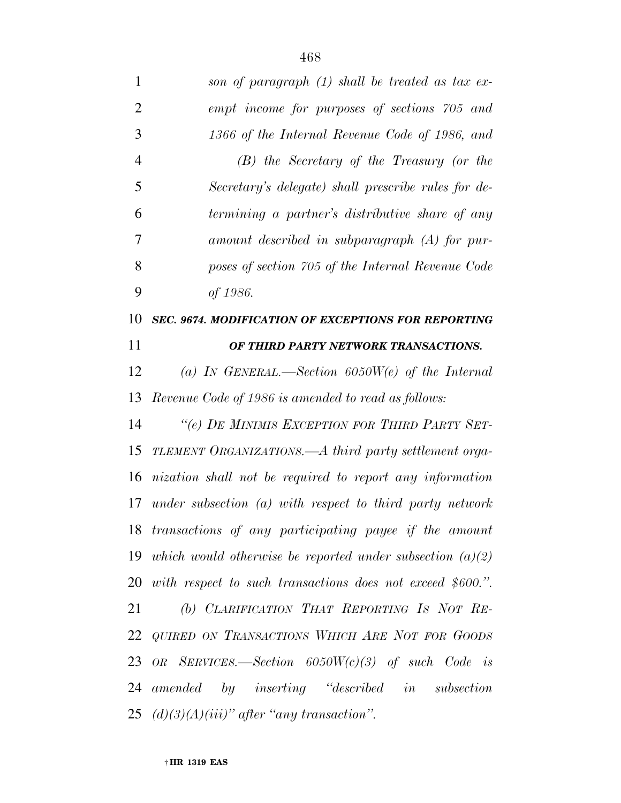| 1              | son of paragraph (1) shall be treated as tax ex-               |
|----------------|----------------------------------------------------------------|
| $\overline{2}$ | empt income for purposes of sections 705 and                   |
| 3              | 1366 of the Internal Revenue Code of 1986, and                 |
| $\overline{4}$ | $(B)$ the Secretary of the Treasury (or the                    |
| 5              | Secretary's delegate) shall prescribe rules for de-            |
| 6              | termining a partner's distributive share of any                |
| 7              | amount described in subparagraph $(A)$ for pur-                |
| 8              | poses of section 705 of the Internal Revenue Code              |
| 9              | of 1986.                                                       |
| 10             | <b>SEC. 9674. MODIFICATION OF EXCEPTIONS FOR REPORTING</b>     |
| 11             | OF THIRD PARTY NETWORK TRANSACTIONS.                           |
| 12             | (a) IN GENERAL.—Section $6050W(e)$ of the Internal             |
| 13             | Revenue Code of 1986 is amended to read as follows:            |
| 14             | "(e) DE MINIMIS EXCEPTION FOR THIRD PARTY SET-                 |
| 15             | TLEMENT ORGANIZATIONS.—A third party settlement orga-          |
| 16             | nization shall not be required to report any information       |
| 17             | under subsection $(a)$ with respect to third party network     |
|                | 18 transactions of any participating payee if the amount       |
|                | 19 which would otherwise be reported under subsection $(a)(2)$ |
|                | 20 with respect to such transactions does not exceed \$600.".  |
| 21             | (b) CLARIFICATION THAT REPORTING IS NOT RE-                    |
|                | 22 QUIRED ON TRANSACTIONS WHICH ARE NOT FOR GOODS              |
|                | 23 OR SERVICES.—Section $6050W(c)(3)$ of such Code is          |
| 24             | amended by inserting "described in subsection                  |
|                | 25 $(d)(3)(A)(iii)$ " after "any transaction".                 |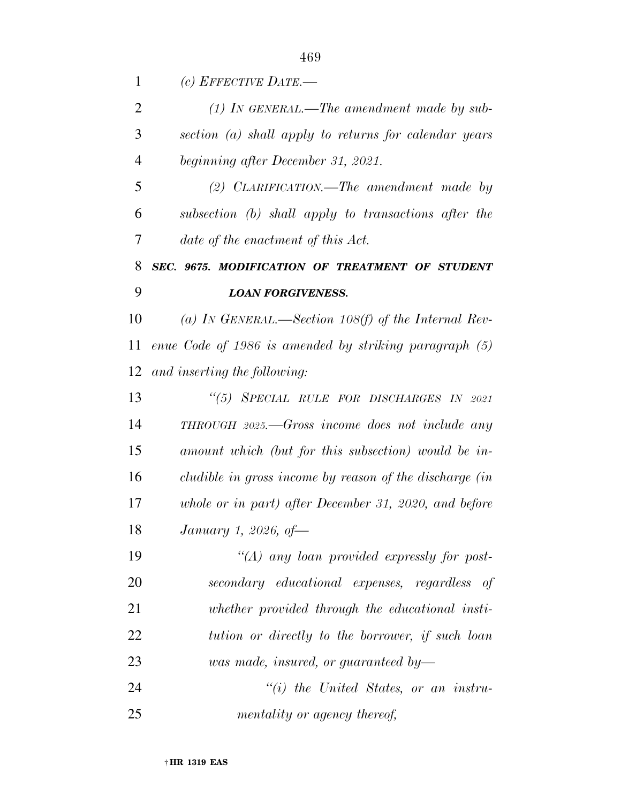*(c) EFFECTIVE DATE.—* 

 *(1) IN GENERAL.—The amendment made by sub- section (a) shall apply to returns for calendar years beginning after December 31, 2021.* 

 *(2) CLARIFICATION.—The amendment made by subsection (b) shall apply to transactions after the date of the enactment of this Act.* 

## *SEC. 9675. MODIFICATION OF TREATMENT OF STUDENT LOAN FORGIVENESS.*

 *(a) IN GENERAL.—Section 108(f) of the Internal Rev- enue Code of 1986 is amended by striking paragraph (5) and inserting the following:* 

 *''(5) SPECIAL RULE FOR DISCHARGES IN 2021 THROUGH 2025.—Gross income does not include any amount which (but for this subsection) would be in- cludible in gross income by reason of the discharge (in whole or in part) after December 31, 2020, and before January 1, 2026, of—* 

 *''(A) any loan provided expressly for post- secondary educational expenses, regardless of whether provided through the educational insti- tution or directly to the borrower, if such loan was made, insured, or guaranteed by—* 

 *''(i) the United States, or an instru-mentality or agency thereof,*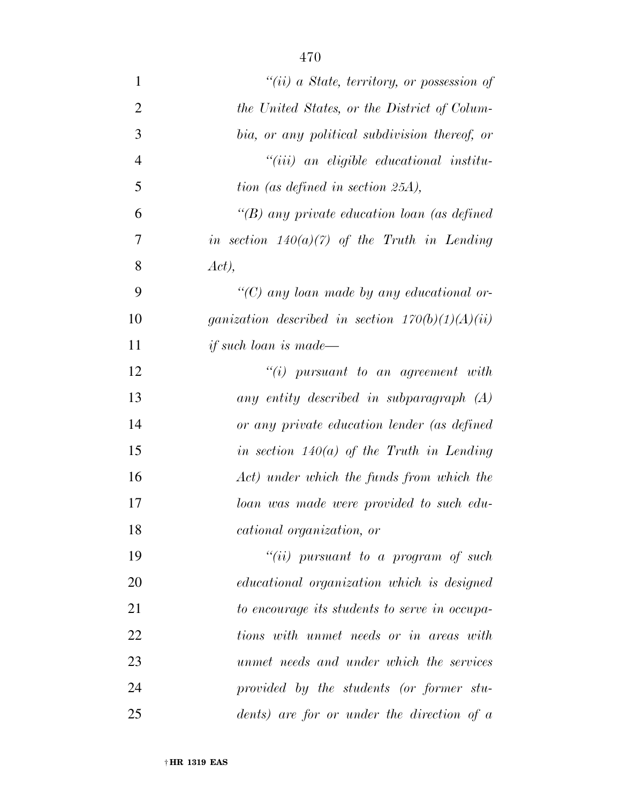| $\mathbf{1}$   | "(ii) a State, territory, or possession of         |
|----------------|----------------------------------------------------|
| $\overline{2}$ | the United States, or the District of Colum-       |
| 3              | bia, or any political subdivision thereof, or      |
| $\overline{4}$ | $``(iii)$ an eligible educational institu-         |
| 5              | tion (as defined in section 25A),                  |
| 6              | "(B) any private education loan (as defined        |
| 7              | in section $140(a)(7)$ of the Truth in Lending     |
| 8              | Act),                                              |
| 9              | " $(C)$ any loan made by any educational or-       |
| 10             | ganization described in section $170(b)(1)(A)(ii)$ |
| 11             | <i>if such loan is made—</i>                       |
| 12             | $``(i)$ pursuant to an agreement with              |
| 13             | any entity described in subparagraph $(A)$         |
| 14             | or any private education lender (as defined        |
| 15             | in section $140(a)$ of the Truth in Lending        |
| 16             | Act) under which the funds from which the          |
| 17             | loan was made were provided to such edu-           |
| 18             | <i>cational organization, or</i>                   |
| 19             | "(ii) pursuant to a program of such                |
| 20             | <i>educational organization which is designed</i>  |
| 21             | to encourage its students to serve in occupa-      |
| 22             | tions with unmet needs or in areas with            |
| 23             | unmet needs and under which the services           |
| 24             | provided by the students (or former stu-           |
| 25             | dents) are for or under the direction of $a$       |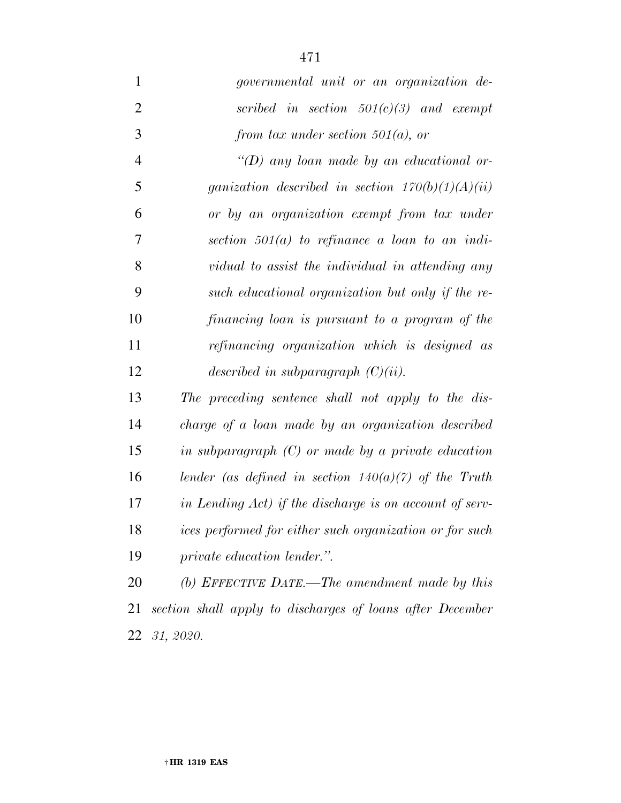*governmental unit or an organization de- scribed in section 501(c)(3) and exempt from tax under section 501(a), or ''(D) any loan made by an educational or- ganization described in section 170(b)(1)(A)(ii) or by an organization exempt from tax under section 501(a) to refinance a loan to an indi- vidual to assist the individual in attending any such educational organization but only if the re-*

 *financing loan is pursuant to a program of the refinancing organization which is designed as described in subparagraph (C)(ii).* 

 *The preceding sentence shall not apply to the dis- charge of a loan made by an organization described in subparagraph (C) or made by a private education lender (as defined in section 140(a)(7) of the Truth in Lending Act) if the discharge is on account of serv- ices performed for either such organization or for such private education lender.''.* 

 *(b) EFFECTIVE DATE.—The amendment made by this section shall apply to discharges of loans after December 31, 2020.*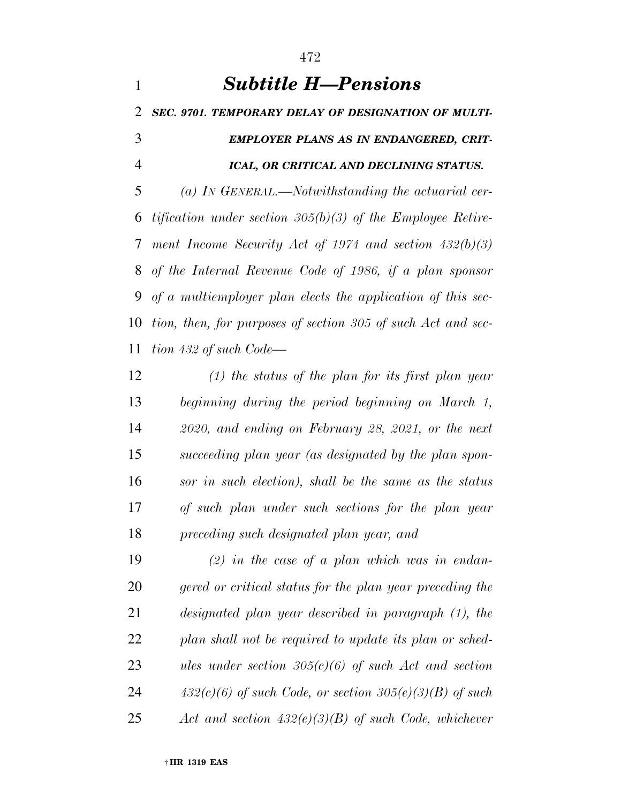*Subtitle H—Pensions SEC. 9701. TEMPORARY DELAY OF DESIGNATION OF MULTI- EMPLOYER PLANS AS IN ENDANGERED, CRIT- ICAL, OR CRITICAL AND DECLINING STATUS. (a) IN GENERAL.—Notwithstanding the actuarial cer- tification under section 305(b)(3) of the Employee Retire- ment Income Security Act of 1974 and section 432(b)(3) of the Internal Revenue Code of 1986, if a plan sponsor of a multiemployer plan elects the application of this sec- tion, then, for purposes of section 305 of such Act and sec-tion 432 of such Code—* 

 *(1) the status of the plan for its first plan year beginning during the period beginning on March 1, 2020, and ending on February 28, 2021, or the next succeeding plan year (as designated by the plan spon- sor in such election), shall be the same as the status of such plan under such sections for the plan year preceding such designated plan year, and* 

 *(2) in the case of a plan which was in endan- gered or critical status for the plan year preceding the designated plan year described in paragraph (1), the plan shall not be required to update its plan or sched- ules under section 305(c)(6) of such Act and section 432(c)(6) of such Code, or section 305(e)(3)(B) of such Act and section 432(e)(3)(B) of such Code, whichever*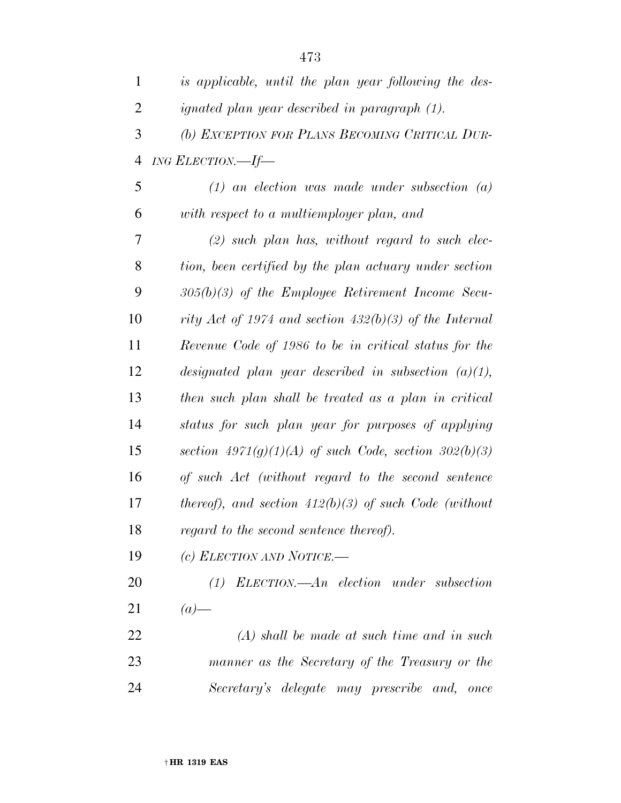| $\mathbf{1}$   | is applicable, until the plan year following the des-     |
|----------------|-----------------------------------------------------------|
| $\overline{2}$ | ignated plan year described in paragraph (1).             |
| 3              | (b) EXCEPTION FOR PLANS BECOMING CRITICAL DUR-            |
| $\overline{4}$ | ING ELECTION.—If—                                         |
| 5              | $(1)$ an election was made under subsection $(a)$         |
| 6              | with respect to a multiemployer plan, and                 |
| 7              | $(2)$ such plan has, without regard to such elec-         |
| 8              | tion, been certified by the plan actuary under section    |
| 9              | $305(b)(3)$ of the Employee Retirement Income Secu-       |
| 10             | rity Act of 1974 and section 432(b)(3) of the Internal    |
| 11             | Revenue Code of 1986 to be in critical status for the     |
| 12             | designated plan year described in subsection $(a)(1)$ ,   |
| 13             | then such plan shall be treated as a plan in critical     |
| 14             | status for such plan year for purposes of applying        |
| 15             | section $4971(g)(1)(A)$ of such Code, section $302(b)(3)$ |
| 16             | of such Act (without regard to the second sentence        |
| 17             | thereof), and section $412(b)(3)$ of such Code (without   |
| 18             | regard to the second sentence thereof).                   |
| 19             | (c) ELECTION AND NOTICE.-                                 |
| 20             | $(1)$ ELECTION.—An election under subsection              |
| 21             | $(a)$ —                                                   |
| 22             | $(A)$ shall be made at such time and in such              |
| 23             | manner as the Secretary of the Treasury or the            |

*Secretary's delegate may prescribe and, once*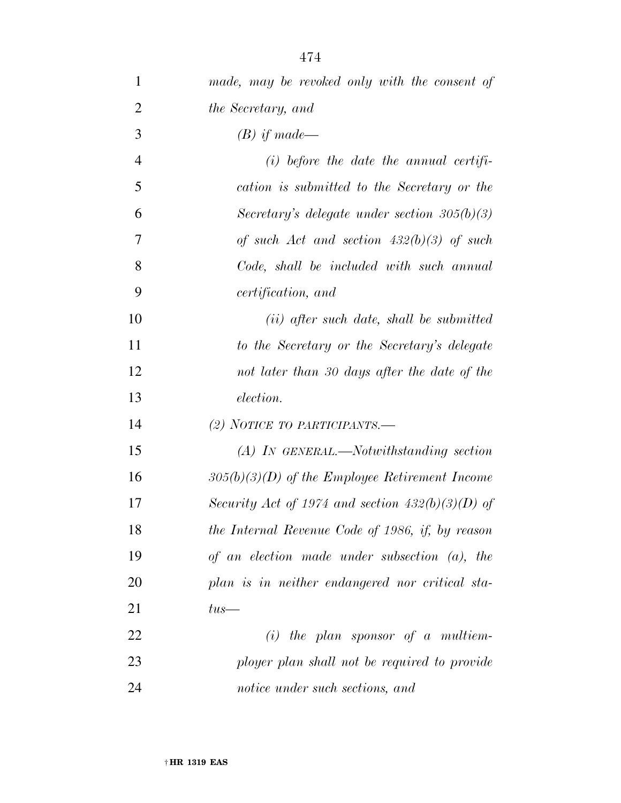- *(B) if made—*
- *(i) before the date the annual certifi- cation is submitted to the Secretary or the Secretary's delegate under section 305(b)(3) of such Act and section 432(b)(3) of such Code, shall be included with such annual certification, and*

 *(ii) after such date, shall be submitted to the Secretary or the Secretary's delegate not later than 30 days after the date of the election.* 

*(2) NOTICE TO PARTICIPANTS.—* 

 *(A) IN GENERAL.—Notwithstanding section 305(b)(3)(D) of the Employee Retirement Income Security Act of 1974 and section 432(b)(3)(D) of the Internal Revenue Code of 1986, if, by reason of an election made under subsection (a), the plan is in neither endangered nor critical sta-tus—* 

 *(i) the plan sponsor of a multiem- ployer plan shall not be required to provide notice under such sections, and*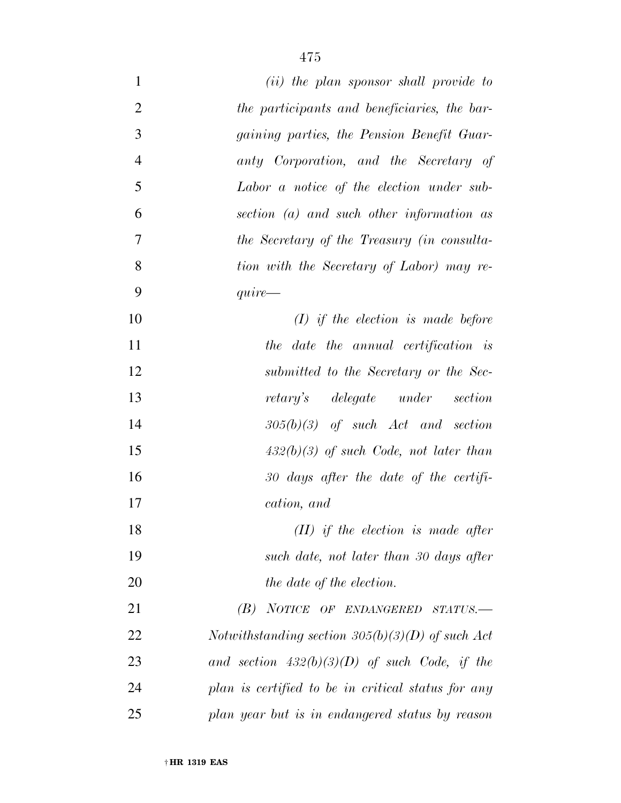| $\mathbf{1}$   | (ii) the plan sponsor shall provide to             |
|----------------|----------------------------------------------------|
| $\overline{2}$ | the participants and beneficiaries, the bar-       |
| 3              | gaining parties, the Pension Benefit Guar-         |
| $\overline{4}$ | anty Corporation, and the Secretary of             |
| 5              | Labor a notice of the election under sub-          |
| 6              | section (a) and such other information as          |
| $\overline{7}$ | the Secretary of the Treasury (in consulta-        |
| 8              | tion with the Secretary of Labor) may re-          |
| 9              | $\emph{quire}$                                     |
| 10             | $(I)$ if the election is made before               |
| 11             | the date the annual certification is               |
| 12             | submitted to the Secretary or the Sec-             |
| 13             | retary's delegate under<br>section                 |
| 14             | $305(b)(3)$ of such Act and section                |
| 15             | $432(b)(3)$ of such Code, not later than           |
| 16             | $30$ days after the date of the certifi-           |
| 17             | cation, and                                        |
| 18             | $(II)$ if the election is made after               |
| 19             | such date, not later than 30 days after            |
| 20             | the date of the election.                          |
| 21             | $(B)$ NOTICE OF ENDANGERED STATUS.                 |
| 22             | Notwithstanding section $305(b)(3)(D)$ of such Act |
| 23             | and section $432(b)(3)(D)$ of such Code, if the    |
| 24             | plan is certified to be in critical status for any |
| 25             | plan year but is in endangered status by reason    |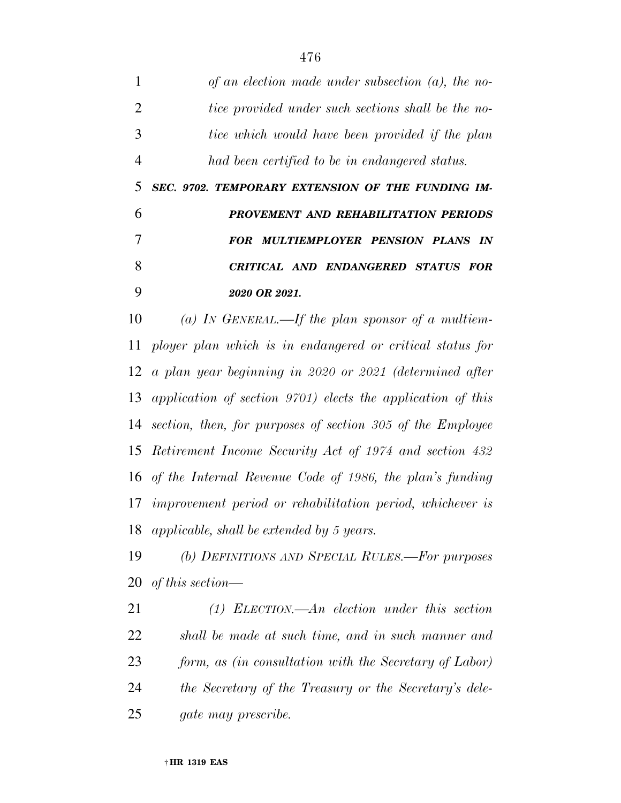*of an election made under subsection (a), the no- tice provided under such sections shall be the no- tice which would have been provided if the plan had been certified to be in endangered status. SEC. 9702. TEMPORARY EXTENSION OF THE FUNDING IM- PROVEMENT AND REHABILITATION PERIODS FOR MULTIEMPLOYER PENSION PLANS IN CRITICAL AND ENDANGERED STATUS FOR* 

*2020 OR 2021.* 

 *(a) IN GENERAL.—If the plan sponsor of a multiem- ployer plan which is in endangered or critical status for a plan year beginning in 2020 or 2021 (determined after application of section 9701) elects the application of this section, then, for purposes of section 305 of the Employee Retirement Income Security Act of 1974 and section 432 of the Internal Revenue Code of 1986, the plan's funding improvement period or rehabilitation period, whichever is applicable, shall be extended by 5 years.* 

 *(b) DEFINITIONS AND SPECIAL RULES.—For purposes of this section—* 

 *(1) ELECTION.—An election under this section shall be made at such time, and in such manner and form, as (in consultation with the Secretary of Labor) the Secretary of the Treasury or the Secretary's dele-gate may prescribe.*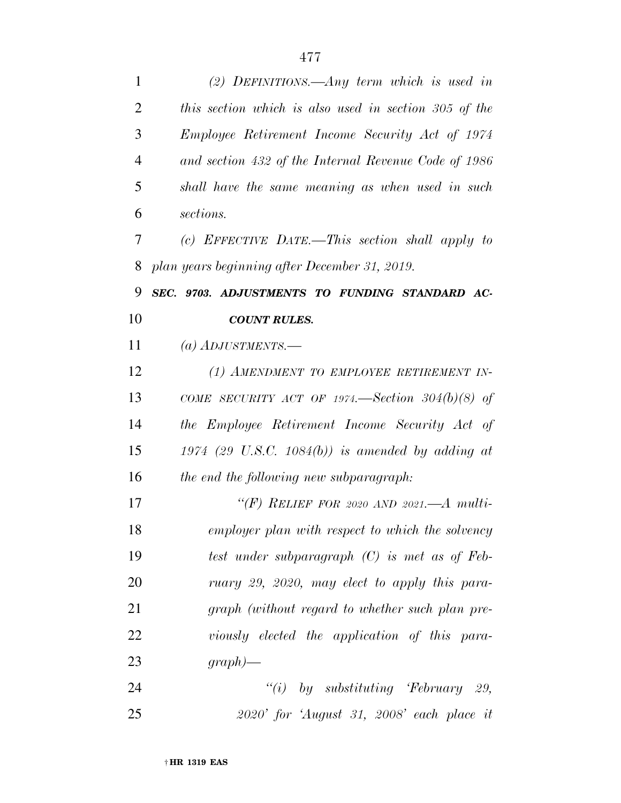| 1              | (2) DEFINITIONS.—Any term which is used in             |
|----------------|--------------------------------------------------------|
| $\overline{2}$ | this section which is also used in section 305 of the  |
| 3              | <i>Employee Retirement Income Security Act of 1974</i> |
| $\overline{4}$ | and section 432 of the Internal Revenue Code of 1986   |
| 5              | shall have the same meaning as when used in such       |
| 6              | sections.                                              |
| 7              | (c) EFFECTIVE DATE.—This section shall apply to        |
| 8              | plan years beginning after December 31, 2019.          |
| 9              | SEC. 9703. ADJUSTMENTS TO FUNDING STANDARD AC-         |
| 10             | <b>COUNT RULES.</b>                                    |
| 11             | (a) ADJUSTMENTS.—                                      |
| 12             | (1) AMENDMENT TO EMPLOYEE RETIREMENT IN-               |
| 13             | COME SECURITY ACT OF 1974.—Section 304(b)(8) of        |
| 14             | the Employee Retirement Income Security Act of         |
| 15             | 1974 (29 U.S.C. 1084(b)) is amended by adding at       |
| 16             | the end the following new subparagraph:                |
| 17             | "(F) RELIEF FOR 2020 AND 2021.—A multi-                |
| 18             | employer plan with respect to which the solvency       |
| 19             | test under subparagraph $(C)$ is met as of Feb-        |
| 20             | ruary 29, 2020, may elect to apply this para-          |
| 21             | graph (without regard to whether such plan pre-        |
| 22             | viously elected the application of this para-          |
| 23             | $graph)$ —                                             |
| 24             | "(i) by substituting 'February 29,                     |
| 25             | $2020'$ for 'August 31, 2008' each place it            |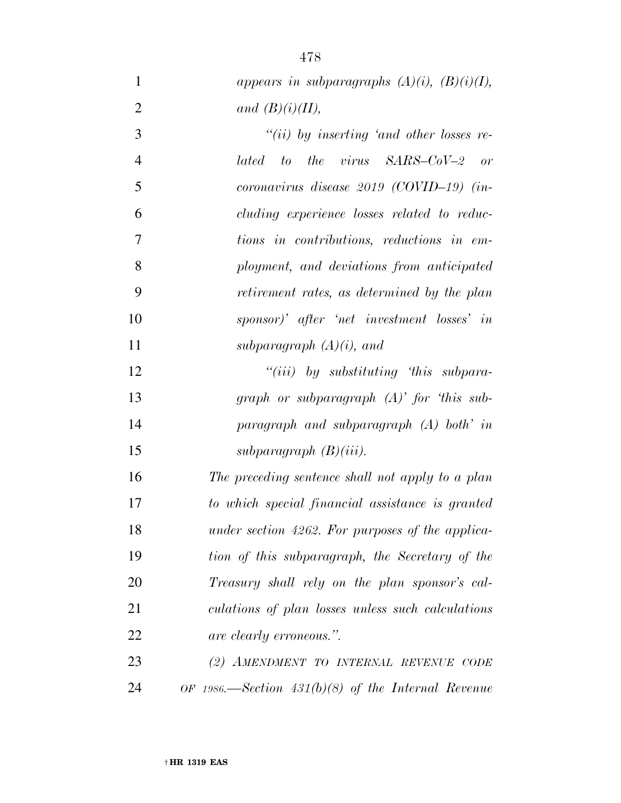*appears in subparagraphs*  $(A)(i)$ *,*  $(B)(i)(I)$ *,* 2 and  $(B)(i)(II)$ , *''(ii) by inserting 'and other losses re- lated to the virus SARS–CoV–2 or coronavirus disease 2019 (COVID–19) (in- cluding experience losses related to reduc- tions in contributions, reductions in em- ployment, and deviations from anticipated retirement rates, as determined by the plan sponsor)' after 'net investment losses' in subparagraph (A)(i), and ''(iii) by substituting 'this subpara- graph or subparagraph (A)' for 'this sub- paragraph and subparagraph (A) both' in subparagraph (B)(iii). The preceding sentence shall not apply to a plan to which special financial assistance is granted under section 4262. For purposes of the applica- tion of this subparagraph, the Secretary of the Treasury shall rely on the plan sponsor's cal- culations of plan losses unless such calculations are clearly erroneous.''.*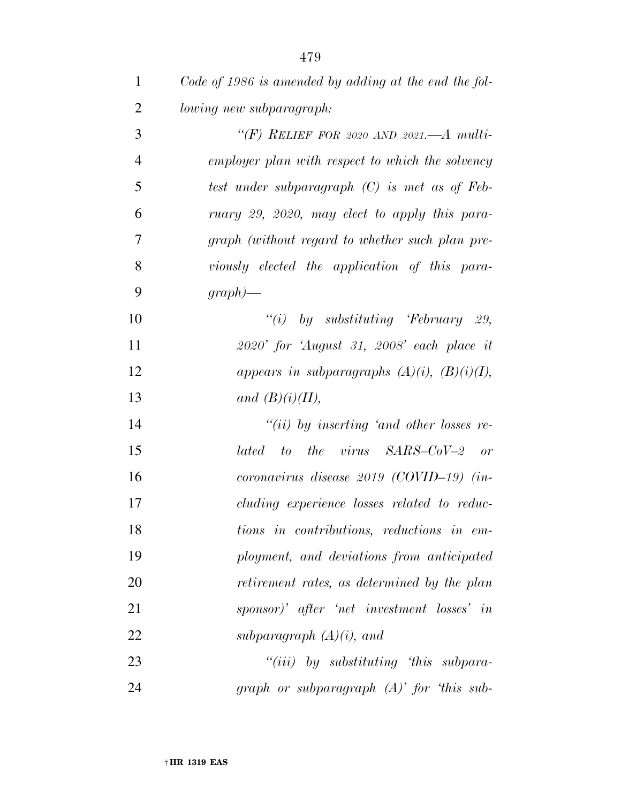*Code of 1986 is amended by adding at the end the fol-lowing new subparagraph:* 

 *''(F) RELIEF FOR 2020 AND 2021.—A multi- employer plan with respect to which the solvency test under subparagraph (C) is met as of Feb- ruary 29, 2020, may elect to apply this para- graph (without regard to whether such plan pre- viously elected the application of this para-graph)—* 

 *''(i) by substituting 'February 29, 2020' for 'August 31, 2008' each place it appears in subparagraphs (A)(i), (B)(i)(I), and (B)(i)(II),* 

 *''(ii) by inserting 'and other losses re- lated to the virus SARS–CoV–2 or coronavirus disease 2019 (COVID–19) (in- cluding experience losses related to reduc- tions in contributions, reductions in em- ployment, and deviations from anticipated retirement rates, as determined by the plan sponsor)' after 'net investment losses' in subparagraph (A)(i), and* 

 *''(iii) by substituting 'this subpara-graph or subparagraph (A)' for 'this sub-*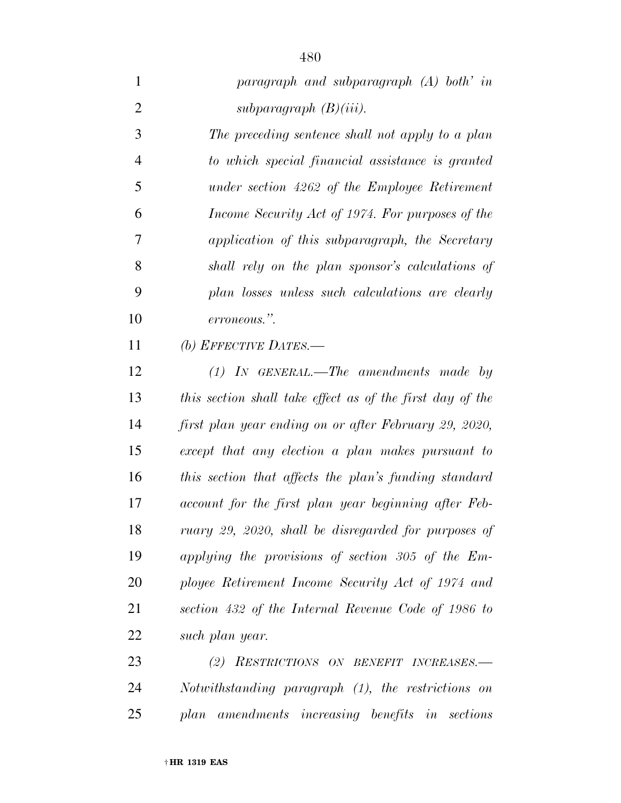*paragraph and subparagraph (A) both' in subparagraph (B)(iii). The preceding sentence shall not apply to a plan to which special financial assistance is granted under section 4262 of the Employee Retirement Income Security Act of 1974. For purposes of the application of this subparagraph, the Secretary shall rely on the plan sponsor's calculations of plan losses unless such calculations are clearly erroneous.''. (b) EFFECTIVE DATES.— (1) IN GENERAL.—The amendments made by this section shall take effect as of the first day of the first plan year ending on or after February 29, 2020, except that any election a plan makes pursuant to this section that affects the plan's funding standard account for the first plan year beginning after Feb-ruary 29, 2020, shall be disregarded for purposes of* 

 *applying the provisions of section 305 of the Em- ployee Retirement Income Security Act of 1974 and section 432 of the Internal Revenue Code of 1986 to such plan year.* 

 *(2) RESTRICTIONS ON BENEFIT INCREASES.— Notwithstanding paragraph (1), the restrictions on plan amendments increasing benefits in sections*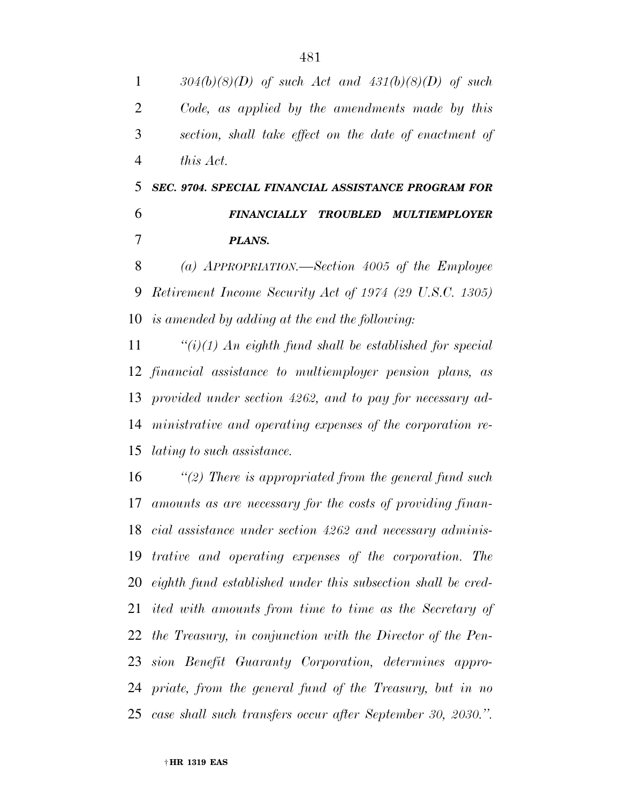*304(b)(8)(D) of such Act and 431(b)(8)(D) of such Code, as applied by the amendments made by this section, shall take effect on the date of enactment of this Act. SEC. 9704. SPECIAL FINANCIAL ASSISTANCE PROGRAM FOR FINANCIALLY TROUBLED MULTIEMPLOYER* 

*PLANS.* 

 *(a) APPROPRIATION.—Section 4005 of the Employee Retirement Income Security Act of 1974 (29 U.S.C. 1305) is amended by adding at the end the following:* 

 *''(i)(1) An eighth fund shall be established for special financial assistance to multiemployer pension plans, as provided under section 4262, and to pay for necessary ad- ministrative and operating expenses of the corporation re-lating to such assistance.* 

 *''(2) There is appropriated from the general fund such amounts as are necessary for the costs of providing finan- cial assistance under section 4262 and necessary adminis- trative and operating expenses of the corporation. The eighth fund established under this subsection shall be cred- ited with amounts from time to time as the Secretary of the Treasury, in conjunction with the Director of the Pen- sion Benefit Guaranty Corporation, determines appro- priate, from the general fund of the Treasury, but in no case shall such transfers occur after September 30, 2030.''.*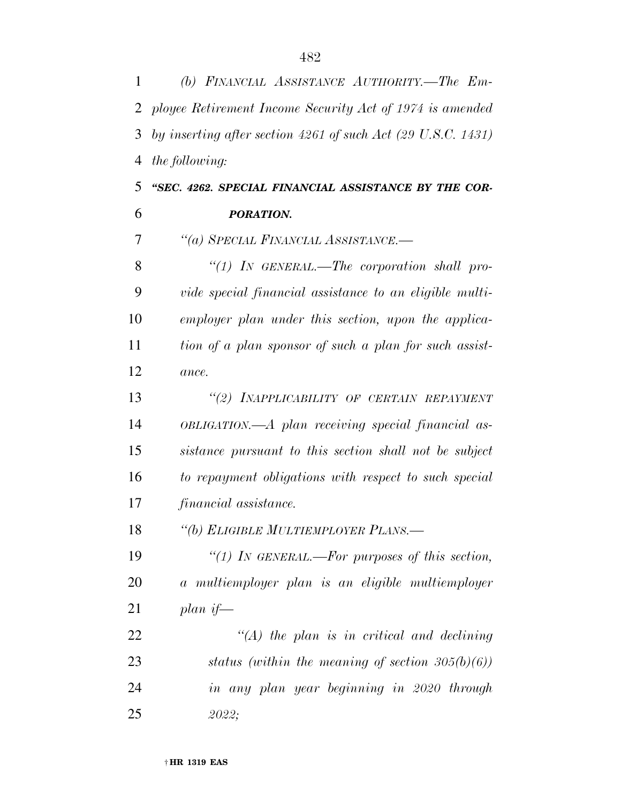| $\mathbf{1}$   | (b) FINANCIAL ASSISTANCE AUTHORITY.-The Em-                             |
|----------------|-------------------------------------------------------------------------|
| 2              | ployee Retirement Income Security Act of 1974 is amended                |
| 3              | by inserting after section 4261 of such Act $(29 \text{ U.S.C. } 1431)$ |
| $\overline{4}$ | <i>the following:</i>                                                   |
| 5              | "SEC. 4262. SPECIAL FINANCIAL ASSISTANCE BY THE COR-                    |
| 6              | PORATION.                                                               |
| 7              | "(a) SPECIAL FINANCIAL ASSISTANCE.-                                     |
| 8              | "(1) IN GENERAL.—The corporation shall pro-                             |
| 9              | vide special financial assistance to an eligible multi-                 |
| 10             | employer plan under this section, upon the applica-                     |
| 11             | tion of a plan sponsor of such a plan for such assist-                  |
| 12             | ance.                                                                   |
| 13             | "(2) INAPPLICABILITY OF CERTAIN REPAYMENT                               |
| 14             | OBLIGATION.—A plan receiving special financial as-                      |
| 15             | sistance pursuant to this section shall not be subject                  |
| 16             | to repayment obligations with respect to such special                   |
| 17             | financial assistance.                                                   |
| 18             | "(b) ELIGIBLE MULTIEMPLOYER PLANS.-                                     |
| 19             | "(1) In GENERAL.—For purposes of this section,                          |
| 20             | a multiemployer plan is an eligible multiemployer                       |
| 21             | plan if—                                                                |
| 22             | $\lq (A)$ the plan is in critical and declining                         |
| 23             | status (within the meaning of section $305(b)(6)$ )                     |
| 24             | in any plan year beginning in 2020 through                              |
| 25             | 2022;                                                                   |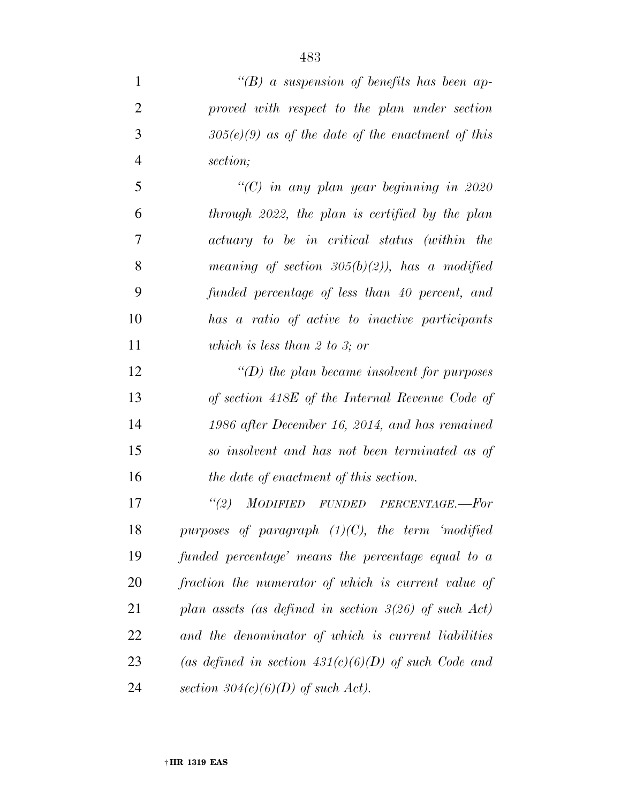*''(B) a suspension of benefits has been ap- proved with respect to the plan under section 305(e)(9) as of the date of the enactment of this section;* 

 *''(C) in any plan year beginning in 2020 through 2022, the plan is certified by the plan actuary to be in critical status (within the meaning of section 305(b)(2)), has a modified funded percentage of less than 40 percent, and has a ratio of active to inactive participants which is less than 2 to 3; or* 

 *''(D) the plan became insolvent for purposes of section 418E of the Internal Revenue Code of 1986 after December 16, 2014, and has remained so insolvent and has not been terminated as of the date of enactment of this section.* 

 *''(2) MODIFIED FUNDED PERCENTAGE.—For purposes of paragraph (1)(C), the term 'modified funded percentage' means the percentage equal to a fraction the numerator of which is current value of plan assets (as defined in section 3(26) of such Act) and the denominator of which is current liabilities (as defined in section 431(c)(6)(D) of such Code and section 304(c)(6)(D) of such Act).*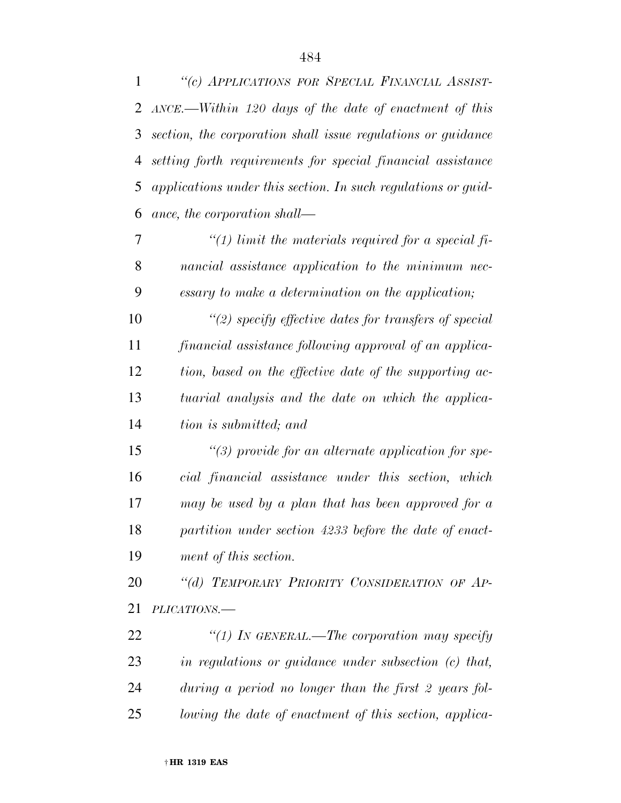*''(c) APPLICATIONS FOR SPECIAL FINANCIAL ASSIST-*

|    | 2 ANCE.—Within 120 days of the date of enactment of this      |
|----|---------------------------------------------------------------|
| 3  | section, the corporation shall issue regulations or guidance  |
| 4  | setting forth requirements for special financial assistance   |
| 5  | applications under this section. In such regulations or guid- |
| 6  | ance, the corporation shall—                                  |
| 7  | "(1) limit the materials required for a special fi-           |
| 8  | nancial assistance application to the minimum nec-            |
| 9  | essary to make a determination on the application;            |
| 10 | "(2) specify effective dates for transfers of special         |
| 11 | financial assistance following approval of an applica-        |
| 12 | tion, based on the effective date of the supporting ac-       |
| 13 | tuarial analysis and the date on which the applica-           |
| 14 | tion is submitted; and                                        |
| 15 | $\lq(3)$ provide for an alternate application for spe-        |
| 16 | cial financial assistance under this section, which           |
| 17 | may be used by a plan that has been approved for a            |
| 18 | partition under section 4233 before the date of enact-        |
| 19 | ment of this section.                                         |
| 20 | "(d) TEMPORARY PRIORITY CONSIDERATION OF AP-                  |
| 21 | PLICATIONS.-                                                  |
| 22 | "(1) IN GENERAL.—The corporation may specify                  |
| 23 | in regulations or guidance under subsection $(c)$ that,       |
| 24 | during a period no longer than the first 2 years fol-         |
| 25 | lowing the date of enactment of this section, applica-        |
|    |                                                               |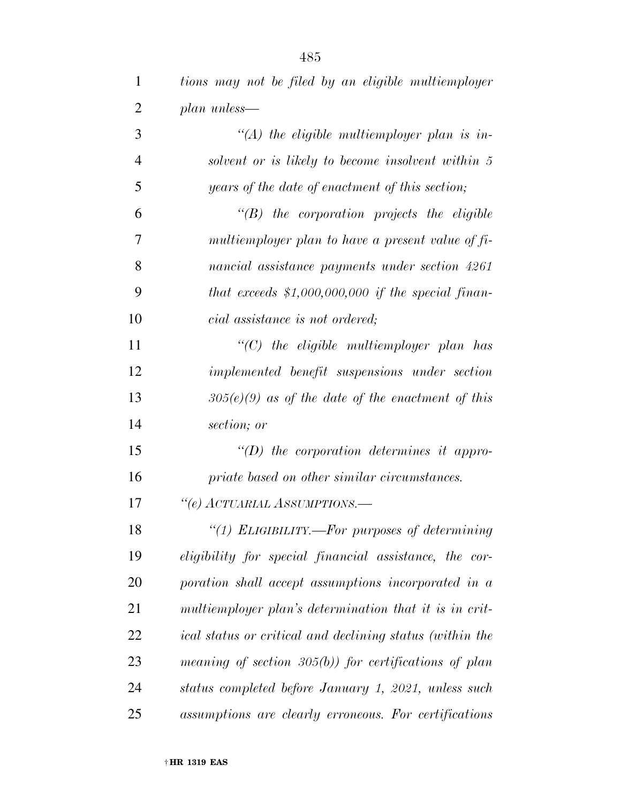| 1              | tions may not be filed by an eligible multiemployer      |
|----------------|----------------------------------------------------------|
| $\overline{2}$ | plan unless—                                             |
| 3              | $\lq (A)$ the eligible multiemployer plan is in-         |
| $\overline{4}$ | solvent or is likely to become insolvent within 5        |
| 5              | years of the date of enactment of this section;          |
| 6              | $\lq\lq B$ the corporation projects the eligible         |
| 7              | multiemployer plan to have a present value of fi-        |
| 8              | nancial assistance payments under section 4261           |
| 9              | that exceeds $$1,000,000,000$ if the special finan-      |
| 10             | cial assistance is not ordered;                          |
| 11             | $"$ (C) the eligible multiemployer plan has              |
| 12             | implemented benefit suspensions under section            |
| 13             | $305(e)(9)$ as of the date of the enactment of this      |
| 14             | section; or                                              |
| 15             | $\lq\lq(D)$ the corporation determines it appro-         |
| 16             | priate based on other similar circumstances.             |
| 17             | "(e) ACTUARIAL ASSUMPTIONS.-                             |
| 18             | "(1) ELIGIBILITY.—For purposes of determining            |
| 19             | eligibility for special financial assistance, the cor-   |
| 20             | poration shall accept assumptions incorporated in a      |
| 21             | multiemployer plan's determination that it is in crit-   |
| 22             | ical status or critical and declining status (within the |
| 23             | meaning of section $305(b)$ for certifications of plan   |
| 24             | status completed before January 1, 2021, unless such     |
| 25             | assumptions are clearly erroneous. For certifications    |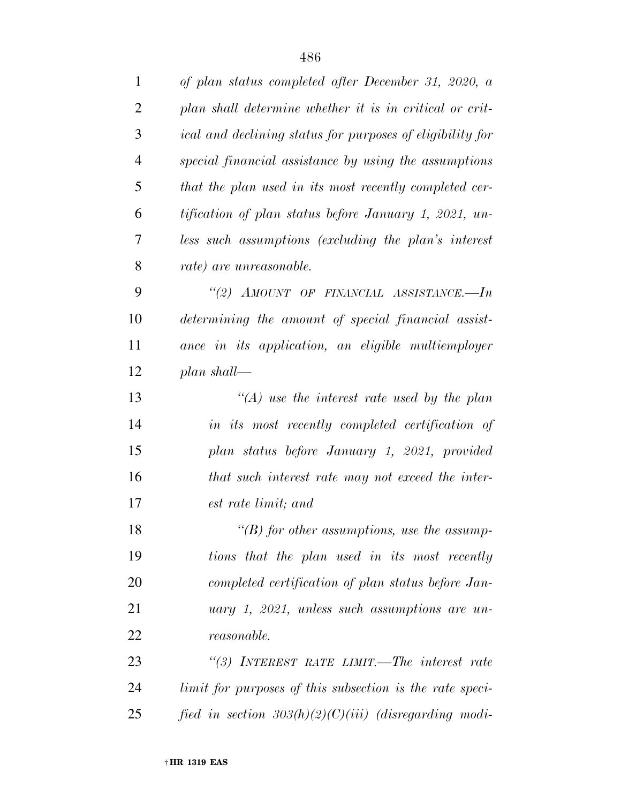| $\mathbf{1}$   | of plan status completed after December 31, 2020, a       |
|----------------|-----------------------------------------------------------|
| $\overline{2}$ | plan shall determine whether it is in critical or crit-   |
| 3              | ical and declining status for purposes of eligibility for |
| 4              | special financial assistance by using the assumptions     |
| 5              | that the plan used in its most recently completed cer-    |
| 6              | tification of plan status before January 1, 2021, un-     |
| 7              | less such assumptions (excluding the plan's interest      |
| 8              | rate) are unreasonable.                                   |
| 9              | "(2) AMOUNT OF FINANCIAL ASSISTANCE.-- $In$               |
| 10             | determining the amount of special financial assist-       |
| 11             | ance in its application, an eligible multiemployer        |
| 12             | plan shall—                                               |
| 13             | $\lq (A)$ use the interest rate used by the plan          |
| 14             | in its most recently completed certification of           |
| 15             | plan status before January 1, 2021, provided              |
| 16             | that such interest rate may not exceed the inter-         |
| 17             | est rate limit; and                                       |
| 18             | $\lq\lq(B)$ for other assumptions, use the assump-        |
| 19             | tions that the plan used in its most recently             |
| 20             | completed certification of plan status before Jan-        |
| 21             | uary 1, 2021, unless such assumptions are un-             |
| 22             | <i>reasonable.</i>                                        |
| 23             | "(3) INTEREST RATE LIMIT.—The interest rate               |
| 24             | limit for purposes of this subsection is the rate speci-  |
| 25             | fied in section $303(h)(2)(C)(iii)$ (disregarding modi-   |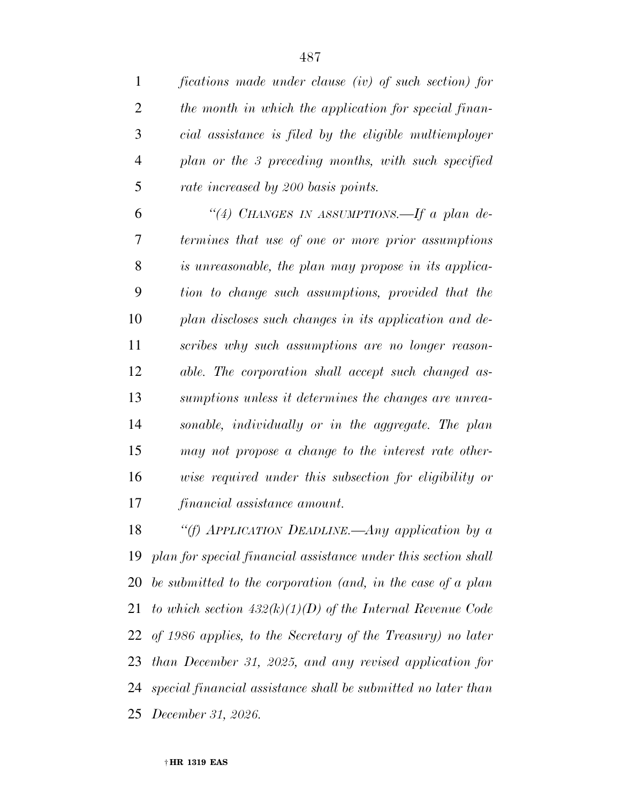| $\mathbf{1}$   | fications made under clause (iv) of such section) for             |
|----------------|-------------------------------------------------------------------|
| $\overline{2}$ | the month in which the application for special finan-             |
| 3              | cial assistance is filed by the eligible multiemployer            |
| $\overline{4}$ | plan or the 3 preceding months, with such specified               |
| 5              | rate increased by 200 basis points.                               |
| 6              | "(4) CHANGES IN ASSUMPTIONS.—If a plan de-                        |
| 7              | termines that use of one or more prior assumptions                |
| 8              | is unreasonable, the plan may propose in its applica-             |
| 9              | tion to change such assumptions, provided that the                |
| 10             | plan discloses such changes in its application and de-            |
| 11             | scribes why such assumptions are no longer reason-                |
| 12             | able. The corporation shall accept such changed as-               |
| 13             | sumptions unless it determines the changes are unrea-             |
| 14             | sonable, individually or in the aggregate. The plan               |
| 15             | may not propose a change to the interest rate other-              |
| 16             | wise required under this subsection for eligibility or            |
| 17             | financial assistance amount.                                      |
| 18             | "(f) APPLICATION DEADLINE.—Any application by $a$                 |
|                | 19 plan for special financial assistance under this section shall |
| 20             | be submitted to the corporation (and, in the case of a plan       |
| 21             | to which section $432(k)(1)(D)$ of the Internal Revenue Code      |
|                | 22 of 1986 applies, to the Secretary of the Treasury) no later    |
| 23             | than December 31, 2025, and any revised application for           |
|                |                                                                   |

 *special financial assistance shall be submitted no later than December 31, 2026.*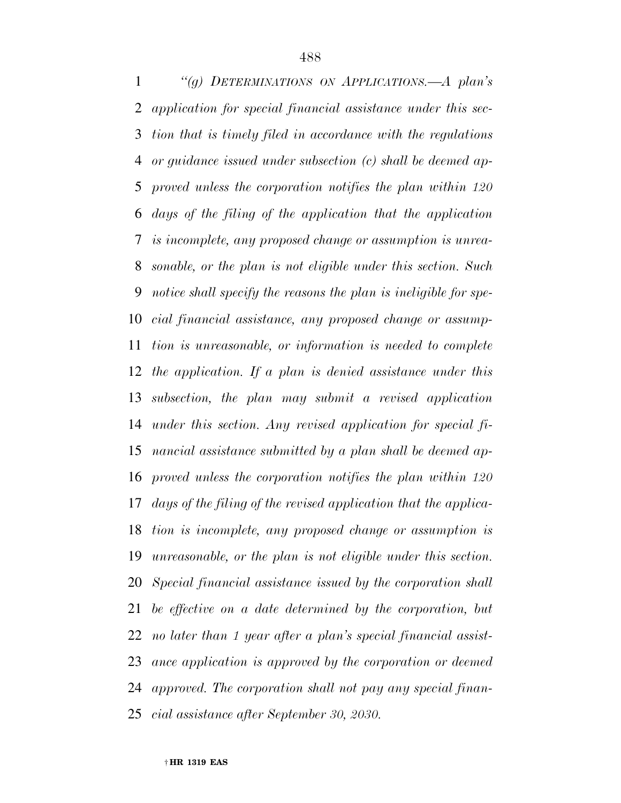*''(g) DETERMINATIONS ON APPLICATIONS.—A plan's application for special financial assistance under this sec- tion that is timely filed in accordance with the regulations or guidance issued under subsection (c) shall be deemed ap- proved unless the corporation notifies the plan within 120 days of the filing of the application that the application is incomplete, any proposed change or assumption is unrea- sonable, or the plan is not eligible under this section. Such notice shall specify the reasons the plan is ineligible for spe- cial financial assistance, any proposed change or assump- tion is unreasonable, or information is needed to complete the application. If a plan is denied assistance under this subsection, the plan may submit a revised application under this section. Any revised application for special fi- nancial assistance submitted by a plan shall be deemed ap- proved unless the corporation notifies the plan within 120 days of the filing of the revised application that the applica- tion is incomplete, any proposed change or assumption is unreasonable, or the plan is not eligible under this section. Special financial assistance issued by the corporation shall be effective on a date determined by the corporation, but no later than 1 year after a plan's special financial assist- ance application is approved by the corporation or deemed approved. The corporation shall not pay any special finan-cial assistance after September 30, 2030.*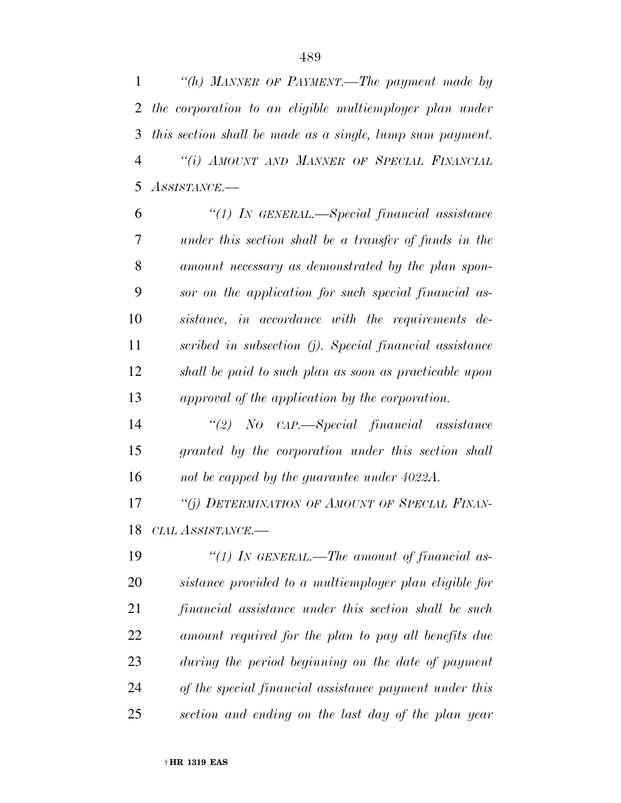*''(h) MANNER OF PAYMENT.—The payment made by the corporation to an eligible multiemployer plan under this section shall be made as a single, lump sum payment. ''(i) AMOUNT AND MANNER OF SPECIAL FINANCIAL ASSISTANCE.—* 

 *''(1) IN GENERAL.—Special financial assistance under this section shall be a transfer of funds in the amount necessary as demonstrated by the plan spon- sor on the application for such special financial as- sistance, in accordance with the requirements de- scribed in subsection (j). Special financial assistance shall be paid to such plan as soon as practicable upon approval of the application by the corporation.* 

 *''(2) NO CAP.—Special financial assistance granted by the corporation under this section shall not be capped by the guarantee under 4022A.* 

 *''(j) DETERMINATION OF AMOUNT OF SPECIAL FINAN-CIAL ASSISTANCE.—* 

 *''(1) IN GENERAL.—The amount of financial as- sistance provided to a multiemployer plan eligible for financial assistance under this section shall be such amount required for the plan to pay all benefits due during the period beginning on the date of payment of the special financial assistance payment under this section and ending on the last day of the plan year*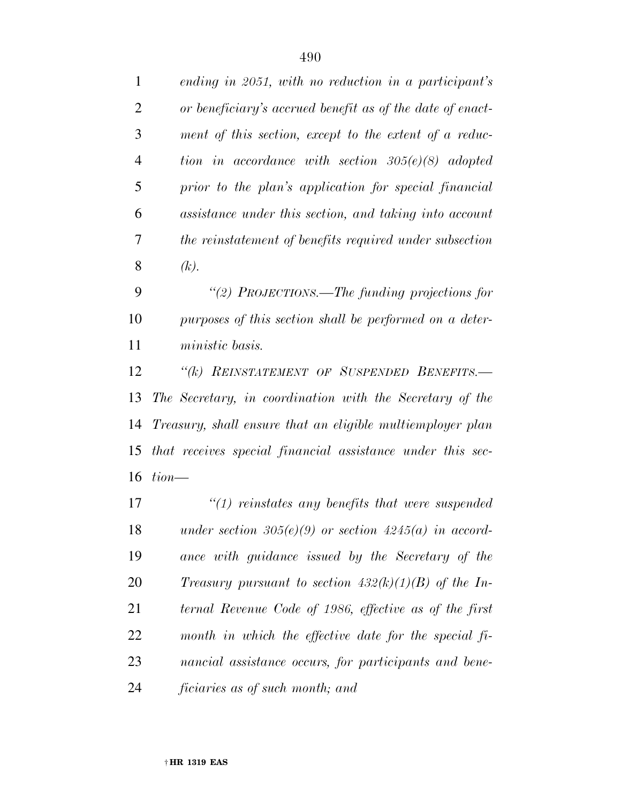| $\mathbf{1}$   | ending in 2051, with no reduction in a participant's       |
|----------------|------------------------------------------------------------|
| $\overline{2}$ | or beneficiary's accrued benefit as of the date of enact-  |
| 3              | ment of this section, except to the extent of a reduc-     |
| $\overline{4}$ | tion in accordance with section $305(e)(8)$ adopted        |
| 5              | prior to the plan's application for special financial      |
| 6              | assistance under this section, and taking into account     |
| 7              | the reinstatement of benefits required under subsection    |
| 8              | (k).                                                       |
| 9              | "(2) PROJECTIONS.—The funding projections for              |
| 10             | purposes of this section shall be performed on a deter-    |
| 11             | ministic basis.                                            |
| 12             | "(k) REINSTATEMENT OF SUSPENDED BENEFITS.-                 |
| 13             | The Secretary, in coordination with the Secretary of the   |
| 14             | Treasury, shall ensure that an eligible multiemployer plan |
| 15             | that receives special financial assistance under this sec- |
| 16             | $tion$ —                                                   |
| 17             | $\lq(1)$ reinstates any benefits that were suspended       |
| 18             | under section $305(e)(9)$ or section $4245(a)$ in accord-  |
| 19             | ance with guidance issued by the Secretary of the          |
| 20             | Treasury pursuant to section $432(k)(1)(B)$ of the In-     |
| 21             | ternal Revenue Code of 1986, effective as of the first     |
| 22             | month in which the effective date for the special fi-      |
| 23             | nancial assistance occurs, for participants and bene-      |

*ficiaries as of such month; and*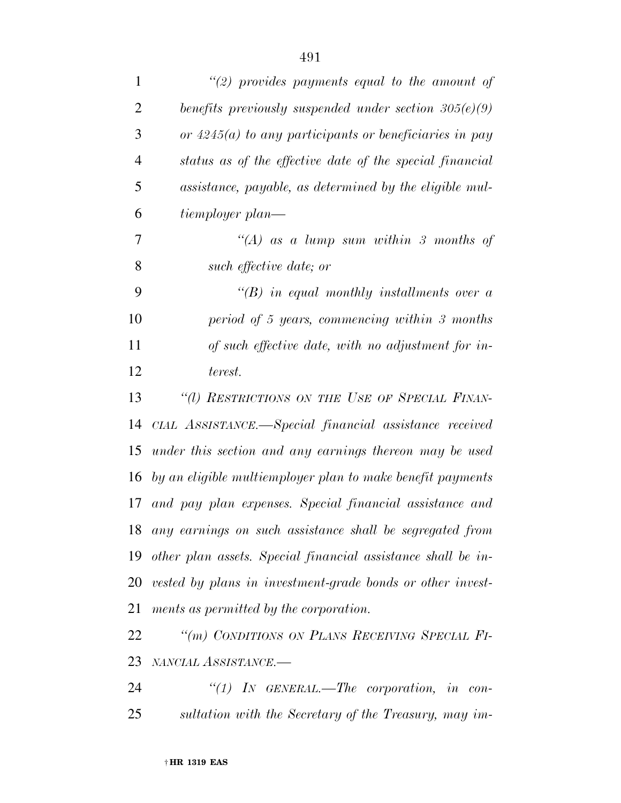| $\mathbf{1}$   | "(2) provides payments equal to the amount of                |
|----------------|--------------------------------------------------------------|
| 2              | benefits previously suspended under section $305(e)(9)$      |
| 3              | or $4245(a)$ to any participants or beneficiaries in pay     |
| $\overline{4}$ | status as of the effective date of the special financial     |
| 5              | assistance, payable, as determined by the eligible mul-      |
| 6              | tiemployer plan—                                             |
| 7              | "(A) as a lump sum within 3 months of                        |
| 8              | such effective date; or                                      |
| 9              | $\lq\lq B$ in equal monthly installments over a              |
| 10             | period of 5 years, commencing within $\beta$ months          |
| 11             | of such effective date, with no adjustment for in-           |
| 12             | terest.                                                      |
| 13             | "(1) RESTRICTIONS ON THE USE OF SPECIAL FINAN-               |
| 14             | CIAL ASSISTANCE.—Special financial assistance received       |
| 15             | under this section and any earnings thereon may be used      |
| 16             | by an eligible multiemployer plan to make benefit payments   |
| 17             | and pay plan expenses. Special financial assistance and      |
| 18             | any earnings on such assistance shall be segregated from     |
| 19             | other plan assets. Special financial assistance shall be in- |
| 20             | vested by plans in investment-grade bonds or other invest-   |
| 21             | ments as permitted by the corporation.                       |
| 22             | "(m) CONDITIONS ON PLANS RECEIVING SPECIAL FI-               |
| 23             | NANCIAL ASSISTANCE.-                                         |
| 24             | "(1) In GENERAL.—The corporation, in con-                    |

*sultation with the Secretary of the Treasury, may im-*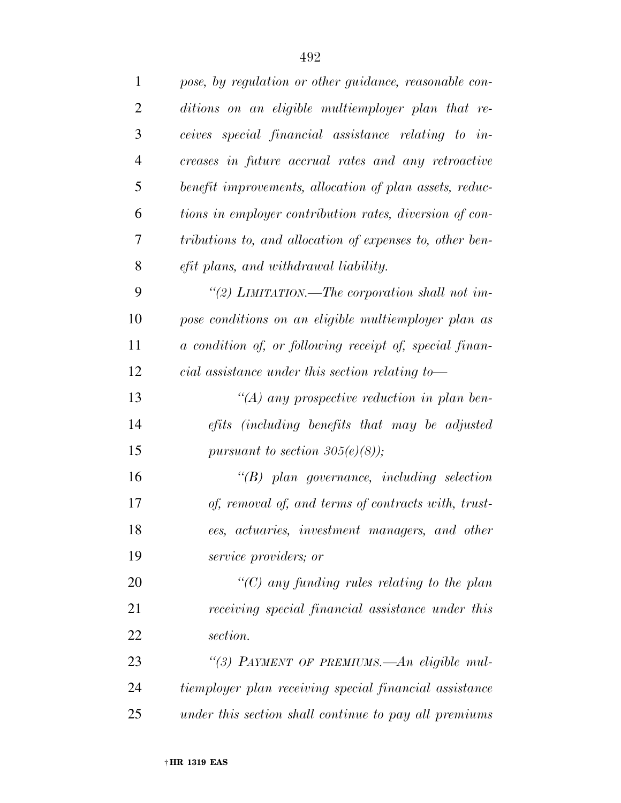| $\mathbf{1}$   | pose, by regulation or other guidance, reasonable con-   |
|----------------|----------------------------------------------------------|
| $\overline{2}$ | ditions on an eligible multiemployer plan that re-       |
| 3              | ceives special financial assistance relating to in-      |
| $\overline{4}$ | creases in future accrual rates and any retroactive      |
| 5              | benefit improvements, allocation of plan assets, reduc-  |
| 6              | tions in employer contribution rates, diversion of con-  |
| 7              | tributions to, and allocation of expenses to, other ben- |
| 8              | efit plans, and withdrawal liability.                    |
| 9              | "(2) LIMITATION.—The corporation shall not im-           |
| 10             | pose conditions on an eligible multiemployer plan as     |
| 11             | a condition of, or following receipt of, special finan-  |
| 12             | cial assistance under this section relating to-          |
| 13             | "(A) any prospective reduction in plan ben-              |
| 14             | efits (including benefits that may be adjusted           |
| 15             | pursuant to section $305(e)(8)$ ;                        |
| 16             | $\lq\lq B$ plan governance, including selection          |
| 17             | of, removal of, and terms of contracts with, trust-      |
| 18             | ees, actuaries, investment managers, and other           |
| 19             | service providers; or                                    |
| 20             | $\lq\lq$ (C) any funding rules relating to the plan      |
| 21             | receiving special financial assistance under this        |
| 22             | section.                                                 |
| 23             | "(3) PAYMENT OF PREMIUMS.—An eligible mul-               |
| 24             | tiemployer plan receiving special financial assistance   |
| 25             | under this section shall continue to pay all premiums    |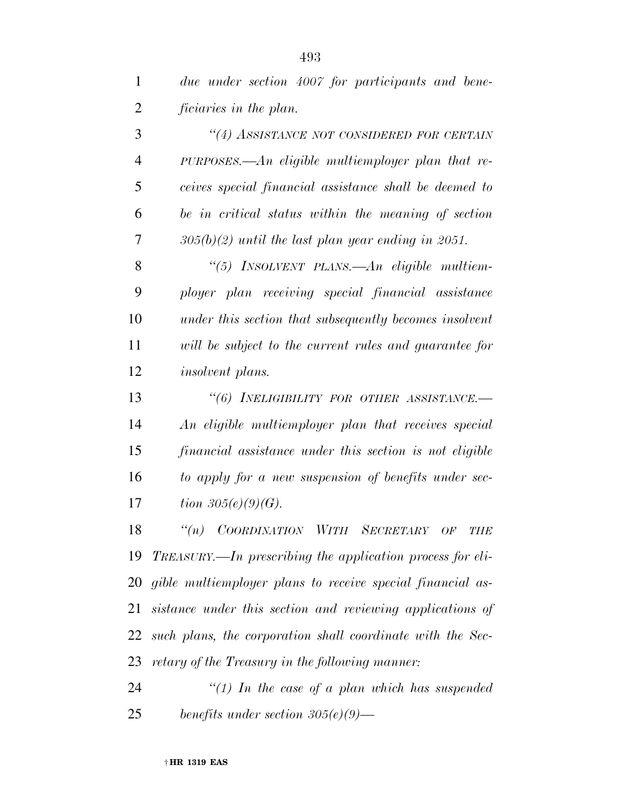| $\mathbf{1}$   | due under section 4007 for participants and bene-       |
|----------------|---------------------------------------------------------|
| $\overline{2}$ | ficiaries in the plan.                                  |
| 3              | "(4) ASSISTANCE NOT CONSIDERED FOR CERTAIN              |
| $\overline{4}$ | $PURPOSES.$ An eligible multiemployer plan that re-     |
| 5              | ceives special financial assistance shall be deemed to  |
| 6              | be in critical status within the meaning of section     |
| 7              | $305(b)(2)$ until the last plan year ending in 2051.    |
| 8              | "(5) INSOLVENT PLANS.—An eligible multiem-              |
| 9              | ployer plan receiving special financial assistance      |
| 10             | under this section that subsequently becomes insolvent  |
| 11             | will be subject to the current rules and guarantee for  |
| 12             | <i>insolvent plans.</i>                                 |
| 13             | "(6) INELIGIBILITY FOR OTHER ASSISTANCE.-               |
| 14             | An eligible multiemployer plan that receives special    |
| 15             | financial assistance under this section is not eligible |
| 16             | to apply for a new suspension of benefits under sec-    |
| 17             | <i>tion</i> $305(e)(9)(G)$ .                            |
| $\sim$         | (1)                                                     |

 *''(n) COORDINATION WITH SECRETARY OF THE TREASURY.—In prescribing the application process for eli- gible multiemployer plans to receive special financial as- sistance under this section and reviewing applications of such plans, the corporation shall coordinate with the Sec-retary of the Treasury in the following manner:* 

 *''(1) In the case of a plan which has suspended benefits under section 305(e)(9)—*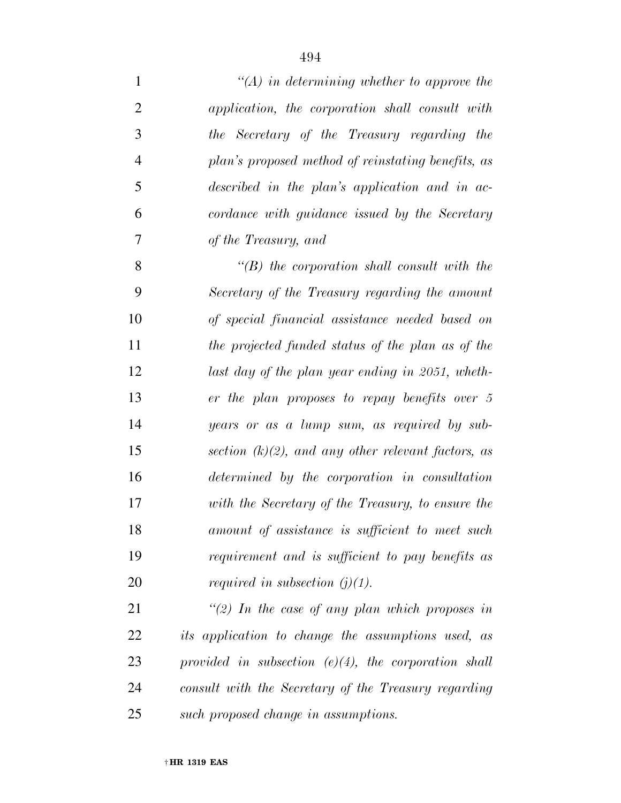| $\mathbf{1}$   | $\mathcal{H}(A)$ in determining whether to approve the  |
|----------------|---------------------------------------------------------|
| $\overline{2}$ | application, the corporation shall consult with         |
| 3              | the Secretary of the Treasury regarding the             |
| $\overline{4}$ | plan's proposed method of reinstating benefits, as      |
| 5              | described in the plan's application and in ac-          |
| 6              | cordance with guidance issued by the Secretary          |
| 7              | of the Treasury, and                                    |
| 8              | $\lq\lq B$ the corporation shall consult with the       |
| 9              | Secretary of the Treasury regarding the amount          |
| 10             | of special financial assistance needed based on         |
| 11             | the projected funded status of the plan as of the       |
| 12             | last day of the plan year ending in 2051, wheth-        |
| 13             | er the plan proposes to repay benefits over 5           |
| 14             | years or as a lump sum, as required by sub-             |
| 15             | section $(k)(2)$ , and any other relevant factors, as   |
| 16             | determined by the corporation in consultation           |
| 17             | with the Secretary of the Treasury, to ensure the       |
| 18             | amount of assistance is sufficient to meet such         |
| 19             | requirement and is sufficient to pay benefits as        |
| 20             | <i>required in subsection (j)(1).</i>                   |
| 21             | "(2) In the case of any plan which proposes in          |
| 22             | its application to change the assumptions used, as      |
| 23             | provided in subsection $(e)(4)$ , the corporation shall |
| 24             | consult with the Secretary of the Treasury regarding    |

*such proposed change in assumptions.*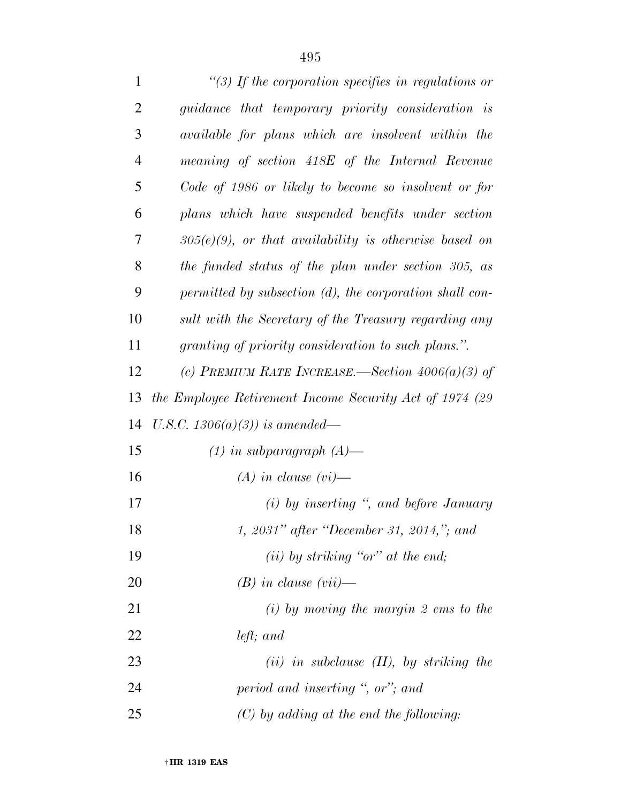| $\mathbf{1}$   | "(3) If the corporation specifies in regulations or      |
|----------------|----------------------------------------------------------|
| $\overline{2}$ | guidance that temporary priority consideration is        |
| 3              | available for plans which are insolvent within the       |
| $\overline{4}$ | meaning of section 418E of the Internal Revenue          |
| 5              | Code of 1986 or likely to become so insolvent or for     |
| 6              | plans which have suspended benefits under section        |
| 7              | $305(e)(9)$ , or that availability is otherwise based on |
| 8              | the funded status of the plan under section 305, as      |
| 9              | permitted by subsection (d), the corporation shall con-  |
| 10             | sult with the Secretary of the Treasury regarding any    |
| 11             | granting of priority consideration to such plans.".      |
| 12             | (c) PREMIUM RATE INCREASE.—Section $4006(a)(3)$ of       |
| 13             | the Employee Retirement Income Security Act of 1974 (29) |
| 14             | U.S.C. 1306(a)(3)) is amended—                           |
| 15             | $(1)$ in subparagraph $(A)$ —                            |
| 16             | $(A)$ in clause $(vi)$ —                                 |
| 17             | $(i)$ by inserting ", and before January                 |
| 18             | 1, 2031" after "December 31, 2014,"; and                 |
| 19             | $(ii)$ by striking "or" at the end;                      |
| 20             | $(B)$ in clause $(vii)$ —                                |
| 21             | $(i)$ by moving the margin 2 ems to the                  |
| 22             | $left;$ and                                              |
| 23             | $(ii)$ in subclause $(II)$ , by striking the             |
| 24             | period and inserting ", or"; and                         |
| 25             | $(C)$ by adding at the end the following:                |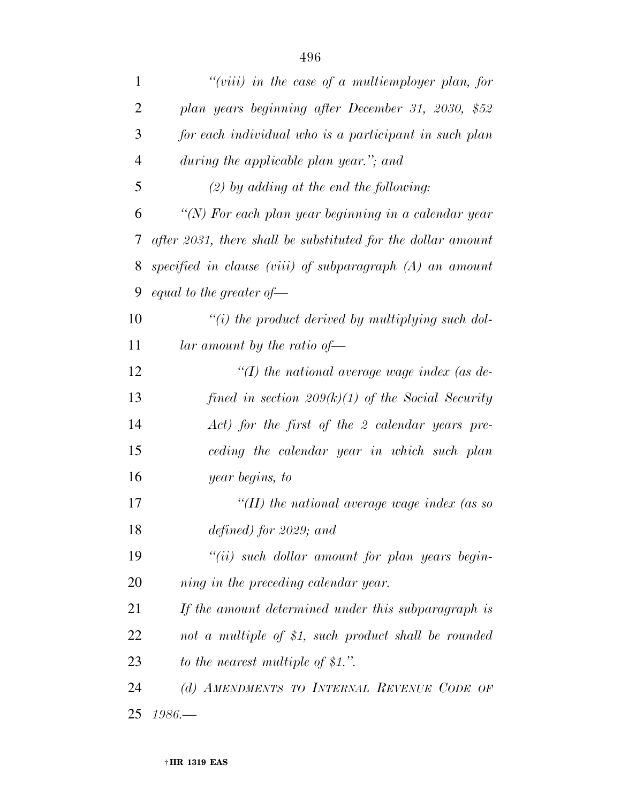| 1              | "(viii) in the case of a multiemployer plan, for             |
|----------------|--------------------------------------------------------------|
| $\overline{2}$ | plan years beginning after December 31, 2030, \$52           |
| 3              | for each individual who is a participant in such plan        |
| $\overline{4}$ | during the applicable plan year."; and                       |
| 5              | $(2)$ by adding at the end the following:                    |
| 6              | "(N) For each plan year beginning in a calendar year         |
| 7              | after 2031, there shall be substituted for the dollar amount |
| 8              | specified in clause (viii) of subparagraph $(A)$ an amount   |
| 9              | equal to the greater of $\equiv$                             |
| 10             | $"(i)$ the product derived by multiplying such dol-          |
| 11             | lar amount by the ratio of $\equiv$                          |
| 12             | "(I) the national average wage index (as de-                 |
| 13             | fined in section $209(k)(1)$ of the Social Security          |
| 14             | Act) for the first of the 2 calendar years pre-              |
| 15             | ceding the calendar year in which such plan                  |
| 16             | year begins, to                                              |
| 17             | "(II) the national average wage index (as so                 |
| 18             | defined) for 2029; and                                       |
| 19             | $``(ii)$ such dollar amount for plan years begin-            |
| 20             | ning in the preceding calendar year.                         |
| 21             | If the amount determined under this subparagraph is          |
| <u>22</u>      | not a multiple of \$1, such product shall be rounded         |
| 23             | to the nearest multiple of $$1."$ .                          |
| 24             | (d) AMENDMENTS TO INTERNAL REVENUE CODE OF                   |
| 25             | $1986-$                                                      |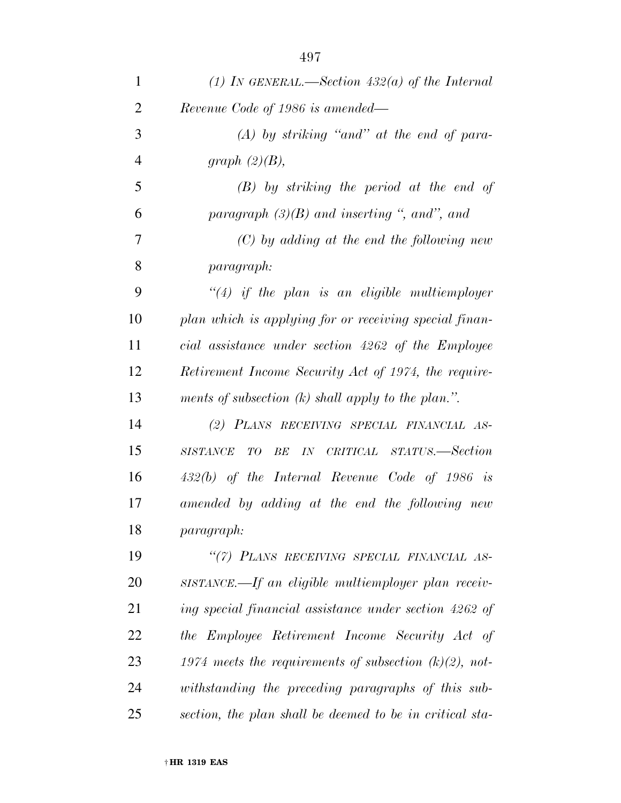| $\mathbf{1}$   | (1) IN GENERAL.—Section $432(a)$ of the Internal          |
|----------------|-----------------------------------------------------------|
| $\overline{2}$ | Revenue Code of 1986 is amended—                          |
| 3              | $(A)$ by striking "and" at the end of para-               |
| $\overline{4}$ | graph $(2)(B)$ ,                                          |
| 5              | $(B)$ by striking the period at the end of                |
| 6              | paragraph $(3)(B)$ and inserting ", and", and             |
| $\overline{7}$ | $(C)$ by adding at the end the following new              |
| 8              | <i>paragraph:</i>                                         |
| 9              | $\lq(4)$ if the plan is an eligible multiemployer         |
| 10             | plan which is applying for or receiving special finan-    |
| 11             | cial assistance under section 4262 of the Employee        |
| 12             | Retirement Income Security Act of 1974, the require-      |
| 13             | ments of subsection $(k)$ shall apply to the plan.".      |
| 14             | (2) PLANS RECEIVING SPECIAL FINANCIAL AS-                 |
| 15             | <i>IN</i> CRITICAL STATUS.—Section<br>SISTANCE TO BE      |
| 16             | $432(b)$ of the Internal Revenue Code of 1986 is          |
| 17             | amended by adding at the end the following new            |
| 18             | <i>paragraph:</i>                                         |
| 19             | "(7) PLANS RECEIVING SPECIAL FINANCIAL AS-                |
| 20             | SISTANCE.—If an eligible multiemployer plan receiv-       |
| 21             | ing special financial assistance under section 4262 of    |
| 22             | the Employee Retirement Income Security Act of            |
| 23             | 1974 meets the requirements of subsection $(k)(2)$ , not- |
| 24             | withstanding the preceding paragraphs of this sub-        |
| 25             | section, the plan shall be deemed to be in critical sta-  |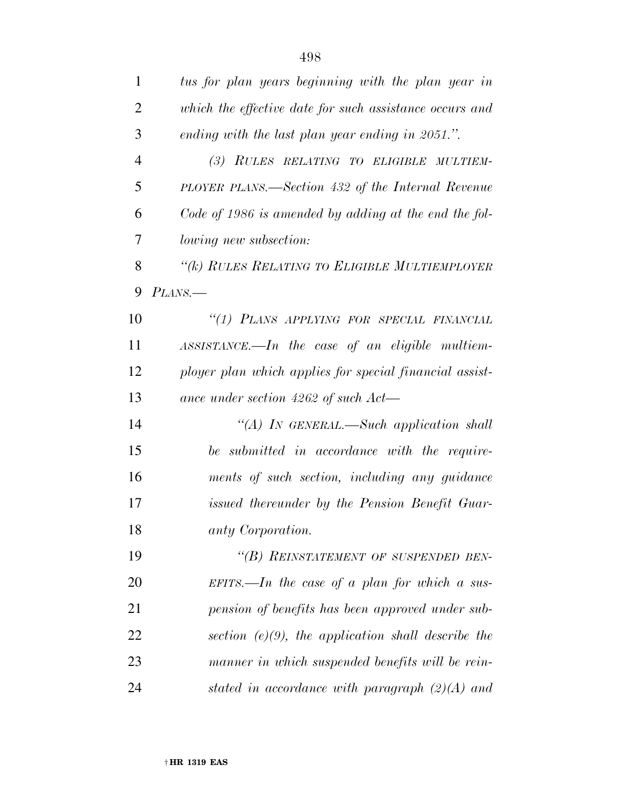| $\mathbf{1}$   | tus for plan years beginning with the plan year in      |
|----------------|---------------------------------------------------------|
| $\overline{2}$ | which the effective date for such assistance occurs and |
| 3              | ending with the last plan year ending in 2051.".        |
| $\overline{4}$ | (3) RULES RELATING TO ELIGIBLE MULTIEM-                 |
| 5              | PLOYER PLANS.—Section 432 of the Internal Revenue       |
| 6              | Code of 1986 is amended by adding at the end the fol-   |
| 7              | lowing new subsection:                                  |
| 8              | "(k) RULES RELATING TO ELIGIBLE MULTIEMPLOYER           |
| 9              | PLANS.                                                  |
| 10             | "(1) PLANS APPLYING FOR SPECIAL FINANCIAL               |
| 11             | $ASSISTANCE.$ the case of an eligible multiem-          |
| 12             | ployer plan which applies for special financial assist- |
| 13             | ance under section $4262$ of such $Act$ —               |
| 14             | "(A) IN GENERAL.—Such application shall                 |
| 15             | be submitted in accordance with the require-            |
| 16             | ments of such section, including any guidance           |
| 17             | issued thereunder by the Pension Benefit Guar-          |
| 18             | anty Corporation.                                       |
| 19             | "(B) REINSTATEMENT OF SUSPENDED BEN-                    |
| 20             | EFITS.—In the case of a plan for which a sus-           |
| 21             | pension of benefits has been approved under sub-        |
| 22             | section $(e)(9)$ , the application shall describe the   |
| 23             | manner in which suspended benefits will be rein-        |
| 24             | stated in accordance with paragraph $(2)(A)$ and        |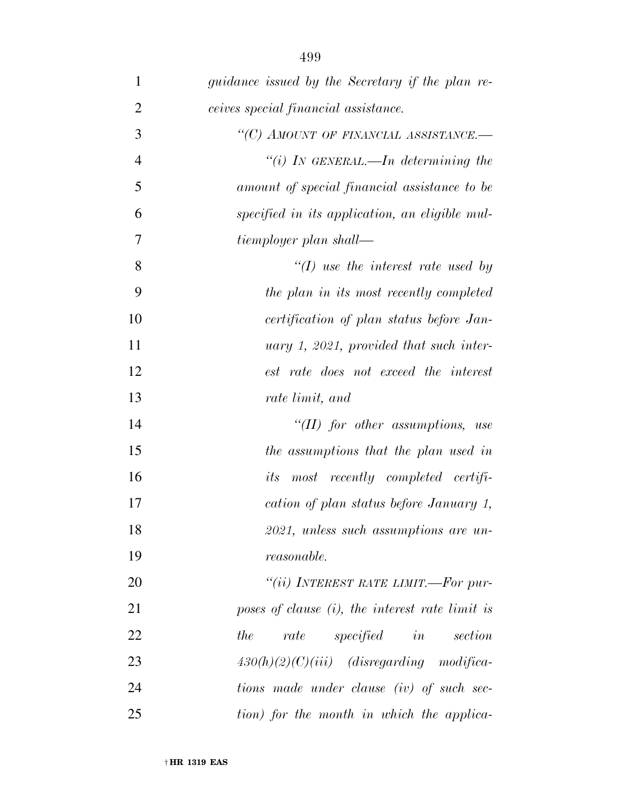| $\mathbf{1}$   | <i>guidance issued by the Secretary if the plan re-</i> |
|----------------|---------------------------------------------------------|
| $\mathbf{2}$   | ceives special financial assistance.                    |
| 3              | "(C) AMOUNT OF FINANCIAL ASSISTANCE.-                   |
| $\overline{4}$ | "(i) IN GENERAL.—In determining the                     |
| 5              | amount of special financial assistance to be            |
| 6              | specified in its application, an eligible mul-          |
| $\tau$         | tiemployer plan shall—                                  |
| 8              | $\lq (I)$ use the interest rate used by                 |
| 9              | the plan in its most recently completed                 |
| 10             | certification of plan status before Jan-                |
| 11             | uary 1, 2021, provided that such inter-                 |
| 12             | est rate does not exceed the interest                   |
| 13             | rate limit, and                                         |
| 14             | $\lq (II)$ for other assumptions, use                   |
| 15             | the assumptions that the plan used in                   |
| 16             | <i>its</i> most recently completed certifi-             |
| 17             | cation of plan status before January 1,                 |
| 18             | 2021, unless such assumptions are un-                   |
| 19             | <i>reasonable.</i>                                      |
| 20             | "(ii) INTEREST RATE LIMIT.—For pur-                     |
| 21             | poses of clause $(i)$ , the interest rate limit is      |
| 22             | rate specified in section<br>the                        |
| 23             | $430(h)(2)(C)(iii)$ (disregarding modifica-             |
| 24             | tions made under clause (iv) of such sec-               |
| 25             | tion) for the month in which the applica-               |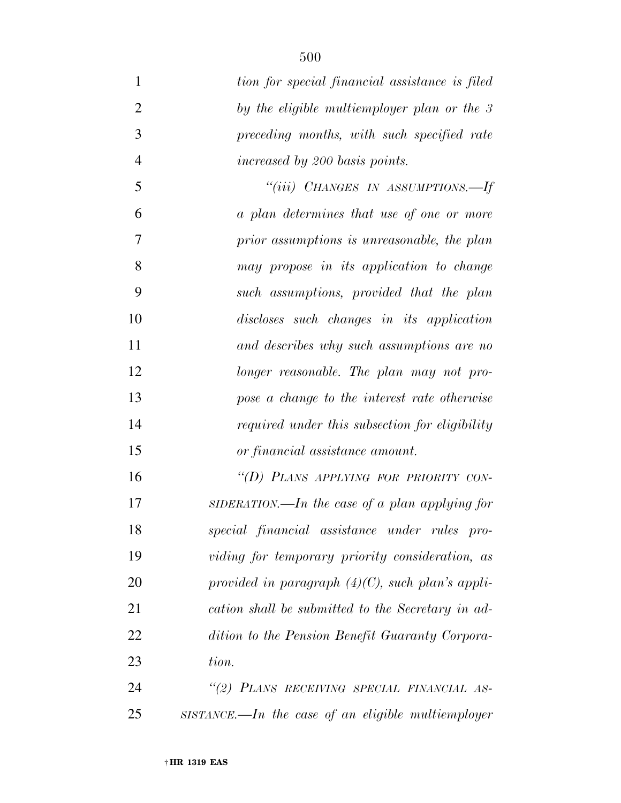| $\mathbf{1}$   | tion for special financial assistance is filed        |
|----------------|-------------------------------------------------------|
| $\overline{2}$ | by the eligible multiemployer plan or the 3           |
| 3              | preceding months, with such specified rate            |
| $\overline{4}$ | increased by 200 basis points.                        |
| 5              | "(iii) CHANGES IN ASSUMPTIONS.—If                     |
| 6              | a plan determines that use of one or more             |
| 7              | prior assumptions is unreasonable, the plan           |
| 8              | may propose in its application to change              |
| 9              | such assumptions, provided that the plan              |
| 10             | discloses such changes in its application             |
| 11             | and describes why such assumptions are no             |
| 12             | longer reasonable. The plan may not pro-              |
| 13             | pose a change to the interest rate otherwise          |
| 14             | required under this subsection for eligibility        |
| 15             | or financial assistance amount.                       |
| 16             | "(D) PLANS APPLYING FOR PRIORITY CON-                 |
| 17             | SIDERATION.—In the case of a plan applying for        |
| 18             | special financial assistance under rules pro-         |
| 19             | viding for temporary priority consideration, as       |
| 20             | provided in paragraph $(4)(C)$ , such plan's appli-   |
| 21             | cation shall be submitted to the Secretary in ad-     |
| 22             | dition to the Pension Benefit Guaranty Corpora-       |
| 23             | tion.                                                 |
| 24             | "(2) PLANS RECEIVING SPECIAL FINANCIAL AS-            |
| 25             | $SISTANCE$ . In the case of an eligible multiemployer |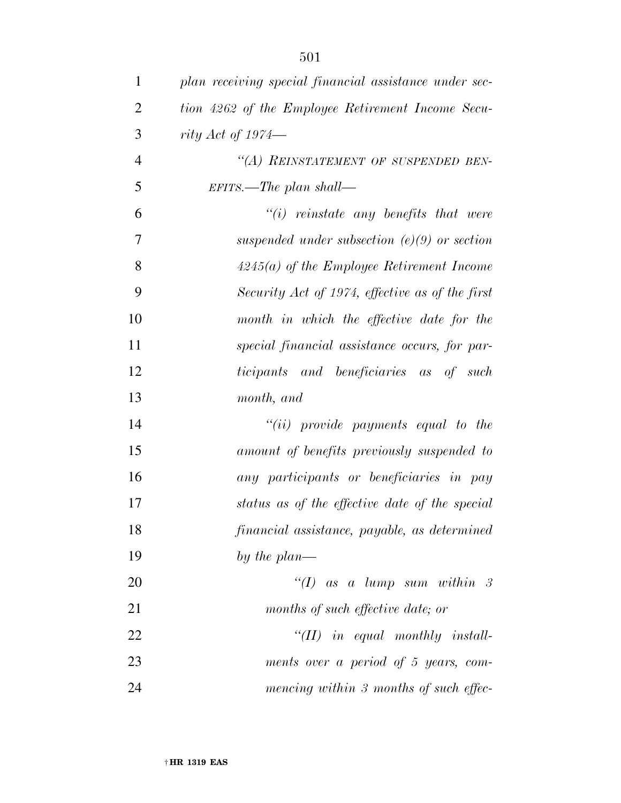| $\mathbf 1$    | plan receiving special financial assistance under sec- |
|----------------|--------------------------------------------------------|
| $\overline{2}$ | tion 4262 of the Employee Retirement Income Secu-      |
| 3              | rity Act of $1974-$                                    |
| $\overline{4}$ | "(A) REINSTATEMENT OF SUSPENDED BEN-                   |
| 5              | $EFTTS.$ The plan shall—                               |
| 6              | $\tilde{f}(i)$ reinstate any benefits that were        |
| $\overline{7}$ | suspended under subsection $(e)(9)$ or section         |
| 8              | $4245(a)$ of the Employee Retirement Income            |
| 9              | Security Act of 1974, effective as of the first        |
| 10             | month in which the effective date for the              |
| 11             | special financial assistance occurs, for par-          |
| 12             | ticipants and beneficiaries as of such                 |
| 13             | month, and                                             |
| 14             | $``(ii)$ provide payments equal to the                 |
| 15             | amount of benefits previously suspended to             |
| 16             | any participants or beneficiaries in pay               |
| 17             | status as of the effective date of the special         |
| 18             | financial assistance, payable, as determined           |
| 19             | by the plan—                                           |
| 20             | "(I) as a lump sum within $\beta$                      |
| 21             | months of such effective date; or                      |
| 22             | $``(II)$ in equal monthly install-                     |
| 23             | ments over a period of 5 years, com-                   |
| 24             | mencing within 3 months of such effec-                 |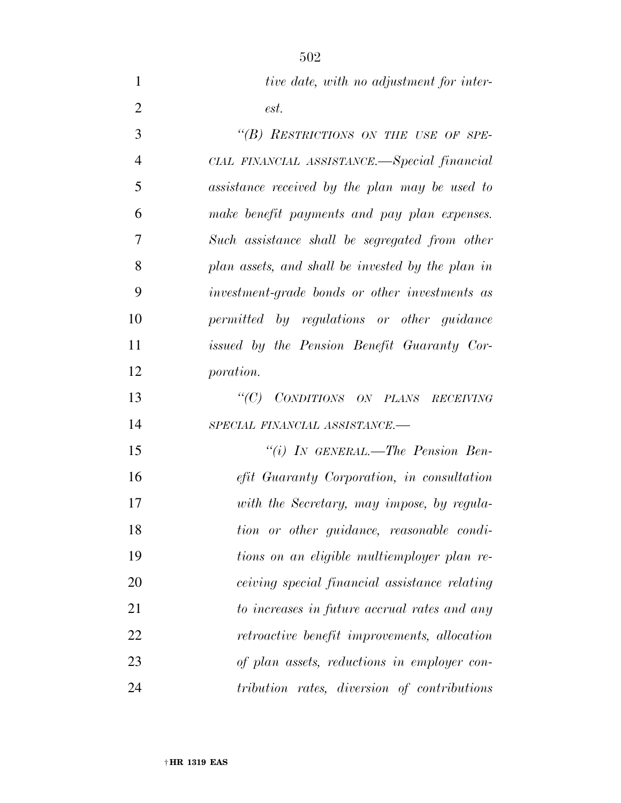| $\mathbf{1}$   | tive date, with no adjustment for inter-          |
|----------------|---------------------------------------------------|
| $\overline{2}$ | est.                                              |
| 3              | "(B) RESTRICTIONS ON THE USE OF SPE-              |
| $\overline{4}$ | CIAL FINANCIAL ASSISTANCE.—Special financial      |
| 5              | assistance received by the plan may be used to    |
| 6              | make benefit payments and pay plan expenses.      |
| 7              | Such assistance shall be segregated from other    |
| 8              | plan assets, and shall be invested by the plan in |
| 9              | investment-grade bonds or other investments as    |
| 10             | permitted by regulations or other guidance        |
| 11             | issued by the Pension Benefit Guaranty Cor-       |
| 12             | <i>poration.</i>                                  |
| 13             | "(C) CONDITIONS ON PLANS RECEIVING                |
| 14             | SPECIAL FINANCIAL ASSISTANCE.-                    |
| 15             | "(i) IN GENERAL.—The Pension Ben-                 |
| 16             | efit Guaranty Corporation, in consultation        |
| 17             | with the Secretary, may impose, by regula-        |
| 18             | tion or other guidance, reasonable condi-         |
| 19             | tions on an eligible multiemployer plan re-       |
| 20             | ceiving special financial assistance relating     |
| 21             | to increases in future accrual rates and any      |
| 22             | retroactive benefit improvements, allocation      |
| 23             | of plan assets, reductions in employer con-       |
| 24             | tribution rates, diversion of contributions       |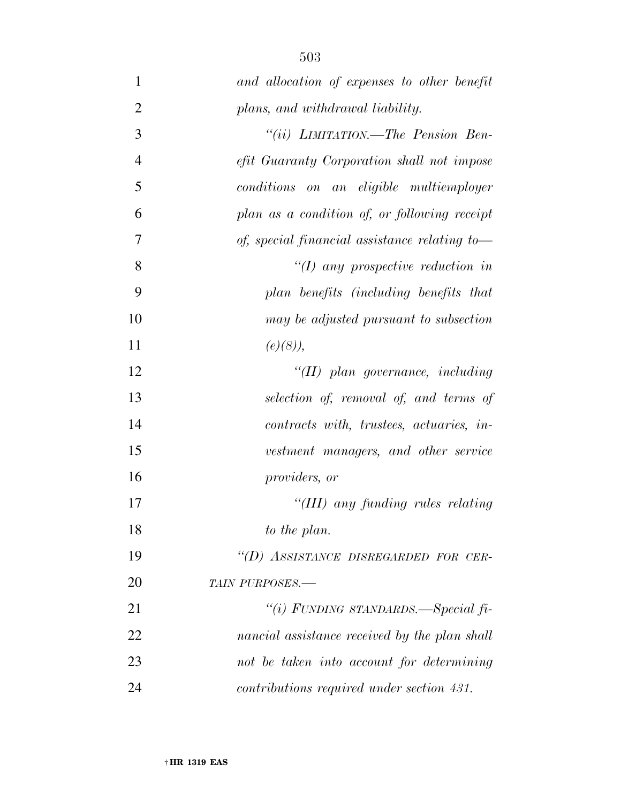| $\mathbf{1}$   | and allocation of expenses to other benefit   |
|----------------|-----------------------------------------------|
| $\overline{2}$ | plans, and withdrawal liability.              |
| 3              | "(ii) LIMITATION.—The Pension Ben-            |
| $\overline{4}$ | efit Guaranty Corporation shall not impose    |
| 5              | conditions on an eligible multiemployer       |
| 6              | plan as a condition of, or following receipt  |
| 7              | of, special financial assistance relating to- |
| 8              | $\lq (I)$ any prospective reduction in        |
| 9              | plan benefits (including benefits that        |
| 10             | may be adjusted pursuant to subsection        |
| 11             | $(e)(8)$ ,                                    |
| 12             | $\lq (II)$ plan governance, including         |
| 13             | selection of, removal of, and terms of        |
| 14             | contracts with, trustees, actuaries, in-      |
| 15             | vestment managers, and other service          |
| 16             | providers, or                                 |
| 17             | "(III) any funding rules relating             |
| 18             | to the plan.                                  |
| 19             | "(D) ASSISTANCE DISREGARDED FOR CER-          |
| 20             | TAIN PURPOSES.-                               |
| 21             | "(i) FUNDING STANDARDS.—Special fi-           |
| 22             | nancial assistance received by the plan shall |
| 23             | not be taken into account for determining     |
| 24             | contributions required under section 431.     |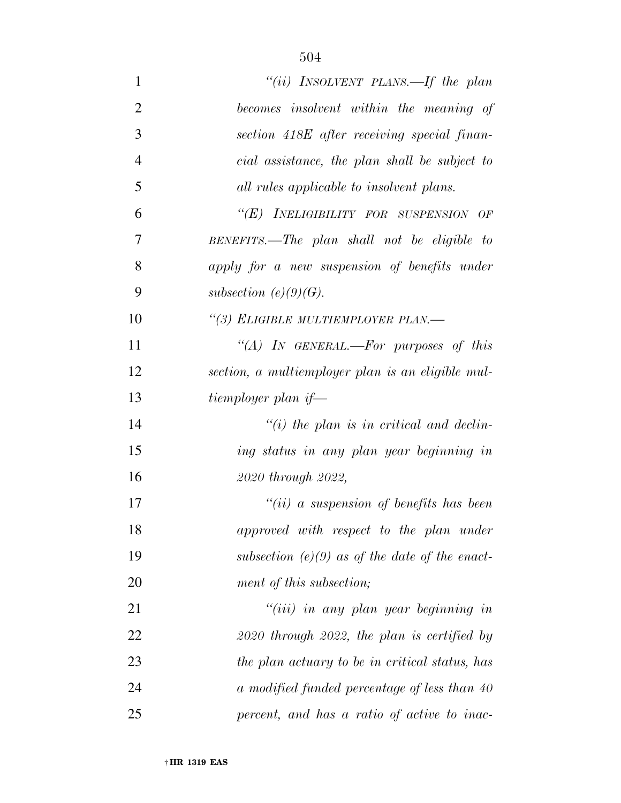| 1              | "(ii) INSOLVENT PLANS.—If the plan                |
|----------------|---------------------------------------------------|
| $\overline{2}$ | becomes insolvent within the meaning of           |
| 3              | section 418E after receiving special finan-       |
| $\overline{4}$ | cial assistance, the plan shall be subject to     |
| 5              | all rules applicable to insolvent plans.          |
| 6              | "(E) INELIGIBILITY FOR SUSPENSION OF              |
| 7              | BENEFITS.—The plan shall not be eligible to       |
| 8              | apply for a new suspension of benefits under      |
| 9              | subsection $(e)(9)(G)$ .                          |
| 10             | "(3) ELIGIBLE MULTIEMPLOYER PLAN.-                |
| 11             | "(A) IN GENERAL.—For purposes of this             |
| 12             | section, a multiemployer plan is an eligible mul- |
| 13             | tiemployer plan if—                               |
| 14             | $\lq\lq(i)$ the plan is in critical and declin-   |
| 15             | ing status in any plan year beginning in          |
| 16             | 2020 through 2022,                                |
| 17             | "(ii) a suspension of benefits has been           |
| 18             | approved with respect to the plan under           |
| 19             | subsection (e)(9) as of the date of the enact-    |
| 20             | ment of this subsection;                          |
| 21             | $``(iii)$ in any plan year beginning in           |
| 22             | $2020$ through $2022$ , the plan is certified by  |
| 23             | the plan actuary to be in critical status, has    |
| 24             | a modified funded percentage of less than 40      |
| 25             | percent, and has a ratio of active to inac-       |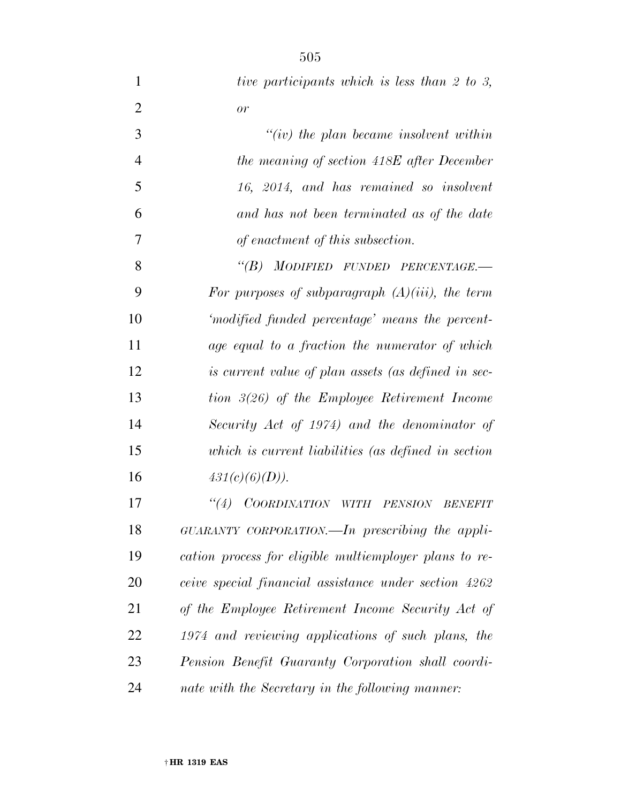| $\mathbf{1}$   | tive participants which is less than 2 to 3,            |
|----------------|---------------------------------------------------------|
| $\overline{2}$ | or                                                      |
| 3              | $``(iv)$ the plan became insolvent within               |
| $\overline{4}$ | the meaning of section 418E after December              |
| 5              | 16, 2014, and has remained so insolvent                 |
| 6              | and has not been terminated as of the date              |
| 7              | of enactment of this subsection.                        |
| 8              | "(B) MODIFIED FUNDED PERCENTAGE.-                       |
| 9              | For purposes of subparagraph $(A)(iii)$ , the term      |
| 10             | 'modified funded percentage' means the percent-         |
| 11             | age equal to a fraction the numerator of which          |
| 12             | is current value of plan assets (as defined in sec-     |
| 13             | tion $3(26)$ of the Employee Retirement Income          |
| 14             | Security Act of 1974) and the denominator of            |
| 15             | which is current liabilities (as defined in section     |
| 16             | 431(c)(6)(D)).                                          |
| 17             | $\lq(4)$<br>COORDINATION WITH PENSION<br><i>BENEFIT</i> |
| 18             | $GUARANTY$ CORPORATION.—In prescribing the appli-       |
| 19             | cation process for eligible multiemployer plans to re-  |
| 20             | ceive special financial assistance under section 4262   |
| 21             | of the Employee Retirement Income Security Act of       |
| <u>22</u>      | 1974 and reviewing applications of such plans, the      |
| 23             | Pension Benefit Guaranty Corporation shall coordi-      |
| 24             | nate with the Secretary in the following manner:        |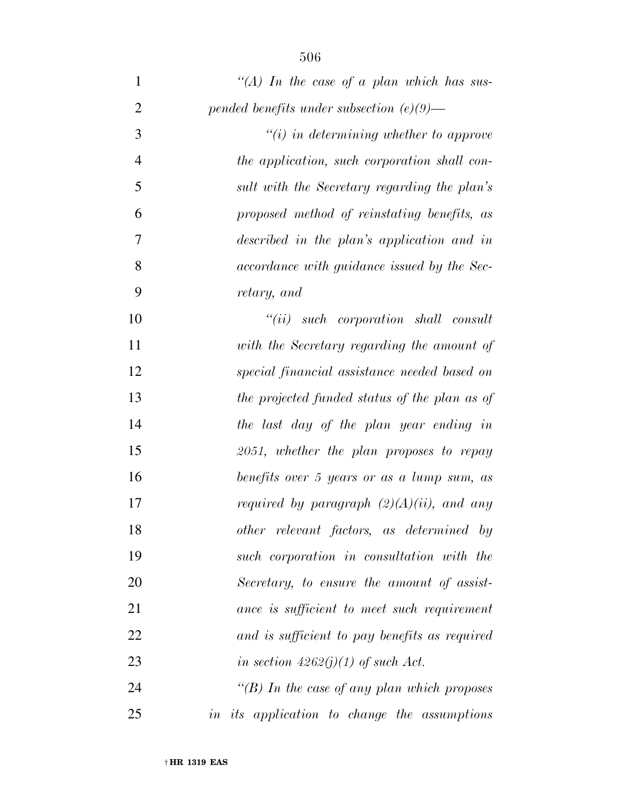| $\mathbf{1}$   | "(A) In the case of a plan which has sus-     |
|----------------|-----------------------------------------------|
| $\overline{2}$ | pended benefits under subsection $(e)(9)$ —   |
| 3              | $"(i)$ in determining whether to approve      |
| $\overline{4}$ | the application, such corporation shall con-  |
| 5              | sult with the Secretary regarding the plan's  |
| 6              | proposed method of reinstating benefits, as   |
| 7              | described in the plan's application and in    |
| 8              | accordance with guidance issued by the Sec-   |
| 9              | retary, and                                   |
| 10             | $``(ii)$ such corporation shall consult       |
| 11             | with the Secretary regarding the amount of    |
| 12             | special financial assistance needed based on  |
| 13             | the projected funded status of the plan as of |
| 14             | the last day of the plan year ending in       |
| 15             | 2051, whether the plan proposes to repay      |
| 16             | benefits over 5 years or as a lump sum, as    |
| 17             | required by paragraph $(2)(A)(ii)$ , and any  |
| 18             | other relevant factors, as determined by      |
| 19             | such corporation in consultation with the     |
| 20             | Secretary, to ensure the amount of assist-    |
| 21             | ance is sufficient to meet such requirement   |
| 22             | and is sufficient to pay benefits as required |
| 23             | in section $4262(j)(1)$ of such Act.          |
| 24             | "(B) In the case of any plan which proposes   |
|                |                                               |

*in its application to change the assumptions*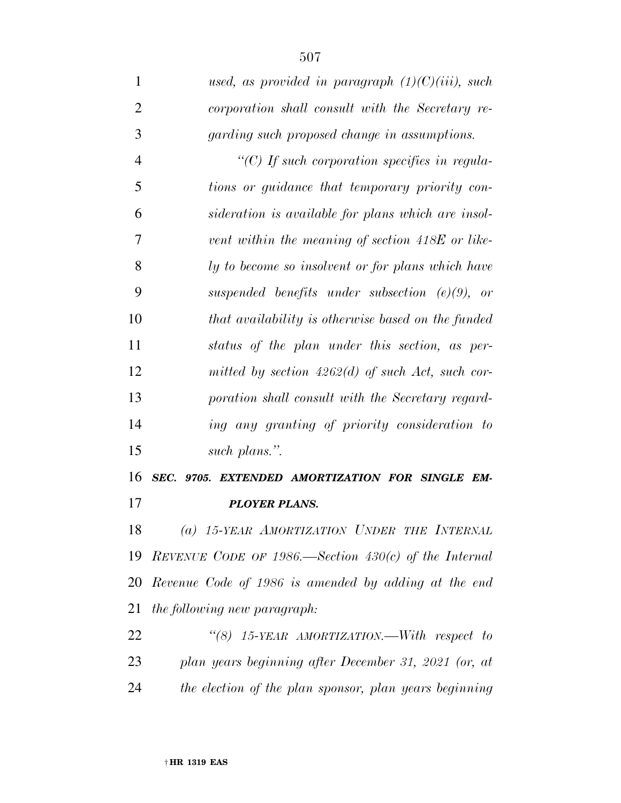*used, as provided in paragraph (1)(C)(iii), such corporation shall consult with the Secretary re- garding such proposed change in assumptions. ''(C) If such corporation specifies in regula- tions or guidance that temporary priority con- sideration is available for plans which are insol- vent within the meaning of section 418E or like- ly to become so insolvent or for plans which have suspended benefits under subsection (e)(9), or that availability is otherwise based on the funded status of the plan under this section, as per- mitted by section 4262(d) of such Act, such cor- poration shall consult with the Secretary regard- ing any granting of priority consideration to such plans.''. SEC. 9705. EXTENDED AMORTIZATION FOR SINGLE EM-*

*PLOYER PLANS.* 

 *(a) 15-YEAR AMORTIZATION UNDER THE INTERNAL REVENUE CODE OF 1986.—Section 430(c) of the Internal Revenue Code of 1986 is amended by adding at the end the following new paragraph:* 

 *''(8) 15-YEAR AMORTIZATION.—With respect to plan years beginning after December 31, 2021 (or, at the election of the plan sponsor, plan years beginning*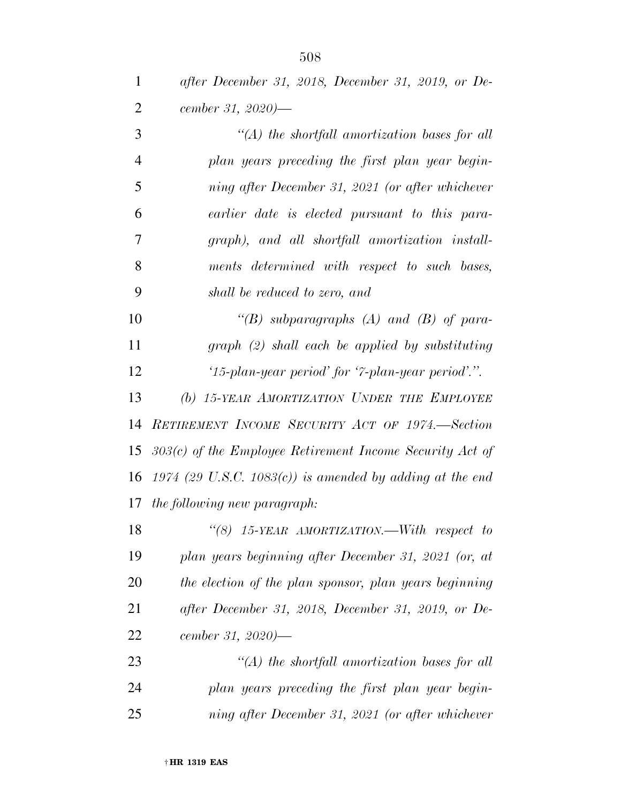| after December 31, 2018, December 31, 2019, or De- |
|----------------------------------------------------|
| cember 31, 2020)—                                  |

| 3              | $\lq (A)$ the shortfall amortization bases for all |
|----------------|----------------------------------------------------|
| $\overline{4}$ | plan years preceding the first plan year begin-    |
| 5              | ning after December 31, 2021 (or after whichever   |
| 6              | earlier date is elected pursuant to this para-     |
| 7              | graph), and all shortfall amortization install-    |
| 8              | ments determined with respect to such bases,       |
| 9              | shall be reduced to zero, and                      |
| 10             | "(B) subparagraphs (A) and (B) of para-            |
| 11             | $graph (2) shall each be applied by substituting$  |
| 12             | '15-plan-year period' for '7-plan-year period'.".  |
| 13             | (b) 15-YEAR AMORTIZATION UNDER THE EMPLOYEE        |
|                | 14 RETIREMENT INCOME SECURITY ACT OF 1974.—Section |

 *303(c) of the Employee Retirement Income Security Act of 1974 (29 U.S.C. 1083(c)) is amended by adding at the end the following new paragraph:* 

 *''(8) 15-YEAR AMORTIZATION.—With respect to plan years beginning after December 31, 2021 (or, at the election of the plan sponsor, plan years beginning after December 31, 2018, December 31, 2019, or De-cember 31, 2020)—* 

 *''(A) the shortfall amortization bases for all plan years preceding the first plan year begin-ning after December 31, 2021 (or after whichever*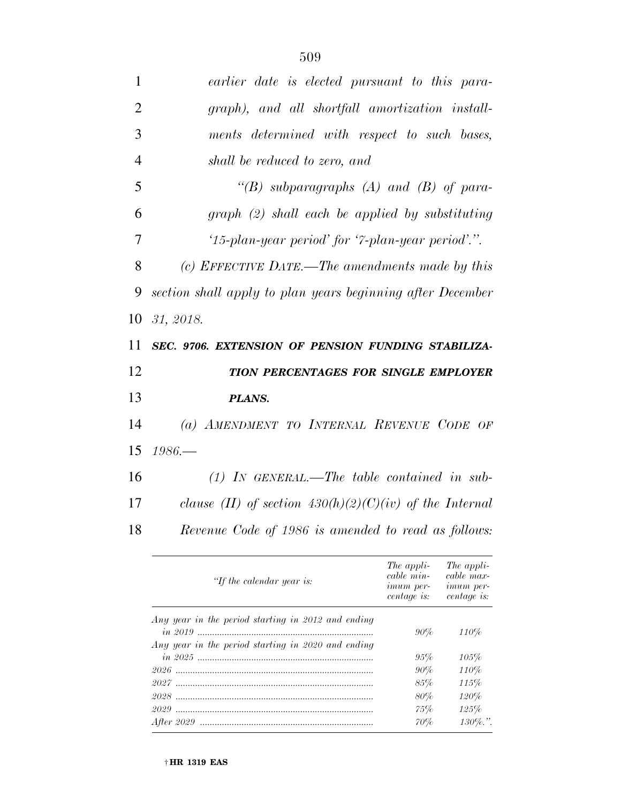| 1              | earlier date is elected pursuant to this para-                                                                                                   |
|----------------|--------------------------------------------------------------------------------------------------------------------------------------------------|
| $\overline{2}$ | graph), and all shortfall amortization install-                                                                                                  |
| 3              | ments determined with respect to such bases,                                                                                                     |
| $\overline{4}$ | shall be reduced to zero, and                                                                                                                    |
| 5              | "(B) subparagraphs (A) and (B) of para-                                                                                                          |
| 6              | $graph (2) shall each be applied by substituting$                                                                                                |
| 7              | '15-plan-year period' for '7-plan-year period'.".                                                                                                |
| 8              | (c) EFFECTIVE DATE.—The amendments made by this                                                                                                  |
| 9              | section shall apply to plan years beginning after December                                                                                       |
| 10             | 31, 2018.                                                                                                                                        |
| 11             | SEC. 9706. EXTENSION OF PENSION FUNDING STABILIZA-                                                                                               |
| 12             | TION PERCENTAGES FOR SINGLE EMPLOYER                                                                                                             |
| 13             | PLANS.                                                                                                                                           |
| 14             | (a) AMENDMENT TO INTERNAL REVENUE CODE OF                                                                                                        |
| 15             | $1986-$                                                                                                                                          |
| 16             | $(1)$ IN GENERAL.—The table contained in sub-                                                                                                    |
| 17             | clause (II) of section $430(h)(2)(C)(iv)$ of the Internal                                                                                        |
| 18             | Revenue Code of 1986 is amended to read as follows:                                                                                              |
|                | The appli-<br>The appli-<br>cable min-<br>cable max-<br>"If the calendar year is:<br>imum per-<br><i>imum</i> per-<br>centage is:<br>centage is: |

|                                                    | centure is. centure is. |             |
|----------------------------------------------------|-------------------------|-------------|
| Any year in the period starting in 2012 and ending | $90\%$                  | 110%        |
| Any year in the period starting in 2020 and ending |                         |             |
|                                                    | 95%                     | 105%        |
|                                                    | $90\%$                  | 110%        |
|                                                    | 85%                     | 115%        |
|                                                    | 80%                     | 120%        |
|                                                    | 75%                     | 125%        |
|                                                    | 70%                     | $130\%$ .". |
|                                                    |                         |             |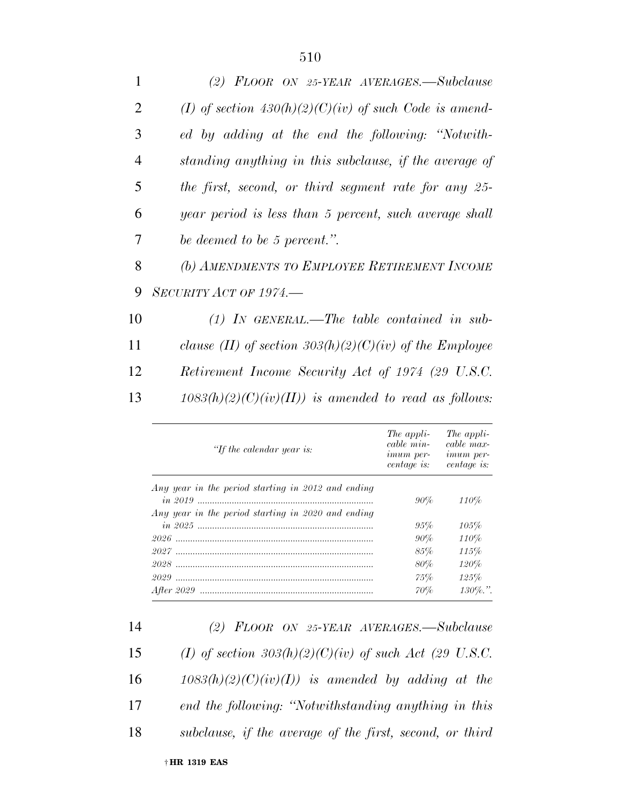| $\mathbf{1}$   | (2) $FLOOR$ ON 25-YEAR AVERAGES.—Subclause                |
|----------------|-----------------------------------------------------------|
| $\overline{2}$ | (I) of section $430(h)(2)(C)(iv)$ of such Code is amend-  |
| 3              | ed by adding at the end the following: "Notwith-          |
| $\overline{4}$ | standing anything in this subclause, if the average of    |
| 5              | the first, second, or third segment rate for any 25-      |
| 6              | year period is less than 5 percent, such average shall    |
| 7              | be deemed to be 5 percent.".                              |
| 8              | (b) AMENDMENTS TO EMPLOYEE RETIREMENT INCOME              |
| 9              | $SECURITY$ ACT OF 1974.—                                  |
| 10             | $(1)$ In GENERAL.—The table contained in sub-             |
| 11             | clause (II) of section $303(h)(2)(C)(iv)$ of the Employee |
| 12             | Retirement Income Security Act of 1974 (29 U.S.C.         |
| 13             | $1083(h)(2)(C)(iv)(II)$ is amended to read as follows:    |
|                |                                                           |

| "If the calendar year is:                          | The appli-<br>cable min-<br><i>imum</i> per-<br><i>centage is:</i> | The appli-<br>cable max-<br><i>imum</i> per-<br>centage is: |
|----------------------------------------------------|--------------------------------------------------------------------|-------------------------------------------------------------|
| Any year in the period starting in 2012 and ending |                                                                    |                                                             |
|                                                    | $90\%$                                                             | 110%                                                        |
| Any year in the period starting in 2020 and ending |                                                                    |                                                             |
|                                                    | 95%                                                                | 105%                                                        |
|                                                    | $90\%$                                                             | 110%                                                        |
|                                                    | 85%                                                                | 115%                                                        |
|                                                    | 80%                                                                | 120%                                                        |
|                                                    | 75%                                                                | 125%                                                        |
|                                                    | 70%                                                                | $130\%$ .".                                                 |

 *(2) FLOOR ON 25-YEAR AVERAGES.—Subclause (I) of section 303(h)(2)(C)(iv) of such Act (29 U.S.C.*   $1083(h)(2)(C)(iv)(I)$  is amended by adding at the *end the following: ''Notwithstanding anything in this subclause, if the average of the first, second, or third*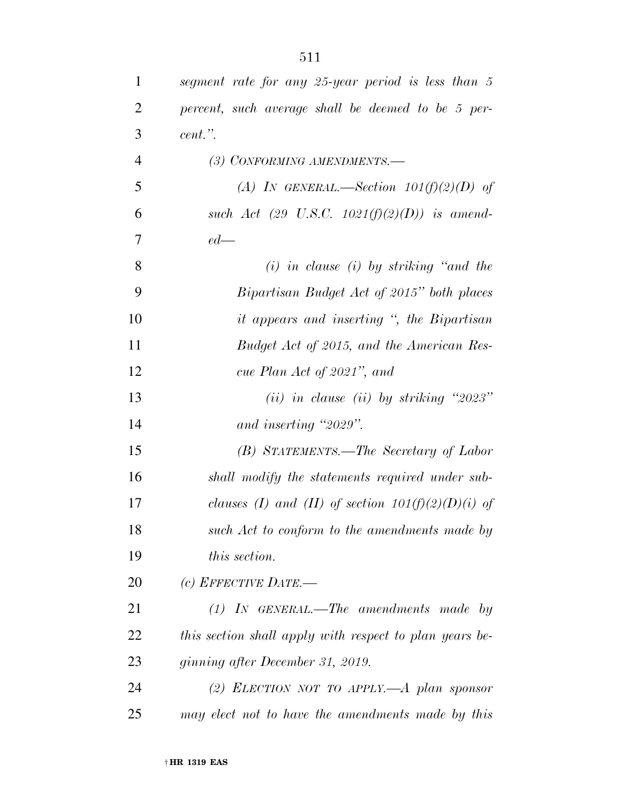| $\mathbf{1}$   | segment rate for any 25-year period is less than 5      |
|----------------|---------------------------------------------------------|
| $\overline{2}$ | percent, such average shall be deemed to be 5 per-      |
| 3              | $cent.$ ".                                              |
| $\overline{4}$ | (3) CONFORMING AMENDMENTS.-                             |
| 5              | (A) IN GENERAL.—Section $101(f)(2)(D)$ of               |
| 6              | such Act (29 U.S.C. $1021(f)(2)(D)$ ) is amend-         |
| 7              | $ed$ —                                                  |
| 8              | $(i)$ in clause $(i)$ by striking "and the              |
| 9              | Bipartisan Budget Act of 2015" both places              |
| 10             | <i>it appears and inserting</i> ", the Bipartisan       |
| 11             | Budget Act of 2015, and the American Res-               |
| 12             | cue Plan Act of 2021", and                              |
| 13             | (ii) in clause (ii) by striking "2023"                  |
| 14             | and inserting "2029".                                   |
| 15             | (B) STATEMENTS.—The Secretary of Labor                  |
| 16             | shall modify the statements required under sub-         |
| 17             | clauses (I) and (II) of section $101(f)(2)(D)(i)$ of    |
| 18             | such Act to conform to the amendments made by           |
| 19             | <i>this section.</i>                                    |
| 20             | (c) EFFECTIVE DATE.—                                    |
| 21             | $(1)$ IN GENERAL.—The amendments made by                |
| 22             | this section shall apply with respect to plan years be- |
| 23             | ginning after December 31, 2019.                        |
| 24             | (2) ELECTION NOT TO APPLY. $-A$ plan sponsor            |
| 25             | may elect not to have the amendments made by this       |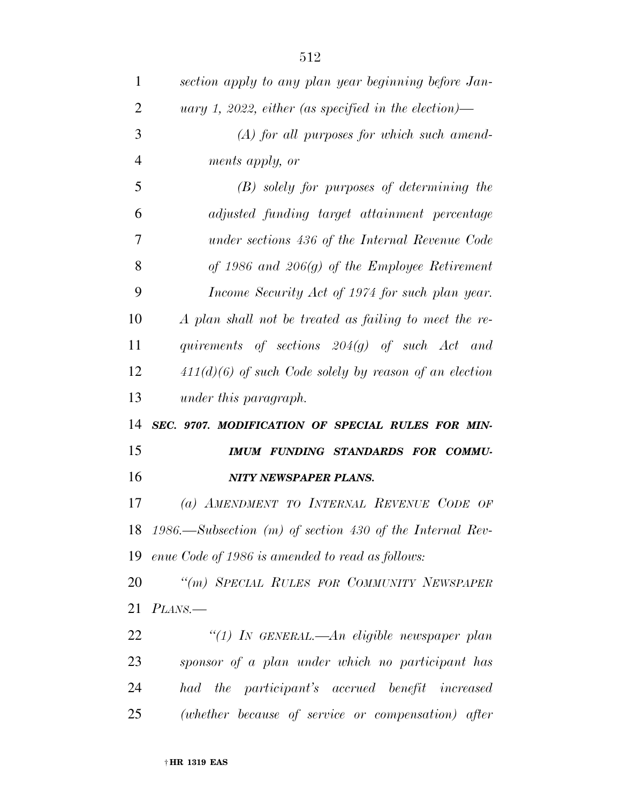| $\mathbf{1}$   | section apply to any plan year beginning before Jan-        |
|----------------|-------------------------------------------------------------|
| $\overline{2}$ | uary 1, 2022, either (as specified in the election)—        |
| 3              | $(A)$ for all purposes for which such amend-                |
| $\overline{4}$ | ments apply, or                                             |
| 5              | $(B)$ solely for purposes of determining the                |
| 6              | adjusted funding target attainment percentage               |
| 7              | under sections 436 of the Internal Revenue Code             |
| 8              | of 1986 and $206(g)$ of the Employee Retirement             |
| 9              | Income Security Act of 1974 for such plan year.             |
| 10             | A plan shall not be treated as failing to meet the re-      |
| 11             | quirements of sections $204(g)$ of such Act and             |
| 12             | $411(d)(6)$ of such Code solely by reason of an election    |
| 13             | under this paragraph.                                       |
| 14             | SEC. 9707. MODIFICATION OF SPECIAL RULES FOR MIN-           |
|                |                                                             |
| 15             | IMUM FUNDING STANDARDS FOR COMMU-                           |
| 16             | <b>NITY NEWSPAPER PLANS.</b>                                |
| 17             | (a) AMENDMENT TO INTERNAL REVENUE CODE OF                   |
|                | 18 1986.—Subsection (m) of section 430 of the Internal Rev- |
|                | 19 enue Code of 1986 is amended to read as follows:         |
| 20             | "(m) SPECIAL RULES FOR COMMUNITY NEWSPAPER                  |
| 21             | PLANS.                                                      |
| 22             | "(1) IN GENERAL.—An eligible newspaper plan                 |
| 23             | sponsor of a plan under which no participant has            |
| 24             | had the participant's accrued benefit increased             |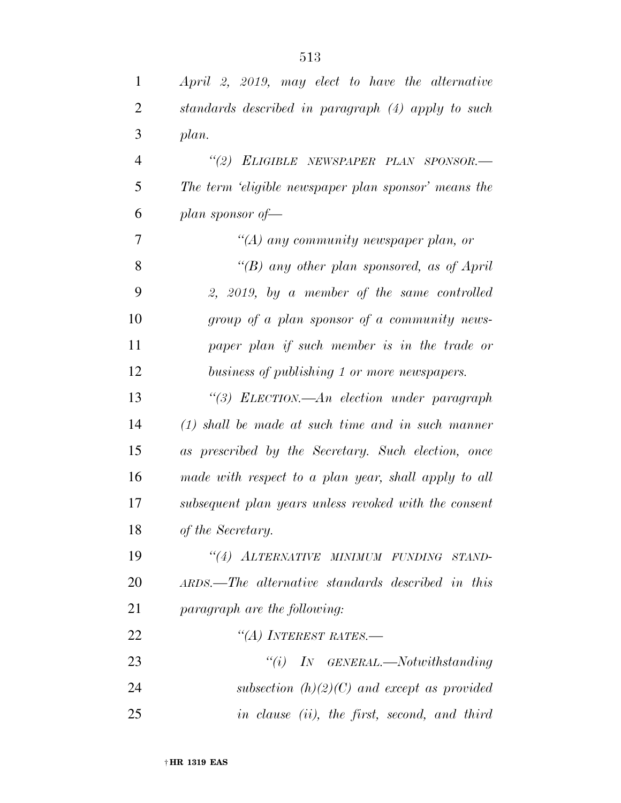| $\mathbf{1}$   | April 2, 2019, may elect to have the alternative      |
|----------------|-------------------------------------------------------|
| 2              | standards described in paragraph (4) apply to such    |
| 3              | plan.                                                 |
| $\overline{4}$ | "(2) ELIGIBLE NEWSPAPER PLAN SPONSOR.-                |
| 5              | The term 'eligible newspaper plan sponsor' means the  |
| 6              | plan sponsor of $-$                                   |
| 7              | "(A) any community newspaper plan, or                 |
| 8              | "(B) any other plan sponsored, as of April            |
| 9              | 2, 2019, by a member of the same controlled           |
| 10             | group of a plan sponsor of a community news-          |
| 11             | paper plan if such member is in the trade or          |
| 12             | business of publishing 1 or more newspapers.          |
| 13             | "(3) ELECTION.—An election under paragraph            |
| 14             | $(1)$ shall be made at such time and in such manner   |
| 15             | as prescribed by the Secretary. Such election, once   |
| 16             | made with respect to a plan year, shall apply to all  |
| 17             | subsequent plan years unless revoked with the consent |
| 18             | of the Secretary.                                     |
| 19             | "(4) ALTERNATIVE MINIMUM FUNDING STAND-               |
| 20             | ARDS.—The alternative standards described in this     |
| 21             | paragraph are the following:                          |
| 22             | "(A) INTEREST RATES.-                                 |
| 23             | $``(i)$ IN GENERAL.—Notwithstanding                   |
| 24             | subsection $(h)(2)(C)$ and except as provided         |
| 25             | in clause (ii), the first, second, and third          |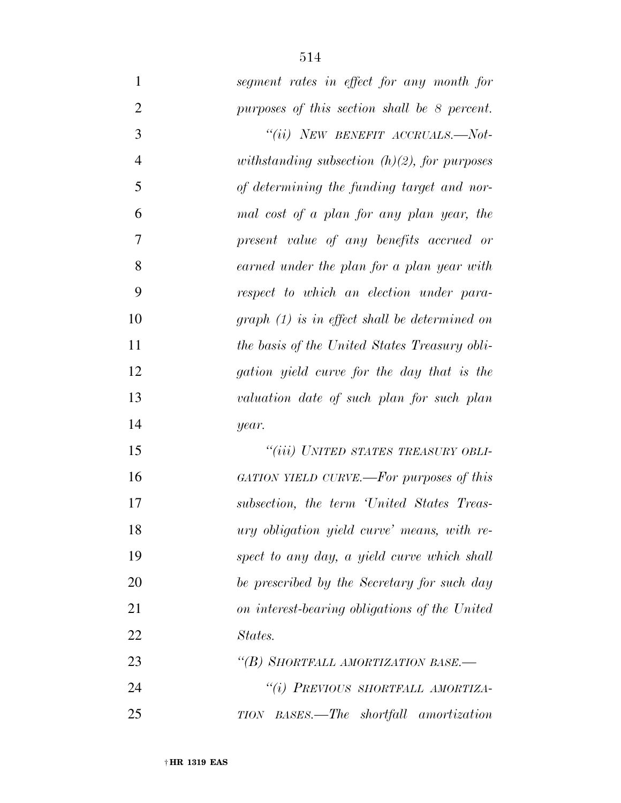| $\mathbf{1}$   | segment rates in effect for any month for       |
|----------------|-------------------------------------------------|
| $\overline{2}$ | purposes of this section shall be 8 percent.    |
| 3              | "(ii) NEW BENEFIT ACCRUALS.—Not-                |
| $\overline{4}$ | withstanding subsection $(h)(2)$ , for purposes |
| 5              | of determining the funding target and nor-      |
| 6              | mal cost of a plan for any plan year, the       |
| 7              | present value of any benefits accrued or        |
| 8              | earned under the plan for a plan year with      |
| 9              | respect to which an election under para-        |
| 10             | $graph (1)$ is in effect shall be determined on |
| 11             | the basis of the United States Treasury obli-   |
| 12             | gation yield curve for the day that is the      |
| 13             | valuation date of such plan for such plan       |
| 14             | year.                                           |
| 15             | "(iii) UNITED STATES TREASURY OBLI-             |
| 16             | GATION YIELD CURVE.—For purposes of this        |
| 17             | subsection, the term 'United States Treas-      |
| 18             | ury obligation yield curve' means, with re-     |
| 19             | spect to any day, a yield curve which shall     |
| 20             | be prescribed by the Secretary for such day     |
| 21             | on interest-bearing obligations of the United   |
| 22             | States.                                         |
| 23             | "(B) SHORTFALL AMORTIZATION BASE.-              |
| 24             | "(i) PREVIOUS SHORTFALL AMORTIZA-               |
| 25             | TION BASES.—The shortfall amortization          |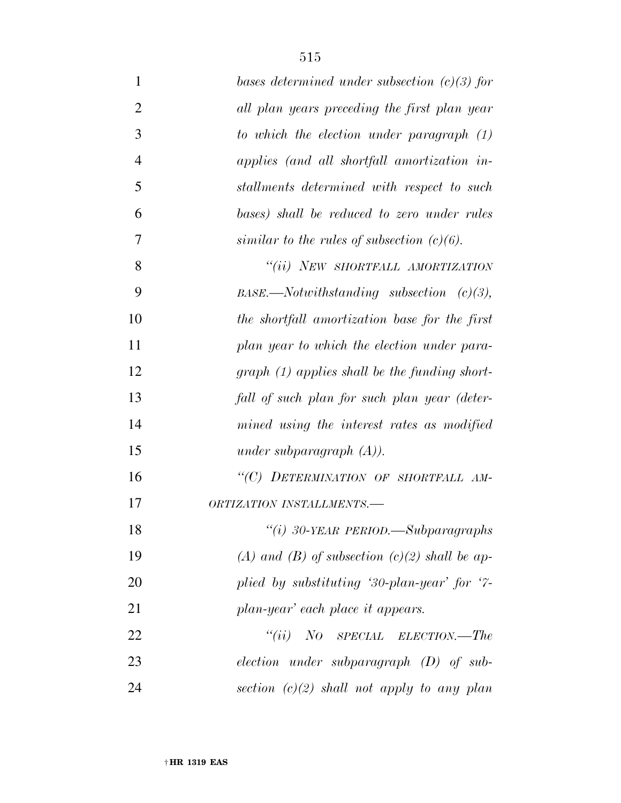| 1              | bases determined under subsection $(c)(3)$ for  |
|----------------|-------------------------------------------------|
| $\overline{2}$ | all plan years preceding the first plan year    |
| 3              | to which the election under paragraph $(1)$     |
| $\overline{4}$ | applies (and all shortfall amortization in-     |
| 5              | stallments determined with respect to such      |
| 6              | bases) shall be reduced to zero under rules     |
| 7              | similar to the rules of subsection $(c)(6)$ .   |
| 8              | "(ii) NEW SHORTFALL AMORTIZATION                |
| 9              | $BASE$ . Notwithstanding subsection (c)(3),     |
| 10             | the shortfall amortization base for the first   |
| 11             | plan year to which the election under para-     |
| 12             | $graph (1) applies shall be the funding short-$ |
| 13             | fall of such plan for such plan year (deter-    |
| 14             | mined using the interest rates as modified      |
| 15             | under subparagraph $(A)$ ).                     |
| 16             | "(C) DETERMINATION OF SHORTFALL AM-             |
| 17             | ORTIZATION INSTALLMENTS.-                       |
| 18             | "(i) $30$ -YEAR PERIOD.—Subparagraphs           |
| 19             | (A) and (B) of subsection $(c)(2)$ shall be ap- |
| 20             | plied by substituting '30-plan-year' for '7-    |
| 21             | plan-year' each place it appears.               |
| 22             | ``(ii)<br>NO SPECIAL ELECTION.—The              |
| 23             | election under subparagraph $(D)$ of sub-       |
| 24             | section $(c)(2)$ shall not apply to any plan    |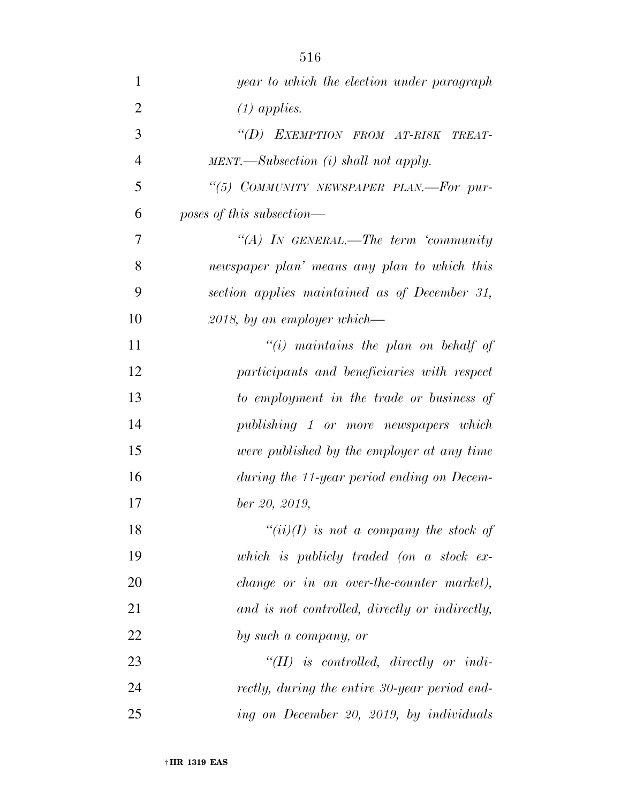| $\mathbf{1}$   | year to which the election under paragraph              |
|----------------|---------------------------------------------------------|
| $\overline{2}$ | $(1)$ applies.                                          |
| 3              | "(D) EXEMPTION FROM AT-RISK TREAT-                      |
| 4              | $MENT. \longrightarrow Subsection$ (i) shall not apply. |
| 5              | "(5) COMMUNITY NEWSPAPER PLAN.—For pur-                 |
| 6              | poses of this subsection—                               |
| 7              | "(A) IN GENERAL.—The term 'community                    |
| 8              | newspaper plan' means any plan to which this            |
| 9              | section applies maintained as of December 31,           |
| 10             | $2018$ , by an employer which—                          |
| 11             | "(i) maintains the plan on behalf of                    |
| 12             | participants and beneficiaries with respect             |
| 13             | to employment in the trade or business of               |
| 14             | publishing 1 or more newspapers which                   |
| 15             | were published by the employer at any time              |
| 16             | during the 11-year period ending on Decem-              |
| 17             | ber 20, 2019,                                           |
| 18             | " $(ii)(I)$ is not a company the stock of               |
| 19             | which is publicly traded (on a stock $ex$               |
| 20             | change or in an over-the-counter market),               |
| 21             | and is not controlled, directly or indirectly,          |
| 22             | by such a company, or                                   |
| 23             | $``(II)$ is controlled, directly or indi-               |
| 24             | rectly, during the entire 30-year period end-           |
| 25             | ing on December 20, 2019, by individuals                |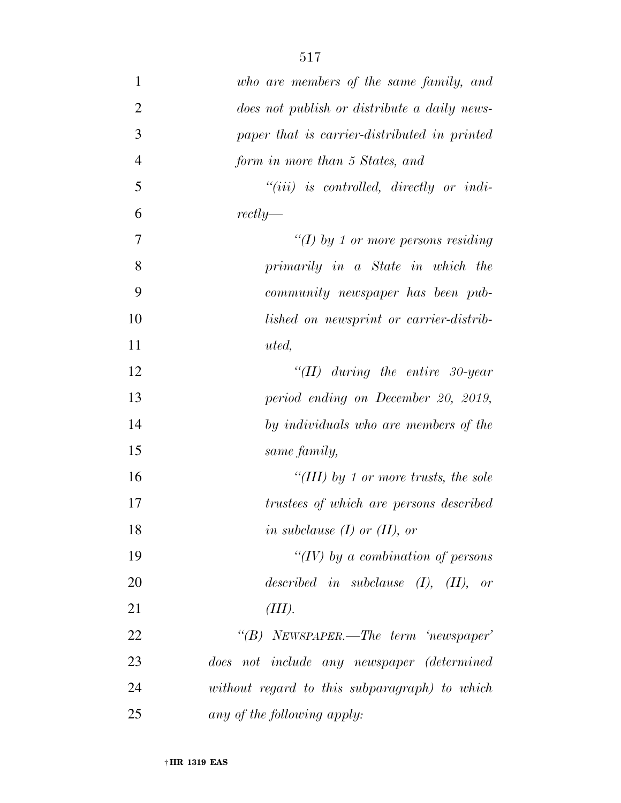| 1              | who are members of the same family, and       |
|----------------|-----------------------------------------------|
| $\overline{2}$ | does not publish or distribute a daily news-  |
| 3              | paper that is carrier-distributed in printed  |
| $\overline{4}$ | form in more than 5 States, and               |
| 5              | $``(iii)$ is controlled, directly or indi-    |
| 6              | $rectly$ —                                    |
| 7              | "(I) by 1 or more persons residing            |
| 8              | primarily in a State in which the             |
| 9              | community newspaper has been pub-             |
| 10             | lished on newsprint or carrier-distrib-       |
| 11             | uted,                                         |
| 12             | "(II) during the entire 30-year               |
| 13             | period ending on December 20, 2019,           |
| 14             | by individuals who are members of the         |
| 15             | same family,                                  |
| 16             | "(III) by 1 or more trusts, the sole          |
| 17             | trustees of which are persons described       |
| 18             | in subclause $(I)$ or $(II)$ , or             |
| 19             | "(IV) by a combination of persons             |
| 20             | described in subclause $(I)$ , $(II)$ , or    |
| 21             | (III).                                        |
| 22             | "(B) NEWSPAPER.—The term 'newspaper'          |
| 23             | does not include any newspaper (determined    |
| 24             | without regard to this subparagraph) to which |
| 25             | any of the following apply:                   |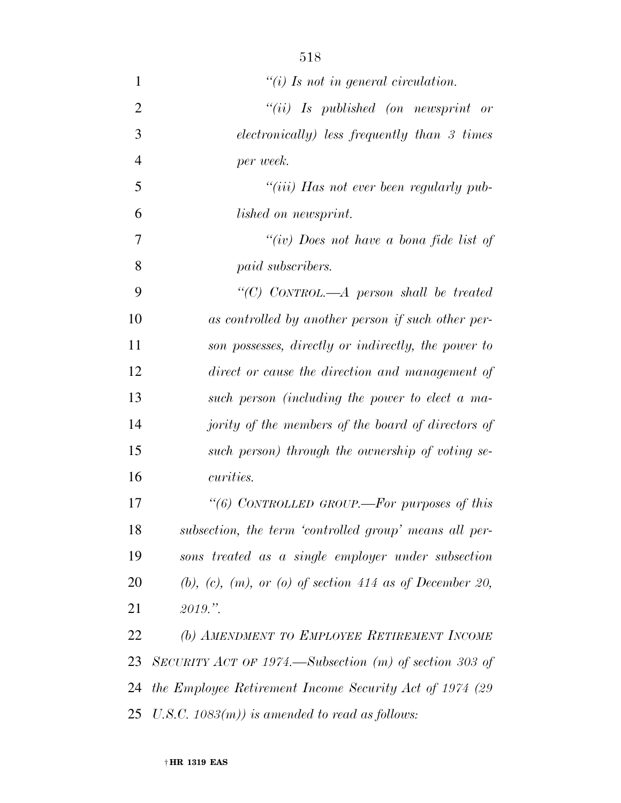| 1              | $\lq\lq(i)$ Is not in general circulation.                         |
|----------------|--------------------------------------------------------------------|
| $\overline{2}$ | $``(ii)$ Is published (on newsprint or                             |
| 3              | electronically) less frequently than 3 times                       |
| $\overline{4}$ | per week.                                                          |
| 5              | "(iii) Has not ever been regularly pub-                            |
| 6              | <i>lished</i> on newsprint.                                        |
| 7              | "(iv) Does not have a bona fide list of                            |
| 8              | paid subscribers.                                                  |
| 9              | "(C) CONTROL.—A person shall be treated                            |
| 10             | as controlled by another person if such other per-                 |
| 11             | son possesses, directly or indirectly, the power to                |
| 12             | direct or cause the direction and management of                    |
| 13             | such person (including the power to elect a ma-                    |
| 14             | jority of the members of the board of directors of                 |
| 15             | such person) through the ownership of voting se-                   |
| 16             | <i>curities.</i>                                                   |
| 17             | "(6) CONTROLLED GROUP.—For purposes of this                        |
| 18             | subsection, the term 'controlled group' means all per-             |
| 19             | sons treated as a single employer under subsection                 |
| 20             | $(b)$ , $(c)$ , $(m)$ , or $(o)$ of section 414 as of December 20, |
| 21             | 2019."                                                             |
| 22             | (b) AMENDMENT TO EMPLOYEE RETIREMENT INCOME                        |
| 23             | SECURITY ACT OF 1974.—Subsection $(m)$ of section 303 of           |
| 24             | the Employee Retirement Income Security Act of 1974 (29)           |
| 25             | U.S.C. $1083(m)$ ) is amended to read as follows:                  |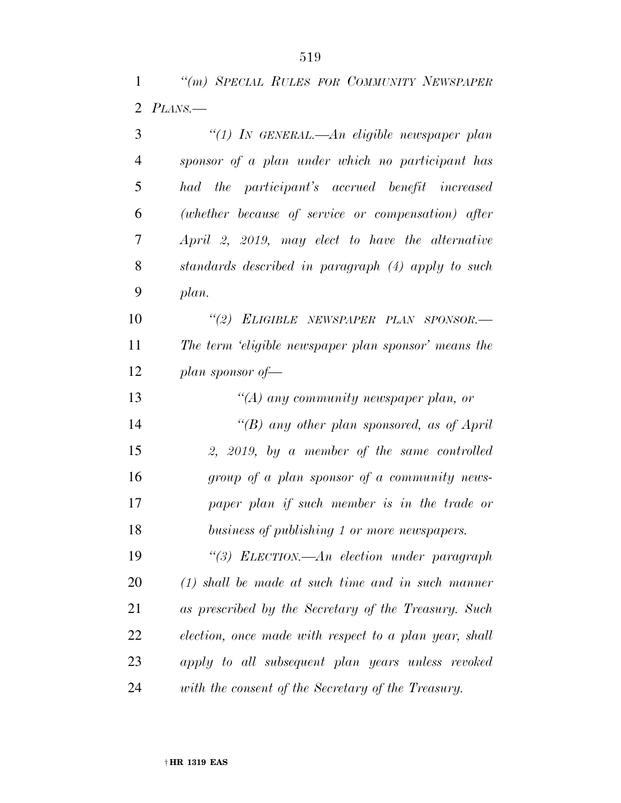*''(m) SPECIAL RULES FOR COMMUNITY NEWSPAPER PLANS.—* 

| 3              | "(1) In GENERAL.—An eligible newspaper plan            |
|----------------|--------------------------------------------------------|
| $\overline{4}$ | sponsor of a plan under which no participant has       |
| 5              | had the participant's accrued benefit increased        |
| 6              | (whether because of service or compensation) after     |
| 7              | April 2, 2019, may elect to have the alternative       |
| 8              | standards described in paragraph (4) apply to such     |
| 9              | plan.                                                  |
| 10             | "(2) ELIGIBLE NEWSPAPER PLAN SPONSOR.-                 |
| 11             | The term 'eligible newspaper plan sponsor' means the   |
| 12             | plan sponsor of $-$                                    |
| 13             | "(A) any community newspaper plan, or                  |
| 14             | "(B) any other plan sponsored, as of April             |
| 15             | 2, 2019, by a member of the same controlled            |
| 16             | group of a plan sponsor of a community news-           |
| 17             | paper plan if such member is in the trade or           |
| 18             | business of publishing 1 or more newspapers.           |
| 19             | "(3) ELECTION.—An election under paragraph             |
| 20             | $(1)$ shall be made at such time and in such manner    |
| 21             | as prescribed by the Secretary of the Treasury. Such   |
| 22             | election, once made with respect to a plan year, shall |
| 23             | apply to all subsequent plan years unless revoked      |
| 24             | with the consent of the Secretary of the Treasury.     |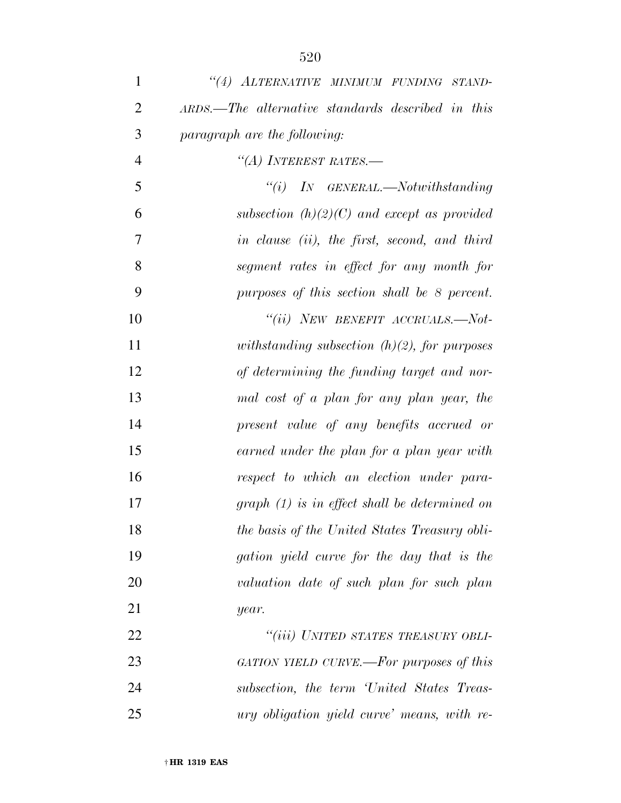| $\mathbf{1}$   | "(4) ALTERNATIVE MINIMUM FUNDING STAND-           |
|----------------|---------------------------------------------------|
| $\overline{2}$ | ARDS.—The alternative standards described in this |
| 3              | paragraph are the following:                      |
| $\overline{4}$ | "(A) INTEREST RATES.—                             |
| 5              | $``(i)$ IN GENERAL.—Notwithstanding               |
| 6              | subsection $(h)(2)(C)$ and except as provided     |
| 7              | in clause (ii), the first, second, and third      |
| 8              | segment rates in effect for any month for         |
| 9              | purposes of this section shall be 8 percent.      |
| 10             | "(ii) NEW BENEFIT ACCRUALS.-Not-                  |
| 11             | withstanding subsection $(h)(2)$ , for purposes   |
| 12             | of determining the funding target and nor-        |
| 13             | mal cost of a plan for any plan year, the         |
| 14             | present value of any benefits accrued or          |
| 15             | earned under the plan for a plan year with        |
| 16             | respect to which an election under para-          |
| 17             | $graph (1)$ is in effect shall be determined on   |
| 18             | the basis of the United States Treasury obli-     |
| 19             | gation yield curve for the day that is the        |
| 20             | valuation date of such plan for such plan         |
| 21             | year.                                             |
| 22             | "(iii) UNITED STATES TREASURY OBLI-               |
| 23             | GATION YIELD CURVE.—For purposes of this          |
| 24             | subsection, the term 'United States Treas-        |
| 25             | ury obligation yield curve' means, with re-       |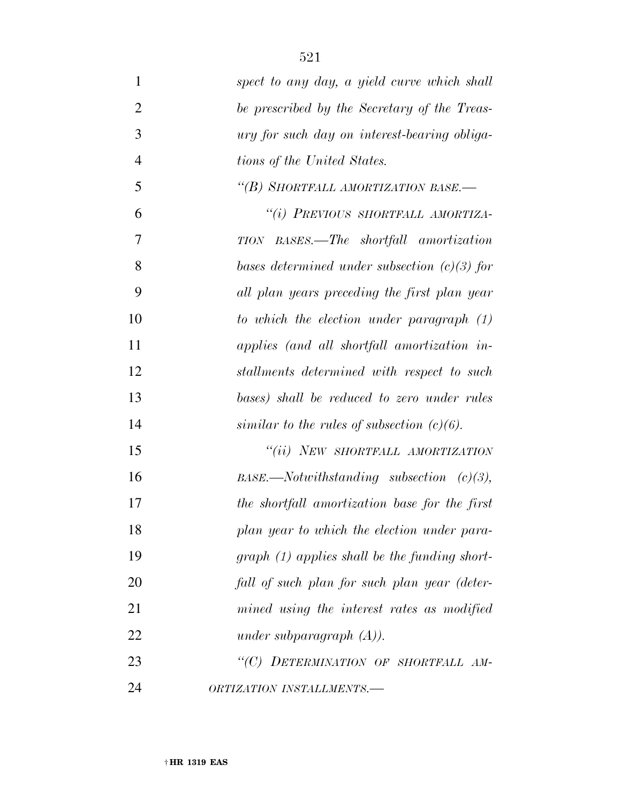| $\mathbf{1}$   | spect to any day, a yield curve which shall     |
|----------------|-------------------------------------------------|
| $\overline{2}$ | be prescribed by the Secretary of the Treas-    |
| 3              | ury for such day on interest-bearing obliga-    |
| $\overline{4}$ | tions of the United States.                     |
| 5              | "(B) SHORTFALL AMORTIZATION BASE.-              |
| 6              | "(i) PREVIOUS SHORTFALL AMORTIZA-               |
| 7              | TION BASES.—The shortfall amortization          |
| 8              | bases determined under subsection $(c)(3)$ for  |
| 9              | all plan years preceding the first plan year    |
| 10             | to which the election under paragraph (1)       |
| 11             | applies (and all shortfall amortization in-     |
| 12             | stallments determined with respect to such      |
| 13             | bases) shall be reduced to zero under rules     |
| 14             | similar to the rules of subsection $(c)(6)$ .   |
| 15             | "(ii) NEW SHORTFALL AMORTIZATION                |
| 16             | $BASE$ . Notwithstanding subsection (c)(3),     |
| 17             | the shortfall amortization base for the first   |
| 18             | plan year to which the election under para-     |
| 19             | $graph (1) applies shall be the funding short-$ |
| 20             | fall of such plan for such plan year (deter-    |
| 21             | mined using the interest rates as modified      |
| 22             | under subparagraph $(A)$ ).                     |
| 23             | "(C) DETERMINATION OF SHORTFALL AM-             |
| 24             | ORTIZATION INSTALLMENTS.-                       |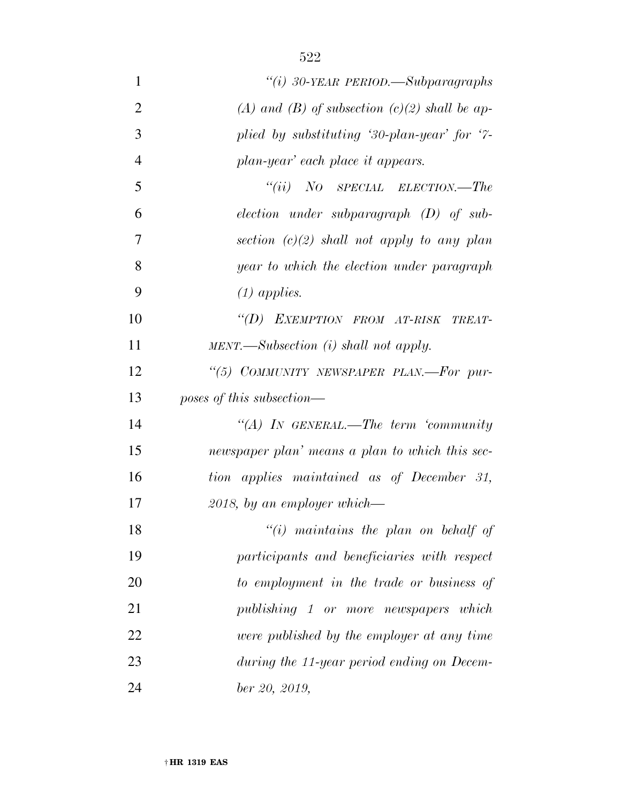| $\mathbf{1}$   | "(i) 30-YEAR PERIOD.—Subparagraphs                      |
|----------------|---------------------------------------------------------|
| $\overline{2}$ | (A) and (B) of subsection $(c)(2)$ shall be ap-         |
| 3              | plied by substituting '30-plan-year' for '7-            |
| $\overline{4}$ | plan-year' each place it appears.                       |
| 5              | $``(ii)$ NO SPECIAL ELECTION.—The                       |
| 6              | $election$ under subparagraph $(D)$ of sub-             |
| 7              | section $(c)(2)$ shall not apply to any plan            |
| 8              | year to which the election under paragraph              |
| 9              | $(1)$ applies.                                          |
| 10             | "(D) EXEMPTION FROM AT-RISK TREAT-                      |
| 11             | $MENT. \longrightarrow Subsection$ (i) shall not apply. |
| 12             | "(5) COMMUNITY NEWSPAPER PLAN.—For pur-                 |
| 13             | poses of this subsection—                               |
| 14             | "(A) IN GENERAL.—The term 'community                    |
| 15             | newspaper plan' means a plan to which this sec-         |
| 16             | tion applies maintained as of December 31,              |
| 17             | $2018$ , by an employer which—                          |
| 18             | $"(i)$ maintains the plan on behalf of                  |
| 19             | participants and beneficiaries with respect             |
| 20             | to employment in the trade or business of               |
| 21             | publishing 1 or more newspapers which                   |
| 22             | were published by the employer at any time              |
| 23             | during the 11-year period ending on Decem-              |
| 24             | ber 20, 2019,                                           |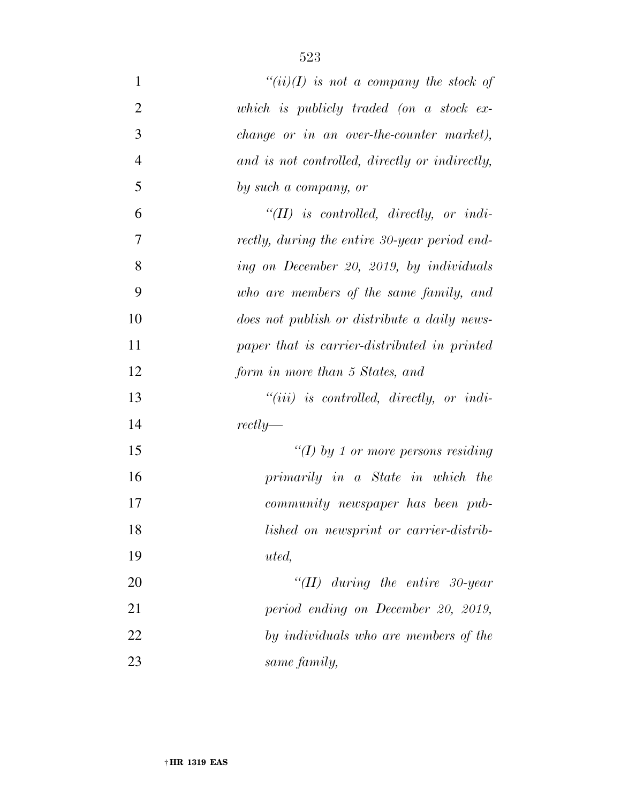| $\mathbf{1}$   | $``(ii)(I)$ is not a company the stock of      |
|----------------|------------------------------------------------|
| $\overline{2}$ | which is publicly traded (on a stock $ex$      |
| 3              | change or in an over-the-counter market),      |
| $\overline{4}$ | and is not controlled, directly or indirectly, |
| 5              | by such a company, or                          |
| 6              | $\lq (II)$ is controlled, directly, or indi-   |
| $\overline{7}$ | rectly, during the entire 30-year period end-  |
| 8              | ing on December 20, 2019, by individuals       |
| 9              | who are members of the same family, and        |
| 10             | does not publish or distribute a daily news-   |
| 11             | paper that is carrier-distributed in printed   |
| 12             | form in more than 5 States, and                |
| 13             | $``(iii)$ is controlled, directly, or indi-    |
| 14             | $rectly$ —                                     |
| 15             | "(I) by 1 or more persons residing             |
| 16             | primarily in a State in which the              |
| 17             | <i>community</i> newspaper has been pub-       |
| 18             | lished on newsprint or carrier-distrib-        |
| 19             | uted,                                          |
| 20             | "(II) during the entire 30-year                |
| 21             | period ending on December 20, 2019,            |
| 22             | by individuals who are members of the          |
| 23             | same family,                                   |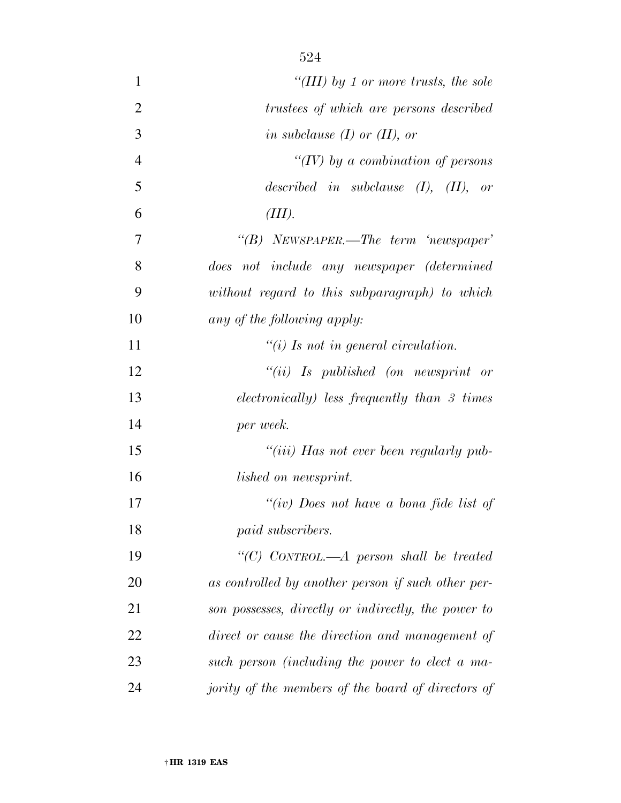| $\mathbf{1}$   | "(III) by 1 or more trusts, the sole                |
|----------------|-----------------------------------------------------|
| $\overline{2}$ | trustees of which are persons described             |
| 3              | in subclause $(I)$ or $(II)$ , or                   |
| $\overline{4}$ | "(IV) by a combination of persons                   |
| 5              | described in subclause $(I)$ , $(II)$ , or          |
| 6              | (III).                                              |
| $\overline{7}$ | "(B) NEWSPAPER.—The term 'newspaper'                |
| 8              | does not include any newspaper (determined          |
| 9              | without regard to this subparagraph) to which       |
| 10             | any of the following apply:                         |
| 11             | "(i) Is not in general circulation.                 |
| 12             | $``(ii)$ Is published (on newsprint or              |
| 13             | electronically) less frequently than 3 times        |
| 14             | per week.                                           |
| 15             | "( <i>iii</i> ) Has not ever been regularly pub-    |
| 16             | <i>lished on newsprint.</i>                         |
| 17             | "(iv) Does not have a bona fide list of             |
| 18             | paid subscribers.                                   |
| 19             | "(C) CONTROL.—A person shall be treated             |
| 20             | as controlled by another person if such other per-  |
| 21             | son possesses, directly or indirectly, the power to |
| 22             | direct or cause the direction and management of     |
| 23             | such person (including the power to elect a ma-     |
| 24             | jority of the members of the board of directors of  |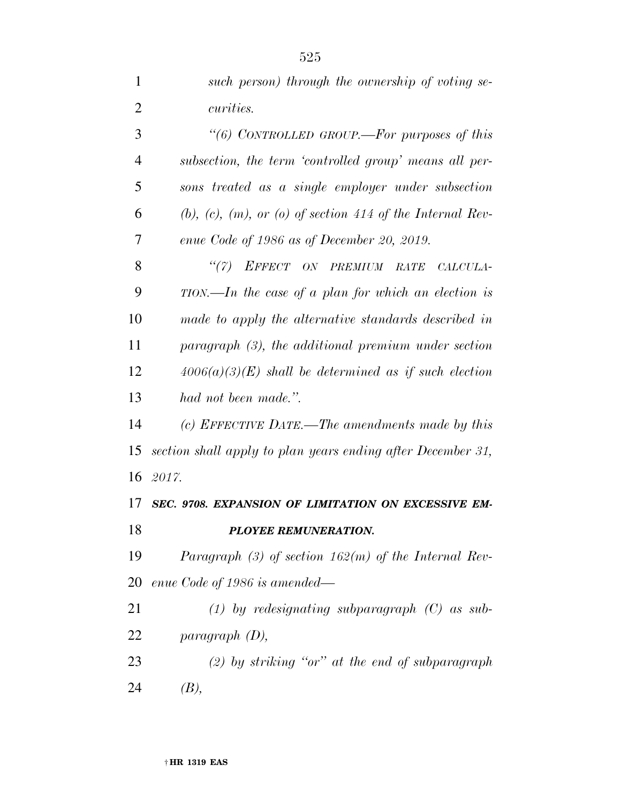| $\mathbf{1}$   | such person) through the ownership of voting se-                     |
|----------------|----------------------------------------------------------------------|
| $\overline{2}$ | <i>curities.</i>                                                     |
| 3              | "(6) CONTROLLED GROUP.—For purposes of this                          |
| $\overline{4}$ | subsection, the term 'controlled group' means all per-               |
| 5              | sons treated as a single employer under subsection                   |
| 6              | $(b)$ , $(c)$ , $(m)$ , or $(o)$ of section 414 of the Internal Rev- |
| 7              | enue Code of 1986 as of December 20, 2019.                           |
| 8              | "(7) EFFECT ON PREMIUM RATE CALCULA-                                 |
| 9              | $TION$ —In the case of a plan for which an election is               |
| 10             | made to apply the alternative standards described in                 |
| 11             | paragraph (3), the additional premium under section                  |
| 12             | $4006(a)(3)(E)$ shall be determined as if such election              |
| 13             | had not been made.".                                                 |
| 14             | (c) EFFECTIVE DATE.—The amendments made by this                      |
| 15             | section shall apply to plan years ending after December 31,          |
|                | 16 2017.                                                             |
| 17             | SEC. 9708. EXPANSION OF LIMITATION ON EXCESSIVE EM-                  |
| 18             | <b>PLOYEE REMUNERATION.</b>                                          |
| 19             | Paragraph $(3)$ of section 162(m) of the Internal Rev-               |
| 20             | enue Code of 1986 is amended—                                        |
| 21             | $(1)$ by redesignating subparagraph $(C)$ as sub-                    |
| 22             | $paramph$ (D),                                                       |
| 23             | (2) by striking "or" at the end of subparagraph                      |
| 24             | (B),                                                                 |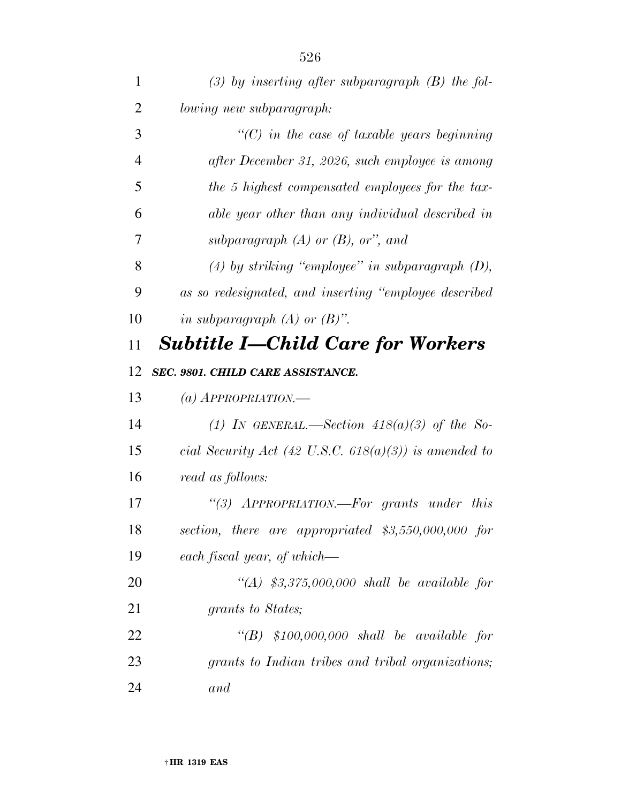| $\mathbf{1}$   | $(3)$ by inserting after subparagraph $(B)$ the fol-  |
|----------------|-------------------------------------------------------|
| 2              | lowing new subparagraph:                              |
| 3              | $\lq$ (C) in the case of taxable years beginning      |
| $\overline{4}$ | after December 31, 2026, such employee is among       |
| 5              | the 5 highest compensated employees for the tax-      |
| 6              | able year other than any individual described in      |
| 7              | subparagraph $(A)$ or $(B)$ , or", and                |
| 8              | $(4)$ by striking "employee" in subparagraph $(D)$ ,  |
| 9              | as so redesignated, and inserting "employee described |
| 10             | in subparagraph $(A)$ or $(B)$ ".                     |
| 11             | <b>Subtitle I–Child Care for Workers</b>              |
| 12             | SEC. 9801. CHILD CARE ASSISTANCE.                     |
| 13             | (a) $APPROPRIATION$ .                                 |
| 14             | (1) IN GENERAL.—Section $418(a)(3)$ of the So-        |
| 15             | cial Security Act (42 U.S.C. 618(a)(3)) is amended to |
| 16             | read as follows:                                      |
| 17             | "(3) APPROPRIATION.—For grants under this             |
| 18             | section, there are appropriated \$3,550,000,000 for   |
| 19             | each fiscal year, of which—                           |
| 20             | "(A) $$3,375,000,000$ shall be available for          |
| 21             | grants to States;                                     |
| 22             | " $(B)$ \$100,000,000 shall be available for          |
|                |                                                       |
| 23             | grants to Indian tribes and tribal organizations;     |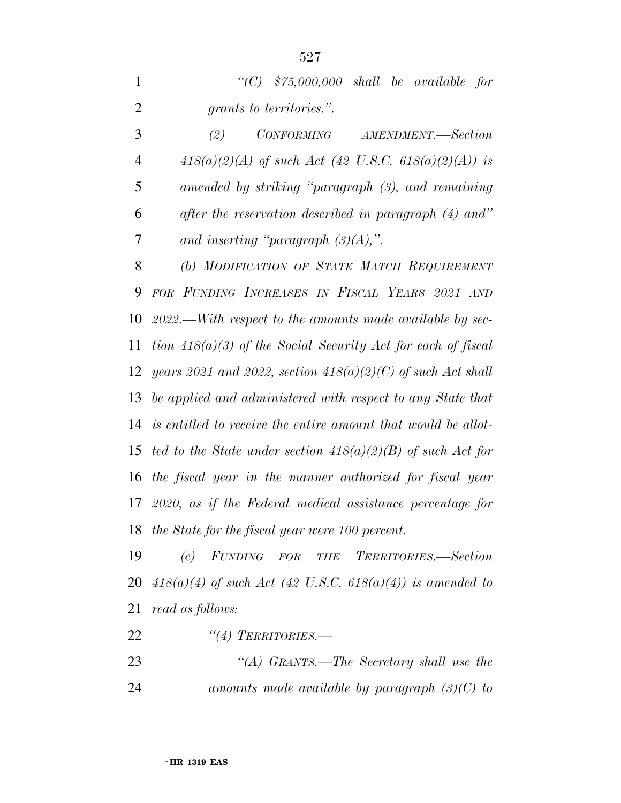|  | "(C) $$75,000,000$ shall be available for |  |  |
|--|-------------------------------------------|--|--|
|  | grants to territories.".                  |  |  |

 *(2) CONFORMING AMENDMENT.—Section 418(a)(2)(A) of such Act (42 U.S.C. 618(a)(2)(A)) is amended by striking ''paragraph (3), and remaining after the reservation described in paragraph (4) and'' and inserting ''paragraph (3)(A),''.* 

 *(b) MODIFICATION OF STATE MATCH REQUIREMENT FOR FUNDING INCREASES IN FISCAL YEARS 2021 AND 2022.—With respect to the amounts made available by sec- tion 418(a)(3) of the Social Security Act for each of fiscal years 2021 and 2022, section 418(a)(2)(C) of such Act shall be applied and administered with respect to any State that is entitled to receive the entire amount that would be allot- ted to the State under section 418(a)(2)(B) of such Act for the fiscal year in the manner authorized for fiscal year 2020, as if the Federal medical assistance percentage for the State for the fiscal year were 100 percent.* 

 *(c) FUNDING FOR THE TERRITORIES.—Section 418(a)(4) of such Act (42 U.S.C. 618(a)(4)) is amended to read as follows:* 

*''(4) TERRITORIES.—* 

 *''(A) GRANTS.—The Secretary shall use the amounts made available by paragraph (3)(C) to*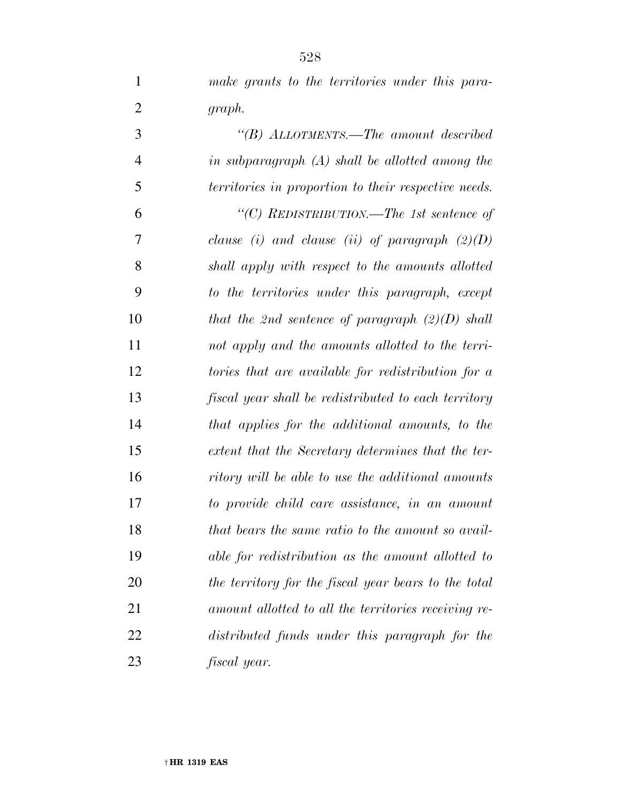| make grants to the territories under this para- |  |
|-------------------------------------------------|--|
| graph.                                          |  |

| 3              | "(B) ALLOTMENTS.—The amount described                |
|----------------|------------------------------------------------------|
| $\overline{4}$ | in subparagraph $(A)$ shall be allotted among the    |
| 5              | territories in proportion to their respective needs. |
| 6              | "(C) REDISTRIBUTION.—The 1st sentence of             |
| 7              | clause (i) and clause (ii) of paragraph $(2)(D)$     |
| 8              | shall apply with respect to the amounts allotted     |
| 9              | to the territories under this paragraph, except      |
| 10             | that the 2nd sentence of paragraph $(2)(D)$ shall    |
| 11             | not apply and the amounts allotted to the terri-     |
| 12             | tories that are available for redistribution for a   |
| 13             | fiscal year shall be redistributed to each territory |
| 14             | that applies for the additional amounts, to the      |
| 15             | extent that the Secretary determines that the ter-   |
| 16             | ritory will be able to use the additional amounts    |
| 17             | to provide child care assistance, in an amount       |
| 18             | that bears the same ratio to the amount so avail-    |
| 19             | able for redistribution as the amount allotted to    |
| 20             | the territory for the fiscal year bears to the total |
| 21             | amount allotted to all the territories receiving re- |
| 22             | distributed funds under this paragraph for the       |
| 23             | fiscal year.                                         |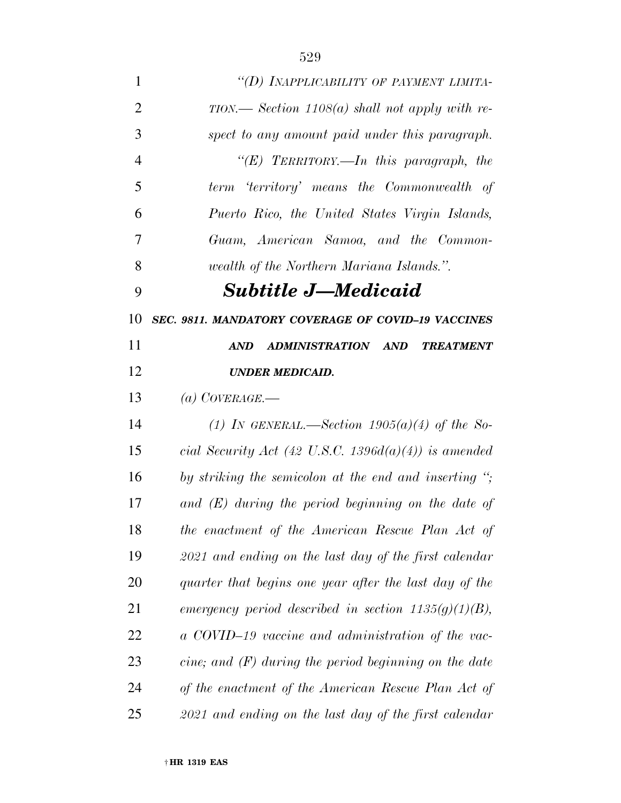| 1              | "(D) INAPPLICABILITY OF PAYMENT LIMITA-                              |
|----------------|----------------------------------------------------------------------|
| $\overline{2}$ | $TION.$ Section 1108(a) shall not apply with re-                     |
| 3              | spect to any amount paid under this paragraph.                       |
| $\overline{4}$ | "(E) TERRITORY.—In this paragraph, the                               |
| 5              | term 'territory' means the Commonwealth of                           |
| 6              | Puerto Rico, the United States Virgin Islands,                       |
| 7              | Guam, American Samoa, and the Common-                                |
| 8              | wealth of the Northern Mariana Islands.".                            |
| 9              | <b>Subtitle J—Medicaid</b>                                           |
| 10             | SEC. 9811. MANDATORY COVERAGE OF COVID-19 VACCINES                   |
| 11             | ADMINISTRATION AND<br><b>TREATMENT</b><br>AND                        |
| 12             | <b>UNDER MEDICAID.</b>                                               |
| 13             | (a) COVERAGE.—                                                       |
| 14             | (1) IN GENERAL.—Section $1905(a)(4)$ of the So-                      |
| 15             | cial Security Act (42 U.S.C. 1396 $d(a)(4)$ ) is amended             |
| 16             | by striking the semicolon at the end and inserting $\dddot{\cdot}$ ; |
| 17             | and $(E)$ during the period beginning on the date of                 |
| 18             | the enactment of the American Rescue Plan Act of                     |
| 19             | $2021$ and ending on the last day of the first calendar              |
| 20             | quarter that begins one year after the last day of the               |
| 21             | emergency period described in section $1135(g)(1)(B)$ ,              |
| 22             | a COVID-19 vaccine and administration of the vac-                    |
| 23             | cine; and $(F)$ during the period beginning on the date              |
| 24             | of the enactment of the American Rescue Plan Act of                  |
| 25             | $2021$ and ending on the last day of the first calendar              |
|                |                                                                      |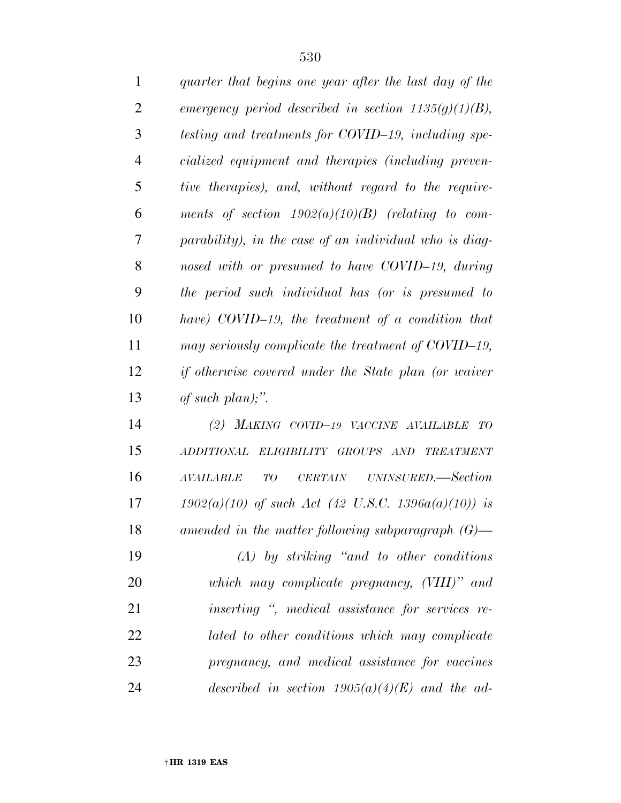| $\mathbf{1}$   | quarter that begins one year after the last day of the  |
|----------------|---------------------------------------------------------|
| $\overline{2}$ | emergency period described in section $1135(g)(1)(B)$ , |
| 3              | testing and treatments for COVID-19, including spe-     |
| 4              | cialized equipment and therapies (including preven-     |
| 5              | tive therapies), and, without regard to the require-    |
| 6              | ments of section $1902(a)(10)(B)$ (relating to com-     |
| 7              | parability), in the case of an individual who is diag-  |
| 8              | nosed with or presumed to have COVID-19, during         |
| 9              | the period such individual has (or is presumed to       |
| 10             | have) COVID-19, the treatment of a condition that       |
| 11             | may seriously complicate the treatment of COVID-19,     |
| 12             | if otherwise covered under the State plan (or waiver    |
| 13             | of such plan);".                                        |
|                |                                                         |

 *(2) MAKING COVID–19 VACCINE AVAILABLE TO ADDITIONAL ELIGIBILITY GROUPS AND TREATMENT AVAILABLE TO CERTAIN UNINSURED.—Section 1902(a)(10) of such Act (42 U.S.C. 1396a(a)(10)) is amended in the matter following subparagraph (G)— (A) by striking ''and to other conditions which may complicate pregnancy, (VIII)'' and inserting '', medical assistance for services re- lated to other conditions which may complicate pregnancy, and medical assistance for vaccines described in section 1905(a)(4)(E) and the ad-*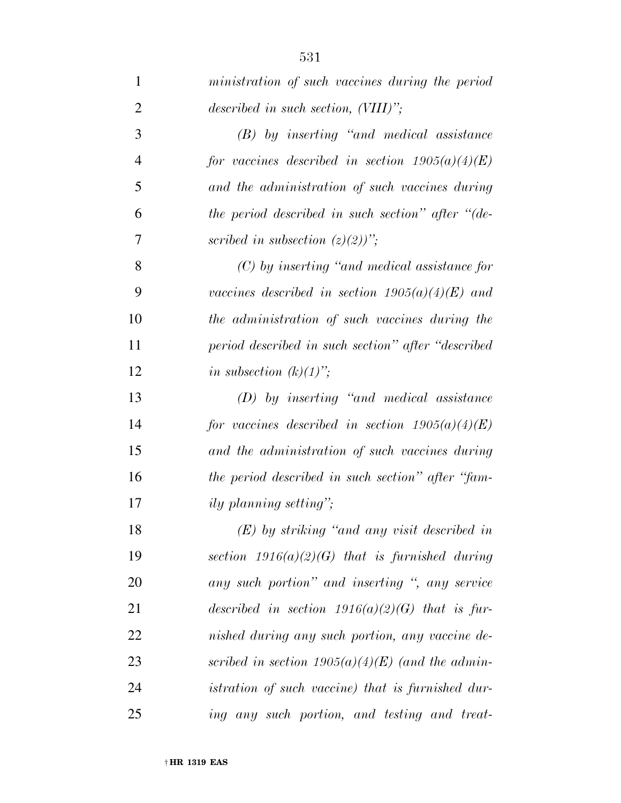*(B) by inserting ''and medical assistance for vaccines described in section 1905(a)(4)(E) and the administration of such vaccines during the period described in such section'' after ''(de-scribed in subsection (z)(2))'';* 

 *(C) by inserting ''and medical assistance for vaccines described in section 1905(a)(4)(E) and the administration of such vaccines during the period described in such section'' after ''described in subsection*  $(k)(1)$ ;

 *(D) by inserting ''and medical assistance for vaccines described in section 1905(a)(4)(E) and the administration of such vaccines during the period described in such section'' after ''fam-ily planning setting'';* 

 *(E) by striking ''and any visit described in section 1916(a)(2)(G) that is furnished during any such portion'' and inserting '', any service described in section 1916(a)(2)(G) that is fur- nished during any such portion, any vaccine de- scribed in section 1905(a)(4)(E) (and the admin- istration of such vaccine) that is furnished dur-ing any such portion, and testing and treat-*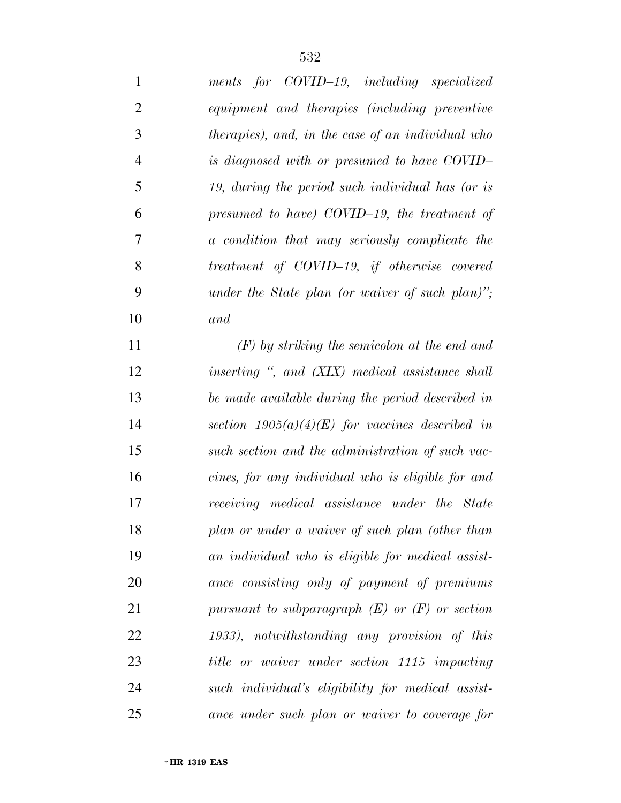| 1              | ments for COVID-19, including specialized          |
|----------------|----------------------------------------------------|
| $\overline{2}$ | equipment and therapies (including preventive      |
| 3              | therapies), and, in the case of an individual who  |
| $\overline{4}$ | is diagnosed with or presumed to have COVID-       |
| 5              | 19, during the period such individual has (or is   |
| 6              | presumed to have) COVID-19, the treatment of       |
| 7              | a condition that may seriously complicate the      |
| 8              | treatment of COVID-19, if otherwise covered        |
| 9              | under the State plan (or waiver of such plan)";    |
| 10             | and                                                |
| 11             | $(F)$ by striking the semicolon at the end and     |
| 12             | inserting ", and (XIX) medical assistance shall    |
| 13             | be made available during the period described in   |
| 14             | section $1905(a)(4)(E)$ for vaccines described in  |
| 15             | such section and the administration of such vac-   |
| 16             | cines, for any individual who is eligible for and  |
| 17             | receiving medical assistance under the State       |
| 18             | plan or under a waiver of such plan (other than    |
| 19             | an individual who is eligible for medical assist-  |
| 20             | ance consisting only of payment of premiums        |
| 21             | pursuant to subparagraph $(E)$ or $(F)$ or section |
| 22             | 1933), notwithstanding any provision of this       |
| 23             | title or waiver under section 1115 impacting       |
| 24             | such individual's eligibility for medical assist-  |
| 25             | ance under such plan or waiver to coverage for     |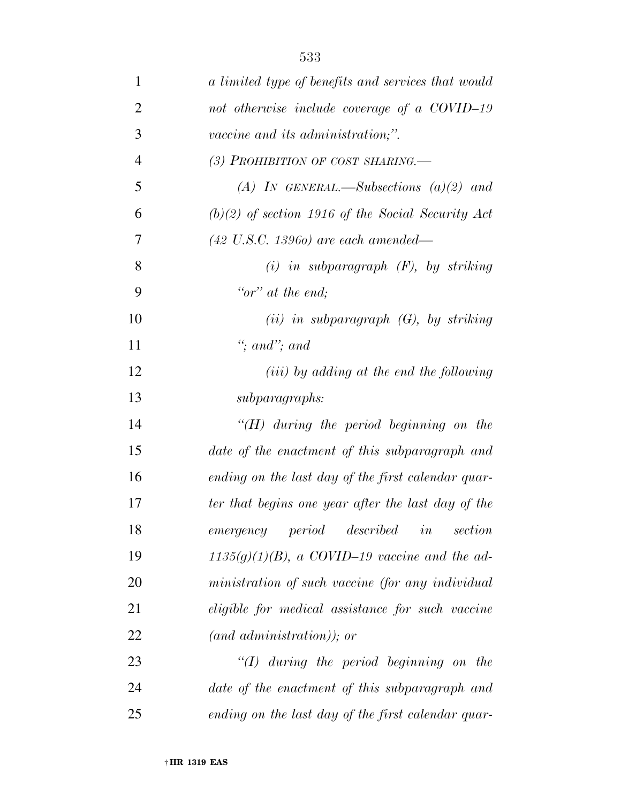| $\mathbf{1}$   | a limited type of benefits and services that would  |
|----------------|-----------------------------------------------------|
| $\overline{2}$ | not otherwise include coverage of a COVID-19        |
| 3              | <i>vaccine and its administration</i> ;".           |
| $\overline{4}$ | (3) PROHIBITION OF COST SHARING.                    |
| 5              | (A) IN GENERAL.—Subsections $(a)(2)$ and            |
| 6              | $(b)(2)$ of section 1916 of the Social Security Act |
| 7              | $(42 \text{ U.S.C. } 13960)$ are each amended—      |
| 8              | $(i)$ in subparagraph $(F)$ , by striking           |
| 9              | "or" at the end;                                    |
| 10             | (ii) in subparagraph $(G)$ , by striking            |
| 11             | "; and"; and                                        |
| 12             | ( <i>iii</i> ) by adding at the end the following   |
| 13             | subparagraphs:                                      |
| 14             | $H(H)$ during the period beginning on the           |
| 15             | date of the enactment of this subparagraph and      |
| 16             | ending on the last day of the first calendar quar-  |
| 17             | ter that begins one year after the last day of the  |
| 18             | $emergency\ \ period$<br>described<br>section<br>in |
| 19             | $1135(g)(1)(B)$ , a COVID-19 vaccine and the ad-    |
| 20             | ministration of such vaccine (for any individual    |
| 21             | eligible for medical assistance for such vaccine    |
| 22             | $(and\ administration);$ or                         |
| 23             | $\lq (I)$ during the period beginning on the        |
| 24             | date of the enactment of this subparagraph and      |
| 25             | ending on the last day of the first calendar quar-  |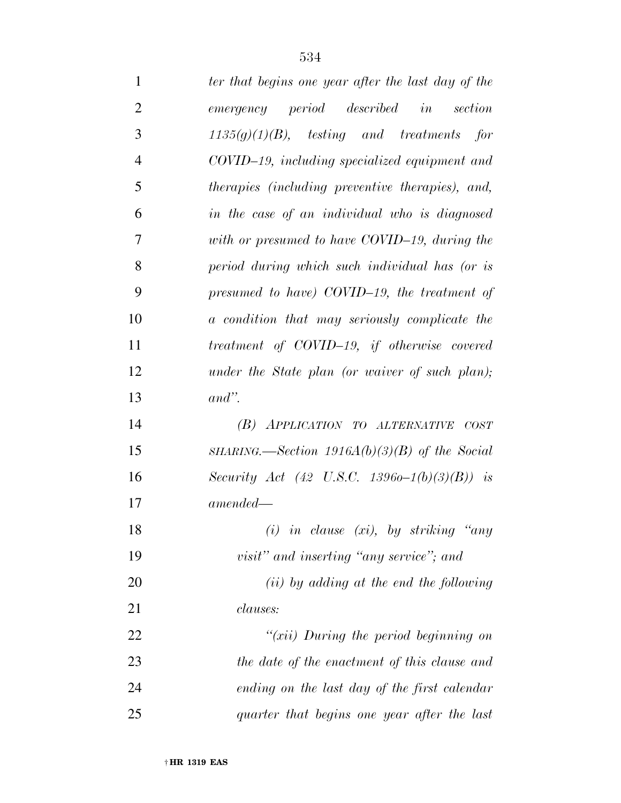| $\mathbf{1}$   | ter that begins one year after the last day of the      |
|----------------|---------------------------------------------------------|
| $\overline{2}$ | emergency period described in<br>section                |
| 3              | $1135(g)(1)(B)$ , testing and treatments for            |
| $\overline{4}$ | COVID-19, including specialized equipment and           |
| 5              | <i>therapies (including preventive therapies), and,</i> |
| 6              | in the case of an individual who is diagnosed           |
| 7              | with or presumed to have COVID-19, during the           |
| 8              | period during which such individual has (or is          |
| 9              | presumed to have) COVID-19, the treatment of            |
| 10             | a condition that may seriously complicate the           |
| 11             | treatment of COVID-19, if otherwise covered             |
| 12             | under the State plan (or waiver of such plan);          |
| 13             | $and$ ".                                                |
| 14             | (B) APPLICATION TO ALTERNATIVE COST                     |
| 15             | SHARING.—Section 1916A(b)(3)(B) of the Social           |
| 16             | Security Act (42 U.S.C. 13960-1(b)(3)(B)) is            |
| 17             | $amended -$                                             |
| 18             | $(i)$ in clause (xi), by striking "any                  |
| 19             | visit" and inserting "any service"; and                 |
| 20             | $(ii)$ by adding at the end the following               |
| 21             | <i>clauses:</i>                                         |
| 22             | " $(xii)$ During the period beginning on                |
| 23             | the date of the enactment of this clause and            |
| 24             | ending on the last day of the first calendar            |
| 25             | quarter that begins one year after the last             |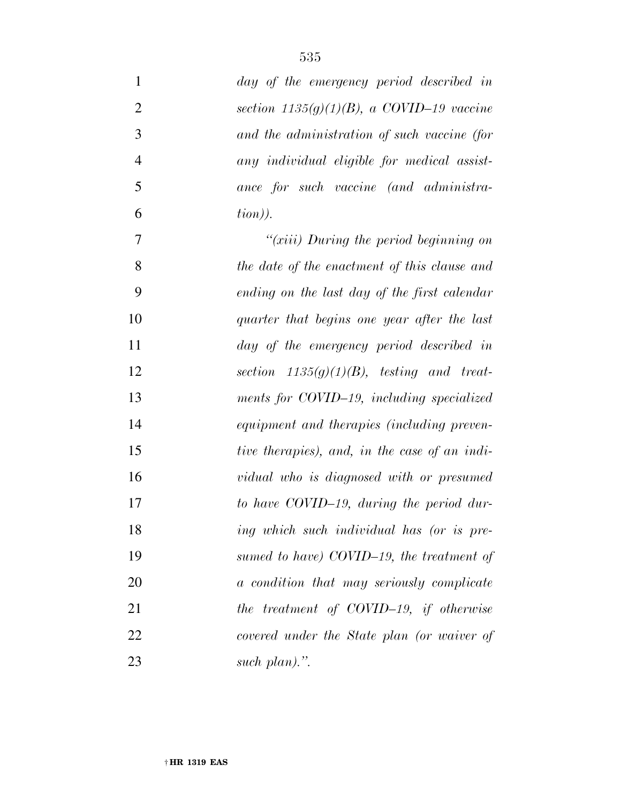| $\mathbf{1}$   | day of the emergency period described in      |
|----------------|-----------------------------------------------|
| $\overline{2}$ | section $1135(g)(1)(B)$ , a COVID-19 vaccine  |
| 3              | and the administration of such vaccine (for   |
| $\overline{4}$ | any individual eligible for medical assist-   |
| 5              | ance for such vaccine (and administra-        |
| 6              | tion).                                        |
| $\tau$         | " $(xiii)$ During the period beginning on     |
| 8              | the date of the enactment of this clause and  |
| 9              | ending on the last day of the first calendar  |
| 10             | quarter that begins one year after the last   |
| 11             | day of the emergency period described in      |
| 12             | section $1135(g)(1)(B)$ , testing and treat-  |
| 13             | ments for COVID-19, including specialized     |
| 14             | equipment and therapies (including preven-    |
| 15             | tive therapies), and, in the case of an indi- |
| 16             | vidual who is diagnosed with or presumed      |
| 17             | to have COVID-19, during the period dur-      |
| 18             | ing which such individual has (or is pre-     |
| 19             | sumed to have) COVID-19, the treatment of     |
| 20             | a condition that may seriously complicate     |
| 21             | the treatment of COVID-19, if otherwise       |
| 22             | covered under the State plan (or waiver of    |
| 23             | such $plan$ .".                               |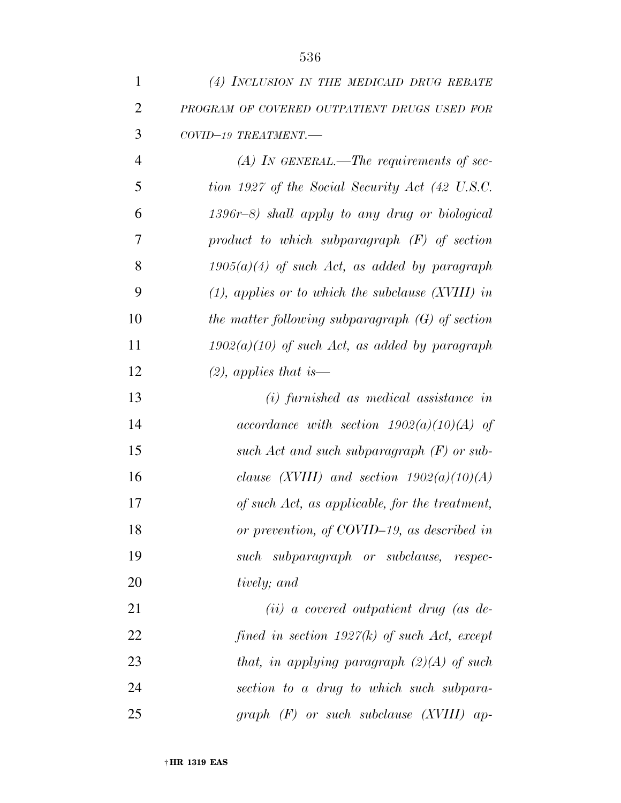| $\mathbf{1}$   | (4) INCLUSION IN THE MEDICAID DRUG REBATE              |
|----------------|--------------------------------------------------------|
| $\overline{2}$ | PROGRAM OF COVERED OUTPATIENT DRUGS USED FOR           |
| 3              | COVID-19 TREATMENT.-                                   |
| $\overline{4}$ | $(A)$ In GENERAL.—The requirements of sec-             |
| 5              | tion 1927 of the Social Security Act (42 U.S.C.        |
| 6              | $1396r-8$ ) shall apply to any drug or biological      |
| 7              | product to which subparagraph $(F)$ of section         |
| 8              | $1905(a)(4)$ of such Act, as added by paragraph        |
| 9              | $(1)$ , applies or to which the subclause $(XVIII)$ in |
| 10             | the matter following subparagraph $(G)$ of section     |
| 11             | $1902(a)(10)$ of such Act, as added by paragraph       |
| 12             | $(2)$ , applies that is —                              |
| 13             | $(i)$ furnished as medical assistance in               |
| 14             | accordance with section $1902(a)(10)(A)$ of            |
| 15             | such Act and such subparagraph $(F)$ or sub-           |
| 16             | clause (XVIII) and section $1902(a)(10)(A)$            |
| 17             | of such Act, as applicable, for the treatment,         |
| 18             | or prevention, of COVID-19, as described in            |
| 19             | such subparagraph or subclause, respec-                |
| 20             | tively; and                                            |

 *(ii) a covered outpatient drug (as de- fined in section 1927(k) of such Act, except that, in applying paragraph (2)(A) of such section to a drug to which such subpara-graph (F) or such subclause (XVIII) ap-*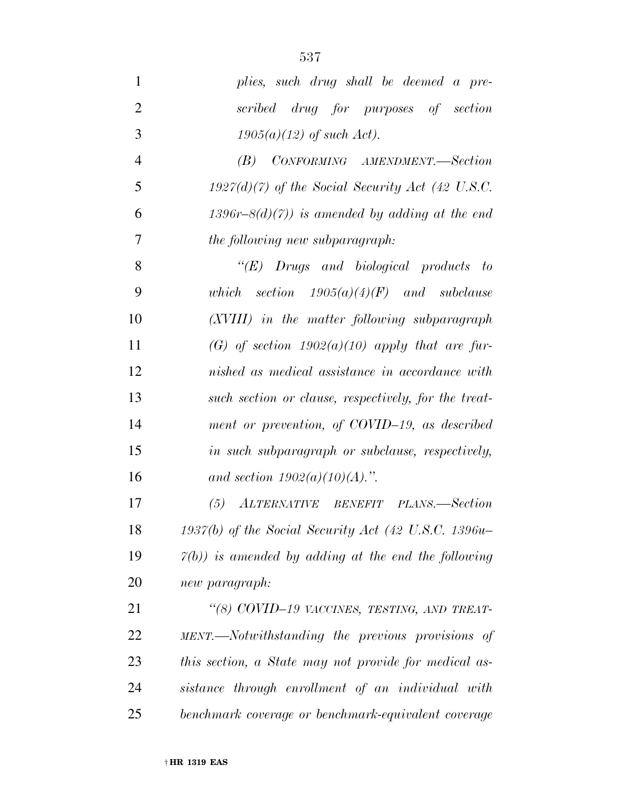| $\mathbf{1}$   | plies, such drug shall be deemed a pre-                          |
|----------------|------------------------------------------------------------------|
| $\overline{2}$ | scribed drug for purposes of section                             |
| 3              | $1905(a)(12)$ of such Act).                                      |
| $\overline{4}$ | CONFORMING AMENDMENT.-Section<br>(B)                             |
| 5              | $1927(d)(7)$ of the Social Security Act (42 U.S.C.               |
| 6              | 1396r-8(d)(7)) is amended by adding at the end                   |
| 7              | the following new subparagraph:                                  |
| 8              | $\lq\lq E$ Drugs and biological products to                      |
| 9              | which section $1905(a)(4)(F)$ and subclause                      |
| 10             | (XVIII) in the matter following subparagraph                     |
| 11             | (G) of section $1902(a)(10)$ apply that are fur-                 |
| 12             | nished as medical assistance in accordance with                  |
| 13             | such section or clause, respectively, for the treat-             |
| 14             | ment or prevention, of COVID-19, as described                    |
| 15             | in such subparagraph or subclause, respectively,                 |
| 16             | and section $1902(a)(10)(A)$ .".                                 |
| 17             | ALTERNATIVE BENEFIT PLANS.—Section<br>(5)                        |
| 18             | $1937(b)$ of the Social Security Act (42 U.S.C. 1396u-           |
| 19             | $\mathcal{V}(b)$ ) is amended by adding at the end the following |
| 20             | new paragraph:                                                   |
| 21             | "(8) COVID-19 VACCINES, TESTING, AND TREAT-                      |
| 22             | MENT.—Notwithstanding the previous provisions of                 |
| 23             | this section, a State may not provide for medical as-            |
| 24             | sistance through enrollment of an individual with                |
| 25             | benchmark coverage or benchmark-equivalent coverage              |
|                |                                                                  |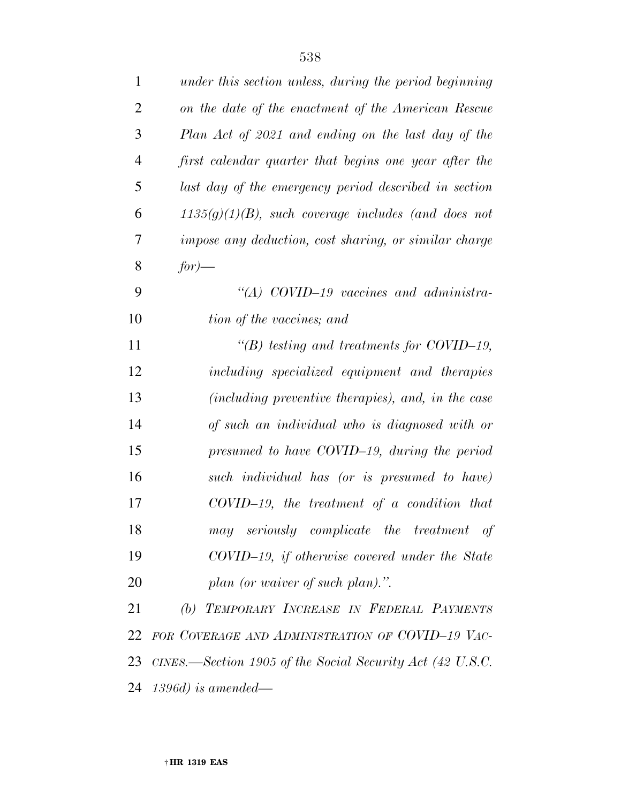| 1              | under this section unless, during the period beginning       |
|----------------|--------------------------------------------------------------|
| $\overline{2}$ | on the date of the enactment of the American Rescue          |
| 3              | Plan Act of 2021 and ending on the last day of the           |
| $\overline{4}$ | first calendar quarter that begins one year after the        |
| 5              | last day of the emergency period described in section        |
| 6              | $1135(g)(1)(B)$ , such coverage includes (and does not       |
| 7              | impose any deduction, cost sharing, or similar charge        |
| 8              | $for$ )—                                                     |
| 9              | "(A) COVID-19 vaccines and administra-                       |
| 10             | tion of the vaccines; and                                    |
| 11             | "(B) testing and treatments for COVID-19,                    |
| 12             | including specialized equipment and therapies                |
| 13             | (including preventive therapies), and, in the case           |
| 14             | of such an individual who is diagnosed with or               |
| 15             | presumed to have COVID-19, during the period                 |
| 16             | such individual has (or is presumed to have)                 |
| 17             | $COVID-19$ , the treatment of a condition that               |
| 18             | may seriously complicate the treatment of                    |
| 19             | COVID-19, if otherwise covered under the State               |
| 20             | plan (or waiver of such plan).".                             |
| 21             | (b) TEMPORARY INCREASE IN FEDERAL PAYMENTS                   |
| 22             | FOR COVERAGE AND ADMINISTRATION OF COVID-19 VAC-             |
|                | 23 CINES.—Section 1905 of the Social Security Act (42 U.S.C. |
|                |                                                              |

*1396d) is amended—*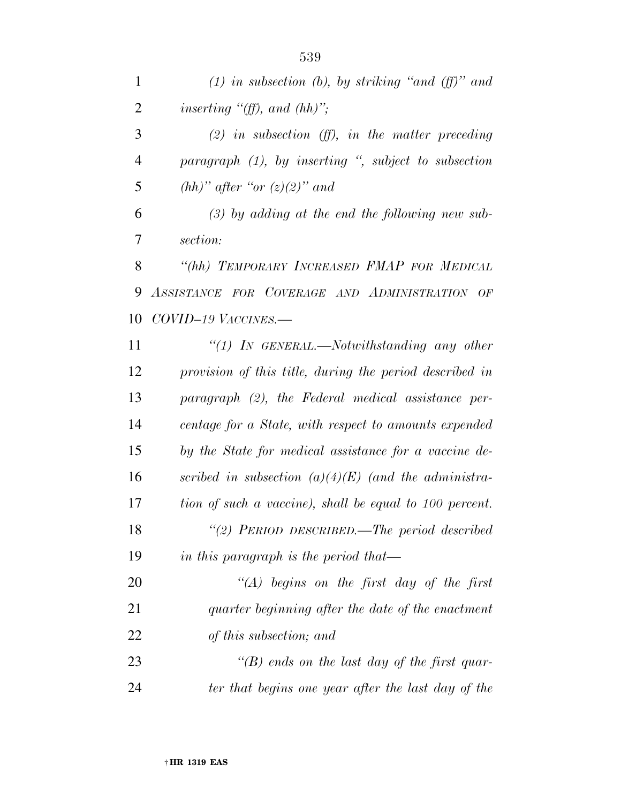| $\mathbf{1}$   | (1) in subsection (b), by striking "and (ff)" and       |
|----------------|---------------------------------------------------------|
| $\overline{2}$ | inserting " $(ff)$ , and $(hh)$ ";                      |
| 3              | (2) in subsection $(ff)$ , in the matter preceding      |
| $\overline{4}$ | paragraph (1), by inserting ", subject to subsection    |
| 5              | $(hh)$ " after "or $(z)(2)$ " and                       |
| 6              | $(3)$ by adding at the end the following new sub-       |
| 7              | section:                                                |
| 8              | "(hh) TEMPORARY INCREASED FMAP FOR MEDICAL              |
| 9              | ASSISTANCE FOR COVERAGE AND ADMINISTRATION OF           |
| 10             | $COVID-19$ $VACCINES$ .                                 |
| 11             | "(1) In GENERAL.—Notwithstanding any other              |
| 12             | provision of this title, during the period described in |
| 13             | paragraph (2), the Federal medical assistance per-      |
| 14             | centage for a State, with respect to amounts expended   |
| 15             | by the State for medical assistance for a vaccine de-   |
| 16             | scribed in subsection $(a)(4)(E)$ (and the administra-  |
| 17             | tion of such a vaccine), shall be equal to 100 percent. |
| 18             | "(2) PERIOD DESCRIBED.—The period described             |
| 19             | in this paragraph is the period that—                   |
| 20             | $\lq (A)$ begins on the first day of the first          |
| 21             | quarter beginning after the date of the enactment       |
| 22             | of this subsection; and                                 |
| 23             | $\lq (B)$ ends on the last day of the first quar-       |
| 24             | ter that begins one year after the last day of the      |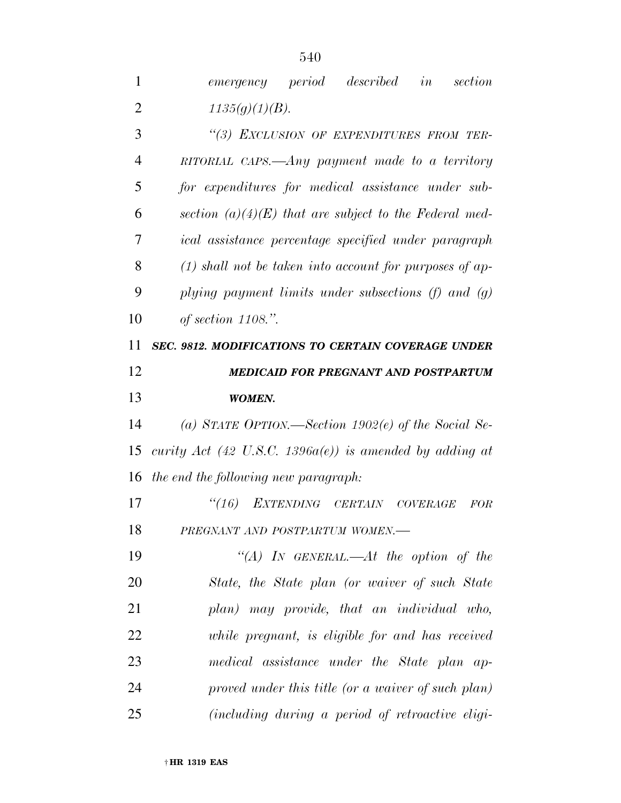| 1              | described<br>emergency period<br>section<br>in              |
|----------------|-------------------------------------------------------------|
| $\overline{2}$ | 1135(g)(1)(B).                                              |
| 3              | "(3) EXCLUSION OF EXPENDITURES FROM TER-                    |
| $\overline{4}$ | RITORIAL CAPS.—Any payment made to a territory              |
| 5              | for expenditures for medical assistance under sub-          |
| 6              | section $(a)(4)(E)$ that are subject to the Federal med-    |
| 7              | ical assistance percentage specified under paragraph        |
| 8              | $(1)$ shall not be taken into account for purposes of ap-   |
| 9              | plying payment limits under subsections $(f)$ and $(g)$     |
| 10             | of section $1108$ .".                                       |
| 11             | SEC. 9812. MODIFICATIONS TO CERTAIN COVERAGE UNDER          |
| 12             | <b>MEDICAID FOR PREGNANT AND POSTPARTUM</b>                 |
| 13             | <b>WOMEN.</b>                                               |
| 14             | (a) STATE OPTION.—Section 1902(e) of the Social Se-         |
| 15             | curity Act (42 U.S.C. 1396 $a(e)$ ) is amended by adding at |
| 16             | the end the following new paragraph:                        |
| 17             | $\frac{1}{16}$<br>EXTENDING CERTAIN COVERAGE<br>FOR         |
| 18             | PREGNANT AND POSTPARTUM WOMEN.                              |
| 19             | "(A) IN GENERAL.—At the option of the                       |
| 20             | State, the State plan (or waiver of such State              |
| 21             | plan) may provide, that an individual who,                  |
| 22             | while pregnant, is eligible for and has received            |
| 23             | medical assistance under the State plan ap-                 |

 *proved under this title (or a waiver of such plan) (including during a period of retroactive eligi-*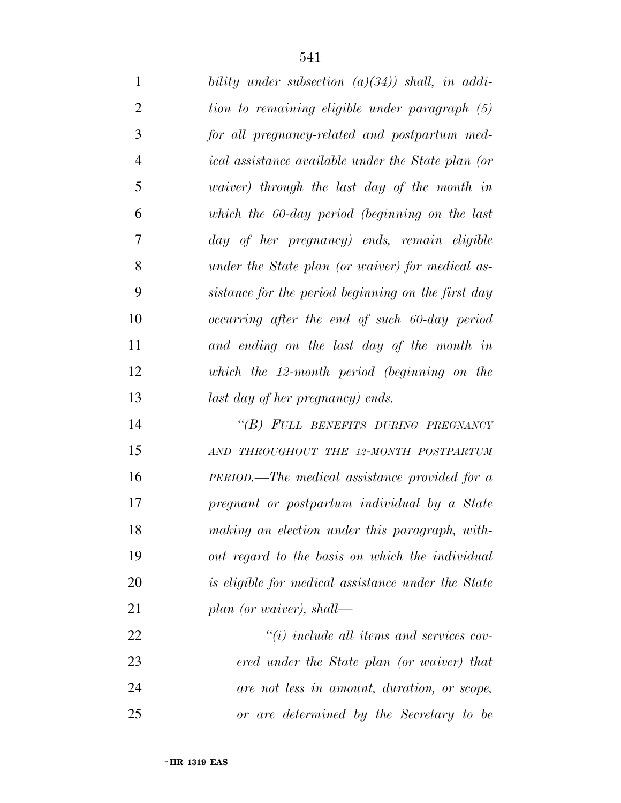| $\mathbf{1}$   | bility under subsection $(a)(34)$ shall, in addi-         |
|----------------|-----------------------------------------------------------|
| $\overline{2}$ | tion to remaining eligible under paragraph (5)            |
| 3              | for all pregnancy-related and postpartum med-             |
| $\overline{4}$ | <i>ical</i> assistance available under the State plan (or |
| 5              | <i>waiver</i> ) through the last day of the month in      |
| 6              | which the 60-day period (beginning on the last            |
| 7              | day of her pregnancy) ends, remain eligible               |
| 8              | under the State plan (or waiver) for medical as-          |
| 9              | sistance for the period beginning on the first day        |
| 10             | occurring after the end of such 60-day period             |
| 11             | and ending on the last day of the month in                |
| 12             | which the 12-month period (beginning on the               |
| 13             | last day of her pregnancy) ends.                          |
| 14             | "(B) FULL BENEFITS DURING PREGNANCY                       |
| 15             | AND THROUGHOUT THE 12-MONTH POSTPARTUM                    |
| 16             | PERIOD.—The medical assistance provided for a             |
| 17             | pregnant or postpartum individual by a State              |
| 18             | making an election under this paragraph, with-            |
| 19             | out regard to the basis on which the individual           |
| 20             | is eligible for medical assistance under the State        |
| 21             | plan (or waiver), shall—                                  |
| 22             | $``(i)$ include all items and services cov-               |

 *ered under the State plan (or waiver) that are not less in amount, duration, or scope, or are determined by the Secretary to be*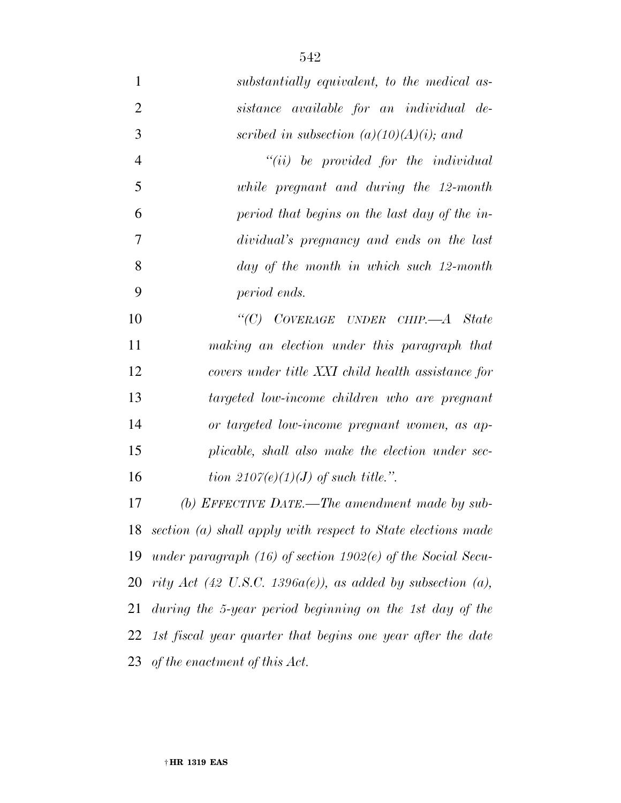*substantially equivalent, to the medical as-*

| $\overline{2}$ | sistance available for an individual de-                          |
|----------------|-------------------------------------------------------------------|
| 3              | scribed in subsection $(a)(10)(A)(i)$ ; and                       |
| $\overline{4}$ | $``(ii)$ be provided for the individual                           |
| 5              | while pregnant and during the 12-month                            |
| 6              | period that begins on the last day of the in-                     |
| 7              | dividual's pregnancy and ends on the last                         |
| 8              | day of the month in which such 12-month                           |
| 9              | period ends.                                                      |
| 10             | "(C) $CovERAGE$ UNDER CHIP.— $A$ State                            |
| 11             | making an election under this paragraph that                      |
| 12             | covers under title XXI child health assistance for                |
| 13             | targeted low-income children who are pregnant                     |
| 14             | or targeted low-income pregnant women, as ap-                     |
| 15             | plicable, shall also make the election under sec-                 |
| 16             | tion 2107(e)(1)(J) of such title.".                               |
| 17             | (b) EFFECTIVE DATE.—The amendment made by sub-                    |
| 18             | section (a) shall apply with respect to State elections made      |
| 19             | under paragraph $(16)$ of section $1902(e)$ of the Social Secu-   |
|                | 20 rity Act (42 U.S.C. 1396 $a(e)$ ), as added by subsection (a), |
| 21             | during the 5-year period beginning on the 1st day of the          |
|                | 22 1st fiscal year quarter that begins one year after the date    |
|                | 23 of the enactment of this $Act.$                                |
|                |                                                                   |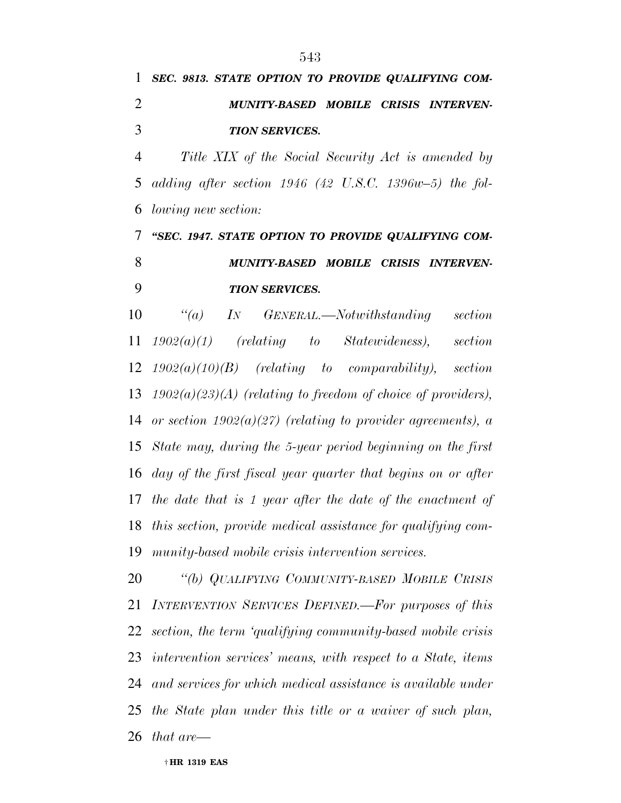*SEC. 9813. STATE OPTION TO PROVIDE QUALIFYING COM- MUNITY-BASED MOBILE CRISIS INTERVEN-TION SERVICES.* 

 *Title XIX of the Social Security Act is amended by adding after section 1946 (42 U.S.C. 1396w–5) the fol-lowing new section:* 

 *''SEC. 1947. STATE OPTION TO PROVIDE QUALIFYING COM- MUNITY-BASED MOBILE CRISIS INTERVEN-TION SERVICES.* 

 *''(a) IN GENERAL.—Notwithstanding section 1902(a)(1) (relating to Statewideness), section 1902(a)(10)(B) (relating to comparability), section 1902(a)(23)(A) (relating to freedom of choice of providers), or section 1902(a)(27) (relating to provider agreements), a State may, during the 5-year period beginning on the first day of the first fiscal year quarter that begins on or after the date that is 1 year after the date of the enactment of this section, provide medical assistance for qualifying com-munity-based mobile crisis intervention services.* 

 *''(b) QUALIFYING COMMUNITY-BASED MOBILE CRISIS INTERVENTION SERVICES DEFINED.—For purposes of this section, the term 'qualifying community-based mobile crisis intervention services' means, with respect to a State, items and services for which medical assistance is available under the State plan under this title or a waiver of such plan, that are—*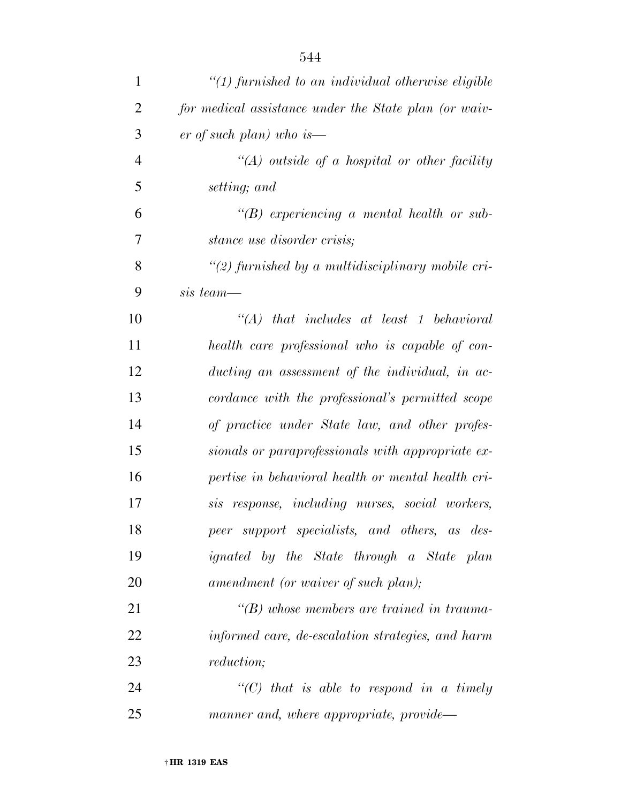| 1              | $\lq(1)$ furnished to an individual otherwise eligible |
|----------------|--------------------------------------------------------|
| $\overline{2}$ | for medical assistance under the State plan (or waiv-  |
| 3              | er of such plan) who is—                               |
| $\overline{4}$ | $\lq (A)$ outside of a hospital or other facility      |
| 5              | setting; and                                           |
| 6              | $\lq\lq(B)$ experiencing a mental health or sub-       |
| 7              | <i>stance use disorder crisis;</i>                     |
| 8              | $\lq(2)$ furnished by a multidisciplinary mobile cri-  |
| 9              | sis team—                                              |
| 10             | $\lq\lq A$ that includes at least 1 behavioral         |
| 11             | health care professional who is capable of con-        |
| 12             | ducting an assessment of the individual, in ac-        |
| 13             | cordance with the professional's permitted scope       |
| 14             | of practice under State law, and other profes-         |
| 15             | sionals or paraprofessionals with appropriate ex-      |
| 16             | pertise in behavioral health or mental health cri-     |
| 17             | sis response, including nurses, social workers,        |
| 18             | peer support specialists, and others, as des-          |
| 19             | ignated by the State through a State plan              |
| 20             | amendment (or waiver of such plan);                    |
| 21             | $\lq\lq(B)$ whose members are trained in trauma-       |
| 22             | informed care, de-escalation strategies, and harm      |
| 23             | <i>reduction</i> ;                                     |
| 24             | $\lq\lq C$ that is able to respond in a timely         |
| 25             | manner and, where appropriate, provide—                |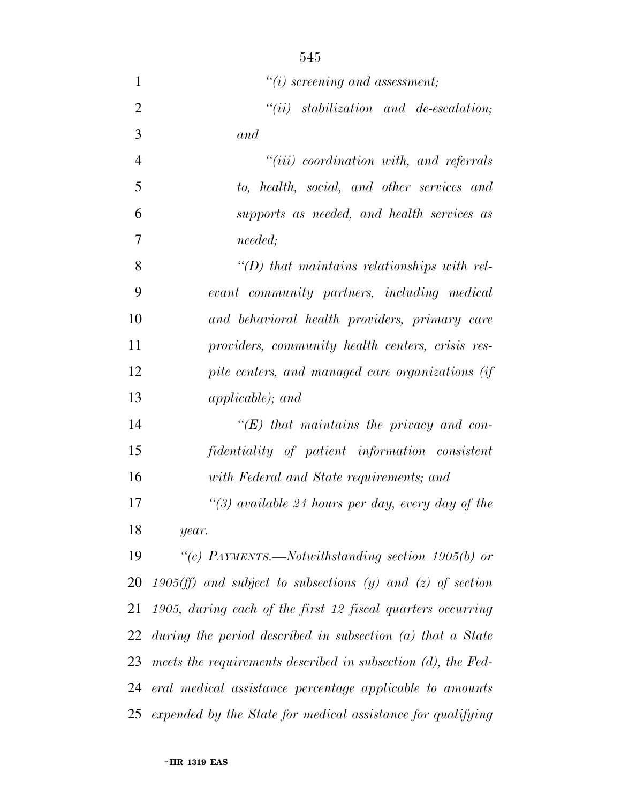| $\mathbf{1}$   | $\lq\lq(i)$ screening and assessment;                           |
|----------------|-----------------------------------------------------------------|
| $\overline{2}$ | $``(ii)$ stabilization and de-escalation;                       |
| 3              | and                                                             |
| $\overline{4}$ | $``(iii)$ coordination with, and referrals                      |
| 5              | to, health, social, and other services and                      |
| 6              | supports as needed, and health services as                      |
| 7              | <i>needed</i> ;                                                 |
| 8              | $\lq (D)$ that maintains relationships with rel-                |
| 9              | evant community partners, including medical                     |
| 10             | and behavioral health providers, primary care                   |
| 11             | providers, community health centers, crisis res-                |
| 12             | pite centers, and managed care organizations (if                |
| 13             | <i>applicable)</i> ; and                                        |
| 14             | $\lq\lq (E)$ that maintains the privacy and con-                |
| 15             | fidentiality of patient information consistent                  |
| 16             | with Federal and State requirements; and                        |
| 17             | "(3) available 24 hours per day, every day of the               |
| 18             | year.                                                           |
| 19             | "(c) PAYMENTS.—Notwithstanding section $1905(b)$ or             |
| 20             | 1905 $(f\!f)$ and subject to subsections (y) and (z) of section |
| 21             | 1905, during each of the first 12 fiscal quarters occurring     |
| 22             | during the period described in subsection $(a)$ that a State    |
| 23             | meets the requirements described in subsection $(d)$ , the Fed- |
| 24             | eral medical assistance percentage applicable to amounts        |
| 25             | expended by the State for medical assistance for qualifying     |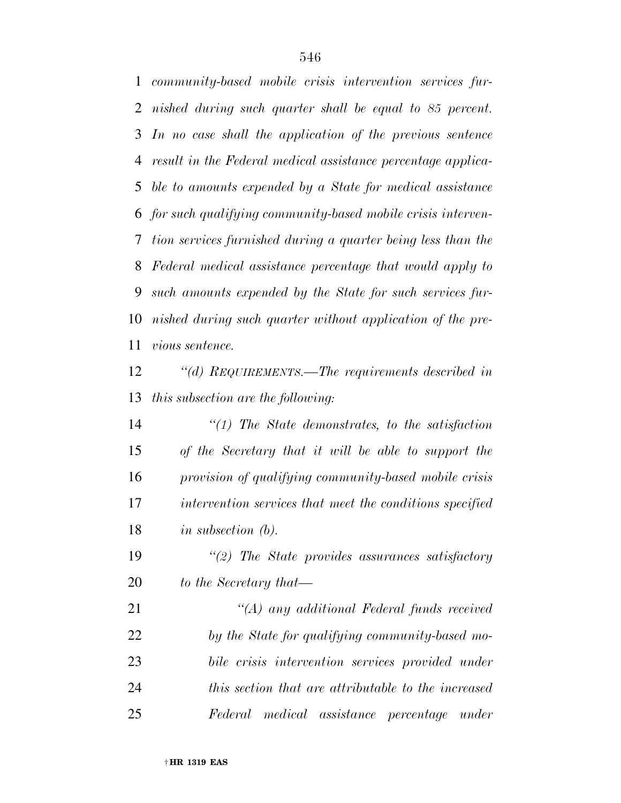*community-based mobile crisis intervention services fur- nished during such quarter shall be equal to 85 percent. In no case shall the application of the previous sentence result in the Federal medical assistance percentage applica- ble to amounts expended by a State for medical assistance for such qualifying community-based mobile crisis interven- tion services furnished during a quarter being less than the Federal medical assistance percentage that would apply to such amounts expended by the State for such services fur- nished during such quarter without application of the pre-vious sentence.* 

 *''(d) REQUIREMENTS.—The requirements described in this subsection are the following:* 

 *''(1) The State demonstrates, to the satisfaction of the Secretary that it will be able to support the provision of qualifying community-based mobile crisis intervention services that meet the conditions specified in subsection (b).* 

 *''(2) The State provides assurances satisfactory to the Secretary that—* 

 *''(A) any additional Federal funds received by the State for qualifying community-based mo- bile crisis intervention services provided under this section that are attributable to the increased Federal medical assistance percentage under*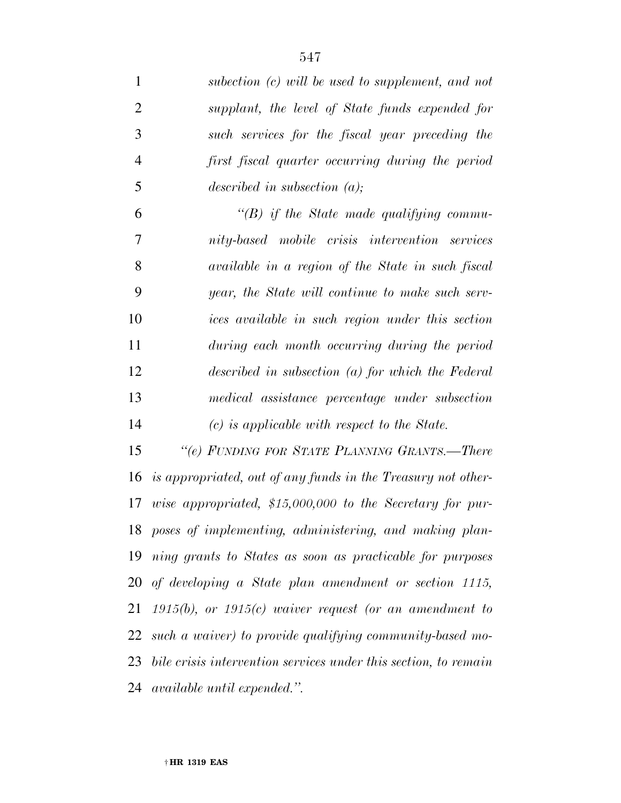| $\mathbf{1}$   | subection $(c)$ will be used to supplement, and not             |
|----------------|-----------------------------------------------------------------|
| $\overline{2}$ | supplant, the level of State funds expended for                 |
| 3              | such services for the fiscal year preceding the                 |
| $\overline{4}$ | first fiscal quarter occurring during the period                |
| 5              | described in subsection $(a)$ ;                                 |
| 6              | $\lq\lq(B)$ if the State made qualifying commu-                 |
| 7              | nity-based mobile crisis intervention services                  |
| 8              | available in a region of the State in such fiscal               |
| 9              | year, the State will continue to make such serv-                |
| 10             | ices available in such region under this section                |
| 11             | during each month occurring during the period                   |
| 12             | described in subsection $(a)$ for which the Federal             |
| 13             | medical assistance percentage under subsection                  |
| 14             | $(c)$ is applicable with respect to the State.                  |
| 15             | "(e) FUNDING FOR STATE PLANNING GRANTS.—There                   |
| 16             | is appropriated, out of any funds in the Treasury not other-    |
| 17             | wise appropriated, $$15,000,000$ to the Secretary for pur-      |
| 18             | poses of implementing, administering, and making plan-          |
| 19             | ning grants to States as soon as practicable for purposes       |
| 20             | of developing a State plan amendment or section 1115,           |
| 21             | $1915(b)$ , or $1915(c)$ waiver request (or an amendment to     |
| 22             | such a waiver) to provide qualifying community-based mo-        |
| 23             | bile crisis intervention services under this section, to remain |
| 24             | <i>available until expended.</i> ".                             |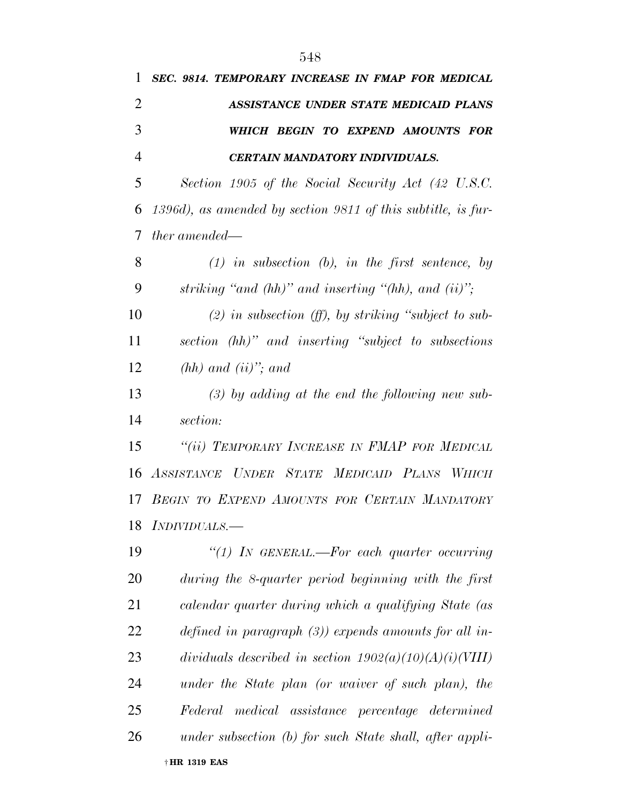| 1              | SEC. 9814. TEMPORARY INCREASE IN FMAP FOR MEDICAL             |
|----------------|---------------------------------------------------------------|
| $\overline{2}$ | <b>ASSISTANCE UNDER STATE MEDICAID PLANS</b>                  |
| 3              | WHICH BEGIN TO EXPEND AMOUNTS FOR                             |
| $\overline{4}$ | CERTAIN MANDATORY INDIVIDUALS.                                |
| 5              | Section 1905 of the Social Security Act (42 U.S.C.            |
| 6              | 1396d), as amended by section 9811 of this subtitle, is fur-  |
| 7              | <i>ther</i> amended—                                          |
| 8              | $(1)$ in subsection $(b)$ , in the first sentence, by         |
| 9              | striking "and $(hh)$ " and inserting " $(hh)$ , and $(ii)$ "; |
| 10             | $(2)$ in subsection (ff), by striking "subject to sub-        |
| 11             | section (hh)" and inserting "subject to subsections           |
| 12             | $(hh)$ and $(ii)$ "; and                                      |
| 13             | $(3)$ by adding at the end the following new sub-             |
| 14             | section:                                                      |
| 15             | "(ii) TEMPORARY INCREASE IN FMAP FOR MEDICAL                  |
| 16             | ASSISTANCE UNDER STATE MEDICAID PLANS WHICH                   |
| 17             | BEGIN TO EXPEND AMOUNTS FOR CERTAIN MANDATORY                 |
|                | 18 <i>INDIVIDUALS.</i>                                        |
| 19             | "(1) IN GENERAL.—For each quarter occurring                   |
| 20             | during the 8-quarter period beginning with the first          |
| 21             | calendar quarter during which a qualifying State (as          |
| 22             | defined in paragraph $(3)$ ) expends amounts for all in-      |
| 23             | dividuals described in section $1902(a)(10)(A)(i)(VIII)$      |
| 24             | under the State plan (or waiver of such plan), the            |
| 25             | Federal medical assistance percentage determined              |
| 26             | under subsection (b) for such State shall, after appli-       |
|                | † HR 1319 EAS                                                 |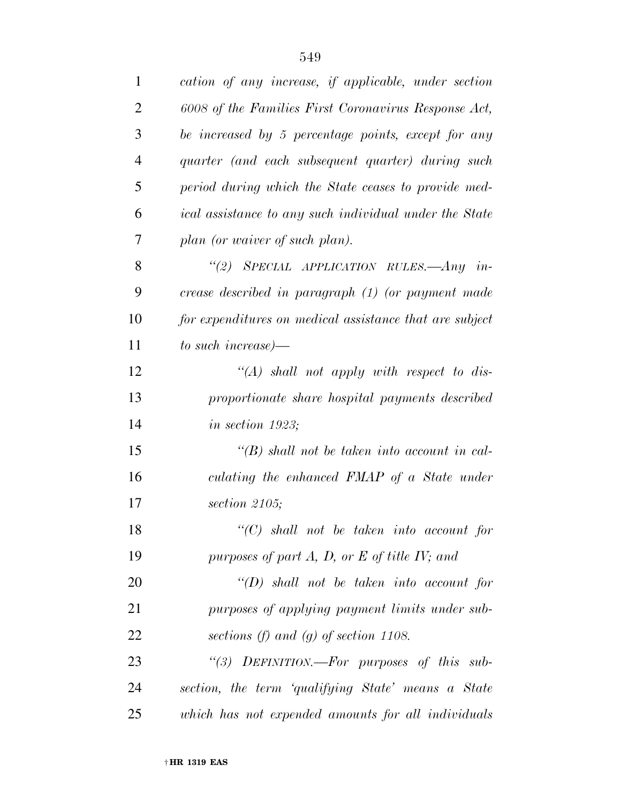| $\mathbf{1}$   | cation of any increase, if applicable, under section    |
|----------------|---------------------------------------------------------|
| $\overline{2}$ | 6008 of the Families First Coronavirus Response Act,    |
| 3              | be increased by 5 percentage points, except for any     |
| $\overline{4}$ | quarter (and each subsequent quarter) during such       |
| 5              | period during which the State ceases to provide med-    |
| 6              | ical assistance to any such individual under the State  |
| 7              | plan (or waiver of such plan).                          |
| 8              | "(2) SPECIAL APPLICATION RULES.—Any in-                 |
| 9              | crease described in paragraph (1) (or payment made      |
| 10             | for expenditures on medical assistance that are subject |
| 11             | to such increase)—                                      |
| 12             | $\lq (A)$ shall not apply with respect to dis-          |
| 13             | proportionate share hospital payments described         |
| 14             | in section $1923$ ;                                     |
| 15             | $\lq (B)$ shall not be taken into account in cal-       |
| 16             | culating the enhanced FMAP of a State under             |
| 17             | section $2105$ ;                                        |
| 18             | $\lq\lq C$ shall not be taken into account for          |
| 19             | purposes of part $A, D$ , or $E$ of title IV; and       |
| 20             | $\lq\lq(D)$ shall not be taken into account for         |
| 21             | purposes of applying payment limits under sub-          |
| 22             | sections (f) and (g) of section 1108.                   |
| 23             | "(3) DEFINITION.-For purposes of this sub-              |
| 24             | section, the term 'qualifying State' means a State      |
| 25             | which has not expended amounts for all individuals      |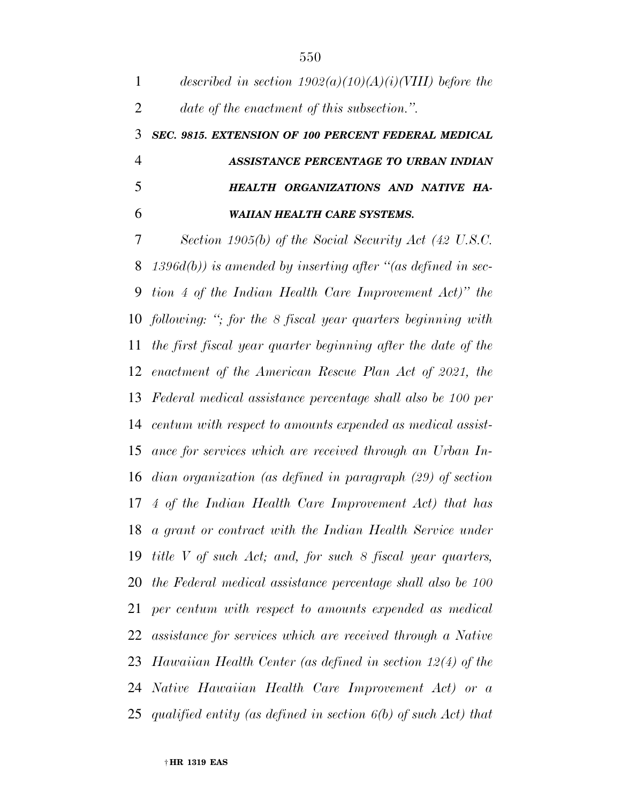*described in section 1902(a)(10)(A)(i)(VIII) before the date of the enactment of this subsection.''. SEC. 9815. EXTENSION OF 100 PERCENT FEDERAL MEDICAL ASSISTANCE PERCENTAGE TO URBAN INDIAN HEALTH ORGANIZATIONS AND NATIVE HA-WAIIAN HEALTH CARE SYSTEMS.* 

 *Section 1905(b) of the Social Security Act (42 U.S.C. 1396d(b)) is amended by inserting after ''(as defined in sec- tion 4 of the Indian Health Care Improvement Act)'' the following: ''; for the 8 fiscal year quarters beginning with the first fiscal year quarter beginning after the date of the enactment of the American Rescue Plan Act of 2021, the Federal medical assistance percentage shall also be 100 per centum with respect to amounts expended as medical assist- ance for services which are received through an Urban In- dian organization (as defined in paragraph (29) of section 4 of the Indian Health Care Improvement Act) that has a grant or contract with the Indian Health Service under title V of such Act; and, for such 8 fiscal year quarters, the Federal medical assistance percentage shall also be 100 per centum with respect to amounts expended as medical assistance for services which are received through a Native Hawaiian Health Center (as defined in section 12(4) of the Native Hawaiian Health Care Improvement Act) or a qualified entity (as defined in section 6(b) of such Act) that*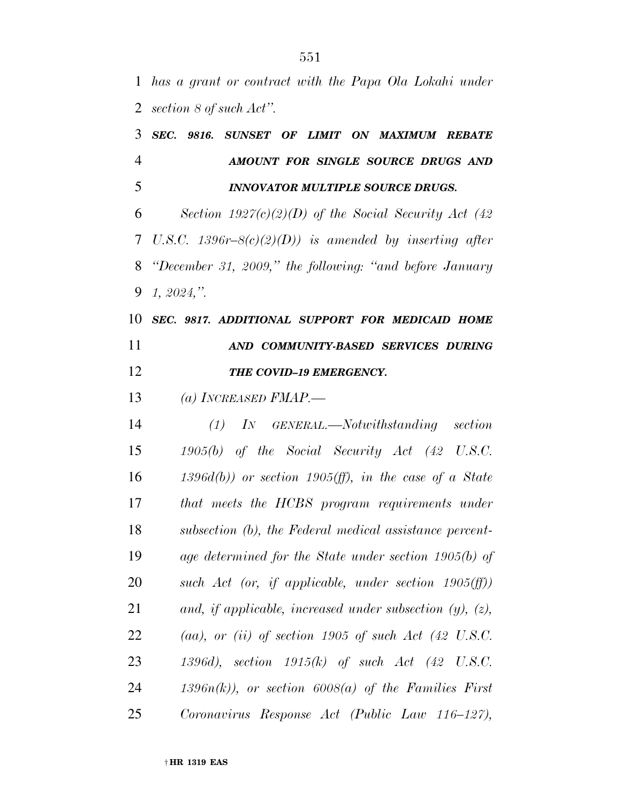*has a grant or contract with the Papa Ola Lokahi under section 8 of such Act''.* 

|                |  | 3 SEC. 9816. SUNSET OF LIMIT ON MAXIMUM REBATE                                                                                                                                                                                                                          |  |  |  |  |
|----------------|--|-------------------------------------------------------------------------------------------------------------------------------------------------------------------------------------------------------------------------------------------------------------------------|--|--|--|--|
| $\overline{4}$ |  | AMOUNT FOR SINGLE SOURCE DRUGS AND                                                                                                                                                                                                                                      |  |  |  |  |
| 5              |  | INNOVATOR MULTIPLE SOURCE DRUGS.                                                                                                                                                                                                                                        |  |  |  |  |
|                |  | $\zeta$ and $\zeta$ and $\zeta$ and $\zeta$ and $\zeta$ and $\zeta$ and $\zeta$ and $\zeta$ and $\zeta$ and $\zeta$ and $\zeta$ and $\zeta$ and $\zeta$ and $\zeta$ and $\zeta$ and $\zeta$ and $\zeta$ and $\zeta$ and $\zeta$ and $\zeta$ and $\zeta$ and $\zeta$ and |  |  |  |  |

 *Section 1927(c)(2)(D) of the Social Security Act (42 U.S.C. 1396r–8(c)(2)(D)) is amended by inserting after ''December 31, 2009,'' the following: ''and before January 1, 2024,''.* 

 *SEC. 9817. ADDITIONAL SUPPORT FOR MEDICAID HOME AND COMMUNITY-BASED SERVICES DURING THE COVID–19 EMERGENCY.* 

*(a) INCREASED FMAP.—* 

 *(1) IN GENERAL.—Notwithstanding section 1905(b) of the Social Security Act (42 U.S.C. 1396d(b)) or section 1905(ff), in the case of a State that meets the HCBS program requirements under subsection (b), the Federal medical assistance percent- age determined for the State under section 1905(b) of such Act (or, if applicable, under section 1905(ff)) and, if applicable, increased under subsection (y), (z), (aa), or (ii) of section 1905 of such Act (42 U.S.C. 1396d), section 1915(k) of such Act (42 U.S.C. 1396n(k)), or section 6008(a) of the Families First Coronavirus Response Act (Public Law 116–127),*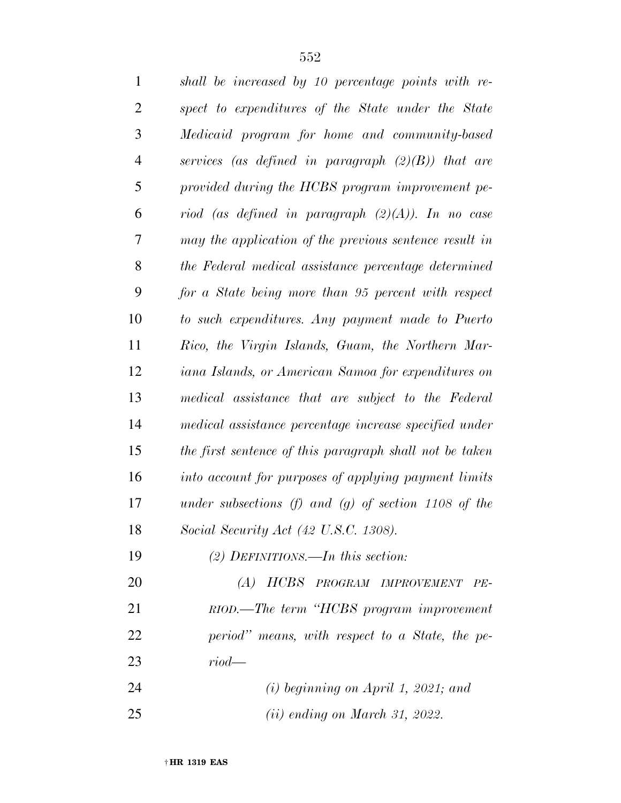| $\mathbf{1}$   | shall be increased by 10 percentage points with re-     |
|----------------|---------------------------------------------------------|
| $\overline{2}$ | spect to expenditures of the State under the State      |
| 3              | Medicaid program for home and community-based           |
| $\overline{4}$ | services (as defined in paragraph $(2)(B)$ ) that are   |
| 5              | provided during the HCBS program improvement pe-        |
| 6              | riod (as defined in paragraph $(2)(A)$ ). In no case    |
| 7              | may the application of the previous sentence result in  |
| 8              | the Federal medical assistance percentage determined    |
| 9              | for a State being more than 95 percent with respect     |
| 10             | to such expenditures. Any payment made to Puerto        |
| 11             | Rico, the Virgin Islands, Guam, the Northern Mar-       |
| 12             | iana Islands, or American Samoa for expenditures on     |
| 13             | medical assistance that are subject to the Federal      |
| 14             | medical assistance percentage increase specified under  |
| 15             | the first sentence of this paragraph shall not be taken |
| 16             | into account for purposes of applying payment limits    |
| 17             | under subsections (f) and (g) of section 1108 of the    |
| 18             | Social Security Act (42 U.S.C. 1308).                   |
| 19             | (2) DEFINITIONS.—In this section:                       |
| 20             | (A) HCBS PROGRAM IMPROVEMENT<br>$PE-$                   |
| 21             | RIOD.—The term "HCBS program improvement                |
| 22             | period" means, with respect to a State, the pe-         |
| 23             | $riod$ —                                                |
| 24             | $(i)$ beginning on April 1, 2021; and                   |
| 25             | $(ii)$ ending on March 31, 2022.                        |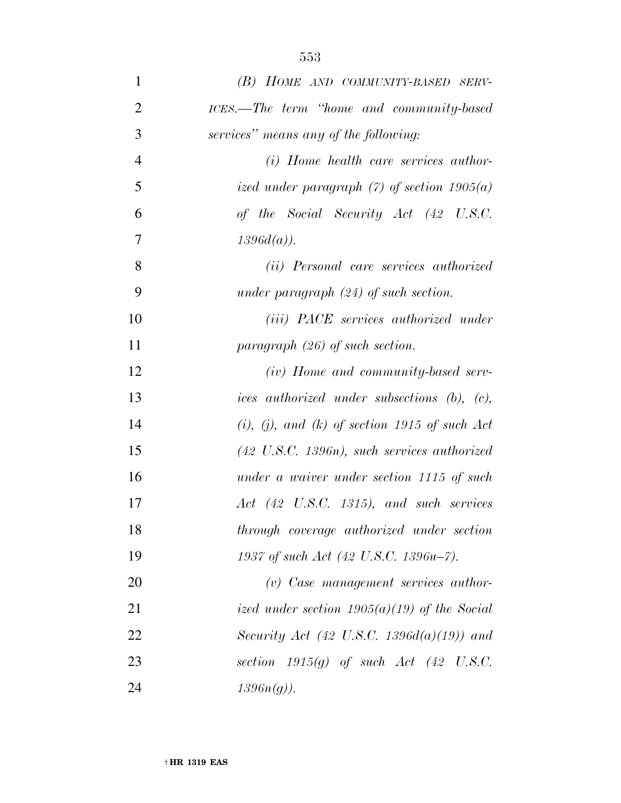| $\mathbf{1}$   | (B) HOME AND COMMUNITY-BASED SERV-                      |
|----------------|---------------------------------------------------------|
| $\overline{2}$ | ICES.—The term "home and community-based"               |
| 3              | services" means any of the following:                   |
| $\overline{4}$ | (i) Home health care services author-                   |
| 5              | ized under paragraph $(7)$ of section 1905 $(a)$        |
| 6              | of the Social Security Act (42 U.S.C.                   |
| $\overline{7}$ | $1396d(a)$ ).                                           |
| 8              | (ii) Personal care services authorized                  |
| 9              | under paragraph $(24)$ of such section.                 |
| 10             | ( <i>iii</i> ) PACE services authorized under           |
| 11             | paragraph $(26)$ of such section.                       |
| 12             | (iv) Home and community-based serv-                     |
| 13             | ices authorized under subsections (b), (c),             |
| 14             | $(i)$ , (i), and (k) of section 1915 of such Act        |
| 15             | $(42 \text{ U.S.C. } 1396n)$ , such services authorized |
| 16             | under a waiver under section 1115 of such               |
| 17             | $Act$ (42 U.S.C. 1315), and such services               |
| 18             | through coverage authorized under section               |
| 19             | 1937 of such Act (42 U.S.C. 1396u-7).                   |
| 20             | $(v)$ Case management services author-                  |
| 21             | ized under section $1905(a)(19)$ of the Social          |
| 22             | Security Act (42 U.S.C. 1396 $d(a)(19)$ ) and           |
| 23             | section $1915(g)$ of such Act (42 U.S.C.                |
| 24             | $1396n(g)$ ).                                           |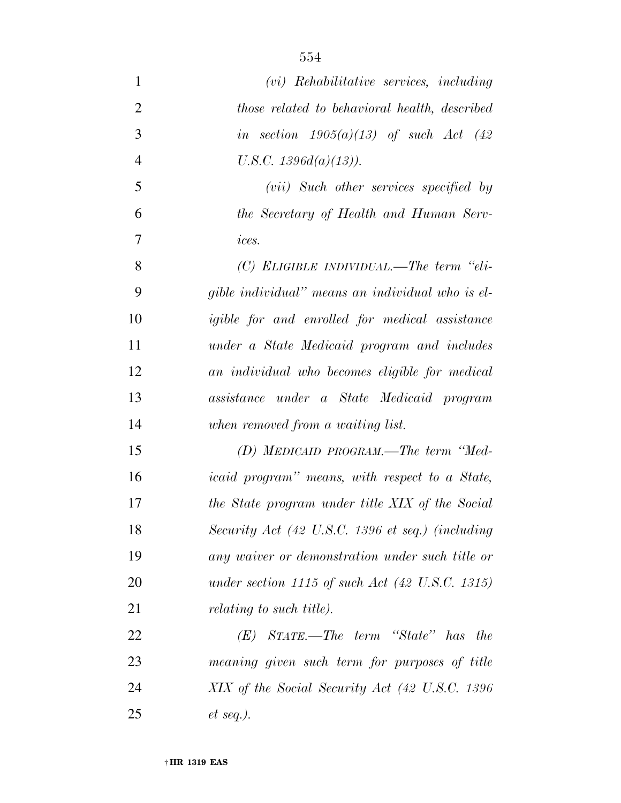| $\mathbf{1}$   | $(vi)$ Rehabilitative services, including                     |
|----------------|---------------------------------------------------------------|
| $\overline{2}$ | those related to behavioral health, described                 |
| 3              | in section $1905(a)(13)$ of such Act (42)                     |
| $\overline{4}$ | U.S.C. $1396d(a)(13)$ ).                                      |
| 5              | (vii) Such other services specified by                        |
| 6              | the Secretary of Health and Human Serv-                       |
| 7              | ices.                                                         |
| 8              | $(C)$ ELIGIBLE INDIVIDUAL.—The term "eli-                     |
| 9              | gible individual" means an individual who is el-              |
| 10             | <i>igible for and enrolled for medical assistance</i>         |
| 11             | under a State Medicaid program and includes                   |
| 12             | an individual who becomes eligible for medical                |
| 13             | assistance under a State Medicaid program                     |
| 14             | when removed from a waiting list.                             |
| 15             | $(D)$ MEDICAID PROGRAM.—The term "Med-                        |
| 16             | <i>icaid program</i> " <i>means, with respect to a State,</i> |
| 17             | the State program under title XIX of the Social               |
| 18             | Security Act (42 U.S.C. 1396 et seq.) (including              |
| 19             | any waiver or demonstration under such title or               |
| 20             | under section 1115 of such Act $(42 \text{ U.S.C. } 1315)$    |
| 21             | <i>relating to such title).</i>                               |
| 22             | $STATE. - The term 'State' has$<br>the<br>(E)                 |
| 23             | meaning given such term for purposes of title                 |
| 24             | XIX of the Social Security Act (42 U.S.C. 1396)               |
| 25             | $et \, seq.$ ).                                               |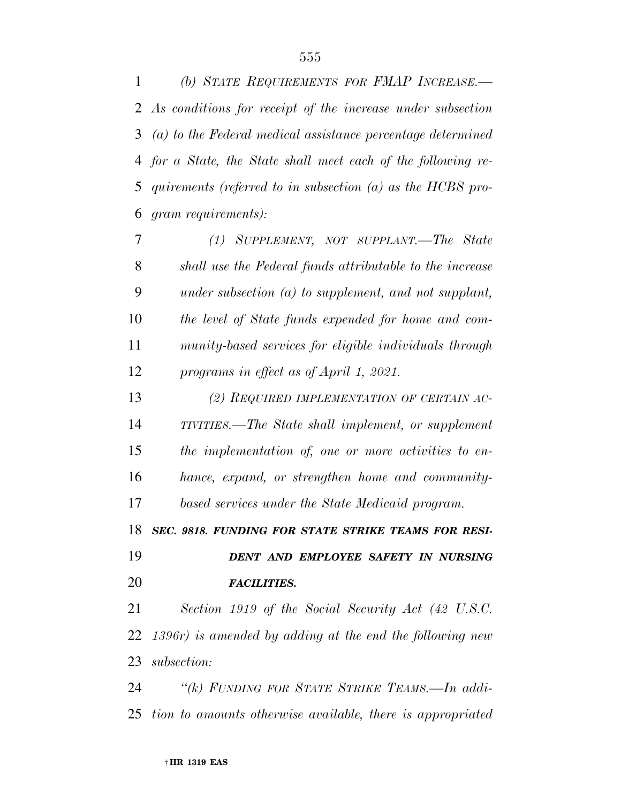*(b) STATE REQUIREMENTS FOR FMAP INCREASE.— As conditions for receipt of the increase under subsection (a) to the Federal medical assistance percentage determined for a State, the State shall meet each of the following re- quirements (referred to in subsection (a) as the HCBS pro-gram requirements):* 

 *(1) SUPPLEMENT, NOT SUPPLANT.—The State shall use the Federal funds attributable to the increase under subsection (a) to supplement, and not supplant, the level of State funds expended for home and com- munity-based services for eligible individuals through programs in effect as of April 1, 2021.* 

 *(2) REQUIRED IMPLEMENTATION OF CERTAIN AC- TIVITIES.—The State shall implement, or supplement the implementation of, one or more activities to en- hance, expand, or strengthen home and community-based services under the State Medicaid program.* 

*SEC. 9818. FUNDING FOR STATE STRIKE TEAMS FOR RESI-*

 *DENT AND EMPLOYEE SAFETY IN NURSING FACILITIES.* 

 *Section 1919 of the Social Security Act (42 U.S.C. 1396r) is amended by adding at the end the following new subsection:* 

 *''(k) FUNDING FOR STATE STRIKE TEAMS.—In addi-tion to amounts otherwise available, there is appropriated*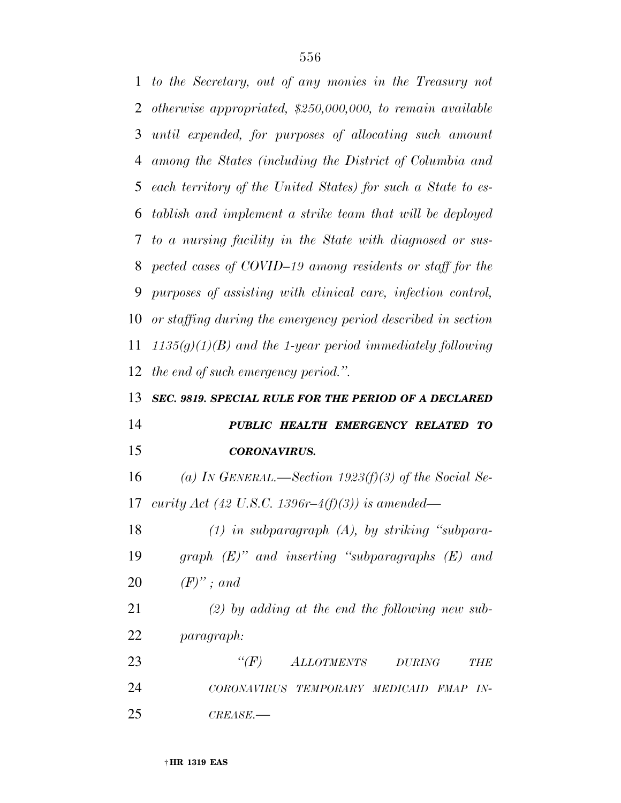*to the Secretary, out of any monies in the Treasury not otherwise appropriated, \$250,000,000, to remain available until expended, for purposes of allocating such amount among the States (including the District of Columbia and each territory of the United States) for such a State to es- tablish and implement a strike team that will be deployed to a nursing facility in the State with diagnosed or sus- pected cases of COVID–19 among residents or staff for the purposes of assisting with clinical care, infection control, or staffing during the emergency period described in section 1135(g)(1)(B) and the 1-year period immediately following the end of such emergency period.''. SEC. 9819. SPECIAL RULE FOR THE PERIOD OF A DECLARED PUBLIC HEALTH EMERGENCY RELATED TO CORONAVIRUS. (a) IN GENERAL.—Section 1923(f)(3) of the Social Se- curity Act (42 U.S.C. 1396r–4(f)(3)) is amended— (1) in subparagraph (A), by striking ''subpara- graph (E)'' and inserting ''subparagraphs (E) and (F)'' ; and (2) by adding at the end the following new sub- paragraph: ''(F) ALLOTMENTS DURING THE CORONAVIRUS TEMPORARY MEDICAID FMAP IN-*

*CREASE.—*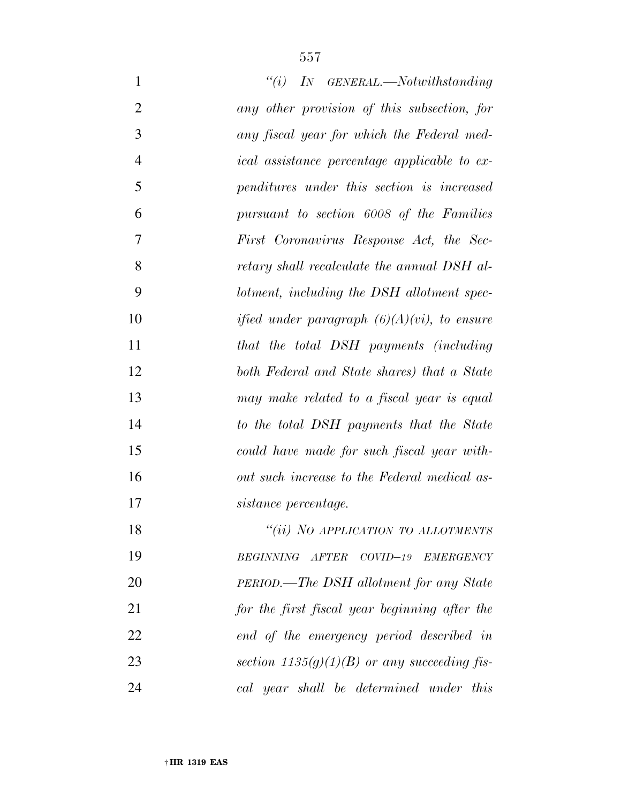| $\mathbf{1}$   | $``(i)$ IN GENERAL.—Notwithstanding                 |
|----------------|-----------------------------------------------------|
| $\overline{2}$ | any other provision of this subsection, for         |
| 3              | any fiscal year for which the Federal med-          |
| $\overline{4}$ | <i>ical</i> assistance percentage applicable to ex- |
| 5              | penditures under this section is increased          |
| 6              | pursuant to section 6008 of the Families            |
| 7              | First Coronavirus Response Act, the Sec-            |
| 8              | retary shall recalculate the annual DSH al-         |
| 9              | lotment, including the DSH allotment spec-          |
| 10             | ified under paragraph $(6)(A)(vi)$ , to ensure      |
| 11             | that the total DSH payments (including              |
| 12             | both Federal and State shares) that a State         |
| 13             | may make related to a fiscal year is equal          |
| 14             | to the total DSH payments that the State            |
| 15             | could have made for such fiscal year with-          |
| 16             | out such increase to the Federal medical as-        |
| 17             | sistance percentage.                                |
| 18             | "(ii) NO APPLICATION TO ALLOTMENTS                  |
| 19             | BEGINNING AFTER COVID-19 EMERGENCY                  |
| 20             | PERIOD.—The DSH allotment for any State             |
| 21             | for the first fiscal year beginning after the       |
| 22             | end of the emergency period described in            |
| 23             | section $1135(g)(1)(B)$ or any succeeding fis-      |
| 24             | cal year shall be determined under this             |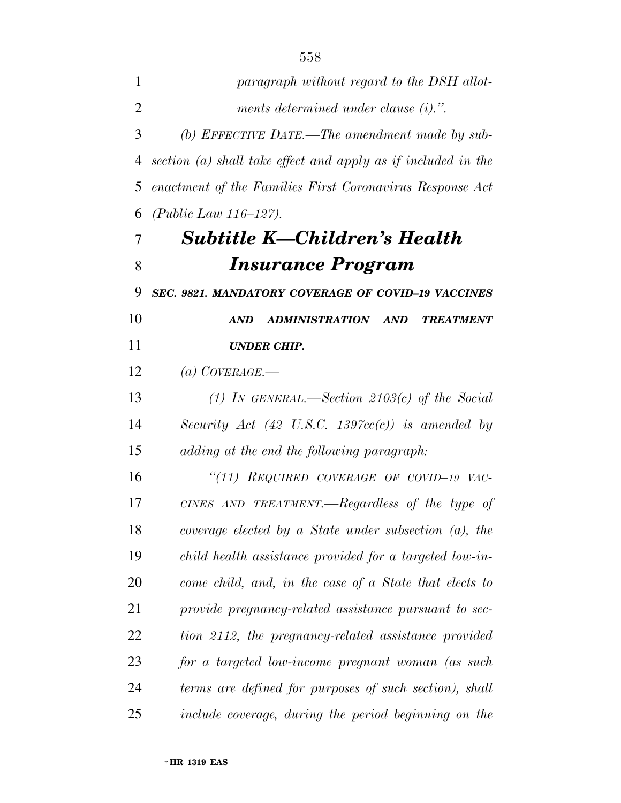*paragraph without regard to the DSH allot- ments determined under clause (i).''. (b) EFFECTIVE DATE.—The amendment made by sub- section (a) shall take effect and apply as if included in the enactment of the Families First Coronavirus Response Act (Public Law 116–127). Subtitle K—Children's Health Insurance Program SEC. 9821. MANDATORY COVERAGE OF COVID–19 VACCINES AND ADMINISTRATION AND TREATMENT UNDER CHIP. (a) COVERAGE.— (1) IN GENERAL.—Section 2103(c) of the Social Security Act (42 U.S.C. 1397cc(c)) is amended by adding at the end the following paragraph: ''(11) REQUIRED COVERAGE OF COVID–19 VAC- CINES AND TREATMENT.—Regardless of the type of coverage elected by a State under subsection (a), the child health assistance provided for a targeted low-in- come child, and, in the case of a State that elects to provide pregnancy-related assistance pursuant to sec- tion 2112, the pregnancy-related assistance provided for a targeted low-income pregnant woman (as such terms are defined for purposes of such section), shall include coverage, during the period beginning on the*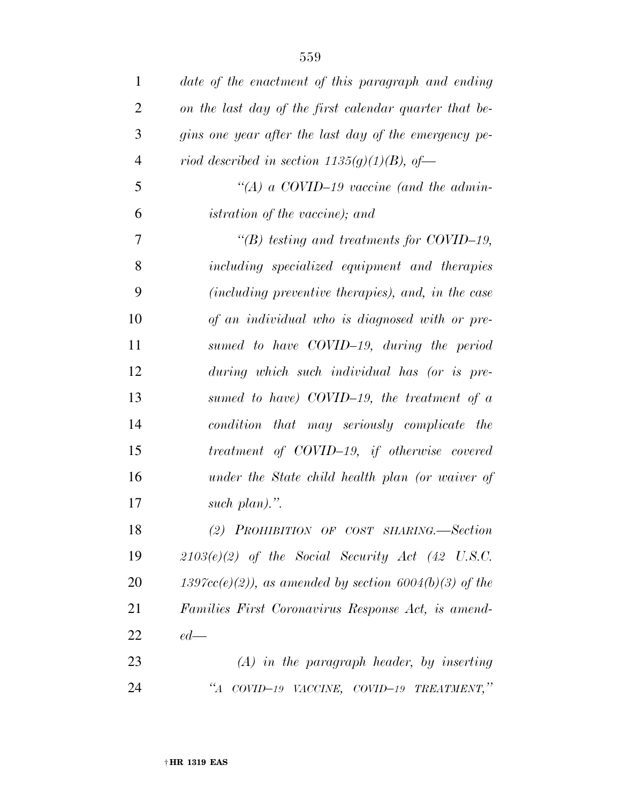| $\mathbf{1}$   | date of the enactment of this paragraph and ending         |
|----------------|------------------------------------------------------------|
| $\overline{2}$ | on the last day of the first calendar quarter that be-     |
| 3              | gins one year after the last day of the emergency pe-      |
| $\overline{4}$ | riod described in section $1135(g)(1)(B)$ , of-            |
| 5              | "(A) a COVID-19 vaccine (and the admin-                    |
| 6              | <i>istration of the vaccine)</i> ; and                     |
| $\overline{7}$ | "(B) testing and treatments for COVID-19,                  |
| 8              | including specialized equipment and therapies              |
| 9              | (including preventive therapies), and, in the case         |
| 10             | of an individual who is diagnosed with or pre-             |
| 11             | sumed to have COVID-19, during the period                  |
| 12             | during which such individual has (or is pre-               |
| 13             | sumed to have) COVID-19, the treatment of $a$              |
| 14             | condition that may seriously complicate the                |
| 15             | treatment of COVID-19, if otherwise covered                |
| 16             | under the State child health plan (or waiver of            |
| 17             | such plan).".                                              |
| 18             | (2) PROHIBITION OF COST SHARING.-Section                   |
| 19             | $2103(e)(2)$ of the Social Security Act (42 U.S.C.         |
| 20             | $1397cc(e)(2)$ , as amended by section $6004(b)(3)$ of the |
| 21             | Families First Coronavirus Response Act, is amend-         |
| 22             | $ed$ —                                                     |
| 23             | $(A)$ in the paragraph header, by inserting                |
| 24             | $\lq A$<br>COVID-19 VACCINE, COVID-19 TREATMENT,"          |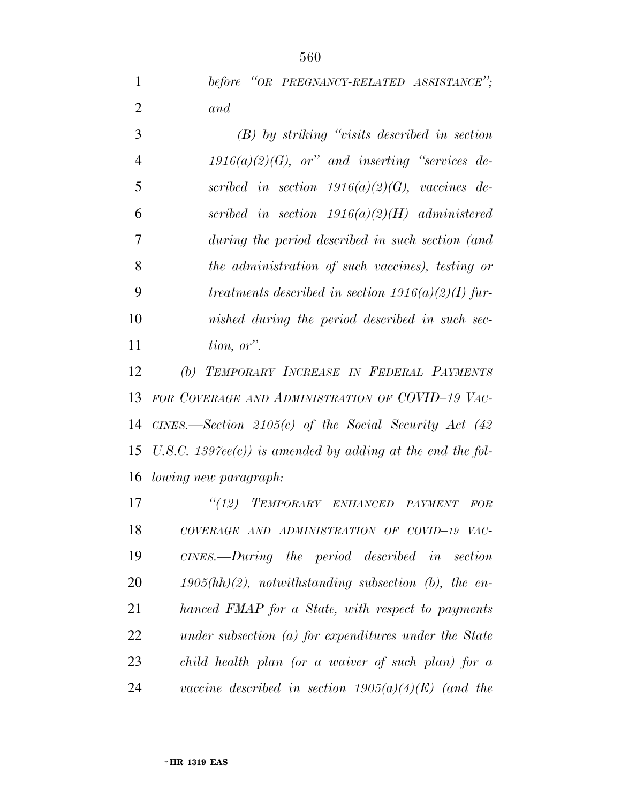*before ''OR PREGNANCY-RELATED ASSISTANCE''; and* 

 *(B) by striking ''visits described in section 1916(a)(2)(G), or'' and inserting ''services de- scribed in section 1916(a)(2)(G), vaccines de- scribed in section 1916(a)(2)(H) administered during the period described in such section (and the administration of such vaccines), testing or treatments described in section 1916(a)(2)(I) fur- nished during the period described in such sec-tion, or''.* 

 *(b) TEMPORARY INCREASE IN FEDERAL PAYMENTS FOR COVERAGE AND ADMINISTRATION OF COVID–19 VAC- CINES.—Section 2105(c) of the Social Security Act (42 U.S.C. 1397ee(c)) is amended by adding at the end the fol-lowing new paragraph:* 

 *''(12) TEMPORARY ENHANCED PAYMENT FOR COVERAGE AND ADMINISTRATION OF COVID–19 VAC- CINES.—During the period described in section 1905(hh)(2), notwithstanding subsection (b), the en- hanced FMAP for a State, with respect to payments under subsection (a) for expenditures under the State child health plan (or a waiver of such plan) for a vaccine described in section 1905(a)(4)(E) (and the*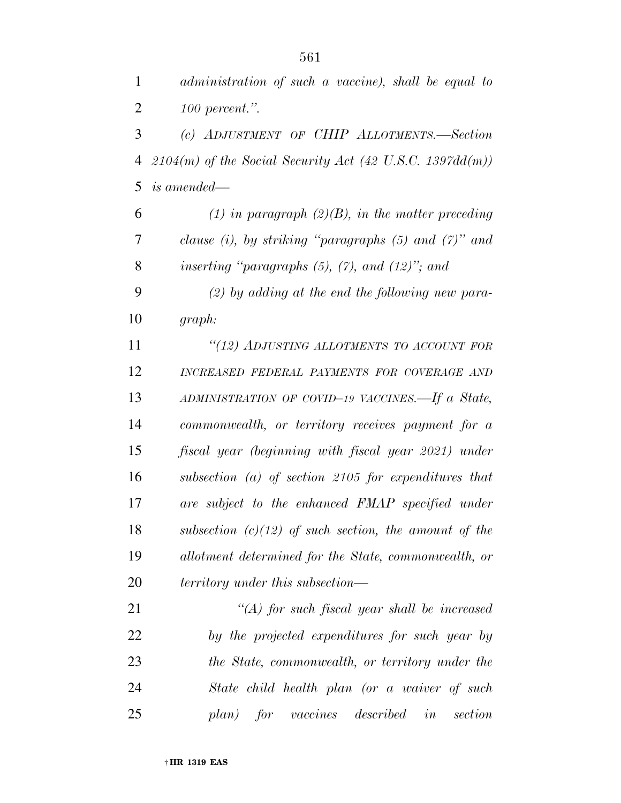*administration of such a vaccine), shall be equal to* 

 *100 percent.''. (c) ADJUSTMENT OF CHIP ALLOTMENTS.—Section 2104(m) of the Social Security Act (42 U.S.C. 1397dd(m)) is amended— (1) in paragraph (2)(B), in the matter preceding clause (i), by striking ''paragraphs (5) and (7)'' and inserting ''paragraphs (5), (7), and (12)''; and (2) by adding at the end the following new para- graph: ''(12) ADJUSTING ALLOTMENTS TO ACCOUNT FOR INCREASED FEDERAL PAYMENTS FOR COVERAGE AND ADMINISTRATION OF COVID–19 VACCINES.—If a State, commonwealth, or territory receives payment for a fiscal year (beginning with fiscal year 2021) under subsection (a) of section 2105 for expenditures that are subject to the enhanced FMAP specified under subsection (c)(12) of such section, the amount of the allotment determined for the State, commonwealth, or territory under this subsection— ''(A) for such fiscal year shall be increased by the projected expenditures for such year by the State, commonwealth, or territory under the State child health plan (or a waiver of such plan) for vaccines described in section*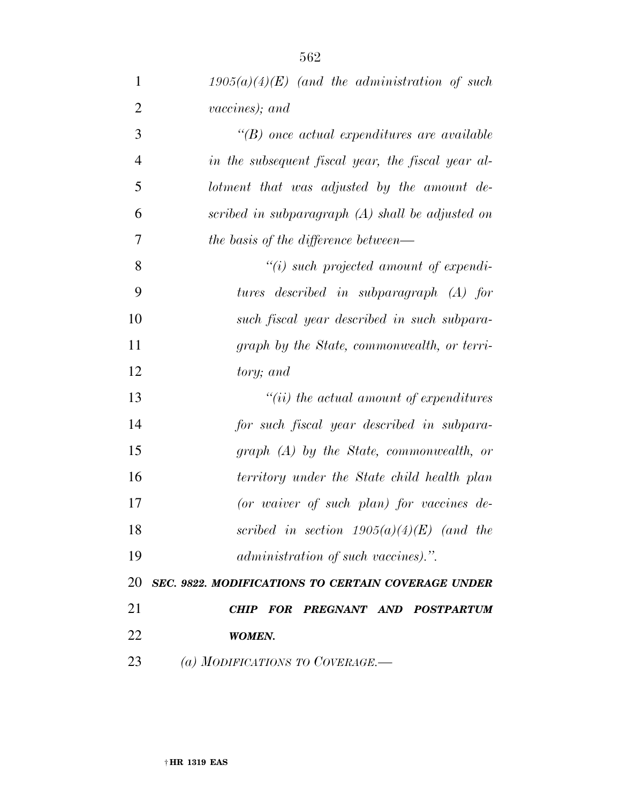*1905(a)(4)(E) (and the administration of such vaccines); and ''(B) once actual expenditures are available in the subsequent fiscal year, the fiscal year al- lotment that was adjusted by the amount de- scribed in subparagraph (A) shall be adjusted on the basis of the difference between— ''(i) such projected amount of expendi- tures described in subparagraph (A) for such fiscal year described in such subpara- graph by the State, commonwealth, or terri- tory; and ''(ii) the actual amount of expenditures for such fiscal year described in subpara- graph (A) by the State, commonwealth, or territory under the State child health plan (or waiver of such plan) for vaccines de- scribed in section 1905(a)(4)(E) (and the administration of such vaccines).''. SEC. 9822. MODIFICATIONS TO CERTAIN COVERAGE UNDER CHIP FOR PREGNANT AND POSTPARTUM WOMEN. (a) MODIFICATIONS TO COVERAGE.—*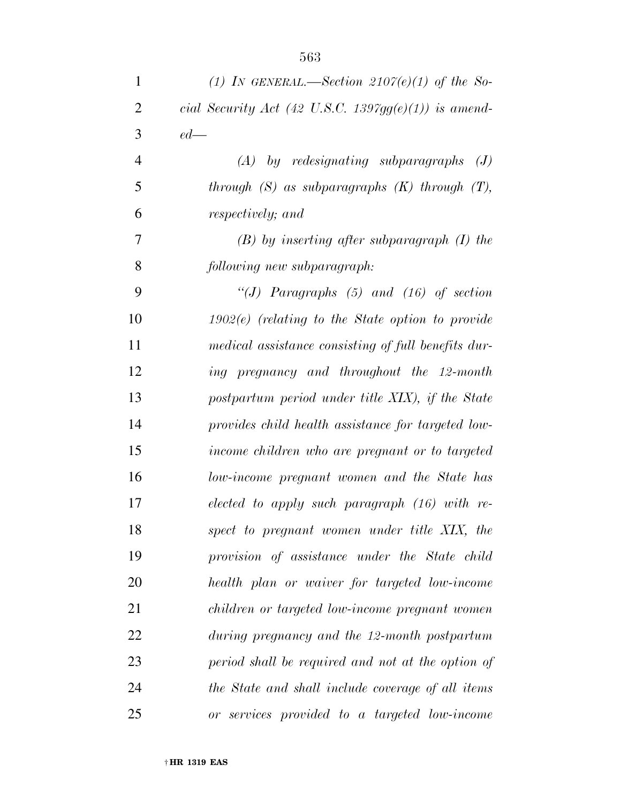| $\mathbf{1}$   | (1) IN GENERAL.—Section $2107(e)(1)$ of the So-      |
|----------------|------------------------------------------------------|
| $\overline{2}$ | cial Security Act (42 U.S.C. 1397gg(e)(1)) is amend- |
| 3              | $ed$ —                                               |
| $\overline{4}$ | $(A)$ by redesignating subparagraphs<br>(J)          |
| 5              | through $(S)$ as subparagraphs $(K)$ through $(T)$ , |
| 6              | respectively; and                                    |
| $\overline{7}$ | $(B)$ by inserting after subparagraph $(I)$ the      |
| 8              | following new subparagraph:                          |
| 9              | "(J) Paragraphs $(5)$ and $(16)$ of section          |
| 10             | $1902(e)$ (relating to the State option to provide   |
| 11             | medical assistance consisting of full benefits dur-  |
| 12             | ing pregnancy and throughout the 12-month            |
| 13             | postpartum period under title XIX), if the State     |
| 14             | provides child health assistance for targeted low-   |
| 15             | income children who are pregnant or to targeted      |
| 16             | low-income pregnant women and the State has          |
| 17             | elected to apply such paragraph $(16)$ with re-      |
| 18             | spect to pregnant women under title XIX, the         |
| 19             | provision of assistance under the State child        |
| 20             | health plan or waiver for targeted low-income        |
| 21             | children or targeted low-income pregnant women       |
| 22             | during pregnancy and the 12-month postpartum         |
| 23             | period shall be required and not at the option of    |
| 24             | the State and shall include coverage of all items    |
| 25             | or services provided to a targeted low-income        |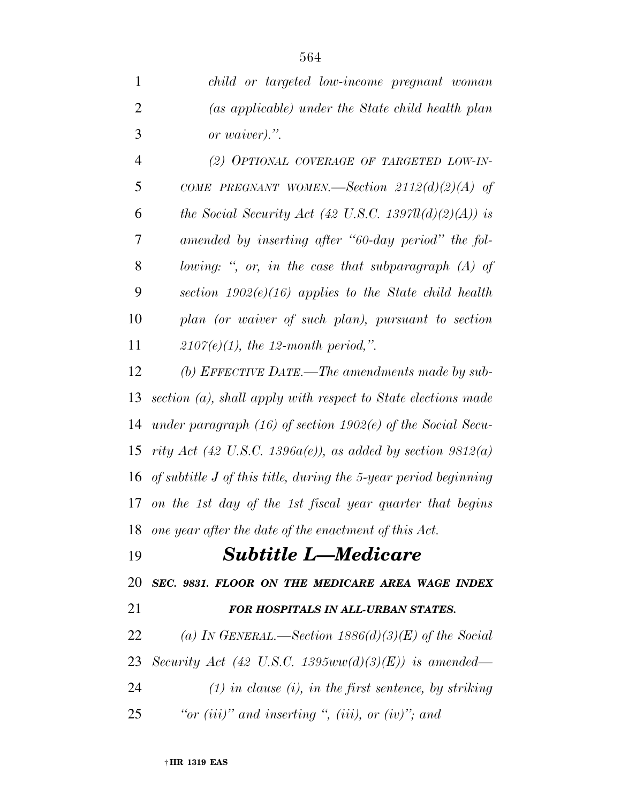| $\mathbf{1}$   | child or targeted low-income pregnant woman                          |
|----------------|----------------------------------------------------------------------|
| $\overline{2}$ | (as applicable) under the State child health plan                    |
| 3              | or waiver).".                                                        |
| 4              | (2) OPTIONAL COVERAGE OF TARGETED LOW-IN-                            |
| 5              | COME PREGNANT WOMEN.—Section $2112(d)(2)(A)$ of                      |
| 6              | the Social Security Act (42 U.S.C. 1397 $ll(d)(2)(A))$ is            |
| 7              | amended by inserting after "60-day period" the fol-                  |
| 8              | lowing: ", or, in the case that subparagraph $(A)$ of                |
| 9              | section $1902(e)(16)$ applies to the State child health              |
| 10             | plan (or waiver of such plan), pursuant to section                   |
| 11             | $2107(e)(1)$ , the 12-month period,".                                |
| 12             | (b) EFFECTIVE DATE.—The amendments made by sub-                      |
| 13             | section (a), shall apply with respect to State elections made        |
| 14             | under paragraph $(16)$ of section $1902(e)$ of the Social Secu-      |
| 15             | rity Act (42 U.S.C. 1396a(e)), as added by section $9812(a)$         |
|                | 16 of subtitle $J$ of this title, during the 5-year period beginning |

 *on the 1st day of the 1st fiscal year quarter that begins one year after the date of the enactment of this Act.* 

## *Subtitle L—Medicare*

*SEC. 9831. FLOOR ON THE MEDICARE AREA WAGE INDEX* 

### *FOR HOSPITALS IN ALL-URBAN STATES.*

 *(a) IN GENERAL.—Section 1886(d)(3)(E) of the Social Security Act (42 U.S.C. 1395ww(d)(3)(E)) is amended— (1) in clause (i), in the first sentence, by striking* 

*''or (iii)'' and inserting '', (iii), or (iv)''; and*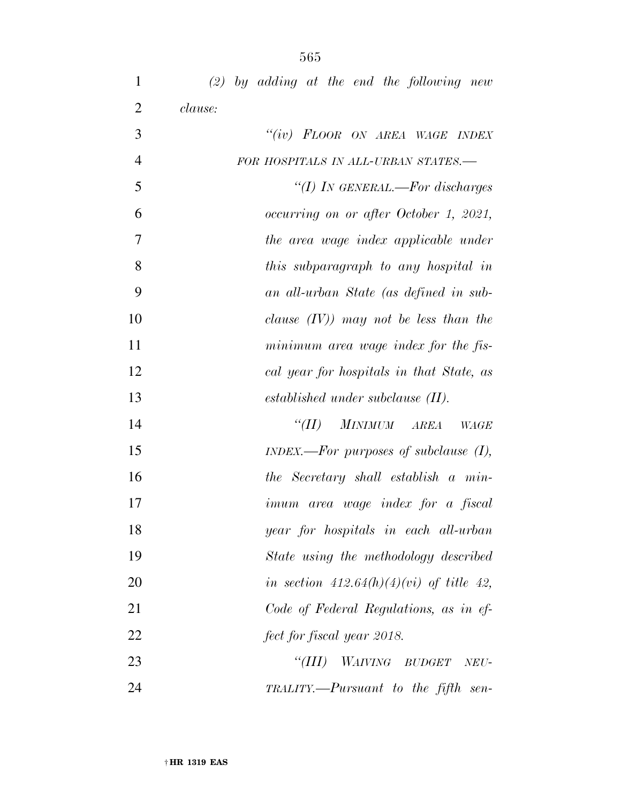| $\mathbf{1}$   | $(2)$ by adding at the end the following new |
|----------------|----------------------------------------------|
| $\overline{2}$ | clause:                                      |
| 3              | "(iv) FLOOR ON AREA WAGE INDEX               |
| $\overline{4}$ | FOR HOSPITALS IN ALL-URBAN STATES.-          |
| 5              | "(I) IN GENERAL.—For discharges              |
| 6              | occurring on or after October 1, 2021,       |
| 7              | the area wage index applicable under         |
| 8              | this subparagraph to any hospital in         |
| 9              | an all-urban State (as defined in sub-       |
| 10             | clause $(IV)$ may not be less than the       |
| 11             | minimum area wage index for the fis-         |
| 12             | cal year for hospitals in that State, as     |
| 13             | $established$ under subclause $(II)$ .       |
| 14             | "(II) MINIMUM AREA<br>WAGE                   |
| 15             | $INDEX. - For purposes of subclause (I),$    |
| 16             | the Secretary shall establish a min-         |
| 17             | imum area wage index for a fiscal            |
| 18             | year for hospitals in each all-urban         |
| 19             | State using the methodology described        |
| 20             | in section $412.64(h)(4)(vi)$ of title 42,   |
| 21             | Code of Federal Regulations, as in ef-       |
| 22             | fect for fiscal year 2018.                   |
| 23             | "(III)<br><i>WAIVING BUDGET</i><br>NEU-      |
| 24             | TRALITY.—Pursuant to the fifth sen-          |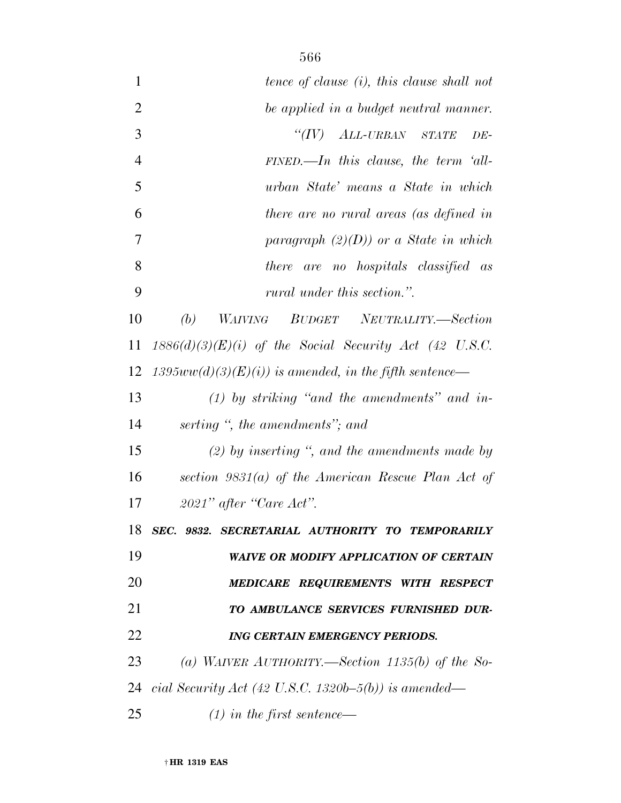| 1              | tence of clause (i), this clause shall not               |
|----------------|----------------------------------------------------------|
| $\overline{2}$ | be applied in a budget neutral manner.                   |
| 3              | "(IV) ALL-URBAN STATE<br>$DE-$                           |
| $\overline{4}$ | $FINED$ .—In this clause, the term 'all-                 |
| 5              | urban State' means a State in which                      |
| 6              | there are no rural areas (as defined in                  |
| 7              | paragraph $(2)(D)$ or a State in which                   |
| 8              | there are no hospitals classified as                     |
| 9              | rural under this section.".                              |
| 10             | WAIVING BUDGET NEUTRALITY.—Section<br>(b)                |
| 11             | $1886(d)(3)(E)(i)$ of the Social Security Act (42 U.S.C. |
| 12             | $1395ww(d)(3)(E)(i))$ is amended, in the fifth sentence— |
| 13             | $(1)$ by striking "and the amendments" and in-           |
| 14             | serting ", the amendments"; and                          |
| 15             | $(2)$ by inserting ", and the amendments made by         |
| 16             | section $9831(a)$ of the American Rescue Plan Act of     |
| 17             | $2021"$ after "Care Act".                                |
| 18             | SEC. 9832. SECRETARIAL AUTHORITY TO TEMPORARILY          |
| 19             | <b>WAIVE OR MODIFY APPLICATION OF CERTAIN</b>            |
| 20             | MEDICARE REQUIREMENTS WITH RESPECT                       |
| 21             | TO AMBULANCE SERVICES FURNISHED DUR-                     |
| 22             | <b>ING CERTAIN EMERGENCY PERIODS.</b>                    |
| 23             | (a) WAIVER AUTHORITY.—Section $1135(b)$ of the So-       |
| 24             | cial Security Act (42 U.S.C. 1320b–5(b)) is amended—     |
| 25             | $(1)$ in the first sentence—                             |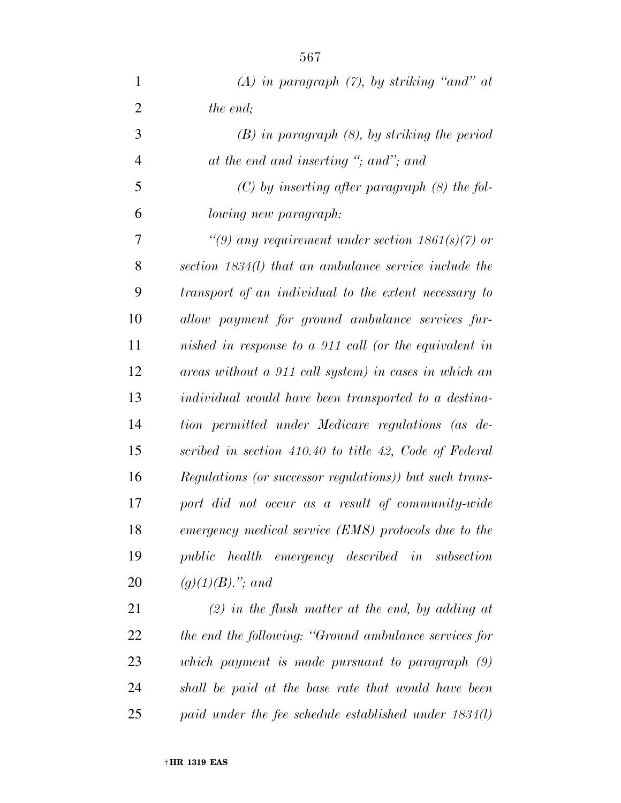| 1              | (A) in paragraph $(7)$ , by striking "and" at           |
|----------------|---------------------------------------------------------|
| $\overline{2}$ | the end;                                                |
| 3              | $(B)$ in paragraph $(8)$ , by striking the period       |
| $\overline{4}$ | at the end and inserting "; and"; and                   |
| 5              | $(C)$ by inserting after paragraph $(8)$ the fol-       |
| 6              | lowing new paragraph:                                   |
| 7              | "(9) any requirement under section $1861(s)(7)$ or      |
| 8              | section 1834(l) that an ambulance service include the   |
| 9              | transport of an individual to the extent necessary to   |
| 10             | allow payment for ground ambulance services fur-        |
| 11             | nished in response to a 911 call (or the equivalent in  |
| 12             | areas without a 911 call system) in cases in which an   |
| 13             | individual would have been transported to a destina-    |
| 14             | tion permitted under Medicare regulations (as de-       |
| 15             | scribed in section 410.40 to title 42, Code of Federal  |
| 16             | Regulations (or successor regulations)) but such trans- |
| 17             | port did not occur as a result of community-wide        |
| 18             | emergency medical service (EMS) protocols due to the    |
| 19             | public health emergency described in subsection         |
| 20             | $(g)(1)(B)$ ,"; and                                     |
| 21             | $(2)$ in the flush matter at the end, by adding at      |

 *the end the following: ''Ground ambulance services for which payment is made pursuant to paragraph (9) shall be paid at the base rate that would have been paid under the fee schedule established under 1834(l)*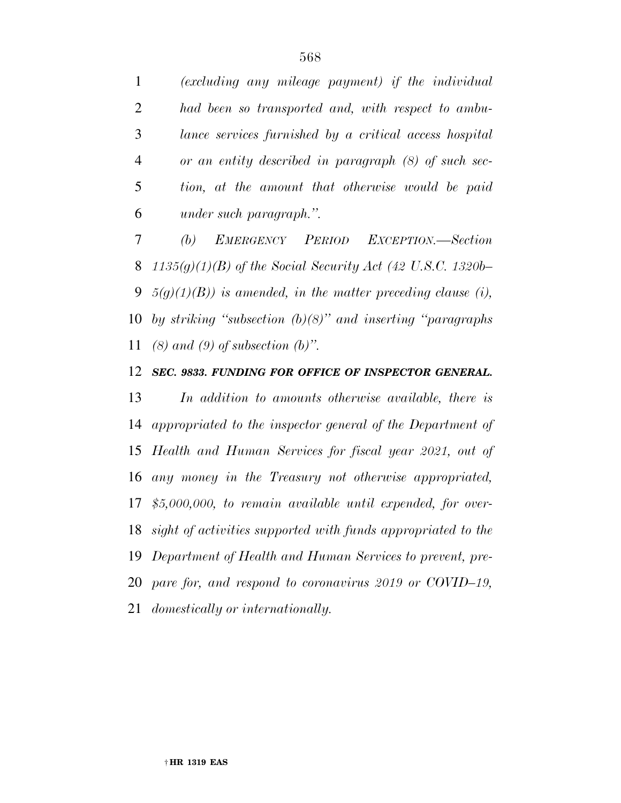*(excluding any mileage payment) if the individual had been so transported and, with respect to ambu- lance services furnished by a critical access hospital or an entity described in paragraph (8) of such sec- tion, at the amount that otherwise would be paid under such paragraph.''.* 

 *(b) EMERGENCY PERIOD EXCEPTION.—Section 1135(g)(1)(B) of the Social Security Act (42 U.S.C. 1320b– 5(g)(1)(B)) is amended, in the matter preceding clause (i), by striking ''subsection (b)(8)'' and inserting ''paragraphs (8) and (9) of subsection (b)''.* 

#### *SEC. 9833. FUNDING FOR OFFICE OF INSPECTOR GENERAL.*

 *In addition to amounts otherwise available, there is appropriated to the inspector general of the Department of Health and Human Services for fiscal year 2021, out of any money in the Treasury not otherwise appropriated, \$5,000,000, to remain available until expended, for over- sight of activities supported with funds appropriated to the Department of Health and Human Services to prevent, pre- pare for, and respond to coronavirus 2019 or COVID–19, domestically or internationally.*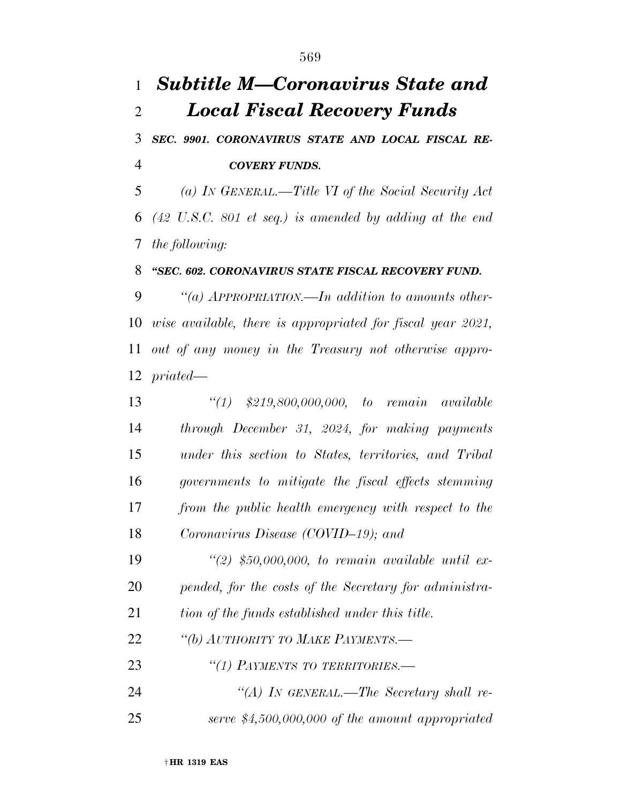# *Subtitle M—Coronavirus State and Local Fiscal Recovery Funds*

 *SEC. 9901. CORONAVIRUS STATE AND LOCAL FISCAL RE-COVERY FUNDS.* 

 *(a) IN GENERAL.—Title VI of the Social Security Act (42 U.S.C. 801 et seq.) is amended by adding at the end the following:* 

#### *''SEC. 602. CORONAVIRUS STATE FISCAL RECOVERY FUND.*

 *''(a) APPROPRIATION.—In addition to amounts other- wise available, there is appropriated for fiscal year 2021, out of any money in the Treasury not otherwise appro-priated—* 

 *''(1) \$219,800,000,000, to remain available through December 31, 2024, for making payments under this section to States, territories, and Tribal governments to mitigate the fiscal effects stemming from the public health emergency with respect to the Coronavirus Disease (COVID–19); and* 

 *''(2) \$50,000,000, to remain available until ex-pended, for the costs of the Secretary for administra-*

*tion of the funds established under this title.* 

*''(b) AUTHORITY TO MAKE PAYMENTS.—* 

*''(1) PAYMENTS TO TERRITORIES.—* 

 *''(A) IN GENERAL.—The Secretary shall re-serve \$4,500,000,000 of the amount appropriated*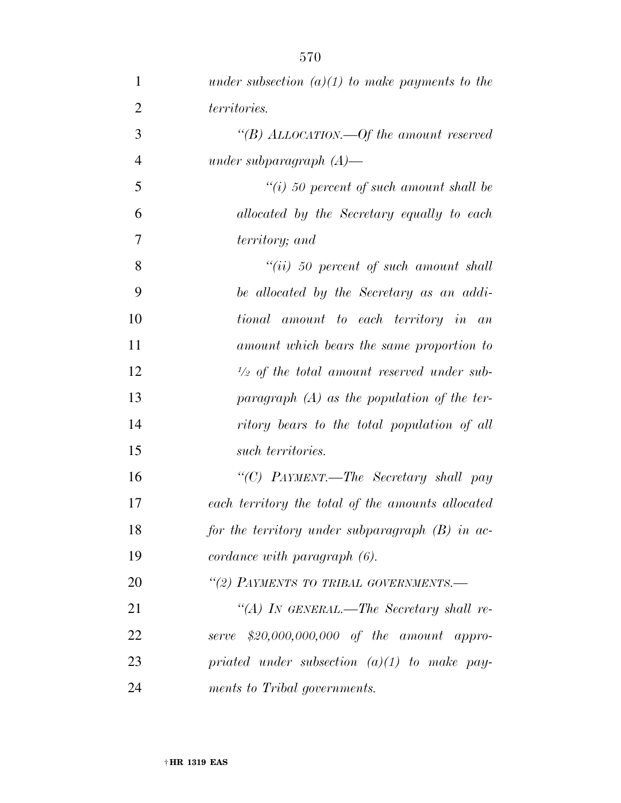| $\mathbf{1}$   | under subsection $(a)(1)$ to make payments to the     |
|----------------|-------------------------------------------------------|
| $\overline{2}$ | territories.                                          |
| 3              | "(B) ALLOCATION.—Of the amount reserved               |
| $\overline{4}$ | under subparagraph $(A)$ —                            |
| 5              | $\lq\lq(i)$ 50 percent of such amount shall be        |
| 6              | allocated by the Secretary equally to each            |
| $\overline{7}$ | territory; and                                        |
| 8              | $``(ii) 50 percent of such amount shall$              |
| 9              | be allocated by the Secretary as an addi-             |
| 10             | tional amount to each territory in an                 |
| 11             | amount which bears the same proportion to             |
| 12             | $\frac{1}{2}$ of the total amount reserved under sub- |
| 13             | paragraph $(A)$ as the population of the ter-         |
| 14             | ritory bears to the total population of all           |
| 15             | such territories.                                     |
| 16             | "(C) PAYMENT.—The Secretary shall pay                 |
| 17             | each territory the total of the amounts allocated     |
| 18             | for the territory under subparagraph $(B)$ in ac-     |
| 19             | $cordance\ with\ paragraph\ (6).$                     |
| 20             | "(2) PAYMENTS TO TRIBAL GOVERNMENTS.-                 |
| 21             | "(A) IN GENERAL.—The Secretary shall re-              |
| 22             | serve \$20,000,000,000 of the amount appro-           |
| 23             | priated under subsection $(a)(1)$ to make pay-        |
| 24             | ments to Tribal governments.                          |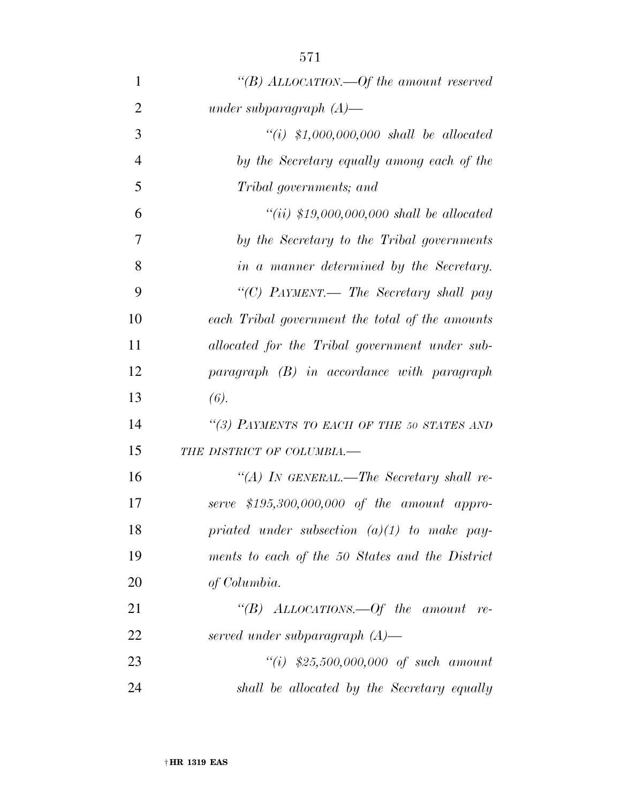| 1              | "(B) ALLOCATION.—Of the amount reserved         |
|----------------|-------------------------------------------------|
| $\overline{2}$ | under subparagraph $(A)$ —                      |
| 3              | $``(i)$ \$1,000,000,000 shall be allocated      |
| $\overline{4}$ | by the Secretary equally among each of the      |
| 5              | Tribal governments; and                         |
| 6              | "(ii) $$19,000,000,000$ shall be allocated      |
| 7              | by the Secretary to the Tribal governments      |
| 8              | in a manner determined by the Secretary.        |
| 9              | "(C) PAYMENT.— The Secretary shall pay          |
| 10             | each Tribal government the total of the amounts |
| 11             | allocated for the Tribal government under sub-  |
| 12             | $paramph$ (B) in accordance with paragraph      |
| 13             | (6).                                            |
| 14             | "(3) PAYMENTS TO EACH OF THE 50 STATES AND      |
| 15             | THE DISTRICT OF COLUMBIA.-                      |
| 16             | "(A) IN GENERAL.—The Secretary shall re-        |
| 17             | serve $$195,300,000,000$ of the amount appro-   |
| 18             | priated under subsection $(a)(1)$ to make pay-  |
| 19             | ments to each of the 50 States and the District |
| 20             | of Columbia.                                    |
| 21             | "(B) ALLOCATIONS.—Of the amount re-             |
| 22             | served under subparagraph $(A)$ —               |
| 23             | $``(i)$ \$25,500,000,000 of such amount         |
| 24             | shall be allocated by the Secretary equally     |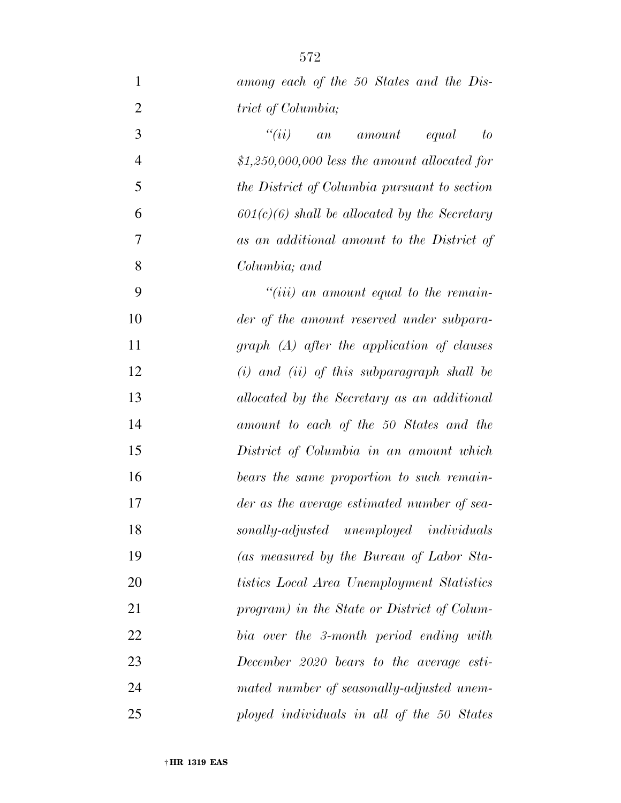| $\mathbf{1}$   | among each of the 50 States and the Dis-        |
|----------------|-------------------------------------------------|
| $\overline{2}$ | trict of Columbia;                              |
| 3              | ``(ii)<br>equal<br>amount<br>to<br>a n          |
| $\overline{4}$ | $$1,250,000,000$ less the amount allocated for  |
| $\mathfrak{S}$ | the District of Columbia pursuant to section    |
| 6              | $601(c)(6)$ shall be allocated by the Secretary |
| $\tau$         | as an additional amount to the District of      |
| 8              | Columbia; and                                   |
| 9              | $``(iii)$ an amount equal to the remain-        |
| 10             | der of the amount reserved under subpara-       |
| 11             | $graph$ (A) after the application of clauses    |
| 12             | $(i)$ and $(ii)$ of this subparagraph shall be  |
| 13             | allocated by the Secretary as an additional     |
| 14             | amount to each of the 50 States and the         |
| 15             | District of Columbia in an amount which         |
| 16             | bears the same proportion to such remain-       |
| 17             | der as the average estimated number of sea-     |
| 18             | sonally-adjusted unemployed individuals         |
| 19             | (as measured by the Bureau of Labor Sta-        |
| 20             | tistics Local Area Unemployment Statistics      |
| 21             | program) in the State or District of Colum-     |
| 22             | bia over the 3-month period ending with         |
| 23             | December 2020 bears to the average esti-        |
| 24             | mated number of seasonally-adjusted unem-       |
| 25             | ployed individuals in all of the 50 States      |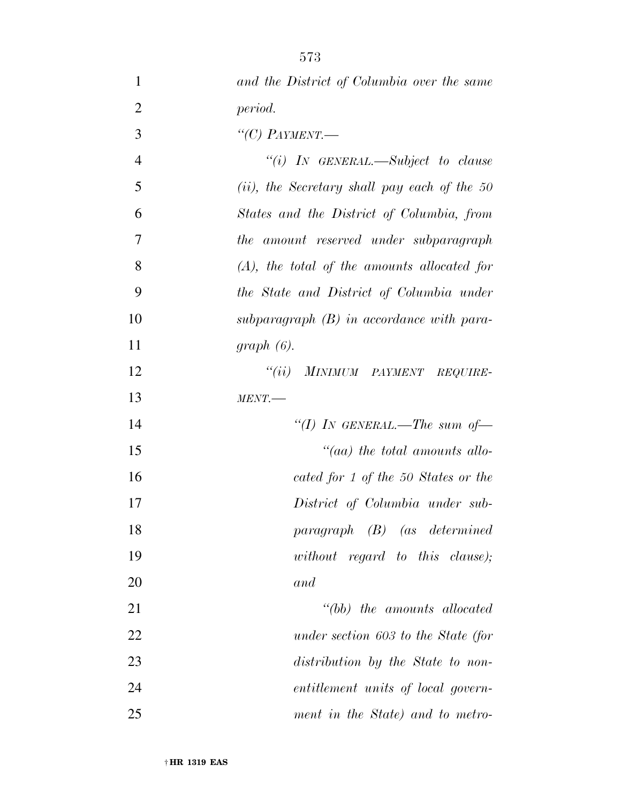| $\mathbf{1}$   | and the District of Columbia over the same      |
|----------------|-------------------------------------------------|
| $\overline{2}$ | period.                                         |
| 3              | "(C) PAYMENT.                                   |
| $\overline{4}$ | "(i) IN GENERAL.—Subject to clause              |
| 5              | $(ii)$ , the Secretary shall pay each of the 50 |
| 6              | States and the District of Columbia, from       |
| $\overline{7}$ | the amount reserved under subparagraph          |
| 8              | $(A)$ , the total of the amounts allocated for  |
| 9              | the State and District of Columbia under        |
| 10             | subparagraph $(B)$ in accordance with para-     |
| 11             | $graph(6)$ .                                    |
| 12             | "(ii) MINIMUM PAYMENT REQUIRE-                  |
| 13             | $MENT$ .                                        |
| 14             | "(I) IN GENERAL.—The sum of-                    |
| 15             | $\lq\lq (aa)$ the total amounts allo-           |
| 16             | cated for 1 of the 50 States or the             |
| 17             | District of Columbia under sub-                 |
| 18             | $paragnph$ (B) (as determined                   |
| 19             | without regard to this clause);                 |
| 20             | and                                             |
| 21             | "(bb) the amounts allocated                     |
| 22             | under section 603 to the State (for             |
| 23             | distribution by the State to non-               |
| 24             | entitlement units of local govern-              |
| 25             | ment in the State) and to metro-                |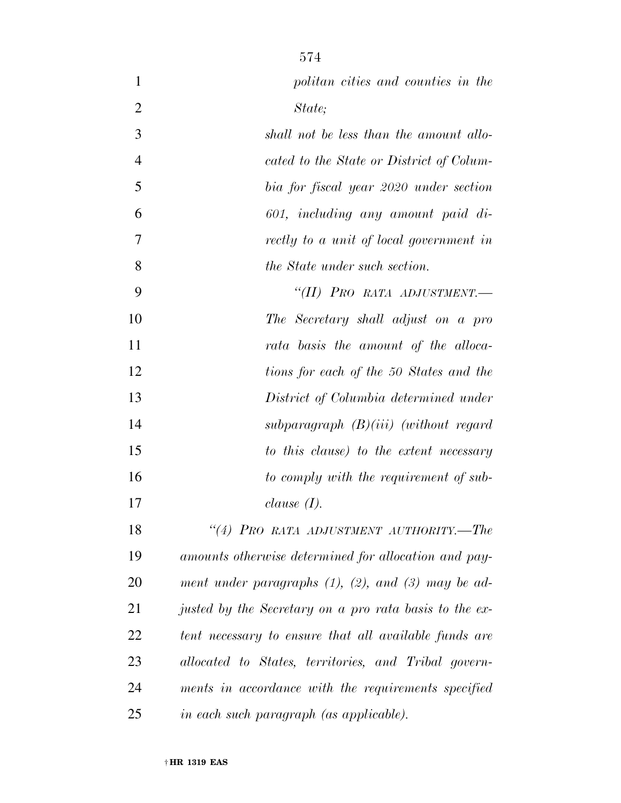| $\mathbf{1}$   | politan cities and counties in the                         |
|----------------|------------------------------------------------------------|
| $\overline{2}$ | State;                                                     |
| 3              | shall not be less than the amount allo-                    |
| $\overline{4}$ | cated to the State or District of Colum-                   |
| 5              | bia for fiscal year 2020 under section                     |
| 6              | 601, including any amount paid di-                         |
| 7              | rectly to a unit of local government in                    |
| 8              | <i>the State under such section.</i>                       |
| 9              | "(II) PRO RATA ADJUSTMENT.-                                |
| 10             | The Secretary shall adjust on a pro                        |
| 11             | rata basis the amount of the alloca-                       |
| 12             | tions for each of the 50 States and the                    |
| 13             | District of Columbia determined under                      |
| 14             | subparagraph $(B)(iii)$ (without regard                    |
| 15             | to this clause) to the extent necessary                    |
| 16             | to comply with the requirement of sub-                     |
| 17             | clause $(I)$ .                                             |
| 18             | "(4) PRO RATA ADJUSTMENT AUTHORITY.-The                    |
| 19             | amounts otherwise determined for allocation and pay-       |
| 20             | ment under paragraphs $(1)$ , $(2)$ , and $(3)$ may be ad- |
| 21             | justed by the Secretary on a pro rata basis to the ex-     |
| 22             | tent necessary to ensure that all available funds are      |
| 23             | allocated to States, territories, and Tribal govern-       |
| 24             | ments in accordance with the requirements specified        |
| 25             | in each such paragraph (as applicable).                    |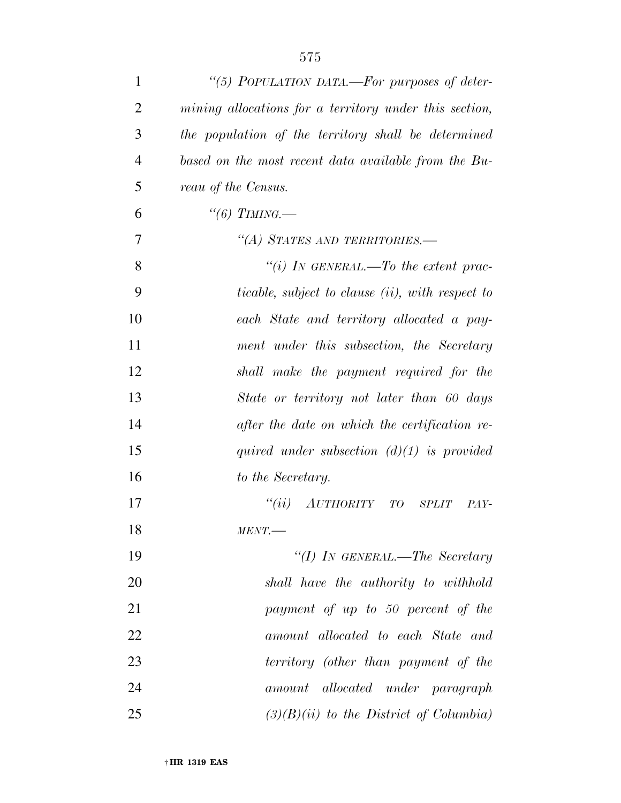| 1              | "(5) POPULATION DATA.—For purposes of deter-            |
|----------------|---------------------------------------------------------|
| $\overline{2}$ | mining allocations for a territory under this section,  |
| 3              | the population of the territory shall be determined     |
| $\overline{4}$ | based on the most recent data available from the Bu-    |
| 5              | reau of the Census.                                     |
| 6              | "(6) TIMING.—                                           |
| 7              | "(A) STATES AND TERRITORIES.—                           |
| 8              | "(i) In GENERAL.—To the extent prac-                    |
| 9              | <i>ticable, subject to clause (ii), with respect to</i> |
| 10             | each State and territory allocated a pay-               |
| 11             | ment under this subsection, the Secretary               |
| 12             | shall make the payment required for the                 |
| 13             | State or territory not later than 60 days               |
| 14             | after the date on which the certification re-           |
| 15             | quired under subsection $(d)(1)$ is provided            |
| 16             | to the Secretary.                                       |
| 17             | AUTHORITY TO<br>``(ii)<br><b>SPLIT</b><br>PAY-          |
| 18             | MENT.                                                   |
| 19             | "(I) IN GENERAL.—The Secretary                          |
| 20             | shall have the authority to withhold                    |
| 21             | payment of up to 50 percent of the                      |
| 22             | amount allocated to each State and                      |
| 23             | territory (other than payment of the                    |
| 24             | amount allocated under paragraph                        |
| 25             | $(3)(B)(ii)$ to the District of Columbia)               |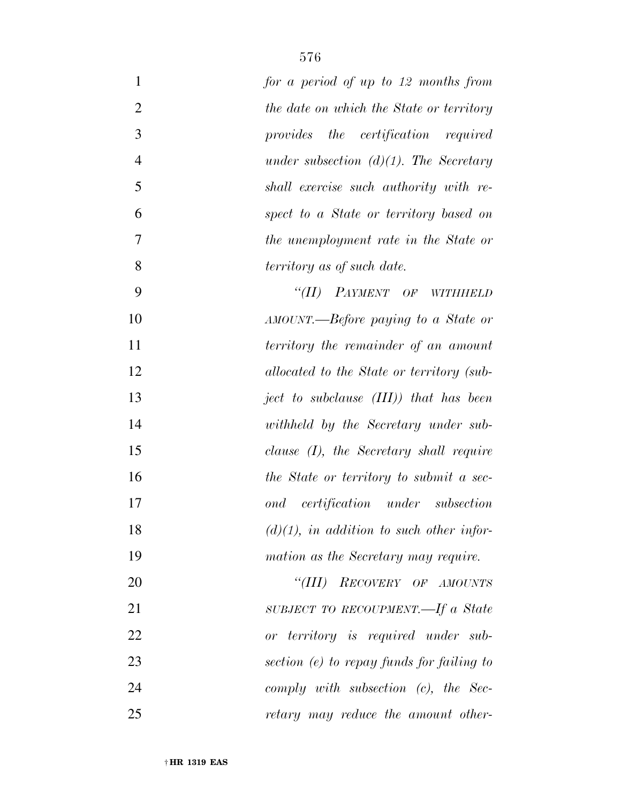| $\mathbf{1}$   | for a period of up to 12 months from                |
|----------------|-----------------------------------------------------|
| $\sqrt{2}$     | the date on which the State or territory            |
| 3              | provides the certification required                 |
| $\overline{4}$ | under subsection $(d)(1)$ . The Secretary           |
| 5              | shall exercise such authority with re-              |
| 6              | spect to a State or territory based on              |
| 7              | the unemployment rate in the State or               |
| 8              | territory as of such date.                          |
| 9              | "(II) PAYMENT OF<br><b>WITHHELD</b>                 |
| 10             | AMOUNT.—Before paying to a State or                 |
| 11             | territory the remainder of an amount                |
| 12             | allocated to the State or territory (sub-           |
| 13             | ject to subclause $(III)$ ) that has been           |
| 14             | withheld by the Secretary under sub-                |
| 15             | clause $(I)$ , the Secretary shall require          |
| 16             | the State or territory to submit a sec-             |
| 17             | <i>certification</i> under subsection<br>$\it{ond}$ |
| 18             | $(d)(1)$ , in addition to such other infor-         |
| 19             | mation as the Secretary may require.                |
| 20             | RECOVERY OF AMOUNTS<br>$\lq$ <sup>"</sup> (III)     |
| 21             | SUBJECT TO RECOUPMENT.—If a State                   |
| 22             | or territory is required under sub-                 |
| 23             | section (e) to repay funds for failing to           |
| 24             | comply with subsection $(c)$ , the Sec-             |
| 25             | retary may reduce the amount other-                 |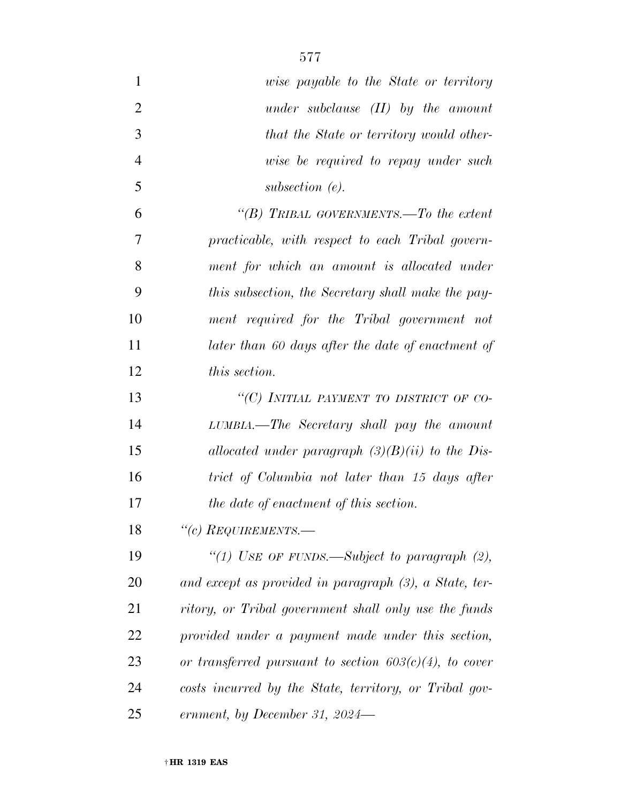| $\mathbf{1}$   | <i>uise payable to the State or territory</i>             |
|----------------|-----------------------------------------------------------|
| $\overline{2}$ | under subclause $(II)$ by the amount                      |
| 3              | that the State or territory would other-                  |
| $\overline{4}$ | wise be required to repay under such                      |
| 5              | subsection $(e)$ .                                        |
| 6              | "(B) TRIBAL GOVERNMENTS.—To the extent                    |
| $\overline{7}$ | practicable, with respect to each Tribal govern-          |
| 8              | ment for which an amount is allocated under               |
| 9              | this subsection, the Secretary shall make the pay-        |
| 10             | ment required for the Tribal government not               |
| 11             | later than 60 days after the date of enactment of         |
| 12             | <i>this section.</i>                                      |
| 13             | "(C) INITIAL PAYMENT TO DISTRICT OF CO-                   |
| 14             | LUMBIA.—The Secretary shall pay the amount                |
| 15             | allocated under paragraph $(3)(B)(ii)$ to the Dis-        |
| 16             | trict of Columbia not later than 15 days after            |
| 17             | the date of enactment of this section.                    |
| 18             | $``(c)$ REQUIREMENTS.—                                    |
| 19             | "(1) USE OF FUNDS.—Subject to paragraph $(2)$ ,           |
| 20             | and except as provided in paragraph (3), a State, ter-    |
| 21             | ritory, or Tribal government shall only use the funds     |
| 22             | provided under a payment made under this section,         |
| 23             | or transferred pursuant to section $603(c)(4)$ , to cover |
| 24             | costs incurred by the State, territory, or Tribal gov-    |
| 25             | ernment, by December 31, 2024—                            |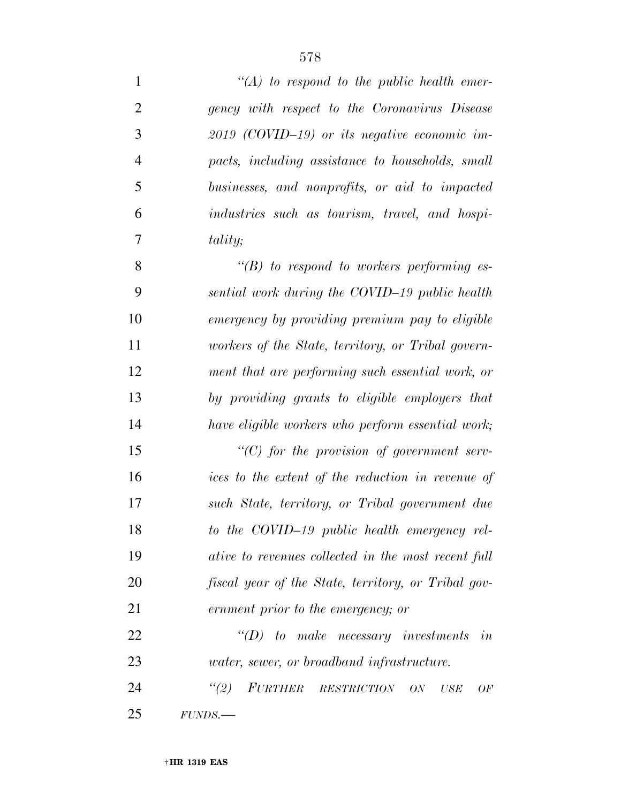| $\mathbf{1}$   | $\lq (A)$ to respond to the public health emer-     |
|----------------|-----------------------------------------------------|
| $\overline{2}$ | gency with respect to the Coronavirus Disease       |
| 3              | $2019$ (COVID-19) or its negative economic im-      |
| $\overline{4}$ | pacts, including assistance to households, small    |
| 5              | businesses, and nonprofits, or aid to impacted      |
| 6              | industries such as tourism, travel, and hospi-      |
| 7              | <i>tality</i> ;                                     |
| 8              | $\lq\lq(B)$ to respond to workers performing es-    |
| 9              | sential work during the COVID-19 public health      |
| 10             | emergency by providing premium pay to eligible      |
| 11             | workers of the State, territory, or Tribal govern-  |
| 12             | ment that are performing such essential work, or    |
| 13             | by providing grants to eligible employers that      |
| 14             | have eligible workers who perform essential work;   |
| 15             | $\lq\lq C$ for the provision of government serv-    |
| 16             | ices to the extent of the reduction in revenue of   |
| 17             | such State, territory, or Tribal government due     |
| 18             | to the COVID-19 public health emergency rel-        |
| 19             | ative to revenues collected in the most recent full |
| 20             | fiscal year of the State, territory, or Tribal gov- |
| 21             | ernment prior to the emergency; or                  |
| 22             | $\lq\lq D$ to make necessary investments<br>in      |
| 23             | <i>water, sewer, or broadband infrastructure.</i>   |
| 24             | (2)<br>FURTHER RESTRICTION<br>ON<br>USE<br>OF       |
| 25             | FUNDS.                                              |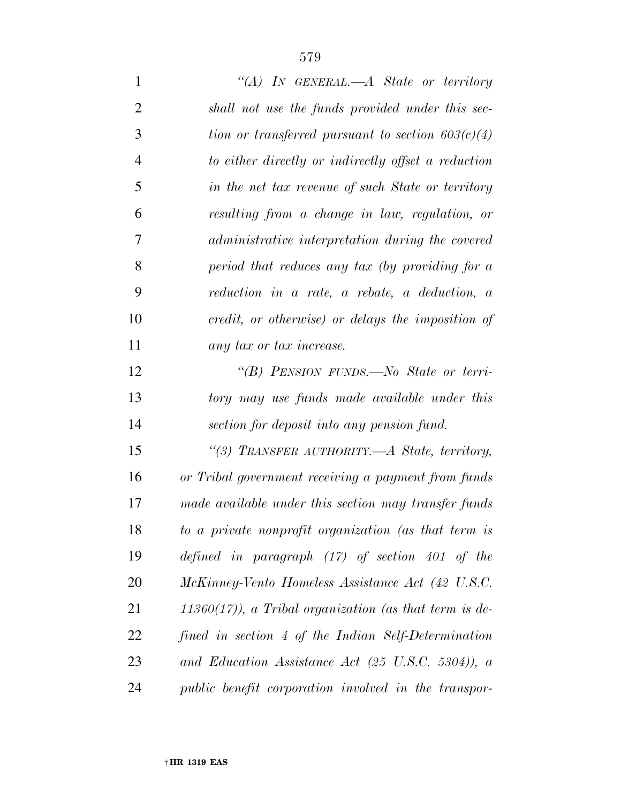*''(A) IN GENERAL.—A State or territory shall not use the funds provided under this sec- tion or transferred pursuant to section 603(c)(4) to either directly or indirectly offset a reduction in the net tax revenue of such State or territory resulting from a change in law, regulation, or administrative interpretation during the covered period that reduces any tax (by providing for a reduction in a rate, a rebate, a deduction, a credit, or otherwise) or delays the imposition of any tax or tax increase. ''(B) PENSION FUNDS.—No State or terri- tory may use funds made available under this section for deposit into any pension fund. ''(3) TRANSFER AUTHORITY.—A State, territory, or Tribal government receiving a payment from funds made available under this section may transfer funds to a private nonprofit organization (as that term is defined in paragraph (17) of section 401 of the McKinney-Vento Homeless Assistance Act (42 U.S.C. 11360(17)), a Tribal organization (as that term is de- fined in section 4 of the Indian Self-Determination and Education Assistance Act (25 U.S.C. 5304)), a public benefit corporation involved in the transpor-*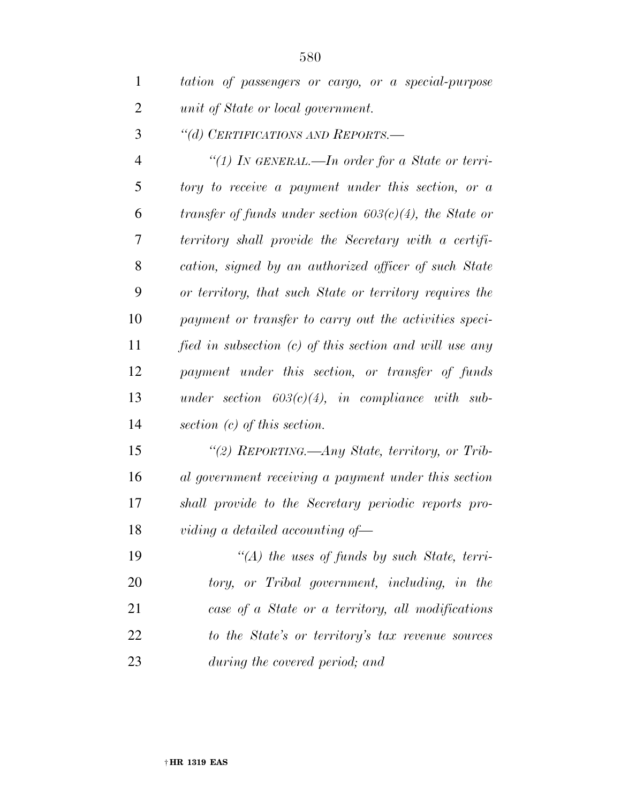| $\mathbf{1}$   | tation of passengers or cargo, or a special-purpose        |
|----------------|------------------------------------------------------------|
| $\overline{2}$ | unit of State or local government.                         |
| 3              | "(d) CERTIFICATIONS AND REPORTS.-                          |
| 4              | "(1) IN GENERAL.—In order for a State or terri-            |
| 5              | tory to receive a payment under this section, or a         |
| 6              | transfer of funds under section $603(c)(4)$ , the State or |
| 7              | territory shall provide the Secretary with a certifi-      |
| 8              | cation, signed by an authorized officer of such State      |
| 9              | or territory, that such State or territory requires the    |
| 10             | payment or transfer to carry out the activities speci-     |
| 11             | fied in subsection (c) of this section and will use any    |
| 12             | payment under this section, or transfer of funds           |
| 13             | under section $603(c)(4)$ , in compliance with sub-        |
| 14             | section $(c)$ of this section.                             |
| 15             | "(2) REPORTING.—Any State, territory, or Trib-             |
| 16             | al government receiving a payment under this section       |

 *''(A) the uses of funds by such State, terri- tory, or Tribal government, including, in the case of a State or a territory, all modifications* 

*viding a detailed accounting of—* 

*shall provide to the Secretary periodic reports pro-*

 *to the State's or territory's tax revenue sources during the covered period; and*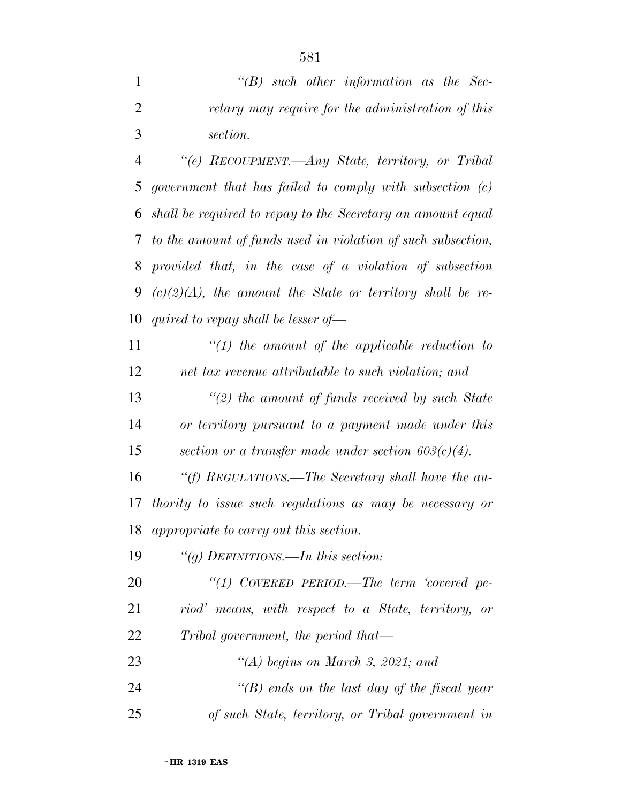|               | $\lq\lq B$ such other information as the Sec-     |
|---------------|---------------------------------------------------|
|               | retary may require for the administration of this |
| $\mathcal{R}$ | section.                                          |

 *''(e) RECOUPMENT.—Any State, territory, or Tribal government that has failed to comply with subsection (c) shall be required to repay to the Secretary an amount equal to the amount of funds used in violation of such subsection, provided that, in the case of a violation of subsection (c)(2)(A), the amount the State or territory shall be re-quired to repay shall be lesser of—* 

 *''(1) the amount of the applicable reduction to net tax revenue attributable to such violation; and* 

 *''(2) the amount of funds received by such State or territory pursuant to a payment made under this section or a transfer made under section 603(c)(4).* 

 *''(f) REGULATIONS.—The Secretary shall have the au- thority to issue such regulations as may be necessary or appropriate to carry out this section.* 

*''(g) DEFINITIONS.—In this section:* 

 *''(1) COVERED PERIOD.—The term 'covered pe- riod' means, with respect to a State, territory, or Tribal government, the period that—* 

- *''(A) begins on March 3, 2021; and ''(B) ends on the last day of the fiscal year*
- *of such State, territory, or Tribal government in*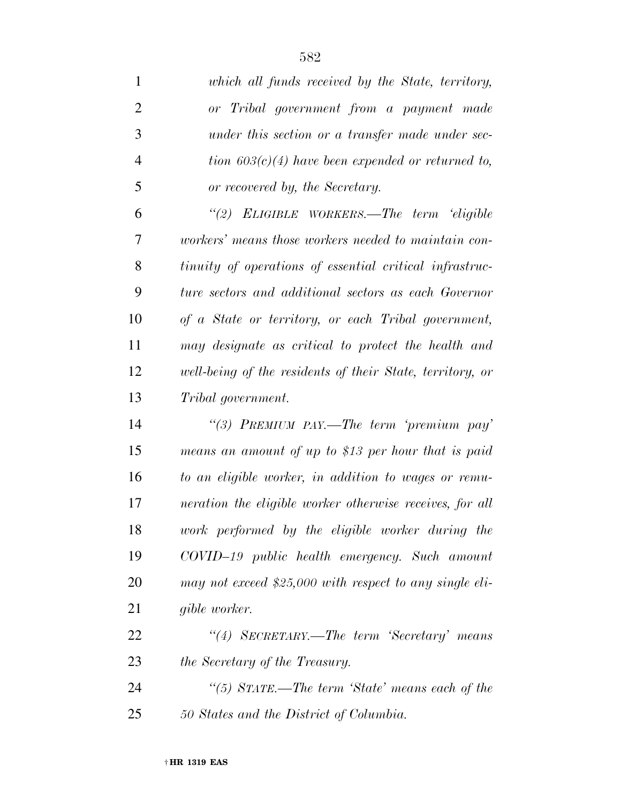| 1              | which all funds received by the State, territory,         |
|----------------|-----------------------------------------------------------|
| $\overline{2}$ | or Tribal government from a payment made                  |
| 3              | under this section or a transfer made under sec-          |
| $\overline{4}$ | tion $603(c)(4)$ have been expended or returned to,       |
| 5              | or recovered by, the Secretary.                           |
| 6              | "(2) ELIGIBLE WORKERS.—The term 'eligible                 |
| 7              | workers' means those workers needed to maintain con-      |
| 8              | tinuity of operations of essential critical infrastruc-   |
| 9              | ture sectors and additional sectors as each Governor      |
| 10             | of a State or territory, or each Tribal government,       |
| 11             | may designate as critical to protect the health and       |
| 12             | well-being of the residents of their State, territory, or |
| 13             | Tribal government.                                        |
| 14             | "(3) PREMIUM PAY.—The term 'premium pay'                  |
| 15             | means an amount of up to \$13 per hour that is paid       |
| 16             | to an eligible worker, in addition to wages or remu-      |
| 17             | neration the eligible worker otherwise receives, for all  |
| 18             | work performed by the eligible worker during the          |
| 19             | COVID-19 public health emergency. Such amount             |
| <b>20</b>      | may not exceed \$25,000 with respect to any single eli-   |
| 21             | gible worker.                                             |
| 22             | "(4) SECRETARY.—The term 'Secretary' means                |
| 23             | the Secretary of the Treasury.                            |
| 24             | "(5) STATE.—The term 'State' means each of the            |
| 25             | 50 States and the District of Columbia.                   |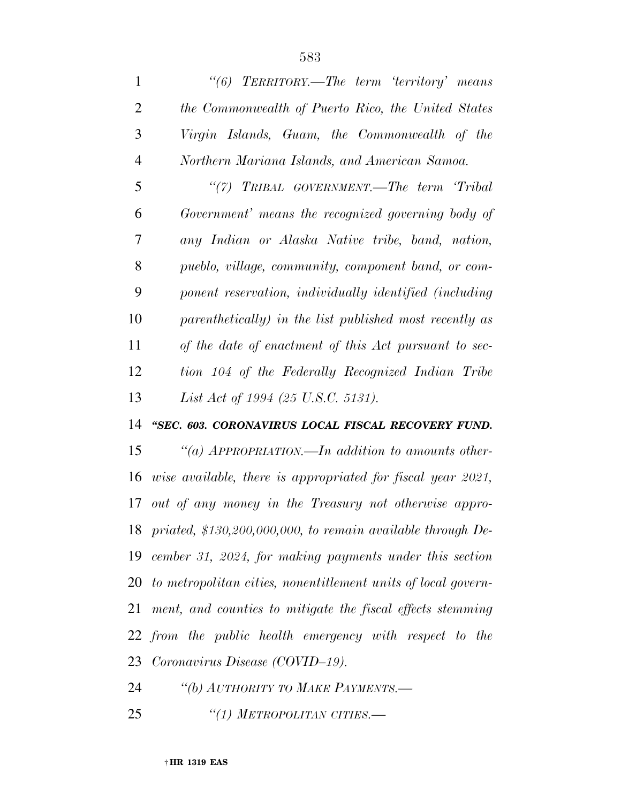| $\mathbf{1}$   | "(6) TERRITORY.—The term 'territory' means                       |
|----------------|------------------------------------------------------------------|
| $\overline{2}$ | the Commonwealth of Puerto Rico, the United States               |
| 3              | Virgin Islands, Guam, the Commonwealth of the                    |
| $\overline{4}$ | Northern Mariana Islands, and American Samoa.                    |
| 5              | "(7) TRIBAL GOVERNMENT.—The term 'Tribal                         |
| 6              | Government' means the recognized governing body of               |
| 7              | any Indian or Alaska Native tribe, band, nation,                 |
| 8              | pueblo, village, community, component band, or com-              |
| 9              | ponent reservation, individually identified (including           |
| 10             | parenthetically) in the list published most recently as          |
| 11             | of the date of enactment of this Act pursuant to sec-            |
| 12             | tion 104 of the Federally Recognized Indian Tribe                |
| 13             | List Act of 1994 (25 U.S.C. 5131).                               |
| 14             | "SEC. 603. CORONAVIRUS LOCAL FISCAL RECOVERY FUND.               |
| 15             | "(a) $APPROPRIATION$ —In addition to amounts other-              |
| 16             | wise available, there is appropriated for fiscal year 2021,      |
| 17             | out of any money in the Treasury not otherwise appro-            |
|                | 18 priated, \$130,200,000,000, to remain available through De-   |
|                | 19 cember 31, 2024, for making payments under this section       |
|                | 20 to metropolitan cities, nonentitlement units of local govern- |
| 21             | ment, and counties to mitigate the fiscal effects stemming       |
|                | 22 from the public health emergency with respect to the          |
|                | 23 Coronavirus Disease (COVID-19).                               |
|                |                                                                  |

*''(b) AUTHORITY TO MAKE PAYMENTS.—* 

*''(1) METROPOLITAN CITIES.—*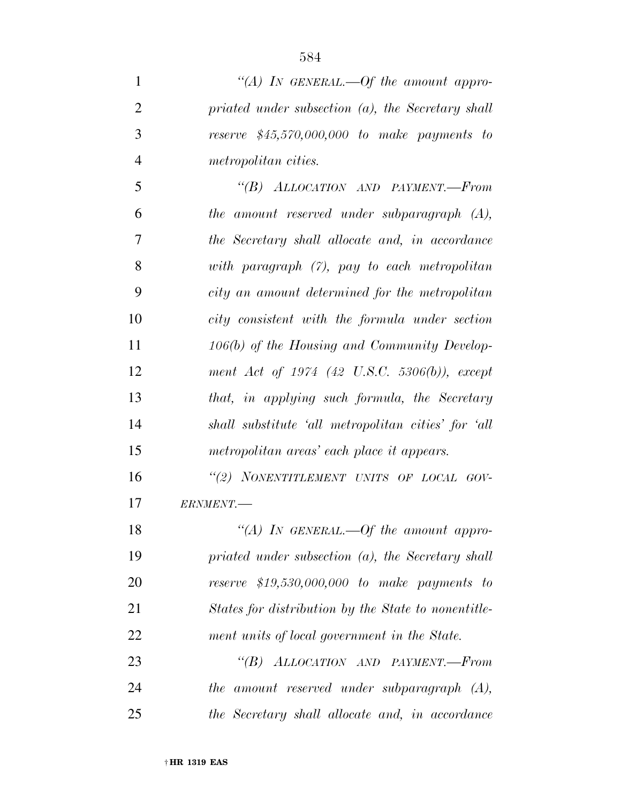*''(A) IN GENERAL.—Of the amount appro- priated under subsection (a), the Secretary shall reserve \$45,570,000,000 to make payments to metropolitan cities. ''(B) ALLOCATION AND PAYMENT.—From the amount reserved under subparagraph (A), the Secretary shall allocate and, in accordance with paragraph (7), pay to each metropolitan city an amount determined for the metropolitan city consistent with the formula under section 106(b) of the Housing and Community Develop- ment Act of 1974 (42 U.S.C. 5306(b)), except that, in applying such formula, the Secretary shall substitute 'all metropolitan cities' for 'all metropolitan areas' each place it appears. ''(2) NONENTITLEMENT UNITS OF LOCAL GOV- ERNMENT.— ''(A) IN GENERAL.—Of the amount appro-priated under subsection (a), the Secretary shall* 

 *reserve \$19,530,000,000 to make payments to States for distribution by the State to nonentitle-ment units of local government in the State.* 

 *''(B) ALLOCATION AND PAYMENT.—From the amount reserved under subparagraph (A), the Secretary shall allocate and, in accordance*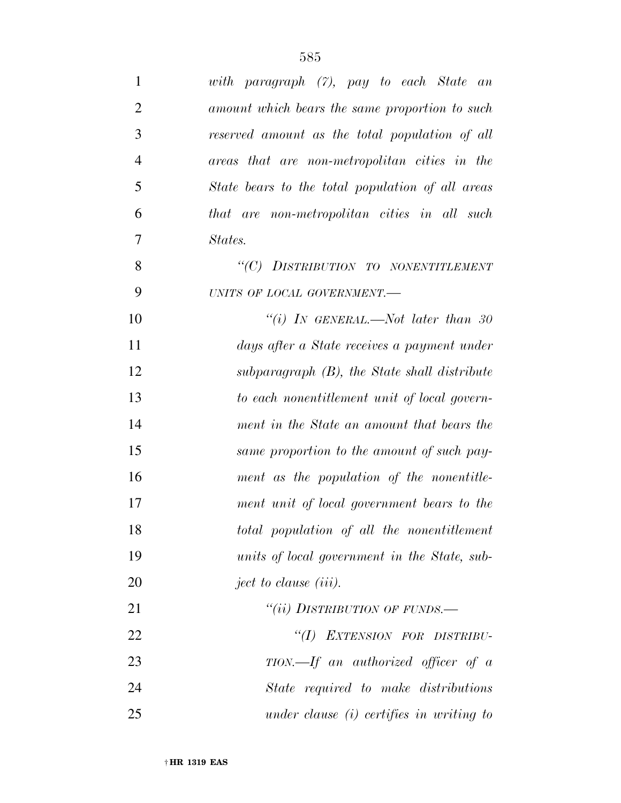| 1              | with paragraph (7), pay to each State an         |
|----------------|--------------------------------------------------|
| $\overline{2}$ | amount which bears the same proportion to such   |
| 3              | reserved amount as the total population of all   |
| $\overline{4}$ | areas that are non-metropolitan cities in the    |
| 5              | State bears to the total population of all areas |
| 6              | that are non-metropolitan cities in all such     |
| 7              | States.                                          |
| 8              | "(C) DISTRIBUTION TO NONENTITLEMENT              |
| 9              | UNITS OF LOCAL GOVERNMENT.-                      |
| 10             | "(i) In GENERAL.—Not later than 30               |
| 11             | days after a State receives a payment under      |
| 12             | subparagraph (B), the State shall distribute     |
| 13             | to each nonentitlement unit of local govern-     |
| 14             | ment in the State an amount that bears the       |
| 15             | same proportion to the amount of such pay-       |
| 16             | ment as the population of the nonentitle-        |
| 17             | ment unit of local government bears to the       |
| 18             | total population of all the nonentitlement       |
| 19             | units of local government in the State, sub-     |
| <b>20</b>      | ject to clause (iii).                            |
| 21             | "(ii) DISTRIBUTION OF FUNDS.-                    |
| 22             | "(I) EXTENSION FOR DISTRIBU-                     |
| 23             | $TION. - If$ an authorized officer of a          |
| 24             | State required to make distributions             |
| 25             | under clause $(i)$ certifies in writing to       |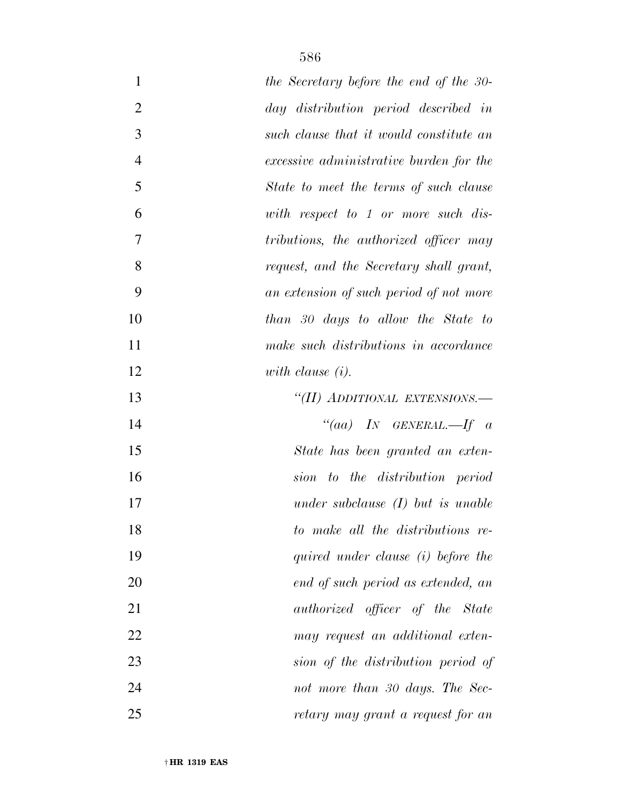| $\mathbf{1}$   | the Secretary before the end of the 30- |
|----------------|-----------------------------------------|
| $\overline{2}$ | day distribution period described in    |
| 3              | such clause that it would constitute an |
| $\overline{4}$ | excessive administrative burden for the |
| 5              | State to meet the terms of such clause  |
| 6              | with respect to 1 or more such dis-     |
| $\overline{7}$ | tributions, the authorized officer may  |
| 8              | request, and the Secretary shall grant, |
| 9              | an extension of such period of not more |
| 10             | than 30 days to allow the State to      |
| 11             | make such distributions in accordance   |
| 12             | with clause $(i)$ .                     |
| 13             | "(II) ADDITIONAL EXTENSIONS.—           |
| 14             | "(aa) IN GENERAL.—If $\alpha$           |
| 15             | State has been granted an exten-        |
| 16             | to the distribution period<br>sion      |
| 17             | under subclause $(I)$ but is unable     |
| 18             | to make all the distributions re-       |
| 19             | quired under clause (i) before the      |
| 20             | end of such period as extended, an      |
| 21             | <i>authorized officer of the State</i>  |
| 22             | may request an additional exten-        |
| 23             | sion of the distribution period of      |
| 24             | not more than 30 days. The Sec-         |
| 25             | retary may grant a request for an       |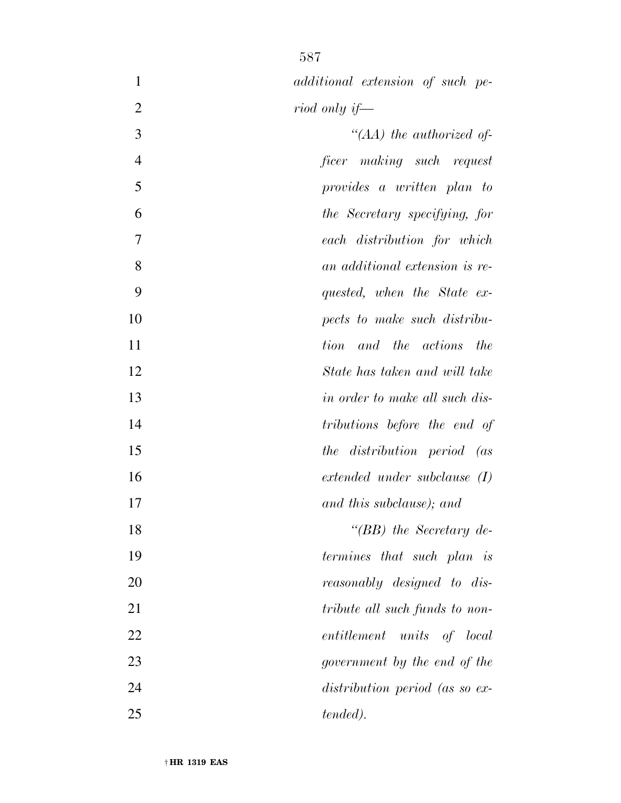| additional extension of such pe- |
|----------------------------------|
| riod only if—                    |

 *''(AA) the authorized of- ficer making such request provides a written plan to the Secretary specifying, for each distribution for which an additional extension is re- quested, when the State ex- pects to make such distribu- tion and the actions the State has taken and will take in order to make all such dis- tributions before the end of the distribution period (as extended under subclause (I) and this subclause); and ''(BB) the Secretary de- termines that such plan is reasonably designed to dis- tribute all such funds to non- entitlement units of local government by the end of the distribution period (as so ex-tended).*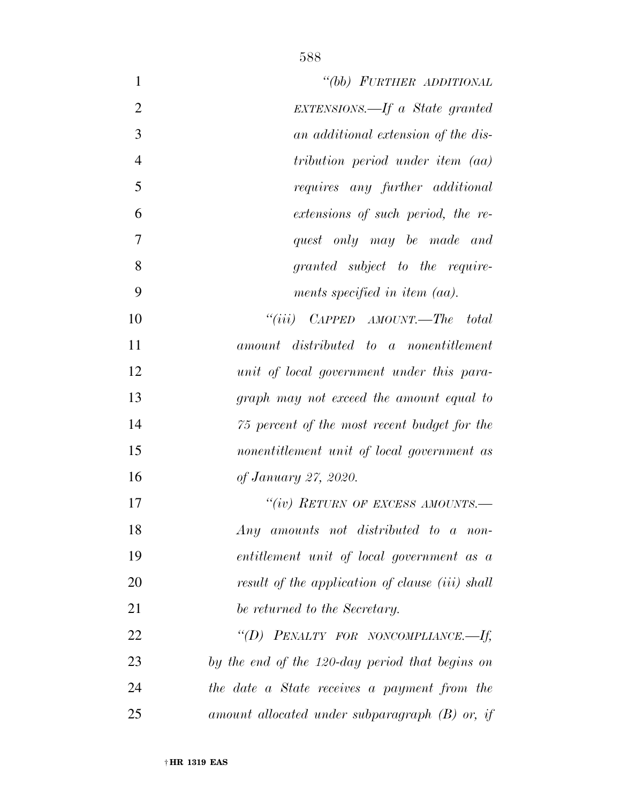| "(bb) FURTHER ADDITIONAL                         | $\mathbf{1}$   |
|--------------------------------------------------|----------------|
| EXTENSIONS.—If a State granted                   | $\overline{2}$ |
| an additional extension of the dis-              | 3              |
| tribution period under item (aa)                 | $\overline{4}$ |
| requires any further additional                  | 5              |
| extensions of such period, the re-               | 6              |
| quest only may be made and                       | 7              |
| granted subject to the require-                  | 8              |
| ments specified in item $(aa)$ .                 | 9              |
| "(iii) $CAPPED$ $AMOUNT.$ —The total             | 10             |
| amount distributed to a nonentitlement           | 11             |
| unit of local government under this para-        | 12             |
| graph may not exceed the amount equal to         | 13             |
| 75 percent of the most recent budget for the     | 14             |
| nonentitlement unit of local government as       | 15             |
| of January 27, 2020.                             | 16             |
| "(iv) RETURN OF EXCESS AMOUNTS.—                 | 17             |
| Any amounts not distributed to a non-            | 18             |
| entitlement unit of local government as a        | 19             |
| result of the application of clause (iii) shall  | 20             |
| be returned to the Secretary.                    | 21             |
| "(D) PENALTY FOR NONCOMPLIANCE.-If,              | 22             |
| by the end of the 120-day period that begins on  | 23             |
| the date a State receives a payment from the     | 24             |
| amount allocated under subparagraph $(B)$ or, if | 25             |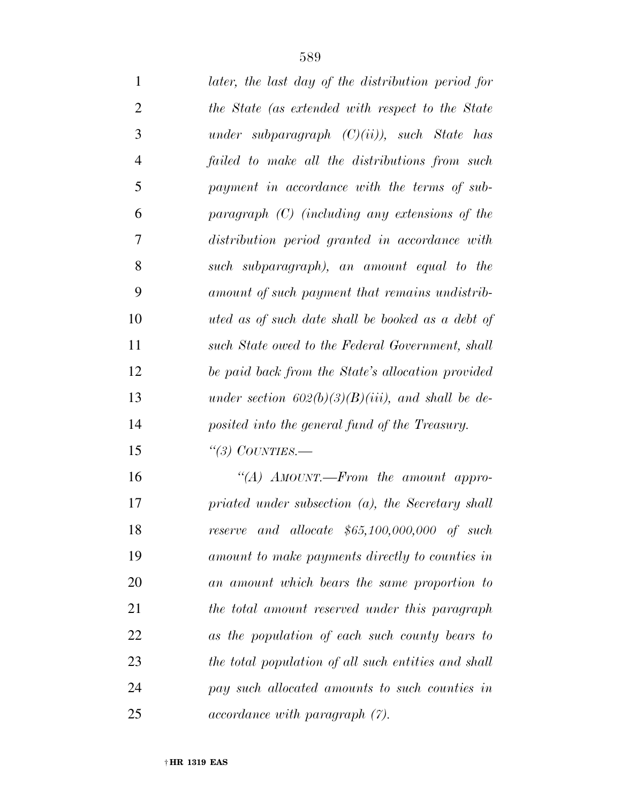| $\mathbf{1}$   | later, the last day of the distribution period for   |
|----------------|------------------------------------------------------|
| $\overline{2}$ | the State (as extended with respect to the State     |
| 3              | under subparagraph $(C)(ii)$ , such State has        |
| $\overline{4}$ | failed to make all the distributions from such       |
| 5              | payment in accordance with the terms of sub-         |
| 6              | paragraph $(C)$ (including any extensions of the     |
| 7              | distribution period granted in accordance with       |
| 8              | such subparagraph), an amount equal to the           |
| 9              | amount of such payment that remains undistrib-       |
| 10             | uted as of such date shall be booked as a debt of    |
| 11             | such State owed to the Federal Government, shall     |
| 12             | be paid back from the State's allocation provided    |
| 13             | under section $602(b)(3)(B)(iii)$ , and shall be de- |
| 14             | posited into the general fund of the Treasury.       |
| 15             | "(3) COUNTIES.—                                      |
| 16             | "(A) $AMOUNT.$ -From the amount appro-               |
| 17             | priated under subsection $(a)$ , the Secretary shall |
| 18             | and allocate $$65,100,000,000$ of such<br>reserve    |
| 19             | amount to make payments directly to counties in      |
| 20             | an amount which bears the same proportion to         |
| 21             | the total amount reserved under this paragraph       |
| 22             | as the population of each such county bears to       |
| 23             | the total population of all such entities and shall  |
| 24             | pay such allocated amounts to such counties in       |
| 25             | <i>accordance with paragraph (7).</i>                |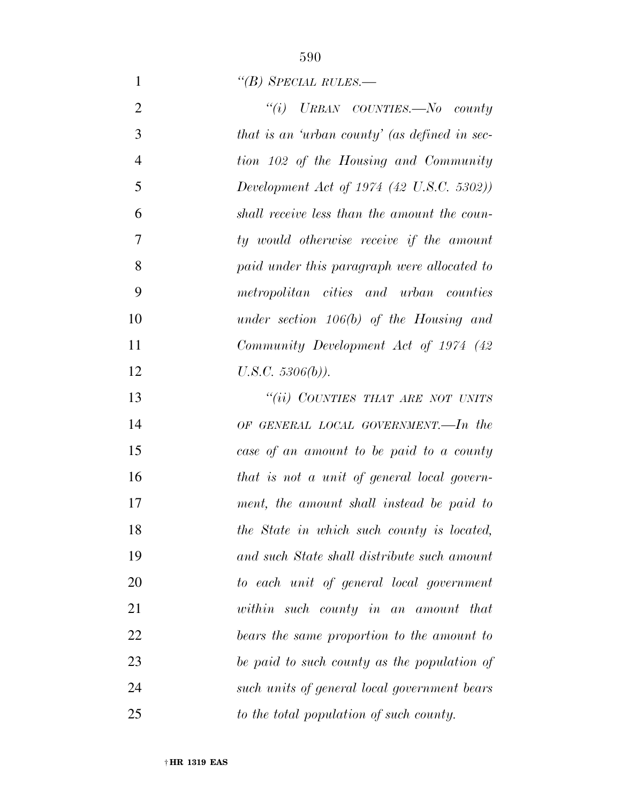## *''(B) SPECIAL RULES.—*

| $\overline{2}$ | "(i) URBAN COUNTIES.—No county                |
|----------------|-----------------------------------------------|
| 3              | that is an 'urban county' (as defined in sec- |
| $\overline{4}$ | tion 102 of the Housing and Community         |
| 5              | Development Act of 1974 (42 U.S.C. 5302))     |
| 6              | shall receive less than the amount the coun-  |
| 7              | ty would otherwise receive if the amount      |
| 8              | paid under this paragraph were allocated to   |
| 9              | metropolitan cities and urban counties        |
| 10             | under section $106(b)$ of the Housing and     |
| 11             | Community Development Act of 1974 (42)        |
| 12             | $U.S.C. 5306(b)$ ).                           |
| 13             | "(ii) COUNTIES THAT ARE NOT UNITS             |
| 14             | OF GENERAL LOCAL GOVERNMENT.—In the           |
| 15             | case of an amount to be paid to a county      |
| 16             | that is not a unit of general local govern-   |
| 17             | ment, the amount shall instead be paid to     |
| 18             | the State in which such county is located,    |
| 19             | and such State shall distribute such amount   |
| 20             | to each unit of general local government      |
| 21             | within such county in an amount that          |
| 22             | bears the same proportion to the amount to    |
| 23             | be paid to such county as the population of   |
| 24             | such units of general local government bears  |
| 25             | to the total population of such county.       |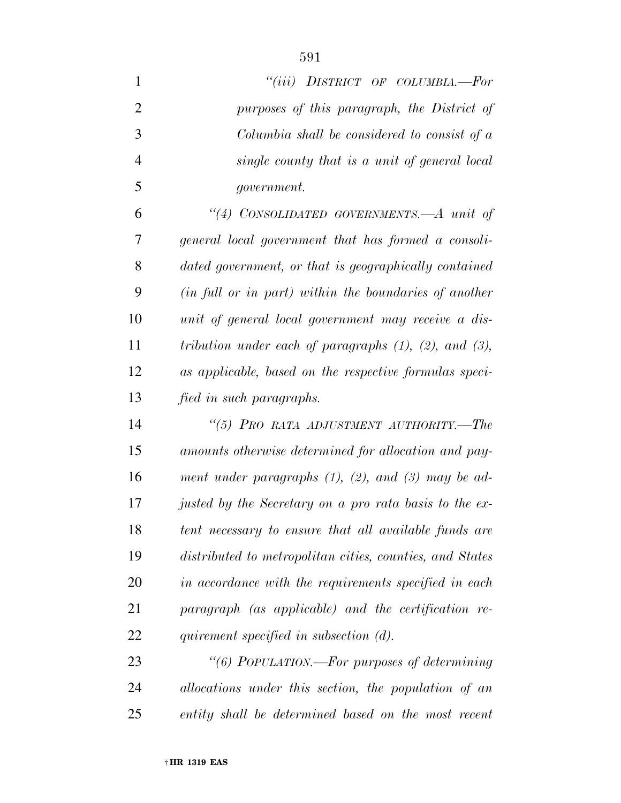| $\mathbf{1}$   | "(iii) DISTRICT OF COLUMBIA.—For                               |
|----------------|----------------------------------------------------------------|
| $\overline{2}$ | purposes of this paragraph, the District of                    |
| 3              | Columbia shall be considered to consist of a                   |
| $\overline{4}$ | single county that is a unit of general local                  |
| 5              | <i>government.</i>                                             |
| 6              | "(4) CONSOLIDATED GOVERNMENTS.—A unit of                       |
| 7              | general local government that has formed a consoli-            |
| 8              | dated government, or that is geographically contained          |
| 9              | (in full or in part) within the boundaries of another          |
| 10             | unit of general local government may receive a dis-            |
| 11             | tribution under each of paragraphs $(1)$ , $(2)$ , and $(3)$ , |
| 12             | as applicable, based on the respective formulas speci-         |
| 13             | fied in such paragraphs.                                       |
| 14             | "(5) PRO RATA ADJUSTMENT AUTHORITY.—The                        |
| 15             | amounts otherwise determined for allocation and pay-           |
| 16             | ment under paragraphs $(1)$ , $(2)$ , and $(3)$ may be ad-     |
| 17             | justed by the Secretary on a pro rata basis to the ex-         |
| 18             | tent necessary to ensure that all available funds are          |
| 19             | distributed to metropolitan cities, counties, and States       |
| 20             | in accordance with the requirements specified in each          |
| 21             | paragraph (as applicable) and the certification re-            |
| 22             | quirement specified in subsection (d).                         |
| 23             | "(6) POPULATION.—For purposes of determining                   |
| 24             | allocations under this section, the population of an           |

*entity shall be determined based on the most recent*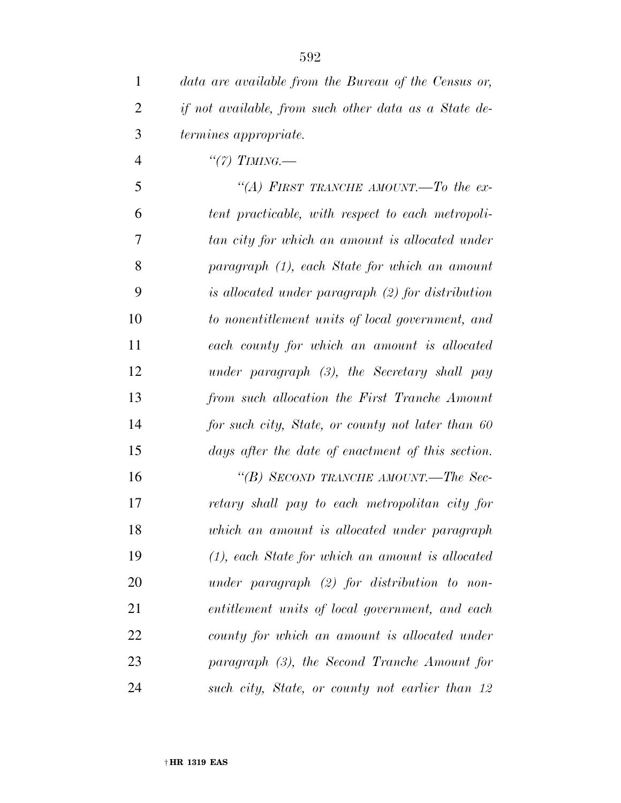*data are available from the Bureau of the Census or, if not available, from such other data as a State de- termines appropriate. ''(7) TIMING.— ''(A) FIRST TRANCHE AMOUNT.—To the ex- tent practicable, with respect to each metropoli- tan city for which an amount is allocated under paragraph (1), each State for which an amount is allocated under paragraph (2) for distribution to nonentitlement units of local government, and each county for which an amount is allocated under paragraph (3), the Secretary shall pay from such allocation the First Tranche Amount for such city, State, or county not later than 60 days after the date of enactment of this section. ''(B) SECOND TRANCHE AMOUNT.—The Sec- retary shall pay to each metropolitan city for which an amount is allocated under paragraph (1), each State for which an amount is allocated under paragraph (2) for distribution to non- entitlement units of local government, and each county for which an amount is allocated under paragraph (3), the Second Tranche Amount for* 

*such city, State, or county not earlier than 12*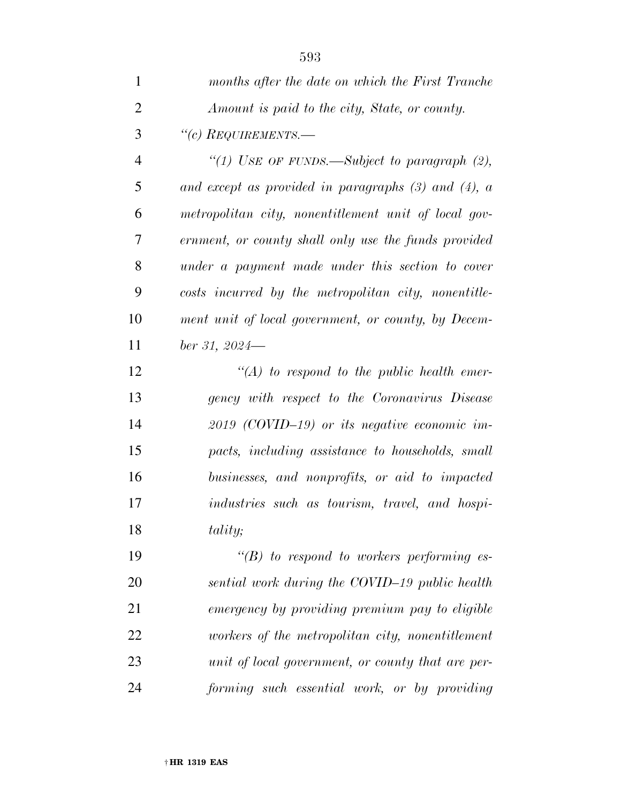| $\mathbf{1}$   | months after the date on which the First Tranche         |
|----------------|----------------------------------------------------------|
| $\overline{2}$ | Amount is paid to the city, State, or county.            |
| 3              | "(c) $_{\text{REQUIREMENTS.}}$                           |
| $\overline{4}$ | "(1) USE OF FUNDS.—Subject to paragraph $(2)$ ,          |
| 5              | and except as provided in paragraphs $(3)$ and $(4)$ , a |
| 6              | metropolitan city, nonentitlement unit of local gov-     |
| 7              | ernment, or county shall only use the funds provided     |
| 8              | under a payment made under this section to cover         |
| 9              | costs incurred by the metropolitan city, nonentitle-     |
| 10             | ment unit of local government, or county, by Decem-      |
| 11             | $ber\,31,\,2024$ —                                       |
| 12             | $\lq (A)$ to respond to the public health emer-          |
| 13             | gency with respect to the Coronavirus Disease            |
| 14             | $2019$ (COVID-19) or its negative economic im-           |
| 15             | pacts, including assistance to households, small         |
| 16             | businesses, and nonprofits, or aid to impacted           |
| 17             | industries such as tourism, travel, and hospi-           |
| 18             | tality;                                                  |
| 19             | $\lq\lq(B)$ to respond to workers performing es-         |
| 20             | sential work during the COVID-19 public health           |
| 21             | emergency by providing premium pay to eligible           |
| 22             | workers of the metropolitan city, nonentitlement         |
| 23             | unit of local government, or county that are per-        |
|                |                                                          |

*forming such essential work, or by providing*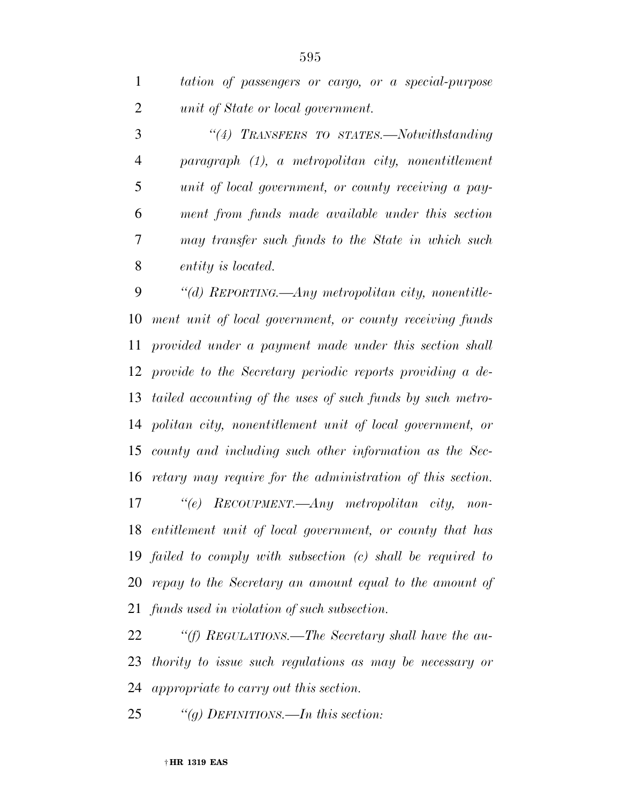*''(4) TRANSFERS TO STATES.—Notwithstanding paragraph (1), a metropolitan city, nonentitlement unit of local government, or county receiving a pay- ment from funds made available under this section may transfer such funds to the State in which such entity is located.* 

 *''(d) REPORTING.—Any metropolitan city, nonentitle- ment unit of local government, or county receiving funds provided under a payment made under this section shall provide to the Secretary periodic reports providing a de- tailed accounting of the uses of such funds by such metro- politan city, nonentitlement unit of local government, or county and including such other information as the Sec- retary may require for the administration of this section. ''(e) RECOUPMENT.—Any metropolitan city, non- entitlement unit of local government, or county that has failed to comply with subsection (c) shall be required to repay to the Secretary an amount equal to the amount of* 

*funds used in violation of such subsection.* 

 *''(f) REGULATIONS.—The Secretary shall have the au- thority to issue such regulations as may be necessary or appropriate to carry out this section.* 

*''(g) DEFINITIONS.—In this section:*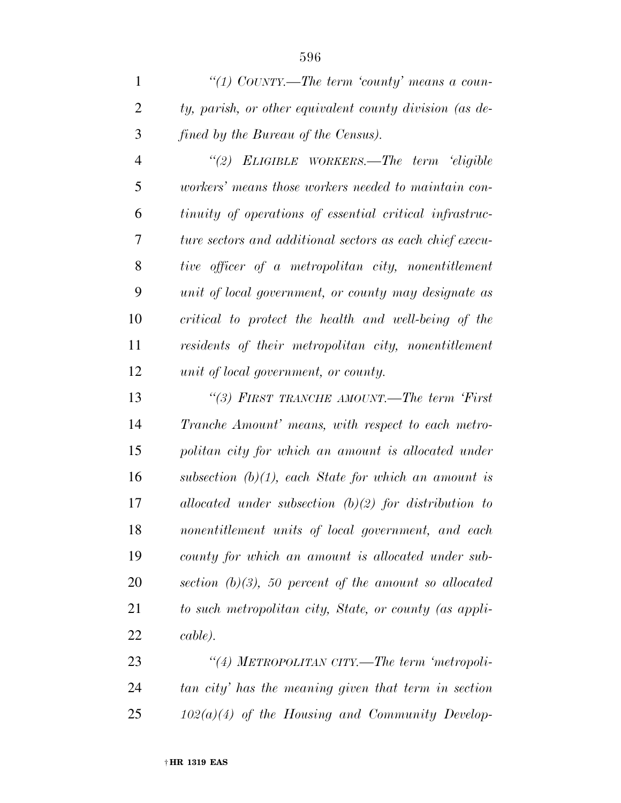*''(1) COUNTY.—The term 'county' means a coun- ty, parish, or other equivalent county division (as de-fined by the Bureau of the Census).* 

 *''(2) ELIGIBLE WORKERS.—The term 'eligible workers' means those workers needed to maintain con- tinuity of operations of essential critical infrastruc- ture sectors and additional sectors as each chief execu- tive officer of a metropolitan city, nonentitlement unit of local government, or county may designate as critical to protect the health and well-being of the residents of their metropolitan city, nonentitlement unit of local government, or county.* 

 *''(3) FIRST TRANCHE AMOUNT.—The term 'First Tranche Amount' means, with respect to each metro- politan city for which an amount is allocated under subsection (b)(1), each State for which an amount is allocated under subsection (b)(2) for distribution to nonentitlement units of local government, and each county for which an amount is allocated under sub- section (b)(3), 50 percent of the amount so allocated to such metropolitan city, State, or county (as appli-cable).* 

 *''(4) METROPOLITAN CITY.—The term 'metropoli- tan city' has the meaning given that term in section 102(a)(4) of the Housing and Community Develop-*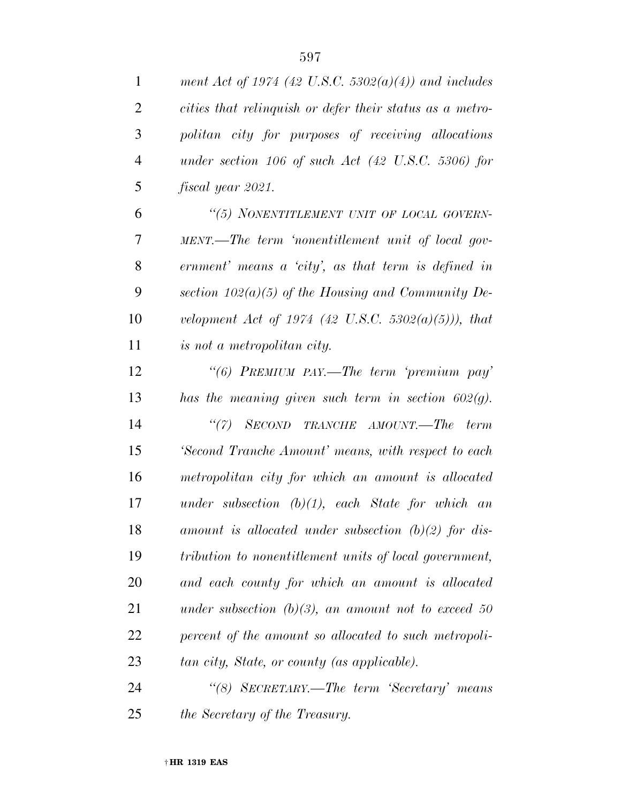| $\mathbf{1}$   | ment Act of 1974 (42 U.S.C. 5302(a)(4)) and includes            |
|----------------|-----------------------------------------------------------------|
| $\overline{c}$ | cities that relinquish or defer their status as a metro-        |
| 3              | politan city for purposes of receiving allocations              |
| $\overline{4}$ | under section $106$ of such Act $(42 \text{ U.S.C. } 5306)$ for |
| 5              | fiscal year 2021.                                               |
| 6              | "(5) NONENTITLEMENT UNIT OF LOCAL GOVERN-                       |
| $\tau$         | MENT.—The term 'nonentitlement unit of local gov-               |
| 8              | ernment' means a 'city', as that term is defined in             |
| 9              | section $102(a)(5)$ of the Housing and Community De-            |
| 10             | velopment Act of 1974 (42 U.S.C. 5302(a)(5))), that             |
| 11             | is not a metropolitan city.                                     |
| 12             | "(6) PREMIUM PAY.—The term 'premium pay'                        |
| 13             | has the meaning given such term in section $602(g)$ .           |
| 14             | ``(7)<br>SECOND TRANCHE AMOUNT.—The term                        |
| 15             | 'Second Tranche Amount' means, with respect to each             |
| 16             | metropolitan city for which an amount is allocated              |
| 17             | under subsection $(b)(1)$ , each State for which an             |
| 18             | amount is allocated under subsection $(b)(2)$ for dis-          |
| 19             | tribution to nonentitlement units of local government,          |
| 20             | and each county for which an amount is allocated                |
| 21             | under subsection $(b)(3)$ , an amount not to exceed 50          |
| 22             | percent of the amount so allocated to such metropoli-           |
| 23             | tan city, State, or county (as applicable).                     |
| 24             | "(8) SECRETARY.—The term 'Secretary' means                      |
| 25             | the Secretary of the Treasury.                                  |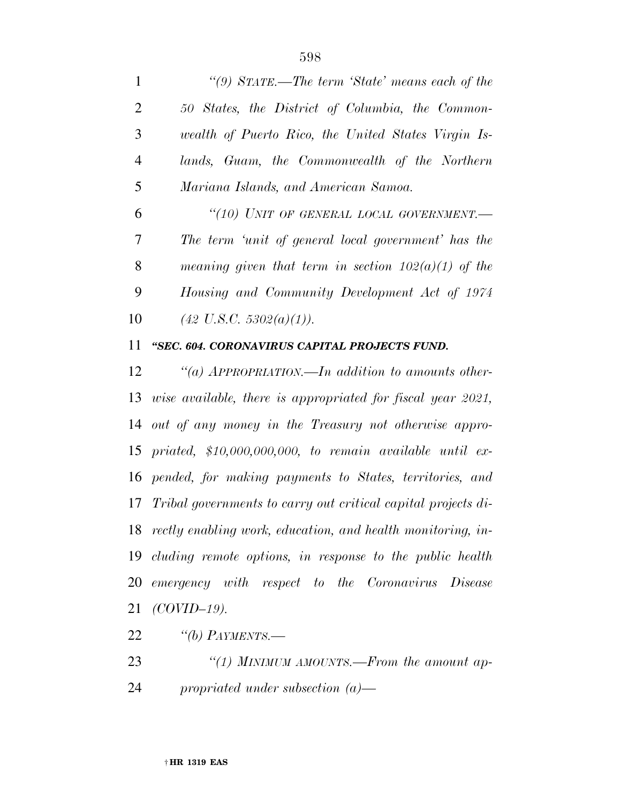|                | "(9) $STATE$ —The term 'State' means each of the      |
|----------------|-------------------------------------------------------|
| 2              | 50 States, the District of Columbia, the Common-      |
| 3              | wealth of Puerto Rico, the United States Virgin Is-   |
| $\overline{4}$ | lands, Guam, the Commonwealth of the Northern         |
| 5              | Mariana Islands, and American Samoa.                  |
| 6              | "(10) UNIT OF GENERAL LOCAL GOVERNMENT.-              |
| 7              | The term 'unit of general local government' has the   |
| 8              | meaning given that term in section $102(a)(1)$ of the |
| 9              | Housing and Community Development Act of 1974         |
|                |                                                       |

*(42 U.S.C. 5302(a)(1)).* 

### *''SEC. 604. CORONAVIRUS CAPITAL PROJECTS FUND.*

 *''(a) APPROPRIATION.—In addition to amounts other- wise available, there is appropriated for fiscal year 2021, out of any money in the Treasury not otherwise appro- priated, \$10,000,000,000, to remain available until ex- pended, for making payments to States, territories, and Tribal governments to carry out critical capital projects di- rectly enabling work, education, and health monitoring, in- cluding remote options, in response to the public health emergency with respect to the Coronavirus Disease (COVID–19).* 

*''(b) PAYMENTS.—* 

 *''(1) MINIMUM AMOUNTS.—From the amount ap-propriated under subsection (a)—*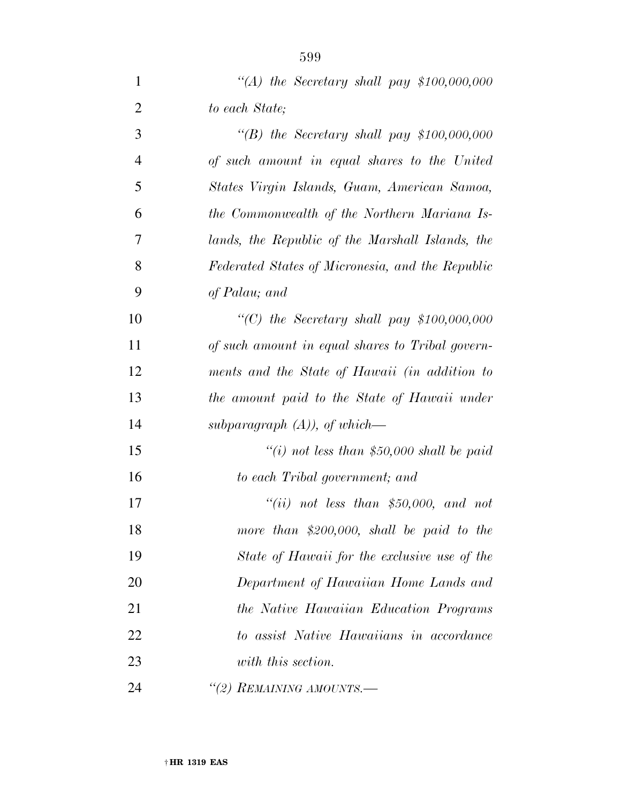| $\mathbf{1}$   | "(A) the Secretary shall pay $$100,000,000$       |
|----------------|---------------------------------------------------|
| $\overline{2}$ | to each State;                                    |
| 3              | $\lq\lq(B)$ the Secretary shall pay \$100,000,000 |
| $\overline{4}$ | of such amount in equal shares to the United      |
| 5              | States Virgin Islands, Guam, American Samoa,      |
| 6              | the Commonwealth of the Northern Mariana Is-      |
| 7              | lands, the Republic of the Marshall Islands, the  |
| 8              | Federated States of Micronesia, and the Republic  |
| 9              | of Palau; and                                     |
| 10             | "(C) the Secretary shall pay $$100,000,000$       |
| 11             | of such amount in equal shares to Tribal govern-  |
| 12             | ments and the State of Hawaii (in addition to     |
| 13             | the amount paid to the State of Hawaii under      |
| 14             | subparagraph $(A)$ ), of which-                   |
| 15             | "(i) not less than \$50,000 shall be paid         |
| 16             | to each Tribal government; and                    |
| 17             | "(ii) not less than \$50,000, and not             |
| 18             | more than \$200,000, shall be paid to the         |
| 19             | State of Hawaii for the exclusive use of the      |
| 20             | Department of Hawaiian Home Lands and             |
| 21             | the Native Hawaiian Education Programs            |
| 22             | to assist Native Hawaiians in accordance          |
| 23             | with this section.                                |
| 24             | "(2) REMAINING AMOUNTS.-                          |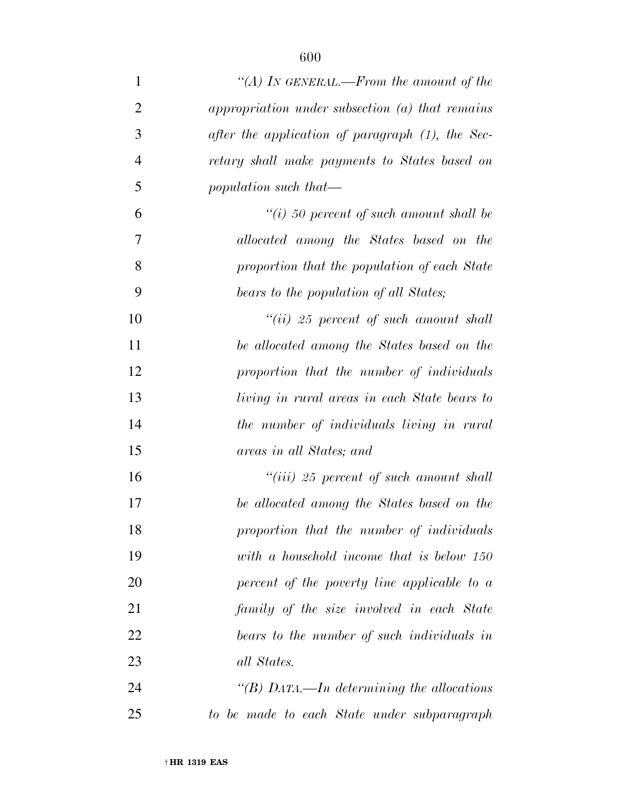| $\mathbf{1}$   | "(A) In GENERAL.—From the amount of the             |
|----------------|-----------------------------------------------------|
| $\overline{2}$ | appropriation under subsection (a) that remains     |
| 3              | after the application of paragraph $(1)$ , the Sec- |
| $\overline{4}$ | retary shall make payments to States based on       |
| 5              | population such that—                               |
| 6              | $``(i)$ 50 percent of such amount shall be          |
| 7              | allocated among the States based on the             |
| 8              | proportion that the population of each State        |
| 9              | bears to the population of all States;              |
| 10             | $``(ii)$ 25 percent of such amount shall            |
| 11             | be allocated among the States based on the          |
| 12             | proportion that the number of individuals           |
| 13             | living in rural areas in each State bears to        |
| 14             | the number of individuals living in rural           |
| 15             | areas in all States; and                            |
| 16             | $``(iii)$ 25 percent of such amount shall           |
| 17             | be allocated among the States based on the          |
| 18             | proportion that the number of individuals           |
| 19             | with a household income that is below 150           |
| 20             | percent of the poverty line applicable to a         |
| 21             | family of the size involved in each State           |
| 22             | bears to the number of such individuals in          |
| 23             | all States.                                         |
| 24             | "(B) DATA.—In determining the allocations           |
| 25             | to be made to each State under subparagraph         |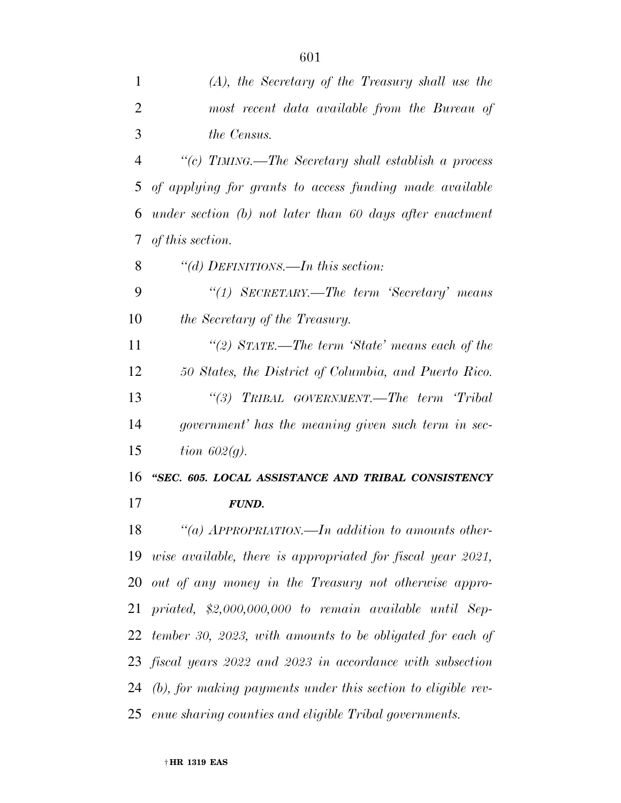| 1              | $(A)$ , the Secretary of the Treasury shall use the             |
|----------------|-----------------------------------------------------------------|
| $\overline{2}$ | most recent data available from the Bureau of                   |
| 3              | <i>the Census.</i>                                              |
| $\overline{4}$ | "(c) TIMING.—The Secretary shall establish a process            |
| 5              | of applying for grants to access funding made available         |
| 6              | under section $(b)$ not later than 60 days after enactment      |
| 7              | of this section.                                                |
| 8              | "(d) DEFINITIONS.—In this section:                              |
| 9              | "(1) SECRETARY.—The term 'Secretary' means                      |
| 10             | the Secretary of the Treasury.                                  |
| 11             | "(2) $STATE$ —The term 'State' means each of the                |
| 12             | 50 States, the District of Columbia, and Puerto Rico.           |
| 13             | "(3) TRIBAL GOVERNMENT.—The term 'Tribal                        |
| 14             | government' has the meaning given such term in sec-             |
| 15             | tion $602(q)$ .                                                 |
| 16             | "SEC. 605. LOCAL ASSISTANCE AND TRIBAL CONSISTENCY              |
| 17             | <b>FUND.</b>                                                    |
| 18             | "(a) $APPROPRIATION.$ —In addition to amounts other-            |
|                | 19 wise available, there is appropriated for fiscal year 2021,  |
|                | 20 out of any money in the Treasury not otherwise appro-        |
| 21             | priated, $$2,000,000,000$ to remain available until Sep-        |
| 22             | tember 30, 2023, with amounts to be obligated for each of       |
|                | 23 fiscal years 2022 and 2023 in accordance with subsection     |
|                | 24 (b), for making payments under this section to eligible rev- |
|                | 25 enue sharing counties and eligible Tribal governments.       |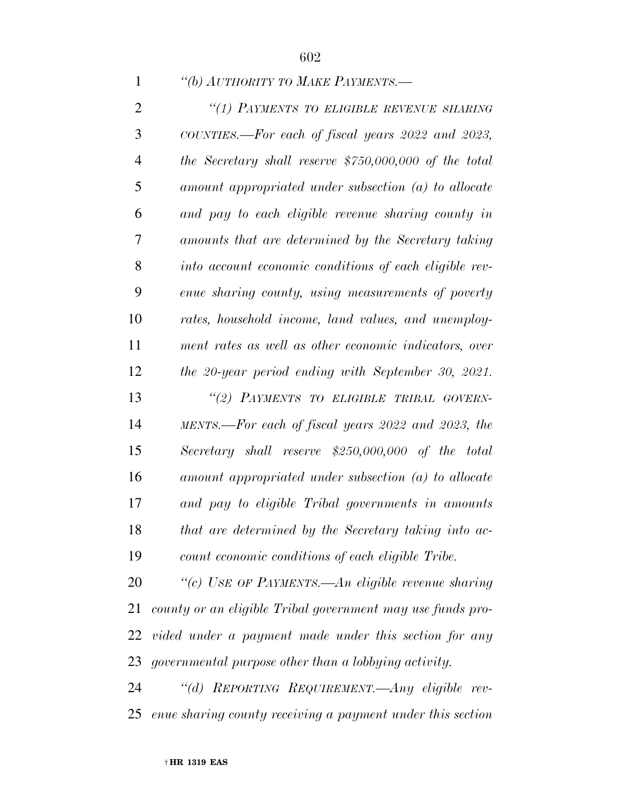### *''(b) AUTHORITY TO MAKE PAYMENTS.—*

| $\overline{2}$ | "(1) PAYMENTS TO ELIGIBLE REVENUE SHARING                  |
|----------------|------------------------------------------------------------|
| 3              | COUNTIES.—For each of fiscal years 2022 and 2023,          |
| $\overline{4}$ | the Secretary shall reserve $$750,000,000$ of the total    |
| 5              | amount appropriated under subsection (a) to allocate       |
| 6              | and pay to each eligible revenue sharing county in         |
| 7              | amounts that are determined by the Secretary taking        |
| 8              | into account economic conditions of each eligible rev-     |
| 9              | enue sharing county, using measurements of poverty         |
| 10             | rates, household income, land values, and unemploy-        |
| 11             | ment rates as well as other economic indicators, over      |
| 12             | the 20-year period ending with September 30, 2021.         |
| 13             | "(2) PAYMENTS TO ELIGIBLE TRIBAL GOVERN-                   |
| 14             | MENTS.—For each of fiscal years 2022 and 2023, the         |
| 15             | Secretary shall reserve $$250,000,000$ of the total        |
| 16             | amount appropriated under subsection (a) to allocate       |
| 17             | and pay to eligible Tribal governments in amounts          |
| 18             | that are determined by the Secretary taking into ac-       |
| 19             | count economic conditions of each eligible Tribe.          |
| 20             | "(c) USE OF PAYMENTS.—An eligible revenue sharing          |
| 21             | county or an eligible Tribal government may use funds pro- |

 *vided under a payment made under this section for any governmental purpose other than a lobbying activity.* 

 *''(d) REPORTING REQUIREMENT.—Any eligible rev-enue sharing county receiving a payment under this section*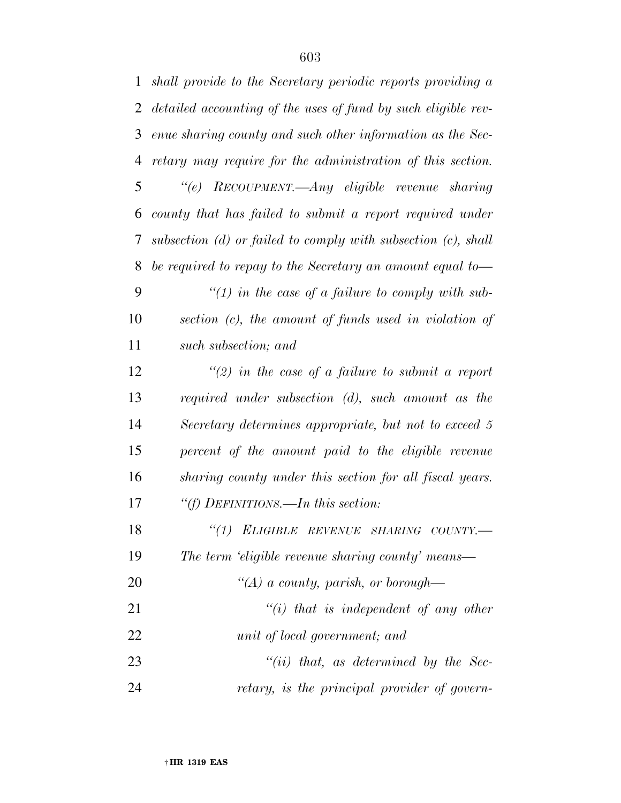| $\mathbf{1}$ | shall provide to the Secretary periodic reports providing a        |
|--------------|--------------------------------------------------------------------|
| 2            | detailed accounting of the uses of fund by such eligible rev-      |
| 3            | enue sharing county and such other information as the Sec-         |
| 4            | retary may require for the administration of this section.         |
| 5            | "(e) RECOUPMENT.—Any eligible revenue sharing                      |
| 6            | county that has failed to submit a report required under           |
| 7            | subsection $(d)$ or failed to comply with subsection $(c)$ , shall |
| 8            | be required to repay to the Secretary an amount equal to-          |
| 9            | $\lq(1)$ in the case of a failure to comply with sub-              |
| 10           | section (c), the amount of funds used in violation of              |
| 11           | such subsection; and                                               |
| 12           | $\lq(2)$ in the case of a failure to submit a report               |
| 13           | required under subsection $(d)$ , such amount as the               |
| 14           | Secretary determines appropriate, but not to exceed 5              |
| 15           | percent of the amount paid to the eligible revenue                 |
| 16           | sharing county under this section for all fiscal years.            |
| 17           | "(f) DEFINITIONS.—In this section:                                 |
| 18           | "(1) ELIGIBLE REVENUE SHARING COUNTY.-                             |
| 19           | The term 'eligible revenue sharing county' means—                  |
| 20           | "(A) a county, parish, or borough—                                 |
| 21           | $``(i)$ that is independent of any other                           |
| 22           | unit of local government; and                                      |
| 23           | $``(ii)$ that, as determined by the Sec-                           |
| 24           | retary, is the principal provider of govern-                       |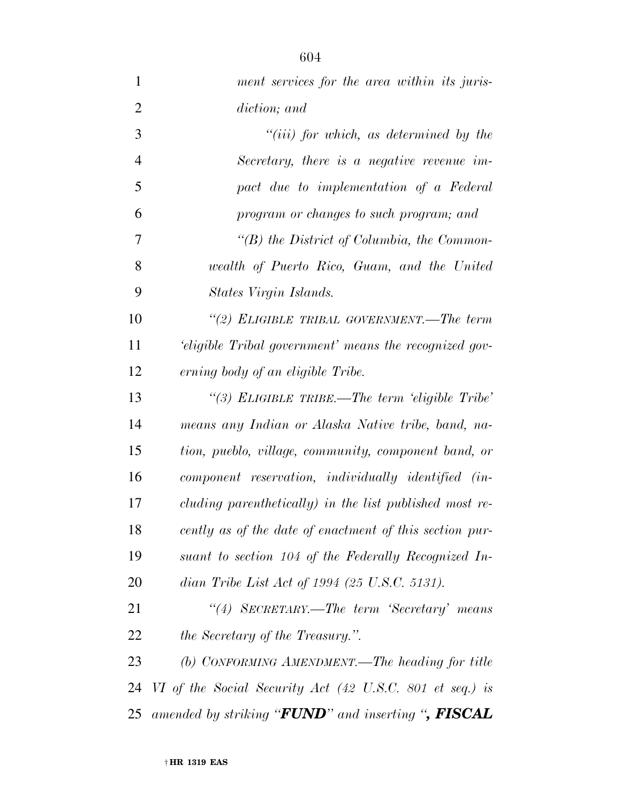*ment services for the area within its juris- diction; and ''(iii) for which, as determined by the Secretary, there is a negative revenue im- pact due to implementation of a Federal program or changes to such program; and ''(B) the District of Columbia, the Common- wealth of Puerto Rico, Guam, and the United States Virgin Islands. ''(2) ELIGIBLE TRIBAL GOVERNMENT.—The term 'eligible Tribal government' means the recognized gov- erning body of an eligible Tribe. ''(3) ELIGIBLE TRIBE.—The term 'eligible Tribe' means any Indian or Alaska Native tribe, band, na- tion, pueblo, village, community, component band, or component reservation, individually identified (in- cluding parenthetically) in the list published most re- cently as of the date of enactment of this section pur- suant to section 104 of the Federally Recognized In- dian Tribe List Act of 1994 (25 U.S.C. 5131). ''(4) SECRETARY.—The term 'Secretary' means the Secretary of the Treasury.''. (b) CONFORMING AMENDMENT.—The heading for title VI of the Social Security Act (42 U.S.C. 801 et seq.) is amended by striking ''FUND'' and inserting '', FISCAL*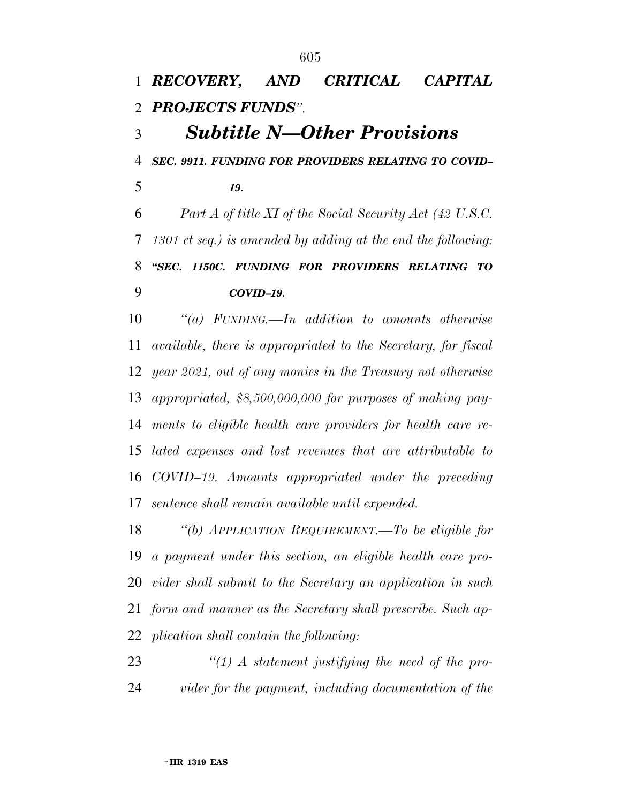*RECOVERY, AND CRITICAL CAPITAL PROJECTS FUNDS''. Subtitle N—Other Provisions SEC. 9911. FUNDING FOR PROVIDERS RELATING TO COVID– 19. Part A of title XI of the Social Security Act (42 U.S.C. 1301 et seq.) is amended by adding at the end the following: ''SEC. 1150C. FUNDING FOR PROVIDERS RELATING TO COVID–19. ''(a) FUNDING.—In addition to amounts otherwise available, there is appropriated to the Secretary, for fiscal year 2021, out of any monies in the Treasury not otherwise appropriated, \$8,500,000,000 for purposes of making pay-ments to eligible health care providers for health care re-*

 *lated expenses and lost revenues that are attributable to COVID–19. Amounts appropriated under the preceding sentence shall remain available until expended.* 

 *''(b) APPLICATION REQUIREMENT.—To be eligible for a payment under this section, an eligible health care pro- vider shall submit to the Secretary an application in such form and manner as the Secretary shall prescribe. Such ap-plication shall contain the following:* 

 *''(1) A statement justifying the need of the pro-vider for the payment, including documentation of the*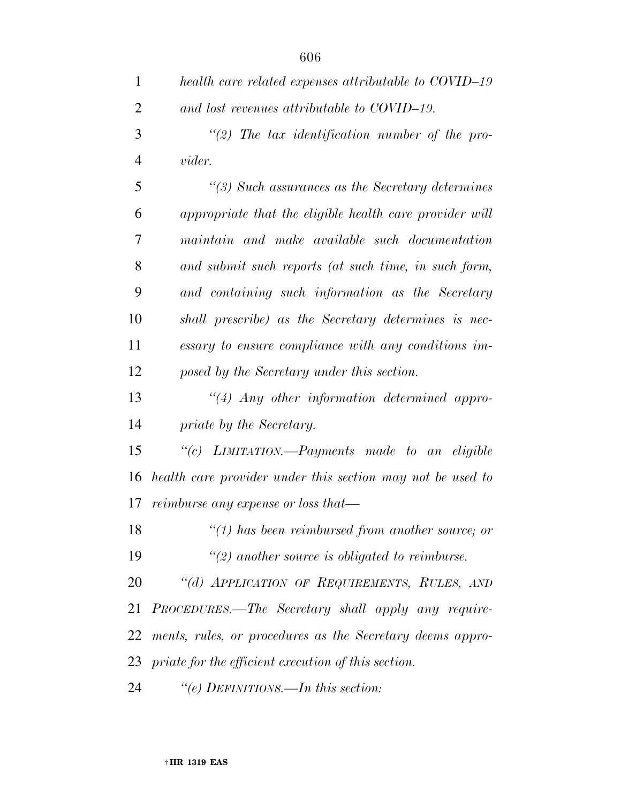| 1              | health care related expenses attributable to COVID-19      |
|----------------|------------------------------------------------------------|
| $\overline{2}$ | and lost revenues attributable to COVID-19.                |
| 3              | $\lq(2)$ The tax identification number of the pro-         |
| 4              | <i>vider.</i>                                              |
| 5              | $\lq(3)$ Such assurances as the Secretary determines       |
| 6              | appropriate that the eligible health care provider will    |
| 7              | maintain and make available such documentation             |
| 8              | and submit such reports (at such time, in such form,       |
| 9              | and containing such information as the Secretary           |
| 10             | shall prescribe) as the Secretary determines is nec-       |
| 11             | essary to ensure compliance with any conditions im-        |
| 12             | posed by the Secretary under this section.                 |
| 13             | $\lq(4)$ Any other information determined appro-           |
| 14             | priate by the Secretary.                                   |
| 15             | "(c) LIMITATION.—Payments made to an eligible              |
| 16             | health care provider under this section may not be used to |
| 17             | reimburse any expense or loss that—                        |
| 18             | $"(1)$ has been reimbursed from another source; or         |
| 19             | $\lq(2)$ another source is obligated to reimburse.         |
| 20             | "(d) APPLICATION OF REQUIREMENTS, RULES, AND               |
| 21             | PROCEDURES.—The Secretary shall apply any require-         |
| 22             | ments, rules, or procedures as the Secretary deems appro-  |
|                | 23 priate for the efficient execution of this section.     |
| 24             | "(e) DEFINITIONS.—In this section:                         |

† **HR 1319 EAS**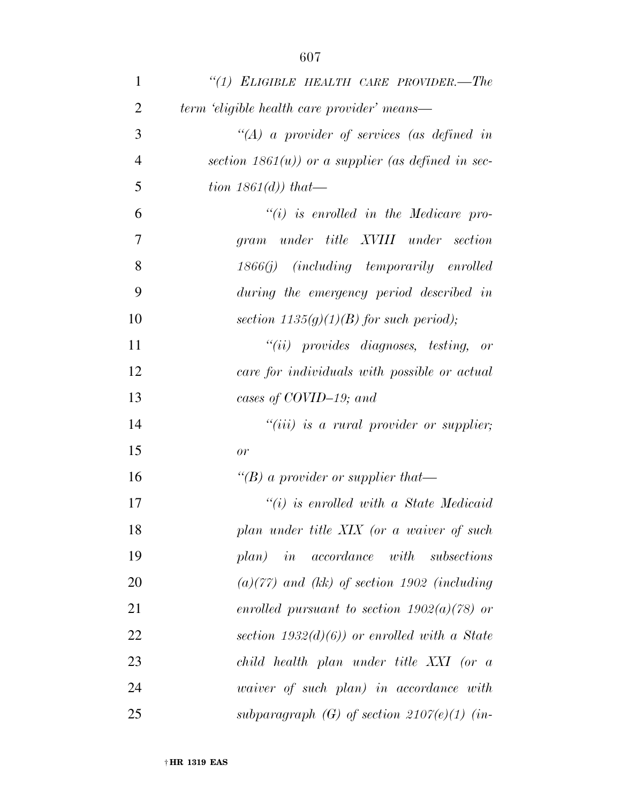| $\mathbf{1}$   | "(1) ELIGIBLE HEALTH CARE PROVIDER.-The             |
|----------------|-----------------------------------------------------|
| $\overline{2}$ | term 'eligible health care provider' means—         |
| 3              | $\lq (A)$ a provider of services (as defined in     |
| $\overline{4}$ | section $1861(u)$ or a supplier (as defined in sec- |
| 5              | tion $1861(d)$ that—                                |
| 6              | $``(i)$ is enrolled in the Medicare pro-            |
| 7              | gram under title XVIII under section                |
| 8              | 1866(j) (including temporarily enrolled             |
| 9              | during the emergency period described in            |
| 10             | section $1135(g)(1)(B)$ for such period);           |
| 11             | $``(ii)$ provides diagnoses, testing, or            |
| 12             | care for individuals with possible or actual        |
| 13             | cases of COVID-19; and                              |
| 14             | $``(iii)$ is a rural provider or supplier;          |
| 15             | or                                                  |
| 16             | "(B) a provider or supplier that-                   |
| 17             | $``(i)$ is enrolled with a State Medicaid           |
| 18             | plan under title XIX (or a waiver of such           |
| 19             | plan) in accordance with subsections                |
| 20             | $(a)(77)$ and (kk) of section 1902 (including       |
| 21             | enrolled pursuant to section $1902(a)(78)$ or       |
| 22             | section $1932(d)(6)$ or enrolled with a State       |
| 23             | child health plan under title XXI (or a             |
| 24             | waiver of such plan) in accordance with             |
| 25             | subparagraph (G) of section $2107(e)(1)$ (in-       |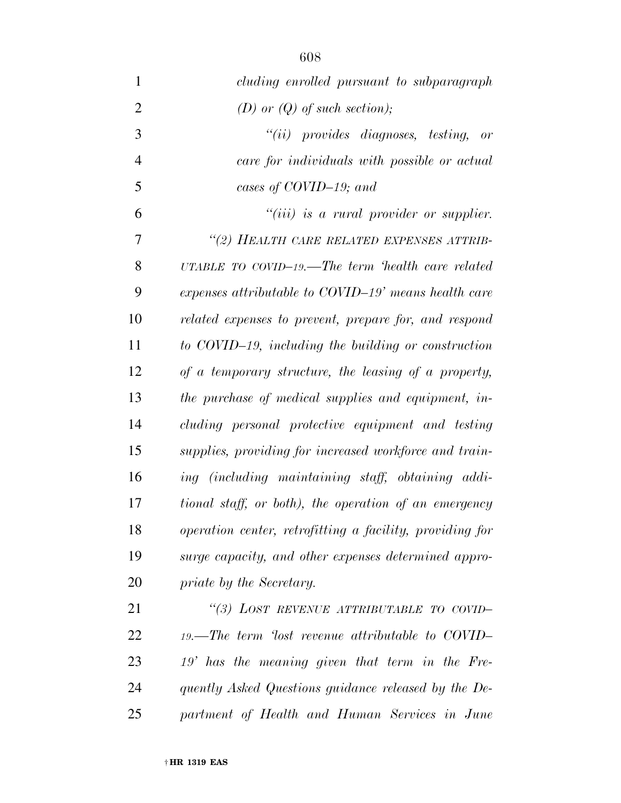| $\mathbf{1}$   | cluding enrolled pursuant to subparagraph                   |
|----------------|-------------------------------------------------------------|
| $\overline{2}$ | (D) or $(Q)$ of such section);                              |
| 3              | $``(ii)$ provides diagnoses, testing, or                    |
| $\overline{4}$ | care for individuals with possible or actual                |
| 5              | cases of COVID-19; and                                      |
| 6              | $``(iii)$ is a rural provider or supplier.                  |
| 7              | "(2) HEALTH CARE RELATED EXPENSES ATTRIB-                   |
| 8              | UTABLE TO $\text{CovID}-19$ . The term 'health care related |
| 9              | expenses attributable to COVID-19' means health care        |
| 10             | related expenses to prevent, prepare for, and respond       |
| 11             | to COVID-19, including the building or construction         |
| 12             | of a temporary structure, the leasing of a property,        |
| 13             | the purchase of medical supplies and equipment, in-         |
| 14             | cluding personal protective equipment and testing           |
| 15             | supplies, providing for increased workforce and train-      |
| 16             | ing (including maintaining staff, obtaining addi-           |
| 17             | tional staff, or both), the operation of an emergency       |
| 18             | operation center, retrofitting a facility, providing for    |
| 19             | surge capacity, and other expenses determined appro-        |
| 20             | priate by the Secretary.                                    |
| 21             | "(3) LOST REVENUE ATTRIBUTABLE TO COVID-                    |
| 22             | $19.$ —The term 'lost revenue attributable to COVID-        |
| 23             | 19' has the meaning given that term in the Fre-             |
| 24             | quently Asked Questions guidance released by the De-        |
| 25             | partment of Health and Human Services in June               |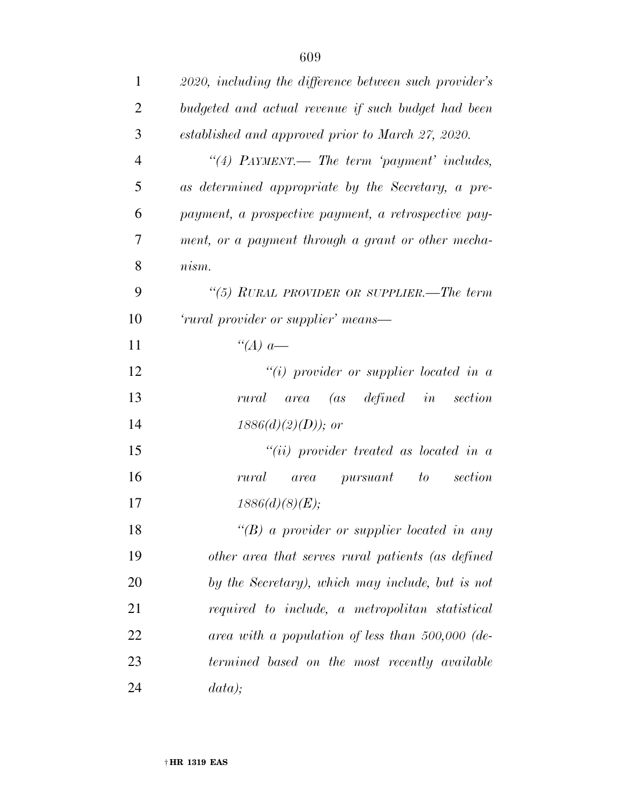| $\mathbf{1}$   | 2020, including the difference between such provider's |
|----------------|--------------------------------------------------------|
| $\overline{2}$ | budgeted and actual revenue if such budget had been    |
| 3              | established and approved prior to March 27, 2020.      |
| $\overline{4}$ | "(4) PAYMENT.— The term 'payment' includes,            |
| 5              | as determined appropriate by the Secretary, a pre-     |
| 6              | payment, a prospective payment, a retrospective pay-   |
| $\overline{7}$ | ment, or a payment through a grant or other mecha-     |
| 8              | nism.                                                  |
| 9              | "(5) RURAL PROVIDER OR SUPPLIER.—The term              |
| 10             | 'rural provider or supplier' means—                    |
| 11             | "(A) $a$ —                                             |
| 12             | "(i) provider or supplier located in $a$               |
| 13             | rural area (as defined in<br>section                   |
| 14             | $1886(d)(2)(D)$ ; or                                   |
| 15             | "(ii) provider treated as located in $a$               |
| 16             | section<br>rural<br><i>area pursuant</i><br>to         |
| 17             | 1886(d)(8)(E);                                         |
| 18             | "(B) a provider or supplier located in any             |
| 19             | other area that serves rural patients (as defined      |
| 20             | by the Secretary), which may include, but is not       |
| 21             | required to include, a metropolitan statistical        |
| 22             | area with a population of less than $500,000$ (de-     |
| 23             | termined based on the most recently available          |
| 24             | data);                                                 |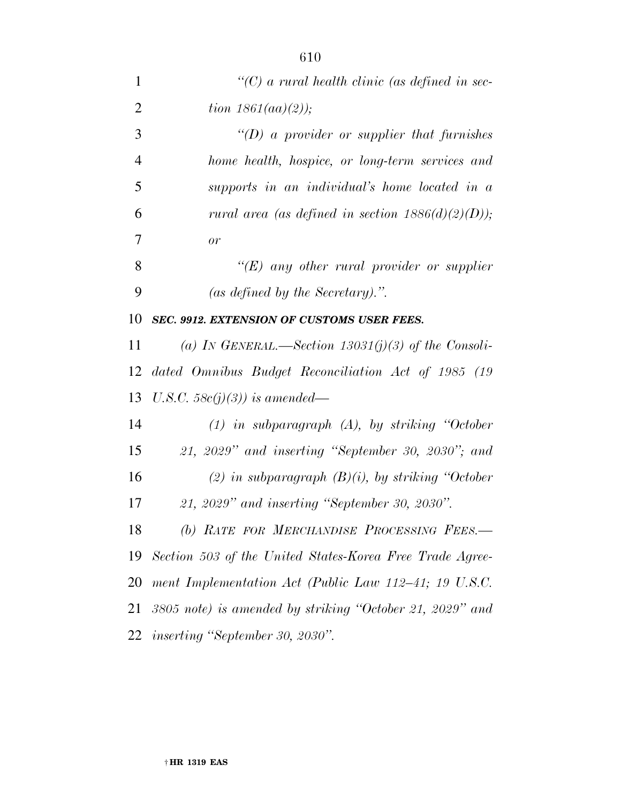| $\mathbf{1}$   | $\lq\lq C$ a rural health clinic (as defined in sec-     |
|----------------|----------------------------------------------------------|
| $\overline{2}$ | <i>tion</i> $1861(aa)(2)$ );                             |
| 3              | "(D) a provider or supplier that furnishes               |
| $\overline{4}$ | home health, hospice, or long-term services and          |
| 5              | supports in an individual's home located in a            |
| 6              | rural area (as defined in section $1886(d)(2)(D)$ );     |
| 7              | or                                                       |
| 8              | " $(E)$ any other rural provider or supplier"            |
| 9              | (as defined by the Secretary).".                         |
| 10             | SEC. 9912. EXTENSION OF CUSTOMS USER FEES.               |
| 11             | (a) IN GENERAL.—Section 13031(j)(3) of the Consoli-      |
| 12             | dated Omnibus Budget Reconciliation Act of 1985 (19      |
| 13             | U.S.C. 58 $c(j)(3)$ ) is amended—                        |
| 14             | $(1)$ in subparagraph $(A)$ , by striking "October"      |
| 15             | $21, 2029$ " and inserting "September 30, 2030"; and     |
| 16             | (2) in subparagraph $(B)(i)$ , by striking "October      |
| 17             | 21, 2029" and inserting "September 30, 2030".            |
| 18             | (b) RATE FOR MERCHANDISE PROCESSING FEES.-               |
| 19             | Section 503 of the United States-Korea Free Trade Agree- |
| 20             | ment Implementation Act (Public Law 112–41; 19 U.S.C.    |
| 21             | 3805 note) is amended by striking "October 21, 2029" and |
|                | 22 inserting "September 30, 2030".                       |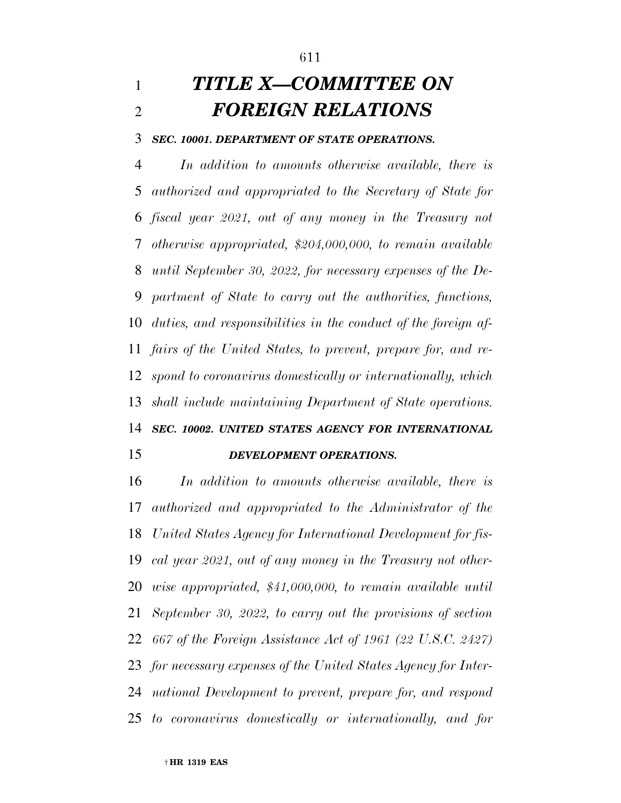# *TITLE X—COMMITTEE ON FOREIGN RELATIONS*

#### *SEC. 10001. DEPARTMENT OF STATE OPERATIONS.*

 *In addition to amounts otherwise available, there is authorized and appropriated to the Secretary of State for fiscal year 2021, out of any money in the Treasury not otherwise appropriated, \$204,000,000, to remain available until September 30, 2022, for necessary expenses of the De- partment of State to carry out the authorities, functions, duties, and responsibilities in the conduct of the foreign af- fairs of the United States, to prevent, prepare for, and re- spond to coronavirus domestically or internationally, which shall include maintaining Department of State operations. SEC. 10002. UNITED STATES AGENCY FOR INTERNATIONAL* 

### *DEVELOPMENT OPERATIONS.*

 *In addition to amounts otherwise available, there is authorized and appropriated to the Administrator of the United States Agency for International Development for fis- cal year 2021, out of any money in the Treasury not other- wise appropriated, \$41,000,000, to remain available until September 30, 2022, to carry out the provisions of section 667 of the Foreign Assistance Act of 1961 (22 U.S.C. 2427) for necessary expenses of the United States Agency for Inter- national Development to prevent, prepare for, and respond to coronavirus domestically or internationally, and for*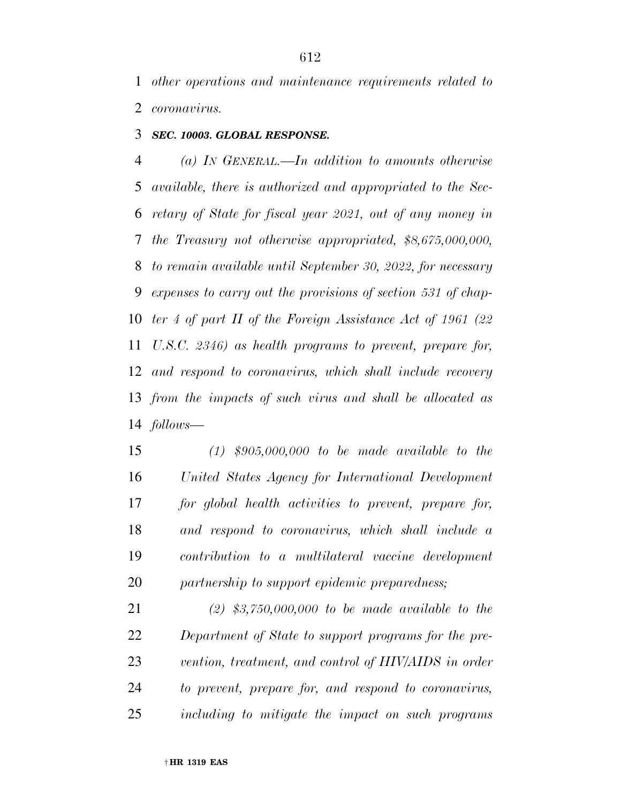*other operations and maintenance requirements related to coronavirus.* 

### *SEC. 10003. GLOBAL RESPONSE.*

 *(a) IN GENERAL.—In addition to amounts otherwise available, there is authorized and appropriated to the Sec- retary of State for fiscal year 2021, out of any money in the Treasury not otherwise appropriated, \$8,675,000,000, to remain available until September 30, 2022, for necessary expenses to carry out the provisions of section 531 of chap- ter 4 of part II of the Foreign Assistance Act of 1961 (22 U.S.C. 2346) as health programs to prevent, prepare for, and respond to coronavirus, which shall include recovery from the impacts of such virus and shall be allocated as follows—* 

 *(1) \$905,000,000 to be made available to the United States Agency for International Development for global health activities to prevent, prepare for, and respond to coronavirus, which shall include a contribution to a multilateral vaccine development partnership to support epidemic preparedness;* 

 *(2) \$3,750,000,000 to be made available to the Department of State to support programs for the pre- vention, treatment, and control of HIV/AIDS in order to prevent, prepare for, and respond to coronavirus, including to mitigate the impact on such programs*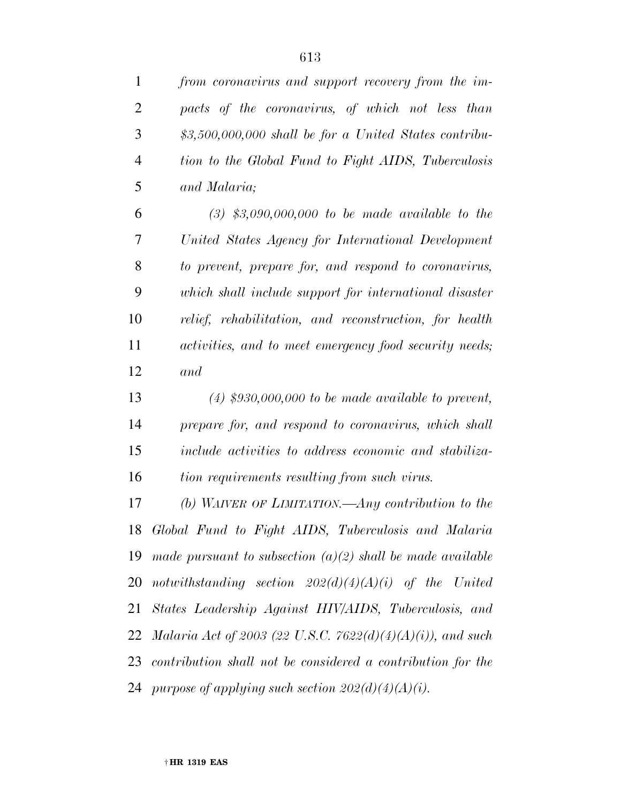*from coronavirus and support recovery from the im-*

 *pacts of the coronavirus, of which not less than \$3,500,000,000 shall be for a United States contribu- tion to the Global Fund to Fight AIDS, Tuberculosis and Malaria; (3) \$3,090,000,000 to be made available to the United States Agency for International Development to prevent, prepare for, and respond to coronavirus, which shall include support for international disaster relief, rehabilitation, and reconstruction, for health activities, and to meet emergency food security needs; and (4) \$930,000,000 to be made available to prevent, prepare for, and respond to coronavirus, which shall include activities to address economic and stabiliza- tion requirements resulting from such virus. (b) WAIVER OF LIMITATION.—Any contribution to the Global Fund to Fight AIDS, Tuberculosis and Malaria made pursuant to subsection (a)(2) shall be made available notwithstanding section 202(d)(4)(A)(i) of the United States Leadership Against HIV/AIDS, Tuberculosis, and Malaria Act of 2003 (22 U.S.C. 7622(d)(4)(A)(i)), and such contribution shall not be considered a contribution for the purpose of applying such section 202(d)(4)(A)(i).*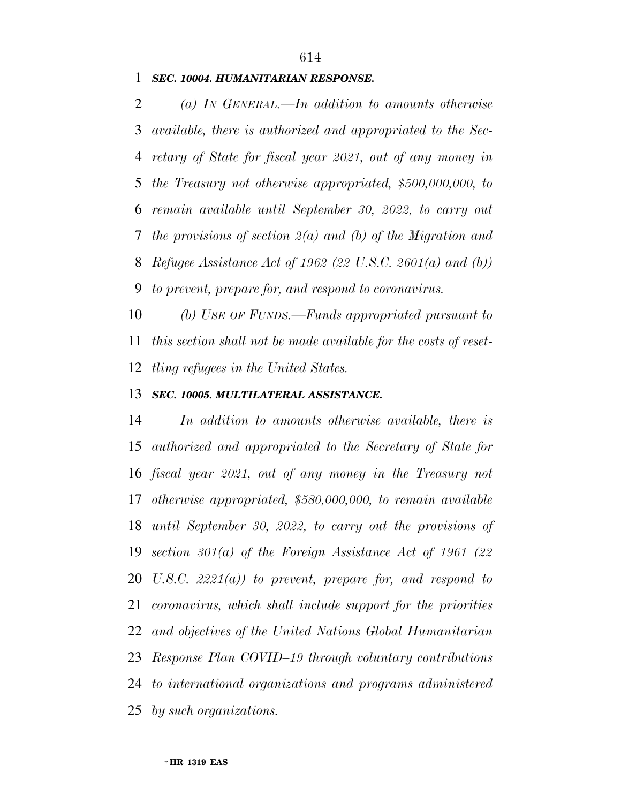*SEC. 10004. HUMANITARIAN RESPONSE.* 

 *(a) IN GENERAL.—In addition to amounts otherwise available, there is authorized and appropriated to the Sec- retary of State for fiscal year 2021, out of any money in the Treasury not otherwise appropriated, \$500,000,000, to remain available until September 30, 2022, to carry out the provisions of section 2(a) and (b) of the Migration and Refugee Assistance Act of 1962 (22 U.S.C. 2601(a) and (b)) to prevent, prepare for, and respond to coronavirus.* 

 *(b) USE OF FUNDS.—Funds appropriated pursuant to this section shall not be made available for the costs of reset-tling refugees in the United States.* 

### *SEC. 10005. MULTILATERAL ASSISTANCE.*

 *In addition to amounts otherwise available, there is authorized and appropriated to the Secretary of State for fiscal year 2021, out of any money in the Treasury not otherwise appropriated, \$580,000,000, to remain available until September 30, 2022, to carry out the provisions of section 301(a) of the Foreign Assistance Act of 1961 (22 U.S.C. 2221(a)) to prevent, prepare for, and respond to coronavirus, which shall include support for the priorities and objectives of the United Nations Global Humanitarian Response Plan COVID–19 through voluntary contributions to international organizations and programs administered by such organizations.*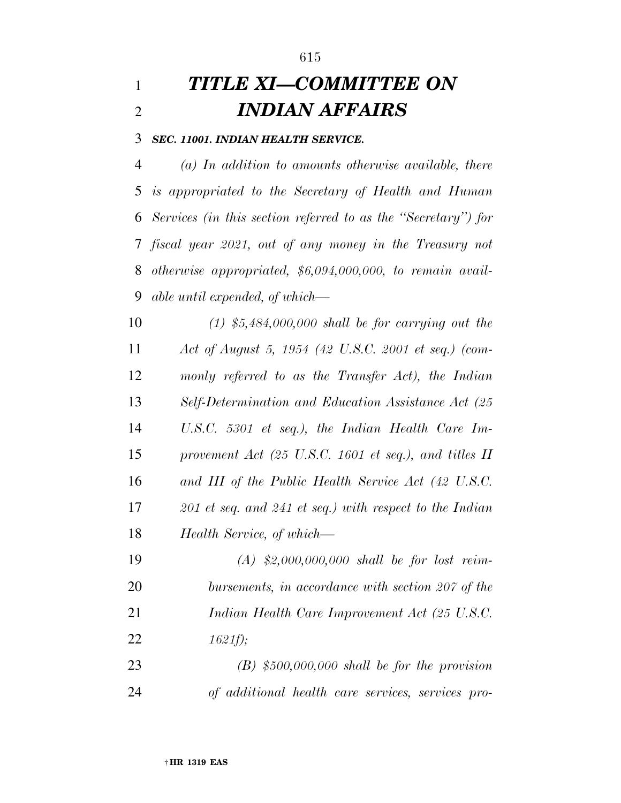# *TITLE XI—COMMITTEE ON INDIAN AFFAIRS*

#### *SEC. 11001. INDIAN HEALTH SERVICE.*

 *(a) In addition to amounts otherwise available, there is appropriated to the Secretary of Health and Human Services (in this section referred to as the ''Secretary'') for fiscal year 2021, out of any money in the Treasury not otherwise appropriated, \$6,094,000,000, to remain avail-able until expended, of which—* 

 *(1) \$5,484,000,000 shall be for carrying out the Act of August 5, 1954 (42 U.S.C. 2001 et seq.) (com- monly referred to as the Transfer Act), the Indian Self-Determination and Education Assistance Act (25 U.S.C. 5301 et seq.), the Indian Health Care Im- provement Act (25 U.S.C. 1601 et seq.), and titles II and III of the Public Health Service Act (42 U.S.C. 201 et seq. and 241 et seq.) with respect to the Indian Health Service, of which—* 

 *(A) \$2,000,000,000 shall be for lost reim- bursements, in accordance with section 207 of the Indian Health Care Improvement Act (25 U.S.C. 1621f);* 

 *(B) \$500,000,000 shall be for the provision of additional health care services, services pro-*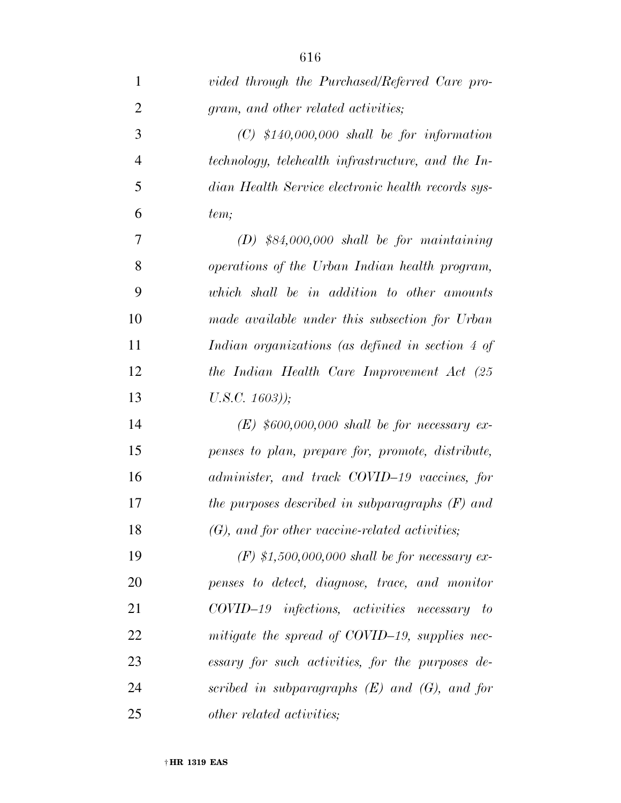| $\mathbf{1}$   | vided through the Purchased/Referred Care pro-     |
|----------------|----------------------------------------------------|
| $\overline{2}$ | gram, and other related activities;                |
| 3              | $(C)$ \$140,000,000 shall be for information       |
| $\overline{4}$ | technology, telehealth infrastructure, and the In- |
| 5              | dian Health Service electronic health records sys- |
| 6              | tem;                                               |
| 7              | $(D)$ \$84,000,000 shall be for maintaining        |
| 8              | operations of the Urban Indian health program,     |
| 9              | which shall be in addition to other amounts        |
| 10             | made available under this subsection for Urban     |
| 11             | Indian organizations (as defined in section 4 of   |
| 12             | the Indian Health Care Improvement Act (25         |
| 13             | $U.S.C. 1603)$ );                                  |
| 14             | $(E)$ \$600,000,000 shall be for necessary ex-     |
| 15             | penses to plan, prepare for, promote, distribute,  |
| 16             | administer, and track COVID-19 vaccines, for       |
| 17             | the purposes described in subparagraphs $(F)$ and  |
| 18             | $(G)$ , and for other vaccine-related activities;  |
| 19             | $(F)$ \$1,500,000,000 shall be for necessary ex-   |
| 20             | penses to detect, diagnose, trace, and monitor     |
| 21             | $COVID-19$ infections, activities necessary to     |
| 22             | mitigate the spread of COVID-19, supplies nec-     |
| 23             | essary for such activities, for the purposes de-   |
| 24             | scribed in subparagraphs $(E)$ and $(G)$ , and for |

*other related activities;*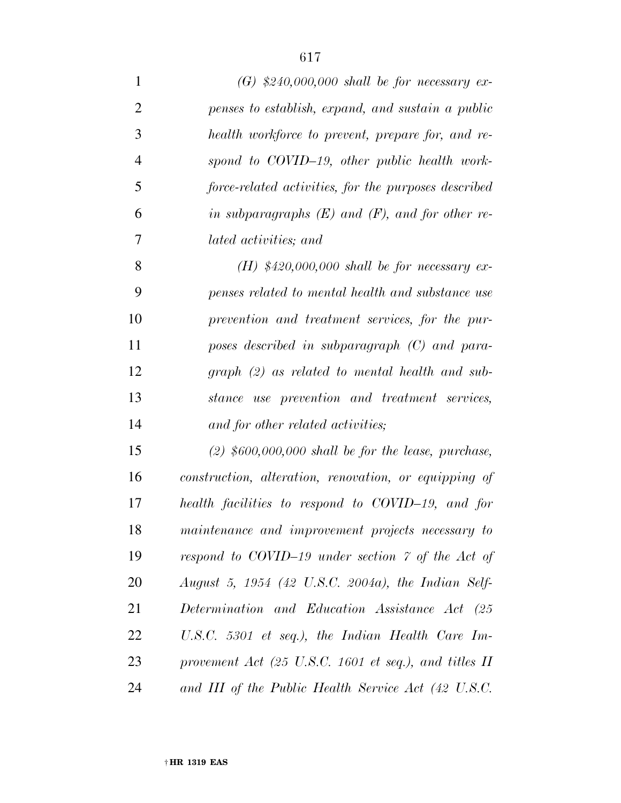| $\mathbf{1}$   | $(G)$ \$240,000,000 shall be for necessary ex-        |
|----------------|-------------------------------------------------------|
| $\overline{2}$ | penses to establish, expand, and sustain a public     |
| 3              | health workforce to prevent, prepare for, and re-     |
| $\overline{4}$ | spond to COVID-19, other public health work-          |
| 5              | force-related activities, for the purposes described  |
| 6              | in subparagraphs $(E)$ and $(F)$ , and for other re-  |
| 7              | lated activities; and                                 |
| 8              | (H) $$420,000,000$ shall be for necessary ex-         |
| 9              | penses related to mental health and substance use     |
| 10             | prevention and treatment services, for the pur-       |
| 11             | poses described in subparagraph $(C)$ and para-       |
| 12             | $graph (2)$ as related to mental health and sub-      |
| 13             | stance use prevention and treatment services,         |
| 14             | and for other related activities;                     |
| 15             | $(2)$ \$600,000,000 shall be for the lease, purchase, |
| 16             | construction, alteration, renovation, or equipping of |
| 17             | health facilities to respond to COVID-19, and for     |
| 18             | maintenance and improvement projects necessary to     |
| 19             | respond to COVID-19 under section 7 of the Act of     |
| 20             | August 5, 1954 (42 U.S.C. 2004a), the Indian Self-    |
| 21             | Determination and Education Assistance Act (25        |
| 22             | U.S.C. 5301 et seq.), the Indian Health Care Im-      |
| 23             | provement Act (25 U.S.C. 1601 et seq.), and titles II |
| 24             | and III of the Public Health Service Act (42 U.S.C.   |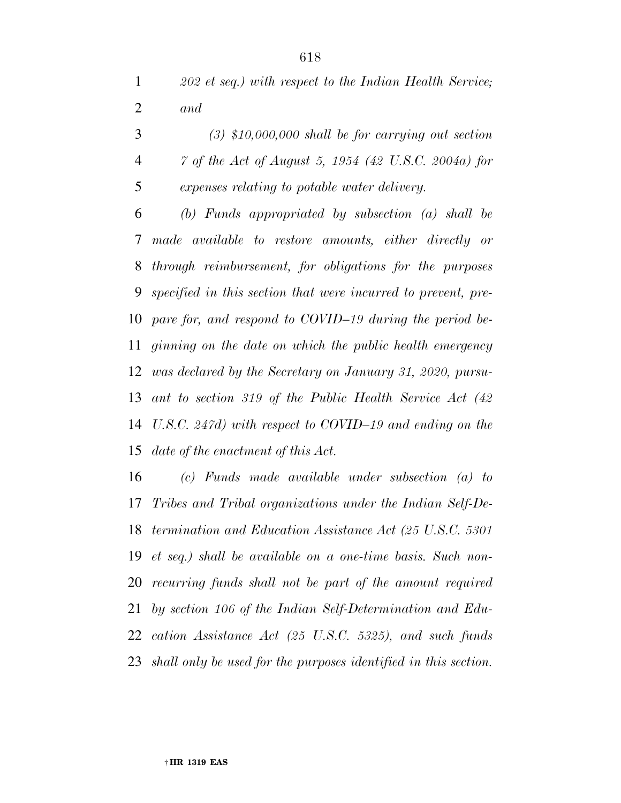|                | $(3)$ \$10,000,000 shall be for carrying out section |
|----------------|------------------------------------------------------|
| $\overline{4}$ | 7 of the Act of August 5, 1954 (42 U.S.C. 2004a) for |
| 5              | expenses relating to potable water delivery.         |

 *(b) Funds appropriated by subsection (a) shall be made available to restore amounts, either directly or through reimbursement, for obligations for the purposes specified in this section that were incurred to prevent, pre- pare for, and respond to COVID–19 during the period be- ginning on the date on which the public health emergency was declared by the Secretary on January 31, 2020, pursu- ant to section 319 of the Public Health Service Act (42 U.S.C. 247d) with respect to COVID–19 and ending on the date of the enactment of this Act.* 

 *(c) Funds made available under subsection (a) to Tribes and Tribal organizations under the Indian Self-De- termination and Education Assistance Act (25 U.S.C. 5301 et seq.) shall be available on a one-time basis. Such non- recurring funds shall not be part of the amount required by section 106 of the Indian Self-Determination and Edu- cation Assistance Act (25 U.S.C. 5325), and such funds shall only be used for the purposes identified in this section.*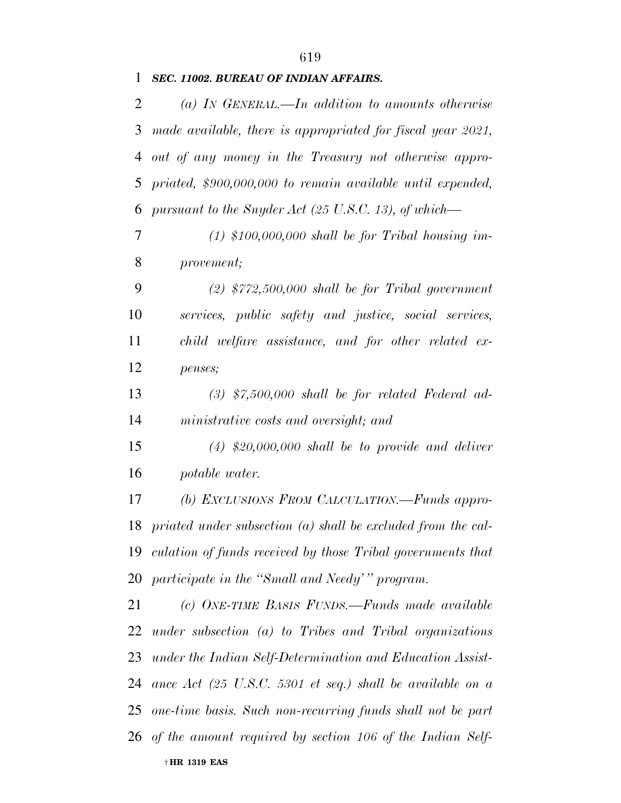## *SEC. 11002. BUREAU OF INDIAN AFFAIRS.*

| $\overline{2}$ | (a) IN GENERAL.—In addition to amounts otherwise               |
|----------------|----------------------------------------------------------------|
| 3              | made available, there is appropriated for fiscal year 2021,    |
| 4              | out of any money in the Treasury not otherwise appro-          |
| 5              | priated, \$900,000,000 to remain available until expended,     |
| 6              | pursuant to the Snyder Act (25 U.S.C. 13), of which—           |
| 7              | $(1)$ \$100,000,000 shall be for Tribal housing im-            |
| 8              | provement;                                                     |
| 9              | $(2)$ \$772,500,000 shall be for Tribal government             |
| 10             | services, public safety and justice, social services,          |
| 11             | child welfare assistance, and for other related ex-            |
| 12             | penses;                                                        |
| 13             | $(3)$ \$7,500,000 shall be for related Federal ad-             |
| 14             | ministrative costs and oversight; and                          |
| 15             | $(4)$ \$20,000,000 shall be to provide and deliver             |
| 16             | potable water.                                                 |
| 17             | (b) EXCLUSIONS FROM CALCULATION.—Funds appro-                  |
| 18             | priated under subsection $(a)$ shall be excluded from the cal- |
| 19             | culation of funds received by those Tribal governments that    |
|                | 20 participate in the "Small and Needy" program.               |
| 21             | (c) ONE-TIME BASIS FUNDS.—Funds made available                 |
| 22             | under subsection $(a)$ to Tribes and Tribal organizations      |
| 23             | under the Indian Self-Determination and Education Assist-      |
| 24             | ance $Act$ (25 U.S.C. 5301 et seq.) shall be available on a    |
| 25             | one-time basis. Such non-recurring funds shall not be part     |
|                | 26 of the amount required by section 106 of the Indian Self-   |
|                | † HR 1319 EAS                                                  |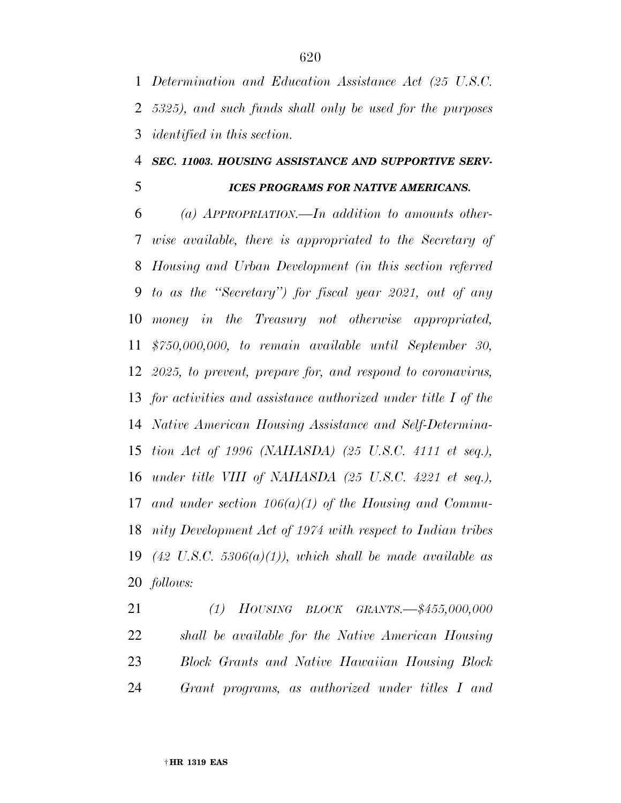*Determination and Education Assistance Act (25 U.S.C. 5325), and such funds shall only be used for the purposes identified in this section.* 

#### *SEC. 11003. HOUSING ASSISTANCE AND SUPPORTIVE SERV-*

# *ICES PROGRAMS FOR NATIVE AMERICANS.*

 *(a) APPROPRIATION.—In addition to amounts other- wise available, there is appropriated to the Secretary of Housing and Urban Development (in this section referred to as the ''Secretary'') for fiscal year 2021, out of any money in the Treasury not otherwise appropriated, \$750,000,000, to remain available until September 30, 2025, to prevent, prepare for, and respond to coronavirus, for activities and assistance authorized under title I of the Native American Housing Assistance and Self-Determina- tion Act of 1996 (NAHASDA) (25 U.S.C. 4111 et seq.), under title VIII of NAHASDA (25 U.S.C. 4221 et seq.), and under section 106(a)(1) of the Housing and Commu- nity Development Act of 1974 with respect to Indian tribes (42 U.S.C. 5306(a)(1)), which shall be made available as follows:* 

 *(1) HOUSING BLOCK GRANTS.—\$455,000,000 shall be available for the Native American Housing Block Grants and Native Hawaiian Housing Block Grant programs, as authorized under titles I and*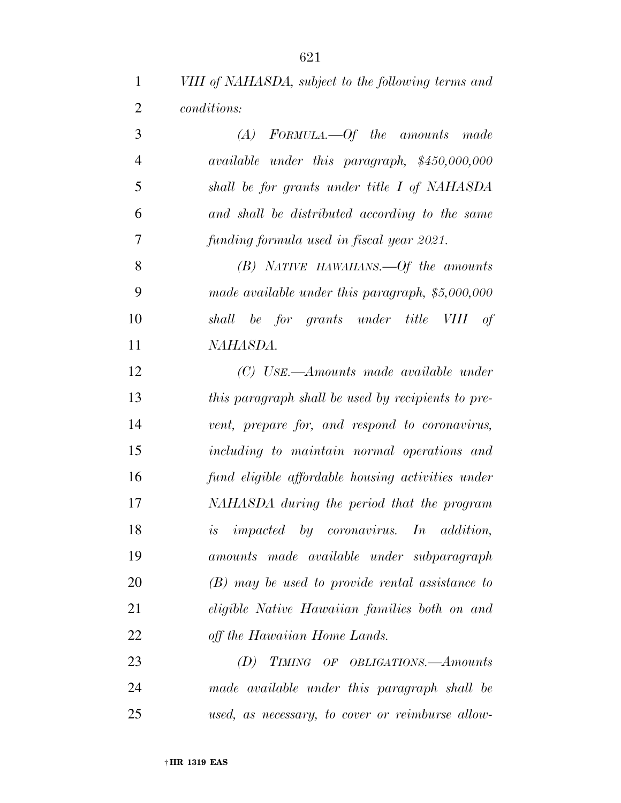*VIII of NAHASDA, subject to the following terms and conditions:* 

| 3              | $(A)$ FORMULA.—Of the amounts made                 |
|----------------|----------------------------------------------------|
| $\overline{4}$ | available under this paragraph, \$450,000,000      |
| 5              | shall be for grants under title I of NAHASDA       |
| 6              | and shall be distributed according to the same     |
| 7              | funding formula used in fiscal year 2021.          |
| 8              | $(B)$ NATIVE HAWAIIANS. $-0f$ the amounts          |
| 9              | made available under this paragraph, \$5,000,000   |
| 10             | shall be for grants under title VIII of            |
| 11             | NAHASDA.                                           |
| 12             | (C) Use.—Amounts made available under              |
| 13             | this paragraph shall be used by recipients to pre- |
| 14             | vent, prepare for, and respond to coronavirus,     |
| 15             | including to maintain normal operations and        |
| 16             | fund eligible affordable housing activities under  |
| 17             | NAHASDA during the period that the program         |
| 18             | is impacted by coronavirus. In addition,           |
| 19             | amounts made available under subparagraph          |
| 20             | $(B)$ may be used to provide rental assistance to  |
| 21             | eligible Native Hawaiian families both on and      |
| 22             | off the Hawaiian Home Lands.                       |
| 23             | TIMING OF OBLIGATIONS.- Amounts<br>(D)             |
| 24             | made available under this paragraph shall be       |

*used, as necessary, to cover or reimburse allow-*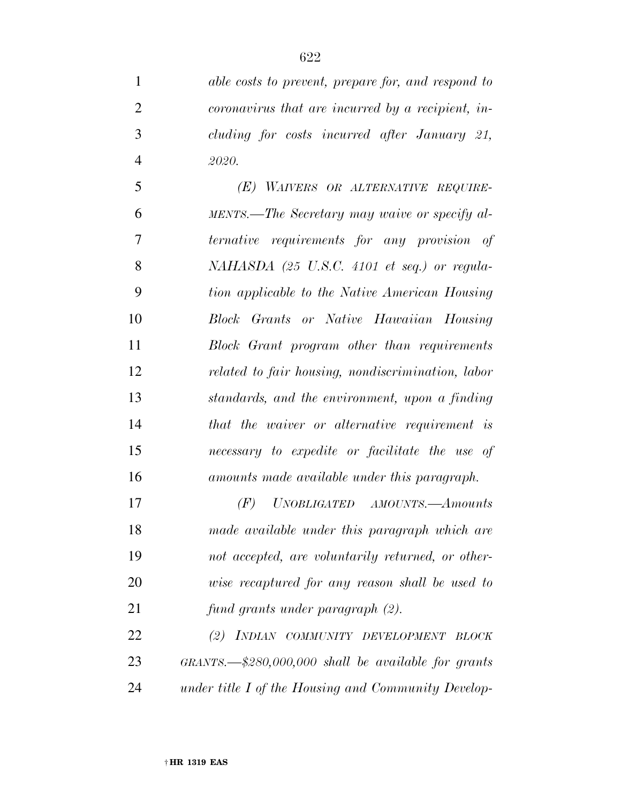*able costs to prevent, prepare for, and respond to coronavirus that are incurred by a recipient, in- cluding for costs incurred after January 21, 2020.* 

 *(E) WAIVERS OR ALTERNATIVE REQUIRE- MENTS.—The Secretary may waive or specify al- ternative requirements for any provision of NAHASDA (25 U.S.C. 4101 et seq.) or regula- tion applicable to the Native American Housing Block Grants or Native Hawaiian Housing Block Grant program other than requirements related to fair housing, nondiscrimination, labor standards, and the environment, upon a finding that the waiver or alternative requirement is necessary to expedite or facilitate the use of amounts made available under this paragraph.* 

 *(F) UNOBLIGATED AMOUNTS.—Amounts made available under this paragraph which are not accepted, are voluntarily returned, or other- wise recaptured for any reason shall be used to fund grants under paragraph (2).* 

 *(2) INDIAN COMMUNITY DEVELOPMENT BLOCK GRANTS.—\$280,000,000 shall be available for grants under title I of the Housing and Community Develop-*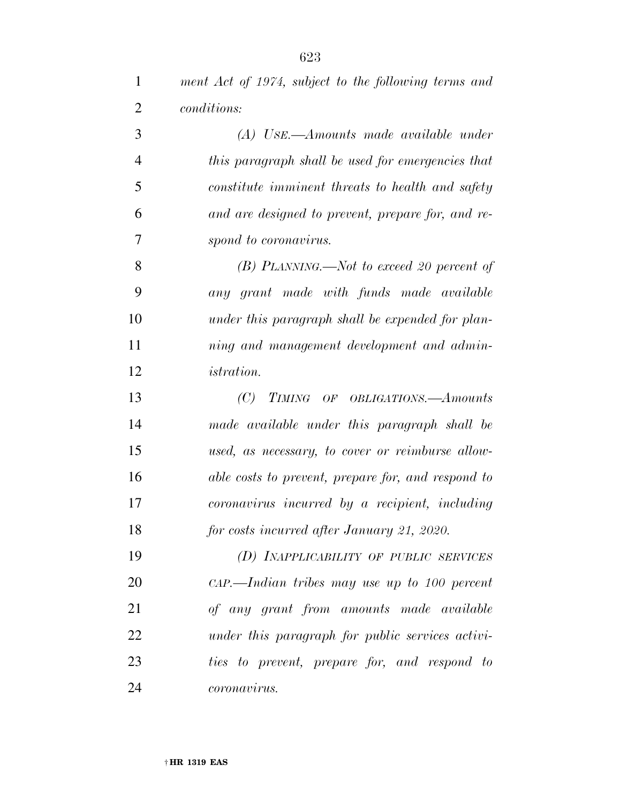| $\mathbf{1}$   | ment Act of 1974, subject to the following terms and |
|----------------|------------------------------------------------------|
| $\overline{2}$ | <i>conditions:</i>                                   |
| 3              | (A) USE.—Amounts made available under                |
| $\overline{4}$ | this paragraph shall be used for emergencies that    |
| 5              | constitute imminent threats to health and safety     |
| 6              | and are designed to prevent, prepare for, and re-    |
| 7              | spond to coronavirus.                                |
| 8              | $(B)$ PLANNING.—Not to exceed 20 percent of          |
| 9              | any grant made with funds made available             |
| 10             | under this paragraph shall be expended for plan-     |
| 11             | ning and management development and admin-           |
| 12             | <i>istration.</i>                                    |
| 13             | (C)<br>TIMING OF OBLIGATIONS.—Amounts                |
| 14             | made available under this paragraph shall be         |
| 15             | used, as necessary, to cover or reimburse allow-     |
| 16             | able costs to prevent, prepare for, and respond to   |
| 17             | coronavirus incurred by a recipient, including       |
| 18             | for costs incurred after January 21, 2020.           |
| 19             | (D) INAPPLICABILITY OF PUBLIC SERVICES               |
| 20             | $\alpha P.$ Indian tribes may use up to 100 percent  |
| 21             | of any grant from amounts made available             |
| 22             | under this paragraph for public services activi-     |
| 23             | ties to prevent, prepare for, and respond to         |
| 24             | <i>coronavirus.</i>                                  |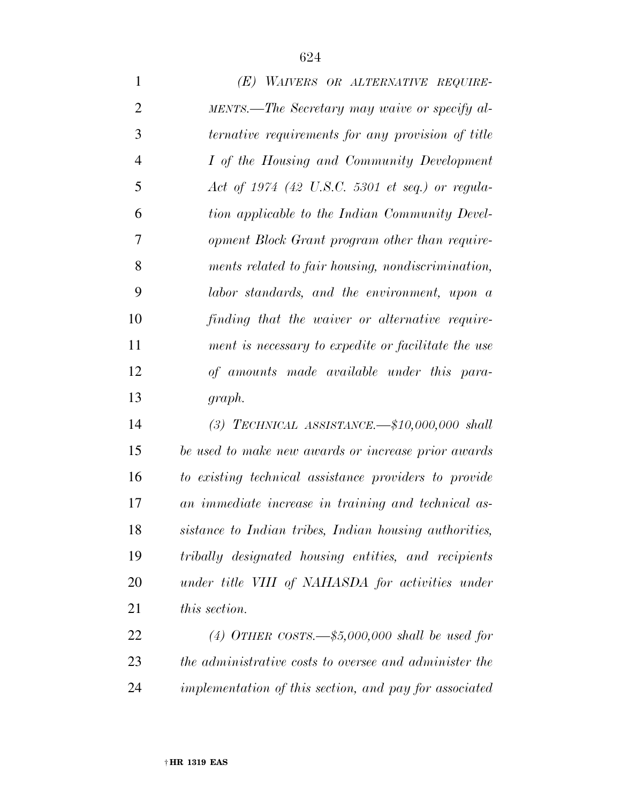| $\mathbf{1}$   | (E) WAIVERS OR ALTERNATIVE REQUIRE-                    |
|----------------|--------------------------------------------------------|
| $\overline{2}$ | MENTS.—The Secretary may waive or specify al-          |
| 3              | ternative requirements for any provision of title      |
| $\overline{4}$ | I of the Housing and Community Development             |
| 5              | Act of $1974$ (42 U.S.C. 5301 et seq.) or regula-      |
| 6              | tion applicable to the Indian Community Devel-         |
| 7              | opment Block Grant program other than require-         |
| 8              | ments related to fair housing, nondiscrimination,      |
| 9              | labor standards, and the environment, upon a           |
| 10             | finding that the waiver or alternative require-        |
| 11             | ment is necessary to expedite or facilitate the use    |
| 12             | of amounts made available under this para-             |
| 13             | graph.                                                 |
| 14             | (3) TECHNICAL ASSISTANCE. $\text{\#10,000,000}$ shall  |
| 15             | be used to make new awards or increase prior awards    |
| 16             | to existing technical assistance providers to provide  |
| 17             | an immediate increase in training and technical as-    |
| 18             | sistance to Indian tribes, Indian housing authorities, |
| 19             | tribally designated housing entities, and recipients   |
| 20             | under title VIII of NAHASDA for activities under       |
| 21             | <i>this section.</i>                                   |
| 22             | (4) OTHER COSTS.— $$5,000,000$ shall be used for       |
| 23             | the administrative costs to oversee and administer the |
| 24             | implementation of this section, and pay for associated |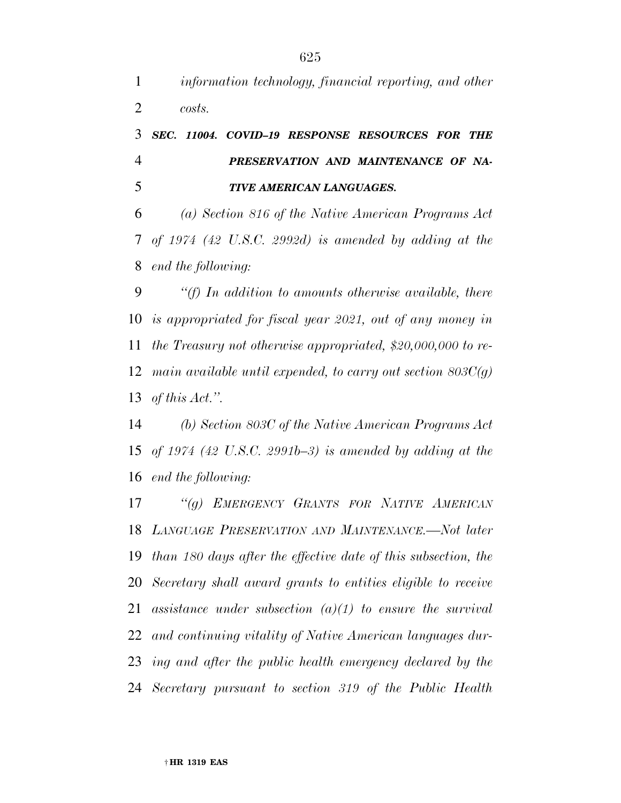*information technology, financial reporting, and other costs.* 

# *SEC. 11004. COVID–19 RESPONSE RESOURCES FOR THE PRESERVATION AND MAINTENANCE OF NA-TIVE AMERICAN LANGUAGES.*

 *(a) Section 816 of the Native American Programs Act of 1974 (42 U.S.C. 2992d) is amended by adding at the end the following:* 

 *''(f) In addition to amounts otherwise available, there is appropriated for fiscal year 2021, out of any money in the Treasury not otherwise appropriated, \$20,000,000 to re- main available until expended, to carry out section 803C(g) of this Act.''.* 

 *(b) Section 803C of the Native American Programs Act of 1974 (42 U.S.C. 2991b–3) is amended by adding at the end the following:* 

 *''(g) EMERGENCY GRANTS FOR NATIVE AMERICAN LANGUAGE PRESERVATION AND MAINTENANCE.—Not later than 180 days after the effective date of this subsection, the Secretary shall award grants to entities eligible to receive assistance under subsection (a)(1) to ensure the survival and continuing vitality of Native American languages dur- ing and after the public health emergency declared by the Secretary pursuant to section 319 of the Public Health*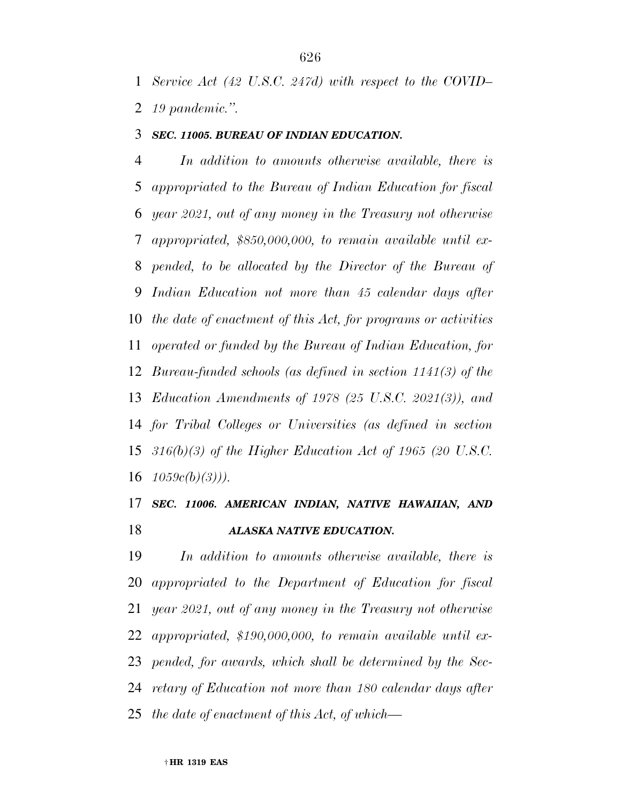### *SEC. 11005. BUREAU OF INDIAN EDUCATION.*

 *In addition to amounts otherwise available, there is appropriated to the Bureau of Indian Education for fiscal year 2021, out of any money in the Treasury not otherwise appropriated, \$850,000,000, to remain available until ex- pended, to be allocated by the Director of the Bureau of Indian Education not more than 45 calendar days after the date of enactment of this Act, for programs or activities operated or funded by the Bureau of Indian Education, for Bureau-funded schools (as defined in section 1141(3) of the Education Amendments of 1978 (25 U.S.C. 2021(3)), and for Tribal Colleges or Universities (as defined in section 316(b)(3) of the Higher Education Act of 1965 (20 U.S.C. 1059c(b)(3))).* 

# *SEC. 11006. AMERICAN INDIAN, NATIVE HAWAIIAN, AND ALASKA NATIVE EDUCATION.*

 *In addition to amounts otherwise available, there is appropriated to the Department of Education for fiscal year 2021, out of any money in the Treasury not otherwise appropriated, \$190,000,000, to remain available until ex- pended, for awards, which shall be determined by the Sec- retary of Education not more than 180 calendar days after the date of enactment of this Act, of which—*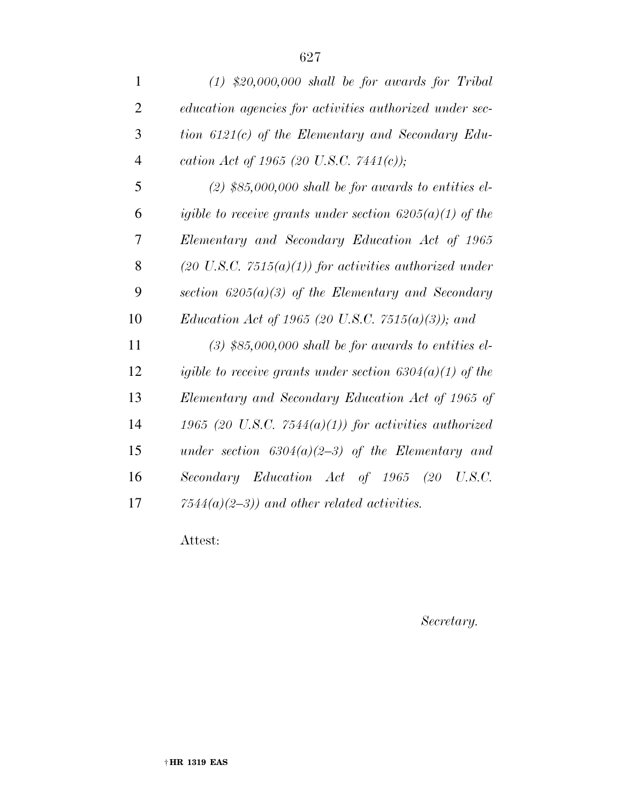| $\mathbf{1}$   | $(1)$ \$20,000,000 shall be for awards for Tribal                 |
|----------------|-------------------------------------------------------------------|
| $\overline{2}$ | education agencies for activities authorized under sec-           |
| 3              | tion $6121(c)$ of the Elementary and Secondary Edu-               |
| $\overline{4}$ | cation Act of 1965 (20 U.S.C. 7441(c));                           |
| 5              | $(2)$ \$85,000,000 shall be for awards to entities el-            |
| 6              | igible to receive grants under section $6205(a)(1)$ of the        |
| 7              | Elementary and Secondary Education Act of 1965                    |
| 8              | $(20 \text{ U.S.C. } 7515(a)(1))$ for activities authorized under |
| 9              | section $6205(a)(3)$ of the Elementary and Secondary              |
| 10             | <i>Education Act of 1965 (20 U.S.C. 7515(a)(3)); and</i>          |
| 11             | $(3)$ \$85,000,000 shall be for awards to entities el-            |
| 12             | igible to receive grants under section $6304(a)(1)$ of the        |
| 13             | Elementary and Secondary Education Act of 1965 of                 |
| 14             | 1965 (20 U.S.C. 7544 $(a)(1)$ ) for activities authorized         |
| 15             | under section $6304(a)(2-3)$ of the Elementary and                |
| 16             | Secondary Education Act of 1965 (20 U.S.C.                        |
| 17             | $7544(a)(2-3)$ and other related activities.                      |
|                |                                                                   |

Attest:

*Secretary.*